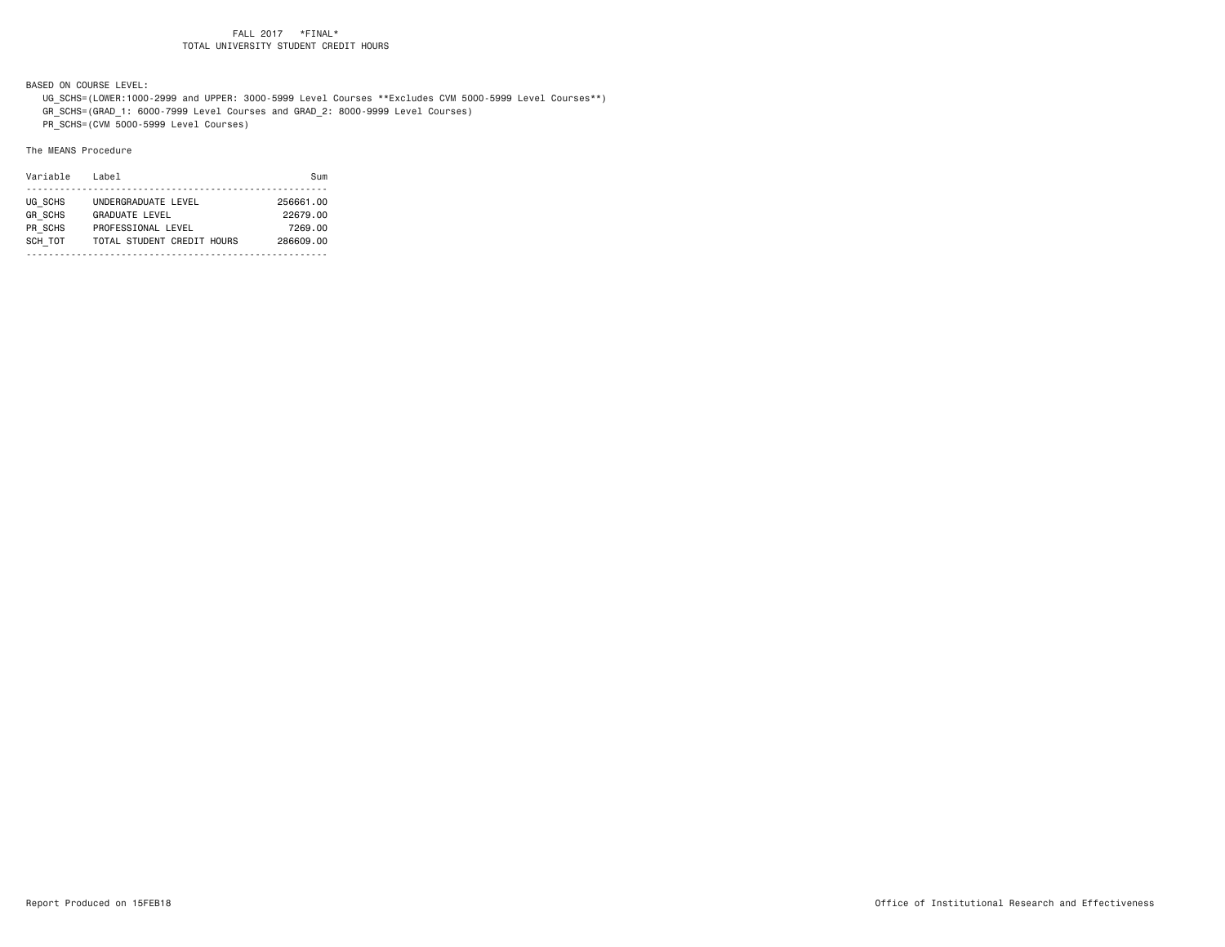BASED ON COURSE LEVEL:

 UG\_SCHS=(LOWER:1000-2999 and UPPER: 3000-5999 Level Courses \*\*Excludes CVM 5000-5999 Level Courses\*\*) GR\_SCHS=(GRAD\_1: 6000-7999 Level Courses and GRAD\_2: 8000-9999 Level Courses)

PR\_SCHS=(CVM 5000-5999 Level Courses)

| Variable       | Label                      | Sum       |
|----------------|----------------------------|-----------|
|                |                            |           |
| UG SCHS        | UNDERGRADUATE LEVEL        | 256661.00 |
| <b>GR SCHS</b> | GRADUATE LEVEL             | 22679.00  |
| PR SCHS        | PROFESSIONAL LEVEL         | 7269.00   |
| SCH TOT        | TOTAL STUDENT CREDIT HOURS | 286609.00 |
|                |                            |           |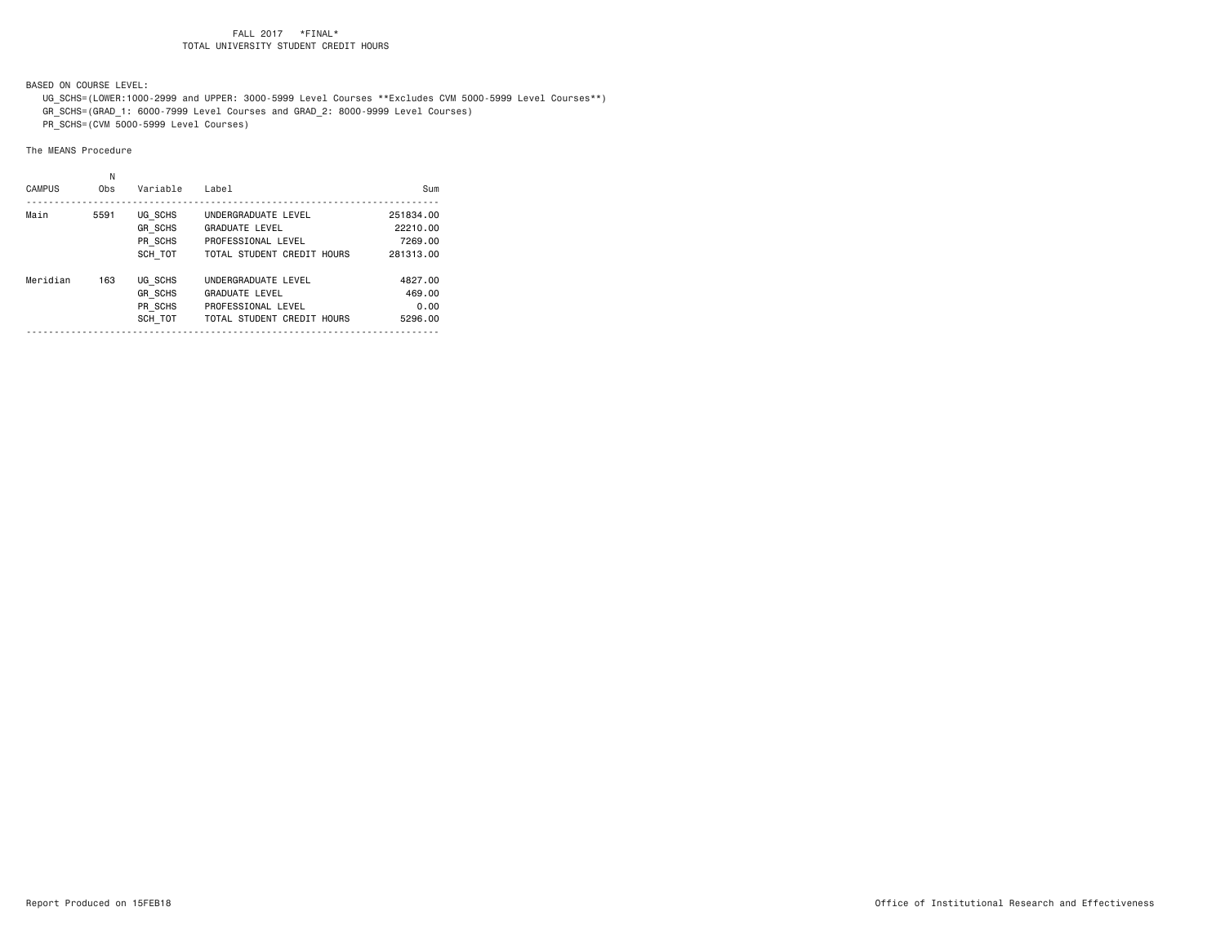BASED ON COURSE LEVEL:

 UG\_SCHS=(LOWER:1000-2999 and UPPER: 3000-5999 Level Courses \*\*Excludes CVM 5000-5999 Level Courses\*\*) GR\_SCHS=(GRAD\_1: 6000-7999 Level Courses and GRAD\_2: 8000-9999 Level Courses) PR\_SCHS=(CVM 5000-5999 Level Courses)

| <b>CAMPUS</b> | Ν<br>Obs | Variable                             | Label                                                                     | Sum                       |
|---------------|----------|--------------------------------------|---------------------------------------------------------------------------|---------------------------|
| Main          | 5591     | UG SCHS<br><b>GR SCHS</b>            | UNDERGRADUATE LEVEL<br><b>GRADUATE LEVEL</b>                              | 251834.00<br>22210.00     |
|               |          | PR SCHS<br>SCH TOT                   | PROFESSIONAL LEVEL<br>TOTAL STUDENT CREDIT HOURS                          | 7269.00<br>281313,00      |
| Meridian      | 163      | UG SCHS                              | UNDERGRADUATE LEVEL                                                       | 4827.00                   |
|               |          | <b>GR SCHS</b><br>PR SCHS<br>SCH TOT | <b>GRADUATE LEVEL</b><br>PROFESSIONAL LEVEL<br>TOTAL STUDENT CREDIT HOURS | 469.00<br>0.00<br>5296.00 |
|               |          |                                      |                                                                           |                           |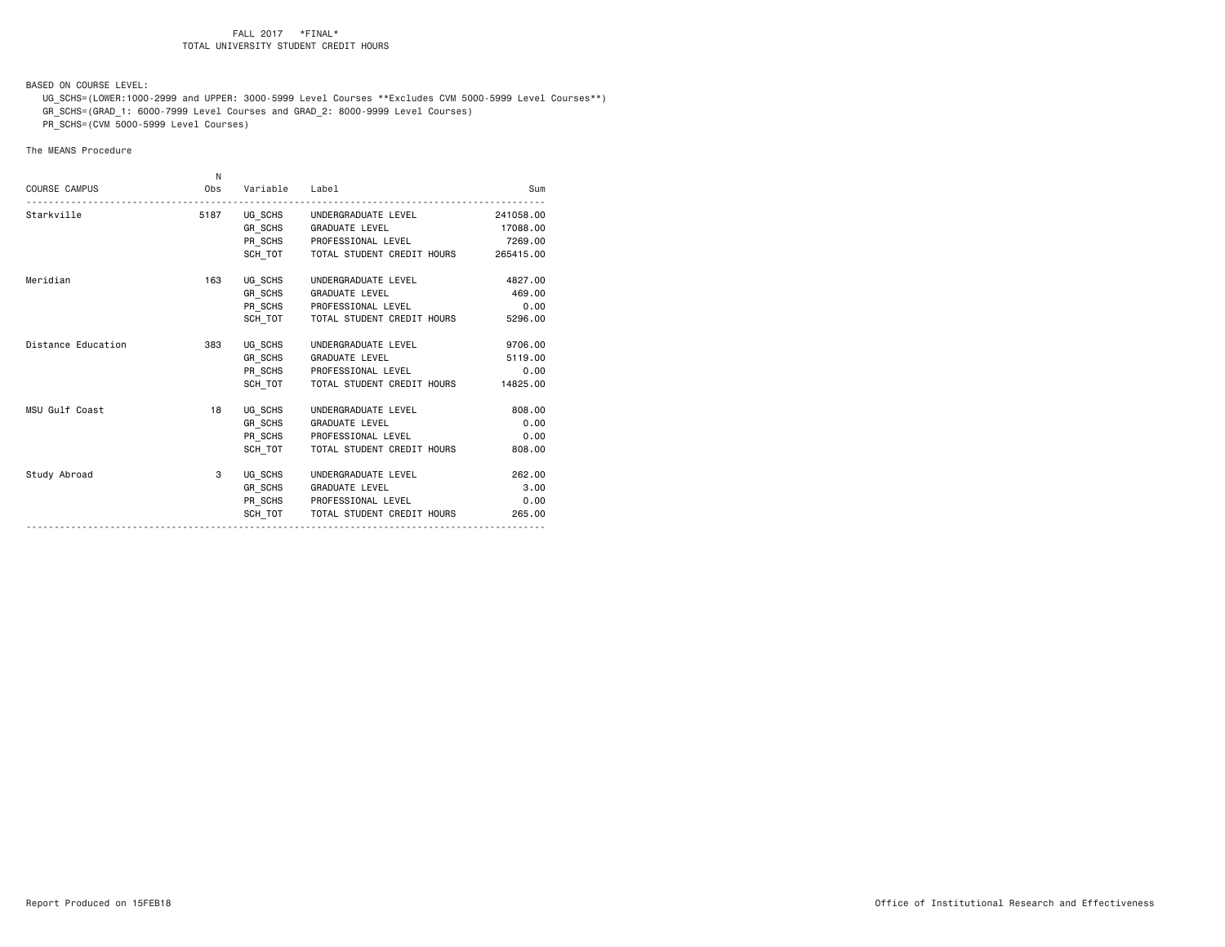BASED ON COURSE LEVEL:

 UG\_SCHS=(LOWER:1000-2999 and UPPER: 3000-5999 Level Courses \*\*Excludes CVM 5000-5999 Level Courses\*\*) GR\_SCHS=(GRAD\_1: 6000-7999 Level Courses and GRAD\_2: 8000-9999 Level Courses)

PR\_SCHS=(CVM 5000-5999 Level Courses)

|                      | N   |                |                                              |           |
|----------------------|-----|----------------|----------------------------------------------|-----------|
| <b>COURSE CAMPUS</b> | Obs | Variable Label |                                              | Sum       |
| Starkville           |     |                | 5187 UG_SCHS UNDERGRADUATE LEVEL             | 241058.00 |
|                      |     |                | GR SCHS GRADUATE LEVEL                       | 17088.00  |
|                      |     |                | PR SCHS PROFESSIONAL LEVEL                   | 7269.00   |
|                      |     |                | SCH TOT TOTAL STUDENT CREDIT HOURS 265415.00 |           |
| Meridian             | 163 |                | UG_SCHS UNDERGRADUATE LEVEL                  | 4827.00   |
|                      |     | GR_SCHS        | <b>GRADUATE LEVEL</b>                        | 469.00    |
|                      |     |                | PR_SCHS PROFESSIONAL LEVEL                   | 0.00      |
|                      |     |                | SCH TOT TOTAL STUDENT CREDIT HOURS           | 5296.00   |
| Distance Education   | 383 | UG SCHS        | UNDERGRADUATE LEVEL                          | 9706.00   |
|                      |     |                | GR_SCHS GRADUATE LEVEL                       | 5119.00   |
|                      |     |                | PR_SCHS PROFESSIONAL LEVEL                   | 0.00      |
|                      |     |                | SCH TOT TOTAL STUDENT CREDIT HOURS           | 14825.00  |
| MSU Gulf Coast       | 18  | UG SCHS        | UNDERGRADUATE LEVEL                          | 808,00    |
|                      |     |                | GR SCHS GRADUATE LEVEL                       | 0.00      |
|                      |     |                | PR SCHS PROFESSIONAL LEVEL                   | 0.00      |
|                      |     | SCH TOT        | TOTAL STUDENT CREDIT HOURS                   | 808.00    |
| Study Abroad         | 3   | UG SCHS        | UNDERGRADUATE LEVEL                          | 262.00    |
|                      |     |                | GR SCHS GRADUATE LEVEL                       | 3.00      |
|                      |     |                | PR SCHS PROFESSIONAL LEVEL                   | 0.00      |
|                      |     | SCH TOT        | TOTAL STUDENT CREDIT HOURS                   | 265.00    |
|                      |     |                |                                              |           |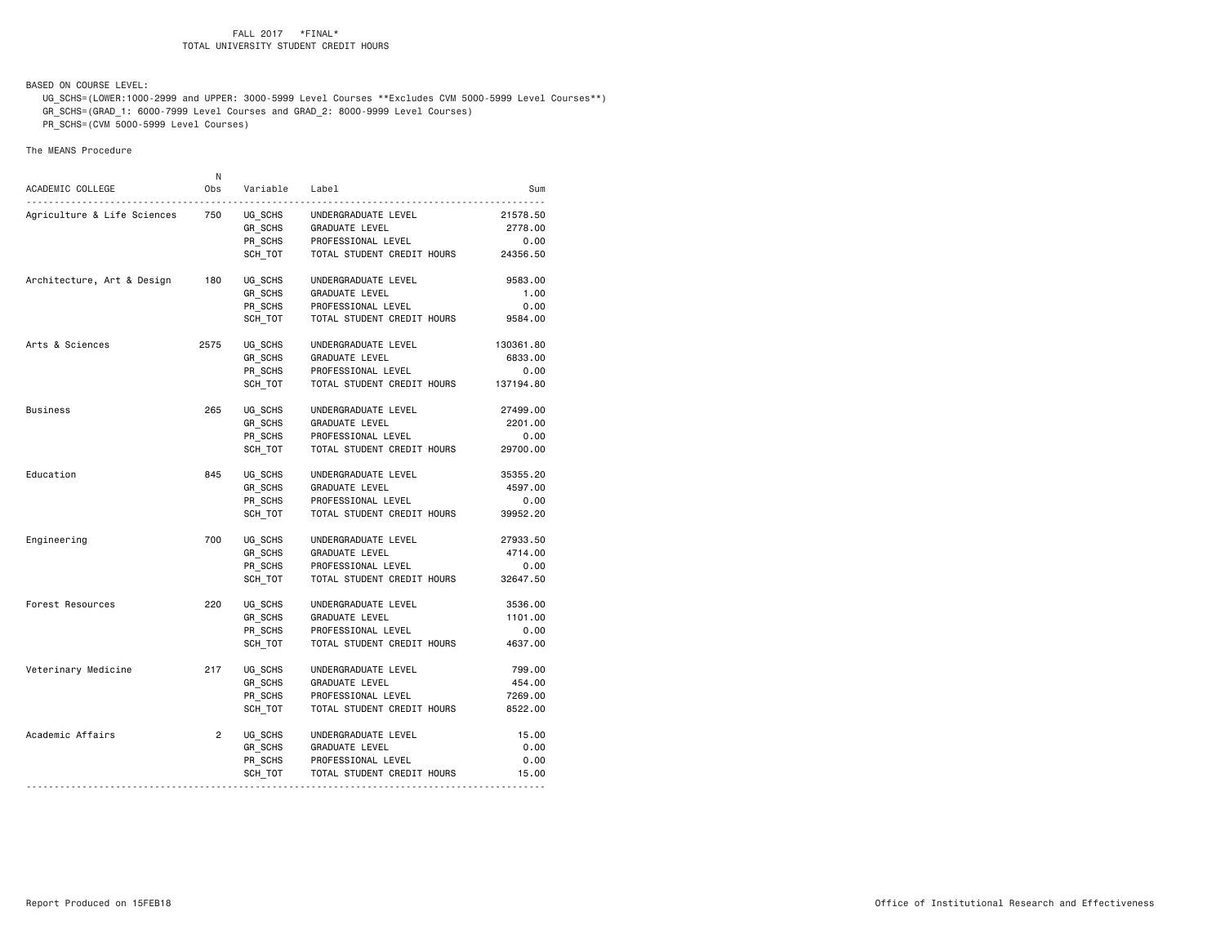BASED ON COURSE LEVEL:

 UG\_SCHS=(LOWER:1000-2999 and UPPER: 3000-5999 Level Courses \*\*Excludes CVM 5000-5999 Level Courses\*\*) GR\_SCHS=(GRAD\_1: 6000-7999 Level Courses and GRAD\_2: 8000-9999 Level Courses) PR\_SCHS=(CVM 5000-5999 Level Courses)

| ACADEMIC COLLEGE            | N<br>Obs       | Variable                                 | Label                                                                                            | Sum                                       |
|-----------------------------|----------------|------------------------------------------|--------------------------------------------------------------------------------------------------|-------------------------------------------|
| Agriculture & Life Sciences | 750            | UG_SCHS<br>GR SCHS<br>PR SCHS<br>SCH TOT | UNDERGRADUATE LEVEL<br>GRADUATE LEVEL<br>PROFESSIONAL LEVEL<br>TOTAL STUDENT CREDIT HOURS        | 21578.50<br>2778.00<br>0.00<br>24356.50   |
| Architecture, Art & Design  | 180            | UG_SCHS<br>GR SCHS<br>PR SCHS<br>SCH TOT | UNDERGRADUATE LEVEL<br><b>GRADUATE LEVEL</b><br>PROFESSIONAL LEVEL<br>TOTAL STUDENT CREDIT HOURS | 9583.00<br>1.00<br>0.00<br>9584.00        |
| Arts & Sciences             | 2575           | UG SCHS<br>GR SCHS<br>PR SCHS<br>SCH TOT | UNDERGRADUATE LEVEL<br><b>GRADUATE LEVEL</b><br>PROFESSIONAL LEVEL<br>TOTAL STUDENT CREDIT HOURS | 130361.80<br>6833.00<br>0.00<br>137194.80 |
| <b>Business</b>             | 265            | UG SCHS<br>GR_SCHS<br>PR SCHS<br>SCH TOT | UNDERGRADUATE LEVEL<br><b>GRADUATE LEVEL</b><br>PROFESSIONAL LEVEL<br>TOTAL STUDENT CREDIT HOURS | 27499.00<br>2201.00<br>0.00<br>29700.00   |
| Education                   | 845            | UG SCHS<br>GR_SCHS<br>PR SCHS<br>SCH TOT | UNDERGRADUATE LEVEL<br><b>GRADUATE LEVEL</b><br>PROFESSIONAL LEVEL<br>TOTAL STUDENT CREDIT HOURS | 35355.20<br>4597.00<br>0.00<br>39952.20   |
| Engineering                 | 700            | UG SCHS<br>GR SCHS<br>PR SCHS<br>SCH TOT | UNDERGRADUATE LEVEL<br><b>GRADUATE LEVEL</b><br>PROFESSIONAL LEVEL<br>TOTAL STUDENT CREDIT HOURS | 27933.50<br>4714.00<br>0.00<br>32647.50   |
| Forest Resources            | 220            | UG SCHS<br>GR SCHS<br>PR_SCHS<br>SCH TOT | UNDERGRADUATE LEVEL<br><b>GRADUATE LEVEL</b><br>PROFESSIONAL LEVEL<br>TOTAL STUDENT CREDIT HOURS | 3536.00<br>1101.00<br>0.00<br>4637.00     |
| Veterinary Medicine         | 217            | UG SCHS<br>GR_SCHS<br>PR SCHS<br>SCH TOT | UNDERGRADUATE LEVEL<br><b>GRADUATE LEVEL</b><br>PROFESSIONAL LEVEL<br>TOTAL STUDENT CREDIT HOURS | 799.00<br>454.00<br>7269.00<br>8522.00    |
| Academic Affairs            | $\overline{2}$ | UG SCHS<br>GR SCHS<br>PR SCHS<br>SCH_TOT | UNDERGRADUATE LEVEL<br><b>GRADUATE LEVEL</b><br>PROFESSIONAL LEVEL<br>TOTAL STUDENT CREDIT HOURS | 15.00<br>0.00<br>0.00<br>15.00            |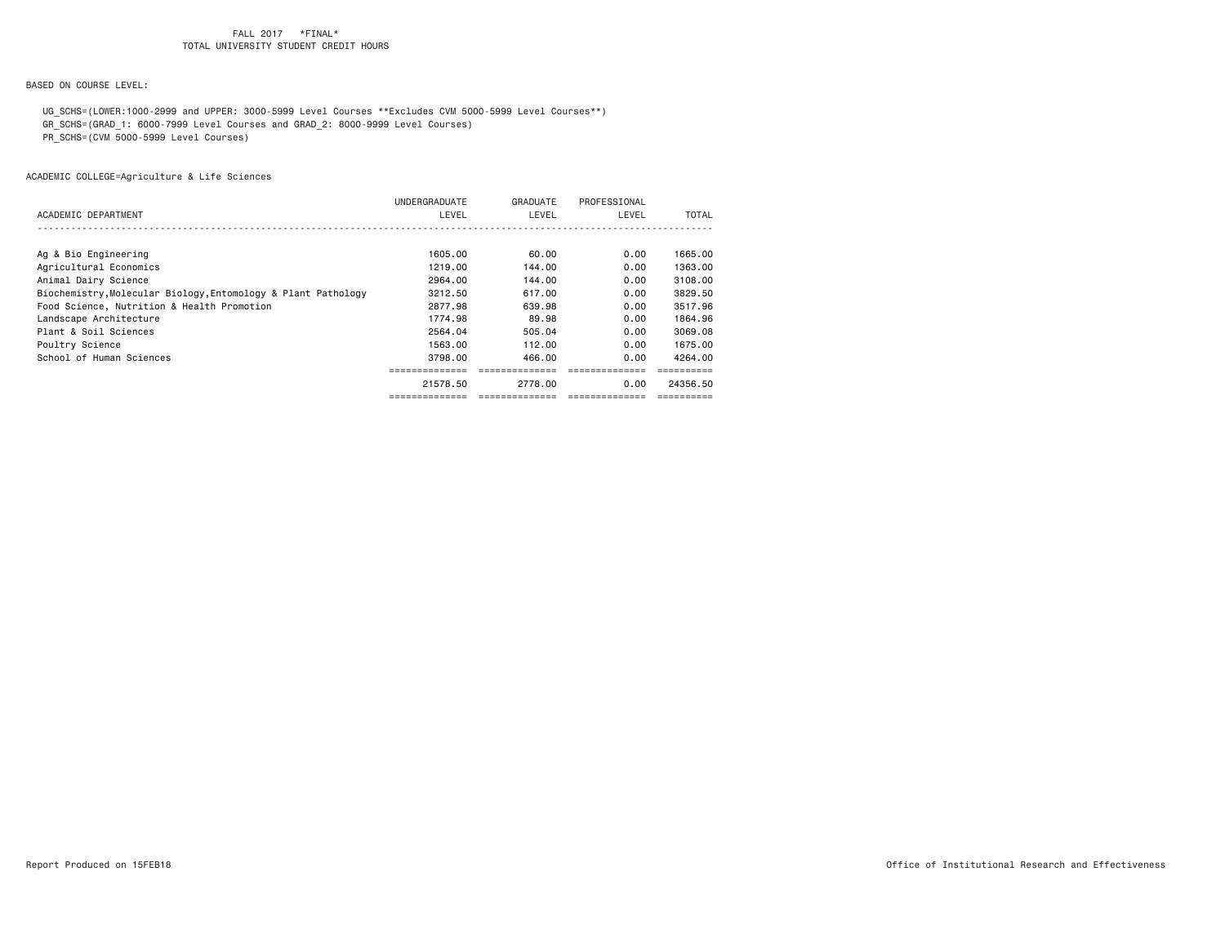BASED ON COURSE LEVEL:

 UG\_SCHS=(LOWER:1000-2999 and UPPER: 3000-5999 Level Courses \*\*Excludes CVM 5000-5999 Level Courses\*\*) GR\_SCHS=(GRAD\_1: 6000-7999 Level Courses and GRAD\_2: 8000-9999 Level Courses)

PR\_SCHS=(CVM 5000-5999 Level Courses)

|                                                               | UNDERGRADUATE | GRADUATE | PROFESSIONAL |          |
|---------------------------------------------------------------|---------------|----------|--------------|----------|
| ACADEMIC DEPARTMENT                                           | LEVEL         | LEVEL    | LEVEL        | TOTAL    |
|                                                               |               |          |              |          |
| Ag & Bio Engineering                                          | 1605.00       | 60.00    | 0.00         | 1665,00  |
|                                                               |               |          |              |          |
| Agricultural Economics                                        | 1219,00       | 144.00   | 0.00         | 1363.00  |
| Animal Dairy Science                                          | 2964.00       | 144.00   | 0.00         | 3108.00  |
| Biochemistry, Molecular Biology, Entomology & Plant Pathology | 3212.50       | 617.00   | 0.00         | 3829.50  |
| Food Science, Nutrition & Health Promotion                    | 2877.98       | 639.98   | 0.00         | 3517.96  |
| Landscape Architecture                                        | 1774.98       | 89.98    | 0.00         | 1864.96  |
| Plant & Soil Sciences                                         | 2564.04       | 505.04   | 0.00         | 3069.08  |
| Poultry Science                                               | 1563.00       | 112.00   | 0.00         | 1675.00  |
| School of Human Sciences                                      | 3798.00       | 466.00   | 0.00         | 4264.00  |
|                                                               |               |          |              |          |
|                                                               | 21578.50      | 2778.00  | 0.00         | 24356.50 |
|                                                               |               |          |              |          |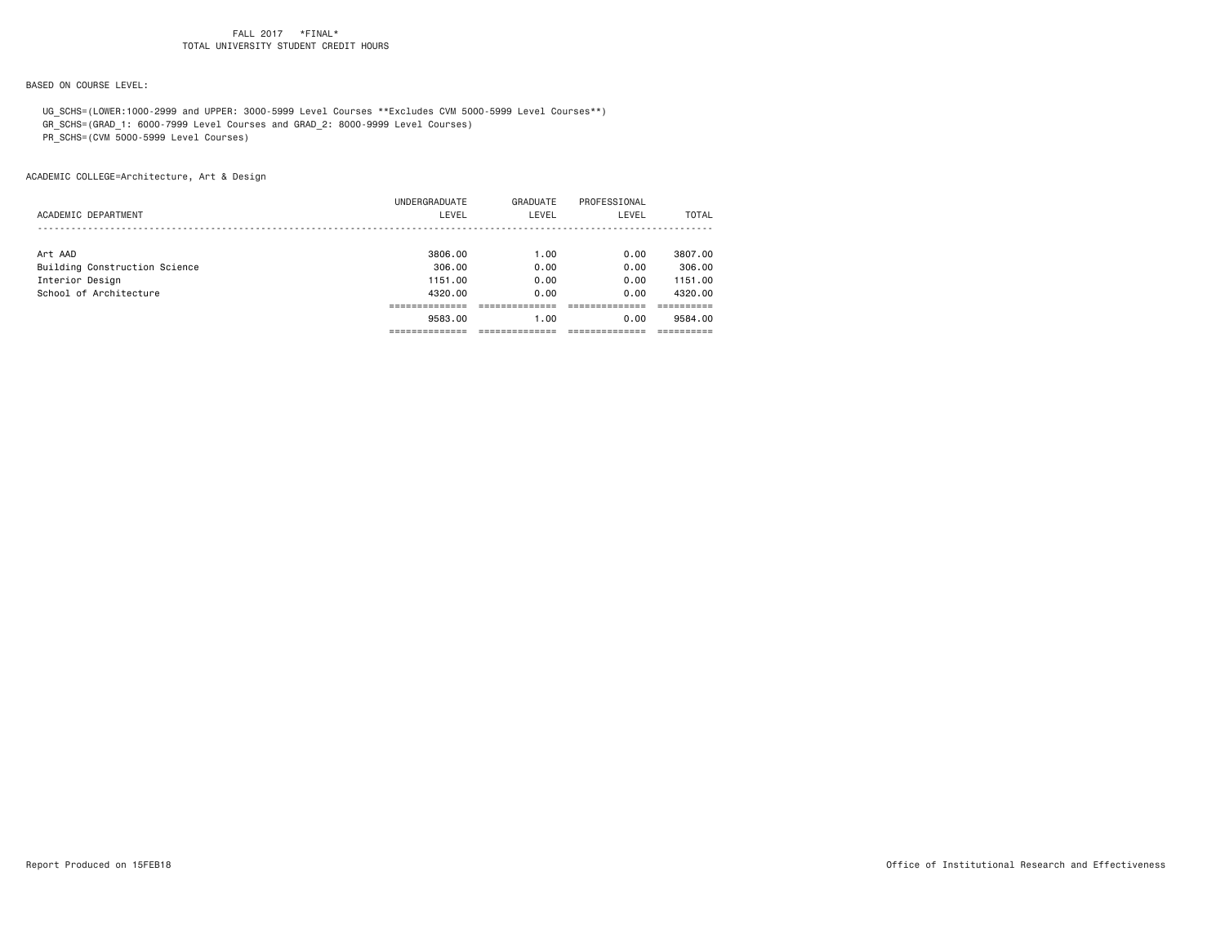BASED ON COURSE LEVEL:

 UG\_SCHS=(LOWER:1000-2999 and UPPER: 3000-5999 Level Courses \*\*Excludes CVM 5000-5999 Level Courses\*\*) GR\_SCHS=(GRAD\_1: 6000-7999 Level Courses and GRAD\_2: 8000-9999 Level Courses)

PR\_SCHS=(CVM 5000-5999 Level Courses)

ACADEMIC COLLEGE=Architecture, Art & Design

|                               | 9583.00       | 1.00     | 0.00         | 9584.00 |
|-------------------------------|---------------|----------|--------------|---------|
|                               |               |          |              |         |
| School of Architecture        | 4320.00       | 0.00     | 0.00         | 4320.00 |
| Interior Design               | 1151.00       | 0.00     | 0.00         | 1151.00 |
| Building Construction Science | 306.00        | 0.00     | 0.00         | 306,00  |
| Art AAD                       | 3806.00       | 1.00     | 0.00         | 3807.00 |
|                               |               |          |              |         |
| ACADEMIC DEPARTMENT           | LEVEL         | LEVEL    | LEVEL        | TOTAL   |
|                               | UNDERGRADUATE | GRADUATE | PROFESSIONAL |         |
|                               |               |          |              |         |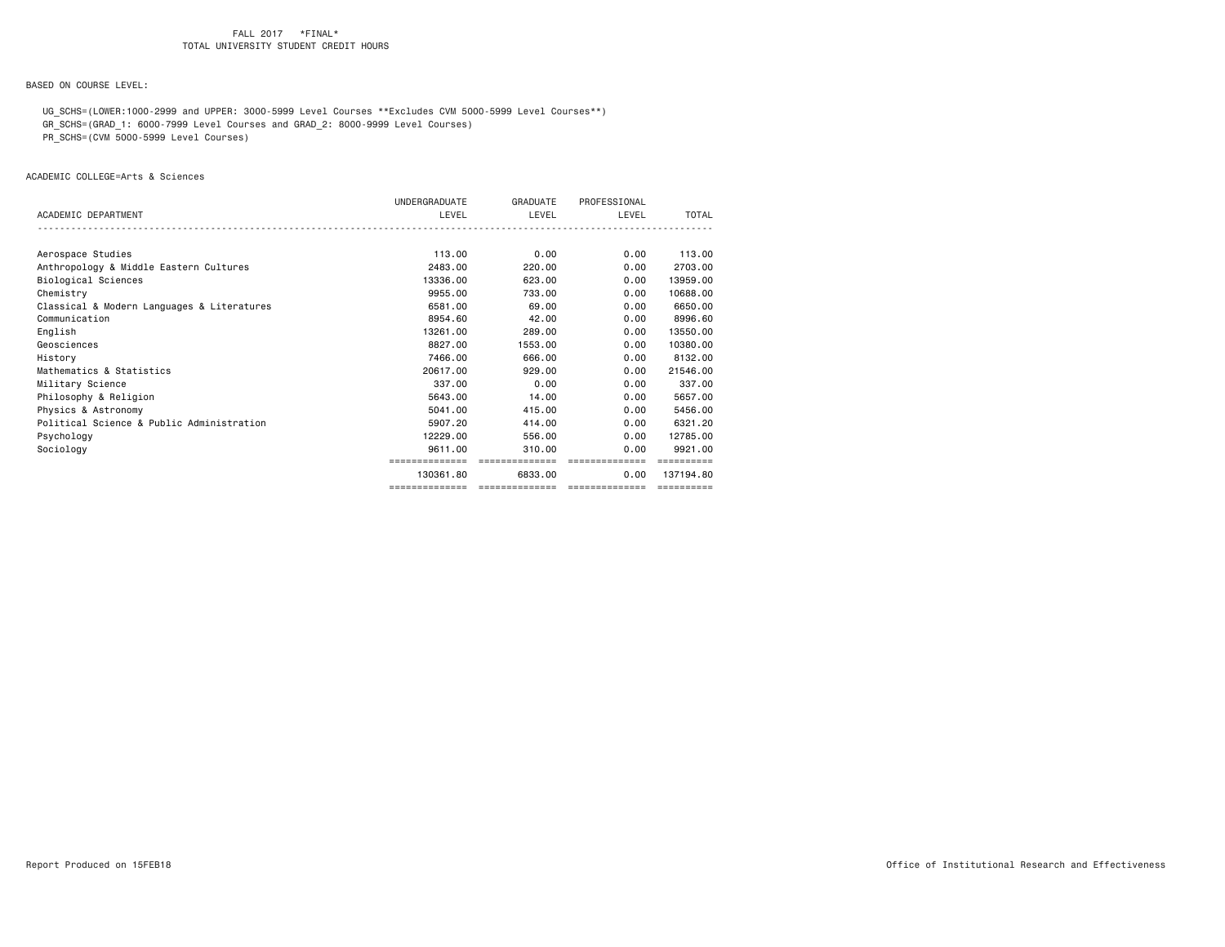BASED ON COURSE LEVEL:

 UG\_SCHS=(LOWER:1000-2999 and UPPER: 3000-5999 Level Courses \*\*Excludes CVM 5000-5999 Level Courses\*\*) GR\_SCHS=(GRAD\_1: 6000-7999 Level Courses and GRAD\_2: 8000-9999 Level Courses)

PR\_SCHS=(CVM 5000-5999 Level Courses)

#### ACADEMIC COLLEGE=Arts & Sciences

|                                            | UNDERGRADUATE  | GRADUATE       | PROFESSIONAL   |            |
|--------------------------------------------|----------------|----------------|----------------|------------|
| ACADEMIC DEPARTMENT                        | LEVEL          | LEVEL          | LEVEL          | TOTAL      |
|                                            |                |                |                |            |
| Aerospace Studies                          | 113,00         | 0.00           | 0.00           | 113,00     |
| Anthropology & Middle Eastern Cultures     | 2483.00        | 220,00         | 0.00           | 2703.00    |
| Biological Sciences                        | 13336.00       | 623,00         | 0.00           | 13959,00   |
|                                            |                |                |                |            |
| Chemistry                                  | 9955.00        | 733,00         | 0.00           | 10688.00   |
| Classical & Modern Languages & Literatures | 6581.00        | 69.00          | 0.00           | 6650.00    |
| Communication                              | 8954.60        | 42.00          | 0.00           | 8996.60    |
| English                                    | 13261.00       | 289,00         | 0.00           | 13550.00   |
| Geosciences                                | 8827.00        | 1553.00        | 0.00           | 10380.00   |
| History                                    | 7466.00        | 666,00         | 0.00           | 8132.00    |
| Mathematics & Statistics                   | 20617.00       | 929.00         | 0.00           | 21546.00   |
| Military Science                           | 337.00         | 0.00           | 0.00           | 337.00     |
| Philosophy & Religion                      | 5643.00        | 14.00          | 0.00           | 5657.00    |
| Physics & Astronomy                        | 5041.00        | 415,00         | 0.00           | 5456.00    |
| Political Science & Public Administration  | 5907.20        | 414,00         | 0.00           | 6321.20    |
| Psychology                                 | 12229.00       | 556.00         | 0.00           | 12785.00   |
| Sociology                                  | 9611.00        | 310.00         | 0.00           | 9921.00    |
|                                            | ============== | ============== | -------------- |            |
|                                            | 130361.80      | 6833.00        | 0.00           | 137194.80  |
|                                            |                |                |                | ========== |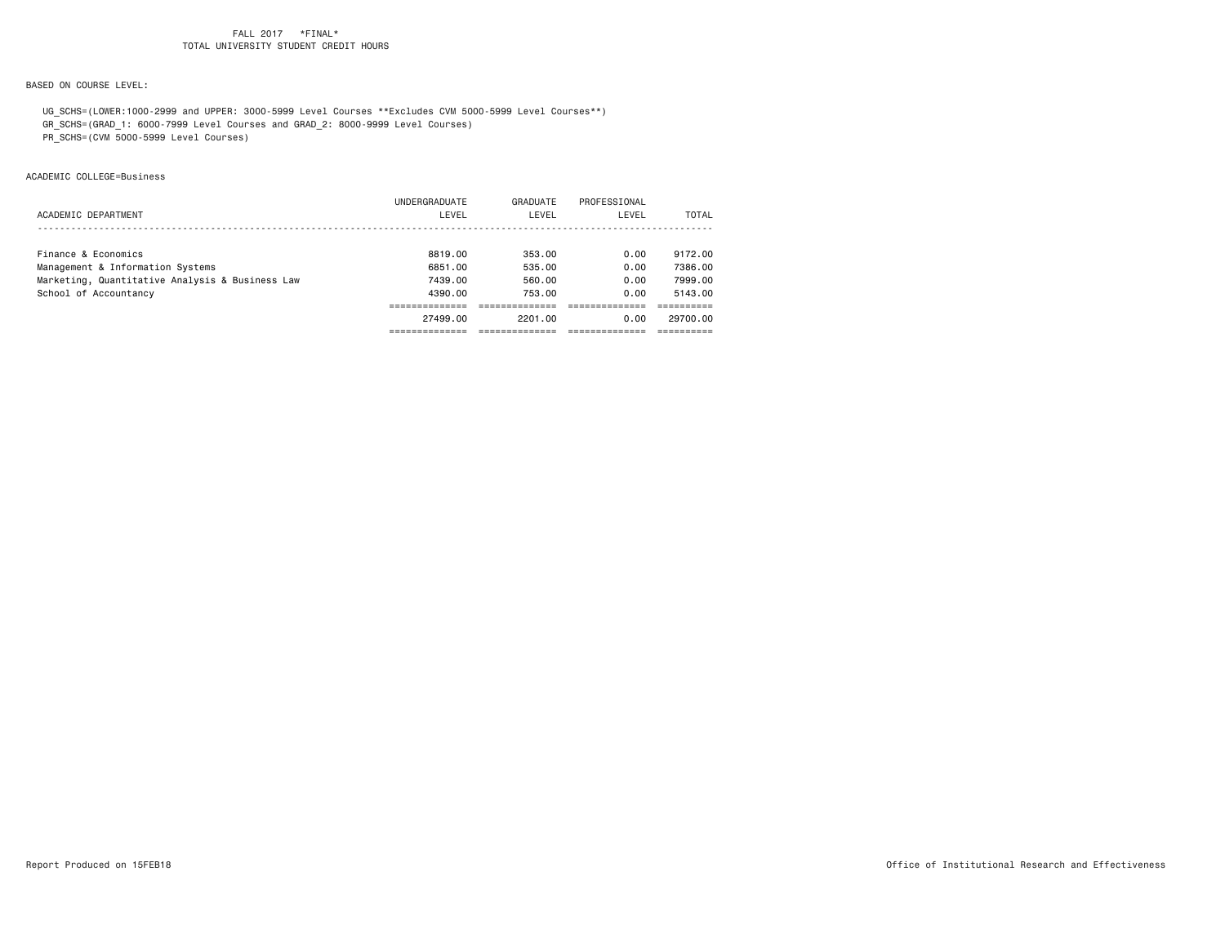### BASED ON COURSE LEVEL:

 UG\_SCHS=(LOWER:1000-2999 and UPPER: 3000-5999 Level Courses \*\*Excludes CVM 5000-5999 Level Courses\*\*) GR\_SCHS=(GRAD\_1: 6000-7999 Level Courses and GRAD\_2: 8000-9999 Level Courses)

PR\_SCHS=(CVM 5000-5999 Level Courses)

#### ACADEMIC COLLEGE=Business

|                                                 | 27499.00      | 2201.00  | 0.00         | 29700.00 |
|-------------------------------------------------|---------------|----------|--------------|----------|
|                                                 |               |          |              |          |
| School of Accountancy                           | 4390.00       | 753.00   | 0.00         | 5143.00  |
| Marketing, Quantitative Analysis & Business Law | 7439.00       | 560.00   | 0.00         | 7999.00  |
| Management & Information Systems                | 6851.00       | 535.00   | 0.00         | 7386.00  |
| Finance & Economics                             | 8819.00       | 353.00   | 0.00         | 9172.00  |
|                                                 |               |          |              |          |
| ACADEMIC DEPARTMENT                             | LEVEL         | LEVEL    | LEVEL        | TOTAL    |
|                                                 | UNDERGRADUATE | GRADUATE | PROFESSIONAL |          |
|                                                 |               |          |              |          |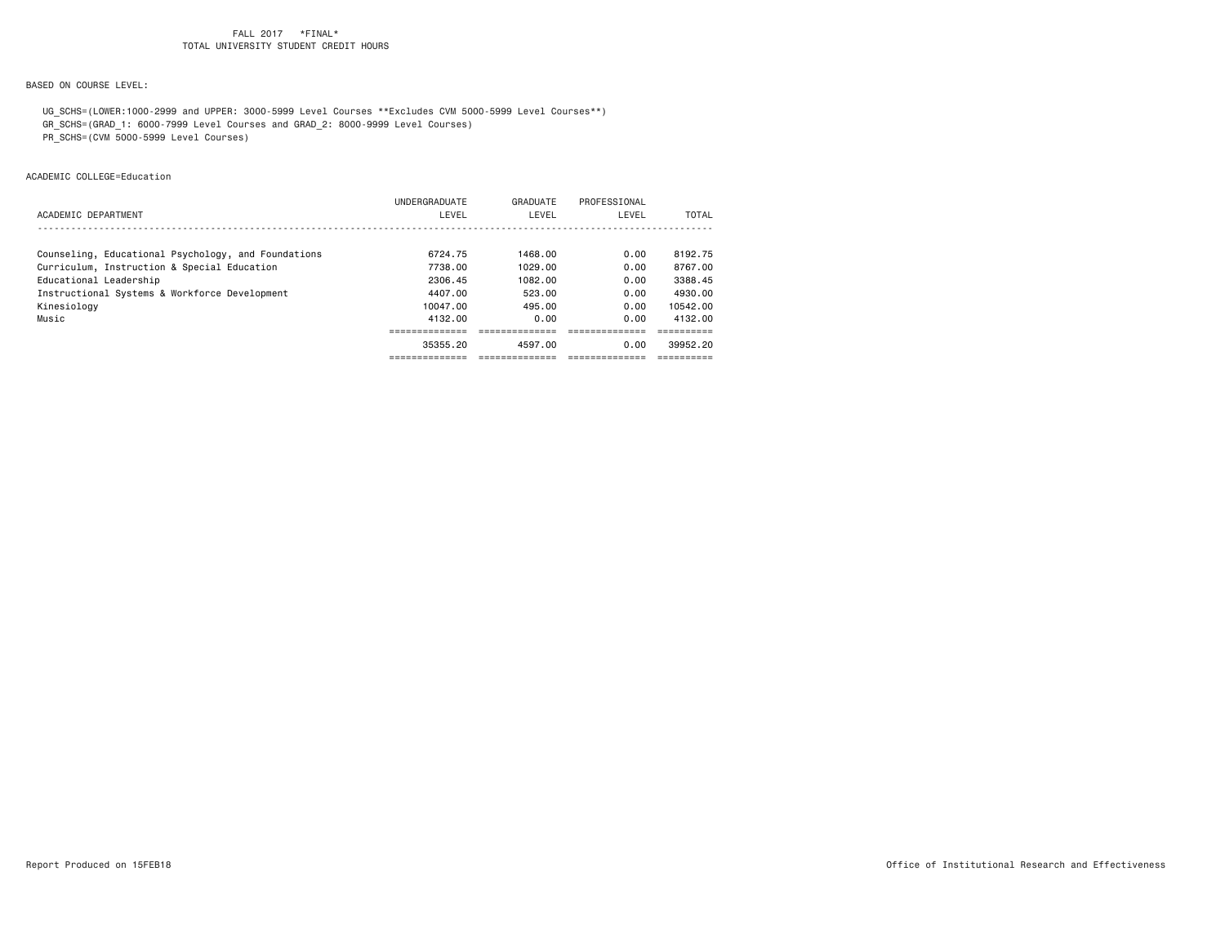### BASED ON COURSE LEVEL:

 UG\_SCHS=(LOWER:1000-2999 and UPPER: 3000-5999 Level Courses \*\*Excludes CVM 5000-5999 Level Courses\*\*) GR\_SCHS=(GRAD\_1: 6000-7999 Level Courses and GRAD\_2: 8000-9999 Level Courses)

PR\_SCHS=(CVM 5000-5999 Level Courses)

ACADEMIC COLLEGE=Education

|                                                     | 35355.20             | 4597.00  | 0.00         | 39952.20 |
|-----------------------------------------------------|----------------------|----------|--------------|----------|
|                                                     |                      |          |              |          |
| Music                                               | 4132.00              | 0.00     | 0.00         | 4132.00  |
| Kinesiology                                         | 10047.00             | 495.00   | 0.00         | 10542.00 |
| Instructional Systems & Workforce Development       | 4407.00              | 523.00   | 0.00         | 4930.00  |
| Educational Leadership                              | 2306.45              | 1082.00  | 0.00         | 3388.45  |
| Curriculum, Instruction & Special Education         | 7738.00              | 1029.00  | 0.00         | 8767.00  |
| Counseling, Educational Psychology, and Foundations | 6724.75              | 1468.00  | 0.00         | 8192.75  |
|                                                     |                      |          |              |          |
| ACADEMIC DEPARTMENT                                 | LEVEL                | LEVEL    | LEVEL        | TOTAL    |
|                                                     | <b>UNDERGRADUATE</b> | GRADUATE | PROFESSIONAL |          |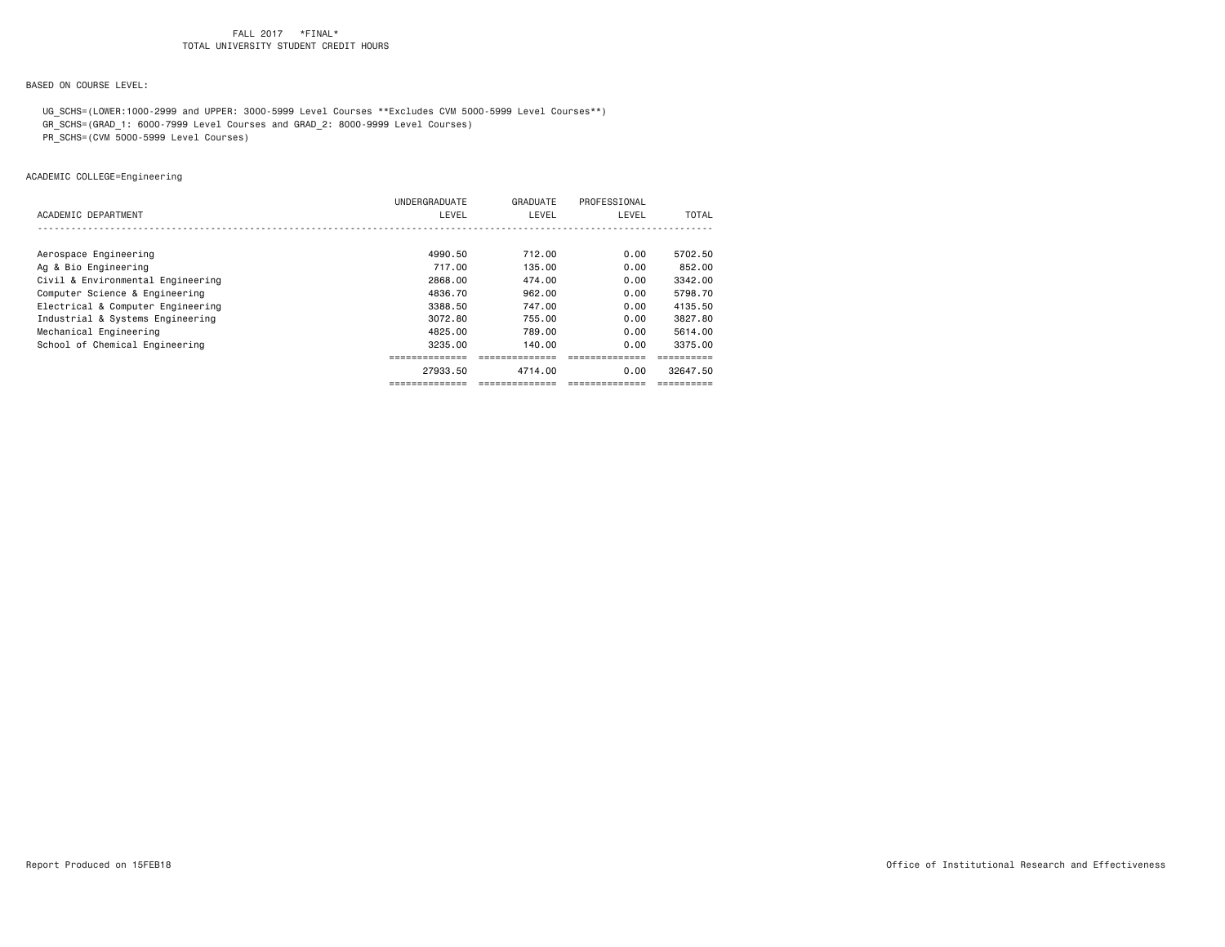BASED ON COURSE LEVEL:

 UG\_SCHS=(LOWER:1000-2999 and UPPER: 3000-5999 Level Courses \*\*Excludes CVM 5000-5999 Level Courses\*\*) GR\_SCHS=(GRAD\_1: 6000-7999 Level Courses and GRAD\_2: 8000-9999 Level Courses)

PR\_SCHS=(CVM 5000-5999 Level Courses)

ACADEMIC COLLEGE=Engineering

|                                   | UNDERGRADUATE   | GRADUATE       | PROFESSIONAL   |          |
|-----------------------------------|-----------------|----------------|----------------|----------|
| ACADEMIC DEPARTMENT               | LEVEL           | LEVEL          | LEVEL          | TOTAL    |
|                                   |                 |                |                |          |
|                                   |                 |                |                |          |
| Aerospace Engineering             | 4990.50         | 712,00         | 0.00           | 5702.50  |
| Ag & Bio Engineering              | 717.00          | 135,00         | 0.00           | 852.00   |
| Civil & Environmental Engineering | 2868.00         | 474.00         | 0.00           | 3342.00  |
| Computer Science & Engineering    | 4836.70         | 962,00         | 0.00           | 5798.70  |
| Electrical & Computer Engineering | 3388.50         | 747.00         | 0.00           | 4135.50  |
| Industrial & Systems Engineering  | 3072.80         | 755,00         | 0.00           | 3827.80  |
| Mechanical Engineering            | 4825.00         | 789.00         | 0.00           | 5614.00  |
| School of Chemical Engineering    | 3235,00         | 140.00         | 0.00           | 3375.00  |
|                                   | --------------- | ============== | -------------- |          |
|                                   | 27933.50        | 4714.00        | 0.00           | 32647.50 |
|                                   | -------------   | -------------  |                |          |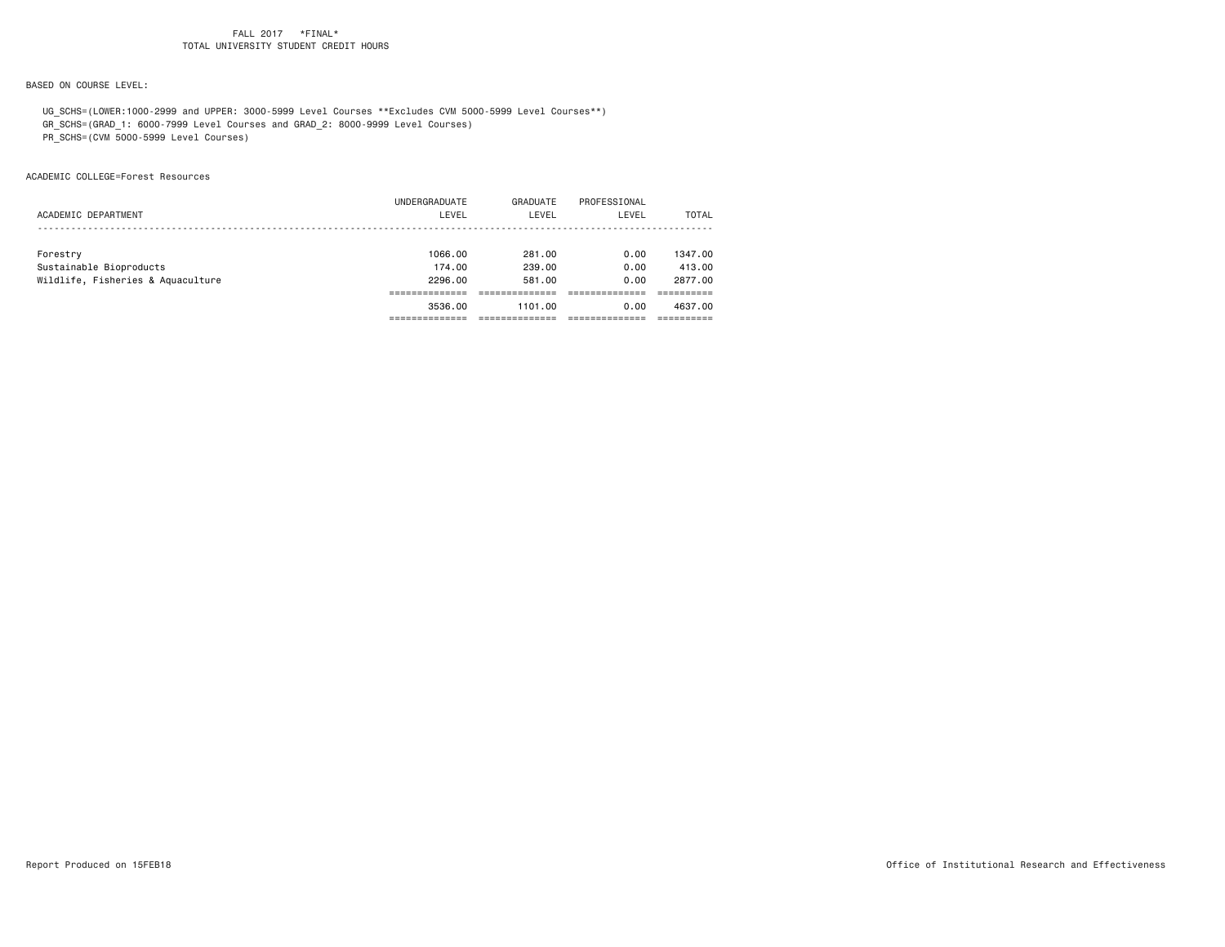BASED ON COURSE LEVEL:

 UG\_SCHS=(LOWER:1000-2999 and UPPER: 3000-5999 Level Courses \*\*Excludes CVM 5000-5999 Level Courses\*\*) GR\_SCHS=(GRAD\_1: 6000-7999 Level Courses and GRAD\_2: 8000-9999 Level Courses)

PR\_SCHS=(CVM 5000-5999 Level Courses)

ACADEMIC COLLEGE=Forest Resources

|                                   | 3536.00       | 1101.00  | 0.00         | 4637.00      |
|-----------------------------------|---------------|----------|--------------|--------------|
|                                   |               |          |              |              |
| Wildlife, Fisheries & Aquaculture | 2296.00       | 581.00   | 0.00         | 2877.00      |
| Sustainable Bioproducts           | 174.00        | 239,00   | 0.00         | 413.00       |
| Forestry                          | 1066.00       | 281,00   | 0.00         | 1347.00      |
|                                   |               |          |              |              |
| ACADEMIC DEPARTMENT               | LEVEL         | LEVEL    | LEVEL        | <b>TOTAL</b> |
|                                   | UNDERGRADUATE | GRADUATE | PROFESSIONAL |              |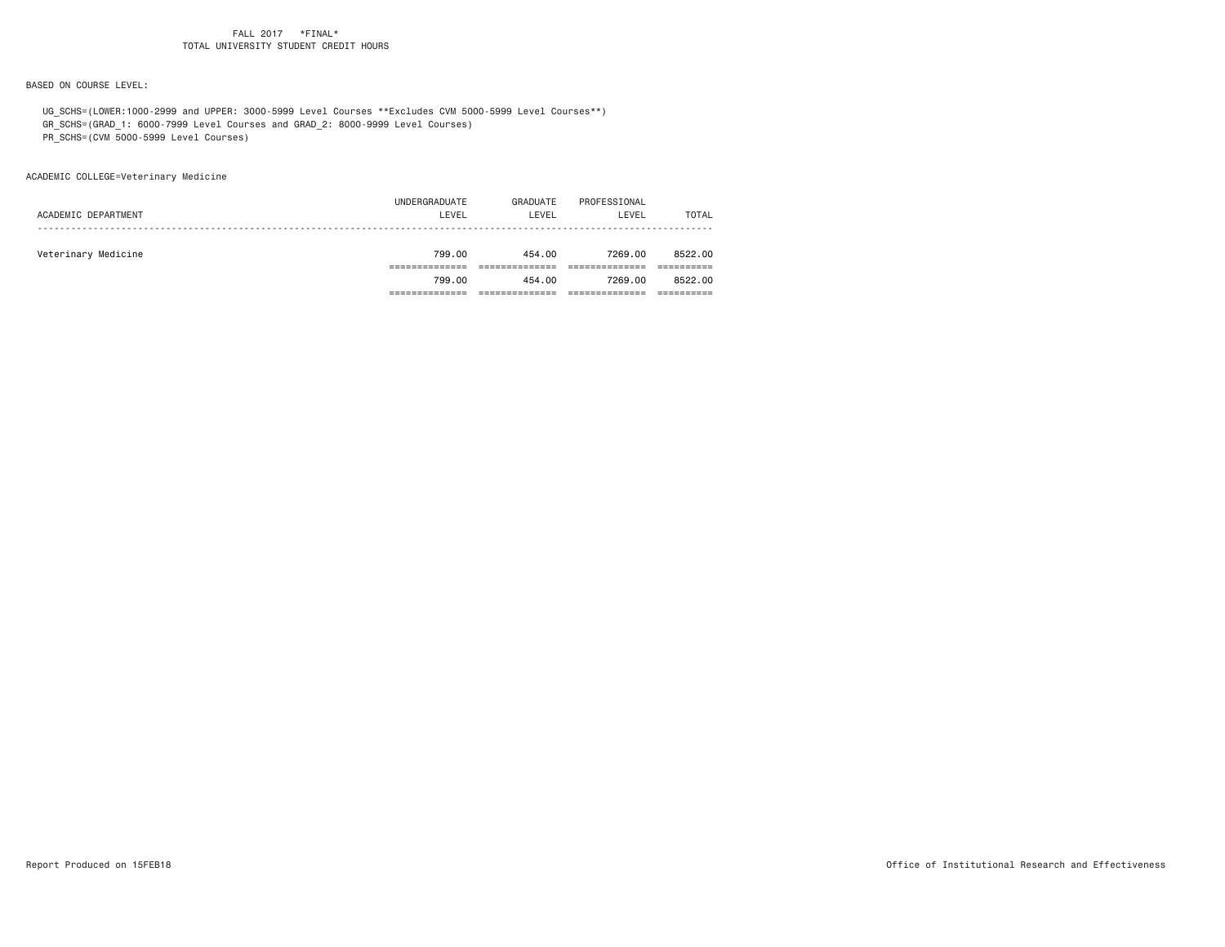BASED ON COURSE LEVEL:

 UG\_SCHS=(LOWER:1000-2999 and UPPER: 3000-5999 Level Courses \*\*Excludes CVM 5000-5999 Level Courses\*\*) GR\_SCHS=(GRAD\_1: 6000-7999 Level Courses and GRAD\_2: 8000-9999 Level Courses)

PR\_SCHS=(CVM 5000-5999 Level Courses)

ACADEMIC COLLEGE=Veterinary Medicine

| ACADEMIC DEPARTMENT | UNDERGRADUATE<br>LEVEL | GRADUATE<br>LEVEL | PROFESSIONAL<br>LEVEL | <b>TOTAL</b> |
|---------------------|------------------------|-------------------|-----------------------|--------------|
| Veterinary Medicine | 799.00                 | 454.00            | 7269.00               | 8522.00      |
|                     | 799.00                 | 454.00            | 7269.00               | 8522.00      |
|                     |                        |                   |                       |              |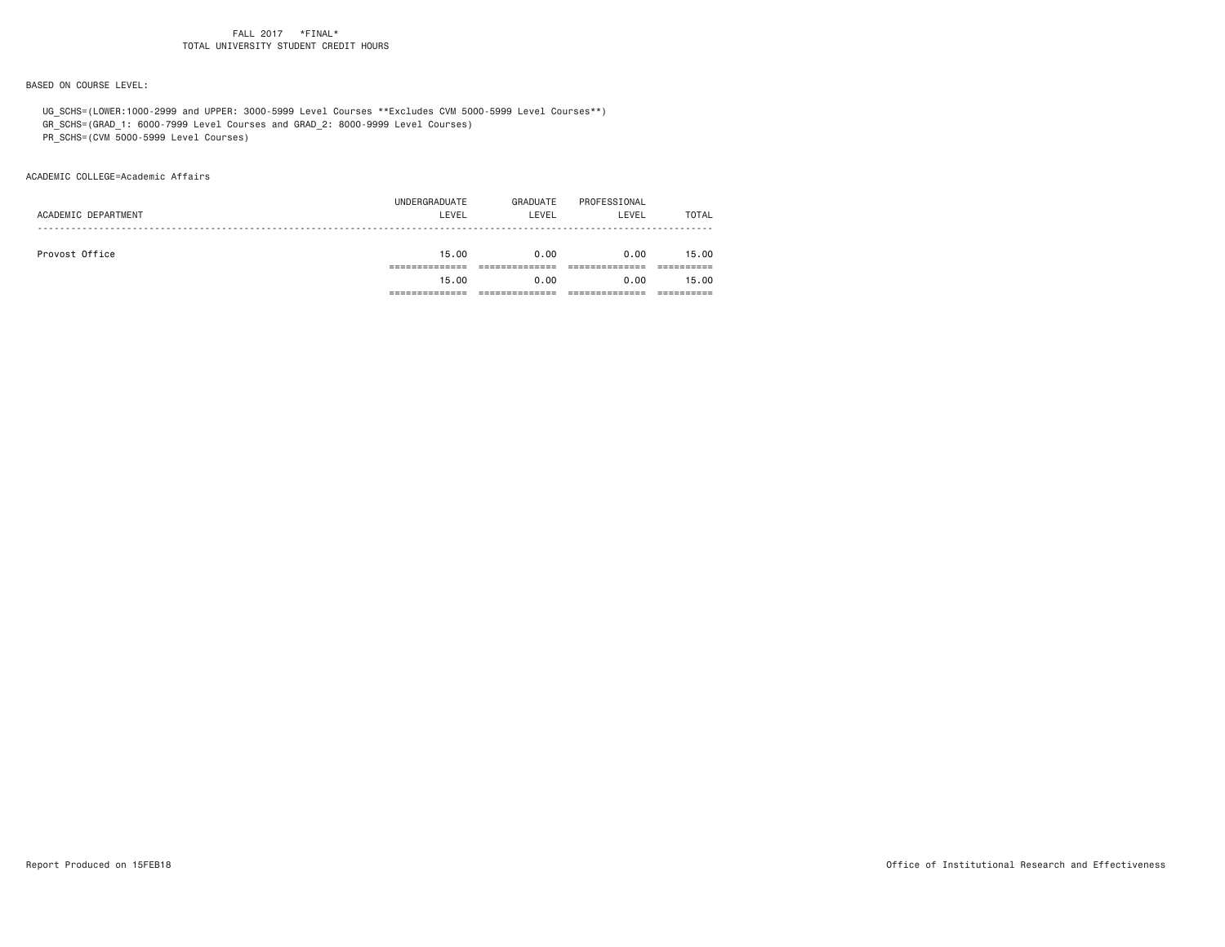BASED ON COURSE LEVEL:

 UG\_SCHS=(LOWER:1000-2999 and UPPER: 3000-5999 Level Courses \*\*Excludes CVM 5000-5999 Level Courses\*\*) GR\_SCHS=(GRAD\_1: 6000-7999 Level Courses and GRAD\_2: 8000-9999 Level Courses)

PR\_SCHS=(CVM 5000-5999 Level Courses)

ACADEMIC COLLEGE=Academic Affairs

| ACADEMIC DEPARTMENT | UNDERGRADUATE<br>LEVEL | GRADUATE<br>LEVEL | PROFESSIONAL<br>LEVEL | <b>TOTAL</b> |
|---------------------|------------------------|-------------------|-----------------------|--------------|
| Provost Office      | 15.00                  | 0.00              | 0.00                  | 15.00        |
|                     |                        |                   |                       |              |
|                     | 15.00                  | 0.00              | 0.00                  | 15.00        |
|                     |                        |                   |                       |              |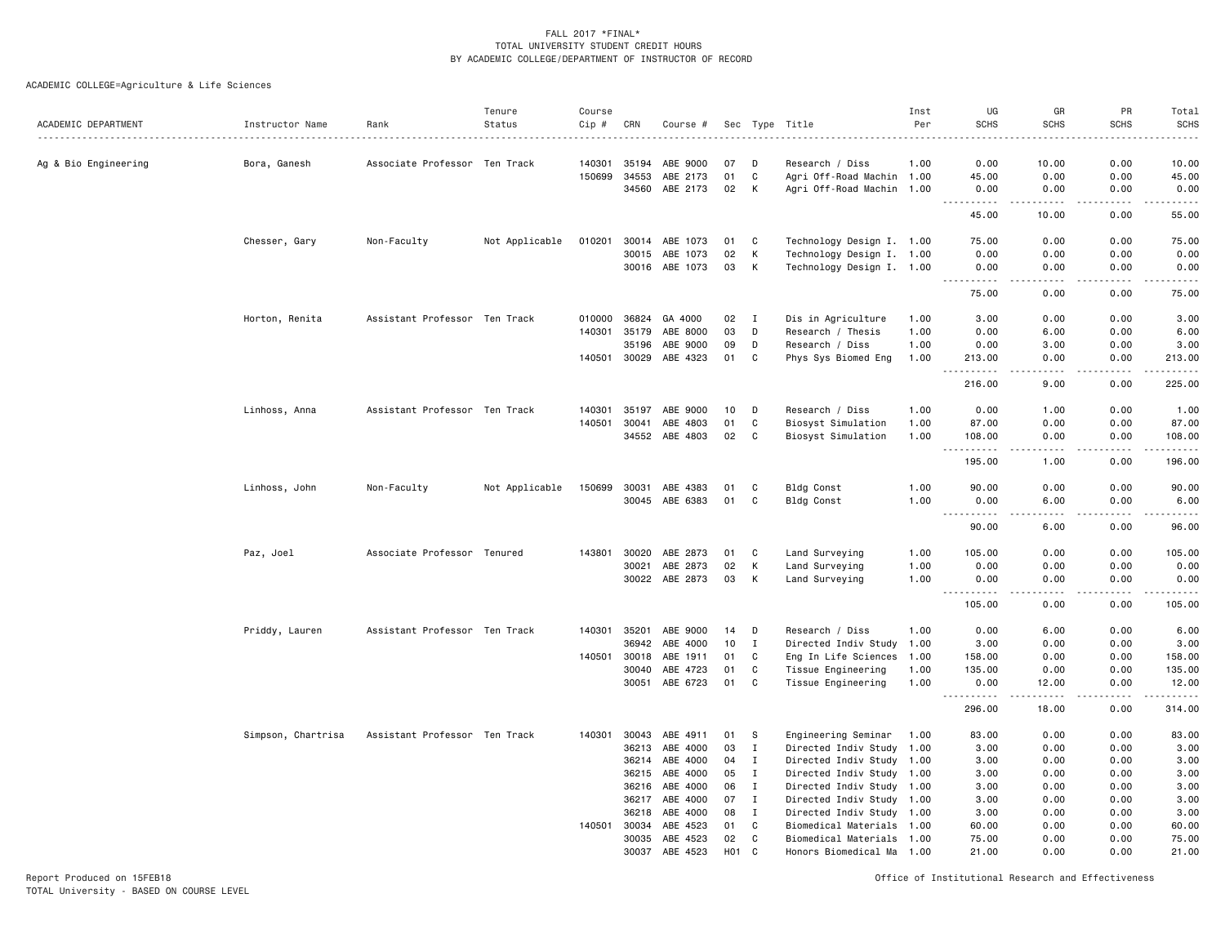ACADEMIC COLLEGE=Agriculture & Life Sciences

| ACADEMIC DEPARTMENT  | Instructor Name    | Rank                          | Tenure<br>Status | Course<br>Cip # | CRN                   | Course #             |          |                  | Sec Type Title                                         | Inst<br>Per | UG<br><b>SCHS</b>                                                                                                                                                                                | GR<br><b>SCHS</b>                   | PR<br><b>SCHS</b> | Total<br><b>SCHS</b><br>المتمام                                                                                                                                                           |
|----------------------|--------------------|-------------------------------|------------------|-----------------|-----------------------|----------------------|----------|------------------|--------------------------------------------------------|-------------|--------------------------------------------------------------------------------------------------------------------------------------------------------------------------------------------------|-------------------------------------|-------------------|-------------------------------------------------------------------------------------------------------------------------------------------------------------------------------------------|
| Ag & Bio Engineering | Bora, Ganesh       | Associate Professor Ten Track |                  | 140301          | 35194                 | ABE 9000             | 07       | D                | Research / Diss                                        | 1.00        | 0.00                                                                                                                                                                                             | 10.00                               | 0.00              | 10.00                                                                                                                                                                                     |
|                      |                    |                               |                  | 150699          | 34553                 | ABE 2173             | 01       | $\mathbf C$      | Agri Off-Road Machin 1.00                              |             | 45.00                                                                                                                                                                                            | 0.00                                | 0.00              | 45.00                                                                                                                                                                                     |
|                      |                    |                               |                  |                 | 34560                 | ABE 2173             | 02       | К                | Agri Off-Road Machin 1.00                              |             | 0.00                                                                                                                                                                                             | 0.00                                | 0.00              | 0.00                                                                                                                                                                                      |
|                      |                    |                               |                  |                 |                       |                      |          |                  |                                                        |             | المتمام المتحدة<br>45.00                                                                                                                                                                         | .<br>10.00                          | .<br>0.00         | د د د د<br>55.00                                                                                                                                                                          |
|                      | Chesser, Gary      | Non-Faculty                   | Not Applicable   | 010201          | 30014                 | ABE 1073             | 01       | C                | Technology Design I. 1.00                              |             | 75.00                                                                                                                                                                                            | 0.00                                | 0.00              | 75.00                                                                                                                                                                                     |
|                      |                    |                               |                  |                 | 30015                 | ABE 1073             | 02       | К                | Technology Design I. 1.00                              |             | 0.00                                                                                                                                                                                             | 0.00                                | 0.00              | 0.00                                                                                                                                                                                      |
|                      |                    |                               |                  |                 | 30016                 | ABE 1073             | 03       | К                | Technology Design I. 1.00                              |             | 0.00<br>$\sim$ $\sim$ $\sim$<br>$- - - - -$                                                                                                                                                      | 0.00<br>.                           | 0.00<br>.         | 0.00<br>$\frac{1}{2}$                                                                                                                                                                     |
|                      |                    |                               |                  |                 |                       |                      |          |                  |                                                        |             | 75.00                                                                                                                                                                                            | 0.00                                | 0.00              | 75.00                                                                                                                                                                                     |
|                      | Horton, Renita     | Assistant Professor Ten Track |                  | 010000          | 36824                 | GA 4000              | 02       | $\mathbf I$      | Dis in Agriculture                                     | 1.00        | 3.00                                                                                                                                                                                             | 0.00                                | 0.00              | 3.00                                                                                                                                                                                      |
|                      |                    |                               |                  | 140301          | 35179                 | ABE 8000             | 03       | D                | Research / Thesis                                      | 1.00        | 0.00                                                                                                                                                                                             | 6.00                                | 0.00              | 6.00                                                                                                                                                                                      |
|                      |                    |                               |                  |                 | 35196                 | ABE 9000             | 09       | D                | Research / Diss                                        | 1.00        | 0.00                                                                                                                                                                                             | 3.00                                | 0.00              | 3.00                                                                                                                                                                                      |
|                      |                    |                               |                  |                 | 140501 30029          | ABE 4323             | 01       | C                | Phys Sys Biomed Eng                                    | 1.00        | 213.00<br>.                                                                                                                                                                                      | 0.00<br>.                           | 0.00<br>.         | 213.00<br>$\frac{1}{2} \left( \frac{1}{2} \right) \left( \frac{1}{2} \right) \left( \frac{1}{2} \right) \left( \frac{1}{2} \right) \left( \frac{1}{2} \right) \left( \frac{1}{2} \right)$ |
|                      |                    |                               |                  |                 |                       |                      |          |                  |                                                        |             | 216.00                                                                                                                                                                                           | 9.00                                | 0.00              | 225.00                                                                                                                                                                                    |
|                      | Linhoss, Anna      | Assistant Professor Ten Track |                  | 140301          | 35197                 | ABE 9000             | 10       | D                | Research / Diss                                        | 1.00        | 0.00                                                                                                                                                                                             | 1.00                                | 0.00              | 1.00                                                                                                                                                                                      |
|                      |                    |                               |                  | 140501          | 30041                 | ABE 4803             | 01       | C                | Biosyst Simulation                                     | 1.00        | 87.00                                                                                                                                                                                            | 0.00                                | 0.00              | 87.00                                                                                                                                                                                     |
|                      |                    |                               |                  |                 |                       | 34552 ABE 4803       | 02       | C                | Biosyst Simulation                                     | 1.00        | 108.00<br>$  -$<br>.                                                                                                                                                                             | 0.00                                | 0.00              | 108.00<br>.                                                                                                                                                                               |
|                      |                    |                               |                  |                 |                       |                      |          |                  |                                                        |             | 195.00                                                                                                                                                                                           | 1.00                                | 0.00              | 196.00                                                                                                                                                                                    |
|                      | Linhoss, John      | Non-Faculty                   | Not Applicable   | 150699          | 30031                 | ABE 4383             | 01       | C                | Bldg Const                                             | 1.00        | 90.00                                                                                                                                                                                            | 0.00                                | 0.00              | 90.00                                                                                                                                                                                     |
|                      |                    |                               |                  |                 |                       | 30045 ABE 6383       | 01       | C                | Bldg Const                                             | 1.00        | 0.00<br>$  -$<br>$\frac{1}{2} \left( \frac{1}{2} \right) \left( \frac{1}{2} \right) \left( \frac{1}{2} \right) \left( \frac{1}{2} \right) \left( \frac{1}{2} \right) \left( \frac{1}{2} \right)$ | 6.00<br>$\sim$ $\sim$ $\sim$ $\sim$ | 0.00              | 6.00<br>.                                                                                                                                                                                 |
|                      |                    |                               |                  |                 |                       |                      |          |                  |                                                        |             | 90.00                                                                                                                                                                                            | 6.00                                | 0.00              | 96.00                                                                                                                                                                                     |
|                      | Paz, Joel          | Associate Professor Tenured   |                  | 143801          | 30020                 | ABE 2873             | 01       | C                | Land Surveying                                         | 1.00        | 105.00                                                                                                                                                                                           | 0.00                                | 0.00              | 105.00                                                                                                                                                                                    |
|                      |                    |                               |                  |                 | 30021                 | ABE 2873             | 02       | К                | Land Surveying                                         | 1.00        | 0.00                                                                                                                                                                                             | 0.00                                | 0.00              | 0.00                                                                                                                                                                                      |
|                      |                    |                               |                  |                 |                       | 30022 ABE 2873       | 03       | К                | Land Surveying                                         | 1.00        | 0.00<br>.                                                                                                                                                                                        | 0.00<br>.                           | 0.00<br>-----     | 0.00                                                                                                                                                                                      |
|                      |                    |                               |                  |                 |                       |                      |          |                  |                                                        |             | 105.00                                                                                                                                                                                           | 0.00                                | 0.00              | 105.00                                                                                                                                                                                    |
|                      | Priddy, Lauren     | Assistant Professor Ten Track |                  | 140301          | 35201                 | ABE 9000             | 14       | D                | Research / Diss                                        | 1.00        | 0.00                                                                                                                                                                                             | 6.00                                | 0.00              | 6.00                                                                                                                                                                                      |
|                      |                    |                               |                  |                 | 36942                 | ABE 4000             | 10       | $\mathbf I$      | Directed Indiv Study 1.00                              |             | 3.00                                                                                                                                                                                             | 0.00                                | 0.00              | 3.00                                                                                                                                                                                      |
|                      |                    |                               |                  | 140501          | 30018                 | ABE 1911             | 01       | C                | Eng In Life Sciences                                   | 1.00        | 158.00                                                                                                                                                                                           | 0.00                                | 0.00              | 158.00                                                                                                                                                                                    |
|                      |                    |                               |                  |                 | 30040                 | ABE 4723             | 01       | C                | Tissue Engineering                                     | 1.00        | 135.00                                                                                                                                                                                           | 0.00                                | 0.00              | 135.00                                                                                                                                                                                    |
|                      |                    |                               |                  |                 | 30051                 | ABE 6723             | 01       | C                | Tissue Engineering                                     | 1.00        | 0.00<br>.                                                                                                                                                                                        | 12.00<br>.                          | 0.00<br>د د د د   | 12.00                                                                                                                                                                                     |
|                      |                    |                               |                  |                 |                       |                      |          |                  |                                                        |             | 296.00                                                                                                                                                                                           | 18.00                               | 0.00              | 314.00                                                                                                                                                                                    |
|                      | Simpson, Chartrisa | Assistant Professor Ten Track |                  | 140301          | 30043                 | ABE 4911             | 01       | <b>S</b>         | Engineering Seminar                                    | 1.00        | 83.00                                                                                                                                                                                            | 0.00                                | 0.00              | 83.00                                                                                                                                                                                     |
|                      |                    |                               |                  |                 | 36213                 | ABE 4000             | 03       | $\mathbf{I}$     | Directed Indiv Study 1.00                              |             | 3.00                                                                                                                                                                                             | 0.00                                | 0.00              | 3.00                                                                                                                                                                                      |
|                      |                    |                               |                  |                 | 36214                 | ABE 4000             | 04       | $\mathbf{I}$     | Directed Indiv Study 1.00                              |             | 3.00                                                                                                                                                                                             | 0.00                                | 0.00              | 3.00                                                                                                                                                                                      |
|                      |                    |                               |                  |                 | 36215                 | ABE 4000             | 05       | $\mathbf{I}$     | Directed Indiv Study 1.00                              |             | 3.00                                                                                                                                                                                             | 0.00                                | 0.00              | 3.00                                                                                                                                                                                      |
|                      |                    |                               |                  |                 | 36216                 | ABE 4000             | 06       | $\mathbf{I}$     | Directed Indiv Study 1.00                              |             | 3.00                                                                                                                                                                                             | 0.00                                | 0.00              | 3.00                                                                                                                                                                                      |
|                      |                    |                               |                  |                 | 36217                 | ABE 4000             | 07       | $\mathbf I$      | Directed Indiv Study 1.00                              |             | 3.00                                                                                                                                                                                             | 0.00                                | 0.00              | 3.00                                                                                                                                                                                      |
|                      |                    |                               |                  |                 | 36218<br>140501 30034 | ABE 4000<br>ABE 4523 | 08<br>01 | $\mathbf I$<br>C | Directed Indiv Study 1.00<br>Biomedical Materials 1.00 |             | 3.00<br>60.00                                                                                                                                                                                    | 0.00<br>0.00                        | 0.00<br>0.00      | 3.00<br>60.00                                                                                                                                                                             |
|                      |                    |                               |                  |                 | 30035                 | ABE 4523             | 02       | C                | Biomedical Materials 1.00                              |             | 75.00                                                                                                                                                                                            | 0.00                                | 0.00              | 75.00                                                                                                                                                                                     |
|                      |                    |                               |                  |                 | 30037                 | ABE 4523             | H01      | C                | Honors Biomedical Ma 1.00                              |             | 21.00                                                                                                                                                                                            | 0.00                                | 0.00              | 21.00                                                                                                                                                                                     |
|                      |                    |                               |                  |                 |                       |                      |          |                  |                                                        |             |                                                                                                                                                                                                  |                                     |                   |                                                                                                                                                                                           |

Report Produced on 15FEB18 Office of Institutional Research and Effectiveness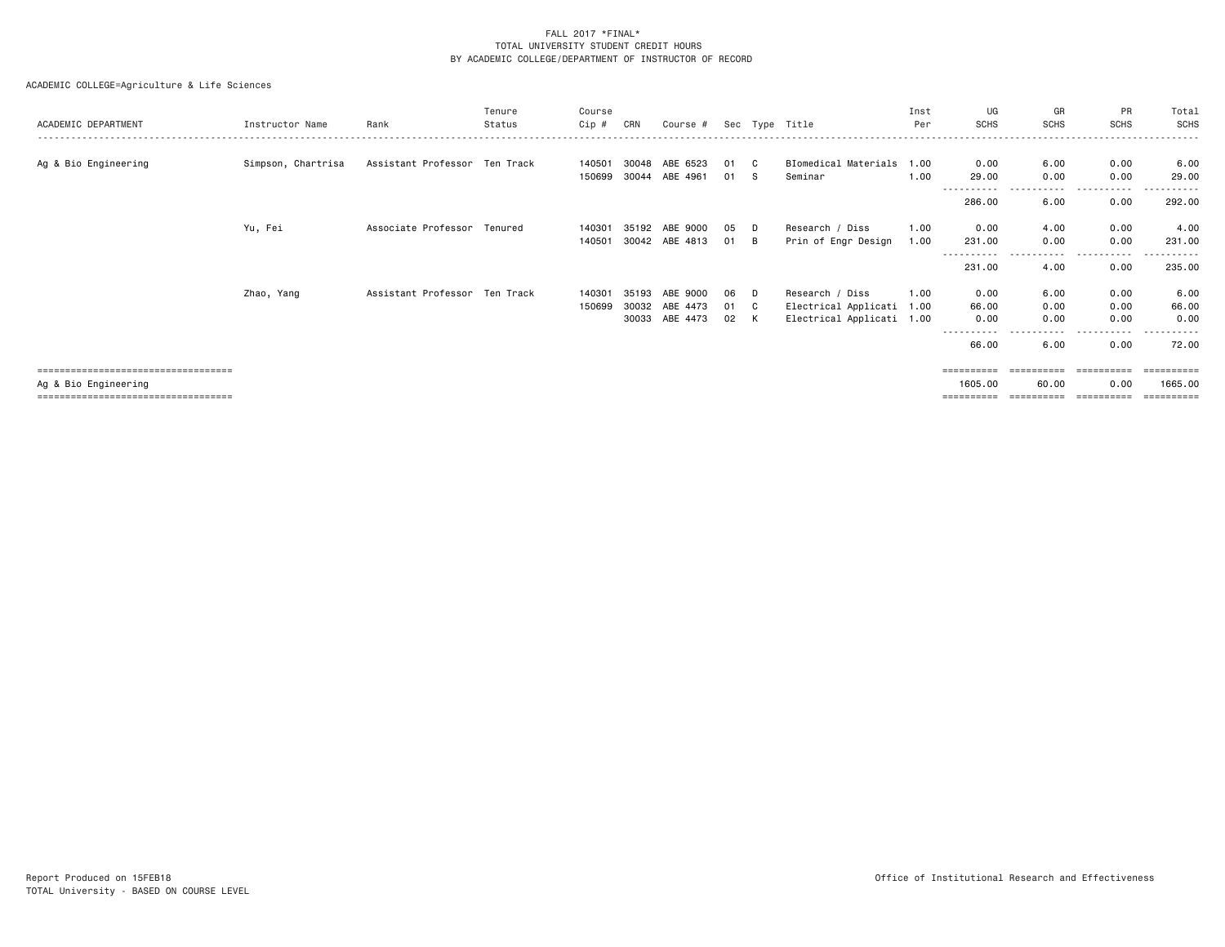| ACADEMIC DEPARTMENT                                                                                     | Instructor Name    | Rank                          | Tenure<br>Status | Course<br>Cip #  | CRN                     | Course #                         |                |              | Sec Type Title                                                            | Inst<br>Per  | UG<br><b>SCHS</b>                   | GR<br><b>SCHS</b>    | PR<br><b>SCHS</b>    | Total<br>SCHS         |
|---------------------------------------------------------------------------------------------------------|--------------------|-------------------------------|------------------|------------------|-------------------------|----------------------------------|----------------|--------------|---------------------------------------------------------------------------|--------------|-------------------------------------|----------------------|----------------------|-----------------------|
| Ag & Bio Engineering                                                                                    | Simpson, Chartrisa | Assistant Professor Ten Track |                  | 140501<br>150699 | 30048<br>30044          | ABE 6523<br>ABE 4961             | 01<br>01       | C<br>-S      | BIomedical Materials<br>Seminar                                           | 1.00<br>1.00 | 0.00<br>29.00                       | 6.00<br>0.00         | 0.00<br>0.00         | 6.00<br>29.00         |
|                                                                                                         |                    |                               |                  |                  |                         |                                  |                |              |                                                                           |              | ----------<br>286.00                | 6.00                 | 0.00                 | 292.00                |
|                                                                                                         | Yu, Fei            | Associate Professor           | Tenured          | 140301<br>140501 | 35192                   | ABE 9000<br>30042 ABE 4813       | 05<br>01       | D<br>B       | Research / Diss<br>Prin of Engr Design                                    | 1.00<br>1.00 | 0.00<br>231.00                      | 4.00<br>0.00         | 0.00<br>0.00         | 4.00<br>231.00        |
|                                                                                                         |                    |                               |                  |                  |                         |                                  |                |              |                                                                           |              | ----------<br>231.00                | 4.00                 | ------<br>0.00       | 235.00                |
|                                                                                                         | Zhao, Yang         | Assistant Professor Ten Track |                  | 140301<br>150699 | 35193<br>30032<br>30033 | ABE 9000<br>ABE 4473<br>ABE 4473 | 06<br>01<br>02 | D<br>C.<br>K | Research / Diss<br>Electrical Applicati 1.00<br>Electrical Applicati 1.00 | 1.00         | 0.00<br>66.00<br>0.00               | 6.00<br>0.00<br>0.00 | 0.00<br>0.00<br>0.00 | 6.00<br>66.00<br>0.00 |
|                                                                                                         |                    |                               |                  |                  |                         |                                  |                |              |                                                                           |              | 66.00                               | 6.00                 | 0.00                 | 72.00                 |
| =====================================<br>Ag & Bio Engineering<br>-------------------------------------- |                    |                               |                  |                  |                         |                                  |                |              |                                                                           |              | ==========<br>1605.00<br>========== | 60.00<br>==========  | 0.00<br>==========   | =======<br>1665.00    |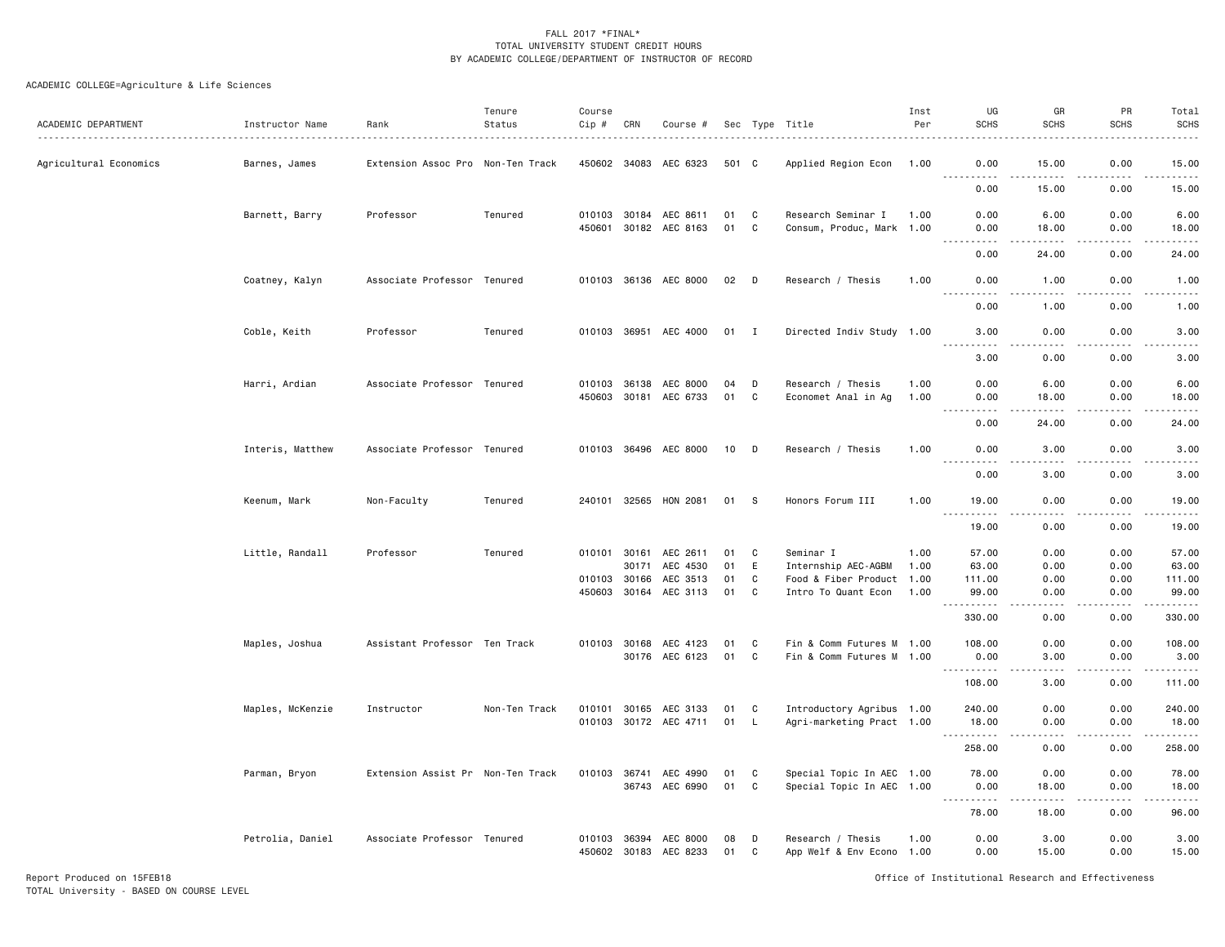| ACADEMIC DEPARTMENT    | Instructor Name  | Rank                              | Tenure<br>Status | Course<br>Cip # | CRN          | Course #              |        |          | Sec Type Title            | Inst<br>Per | UG<br><b>SCHS</b>    | GR<br><b>SCHS</b> | PR<br><b>SCHS</b>              | Total<br><b>SCHS</b>                                                                                                                                         |
|------------------------|------------------|-----------------------------------|------------------|-----------------|--------------|-----------------------|--------|----------|---------------------------|-------------|----------------------|-------------------|--------------------------------|--------------------------------------------------------------------------------------------------------------------------------------------------------------|
| Agricultural Economics | Barnes, James    | Extension Assoc Pro Non-Ten Track |                  |                 |              | 450602 34083 AEC 6323 | 501 C  |          | Applied Region Econ 1.00  |             | 0.00<br>.            | 15.00<br>.        | 0.00                           | 15.00                                                                                                                                                        |
|                        |                  |                                   |                  |                 |              |                       |        |          |                           |             | 0.00                 | 15.00             | 0.00                           | 15.00                                                                                                                                                        |
|                        | Barnett, Barry   | Professor                         | Tenured          |                 | 010103 30184 | AEC 8611              | 01     | C        | Research Seminar I        | 1.00        | 0.00                 | 6.00              | 0.00                           | 6.00                                                                                                                                                         |
|                        |                  |                                   |                  |                 |              | 450601 30182 AEC 8163 | 01     | C        | Consum, Produc, Mark 1.00 |             | 0.00<br>.            | 18.00             | 0.00                           | 18.00                                                                                                                                                        |
|                        |                  |                                   |                  |                 |              |                       |        |          |                           |             | 0.00                 | 24.00             | 0.00                           | 24.00                                                                                                                                                        |
|                        | Coatney, Kalyn   | Associate Professor Tenured       |                  |                 |              | 010103 36136 AEC 8000 | $02$ D |          | Research / Thesis         | 1.00        | 0.00<br>.            | 1.00<br>.         | 0.00<br>.                      | 1.00<br>.                                                                                                                                                    |
|                        |                  |                                   |                  |                 |              |                       |        |          |                           |             | 0.00                 | 1.00              | 0.00                           | 1.00                                                                                                                                                         |
|                        | Coble, Keith     | Professor                         | Tenured          |                 |              | 010103 36951 AEC 4000 | $01$ I |          | Directed Indiv Study 1.00 |             | 3.00                 | 0.00              | 0.00                           | 3.00                                                                                                                                                         |
|                        |                  |                                   |                  |                 |              |                       |        |          |                           |             | .<br>3.00            | .<br>0.00         | <b><i><u>.</u></i></b><br>0.00 | $\frac{1}{2} \left( \frac{1}{2} \right) \left( \frac{1}{2} \right) \left( \frac{1}{2} \right) \left( \frac{1}{2} \right)$<br>3.00                            |
|                        | Harri, Ardian    | Associate Professor Tenured       |                  |                 | 010103 36138 | AEC 8000              | 04     | D        | Research / Thesis         | 1.00        | 0.00                 | 6.00              | 0.00                           | 6.00                                                                                                                                                         |
|                        |                  |                                   |                  |                 |              | 450603 30181 AEC 6733 | 01     | C        | Economet Anal in Ag       | 1.00        | 0.00                 | 18.00             | 0.00                           | 18.00                                                                                                                                                        |
|                        |                  |                                   |                  |                 |              |                       |        |          |                           |             | $  -$<br>.<br>0.00   | .<br>24.00        | 0.00                           | 24.00                                                                                                                                                        |
|                        | Interis, Matthew | Associate Professor Tenured       |                  |                 |              | 010103 36496 AEC 8000 | 10     | $\Box$   | Research / Thesis         | 1.00        | 0.00                 | 3.00              | 0.00                           | 3.00                                                                                                                                                         |
|                        |                  |                                   |                  |                 |              |                       |        |          |                           |             | .<br>0.00            | .<br>3.00         | 0.00                           | $\frac{1}{2} \left( \frac{1}{2} \right) \left( \frac{1}{2} \right) \left( \frac{1}{2} \right) \left( \frac{1}{2} \right) \left( \frac{1}{2} \right)$<br>3.00 |
|                        | Keenum, Mark     | Non-Faculty                       | Tenured          |                 |              | 240101 32565 HON 2081 | 01     | <b>S</b> | Honors Forum III          | 1.00        | 19.00                | 0.00              | 0.00                           | 19.00                                                                                                                                                        |
|                        |                  |                                   |                  |                 |              |                       |        |          |                           |             | .<br>19.00           | .<br>0.00         | .<br>0.00                      | .<br>19.00                                                                                                                                                   |
|                        | Little, Randall  | Professor                         | Tenured          |                 | 010101 30161 | AEC 2611              | 01     | C        | Seminar I                 | 1.00        | 57.00                | 0.00              | 0.00                           | 57.00                                                                                                                                                        |
|                        |                  |                                   |                  |                 | 30171        | AEC 4530              | 01     | E        | Internship AEC-AGBM       | 1.00        | 63.00                | 0.00              | 0.00                           | 63.00                                                                                                                                                        |
|                        |                  |                                   |                  |                 | 010103 30166 | AEC 3513              | 01     | C<br>C   | Food & Fiber Product 1.00 |             | 111.00               | 0.00              | 0.00                           | 111.00                                                                                                                                                       |
|                        |                  |                                   |                  | 450603          | 30164        | AEC 3113              | 01     |          | Intro To Quant Econ       | 1.00        | 99.00<br>.           | 0.00              | 0.00                           | 99.00<br>.                                                                                                                                                   |
|                        |                  |                                   |                  |                 |              |                       |        |          |                           |             | 330.00               | 0.00              | 0.00                           | 330.00                                                                                                                                                       |
|                        | Maples, Joshua   | Assistant Professor Ten Track     |                  |                 |              | 010103 30168 AEC 4123 | 01     | C        | Fin & Comm Futures M 1.00 |             | 108.00               | 0.00              | 0.00                           | 108.00                                                                                                                                                       |
|                        |                  |                                   |                  |                 |              | 30176 AEC 6123        | 01     | C        | Fin & Comm Futures M 1.00 |             | 0.00<br>.            | 3.00<br>.         | 0.00<br>-----                  | 3.00<br>.                                                                                                                                                    |
|                        |                  |                                   |                  |                 |              |                       |        |          |                           |             | 108.00               | 3.00              | 0.00                           | 111.00                                                                                                                                                       |
|                        | Maples, McKenzie | Instructor                        | Non-Ten Track    |                 |              | 010101 30165 AEC 3133 | 01     | C        | Introductory Agribus 1.00 |             | 240.00               | 0.00              | 0.00                           | 240.00                                                                                                                                                       |
|                        |                  |                                   |                  |                 |              | 010103 30172 AEC 4711 | 01     | L.       | Agri-marketing Pract 1.00 |             | 18.00                | 0.00              | 0.00                           | 18.00                                                                                                                                                        |
|                        |                  |                                   |                  |                 |              |                       |        |          |                           |             | ----------<br>258.00 | .<br>0.00         | -----<br>0.00                  | .<br>258.00                                                                                                                                                  |
|                        | Parman, Bryon    | Extension Assist Pr Non-Ten Track |                  |                 | 010103 36741 | AEC 4990              | 01     | C        | Special Topic In AEC 1.00 |             | 78.00                | 0.00              | 0.00                           | 78.00                                                                                                                                                        |
|                        |                  |                                   |                  |                 |              | 36743 AEC 6990        | 01     | C        | Special Topic In AEC 1.00 |             | 0.00                 | 18.00             | 0.00                           | 18.00                                                                                                                                                        |
|                        |                  |                                   |                  |                 |              |                       |        |          |                           |             | -----<br>78.00       | .<br>18.00        | .<br>0.00                      | 96.00                                                                                                                                                        |
|                        | Petrolia, Daniel | Associate Professor Tenured       |                  |                 | 010103 36394 | AEC 8000              | 08     | D        | Research / Thesis         | 1.00        | 0.00                 | 3.00              | 0.00                           | 3.00                                                                                                                                                         |
|                        |                  |                                   |                  |                 | 450602 30183 | AEC 8233              | 01     | C        | App Welf & Env Econo 1.00 |             | 0.00                 | 15.00             | 0.00                           | 15.00                                                                                                                                                        |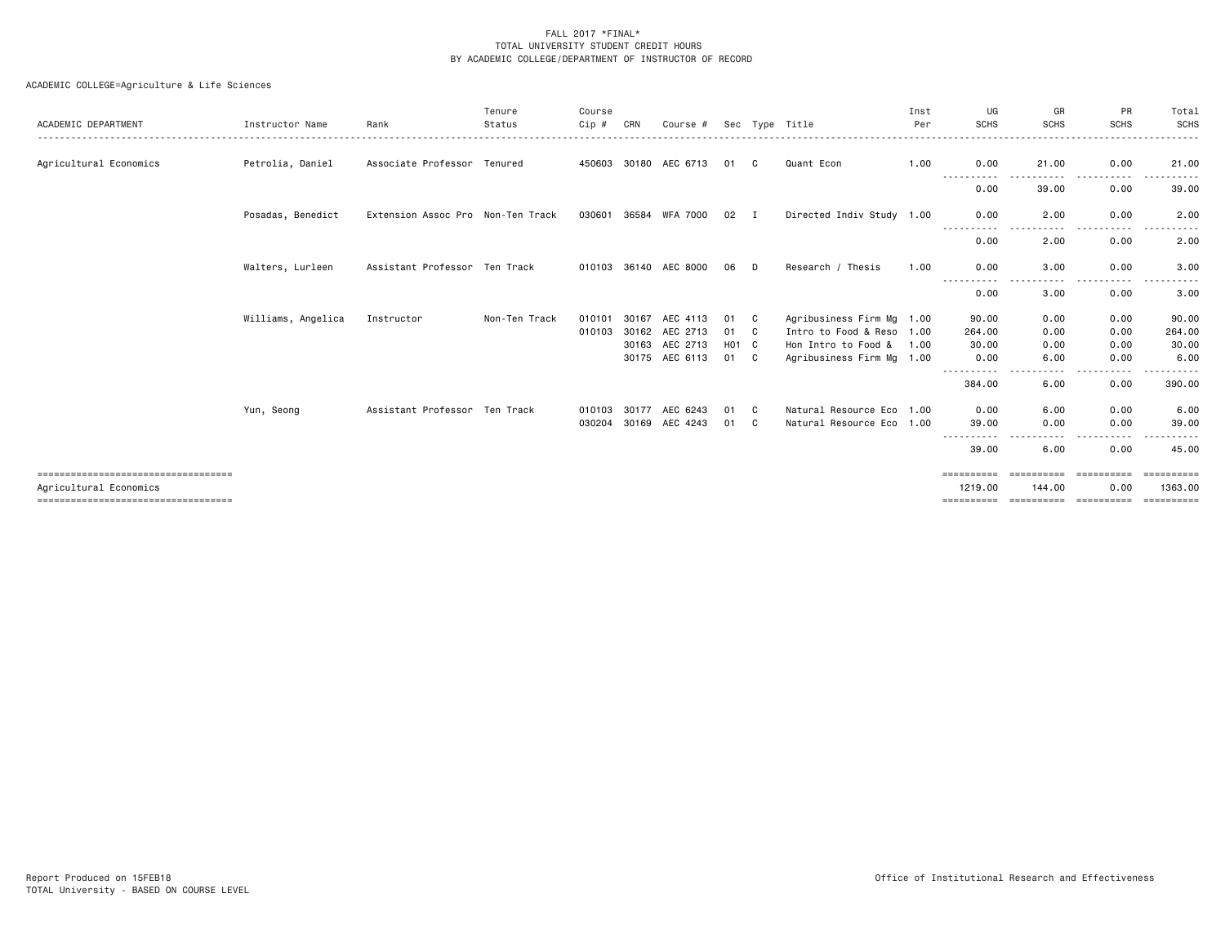| ACADEMIC DEPARTMENT                                            | Instructor Name    | Rank                              | Tenure<br>Status | Course<br>Cip # | CRN   | Course #              |       |                | Sec Type Title            | Inst<br>Per | UG<br><b>SCHS</b>     | GR<br><b>SCHS</b>                                                                                                                      | PR<br>SCHS         | Total<br><b>SCHS</b>  |
|----------------------------------------------------------------|--------------------|-----------------------------------|------------------|-----------------|-------|-----------------------|-------|----------------|---------------------------|-------------|-----------------------|----------------------------------------------------------------------------------------------------------------------------------------|--------------------|-----------------------|
| Agricultural Economics                                         | Petrolia, Daniel   | Associate Professor Tenured       |                  |                 |       | 450603 30180 AEC 6713 | 01    | C C            | Quant Econ                | 1.00        | 0.00                  | 21.00                                                                                                                                  | 0.00               | 21.00                 |
|                                                                |                    |                                   |                  |                 |       |                       |       |                |                           |             | 0.00                  | 39.00                                                                                                                                  | 0.00               | 39.00                 |
|                                                                | Posadas, Benedict  | Extension Assoc Pro Non-Ten Track |                  |                 |       | 030601 36584 WFA 7000 | 02    | $\blacksquare$ | Directed Indiv Study 1.00 |             | 0.00                  | 2.00                                                                                                                                   | 0.00               | 2.00                  |
|                                                                |                    |                                   |                  |                 |       |                       |       |                |                           |             | -----------<br>0.00   | $\frac{1}{2} \left( \frac{1}{2} \right) \left( \frac{1}{2} \right) \left( \frac{1}{2} \right) \left( \frac{1}{2} \right)$<br>.<br>2.00 | -----<br>0.00      | 2.00                  |
|                                                                | Walters, Lurleen   | Assistant Professor Ten Track     |                  |                 |       | 010103 36140 AEC 8000 | 06    | D              | Research / Thesis         | 1.00        | 0.00                  | 3.00                                                                                                                                   | 0.00               | 3.00                  |
|                                                                |                    |                                   |                  |                 |       |                       |       |                |                           |             | 0.00                  | 3.00                                                                                                                                   | 0.00               | 3.00                  |
|                                                                | Williams, Angelica | Instructor                        | Non-Ten Track    | 010101          | 30167 | AEC 4113              | 01    | $\mathbf{C}$   | Agribusiness Firm Mg 1.00 |             | 90.00                 | 0.00                                                                                                                                   | 0.00               | 90.00                 |
|                                                                |                    |                                   |                  | 010103          | 30162 | AEC 2713              | 01    | - C            | Intro to Food & Reso 1.00 |             | 264,00                | 0.00                                                                                                                                   | 0.00               | 264.00                |
|                                                                |                    |                                   |                  |                 | 30163 | AEC 2713              | H01 C |                | Hon Intro to Food & 1.00  |             | 30.00                 | 0.00                                                                                                                                   | 0.00               | 30.00                 |
|                                                                |                    |                                   |                  |                 |       | 30175 AEC 6113        | 01 C  |                | Agribusiness Firm Mg 1.00 |             | 0.00<br>.             | 6.00                                                                                                                                   | 0.00               | 6.00                  |
|                                                                |                    |                                   |                  |                 |       |                       |       |                |                           |             | 384,00                | 6.00                                                                                                                                   | 0.00               | 390.00                |
|                                                                | Yun, Seong         | Assistant Professor Ten Track     |                  | 010103          | 30177 | AEC 6243              | 01    | - C            | Natural Resource Eco 1.00 |             | 0.00                  | 6.00                                                                                                                                   | 0.00               | 6.00                  |
|                                                                |                    |                                   |                  | 030204          | 30169 | AEC 4243              | 01    | C              | Natural Resource Eco 1.00 |             | 39.00                 | 0.00                                                                                                                                   | 0.00               | 39.00                 |
|                                                                |                    |                                   |                  |                 |       |                       |       |                |                           |             | 39.00                 | 6.00                                                                                                                                   | 0.00               | 45.00                 |
| ====================================<br>Agricultural Economics |                    |                                   |                  |                 |       |                       |       |                |                           |             | ==========<br>1219.00 | ==========<br>144.00                                                                                                                   | ==========<br>0.00 | ==========<br>1363.00 |
| ====================================                           |                    |                                   |                  |                 |       |                       |       |                |                           |             | ==========            | ==========                                                                                                                             | ==========         |                       |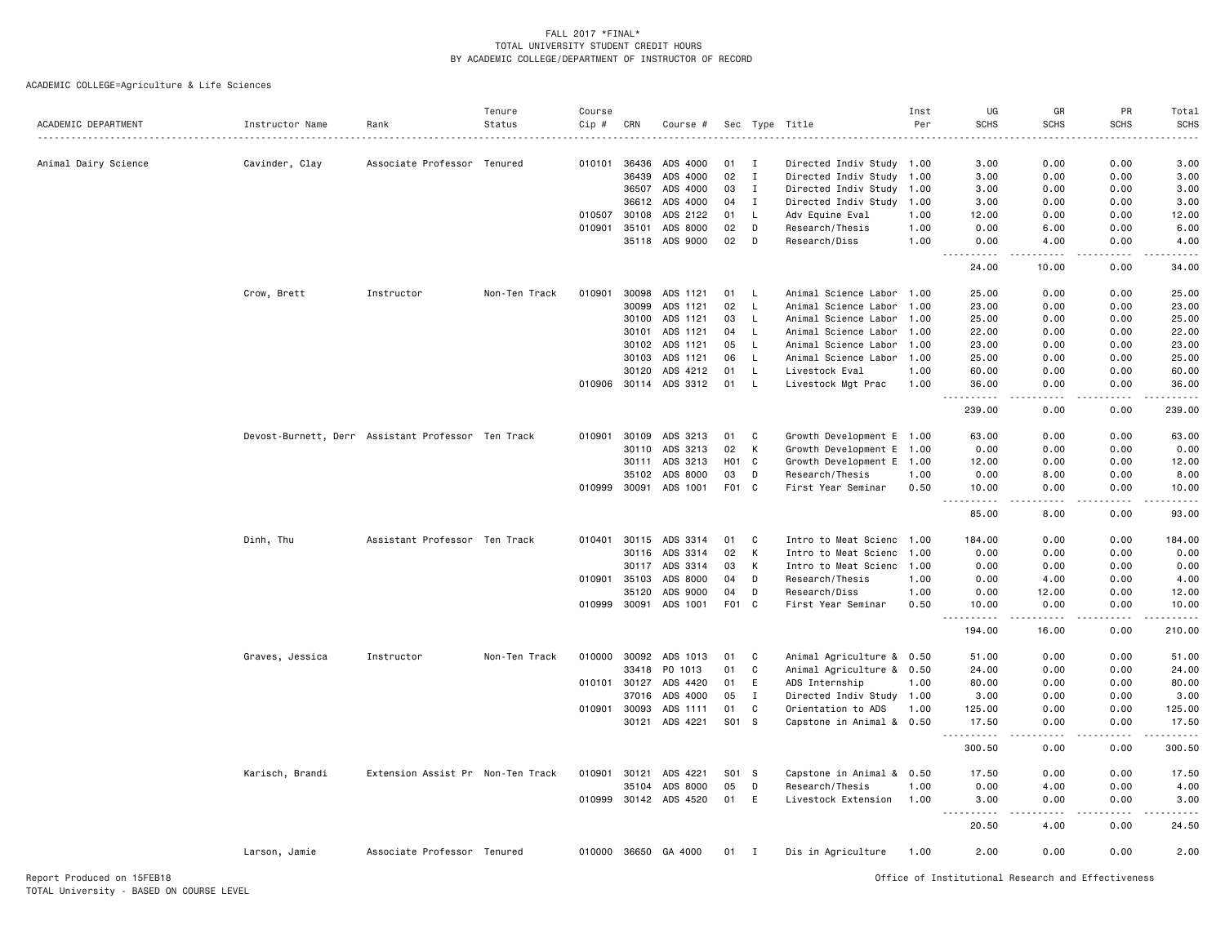|                      |                                                    |                                   | Tenure        | Course |              |                       |                  |              |                           | Inst | UG                                                                                                                                                                                    | GR               | PR            | Total                                                                                                                                                               |
|----------------------|----------------------------------------------------|-----------------------------------|---------------|--------|--------------|-----------------------|------------------|--------------|---------------------------|------|---------------------------------------------------------------------------------------------------------------------------------------------------------------------------------------|------------------|---------------|---------------------------------------------------------------------------------------------------------------------------------------------------------------------|
| ACADEMIC DEPARTMENT  | Instructor Name                                    | Rank                              | Status        | Cip #  | CRN          | Course #              |                  |              | Sec Type Title            | Per  | <b>SCHS</b>                                                                                                                                                                           | <b>SCHS</b><br>. | <b>SCHS</b>   | <b>SCHS</b><br>$\frac{1}{2} \left( \frac{1}{2} \right) \left( \frac{1}{2} \right) \left( \frac{1}{2} \right) \left( \frac{1}{2} \right) \left( \frac{1}{2} \right)$ |
| Animal Dairy Science | Cavinder, Clay                                     | Associate Professor Tenured       |               |        | 010101 36436 | ADS 4000              | 01               | $\mathbf{I}$ | Directed Indiv Study 1.00 |      | 3.00                                                                                                                                                                                  | 0.00             | 0.00          | 3.00                                                                                                                                                                |
|                      |                                                    |                                   |               |        | 36439        | ADS 4000              | 02               | $\mathbf I$  | Directed Indiv Study      | 1.00 | 3.00                                                                                                                                                                                  | 0.00             | 0.00          | 3.00                                                                                                                                                                |
|                      |                                                    |                                   |               |        | 36507        | ADS 4000              | 03               | $\mathbf I$  | Directed Indiv Study      | 1.00 | 3.00                                                                                                                                                                                  | 0.00             | 0.00          | 3.00                                                                                                                                                                |
|                      |                                                    |                                   |               |        | 36612        | ADS 4000              | 04               | $\mathbf I$  | Directed Indiv Study      | 1.00 | 3.00                                                                                                                                                                                  | 0.00             | 0.00          | 3.00                                                                                                                                                                |
|                      |                                                    |                                   |               | 010507 | 30108        | ADS 2122              | 01               | L.           | Adv Equine Eval           | 1.00 | 12.00                                                                                                                                                                                 | 0.00             | 0.00          | 12.00                                                                                                                                                               |
|                      |                                                    |                                   |               | 010901 | 35101        | ADS 8000              | 02               | D            | Research/Thesis           | 1.00 | 0.00                                                                                                                                                                                  | 6.00             | 0.00          | 6.00                                                                                                                                                                |
|                      |                                                    |                                   |               |        | 35118        | ADS 9000              | 02               | D            | Research/Diss             | 1.00 | 0.00<br>2.2.2.2.2                                                                                                                                                                     | 4.00<br>.        | 0.00<br>.     | 4.00<br>.                                                                                                                                                           |
|                      |                                                    |                                   |               |        |              |                       |                  |              |                           |      | 24.00                                                                                                                                                                                 | 10.00            | 0.00          | 34.00                                                                                                                                                               |
|                      | Crow, Brett                                        | Instructor                        | Non-Ten Track | 010901 | 30098        | ADS 1121              | 01               | L            | Animal Science Labor 1.00 |      | 25.00                                                                                                                                                                                 | 0.00             | 0.00          | 25.00                                                                                                                                                               |
|                      |                                                    |                                   |               |        | 30099        | ADS 1121              | 02               | L            | Animal Science Labor 1.00 |      | 23.00                                                                                                                                                                                 | 0.00             | 0.00          | 23.00                                                                                                                                                               |
|                      |                                                    |                                   |               |        | 30100        | ADS 1121              | 03               | L            | Animal Science Labor      | 1.00 | 25.00                                                                                                                                                                                 | 0.00             | 0.00          | 25.00                                                                                                                                                               |
|                      |                                                    |                                   |               |        | 30101        | ADS 1121              | 04               | $\mathsf{L}$ | Animal Science Labor      | 1.00 | 22.00                                                                                                                                                                                 | 0.00             | 0.00          | 22.00                                                                                                                                                               |
|                      |                                                    |                                   |               |        | 30102        | ADS 1121              | 05               | L            | Animal Science Labor      | 1.00 | 23.00                                                                                                                                                                                 | 0.00             | 0.00          | 23.00                                                                                                                                                               |
|                      |                                                    |                                   |               |        | 30103        | ADS 1121              | 06               | L            | Animal Science Labor 1.00 |      | 25.00                                                                                                                                                                                 | 0.00             | 0.00          | 25.00                                                                                                                                                               |
|                      |                                                    |                                   |               |        | 30120        | ADS 4212              | 01               | L.           | Livestock Eval            | 1.00 | 60.00                                                                                                                                                                                 | 0.00             | 0.00          | 60.00                                                                                                                                                               |
|                      |                                                    |                                   |               |        | 010906 30114 | ADS 3312              | 01               | L            | Livestock Mgt Prac        | 1.00 | 36.00<br>.                                                                                                                                                                            | 0.00<br>د د د د  | 0.00<br>.     | 36.00<br><u>.</u>                                                                                                                                                   |
|                      |                                                    |                                   |               |        |              |                       |                  |              |                           |      | 239.00                                                                                                                                                                                | 0.00             | 0.00          | 239.00                                                                                                                                                              |
|                      | Devost-Burnett, Derr Assistant Professor Ten Track |                                   |               | 010901 | 30109        | ADS 3213              | 01               | C            | Growth Development E 1.00 |      | 63.00                                                                                                                                                                                 | 0.00             | 0.00          | 63.00                                                                                                                                                               |
|                      |                                                    |                                   |               |        | 30110        | ADS 3213              | 02               | K            | Growth Development E 1.00 |      | 0.00                                                                                                                                                                                  | 0.00             | 0.00          | 0.00                                                                                                                                                                |
|                      |                                                    |                                   |               |        | 30111        | ADS 3213              | H <sub>0</sub> 1 | C            | Growth Development E 1.00 |      | 12.00                                                                                                                                                                                 | 0.00             | 0.00          | 12.00                                                                                                                                                               |
|                      |                                                    |                                   |               |        | 35102        | ADS 8000              | 03               | D            | Research/Thesis           | 1.00 | 0.00                                                                                                                                                                                  | 8.00             | 0.00          | 8.00                                                                                                                                                                |
|                      |                                                    |                                   |               | 010999 | 30091        | ADS 1001              | F <sub>01</sub>  | C            | First Year Seminar        | 0.50 | 10.00                                                                                                                                                                                 | 0.00             | 0.00          | 10.00                                                                                                                                                               |
|                      |                                                    |                                   |               |        |              |                       |                  |              |                           |      | $\sim$ $\sim$ $\sim$<br>$\frac{1}{2} \left( \frac{1}{2} \right) \left( \frac{1}{2} \right) \left( \frac{1}{2} \right) \left( \frac{1}{2} \right) \left( \frac{1}{2} \right)$<br>85.00 | .<br>8.00        | .<br>0.00     | $\frac{1}{2}$<br>93.00                                                                                                                                              |
|                      | Dinh, Thu                                          | Assistant Professor Ten Track     |               | 010401 | 30115        | ADS 3314              | 01               | C            | Intro to Meat Scienc      | 1.00 | 184.00                                                                                                                                                                                | 0.00             | 0.00          | 184,00                                                                                                                                                              |
|                      |                                                    |                                   |               |        | 30116        | ADS 3314              | 02               | K            | Intro to Meat Scienc      | 1.00 | 0.00                                                                                                                                                                                  | 0.00             | 0.00          | 0.00                                                                                                                                                                |
|                      |                                                    |                                   |               |        | 30117        | ADS 3314              | 03               | K            | Intro to Meat Scienc 1.00 |      | 0.00                                                                                                                                                                                  | 0.00             | 0.00          | 0.00                                                                                                                                                                |
|                      |                                                    |                                   |               |        | 010901 35103 | ADS 8000              | 04               | D            | Research/Thesis           | 1.00 | 0.00                                                                                                                                                                                  | 4.00             | 0.00          | 4.00                                                                                                                                                                |
|                      |                                                    |                                   |               |        | 35120        | ADS 9000              | 04               | D            | Research/Diss             | 1.00 | 0.00                                                                                                                                                                                  | 12.00            | 0.00          | 12.00                                                                                                                                                               |
|                      |                                                    |                                   |               | 010999 | 30091        | ADS 1001              | F <sub>0</sub> 1 | C            | First Year Seminar        | 0.50 | 10.00<br>.                                                                                                                                                                            | 0.00<br>.        | 0.00<br>.     | 10.00<br>.                                                                                                                                                          |
|                      |                                                    |                                   |               |        |              |                       |                  |              |                           |      | 194.00                                                                                                                                                                                | 16.00            | 0.00          | 210.00                                                                                                                                                              |
|                      | Graves, Jessica                                    | Instructor                        | Non-Ten Track | 010000 | 30092        | ADS 1013              | 01               | C            | Animal Agriculture & 0.50 |      | 51.00                                                                                                                                                                                 | 0.00             | 0.00          | 51.00                                                                                                                                                               |
|                      |                                                    |                                   |               |        | 33418        | PO 1013               | 01               | C            | Animal Agriculture & 0.50 |      | 24.00                                                                                                                                                                                 | 0.00             | 0.00          | 24.00                                                                                                                                                               |
|                      |                                                    |                                   |               | 010101 | 30127        | ADS 4420              | 01               | E            | ADS Internship            | 1.00 | 80.00                                                                                                                                                                                 | 0.00             | 0.00          | 80.00                                                                                                                                                               |
|                      |                                                    |                                   |               |        | 37016        | ADS 4000              | 05               | $\mathbf I$  | Directed Indiv Study 1.00 |      | 3.00                                                                                                                                                                                  | 0.00             | 0.00          | 3.00                                                                                                                                                                |
|                      |                                                    |                                   |               |        | 010901 30093 | ADS 1111              | 01               | C            | Orientation to ADS        | 1.00 | 125.00                                                                                                                                                                                | 0.00             | 0.00          | 125.00                                                                                                                                                              |
|                      |                                                    |                                   |               |        | 30121        | ADS 4221              | S01              | S.           | Capstone in Animal & 0.50 |      | 17.50<br><b>.</b><br>$\sim$ $\sim$ $\sim$                                                                                                                                             | 0.00<br>.        | 0.00<br>22222 | 17.50<br>.                                                                                                                                                          |
|                      |                                                    |                                   |               |        |              |                       |                  |              |                           |      | 300.50                                                                                                                                                                                | 0.00             | 0.00          | 300.50                                                                                                                                                              |
|                      | Karisch, Brandi                                    | Extension Assist Pr Non-Ten Track |               | 010901 | 30121        | ADS 4221              | S01              | - S          | Capstone in Animal & 0.50 |      | 17.50                                                                                                                                                                                 | 0.00             | 0.00          | 17.50                                                                                                                                                               |
|                      |                                                    |                                   |               |        | 35104        | ADS 8000              | 05               | D            | Research/Thesis           | 1.00 | 0.00                                                                                                                                                                                  | 4.00             | 0.00          | 4.00                                                                                                                                                                |
|                      |                                                    |                                   |               |        |              | 010999 30142 ADS 4520 | 01               | E            | Livestock Extension       | 1.00 | 3.00                                                                                                                                                                                  | 0.00             | 0.00          | 3.00                                                                                                                                                                |
|                      |                                                    |                                   |               |        |              |                       |                  |              |                           |      | 20.50                                                                                                                                                                                 | 4.00             | 0.00          | 24.50                                                                                                                                                               |
|                      | Larson, Jamie                                      | Associate Professor Tenured       |               |        |              | 010000 36650 GA 4000  | 01 I             |              | Dis in Agriculture        | 1.00 | 2.00                                                                                                                                                                                  | 0.00             | 0.00          | 2.00                                                                                                                                                                |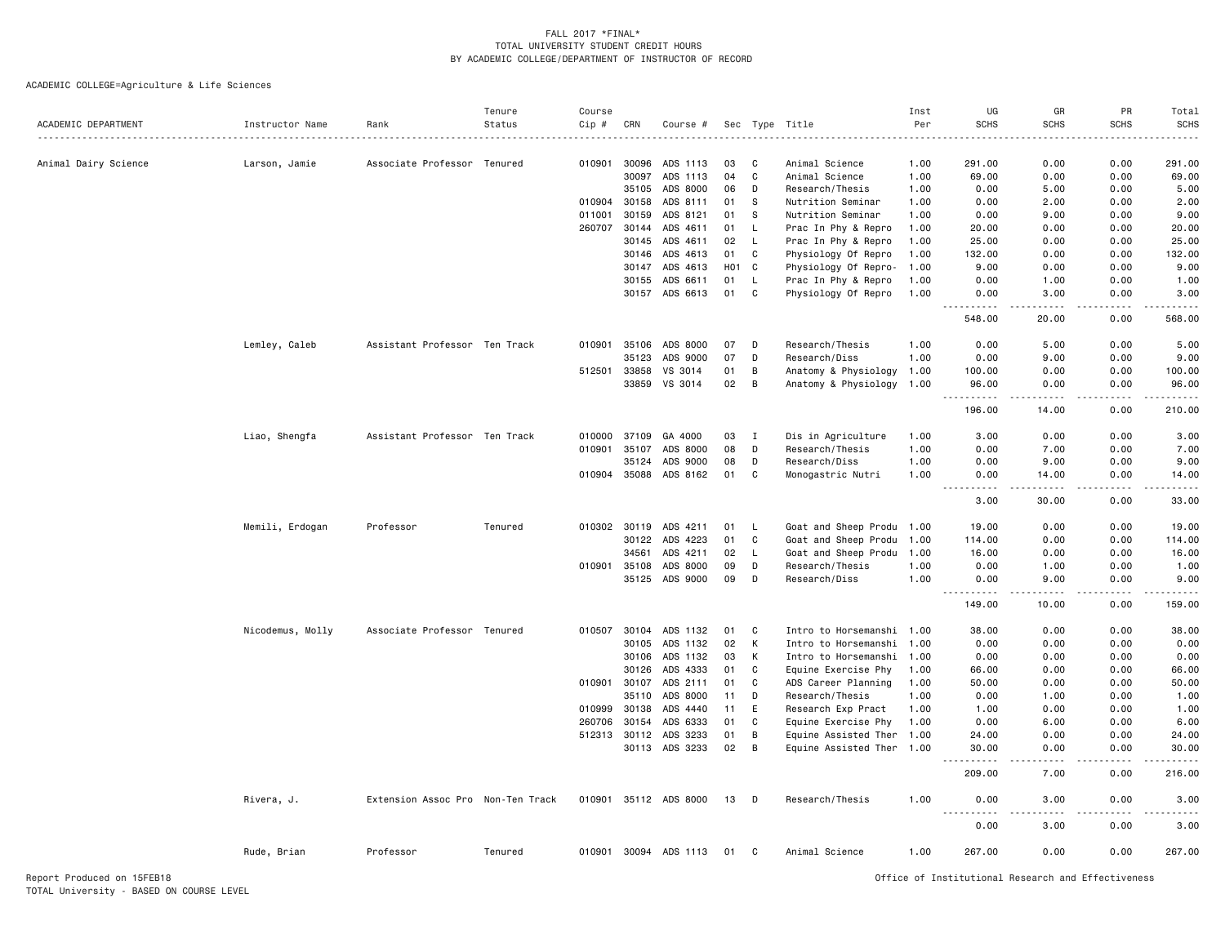| ACADEMIC DEPARTMENT  | Instructor Name  | Rank                              | Tenure<br>Status | Course<br>Cip # | CRN          | Course #              |     | Sec Type       | Title                     | Inst<br>Per | UG<br><b>SCHS</b>                                                                                                                                                       | GR<br><b>SCHS</b>      | PR<br><b>SCHS</b>              | Total<br><b>SCHS</b>  |
|----------------------|------------------|-----------------------------------|------------------|-----------------|--------------|-----------------------|-----|----------------|---------------------------|-------------|-------------------------------------------------------------------------------------------------------------------------------------------------------------------------|------------------------|--------------------------------|-----------------------|
|                      |                  |                                   |                  |                 |              |                       |     |                |                           |             |                                                                                                                                                                         |                        |                                | .                     |
| Animal Dairy Science | Larson, Jamie    | Associate Professor Tenured       |                  | 010901          | 30096        | ADS 1113              | 03  | C              | Animal Science            | 1.00        | 291.00                                                                                                                                                                  | 0.00                   | 0.00                           | 291.00                |
|                      |                  |                                   |                  |                 | 30097        | ADS 1113              | 04  | C              | Animal Science            | 1.00        | 69.00                                                                                                                                                                   | 0.00                   | 0.00                           | 69.00                 |
|                      |                  |                                   |                  |                 | 35105        | ADS 8000              | 06  | D              | Research/Thesis           | 1.00        | 0.00                                                                                                                                                                    | 5.00                   | 0.00                           | 5.00                  |
|                      |                  |                                   |                  |                 | 010904 30158 | ADS 8111              | 01  | s              | Nutrition Seminar         | 1.00        | 0.00                                                                                                                                                                    | 2.00                   | 0.00                           | 2.00                  |
|                      |                  |                                   |                  | 011001          | 30159        | ADS 8121              | 01  | s              | Nutrition Seminar         | 1.00        | 0.00                                                                                                                                                                    | 9.00                   | 0.00                           | 9.00                  |
|                      |                  |                                   |                  | 260707          | 30144        | ADS 4611              | 01  | L              | Prac In Phy & Repro       | 1.00        | 20.00                                                                                                                                                                   | 0.00                   | 0.00                           | 20.00                 |
|                      |                  |                                   |                  |                 | 30145        | ADS 4611              | 02  | L              | Prac In Phy & Repro       | 1.00        | 25.00                                                                                                                                                                   | 0.00                   | 0.00                           | 25.00                 |
|                      |                  |                                   |                  |                 | 30146        | ADS 4613              | 01  | C              | Physiology Of Repro       | 1.00        | 132.00                                                                                                                                                                  | 0.00                   | 0.00                           | 132.00                |
|                      |                  |                                   |                  |                 | 30147        | ADS 4613              | H01 | C              | Physiology Of Repro-      | 1.00        | 9.00                                                                                                                                                                    | 0.00                   | 0.00                           | 9.00                  |
|                      |                  |                                   |                  |                 | 30155        | ADS 6611              | 01  | L              | Prac In Phy & Repro       | 1.00        | 0.00                                                                                                                                                                    | 1.00                   | 0.00                           | 1.00                  |
|                      |                  |                                   |                  |                 | 30157        | ADS 6613              | 01  | $\mathtt{C}$   | Physiology Of Repro       | 1.00        | 0.00<br>د د د د د                                                                                                                                                       | 3.00<br>.              | 0.00<br>.                      | 3.00<br>.             |
|                      |                  |                                   |                  |                 |              |                       |     |                |                           |             | 548.00                                                                                                                                                                  | 20.00                  | 0.00                           | 568.00                |
|                      | Lemley, Caleb    | Assistant Professor Ten Track     |                  | 010901          | 35106        | ADS 8000              | 07  | D              | Research/Thesis           | 1.00        | 0.00                                                                                                                                                                    | 5.00                   | 0.00                           | 5.00                  |
|                      |                  |                                   |                  |                 | 35123        | ADS 9000              | 07  | D              | Research/Diss             | 1.00        | 0.00                                                                                                                                                                    | 9.00                   | 0.00                           | 9.00                  |
|                      |                  |                                   |                  | 512501          | 33858        | VS 3014               | 01  | B              | Anatomy & Physiology      | 1.00        | 100.00                                                                                                                                                                  | 0.00                   | 0.00                           | 100.00                |
|                      |                  |                                   |                  |                 | 33859        | VS 3014               | 02  | B              | Anatomy & Physiology      | 1.00        | 96.00<br>.                                                                                                                                                              | 0.00<br>.              | 0.00<br>.                      | 96.00<br>.            |
|                      |                  |                                   |                  |                 |              |                       |     |                |                           |             | 196.00                                                                                                                                                                  | 14.00                  | 0.00                           | 210.00                |
|                      | Liao, Shengfa    | Assistant Professor Ten Track     |                  | 010000          | 37109        | GA 4000               | 03  | $\mathbf{I}$   | Dis in Agriculture        | 1.00        | 3.00                                                                                                                                                                    | 0.00                   | 0.00                           | 3.00                  |
|                      |                  |                                   |                  | 010901          | 35107        | ADS 8000              | 08  | D              | Research/Thesis           | 1.00        | 0.00                                                                                                                                                                    | 7.00                   | 0.00                           | 7.00                  |
|                      |                  |                                   |                  |                 | 35124        | ADS 9000              | 08  | D              | Research/Diss             | 1.00        | 0.00                                                                                                                                                                    | 9.00                   | 0.00                           | 9.00                  |
|                      |                  |                                   |                  |                 |              | 010904 35088 ADS 8162 | 01  | C              | Monogastric Nutri         | 1.00        | 0.00<br>$\sim$ $\sim$ $\sim$<br>.                                                                                                                                       | 14.00<br>$\frac{1}{2}$ | 0.00<br><u>.</u>               | 14.00<br>.            |
|                      |                  |                                   |                  |                 |              |                       |     |                |                           |             | 3.00                                                                                                                                                                    | 30.00                  | 0.00                           | 33.00                 |
|                      | Memili, Erdogan  | Professor                         | Tenured          |                 | 010302 30119 | ADS 4211              | 01  | L              | Goat and Sheep Produ 1.00 |             | 19.00                                                                                                                                                                   | 0.00                   | 0.00                           | 19.00                 |
|                      |                  |                                   |                  |                 | 30122        | ADS 4223              | 01  | C              | Goat and Sheep Produ      | 1.00        | 114.00                                                                                                                                                                  | 0.00                   | 0.00                           | 114.00                |
|                      |                  |                                   |                  |                 | 34561        | ADS 4211              | 02  | L              | Goat and Sheep Produ      | 1.00        | 16.00                                                                                                                                                                   | 0.00                   | 0.00                           | 16.00                 |
|                      |                  |                                   |                  |                 | 010901 35108 | ADS 8000              | 09  | D              | Research/Thesis           | 1.00        | 0.00                                                                                                                                                                    | 1.00                   | 0.00                           | 1.00                  |
|                      |                  |                                   |                  |                 | 35125        | ADS 9000              | 09  | D              | Research/Diss             | 1.00        | 0.00<br>$  -$<br>.                                                                                                                                                      | 9.00<br>.              | 0.00<br><b><i><u>.</u></i></b> | 9.00<br>وعاماته مالان |
|                      |                  |                                   |                  |                 |              |                       |     |                |                           |             | 149.00                                                                                                                                                                  | 10.00                  | 0.00                           | 159.00                |
|                      | Nicodemus, Molly | Associate Professor Tenured       |                  | 010507          | 30104        | ADS 1132              | 01  | C              | Intro to Horsemanshi 1.00 |             | 38.00                                                                                                                                                                   | 0.00                   | 0.00                           | 38.00                 |
|                      |                  |                                   |                  |                 | 30105        | ADS 1132              | 02  | К              | Intro to Horsemanshi 1.00 |             | 0.00                                                                                                                                                                    | 0.00                   | 0.00                           | 0.00                  |
|                      |                  |                                   |                  |                 | 30106        | ADS 1132              | 03  | к              | Intro to Horsemanshi 1.00 |             | 0.00                                                                                                                                                                    | 0.00                   | 0.00                           | 0.00                  |
|                      |                  |                                   |                  |                 | 30126        | ADS 4333              | 01  | C              | Equine Exercise Phy       | 1.00        | 66.00                                                                                                                                                                   | 0.00                   | 0.00                           | 66.00                 |
|                      |                  |                                   |                  | 010901          | 30107        | ADS 2111              | 01  | C              | ADS Career Planning       | 1.00        | 50.00                                                                                                                                                                   | 0.00                   | 0.00                           | 50.00                 |
|                      |                  |                                   |                  |                 | 35110        | ADS 8000              | 11  | D              | Research/Thesis           | 1.00        | 0.00                                                                                                                                                                    | 1.00                   | 0.00                           | 1.00                  |
|                      |                  |                                   |                  | 010999          | 30138        | ADS 4440              | 11  | E              | Research Exp Pract        | 1.00        | 1.00                                                                                                                                                                    | 0.00                   | 0.00                           | 1.00                  |
|                      |                  |                                   |                  | 260706          | 30154        | ADS 6333              | 01  | C              | Equine Exercise Phy       | 1.00        | 0.00                                                                                                                                                                    | 6.00                   | 0.00                           | 6.00                  |
|                      |                  |                                   |                  |                 | 512313 30112 | ADS 3233              | 01  | B              | Equine Assisted Ther 1.00 |             | 24.00                                                                                                                                                                   | 0.00                   | 0.00                           | 24.00                 |
|                      |                  |                                   |                  |                 |              | 30113 ADS 3233        | 02  | $\overline{B}$ | Equine Assisted Ther 1.00 |             | 30.00<br>$\sim$<br>$\frac{1}{2} \left( \frac{1}{2} \right) \left( \frac{1}{2} \right) \left( \frac{1}{2} \right) \left( \frac{1}{2} \right) \left( \frac{1}{2} \right)$ | 0.00<br>.              | 0.00<br>.                      | 30.00                 |
|                      |                  |                                   |                  |                 |              |                       |     |                |                           |             | 209.00                                                                                                                                                                  | 7.00                   | 0.00                           | 216.00                |
|                      | Rivera, J.       | Extension Assoc Pro Non-Ten Track |                  |                 |              | 010901 35112 ADS 8000 | 13  | $\Box$         | Research/Thesis           | 1.00        | 0.00<br>$\sim$ $\sim$ $\sim$                                                                                                                                            | 3.00                   | 0.00                           | 3.00                  |
|                      |                  |                                   |                  |                 |              |                       |     |                |                           |             | 0.00                                                                                                                                                                    | 3.00                   | 0.00                           | 3.00                  |
|                      | Rude, Brian      | Professor                         | Tenured          |                 |              | 010901 30094 ADS 1113 | 01  | C              | Animal Science            | 1.00        | 267.00                                                                                                                                                                  | 0.00                   | 0.00                           | 267.00                |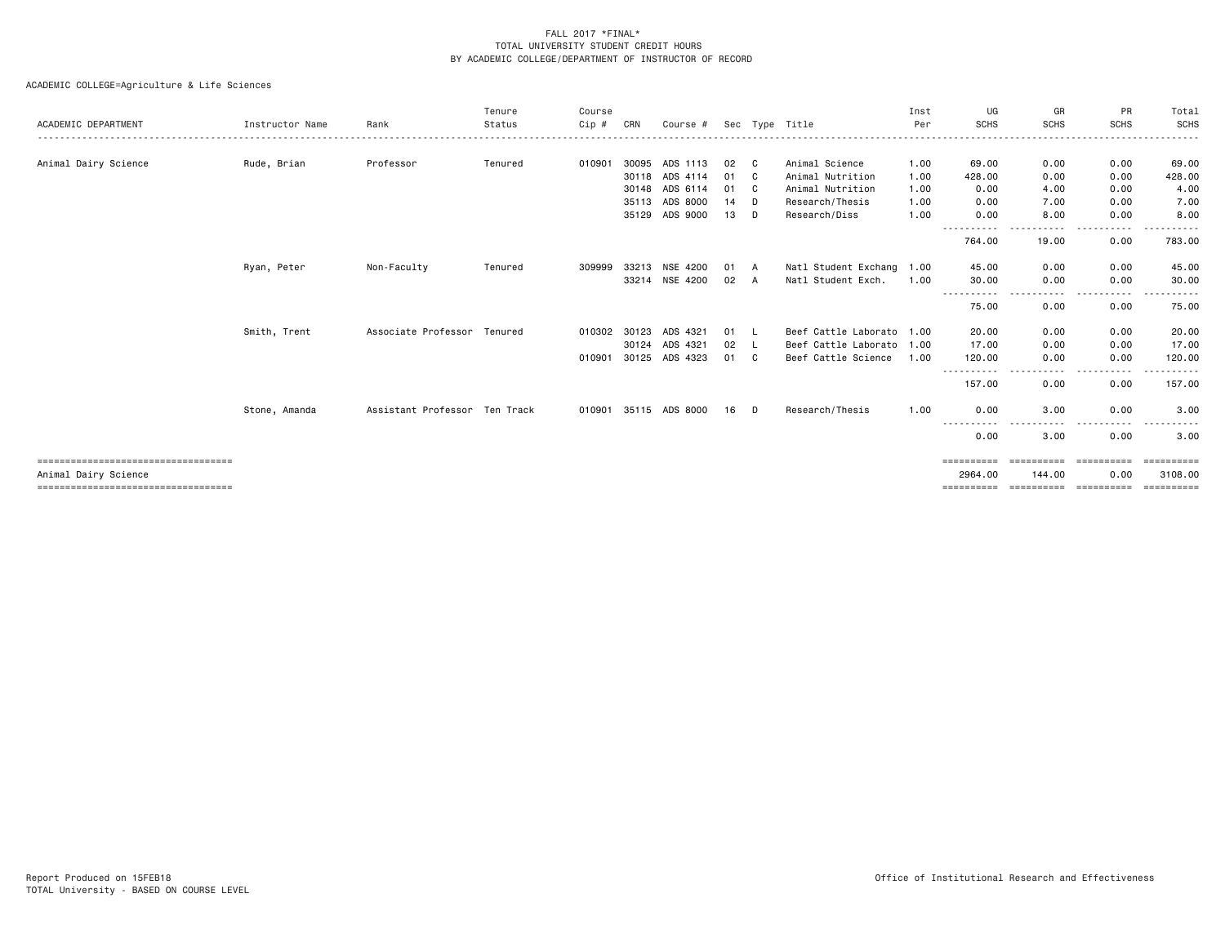| ACADEMIC DEPARTMENT                 | Instructor Name | Rank                          | Tenure<br>Status | Course<br>Cip # | CRN   | Course #              |    |              | Sec Type Title            | Inst<br>Per | UG<br><b>SCHS</b>               | GR<br><b>SCHS</b>    | PR<br><b>SCHS</b> | Total<br><b>SCHS</b> |
|-------------------------------------|-----------------|-------------------------------|------------------|-----------------|-------|-----------------------|----|--------------|---------------------------|-------------|---------------------------------|----------------------|-------------------|----------------------|
|                                     |                 |                               |                  |                 |       |                       |    |              |                           |             |                                 |                      |                   |                      |
| Animal Dairy Science                | Rude, Brian     | Professor                     | Tenured          | 010901          | 30095 | ADS 1113              | 02 | C.           | Animal Science            | 1.00        | 69.00                           | 0.00                 | 0.00              | 69.00                |
|                                     |                 |                               |                  |                 | 30118 | ADS 4114              | 01 | C.           | Animal Nutrition          | 1.00        | 428.00                          | 0.00                 | 0.00              | 428.00               |
|                                     |                 |                               |                  |                 |       | 30148 ADS 6114        | 01 | C.           | Animal Nutrition          | 1.00        | 0.00                            | 4.00                 | 0.00              | 4.00                 |
|                                     |                 |                               |                  |                 |       | 35113 ADS 8000        | 14 | D            | Research/Thesis           | 1.00        | 0.00                            | 7.00                 | 0.00              | 7.00                 |
|                                     |                 |                               |                  |                 |       | 35129 ADS 9000        | 13 | D            | Research/Diss             | 1.00        | 0.00<br>.                       | 8.00<br>-----        | 0.00<br>-----     | 8.00<br>.            |
|                                     |                 |                               |                  |                 |       |                       |    |              |                           |             | 764.00                          | 19.00                | 0.00              | 783.00               |
|                                     | Ryan, Peter     | Non-Faculty                   | Tenured          | 309999          |       | 33213 NSE 4200        | 01 | A            | Natl Student Exchang 1.00 |             | 45.00                           | 0.00                 | 0.00              | 45.00                |
|                                     |                 |                               |                  |                 |       | 33214 NSE 4200        | 02 | A            | Natl Student Exch.        | 1.00        | 30.00                           | 0.00                 | 0.00              | 30.00                |
|                                     |                 |                               |                  |                 |       |                       |    |              |                           |             | - - - - - - - - - - -           | .                    | .<br>$\cdots$     | .                    |
|                                     |                 |                               |                  |                 |       |                       |    |              |                           |             | 75.00                           | 0.00                 | 0.00              | 75.00                |
|                                     | Smith, Trent    | Associate Professor Tenured   |                  | 010302 30123    |       | ADS 4321              | 01 | $\mathsf{L}$ | Beef Cattle Laborato 1.00 |             | 20.00                           | 0.00                 | 0.00              | 20.00                |
|                                     |                 |                               |                  |                 | 30124 | ADS 4321              | 02 | - L          | Beef Cattle Laborato      | 1.00        | 17.00                           | 0.00                 | 0.00              | 17.00                |
|                                     |                 |                               |                  | 010901          | 30125 | ADS 4323              | 01 | C            | Beef Cattle Science       | 1.00        | 120.00                          | 0.00                 | 0.00              | 120.00               |
|                                     |                 |                               |                  |                 |       |                       |    |              |                           |             | - - - - - - - - - - -<br>157.00 | . <u>.</u> .<br>0.00 | 0.00              | .<br>157.00          |
|                                     | Stone, Amanda   | Assistant Professor Ten Track |                  |                 |       | 010901 35115 ADS 8000 | 16 | D            | Research/Thesis           | 1.00        | 0.00                            | 3.00                 | 0.00              | 3.00                 |
|                                     |                 |                               |                  |                 |       |                       |    |              |                           |             | 0.00                            | 3.00                 | 0.00              | 3.00                 |
| =================================== |                 |                               |                  |                 |       |                       |    |              |                           |             | ==========                      | essessesse           | -----------       | <b>ESSESSESS</b>     |
| Animal Dairy Science                |                 |                               |                  |                 |       |                       |    |              |                           |             | 2964.00                         | 144.00               | 0.00              | 3108.00              |
| =================================== |                 |                               |                  |                 |       |                       |    |              |                           |             | ==========                      | ==========           | ==========        | ==========           |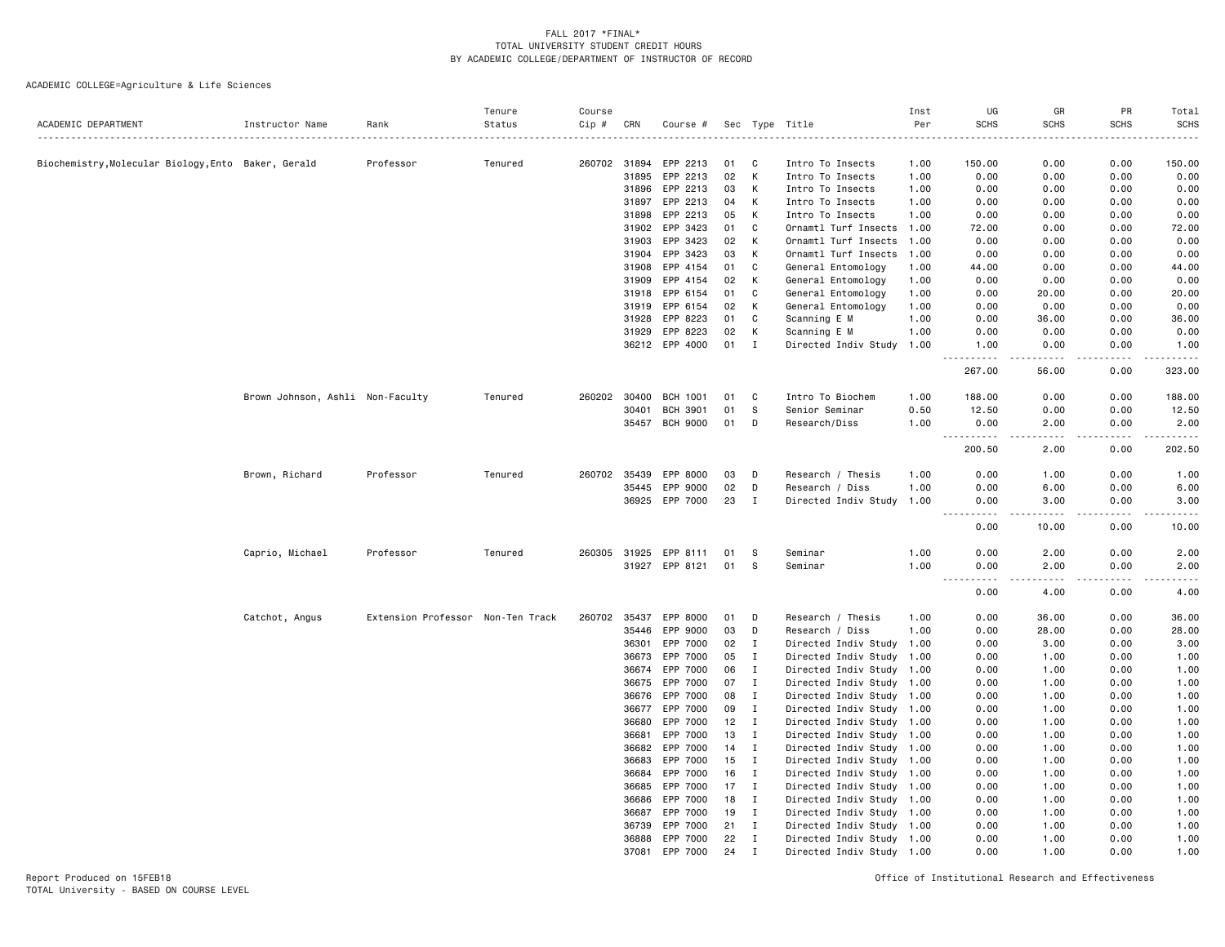|                                                     |                                  |                                   | Tenure  | Course       |              |                 |     |              |                           | Inst | UG                               | GR              | PR          | Total                       |
|-----------------------------------------------------|----------------------------------|-----------------------------------|---------|--------------|--------------|-----------------|-----|--------------|---------------------------|------|----------------------------------|-----------------|-------------|-----------------------------|
| ACADEMIC DEPARTMENT                                 | Instructor Name                  | Rank                              | Status  | Cip #        | CRN          | Course #        | Sec |              | Type Title                | Per  | <b>SCHS</b>                      | <b>SCHS</b>     | <b>SCHS</b> | <b>SCHS</b>                 |
| Biochemistry, Molecular Biology, Ento Baker, Gerald |                                  | Professor                         | Tenured |              | 260702 31894 | EPP 2213        | 01  | C            | Intro To Insects          | 1.00 | 150.00                           | 0.00            | 0.00        | 150.00                      |
|                                                     |                                  |                                   |         |              | 31895        | EPP 2213        | 02  | К            | Intro To Insects          | 1.00 | 0.00                             | 0.00            | 0.00        | 0.00                        |
|                                                     |                                  |                                   |         |              | 31896        | EPP 2213        | 03  | К            | Intro To Insects          | 1.00 | 0.00                             | 0.00            | 0.00        | 0.00                        |
|                                                     |                                  |                                   |         |              | 31897        | EPP 2213        | 04  | К            | Intro To Insects          | 1.00 | 0.00                             | 0.00            | 0.00        | 0.00                        |
|                                                     |                                  |                                   |         |              | 31898        | EPP 2213        | 05  | К            | Intro To Insects          | 1.00 | 0.00                             | 0.00            | 0.00        | 0.00                        |
|                                                     |                                  |                                   |         |              | 31902        | EPP 3423        | 01  | C            | Ornamtl Turf Insects      | 1.00 | 72.00                            | 0.00            | 0.00        | 72.00                       |
|                                                     |                                  |                                   |         |              | 31903        | EPP 3423        | 02  | K            | Ornamtl Turf Insects      | 1.00 | 0.00                             | 0.00            | 0.00        | 0.00                        |
|                                                     |                                  |                                   |         |              | 31904        | EPP 3423        | 03  | К            | Ornamtl Turf Insects      | 1.00 | 0.00                             | 0.00            | 0.00        | 0.00                        |
|                                                     |                                  |                                   |         |              | 31908        | EPP 4154        | 01  | C            | General Entomology        | 1.00 | 44.00                            | 0.00            | 0.00        | 44.00                       |
|                                                     |                                  |                                   |         |              | 31909        | EPP 4154        | 02  | Κ            | General Entomology        | 1.00 | 0.00                             | 0.00            | 0.00        | 0.00                        |
|                                                     |                                  |                                   |         |              | 31918        | EPP 6154        | 01  | C            | General Entomology        | 1.00 | 0.00                             | 20.00           | 0.00        | 20.00                       |
|                                                     |                                  |                                   |         |              | 31919        | EPP 6154        | 02  | K            | General Entomology        | 1.00 | 0.00                             | 0.00            | 0.00        | 0.00                        |
|                                                     |                                  |                                   |         |              | 31928        | EPP 8223        | 01  | C            | Scanning E M              | 1.00 | 0.00                             | 36.00           | 0.00        | 36.00                       |
|                                                     |                                  |                                   |         |              | 31929        | EPP 8223        | 02  | К            | Scanning E M              | 1.00 | 0.00                             | 0.00            | 0.00        | 0.00                        |
|                                                     |                                  |                                   |         |              |              | 36212 EPP 4000  | 01  | Ι.           | Directed Indiv Study      | 1.00 | 1.00<br>$\frac{1}{2}$<br>$- - -$ | 0.00            | 0.00        | 1.00                        |
|                                                     |                                  |                                   |         |              |              |                 |     |              |                           |      | 267.00                           | 56.00           | 0.00        | 323.00                      |
|                                                     | Brown Johnson, Ashli Non-Faculty |                                   | Tenured | 260202       | 30400        | <b>BCH 1001</b> | 01  | C            | Intro To Biochem          | 1.00 | 188.00                           | 0.00            | 0.00        | 188.00                      |
|                                                     |                                  |                                   |         |              | 30401        | <b>BCH 3901</b> | 01  | s            | Senior Seminar            | 0.50 | 12.50                            | 0.00            | 0.00        | 12.50                       |
|                                                     |                                  |                                   |         |              | 35457        | <b>BCH 9000</b> | 01  | D            | Research/Diss             | 1.00 | 0.00                             | 2.00            | 0.00        | 2.00                        |
|                                                     |                                  |                                   |         |              |              |                 |     |              |                           |      | .<br>200.50                      | د د د د<br>2.00 | .<br>0.00   | والمستوات المنافذ<br>202.50 |
|                                                     | Brown, Richard                   | Professor                         | Tenured | 260702       | 35439        | EPP 8000        | 03  | D            | Research / Thesis         | 1.00 | 0.00                             | 1.00            | 0.00        | 1.00                        |
|                                                     |                                  |                                   |         |              | 35445        | EPP 9000        | 02  | D            | Research / Diss           | 1.00 | 0.00                             | 6.00            | 0.00        | 6.00                        |
|                                                     |                                  |                                   |         |              | 36925        | EPP 7000        | 23  | $\mathbf I$  | Directed Indiv Study 1.00 |      | 0.00                             | 3.00            | 0.00<br>.   | 3,00                        |
|                                                     |                                  |                                   |         |              |              |                 |     |              |                           |      | 0.00                             | 10.00           | 0.00        | 10.00                       |
|                                                     | Caprio, Michael                  | Professor                         | Tenured |              | 260305 31925 | EPP 8111        | 01  | s            | Seminar                   | 1.00 | 0.00                             | 2.00            | 0.00        | 2.00                        |
|                                                     |                                  |                                   |         |              | 31927        | EPP 8121        | 01  | s            | Seminar                   | 1.00 | 0.00                             | 2.00            | 0.00        | 2.00                        |
|                                                     |                                  |                                   |         |              |              |                 |     |              |                           |      | 0.00                             | 4.00            | 0.00        | 4.00                        |
|                                                     | Catchot, Angus                   | Extension Professor Non-Ten Track |         | 260702 35437 |              | EPP 8000        | 01  | D            | Research / Thesis         | 1.00 | 0.00                             | 36.00           | 0.00        | 36.00                       |
|                                                     |                                  |                                   |         |              | 35446        | EPP 9000        | 03  | D            | Research / Diss           | 1.00 | 0.00                             | 28.00           | 0.00        | 28.00                       |
|                                                     |                                  |                                   |         |              | 36301        | EPP 7000        | 02  | I            | Directed Indiv Study 1.00 |      | 0.00                             | 3.00            | 0.00        | 3.00                        |
|                                                     |                                  |                                   |         |              | 36673        | EPP 7000        | 05  | Ι.           | Directed Indiv Study 1.00 |      | 0.00                             | 1.00            | 0.00        | 1.00                        |
|                                                     |                                  |                                   |         |              | 36674        | EPP 7000        | 06  | Ι.           | Directed Indiv Study 1.00 |      | 0.00                             | 1.00            | 0.00        | 1.00                        |
|                                                     |                                  |                                   |         |              | 36675        | EPP 7000        | 07  | $\mathbf I$  | Directed Indiv Study 1.00 |      | 0.00                             | 1.00            | 0.00        | 1.00                        |
|                                                     |                                  |                                   |         |              | 36676        | EPP 7000        | 08  | $\mathbf{I}$ | Directed Indiv Study 1.00 |      | 0.00                             | 1.00            | 0.00        | 1.00                        |
|                                                     |                                  |                                   |         |              | 36677        | EPP 7000        | 09  | $\mathbf I$  | Directed Indiv Study 1.00 |      | 0.00                             | 1.00            | 0.00        | 1.00                        |
|                                                     |                                  |                                   |         |              | 36680        | EPP 7000        | 12  | I            | Directed Indiv Study 1.00 |      | 0.00                             | 1.00            | 0.00        | 1.00                        |
|                                                     |                                  |                                   |         |              | 36681        | EPP 7000        | 13  | I            | Directed Indiv Study 1.00 |      | 0.00                             | 1.00            | 0.00        | 1.00                        |
|                                                     |                                  |                                   |         |              | 36682        | EPP 7000        | 14  | $\mathbf{I}$ | Directed Indiv Study 1.00 |      | 0.00                             | 1.00            | 0.00        | 1.00                        |
|                                                     |                                  |                                   |         |              | 36683        | EPP 7000        | 15  | $\mathbf I$  | Directed Indiv Study 1.00 |      | 0.00                             | 1.00            | 0.00        | 1.00                        |
|                                                     |                                  |                                   |         |              | 36684        | EPP 7000        | 16  | $\mathbf{I}$ | Directed Indiv Study 1.00 |      | 0.00                             | 1.00            | 0.00        | 1.00                        |
|                                                     |                                  |                                   |         |              | 36685        | EPP 7000        | 17  | $\mathbf{I}$ | Directed Indiv Study 1.00 |      | 0.00                             | 1.00            | 0.00        | 1.00                        |
|                                                     |                                  |                                   |         |              | 36686        | EPP 7000        | 18  | $\mathbf{I}$ | Directed Indiv Study 1.00 |      | 0.00                             | 1.00            | 0.00        | 1.00                        |
|                                                     |                                  |                                   |         |              | 36687        | EPP 7000        | 19  | $\mathbf{I}$ | Directed Indiv Study 1.00 |      | 0.00                             | 1.00            | 0.00        | 1.00                        |
|                                                     |                                  |                                   |         |              | 36739        | EPP 7000        | 21  | $\mathbf I$  | Directed Indiv Study 1.00 |      | 0.00                             | 1.00            | 0.00        | 1.00                        |
|                                                     |                                  |                                   |         |              | 36888        | EPP 7000        | 22  | Ι.           | Directed Indiv Study 1.00 |      | 0.00                             | 1.00            | 0.00        | 1.00                        |
|                                                     |                                  |                                   |         |              | 37081        | EPP 7000        | 24  | $\mathbf{I}$ | Directed Indiv Study 1.00 |      | 0.00                             | 1.00            | 0.00        | 1.00                        |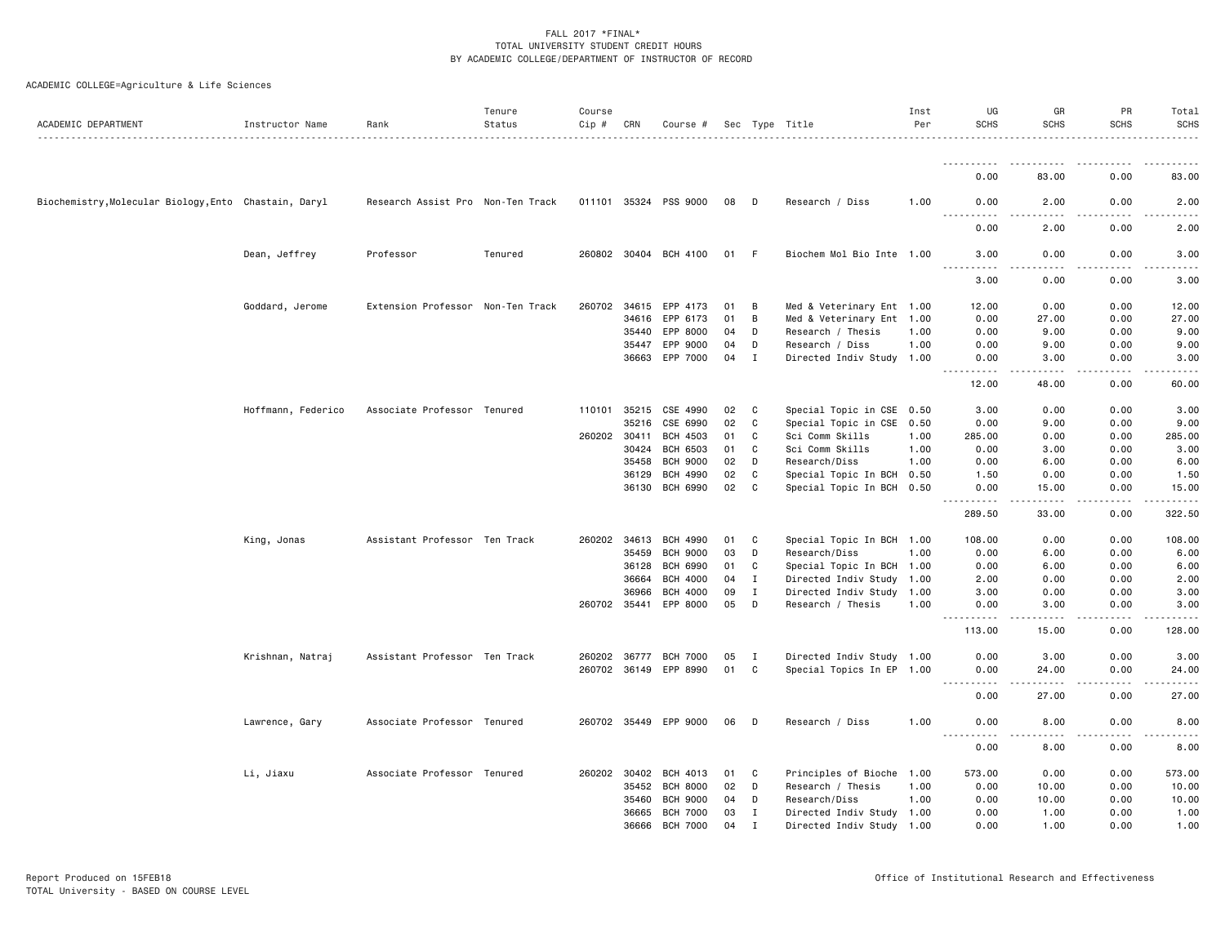| ACADEMIC DEPARTMENT                                   | Instructor Name    | Rank                              | Tenure<br>Status | Course<br>Cip # | CRN          | Course #              |      |              | Sec Type Title            | Inst<br>Per | UG<br><b>SCHS</b>                                                                                                                                                                                  | GR<br><b>SCHS</b> | PR<br><b>SCHS</b> | Total<br><b>SCHS</b>                                                                                                              |
|-------------------------------------------------------|--------------------|-----------------------------------|------------------|-----------------|--------------|-----------------------|------|--------------|---------------------------|-------------|----------------------------------------------------------------------------------------------------------------------------------------------------------------------------------------------------|-------------------|-------------------|-----------------------------------------------------------------------------------------------------------------------------------|
|                                                       |                    |                                   |                  |                 |              |                       |      |              |                           |             |                                                                                                                                                                                                    |                   |                   |                                                                                                                                   |
|                                                       |                    |                                   |                  |                 |              |                       |      |              |                           |             | 0.00                                                                                                                                                                                               | 83.00             | 0.00              | 83.00                                                                                                                             |
| Biochemistry, Molecular Biology, Ento Chastain, Daryl |                    | Research Assist Pro Non-Ten Track |                  |                 |              | 011101 35324 PSS 9000 | 08 D |              | Research / Diss           | 1.00        | 0.00<br>$- - -$<br>.                                                                                                                                                                               | 2.00<br>.         | 0.00<br>.         | 2.00<br>$\frac{1}{2}$                                                                                                             |
|                                                       |                    |                                   |                  |                 |              |                       |      |              |                           |             | 0.00                                                                                                                                                                                               | 2.00              | 0.00              | 2.00                                                                                                                              |
|                                                       | Dean, Jeffrey      | Professor                         | Tenured          |                 |              | 260802 30404 BCH 4100 | 01 F |              | Biochem Mol Bio Inte 1.00 |             | 3.00<br>.<br>$- - - -$                                                                                                                                                                             | 0.00<br>$- - - -$ | 0.00              | 3.00<br>$\frac{1}{2}$                                                                                                             |
|                                                       |                    |                                   |                  |                 |              |                       |      |              |                           |             | 3.00                                                                                                                                                                                               | 0.00              | 0.00              | 3.00                                                                                                                              |
|                                                       | Goddard, Jerome    | Extension Professor Non-Ten Track |                  | 260702          | 34615        | EPP 4173              | 01   | В            | Med & Veterinary Ent 1.00 |             | 12.00                                                                                                                                                                                              | 0.00              | 0.00              | 12.00                                                                                                                             |
|                                                       |                    |                                   |                  |                 | 34616        | EPP 6173              | 01   | В            | Med & Veterinary Ent 1.00 |             | 0.00                                                                                                                                                                                               | 27.00             | 0.00              | 27.00                                                                                                                             |
|                                                       |                    |                                   |                  |                 | 35440        | EPP 8000              | 04   | D            | Research / Thesis         | 1.00        | 0.00                                                                                                                                                                                               | 9.00              | 0.00              | 9.00                                                                                                                              |
|                                                       |                    |                                   |                  |                 | 35447        | EPP 9000              | 04   | D            | Research / Diss           | 1.00        | 0.00                                                                                                                                                                                               | 9.00              | 0.00              | 9.00                                                                                                                              |
|                                                       |                    |                                   |                  |                 | 36663        | EPP 7000              | 04   | I            | Directed Indiv Study 1.00 |             | 0.00<br>$- - -$<br>$\frac{1}{2} \left( \frac{1}{2} \right) \left( \frac{1}{2} \right) \left( \frac{1}{2} \right) \left( \frac{1}{2} \right) \left( \frac{1}{2} \right) \left( \frac{1}{2} \right)$ | 3.00<br>.         | 0.00<br>.         | 3.00<br>$\frac{1}{2} \left( \frac{1}{2} \right) \left( \frac{1}{2} \right) \left( \frac{1}{2} \right) \left( \frac{1}{2} \right)$ |
|                                                       |                    |                                   |                  |                 |              |                       |      |              |                           |             | 12.00                                                                                                                                                                                              | 48.00             | 0.00              | 60.00                                                                                                                             |
|                                                       | Hoffmann, Federico | Associate Professor Tenured       |                  | 110101          | 35215        | CSE 4990              | 02   | C            | Special Topic in CSE 0.50 |             | 3.00                                                                                                                                                                                               | 0.00              | 0.00              | 3.00                                                                                                                              |
|                                                       |                    |                                   |                  |                 | 35216        | CSE 6990              | 02   | C            | Special Topic in CSE 0.50 |             | 0.00                                                                                                                                                                                               | 9.00              | 0.00              | 9.00                                                                                                                              |
|                                                       |                    |                                   |                  | 260202 30411    |              | <b>BCH 4503</b>       | 01   | C            | Sci Comm Skills           | 1.00        | 285.00                                                                                                                                                                                             | 0.00              | 0.00              | 285.00                                                                                                                            |
|                                                       |                    |                                   |                  |                 | 30424        | <b>BCH 6503</b>       | 01   | C            | Sci Comm Skills           | 1.00        | 0.00                                                                                                                                                                                               | 3.00              | 0.00              | 3.00                                                                                                                              |
|                                                       |                    |                                   |                  |                 | 35458        | <b>BCH 9000</b>       | 02   | D            | Research/Diss             | 1.00        | 0.00                                                                                                                                                                                               | 6.00              | 0.00              | 6.00                                                                                                                              |
|                                                       |                    |                                   |                  |                 | 36129        | BCH 4990              | 02   | C            | Special Topic In BCH 0.50 |             | 1.50                                                                                                                                                                                               | 0.00              | 0.00              | 1.50                                                                                                                              |
|                                                       |                    |                                   |                  |                 | 36130        | <b>BCH 6990</b>       | 02   | C            | Special Topic In BCH 0.50 |             | 0.00<br>.                                                                                                                                                                                          | 15.00<br>.        | 0.00<br>.         | 15.00<br>.                                                                                                                        |
|                                                       |                    |                                   |                  |                 |              |                       |      |              |                           |             | 289.50                                                                                                                                                                                             | 33.00             | 0.00              | 322.50                                                                                                                            |
|                                                       | King, Jonas        | Assistant Professor Ten Track     |                  |                 | 260202 34613 | <b>BCH 4990</b>       | 01   | C            | Special Topic In BCH 1.00 |             | 108.00                                                                                                                                                                                             | 0.00              | 0.00              | 108.00                                                                                                                            |
|                                                       |                    |                                   |                  |                 | 35459        | <b>BCH 9000</b>       | 03   | D            | Research/Diss             | 1.00        | 0.00                                                                                                                                                                                               | 6.00              | 0.00              | 6.00                                                                                                                              |
|                                                       |                    |                                   |                  |                 | 36128        | <b>BCH 6990</b>       | 01   | C            | Special Topic In BCH 1.00 |             | 0.00                                                                                                                                                                                               | 6.00              | 0.00              | 6.00                                                                                                                              |
|                                                       |                    |                                   |                  |                 | 36664        | BCH 4000              | 04   | $\mathbf{I}$ | Directed Indiv Study 1.00 |             | 2.00                                                                                                                                                                                               | 0.00              | 0.00              | 2.00                                                                                                                              |
|                                                       |                    |                                   |                  |                 | 36966        | BCH 4000              | 09   | $\mathbf I$  | Directed Indiv Study 1.00 |             | 3.00                                                                                                                                                                                               | 0.00              | 0.00              | 3.00                                                                                                                              |
|                                                       |                    |                                   |                  | 260702 35441    |              | EPP 8000              | 05   | D            | Research / Thesis         | 1.00        | 0.00<br>.                                                                                                                                                                                          | 3.00<br>.         | 0.00<br>.         | 3.00<br>.                                                                                                                         |
|                                                       |                    |                                   |                  |                 |              |                       |      |              |                           |             | 113.00                                                                                                                                                                                             | 15.00             | 0.00              | 128.00                                                                                                                            |
|                                                       | Krishnan, Natraj   | Assistant Professor Ten Track     |                  |                 | 260202 36777 | <b>BCH 7000</b>       | 05   | $\mathbf{I}$ | Directed Indiv Study 1.00 |             | 0.00                                                                                                                                                                                               | 3.00              | 0.00              | 3.00                                                                                                                              |
|                                                       |                    |                                   |                  |                 | 260702 36149 | EPP 8990              | 01   | C            | Special Topics In EP 1.00 |             | 0.00<br>.<br>$- - -$                                                                                                                                                                               | 24.00<br>.        | 0.00              | 24.00<br>$\frac{1}{2}$                                                                                                            |
|                                                       |                    |                                   |                  |                 |              |                       |      |              |                           |             | 0.00                                                                                                                                                                                               | 27.00             | 0.00              | 27.00                                                                                                                             |
|                                                       | Lawrence, Gary     | Associate Professor Tenured       |                  |                 | 260702 35449 | EPP 9000              | 06   | D            | Research / Diss           | 1.00        | 0.00                                                                                                                                                                                               | 8.00              | 0.00              | 8.00                                                                                                                              |
|                                                       |                    |                                   |                  |                 |              |                       |      |              |                           |             | $\frac{1}{2} \left( \frac{1}{2} \right) \left( \frac{1}{2} \right) \left( \frac{1}{2} \right) \left( \frac{1}{2} \right)$<br>.<br>0.00                                                             | .<br>8.00         | .<br>0.00         | .<br>8.00                                                                                                                         |
|                                                       | Li, Jiaxu          | Associate Professor Tenured       |                  | 260202          | 30402        | BCH 4013              | 01   | C            | Principles of Bioche 1.00 |             | 573.00                                                                                                                                                                                             | 0.00              | 0.00              | 573.00                                                                                                                            |
|                                                       |                    |                                   |                  |                 | 35452        | <b>BCH 8000</b>       | 02   | D            | Research / Thesis         | 1.00        | 0.00                                                                                                                                                                                               | 10.00             | 0.00              | 10.00                                                                                                                             |
|                                                       |                    |                                   |                  |                 | 35460        | <b>BCH 9000</b>       | 04   | D            | Research/Diss             | 1.00        | 0.00                                                                                                                                                                                               | 10.00             | 0.00              | 10.00                                                                                                                             |
|                                                       |                    |                                   |                  |                 | 36665        | <b>BCH 7000</b>       | 03   | $\mathbf I$  | Directed Indiv Study 1.00 |             | 0.00                                                                                                                                                                                               | 1.00              | 0.00              | 1.00                                                                                                                              |
|                                                       |                    |                                   |                  |                 | 36666        | <b>BCH 7000</b>       | 04   | $\mathbf I$  | Directed Indiv Study 1.00 |             | 0.00                                                                                                                                                                                               | 1.00              | 0.00              | 1.00                                                                                                                              |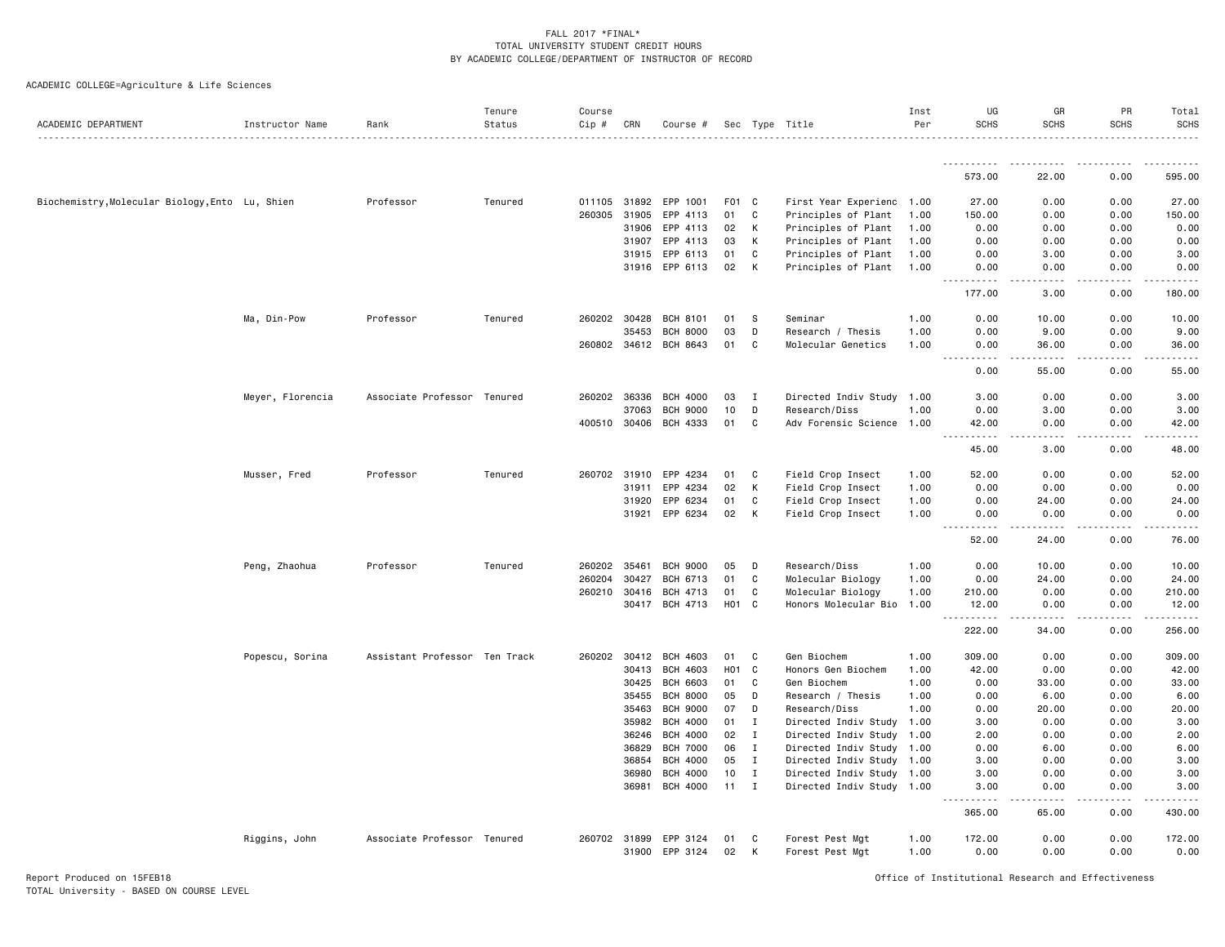| ACADEMIC DEPARTMENT                             | Instructor Name  | Rank                          | Tenure<br>Status | Course<br>$Cip$ # | CRN            | Course #                           |          |              | Sec Type Title                               | Inst<br>Per  | UG<br><b>SCHS</b>                                                                                                                                                                                                                                                                           | GR<br><b>SCHS</b> | PR<br><b>SCHS</b>                                                                                                                                            | Total<br>SCHS     |
|-------------------------------------------------|------------------|-------------------------------|------------------|-------------------|----------------|------------------------------------|----------|--------------|----------------------------------------------|--------------|---------------------------------------------------------------------------------------------------------------------------------------------------------------------------------------------------------------------------------------------------------------------------------------------|-------------------|--------------------------------------------------------------------------------------------------------------------------------------------------------------|-------------------|
|                                                 |                  |                               |                  |                   |                |                                    |          |              |                                              |              | ----------                                                                                                                                                                                                                                                                                  |                   |                                                                                                                                                              |                   |
|                                                 |                  |                               |                  |                   |                |                                    |          |              |                                              |              | 573.00                                                                                                                                                                                                                                                                                      | 22.00             | 0.00                                                                                                                                                         | 595.00            |
| Biochemistry, Molecular Biology, Ento Lu, Shien |                  | Professor                     | Tenured          | 011105            | 31892          | EPP 1001                           | F01 C    |              | First Year Experienc 1.00                    |              | 27.00                                                                                                                                                                                                                                                                                       | 0.00              | 0.00                                                                                                                                                         | 27.00             |
|                                                 |                  |                               |                  | 260305            | 31905          | EPP 4113                           | 01       | C            | Principles of Plant                          | 1.00         | 150.00                                                                                                                                                                                                                                                                                      | 0.00              | 0.00                                                                                                                                                         | 150.00            |
|                                                 |                  |                               |                  |                   | 31906          | EPP 4113                           | 02       | К            | Principles of Plant                          | 1.00         | 0.00                                                                                                                                                                                                                                                                                        | 0.00              | 0.00                                                                                                                                                         | 0.00              |
|                                                 |                  |                               |                  |                   | 31907          | EPP 4113                           | 03       | K            | Principles of Plant                          | 1.00         | 0.00                                                                                                                                                                                                                                                                                        | 0.00              | 0.00                                                                                                                                                         | 0.00              |
|                                                 |                  |                               |                  |                   | 31915          | EPP 6113                           | 01       | C            | Principles of Plant                          | 1.00         | 0.00                                                                                                                                                                                                                                                                                        | 3.00              | 0.00                                                                                                                                                         | 3.00              |
|                                                 |                  |                               |                  |                   |                | 31916 EPP 6113                     | 02       | K            | Principles of Plant                          | 1.00         | 0.00<br>.                                                                                                                                                                                                                                                                                   | 0.00<br>.         | 0.00<br>.                                                                                                                                                    | 0.00              |
|                                                 |                  |                               |                  |                   |                |                                    |          |              |                                              |              | 177.00                                                                                                                                                                                                                                                                                      | 3.00              | 0.00                                                                                                                                                         | 180.00            |
|                                                 | Ma, Din-Pow      | Professor                     | Tenured          | 260202 30428      |                | <b>BCH 8101</b>                    | 01       | S            | Seminar                                      | 1.00         | 0.00                                                                                                                                                                                                                                                                                        | 10.00             | 0.00                                                                                                                                                         | 10.00             |
|                                                 |                  |                               |                  |                   | 35453          | <b>BCH 8000</b>                    | 03       | D            | Research / Thesis                            | 1.00         | 0.00                                                                                                                                                                                                                                                                                        | 9.00              | 0.00                                                                                                                                                         | 9.00              |
|                                                 |                  |                               |                  | 260802 34612      |                | BCH 8643                           | 01       | C            | Molecular Genetics                           | 1.00         | 0.00                                                                                                                                                                                                                                                                                        | 36.00             | 0.00                                                                                                                                                         | 36.00             |
|                                                 |                  |                               |                  |                   |                |                                    |          |              |                                              |              | 0.00                                                                                                                                                                                                                                                                                        | 55.00             | 0.00                                                                                                                                                         | 55.00             |
|                                                 | Meyer, Florencia | Associate Professor Tenured   |                  | 260202 36336      |                | <b>BCH 4000</b>                    | 03       | I            | Directed Indiv Study                         | 1.00         | 3.00                                                                                                                                                                                                                                                                                        | 0.00              | 0.00                                                                                                                                                         | 3.00              |
|                                                 |                  |                               |                  |                   | 37063          | <b>BCH 9000</b>                    | 10       | D            | Research/Diss                                | 1.00         | 0.00                                                                                                                                                                                                                                                                                        | 3.00              | 0.00                                                                                                                                                         | 3.00              |
|                                                 |                  |                               |                  | 400510 30406      |                | BCH 4333                           | 01       | C            | Adv Forensic Science 1.00                    |              | 42.00                                                                                                                                                                                                                                                                                       | 0.00              | 0.00                                                                                                                                                         | 42.00             |
|                                                 |                  |                               |                  |                   |                |                                    |          |              |                                              |              | .<br>45.00                                                                                                                                                                                                                                                                                  | .<br>3.00         | 0.00                                                                                                                                                         | .<br>48.00        |
|                                                 | Musser, Fred     | Professor                     | Tenured          | 260702 31910      |                | EPP 4234                           | 01       | C            | Field Crop Insect                            | 1.00         | 52.00                                                                                                                                                                                                                                                                                       | 0.00              | 0.00                                                                                                                                                         | 52.00             |
|                                                 |                  |                               |                  |                   | 31911          | EPP 4234                           | 02       | K            | Field Crop Insect                            | 1.00         | 0.00                                                                                                                                                                                                                                                                                        | 0.00              | 0.00                                                                                                                                                         | 0.00              |
|                                                 |                  |                               |                  |                   | 31920          | EPP 6234                           | 01       | C            | Field Crop Insect                            | 1.00         | 0.00                                                                                                                                                                                                                                                                                        | 24.00             | 0.00                                                                                                                                                         | 24.00             |
|                                                 |                  |                               |                  |                   | 31921          | EPP 6234                           | 02       | K            | Field Crop Insect                            | 1.00         | 0.00<br>$\sim$ $\sim$ $\sim$ $\sim$<br>$\frac{1}{2} \left( \frac{1}{2} \right) \left( \frac{1}{2} \right) \left( \frac{1}{2} \right) \left( \frac{1}{2} \right) \left( \frac{1}{2} \right)$                                                                                                 | 0.00<br>المتمالين | 0.00<br>$\frac{1}{2} \left( \frac{1}{2} \right) \left( \frac{1}{2} \right) \left( \frac{1}{2} \right) \left( \frac{1}{2} \right) \left( \frac{1}{2} \right)$ | 0.00<br>.         |
|                                                 |                  |                               |                  |                   |                |                                    |          |              |                                              |              | 52.00                                                                                                                                                                                                                                                                                       | 24.00             | 0.00                                                                                                                                                         | 76.00             |
|                                                 | Peng, Zhaohua    | Professor                     | Tenured          | 260202            | 35461          | <b>BCH 9000</b>                    | 05       | D            | Research/Diss                                | 1.00         | 0.00                                                                                                                                                                                                                                                                                        | 10.00             | 0.00                                                                                                                                                         | 10.00             |
|                                                 |                  |                               |                  | 260204            | 30427          | BCH 6713                           | 01       | C            | Molecular Biology                            | 1.00         | 0.00                                                                                                                                                                                                                                                                                        | 24.00             | 0.00                                                                                                                                                         | 24.00             |
|                                                 |                  |                               |                  | 260210 30416      |                | BCH 4713                           | 01       | C            | Molecular Biology                            | 1.00         | 210.00                                                                                                                                                                                                                                                                                      | 0.00              | 0.00                                                                                                                                                         | 210.00            |
|                                                 |                  |                               |                  |                   | 30417          | BCH 4713                           | H01 C    |              | Honors Molecular Bio 1.00                    |              | 12.00<br>.                                                                                                                                                                                                                                                                                  | 0.00<br>$- - - -$ | 0.00<br>.                                                                                                                                                    | 12.00<br><u>.</u> |
|                                                 |                  |                               |                  |                   |                |                                    |          |              |                                              |              | 222.00                                                                                                                                                                                                                                                                                      | 34.00             | 0.00                                                                                                                                                         | 256.00            |
|                                                 | Popescu, Sorina  | Assistant Professor Ten Track |                  | 260202            | 30412          | BCH 4603                           | 01       | C            | Gen Biochem                                  | 1.00         | 309.00                                                                                                                                                                                                                                                                                      | 0.00              | 0.00                                                                                                                                                         | 309.00            |
|                                                 |                  |                               |                  |                   | 30413          | BCH 4603                           | H01      | C            | Honors Gen Biochem                           | 1.00         | 42.00                                                                                                                                                                                                                                                                                       | 0.00              | 0.00                                                                                                                                                         | 42.00             |
|                                                 |                  |                               |                  |                   | 30425          | <b>BCH 6603</b>                    | 01       | C            | Gen Biochem                                  | 1.00         | 0.00                                                                                                                                                                                                                                                                                        | 33.00             | 0.00                                                                                                                                                         | 33.00             |
|                                                 |                  |                               |                  |                   | 35455          | <b>BCH 8000</b><br><b>BCH 9000</b> | 05<br>07 | D            | Research / Thesis                            | 1.00         | 0.00                                                                                                                                                                                                                                                                                        | 6.00              | 0.00                                                                                                                                                         | 6.00<br>20.00     |
|                                                 |                  |                               |                  |                   | 35463<br>35982 | <b>BCH 4000</b>                    | 01       | D<br>I       | Research/Diss                                | 1.00         | 0.00<br>3.00                                                                                                                                                                                                                                                                                | 20.00             | 0.00                                                                                                                                                         |                   |
|                                                 |                  |                               |                  |                   | 36246          | <b>BCH 4000</b>                    | 02       | $\mathbf I$  | Directed Indiv Study<br>Directed Indiv Study | 1.00<br>1.00 | 2.00                                                                                                                                                                                                                                                                                        | 0.00<br>0.00      | 0.00<br>0.00                                                                                                                                                 | 3.00<br>2.00      |
|                                                 |                  |                               |                  |                   | 36829          | <b>BCH 7000</b>                    | 06       | $\mathbf{I}$ | Directed Indiv Study                         | 1.00         | 0.00                                                                                                                                                                                                                                                                                        | 6.00              | 0.00                                                                                                                                                         | 6.00              |
|                                                 |                  |                               |                  |                   | 36854          | <b>BCH 4000</b>                    | 05       | $\mathbf{I}$ | Directed Indiv Study                         | 1.00         | 3.00                                                                                                                                                                                                                                                                                        | 0.00              | 0.00                                                                                                                                                         | 3.00              |
|                                                 |                  |                               |                  |                   | 36980          | <b>BCH 4000</b>                    | 10       | $\mathbf I$  | Directed Indiv Study                         | 1.00         | 3.00                                                                                                                                                                                                                                                                                        | 0.00              | 0.00                                                                                                                                                         | 3.00              |
|                                                 |                  |                               |                  |                   | 36981          | <b>BCH 4000</b>                    | 11       | $\mathbf{I}$ | Directed Indiv Study 1.00                    |              | 3.00                                                                                                                                                                                                                                                                                        | 0.00              | 0.00                                                                                                                                                         | 3.00              |
|                                                 |                  |                               |                  |                   |                |                                    |          |              |                                              |              | $\frac{1}{2} \left( \frac{1}{2} \right) \left( \frac{1}{2} \right) \left( \frac{1}{2} \right) \left( \frac{1}{2} \right) \left( \frac{1}{2} \right)$<br>$\frac{1}{2} \left( \frac{1}{2} \right) \left( \frac{1}{2} \right) \left( \frac{1}{2} \right) \left( \frac{1}{2} \right)$<br>365.00 | -----<br>65.00    | -----<br>0.00                                                                                                                                                | 430.00            |
|                                                 | Riggins, John    | Associate Professor Tenured   |                  | 260702 31899      |                | EPP 3124                           | 01       | C            | Forest Pest Mgt                              | 1.00         | 172.00                                                                                                                                                                                                                                                                                      | 0.00              | 0.00                                                                                                                                                         | 172.00            |
|                                                 |                  |                               |                  |                   | 31900          | EPP 3124                           | 02       | к            | Forest Pest Mgt                              | 1.00         | 0.00                                                                                                                                                                                                                                                                                        | 0.00              | 0.00                                                                                                                                                         | 0.00              |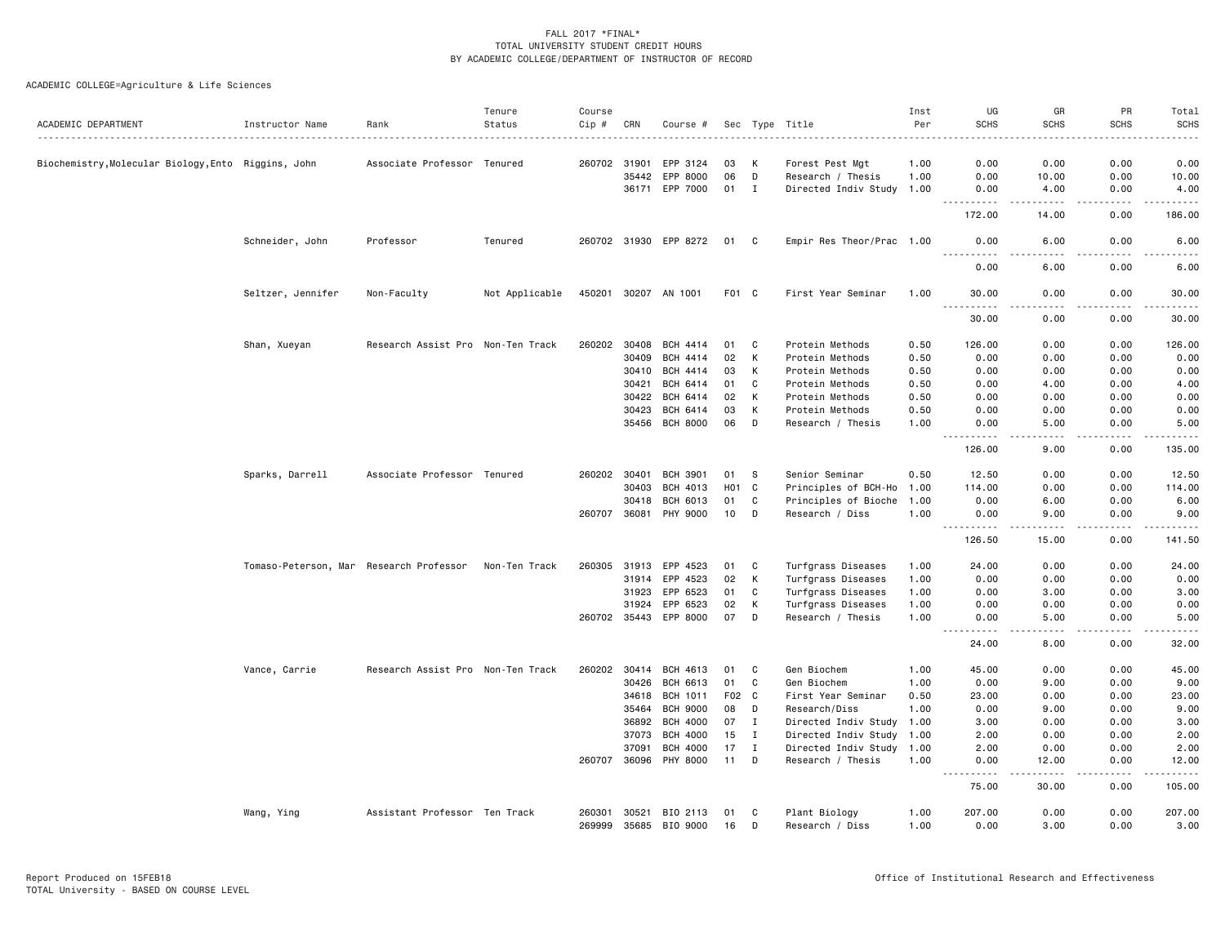| ACADEMIC DEPARTMENT                                 | Instructor Name                         | Rank                              | Tenure<br>Status | Course<br>Cip #<br>. | CRN            | Course #                                 |          |              | Sec Type Title                                 | Inst<br>Per  | UG<br><b>SCHS</b><br>$- - - - -$  | GR<br><b>SCHS</b> | PR<br><b>SCHS</b>                                                                                                                                            | Total<br><b>SCHS</b>                                                                                                                                          |
|-----------------------------------------------------|-----------------------------------------|-----------------------------------|------------------|----------------------|----------------|------------------------------------------|----------|--------------|------------------------------------------------|--------------|-----------------------------------|-------------------|--------------------------------------------------------------------------------------------------------------------------------------------------------------|---------------------------------------------------------------------------------------------------------------------------------------------------------------|
|                                                     |                                         | Associate Professor Tenured       |                  |                      | 260702 31901   | EPP 3124                                 | 03       | К            |                                                | 1.00         | 0.00                              | 0.00              | 0.00                                                                                                                                                         | 0.00                                                                                                                                                          |
| Biochemistry, Molecular Biology, Ento Riggins, John |                                         |                                   |                  |                      | 35442          | EPP 8000                                 | 06       | D            | Forest Pest Mgt<br>Research / Thesis           | 1.00         | 0.00                              | 10.00             | 0.00                                                                                                                                                         | 10.00                                                                                                                                                         |
|                                                     |                                         |                                   |                  |                      |                | 36171 EPP 7000                           | 01       | I            | Directed Indiv Study 1.00                      |              | 0.00                              | 4.00              | 0.00                                                                                                                                                         | 4.00                                                                                                                                                          |
|                                                     |                                         |                                   |                  |                      |                |                                          |          |              |                                                |              | $- - - - - -$<br>$\frac{1}{2}$    | .                 | -----                                                                                                                                                        | $- - - - -$                                                                                                                                                   |
|                                                     |                                         |                                   |                  |                      |                |                                          |          |              |                                                |              | 172.00                            | 14.00             | 0.00                                                                                                                                                         | 186.00                                                                                                                                                        |
|                                                     | Schneider, John                         | Professor                         | Tenured          |                      |                | 260702 31930 EPP 8272                    | 01       | C.           | Empir Res Theor/Prac 1.00                      |              | 0.00<br>.                         | 6.00<br>$- - - -$ | 0.00<br>.                                                                                                                                                    | 6.00<br>$\frac{1}{2} \left( \frac{1}{2} \right) \left( \frac{1}{2} \right) \left( \frac{1}{2} \right) \left( \frac{1}{2} \right) \left( \frac{1}{2} \right)$  |
|                                                     |                                         |                                   |                  |                      |                |                                          |          |              |                                                |              | 0.00                              | 6.00              | 0.00                                                                                                                                                         | 6.00                                                                                                                                                          |
|                                                     | Seltzer, Jennifer                       | Non-Faculty                       | Not Applicable   |                      |                | 450201 30207 AN 1001                     | F01 C    |              | First Year Seminar                             | 1.00         | 30.00<br>$  -$                    | 0.00<br>والمستوات | 0.00<br>$\frac{1}{2} \left( \frac{1}{2} \right) \left( \frac{1}{2} \right) \left( \frac{1}{2} \right) \left( \frac{1}{2} \right) \left( \frac{1}{2} \right)$ | 30.00<br>$\frac{1}{2} \left( \frac{1}{2} \right) \left( \frac{1}{2} \right) \left( \frac{1}{2} \right) \left( \frac{1}{2} \right) \left( \frac{1}{2} \right)$ |
|                                                     |                                         |                                   |                  |                      |                |                                          |          |              |                                                |              | 30.00                             | 0.00              | 0.00                                                                                                                                                         | 30.00                                                                                                                                                         |
|                                                     | Shan, Xueyan                            | Research Assist Pro Non-Ten Track |                  | 260202               | 30408          | BCH 4414                                 | 01       | C            | Protein Methods                                | 0.50         | 126.00                            | 0.00              | 0.00                                                                                                                                                         | 126.00                                                                                                                                                        |
|                                                     |                                         |                                   |                  |                      | 30409          | <b>BCH 4414</b>                          | 02       | К            | Protein Methods                                | 0.50         | 0.00                              | 0.00              | 0.00                                                                                                                                                         | 0.00                                                                                                                                                          |
|                                                     |                                         |                                   |                  |                      | 30410          | BCH 4414                                 | 03       | К            | Protein Methods                                | 0.50         | 0.00                              | 0.00              | 0.00                                                                                                                                                         | 0.00                                                                                                                                                          |
|                                                     |                                         |                                   |                  |                      | 30421          | BCH 6414                                 | 01       | C            | Protein Methods                                | 0.50         | 0.00                              | 4.00              | 0.00                                                                                                                                                         | 4.00                                                                                                                                                          |
|                                                     |                                         |                                   |                  |                      | 30422          | BCH 6414                                 | 02       | К            | Protein Methods                                | 0.50         | 0.00                              | 0.00              | 0.00                                                                                                                                                         | 0.00                                                                                                                                                          |
|                                                     |                                         |                                   |                  |                      | 30423<br>35456 | BCH 6414<br><b>BCH 8000</b>              | 03<br>06 | К<br>D       | Protein Methods<br>Research / Thesis           | 0.50<br>1.00 | 0.00<br>0.00                      | 0.00<br>5.00      | 0.00<br>0.00                                                                                                                                                 | 0.00<br>5.00                                                                                                                                                  |
|                                                     |                                         |                                   |                  |                      |                |                                          |          |              |                                                |              |                                   |                   |                                                                                                                                                              |                                                                                                                                                               |
|                                                     |                                         |                                   |                  |                      |                |                                          |          |              |                                                |              | 126.00                            | 9.00              | 0.00                                                                                                                                                         | 135.00                                                                                                                                                        |
|                                                     | Sparks, Darrell                         | Associate Professor Tenured       |                  |                      | 260202 30401   | <b>BCH 3901</b>                          | 01       | -S           | Senior Seminar                                 | 0.50         | 12.50                             | 0.00              | 0.00                                                                                                                                                         | 12.50                                                                                                                                                         |
|                                                     |                                         |                                   |                  |                      | 30403          | BCH 4013                                 | H01      | C            | Principles of BCH-Ho 1.00                      |              | 114.00                            | 0.00              | 0.00                                                                                                                                                         | 114.00                                                                                                                                                        |
|                                                     |                                         |                                   |                  |                      | 30418          | BCH 6013                                 | 01       | C            | Principles of Bioche                           | 1.00         | 0.00                              | 6.00              | 0.00                                                                                                                                                         | 6.00                                                                                                                                                          |
|                                                     |                                         |                                   |                  | 260707               | 36081          | PHY 9000                                 | 10       | D            | Research / Diss                                | 1.00         | 0.00<br><u>.</u>                  | 9.00<br>.         | 0.00<br>.                                                                                                                                                    | 9.00<br>.                                                                                                                                                     |
|                                                     |                                         |                                   |                  |                      |                |                                          |          |              |                                                |              | 126.50                            | 15.00             | 0.00                                                                                                                                                         | 141.50                                                                                                                                                        |
|                                                     | Tomaso-Peterson, Mar Research Professor |                                   | Non-Ten Track    |                      |                | 260305 31913 EPP 4523                    | 01       | C            | Turfgrass Diseases                             | 1.00         | 24.00                             | 0.00              | 0.00                                                                                                                                                         | 24.00                                                                                                                                                         |
|                                                     |                                         |                                   |                  |                      | 31914          | EPP 4523                                 | 02       | К            | Turfgrass Diseases                             | 1.00         | 0.00                              | 0.00              | 0.00                                                                                                                                                         | 0.00                                                                                                                                                          |
|                                                     |                                         |                                   |                  |                      | 31923          | EPP 6523                                 | 01       | C            | Turfgrass Diseases                             | 1.00         | 0.00                              | 3.00              | 0.00                                                                                                                                                         | 3.00                                                                                                                                                          |
|                                                     |                                         |                                   |                  |                      | 31924          | EPP 6523                                 | 02       | к            | Turfgrass Diseases                             | 1.00         | 0.00                              | 0.00              | 0.00                                                                                                                                                         | 0.00                                                                                                                                                          |
|                                                     |                                         |                                   |                  |                      | 260702 35443   | EPP 8000                                 | 07       | D            | Research / Thesis                              | 1.00         | 0.00<br>$\sim$ $\sim$ $\sim$<br>. | 5.00<br>----      | 0.00<br>-----                                                                                                                                                | 5.00                                                                                                                                                          |
|                                                     |                                         |                                   |                  |                      |                |                                          |          |              |                                                |              | 24.00                             | 8.00              | 0.00                                                                                                                                                         | 32.00                                                                                                                                                         |
|                                                     | Vance, Carrie                           | Research Assist Pro Non-Ten Track |                  | 260202               | 30414          | <b>BCH 4613</b>                          | 01       | C            | Gen Biochem                                    | 1.00         | 45.00                             | 0.00              | 0.00                                                                                                                                                         | 45.00                                                                                                                                                         |
|                                                     |                                         |                                   |                  |                      | 30426          | BCH 6613                                 | 01       | C            | Gen Biochem                                    | 1.00         | 0.00                              | 9.00              | 0.00                                                                                                                                                         | 9.00                                                                                                                                                          |
|                                                     |                                         |                                   |                  |                      | 34618          | BCH 1011                                 | F02 C    |              | First Year Seminar                             | 0.50         | 23.00                             | 0.00              | 0.00                                                                                                                                                         | 23.00                                                                                                                                                         |
|                                                     |                                         |                                   |                  |                      | 35464          | <b>BCH 9000</b>                          | 08       | D            | Research/Diss                                  | 1.00         | 0.00                              | 9.00              | 0.00                                                                                                                                                         | 9.00                                                                                                                                                          |
|                                                     |                                         |                                   |                  |                      | 36892          | BCH 4000                                 | 07       | I            | Directed Indiv Study 1.00                      |              | 3,00                              | 0.00              | 0.00                                                                                                                                                         | 3.00                                                                                                                                                          |
|                                                     |                                         |                                   |                  |                      | 37073          | <b>BCH 4000</b>                          | 15       | $\mathbf{I}$ | Directed Indiv Study                           | 1.00         | 2.00                              | 0.00              | 0.00                                                                                                                                                         | 2.00                                                                                                                                                          |
|                                                     |                                         |                                   |                  |                      | 37091          | <b>BCH 4000</b><br>260707 36096 PHY 8000 | 17<br>11 | I<br>D       | Directed Indiv Study 1.00<br>Research / Thesis | 1.00         | 2.00<br>0.00                      | 0.00<br>12.00     | 0.00<br>0.00                                                                                                                                                 | 2.00<br>12.00                                                                                                                                                 |
|                                                     |                                         |                                   |                  |                      |                |                                          |          |              |                                                |              | .                                 | .                 | <b>.</b>                                                                                                                                                     | $- - - - -$                                                                                                                                                   |
|                                                     |                                         |                                   |                  |                      |                |                                          |          |              |                                                |              | 75.00                             | 30.00             | 0.00                                                                                                                                                         | 105.00                                                                                                                                                        |
|                                                     | Wang, Ying                              | Assistant Professor Ten Track     |                  | 260301               | 30521          | BIO 2113                                 | 01       | C            | Plant Biology                                  | 1.00         | 207.00                            | 0.00              | 0.00                                                                                                                                                         | 207.00                                                                                                                                                        |
|                                                     |                                         |                                   |                  | 269999               |                | 35685 BIO 9000                           | 16       | D            | Research / Diss                                | 1.00         | 0.00                              | 3.00              | 0.00                                                                                                                                                         | 3.00                                                                                                                                                          |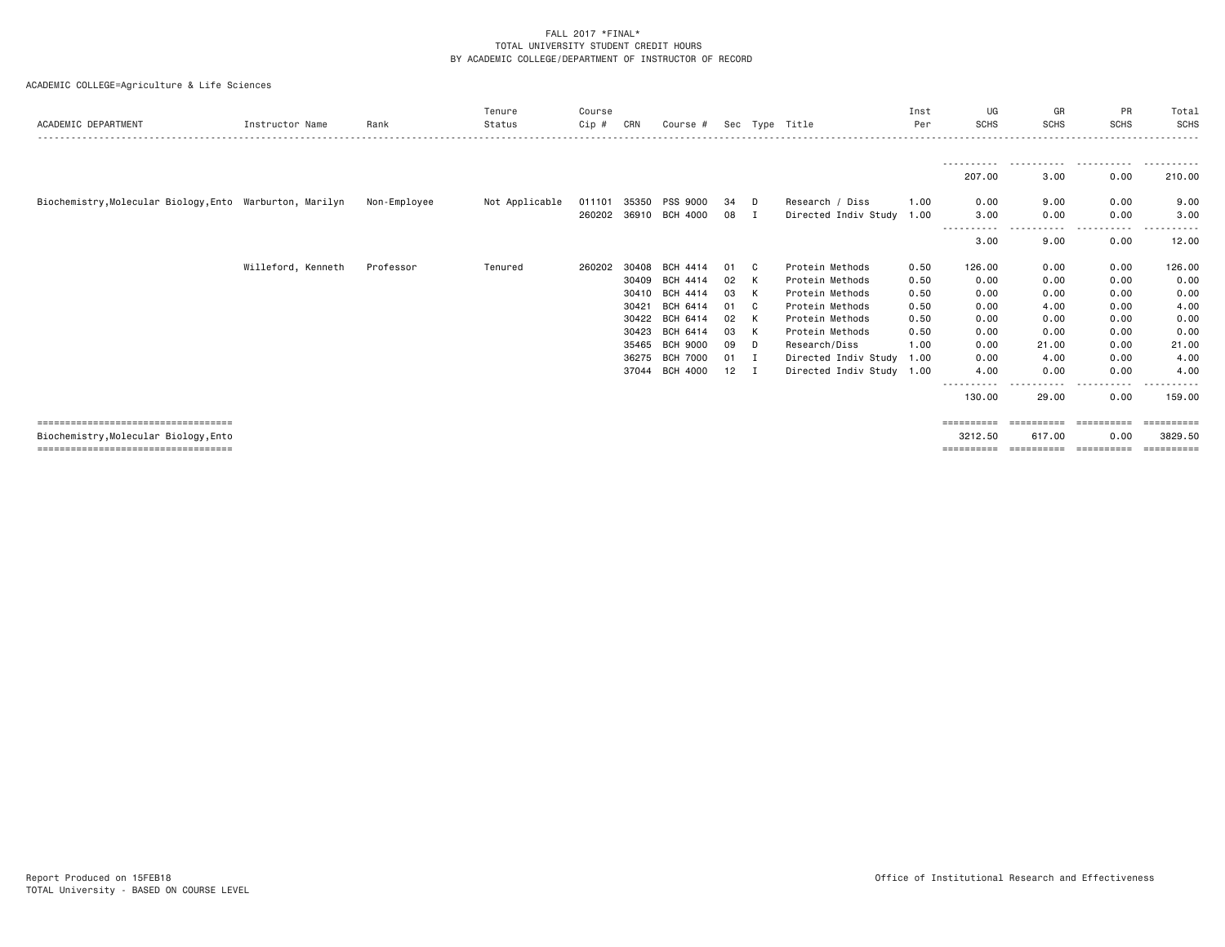ACADEMIC COLLEGE=Agriculture & Life Sciences

| ACADEMIC DEPARTMENT                                      | Instructor Name    | Rank         | Tenure<br>Status | Course<br>Cip # | CRN   | Course #              |    |                | Sec Type Title            | Inst<br>Per | UG<br><b>SCHS</b>    | GR<br><b>SCHS</b> | PR<br><b>SCHS</b> | Total<br><b>SCHS</b>  |
|----------------------------------------------------------|--------------------|--------------|------------------|-----------------|-------|-----------------------|----|----------------|---------------------------|-------------|----------------------|-------------------|-------------------|-----------------------|
|                                                          |                    |              |                  |                 |       |                       |    |                |                           |             |                      |                   |                   |                       |
|                                                          |                    |              |                  |                 |       |                       |    |                |                           |             | 207.00               | 3.00              | 0.00              | 210.00                |
| Biochemistry, Molecular Biology, Ento Warburton, Marilyn |                    | Non-Employee | Not Applicable   | 011101          | 35350 | <b>PSS 9000</b>       | 34 | D.             | Research / Diss           | 1.00        | 0.00                 | 9.00              | 0.00              | 9.00                  |
|                                                          |                    |              |                  |                 |       | 260202 36910 BCH 4000 | 08 | $\blacksquare$ | Directed Indiv Study 1.00 |             | 3,00                 | 0.00              | 0.00              | 3.00                  |
|                                                          |                    |              |                  |                 |       |                       |    |                |                           |             | ----<br>----<br>3.00 | 9.00              | 0.00              | 12.00                 |
|                                                          | Willeford, Kenneth | Professor    | Tenured          | 260202          | 30408 | BCH 4414              | 01 | C.             | Protein Methods           | 0.50        | 126.00               | 0.00              | 0.00              | 126.00                |
|                                                          |                    |              |                  |                 | 30409 | BCH 4414              | 02 | K              | Protein Methods           | 0.50        | 0.00                 | 0.00              | 0.00              | 0.00                  |
|                                                          |                    |              |                  |                 | 30410 | BCH 4414              | 03 | K              | Protein Methods           | 0.50        | 0.00                 | 0.00              | 0.00              | 0.00                  |
|                                                          |                    |              |                  |                 | 30421 | BCH 6414              | 01 | C              | Protein Methods           | 0.50        | 0.00                 | 4.00              | 0.00              | 4.00                  |
|                                                          |                    |              |                  |                 | 30422 | BCH 6414              | 02 | K              | Protein Methods           | 0.50        | 0.00                 | 0.00              | 0.00              | 0.00                  |
|                                                          |                    |              |                  |                 | 30423 | BCH 6414              | 03 | K              | Protein Methods           | 0.50        | 0.00                 | 0.00              | 0.00              | 0.00                  |
|                                                          |                    |              |                  |                 | 35465 | <b>BCH 9000</b>       | 09 | D              | Research/Diss             | 1.00        | 0.00                 | 21.00             | 0.00              | 21.00                 |
|                                                          |                    |              |                  |                 | 36275 | <b>BCH 7000</b>       | 01 | - 1            | Directed Indiv Study      | 1.00        | 0.00                 | 4.00              | 0.00              | 4.00                  |
|                                                          |                    |              |                  |                 | 37044 | BCH 4000              | 12 | I              | Directed Indiv Study 1.00 |             | 4.00                 | 0.00              | 0.00              | 4.00                  |
|                                                          |                    |              |                  |                 |       |                       |    |                |                           |             | 130.00               | .<br>29.00        | ------<br>0.00    | 159.00                |
| =====================================                    |                    |              |                  |                 |       |                       |    |                |                           |             | ==========           | ==========        | ==========        | $=$ = = = = = = = = = |
| Biochemistry, Molecular Biology, Ento                    |                    |              |                  |                 |       |                       |    |                |                           |             | 3212.50              | 617.00            | 0.00              | 3829.50               |
| =====================================                    |                    |              |                  |                 |       |                       |    |                |                           |             | ==========           | ==========        | -----------       | $=$ = = = = = = = = = |

Report Produced on 15FEB18 Office of Institutional Research and Effectiveness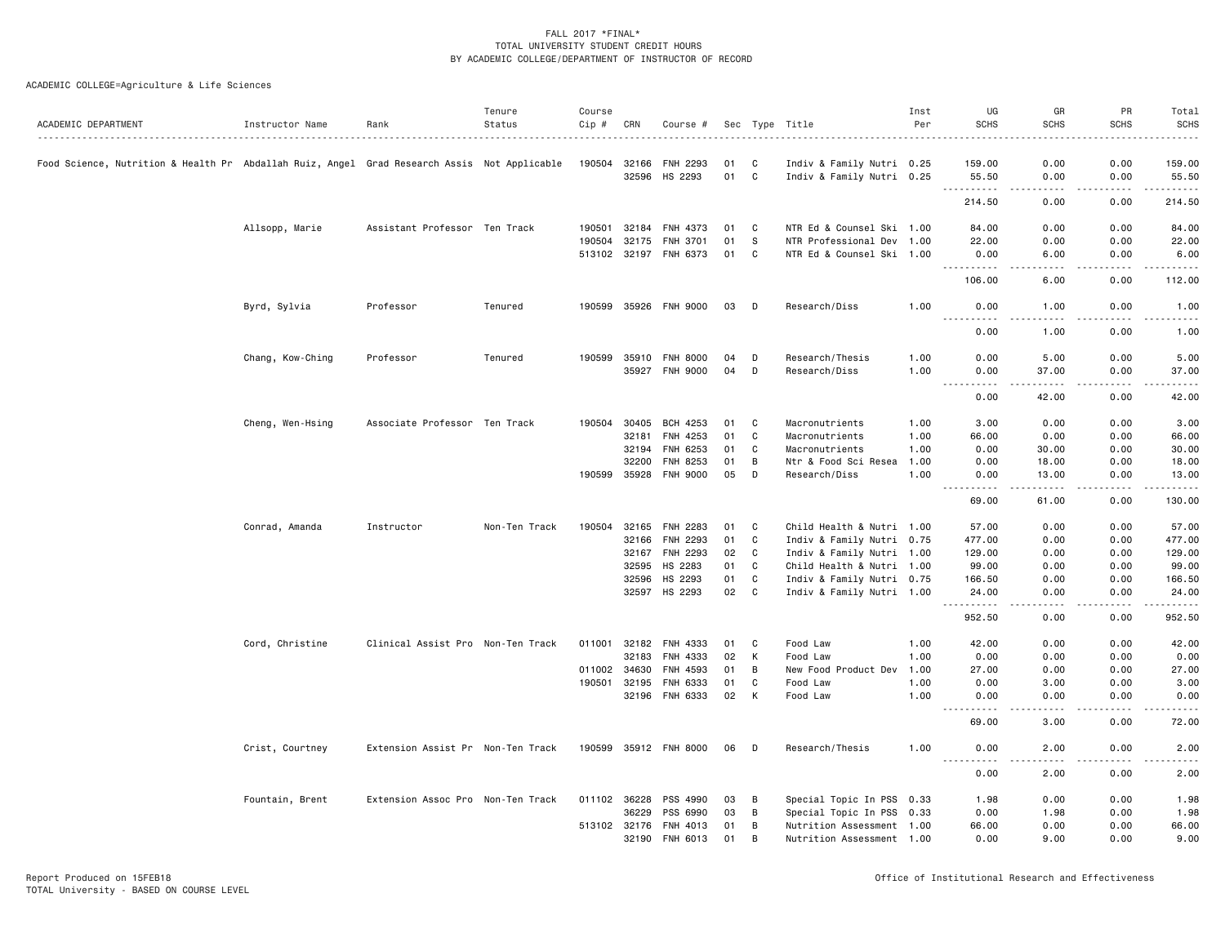| ACADEMIC DEPARTMENT                                                                         | Instructor Name  | Rank                              | Tenure<br>Status | Course<br>Cip # | CRN                   | Course #              |          |          | Sec Type Title                                         | Inst<br>Per | UG<br><b>SCHS</b>                                                                                                                 | GR<br><b>SCHS</b> | PR<br><b>SCHS</b> | Total<br><b>SCHS</b> |
|---------------------------------------------------------------------------------------------|------------------|-----------------------------------|------------------|-----------------|-----------------------|-----------------------|----------|----------|--------------------------------------------------------|-------------|-----------------------------------------------------------------------------------------------------------------------------------|-------------------|-------------------|----------------------|
|                                                                                             |                  |                                   |                  |                 |                       |                       |          |          |                                                        |             |                                                                                                                                   |                   |                   |                      |
| Food Science, Nutrition & Health Pr Abdallah Ruiz, Angel Grad Research Assis Not Applicable |                  |                                   |                  |                 | 190504 32166<br>32596 | FNH 2293<br>HS 2293   | 01<br>01 | - C<br>C | Indiv & Family Nutri 0.25<br>Indiv & Family Nutri 0.25 |             | 159.00<br>55.50                                                                                                                   | 0.00<br>0.00      | 0.00<br>0.00      | 159.00<br>55.50      |
|                                                                                             |                  |                                   |                  |                 |                       |                       |          |          |                                                        |             | .                                                                                                                                 | .                 | .                 | . <u>.</u> .         |
|                                                                                             |                  |                                   |                  |                 |                       |                       |          |          |                                                        |             | 214.50                                                                                                                            | 0.00              | 0.00              | 214.50               |
|                                                                                             | Allsopp, Marie   | Assistant Professor Ten Track     |                  | 190501          | 32184                 | FNH 4373              | 01       | C        | NTR Ed & Counsel Ski 1.00                              |             | 84.00                                                                                                                             | 0.00              | 0.00              | 84.00                |
|                                                                                             |                  |                                   |                  |                 | 190504 32175          | FNH 3701              | 01       | s        | NTR Professional Dev 1.00                              |             | 22.00                                                                                                                             | 0.00              | 0.00              | 22.00                |
|                                                                                             |                  |                                   |                  |                 | 513102 32197          | FNH 6373              | 01       | C        | NTR Ed & Counsel Ski 1.00                              |             | 0.00                                                                                                                              | 6.00              | 0.00              | 6.00                 |
|                                                                                             |                  |                                   |                  |                 |                       |                       |          |          |                                                        |             | 106.00                                                                                                                            | 6.00              | 0.00              | 112.00               |
|                                                                                             | Byrd, Sylvia     | Professor                         | Tenured          |                 |                       | 190599 35926 FNH 9000 | 03       | D        | Research/Diss                                          | 1.00        | 0.00<br><u>.</u>                                                                                                                  | 1.00<br>.         | 0.00<br><u>.</u>  | 1.00<br>. <u>.</u>   |
|                                                                                             |                  |                                   |                  |                 |                       |                       |          |          |                                                        |             | 0.00                                                                                                                              | 1.00              | 0.00              | 1.00                 |
|                                                                                             | Chang, Kow-Ching | Professor                         | Tenured          | 190599          | 35910                 | <b>FNH 8000</b>       | 04       | D        | Research/Thesis                                        | 1.00        | 0.00                                                                                                                              | 5.00              | 0.00              | 5.00                 |
|                                                                                             |                  |                                   |                  |                 | 35927                 | <b>FNH 9000</b>       | 04       | D        | Research/Diss                                          | 1.00        | 0.00<br>د د د د                                                                                                                   | 37.00             | 0.00              | 37.00                |
|                                                                                             |                  |                                   |                  |                 |                       |                       |          |          |                                                        |             | 0.00                                                                                                                              | 42.00             | 0.00              | 42.00                |
|                                                                                             | Cheng, Wen-Hsing | Associate Professor Ten Track     |                  |                 | 190504 30405          | BCH 4253              | 01       | C        | Macronutrients                                         | 1.00        | 3.00                                                                                                                              | 0.00              | 0.00              | 3.00                 |
|                                                                                             |                  |                                   |                  |                 | 32181                 | FNH 4253              | 01       | C        | Macronutrients                                         | 1.00        | 66.00                                                                                                                             | 0.00              | 0.00              | 66.00                |
|                                                                                             |                  |                                   |                  |                 | 32194                 | FNH 6253              | 01       | C        | Macronutrients                                         | 1.00        | 0.00                                                                                                                              | 30.00             | 0.00              | 30.00                |
|                                                                                             |                  |                                   |                  |                 | 32200                 | FNH 8253              | 01       | B        | Ntr & Food Sci Resea                                   | 1.00        | 0.00                                                                                                                              | 18.00             | 0.00              | 18.00                |
|                                                                                             |                  |                                   |                  |                 | 190599 35928          | <b>FNH 9000</b>       | 05       | D        | Research/Diss                                          | 1.00        | 0.00<br>.                                                                                                                         | 13.00<br>.        | 0.00<br>.         | 13.00<br>.           |
|                                                                                             |                  |                                   |                  |                 |                       |                       |          |          |                                                        |             | 69.00                                                                                                                             | 61.00             | 0.00              | 130.00               |
|                                                                                             | Conrad, Amanda   | Instructor                        | Non-Ten Track    | 190504          | 32165                 | FNH 2283              | 01       | C        | Child Health & Nutri 1.00                              |             | 57.00                                                                                                                             | 0.00              | 0.00              | 57.00                |
|                                                                                             |                  |                                   |                  |                 | 32166                 | FNH 2293              | 01       | C        | Indiv & Family Nutri 0.75                              |             | 477.00                                                                                                                            | 0.00              | 0.00              | 477.00               |
|                                                                                             |                  |                                   |                  |                 | 32167                 | FNH 2293              | 02       | C        | Indiv & Family Nutri 1.00                              |             | 129.00                                                                                                                            | 0.00              | 0.00              | 129.00               |
|                                                                                             |                  |                                   |                  |                 | 32595                 | HS 2283               | 01       | C        | Child Health & Nutri 1.00                              |             | 99.00                                                                                                                             | 0.00              | 0.00              | 99.00                |
|                                                                                             |                  |                                   |                  |                 | 32596                 | HS 2293               | 01       | C        | Indiv & Family Nutri 0.75                              |             | 166.50                                                                                                                            | 0.00              | 0.00              | 166.50               |
|                                                                                             |                  |                                   |                  |                 | 32597                 | HS 2293               | 02       | C        | Indiv & Family Nutri 1.00                              |             | 24.00<br>.                                                                                                                        | 0.00              | 0.00              | 24.00                |
|                                                                                             |                  |                                   |                  |                 |                       |                       |          |          |                                                        |             | 952.50                                                                                                                            | 0.00              | 0.00              | 952.50               |
|                                                                                             | Cord, Christine  | Clinical Assist Pro Non-Ten Track |                  |                 | 011001 32182          | FNH 4333              | 01       | C        | Food Law                                               | 1.00        | 42.00                                                                                                                             | 0.00              | 0.00              | 42.00                |
|                                                                                             |                  |                                   |                  |                 | 32183                 | FNH 4333              | 02       | Κ        | Food Law                                               | 1.00        | 0.00                                                                                                                              | 0.00              | 0.00              | 0.00                 |
|                                                                                             |                  |                                   |                  | 011002 34630    |                       | FNH 4593              | 01       | B        | New Food Product Dev                                   | 1.00        | 27.00                                                                                                                             | 0.00              | 0.00              | 27.00                |
|                                                                                             |                  |                                   |                  |                 | 190501 32195          | FNH 6333              | 01       | C.       | Food Law                                               | 1.00        | 0.00                                                                                                                              | 3.00              | 0.00              | 3.00                 |
|                                                                                             |                  |                                   |                  |                 | 32196                 | FNH 6333              | 02       | K        | Food Law                                               | 1.00        | 0.00<br>----                                                                                                                      | 0.00              | 0.00              | 0.00                 |
|                                                                                             |                  |                                   |                  |                 |                       |                       |          |          |                                                        |             | 69.00                                                                                                                             | 3.00              | 0.00              | 72.00                |
|                                                                                             | Crist, Courtney  | Extension Assist Pr Non-Ten Track |                  |                 |                       | 190599 35912 FNH 8000 | 06       | D        | Research/Thesis                                        | 1.00        | 0.00<br>$\frac{1}{2} \left( \frac{1}{2} \right) \left( \frac{1}{2} \right) \left( \frac{1}{2} \right) \left( \frac{1}{2} \right)$ | 2.00              | 0.00              | 2.00                 |
|                                                                                             |                  |                                   |                  |                 |                       |                       |          |          |                                                        |             | 0.00                                                                                                                              | 2.00              | 0.00              | 2.00                 |
|                                                                                             | Fountain, Brent  | Extension Assoc Pro Non-Ten Track |                  | 011102 36228    |                       | PSS 4990              | 03       | B        | Special Topic In PSS 0.33                              |             | 1.98                                                                                                                              | 0.00              | 0.00              | 1.98                 |
|                                                                                             |                  |                                   |                  |                 | 36229                 | PSS 6990              | 03       | B        | Special Topic In PSS 0.33                              |             | 0.00                                                                                                                              | 1.98              | 0.00              | 1.98                 |
|                                                                                             |                  |                                   |                  |                 | 513102 32176          | FNH 4013              | 01       | B        | Nutrition Assessment 1.00                              |             | 66.00                                                                                                                             | 0.00              | 0.00              | 66.00                |
|                                                                                             |                  |                                   |                  |                 | 32190                 | FNH 6013              | 01       | B        | Nutrition Assessment 1.00                              |             | 0.00                                                                                                                              | 9.00              | 0.00              | 9.00                 |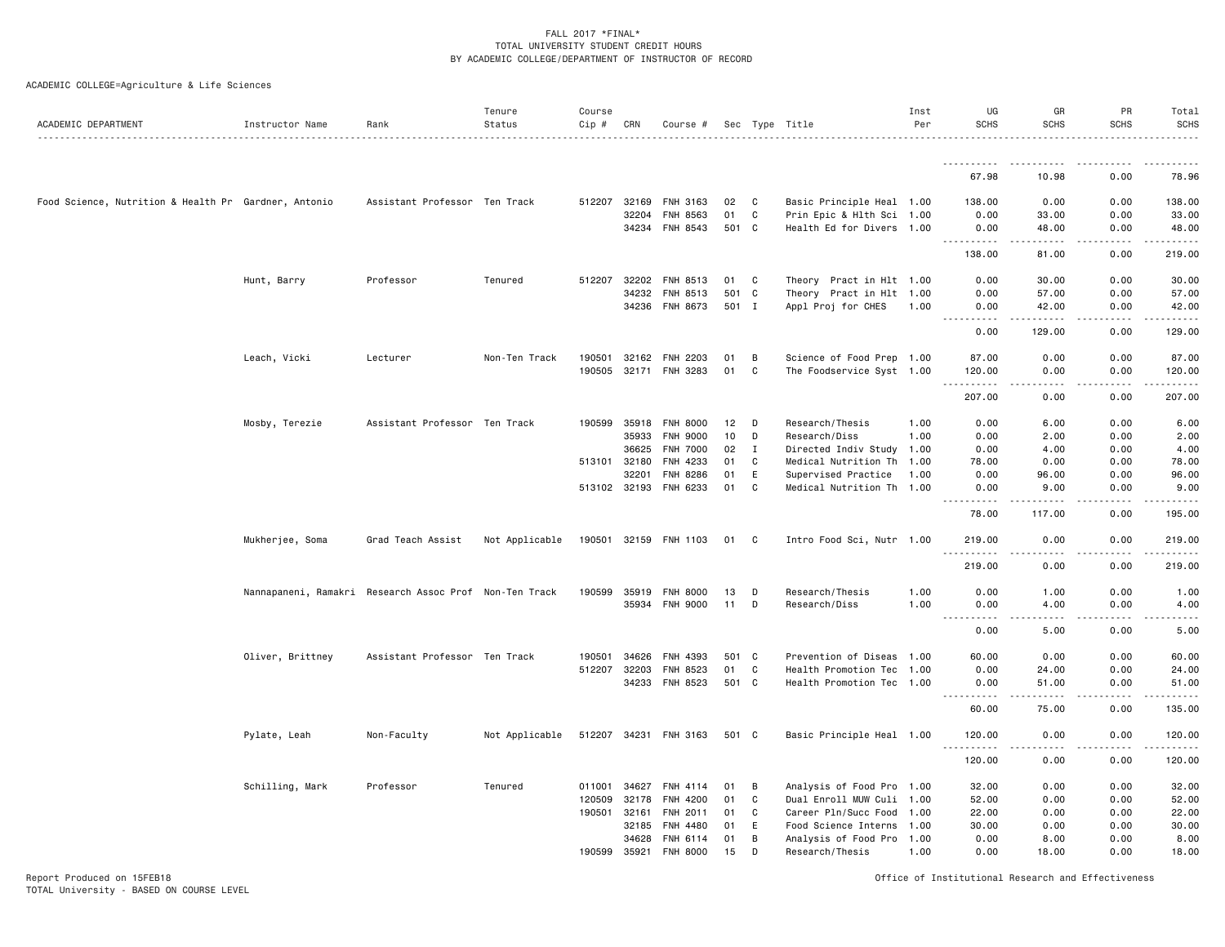| ACADEMIC DEPARTMENT                                  | Instructor Name                                        | Rank                          | Tenure<br>Status | Course<br>Cip # | CRN                   | Course #              |           |        | Sec Type Title                                    | Inst<br>Per | UG<br><b>SCHS</b>    | GR<br><b>SCHS</b>    | PR<br><b>SCHS</b> | Total<br><b>SCHS</b>                       |
|------------------------------------------------------|--------------------------------------------------------|-------------------------------|------------------|-----------------|-----------------------|-----------------------|-----------|--------|---------------------------------------------------|-------------|----------------------|----------------------|-------------------|--------------------------------------------|
|                                                      |                                                        |                               |                  |                 |                       |                       |           |        |                                                   |             | <u>.</u>             |                      |                   |                                            |
|                                                      |                                                        |                               |                  |                 |                       |                       |           |        |                                                   |             | 67.98                | 10.98                | 0.00              | 78.96                                      |
| Food Science, Nutrition & Health Pr Gardner, Antonio |                                                        | Assistant Professor Ten Track |                  |                 | 512207 32169          | FNH 3163              | 02        | C      | Basic Principle Heal 1.00                         |             | 138.00               | 0.00                 | 0.00              | 138.00                                     |
|                                                      |                                                        |                               |                  |                 | 32204                 | FNH 8563              | 01        | C      | Prin Epic & Hlth Sci 1.00                         |             | 0.00                 | 33.00                | 0.00              | 33.00                                      |
|                                                      |                                                        |                               |                  |                 |                       | 34234 FNH 8543        | 501 C     |        | Health Ed for Divers 1.00                         |             | 0.00<br>.            | 48.00<br>.           | 0.00<br>-----     | 48.00<br>.                                 |
|                                                      |                                                        |                               |                  |                 |                       |                       |           |        |                                                   |             | 138.00               | 81.00                | 0.00              | 219.00                                     |
|                                                      | Hunt, Barry                                            | Professor                     | Tenured          |                 | 512207 32202          | FNH 8513              | 01        | C      | Theory Pract in Hlt 1.00                          |             | 0.00                 | 30.00                | 0.00              | 30.00                                      |
|                                                      |                                                        |                               |                  |                 | 34232                 | FNH 8513              | 501       | C      | Theory Pract in Hlt 1.00                          |             | 0.00                 | 57.00                | 0.00              | 57.00                                      |
|                                                      |                                                        |                               |                  |                 |                       | 34236 FNH 8673        | 501 I     |        | Appl Proj for CHES                                | 1.00        | 0.00<br>.            | 42.00<br>.           | 0.00<br>.         | 42.00<br>.                                 |
|                                                      |                                                        |                               |                  |                 |                       |                       |           |        |                                                   |             | 0.00                 | 129.00               | 0.00              | 129.00                                     |
|                                                      | Leach, Vicki                                           | Lecturer                      | Non-Ten Track    | 190501          | 32162                 | FNH 2203              | 01        | в      | Science of Food Prep 1.00                         |             | 87.00                | 0.00                 | 0.00              | 87.00                                      |
|                                                      |                                                        |                               |                  |                 | 190505 32171          | FNH 3283              | 01        | C      | The Foodservice Syst 1.00                         |             | 120.00               | 0.00<br>د د د د      | 0.00<br>.         | 120.00                                     |
|                                                      |                                                        |                               |                  |                 |                       |                       |           |        |                                                   |             | 207.00               | 0.00                 | 0.00              | 207.00                                     |
|                                                      | Mosby, Terezie                                         | Assistant Professor Ten Track |                  | 190599          | 35918                 | <b>FNH 8000</b>       | 12        | D      | Research/Thesis                                   | 1.00        | 0.00                 | 6.00                 | 0.00              | 6.00                                       |
|                                                      |                                                        |                               |                  |                 | 35933                 | FNH 9000              | 10        | D      | Research/Diss                                     | 1.00        | 0.00                 | 2.00                 | 0.00              | 2.00                                       |
|                                                      |                                                        |                               |                  |                 | 36625                 | FNH 7000              | 02        | Ι.     | Directed Indiv Study 1.00                         |             | 0.00                 | 4.00                 | 0.00              | 4.00                                       |
|                                                      |                                                        |                               |                  |                 | 513101 32180          | FNH 4233              | 01        | C      | Medical Nutrition Th                              | 1.00        | 78.00                | 0.00                 | 0.00              | 78.00                                      |
|                                                      |                                                        |                               |                  |                 | 32201                 | FNH 8286              | 01        | E      | Supervised Practice                               | 1.00        | 0.00                 | 96.00                | 0.00              | 96.00                                      |
|                                                      |                                                        |                               |                  |                 | 513102 32193          | FNH 6233              | 01        | C      | Medical Nutrition Th 1.00                         |             | 0.00<br>.            | 9.00                 | 0.00<br>.         | 9.00<br>.                                  |
|                                                      |                                                        |                               |                  |                 |                       |                       |           |        |                                                   |             | 78.00                | 117.00               | 0.00              | 195.00                                     |
|                                                      | Mukherjee, Soma                                        | Grad Teach Assist             | Not Applicable   |                 | 190501 32159          | FNH 1103              | 01        | C      | Intro Food Sci, Nutr 1.00                         |             | 219.00<br>.          | 0.00<br>. <u>. .</u> | 0.00<br>.         | 219.00<br>$- - - - - - -$                  |
|                                                      |                                                        |                               |                  |                 |                       |                       |           |        |                                                   |             | 219.00               | 0.00                 | 0.00              | 219.00                                     |
|                                                      | Nannapaneni, Ramakri Research Assoc Prof Non-Ten Track |                               |                  |                 | 190599 35919          | <b>FNH 8000</b>       | 13        | D      | Research/Thesis                                   | 1.00        | 0.00                 | 1.00                 | 0.00              | 1.00                                       |
|                                                      |                                                        |                               |                  |                 | 35934                 | <b>FNH 9000</b>       | 11        | D      | Research/Diss                                     | 1.00        | 0.00                 | 4.00                 | 0.00              | 4.00                                       |
|                                                      |                                                        |                               |                  |                 |                       |                       |           |        |                                                   |             | 2.2.2.2.2<br>0.00    | د د د د<br>5.00      | .<br>0.00         | $\sim$ $\sim$ $\sim$ $\sim$ $\sim$<br>5.00 |
|                                                      |                                                        |                               |                  |                 |                       |                       |           |        |                                                   |             |                      |                      |                   |                                            |
|                                                      | Oliver, Brittney                                       | Assistant Professor Ten Track |                  | 190501          | 34626                 | FNH 4393              | 501<br>01 | C<br>C | Prevention of Diseas 1.00                         |             | 60.00<br>0.00        | 0.00                 | 0.00              | 60.00                                      |
|                                                      |                                                        |                               |                  |                 | 512207 32203<br>34233 | FNH 8523<br>FNH 8523  | 501 C     |        | Health Promotion Tec<br>Health Promotion Tec 1.00 | 1.00        | 0.00                 | 24.00<br>51.00       | 0.00<br>0.00      | 24.00<br>51.00                             |
|                                                      |                                                        |                               |                  |                 |                       |                       |           |        |                                                   |             | د د د د د<br>60.00   | 75.00                | 0.00              | 135.00                                     |
|                                                      | Pylate, Leah                                           | Non-Faculty                   | Not Applicable   |                 |                       | 512207 34231 FNH 3163 | 501 C     |        | Basic Principle Heal 1.00                         |             | 120.00               | 0.00                 | 0.00              | 120.00                                     |
|                                                      |                                                        |                               |                  |                 |                       |                       |           |        |                                                   |             | $\sim$ $\sim$ .<br>. | .                    | <u>.</u>          | .                                          |
|                                                      |                                                        |                               |                  |                 |                       |                       |           |        |                                                   |             | 120.00               | 0.00                 | 0.00              | 120.00                                     |
|                                                      | Schilling, Mark                                        | Professor                     | Tenured          | 011001          | 34627                 | FNH 4114              | 01        | B      | Analysis of Food Pro 1.00                         |             | 32.00                | 0.00                 | 0.00              | 32.00                                      |
|                                                      |                                                        |                               |                  | 120509          | 32178                 | FNH 4200              | 01        | C      | Dual Enroll MUW Culi 1.00                         |             | 52.00                | 0.00                 | 0.00              | 52.00                                      |
|                                                      |                                                        |                               |                  | 190501          | 32161                 | FNH 2011              | 01        | C      | Career Pln/Succ Food 1.00                         |             | 22.00                | 0.00                 | 0.00              | 22.00                                      |
|                                                      |                                                        |                               |                  |                 | 32185<br>34628        | FNH 4480<br>FNH 6114  | 01<br>01  | E<br>B | Food Science Interns 1.00<br>Analysis of Food Pro | 1.00        | 30.00<br>0.00        | 0.00<br>8.00         | 0.00<br>0.00      | 30.00<br>8.00                              |
|                                                      |                                                        |                               |                  |                 | 190599 35921          | FNH 8000              | 15        | D      | Research/Thesis                                   | 1.00        | 0.00                 | 18.00                | 0.00              | 18.00                                      |
|                                                      |                                                        |                               |                  |                 |                       |                       |           |        |                                                   |             |                      |                      |                   |                                            |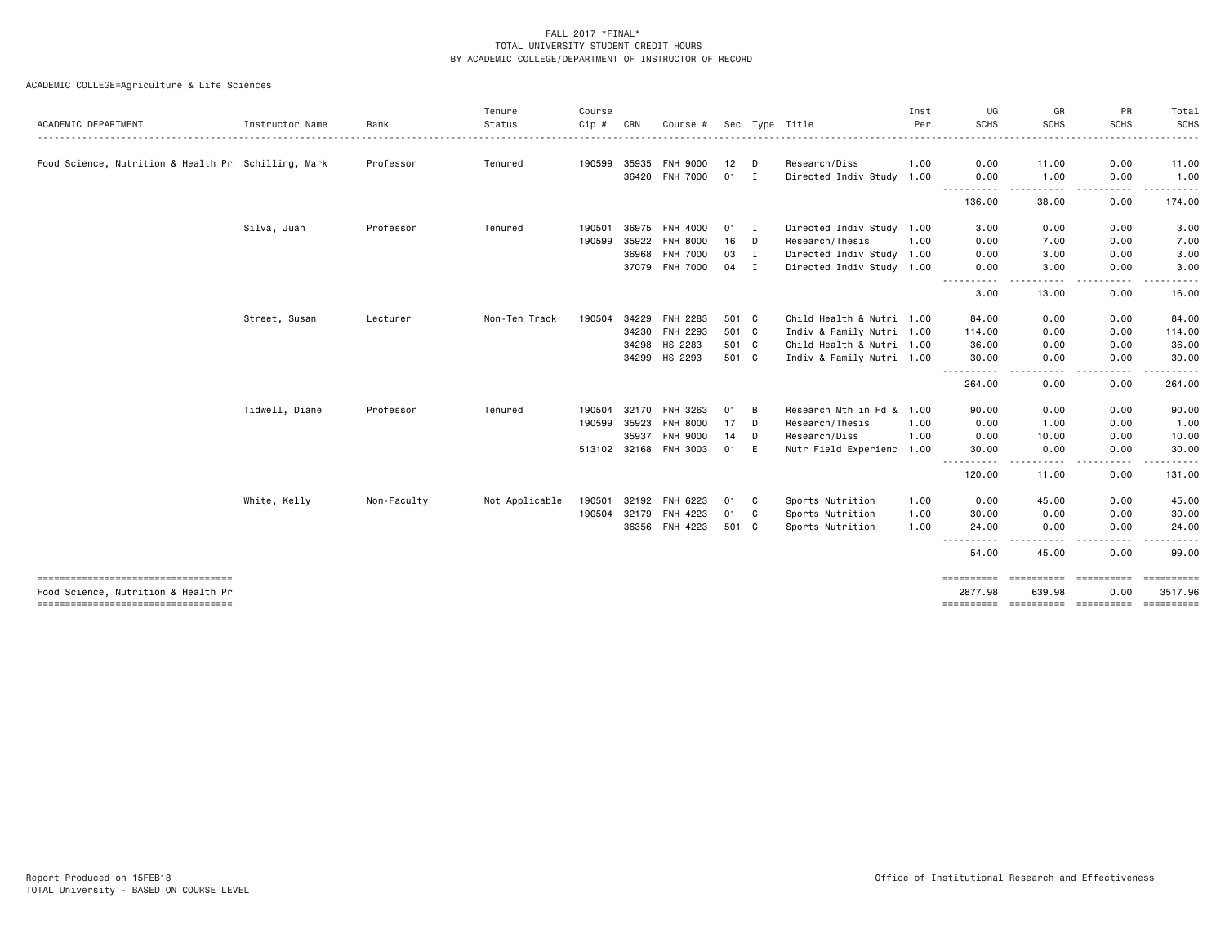|                                                                             |                 |             | Tenure         | Course |              |                 |                  |              |                           | Inst | UG                                                                                                                                | GR                  | PR                   | Total                 |
|-----------------------------------------------------------------------------|-----------------|-------------|----------------|--------|--------------|-----------------|------------------|--------------|---------------------------|------|-----------------------------------------------------------------------------------------------------------------------------------|---------------------|----------------------|-----------------------|
| ACADEMIC DEPARTMENT                                                         | Instructor Name | Rank        | Status         | Cip #  | CRN          | Course #        | Sec              |              | Type Title                | Per  | <b>SCHS</b>                                                                                                                       | <b>SCHS</b>         | <b>SCHS</b>          | <b>SCHS</b>           |
| Food Science, Nutrition & Health Pr Schilling, Mark                         |                 | Professor   | Tenured        | 190599 | 35935        | <b>FNH 9000</b> | 12 <sup>12</sup> | D            | Research/Diss             | 1.00 | 0.00                                                                                                                              | 11.00               | 0.00                 | 11.00                 |
|                                                                             |                 |             |                |        |              | 36420 FNH 7000  | 01               | $\mathbf{I}$ | Directed Indiv Study 1.00 |      | 0.00                                                                                                                              | 1.00                | 0.00                 | 1.00                  |
|                                                                             |                 |             |                |        |              |                 |                  |              |                           |      | 136.00                                                                                                                            | 38.00               | 0.00                 | 174.00                |
|                                                                             | Silva, Juan     | Professor   | Tenured        | 190501 |              | 36975 FNH 4000  | 01               | $\mathbf{I}$ | Directed Indiv Study 1.00 |      | 3.00                                                                                                                              | 0.00                | 0.00                 | 3.00                  |
|                                                                             |                 |             |                | 190599 | 35922        | <b>FNH 8000</b> | 16               | D            | Research/Thesis           | 1.00 | 0.00                                                                                                                              | 7.00                | 0.00                 | 7.00                  |
|                                                                             |                 |             |                |        | 36968        | <b>FNH 7000</b> | 03               | I            | Directed Indiv Study 1.00 |      | 0.00                                                                                                                              | 3.00                | 0.00                 | 3.00                  |
|                                                                             |                 |             |                |        |              | 37079 FNH 7000  | 04               | I            | Directed Indiv Study 1.00 |      | 0.00<br>$\frac{1}{2} \left( \frac{1}{2} \right) \left( \frac{1}{2} \right) \left( \frac{1}{2} \right) \left( \frac{1}{2} \right)$ | 3.00<br>----        | 0.00<br>. <b>.</b>   | 3.00                  |
|                                                                             |                 |             |                |        |              |                 |                  |              |                           |      | 3.00                                                                                                                              | 13.00               | 0.00                 | 16.00                 |
|                                                                             | Street, Susan   | Lecturer    | Non-Ten Track  | 190504 | 34229        | FNH 2283        | 501 C            |              | Child Health & Nutri 1.00 |      | 84.00                                                                                                                             | 0.00                | 0.00                 | 84.00                 |
|                                                                             |                 |             |                |        | 34230        | FNH 2293        | 501 C            |              | Indiv & Family Nutri 1.00 |      | 114.00                                                                                                                            | 0.00                | 0.00                 | 114.00                |
|                                                                             |                 |             |                |        | 34298        | HS 2283         | 501 C            |              | Child Health & Nutri 1.00 |      | 36.00                                                                                                                             | 0.00                | 0.00                 | 36.00                 |
|                                                                             |                 |             |                |        |              | 34299 HS 2293   | 501 C            |              | Indiv & Family Nutri 1.00 |      | 30.00<br>.                                                                                                                        | 0.00                | 0.00                 | 30.00                 |
|                                                                             |                 |             |                |        |              |                 |                  |              |                           |      | 264.00                                                                                                                            | 0.00                | 0.00                 | 264.00                |
|                                                                             | Tidwell, Diane  | Professor   | Tenured        | 190504 | 32170        | FNH 3263        | 01               | B            | Research Mth in Fd & 1.00 |      | 90.00                                                                                                                             | 0.00                | 0.00                 | 90.00                 |
|                                                                             |                 |             |                | 190599 | 35923        | <b>FNH 8000</b> | 17               | D            | Research/Thesis           | 1.00 | 0.00                                                                                                                              | 1.00                | 0.00                 | 1.00                  |
|                                                                             |                 |             |                |        | 35937        | <b>FNH 9000</b> | 14               | D            | Research/Diss             | 1.00 | 0.00                                                                                                                              | 10.00               | 0.00                 | 10.00                 |
|                                                                             |                 |             |                |        | 513102 32168 | <b>FNH 3003</b> | 01               | E            | Nutr Field Experienc 1.00 |      | 30.00                                                                                                                             | 0.00<br>$\cdots$    | 0.00<br>. <u>.</u> . | 30.00<br>.            |
|                                                                             |                 |             |                |        |              |                 |                  |              |                           |      | 120.00                                                                                                                            | 11.00               | 0.00                 | 131.00                |
|                                                                             | White, Kelly    | Non-Faculty | Not Applicable | 190501 | 32192        | FNH 6223        | 01               | C            | Sports Nutrition          | 1.00 | 0.00                                                                                                                              | 45.00               | 0.00                 | 45.00                 |
|                                                                             |                 |             |                | 190504 | 32179        | FNH 4223        | 01               | C            | Sports Nutrition          | 1.00 | 30.00                                                                                                                             | 0.00                | 0.00                 | 30.00                 |
|                                                                             |                 |             |                |        |              | 36356 FNH 4223  | 501 C            |              | Sports Nutrition          | 1.00 | 24.00                                                                                                                             | 0.00                | 0.00                 | 24.00                 |
|                                                                             |                 |             |                |        |              |                 |                  |              |                           |      | 54.00                                                                                                                             | 45.00               | 0.00                 | 99.00                 |
| ------------------------------------<br>Food Science, Nutrition & Health Pr |                 |             |                |        |              |                 |                  |              |                           |      | ==========<br>2877.98                                                                                                             | eessesses<br>639.98 | - EEEEEEEEE<br>0.00  | ==========<br>3517.96 |
| ------------------------------------                                        |                 |             |                |        |              |                 |                  |              |                           |      |                                                                                                                                   |                     |                      | ==========            |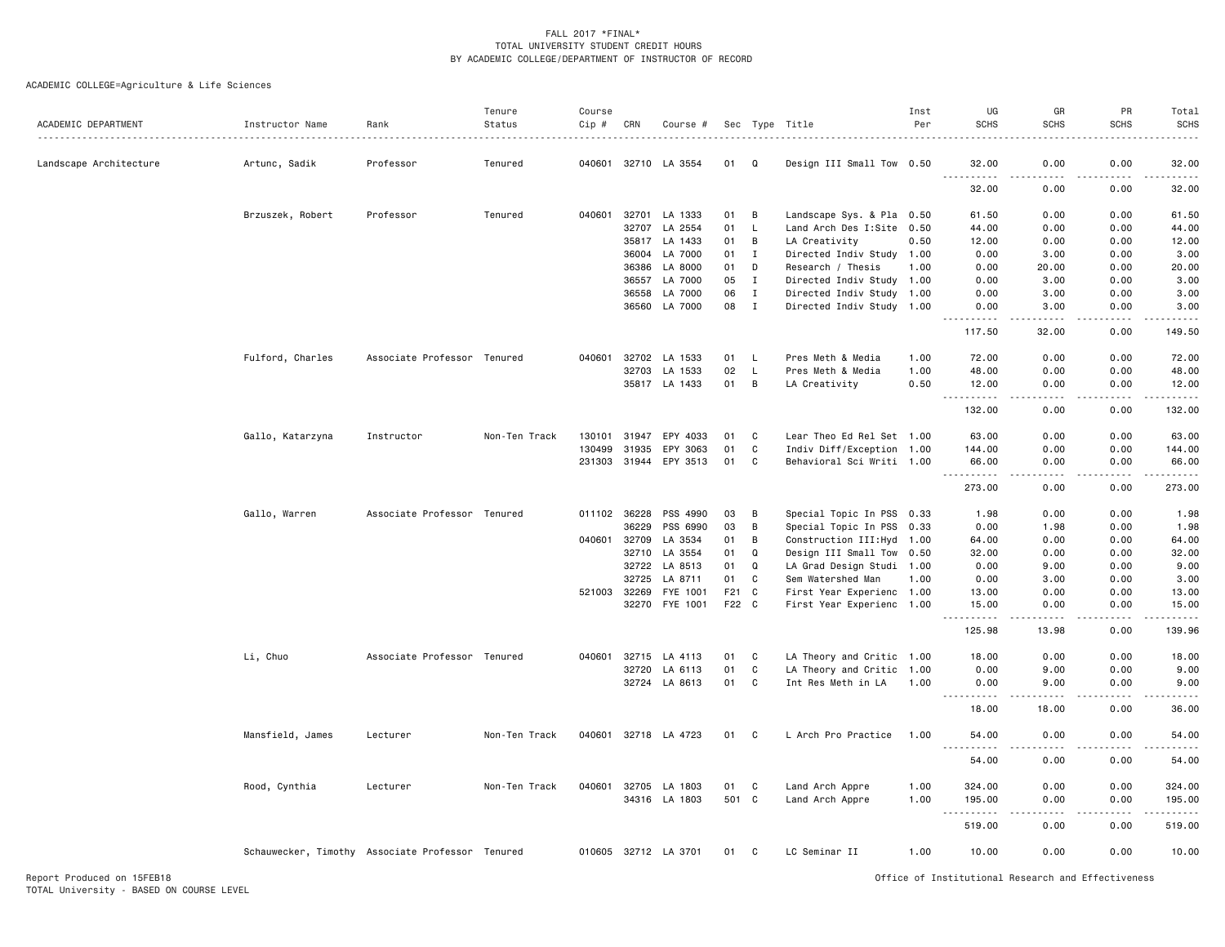| ACADEMIC DEPARTMENT    | Instructor Name  | Rank                                             | Tenure<br>Status | Course<br>Cip # | CRN          | Course #              |       |              | Sec Type Title             | Inst<br>Per | UG<br><b>SCHS</b>                                                                                                                                            | GR<br><b>SCHS</b> | PR<br><b>SCHS</b>                                                                                                                                            | Total<br><b>SCHS</b>    |
|------------------------|------------------|--------------------------------------------------|------------------|-----------------|--------------|-----------------------|-------|--------------|----------------------------|-------------|--------------------------------------------------------------------------------------------------------------------------------------------------------------|-------------------|--------------------------------------------------------------------------------------------------------------------------------------------------------------|-------------------------|
|                        |                  |                                                  |                  |                 |              |                       |       |              |                            |             |                                                                                                                                                              |                   |                                                                                                                                                              |                         |
| Landscape Architecture | Artunc, Sadik    | Professor                                        | Tenured          | 040601          | 32710        | LA 3554               | 01    | $\Omega$     | Design III Small Tow 0.50  |             | 32.00                                                                                                                                                        | 0.00<br>$- - - -$ | 0.00                                                                                                                                                         | 32.00                   |
|                        |                  |                                                  |                  |                 |              |                       |       |              |                            |             | 32.00                                                                                                                                                        | 0.00              | 0.00                                                                                                                                                         | 32.00                   |
|                        | Brzuszek, Robert | Professor                                        | Tenured          | 040601          | 32701        | LA 1333               | 01    | B            | Landscape Sys. & Pla 0.50  |             | 61.50                                                                                                                                                        | 0.00              | 0.00                                                                                                                                                         | 61.50                   |
|                        |                  |                                                  |                  |                 | 32707        | LA 2554               | 01    | L.           | Land Arch Des I:Site 0.50  |             | 44.00                                                                                                                                                        | 0.00              | 0.00                                                                                                                                                         | 44.00                   |
|                        |                  |                                                  |                  |                 |              | 35817 LA 1433         | 01    | B            | LA Creativity              | 0.50        | 12.00                                                                                                                                                        | 0.00              | 0.00                                                                                                                                                         | 12.00                   |
|                        |                  |                                                  |                  |                 | 36004        | LA 7000               | 01    | $\mathbf{I}$ | Directed Indiv Study 1.00  |             | 0.00                                                                                                                                                         | 3.00              | 0.00                                                                                                                                                         | 3.00                    |
|                        |                  |                                                  |                  |                 | 36386        | LA 8000               | 01    | D            | Research / Thesis          | 1.00        | 0.00                                                                                                                                                         | 20.00             | 0.00                                                                                                                                                         | 20.00                   |
|                        |                  |                                                  |                  |                 | 36557        | LA 7000               | 05    | $\mathbf I$  | Directed Indiv Study 1.00  |             | 0.00                                                                                                                                                         | 3.00              | 0.00                                                                                                                                                         | 3.00                    |
|                        |                  |                                                  |                  |                 | 36558        | LA 7000               | 06    | $\mathbf I$  | Directed Indiv Study 1.00  |             | 0.00                                                                                                                                                         | 3.00              | 0.00                                                                                                                                                         | 3.00                    |
|                        |                  |                                                  |                  |                 | 36560        | LA 7000               | 08    | $\mathbf{I}$ | Directed Indiv Study 1.00  |             | 0.00<br>$\frac{1}{2} \left( \frac{1}{2} \right) \left( \frac{1}{2} \right) \left( \frac{1}{2} \right) \left( \frac{1}{2} \right) \left( \frac{1}{2} \right)$ | 3.00<br>.         | 0.00<br>.                                                                                                                                                    | 3.00<br>.               |
|                        |                  |                                                  |                  |                 |              |                       |       |              |                            |             | 117.50                                                                                                                                                       | 32.00             | 0.00                                                                                                                                                         | 149.50                  |
|                        | Fulford, Charles | Associate Professor Tenured                      |                  | 040601          | 32702        | LA 1533               | 01    | L.           | Pres Meth & Media          | 1.00        | 72.00                                                                                                                                                        | 0.00              | 0.00                                                                                                                                                         | 72.00                   |
|                        |                  |                                                  |                  |                 | 32703        | LA 1533               | 02    | L.           | Pres Meth & Media          | 1.00        | 48.00                                                                                                                                                        | 0.00              | 0.00                                                                                                                                                         | 48.00                   |
|                        |                  |                                                  |                  |                 |              | 35817 LA 1433         | 01    | B            | LA Creativity              | 0.50        | 12.00                                                                                                                                                        | 0.00              | 0.00                                                                                                                                                         | 12.00                   |
|                        |                  |                                                  |                  |                 |              |                       |       |              |                            |             | $\sim$ $\sim$ $\sim$<br><b></b><br>132.00                                                                                                                    | .<br>0.00         | -----<br>0.00                                                                                                                                                | .<br>132.00             |
|                        | Gallo, Katarzyna | Instructor                                       | Non-Ten Track    | 130101          | 31947        | EPY 4033              | 01    | C            | Lear Theo Ed Rel Set 1.00  |             | 63.00                                                                                                                                                        | 0.00              | 0.00                                                                                                                                                         | 63.00                   |
|                        |                  |                                                  |                  | 130499          | 31935        | EPY 3063              | 01    | C            | Indiv Diff/Exception 1.00  |             | 144.00                                                                                                                                                       | 0.00              | 0.00                                                                                                                                                         | 144.00                  |
|                        |                  |                                                  |                  |                 |              | 231303 31944 EPY 3513 | 01    | C            | Behavioral Sci Writi 1.00  |             | 66.00                                                                                                                                                        | 0.00              | 0.00                                                                                                                                                         | 66.00                   |
|                        |                  |                                                  |                  |                 |              |                       |       |              |                            |             | .<br>273.00                                                                                                                                                  | 0.00              | 0.00                                                                                                                                                         | 273.00                  |
|                        | Gallo, Warren    | Associate Professor Tenured                      |                  |                 | 011102 36228 | PSS 4990              | 03    | B            | Special Topic In PSS 0.33  |             | 1.98                                                                                                                                                         | 0.00              | 0.00                                                                                                                                                         | 1.98                    |
|                        |                  |                                                  |                  |                 | 36229        | PSS 6990              | 03    | B            | Special Topic In PSS 0.33  |             | 0.00                                                                                                                                                         | 1.98              | 0.00                                                                                                                                                         | 1.98                    |
|                        |                  |                                                  |                  |                 | 040601 32709 | LA 3534               | 01    | В            | Construction III: Hyd 1.00 |             | 64.00                                                                                                                                                        | 0.00              | 0.00                                                                                                                                                         | 64.00                   |
|                        |                  |                                                  |                  |                 | 32710        | LA 3554               | 01    | Q            | Design III Small Tow 0.50  |             | 32.00                                                                                                                                                        | 0.00              | 0.00                                                                                                                                                         | 32.00                   |
|                        |                  |                                                  |                  |                 | 32722        | LA 8513               | 01    | Q            | LA Grad Design Studi 1.00  |             | 0.00                                                                                                                                                         | 9.00              | 0.00                                                                                                                                                         | 9.00                    |
|                        |                  |                                                  |                  |                 | 32725        | LA 8711               | 01    | C            | Sem Watershed Man          | 1.00        | 0.00                                                                                                                                                         | 3.00              | 0.00                                                                                                                                                         | 3.00                    |
|                        |                  |                                                  |                  | 521003          | 32269        | FYE 1001              | F21 C |              | First Year Experienc 1.00  |             | 13.00                                                                                                                                                        | 0.00              | 0.00                                                                                                                                                         | 13.00                   |
|                        |                  |                                                  |                  |                 |              | 32270 FYE 1001        | F22 C |              | First Year Experienc 1.00  |             | 15.00                                                                                                                                                        | 0.00<br>.         | 0.00<br>$\frac{1}{2} \left( \frac{1}{2} \right) \left( \frac{1}{2} \right) \left( \frac{1}{2} \right) \left( \frac{1}{2} \right) \left( \frac{1}{2} \right)$ | 15.00<br>وعاماتها ماليا |
|                        |                  |                                                  |                  |                 |              |                       |       |              |                            |             | 125.98                                                                                                                                                       | 13.98             | 0.00                                                                                                                                                         | 139.96                  |
|                        | Li, Chuo         | Associate Professor Tenured                      |                  |                 | 040601 32715 | LA 4113               | 01    | C            | LA Theory and Critic 1.00  |             | 18.00                                                                                                                                                        | 0.00              | 0.00                                                                                                                                                         | 18.00                   |
|                        |                  |                                                  |                  |                 |              | 32720 LA 6113         | 01    | C            | LA Theory and Critic 1.00  |             | 0.00                                                                                                                                                         | 9.00              | 0.00                                                                                                                                                         | 9.00                    |
|                        |                  |                                                  |                  |                 |              | 32724 LA 8613         | 01    | C            | Int Res Meth in LA         | 1.00        | 0.00<br>.                                                                                                                                                    | 9.00<br>.         | 0.00<br><b>.</b>                                                                                                                                             | 9.00<br>.               |
|                        |                  |                                                  |                  |                 |              |                       |       |              |                            |             | 18.00                                                                                                                                                        | 18.00             | 0.00                                                                                                                                                         | 36.00                   |
|                        | Mansfield, James | Lecturer                                         | Non-Ten Track    |                 | 040601 32718 | LA 4723               | 01    | C            | L Arch Pro Practice        | 1.00        | 54.00<br>-----                                                                                                                                               | 0.00              | 0.00                                                                                                                                                         | 54.00                   |
|                        |                  |                                                  |                  |                 |              |                       |       |              |                            |             | 54.00                                                                                                                                                        | 0.00              | 0.00                                                                                                                                                         | 54.00                   |
|                        | Rood, Cynthia    | Lecturer                                         | Non-Ten Track    |                 |              | 040601 32705 LA 1803  | 01    | C            | Land Arch Appre            | 1.00        | 324.00                                                                                                                                                       | 0.00              | 0.00                                                                                                                                                         | 324.00                  |
|                        |                  |                                                  |                  |                 |              | 34316 LA 1803         | 501 C |              | Land Arch Appre            | 1.00        | 195.00<br><b></b>                                                                                                                                            | 0.00<br>.         | 0.00<br>.                                                                                                                                                    | 195.00                  |
|                        |                  |                                                  |                  |                 |              |                       |       |              |                            |             | 519.00                                                                                                                                                       | 0.00              | 0.00                                                                                                                                                         | .<br>519.00             |
|                        |                  | Schauwecker, Timothy Associate Professor Tenured |                  |                 |              | 010605 32712 LA 3701  | 01    | C            | LC Seminar II              | 1.00        | 10.00                                                                                                                                                        | 0.00              | 0.00                                                                                                                                                         | 10.00                   |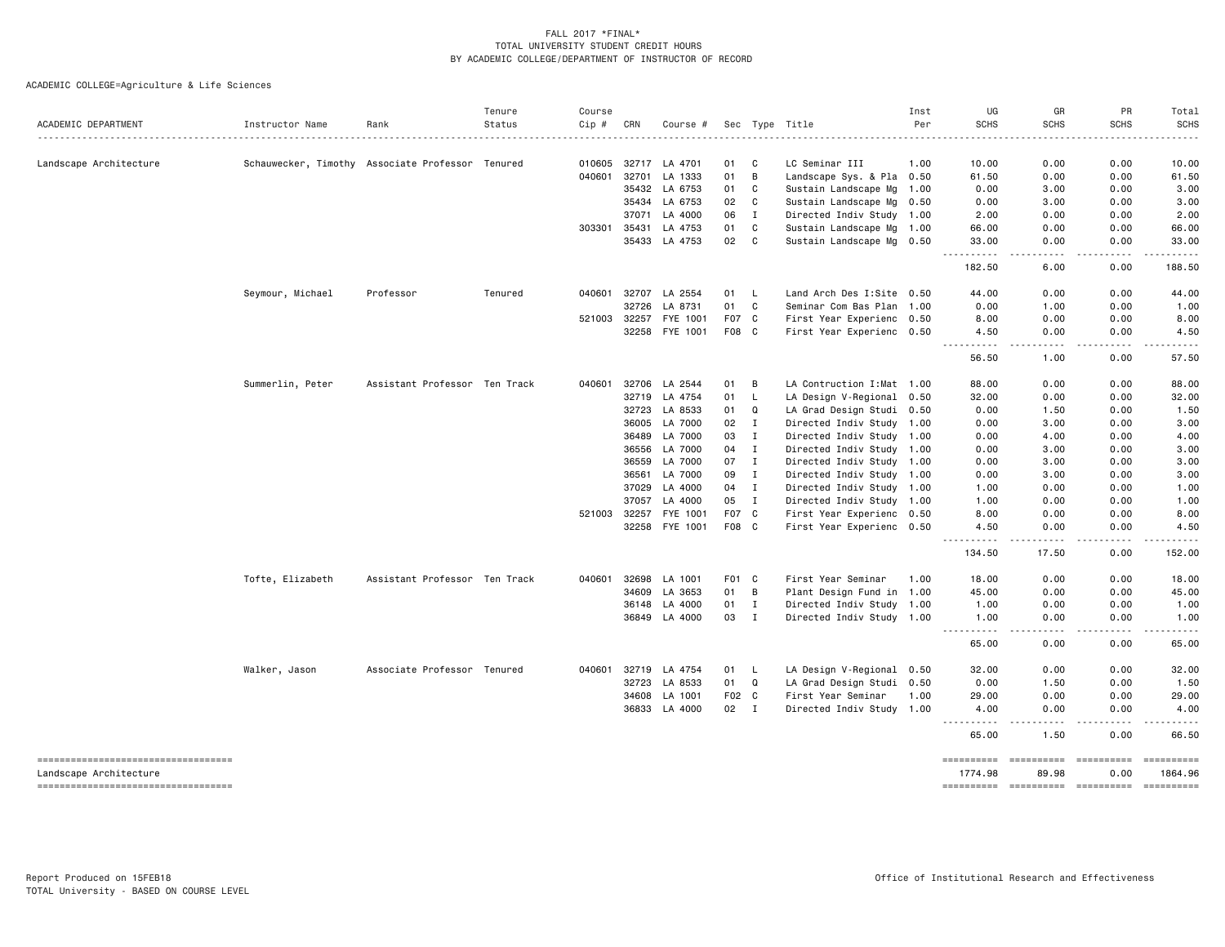| ACADEMIC DEPARTMENT                                              | Instructor Name  | Rank                                             | Tenure<br>Status | Course<br>Cip # | CRN   | Course #       |       |                | Sec Type Title             | Inst<br>Per | UG<br><b>SCHS</b>                                                                                                                                            | GR<br><b>SCHS</b>               | PR<br><b>SCHS</b> | Total<br><b>SCHS</b>  |
|------------------------------------------------------------------|------------------|--------------------------------------------------|------------------|-----------------|-------|----------------|-------|----------------|----------------------------|-------------|--------------------------------------------------------------------------------------------------------------------------------------------------------------|---------------------------------|-------------------|-----------------------|
|                                                                  |                  |                                                  |                  |                 |       |                |       |                |                            |             |                                                                                                                                                              |                                 |                   |                       |
| Landscape Architecture                                           |                  | Schauwecker, Timothy Associate Professor Tenured |                  | 010605          | 32717 | LA 4701        | 01    | C              | LC Seminar III             | 1.00        | 10.00                                                                                                                                                        | 0.00                            | 0.00              | 10.00                 |
|                                                                  |                  |                                                  |                  | 040601          | 32701 | LA 1333        | 01    | B              | Landscape Sys. & Pla 0.50  |             | 61.50                                                                                                                                                        | 0.00                            | 0.00              | 61.50                 |
|                                                                  |                  |                                                  |                  |                 |       | 35432 LA 6753  | 01    | C              | Sustain Landscape Mg 1.00  |             | 0.00                                                                                                                                                         | 3.00                            | 0.00              | 3.00                  |
|                                                                  |                  |                                                  |                  |                 |       | 35434 LA 6753  | 02    | C              | Sustain Landscape Mg 0.50  |             | 0.00                                                                                                                                                         | 3.00                            | 0.00              | 3.00                  |
|                                                                  |                  |                                                  |                  |                 | 37071 | LA 4000        | 06    | I              | Directed Indiv Study 1.00  |             | 2.00                                                                                                                                                         | 0.00                            | 0.00              | 2.00                  |
|                                                                  |                  |                                                  |                  | 303301          | 35431 | LA 4753        | 01    | C              | Sustain Landscape Mg 1.00  |             | 66.00                                                                                                                                                        | 0.00                            | 0.00              | 66.00                 |
|                                                                  |                  |                                                  |                  |                 |       | 35433 LA 4753  | 02    | C              | Sustain Landscape Mg 0.50  |             | 33.00<br>.                                                                                                                                                   | 0.00<br>.                       | 0.00<br>.         | 33.00<br>.            |
|                                                                  |                  |                                                  |                  |                 |       |                |       |                |                            |             | 182.50                                                                                                                                                       | 6.00                            | 0.00              | 188.50                |
|                                                                  | Seymour, Michael | Professor                                        | Tenured          | 040601          | 32707 | LA 2554        | 01    | - L            | Land Arch Des I:Site 0.50  |             | 44.00                                                                                                                                                        | 0.00                            | 0.00              | 44.00                 |
|                                                                  |                  |                                                  |                  |                 | 32726 | LA 8731        | 01    | C              | Seminar Com Bas Plan 1.00  |             | 0.00                                                                                                                                                         | 1.00                            | 0.00              | 1.00                  |
|                                                                  |                  |                                                  |                  | 521003 32257    |       | FYE 1001       | F07 C |                | First Year Experienc 0.50  |             | 8.00                                                                                                                                                         | 0.00                            | 0.00              | 8.00                  |
|                                                                  |                  |                                                  |                  |                 |       | 32258 FYE 1001 | F08 C |                | First Year Experienc 0.50  |             | 4.50<br>$\frac{1}{2} \left( \frac{1}{2} \right) \left( \frac{1}{2} \right) \left( \frac{1}{2} \right) \left( \frac{1}{2} \right) \left( \frac{1}{2} \right)$ | 0.00<br>.                       | 0.00<br>.         | 4.50                  |
|                                                                  |                  |                                                  |                  |                 |       |                |       |                |                            |             | 56.50                                                                                                                                                        | 1.00                            | 0.00              | 57.50                 |
|                                                                  | Summerlin, Peter | Assistant Professor Ten Track                    |                  | 040601          | 32706 | LA 2544        | 01    | B              | LA Contruction I: Mat 1.00 |             | 88.00                                                                                                                                                        | 0.00                            | 0.00              | 88.00                 |
|                                                                  |                  |                                                  |                  |                 | 32719 | LA 4754        | 01    | L              | LA Design V-Regional 0.50  |             | 32.00                                                                                                                                                        | 0.00                            | 0.00              | 32.00                 |
|                                                                  |                  |                                                  |                  |                 | 32723 | LA 8533        | 01    | Q              | LA Grad Design Studi 0.50  |             | 0.00                                                                                                                                                         | 1.50                            | 0.00              | 1.50                  |
|                                                                  |                  |                                                  |                  |                 | 36005 | LA 7000        | 02    | I              | Directed Indiv Study 1.00  |             | 0.00                                                                                                                                                         | 3.00                            | 0.00              | 3.00                  |
|                                                                  |                  |                                                  |                  |                 | 36489 | LA 7000        | 03    | $\mathbf I$    | Directed Indiv Study 1.00  |             | 0.00                                                                                                                                                         | 4.00                            | 0.00              | 4.00                  |
|                                                                  |                  |                                                  |                  |                 | 36556 | LA 7000        | 04    | $\mathbf{I}$   | Directed Indiv Study 1.00  |             | 0.00                                                                                                                                                         | 3.00                            | 0.00              | 3.00                  |
|                                                                  |                  |                                                  |                  |                 | 36559 | LA 7000        | 07    | $\mathbf{I}$   | Directed Indiv Study 1.00  |             | 0.00                                                                                                                                                         | 3.00                            | 0.00              | 3.00                  |
|                                                                  |                  |                                                  |                  |                 | 36561 | LA 7000        | 09    | I              | Directed Indiv Study 1.00  |             | 0.00                                                                                                                                                         | 3,00                            | 0.00              | 3.00                  |
|                                                                  |                  |                                                  |                  |                 |       | 37029 LA 4000  | 04    | $\mathbf{I}$   | Directed Indiv Study 1.00  |             | 1.00                                                                                                                                                         | 0.00                            | 0.00              | 1.00                  |
|                                                                  |                  |                                                  |                  |                 | 37057 | LA 4000        | 05    | $\mathbf{I}$   | Directed Indiv Study 1.00  |             | 1.00                                                                                                                                                         | 0.00                            | 0.00              | 1.00                  |
|                                                                  |                  |                                                  |                  | 521003          | 32257 | FYE 1001       | F07 C |                | First Year Experienc 0.50  |             | 8.00                                                                                                                                                         | 0.00                            | 0.00              | 8.00                  |
|                                                                  |                  |                                                  |                  |                 |       | 32258 FYE 1001 | F08 C |                | First Year Experienc 0.50  |             | 4.50                                                                                                                                                         | 0.00                            | 0.00              | 4.50                  |
|                                                                  |                  |                                                  |                  |                 |       |                |       |                |                            |             | 134.50                                                                                                                                                       | 17.50                           | 0.00              | 152.00                |
|                                                                  | Tofte, Elizabeth | Assistant Professor Ten Track                    |                  | 040601          | 32698 | LA 1001        | F01 C |                | First Year Seminar         | 1.00        | 18.00                                                                                                                                                        | 0.00                            | 0.00              | 18.00                 |
|                                                                  |                  |                                                  |                  |                 | 34609 | LA 3653        | 01    | В              | Plant Design Fund in 1.00  |             | 45.00                                                                                                                                                        | 0.00                            | 0.00              | 45.00                 |
|                                                                  |                  |                                                  |                  |                 | 36148 | LA 4000        | 01    | $\mathbf{I}$   | Directed Indiv Study 1.00  |             | 1.00                                                                                                                                                         | 0.00                            | 0.00              | 1.00                  |
|                                                                  |                  |                                                  |                  |                 |       | 36849 LA 4000  | 03    | $\mathbf{I}$   | Directed Indiv Study 1.00  |             | 1.00<br>$\sim$ $\sim$<br>.                                                                                                                                   | 0.00<br>. <u>. .</u>            | 0.00<br>.         | 1.00<br>$\frac{1}{2}$ |
|                                                                  |                  |                                                  |                  |                 |       |                |       |                |                            |             | 65.00                                                                                                                                                        | 0.00                            | 0.00              | 65.00                 |
|                                                                  | Walker, Jason    | Associate Professor Tenured                      |                  | 040601          | 32719 | LA 4754        | 01    | L.             | LA Design V-Regional 0.50  |             | 32.00                                                                                                                                                        | 0.00                            | 0.00              | 32.00                 |
|                                                                  |                  |                                                  |                  |                 | 32723 | LA 8533        | 01    | Q              | LA Grad Design Studi 0.50  |             | 0.00                                                                                                                                                         | 1.50                            | 0.00              | 1.50                  |
|                                                                  |                  |                                                  |                  |                 | 34608 | LA 1001        | F02 C |                | First Year Seminar         | 1.00        | 29.00                                                                                                                                                        | 0.00                            | 0.00              | 29.00                 |
|                                                                  |                  |                                                  |                  |                 | 36833 | LA 4000        | 02    | $\blacksquare$ | Directed Indiv Study 1.00  |             | 4.00                                                                                                                                                         | 0.00                            | 0.00              | 4.00                  |
|                                                                  |                  |                                                  |                  |                 |       |                |       |                |                            |             | 65.00                                                                                                                                                        | 1.50                            | 0.00              | 66.50                 |
| ======================================<br>Landscape Architecture |                  |                                                  |                  |                 |       |                |       |                |                            |             | ==========<br>1774.98                                                                                                                                        | ======================<br>89.98 | 0.00              | ==========<br>1864.96 |
| ----------------------------------                               |                  |                                                  |                  |                 |       |                |       |                |                            |             | ==========                                                                                                                                                   | ==========                      | ==========        | ==========            |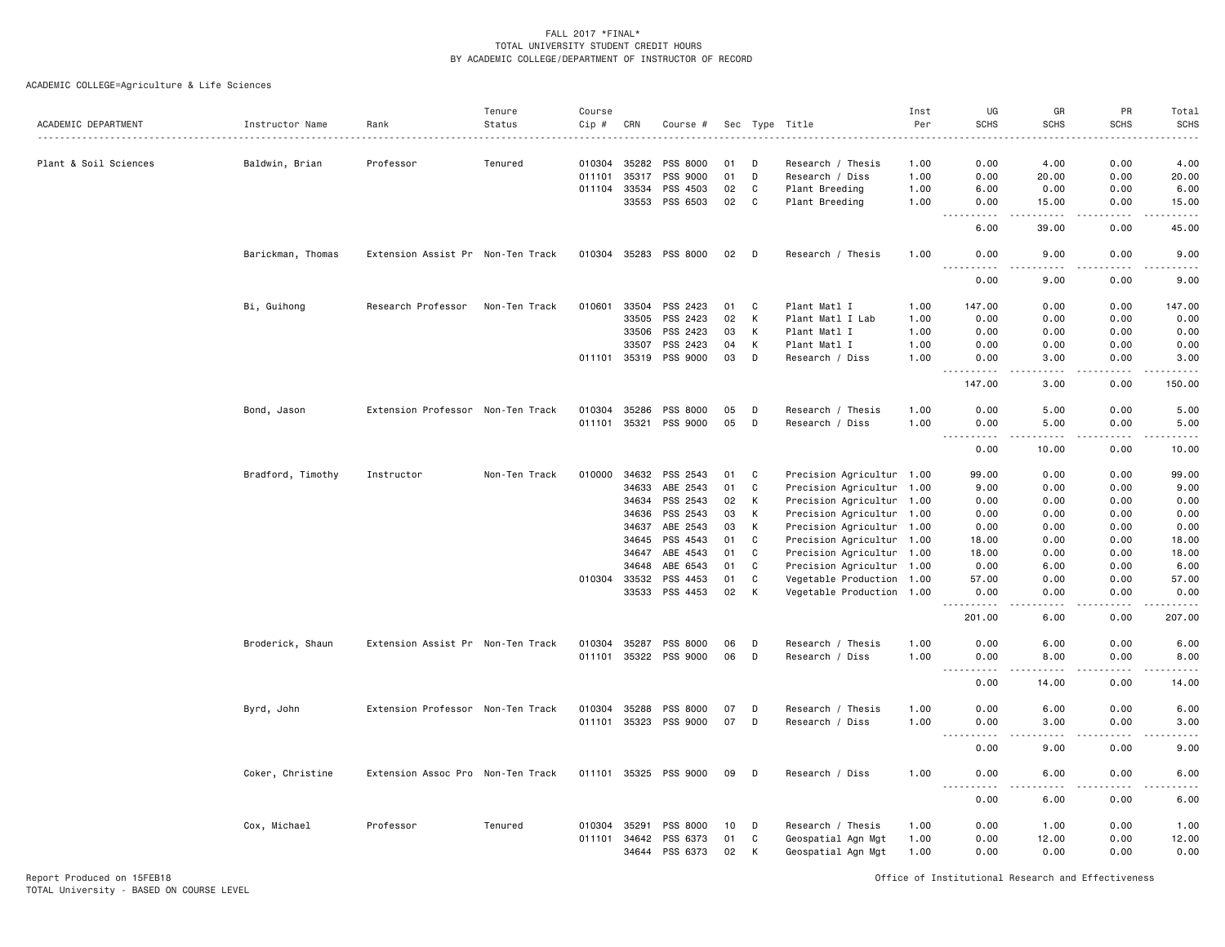| ACADEMIC DEPARTMENT   | Instructor Name   | Rank                              | Tenure<br>Status | Course<br>$Cip \#$ | CRN          | Course # |    |   | Sec Type Title            | Inst<br>Per | UG<br><b>SCHS</b>                             | GR<br><b>SCHS</b> | PR<br><b>SCHS</b> | Total<br><b>SCHS</b>                                                                                                              |
|-----------------------|-------------------|-----------------------------------|------------------|--------------------|--------------|----------|----|---|---------------------------|-------------|-----------------------------------------------|-------------------|-------------------|-----------------------------------------------------------------------------------------------------------------------------------|
|                       |                   |                                   |                  |                    |              |          |    |   |                           | .           |                                               |                   |                   | المالم عامل                                                                                                                       |
| Plant & Soil Sciences | Baldwin, Brian    | Professor                         | Tenured          |                    | 010304 35282 | PSS 8000 | 01 | D | Research / Thesis         | 1.00        | 0.00                                          | 4.00              | 0.00              | 4.00                                                                                                                              |
|                       |                   |                                   |                  | 011101             | 35317        | PSS 9000 | 01 | D | Research / Diss           | 1.00        | 0.00                                          | 20.00             | 0.00              | 20.00                                                                                                                             |
|                       |                   |                                   |                  |                    | 011104 33534 | PSS 4503 | 02 | С | Plant Breeding            | 1.00        | 6.00                                          | 0.00              | 0.00              | 6.00                                                                                                                              |
|                       |                   |                                   |                  |                    | 33553        | PSS 6503 | 02 | C | Plant Breeding            | 1.00        | 0.00                                          | 15.00             | 0.00              | 15.00                                                                                                                             |
|                       |                   |                                   |                  |                    |              |          |    |   |                           |             | 6.00                                          | 39.00             | 0.00              | 45.00                                                                                                                             |
|                       | Barickman, Thomas | Extension Assist Pr Non-Ten Track |                  |                    | 010304 35283 | PSS 8000 | 02 | D | Research / Thesis         | 1.00        | 0.00<br>----                                  | 9.00              | 0.00              | 9.00                                                                                                                              |
|                       |                   |                                   |                  |                    |              |          |    |   |                           |             | 0.00                                          | 9.00              | 0.00              | 9.00                                                                                                                              |
|                       | Bi, Guihong       | Research Professor                | Non-Ten Track    | 010601             | 33504        | PSS 2423 | 01 | C | Plant Matl I              | 1.00        | 147.00                                        | 0.00              | 0.00              | 147.00                                                                                                                            |
|                       |                   |                                   |                  |                    | 33505        | PSS 2423 | 02 | К | Plant Matl I Lab          | 1.00        | 0.00                                          | 0.00              | 0.00              | 0.00                                                                                                                              |
|                       |                   |                                   |                  |                    | 33506        | PSS 2423 | 03 | Κ | Plant Matl I              | 1.00        | 0.00                                          | 0.00              | 0.00              | 0.00                                                                                                                              |
|                       |                   |                                   |                  |                    | 33507        | PSS 2423 | 04 | Κ | Plant Matl I              | 1.00        | 0.00                                          | 0.00              | 0.00              | 0.00                                                                                                                              |
|                       |                   |                                   |                  |                    | 011101 35319 | PSS 9000 | 03 | D | Research / Diss           | 1.00        | 0.00<br>$\frac{1}{2}$<br>$\sim$ $\sim$        | 3.00<br>$   -$    | 0.00<br>.         | 3.00                                                                                                                              |
|                       |                   |                                   |                  |                    |              |          |    |   |                           |             | 147.00                                        | 3.00              | 0.00              | 150.00                                                                                                                            |
|                       | Bond, Jason       | Extension Professor Non-Ten Track |                  | 010304             | 35286        | PSS 8000 | 05 | D | Research / Thesis         | 1.00        | 0.00                                          | 5.00              | 0.00              | 5.00                                                                                                                              |
|                       |                   |                                   |                  | 011101             | 35321        | PSS 9000 | 05 | D | Research / Diss           | 1.00        | 0.00                                          | 5.00              | 0.00              | 5.00                                                                                                                              |
|                       |                   |                                   |                  |                    |              |          |    |   |                           |             | .<br>$\frac{1}{2}$<br>0.00                    | .<br>10.00        | .<br>0.00         | .<br>10.00                                                                                                                        |
|                       | Bradford, Timothy | Instructor                        | Non-Ten Track    | 010000             | 34632        | PSS 2543 | 01 | C | Precision Agricultur 1.00 |             | 99.00                                         | 0.00              | 0.00              | 99.00                                                                                                                             |
|                       |                   |                                   |                  |                    | 34633        | ABE 2543 | 01 | C | Precision Agricultur 1.00 |             | 9.00                                          | 0.00              | 0.00              | 9.00                                                                                                                              |
|                       |                   |                                   |                  |                    | 34634        | PSS 2543 | 02 | Κ | Precision Agricultur 1.00 |             | 0.00                                          | 0.00              | 0.00              | 0.00                                                                                                                              |
|                       |                   |                                   |                  |                    | 34636        | PSS 2543 | 03 | К | Precision Agricultur 1.00 |             | 0.00                                          | 0.00              | 0.00              | 0.00                                                                                                                              |
|                       |                   |                                   |                  |                    | 34637        | ABE 2543 | 03 | Κ | Precision Agricultur 1.00 |             | 0.00                                          | 0.00              | 0.00              | 0.00                                                                                                                              |
|                       |                   |                                   |                  |                    | 34645        | PSS 4543 | 01 | C | Precision Agricultur 1.00 |             | 18.00                                         | 0.00              | 0.00              | 18.00                                                                                                                             |
|                       |                   |                                   |                  |                    | 34647        | ABE 4543 | 01 | C | Precision Agricultur 1.00 |             | 18.00                                         | 0.00              | 0.00              | 18.00                                                                                                                             |
|                       |                   |                                   |                  |                    | 34648        | ABE 6543 | 01 | C | Precision Agricultur 1.00 |             | 0.00                                          | 6.00              | 0.00              | 6.00                                                                                                                              |
|                       |                   |                                   |                  |                    | 010304 33532 | PSS 4453 | 01 | C | Vegetable Production 1.00 |             | 57.00                                         | 0.00              | 0.00              | 57.00                                                                                                                             |
|                       |                   |                                   |                  |                    | 33533        | PSS 4453 | 02 | К | Vegetable Production 1.00 |             | 0.00                                          | 0.00              | 0.00              | 0.00                                                                                                                              |
|                       |                   |                                   |                  |                    |              |          |    |   |                           |             | $\sim$ $\sim$<br>-----<br>201.00              | 6.00              | 0.00              | 207.00                                                                                                                            |
|                       | Broderick, Shaun  | Extension Assist Pr Non-Ten Track |                  | 010304 35287       |              | PSS 8000 | 06 | D | Research / Thesis         | 1.00        | 0.00                                          | 6.00              | 0.00              | 6.00                                                                                                                              |
|                       |                   |                                   |                  | 011101             | 35322        | PSS 9000 | 06 | D | Research / Diss           | 1.00        | 0.00                                          | 8.00              | 0.00              | 8.00                                                                                                                              |
|                       |                   |                                   |                  |                    |              |          |    |   |                           |             | $\frac{1}{2}$<br>$\sim$ $\sim$ $\sim$<br>0.00 | $   -$<br>14.00   | .<br>0.00         | $\frac{1}{2}$<br>14.00                                                                                                            |
|                       | Byrd, John        | Extension Professor Non-Ten Track |                  | 010304             | 35288        | PSS 8000 | 07 | D | Research / Thesis         | 1.00        | 0.00                                          | 6.00              | 0.00              | 6.00                                                                                                                              |
|                       |                   |                                   |                  |                    | 011101 35323 | PSS 9000 | 07 | D | Research / Diss           | 1.00        | 0.00                                          | 3.00              | 0.00              | 3.00                                                                                                                              |
|                       |                   |                                   |                  |                    |              |          |    |   |                           |             | .<br>$\sim$ $\sim$ $\sim$<br>0.00             | $   -$<br>9.00    | .<br>0.00         | $\frac{1}{2} \left( \frac{1}{2} \right) \left( \frac{1}{2} \right) \left( \frac{1}{2} \right) \left( \frac{1}{2} \right)$<br>9.00 |
|                       | Coker, Christine  | Extension Assoc Pro Non-Ten Track |                  | 011101 35325       |              | PSS 9000 | 09 | D | Research / Diss           | 1.00        | 0.00                                          | 6.00              | 0.00              | 6.00                                                                                                                              |
|                       |                   |                                   |                  |                    |              |          |    |   |                           |             | $\sim$ $\sim$ $\sim$<br>0.00                  | 6.00              | 0.00              | 6.00                                                                                                                              |
|                       |                   |                                   |                  |                    |              |          |    |   |                           |             |                                               |                   |                   |                                                                                                                                   |
|                       | Cox, Michael      | Professor                         | Tenured          | 010304 35291       |              | PSS 8000 | 10 | D | Research / Thesis         | 1.00        | 0.00                                          | 1.00              | 0.00              | 1.00                                                                                                                              |
|                       |                   |                                   |                  | 011101             | 34642        | PSS 6373 | 01 | C | Geospatial Agn Mgt        | 1.00        | 0.00                                          | 12.00             | 0.00              | 12.00                                                                                                                             |
|                       |                   |                                   |                  |                    | 34644        | PSS 6373 | 02 | К | Geospatial Agn Mgt        | 1.00        | 0.00                                          | 0.00              | 0.00              | 0.00                                                                                                                              |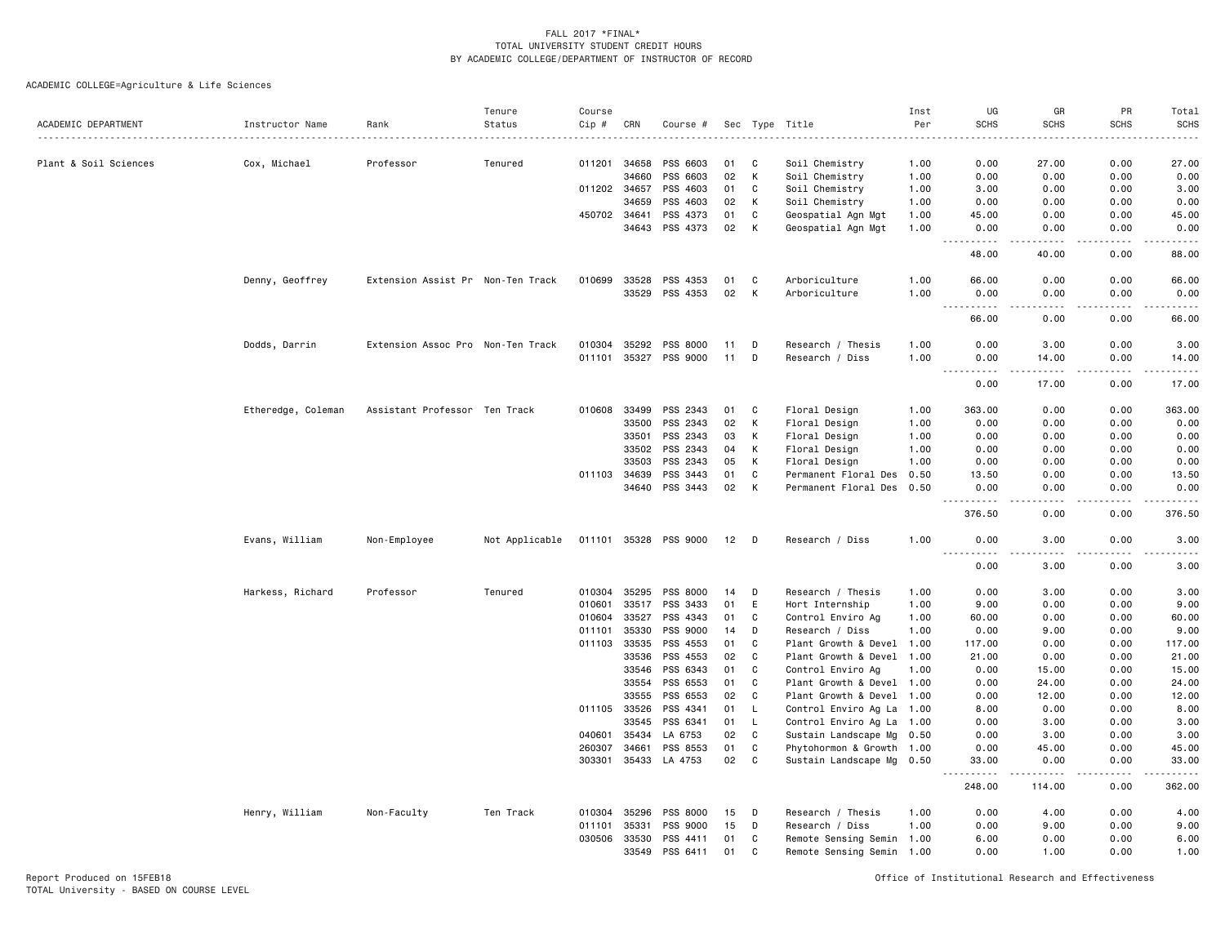|                       |                    |                                   | Tenure         | Course       |       |                      |                 |              |                                              | Inst         | UG                                                                                                     | GR                | PR           | Total                 |
|-----------------------|--------------------|-----------------------------------|----------------|--------------|-------|----------------------|-----------------|--------------|----------------------------------------------|--------------|--------------------------------------------------------------------------------------------------------|-------------------|--------------|-----------------------|
| ACADEMIC DEPARTMENT   | Instructor Name    | Rank                              | Status         | Cip #        | CRN   | Course #             | Sec             |              | Type Title                                   | Per          | <b>SCHS</b>                                                                                            | <b>SCHS</b>       | <b>SCHS</b>  | SCHS                  |
| Plant & Soil Sciences | Cox, Michael       | Professor                         | Tenured        | 011201       | 34658 | PSS 6603             | 01              | C            | Soil Chemistry                               | 1.00         | 0.00                                                                                                   | 27.00             | 0.00         | 27.00                 |
|                       |                    |                                   |                |              | 34660 | PSS 6603             | 02              | К            | Soil Chemistry                               | 1.00         | 0.00                                                                                                   | 0.00              | 0.00         | 0.00                  |
|                       |                    |                                   |                | 011202 34657 |       | PSS 4603             | 01              | C            | Soil Chemistry                               | 1.00         | 3.00                                                                                                   | 0.00              | 0.00         | 3.00                  |
|                       |                    |                                   |                |              | 34659 | PSS 4603             | 02              | К            | Soil Chemistry                               | 1.00         | 0.00                                                                                                   | 0.00              | 0.00         | 0.00                  |
|                       |                    |                                   |                | 450702 34641 |       | PSS 4373             | 01              | C            | Geospatial Agn Mgt                           | 1.00         | 45.00                                                                                                  | 0.00              | 0.00         | 45.00                 |
|                       |                    |                                   |                |              | 34643 | PSS 4373             | 02              | К            | Geospatial Agn Mgt                           | 1.00         | 0.00                                                                                                   | 0.00              | 0.00         | 0.00                  |
|                       |                    |                                   |                |              |       |                      |                 |              |                                              |              | 48.00                                                                                                  | 40.00             | 0.00         | 88.00                 |
|                       | Denny, Geoffrey    | Extension Assist Pr Non-Ten Track |                | 010699 33528 |       | PSS 4353             | 01              | C            | Arboriculture                                | 1.00         | 66.00                                                                                                  | 0.00              | 0.00         | 66.00                 |
|                       |                    |                                   |                |              | 33529 | PSS 4353             | 02              | К            | Arboriculture                                | 1.00         | 0.00<br>$\frac{1}{2} \left( \frac{1}{2} \right) \left( \frac{1}{2} \right) \left( \frac{1}{2} \right)$ | 0.00<br>$- - - -$ | 0.00<br>.    | 0.00<br>$\frac{1}{2}$ |
|                       |                    |                                   |                |              |       |                      |                 |              |                                              |              | 66.00                                                                                                  | 0.00              | 0.00         | 66.00                 |
|                       | Dodds, Darrin      | Extension Assoc Pro Non-Ten Track |                | 010304       | 35292 | PSS 8000             | 11              | D            | Research / Thesis                            | 1.00         | 0.00                                                                                                   | 3.00              | 0.00         | 3.00                  |
|                       |                    |                                   |                | 011101       | 35327 | PSS 9000             | 11              | D            | Research / Diss                              | 1.00         | 0.00<br>.                                                                                              | 14.00<br>.        | 0.00<br>.    | 14.00<br>.            |
|                       |                    |                                   |                |              |       |                      |                 |              |                                              |              | 0.00                                                                                                   | 17.00             | 0.00         | 17.00                 |
|                       | Etheredge, Coleman | Assistant Professor Ten Track     |                | 010608       | 33499 | PSS 2343             | 01              | C            | Floral Design                                | 1.00         | 363.00                                                                                                 | 0.00              | 0.00         | 363.00                |
|                       |                    |                                   |                |              | 33500 | PSS 2343             | 02              | К            | Floral Design                                | 1.00         | 0.00                                                                                                   | 0.00              | 0.00         | 0.00                  |
|                       |                    |                                   |                |              | 33501 | PSS 2343             | 03              | К            | Floral Design                                | 1.00         | 0.00                                                                                                   | 0.00              | 0.00         | 0.00                  |
|                       |                    |                                   |                |              | 33502 | PSS 2343             | 04              | К            | Floral Design                                | 1.00         | 0.00                                                                                                   | 0.00              | 0.00         | 0.00                  |
|                       |                    |                                   |                |              | 33503 | PSS 2343             | 05              | К            | Floral Design                                | 1.00         | 0.00                                                                                                   | 0.00              | 0.00         | 0.00                  |
|                       |                    |                                   |                | 011103 34639 | 34640 | PSS 3443<br>PSS 3443 | 01<br>02        | C<br>К       | Permanent Floral Des<br>Permanent Floral Des | 0.50<br>0.50 | 13.50<br>0.00                                                                                          | 0.00<br>0.00      | 0.00<br>0.00 | 13.50<br>0.00         |
|                       |                    |                                   |                |              |       |                      |                 |              |                                              |              | 376.50                                                                                                 | 0.00              | 0.00         | 376.50                |
|                       | Evans, William     | Non-Employee                      | Not Applicable | 011101 35328 |       | PSS 9000             | 12 <sub>1</sub> | D            | Research / Diss                              | 1.00         | 0.00                                                                                                   | 3.00              | 0.00         | 3.00                  |
|                       |                    |                                   |                |              |       |                      |                 |              |                                              |              | د د د د<br>0.00                                                                                        | 3.00              | 0.00         | .<br>3.00             |
|                       | Harkess, Richard   | Professor                         | Tenured        | 010304       | 35295 | PSS 8000             | 14              | D            | Research / Thesis                            | 1.00         | 0.00                                                                                                   | 3.00              | 0.00         | 3.00                  |
|                       |                    |                                   |                | 010601       | 33517 | PSS 3433             | 01              | Ε            | Hort Internship                              | 1.00         | 9.00                                                                                                   | 0.00              | 0.00         | 9.00                  |
|                       |                    |                                   |                | 010604       | 33527 | PSS 4343             | 01              | C            | Control Enviro Ag                            | 1.00         | 60.00                                                                                                  | 0.00              | 0.00         | 60.00                 |
|                       |                    |                                   |                | 011101       | 35330 | PSS 9000             | 14              | D            | Research / Diss                              | 1.00         | 0.00                                                                                                   | 9.00              | 0.00         | 9.00                  |
|                       |                    |                                   |                | 011103 33535 |       | PSS 4553             | 01              | C            | Plant Growth & Devel 1.00                    |              | 117.00                                                                                                 | 0.00              | 0.00         | 117.00                |
|                       |                    |                                   |                |              | 33536 | PSS 4553             | 02              | C            | Plant Growth & Devel 1.00                    |              | 21.00                                                                                                  | 0.00              | 0.00         | 21.00                 |
|                       |                    |                                   |                |              | 33546 | PSS 6343             | 01              | C            | Control Enviro Ag                            | 1.00         | 0.00                                                                                                   | 15.00             | 0.00         | 15.00                 |
|                       |                    |                                   |                |              | 33554 | PSS 6553             | 01              | C            | Plant Growth & Devel 1.00                    |              | 0.00                                                                                                   | 24.00             | 0.00         | 24.00                 |
|                       |                    |                                   |                |              | 33555 | PSS 6553             | 02              | $\mathbb{C}$ | Plant Growth & Devel 1.00                    |              | 0.00                                                                                                   | 12.00             | 0.00         | 12.00                 |
|                       |                    |                                   |                | 011105       | 33526 | PSS 4341             | 01              | L            | Control Enviro Ag La                         | 1.00         | 8.00                                                                                                   | 0.00              | 0.00         | 8.00                  |
|                       |                    |                                   |                |              | 33545 | PSS 6341             | 01              | <b>L</b>     | Control Enviro Ag La 1.00                    |              | 0.00                                                                                                   | 3.00              | 0.00         | 3.00                  |
|                       |                    |                                   |                | 040601       | 35434 | LA 6753              | 02              | C            | Sustain Landscape Mg 0.50                    |              | 0.00                                                                                                   | 3.00              | 0.00         | 3.00                  |
|                       |                    |                                   |                | 260307       | 34661 | PSS 8553             | 01              | C            | Phytohormon & Growth 1.00                    |              | 0.00                                                                                                   | 45.00             | 0.00         | 45.00                 |
|                       |                    |                                   |                | 303301       | 35433 | LA 4753              | 02              | C            | Sustain Landscape Mg 0.50                    |              | 33.00<br>----                                                                                          | 0.00              | 0.00         | 33.00                 |
|                       |                    |                                   |                |              |       |                      |                 |              |                                              |              | 248.00                                                                                                 | 114.00            | 0.00         | 362.00                |
|                       | Henry, William     | Non-Faculty                       | Ten Track      | 010304       | 35296 | PSS 8000             | 15              | D            | Research / Thesis                            | 1.00         | 0.00                                                                                                   | 4.00              | 0.00         | 4.00                  |
|                       |                    |                                   |                | 011101       | 35331 | PSS 9000             | 15              | D            | Research / Diss                              | 1.00         | 0.00                                                                                                   | 9.00              | 0.00         | 9.00                  |
|                       |                    |                                   |                | 030506       | 33530 | PSS 4411             | 01              | C            | Remote Sensing Semin 1.00                    |              | 6.00                                                                                                   | 0.00              | 0.00         | 6.00                  |
|                       |                    |                                   |                |              | 33549 | PSS 6411             | 01              | C            | Remote Sensing Semin 1.00                    |              | 0.00                                                                                                   | 1.00              | 0.00         | 1.00                  |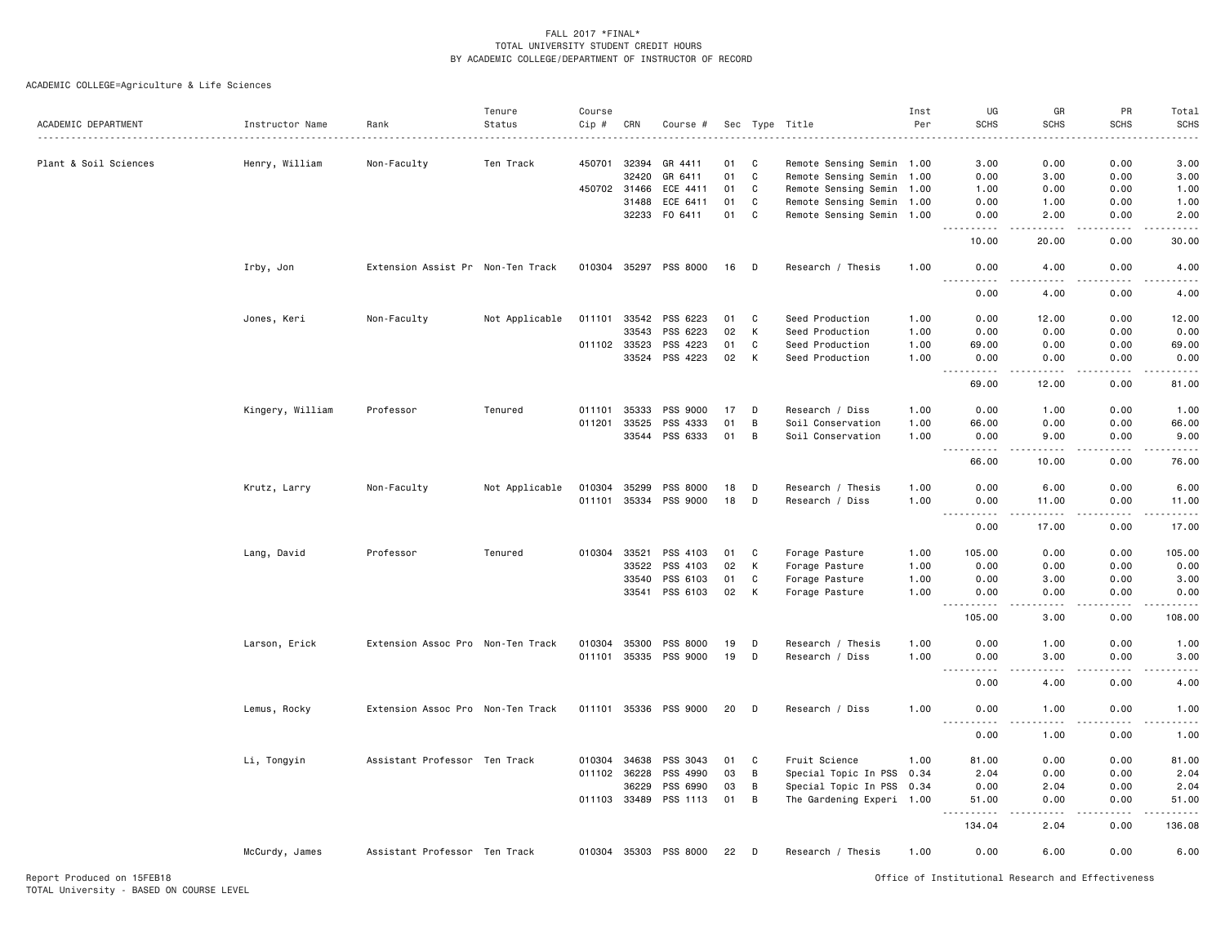| ACADEMIC DEPARTMENT   | Instructor Name  | Rank                              | Tenure<br>Status | Course<br>Cip # | CRN          | Course #              |    |   | Sec Type Title            | Inst<br>Per | UG<br><b>SCHS</b>                                                                                                                            | GR<br><b>SCHS</b> | PR<br><b>SCHS</b> | Total<br><b>SCHS</b> |
|-----------------------|------------------|-----------------------------------|------------------|-----------------|--------------|-----------------------|----|---|---------------------------|-------------|----------------------------------------------------------------------------------------------------------------------------------------------|-------------------|-------------------|----------------------|
| Plant & Soil Sciences | Henry, William   | Non-Faculty                       | Ten Track        |                 | 450701 32394 | GR 4411               | 01 | C | Remote Sensing Semin 1.00 |             | 3,00                                                                                                                                         | 0.00              | 0.00              | 3.00                 |
|                       |                  |                                   |                  |                 | 32420        | GR 6411               | 01 | C | Remote Sensing Semin 1.00 |             | 0.00                                                                                                                                         | 3.00              | 0.00              | 3.00                 |
|                       |                  |                                   |                  |                 | 450702 31466 | ECE 4411              | 01 | C | Remote Sensing Semin 1.00 |             | 1.00                                                                                                                                         | 0.00              | 0.00              | 1.00                 |
|                       |                  |                                   |                  |                 | 31488        | ECE 6411              | 01 | C | Remote Sensing Semin 1.00 |             | 0.00                                                                                                                                         | 1.00              | 0.00              | 1.00                 |
|                       |                  |                                   |                  |                 | 32233        | F0 6411               | 01 | C | Remote Sensing Semin 1.00 |             | 0.00<br>.                                                                                                                                    | 2.00              | 0.00              | 2.00                 |
|                       |                  |                                   |                  |                 |              |                       |    |   |                           |             | 10.00                                                                                                                                        | 20.00             | 0.00              | 30.00                |
|                       | Irby, Jon        | Extension Assist Pr Non-Ten Track |                  |                 |              | 010304 35297 PSS 8000 | 16 | D | Research / Thesis         | 1.00        | 0.00                                                                                                                                         | 4.00              | 0.00              | 4.00                 |
|                       |                  |                                   |                  |                 |              |                       |    |   |                           |             | 0.00                                                                                                                                         | 4.00              | 0.00              | 4.00                 |
|                       | Jones, Keri      | Non-Faculty                       | Not Applicable   | 011101 33542    |              | PSS 6223              | 01 | C | Seed Production           | 1.00        | 0.00                                                                                                                                         | 12.00             | 0.00              | 12.00                |
|                       |                  |                                   |                  |                 | 33543        | PSS 6223              | 02 | K | Seed Production           | 1.00        | 0.00                                                                                                                                         | 0.00              | 0.00              | 0.00                 |
|                       |                  |                                   |                  |                 | 011102 33523 | PSS 4223              | 01 | C | Seed Production           | 1.00        | 69.00                                                                                                                                        | 0.00              | 0.00              | 69.00                |
|                       |                  |                                   |                  |                 | 33524        | PSS 4223              | 02 | K | Seed Production           | 1.00        | 0.00<br>.<br>$\sim$ $\sim$ $\sim$                                                                                                            | 0.00<br>.         | 0.00              | 0.00                 |
|                       |                  |                                   |                  |                 |              |                       |    |   |                           |             | 69.00                                                                                                                                        | 12.00             | 0.00              | 81.00                |
|                       | Kingery, William | Professor                         | Tenured          | 011101 35333    |              | PSS 9000              | 17 | D | Research / Diss           | 1.00        | 0.00                                                                                                                                         | 1.00              | 0.00              | 1.00                 |
|                       |                  |                                   |                  |                 | 011201 33525 | PSS 4333              | 01 | B | Soil Conservation         | 1.00        | 66.00                                                                                                                                        | 0.00              | 0.00              | 66.00                |
|                       |                  |                                   |                  |                 | 33544        | PSS 6333              | 01 | B | Soil Conservation         | 1.00        | 0.00<br>$   -$<br>$  -$                                                                                                                      | 9.00<br>.         | 0.00<br>.         | 9.00<br>.            |
|                       |                  |                                   |                  |                 |              |                       |    |   |                           |             | 66.00                                                                                                                                        | 10.00             | 0.00              | 76.00                |
|                       | Krutz, Larry     | Non-Faculty                       | Not Applicable   | 010304 35299    |              | PSS 8000              | 18 | D | Research / Thesis         | 1.00        | 0.00                                                                                                                                         | 6.00              | 0.00              | 6.00                 |
|                       |                  |                                   |                  |                 |              | 011101 35334 PSS 9000 | 18 | D | Research / Diss           | 1.00        | 0.00<br>بالمحام<br>$\frac{1}{2} \left( \frac{1}{2} \right) \left( \frac{1}{2} \right) \left( \frac{1}{2} \right) \left( \frac{1}{2} \right)$ | 11.00             | 0.00              | 11.00                |
|                       |                  |                                   |                  |                 |              |                       |    |   |                           |             | 0.00                                                                                                                                         | 17.00             | 0.00              | 17.00                |
|                       | Lang, David      | Professor                         | Tenured          |                 | 010304 33521 | PSS 4103              | 01 | C | Forage Pasture            | 1.00        | 105.00                                                                                                                                       | 0.00              | 0.00              | 105.00               |
|                       |                  |                                   |                  |                 | 33522        | PSS 4103              | 02 | К | Forage Pasture            | 1.00        | 0.00                                                                                                                                         | 0.00              | 0.00              | 0.00                 |
|                       |                  |                                   |                  |                 | 33540        | PSS 6103              | 01 | C | Forage Pasture            | 1.00        | 0.00                                                                                                                                         | 3.00              | 0.00              | 3.00                 |
|                       |                  |                                   |                  |                 | 33541        | PSS 6103              | 02 | К | Forage Pasture            | 1.00        | 0.00<br><u>.</u>                                                                                                                             | 0.00<br>.         | 0.00<br>.         | 0.00<br>.            |
|                       |                  |                                   |                  |                 |              |                       |    |   |                           |             | 105.00                                                                                                                                       | 3.00              | 0.00              | 108.00               |
|                       | Larson, Erick    | Extension Assoc Pro Non-Ten Track |                  | 010304          | 35300        | PSS 8000              | 19 | D | Research / Thesis         | 1.00        | 0.00                                                                                                                                         | 1.00              | 0.00              | 1.00                 |
|                       |                  |                                   |                  |                 |              | 011101 35335 PSS 9000 | 19 | D | Research / Diss           | 1.00        | 0.00<br>.                                                                                                                                    | 3.00              | 0.00              | 3.00                 |
|                       |                  |                                   |                  |                 |              |                       |    |   |                           |             | 0.00                                                                                                                                         | 4.00              | 0.00              | 4.00                 |
|                       | Lemus, Rocky     | Extension Assoc Pro Non-Ten Track |                  |                 |              | 011101 35336 PSS 9000 | 20 | D | Research / Diss           | 1.00        | 0.00                                                                                                                                         | 1.00              | 0.00              | 1.00                 |
|                       |                  |                                   |                  |                 |              |                       |    |   |                           |             | 0.00                                                                                                                                         | 1.00              | 0.00              | 1.00                 |
|                       | Li, Tongyin      | Assistant Professor Ten Track     |                  |                 | 010304 34638 | PSS 3043              | 01 | C | Fruit Science             | 1.00        | 81.00                                                                                                                                        | 0.00              | 0.00              | 81.00                |
|                       |                  |                                   |                  |                 | 011102 36228 | PSS 4990              | 03 | B | Special Topic In PSS 0.34 |             | 2.04                                                                                                                                         | 0.00              | 0.00              | 2.04                 |
|                       |                  |                                   |                  |                 | 36229        | PSS 6990              | 03 | B | Special Topic In PSS 0.34 |             | 0.00                                                                                                                                         | 2.04              | 0.00              | 2.04                 |
|                       |                  |                                   |                  |                 | 011103 33489 | PSS 1113              | 01 | B | The Gardening Experi 1.00 |             | 51.00                                                                                                                                        | 0.00              | 0.00              | 51.00                |
|                       |                  |                                   |                  |                 |              |                       |    |   |                           |             | 134.04                                                                                                                                       | 2.04              | 0.00              | 136.08               |
|                       | McCurdy, James   | Assistant Professor Ten Track     |                  |                 |              | 010304 35303 PSS 8000 | 22 | D | Research / Thesis         | 1.00        | 0.00                                                                                                                                         | 6.00              | 0.00              | 6.00                 |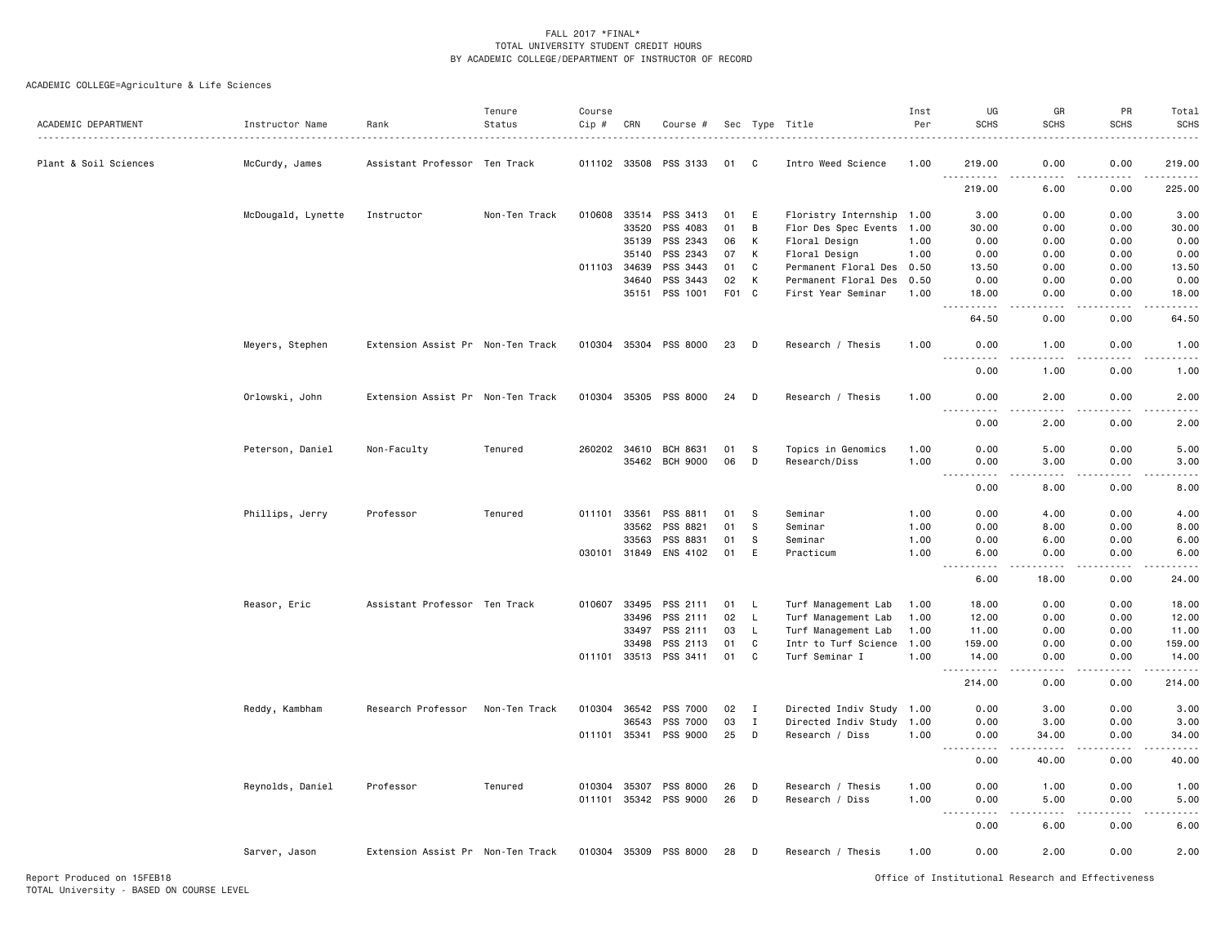| ACADEMIC DEPARTMENT   | Instructor Name    | Rank                              | Tenure<br>Status | Course<br>Cip # | CRN          | Course #              |       |              | Sec Type Title            | Inst<br>Per | UG<br><b>SCHS</b>                                                                                                                                | GR<br><b>SCHS</b>                           | PR<br><b>SCHS</b> | Total<br><b>SCHS</b><br>.                                                                                                                                    |
|-----------------------|--------------------|-----------------------------------|------------------|-----------------|--------------|-----------------------|-------|--------------|---------------------------|-------------|--------------------------------------------------------------------------------------------------------------------------------------------------|---------------------------------------------|-------------------|--------------------------------------------------------------------------------------------------------------------------------------------------------------|
| Plant & Soil Sciences | McCurdy, James     | Assistant Professor Ten Track     |                  |                 |              | 011102 33508 PSS 3133 | 01    | C            | Intro Weed Science        | 1.00        | 219.00                                                                                                                                           | 0.00                                        | 0.00              | 219.00                                                                                                                                                       |
|                       |                    |                                   |                  |                 |              |                       |       |              |                           |             | 219.00                                                                                                                                           | .<br>6.00                                   | .<br>0.00         | 225.00                                                                                                                                                       |
|                       | McDougald, Lynette | Instructor                        | Non-Ten Track    | 010608          | 33514        | PSS 3413              | 01    | E            | Floristry Internship 1.00 |             | 3.00                                                                                                                                             | 0.00                                        | 0.00              | 3.00                                                                                                                                                         |
|                       |                    |                                   |                  |                 | 33520        | PSS 4083              | 01    | B            | Flor Des Spec Events 1.00 |             | 30.00                                                                                                                                            | 0.00                                        | 0.00              | 30.00                                                                                                                                                        |
|                       |                    |                                   |                  |                 | 35139        | PSS 2343              | 06    | K            | Floral Design             | 1.00        | 0.00                                                                                                                                             | 0.00                                        | 0.00              | 0.00                                                                                                                                                         |
|                       |                    |                                   |                  |                 | 35140        | PSS 2343              | 07    | K            | Floral Design             | 1.00        | 0.00                                                                                                                                             | 0.00                                        | 0.00              | 0.00                                                                                                                                                         |
|                       |                    |                                   |                  |                 | 011103 34639 | PSS 3443              | 01    | C            | Permanent Floral Des 0.50 |             | 13.50                                                                                                                                            | 0.00                                        | 0.00              | 13.50                                                                                                                                                        |
|                       |                    |                                   |                  |                 | 34640        | PSS 3443              | 02    | K            | Permanent Floral Des      | 0.50        | 0.00                                                                                                                                             | 0.00                                        | 0.00              | 0.00                                                                                                                                                         |
|                       |                    |                                   |                  |                 | 35151        | PSS 1001              | F01 C |              | First Year Seminar        | 1.00        | 18.00<br>$\begin{array}{cccccccccc} \bullet & \bullet & \bullet & \bullet & \bullet & \bullet & \bullet & \bullet & \bullet \end{array}$<br>$ -$ | 0.00<br>.                                   | 0.00<br><u>.</u>  | 18.00<br>.                                                                                                                                                   |
|                       |                    |                                   |                  |                 |              |                       |       |              |                           |             | 64.50                                                                                                                                            | 0.00                                        | 0.00              | 64.50                                                                                                                                                        |
|                       | Meyers, Stephen    | Extension Assist Pr Non-Ten Track |                  |                 |              | 010304 35304 PSS 8000 | 23    | D            | Research / Thesis         | 1.00        | 0.00                                                                                                                                             | 1.00<br>$\omega$ $\omega$ $\omega$ $\omega$ | 0.00              | 1.00                                                                                                                                                         |
|                       |                    |                                   |                  |                 |              |                       |       |              |                           |             | 0.00                                                                                                                                             | 1.00                                        | 0.00              | 1.00                                                                                                                                                         |
|                       | Orlowski, John     | Extension Assist Pr Non-Ten Track |                  |                 |              | 010304 35305 PSS 8000 | 24    | D            | Research / Thesis         | 1.00        | 0.00                                                                                                                                             | 2.00                                        | 0.00              | 2.00                                                                                                                                                         |
|                       |                    |                                   |                  |                 |              |                       |       |              |                           |             | $  -$<br>.<br>0.00                                                                                                                               | .<br>2.00                                   | .<br>0.00         | $\frac{1}{2} \left( \frac{1}{2} \right) \left( \frac{1}{2} \right) \left( \frac{1}{2} \right) \left( \frac{1}{2} \right) \left( \frac{1}{2} \right)$<br>2.00 |
|                       | Peterson, Daniel   | Non-Faculty                       | Tenured          |                 | 260202 34610 | BCH 8631              | 01    | -S           | Topics in Genomics        | 1.00        | 0.00                                                                                                                                             | 5.00                                        | 0.00              | 5.00                                                                                                                                                         |
|                       |                    |                                   |                  |                 |              | 35462 BCH 9000        | 06    | D            | Research/Diss             | 1.00        | 0.00                                                                                                                                             | 3.00                                        | 0.00              | 3.00                                                                                                                                                         |
|                       |                    |                                   |                  |                 |              |                       |       |              |                           |             | $\omega$ $\omega$ $\omega$<br>.                                                                                                                  | .                                           | .                 | $\frac{1}{2} \left( \frac{1}{2} \right) \left( \frac{1}{2} \right) \left( \frac{1}{2} \right) \left( \frac{1}{2} \right)$                                    |
|                       |                    |                                   |                  |                 |              |                       |       |              |                           |             | 0.00                                                                                                                                             | 8.00                                        | 0.00              | 8.00                                                                                                                                                         |
|                       | Phillips, Jerry    | Professor                         | Tenured          |                 | 011101 33561 | PSS 8811              | 01    | S            | Seminar                   | 1.00        | 0.00                                                                                                                                             | 4.00                                        | 0.00              | 4.00                                                                                                                                                         |
|                       |                    |                                   |                  |                 | 33562        | PSS 8821              | 01    | ${\tt S}$    | Seminar                   | 1.00        | 0.00                                                                                                                                             | 8.00                                        | 0.00              | 8.00                                                                                                                                                         |
|                       |                    |                                   |                  |                 | 33563        | PSS 8831              | 01    | s            | Seminar                   | 1.00        | 0.00                                                                                                                                             | 6.00                                        | 0.00              | 6.00                                                                                                                                                         |
|                       |                    |                                   |                  |                 | 030101 31849 | ENS 4102              | 01    | E            | Practicum                 | 1.00        | 6.00<br>$\frac{1}{2}$                                                                                                                            | 0.00                                        | 0.00              | 6.00                                                                                                                                                         |
|                       |                    |                                   |                  |                 |              |                       |       |              |                           |             | 6.00                                                                                                                                             | 18.00                                       | 0.00              | 24.00                                                                                                                                                        |
|                       | Reasor, Eric       | Assistant Professor Ten Track     |                  |                 | 010607 33495 | PSS 2111              | 01    | $\mathsf{L}$ | Turf Management Lab       | 1.00        | 18.00                                                                                                                                            | 0.00                                        | 0.00              | 18.00                                                                                                                                                        |
|                       |                    |                                   |                  |                 | 33496        | PSS 2111              | 02    | $\mathsf{L}$ | Turf Management Lab       | 1.00        | 12.00                                                                                                                                            | 0.00                                        | 0.00              | 12.00                                                                                                                                                        |
|                       |                    |                                   |                  |                 | 33497        | PSS 2111              | 03    | L            | Turf Management Lab       | 1.00        | 11.00                                                                                                                                            | 0.00                                        | 0.00              | 11.00                                                                                                                                                        |
|                       |                    |                                   |                  |                 | 33498        | PSS 2113              | 01    | C            | Intr to Turf Science 1.00 |             | 159.00                                                                                                                                           | 0.00                                        | 0.00              | 159.00                                                                                                                                                       |
|                       |                    |                                   |                  |                 |              | 011101 33513 PSS 3411 | 01    | C            | Turf Seminar I            | 1.00        | 14.00<br>$\sim$ $\sim$ $\sim$<br>$- - - - - -$                                                                                                   | 0.00<br>.                                   | 0.00<br>.         | 14.00<br>$- - - - - -$                                                                                                                                       |
|                       |                    |                                   |                  |                 |              |                       |       |              |                           |             | 214.00                                                                                                                                           | 0.00                                        | 0.00              | 214.00                                                                                                                                                       |
|                       | Reddy, Kambham     | Research Professor                | Non-Ten Track    |                 | 010304 36542 | PSS 7000              | 02    | $\mathbf{I}$ | Directed Indiv Study 1.00 |             | 0.00                                                                                                                                             | 3.00                                        | 0.00              | 3.00                                                                                                                                                         |
|                       |                    |                                   |                  |                 | 36543        | PSS 7000              | 03    | $\mathbf{I}$ | Directed Indiv Study 1.00 |             | 0.00                                                                                                                                             | 3.00                                        | 0.00              | 3.00                                                                                                                                                         |
|                       |                    |                                   |                  |                 | 011101 35341 | PSS 9000              | 25    | D            | Research / Diss           | 1.00        | 0.00                                                                                                                                             | 34.00                                       | 0.00              | 34.00                                                                                                                                                        |
|                       |                    |                                   |                  |                 |              |                       |       |              |                           |             | 0.00                                                                                                                                             | 40.00                                       | 0.00              | 40.00                                                                                                                                                        |
|                       | Reynolds, Daniel   | Professor                         | Tenured          |                 | 010304 35307 | PSS 8000              | 26    | D            | Research / Thesis         | 1.00        | 0.00                                                                                                                                             | 1.00                                        | 0.00              | 1.00                                                                                                                                                         |
|                       |                    |                                   |                  |                 |              | 011101 35342 PSS 9000 | 26    | D            | Research / Diss           | 1.00        | 0.00                                                                                                                                             | 5.00                                        | 0.00              | 5.00                                                                                                                                                         |
|                       |                    |                                   |                  |                 |              |                       |       |              |                           |             | $\sim$ $\sim$ $\sim$<br>.<br>0.00                                                                                                                | .                                           | .<br>0.00         | $- - - - -$                                                                                                                                                  |
|                       |                    |                                   |                  |                 |              |                       |       |              |                           |             |                                                                                                                                                  | 6.00                                        |                   | 6.00                                                                                                                                                         |
|                       | Sarver, Jason      | Extension Assist Pr Non-Ten Track |                  |                 |              | 010304 35309 PSS 8000 | 28    | D            | Research / Thesis         | 1.00        | 0.00                                                                                                                                             | 2.00                                        | 0.00              | 2.00                                                                                                                                                         |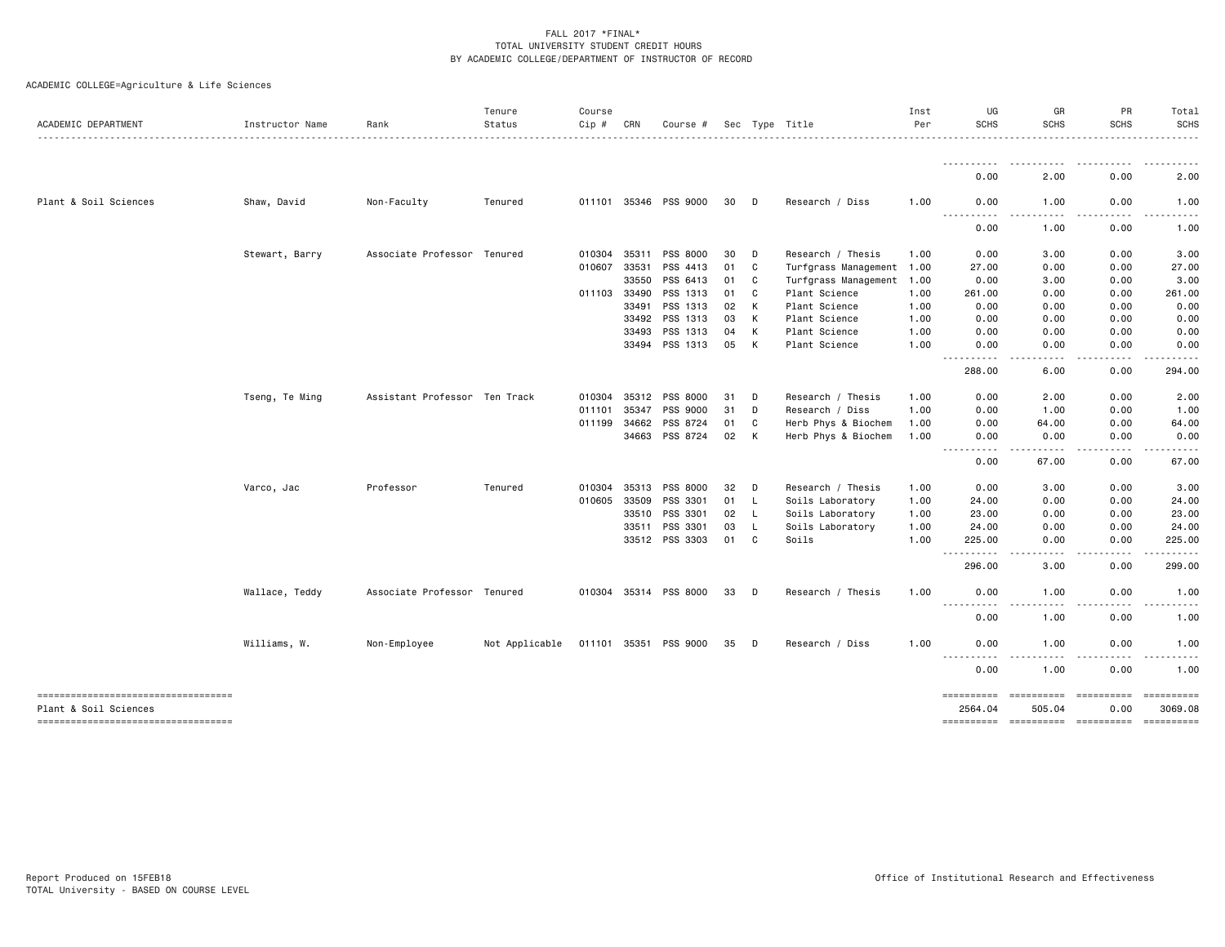| ACADEMIC DEPARTMENT                                         | Instructor Name | Rank                          | Tenure<br>Status | Course<br>Cip # | CRN          | Course #              |      |              | Sec Type Title            | Inst<br>Per | UG<br><b>SCHS</b>                                                                                                                      | GR<br><b>SCHS</b> | PR<br><b>SCHS</b> | Total<br>SCHS                                                                                                                    |
|-------------------------------------------------------------|-----------------|-------------------------------|------------------|-----------------|--------------|-----------------------|------|--------------|---------------------------|-------------|----------------------------------------------------------------------------------------------------------------------------------------|-------------------|-------------------|----------------------------------------------------------------------------------------------------------------------------------|
|                                                             |                 |                               |                  |                 |              |                       |      |              |                           |             |                                                                                                                                        |                   |                   | <u>.</u>                                                                                                                         |
|                                                             |                 |                               |                  |                 |              |                       |      |              |                           |             | .<br>0.00                                                                                                                              | 2.00              | 0.00              | .<br>2.00                                                                                                                        |
| Plant & Soil Sciences                                       | Shaw, David     | Non-Faculty                   | Tenured          |                 |              | 011101 35346 PSS 9000 | 30   | D            | Research / Diss           | 1.00        | 0.00<br>$\sim$ $\sim$ $\sim$<br>$\frac{1}{2}$                                                                                          | 1.00              | 0.00              | 1.00                                                                                                                             |
|                                                             |                 |                               |                  |                 |              |                       |      |              |                           |             | 0.00                                                                                                                                   | 1.00              | 0.00              | 1.00                                                                                                                             |
|                                                             | Stewart, Barry  | Associate Professor Tenured   |                  | 010304 35311    |              | PSS 8000              | 30   | D            | Research / Thesis         | 1.00        | 0.00                                                                                                                                   | 3.00              | 0.00              | 3.00                                                                                                                             |
|                                                             |                 |                               |                  | 010607          | 33531        | PSS 4413              | 01   | C            | Turfgrass Management      | 1.00        | 27.00                                                                                                                                  | 0.00              | 0.00              | 27.00                                                                                                                            |
|                                                             |                 |                               |                  |                 | 33550        | PSS 6413              | 01   | C            | Turfgrass Management 1.00 |             | 0.00                                                                                                                                   | 3.00              | 0.00              | 3.00                                                                                                                             |
|                                                             |                 |                               |                  |                 | 011103 33490 | PSS 1313              | 01   | C            | Plant Science             | 1.00        | 261.00                                                                                                                                 | 0.00              | 0.00              | 261.00                                                                                                                           |
|                                                             |                 |                               |                  |                 | 33491        | PSS 1313              | 02   | K            | Plant Science             | 1.00        | 0.00                                                                                                                                   | 0.00              | 0.00              | 0.00                                                                                                                             |
|                                                             |                 |                               |                  |                 | 33492        | PSS 1313              | 03   | K            | Plant Science             | 1.00        | 0.00                                                                                                                                   | 0.00              | 0.00              | 0.00                                                                                                                             |
|                                                             |                 |                               |                  |                 | 33493        | PSS 1313              | 04   | K            | Plant Science             | 1.00        | 0.00                                                                                                                                   | 0.00              | 0.00              | 0.00                                                                                                                             |
|                                                             |                 |                               |                  |                 |              | 33494 PSS 1313        | 05   | K            | Plant Science             | 1.00        | 0.00<br>$\frac{1}{2} \left( \frac{1}{2} \right) \left( \frac{1}{2} \right) \left( \frac{1}{2} \right) \left( \frac{1}{2} \right)$<br>. | 0.00              | 0.00<br>----      | 0.00                                                                                                                             |
|                                                             |                 |                               |                  |                 |              |                       |      |              |                           |             | 288.00                                                                                                                                 | 6.00              | 0.00              | 294.00                                                                                                                           |
|                                                             | Tseng, Te Ming  | Assistant Professor Ten Track |                  |                 | 010304 35312 | PSS 8000              | 31   | D            | Research / Thesis         | 1.00        | 0.00                                                                                                                                   | 2.00              | 0.00              | 2.00                                                                                                                             |
|                                                             |                 |                               |                  | 011101          | 35347        | PSS 9000              | 31   | D            | Research / Diss           | 1.00        | 0.00                                                                                                                                   | 1.00              | 0.00              | 1.00                                                                                                                             |
|                                                             |                 |                               |                  |                 | 011199 34662 | PSS 8724              | 01   | C            | Herb Phys & Biochem       | 1.00        | 0.00                                                                                                                                   | 64.00             | 0.00              | 64.00                                                                                                                            |
|                                                             |                 |                               |                  |                 | 34663        | PSS 8724              | 02   | K            | Herb Phys & Biochem       | 1.00        | 0.00<br>$\sim$ $\sim$ $\sim$ $\sim$<br>.                                                                                               | 0.00              | 0.00              | 0.00                                                                                                                             |
|                                                             |                 |                               |                  |                 |              |                       |      |              |                           |             | 0.00                                                                                                                                   | 67.00             | 0.00              | 67.00                                                                                                                            |
|                                                             | Varco, Jac      | Professor                     | Tenured          |                 | 010304 35313 | PSS 8000              | 32   | D            | Research / Thesis         | 1.00        | 0.00                                                                                                                                   | 3.00              | 0.00              | 3.00                                                                                                                             |
|                                                             |                 |                               |                  |                 | 010605 33509 | PSS 3301              | 01   | - L          | Soils Laboratory          | 1.00        | 24.00                                                                                                                                  | 0.00              | 0.00              | 24.00                                                                                                                            |
|                                                             |                 |                               |                  |                 | 33510        | PSS 3301              | 02   | - L          | Soils Laboratory          | 1.00        | 23.00                                                                                                                                  | 0.00              | 0.00              | 23.00                                                                                                                            |
|                                                             |                 |                               |                  |                 | 33511        | PSS 3301              | 03   | $\mathsf{L}$ | Soils Laboratory          | 1.00        | 24.00                                                                                                                                  | 0.00              | 0.00              | 24.00                                                                                                                            |
|                                                             |                 |                               |                  |                 |              | 33512 PSS 3303        | 01   | C            | Soils                     | 1.00        | 225.00<br>$\sim$ $\sim$ $\sim$ $\sim$<br>.                                                                                             | 0.00              | 0.00              | 225.00                                                                                                                           |
|                                                             |                 |                               |                  |                 |              |                       |      |              |                           |             | 296.00                                                                                                                                 | 3.00              | 0.00              | 299.00                                                                                                                           |
|                                                             | Wallace, Teddy  | Associate Professor Tenured   |                  |                 |              | 010304 35314 PSS 8000 | 33   | $\Box$       | Research / Thesis         | 1.00        | 0.00                                                                                                                                   | 1.00              | 0.00              | 1.00                                                                                                                             |
|                                                             |                 |                               |                  |                 |              |                       |      |              |                           |             | .<br>$\frac{1}{2}$<br>0.00                                                                                                             | .<br>1.00         | 0.00              | 1.00                                                                                                                             |
|                                                             | Williams, W.    | Non-Employee                  | Not Applicable   |                 |              | 011101 35351 PSS 9000 | 35 D |              | Research / Diss           | 1.00        | 0.00                                                                                                                                   | 1.00              | 0.00              | 1.00                                                                                                                             |
|                                                             |                 |                               |                  |                 |              |                       |      |              |                           |             | $\frac{1}{2} \left( \frac{1}{2} \right) \left( \frac{1}{2} \right) \left( \frac{1}{2} \right) \left( \frac{1}{2} \right)$<br>.<br>0.00 | .<br>1.00         | <u>.</u><br>0.00  | 1.00                                                                                                                             |
| ----------------------------------                          |                 |                               |                  |                 |              |                       |      |              |                           |             | <b>SERREBERS</b>                                                                                                                       | ==========        | $= 22222222222$   | $\begin{minipage}{0.9\linewidth} \hspace*{-0.2cm} \textbf{m} = \textbf{m} = \textbf{m} = \textbf{m} = \textbf{m} \end{minipage}$ |
| Plant & Soil Sciences<br>---------------------------------- |                 |                               |                  |                 |              |                       |      |              |                           |             | 2564.04                                                                                                                                | 505.04            | 0.00              | 3069.08<br>==========                                                                                                            |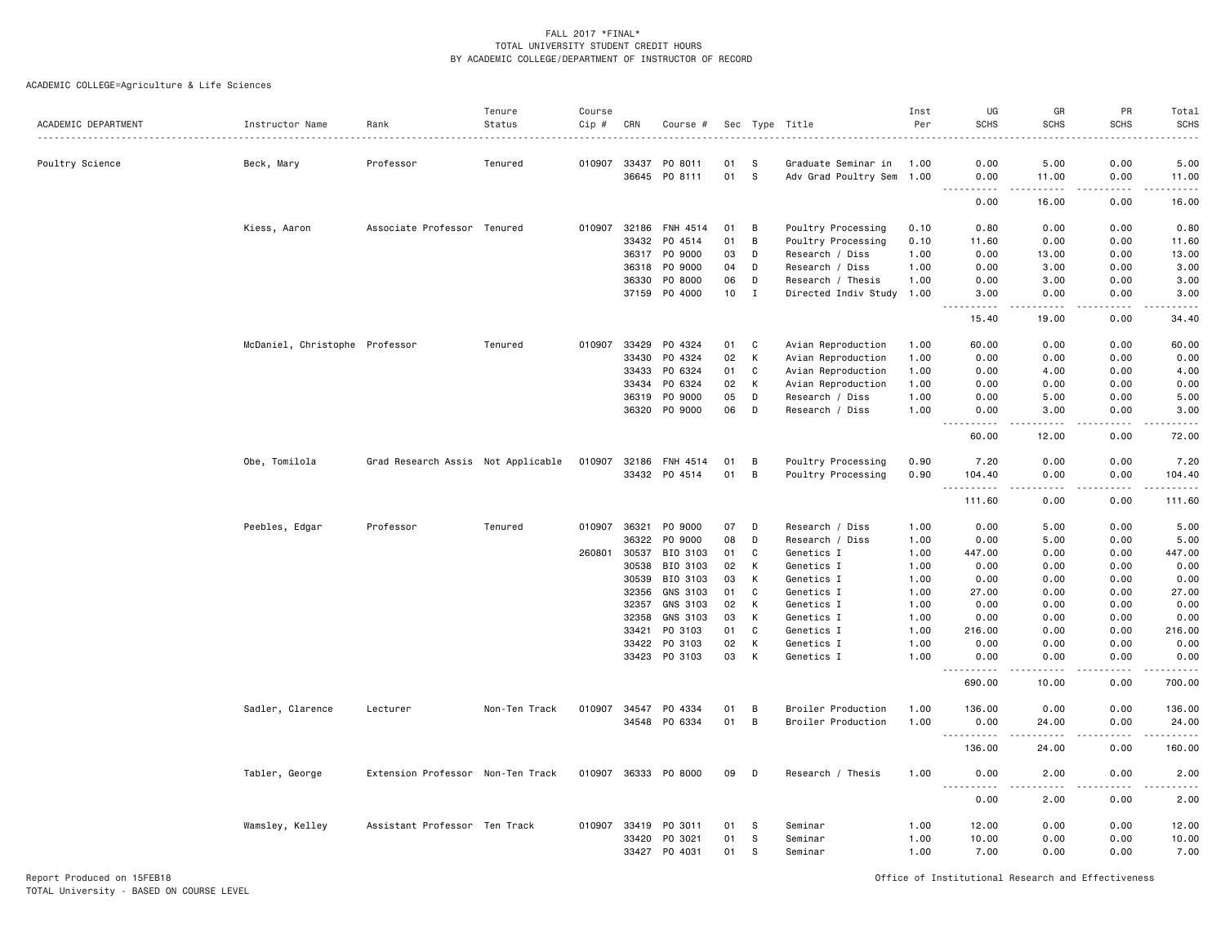| ACADEMIC DEPARTMENT | Instructor Name                | Rank                               | Tenure<br>Status | Course<br>Cip # | CRN          | Course #             | Sec |             | Type Title                | Inst<br>Per | UG<br><b>SCHS</b>                 | GR<br><b>SCHS</b> | PR<br><b>SCHS</b> | Total<br><b>SCHS</b> |
|---------------------|--------------------------------|------------------------------------|------------------|-----------------|--------------|----------------------|-----|-------------|---------------------------|-------------|-----------------------------------|-------------------|-------------------|----------------------|
| Poultry Science     | Beck, Mary                     | Professor                          | Tenured          |                 | 010907 33437 | PO 8011              | 01  | S           | Graduate Seminar in       | 1.00        | 0.00                              | 5.00              | 0.00              | 5.00                 |
|                     |                                |                                    |                  |                 | 36645        | PO 8111              | 01  | s           | Adv Grad Poultry Sem 1.00 |             | 0.00<br>.<br>$\sim$ $\sim$ $\sim$ | 11.00<br>.        | 0.00<br>.         | 11.00<br>.           |
|                     |                                |                                    |                  |                 |              |                      |     |             |                           |             | 0.00                              | 16.00             | 0.00              | 16.00                |
|                     | Kiess, Aaron                   | Associate Professor Tenured        |                  |                 | 010907 32186 | FNH 4514             | 01  | в           | Poultry Processing        | 0.10        | 0.80                              | 0.00              | 0.00              | 0.80                 |
|                     |                                |                                    |                  |                 | 33432        | PO 4514              | 01  | B           | Poultry Processing        | 0.10        | 11.60                             | 0.00              | 0.00              | 11.60                |
|                     |                                |                                    |                  |                 | 36317        | P0 9000              | 03  | D           | Research / Diss           | 1.00        | 0.00                              | 13.00             | 0.00              | 13.00                |
|                     |                                |                                    |                  |                 | 36318        | P0 9000              | 04  | D           | Research / Diss           | 1.00        | 0.00                              | 3.00              | 0.00              | 3.00                 |
|                     |                                |                                    |                  |                 | 36330        | P0 8000              | 06  | D           | Research / Thesis         | 1.00        | 0.00                              | 3.00              | 0.00              | 3.00                 |
|                     |                                |                                    |                  |                 | 37159        | P0 4000              | 10  | $\mathbf I$ | Directed Indiv Study 1.00 |             | 3.00<br><u>.</u>                  | 0.00<br>.         | 0.00<br>.         | 3.00<br>.            |
|                     |                                |                                    |                  |                 |              |                      |     |             |                           |             | 15.40                             | 19.00             | 0.00              | 34.40                |
|                     | McDaniel, Christophe Professor |                                    | Tenured          | 010907          | 33429        | PO 4324              | 01  | C           | Avian Reproduction        | 1.00        | 60.00                             | 0.00              | 0.00              | 60.00                |
|                     |                                |                                    |                  |                 | 33430        | PO 4324              | 02  | К           | Avian Reproduction        | 1.00        | 0.00                              | 0.00              | 0.00              | 0.00                 |
|                     |                                |                                    |                  |                 | 33433        | PO 6324              | 01  | C           | Avian Reproduction        | 1.00        | 0.00                              | 4.00              | 0.00              | 4.00                 |
|                     |                                |                                    |                  |                 | 33434        | P0 6324              | 02  | к           | Avian Reproduction        | 1.00        | 0.00                              | 0.00              | 0.00              | 0.00                 |
|                     |                                |                                    |                  |                 | 36319        | PO 9000              | 05  | D           | Research / Diss           | 1.00        | 0.00                              | 5.00              | 0.00              | 5.00                 |
|                     |                                |                                    |                  |                 | 36320        | PO 9000              | 06  | D           | Research / Diss           | 1.00        | 0.00<br>.                         | 3.00<br>.         | 0.00<br>.         | 3.00<br>.            |
|                     |                                |                                    |                  |                 |              |                      |     |             |                           |             | 60.00                             | 12.00             | 0.00              | 72.00                |
|                     | Obe, Tomilola                  | Grad Research Assis Not Applicable |                  | 010907 32186    |              | FNH 4514             | 01  | B           | Poultry Processing        | 0.90        | 7.20                              | 0.00              | 0.00              | 7.20                 |
|                     |                                |                                    |                  |                 |              | 33432 PO 4514        | 01  | B           | Poultry Processing        | 0.90        | 104.40<br>.                       | 0.00<br>.         | 0.00<br>-----     | 104.40<br>.          |
|                     |                                |                                    |                  |                 |              |                      |     |             |                           |             | 111.60                            | 0.00              | 0.00              | 111.60               |
|                     | Peebles, Edgar                 | Professor                          | Tenured          | 010907          | 36321        | PO 9000              | 07  | D           | Research / Diss           | 1.00        | 0.00                              | 5.00              | 0.00              | 5.00                 |
|                     |                                |                                    |                  |                 | 36322        | PO 9000              | 08  | D           | Research / Diss           | 1.00        | 0.00                              | 5.00              | 0.00              | 5.00                 |
|                     |                                |                                    |                  | 260801          | 30537        | BIO 3103             | 01  | C           | Genetics I                | 1.00        | 447.00                            | 0.00              | 0.00              | 447.00               |
|                     |                                |                                    |                  |                 | 30538        | BIO 3103             | 02  | К           | Genetics I                | 1.00        | 0.00                              | 0.00              | 0.00              | 0.00                 |
|                     |                                |                                    |                  |                 | 30539        | BIO 3103             | 03  | Κ           | Genetics I                | 1.00        | 0.00                              | 0.00              | 0.00              | 0.00                 |
|                     |                                |                                    |                  |                 | 32356        | GNS 3103             | 01  | C           | Genetics I                | 1.00        | 27.00                             | 0.00              | 0.00              | 27.00                |
|                     |                                |                                    |                  |                 | 32357        | GNS 3103             | 02  | К           | Genetics I                | 1.00        | 0.00                              | 0.00              | 0.00              | 0.00                 |
|                     |                                |                                    |                  |                 | 32358        | GNS 3103             | 03  | К           | Genetics I                | 1.00        | 0.00                              | 0.00              | 0.00              | 0.00                 |
|                     |                                |                                    |                  |                 | 33421        | PO 3103              | 01  | C           | Genetics I                | 1.00        | 216.00                            | 0.00              | 0.00              | 216.00               |
|                     |                                |                                    |                  |                 | 33422        | PO 3103              | 02  | К           | Genetics I                | 1.00        | 0.00                              | 0.00              | 0.00              | 0.00                 |
|                     |                                |                                    |                  |                 |              | 33423 PO 3103        | 03  | K           | Genetics I                | 1.00        | 0.00<br>$   -$<br>$\sim$ $\sim$ . | 0.00<br>.         | 0.00<br>.         | 0.00<br><u>.</u>     |
|                     |                                |                                    |                  |                 |              |                      |     |             |                           |             | 690.00                            | 10.00             | 0.00              | 700.00               |
|                     | Sadler, Clarence               | Lecturer                           | Non-Ten Track    |                 |              | 010907 34547 PO 4334 | 01  | B           | Broiler Production        | 1.00        | 136.00                            | 0.00              | 0.00              | 136.00               |
|                     |                                |                                    |                  |                 |              | 34548 PO 6334        | 01  | B           | Broiler Production        | 1.00        | 0.00<br>----------                | 24.00             | 0.00              | 24.00                |
|                     |                                |                                    |                  |                 |              |                      |     |             |                           |             | 136.00                            | 24.00             | 0.00              | 160.00               |
|                     | Tabler, George                 | Extension Professor Non-Ten Track  |                  | 010907 36333    |              | PO 8000              | 09  | D           | Research / Thesis         | 1.00        | 0.00<br><u>.</u>                  | 2.00              | 0.00              | 2.00                 |
|                     |                                |                                    |                  |                 |              |                      |     |             |                           |             | 0.00                              | 2.00              | 0.00              | 2.00                 |
|                     | Wamsley, Kelley                | Assistant Professor Ten Track      |                  |                 | 010907 33419 | PO 3011              | 01  | -S          | Seminar                   | 1.00        | 12.00                             | 0.00              | 0.00              | 12.00                |
|                     |                                |                                    |                  |                 | 33420        | PO 3021              | 01  | S.          | Seminar                   | 1.00        | 10.00                             | 0.00              | 0.00              | 10.00                |
|                     |                                |                                    |                  |                 | 33427        | P0 4031              | 01  | S           | Seminar                   | 1.00        | 7.00                              | 0.00              | 0.00              | 7.00                 |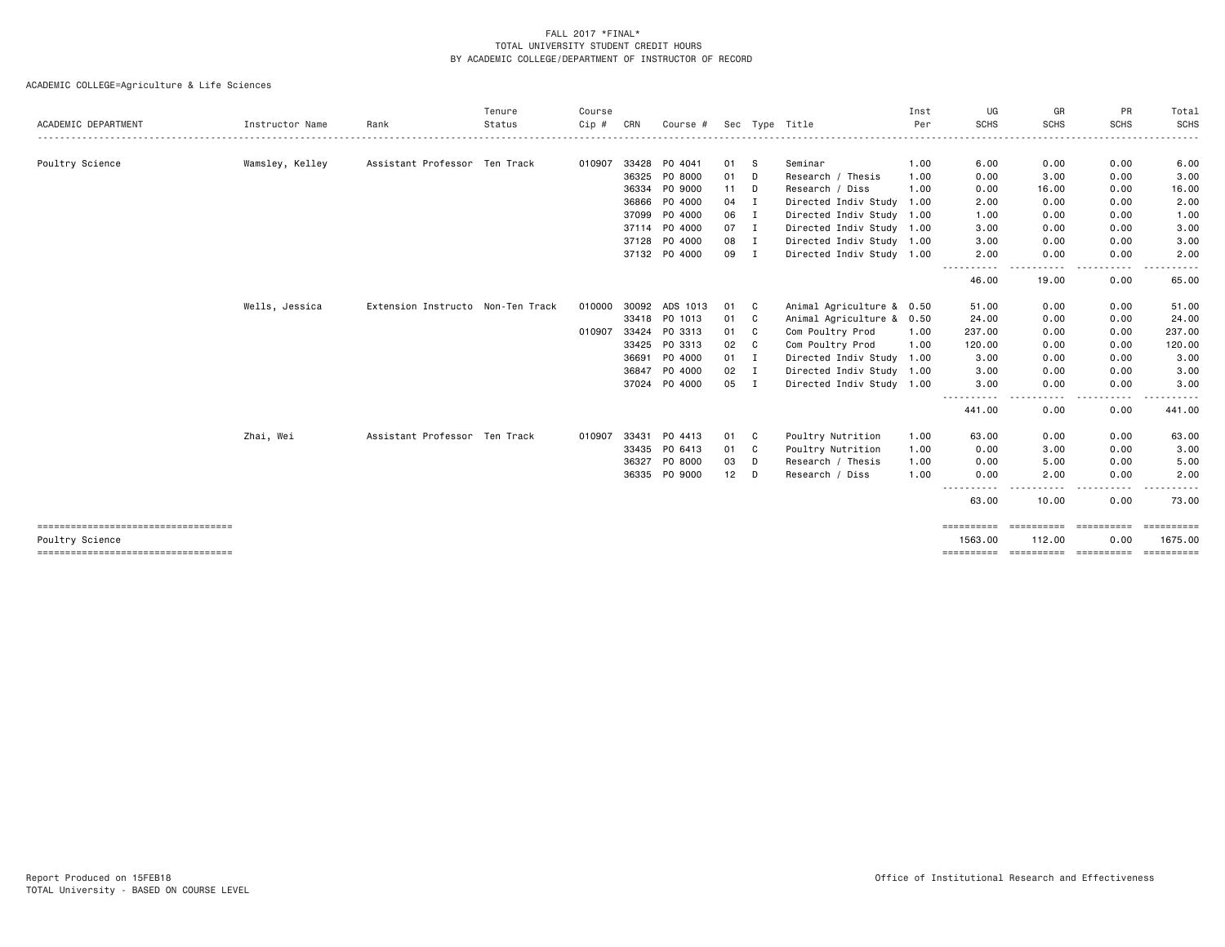| ACADEMIC DEPARTMENT                                     | Instructor Name | Rank                              | Tenure<br>Status | Course<br>Cip # | CRN   | Course #      |    |              | Sec Type Title            | Inst<br>Per | UG<br><b>SCHS</b>     | GR<br><b>SCHS</b>                                                                                                                                                                                                                                                                                                                                                                                                                                                                                | PR<br><b>SCHS</b>    | Total<br><b>SCHS</b>  |
|---------------------------------------------------------|-----------------|-----------------------------------|------------------|-----------------|-------|---------------|----|--------------|---------------------------|-------------|-----------------------|--------------------------------------------------------------------------------------------------------------------------------------------------------------------------------------------------------------------------------------------------------------------------------------------------------------------------------------------------------------------------------------------------------------------------------------------------------------------------------------------------|----------------------|-----------------------|
| Poultry Science                                         | Wamsley, Kelley | Assistant Professor Ten Track     |                  | 010907          |       | 33428 PO 4041 | 01 | S.           | Seminar                   | 1.00        | 6.00                  | 0.00                                                                                                                                                                                                                                                                                                                                                                                                                                                                                             | 0.00                 | 6.00                  |
|                                                         |                 |                                   |                  |                 | 36325 | PO 8000       | 01 | D            | Research / Thesis         | 1.00        | 0.00                  | 3.00                                                                                                                                                                                                                                                                                                                                                                                                                                                                                             | 0.00                 | 3.00                  |
|                                                         |                 |                                   |                  |                 | 36334 | PO 9000       | 11 | D            | Research / Diss           | 1.00        | 0.00                  | 16.00                                                                                                                                                                                                                                                                                                                                                                                                                                                                                            | 0.00                 | 16.00                 |
|                                                         |                 |                                   |                  |                 | 36866 | PO 4000       | 04 | Ι.           | Directed Indiv Study 1.00 |             | 2.00                  | 0.00                                                                                                                                                                                                                                                                                                                                                                                                                                                                                             | 0.00                 | 2.00                  |
|                                                         |                 |                                   |                  |                 | 37099 | PO 4000       | 06 | <b>I</b>     | Directed Indiv Study 1.00 |             | 1.00                  | 0.00                                                                                                                                                                                                                                                                                                                                                                                                                                                                                             | 0.00                 | 1.00                  |
|                                                         |                 |                                   |                  |                 |       | 37114 PO 4000 | 07 | I            | Directed Indiv Study 1.00 |             | 3.00                  | 0.00                                                                                                                                                                                                                                                                                                                                                                                                                                                                                             | 0.00                 | 3.00                  |
|                                                         |                 |                                   |                  |                 |       | 37128 PO 4000 | 08 | $\mathbf I$  | Directed Indiv Study 1.00 |             | 3.00                  | 0.00                                                                                                                                                                                                                                                                                                                                                                                                                                                                                             | 0.00                 | 3.00                  |
|                                                         |                 |                                   |                  |                 |       | 37132 PO 4000 | 09 | I            | Directed Indiv Study 1.00 |             | 2.00                  | 0.00                                                                                                                                                                                                                                                                                                                                                                                                                                                                                             | 0.00                 | 2.00                  |
|                                                         |                 |                                   |                  |                 |       |               |    |              |                           |             | 46.00                 | $- - -$<br>19.00                                                                                                                                                                                                                                                                                                                                                                                                                                                                                 | . <b>.</b> .<br>0.00 | .<br>65.00            |
|                                                         | Wells, Jessica  | Extension Instructo Non-Ten Track |                  | 010000          | 30092 | ADS 1013      | 01 | C            | Animal Agriculture & 0.50 |             | 51.00                 | 0.00                                                                                                                                                                                                                                                                                                                                                                                                                                                                                             | 0.00                 | 51.00                 |
|                                                         |                 |                                   |                  |                 |       | 33418 PO 1013 | 01 | C            | Animal Agriculture & 0.50 |             | 24.00                 | 0.00                                                                                                                                                                                                                                                                                                                                                                                                                                                                                             | 0.00                 | 24.00                 |
|                                                         |                 |                                   |                  | 010907          | 33424 | PO 3313       | 01 | C            | Com Poultry Prod          | 1.00        | 237.00                | 0.00                                                                                                                                                                                                                                                                                                                                                                                                                                                                                             | 0.00                 | 237.00                |
|                                                         |                 |                                   |                  |                 |       | 33425 PO 3313 | 02 | C.           | Com Poultry Prod          | 1.00        | 120.00                | 0.00                                                                                                                                                                                                                                                                                                                                                                                                                                                                                             | 0.00                 | 120.00                |
|                                                         |                 |                                   |                  |                 | 36691 | PO 4000       | 01 | $\mathbf{I}$ | Directed Indiv Study 1.00 |             | 3.00                  | 0.00                                                                                                                                                                                                                                                                                                                                                                                                                                                                                             | 0.00                 | 3.00                  |
|                                                         |                 |                                   |                  |                 | 36847 | P0 4000       | 02 | I            | Directed Indiv Study 1.00 |             | 3.00                  | 0.00                                                                                                                                                                                                                                                                                                                                                                                                                                                                                             | 0.00                 | 3.00                  |
|                                                         |                 |                                   |                  |                 |       | 37024 PO 4000 | 05 | I            | Directed Indiv Study 1.00 |             | 3.00                  | 0.00                                                                                                                                                                                                                                                                                                                                                                                                                                                                                             | 0.00                 | 3.00                  |
|                                                         |                 |                                   |                  |                 |       |               |    |              |                           |             | $  -$<br>441.00       | 0.00                                                                                                                                                                                                                                                                                                                                                                                                                                                                                             | 0.00                 | 441.00                |
|                                                         | Zhai, Wei       | Assistant Professor Ten Track     |                  | 010907          | 33431 | PO 4413       | 01 | C            | Poultry Nutrition         | 1.00        | 63.00                 | 0.00                                                                                                                                                                                                                                                                                                                                                                                                                                                                                             | 0.00                 | 63.00                 |
|                                                         |                 |                                   |                  |                 |       | 33435 PO 6413 | 01 | C            | Poultry Nutrition         | 1.00        | 0.00                  | 3.00                                                                                                                                                                                                                                                                                                                                                                                                                                                                                             | 0.00                 | 3.00                  |
|                                                         |                 |                                   |                  |                 | 36327 | PO 8000       | 03 | D            | Research / Thesis         | 1.00        | 0.00                  | 5.00                                                                                                                                                                                                                                                                                                                                                                                                                                                                                             | 0.00                 | 5.00                  |
|                                                         |                 |                                   |                  |                 |       | 36335 PO 9000 | 12 | D            | Research / Diss           | 1.00        | 0.00                  | 2.00                                                                                                                                                                                                                                                                                                                                                                                                                                                                                             | 0.00                 | 2.00                  |
|                                                         |                 |                                   |                  |                 |       |               |    |              |                           |             | $  -$<br>63.00        | 10.00                                                                                                                                                                                                                                                                                                                                                                                                                                                                                            | 0.00                 | 73.00                 |
| -----------------------------------                     |                 |                                   |                  |                 |       |               |    |              |                           |             | ==========            | ==========                                                                                                                                                                                                                                                                                                                                                                                                                                                                                       | ==========           | ==========            |
| Poultry Science<br>==================================== |                 |                                   |                  |                 |       |               |    |              |                           |             | 1563.00<br>========== | 112.00<br>$\begin{array}{cccccccccc} \multicolumn{2}{c}{} & \multicolumn{2}{c}{} & \multicolumn{2}{c}{} & \multicolumn{2}{c}{} & \multicolumn{2}{c}{} & \multicolumn{2}{c}{} & \multicolumn{2}{c}{} & \multicolumn{2}{c}{} & \multicolumn{2}{c}{} & \multicolumn{2}{c}{} & \multicolumn{2}{c}{} & \multicolumn{2}{c}{} & \multicolumn{2}{c}{} & \multicolumn{2}{c}{} & \multicolumn{2}{c}{} & \multicolumn{2}{c}{} & \multicolumn{2}{c}{} & \multicolumn{2}{c}{} & \multicolumn{2}{c}{} & \mult$ | 0.00<br>==========   | 1675.00<br>========== |
|                                                         |                 |                                   |                  |                 |       |               |    |              |                           |             |                       |                                                                                                                                                                                                                                                                                                                                                                                                                                                                                                  |                      |                       |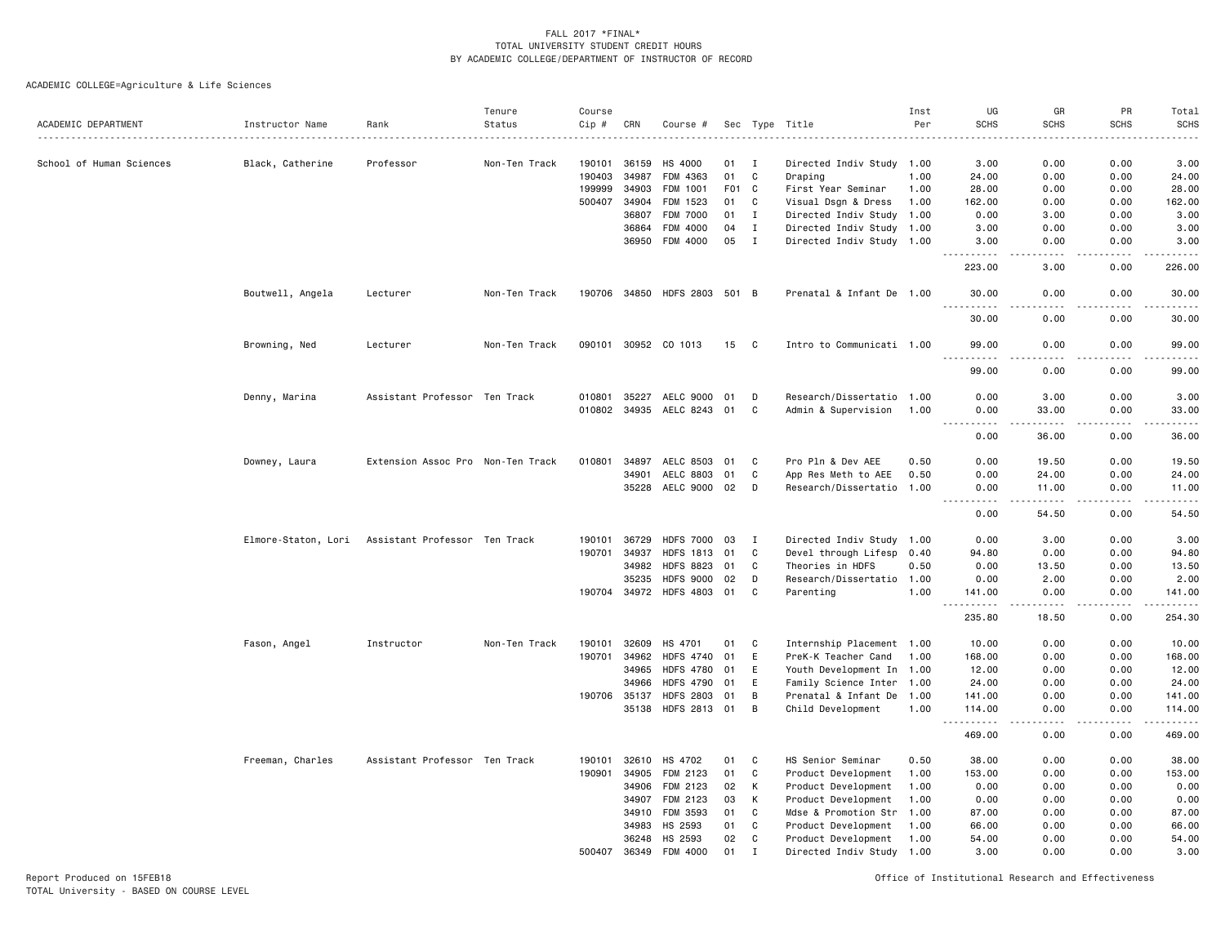|                          |                     |                                   | Tenure        | Course |                |                        |                  |                              |                                                  | Inst | UG                                                                           | GR                                  | PR           | Total        |
|--------------------------|---------------------|-----------------------------------|---------------|--------|----------------|------------------------|------------------|------------------------------|--------------------------------------------------|------|------------------------------------------------------------------------------|-------------------------------------|--------------|--------------|
| ACADEMIC DEPARTMENT      | Instructor Name     | Rank                              | Status        | Cip #  | CRN            | Course #               | Sec              |                              | Type Title                                       | Per  | <b>SCHS</b>                                                                  | <b>SCHS</b>                         | <b>SCHS</b>  | <b>SCHS</b>  |
| School of Human Sciences | Black, Catherine    | Professor                         | Non-Ten Track | 190101 | 36159          | HS 4000                | 01               | I                            | Directed Indiv Study 1.00                        |      | 3.00                                                                         | 0.00                                | 0.00         | 3.00         |
|                          |                     |                                   |               | 190403 | 34987          | FDM 4363               | 01               | C                            | Draping                                          | 1.00 | 24.00                                                                        | 0.00                                | 0.00         | 24.00        |
|                          |                     |                                   |               | 199999 | 34903          | FDM 1001               | F <sub>0</sub> 1 | C                            | First Year Seminar                               | 1.00 | 28.00                                                                        | 0.00                                | 0.00         | 28.00        |
|                          |                     |                                   |               | 500407 | 34904          | FDM 1523               |                  | C                            |                                                  |      |                                                                              | 0.00                                |              | 162.00       |
|                          |                     |                                   |               |        | 36807          | <b>FDM 7000</b>        | 01<br>01         | I                            | Visual Dsgn & Dress<br>Directed Indiv Study 1.00 | 1.00 | 162.00<br>0.00                                                               | 3.00                                | 0.00<br>0.00 | 3.00         |
|                          |                     |                                   |               |        |                |                        |                  |                              | Directed Indiv Study 1.00                        |      |                                                                              |                                     |              |              |
|                          |                     |                                   |               |        | 36864<br>36950 | FDM 4000<br>FDM 4000   | 04<br>05         | $\mathbf{I}$<br>$\mathbf{I}$ | Directed Indiv Study 1.00                        |      | 3.00<br>3.00                                                                 | 0.00<br>0.00                        | 0.00<br>0.00 | 3.00<br>3.00 |
|                          |                     |                                   |               |        |                |                        |                  |                              |                                                  |      |                                                                              | $\omega$ $\omega$ $\omega$ $\omega$ |              |              |
|                          |                     |                                   |               |        |                |                        |                  |                              |                                                  |      | 223.00                                                                       | 3.00                                | 0.00         | 226.00       |
|                          | Boutwell, Angela    | Lecturer                          | Non-Ten Track |        | 190706 34850   | <b>HDFS 2803</b>       | 501 B            |                              | Prenatal & Infant De 1.00                        |      | 30.00                                                                        | 0.00                                | 0.00         | 30.00        |
|                          |                     |                                   |               |        |                |                        |                  |                              |                                                  |      | 30.00                                                                        | 0.00                                | 0.00         | 30.00        |
|                          | Browning, Ned       | Lecturer                          | Non-Ten Track |        |                | 090101 30952 CO 1013   | 15               | C.                           | Intro to Communicati 1.00                        |      | 99.00                                                                        | 0.00                                | 0.00         | 99.00        |
|                          |                     |                                   |               |        |                |                        |                  |                              |                                                  |      | 99.00                                                                        | 0.00                                | 0.00         | 99.00        |
|                          | Denny, Marina       | Assistant Professor Ten Track     |               | 010801 | 35227          | AELC 9000              | 01               | D                            | Research/Dissertatio 1.00                        |      | 0.00                                                                         | 3.00                                | 0.00         | 3.00         |
|                          |                     |                                   |               |        | 010802 34935   | AELC 8243              | 01               | C                            | Admin & Supervision                              | 1.00 | 0.00                                                                         | 33.00                               | 0.00         | 33.00        |
|                          |                     |                                   |               |        |                |                        |                  |                              |                                                  |      | 0.00                                                                         | 36.00                               | 0.00         | 36.00        |
|                          | Downey, Laura       | Extension Assoc Pro Non-Ten Track |               | 010801 | 34897          | AELC 8503              | 01               | C                            | Pro Pln & Dev AEE                                | 0.50 | 0.00                                                                         | 19.50                               | 0.00         | 19.50        |
|                          |                     |                                   |               |        | 34901          | AELC 8803              | 01               | C                            | App Res Meth to AEE                              | 0.50 | 0.00                                                                         | 24.00                               | 0.00         | 24.00        |
|                          |                     |                                   |               |        | 35228          | AELC 9000              | 02               | D                            | Research/Dissertatio 1.00                        |      | 0.00<br>$\sim$ $\sim$ $\sim$<br>.                                            | 11.00                               | 0.00         | 11.00        |
|                          |                     |                                   |               |        |                |                        |                  |                              |                                                  |      | 0.00                                                                         | 54.50                               | 0.00         | 54.50        |
|                          | Elmore-Staton, Lori | Assistant Professor Ten Track     |               | 190101 | 36729          | <b>HDFS 7000</b>       | 03               | I                            | Directed Indiv Study 1.00                        |      | 0.00                                                                         | 3.00                                | 0.00         | 3.00         |
|                          |                     |                                   |               | 190701 | 34937          | <b>HDFS 1813</b>       | 01               | C                            | Devel through Lifesp                             | 0.40 | 94.80                                                                        | 0.00                                | 0.00         | 94.80        |
|                          |                     |                                   |               |        | 34982          | <b>HDFS 8823</b>       | 01               | C                            | Theories in HDFS                                 | 0.50 | 0.00                                                                         | 13.50                               | 0.00         | 13.50        |
|                          |                     |                                   |               |        | 35235          | <b>HDFS 9000</b>       | 02               | D                            | Research/Dissertatio 1.00                        |      | 0.00                                                                         | 2.00                                | 0.00         | 2.00         |
|                          |                     |                                   |               |        |                | 190704 34972 HDFS 4803 | 01               | C                            | Parenting                                        | 1.00 | 141.00<br>$\sim$ $\sim$<br>$\omega_{\alpha}=\omega_{\alpha}=\omega_{\alpha}$ | 0.00                                | 0.00         | 141.00<br>.  |
|                          |                     |                                   |               |        |                |                        |                  |                              |                                                  |      | 235.80                                                                       | 18.50                               | 0.00         | 254.30       |
|                          | Fason, Angel        | Instructor                        | Non-Ten Track | 190101 | 32609          | HS 4701                | 01               | C                            | Internship Placement 1.00                        |      | 10.00                                                                        | 0.00                                | 0.00         | 10.00        |
|                          |                     |                                   |               | 190701 | 34962          | <b>HDFS 4740</b>       | 01               | E                            | PreK-K Teacher Cand                              | 1.00 | 168.00                                                                       | 0.00                                | 0.00         | 168.00       |
|                          |                     |                                   |               |        | 34965          | <b>HDFS 4780</b>       | 01               | E                            | Youth Development In 1.00                        |      | 12.00                                                                        | 0.00                                | 0.00         | 12.00        |
|                          |                     |                                   |               |        | 34966          | <b>HDFS 4790</b>       | 01               | Ε                            | Family Science Inter 1.00                        |      | 24.00                                                                        | 0.00                                | 0.00         | 24.00        |
|                          |                     |                                   |               |        | 190706 35137   | <b>HDFS 2803</b>       | 01               | В                            | Prenatal & Infant De 1.00                        |      | 141.00                                                                       | 0.00                                | 0.00         | 141.00       |
|                          |                     |                                   |               |        | 35138          | <b>HDFS 2813</b>       | 01               | В                            | Child Development                                | 1.00 | 114.00<br>.                                                                  | 0.00                                | 0.00         | 114.00       |
|                          |                     |                                   |               |        |                |                        |                  |                              |                                                  |      | 469.00                                                                       | 0.00                                | 0.00         | 469.00       |
|                          | Freeman, Charles    | Assistant Professor Ten Track     |               | 190101 | 32610          | HS 4702                | 01               | C                            | HS Senior Seminar                                | 0.50 | 38.00                                                                        | 0.00                                | 0.00         | 38.00        |
|                          |                     |                                   |               | 190901 | 34905          | FDM 2123               | 01               | C                            | Product Development                              | 1.00 | 153.00                                                                       | 0.00                                | 0.00         | 153.00       |
|                          |                     |                                   |               |        | 34906          | FDM 2123               | 02               | К                            | Product Development                              | 1.00 | 0.00                                                                         | 0.00                                | 0.00         | 0.00         |
|                          |                     |                                   |               |        | 34907          | FDM 2123               | 03               | K                            | Product Development                              | 1.00 | 0.00                                                                         | 0.00                                | 0.00         | 0.00         |
|                          |                     |                                   |               |        | 34910          | FDM 3593               | 01               | C                            | Mdse & Promotion Str                             | 1.00 | 87.00                                                                        | 0.00                                | 0.00         | 87.00        |
|                          |                     |                                   |               |        | 34983          | HS 2593                | 01               | C                            | Product Development                              | 1.00 | 66.00                                                                        | 0.00                                | 0.00         | 66.00        |
|                          |                     |                                   |               |        | 36248          | HS 2593                | 02               | C                            | Product Development                              | 1.00 | 54.00                                                                        | 0.00                                | 0.00         | 54.00        |
|                          |                     |                                   |               | 500407 | 36349          | FDM 4000               | 01               | п                            | Directed Indiv Study 1.00                        |      | 3.00                                                                         | 0.00                                | 0.00         | 3.00         |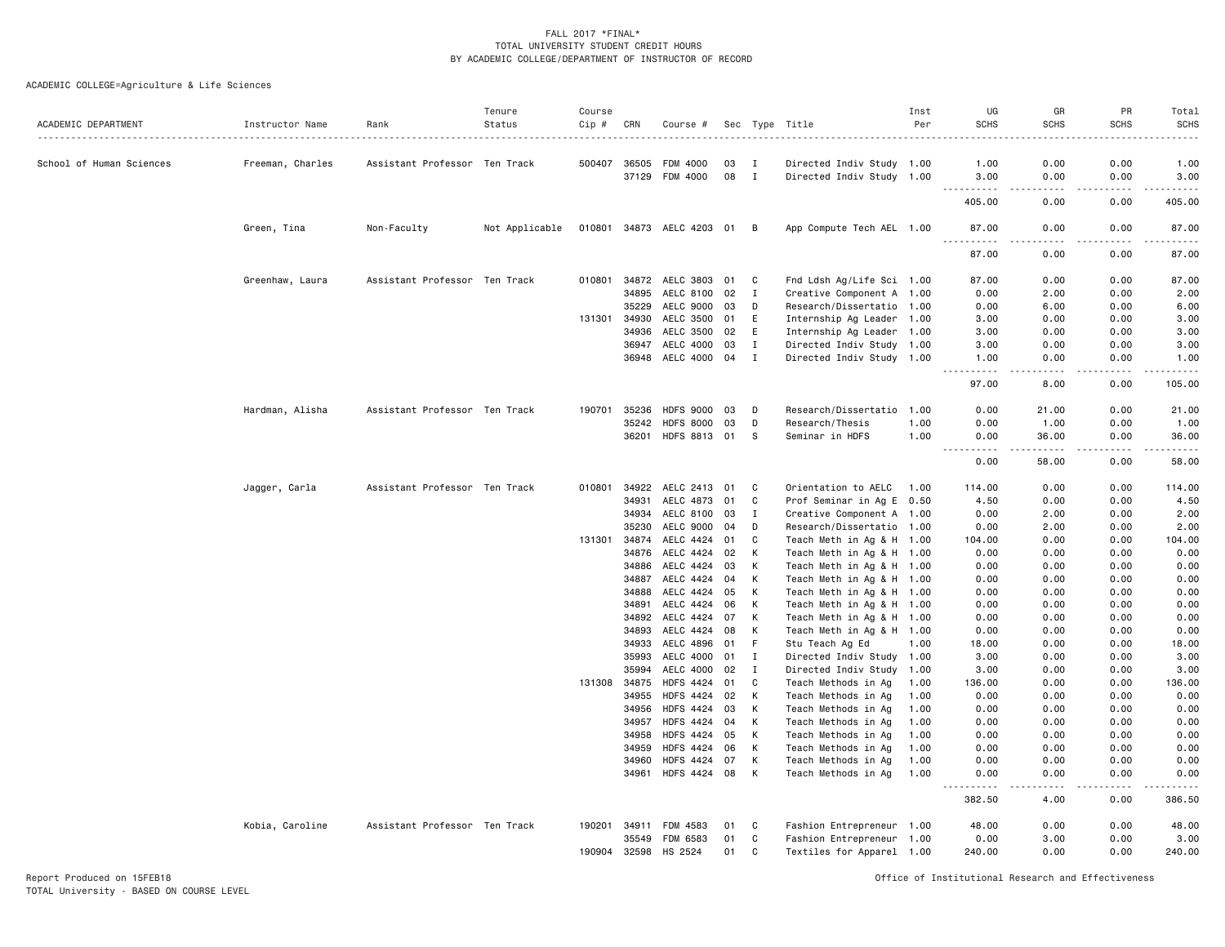| ACADEMIC DEPARTMENT      | Instructor Name  | Rank                          | Tenure<br>Status | Course<br>Cip # | CRN          | Course #                  |    |              | Sec Type Title            | Inst<br>Per | UG<br><b>SCHS</b>                         | GR<br>SCHS | PR<br><b>SCHS</b> | Total<br><b>SCHS</b>   |
|--------------------------|------------------|-------------------------------|------------------|-----------------|--------------|---------------------------|----|--------------|---------------------------|-------------|-------------------------------------------|------------|-------------------|------------------------|
| School of Human Sciences | Freeman, Charles | Assistant Professor Ten Track |                  |                 |              | 500407 36505 FDM 4000     | 03 | I            | Directed Indiv Study 1.00 |             | 1.00                                      | 0.00       | 0.00              | 1.00                   |
|                          |                  |                               |                  |                 |              | 37129 FDM 4000            | 08 | $\mathbf{I}$ | Directed Indiv Study 1.00 |             | 3.00                                      | 0.00       | 0.00              | 3.00                   |
|                          |                  |                               |                  |                 |              |                           |    |              |                           |             | <u> - - - - - - - - - -</u><br>405.00     | .<br>0.00  | <u>.</u><br>0.00  | . <b>.</b> .<br>405.00 |
|                          | Green, Tina      | Non-Faculty                   | Not Applicable   |                 |              | 010801 34873 AELC 4203 01 |    | B            | App Compute Tech AEL 1.00 |             | 87.00<br>$\sim$ $\sim$ $\sim$ $\sim$<br>. | 0.00       | 0.00              | 87.00                  |
|                          |                  |                               |                  |                 |              |                           |    |              |                           |             | 87.00                                     | 0.00       | 0.00              | 87.00                  |
|                          | Greenhaw, Laura  | Assistant Professor Ten Track |                  |                 |              | 010801 34872 AELC 3803 01 |    | C            | Fnd Ldsh Ag/Life Sci 1.00 |             | 87.00                                     | 0.00       | 0.00              | 87.00                  |
|                          |                  |                               |                  |                 | 34895        | AELC 8100                 | 02 | $\mathbf{I}$ | Creative Component A 1.00 |             | 0.00                                      | 2.00       | 0.00              | 2.00                   |
|                          |                  |                               |                  |                 | 35229        | AELC 9000                 | 03 | D            | Research/Dissertatio 1.00 |             | 0.00                                      | 6.00       | 0.00              | 6.00                   |
|                          |                  |                               |                  |                 | 131301 34930 | AELC 3500                 | 01 | Ε            | Internship Ag Leader 1.00 |             | 3.00                                      | 0.00       | 0.00              | 3.00                   |
|                          |                  |                               |                  |                 | 34936        | AELC 3500                 | 02 | E            | Internship Ag Leader 1.00 |             | 3.00                                      | 0.00       | 0.00              | 3.00                   |
|                          |                  |                               |                  |                 | 36947        | AELC 4000                 | 03 | Ι.           | Directed Indiv Study      | 1.00        | 3,00                                      | 0.00       | 0.00              | 3.00                   |
|                          |                  |                               |                  |                 |              | 36948 AELC 4000 04        |    | I            | Directed Indiv Study 1.00 |             | 1.00<br>.<br>$\sim$ $\sim$ $\sim$ $\sim$  | 0.00<br>.  | 0.00<br>22222     | 1.00<br>.              |
|                          |                  |                               |                  |                 |              |                           |    |              |                           |             | 97.00                                     | 8.00       | 0.00              | 105.00                 |
|                          | Hardman, Alisha  | Assistant Professor Ten Track |                  | 190701          | 35236        | <b>HDFS 9000</b>          | 03 | D            | Research/Dissertatio 1.00 |             | 0.00                                      | 21.00      | 0.00              | 21.00                  |
|                          |                  |                               |                  |                 | 35242        | <b>HDFS 8000</b>          | 03 | D            | Research/Thesis           | 1.00        | 0.00                                      | 1.00       | 0.00              | 1.00                   |
|                          |                  |                               |                  |                 | 36201        | HDFS 8813 01              |    | S            | Seminar in HDFS           | 1.00        | 0.00<br>$\frac{1}{2}$                     | 36.00<br>. | 0.00<br>.         | 36.00<br>.             |
|                          |                  |                               |                  |                 |              |                           |    |              |                           |             | 0.00                                      | 58.00      | 0.00              | 58.00                  |
|                          | Jagger, Carla    | Assistant Professor Ten Track |                  | 010801          | 34922        | AELC 2413                 | 01 | C            | Orientation to AELC       | 1.00        | 114.00                                    | 0.00       | 0.00              | 114.00                 |
|                          |                  |                               |                  |                 | 34931        | AELC 4873                 | 01 | C            | Prof Seminar in Ag E 0.50 |             | 4.50                                      | 0.00       | 0.00              | 4.50                   |
|                          |                  |                               |                  |                 | 34934        | AELC 8100 03              |    | <b>I</b>     | Creative Component A 1.00 |             | 0.00                                      | 2.00       | 0.00              | 2.00                   |
|                          |                  |                               |                  |                 | 35230        | AELC 9000                 | 04 | D            | Research/Dissertatio 1.00 |             | 0.00                                      | 2.00       | 0.00              | 2.00                   |
|                          |                  |                               |                  |                 | 131301 34874 | AELC 4424 01              |    | C            | Teach Meth in Ag & H 1.00 |             | 104.00                                    | 0.00       | 0.00              | 104.00                 |
|                          |                  |                               |                  |                 | 34876        | AELC 4424                 | 02 | К            | Teach Meth in Ag & H 1.00 |             | 0.00                                      | 0.00       | 0.00              | 0.00                   |
|                          |                  |                               |                  |                 | 34886        | AELC 4424                 | 03 | К            | Teach Meth in Ag & H 1.00 |             | 0.00                                      | 0.00       | 0.00              | 0.00                   |
|                          |                  |                               |                  |                 | 34887        | AELC 4424                 | 04 | К            | Teach Meth in Ag & H 1.00 |             | 0.00                                      | 0.00       | 0.00              | 0.00                   |
|                          |                  |                               |                  |                 | 34888        | AELC 4424                 | 05 | K            | Teach Meth in Ag & H 1.00 |             | 0.00                                      | 0.00       | 0.00              | 0.00                   |
|                          |                  |                               |                  |                 | 34891        | AELC 4424                 | 06 | К            | Teach Meth in Ag & H 1.00 |             | 0.00                                      | 0.00       | 0.00              | 0.00                   |
|                          |                  |                               |                  |                 | 34892        | AELC 4424 07              |    | К            | Teach Meth in Ag & H 1.00 |             | 0.00                                      | 0.00       | 0.00              | 0.00                   |
|                          |                  |                               |                  |                 | 34893        | AELC 4424                 | 08 | К            | Teach Meth in Ag & H 1.00 |             | 0.00                                      | 0.00       | 0.00              | 0.00                   |
|                          |                  |                               |                  |                 | 34933        | AELC 4896                 | 01 | F            | Stu Teach Ag Ed           | 1.00        | 18.00                                     | 0.00       | 0.00              | 18.00                  |
|                          |                  |                               |                  |                 | 35993        | AELC 4000 01              |    | I            | Directed Indiv Study 1.00 |             | 3.00                                      | 0.00       | 0.00              | 3.00                   |
|                          |                  |                               |                  |                 | 35994        | AELC 4000                 | 02 | Ι            | Directed Indiv Study      | 1.00        | 3.00                                      | 0.00       | 0.00              | 3.00                   |
|                          |                  |                               |                  |                 | 131308 34875 | HDFS 4424 01              |    | C            | Teach Methods in Ag       | 1.00        | 136.00                                    | 0.00       | 0.00              | 136.00                 |
|                          |                  |                               |                  |                 | 34955        | <b>HDFS 4424</b>          | 02 | К            | Teach Methods in Ag       | 1.00        | 0.00                                      | 0.00       | 0.00              | 0.00                   |
|                          |                  |                               |                  |                 | 34956        | HDFS 4424                 | 03 | К            | Teach Methods in Ag       | 1.00        | 0.00                                      | 0.00       | 0.00              | 0.00                   |
|                          |                  |                               |                  |                 | 34957        | <b>HDFS 4424</b>          | 04 | К            | Teach Methods in Ag       | 1.00        | 0.00                                      | 0.00       | 0.00              | 0.00                   |
|                          |                  |                               |                  |                 | 34958        | <b>HDFS 4424</b>          | 05 | К            | Teach Methods in Ag       | 1.00        | 0.00                                      | 0.00       | 0.00              | 0.00                   |
|                          |                  |                               |                  |                 | 34959        | HDFS 4424 06              |    | К            | Teach Methods in Ag       | 1.00        | 0.00                                      | 0.00       | 0.00              | 0.00                   |
|                          |                  |                               |                  |                 | 34960        | HDFS 4424                 | 07 | К            | Teach Methods in Ag       | 1.00        | 0.00                                      | 0.00       | 0.00              | 0.00                   |
|                          |                  |                               |                  |                 | 34961        | HDFS 4424 08              |    | К            | Teach Methods in Ag       | 1.00        | 0.00<br><u> - - - - - - - - - -</u>       | 0.00       | 0.00              | 0.00                   |
|                          |                  |                               |                  |                 |              |                           |    |              |                           |             | 382.50                                    | 4.00       | 0.00              | 386.50                 |
|                          | Kobia, Caroline  | Assistant Professor Ten Track |                  | 190201          | 34911        | FDM 4583                  | 01 | C            | Fashion Entrepreneur 1.00 |             | 48.00                                     | 0.00       | 0.00              | 48.00                  |
|                          |                  |                               |                  |                 | 35549        | FDM 6583                  | 01 | C            | Fashion Entrepreneur 1.00 |             | 0.00                                      | 3.00       | 0.00              | 3.00                   |
|                          |                  |                               |                  |                 | 190904 32598 | HS 2524                   | 01 | C            | Textiles for Apparel 1.00 |             | 240.00                                    | 0.00       | 0.00              | 240.00                 |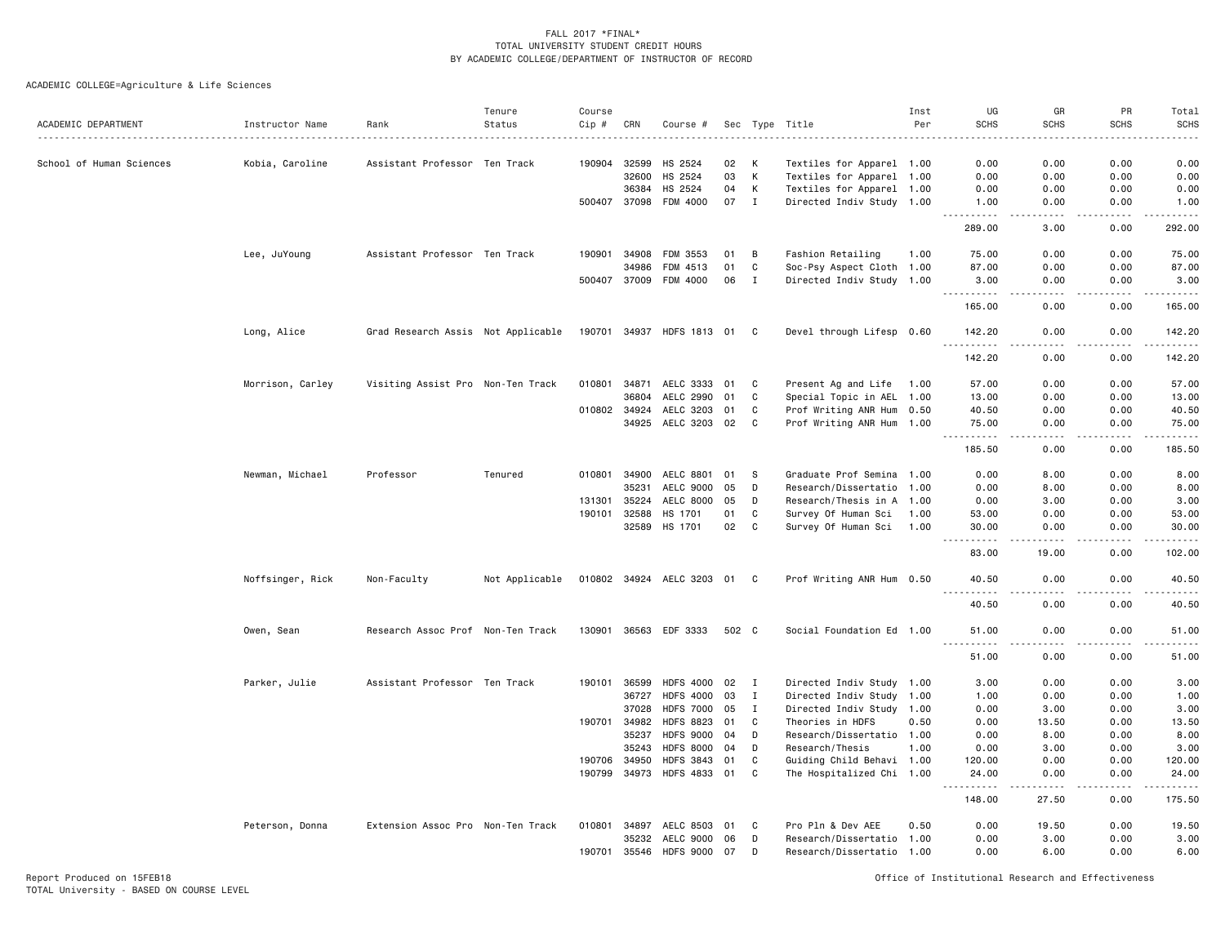| ACADEMIC DEPARTMENT      | Instructor Name  | Rank                               | Tenure<br>Status | Course<br>Cip # | CRN          | Course #                  | Sec   |              |                           | Inst<br>Per | UG<br><b>SCHS</b>                                                                                                                  | GR<br><b>SCHS</b> | PR<br><b>SCHS</b>  | Total<br>SCHS                                                                                                                                                  |
|--------------------------|------------------|------------------------------------|------------------|-----------------|--------------|---------------------------|-------|--------------|---------------------------|-------------|------------------------------------------------------------------------------------------------------------------------------------|-------------------|--------------------|----------------------------------------------------------------------------------------------------------------------------------------------------------------|
|                          |                  |                                    |                  |                 |              |                           |       |              | Type Title                |             |                                                                                                                                    |                   |                    |                                                                                                                                                                |
| School of Human Sciences | Kobia, Caroline  | Assistant Professor Ten Track      |                  | 190904          | 32599        | HS 2524                   | 02    | к            | Textiles for Apparel 1.00 |             | 0.00                                                                                                                               | 0.00              | 0.00               | 0.00                                                                                                                                                           |
|                          |                  |                                    |                  |                 | 32600        | HS 2524                   | 03    | К            | Textiles for Apparel 1.00 |             | 0.00                                                                                                                               | 0.00              | 0.00               | 0.00                                                                                                                                                           |
|                          |                  |                                    |                  |                 | 36384        | HS 2524                   | 04    | К            | Textiles for Apparel 1.00 |             | 0.00                                                                                                                               | 0.00              | 0.00               | 0.00                                                                                                                                                           |
|                          |                  |                                    |                  |                 | 500407 37098 | FDM 4000                  | 07    | I            | Directed Indiv Study 1.00 |             | 1.00<br>.                                                                                                                          | 0.00<br>$   -$    | 0.00<br>.          | 1.00<br>.                                                                                                                                                      |
|                          |                  |                                    |                  |                 |              |                           |       |              |                           |             | 289.00                                                                                                                             | 3.00              | 0.00               | 292.00                                                                                                                                                         |
|                          | Lee, JuYoung     | Assistant Professor Ten Track      |                  | 190901          | 34908        | FDM 3553                  | 01    | B            | Fashion Retailing         | 1.00        | 75.00                                                                                                                              | 0.00              | 0.00               | 75.00                                                                                                                                                          |
|                          |                  |                                    |                  |                 | 34986        | FDM 4513                  | 01    | C            | Soc-Psy Aspect Cloth 1.00 |             | 87.00                                                                                                                              | 0.00              | 0.00               | 87.00                                                                                                                                                          |
|                          |                  |                                    |                  |                 | 500407 37009 | FDM 4000                  | 06    | $\mathbf{I}$ | Directed Indiv Study 1.00 |             | 3.00<br>.                                                                                                                          | 0.00<br>.         | 0.00<br>-----      | 3.00<br>$\frac{1}{2} \left( \frac{1}{2} \right) \left( \frac{1}{2} \right) \left( \frac{1}{2} \right) \left( \frac{1}{2} \right) \left( \frac{1}{2} \right)$   |
|                          |                  |                                    |                  |                 |              |                           |       |              |                           |             | 165.00                                                                                                                             | 0.00              | 0.00               | 165.00                                                                                                                                                         |
|                          | Long, Alice      | Grad Research Assis Not Applicable |                  | 190701          | 34937        | HDFS 1813 01              |       | C.           | Devel through Lifesp 0.60 |             | 142.20<br>1.1.1.1.1                                                                                                                | 0.00<br>د د د د   | 0.00<br>.          | 142.20<br>$\frac{1}{2} \left( \frac{1}{2} \right) \left( \frac{1}{2} \right) \left( \frac{1}{2} \right) \left( \frac{1}{2} \right) \left( \frac{1}{2} \right)$ |
|                          |                  |                                    |                  |                 |              |                           |       |              |                           |             | 142.20                                                                                                                             | 0.00              | 0.00               | 142.20                                                                                                                                                         |
|                          | Morrison, Carley | Visiting Assist Pro Non-Ten Track  |                  | 010801          | 34871        | AELC 3333                 | 01    | C            | Present Ag and Life 1.00  |             | 57.00                                                                                                                              | 0.00              | 0.00               | 57.00                                                                                                                                                          |
|                          |                  |                                    |                  |                 | 36804        | AELC 2990                 | 01    | C            | Special Topic in AEL 1.00 |             | 13.00                                                                                                                              | 0.00              | 0.00               | 13.00                                                                                                                                                          |
|                          |                  |                                    |                  | 010802 34924    |              | AELC 3203                 | 01    | C            | Prof Writing ANR Hum 0.50 |             | 40.50                                                                                                                              | 0.00              | 0.00               | 40.50                                                                                                                                                          |
|                          |                  |                                    |                  |                 | 34925        | AELC 3203                 | 02    | C            | Prof Writing ANR Hum 1.00 |             | 75.00<br>.<br>$\sim$ $\sim$ $\sim$                                                                                                 | 0.00<br>د د د د   | 0.00<br>.          | 75.00<br>.                                                                                                                                                     |
|                          |                  |                                    |                  |                 |              |                           |       |              |                           |             | 185.50                                                                                                                             | 0.00              | 0.00               | 185.50                                                                                                                                                         |
|                          | Newman, Michael  | Professor                          | Tenured          | 010801          | 34900        | AELC 8801                 | 01    | - S          | Graduate Prof Semina 1.00 |             | 0.00                                                                                                                               | 8.00              | 0.00               | 8.00                                                                                                                                                           |
|                          |                  |                                    |                  |                 | 35231        | AELC 9000                 | 05    | D            | Research/Dissertatio 1.00 |             | 0.00                                                                                                                               | 8.00              | 0.00               | 8.00                                                                                                                                                           |
|                          |                  |                                    |                  | 131301          | 35224        | AELC 8000                 | 05    | D            | Research/Thesis in A 1.00 |             | 0.00                                                                                                                               | 3.00              | 0.00               | 3.00                                                                                                                                                           |
|                          |                  |                                    |                  | 190101          | 32588        | HS 1701                   | 01    | C            | Survey Of Human Sci       | 1.00        | 53.00                                                                                                                              | 0.00              | 0.00               | 53.00                                                                                                                                                          |
|                          |                  |                                    |                  |                 | 32589        | HS 1701                   | 02    | C            | Survey Of Human Sci       | 1.00        | 30.00<br>$\frac{1}{2} \left( \frac{1}{2} \right) \left( \frac{1}{2} \right) \left( \frac{1}{2} \right) \left( \frac{1}{2} \right)$ | 0.00              | 0.00               | 30.00                                                                                                                                                          |
|                          |                  |                                    |                  |                 |              |                           |       |              |                           |             | 83.00                                                                                                                              | 19.00             | 0.00               | 102.00                                                                                                                                                         |
|                          | Noffsinger, Rick | Non-Faculty                        | Not Applicable   |                 |              | 010802 34924 AELC 3203 01 |       | C.           | Prof Writing ANR Hum 0.50 |             | 40.50<br>.                                                                                                                         | 0.00              | 0.00               | 40.50                                                                                                                                                          |
|                          |                  |                                    |                  |                 |              |                           |       |              |                           |             | 40.50                                                                                                                              | 0.00              | 0.00               | 40.50                                                                                                                                                          |
|                          | Owen, Sean       | Research Assoc Prof Non-Ten Track  |                  |                 | 130901 36563 | EDF 3333                  | 502 C |              | Social Foundation Ed 1.00 |             | 51.00<br>$\sim$ $\sim$ $\sim$<br>. <b>.</b>                                                                                        | 0.00<br>.         | 0.00<br>. <b>.</b> | 51.00<br>$\frac{1}{2} \left( \frac{1}{2} \right) \left( \frac{1}{2} \right) \left( \frac{1}{2} \right) \left( \frac{1}{2} \right) \left( \frac{1}{2} \right)$  |
|                          |                  |                                    |                  |                 |              |                           |       |              |                           |             | 51.00                                                                                                                              | 0.00              | 0.00               | 51.00                                                                                                                                                          |
|                          | Parker, Julie    | Assistant Professor Ten Track      |                  | 190101          | 36599        | <b>HDFS 4000</b>          | 02    | I            | Directed Indiv Study 1.00 |             | 3.00                                                                                                                               | 0.00              | 0.00               | 3.00                                                                                                                                                           |
|                          |                  |                                    |                  |                 | 36727        | <b>HDFS 4000</b>          | 03    | I            | Directed Indiv Study 1.00 |             | 1.00                                                                                                                               | 0.00              | 0.00               | 1.00                                                                                                                                                           |
|                          |                  |                                    |                  |                 | 37028        | <b>HDFS 7000</b>          | 05    | Ι.           | Directed Indiv Study      | 1.00        | 0.00                                                                                                                               | 3.00              | 0.00               | 3.00                                                                                                                                                           |
|                          |                  |                                    |                  |                 | 190701 34982 | <b>HDFS 8823</b>          | 01    | C            | Theories in HDFS          | 0.50        | 0.00                                                                                                                               | 13.50             | 0.00               | 13.50                                                                                                                                                          |
|                          |                  |                                    |                  |                 | 35237        | <b>HDFS 9000</b>          | 04    | D            | Research/Dissertatio 1.00 |             | 0.00                                                                                                                               | 8.00              | 0.00               | 8.00                                                                                                                                                           |
|                          |                  |                                    |                  |                 | 35243        | <b>HDFS 8000</b>          | 04    | D            | Research/Thesis           | 1.00        | 0.00                                                                                                                               | 3.00              | 0.00               | 3.00                                                                                                                                                           |
|                          |                  |                                    |                  | 190706          | 34950        | <b>HDFS 3843</b>          | 01    | C            | Guiding Child Behavi 1.00 |             | 120.00                                                                                                                             | 0.00              | 0.00               | 120.00                                                                                                                                                         |
|                          |                  |                                    |                  | 190799          | 34973        | <b>HDFS 4833</b>          | 01    | C            | The Hospitalized Chi 1.00 |             | 24.00                                                                                                                              | 0.00              | 0.00               | 24.00                                                                                                                                                          |
|                          |                  |                                    |                  |                 |              |                           |       |              |                           |             | 148.00                                                                                                                             | 27.50             | 0.00               | 175.50                                                                                                                                                         |
|                          | Peterson, Donna  | Extension Assoc Pro Non-Ten Track  |                  | 010801          | 34897        | AELC 8503                 | 01    | C            | Pro Pln & Dev AEE         | 0.50        | 0.00                                                                                                                               | 19.50             | 0.00               | 19.50                                                                                                                                                          |
|                          |                  |                                    |                  |                 | 35232        | AELC 9000                 | 06    | D            | Research/Dissertatio 1.00 |             | 0.00                                                                                                                               | 3.00              | 0.00               | 3.00                                                                                                                                                           |
|                          |                  |                                    |                  | 190701          | 35546        | <b>HDFS 9000</b>          | 07    | D            | Research/Dissertatio 1.00 |             | 0.00                                                                                                                               | 6.00              | 0.00               | 6.00                                                                                                                                                           |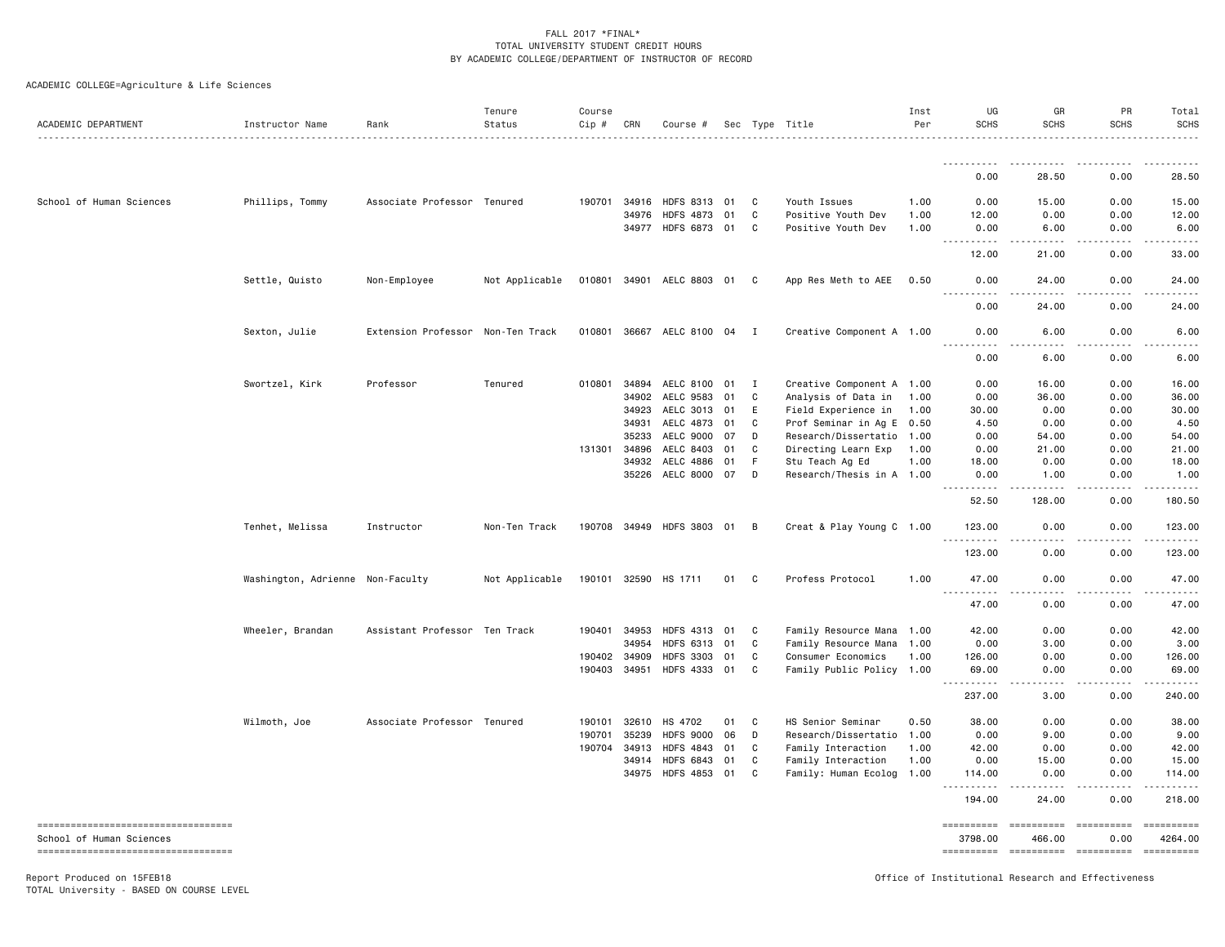ACADEMIC COLLEGE=Agriculture & Life Sciences

| ACADEMIC DEPARTMENT                | Instructor Name                  | Rank                              | Tenure<br>Status | Course<br>Cip # | CRN          | Course #                    |    |              | Sec Type Title<br>_____________________________________ | Inst<br>Per | UG<br><b>SCHS</b>                            | GR<br><b>SCHS</b> | PR<br><b>SCHS</b> | Total<br>SCHS                                                                                                                                                  |
|------------------------------------|----------------------------------|-----------------------------------|------------------|-----------------|--------------|-----------------------------|----|--------------|---------------------------------------------------------|-------------|----------------------------------------------|-------------------|-------------------|----------------------------------------------------------------------------------------------------------------------------------------------------------------|
|                                    |                                  |                                   |                  |                 |              |                             |    |              |                                                         |             |                                              |                   |                   |                                                                                                                                                                |
|                                    |                                  |                                   |                  |                 |              |                             |    |              |                                                         |             | 0.00                                         | 28.50             | 0.00              | 28.50                                                                                                                                                          |
| School of Human Sciences           | Phillips, Tommy                  | Associate Professor Tenured       |                  | 190701          | 34916        | HDFS 8313 01                |    | C            | Youth Issues                                            | 1.00        | 0.00                                         | 15.00             | 0.00              | 15.00                                                                                                                                                          |
|                                    |                                  |                                   |                  |                 | 34976        | <b>HDFS 4873</b>            | 01 | $\mathtt{C}$ | Positive Youth Dev                                      | 1.00        | 12.00                                        | 0.00              | 0.00              | 12.00                                                                                                                                                          |
|                                    |                                  |                                   |                  |                 | 34977        | HDFS 6873 01                |    | C            | Positive Youth Dev                                      | 1.00        | 0.00<br>.<br>$  -$                           | 6.00<br>.         | 0.00<br>.         | 6.00<br>.                                                                                                                                                      |
|                                    |                                  |                                   |                  |                 |              |                             |    |              |                                                         |             | 12.00                                        | 21.00             | 0.00              | 33.00                                                                                                                                                          |
|                                    | Settle, Quisto                   | Non-Employee                      | Not Applicable   | 010801          | 34901        | AELC 8803 01 C              |    |              | App Res Meth to AEE                                     | 0.50        | 0.00<br>.                                    | 24.00<br>-----    | 0.00              | 24.00                                                                                                                                                          |
|                                    |                                  |                                   |                  |                 |              |                             |    |              |                                                         |             | 0.00                                         | 24.00             | 0.00              | 24.00                                                                                                                                                          |
|                                    | Sexton, Julie                    | Extension Professor Non-Ten Track |                  |                 |              | 010801 36667 AELC 8100 04 I |    |              | Creative Component A 1.00                               |             | 0.00                                         | 6.00              | 0.00              | 6.00                                                                                                                                                           |
|                                    |                                  |                                   |                  |                 |              |                             |    |              |                                                         |             | $\frac{1}{2}$<br>0.00                        | 6.00              | 0.00              | 6.00                                                                                                                                                           |
|                                    | Swortzel, Kirk                   | Professor                         | Tenured          | 010801          | 34894        | AELC 8100 01                |    | I            | Creative Component A 1.00                               |             | 0.00                                         | 16.00             | 0.00              | 16.00                                                                                                                                                          |
|                                    |                                  |                                   |                  |                 | 34902        | AELC 9583                   | 01 | C            | Analysis of Data in                                     | 1.00        | 0.00                                         | 36.00             | 0.00              | 36.00                                                                                                                                                          |
|                                    |                                  |                                   |                  |                 | 34923        | AELC 3013 01                |    | E            | Field Experience in                                     | 1.00        | 30.00                                        | 0.00              | 0.00              | 30.00                                                                                                                                                          |
|                                    |                                  |                                   |                  |                 | 34931        | AELC 4873 01                |    | C            | Prof Seminar in Ag E 0.50                               |             | 4.50                                         | 0.00              | 0.00              | 4.50                                                                                                                                                           |
|                                    |                                  |                                   |                  |                 | 35233        | AELC 9000                   | 07 | D            | Research/Dissertatio 1.00                               |             | 0.00                                         | 54.00             | 0.00              | 54.00                                                                                                                                                          |
|                                    |                                  |                                   |                  | 131301          | 34896        | AELC 8403                   | 01 | C            | Directing Learn Exp                                     | 1.00        | 0.00                                         | 21.00             | 0.00              | 21.00                                                                                                                                                          |
|                                    |                                  |                                   |                  |                 | 34932        | AELC 4886                   | 01 | -F           | Stu Teach Ag Ed                                         | 1.00        | 18.00                                        | 0.00              | 0.00              | 18.00                                                                                                                                                          |
|                                    |                                  |                                   |                  |                 | 35226        | AELC 8000 07                |    | D            | Research/Thesis in A 1.00                               |             | 0.00                                         | 1.00              | 0.00              | 1.00                                                                                                                                                           |
|                                    |                                  |                                   |                  |                 |              |                             |    |              |                                                         |             | .<br>52.50                                   | .<br>128.00       | .<br>0.00         | $\frac{1}{2} \left( \frac{1}{2} \right) \left( \frac{1}{2} \right) \left( \frac{1}{2} \right) \left( \frac{1}{2} \right) \left( \frac{1}{2} \right)$<br>180.50 |
|                                    | Tenhet, Melissa                  | Instructor                        | Non-Ten Track    |                 | 190708 34949 | HDFS 3803 01                |    | B            | Creat & Play Young C 1.00                               |             | 123.00<br>$\sim$ $\sim$ $\sim$<br>. <b>.</b> | 0.00              | 0.00<br>.         | 123.00<br>.                                                                                                                                                    |
|                                    |                                  |                                   |                  |                 |              |                             |    |              |                                                         |             | 123.00                                       | 0.00              | 0.00              | 123.00                                                                                                                                                         |
|                                    | Washington, Adrienne Non-Faculty |                                   | Not Applicable   |                 |              | 190101 32590 HS 1711        | 01 | C            | Profess Protocol                                        | 1.00        | 47.00<br>.                                   | 0.00<br>.         | 0.00<br><u>.</u>  | 47.00<br>.                                                                                                                                                     |
|                                    |                                  |                                   |                  |                 |              |                             |    |              |                                                         |             | 47.00                                        | 0.00              | 0.00              | 47.00                                                                                                                                                          |
|                                    | Wheeler, Brandan                 | Assistant Professor Ten Track     |                  | 190401          | 34953        | HDFS 4313 01                |    | C            | Family Resource Mana 1.00                               |             | 42.00                                        | 0.00              | 0.00              | 42.00                                                                                                                                                          |
|                                    |                                  |                                   |                  |                 | 34954        | <b>HDFS 6313</b>            | 01 | C            | Family Resource Mana 1.00                               |             | 0.00                                         | 3.00              | 0.00              | 3.00                                                                                                                                                           |
|                                    |                                  |                                   |                  |                 | 190402 34909 | <b>HDFS 3303</b>            | 01 | C            | Consumer Economics                                      | 1.00        | 126.00                                       | 0.00              | 0.00              | 126.00                                                                                                                                                         |
|                                    |                                  |                                   |                  |                 | 190403 34951 | HDFS 4333 01                |    | C            | Family Public Policy 1.00                               |             | 69.00<br>$\sim$ $\sim$ $\sim$<br>.           | 0.00<br>.         | 0.00<br>.         | 69.00<br>.                                                                                                                                                     |
|                                    |                                  |                                   |                  |                 |              |                             |    |              |                                                         |             | 237.00                                       | 3.00              | 0.00              | 240.00                                                                                                                                                         |
|                                    | Wilmoth, Joe                     | Associate Professor Tenured       |                  | 190101          | 32610        | HS 4702                     | 01 | C            | HS Senior Seminar                                       | 0.50        | 38.00                                        | 0.00              | 0.00              | 38.00                                                                                                                                                          |
|                                    |                                  |                                   |                  | 190701          | 35239        | <b>HDFS 9000</b>            | 06 | D            | Research/Dissertatio 1.00                               |             | 0.00                                         | 9.00              | 0.00              | 9.00                                                                                                                                                           |
|                                    |                                  |                                   |                  | 190704          | 34913        | <b>HDFS 4843</b>            | 01 | C            | Family Interaction                                      | 1.00        | 42.00                                        | 0.00              | 0.00              | 42.00                                                                                                                                                          |
|                                    |                                  |                                   |                  |                 | 34914        | <b>HDFS 6843</b>            | 01 | $\mathtt{C}$ | Family Interaction                                      | 1.00        | 0.00                                         | 15.00             | 0.00              | 15.00                                                                                                                                                          |
|                                    |                                  |                                   |                  |                 | 34975        | <b>HDFS 4853</b>            | 01 | C            | Family: Human Ecolog                                    | 1.00        | 114.00<br>$\sim$ $\sim$<br>.                 | 0.00              | 0.00              | 114.00<br>-----                                                                                                                                                |
|                                    |                                  |                                   |                  |                 |              |                             |    |              |                                                         |             | 194.00                                       | 24.00             | 0.00              | 218.00                                                                                                                                                         |
| ---------------------------------- |                                  |                                   |                  |                 |              |                             |    |              |                                                         |             | ==========                                   |                   |                   | ==========                                                                                                                                                     |
| School of Human Sciences           |                                  |                                   |                  |                 |              |                             |    |              |                                                         |             | 3798.00                                      | 466.00            | 0.00              | 4264.00                                                                                                                                                        |
| ---------------------------------- |                                  |                                   |                  |                 |              |                             |    |              |                                                         |             |                                              |                   | ==========        | ==========                                                                                                                                                     |

Report Produced on 15FEB18 Office of Institutional Research and Effectiveness

TOTAL University - BASED ON COURSE LEVEL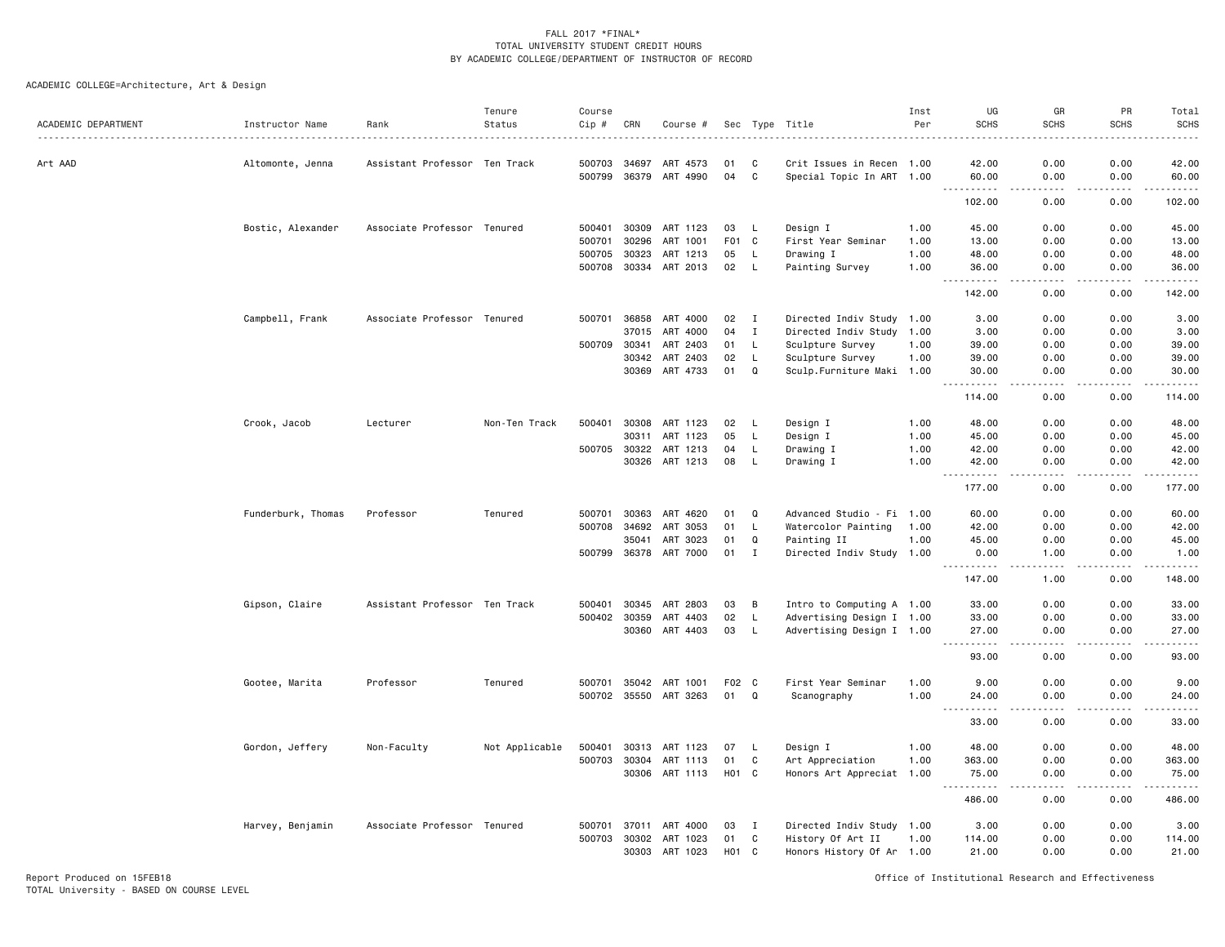ACADEMIC COLLEGE=Architecture, Art & Design

| ACADEMIC DEPARTMENT | Instructor Name<br>. | Rank                          | Tenure<br>Status | Course<br>Cip # | CRN          | Course #              |                   |              | Sec Type Title            | Inst<br>Per | UG<br><b>SCHS</b>                                                                                                                                              | GR<br><b>SCHS</b>                   | <b>PR</b><br><b>SCHS</b> | Total<br><b>SCHS</b><br>$- - - - -$ |
|---------------------|----------------------|-------------------------------|------------------|-----------------|--------------|-----------------------|-------------------|--------------|---------------------------|-------------|----------------------------------------------------------------------------------------------------------------------------------------------------------------|-------------------------------------|--------------------------|-------------------------------------|
| Art AAD             | Altomonte, Jenna     | Assistant Professor Ten Track |                  |                 | 500703 34697 | ART 4573              | 01                | C            | Crit Issues in Recen 1.00 |             | 42.00                                                                                                                                                          | 0.00                                | 0.00                     | 42.00                               |
|                     |                      |                               |                  | 500799          | 36379        | ART 4990              | 04                | C            | Special Topic In ART 1.00 |             | 60.00                                                                                                                                                          | 0.00<br>$   -$                      | 0.00<br>.                | 60.00                               |
|                     |                      |                               |                  |                 |              |                       |                   |              |                           |             | .<br>102.00                                                                                                                                                    | 0.00                                | 0.00                     | .<br>102.00                         |
|                     | Bostic, Alexander    | Associate Professor Tenured   |                  | 500401          | 30309        | ART 1123              | 03                | L            | Design I                  | 1.00        | 45.00                                                                                                                                                          | 0.00                                | 0.00                     | 45.00                               |
|                     |                      |                               |                  | 500701          | 30296        | ART 1001              | F <sub>0</sub> 1  | C            | First Year Seminar        | 1.00        | 13.00                                                                                                                                                          | 0.00                                | 0.00                     | 13.00                               |
|                     |                      |                               |                  | 500705          | 30323        | ART 1213              | 05                | $\mathsf{L}$ | Drawing I                 | 1.00        | 48.00                                                                                                                                                          | 0.00                                | 0.00                     | 48.00                               |
|                     |                      |                               |                  |                 |              | 500708 30334 ART 2013 | 02                | $\mathsf{L}$ | Painting Survey           | 1.00        | 36.00                                                                                                                                                          | 0.00                                | 0.00                     | 36.00                               |
|                     |                      |                               |                  |                 |              |                       |                   |              |                           |             | $\sim$ $\sim$ $\sim$<br>.<br>142.00                                                                                                                            | $   -$<br>0.00                      | .<br>0.00                | .<br>142.00                         |
|                     | Campbell, Frank      | Associate Professor Tenured   |                  |                 |              | 500701 36858 ART 4000 | 02                | $\mathbf{I}$ | Directed Indiv Study 1.00 |             | 3.00                                                                                                                                                           | 0.00                                | 0.00                     | 3.00                                |
|                     |                      |                               |                  |                 | 37015        | ART 4000              | 04                | $\mathbf{I}$ | Directed Indiv Study 1.00 |             | 3.00                                                                                                                                                           | 0.00                                | 0.00                     | 3.00                                |
|                     |                      |                               |                  | 500709          | 30341        | ART 2403              | 01                | L            | Sculpture Survey          | 1.00        | 39.00                                                                                                                                                          | 0.00                                | 0.00                     | 39.00                               |
|                     |                      |                               |                  |                 | 30342        | ART 2403              | 02                | $\mathsf{L}$ | Sculpture Survey          | 1.00        | 39.00                                                                                                                                                          | 0.00                                | 0.00                     | 39.00                               |
|                     |                      |                               |                  |                 | 30369        | ART 4733              | 01                | Q            | Sculp.Furniture Maki 1.00 |             | 30.00<br><u>.</u>                                                                                                                                              | 0.00<br>.                           | 0.00<br><u>.</u>         | 30.00                               |
|                     |                      |                               |                  |                 |              |                       |                   |              |                           |             | $\sim$ $\sim$ $\sim$<br>114.00                                                                                                                                 | 0.00                                | 0.00                     | .<br>114.00                         |
|                     | Crook, Jacob         | Lecturer                      | Non-Ten Track    | 500401          |              | 30308 ART 1123        | 02                | - L          | Design I                  | 1.00        | 48.00                                                                                                                                                          | 0.00                                | 0.00                     | 48.00                               |
|                     |                      |                               |                  |                 | 30311        | ART 1123              | 05                | L            | Design I                  | 1.00        | 45.00                                                                                                                                                          | 0.00                                | 0.00                     | 45.00                               |
|                     |                      |                               |                  |                 | 500705 30322 | ART 1213              | 04                | L,           | Drawing I                 | 1.00        | 42.00                                                                                                                                                          | 0.00                                | 0.00                     | 42.00                               |
|                     |                      |                               |                  |                 | 30326        | ART 1213              | 08                | $\mathsf{L}$ | Drawing I                 | 1.00        | 42.00                                                                                                                                                          | 0.00                                | 0.00                     | 42.00                               |
|                     |                      |                               |                  |                 |              |                       |                   |              |                           |             | .<br>177.00                                                                                                                                                    | $   -$<br>0.00                      | .<br>0.00                | .<br>177.00                         |
|                     | Funderburk, Thomas   | Professor                     | Tenured          | 500701          | 30363        | ART 4620              | 01                | Q            | Advanced Studio - Fi 1.00 |             | 60.00                                                                                                                                                          | 0.00                                | 0.00                     | 60.00                               |
|                     |                      |                               |                  | 500708          | 34692        | ART 3053              | 01                | L            | Watercolor Painting       | 1.00        | 42.00                                                                                                                                                          | 0.00                                | 0.00                     | 42.00                               |
|                     |                      |                               |                  |                 | 35041        | ART 3023              | 01                | Q            | Painting II               | 1.00        | 45.00                                                                                                                                                          | 0.00                                | 0.00                     | 45.00                               |
|                     |                      |                               |                  |                 |              | 500799 36378 ART 7000 | 01                | $\mathbf I$  | Directed Indiv Study 1.00 |             | 0.00                                                                                                                                                           | 1.00                                | 0.00                     | 1.00                                |
|                     |                      |                               |                  |                 |              |                       |                   |              |                           |             | .<br>147.00                                                                                                                                                    | .<br>1.00                           | <u>.</u><br>0.00         | <u>.</u><br>148.00                  |
|                     | Gipson, Claire       | Assistant Professor Ten Track |                  | 500401          | 30345        | ART 2803              | 03                | B            | Intro to Computing A 1.00 |             | 33.00                                                                                                                                                          | 0.00                                | 0.00                     | 33,00                               |
|                     |                      |                               |                  |                 | 500402 30359 | ART 4403              | 02                | L.           | Advertising Design I 1.00 |             | 33.00                                                                                                                                                          | 0.00                                | 0.00                     | 33.00                               |
|                     |                      |                               |                  |                 | 30360        | ART 4403              | 03                | $\mathsf{L}$ | Advertising Design I 1.00 |             | 27.00                                                                                                                                                          | 0.00                                | 0.00                     | 27.00                               |
|                     |                      |                               |                  |                 |              |                       |                   |              |                           |             | المتمام المتحدة<br>$\sim$ $\sim$ $\sim$<br>93.00                                                                                                               | .<br>0.00                           | .<br>0.00                | .<br>93.00                          |
|                     | Gootee, Marita       | Professor                     | Tenured          | 500701          | 35042        | ART 1001              | F02               | C.           | First Year Seminar        | 1.00        | 9.00                                                                                                                                                           | 0.00                                | 0.00                     | 9.00                                |
|                     |                      |                               |                  |                 | 500702 35550 | ART 3263              | 01                | $\Omega$     | Scanography               | 1.00        | 24.00                                                                                                                                                          | 0.00                                | 0.00                     | 24.00                               |
|                     |                      |                               |                  |                 |              |                       |                   |              |                           |             | $\begin{array}{cccccccccc} \bullet & \bullet & \bullet & \bullet & \bullet & \bullet \end{array}$<br>$\sim$ $\sim$ $\sim$<br>33.00                             | د د د د<br>0.00                     | .<br>0.00                | .<br>33.00                          |
|                     | Gordon, Jeffery      | Non-Faculty                   | Not Applicable   | 500401          | 30313        | ART 1123              | 07                | L,           | Design I                  | 1.00        | 48.00                                                                                                                                                          | 0.00                                | 0.00                     | 48.00                               |
|                     |                      |                               |                  |                 | 500703 30304 | ART 1113              | 01                | C            | Art Appreciation          | 1.00        | 363.00                                                                                                                                                         | 0.00                                | 0.00                     | 363.00                              |
|                     |                      |                               |                  |                 |              | 30306 ART 1113        | H <sub>01</sub> C |              | Honors Art Appreciat 1.00 |             | 75.00                                                                                                                                                          | 0.00                                | 0.00                     | 75.00                               |
|                     |                      |                               |                  |                 |              |                       |                   |              |                           |             | $\frac{1}{2} \left( \frac{1}{2} \right) \left( \frac{1}{2} \right) \left( \frac{1}{2} \right) \left( \frac{1}{2} \right) \left( \frac{1}{2} \right)$<br>486.00 | $\sim$ $\sim$ $\sim$ $\sim$<br>0.00 | 0.00                     | .<br>486.00                         |
|                     | Harvey, Benjamin     | Associate Professor Tenured   |                  |                 | 500701 37011 | ART 4000              | 03                | $\mathbf{I}$ | Directed Indiv Study 1.00 |             | 3.00                                                                                                                                                           | 0.00                                | 0.00                     | 3.00                                |
|                     |                      |                               |                  | 500703          | 30302        | ART 1023              | 01                | C            | History Of Art II         | 1.00        | 114.00                                                                                                                                                         | 0.00                                | 0.00                     | 114.00                              |
|                     |                      |                               |                  |                 |              | 30303 ART 1023        | H01               | $\mathbf{C}$ | Honors History Of Ar 1.00 |             | 21.00                                                                                                                                                          | 0.00                                | 0.00                     | 21.00                               |

Report Produced on 15FEB18 Office of Institutional Research and Effectiveness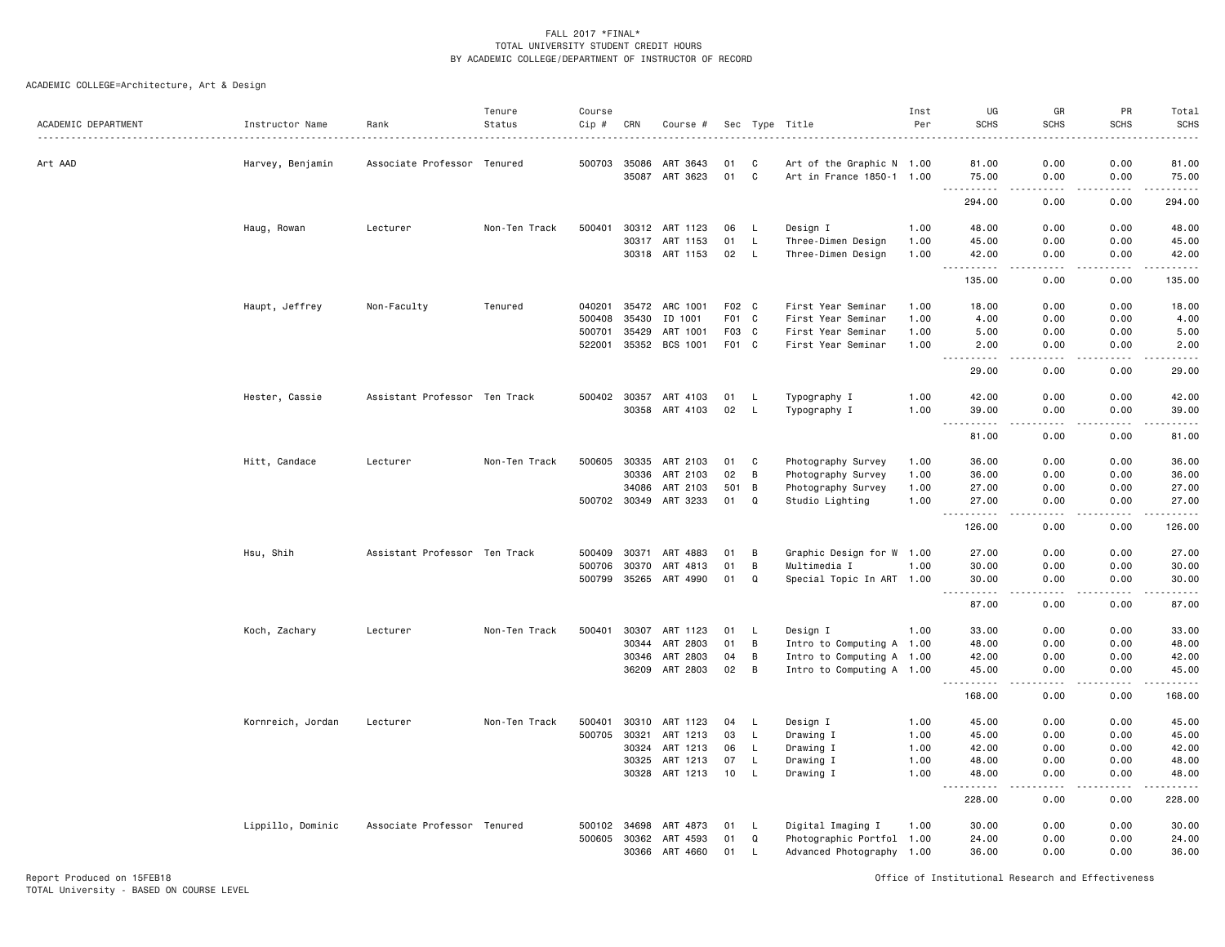| ACADEMIC DEPARTMENT | Instructor Name   | Rank                          | Tenure<br>Status | Course<br>Cip # | CRN          | Course #              | Sec              |                | Type Title                | Inst<br>Per | UG<br><b>SCHS</b>                                                                                                                                                       | GR<br><b>SCHS</b>                   | PR<br><b>SCHS</b> | Total<br><b>SCHS</b>                                                                                                                                         |
|---------------------|-------------------|-------------------------------|------------------|-----------------|--------------|-----------------------|------------------|----------------|---------------------------|-------------|-------------------------------------------------------------------------------------------------------------------------------------------------------------------------|-------------------------------------|-------------------|--------------------------------------------------------------------------------------------------------------------------------------------------------------|
|                     |                   |                               |                  |                 |              |                       |                  |                |                           |             |                                                                                                                                                                         |                                     |                   |                                                                                                                                                              |
| Art AAD             | Harvey, Benjamin  | Associate Professor Tenured   |                  |                 | 500703 35086 | ART 3643              | 01               | C              | Art of the Graphic N 1.00 |             | 81.00                                                                                                                                                                   | 0.00                                | 0.00              | 81.00                                                                                                                                                        |
|                     |                   |                               |                  |                 | 35087        | ART 3623              | 01               | C              | Art in France 1850-1 1.00 |             | 75.00<br>.<br>$- - -$                                                                                                                                                   | 0.00<br>.                           | 0.00<br>.         | 75.00<br>.                                                                                                                                                   |
|                     |                   |                               |                  |                 |              |                       |                  |                |                           |             | 294.00                                                                                                                                                                  | 0.00                                | 0.00              | 294.00                                                                                                                                                       |
|                     | Haug, Rowan       | Lecturer                      | Non-Ten Track    | 500401          | 30312        | ART 1123              | 06               | - L            | Design I                  | 1.00        | 48.00                                                                                                                                                                   | 0.00                                | 0.00              | 48.00                                                                                                                                                        |
|                     |                   |                               |                  |                 | 30317        | ART 1153              | 01               | <b>L</b>       | Three-Dimen Design        | 1.00        | 45.00                                                                                                                                                                   | 0.00                                | 0.00              | 45.00                                                                                                                                                        |
|                     |                   |                               |                  |                 |              | 30318 ART 1153        | 02               | - L            | Three-Dimen Design        | 1.00        | 42.00<br>$\sim$ $\sim$ $\sim$<br>.                                                                                                                                      | 0.00                                | 0.00              | 42.00<br>.                                                                                                                                                   |
|                     |                   |                               |                  |                 |              |                       |                  |                |                           |             | 135.00                                                                                                                                                                  | 0.00                                | 0.00              | 135.00                                                                                                                                                       |
|                     | Haupt, Jeffrey    | Non-Faculty                   | Tenured          | 040201          | 35472        | ARC 1001              | F02 C            |                | First Year Seminar        | 1.00        | 18.00                                                                                                                                                                   | 0.00                                | 0.00              | 18.00                                                                                                                                                        |
|                     |                   |                               |                  | 500408          | 35430        | ID 1001               | F01 C            |                | First Year Seminar        | 1.00        | 4.00                                                                                                                                                                    | 0.00                                | 0.00              | 4.00                                                                                                                                                         |
|                     |                   |                               |                  | 500701          | 35429        | ART 1001              | F <sub>0</sub> 3 | C              | First Year Seminar        | 1.00        | 5.00                                                                                                                                                                    | 0.00                                | 0.00              | 5.00                                                                                                                                                         |
|                     |                   |                               |                  |                 |              | 522001 35352 BCS 1001 | F01 C            |                | First Year Seminar        | 1.00        | 2.00<br><u>.</u>                                                                                                                                                        | 0.00                                | 0.00              | 2.00<br>$\frac{1}{2} \left( \frac{1}{2} \right) \left( \frac{1}{2} \right) \left( \frac{1}{2} \right) \left( \frac{1}{2} \right) \left( \frac{1}{2} \right)$ |
|                     |                   |                               |                  |                 |              |                       |                  |                |                           |             | 29.00                                                                                                                                                                   | 0.00                                | 0.00              | 29.00                                                                                                                                                        |
|                     | Hester, Cassie    | Assistant Professor Ten Track |                  |                 | 500402 30357 | ART 4103              | 01               | -L             | Typography I              | 1.00        | 42.00                                                                                                                                                                   | 0.00                                | 0.00              | 42.00                                                                                                                                                        |
|                     |                   |                               |                  |                 |              | 30358 ART 4103        | 02               | L              | Typography I              | 1.00        | 39.00                                                                                                                                                                   | 0.00                                | 0.00              | 39.00                                                                                                                                                        |
|                     |                   |                               |                  |                 |              |                       |                  |                |                           |             | $\sim$ $\sim$ .<br>$\frac{1}{2} \left( \frac{1}{2} \right) \left( \frac{1}{2} \right) \left( \frac{1}{2} \right) \left( \frac{1}{2} \right) \left( \frac{1}{2} \right)$ | $\sim$ $\sim$ $\sim$ $\sim$         | .                 | $\sim$ $\sim$ $\sim$ $\sim$                                                                                                                                  |
|                     |                   |                               |                  |                 |              |                       |                  |                |                           |             | 81.00                                                                                                                                                                   | 0.00                                | 0.00              | 81.00                                                                                                                                                        |
|                     | Hitt, Candace     | Lecturer                      | Non-Ten Track    |                 | 500605 30335 | ART 2103              | 01               | C              | Photography Survey        | 1.00        | 36.00                                                                                                                                                                   | 0.00                                | 0.00              | 36.00                                                                                                                                                        |
|                     |                   |                               |                  |                 | 30336        | ART 2103              | 02               | B              | Photography Survey        | 1.00        | 36.00                                                                                                                                                                   | 0.00                                | 0.00              | 36.00                                                                                                                                                        |
|                     |                   |                               |                  |                 | 34086        | ART 2103              | 501              | $\overline{B}$ | Photography Survey        | 1.00        | 27.00                                                                                                                                                                   | 0.00                                | 0.00              | 27.00                                                                                                                                                        |
|                     |                   |                               |                  |                 |              | 500702 30349 ART 3233 | 01               | $\Omega$       | Studio Lighting           | 1.00        | 27.00<br>$\sim$ $\sim$<br>.                                                                                                                                             | 0.00<br>$\sim$ $\sim$ $\sim$ $\sim$ | 0.00<br>د د د د   | 27.00<br>.                                                                                                                                                   |
|                     |                   |                               |                  |                 |              |                       |                  |                |                           |             | 126.00                                                                                                                                                                  | 0.00                                | 0.00              | 126.00                                                                                                                                                       |
|                     | Hsu, Shih         | Assistant Professor Ten Track |                  | 500409          | 30371        | ART 4883              | 01               | B              | Graphic Design for W 1.00 |             | 27.00                                                                                                                                                                   | 0.00                                | 0.00              | 27.00                                                                                                                                                        |
|                     |                   |                               |                  | 500706          | 30370        | ART 4813              | 01               | B              | Multimedia I              | 1.00        | 30.00                                                                                                                                                                   | 0.00                                | 0.00              | 30.00                                                                                                                                                        |
|                     |                   |                               |                  |                 |              | 500799 35265 ART 4990 | 01               | Q              | Special Topic In ART 1.00 |             | 30.00<br>$\frac{1}{2} \left( \frac{1}{2} \right) \left( \frac{1}{2} \right) \left( \frac{1}{2} \right) \left( \frac{1}{2} \right) \left( \frac{1}{2} \right)$           | 0.00                                | 0.00              | 30.00<br>.                                                                                                                                                   |
|                     |                   |                               |                  |                 |              |                       |                  |                |                           |             | 87.00                                                                                                                                                                   | 0.00                                | 0.00              | 87.00                                                                                                                                                        |
|                     | Koch, Zachary     | Lecturer                      | Non-Ten Track    | 500401          | 30307        | ART 1123              | 01               | L              | Design I                  | 1.00        | 33.00                                                                                                                                                                   | 0.00                                | 0.00              | 33.00                                                                                                                                                        |
|                     |                   |                               |                  |                 | 30344        | ART 2803              | 01               | B              | Intro to Computing A 1.00 |             | 48.00                                                                                                                                                                   | 0.00                                | 0.00              | 48.00                                                                                                                                                        |
|                     |                   |                               |                  |                 | 30346        | ART 2803              | 04               | B              | Intro to Computing A 1.00 |             | 42.00                                                                                                                                                                   | 0.00                                | 0.00              | 42.00                                                                                                                                                        |
|                     |                   |                               |                  |                 | 36209        | ART 2803              | 02               | B              | Intro to Computing A 1.00 |             | 45.00<br>.                                                                                                                                                              | 0.00                                | 0.00              | 45.00<br>.                                                                                                                                                   |
|                     |                   |                               |                  |                 |              |                       |                  |                |                           |             | 168.00                                                                                                                                                                  | 0.00                                | 0.00              | 168.00                                                                                                                                                       |
|                     | Kornreich, Jordan | Lecturer                      | Non-Ten Track    | 500401          | 30310        | ART 1123              | 04               | - L            | Design I                  | 1.00        | 45.00                                                                                                                                                                   | 0.00                                | 0.00              | 45.00                                                                                                                                                        |
|                     |                   |                               |                  | 500705          | 30321        | ART 1213              | 03               | L              | Drawing I                 | 1.00        | 45.00                                                                                                                                                                   | 0.00                                | 0.00              | 45.00                                                                                                                                                        |
|                     |                   |                               |                  |                 | 30324        | ART 1213              | 06               | -L             | Drawing I                 | 1.00        | 42.00                                                                                                                                                                   | 0.00                                | 0.00              | 42.00                                                                                                                                                        |
|                     |                   |                               |                  |                 | 30325        | ART 1213              | 07               | <b>L</b>       | Drawing I                 | 1.00        | 48.00                                                                                                                                                                   | 0.00                                | 0.00              | 48.00                                                                                                                                                        |
|                     |                   |                               |                  |                 |              | 30328 ART 1213        | 10               | <b>L</b>       | Drawing I                 | 1.00        | 48.00<br>$\sim$ $\sim$ .<br>.                                                                                                                                           | 0.00<br>.                           | 0.00<br>-----     | 48.00<br>.                                                                                                                                                   |
|                     |                   |                               |                  |                 |              |                       |                  |                |                           |             | 228.00                                                                                                                                                                  | 0.00                                | 0.00              | 228.00                                                                                                                                                       |
|                     | Lippillo, Dominic | Associate Professor Tenured   |                  | 500102          | 34698        | ART 4873              | 01               | -L             | Digital Imaging I         | 1.00        | 30.00                                                                                                                                                                   | 0.00                                | 0.00              | 30.00                                                                                                                                                        |
|                     |                   |                               |                  | 500605          | 30362        | ART 4593              | 01               | Q              | Photographic Portfol 1.00 |             | 24.00                                                                                                                                                                   | 0.00                                | 0.00              | 24.00                                                                                                                                                        |
|                     |                   |                               |                  |                 | 30366        | ART 4660              | 01               | L              | Advanced Photography 1.00 |             | 36.00                                                                                                                                                                   | 0.00                                | 0.00              | 36.00                                                                                                                                                        |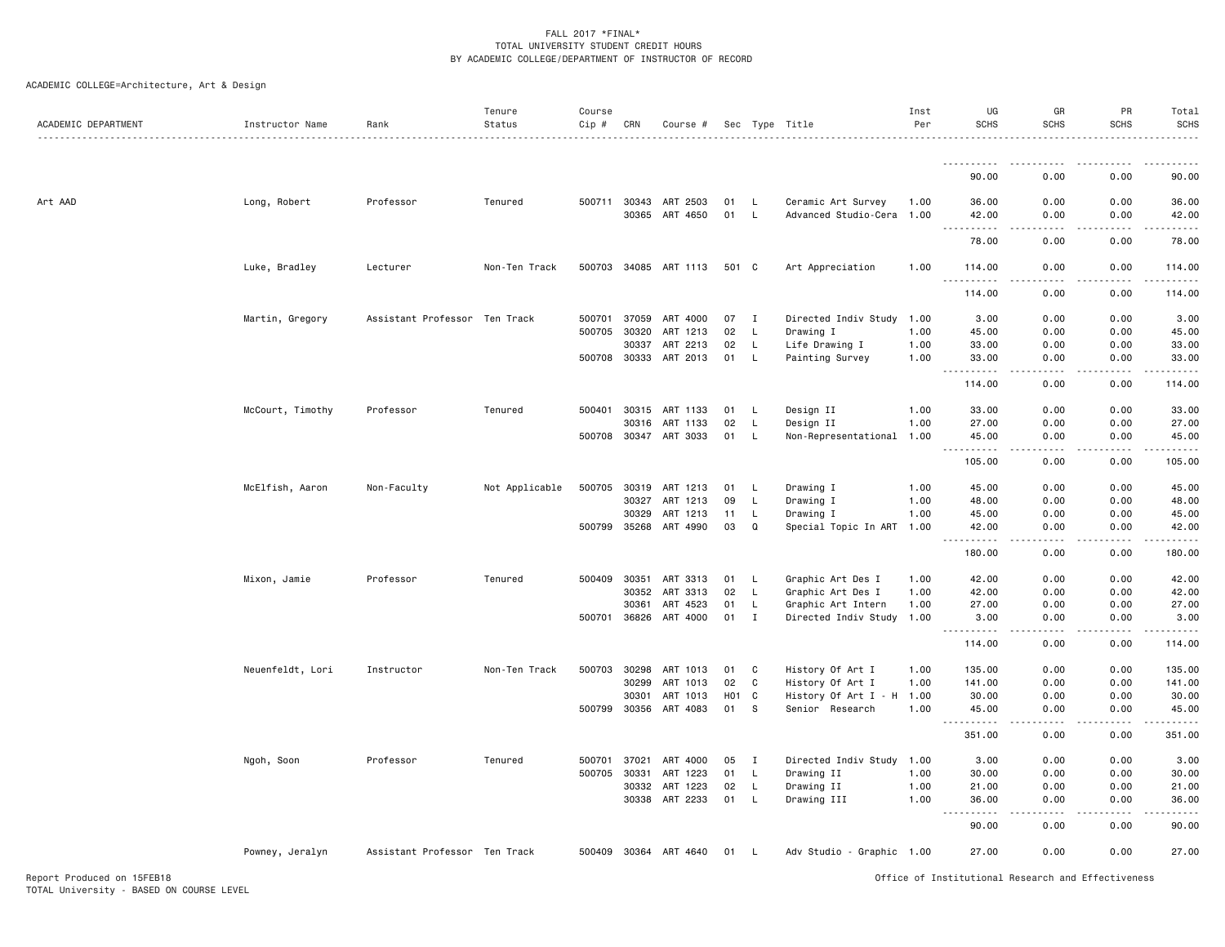| ACADEMIC DEPARTMENT | Instructor Name  | Rank                          | Tenure<br>Status | Course<br>$Cip$ # | CRN          | Course #              |       |              | Sec Type Title              | Inst<br>Per | UG<br><b>SCHS</b>                                                                                                                       | GR<br><b>SCHS</b> | PR<br><b>SCHS</b> | Total<br><b>SCHS</b> |
|---------------------|------------------|-------------------------------|------------------|-------------------|--------------|-----------------------|-------|--------------|-----------------------------|-------------|-----------------------------------------------------------------------------------------------------------------------------------------|-------------------|-------------------|----------------------|
|                     |                  |                               |                  |                   |              |                       |       |              |                             |             |                                                                                                                                         |                   |                   |                      |
|                     |                  |                               |                  |                   |              |                       |       |              |                             |             | 90.00                                                                                                                                   | 0.00              | 0.00              | 90.00                |
| Art AAD             | Long, Robert     | Professor                     | Tenured          |                   | 500711 30343 | ART 2503              | 01    | L.           | Ceramic Art Survey          | 1.00        | 36.00                                                                                                                                   | 0.00              | 0.00              | 36.00                |
|                     |                  |                               |                  |                   | 30365        | ART 4650              | 01    | L            | Advanced Studio-Cera 1.00   |             | 42.00<br>. <b>.</b>                                                                                                                     | 0.00<br>.         | 0.00<br>.         | 42.00<br>.           |
|                     |                  |                               |                  |                   |              |                       |       |              |                             |             | 78.00                                                                                                                                   | 0.00              | 0.00              | 78.00                |
|                     | Luke, Bradley    | Lecturer                      | Non-Ten Track    |                   |              | 500703 34085 ART 1113 | 501 C |              | Art Appreciation            | 1.00        | 114.00<br>.                                                                                                                             | 0.00              | 0.00              | 114.00               |
|                     |                  |                               |                  |                   |              |                       |       |              |                             |             | 114.00                                                                                                                                  | 0.00              | 0.00              | 114.00               |
|                     | Martin, Gregory  | Assistant Professor Ten Track |                  | 500701            | 37059        | ART 4000              | 07    | I            | Directed Indiv Study        | 1.00        | 3.00                                                                                                                                    | 0.00              | 0.00              | 3.00                 |
|                     |                  |                               |                  | 500705            | 30320        | ART 1213              | 02    | L            | Drawing I                   | 1.00        | 45.00                                                                                                                                   | 0.00              | 0.00              | 45.00                |
|                     |                  |                               |                  |                   | 30337        | ART 2213              | 02    | L.           | Life Drawing I              | 1.00        | 33.00                                                                                                                                   | 0.00              | 0.00              | 33.00                |
|                     |                  |                               |                  |                   |              | 500708 30333 ART 2013 | 01    | L.           | Painting Survey             | 1.00        | 33.00<br>.<br>$\frac{1}{2} \left( \frac{1}{2} \right) \left( \frac{1}{2} \right) \left( \frac{1}{2} \right) \left( \frac{1}{2} \right)$ | 0.00<br>.         | 0.00<br>.         | 33.00                |
|                     |                  |                               |                  |                   |              |                       |       |              |                             |             | 114.00                                                                                                                                  | 0.00              | 0.00              | 114.00               |
|                     | McCourt, Timothy | Professor                     | Tenured          | 500401            | 30315        | ART 1133              | 01    | -L           | Design II                   | 1.00        | 33.00                                                                                                                                   | 0.00              | 0.00              | 33.00                |
|                     |                  |                               |                  |                   | 30316        | ART 1133              | 02    | L            | Design II                   | 1.00        | 27.00                                                                                                                                   | 0.00              | 0.00              | 27.00                |
|                     |                  |                               |                  |                   | 500708 30347 | ART 3033              | 01    | L.           | Non-Representational        | 1.00        | 45.00<br>.                                                                                                                              | 0.00<br>.         | 0.00<br>.         | 45.00<br>.           |
|                     |                  |                               |                  |                   |              |                       |       |              |                             |             | 105.00                                                                                                                                  | 0.00              | 0.00              | 105.00               |
|                     | McElfish, Aaron  | Non-Faculty                   | Not Applicable   | 500705            | 30319        | ART 1213              | 01    | L            | Drawing I                   | 1.00        | 45.00                                                                                                                                   | 0.00              | 0.00              | 45.00                |
|                     |                  |                               |                  |                   | 30327        | ART 1213              | 09    | L            | Drawing I                   | 1.00        | 48.00                                                                                                                                   | 0.00              | 0.00              | 48.00                |
|                     |                  |                               |                  |                   | 30329        | ART 1213              | 11    | L            | Drawing I                   | 1.00        | 45.00                                                                                                                                   | 0.00              | 0.00              | 45.00                |
|                     |                  |                               |                  |                   | 500799 35268 | ART 4990              | 03    | Q            | Special Topic In ART 1.00   |             | 42.00<br>.                                                                                                                              | 0.00<br>.         | 0.00<br>.         | 42.00<br>.           |
|                     |                  |                               |                  |                   |              |                       |       |              |                             |             | 180.00                                                                                                                                  | 0.00              | 0.00              | 180.00               |
|                     | Mixon, Jamie     | Professor                     | Tenured          | 500409            | 30351        | ART 3313              | 01    | L.           | Graphic Art Des I           | 1.00        | 42.00                                                                                                                                   | 0.00              | 0.00              | 42.00                |
|                     |                  |                               |                  |                   | 30352        | ART 3313              | 02    | L            | Graphic Art Des I           | 1.00        | 42.00                                                                                                                                   | 0.00              | 0.00              | 42.00                |
|                     |                  |                               |                  |                   | 30361        | ART 4523              | 01    | L.           | Graphic Art Intern          | 1.00        | 27.00                                                                                                                                   | 0.00              | 0.00              | 27.00                |
|                     |                  |                               |                  | 500701            | 36826        | ART 4000              | 01    | Ι.           | Directed Indiv Study 1.00   |             | 3.00<br>.                                                                                                                               | 0.00<br>.         | 0.00<br>.         | 3.00<br>. <b>.</b>   |
|                     |                  |                               |                  |                   |              |                       |       |              |                             |             | 114.00                                                                                                                                  | 0.00              | 0.00              | 114.00               |
|                     | Neuenfeldt, Lori | Instructor                    | Non-Ten Track    |                   | 500703 30298 | ART 1013              | 01    | C            | History Of Art I            | 1.00        | 135.00                                                                                                                                  | 0.00              | 0.00              | 135.00               |
|                     |                  |                               |                  |                   | 30299        | ART 1013              | 02    | C            | History Of Art I            | 1.00        | 141.00                                                                                                                                  | 0.00              | 0.00              | 141.00               |
|                     |                  |                               |                  |                   | 30301        | ART 1013              | H01   | $\mathbf{C}$ | History Of Art $I - H$ 1.00 |             | 30.00                                                                                                                                   | 0.00              | 0.00              | 30.00                |
|                     |                  |                               |                  |                   | 500799 30356 | ART 4083              | 01    | -S           | Senior Research             | 1.00        | 45.00<br>.<br>$- - -$                                                                                                                   | 0.00<br>.         | 0.00<br>.         | 45.00<br><u>.</u>    |
|                     |                  |                               |                  |                   |              |                       |       |              |                             |             | 351.00                                                                                                                                  | 0.00              | 0.00              | 351.00               |
|                     | Ngoh, Soon       | Professor                     | Tenured          | 500701            | 37021        | ART 4000              | 05    | $\mathbf{I}$ | Directed Indiv Study        | 1.00        | 3.00                                                                                                                                    | 0.00              | 0.00              | 3.00                 |
|                     |                  |                               |                  | 500705            | 30331        | ART 1223              | 01    | L.           | Drawing II                  | 1.00        | 30.00                                                                                                                                   | 0.00              | 0.00              | 30.00                |
|                     |                  |                               |                  |                   | 30332        | ART 1223              | 02    | L            | Drawing II                  | 1.00        | 21.00                                                                                                                                   | 0.00              | 0.00              | 21.00                |
|                     |                  |                               |                  |                   |              | 30338 ART 2233        | 01    | L.           | Drawing III                 | 1.00        | 36.00<br>$\sim$ $\sim$ $\sim$ $\sim$<br>.                                                                                               | 0.00              | 0.00              | 36.00                |
|                     |                  |                               |                  |                   |              |                       |       |              |                             |             | 90.00                                                                                                                                   | 0.00              | 0.00              | 90.00                |
|                     | Powney, Jeralyn  | Assistant Professor Ten Track |                  |                   |              | 500409 30364 ART 4640 | 01 L  |              | Adv Studio - Graphic 1.00   |             | 27.00                                                                                                                                   | 0.00              | 0.00              | 27.00                |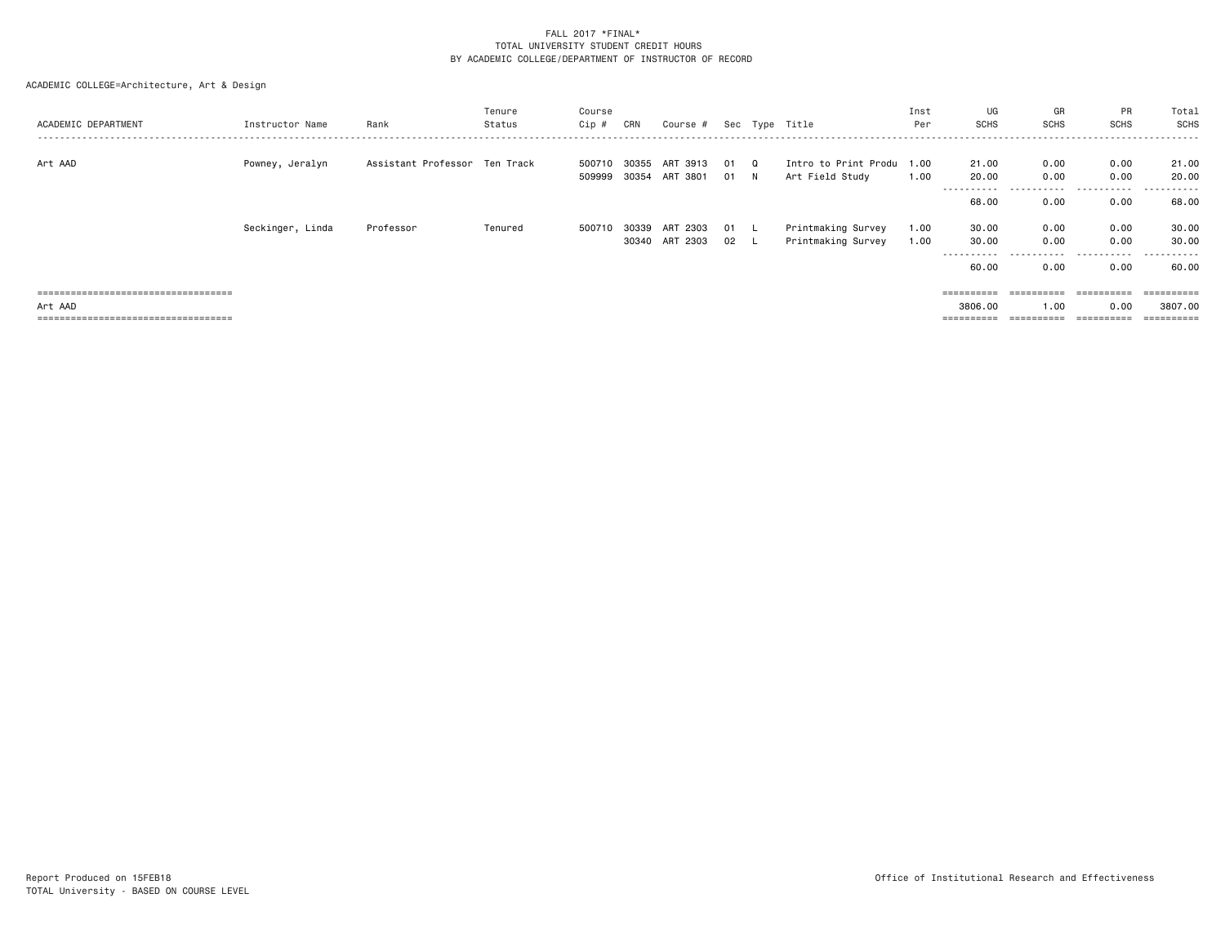| ACADEMIC DEPARTMENT                   | Instructor Name  | Rank                          | Tenure<br>Status | Course<br>Cip # | CRN   | Course #                                       |            |     | Sec Type Title                               | Inst<br>Per  | UG<br><b>SCHS</b>       | GR<br>SCHS            | PR<br>SCHS           | Total<br><b>SCHS</b>         |
|---------------------------------------|------------------|-------------------------------|------------------|-----------------|-------|------------------------------------------------|------------|-----|----------------------------------------------|--------------|-------------------------|-----------------------|----------------------|------------------------------|
| Art AAD                               | Powney, Jeralyn  | Assistant Professor Ten Track |                  |                 |       | 500710 30355 ART 3913<br>509999 30354 ART 3801 | 01<br>01 N | Q   | Intro to Print Produ 1.00<br>Art Field Study | 1.00         | 21.00<br>20.00          | 0.00<br>0.00<br>.     | 0.00<br>0.00<br>.    | 21.00<br>20,00<br>.          |
|                                       |                  |                               |                  |                 |       |                                                |            |     |                                              |              | 68.00                   | 0.00                  | 0.00                 | 68.00                        |
|                                       | Seckinger, Linda | Professor                     | Tenured          | 500710          | 30339 | ART 2303<br>30340 ART 2303                     | 01<br>02   | - L | Printmaking Survey<br>Printmaking Survey     | 1.00<br>1.00 | 30.00<br>30.00<br>60.00 | 0.00<br>0.00<br>0.00  | 0.00<br>0.00<br>0.00 | 30.00<br>30.00<br>.<br>60.00 |
| ====================================  |                  |                               |                  |                 |       |                                                |            |     |                                              |              | ==========              | $=$ = = = = = = = = = | ==========           |                              |
| Art AAD                               |                  |                               |                  |                 |       |                                                |            |     |                                              |              | 3806.00                 | 1.00                  | 0.00                 | 3807.00                      |
| ===================================== |                  |                               |                  |                 |       |                                                |            |     |                                              |              | ==========              | ==========            | ==========           | ========                     |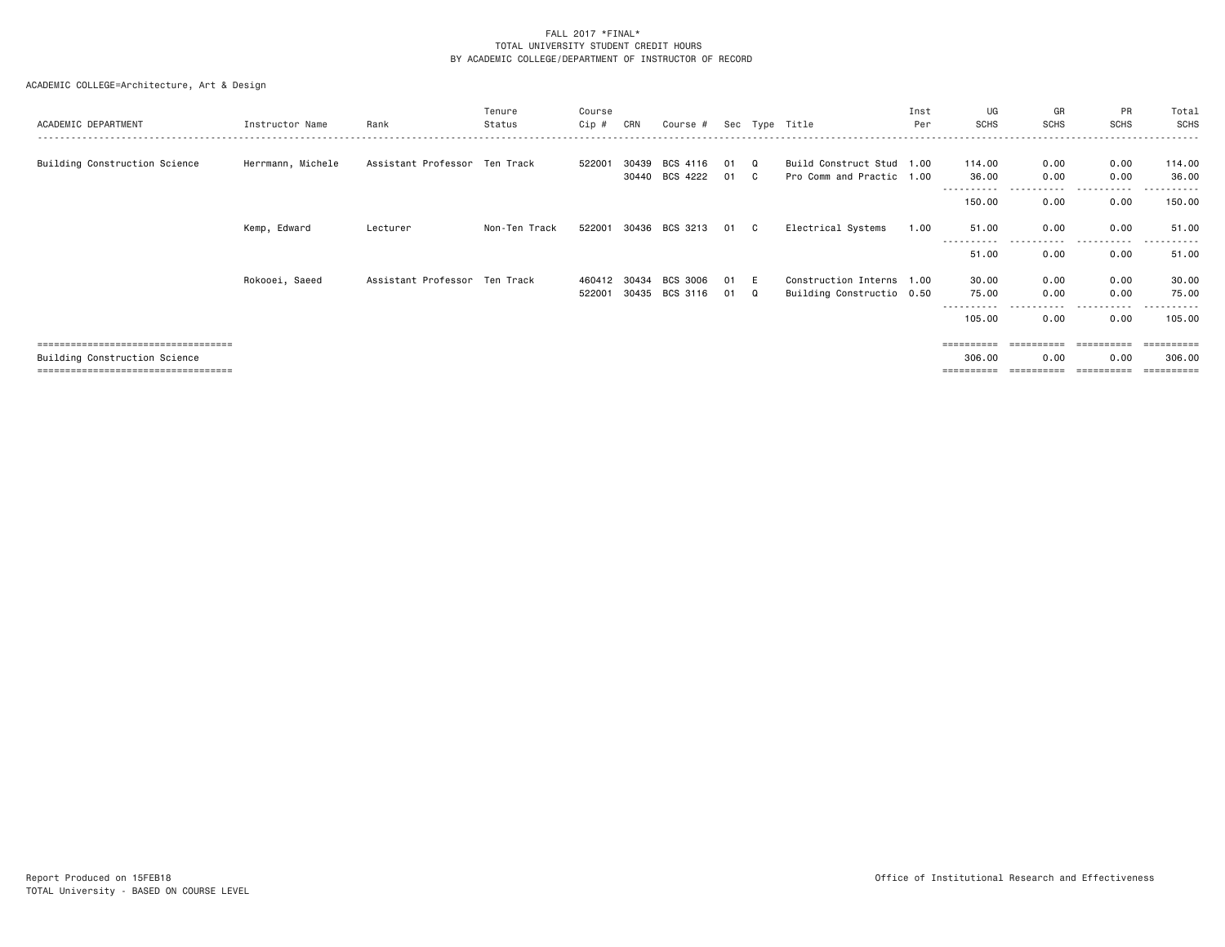| ACADEMIC DEPARTMENT                   | Instructor Name   | Rank                          | Tenure<br>Status | Course<br>Cip # | CRN   | Course #       |      |          | Sec Type Title            | Inst<br>Per | UG<br><b>SCHS</b> | GR<br><b>SCHS</b> | PR<br>SCHS          | Total<br>SCHS                 |
|---------------------------------------|-------------------|-------------------------------|------------------|-----------------|-------|----------------|------|----------|---------------------------|-------------|-------------------|-------------------|---------------------|-------------------------------|
| Building Construction Science         | Herrmann, Michele | Assistant Professor Ten Track |                  | 522001          | 30439 | BCS 4116       | 01 Q |          | Build Construct Stud 1.00 |             | 114.00            | 0.00              | 0.00                | 114.00                        |
|                                       |                   |                               |                  |                 | 30440 | BCS 4222       | 01 C |          | Pro Comm and Practic 1.00 |             | 36.00             | 0.00              | 0.00                | 36.00                         |
|                                       |                   |                               |                  |                 |       |                |      |          |                           |             | 150.00            | 0.00              | ------<br>.<br>0.00 | 150.00                        |
|                                       | Kemp, Edward      | Lecturer                      | Non-Ten Track    | 522001          |       | 30436 BCS 3213 | 01 C |          | Electrical Systems        | 1.00        | 51.00             | 0.00              | 0.00                | 51.00                         |
|                                       |                   |                               |                  |                 |       |                |      |          |                           |             | ------<br>51.00   | $\cdots$<br>0.00  | .<br>0.00           | ------<br>51.00               |
|                                       | Rokooei, Saeed    | Assistant Professor Ten Track |                  | 460412          | 30434 | BCS 3006       | 01   | E        | Construction Interns 1.00 |             | 30.00             | 0.00              | 0.00                | 30.00                         |
|                                       |                   |                               |                  | 522001          | 30435 | BCS 3116       | 01   | $\alpha$ | Building Constructio 0.50 |             | 75.00             | 0.00<br>$\cdots$  | 0.00                | 75.00<br>- - - - - - <b>-</b> |
|                                       |                   |                               |                  |                 |       |                |      |          |                           |             | 105.00            | 0.00              | 0.00                | 105.00                        |
| ===================================== |                   |                               |                  |                 |       |                |      |          |                           |             | ==========        |                   | ==========          | ======                        |
| Building Construction Science         |                   |                               |                  |                 |       |                |      |          |                           |             | 306,00            | 0.00              | 0.00                | 306.00                        |
| ===================================== |                   |                               |                  |                 |       |                |      |          |                           |             | ==========        | ==========        | -----------         |                               |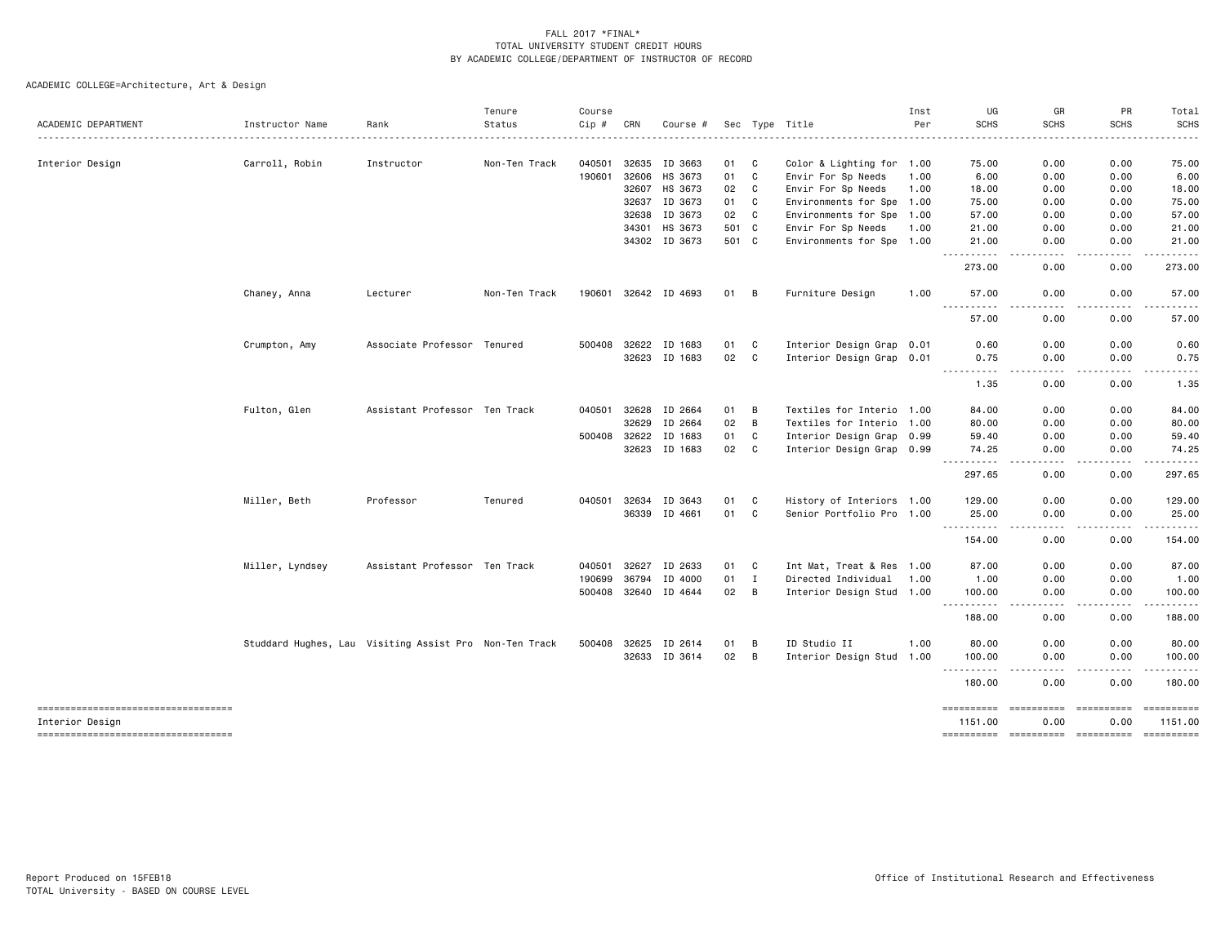|                                                       |                 |                                                        | Tenure        | Course |              |                      |       |                         |                           | Inst | UG                    | GR                    | PR                       | Total       |
|-------------------------------------------------------|-----------------|--------------------------------------------------------|---------------|--------|--------------|----------------------|-------|-------------------------|---------------------------|------|-----------------------|-----------------------|--------------------------|-------------|
| ACADEMIC DEPARTMENT                                   | Instructor Name | Rank                                                   | Status        | Cip #  | CRN          | Course #             |       |                         | Sec Type Title            | Per  | <b>SCHS</b>           | <b>SCHS</b>           | <b>SCHS</b>              | <b>SCHS</b> |
| Interior Design                                       | Carroll, Robin  | Instructor                                             | Non-Ten Track | 040501 | 32635        | ID 3663              | 01    | C                       | Color & Lighting for 1.00 |      | 75.00                 | 0.00                  | 0.00                     | 75.00       |
|                                                       |                 |                                                        |               | 190601 | 32606        | HS 3673              | 01    | C                       | Envir For Sp Needs        | 1.00 | 6.00                  | 0.00                  | 0.00                     | 6.00        |
|                                                       |                 |                                                        |               |        | 32607        | HS 3673              | 02    | C                       | Envir For Sp Needs        | 1.00 | 18.00                 | 0.00                  | 0.00                     | 18.00       |
|                                                       |                 |                                                        |               |        | 32637        | ID 3673              | 01    | C                       | Environments for Spe 1.00 |      | 75.00                 | 0.00                  | 0.00                     | 75.00       |
|                                                       |                 |                                                        |               |        |              | 32638 ID 3673        | 02    | $\overline{\mathbf{C}}$ | Environments for Spe      | 1.00 | 57.00                 | 0.00                  | 0.00                     | 57.00       |
|                                                       |                 |                                                        |               |        | 34301        | HS 3673              | 501 C |                         | Envir For Sp Needs        | 1.00 | 21.00                 | 0.00                  | 0.00                     | 21.00       |
|                                                       |                 |                                                        |               |        |              | 34302 ID 3673        | 501 C |                         | Environments for Spe 1.00 |      | 21.00                 | 0.00                  | 0.00                     | 21.00       |
|                                                       |                 |                                                        |               |        |              |                      |       |                         |                           |      | .<br>273.00           | .<br>0.00             | .<br>0.00                | .<br>273.00 |
|                                                       | Chaney, Anna    | Lecturer                                               | Non-Ten Track |        |              | 190601 32642 ID 4693 | 01    | B                       | Furniture Design          | 1.00 | 57.00<br>----------   | 0.00<br>.             | 0.00<br>.                | 57.00<br>.  |
|                                                       |                 |                                                        |               |        |              |                      |       |                         |                           |      | 57.00                 | 0.00                  | 0.00                     | 57.00       |
|                                                       | Crumpton, Amy   | Associate Professor Tenured                            |               | 500408 | 32622        | ID 1683              | 01    | C                       | Interior Design Grap 0.01 |      | 0.60                  | 0.00                  | 0.00                     | 0.60        |
|                                                       |                 |                                                        |               |        |              | 32623 ID 1683        | 02    | $\mathbf{C}$            | Interior Design Grap 0.01 |      | 0.75<br><u>.</u>      | 0.00                  | 0.00                     | 0.75        |
|                                                       |                 |                                                        |               |        |              |                      |       |                         |                           |      | 1.35                  | 0.00                  | 0.00                     | 1.35        |
|                                                       | Fulton, Glen    | Assistant Professor Ten Track                          |               |        | 040501 32628 | ID 2664              | 01    | B                       | Textiles for Interio 1.00 |      | 84.00                 | 0.00                  | 0.00                     | 84.00       |
|                                                       |                 |                                                        |               |        | 32629        | ID 2664              | 02    | B                       | Textiles for Interio 1.00 |      | 80.00                 | 0.00                  | 0.00                     | 80.00       |
|                                                       |                 |                                                        |               |        | 500408 32622 | ID 1683              | 01    | C                       | Interior Design Grap 0.99 |      | 59.40                 | 0.00                  | 0.00                     | 59.40       |
|                                                       |                 |                                                        |               |        |              | 32623 ID 1683        | 02    | C                       | Interior Design Grap 0.99 |      | 74.25<br>.            | 0.00<br>$\cdots$      | 0.00<br>.                | 74.25<br>.  |
|                                                       |                 |                                                        |               |        |              |                      |       |                         |                           |      | 297.65                | 0.00                  | 0.00                     | 297.65      |
|                                                       | Miller, Beth    | Professor                                              | Tenured       | 040501 | 32634        | ID 3643              | 01    | C                       | History of Interiors 1.00 |      | 129.00                | 0.00                  | 0.00                     | 129.00      |
|                                                       |                 |                                                        |               |        |              | 36339 ID 4661        | 01    | C                       | Senior Portfolio Pro 1.00 |      | 25.00                 | 0.00                  | 0.00                     | 25.00       |
|                                                       |                 |                                                        |               |        |              |                      |       |                         |                           |      | 154.00                | 0.00                  | 0.00                     | 154.00      |
|                                                       | Miller, Lyndsey | Assistant Professor Ten Track                          |               | 040501 | 32627        | ID 2633              | 01    | C                       | Int Mat, Treat & Res 1.00 |      | 87.00                 | 0.00                  | 0.00                     | 87.00       |
|                                                       |                 |                                                        |               | 190699 | 36794        | ID 4000              | 01    | $\mathbf{I}$            | Directed Individual       | 1.00 | 1.00                  | 0.00                  | 0.00                     | 1.00        |
|                                                       |                 |                                                        |               |        |              | 500408 32640 ID 4644 | 02    | B                       | Interior Design Stud 1.00 |      | 100.00<br>.           | 0.00<br>.             | 0.00<br>.                | 100.00      |
|                                                       |                 |                                                        |               |        |              |                      |       |                         |                           |      | 188.00                | 0.00                  | 0.00                     | 188.00      |
|                                                       |                 | Studdard Hughes, Lau Visiting Assist Pro Non-Ten Track |               |        | 500408 32625 | ID 2614              | 01    | B                       | ID Studio II              | 1.00 | 80.00                 | 0.00                  | 0.00                     | 80.00       |
|                                                       |                 |                                                        |               |        |              | 32633 ID 3614        | 02    | B                       | Interior Design Stud      | 1.00 | 100.00<br>----------  | 0.00<br>.             | 0.00<br>$\frac{1}{2}$    | 100.00      |
|                                                       |                 |                                                        |               |        |              |                      |       |                         |                           |      | 180.00                | 0.00                  | 0.00                     | 180.00      |
| ----------------------------------<br>Interior Design |                 |                                                        |               |        |              |                      |       |                         |                           |      | ==========<br>1151.00 | ==========<br>0.00    | <b>ESSESSESS</b><br>0.00 | 1151.00     |
| ----------------------------------                    |                 |                                                        |               |        |              |                      |       |                         |                           |      | ==========            | ----------- --------- |                          | ==========  |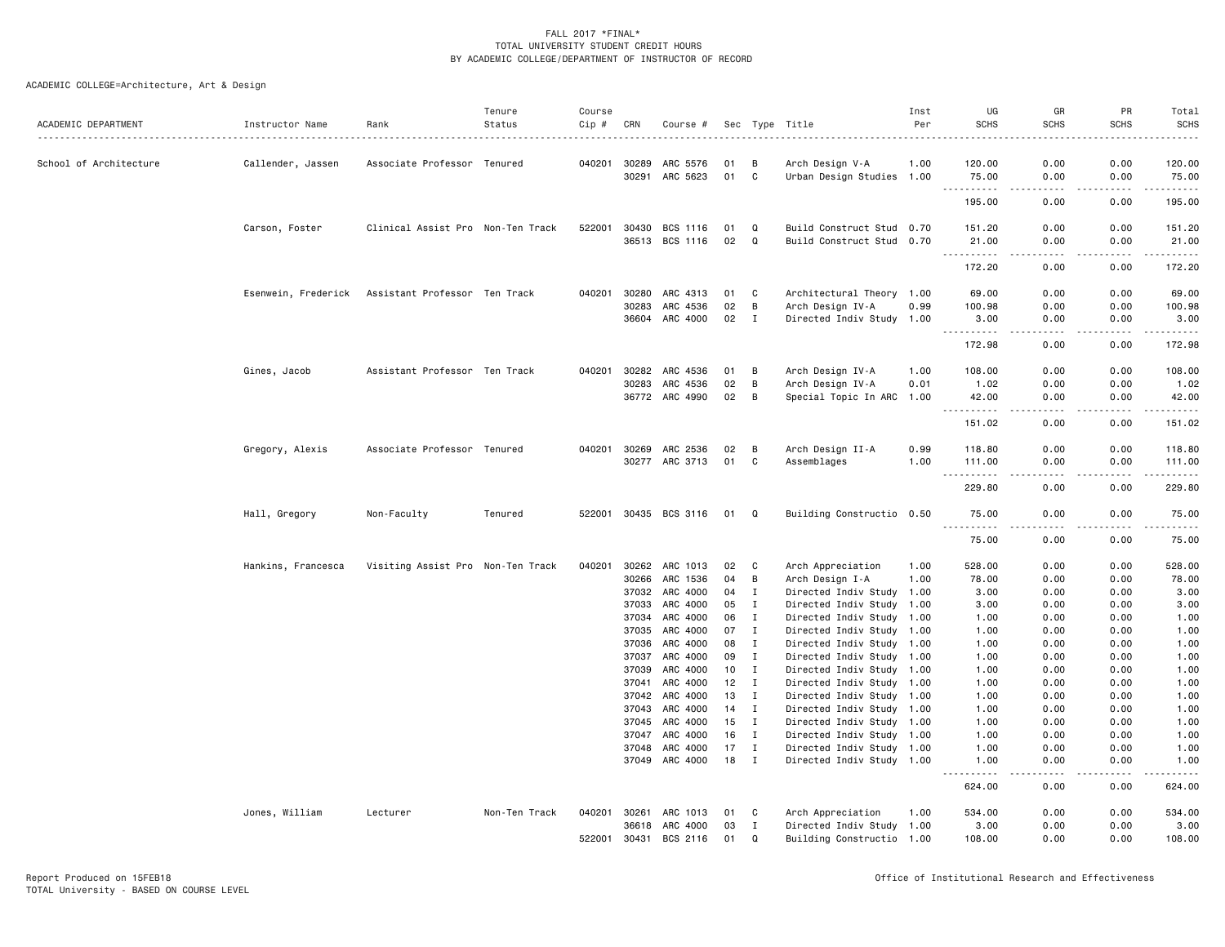| ACADEMIC DEPARTMENT    | Instructor Name     | Rank                              | Tenure<br>Status | Course<br>Cip # | CRN            | Course #              |          |                              | Sec Type Title                                         | Inst<br>Per | UG<br><b>SCHS</b>  | GR<br><b>SCHS</b>    | PR<br><b>SCHS</b> | Total<br><b>SCHS</b> |
|------------------------|---------------------|-----------------------------------|------------------|-----------------|----------------|-----------------------|----------|------------------------------|--------------------------------------------------------|-------------|--------------------|----------------------|-------------------|----------------------|
|                        |                     |                                   |                  |                 |                |                       |          |                              |                                                        |             |                    |                      |                   |                      |
| School of Architecture | Callender, Jassen   | Associate Professor Tenured       |                  | 040201          | 30289<br>30291 | ARC 5576<br>ARC 5623  | 01<br>01 | в<br>C                       | Arch Design V-A<br>Urban Design Studies 1.00           | 1.00        | 120.00<br>75.00    | 0.00<br>0.00         | 0.00<br>0.00      | 120.00<br>75.00      |
|                        |                     |                                   |                  |                 |                |                       |          |                              |                                                        |             | .                  | .                    | .                 | .                    |
|                        |                     |                                   |                  |                 |                |                       |          |                              |                                                        |             | 195.00             | 0.00                 | 0.00              | 195.00               |
|                        | Carson, Foster      | Clinical Assist Pro Non-Ten Track |                  | 522001          | 30430          | BCS 1116              | 01       | Q                            | Build Construct Stud                                   | 0.70        | 151.20             | 0.00                 | 0.00              | 151.20               |
|                        |                     |                                   |                  |                 |                | 36513 BCS 1116        | 02       | Q                            | Build Construct Stud                                   | 0.70        | 21.00              | 0.00                 | 0.00              | 21.00                |
|                        |                     |                                   |                  |                 |                |                       |          |                              |                                                        |             | .<br>172.20        | 0.00                 | 0.00              | 172.20               |
|                        | Esenwein, Frederick | Assistant Professor Ten Track     |                  | 040201          | 30280          | ARC 4313              | 01       | C                            | Architectural Theory 1.00                              |             | 69.00              | 0.00                 | 0.00              | 69.00                |
|                        |                     |                                   |                  |                 | 30283          | ARC 4536              | 02       | B                            | Arch Design IV-A                                       | 0.99        | 100.98             | 0.00                 | 0.00              | 100.98               |
|                        |                     |                                   |                  |                 | 36604          | ARC 4000              | 02       | Ι                            | Directed Indiv Study                                   | 1.00        | 3.00               | 0.00                 | 0.00              | 3.00                 |
|                        |                     |                                   |                  |                 |                |                       |          |                              |                                                        |             | .<br>172.98        | 0.00                 | 0.00              | 172.98               |
|                        | Gines, Jacob        | Assistant Professor Ten Track     |                  | 040201          | 30282          | ARC 4536              | 01       | в                            | Arch Design IV-A                                       | 1.00        | 108.00             | 0.00                 | 0.00              | 108.00               |
|                        |                     |                                   |                  |                 | 30283          | ARC 4536              | 02       | B                            | Arch Design IV-A                                       | 0.01        | 1.02               | 0.00                 | 0.00              | 1.02                 |
|                        |                     |                                   |                  |                 |                | 36772 ARC 4990        | 02       | В                            | Special Topic In ARC 1.00                              |             | 42.00              | 0.00                 | 0.00              | 42.00                |
|                        |                     |                                   |                  |                 |                |                       |          |                              |                                                        |             | <u>.</u><br>151.02 | .<br>0.00            | .<br>0.00         | .<br>151.02          |
|                        | Gregory, Alexis     | Associate Professor Tenured       |                  | 040201          | 30269          | ARC 2536              | 02       | B                            | Arch Design II-A                                       | 0.99        | 118.80             | 0.00                 | 0.00              | 118.80               |
|                        |                     |                                   |                  |                 |                | 30277 ARC 3713        | 01       | C                            | Assemblages                                            | 1.00        | 111.00             | 0.00                 | 0.00              | 111.00               |
|                        |                     |                                   |                  |                 |                |                       |          |                              |                                                        |             | .<br>229.80        | . <u>. .</u><br>0.00 | .<br>0.00         | .<br>229.80          |
|                        | Hall, Gregory       | Non-Faculty                       | Tenured          |                 |                | 522001 30435 BCS 3116 | 01       | Q                            | Building Constructio 0.50                              |             | 75.00              | 0.00                 | 0.00              | 75.00                |
|                        |                     |                                   |                  |                 |                |                       |          |                              |                                                        |             | .<br>75.00         | .<br>0.00            | .<br>0.00         | .<br>75.00           |
|                        | Hankins, Francesca  | Visiting Assist Pro Non-Ten Track |                  | 040201          | 30262          | ARC 1013              | 02       | C                            | Arch Appreciation                                      | 1.00        | 528.00             | 0.00                 | 0.00              | 528.00               |
|                        |                     |                                   |                  |                 | 30266          | ARC 1536              | 04       | В                            | Arch Design I-A                                        | 1.00        | 78.00              | 0.00                 | 0.00              | 78.00                |
|                        |                     |                                   |                  |                 | 37032          | ARC 4000              | 04       | Ι                            | Directed Indiv Study 1.00                              |             | 3.00               | 0.00                 | 0.00              | 3.00                 |
|                        |                     |                                   |                  |                 | 37033          | ARC 4000              | 05       | I                            | Directed Indiv Study 1.00                              |             | 3.00               | 0.00                 | 0.00              | 3.00                 |
|                        |                     |                                   |                  |                 | 37034          | ARC 4000              | 06       | I                            | Directed Indiv Study                                   | 1.00        | 1.00               | 0.00                 | 0.00              | 1.00                 |
|                        |                     |                                   |                  |                 | 37035          | ARC 4000              | 07       | $\mathbf I$                  | Directed Indiv Study 1.00                              |             | 1.00               | 0.00                 | 0.00              | 1.00                 |
|                        |                     |                                   |                  |                 | 37036          | ARC 4000              | 08       | $\mathbf{I}$                 | Directed Indiv Study 1.00                              |             | 1.00               | 0.00                 | 0.00              | 1.00                 |
|                        |                     |                                   |                  |                 | 37037          | ARC 4000              | 09       | $\mathbf I$                  | Directed Indiv Study                                   | 1.00        | 1.00               | 0.00                 | 0.00              | 1.00                 |
|                        |                     |                                   |                  |                 | 37039          | ARC 4000              | 10       | I                            | Directed Indiv Study 1.00                              |             | 1.00<br>1.00       | 0.00                 | 0.00              | 1.00                 |
|                        |                     |                                   |                  |                 | 37041          | ARC 4000              | $12$ I   |                              | Directed Indiv Study 1.00                              |             |                    | 0.00                 | 0.00              | 1.00                 |
|                        |                     |                                   |                  |                 | 37042<br>37043 | ARC 4000<br>ARC 4000  | 13<br>14 | $\mathbf{I}$<br>I            | Directed Indiv Study 1.00<br>Directed Indiv Study 1.00 |             | 1.00<br>1.00       | 0.00<br>0.00         | 0.00<br>0.00      | 1.00<br>1.00         |
|                        |                     |                                   |                  |                 |                |                       |          |                              |                                                        |             |                    |                      |                   |                      |
|                        |                     |                                   |                  |                 | 37045<br>37047 | ARC 4000<br>ARC 4000  | 15<br>16 | $\mathbf{I}$<br>$\mathbf{I}$ | Directed Indiv Study 1.00<br>Directed Indiv Study 1.00 |             | 1.00<br>1.00       | 0.00<br>0.00         | 0.00<br>0.00      | 1.00<br>1.00         |
|                        |                     |                                   |                  |                 | 37048          | ARC 4000              | 17       | $\mathbf{I}$                 |                                                        |             | 1.00               |                      |                   | 1.00                 |
|                        |                     |                                   |                  |                 |                | 37049 ARC 4000        | 18 I     |                              | Directed Indiv Study 1.00<br>Directed Indiv Study 1.00 |             | 1.00               | 0.00<br>0.00         | 0.00<br>0.00      | 1.00                 |
|                        |                     |                                   |                  |                 |                |                       |          |                              |                                                        |             | .<br>624.00        | 0.00                 | 0.00              | 624.00               |
|                        | Jones, William      | Lecturer                          | Non-Ten Track    | 040201          |                | 30261 ARC 1013        | 01       | C                            | Arch Appreciation                                      | 1.00        | 534.00             | 0.00                 | 0.00              | 534.00               |
|                        |                     |                                   |                  |                 | 36618          | ARC 4000              | 03       | I                            | Directed Indiv Study 1.00                              |             | 3.00               | 0.00                 | 0.00              | 3.00                 |
|                        |                     |                                   |                  | 522001          | 30431          | BCS 2116              | 01       | Q                            | Building Constructio 1.00                              |             | 108.00             | 0.00                 | 0.00              | 108.00               |
|                        |                     |                                   |                  |                 |                |                       |          |                              |                                                        |             |                    |                      |                   |                      |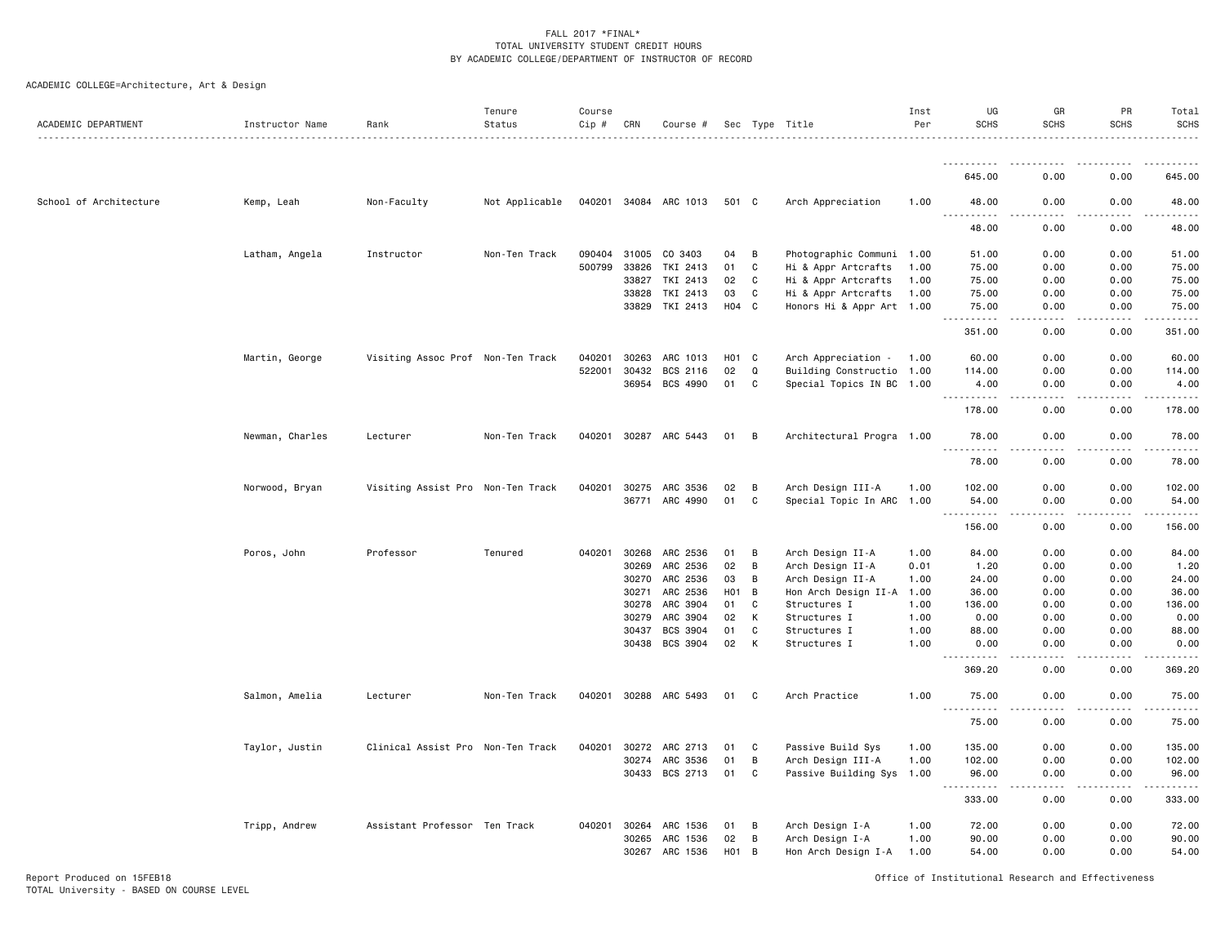| ACADEMIC DEPARTMENT    | Instructor Name | Rank                              | Tenure<br>Status | Course<br>$Cip$ # | CRN          | Course #              |       |   | Sec Type Title            | Inst<br>Per | UG<br><b>SCHS</b>                 | GR<br><b>SCHS</b> | PR<br><b>SCHS</b>     | Total<br><b>SCHS</b> |
|------------------------|-----------------|-----------------------------------|------------------|-------------------|--------------|-----------------------|-------|---|---------------------------|-------------|-----------------------------------|-------------------|-----------------------|----------------------|
|                        |                 |                                   |                  |                   |              |                       |       |   |                           |             |                                   |                   |                       |                      |
|                        |                 |                                   |                  |                   |              |                       |       |   |                           |             | 645.00                            | 0.00              | 0.00                  | 645.00               |
| School of Architecture | Kemp, Leah      | Non-Faculty                       | Not Applicable   |                   |              | 040201 34084 ARC 1013 | 501 C |   | Arch Appreciation         | 1.00        | 48.00<br>.                        | 0.00              | 0.00                  | 48.00                |
|                        |                 |                                   |                  |                   |              |                       |       |   |                           |             | 48.00                             | 0.00              | 0.00                  | 48.00                |
|                        | Latham, Angela  | Instructor                        | Non-Ten Track    |                   | 090404 31005 | CO 3403               | 04    | B | Photographic Communi 1.00 |             | 51.00                             | 0.00              | 0.00                  | 51.00                |
|                        |                 |                                   |                  | 500799            | 33826        | TKI 2413              | 01    | C | Hi & Appr Artcrafts       | 1.00        | 75.00                             | 0.00              | 0.00                  | 75.00                |
|                        |                 |                                   |                  |                   | 33827        | TKI 2413              | 02    | C | Hi & Appr Artcrafts       | 1.00        | 75.00                             | 0.00              | 0.00                  | 75.00                |
|                        |                 |                                   |                  |                   | 33828        | TKI 2413              | 03    | C | Hi & Appr Artcrafts       | 1.00        | 75.00                             | 0.00              | 0.00                  | 75.00                |
|                        |                 |                                   |                  |                   | 33829        | TKI 2413              | H04 C |   | Honors Hi & Appr Art 1.00 |             | 75.00<br>.                        | 0.00              | 0.00                  | 75.00<br>.           |
|                        |                 |                                   |                  |                   |              |                       |       |   |                           |             | 351.00                            | 0.00              | 0.00                  | 351.00               |
|                        | Martin, George  | Visiting Assoc Prof Non-Ten Track |                  | 040201            | 30263        | ARC 1013              | H01 C |   | Arch Appreciation -       | 1.00        | 60.00                             | 0.00              | 0.00                  | 60.00                |
|                        |                 |                                   |                  | 522001            | 30432        | BCS 2116              | 02    | Q | Building Constructio 1.00 |             | 114.00                            | 0.00              | 0.00                  | 114.00               |
|                        |                 |                                   |                  |                   | 36954        | BCS 4990              | 01    | C | Special Topics IN BC 1.00 |             | 4.00<br>.                         | 0.00              | 0.00                  | 4.00                 |
|                        |                 |                                   |                  |                   |              |                       |       |   |                           |             | 178.00                            | 0.00              | 0.00                  | 178.00               |
|                        | Newman, Charles | Lecturer                          | Non-Ten Track    |                   |              | 040201 30287 ARC 5443 | 01    | B | Architectural Progra 1.00 |             | 78.00<br>.                        | 0.00              | 0.00                  | 78.00                |
|                        |                 |                                   |                  |                   |              |                       |       |   |                           |             | 78.00                             | 0.00              | 0.00                  | 78.00                |
|                        | Norwood, Bryan  | Visiting Assist Pro Non-Ten Track |                  |                   | 040201 30275 | ARC 3536              | 02    | B | Arch Design III-A         | 1.00        | 102.00                            | 0.00              | 0.00                  | 102.00               |
|                        |                 |                                   |                  |                   | 36771        | ARC 4990              | 01    | C | Special Topic In ARC 1.00 |             | 54.00<br>.                        | 0.00<br>.         | 0.00<br>$\frac{1}{2}$ | 54.00                |
|                        |                 |                                   |                  |                   |              |                       |       |   |                           |             | 156.00                            | 0.00              | 0.00                  | 156.00               |
|                        | Poros, John     | Professor                         | Tenured          | 040201            | 30268        | ARC 2536              | 01    | B | Arch Design II-A          | 1.00        | 84.00                             | 0.00              | 0.00                  | 84.00                |
|                        |                 |                                   |                  |                   | 30269        | ARC 2536              | 02    | B | Arch Design II-A          | 0.01        | 1.20                              | 0.00              | 0.00                  | 1.20                 |
|                        |                 |                                   |                  |                   | 30270        | ARC 2536              | 03    | B | Arch Design II-A          | 1.00        | 24.00                             | 0.00              | 0.00                  | 24.00                |
|                        |                 |                                   |                  |                   | 30271        | ARC 2536              | H01   | B | Hon Arch Design II-A      | 1.00        | 36.00                             | 0.00              | 0.00                  | 36.00                |
|                        |                 |                                   |                  |                   | 30278        | ARC 3904              | 01    | C | Structures I              | 1.00        | 136.00                            | 0.00              | 0.00                  | 136.00               |
|                        |                 |                                   |                  |                   | 30279        | ARC 3904              | 02    | К | Structures I              | 1.00        | 0.00                              | 0.00              | 0.00                  | 0.00                 |
|                        |                 |                                   |                  |                   | 30437        | BCS 3904              | 01    | C | Structures I              | 1.00        | 88.00                             | 0.00              | 0.00                  | 88.00                |
|                        |                 |                                   |                  |                   | 30438        | BCS 3904              | 02    | К | Structures I              | 1.00        | 0.00<br>$\sim$ $\sim$ $\sim$<br>. | 0.00              | 0.00                  | 0.00                 |
|                        |                 |                                   |                  |                   |              |                       |       |   |                           |             | 369.20                            | 0.00              | 0.00                  | 369.20               |
|                        | Salmon, Amelia  | Lecturer                          | Non-Ten Track    |                   |              | 040201 30288 ARC 5493 | 01    | C | Arch Practice             | 1.00        | 75.00<br>.                        | 0.00              | 0.00                  | 75.00                |
|                        |                 |                                   |                  |                   |              |                       |       |   |                           |             | 75.00                             | 0.00              | 0.00                  | 75.00                |
|                        | Taylor, Justin  | Clinical Assist Pro Non-Ten Track |                  |                   |              | 040201 30272 ARC 2713 | 01    | C | Passive Build Sys         | 1.00        | 135.00                            | 0.00              | 0.00                  | 135.00               |
|                        |                 |                                   |                  |                   | 30274        | ARC 3536              | 01    | B | Arch Design III-A         | 1.00        | 102.00                            | 0.00              | 0.00                  | 102.00               |
|                        |                 |                                   |                  |                   |              | 30433 BCS 2713        | 01    | C | Passive Building Sys      | 1.00        | 96.00                             | 0.00<br>.         | 0.00                  | 96.00<br>.           |
|                        |                 |                                   |                  |                   |              |                       |       |   |                           |             | 333.00                            | 0.00              | 0.00                  | 333.00               |
|                        | Tripp, Andrew   | Assistant Professor Ten Track     |                  |                   | 040201 30264 | ARC 1536              | 01    | B | Arch Design I-A           | 1.00        | 72.00                             | 0.00              | 0.00                  | 72.00                |
|                        |                 |                                   |                  |                   | 30265        | ARC 1536              | 02    | B | Arch Design I-A           | 1.00        | 90.00                             | 0.00              | 0.00                  | 90.00                |
|                        |                 |                                   |                  |                   | 30267        | ARC 1536              | H01   | B | Hon Arch Design I-A       | 1.00        | 54.00                             | 0.00              | 0.00                  | 54.00                |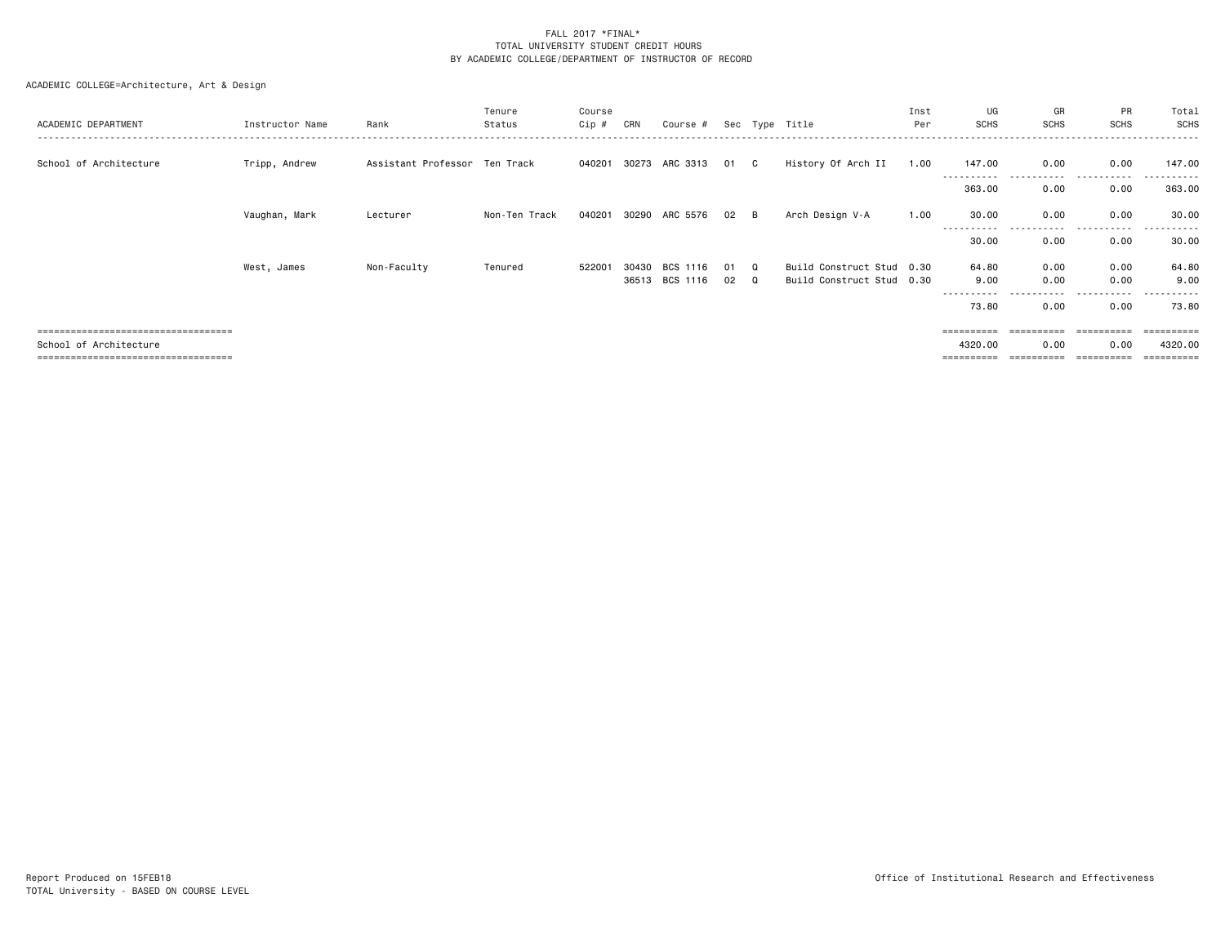| ACADEMIC DEPARTMENT                  | Instructor Name | Rank                          | Tenure<br>Status | Course<br>Cip # | CRN   | Course #       |    |     | Sec Type Title            | Inst<br>Per | UG<br><b>SCHS</b>   | GR<br><b>SCHS</b>   | PR<br><b>SCHS</b> | Total<br><b>SCHS</b>  |
|--------------------------------------|-----------------|-------------------------------|------------------|-----------------|-------|----------------|----|-----|---------------------------|-------------|---------------------|---------------------|-------------------|-----------------------|
| School of Architecture               | Tripp, Andrew   | Assistant Professor Ten Track |                  | 040201          |       | 30273 ARC 3313 | 01 | C . | History Of Arch II        | 1.00        | 147.00              | 0.00                | 0.00<br>.         | 147,00                |
|                                      |                 |                               |                  |                 |       |                |    |     |                           |             | 363.00              | 0.00                | 0.00              | 363.00                |
|                                      | Vaughan, Mark   | Lecturer                      | Non-Ten Track    | 040201          | 30290 | ARC 5576       | 02 | B   | Arch Design V-A           | 1.00        | 30.00               | 0.00<br>----------- | 0.00              | 30.00<br>.            |
|                                      |                 |                               |                  |                 |       |                |    |     |                           |             | .<br>30.00          | 0.00                | .<br>0.00         | 30.00                 |
|                                      | West, James     | Non-Faculty                   | Tenured          | 522001          | 30430 | BCS 1116       | 01 | Q   | Build Construct Stud 0.30 |             | 64.80               | 0.00                | 0.00              | 64.80                 |
|                                      |                 |                               |                  |                 |       | 36513 BCS 1116 | 02 | Q   | Build Construct Stud      | 0.30        | 9.00<br>----------- | 0.00<br>. <b>.</b>  | 0.00<br>.         | 9.00<br>----------    |
|                                      |                 |                               |                  |                 |       |                |    |     |                           |             | 73.80               | 0.00                | 0.00              | 73.80                 |
| ==================================== |                 |                               |                  |                 |       |                |    |     |                           |             | ==========          | ==========          |                   | $=$ = = = = = = = = = |
| School of Architecture               |                 |                               |                  |                 |       |                |    |     |                           |             | 4320,00             | 0.00                | 0.00              | 4320.00               |
| ==================================== |                 |                               |                  |                 |       |                |    |     |                           |             | ==========          | ==========          | -----------       | :=======              |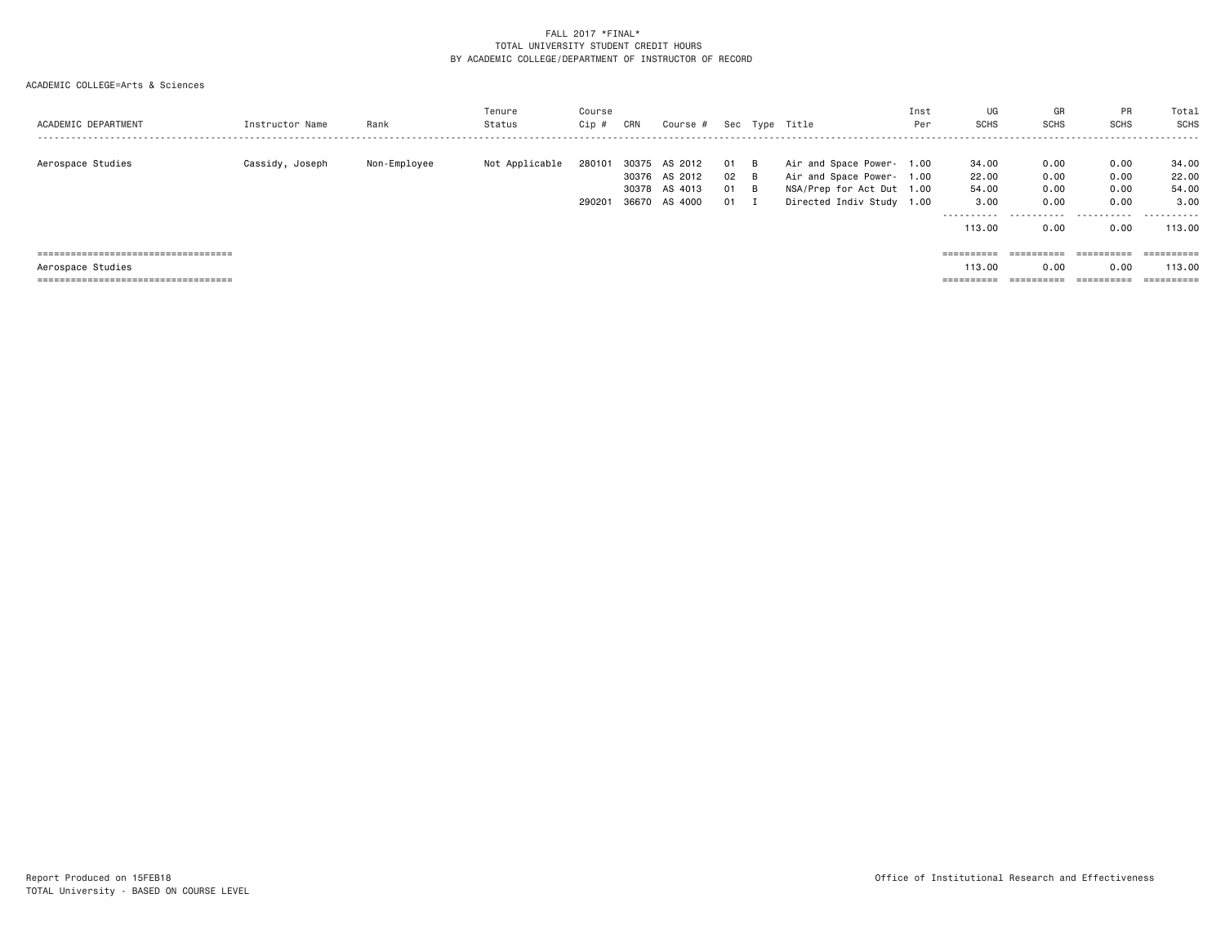| ACADEMIC DEPARTMENT                   | Instructor Name | Rank         | Tenure<br>Status | Course<br>$Cip$ # | CRN   | Course # |      |   | Sec Type Title            | Inst<br>Per | UG<br><b>SCHS</b>    | GR<br><b>SCHS</b>     | PR<br>SCHS | Total<br>SCHS     |
|---------------------------------------|-----------------|--------------|------------------|-------------------|-------|----------|------|---|---------------------------|-------------|----------------------|-----------------------|------------|-------------------|
| Aerospace Studies                     | Cassidy, Joseph | Non-Employee | Not Applicable   | 280101            | 30375 | AS 2012  | 01 B |   | Air and Space Power- 1.00 |             | 34.00                | 0.00                  | 0.00       | 34.00             |
|                                       |                 |              |                  |                   | 30376 | AS 2012  | 02   | B | Air and Space Power- 1.00 |             | 22.00                | 0.00                  | 0.00       | 22.00             |
|                                       |                 |              |                  |                   | 30378 | AS 4013  | 01   | B | NSA/Prep for Act Dut 1.00 |             | 54.00                | 0.00                  | 0.00       | 54.00             |
|                                       |                 |              |                  | 290201            | 36670 | AS 4000  | 01   |   | Directed Indiv Study 1.00 |             | 3,00                 | 0.00                  | 0.00       | 3,00              |
|                                       |                 |              |                  |                   |       |          |      |   |                           |             | ----------<br>113.00 | .<br>0.00             | .<br>0.00  | -------<br>113,00 |
| ===================================== |                 |              |                  |                   |       |          |      |   |                           |             | ==========           | $=$ = = = = = = = = = | ========== | ==========        |
| Aerospace Studies                     |                 |              |                  |                   |       |          |      |   |                           |             | 113.00               | 0.00                  | 0.00       | 113,00            |
| ===================================== |                 |              |                  |                   |       |          |      |   |                           |             |                      | $=$ = = = = = = = = = | ========== |                   |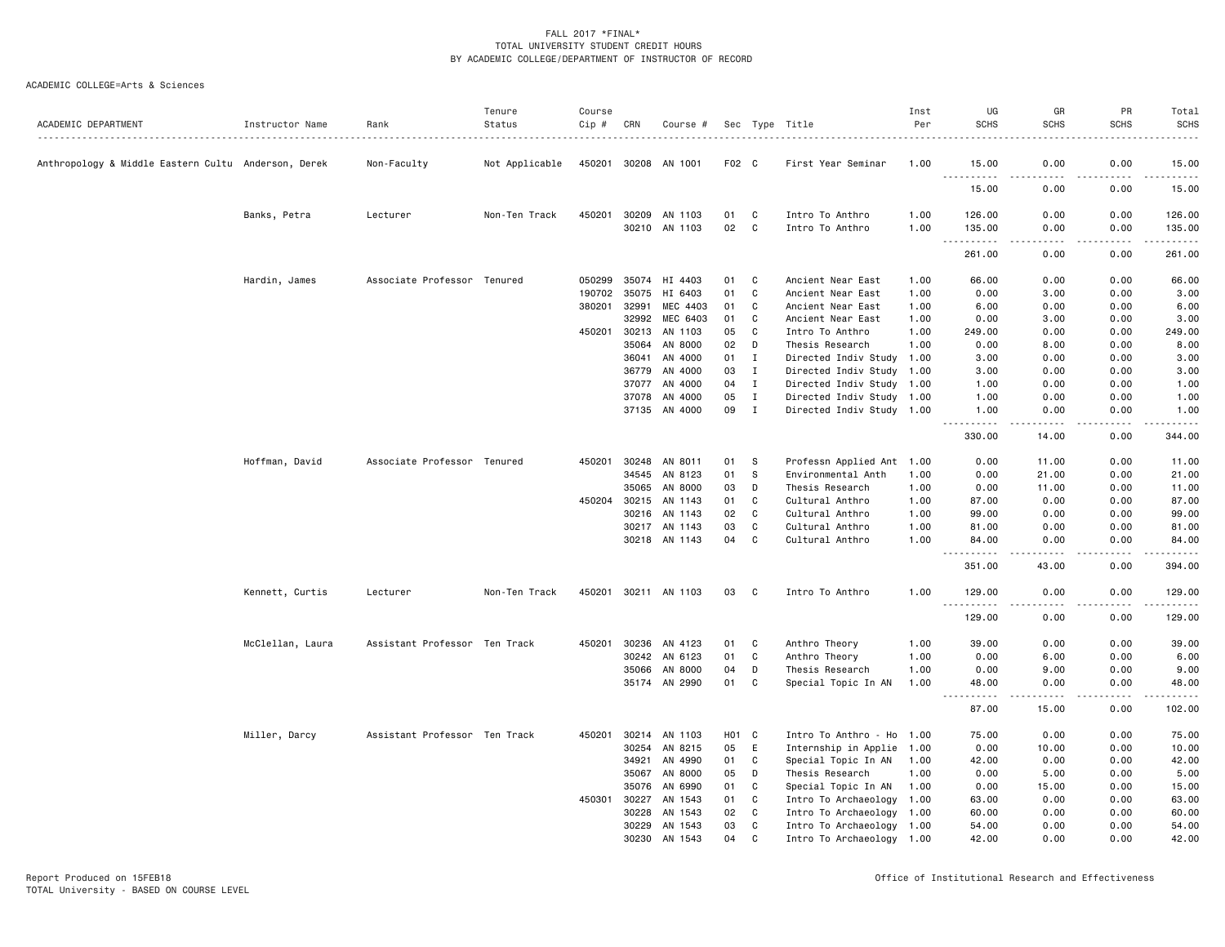| ACADEMIC DEPARTMENT                                 | Instructor Name  | Rank                          | Tenure<br>Status | Course<br>Cip # | CRN            | Course #                 |          |              | Sec Type Title                     | Inst<br>Per  | UG<br><b>SCHS</b>                    | GR<br><b>SCHS</b> | PR<br><b>SCHS</b> | Total<br><b>SCHS</b>                                                                                                                                                                    |
|-----------------------------------------------------|------------------|-------------------------------|------------------|-----------------|----------------|--------------------------|----------|--------------|------------------------------------|--------------|--------------------------------------|-------------------|-------------------|-----------------------------------------------------------------------------------------------------------------------------------------------------------------------------------------|
| Anthropology & Middle Eastern Cultu Anderson, Derek |                  | Non-Faculty                   | Not Applicable   |                 |                | 450201 30208 AN 1001     | F02 C    |              | First Year Seminar                 | 1.00         | 15.00<br>$- - - - -$                 | 0.00              | 0.00              | 15.00                                                                                                                                                                                   |
|                                                     |                  |                               |                  |                 |                |                          |          |              |                                    |              | $\sim$ $\sim$ $\sim$ $\sim$<br>15.00 | - - - -<br>0.00   | 0.00              | $\frac{1}{2}$<br>15.00                                                                                                                                                                  |
|                                                     | Banks, Petra     | Lecturer                      | Non-Ten Track    | 450201          | 30209<br>30210 | AN 1103<br>AN 1103       | 01<br>02 | C<br>C       | Intro To Anthro<br>Intro To Anthro | 1.00<br>1.00 | 126.00<br>135.00                     | 0.00<br>0.00      | 0.00<br>0.00      | 126.00<br>135.00                                                                                                                                                                        |
|                                                     |                  |                               |                  |                 |                |                          |          |              |                                    |              | 261.00                               | .<br>0.00         | 0.00              | .<br>261.00                                                                                                                                                                             |
|                                                     | Hardin, James    | Associate Professor Tenured   |                  | 050299          | 35074          | HI 4403                  | 01       | C            | Ancient Near East                  | 1.00         | 66.00                                | 0.00              | 0.00              | 66.00                                                                                                                                                                                   |
|                                                     |                  |                               |                  | 190702          | 35075          | HI 6403                  | 01       | C            | Ancient Near East                  | 1.00         | 0.00                                 | 3.00              | 0.00              | 3.00                                                                                                                                                                                    |
|                                                     |                  |                               |                  | 380201          | 32991          | MEC 4403                 | 01       | C            | Ancient Near East                  | 1.00         | 6.00                                 | 0.00              | 0.00              | 6.00                                                                                                                                                                                    |
|                                                     |                  |                               |                  |                 | 32992          | MEC 6403                 | 01       | C            | Ancient Near East                  | 1.00         | 0.00                                 | 3.00              | 0.00              | 3.00                                                                                                                                                                                    |
|                                                     |                  |                               |                  | 450201          | 30213          | AN 1103                  | 05       | C            | Intro To Anthro                    | 1.00         | 249.00                               | 0.00              | 0.00              | 249.00                                                                                                                                                                                  |
|                                                     |                  |                               |                  |                 | 35064          | AN 8000                  | 02       | D            | Thesis Research                    | 1.00         | 0.00                                 | 8.00              | 0.00              | 8.00                                                                                                                                                                                    |
|                                                     |                  |                               |                  |                 | 36041          | AN 4000                  | 01       | $\mathbf{I}$ | Directed Indiv Study               | 1.00         | 3.00                                 | 0.00              | 0.00              | 3.00                                                                                                                                                                                    |
|                                                     |                  |                               |                  |                 | 36779          | AN 4000                  | 03       | $\mathbf I$  | Directed Indiv Study 1.00          |              | 3.00                                 | 0.00              | 0.00              | 3.00                                                                                                                                                                                    |
|                                                     |                  |                               |                  |                 | 37077          | AN 4000                  | 04       | $\mathbf{I}$ | Directed Indiv Study 1.00          |              | 1.00                                 | 0.00              | 0.00              | 1.00                                                                                                                                                                                    |
|                                                     |                  |                               |                  |                 | 37078          | AN 4000                  | 05       | $\mathbf{I}$ | Directed Indiv Study 1.00          |              | 1.00                                 | 0.00              | 0.00              | 1.00                                                                                                                                                                                    |
|                                                     |                  |                               |                  |                 |                | 37135 AN 4000            | 09       | $\mathbf{I}$ | Directed Indiv Study 1.00          |              | 1.00<br>.                            | 0.00<br>.         | 0.00<br>2.2.2.2.2 | 1.00<br>$\frac{1}{2} \left( \frac{1}{2} \right) \left( \frac{1}{2} \right) \left( \frac{1}{2} \right) \left( \frac{1}{2} \right) \left( \frac{1}{2} \right) \left( \frac{1}{2} \right)$ |
|                                                     |                  |                               |                  |                 |                |                          |          |              |                                    |              | 330.00                               | 14.00             | 0.00              | 344.00                                                                                                                                                                                  |
|                                                     | Hoffman, David   | Associate Professor Tenured   |                  | 450201          | 30248          | AN 8011                  | 01       | S            | Professn Applied Ant 1.00          |              | 0.00                                 | 11.00             | 0.00              | 11.00                                                                                                                                                                                   |
|                                                     |                  |                               |                  |                 | 34545          | AN 8123                  | 01       | s            | Environmental Anth                 | 1.00         | 0.00                                 | 21.00             | 0.00              | 21.00                                                                                                                                                                                   |
|                                                     |                  |                               |                  |                 | 35065          | AN 8000                  | 03       | D            | Thesis Research                    | 1.00         | 0.00                                 | 11.00             | 0.00              | 11.00                                                                                                                                                                                   |
|                                                     |                  |                               |                  | 450204          |                | 30215 AN 1143            | 01       | C            | Cultural Anthro                    | 1.00         | 87.00                                | 0.00              | 0.00              | 87.00                                                                                                                                                                                   |
|                                                     |                  |                               |                  |                 | 30217          | 30216 AN 1143<br>AN 1143 | 02<br>03 | C<br>C       | Cultural Anthro<br>Cultural Anthro | 1.00         | 99.00                                | 0.00<br>0.00      | 0.00<br>0.00      | 99.00<br>81.00                                                                                                                                                                          |
|                                                     |                  |                               |                  |                 |                | 30218 AN 1143            | 04       | C            | Cultural Anthro                    | 1.00<br>1.00 | 81.00<br>84.00                       | 0.00              | 0.00              | 84.00                                                                                                                                                                                   |
|                                                     |                  |                               |                  |                 |                |                          |          |              |                                    |              |                                      |                   |                   | .                                                                                                                                                                                       |
|                                                     |                  |                               |                  |                 |                |                          |          |              |                                    |              | 351.00                               | 43.00             | 0.00              | 394.00                                                                                                                                                                                  |
|                                                     | Kennett, Curtis  | Lecturer                      | Non-Ten Track    | 450201          |                | 30211 AN 1103            | 03       | C            | Intro To Anthro                    | 1.00         | 129.00                               | 0.00              | 0.00              | 129.00                                                                                                                                                                                  |
|                                                     |                  |                               |                  |                 |                |                          |          |              |                                    |              | 129.00                               | 0.00              | 0.00              | 129.00                                                                                                                                                                                  |
|                                                     | McClellan, Laura | Assistant Professor Ten Track |                  | 450201          | 30236          | AN 4123                  | 01       | C            | Anthro Theory                      | 1.00         | 39.00                                | 0.00              | 0.00              | 39.00                                                                                                                                                                                   |
|                                                     |                  |                               |                  |                 | 30242          | AN 6123                  | 01       | C            | Anthro Theory                      | 1.00         | 0.00                                 | 6.00              | 0.00              | 6.00                                                                                                                                                                                    |
|                                                     |                  |                               |                  |                 | 35066          | AN 8000                  | 04       | D            | Thesis Research                    | 1.00         | 0.00                                 | 9.00              | 0.00              | 9.00                                                                                                                                                                                    |
|                                                     |                  |                               |                  |                 |                | 35174 AN 2990            | 01       | C            | Special Topic In AN                | 1.00         | 48.00<br>.<br>$\sim$ $\sim$ $\sim$   | 0.00<br>.         | 0.00<br><u>.</u>  | 48.00<br><u>.</u>                                                                                                                                                                       |
|                                                     |                  |                               |                  |                 |                |                          |          |              |                                    |              | 87.00                                | 15.00             | 0.00              | 102.00                                                                                                                                                                                  |
|                                                     | Miller, Darcy    | Assistant Professor Ten Track |                  | 450201          |                | 30214 AN 1103            | H01      | $\mathbf{C}$ | Intro To Anthro - Ho 1.00          |              | 75.00                                | 0.00              | 0.00              | 75.00                                                                                                                                                                                   |
|                                                     |                  |                               |                  |                 | 30254          | AN 8215                  | 05       | E            | Internship in Applie 1.00          |              | 0.00                                 | 10.00             | 0.00              | 10.00                                                                                                                                                                                   |
|                                                     |                  |                               |                  |                 | 34921          | AN 4990                  | 01       | C            | Special Topic In AN                | 1.00         | 42.00                                | 0.00              | 0.00              | 42.00                                                                                                                                                                                   |
|                                                     |                  |                               |                  |                 | 35067          | AN 8000                  | 05       | D            | Thesis Research                    | 1.00         | 0.00                                 | 5.00              | 0.00              | 5.00                                                                                                                                                                                    |
|                                                     |                  |                               |                  |                 | 35076          | AN 6990                  | 01       | C            | Special Topic In AN                | 1.00         | 0.00                                 | 15.00             | 0.00              | 15.00                                                                                                                                                                                   |
|                                                     |                  |                               |                  | 450301          | 30227          | AN 1543                  | 01       | C            | Intro To Archaeology 1.00          |              | 63.00                                | 0.00              | 0.00              | 63.00                                                                                                                                                                                   |
|                                                     |                  |                               |                  |                 | 30228          | AN 1543                  | 02       | C            | Intro To Archaeology 1.00          |              | 60.00                                | 0.00              | 0.00              | 60.00                                                                                                                                                                                   |
|                                                     |                  |                               |                  |                 | 30229          | AN 1543                  | 03       | C            | Intro To Archaeology 1.00          |              | 54.00                                | 0.00              | 0.00              | 54.00                                                                                                                                                                                   |
|                                                     |                  |                               |                  |                 | 30230          | AN 1543                  | 04       | $\mathbf{C}$ | Intro To Archaeology 1.00          |              | 42.00                                | 0.00              | 0.00              | 42.00                                                                                                                                                                                   |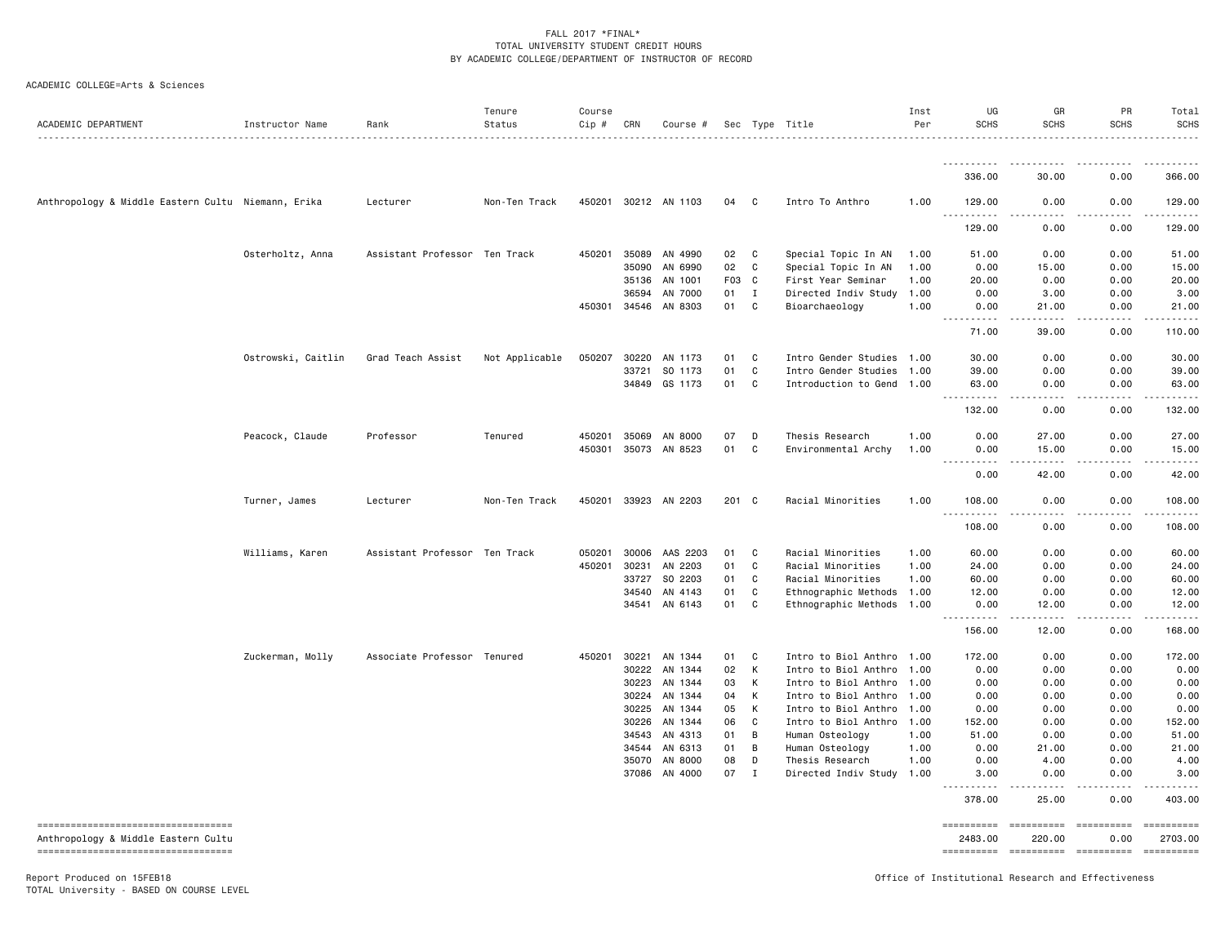ACADEMIC COLLEGE=Arts & Sciences

| ACADEMIC DEPARTMENT                                                       | Instructor Name    | Rank                          | Tenure<br>Status | Course<br>Cip # | CRN            | Course #             |          |                   | Sec Type Title                          | Inst<br>Per  | UG<br><b>SCHS</b>            | GR<br><b>SCHS</b>    | PR<br><b>SCHS</b>  | Total<br>SCHS                                                                                                                     |
|---------------------------------------------------------------------------|--------------------|-------------------------------|------------------|-----------------|----------------|----------------------|----------|-------------------|-----------------------------------------|--------------|------------------------------|----------------------|--------------------|-----------------------------------------------------------------------------------------------------------------------------------|
|                                                                           |                    |                               |                  |                 |                |                      |          |                   |                                         |              | ----------                   |                      |                    |                                                                                                                                   |
|                                                                           |                    |                               |                  |                 |                |                      |          |                   |                                         |              | 336.00                       | 30.00                | 0.00               | 366.00                                                                                                                            |
| Anthropology & Middle Eastern Cultu Niemann, Erika                        |                    | Lecturer                      | Non-Ten Track    |                 |                | 450201 30212 AN 1103 | 04       | $\mathbf{C}$      | Intro To Anthro                         | 1.00         | 129.00<br>$\sim$ $\sim$<br>. | 0.00                 | 0.00               | 129.00                                                                                                                            |
|                                                                           |                    |                               |                  |                 |                |                      |          |                   |                                         |              | 129.00                       | 0.00                 | 0.00               | 129.00                                                                                                                            |
|                                                                           | Osterholtz, Anna   | Assistant Professor Ten Track |                  | 450201          | 35089          | AN 4990              | 02       | C                 | Special Topic In AN                     | 1.00         | 51.00                        | 0.00                 | 0.00               | 51.00                                                                                                                             |
|                                                                           |                    |                               |                  |                 | 35090          | AN 6990              | 02       | C                 | Special Topic In AN                     | 1.00         | 0.00                         | 15.00                | 0.00               | 15.00                                                                                                                             |
|                                                                           |                    |                               |                  |                 | 35136          | AN 1001              | F03 C    |                   | First Year Seminar                      | 1.00         | 20.00                        | 0.00                 | 0.00               | 20.00                                                                                                                             |
|                                                                           |                    |                               |                  |                 | 36594          | AN 7000              | 01       | $\mathbf{I}$      | Directed Indiv Study                    | 1.00         | 0.00                         | 3.00                 | 0.00               | 3.00                                                                                                                              |
|                                                                           |                    |                               |                  | 450301          | 34546          | AN 8303              | 01       | C                 | Bioarchaeology                          | 1.00         | 0.00<br>.<br>$\frac{1}{2}$   | 21.00<br>.           | 0.00               | 21.00                                                                                                                             |
|                                                                           |                    |                               |                  |                 |                |                      |          |                   |                                         |              | 71.00                        | 39.00                | 0.00               | 110.00                                                                                                                            |
|                                                                           | Ostrowski, Caitlin | Grad Teach Assist             | Not Applicable   | 050207          | 30220          | AN 1173              | 01       | C                 | Intro Gender Studies                    | 1.00         | 30.00                        | 0.00                 | 0.00               | 30.00                                                                                                                             |
|                                                                           |                    |                               |                  |                 | 33721          | SO 1173              | 01       | C                 | Intro Gender Studies                    | 1.00         | 39.00                        | 0.00                 | 0.00               | 39.00                                                                                                                             |
|                                                                           |                    |                               |                  |                 | 34849          | GS 1173              | 01       | C                 | Introduction to Gend                    | 1.00         | 63.00<br>----------          | 0.00                 | 0.00               | 63.00                                                                                                                             |
|                                                                           |                    |                               |                  |                 |                |                      |          |                   |                                         |              | 132.00                       | 0.00                 | 0.00               | 132.00                                                                                                                            |
|                                                                           | Peacock, Claude    | Professor                     | Tenured          | 450201          | 35069          | AN 8000              | 07       | D                 | Thesis Research                         | 1.00         | 0.00                         | 27.00                | 0.00               | 27.00                                                                                                                             |
|                                                                           |                    |                               |                  | 450301          |                | 35073 AN 8523        | 01       | C                 | Environmental Archy                     | 1.00         | 0.00                         | 15.00                | 0.00               | 15.00                                                                                                                             |
|                                                                           |                    |                               |                  |                 |                |                      |          |                   |                                         |              | 0.00                         | 42.00                | 0.00               | 42.00                                                                                                                             |
|                                                                           | Turner, James      | Lecturer                      | Non-Ten Track    | 450201          |                | 33923 AN 2203        | 201 C    |                   | Racial Minorities                       | 1.00         | 108.00                       | 0.00                 | 0.00               | 108.00                                                                                                                            |
|                                                                           |                    |                               |                  |                 |                |                      |          |                   |                                         |              | <u>.</u><br>108.00           | <u>.</u><br>0.00     | <u>.</u><br>0.00   | .<br>108.00                                                                                                                       |
|                                                                           | Williams, Karen    | Assistant Professor Ten Track |                  | 050201          | 30006          | AAS 2203             | 01       | C                 | Racial Minorities                       | 1.00         | 60.00                        | 0.00                 | 0.00               | 60.00                                                                                                                             |
|                                                                           |                    |                               |                  | 450201          | 30231          | AN 2203              | 01       | C                 | Racial Minorities                       | 1.00         | 24.00                        | 0.00                 | 0.00               | 24.00                                                                                                                             |
|                                                                           |                    |                               |                  |                 | 33727          | SO 2203              | 01       | C                 | Racial Minorities                       | 1.00         | 60.00                        | 0.00                 | 0.00               | 60.00                                                                                                                             |
|                                                                           |                    |                               |                  |                 | 34540          | AN 4143              | 01       | C                 | Ethnographic Methods 1.00               |              | 12.00                        | 0.00                 | 0.00               | 12.00                                                                                                                             |
|                                                                           |                    |                               |                  |                 | 34541          | AN 6143              | 01       | C                 | Ethnographic Methods 1.00               |              | 0.00<br>.                    | 12.00<br>.           | 0.00<br>.          | 12.00                                                                                                                             |
|                                                                           |                    |                               |                  |                 |                |                      |          |                   |                                         |              | 156.00                       | 12.00                | 0.00               | 168.00                                                                                                                            |
|                                                                           | Zuckerman, Molly   | Associate Professor Tenured   |                  | 450201          | 30221          | AN 1344              | 01       | C                 | Intro to Biol Anthro 1.00               |              | 172.00                       | 0.00                 | 0.00               | 172.00                                                                                                                            |
|                                                                           |                    |                               |                  |                 | 30222          | AN 1344              | 02       | K                 | Intro to Biol Anthro                    | 1.00         | 0.00                         | 0.00                 | 0.00               | 0.00                                                                                                                              |
|                                                                           |                    |                               |                  |                 | 30223          | AN 1344              | 03       | К                 | Intro to Biol Anthro                    | 1.00         | 0.00                         | 0.00                 | 0.00               | 0.00                                                                                                                              |
|                                                                           |                    |                               |                  |                 | 30224          | AN 1344              | 04       | K                 | Intro to Biol Anthro                    | 1.00         | 0.00                         | 0.00                 | 0.00               | 0.00                                                                                                                              |
|                                                                           |                    |                               |                  |                 | 30225          | AN 1344              | 05       | K                 | Intro to Biol Anthro                    | 1.00         | 0.00                         | 0.00                 | 0.00               | 0.00                                                                                                                              |
|                                                                           |                    |                               |                  |                 | 30226          | AN 1344              | 06       | C                 | Intro to Biol Anthro 1.00               |              | 152.00                       | 0.00                 | 0.00               | 152.00                                                                                                                            |
|                                                                           |                    |                               |                  |                 | 34543          | AN 4313              | 01       | B                 | Human Osteology                         | 1.00         | 51.00                        | 0.00                 | 0.00               | 51.00                                                                                                                             |
|                                                                           |                    |                               |                  |                 | 34544          | AN 6313              | 01       | B                 | Human Osteology                         | 1.00         | 0.00                         | 21.00                | 0.00               | 21.00                                                                                                                             |
|                                                                           |                    |                               |                  |                 | 35070<br>37086 | AN 8000<br>AN 4000   | 08<br>07 | D<br>$\mathbf{I}$ | Thesis Research<br>Directed Indiv Study | 1.00<br>1.00 | 0.00<br>3.00                 | 4.00<br>0.00         | 0.00<br>0.00       | 4.00<br>3.00                                                                                                                      |
|                                                                           |                    |                               |                  |                 |                |                      |          |                   |                                         |              | .                            |                      |                    |                                                                                                                                   |
|                                                                           |                    |                               |                  |                 |                |                      |          |                   |                                         |              | 378.00                       | 25.00                | 0.00               | 403.00                                                                                                                            |
| ----------------------------------<br>Anthropology & Middle Eastern Cultu |                    |                               |                  |                 |                |                      |          |                   |                                         |              | $=$ =========<br>2483.00     | ==========<br>220,00 | ==========<br>0.00 | ==========<br>2703.00                                                                                                             |
| ----------------------------------                                        |                    |                               |                  |                 |                |                      |          |                   |                                         |              | ==========                   | <b>ESSESSEES</b>     |                    | $\begin{minipage}{0.03\linewidth} \hspace*{-0.2cm} \textbf{m} = \textbf{m} = \textbf{m} = \textbf{m} = \textbf{m} \end{minipage}$ |

Report Produced on 15FEB18 Office of Institutional Research and Effectiveness

TOTAL University - BASED ON COURSE LEVEL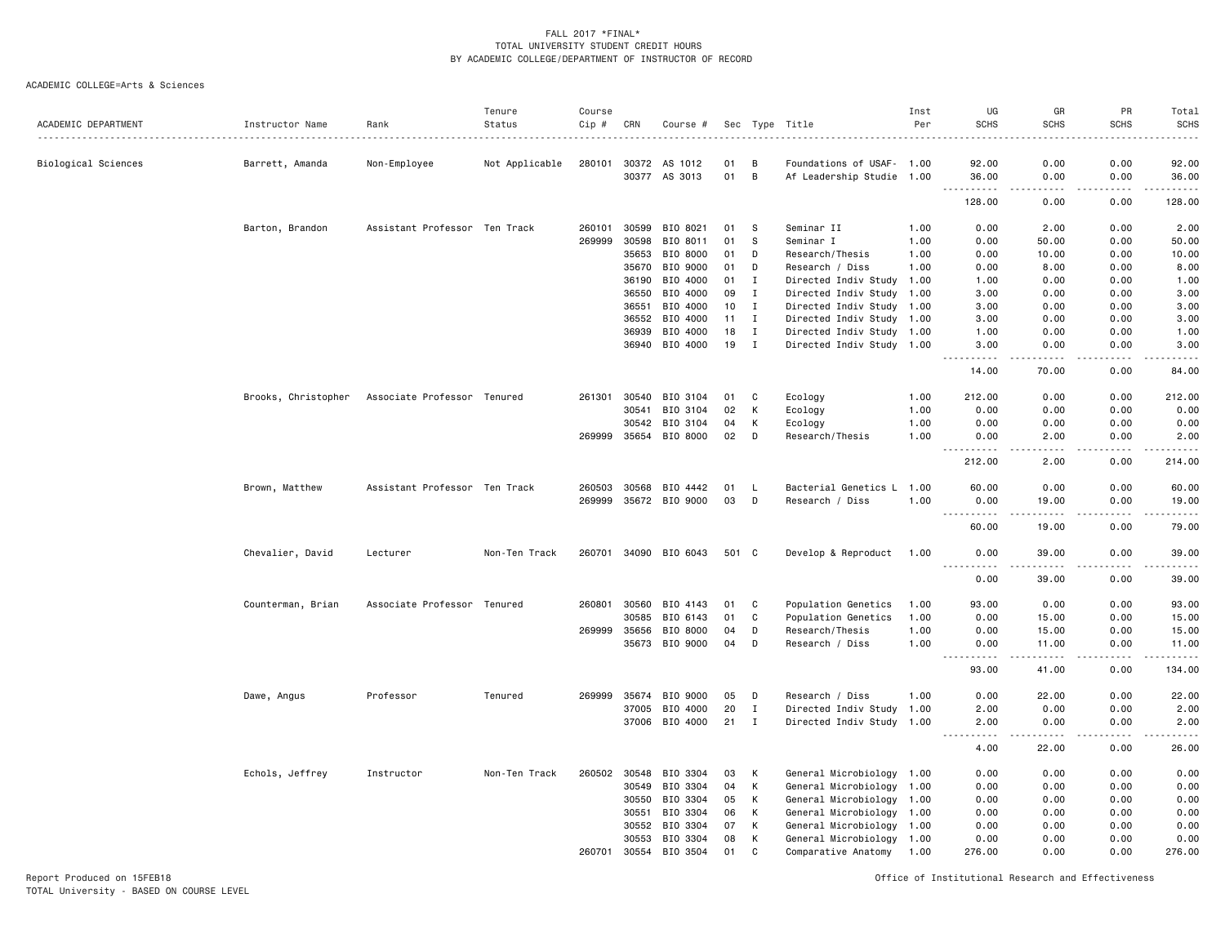ACADEMIC COLLEGE=Arts & Sciences

| ACADEMIC DEPARTMENT | Instructor Name     | Rank                          | Tenure<br>Status<br>. | Course<br>Cip # | CRN   | Course #              |       |              | Sec Type Title            | Inst<br>Per | UG<br><b>SCHS</b>                                                                                                                                                                                                                                                                                                                                                                                     | GR<br><b>SCHS</b> | PR<br><b>SCHS</b>   | Total<br><b>SCHS</b><br>.                                                                                                                                     |
|---------------------|---------------------|-------------------------------|-----------------------|-----------------|-------|-----------------------|-------|--------------|---------------------------|-------------|-------------------------------------------------------------------------------------------------------------------------------------------------------------------------------------------------------------------------------------------------------------------------------------------------------------------------------------------------------------------------------------------------------|-------------------|---------------------|---------------------------------------------------------------------------------------------------------------------------------------------------------------|
| Biological Sciences | Barrett, Amanda     | Non-Employee                  | Not Applicable        | 280101          | 30372 | AS 1012               | 01    | В            | Foundations of USAF- 1.00 |             | 92.00                                                                                                                                                                                                                                                                                                                                                                                                 | 0.00              | 0.00                | 92.00                                                                                                                                                         |
|                     |                     |                               |                       |                 |       | 30377 AS 3013         | 01    | В            | Af Leadership Studie 1.00 |             | 36.00<br>.                                                                                                                                                                                                                                                                                                                                                                                            | 0.00<br>.         | 0.00<br>.           | 36.00<br>.                                                                                                                                                    |
|                     |                     |                               |                       |                 |       |                       |       |              |                           |             | 128.00                                                                                                                                                                                                                                                                                                                                                                                                | 0.00              | 0.00                | 128.00                                                                                                                                                        |
|                     | Barton, Brandon     | Assistant Professor Ten Track |                       | 260101          | 30599 | BIO 8021              | 01    | s            | Seminar II                | 1.00        | 0.00                                                                                                                                                                                                                                                                                                                                                                                                  | 2.00              | 0.00                | 2.00                                                                                                                                                          |
|                     |                     |                               |                       | 269999          | 30598 | BIO 8011              | 01    | S            | Seminar I                 | 1.00        | 0.00                                                                                                                                                                                                                                                                                                                                                                                                  | 50.00             | 0.00                | 50.00                                                                                                                                                         |
|                     |                     |                               |                       |                 | 35653 | BIO 8000              | 01    | D            | Research/Thesis           | 1.00        | 0.00                                                                                                                                                                                                                                                                                                                                                                                                  | 10.00             | 0.00                | 10.00                                                                                                                                                         |
|                     |                     |                               |                       |                 | 35670 | BIO 9000              | 01    | D            | Research / Diss           | 1.00        | 0.00                                                                                                                                                                                                                                                                                                                                                                                                  | 8.00              | 0.00                | 8.00                                                                                                                                                          |
|                     |                     |                               |                       |                 | 36190 | BIO 4000              | 01    | $\mathbf I$  | Directed Indiv Study 1.00 |             | 1.00                                                                                                                                                                                                                                                                                                                                                                                                  | 0.00              | 0.00                | 1.00                                                                                                                                                          |
|                     |                     |                               |                       |                 | 36550 | BIO 4000              | 09    | $\mathbf{I}$ | Directed Indiv Study 1.00 |             | 3.00                                                                                                                                                                                                                                                                                                                                                                                                  | 0.00              | 0.00                | 3.00                                                                                                                                                          |
|                     |                     |                               |                       |                 | 36551 | BIO 4000              | 10    | $\mathbf I$  | Directed Indiv Study 1.00 |             | 3.00                                                                                                                                                                                                                                                                                                                                                                                                  | 0.00              | 0.00                | 3.00                                                                                                                                                          |
|                     |                     |                               |                       |                 | 36552 | BIO 4000              | 11    | $\bf{I}$     | Directed Indiv Study 1.00 |             | 3.00                                                                                                                                                                                                                                                                                                                                                                                                  | 0.00              | 0.00                | 3.00                                                                                                                                                          |
|                     |                     |                               |                       |                 | 36939 | BIO 4000              | 18    | $\mathbf{I}$ | Directed Indiv Study 1.00 |             | 1.00                                                                                                                                                                                                                                                                                                                                                                                                  | 0.00              | 0.00                | 1.00                                                                                                                                                          |
|                     |                     |                               |                       |                 | 36940 | BIO 4000              | 19    | $\mathbf I$  | Directed Indiv Study 1.00 |             | 3.00                                                                                                                                                                                                                                                                                                                                                                                                  | 0.00              | 0.00                | 3.00                                                                                                                                                          |
|                     |                     |                               |                       |                 |       |                       |       |              |                           |             | $\frac{1}{2} \frac{1}{2} \frac{1}{2} \frac{1}{2} \frac{1}{2} \frac{1}{2} \frac{1}{2} \frac{1}{2} \frac{1}{2} \frac{1}{2} \frac{1}{2} \frac{1}{2} \frac{1}{2} \frac{1}{2} \frac{1}{2} \frac{1}{2} \frac{1}{2} \frac{1}{2} \frac{1}{2} \frac{1}{2} \frac{1}{2} \frac{1}{2} \frac{1}{2} \frac{1}{2} \frac{1}{2} \frac{1}{2} \frac{1}{2} \frac{1}{2} \frac{1}{2} \frac{1}{2} \frac{1}{2} \frac{$<br>14.00 | 70.00             | 0.00                | 84.00                                                                                                                                                         |
|                     | Brooks, Christopher | Associate Professor Tenured   |                       | 261301          | 30540 | BIO 3104              | 01    | C            | Ecology                   | 1.00        | 212.00                                                                                                                                                                                                                                                                                                                                                                                                | 0.00              | 0.00                | 212.00                                                                                                                                                        |
|                     |                     |                               |                       |                 | 30541 | BIO 3104              | 02    | К            | Ecology                   | 1.00        | 0.00                                                                                                                                                                                                                                                                                                                                                                                                  | 0.00              | 0.00                | 0.00                                                                                                                                                          |
|                     |                     |                               |                       |                 | 30542 | BIO 3104              | 04    | К            | Ecology                   | 1.00        | 0.00                                                                                                                                                                                                                                                                                                                                                                                                  | 0.00              | 0.00                | 0.00                                                                                                                                                          |
|                     |                     |                               |                       |                 |       | 269999 35654 BIO 8000 | 02    | D            | Research/Thesis           | 1.00        | 0.00                                                                                                                                                                                                                                                                                                                                                                                                  | 2.00              | 0.00                | 2.00                                                                                                                                                          |
|                     |                     |                               |                       |                 |       |                       |       |              |                           |             | 212.00                                                                                                                                                                                                                                                                                                                                                                                                | 2.00              | 0.00                | 214.00                                                                                                                                                        |
|                     | Brown, Matthew      | Assistant Professor Ten Track |                       | 260503          | 30568 | BIO 4442              | 01    | L            | Bacterial Genetics L 1.00 |             | 60.00                                                                                                                                                                                                                                                                                                                                                                                                 | 0.00              | 0.00                | 60.00                                                                                                                                                         |
|                     |                     |                               |                       | 269999          |       | 35672 BIO 9000        | 03    | D            | Research / Diss           | 1.00        | 0.00                                                                                                                                                                                                                                                                                                                                                                                                  | 19.00             | 0.00                | 19.00                                                                                                                                                         |
|                     |                     |                               |                       |                 |       |                       |       |              |                           |             | 60.00                                                                                                                                                                                                                                                                                                                                                                                                 | 19.00             | 0.00                | 79.00                                                                                                                                                         |
|                     | Chevalier, David    | Lecturer                      | Non-Ten Track         |                 |       | 260701 34090 BIO 6043 | 501 C |              | Develop & Reproduct 1.00  |             | 0.00<br>.                                                                                                                                                                                                                                                                                                                                                                                             | 39.00<br>-----    | 0.00<br>$- - - - -$ | 39.00<br>.                                                                                                                                                    |
|                     |                     |                               |                       |                 |       |                       |       |              |                           |             | 0.00                                                                                                                                                                                                                                                                                                                                                                                                  | 39.00             | 0.00                | 39.00                                                                                                                                                         |
|                     | Counterman, Brian   | Associate Professor Tenured   |                       | 260801          | 30560 | BIO 4143              | 01    | C            | Population Genetics       | 1.00        | 93.00                                                                                                                                                                                                                                                                                                                                                                                                 | 0.00              | 0.00                | 93.00                                                                                                                                                         |
|                     |                     |                               |                       |                 | 30585 | BIO 6143              | 01    | C            | Population Genetics       | 1.00        | 0.00                                                                                                                                                                                                                                                                                                                                                                                                  | 15.00             | 0.00                | 15.00                                                                                                                                                         |
|                     |                     |                               |                       | 269999          | 35656 | BIO 8000              | 04    | D            | Research/Thesis           | 1.00        | 0.00                                                                                                                                                                                                                                                                                                                                                                                                  | 15.00             | 0.00                | 15.00                                                                                                                                                         |
|                     |                     |                               |                       |                 |       | 35673 BIO 9000        | 04    | D            | Research / Diss           | 1.00        | 0.00<br>.<br>$ -$                                                                                                                                                                                                                                                                                                                                                                                     | 11.00<br>.        | 0.00<br>-----       | 11.00<br>$\frac{1}{2} \left( \frac{1}{2} \right) \left( \frac{1}{2} \right) \left( \frac{1}{2} \right) \left( \frac{1}{2} \right) \left( \frac{1}{2} \right)$ |
|                     |                     |                               |                       |                 |       |                       |       |              |                           |             | 93.00                                                                                                                                                                                                                                                                                                                                                                                                 | 41.00             | 0.00                | 134.00                                                                                                                                                        |
|                     | Dawe, Angus         | Professor                     | Tenured               | 269999          | 35674 | BIO 9000              | 05    | D            | Research / Diss           | 1.00        | 0.00                                                                                                                                                                                                                                                                                                                                                                                                  | 22.00             | 0.00                | 22.00                                                                                                                                                         |
|                     |                     |                               |                       |                 | 37005 | BIO 4000              | 20    | $\bf{I}$     | Directed Indiv Study 1.00 |             | 2.00                                                                                                                                                                                                                                                                                                                                                                                                  | 0.00              | 0.00                | 2.00                                                                                                                                                          |
|                     |                     |                               |                       |                 |       | 37006 BIO 4000        | 21    | $\mathbf{I}$ | Directed Indiv Study 1.00 |             | 2.00<br>.                                                                                                                                                                                                                                                                                                                                                                                             | 0.00<br>.         | 0.00<br>.           | 2.00<br>.                                                                                                                                                     |
|                     |                     |                               |                       |                 |       |                       |       |              |                           |             | 4.00                                                                                                                                                                                                                                                                                                                                                                                                  | 22.00             | 0.00                | 26.00                                                                                                                                                         |
|                     | Echols, Jeffrey     | Instructor                    | Non-Ten Track         | 260502          | 30548 | BIO 3304              | 03    | Κ            | General Microbiology 1.00 |             | 0.00                                                                                                                                                                                                                                                                                                                                                                                                  | 0.00              | 0.00                | 0.00                                                                                                                                                          |
|                     |                     |                               |                       |                 | 30549 | BIO 3304              | 04    | К            | General Microbiology 1.00 |             | 0.00                                                                                                                                                                                                                                                                                                                                                                                                  | 0.00              | 0.00                | 0.00                                                                                                                                                          |
|                     |                     |                               |                       |                 | 30550 | BIO 3304              | 05    | К            | General Microbiology      | 1.00        | 0.00                                                                                                                                                                                                                                                                                                                                                                                                  | 0.00              | 0.00                | 0.00                                                                                                                                                          |
|                     |                     |                               |                       |                 | 30551 | BIO 3304              | 06    | К            | General Microbiology 1.00 |             | 0.00                                                                                                                                                                                                                                                                                                                                                                                                  | 0.00              | 0.00                | 0.00                                                                                                                                                          |
|                     |                     |                               |                       |                 | 30552 | BIO 3304              | 07    | К            | General Microbiology 1.00 |             | 0.00                                                                                                                                                                                                                                                                                                                                                                                                  | 0.00              | 0.00                | 0.00                                                                                                                                                          |
|                     |                     |                               |                       |                 | 30553 | BIO 3304              | 08    | Κ            | General Microbiology 1.00 |             | 0.00                                                                                                                                                                                                                                                                                                                                                                                                  | 0.00              | 0.00                | 0.00                                                                                                                                                          |
|                     |                     |                               |                       | 260701          |       | 30554 BIO 3504        | 01    | C            | Comparative Anatomy 1.00  |             | 276.00                                                                                                                                                                                                                                                                                                                                                                                                | 0.00              | 0.00                | 276.00                                                                                                                                                        |

Report Produced on 15FEB18 Office of Institutional Research and Effectiveness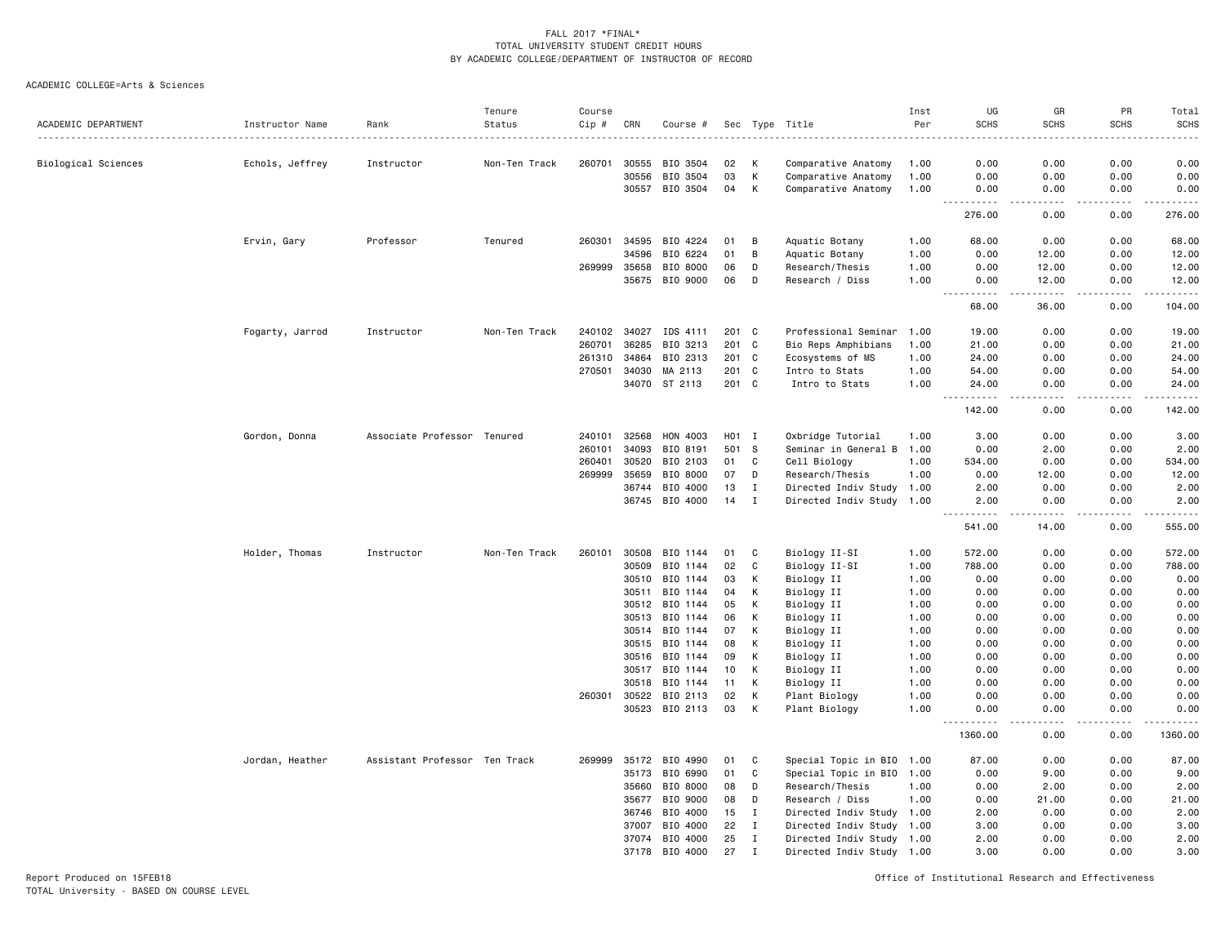| ACADEMIC DEPARTMENT | Instructor Name | Rank                          | Tenure<br>Status | Course<br>Cip # | CRN            | Course #             | Sec      |              | Type Title                | Inst<br>Per  | UG<br><b>SCHS</b>                                                                                                                                                   | GR<br><b>SCHS</b>                                                                                                                                             | PR<br><b>SCHS</b> | Total<br><b>SCHS</b> |
|---------------------|-----------------|-------------------------------|------------------|-----------------|----------------|----------------------|----------|--------------|---------------------------|--------------|---------------------------------------------------------------------------------------------------------------------------------------------------------------------|---------------------------------------------------------------------------------------------------------------------------------------------------------------|-------------------|----------------------|
|                     |                 |                               |                  |                 |                |                      |          |              | .                         |              |                                                                                                                                                                     |                                                                                                                                                               |                   |                      |
| Biological Sciences | Echols, Jeffrey | Instructor                    | Non-Ten Track    | 260701          | 30555          | BIO 3504             | 02       | к            | Comparative Anatomy       | 1.00         | 0.00                                                                                                                                                                | 0.00                                                                                                                                                          | 0.00              | 0.00                 |
|                     |                 |                               |                  |                 | 30556          | BIO 3504             | 03       | К            | Comparative Anatomy       | 1.00         | 0.00                                                                                                                                                                | 0.00                                                                                                                                                          | 0.00              | 0.00                 |
|                     |                 |                               |                  |                 |                | 30557 BIO 3504       | 04       | К            | Comparative Anatomy       | 1.00         | 0.00<br>$\frac{1}{2} \left( \frac{1}{2} \right) \left( \frac{1}{2} \right) \left( \frac{1}{2} \right) \left( \frac{1}{2} \right) \left( \frac{1}{2} \right)$<br>$-$ | 0.00<br>$   -$                                                                                                                                                | 0.00<br><b>.</b>  | 0.00<br>.            |
|                     |                 |                               |                  |                 |                |                      |          |              |                           |              | 276.00                                                                                                                                                              | 0.00                                                                                                                                                          | 0.00              | 276.00               |
|                     | Ervin, Gary     | Professor                     | Tenured          | 260301          | 34595          | BIO 4224             | 01       | В            | Aquatic Botany            | 1.00         | 68.00                                                                                                                                                               | 0.00                                                                                                                                                          | 0.00              | 68.00                |
|                     |                 |                               |                  |                 | 34596          | BIO 6224             | 01       | B            | Aquatic Botany            | 1.00         | 0.00                                                                                                                                                                | 12.00                                                                                                                                                         | 0.00              | 12.00                |
|                     |                 |                               |                  | 269999          | 35658          | BIO 8000             | 06       | D            | Research/Thesis           | 1.00         | 0.00                                                                                                                                                                | 12.00                                                                                                                                                         | 0.00              | 12.00                |
|                     |                 |                               |                  |                 |                | 35675 BIO 9000       | 06       | D            | Research / Diss           | 1.00         | 0.00<br>$ -$<br>.                                                                                                                                                   | 12.00<br>$\frac{1}{2} \left( \frac{1}{2} \right) \left( \frac{1}{2} \right) \left( \frac{1}{2} \right) \left( \frac{1}{2} \right) \left( \frac{1}{2} \right)$ | 0.00<br>-----     | 12.00<br>.           |
|                     |                 |                               |                  |                 |                |                      |          |              |                           |              | 68.00                                                                                                                                                               | 36.00                                                                                                                                                         | 0.00              | 104.00               |
|                     | Fogarty, Jarrod | Instructor                    | Non-Ten Track    | 240102          | 34027          | IDS 4111             | 201 C    |              | Professional Seminar      | 1.00         | 19.00                                                                                                                                                               | 0.00                                                                                                                                                          | 0.00              | 19.00                |
|                     |                 |                               |                  | 260701          | 36285          | BIO 3213             | 201      | C            | Bio Reps Amphibians       | 1.00         | 21.00                                                                                                                                                               | 0.00                                                                                                                                                          | 0.00              | 21.00                |
|                     |                 |                               |                  | 261310          | 34864          | BIO 2313             | 201 C    |              | Ecosystems of MS          | 1.00         | 24.00                                                                                                                                                               | 0.00                                                                                                                                                          | 0.00              | 24.00                |
|                     |                 |                               |                  | 270501          | 34030          | MA 2113              | 201 C    |              | Intro to Stats            | 1.00         | 54.00                                                                                                                                                               | 0.00                                                                                                                                                          | 0.00              | 54.00                |
|                     |                 |                               |                  |                 | 34070          | ST 2113              | 201 C    |              | Intro to Stats            | 1.00         | 24.00<br>.                                                                                                                                                          | 0.00<br>.                                                                                                                                                     | 0.00              | 24.00                |
|                     |                 |                               |                  |                 |                |                      |          |              |                           |              | 142.00                                                                                                                                                              | 0.00                                                                                                                                                          | 0.00              | 142.00               |
|                     | Gordon, Donna   | Associate Professor Tenured   |                  | 240101          | 32568          | HON 4003             | H01      | $\mathbf{I}$ | Oxbridge Tutorial         | 1.00         | 3.00                                                                                                                                                                | 0.00                                                                                                                                                          | 0.00              | 3.00                 |
|                     |                 |                               |                  | 260101          | 34093          | BIO 8191             | 501      | s.           | Seminar in General B 1.00 |              | 0.00                                                                                                                                                                | 2.00                                                                                                                                                          | 0.00              | 2.00                 |
|                     |                 |                               |                  | 260401          | 30520          | BIO 2103             | 01       | C            | Cell Biology              | 1.00         | 534.00                                                                                                                                                              | 0.00                                                                                                                                                          | 0.00              | 534.00               |
|                     |                 |                               |                  | 269999          | 35659          | BIO 8000             | 07       | D            | Research/Thesis           | 1.00         | 0.00                                                                                                                                                                | 12.00                                                                                                                                                         | 0.00              | 12.00                |
|                     |                 |                               |                  |                 | 36744          | BIO 4000             | 13       | $\mathbf{I}$ | Directed Indiv Study 1.00 |              | 2.00                                                                                                                                                                | 0.00                                                                                                                                                          | 0.00              | 2.00                 |
|                     |                 |                               |                  |                 |                | 36745 BIO 4000       | 14       | $\mathbf{I}$ | Directed Indiv Study 1.00 |              | 2.00                                                                                                                                                                | 0.00                                                                                                                                                          | 0.00              | 2.00                 |
|                     |                 |                               |                  |                 |                |                      |          |              |                           |              | 541.00                                                                                                                                                              | 14.00                                                                                                                                                         | 0.00              | 555.00               |
|                     | Holder, Thomas  | Instructor                    | Non-Ten Track    | 260101          | 30508          | BIO 1144             | 01       | C            | Biology II-SI             | 1.00         | 572.00                                                                                                                                                              | 0.00                                                                                                                                                          | 0.00              | 572.00               |
|                     |                 |                               |                  |                 | 30509          | BIO 1144             | 02       | $\mathtt{C}$ | Biology II-SI             | 1.00         | 788.00                                                                                                                                                              | 0.00                                                                                                                                                          | 0.00              | 788.00               |
|                     |                 |                               |                  |                 | 30510          | BIO 1144             | 03       | K            | Biology II                | 1.00         | 0.00                                                                                                                                                                | 0.00                                                                                                                                                          | 0.00              | 0.00                 |
|                     |                 |                               |                  |                 | 30511          | BIO 1144             | 04       | К            | Biology II                | 1.00         | 0.00                                                                                                                                                                | 0.00                                                                                                                                                          | 0.00              | 0.00                 |
|                     |                 |                               |                  |                 | 30512          | BIO 1144             | 05       | К            | Biology II                | 1.00         | 0.00                                                                                                                                                                | 0.00                                                                                                                                                          | 0.00              | 0.00                 |
|                     |                 |                               |                  |                 | 30513          | BIO 1144             | 06       | К            | Biology II                | 1.00         | 0.00                                                                                                                                                                | 0.00                                                                                                                                                          | 0.00              | 0.00                 |
|                     |                 |                               |                  |                 |                | 30514 BIO 1144       | 07       | Κ            | Biology II                | 1.00         | 0.00                                                                                                                                                                | 0.00                                                                                                                                                          | 0.00              | 0.00                 |
|                     |                 |                               |                  |                 | 30515          | BIO 1144             | 08       | K            | Biology II                | 1.00         | 0.00                                                                                                                                                                | 0.00                                                                                                                                                          | 0.00              | 0.00                 |
|                     |                 |                               |                  |                 | 30516<br>30517 | BIO 1144<br>BIO 1144 | 09<br>10 | К<br>K       | Biology II<br>Biology II  | 1.00<br>1.00 | 0.00<br>0.00                                                                                                                                                        | 0.00<br>0.00                                                                                                                                                  | 0.00<br>0.00      | 0.00<br>0.00         |
|                     |                 |                               |                  |                 | 30518          | BIO 1144             | 11       | K            | Biology II                | 1.00         | 0.00                                                                                                                                                                | 0.00                                                                                                                                                          | 0.00              | 0.00                 |
|                     |                 |                               |                  | 260301          | 30522          | BIO 2113             | 02       | К            | Plant Biology             | 1.00         | 0.00                                                                                                                                                                | 0.00                                                                                                                                                          | 0.00              | 0.00                 |
|                     |                 |                               |                  |                 |                | 30523 BIO 2113       | 03       | К            | Plant Biology             | 1.00         | 0.00                                                                                                                                                                | 0.00                                                                                                                                                          | 0.00              | 0.00                 |
|                     |                 |                               |                  |                 |                |                      |          |              |                           |              | 1360.00                                                                                                                                                             | 0.00                                                                                                                                                          | 0.00              | 1360.00              |
|                     | Jordan, Heather | Assistant Professor Ten Track |                  | 269999          |                | 35172 BIO 4990       | 01       | C            | Special Topic in BIO 1.00 |              | 87.00                                                                                                                                                               | 0.00                                                                                                                                                          | 0.00              | 87.00                |
|                     |                 |                               |                  |                 | 35173          | BIO 6990             | 01       | C            | Special Topic in BIO 1.00 |              | 0.00                                                                                                                                                                | 9.00                                                                                                                                                          | 0.00              | 9.00                 |
|                     |                 |                               |                  |                 | 35660          | BIO 8000             | 08       | D            | Research/Thesis           | 1.00         | 0.00                                                                                                                                                                | 2.00                                                                                                                                                          | 0.00              | 2.00                 |
|                     |                 |                               |                  |                 | 35677          | BIO 9000             | 08       | D            | Research / Diss           | 1.00         | 0.00                                                                                                                                                                | 21.00                                                                                                                                                         | 0.00              | 21.00                |
|                     |                 |                               |                  |                 | 36746          | BIO 4000             | 15       | $\mathbf{I}$ | Directed Indiv Study 1.00 |              | 2.00                                                                                                                                                                | 0.00                                                                                                                                                          | 0.00              | 2.00                 |
|                     |                 |                               |                  |                 | 37007          | BIO 4000             | 22       | $\mathbf I$  | Directed Indiv Study 1.00 |              | 3.00                                                                                                                                                                | 0.00                                                                                                                                                          | 0.00              | 3.00                 |
|                     |                 |                               |                  |                 | 37074          | BIO 4000             | 25       | $\mathbf{I}$ | Directed Indiv Study 1.00 |              | 2.00                                                                                                                                                                | 0.00                                                                                                                                                          | 0.00              | 2.00                 |
|                     |                 |                               |                  |                 | 37178          | BIO 4000             | 27       | $\mathbf I$  | Directed Indiv Study 1.00 |              | 3.00                                                                                                                                                                | 0.00                                                                                                                                                          | 0.00              | 3.00                 |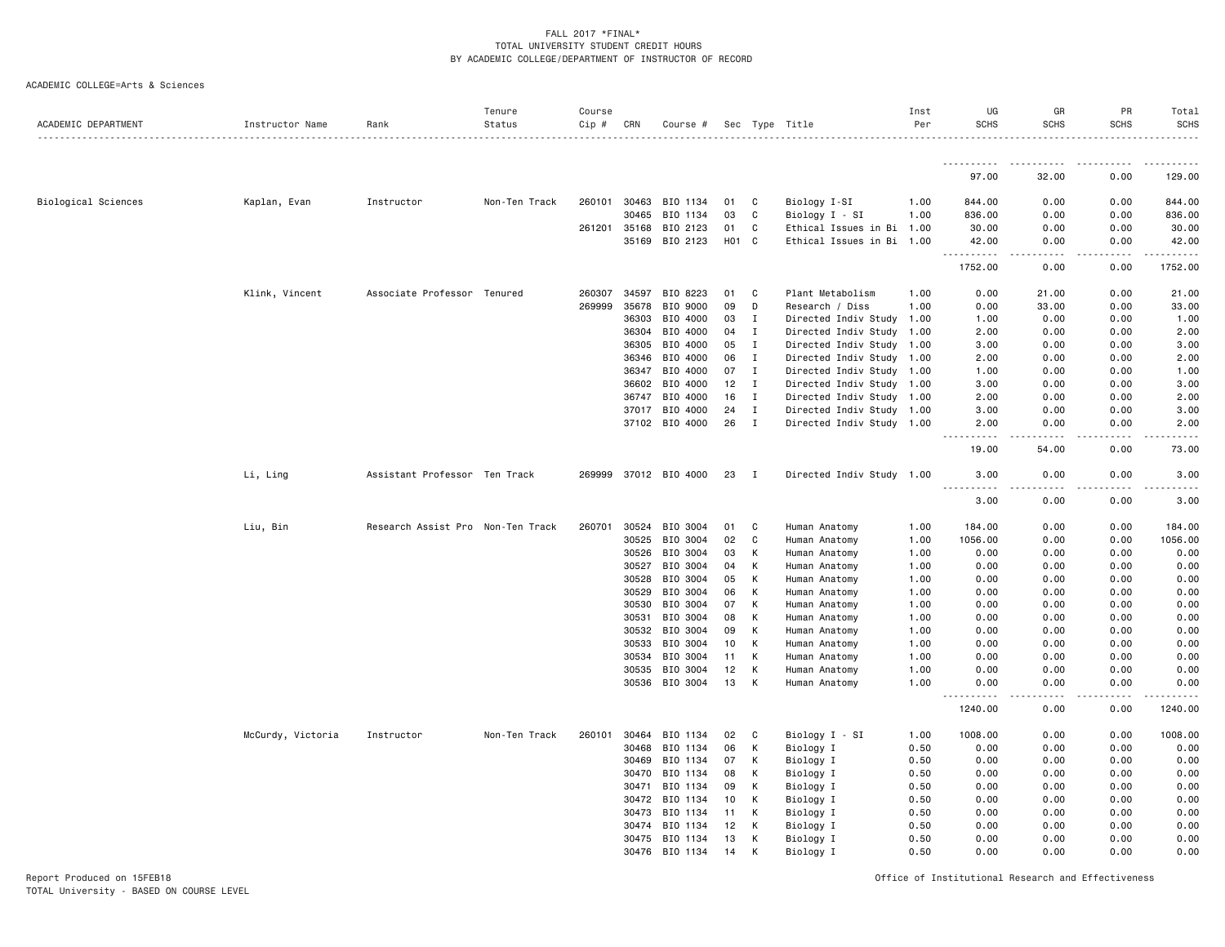ACADEMIC COLLEGE=Arts & Sciences

| ACADEMIC DEPARTMENT | Instructor Name   | Rank                              | Tenure<br>Status | Course<br>$Cip$ # | CRN   | Course #              |       |              | Sec Type Title            | Inst<br>Per | UG<br><b>SCHS</b>                                                                                         | GR<br><b>SCHS</b> | PR<br><b>SCHS</b> | Total<br><b>SCHS</b> |
|---------------------|-------------------|-----------------------------------|------------------|-------------------|-------|-----------------------|-------|--------------|---------------------------|-------------|-----------------------------------------------------------------------------------------------------------|-------------------|-------------------|----------------------|
|                     |                   |                                   |                  |                   |       |                       |       |              |                           |             |                                                                                                           |                   |                   |                      |
|                     |                   |                                   |                  |                   |       |                       |       |              |                           |             | .<br>97.00                                                                                                | 32.00             | 0.00              | 129.00               |
| Biological Sciences | Kaplan, Evan      | Instructor                        | Non-Ten Track    | 260101            | 30463 | BIO 1134              | 01    | - C          | Biology I-SI              | 1.00        | 844.00                                                                                                    | 0.00              | 0.00              | 844.00               |
|                     |                   |                                   |                  |                   | 30465 | BIO 1134              | 03    | C            | Biology I - SI            | 1.00        | 836.00                                                                                                    | 0.00              | 0.00              | 836.00               |
|                     |                   |                                   |                  | 261201            | 35168 | BIO 2123              | 01    | C            | Ethical Issues in Bi 1.00 |             | 30.00                                                                                                     | 0.00              | 0.00              | 30.00                |
|                     |                   |                                   |                  |                   | 35169 | BIO 2123              | H01 C |              | Ethical Issues in Bi      | 1.00        | 42.00                                                                                                     | 0.00              | 0.00              | 42.00                |
|                     |                   |                                   |                  |                   |       |                       |       |              |                           |             | <u>.</u><br>1752.00                                                                                       | 0.00              | 0.00              | 1752.00              |
|                     | Klink, Vincent    | Associate Professor Tenured       |                  | 260307            | 34597 | BIO 8223              | 01    | C            | Plant Metabolism          | 1.00        | 0.00                                                                                                      | 21.00             | 0.00              | 21.00                |
|                     |                   |                                   |                  | 269999            | 35678 | BIO 9000              | 09    | D            | Research / Diss           | 1.00        | 0.00                                                                                                      | 33.00             | 0.00              | 33.00                |
|                     |                   |                                   |                  |                   | 36303 | BIO 4000              | 03    | $\mathbf{I}$ | Directed Indiv Study      | 1.00        | 1.00                                                                                                      | 0.00              | 0.00              | 1.00                 |
|                     |                   |                                   |                  |                   | 36304 | BIO 4000              | 04    | $\mathbf{I}$ | Directed Indiv Study      | 1.00        | 2.00                                                                                                      | 0.00              | 0.00              | 2.00                 |
|                     |                   |                                   |                  |                   | 36305 | BIO 4000              | 05    | $\mathbf{I}$ | Directed Indiv Study      | 1.00        | 3.00                                                                                                      | 0.00              | 0.00              | 3.00                 |
|                     |                   |                                   |                  |                   | 36346 | BIO 4000              | 06    | I            | Directed Indiv Study      | 1.00        | 2.00                                                                                                      | 0.00              | 0.00              | 2.00                 |
|                     |                   |                                   |                  |                   | 36347 | BIO 4000              | 07    | $\mathbf{I}$ | Directed Indiv Study      | 1.00        | 1.00                                                                                                      | 0.00              | 0.00              | 1.00                 |
|                     |                   |                                   |                  |                   | 36602 | BIO 4000              | 12    | $\mathbf{I}$ | Directed Indiv Study      | 1.00        | 3.00                                                                                                      | 0.00              | 0.00              | 3.00                 |
|                     |                   |                                   |                  |                   | 36747 | BIO 4000              | 16    | I            | Directed Indiv Study      | 1.00        | 2.00                                                                                                      | 0.00              | 0.00              | 2.00                 |
|                     |                   |                                   |                  |                   | 37017 | BIO 4000              | 24    | Ι            | Directed Indiv Study 1.00 |             | 3.00                                                                                                      | 0.00              | 0.00              | 3.00                 |
|                     |                   |                                   |                  |                   | 37102 | BIO 4000              | 26    | $\mathbf I$  | Directed Indiv Study 1.00 |             | 2.00                                                                                                      | 0.00              | 0.00              | 2.00                 |
|                     |                   |                                   |                  |                   |       |                       |       |              |                           |             | $- - -$<br>19.00                                                                                          | 54.00             | 0.00              | 73.00                |
|                     | Li, Ling          | Assistant Professor Ten Track     |                  |                   |       | 269999 37012 BIO 4000 | 23    | $\mathbf{I}$ | Directed Indiv Study 1.00 |             | 3.00                                                                                                      | 0.00              | 0.00              | 3.00                 |
|                     |                   |                                   |                  |                   |       |                       |       |              |                           |             | $\frac{1}{2} \frac{1}{2} \frac{1}{2} \frac{1}{2} \frac{1}{2} \frac{1}{2} \frac{1}{2} \frac{1}{2}$<br>3.00 | 0.00              | 0.00              | 3.00                 |
|                     | Liu, Bin          | Research Assist Pro Non-Ten Track |                  | 260701            | 30524 | BIO 3004              | 01    | C            | Human Anatomy             | 1.00        | 184.00                                                                                                    | 0.00              | 0.00              | 184.00               |
|                     |                   |                                   |                  |                   | 30525 | BIO 3004              | 02    | C            | Human Anatomy             | 1.00        | 1056.00                                                                                                   | 0.00              | 0.00              | 1056.00              |
|                     |                   |                                   |                  |                   | 30526 | BIO 3004              | 03    | K            | Human Anatomy             | 1.00        | 0.00                                                                                                      | 0.00              | 0.00              | 0.00                 |
|                     |                   |                                   |                  |                   | 30527 | BIO 3004              | 04    | K            | Human Anatomy             | 1.00        | 0.00                                                                                                      | 0.00              | 0.00              | 0.00                 |
|                     |                   |                                   |                  |                   | 30528 | BIO 3004              | 05    | К            | Human Anatomy             | 1.00        | 0.00                                                                                                      | 0.00              | 0.00              | 0.00                 |
|                     |                   |                                   |                  |                   | 30529 | BIO 3004              | 06    | K            | Human Anatomy             | 1.00        | 0.00                                                                                                      | 0.00              | 0.00              | 0.00                 |
|                     |                   |                                   |                  |                   | 30530 | BIO 3004              | 07    | К            | Human Anatomy             | 1.00        | 0.00                                                                                                      | 0.00              | 0.00              | 0.00                 |
|                     |                   |                                   |                  |                   | 30531 | BIO 3004              | 08    | К            | Human Anatomy             | 1.00        | 0.00                                                                                                      | 0.00              | 0.00              | 0.00                 |
|                     |                   |                                   |                  |                   | 30532 | BIO 3004              | 09    | К            | Human Anatomy             | 1.00        | 0.00                                                                                                      | 0.00              | 0.00              | 0.00                 |
|                     |                   |                                   |                  |                   | 30533 | BIO 3004              | 10    | К            | Human Anatomy             | 1.00        | 0.00                                                                                                      | 0.00              | 0.00              | 0.00                 |
|                     |                   |                                   |                  |                   | 30534 | BIO 3004              | 11    | K            | Human Anatomy             | 1.00        | 0.00                                                                                                      | 0.00              | 0.00              | 0.00                 |
|                     |                   |                                   |                  |                   | 30535 | BIO 3004              | 12    | К            | Human Anatomy             | 1.00        | 0.00                                                                                                      | 0.00              | 0.00              | 0.00                 |
|                     |                   |                                   |                  |                   | 30536 | BIO 3004              | 13    | К            | Human Anatomy             | 1.00        | 0.00<br>-----<br>$- - - -$                                                                                | 0.00<br>.         | 0.00<br>-----     | 0.00<br>.            |
|                     |                   |                                   |                  |                   |       |                       |       |              |                           |             | 1240.00                                                                                                   | 0.00              | 0.00              | 1240.00              |
|                     | McCurdy, Victoria | Instructor                        | Non-Ten Track    | 260101            | 30464 | BIO 1134              | 02    | C            | Biology I - SI            | 1.00        | 1008.00                                                                                                   | 0.00              | 0.00              | 1008.00              |
|                     |                   |                                   |                  |                   | 30468 | BIO 1134              | 06    | К            | Biology I                 | 0.50        | 0.00                                                                                                      | 0.00              | 0.00              | 0.00                 |
|                     |                   |                                   |                  |                   | 30469 | BIO 1134              | 07    | К            | Biology I                 | 0.50        | 0.00                                                                                                      | 0.00              | 0.00              | 0.00                 |
|                     |                   |                                   |                  |                   | 30470 | BIO 1134              | 08    | К            | Biology I                 | 0.50        | 0.00                                                                                                      | 0.00              | 0.00              | 0.00                 |
|                     |                   |                                   |                  |                   | 30471 | BIO 1134              | 09    | К            | Biology I                 | 0.50        | 0.00                                                                                                      | 0.00              | 0.00              | 0.00                 |
|                     |                   |                                   |                  |                   | 30472 | BIO 1134              | 10    | К            | Biology I                 | 0.50        | 0.00                                                                                                      | 0.00              | 0.00              | 0.00                 |
|                     |                   |                                   |                  |                   | 30473 | BIO 1134              | 11    | К            | Biology I                 | 0.50        | 0.00                                                                                                      | 0.00              | 0.00              | 0.00                 |
|                     |                   |                                   |                  |                   | 30474 | BIO 1134              | 12    | K            | Biology I                 | 0.50        | 0.00                                                                                                      | 0.00              | 0.00              | 0.00                 |
|                     |                   |                                   |                  |                   | 30475 | BIO 1134              | 13    | К            | Biology I                 | 0.50        | 0.00                                                                                                      | 0.00              | 0.00              | 0.00                 |
|                     |                   |                                   |                  |                   | 30476 | BIO 1134              | 14    | K            | Biology I                 | 0.50        | 0.00                                                                                                      | 0.00              | 0.00              | 0.00                 |

Report Produced on 15FEB18 Office of Institutional Research and Effectiveness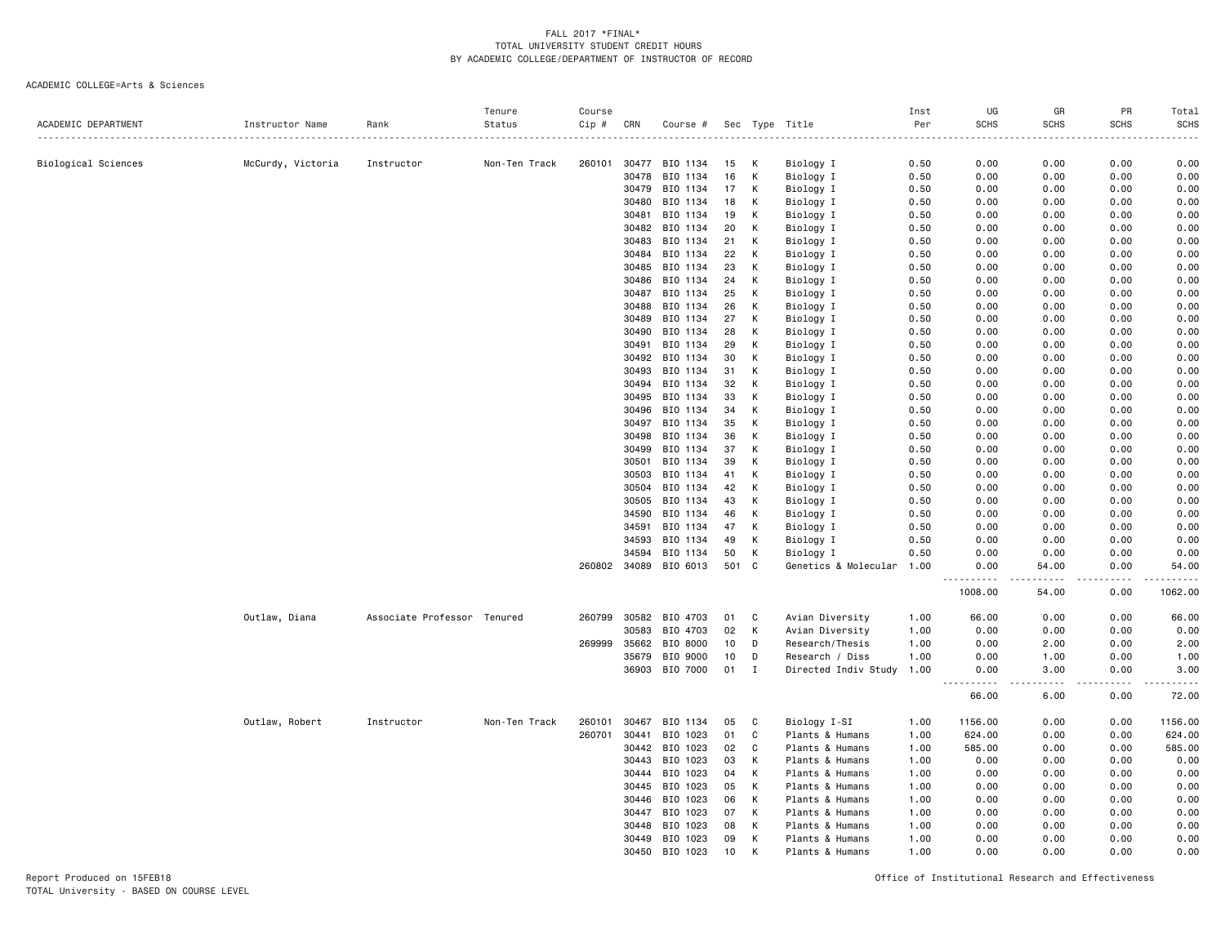ACADEMIC COLLEGE=Arts & Sciences

|                     |                   |                             | Tenure        | Course |              |                |     |        |                                         | Inst         | UG                     | GR           | PR           | Total        |
|---------------------|-------------------|-----------------------------|---------------|--------|--------------|----------------|-----|--------|-----------------------------------------|--------------|------------------------|--------------|--------------|--------------|
| ACADEMIC DEPARTMENT | Instructor Name   | Rank                        | Status        | Cip #  | CRN          | Course #       |     |        | Sec Type Title                          | Per          | <b>SCHS</b>            | <b>SCHS</b>  | <b>SCHS</b>  | <b>SCHS</b>  |
|                     |                   |                             |               |        |              |                |     |        |                                         |              |                        |              |              |              |
| Biological Sciences | McCurdy, Victoria | Instructor                  | Non-Ten Track | 260101 | 30477        | BIO 1134       | 15  | К      | Biology I                               | 0.50         | 0.00                   | 0.00         | 0.00         | 0.00         |
|                     |                   |                             |               |        | 30478        | BIO 1134       | 16  | Κ      | Biology I                               | 0.50         | 0.00                   | 0.00         | 0.00         | 0.00         |
|                     |                   |                             |               |        | 30479        | BIO 1134       | 17  | κ      | Biology I                               | 0.50         | 0.00                   | 0.00         | 0.00         | 0.00         |
|                     |                   |                             |               |        | 30480        | BIO 1134       | 18  | K      | Biology I                               | 0.50         | 0.00                   | 0.00         | 0.00         | 0.00         |
|                     |                   |                             |               |        | 30481        | BIO 1134       | 19  | К      | Biology I                               | 0.50         | 0.00                   | 0.00         | 0.00         | 0.00         |
|                     |                   |                             |               |        | 30482        | BIO 1134       | 20  | к      | Biology I                               | 0.50         | 0.00                   | 0.00         | 0.00         | 0.00         |
|                     |                   |                             |               |        | 30483        | BIO 1134       | 21  | к      | Biology I                               | 0.50         | 0.00                   | 0.00         | 0.00         | 0.00         |
|                     |                   |                             |               |        |              | 30484 BIO 1134 | 22  | К      | Biology I                               | 0.50         | 0.00                   | 0.00         | 0.00         | 0.00         |
|                     |                   |                             |               |        | 30485        | BIO 1134       | 23  | K      | Biology I                               | 0.50         | 0.00                   | 0.00         | 0.00         | 0.00         |
|                     |                   |                             |               |        | 30486        | BIO 1134       | 24  | Κ      | Biology I                               | 0.50         | 0.00                   | 0.00         | 0.00         | 0.00         |
|                     |                   |                             |               |        | 30487        | BIO 1134       | 25  | К      | Biology I                               | 0.50         | 0.00                   | 0.00         | 0.00         | 0.00         |
|                     |                   |                             |               |        | 30488        | BIO 1134       | 26  | К      | Biology I                               | 0.50         | 0.00                   | 0.00         | 0.00         | 0.00         |
|                     |                   |                             |               |        | 30489        | BIO 1134       | 27  | К      | Biology I                               | 0.50         | 0.00                   | 0.00         | 0.00         | 0.00         |
|                     |                   |                             |               |        | 30490        | BIO 1134       | 28  | к      | Biology I                               | 0.50         | 0.00                   | 0.00         | 0.00         | 0.00         |
|                     |                   |                             |               |        | 30491        | BIO 1134       | 29  | К      | Biology I                               | 0.50         | 0.00                   | 0.00         | 0.00         | 0.00         |
|                     |                   |                             |               |        | 30492        | BIO 1134       | 30  | К      | Biology I                               | 0.50         | 0.00                   | 0.00         | 0.00         | 0.00         |
|                     |                   |                             |               |        | 30493        | BIO 1134       | 31  | Κ      | Biology I                               | 0.50         | 0.00                   | 0.00         | 0.00         | 0.00         |
|                     |                   |                             |               |        | 30494        | BIO 1134       | 32  | K      | Biology I                               | 0.50         | 0.00                   | 0.00         | 0.00         | 0.00         |
|                     |                   |                             |               |        | 30495        | BIO 1134       | 33  | К      | Biology I                               | 0.50         | 0.00                   | 0.00         | 0.00         | 0.00         |
|                     |                   |                             |               |        | 30496        | BIO 1134       | 34  | К      | Biology I                               | 0.50         | 0.00                   | 0.00         | 0.00         | 0.00         |
|                     |                   |                             |               |        | 30497        | BIO 1134       | 35  | К      | Biology I                               | 0.50         | 0.00                   | 0.00         | 0.00         | 0.00         |
|                     |                   |                             |               |        |              |                |     |        |                                         |              |                        |              |              |              |
|                     |                   |                             |               |        | 30498        | BIO 1134       | 36  | Κ      | Biology I                               | 0.50         | 0.00                   | 0.00         | 0.00         | 0.00         |
|                     |                   |                             |               |        | 30499        | BIO 1134       | 37  | К      | Biology I                               | 0.50         | 0.00                   | 0.00         | 0.00         | 0.00         |
|                     |                   |                             |               |        | 30501        | BIO 1134       | 39  | К      | Biology I                               | 0.50         | 0.00                   | 0.00         | 0.00         | 0.00         |
|                     |                   |                             |               |        | 30503        | BIO 1134       | 41  | К      | Biology I                               | 0.50         | 0.00                   | 0.00         | 0.00         | 0.00         |
|                     |                   |                             |               |        | 30504        | BIO 1134       | 42  | К      | Biology I                               | 0.50         | 0.00                   | 0.00         | 0.00         | 0.00         |
|                     |                   |                             |               |        | 30505        | BIO 1134       | 43  | К      | Biology I                               | 0.50         | 0.00                   | 0.00         | 0.00         | 0.00         |
|                     |                   |                             |               |        | 34590        | BIO 1134       | 46  | к      | Biology I                               | 0.50         | 0.00                   | 0.00         | 0.00         | 0.00         |
|                     |                   |                             |               |        | 34591        | BIO 1134       | 47  | К      | Biology I                               | 0.50         | 0.00                   | 0.00         | 0.00         | 0.00         |
|                     |                   |                             |               |        | 34593        | BIO 1134       | 49  | K      | Biology I                               | 0.50         | 0.00                   | 0.00         | 0.00         | 0.00         |
|                     |                   |                             |               |        | 34594        | BIO 1134       | 50  | Κ      | Biology I                               | 0.50         | 0.00                   | 0.00         | 0.00         | 0.00         |
|                     |                   |                             |               |        | 260802 34089 | BIO 6013       | 501 | C      | Genetics & Molecular                    | 1.00         | 0.00<br>.              | 54.00        | 0.00         | 54.00        |
|                     |                   |                             |               |        |              |                |     |        |                                         |              | 1008.00                | 54.00        | 0.00         | 1062.00      |
|                     | Outlaw, Diana     | Associate Professor Tenured |               | 260799 | 30582        | BIO 4703       | 01  | C      | Avian Diversity                         | 1.00         | 66.00                  | 0.00         | 0.00         | 66.00        |
|                     |                   |                             |               |        | 30583        | BIO 4703       | 02  | Κ      | Avian Diversity                         | 1.00         | 0.00                   | 0.00         | 0.00         | 0.00         |
|                     |                   |                             |               | 269999 | 35662        | BIO 8000       | 10  | D      | Research/Thesis                         | 1.00         | 0.00                   | 2.00         | 0.00         | 2.00         |
|                     |                   |                             |               |        |              | BIO 9000       | 10  |        |                                         |              |                        |              |              |              |
|                     |                   |                             |               |        | 35679        | 36903 BIO 7000 | 01  | D<br>I | Research / Diss<br>Directed Indiv Study | 1.00<br>1.00 | 0.00<br>0.00           | 1.00<br>3.00 | 0.00<br>0.00 | 1.00<br>3.00 |
|                     |                   |                             |               |        |              |                |     |        |                                         |              | $\sim$ $\sim$<br>66.00 | 6.00         | 0.00         | 72.00        |
|                     | Outlaw, Robert    | Instructor                  | Non-Ten Track | 260101 | 30467        | BIO 1134       | 05  | C      | Biology I-SI                            | 1.00         | 1156.00                | 0.00         | 0.00         | 1156.00      |
|                     |                   |                             |               | 260701 | 30441        | BIO 1023       | 01  | C      | Plants & Humans                         | 1.00         | 624.00                 | 0.00         | 0.00         | 624.00       |
|                     |                   |                             |               |        | 30442        | BIO 1023       | 02  | C      | Plants & Humans                         | 1.00         | 585.00                 | 0.00         | 0.00         | 585.00       |
|                     |                   |                             |               |        | 30443        | BIO 1023       | 03  | К      | Plants & Humans                         | 1.00         | 0.00                   | 0.00         | 0.00         | 0.00         |
|                     |                   |                             |               |        | 30444        | BIO 1023       | 04  | к      | Plants & Humans                         | 1.00         | 0.00                   | 0.00         | 0.00         | 0.00         |
|                     |                   |                             |               |        | 30445        | BIO 1023       | 05  | К      | Plants & Humans                         | 1.00         | 0.00                   | 0.00         | 0.00         | 0.00         |
|                     |                   |                             |               |        | 30446        | BIO 1023       | 06  | Κ      |                                         |              | 0.00                   | 0.00         | 0.00         | 0.00         |
|                     |                   |                             |               |        |              |                |     | К      | Plants & Humans                         | 1.00         | 0.00                   | 0.00         |              |              |
|                     |                   |                             |               |        | 30447        | BIO 1023       | 07  |        | Plants & Humans                         | 1.00         |                        |              | 0.00         | 0.00         |
|                     |                   |                             |               |        | 30448        | BIO 1023       | 08  | К      | Plants & Humans                         | 1.00         | 0.00                   | 0.00         | 0.00         | 0.00         |
|                     |                   |                             |               |        | 30449        | BIO 1023       | 09  | К      | Plants & Humans                         | 1.00         | 0.00                   | 0.00         | 0.00         | 0.00         |
|                     |                   |                             |               |        | 30450        | BIO 1023       | 10  |        | Plants & Humans                         | 1.00         | 0.00                   | 0.00         | 0.00         | 0.00         |

Report Produced on 15FEB18 Office of Institutional Research and Effectiveness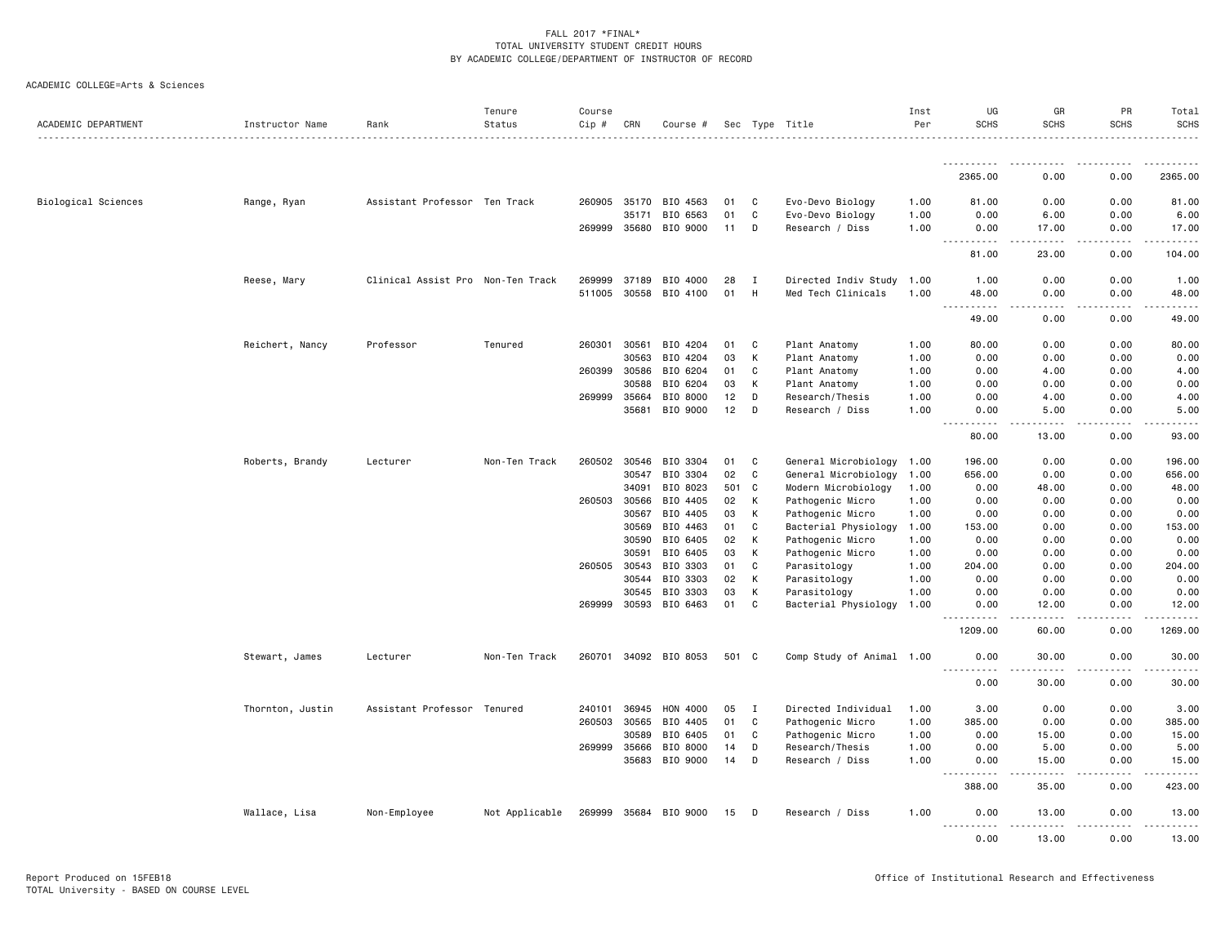| ACADEMIC DEPARTMENT | Instructor Name  | Rank                              | Tenure<br>Status | Course<br>Cip # | CRN            | Course #              |          |              | Sec Type Title                           | Inst<br>Per  | UG<br><b>SCHS</b>                        | GR<br><b>SCHS</b>                                                                                                                                             | PR<br><b>SCHS</b>     | Total<br><b>SCHS</b> |
|---------------------|------------------|-----------------------------------|------------------|-----------------|----------------|-----------------------|----------|--------------|------------------------------------------|--------------|------------------------------------------|---------------------------------------------------------------------------------------------------------------------------------------------------------------|-----------------------|----------------------|
|                     |                  |                                   |                  |                 |                |                       |          |              |                                          |              |                                          |                                                                                                                                                               |                       |                      |
|                     |                  |                                   |                  |                 |                |                       |          |              |                                          |              | 2365.00                                  | 0.00                                                                                                                                                          | 0.00                  | 2365.00              |
| Biological Sciences | Range, Ryan      | Assistant Professor Ten Track     |                  |                 | 260905 35170   | BIO 4563              | 01       | C            | Evo-Devo Biology                         | 1.00         | 81.00                                    | 0.00                                                                                                                                                          | 0.00                  | 81.00                |
|                     |                  |                                   |                  |                 | 35171          | BIO 6563              | 01       | C            | Evo-Devo Biology                         | 1.00         | 0.00                                     | 6.00                                                                                                                                                          | 0.00                  | 6.00                 |
|                     |                  |                                   |                  |                 | 269999 35680   | BIO 9000              | 11       | D            | Research / Diss                          | 1.00         | 0.00                                     | 17.00                                                                                                                                                         | 0.00                  | 17.00                |
|                     |                  |                                   |                  |                 |                |                       |          |              |                                          |              | $  -$<br>81.00                           | .<br>23.00                                                                                                                                                    | $\frac{1}{2}$<br>0.00 | 104.00               |
|                     | Reese, Mary      | Clinical Assist Pro Non-Ten Track |                  | 269999          | 37189          | BIO 4000              | 28       | I            | Directed Indiv Study                     | 1.00         | 1.00                                     | 0.00                                                                                                                                                          | 0.00                  | 1.00                 |
|                     |                  |                                   |                  | 511005          | 30558          | BIO 4100              | 01       | H            | Med Tech Clinicals                       | 1.00         | 48.00                                    | 0.00                                                                                                                                                          | 0.00                  | 48.00                |
|                     |                  |                                   |                  |                 |                |                       |          |              |                                          |              | .                                        |                                                                                                                                                               |                       |                      |
|                     |                  |                                   |                  |                 |                |                       |          |              |                                          |              | 49.00                                    | 0.00                                                                                                                                                          | 0.00                  | 49.00                |
|                     | Reichert, Nancy  | Professor                         | Tenured          | 260301          | 30561          | BIO 4204              | 01       | C            | Plant Anatomy                            | 1.00         | 80.00                                    | 0.00                                                                                                                                                          | 0.00                  | 80.00                |
|                     |                  |                                   |                  |                 | 30563          | BIO 4204              | 03       | K            | Plant Anatomy                            | 1.00         | 0.00                                     | 0.00                                                                                                                                                          | 0.00                  | 0.00                 |
|                     |                  |                                   |                  | 260399          | 30586          | BIO 6204              | 01       | C            | Plant Anatomy                            | 1.00         | 0.00                                     | 4.00                                                                                                                                                          | 0.00                  | 4.00                 |
|                     |                  |                                   |                  |                 | 30588          | BIO 6204              | 03       | K            | Plant Anatomy                            | 1.00         | 0.00                                     | 0.00                                                                                                                                                          | 0.00                  | 0.00                 |
|                     |                  |                                   |                  | 269999          | 35664          | BIO 8000<br>BIO 9000  | 12<br>12 | D<br>D       | Research/Thesis                          | 1.00         | 0.00                                     | 4.00                                                                                                                                                          | 0.00                  | 4.00<br>5.00         |
|                     |                  |                                   |                  |                 | 35681          |                       |          |              | Research / Diss                          | 1.00         | 0.00<br>----<br>.                        | 5.00                                                                                                                                                          | 0.00                  |                      |
|                     |                  |                                   |                  |                 |                |                       |          |              |                                          |              | 80.00                                    | 13.00                                                                                                                                                         | 0.00                  | 93.00                |
|                     | Roberts, Brandy  | Lecturer                          | Non-Ten Track    |                 | 260502 30546   | BIO 3304              | 01       | C            | General Microbiology                     | 1.00         | 196.00                                   | 0.00                                                                                                                                                          | 0.00                  | 196.00               |
|                     |                  |                                   |                  |                 | 30547          | BIO 3304              | 02       | C            | General Microbiology                     | 1.00         | 656.00                                   | 0.00                                                                                                                                                          | 0.00                  | 656.00               |
|                     |                  |                                   |                  |                 | 34091          | BIO 8023              | 501      | $\mathbf{C}$ | Modern Microbiology                      | 1.00         | 0.00                                     | 48.00                                                                                                                                                         | 0.00                  | 48.00                |
|                     |                  |                                   |                  |                 | 260503 30566   | BIO 4405              | 02       | К            | Pathogenic Micro                         | 1.00         | 0.00                                     | 0.00                                                                                                                                                          | 0.00                  | 0.00                 |
|                     |                  |                                   |                  |                 | 30567          | BIO 4405              | 03       | K            | Pathogenic Micro                         | 1.00         | 0.00                                     | 0.00                                                                                                                                                          | 0.00                  | 0.00                 |
|                     |                  |                                   |                  |                 | 30569<br>30590 | BIO 4463<br>BIO 6405  | 01<br>02 | C<br>К       | Bacterial Physiology<br>Pathogenic Micro | 1.00<br>1.00 | 153.00<br>0.00                           | 0.00<br>0.00                                                                                                                                                  | 0.00<br>0.00          | 153.00<br>0.00       |
|                     |                  |                                   |                  |                 | 30591          | BIO 6405              | 03       | К            | Pathogenic Micro                         | 1.00         | 0.00                                     | 0.00                                                                                                                                                          | 0.00                  | 0.00                 |
|                     |                  |                                   |                  | 260505          | 30543          | BIO 3303              | 01       | C            | Parasitology                             | 1.00         | 204.00                                   | 0.00                                                                                                                                                          | 0.00                  | 204.00               |
|                     |                  |                                   |                  |                 | 30544          | BIO 3303              | 02       | K            | Parasitology                             | 1.00         | 0.00                                     | 0.00                                                                                                                                                          | 0.00                  | 0.00                 |
|                     |                  |                                   |                  |                 | 30545          | BIO 3303              | 03       | К            | Parasitology                             | 1.00         | 0.00                                     | 0.00                                                                                                                                                          | 0.00                  | 0.00                 |
|                     |                  |                                   |                  |                 | 269999 30593   | BIO 6463              | 01       | C            | Bacterial Physiology                     | 1.00         | 0.00<br>.                                | 12.00<br>.                                                                                                                                                    | 0.00<br>.             | 12.00                |
|                     |                  |                                   |                  |                 |                |                       |          |              |                                          |              | 1209.00                                  | 60.00                                                                                                                                                         | 0.00                  | 1269.00              |
|                     | Stewart, James   | Lecturer                          | Non-Ten Track    | 260701          |                | 34092 BIO 8053        | 501 C    |              | Comp Study of Animal 1.00                |              | 0.00<br>$- - - -$                        | 30.00                                                                                                                                                         | 0.00                  | 30.00                |
|                     |                  |                                   |                  |                 |                |                       |          |              |                                          |              | 0.00                                     | 30.00                                                                                                                                                         | 0.00                  | 30.00                |
|                     | Thornton, Justin | Assistant Professor Tenured       |                  | 240101          | 36945          | HON 4000              | 05       | I            | Directed Individual                      | 1.00         | 3.00                                     | 0.00                                                                                                                                                          | 0.00                  | 3.00                 |
|                     |                  |                                   |                  |                 | 260503 30565   | BIO 4405              | 01       | C            | Pathogenic Micro                         | 1.00         | 385.00                                   | 0.00                                                                                                                                                          | 0.00                  | 385.00               |
|                     |                  |                                   |                  |                 | 30589          | BIO 6405              | 01       | C            | Pathogenic Micro                         | 1.00         | 0.00                                     | 15.00                                                                                                                                                         | 0.00                  | 15.00                |
|                     |                  |                                   |                  | 269999 35666    |                | BIO 8000              | 14       | D            | Research/Thesis                          | 1.00         | 0.00                                     | 5.00                                                                                                                                                          | 0.00                  | 5.00                 |
|                     |                  |                                   |                  |                 | 35683          | BIO 9000              | 14       | D            | Research / Diss                          | 1.00         | 0.00<br>$\sim$ $\sim$ $\sim$ $\sim$<br>. | 15.00<br>$- - - - -$                                                                                                                                          | 0.00<br>$- - - - -$   | 15.00                |
|                     |                  |                                   |                  |                 |                |                       |          |              |                                          |              | 388.00                                   | 35.00                                                                                                                                                         | 0.00                  | 423.00               |
|                     | Wallace, Lisa    | Non-Employee                      | Not Applicable   |                 |                | 269999 35684 BIO 9000 | 15       | D            | Research / Diss                          | 1.00         | 0.00<br><u>.</u>                         | 13,00<br>$\frac{1}{2} \left( \frac{1}{2} \right) \left( \frac{1}{2} \right) \left( \frac{1}{2} \right) \left( \frac{1}{2} \right) \left( \frac{1}{2} \right)$ | 0.00<br>$- - - - -$   | 13.00<br>.           |
|                     |                  |                                   |                  |                 |                |                       |          |              |                                          |              | 0.00                                     | 13,00                                                                                                                                                         | 0.00                  | 13.00                |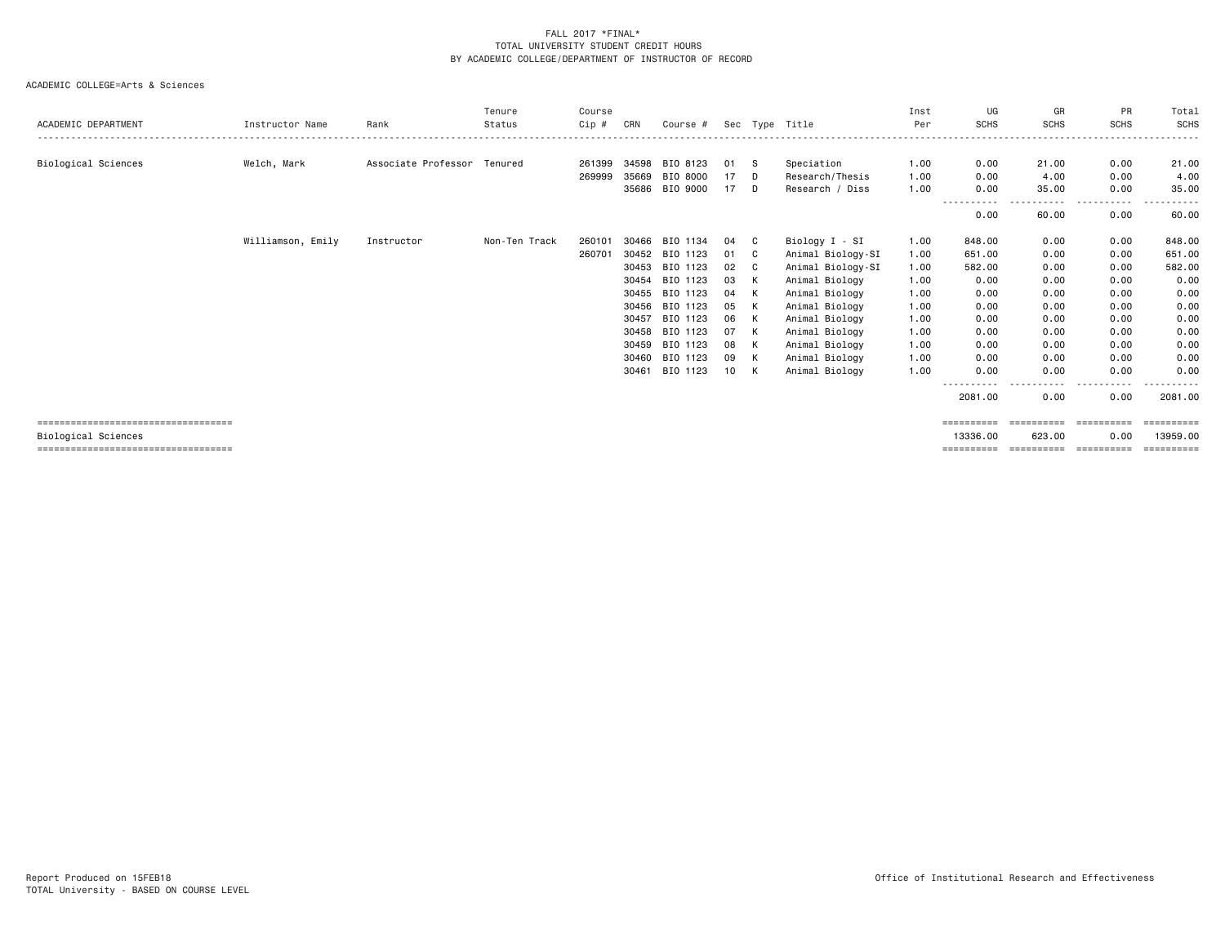| ACADEMIC DEPARTMENT                    | Instructor Name   | Rank                | Tenure<br>Status | Course<br>Cip # | CRN   | Course # |      |     | Sec Type Title    | Inst<br>Per | UG<br><b>SCHS</b>   | GR<br><b>SCHS</b> | <b>PR</b><br><b>SCHS</b> | Total<br>SCHS         |
|----------------------------------------|-------------------|---------------------|------------------|-----------------|-------|----------|------|-----|-------------------|-------------|---------------------|-------------------|--------------------------|-----------------------|
|                                        |                   |                     |                  |                 |       |          |      |     |                   |             |                     |                   |                          |                       |
| Biological Sciences                    | Welch, Mark       | Associate Professor | Tenured          | 261399          | 34598 | BIO 8123 | 01   | - S | Speciation        | 1.00        | 0.00                | 21.00             | 0.00                     | 21.00                 |
|                                        |                   |                     |                  | 269999          | 35669 | BIO 8000 | 17   | D   | Research/Thesis   | 1.00        | 0.00                | 4.00              | 0.00                     | 4.00                  |
|                                        |                   |                     |                  |                 | 35686 | BIO 9000 | 17   | D   | Research / Diss   | 1.00        | 0.00                | 35.00             | 0.00                     | 35.00                 |
|                                        |                   |                     |                  |                 |       |          |      |     |                   |             | -----------<br>0.00 | ----<br>60.00     | .<br>0.00                | .<br>60.00            |
|                                        | Williamson, Emily | Instructor          | Non-Ten Track    | 260101          | 30466 | BIO 1134 | 04   | C.  | Biology I - SI    | 1.00        | 848.00              | 0.00              | 0.00                     | 848.00                |
|                                        |                   |                     |                  | 260701          | 30452 | BIO 1123 | 01   | C.  | Animal Biology-SI | 1.00        | 651.00              | 0.00              | 0.00                     | 651.00                |
|                                        |                   |                     |                  |                 | 30453 | BIO 1123 | 02   | C.  | Animal Biology-SI | 1.00        | 582.00              | 0.00              | 0.00                     | 582.00                |
|                                        |                   |                     |                  |                 | 30454 | BIO 1123 | 03   | K   | Animal Biology    | 1.00        | 0.00                | 0.00              | 0.00                     | 0.00                  |
|                                        |                   |                     |                  |                 | 30455 | BIO 1123 | 04   | K   | Animal Biology    | 1.00        | 0.00                | 0.00              | 0.00                     | 0.00                  |
|                                        |                   |                     |                  |                 | 30456 | BIO 1123 | 05   | K   | Animal Biology    | 1.00        | 0.00                | 0.00              | 0.00                     | 0.00                  |
|                                        |                   |                     |                  |                 | 30457 | BIO 1123 | 06   | K   | Animal Biology    | 1.00        | 0.00                | 0.00              | 0.00                     | 0.00                  |
|                                        |                   |                     |                  |                 | 30458 | BIO 1123 | 07   | K   | Animal Biology    | 1.00        | 0.00                | 0.00              | 0.00                     | 0.00                  |
|                                        |                   |                     |                  |                 | 30459 | BIO 1123 | 08   | K   | Animal Biology    | 1.00        | 0.00                | 0.00              | 0.00                     | 0.00                  |
|                                        |                   |                     |                  |                 | 30460 | BIO 1123 | 09   | K   | Animal Biology    | 1.00        | 0.00                | 0.00              | 0.00                     | 0.00                  |
|                                        |                   |                     |                  |                 | 30461 | BIO 1123 | 10 K |     | Animal Biology    | 1.00        | 0.00                | 0.00              | 0.00                     | 0.00                  |
|                                        |                   |                     |                  |                 |       |          |      |     |                   |             | 2081.00             | .<br>0.00         | 0.00                     | . <u>.</u><br>2081.00 |
| =====================================  |                   |                     |                  |                 |       |          |      |     |                   |             | ==========          |                   | ----------- ---------    | ==========            |
| Biological Sciences                    |                   |                     |                  |                 |       |          |      |     |                   |             | 13336.00            | 623.00            | 0.00                     | 13959.00              |
| ====================================== |                   |                     |                  |                 |       |          |      |     |                   |             | ==========          | -----------       | -----------              | ==========            |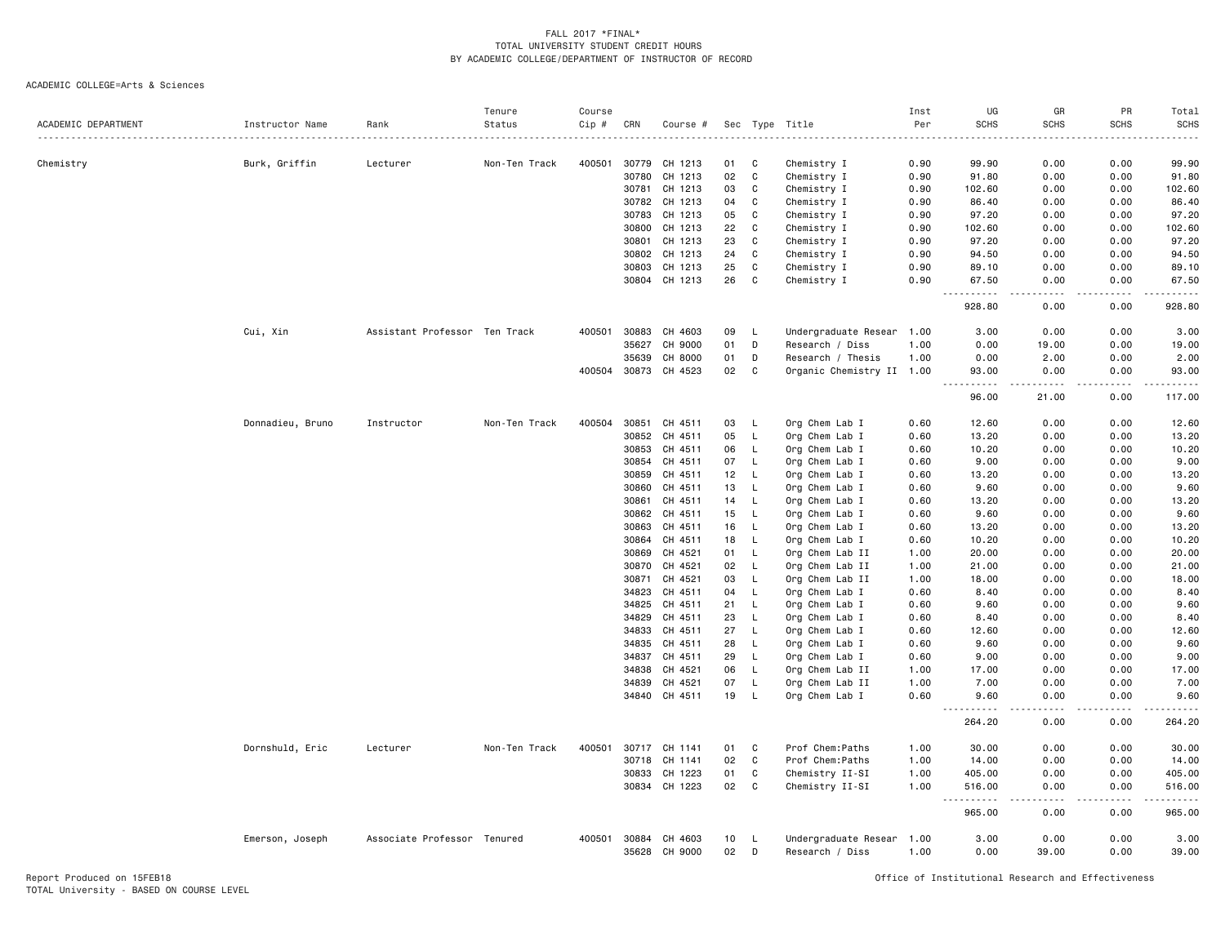| ACADEMIC DEPARTMENT | Instructor Name  | Rank                          | Tenure<br>Status | Course<br>Cip # | CRN   | Course #      |                 |              | Sec Type Title            | Inst<br>Per | UG<br><b>SCHS</b>                                     | GR<br><b>SCHS</b>                   | PR<br><b>SCHS</b> | Total<br>SCHS |
|---------------------|------------------|-------------------------------|------------------|-----------------|-------|---------------|-----------------|--------------|---------------------------|-------------|-------------------------------------------------------|-------------------------------------|-------------------|---------------|
| Chemistry           | Burk, Griffin    | .<br>Lecturer                 | Non-Ten Track    | 400501          | 30779 | CH 1213       | 01              | C            | Chemistry I               | .<br>0.90   | 99.90                                                 | 0.00                                | 0.00              | .<br>99.90    |
|                     |                  |                               |                  |                 | 30780 | CH 1213       | 02              | C            | Chemistry I               | 0.90        | 91.80                                                 | 0.00                                | 0.00              | 91.80         |
|                     |                  |                               |                  |                 | 30781 | CH 1213       | 03              | C            | Chemistry I               | 0.90        | 102.60                                                | 0.00                                | 0.00              | 102.60        |
|                     |                  |                               |                  |                 | 30782 | CH 1213       | 04              | C            | Chemistry I               | 0.90        | 86.40                                                 | 0.00                                | 0.00              | 86.40         |
|                     |                  |                               |                  |                 | 30783 | CH 1213       | 05              | C            | Chemistry I               | 0.90        | 97.20                                                 | 0.00                                | 0.00              | 97.20         |
|                     |                  |                               |                  |                 | 30800 | CH 1213       | 22              | C            | Chemistry I               | 0.90        | 102.60                                                | 0.00                                | 0.00              | 102.60        |
|                     |                  |                               |                  |                 | 30801 | CH 1213       | 23              | $\mathbb{C}$ | Chemistry I               | 0.90        | 97.20                                                 | 0.00                                | 0.00              | 97.20         |
|                     |                  |                               |                  |                 | 30802 | CH 1213       | 24              | C            | Chemistry I               | 0.90        | 94.50                                                 | 0.00                                | 0.00              | 94.50         |
|                     |                  |                               |                  |                 | 30803 | CH 1213       | 25              | C            | Chemistry I               | 0.90        | 89.10                                                 | 0.00                                | 0.00              | 89.10         |
|                     |                  |                               |                  |                 |       | 30804 CH 1213 | 26              | C            | Chemistry I               | 0.90        | 67.50                                                 | 0.00                                | 0.00              | 67.50         |
|                     |                  |                               |                  |                 |       |               |                 |              |                           |             | 928.80                                                | 0.00                                | 0.00              | 928.80        |
|                     | Cui, Xin         | Assistant Professor Ten Track |                  | 400501          | 30883 | CH 4603       | 09              | L            | Undergraduate Resear 1.00 |             | 3.00                                                  | 0.00                                | 0.00              | 3.00          |
|                     |                  |                               |                  |                 | 35627 | CH 9000       | 01              | D            | Research / Diss           | 1.00        | 0.00                                                  | 19.00                               | 0.00              | 19.00         |
|                     |                  |                               |                  |                 | 35639 | CH 8000       | 01              | D            | Research / Thesis         | 1.00        | 0.00                                                  | 2.00                                | 0.00              | 2.00          |
|                     |                  |                               |                  | 400504          | 30873 | CH 4523       | 02              | C            | Organic Chemistry II 1.00 |             | 93.00<br>.                                            | 0.00                                | 0.00              | 93.00         |
|                     |                  |                               |                  |                 |       |               |                 |              |                           |             | 96.00                                                 | 21.00                               | 0.00              | 117.00        |
|                     | Donnadieu, Bruno | Instructor                    | Non-Ten Track    | 400504          | 30851 | CH 4511       | 03              | - L          | Org Chem Lab I            | 0.60        | 12.60                                                 | 0.00                                | 0.00              | 12.60         |
|                     |                  |                               |                  |                 | 30852 | CH 4511       | 05              | L            | Org Chem Lab I            | 0.60        | 13.20                                                 | 0.00                                | 0.00              | 13.20         |
|                     |                  |                               |                  |                 | 30853 | CH 4511       | 06              | L            | Org Chem Lab I            | 0.60        | 10.20                                                 | 0.00                                | 0.00              | 10.20         |
|                     |                  |                               |                  |                 | 30854 | CH 4511       | 07              | $\mathsf{L}$ | Org Chem Lab I            | 0.60        | 9.00                                                  | 0.00                                | 0.00              | 9.00          |
|                     |                  |                               |                  |                 | 30859 | CH 4511       | 12              | L.           | Org Chem Lab I            | 0.60        | 13.20                                                 | 0.00                                | 0.00              | 13.20         |
|                     |                  |                               |                  |                 | 30860 | CH 4511       | 13              | L.           | Org Chem Lab I            | 0.60        | 9.60                                                  | 0.00                                | 0.00              | 9.60          |
|                     |                  |                               |                  |                 | 30861 | CH 4511       | 14              | L.           | Org Chem Lab I            | 0.60        | 13.20                                                 | 0.00                                | 0.00              | 13.20         |
|                     |                  |                               |                  |                 | 30862 | CH 4511       | 15              | L.           | Org Chem Lab I            | 0.60        | 9.60                                                  | 0.00                                | 0.00              | 9.60          |
|                     |                  |                               |                  |                 | 30863 | CH 4511       | 16              | L.           | Org Chem Lab I            | 0.60        | 13.20                                                 | 0.00                                | 0.00              | 13.20         |
|                     |                  |                               |                  |                 | 30864 | CH 4511       | 18              | L.           | Org Chem Lab I            | 0.60        | 10.20                                                 | 0.00                                | 0.00              | 10.20         |
|                     |                  |                               |                  |                 | 30869 | CH 4521       | 01              | L.           | Org Chem Lab II           | 1.00        | 20.00                                                 | 0.00                                | 0.00              | 20.00         |
|                     |                  |                               |                  |                 | 30870 | CH 4521       | 02              | L.           | Org Chem Lab II           | 1.00        | 21.00                                                 | 0.00                                | 0.00              | 21.00         |
|                     |                  |                               |                  |                 | 30871 | CH 4521       | 03              | L            | Org Chem Lab II           | 1.00        | 18.00                                                 | 0.00                                | 0.00              | 18.00         |
|                     |                  |                               |                  |                 | 34823 | CH 4511       | 04              | $\mathsf{L}$ | Org Chem Lab I            | 0.60        | 8.40                                                  | 0.00                                | 0.00              | 8.40          |
|                     |                  |                               |                  |                 | 34825 | CH 4511       | 21              | $\mathsf{L}$ | Org Chem Lab I            | 0.60        | 9.60                                                  | 0.00                                | 0.00              | 9.60          |
|                     |                  |                               |                  |                 | 34829 | CH 4511       | 23              | L.           | Org Chem Lab I            | 0.60        | 8.40                                                  | 0.00                                | 0.00              | 8.40          |
|                     |                  |                               |                  |                 | 34833 | CH 4511       | 27              | L.           | Org Chem Lab I            | 0.60        | 12.60                                                 | 0.00                                | 0.00              | 12.60         |
|                     |                  |                               |                  |                 | 34835 | CH 4511       | 28              | L.           | Org Chem Lab I            | 0.60        | 9.60                                                  | 0.00                                | 0.00              | 9.60          |
|                     |                  |                               |                  |                 | 34837 | CH 4511       | 29              | $\mathsf{L}$ | Org Chem Lab I            | 0.60        | 9.00                                                  | 0.00                                | 0.00              | 9.00          |
|                     |                  |                               |                  |                 | 34838 | CH 4521       | 06              | L.           | Org Chem Lab II           | 1.00        | 17.00                                                 | 0.00                                | 0.00              | 17.00         |
|                     |                  |                               |                  |                 | 34839 | CH 4521       | 07              | L.           | Org Chem Lab II           | 1.00        | 7.00                                                  | 0.00                                | 0.00              | 7.00          |
|                     |                  |                               |                  |                 |       | 34840 CH 4511 | 19              | L.           | Org Chem Lab I            | 0.60        | 9.60<br>$\omega_{\rm{eff}}$<br>.                      | 0.00<br>$\sim$ $\sim$ $\sim$ $\sim$ | 0.00              | 9.60          |
|                     |                  |                               |                  |                 |       |               |                 |              |                           |             | 264.20                                                | 0.00                                | 0.00              | 264.20        |
|                     | Dornshuld, Eric  | Lecturer                      | Non-Ten Track    | 400501          |       | 30717 CH 1141 | 01              | $\mathbf{C}$ | Prof Chem: Paths          | 1.00        | 30.00                                                 | 0.00                                | 0.00              | 30.00         |
|                     |                  |                               |                  |                 | 30718 | CH 1141       | 02              | C            | Prof Chem: Paths          | 1.00        | 14.00                                                 | 0.00                                | 0.00              | 14.00         |
|                     |                  |                               |                  |                 | 30833 | CH 1223       | 01              | C            | Chemistry II-SI           | 1.00        | 405.00                                                | 0.00                                | 0.00              | 405.00        |
|                     |                  |                               |                  |                 |       | 30834 CH 1223 | 02              | C            | Chemistry II-SI           | 1.00        | 516.00<br>$\sim$ $\sim$<br>$\omega = \omega = \omega$ | 0.00                                | 0.00              | 516.00        |
|                     |                  |                               |                  |                 |       |               |                 |              |                           |             | 965.00                                                | 0.00                                | 0.00              | 965.00        |
|                     | Emerson, Joseph  | Associate Professor Tenured   |                  | 400501          | 30884 | CH 4603       | 10 <sup>1</sup> | - L          | Undergraduate Resear 1.00 |             | 3.00                                                  | 0.00                                | 0.00              | 3.00          |
|                     |                  |                               |                  |                 | 35628 | CH 9000       | 02              | D            | Research / Diss           | 1.00        | 0.00                                                  | 39.00                               | 0.00              | 39.00         |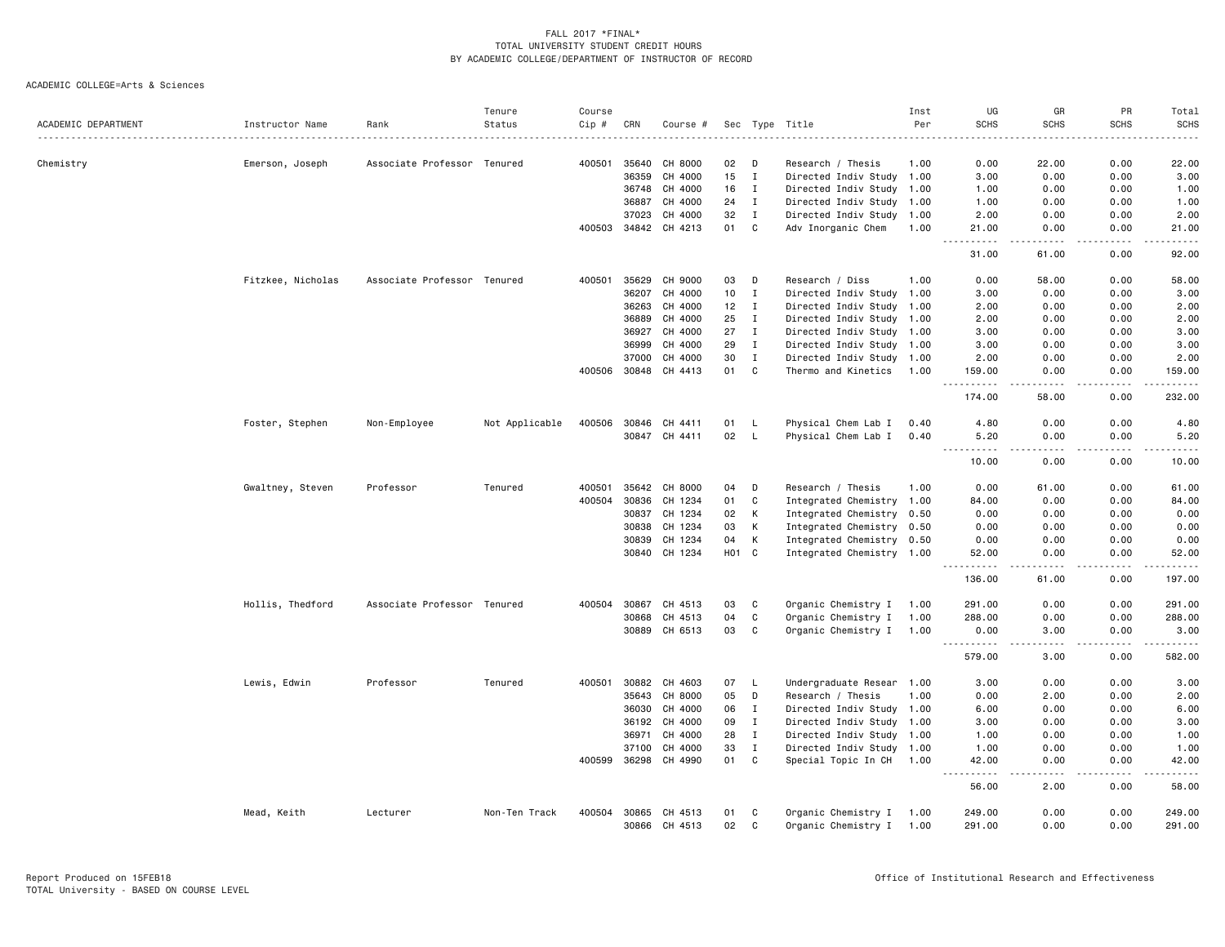| ACADEMIC DEPARTMENT | Instructor Name   | Rank                        | Tenure<br>Status | Course<br>Cip # | CRN          | Course #             |                 |              | Sec Type Title            | Inst<br>Per | UG<br><b>SCHS</b>    | GR<br><b>SCHS</b> | PR<br><b>SCHS</b> | Total<br><b>SCHS</b><br>$\frac{1}{2} \left( \frac{1}{2} \right) \left( \frac{1}{2} \right) \left( \frac{1}{2} \right) \left( \frac{1}{2} \right)$                                                                  |
|---------------------|-------------------|-----------------------------|------------------|-----------------|--------------|----------------------|-----------------|--------------|---------------------------|-------------|----------------------|-------------------|-------------------|--------------------------------------------------------------------------------------------------------------------------------------------------------------------------------------------------------------------|
| Chemistry           | Emerson, Joseph   | Associate Professor Tenured |                  | 400501          | 35640        | CH 8000              | 02              | D            | Research / Thesis         | 1.00        | 0.00                 | 22.00             | 0.00              | 22.00                                                                                                                                                                                                              |
|                     |                   |                             |                  |                 | 36359        | CH 4000              | 15              | $\mathbf{I}$ | Directed Indiv Study 1.00 |             | 3.00                 | 0.00              | 0.00              | 3.00                                                                                                                                                                                                               |
|                     |                   |                             |                  |                 | 36748        | CH 4000              | 16              | I            | Directed Indiv Study      | 1.00        | 1.00                 | 0.00              | 0.00              | 1.00                                                                                                                                                                                                               |
|                     |                   |                             |                  |                 | 36887        | CH 4000              | 24              | $\mathbf{I}$ | Directed Indiv Study 1.00 |             | 1.00                 | 0.00              | 0.00              | 1.00                                                                                                                                                                                                               |
|                     |                   |                             |                  |                 | 37023        | CH 4000              | 32              | $\mathbf{I}$ | Directed Indiv Study 1.00 |             | 2.00                 | 0.00              | 0.00              | 2.00                                                                                                                                                                                                               |
|                     |                   |                             |                  | 400503          | 34842        | CH 4213              | 01              | C            | Adv Inorganic Chem        | 1.00        | 21.00                | 0.00              | 0.00              | 21.00                                                                                                                                                                                                              |
|                     |                   |                             |                  |                 |              |                      |                 |              |                           |             | .<br>31.00           | .<br>61.00        | 0.00              | 92.00                                                                                                                                                                                                              |
|                     | Fitzkee, Nicholas | Associate Professor Tenured |                  | 400501          | 35629        | CH 9000              | 03              | D            | Research / Diss           | 1.00        | 0.00                 | 58.00             | 0.00              | 58.00                                                                                                                                                                                                              |
|                     |                   |                             |                  |                 | 36207        | CH 4000              | 10 <sub>1</sub> | $\mathbf{I}$ | Directed Indiv Study 1.00 |             | 3.00                 | 0.00              | 0.00              | 3.00                                                                                                                                                                                                               |
|                     |                   |                             |                  |                 | 36263        | CH 4000              | 12              | $\mathbf{I}$ | Directed Indiv Study 1.00 |             | 2.00                 | 0.00              | 0.00              | 2.00                                                                                                                                                                                                               |
|                     |                   |                             |                  |                 | 36889        | CH 4000              | 25              | $\mathbf I$  | Directed Indiv Study 1.00 |             | 2.00                 | 0.00              | 0.00              | 2.00                                                                                                                                                                                                               |
|                     |                   |                             |                  |                 | 36927        | CH 4000              | 27              | $\mathbf I$  | Directed Indiv Study 1.00 |             | 3.00                 | 0.00              | 0.00              | 3.00                                                                                                                                                                                                               |
|                     |                   |                             |                  |                 | 36999        | CH 4000              | 29              | $\mathbf{I}$ | Directed Indiv Study 1.00 |             | 3.00                 | 0.00              | 0.00              | 3.00                                                                                                                                                                                                               |
|                     |                   |                             |                  |                 | 37000        | CH 4000              | 30              | $\mathbf I$  | Directed Indiv Study 1.00 |             | 2.00                 | 0.00              | 0.00              | 2.00                                                                                                                                                                                                               |
|                     |                   |                             |                  |                 |              | 400506 30848 CH 4413 | 01              | C            | Thermo and Kinetics       | 1.00        | 159.00<br>. <b>.</b> | 0.00<br>.         | 0.00<br>.         | 159.00<br>$- - - - - -$                                                                                                                                                                                            |
|                     |                   |                             |                  |                 |              |                      |                 |              |                           |             | 174.00               | 58.00             | 0.00              | 232.00                                                                                                                                                                                                             |
|                     | Foster, Stephen   | Non-Employee                | Not Applicable   | 400506          | 30846        | CH 4411              | 01              | L            | Physical Chem Lab I       | 0.40        | 4.80                 | 0.00              | 0.00              | 4.80                                                                                                                                                                                                               |
|                     |                   |                             |                  |                 |              | 30847 CH 4411        | 02              | $\mathsf{L}$ | Physical Chem Lab I       | 0.40        | 5.20                 | 0.00              | 0.00              | 5.20                                                                                                                                                                                                               |
|                     |                   |                             |                  |                 |              |                      |                 |              |                           |             | 10.00                | 0.00              | 0.00              | 10.00                                                                                                                                                                                                              |
|                     | Gwaltney, Steven  | Professor                   | Tenured          | 400501          | 35642        | CH 8000              | 04              | D            | Research / Thesis         | 1.00        | 0.00                 | 61.00             | 0.00              | 61.00                                                                                                                                                                                                              |
|                     |                   |                             |                  | 400504          | 30836        | CH 1234              | 01              | C            | Integrated Chemistry 1.00 |             | 84.00                | 0.00              | 0.00              | 84.00                                                                                                                                                                                                              |
|                     |                   |                             |                  |                 | 30837        | CH 1234              | 02              | К            | Integrated Chemistry 0.50 |             | 0.00                 | 0.00              | 0.00              | 0.00                                                                                                                                                                                                               |
|                     |                   |                             |                  |                 | 30838        | CH 1234              | 03              | К            | Integrated Chemistry 0.50 |             | 0.00                 | 0.00              | 0.00              | 0.00                                                                                                                                                                                                               |
|                     |                   |                             |                  |                 | 30839        | CH 1234              | 04              | К            | Integrated Chemistry 0.50 |             | 0.00                 | 0.00              | 0.00              | 0.00                                                                                                                                                                                                               |
|                     |                   |                             |                  |                 | 30840        | CH 1234              | <b>H01</b>      | $\mathbf{C}$ | Integrated Chemistry 1.00 |             | 52.00<br>.           | 0.00              | 0.00              | 52.00<br>.                                                                                                                                                                                                         |
|                     |                   |                             |                  |                 |              |                      |                 |              |                           |             | 136.00               | 61.00             | 0.00              | 197.00                                                                                                                                                                                                             |
|                     | Hollis, Thedford  | Associate Professor Tenured |                  |                 | 400504 30867 | CH 4513              | 03              | C            | Organic Chemistry I 1.00  |             | 291.00               | 0.00              | 0.00              | 291.00                                                                                                                                                                                                             |
|                     |                   |                             |                  |                 | 30868        | CH 4513              | 04              | C            | Organic Chemistry I       | 1.00        | 288.00               | 0.00              | 0.00              | 288.00                                                                                                                                                                                                             |
|                     |                   |                             |                  |                 |              | 30889 CH 6513        | 03              | C            | Organic Chemistry I 1.00  |             | 0.00<br><u>.</u>     | 3.00<br>.         | 0.00              | 3.00<br>$\frac{1}{2} \left( \frac{1}{2} \right) \left( \frac{1}{2} \right) \left( \frac{1}{2} \right) \left( \frac{1}{2} \right) \left( \frac{1}{2} \right) \left( \frac{1}{2} \right) \left( \frac{1}{2} \right)$ |
|                     |                   |                             |                  |                 |              |                      |                 |              |                           |             | 579.00               | 3.00              | 0.00              | 582.00                                                                                                                                                                                                             |
|                     | Lewis, Edwin      | Professor                   | Tenured          | 400501          | 30882        | CH 4603              | 07              | - L          | Undergraduate Resear 1.00 |             | 3.00                 | 0.00              | 0.00              | 3.00                                                                                                                                                                                                               |
|                     |                   |                             |                  |                 | 35643        | CH 8000              | 05              | D            | Research / Thesis         | 1.00        | 0.00                 | 2.00              | 0.00              | 2.00                                                                                                                                                                                                               |
|                     |                   |                             |                  |                 | 36030        | CH 4000              | 06              | $\mathbf{I}$ | Directed Indiv Study 1.00 |             | 6.00                 | 0.00              | 0.00              | 6.00                                                                                                                                                                                                               |
|                     |                   |                             |                  |                 | 36192        | CH 4000              | 09              | $\mathbf I$  | Directed Indiv Study 1.00 |             | 3.00                 | 0.00              | 0.00              | 3.00                                                                                                                                                                                                               |
|                     |                   |                             |                  |                 | 36971        | CH 4000              | 28              | $\mathbf{I}$ | Directed Indiv Study 1.00 |             | 1.00                 | 0.00              | 0.00              | 1.00                                                                                                                                                                                                               |
|                     |                   |                             |                  |                 | 37100        | CH 4000              | 33              | Ι.           | Directed Indiv Study 1.00 |             | 1.00                 | 0.00              | 0.00              | 1.00                                                                                                                                                                                                               |
|                     |                   |                             |                  | 400599          | 36298        | CH 4990              | 01              | C            | Special Topic In CH 1.00  |             | 42.00                | 0.00              | 0.00              | 42.00                                                                                                                                                                                                              |
|                     |                   |                             |                  |                 |              |                      |                 |              |                           |             | 56.00                | 2.00              | 0.00              | 58.00                                                                                                                                                                                                              |
|                     | Mead, Keith       | Lecturer                    | Non-Ten Track    | 400504          | 30865        | CH 4513              | 01              | C            | Organic Chemistry I 1.00  |             | 249.00               | 0.00              | 0.00              | 249.00                                                                                                                                                                                                             |
|                     |                   |                             |                  |                 |              | 30866 CH 4513        | 02              | C            | Organic Chemistry I 1.00  |             | 291.00               | 0.00              | 0.00              | 291.00                                                                                                                                                                                                             |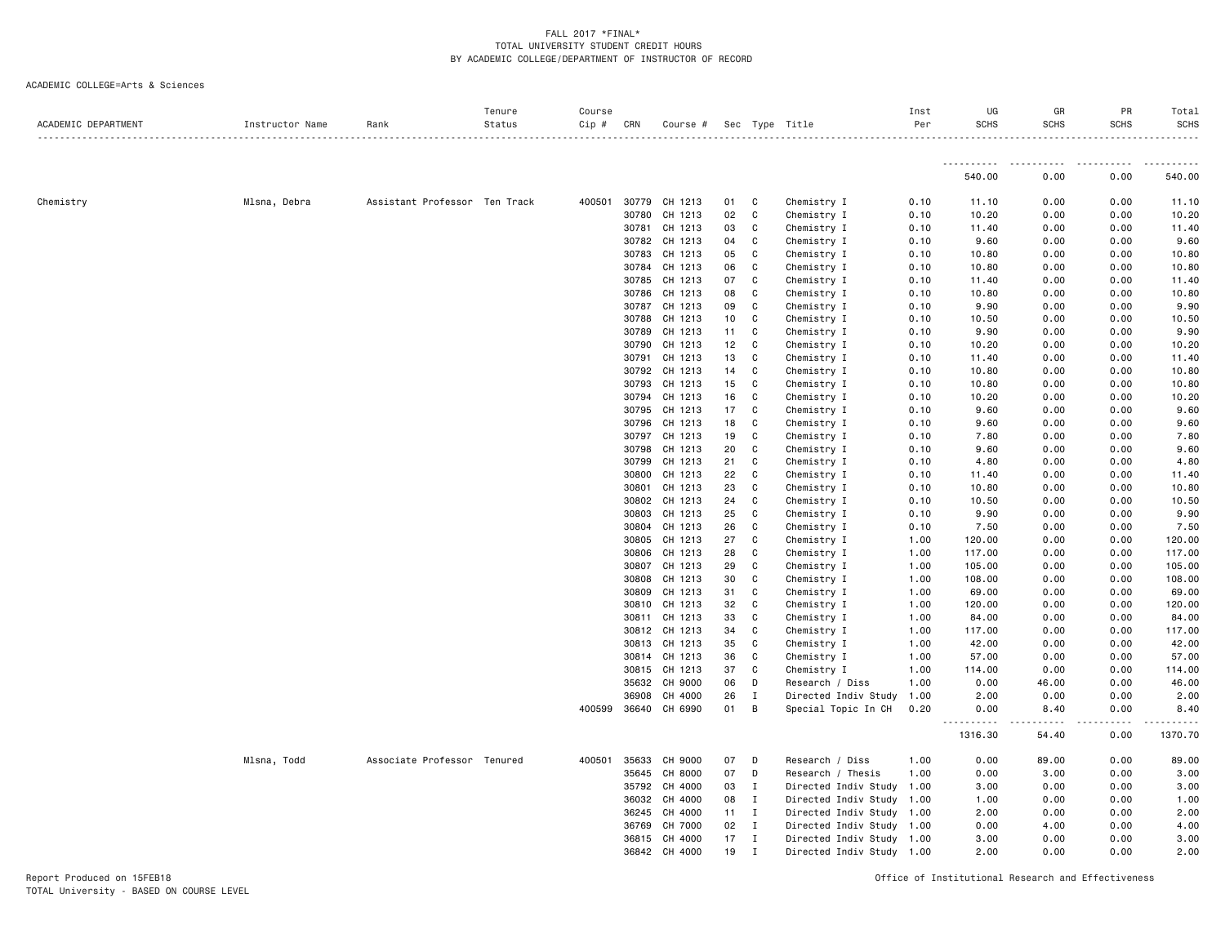| ACADEMIC DEPARTMENT | Instructor Name | Rank                          | Tenure<br>Status | Course<br>$Cip \#$ | CRN   | Course #      |    |              | Sec Type Title            | Inst<br>Per | UG<br><b>SCHS</b> | GR<br><b>SCHS</b>                   | PR<br><b>SCHS</b> | Total<br><b>SCHS</b> |
|---------------------|-----------------|-------------------------------|------------------|--------------------|-------|---------------|----|--------------|---------------------------|-------------|-------------------|-------------------------------------|-------------------|----------------------|
|                     |                 |                               |                  |                    |       |               |    |              |                           |             | <u>.</u>          | .                                   | ----------        | .                    |
|                     |                 |                               |                  |                    |       |               |    |              |                           |             | 540.00            | 0.00                                | 0.00              | 540.00               |
| Chemistry           | Mlsna, Debra    | Assistant Professor Ten Track |                  | 400501             |       | 30779 CH 1213 | 01 | C            | Chemistry I               | 0.10        | 11.10             | 0.00                                | 0.00              | 11.10                |
|                     |                 |                               |                  |                    | 30780 | CH 1213       | 02 | C            | Chemistry I               | 0.10        | 10.20             | 0.00                                | 0.00              | 10.20                |
|                     |                 |                               |                  |                    | 30781 | CH 1213       | 03 | С            | Chemistry I               | 0.10        | 11.40             | 0.00                                | 0.00              | 11.40                |
|                     |                 |                               |                  |                    | 30782 | CH 1213       | 04 | C            | Chemistry I               | 0.10        | 9.60              | 0.00                                | 0.00              | 9.60                 |
|                     |                 |                               |                  |                    | 30783 | CH 1213       | 05 | C            | Chemistry I               | 0.10        | 10.80             | 0.00                                | 0.00              | 10.80                |
|                     |                 |                               |                  |                    |       | 30784 CH 1213 | 06 | C            | Chemistry I               | 0.10        | 10.80             | 0.00                                | 0.00              | 10.80                |
|                     |                 |                               |                  |                    | 30785 | CH 1213       | 07 | C            | Chemistry I               | 0.10        | 11.40             | 0.00                                | 0.00              | 11.40                |
|                     |                 |                               |                  |                    | 30786 | CH 1213       | 08 | C            | Chemistry I               | 0.10        | 10.80             | 0.00                                | 0.00              | 10.80                |
|                     |                 |                               |                  |                    | 30787 | CH 1213       | 09 | C            | Chemistry I               | 0.10        | 9.90              | 0.00                                | 0.00              | 9.90                 |
|                     |                 |                               |                  |                    | 30788 | CH 1213       | 10 | С            | Chemistry I               | 0.10        | 10.50             | 0.00                                | 0.00              | 10.50                |
|                     |                 |                               |                  |                    | 30789 | CH 1213       | 11 | C            | Chemistry I               | 0.10        | 9.90              | 0.00                                | 0.00              | 9.90                 |
|                     |                 |                               |                  |                    | 30790 | CH 1213       | 12 | C            | Chemistry I               | 0.10        | 10.20             | 0.00                                | 0.00              | 10.20                |
|                     |                 |                               |                  |                    | 30791 | CH 1213       | 13 | C            | Chemistry I               | 0.10        | 11.40             | 0.00                                | 0.00              | 11.40                |
|                     |                 |                               |                  |                    | 30792 | CH 1213       | 14 | C            | Chemistry I               | 0.10        | 10.80             | 0.00                                | 0.00              | 10.80                |
|                     |                 |                               |                  |                    | 30793 | CH 1213       | 15 | C            | Chemistry I               | 0.10        | 10.80             | 0.00                                | 0.00              | 10.80                |
|                     |                 |                               |                  |                    |       | 30794 CH 1213 | 16 | C            | Chemistry I               | 0.10        | 10.20             | 0.00                                | 0.00              | 10.20                |
|                     |                 |                               |                  |                    | 30795 | CH 1213       | 17 | C            | Chemistry I               | 0.10        | 9.60              | 0.00                                | 0.00              | 9.60                 |
|                     |                 |                               |                  |                    | 30796 | CH 1213       | 18 | C            | Chemistry I               | 0.10        | 9.60              | 0.00                                | 0.00              | 9.60                 |
|                     |                 |                               |                  |                    | 30797 | CH 1213       | 19 | C            | Chemistry I               | 0.10        | 7.80              | 0.00                                | 0.00              | 7.80                 |
|                     |                 |                               |                  |                    | 30798 | CH 1213       | 20 | С            | Chemistry I               | 0.10        | 9.60              | 0.00                                | 0.00              | 9.60                 |
|                     |                 |                               |                  |                    | 30799 | CH 1213       | 21 | C            | Chemistry I               | 0.10        | 4.80              | 0.00                                | 0.00              | 4.80                 |
|                     |                 |                               |                  |                    | 30800 | CH 1213       | 22 | C            | Chemistry I               | 0.10        | 11.40             | 0.00                                | 0.00              | 11.40                |
|                     |                 |                               |                  |                    | 30801 | CH 1213       | 23 | C            | Chemistry I               | 0.10        | 10.80             | 0.00                                | 0.00              | 10.80                |
|                     |                 |                               |                  |                    | 30802 | CH 1213       | 24 | C            | Chemistry I               | 0.10        | 10.50             | 0.00                                | 0.00              | 10.50                |
|                     |                 |                               |                  |                    | 30803 | CH 1213       | 25 | C            | Chemistry I               | 0.10        | 9.90              | 0.00                                | 0.00              | 9.90                 |
|                     |                 |                               |                  |                    |       | 30804 CH 1213 | 26 | C            | Chemistry I               | 0.10        | 7.50              | 0.00                                | 0.00              | 7.50                 |
|                     |                 |                               |                  |                    | 30805 | CH 1213       | 27 | C            | Chemistry I               | 1.00        | 120.00            | 0.00                                | 0.00              | 120.00               |
|                     |                 |                               |                  |                    | 30806 | CH 1213       | 28 | C            | Chemistry I               | 1.00        | 117.00            | 0.00                                | 0.00              | 117.00               |
|                     |                 |                               |                  |                    | 30807 | CH 1213       | 29 | $\mathtt{C}$ | Chemistry I               | 1.00        | 105.00            | 0.00                                | 0.00              | 105.00               |
|                     |                 |                               |                  |                    | 30808 | CH 1213       | 30 | C            | Chemistry I               | 1.00        | 108.00            | 0.00                                | 0.00              | 108.00               |
|                     |                 |                               |                  |                    | 30809 | CH 1213       | 31 | C            | Chemistry I               | 1.00        | 69.00             | 0.00                                | 0.00              | 69.00                |
|                     |                 |                               |                  |                    | 30810 | CH 1213       | 32 | C            | Chemistry I               | 1.00        | 120.00            | 0.00                                | 0.00              | 120.00               |
|                     |                 |                               |                  |                    | 30811 | CH 1213       | 33 | C            | Chemistry I               | 1.00        | 84.00             | 0.00                                | 0.00              | 84.00                |
|                     |                 |                               |                  |                    | 30812 | CH 1213       | 34 | C            | Chemistry I               | 1.00        | 117.00            | 0.00                                | 0.00              | 117.00               |
|                     |                 |                               |                  |                    | 30813 | CH 1213       | 35 | C            | Chemistry I               | 1.00        | 42.00             | 0.00                                | 0.00              | 42.00                |
|                     |                 |                               |                  |                    | 30814 | CH 1213       | 36 | C            | Chemistry I               | 1.00        | 57.00             | 0.00                                | 0.00              | 57.00                |
|                     |                 |                               |                  |                    | 30815 | CH 1213       | 37 | C            | Chemistry I               | 1.00        | 114.00            | 0.00                                | 0.00              | 114.00               |
|                     |                 |                               |                  |                    | 35632 | CH 9000       | 06 | D            | Research / Diss           | 1.00        | 0.00              | 46.00                               | 0.00              | 46.00                |
|                     |                 |                               |                  |                    | 36908 | CH 4000       | 26 | $\;$ I       | Directed Indiv Study      | 1.00        | 2.00              | 0.00                                | 0.00              | 2.00                 |
|                     |                 |                               |                  | 400599             | 36640 | CH 6990       | 01 | В            | Special Topic In CH       | 0.20        | 0.00<br><u>.</u>  | 8.40<br>$\sim$ $\sim$ $\sim$ $\sim$ | 0.00              | 8.40<br>-----        |
|                     |                 |                               |                  |                    |       |               |    |              |                           |             | 1316.30           | 54.40                               | 0.00              | 1370.70              |
|                     | Mlsna, Todd     | Associate Professor Tenured   |                  | 400501             | 35633 | CH 9000       | 07 | D            | Research / Diss           | 1.00        | 0.00              | 89.00                               | 0.00              | 89.00                |
|                     |                 |                               |                  |                    | 35645 | CH 8000       | 07 | D            | Research / Thesis         | 1.00        | 0.00              | 3.00                                | 0.00              | 3.00                 |
|                     |                 |                               |                  |                    | 35792 | CH 4000       | 03 | $\;$ I       | Directed Indiv Study 1.00 |             | 3.00              | 0.00                                | 0.00              | 3.00                 |
|                     |                 |                               |                  |                    | 36032 | CH 4000       | 08 | $\mathbf{I}$ | Directed Indiv Study 1.00 |             | 1.00              | 0.00                                | 0.00              | 1.00                 |
|                     |                 |                               |                  |                    | 36245 | CH 4000       | 11 | $\mathbf I$  | Directed Indiv Study 1.00 |             | 2.00              | 0.00                                | 0.00              | 2.00                 |
|                     |                 |                               |                  |                    | 36769 | CH 7000       | 02 | $\mathbf{I}$ | Directed Indiv Study 1.00 |             | 0.00              | 4.00                                | 0.00              | 4.00                 |
|                     |                 |                               |                  |                    | 36815 | CH 4000       | 17 | $\mathbf I$  | Directed Indiv Study 1.00 |             | 3.00              | 0.00                                | 0.00              | 3.00                 |
|                     |                 |                               |                  |                    | 36842 | CH 4000       | 19 | $\mathbf I$  | Directed Indiv Study 1.00 |             | 2.00              | 0.00                                | 0.00              | 2.00                 |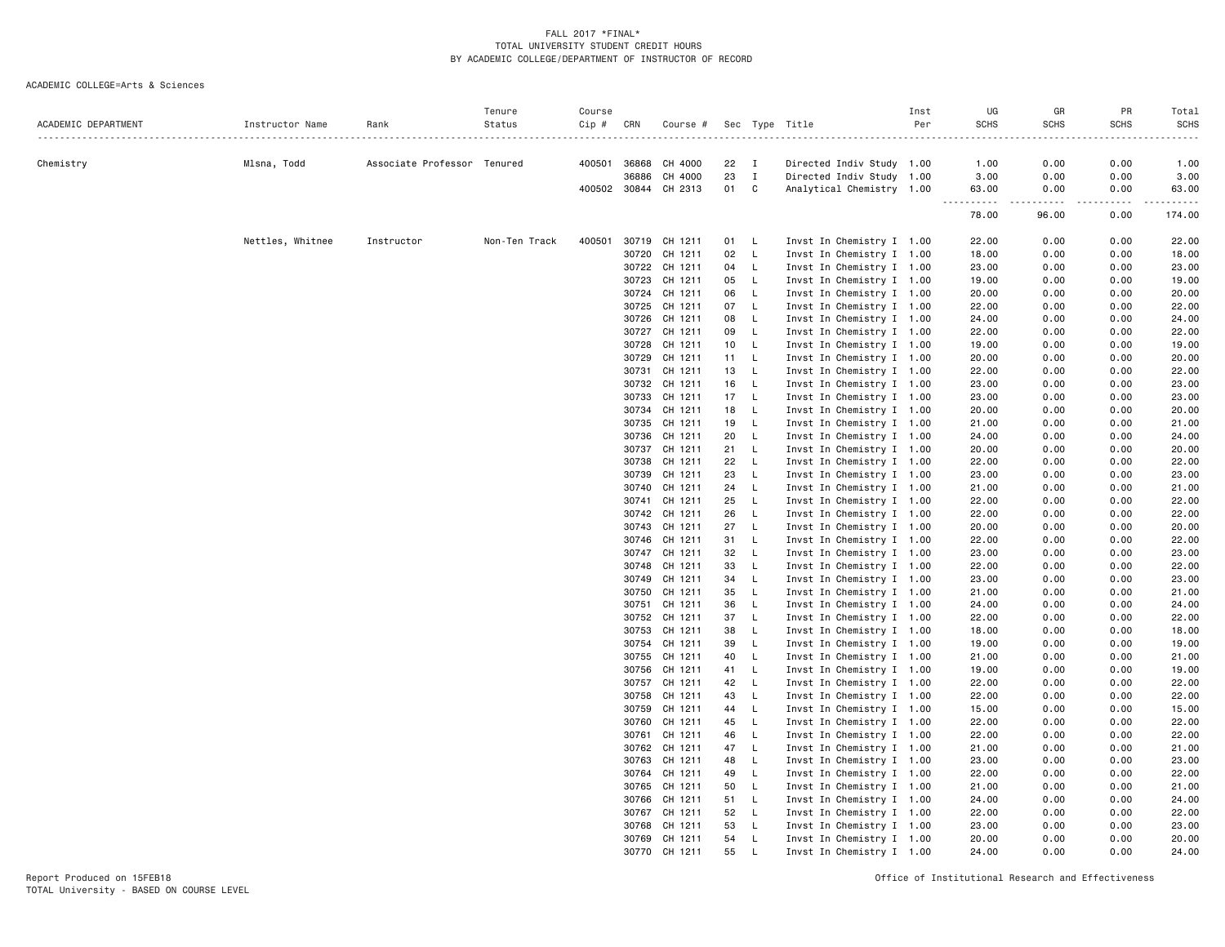|                     |                  |                             | Tenure        | Course   |              |                                |            |                   |                                                        | Inst | UG             | GR               | PR           | Total              |
|---------------------|------------------|-----------------------------|---------------|----------|--------------|--------------------------------|------------|-------------------|--------------------------------------------------------|------|----------------|------------------|--------------|--------------------|
| ACADEMIC DEPARTMENT | Instructor Name  | Rank                        | Status        | $Cip \#$ | CRN          | Course #                       |            |                   | Sec Type Title                                         | Per  | <b>SCHS</b>    | <b>SCHS</b><br>. | SCHS         | <b>SCHS</b><br>.   |
| Chemistry           | Mlsna, Todd      | Associate Professor Tenured |               |          | 400501 36868 | CH 4000                        | 22         | $\mathbf{I}$      | Directed Indiv Study 1.00                              |      | 1.00           | 0.00             | 0.00         | 1.00               |
|                     |                  |                             |               |          | 36886        | CH 4000                        | 23         | $\mathbf{I}$      | Directed Indiv Study 1.00                              |      | 3.00           | 0.00             | 0.00         | 3.00               |
|                     |                  |                             |               |          |              | 400502 30844 CH 2313           | 01         | C                 | Analytical Chemistry 1.00                              |      | 63.00          | 0.00             | 0.00         | 63.00              |
|                     |                  |                             |               |          |              |                                |            |                   |                                                        |      | 78.00          | .<br>96.00       | .<br>0.00    | <u>.</u><br>174.00 |
|                     |                  |                             | Non-Ten Track | 400501   |              |                                |            |                   |                                                        |      |                | 0.00             |              |                    |
|                     | Nettles, Whitnee | Instructor                  |               |          | 30720        | 30719 CH 1211<br>CH 1211       | 01 L<br>02 | L.                | Invst In Chemistry I 1.00<br>Invst In Chemistry I 1.00 |      | 22.00<br>18.00 | 0.00             | 0.00<br>0.00 | 22.00<br>18.00     |
|                     |                  |                             |               |          | 30722        | CH 1211                        | 04         | L                 | Invst In Chemistry I 1.00                              |      | 23.00          | 0.00             | 0.00         | 23.00              |
|                     |                  |                             |               |          |              | 30723 CH 1211                  | 05         | $\mathsf{L}$      | Invst In Chemistry I 1.00                              |      | 19.00          | 0.00             | 0.00         | 19.00              |
|                     |                  |                             |               |          |              | 30724 CH 1211                  | 06         | L                 | Invst In Chemistry I 1.00                              |      | 20.00          | 0.00             | 0.00         | 20.00              |
|                     |                  |                             |               |          |              | 30725 CH 1211                  | 07         | L.                | Invst In Chemistry I 1.00                              |      | 22.00          | 0.00             | 0.00         | 22.00              |
|                     |                  |                             |               |          |              | 30726 CH 1211                  | 08         | L.                | Invst In Chemistry I 1.00                              |      | 24.00          | 0.00             | 0.00         | 24.00              |
|                     |                  |                             |               |          | 30727        | CH 1211                        | 09         | <b>L</b>          | Invst In Chemistry I 1.00                              |      | 22.00          | 0.00             | 0.00         | 22.00              |
|                     |                  |                             |               |          |              | 30728 CH 1211                  | 10         | $\mathsf{L}$      | Invst In Chemistry I 1.00                              |      | 19.00          | 0.00             | 0.00         | 19.00              |
|                     |                  |                             |               |          |              | 30729 CH 1211                  | 11 L       |                   | Invst In Chemistry I 1.00                              |      | 20.00          | 0.00             | 0.00         | 20.00              |
|                     |                  |                             |               |          | 30731        | CH 1211                        | 13         | $\mathsf{L}$      | Invst In Chemistry I 1.00                              |      | 22.00          | 0.00             | 0.00         | 22.00              |
|                     |                  |                             |               |          |              | 30732 CH 1211                  | 16         | L.                | Invst In Chemistry I 1.00                              |      | 23.00          | 0.00             | 0.00         | 23.00              |
|                     |                  |                             |               |          |              | 30733 CH 1211                  | 17         | $\mathsf{L}$      | Invst In Chemistry I 1.00                              |      | 23.00          | 0.00             | 0.00         | 23.00              |
|                     |                  |                             |               |          |              | 30734 CH 1211                  | 18         | $\mathsf{L}$      | Invst In Chemistry I 1.00                              |      | 20.00          | 0.00             | 0.00         | 20.00              |
|                     |                  |                             |               |          |              | 30735 CH 1211                  | 19         | <b>L</b>          | Invst In Chemistry I 1.00                              |      | 21.00          | 0.00             | 0.00         | 21.00              |
|                     |                  |                             |               |          |              | 30736 CH 1211                  | 20         | L.                | Invst In Chemistry I 1.00                              |      | 24.00          | 0.00             | 0.00         | 24.00              |
|                     |                  |                             |               |          | 30737        | CH 1211                        | 21         | $\mathsf{L}$      | Invst In Chemistry I 1.00                              |      | 20.00          | 0.00             | 0.00         | 20.00              |
|                     |                  |                             |               |          | 30738        | CH 1211                        | 22         | $\mathsf{L}$      | Invst In Chemistry I 1.00                              |      | 22.00          | 0.00             | 0.00         | 22.00              |
|                     |                  |                             |               |          | 30739        | CH 1211                        | 23         | L                 | Invst In Chemistry I 1.00                              |      | 23.00          | 0.00             | 0.00         | 23.00              |
|                     |                  |                             |               |          |              | 30740 CH 1211                  | 24         | L                 | Invst In Chemistry I 1.00                              |      | 21.00          | 0.00             | 0.00         | 21.00              |
|                     |                  |                             |               |          |              | 30741 CH 1211                  | 25         | $\mathsf{L}$      | Invst In Chemistry I 1.00                              |      | 22.00          | 0.00             | 0.00         | 22.00              |
|                     |                  |                             |               |          |              | 30742 CH 1211                  | 26         | $\mathsf{L}$      | Invst In Chemistry I 1.00                              |      | 22.00          | 0.00             | 0.00         | 22.00              |
|                     |                  |                             |               |          |              | 30743 CH 1211                  | 27         | L.                | Invst In Chemistry I 1.00                              |      | 20.00          | 0.00             | 0.00         | 20.00              |
|                     |                  |                             |               |          | 30746        | CH 1211                        | 31         | $\mathsf{L}$      | Invst In Chemistry I 1.00                              |      | 22.00          | 0.00             | 0.00         | 22.00              |
|                     |                  |                             |               |          |              | 30747 CH 1211                  | 32         | $\mathsf{L}$      | Invst In Chemistry I 1.00                              |      | 23.00          | 0.00             | 0.00         | 23.00              |
|                     |                  |                             |               |          |              | 30748 CH 1211<br>30749 CH 1211 | 33         | L                 | Invst In Chemistry I 1.00                              |      | 22.00          | 0.00             | 0.00         | 22.00              |
|                     |                  |                             |               |          |              | 30750 CH 1211                  | 34<br>35   | L<br>$\mathsf{L}$ | Invst In Chemistry I 1.00<br>Invst In Chemistry I 1.00 |      | 23.00<br>21.00 | 0.00<br>0.00     | 0.00<br>0.00 | 23.00<br>21.00     |
|                     |                  |                             |               |          | 30751        | CH 1211                        | 36         | L.                | Invst In Chemistry I 1.00                              |      | 24.00          | 0.00             | 0.00         | 24.00              |
|                     |                  |                             |               |          |              | 30752 CH 1211                  | 37         | L.                | Invst In Chemistry I 1.00                              |      | 22.00          | 0.00             | 0.00         | 22.00              |
|                     |                  |                             |               |          | 30753        | CH 1211                        | 38         | L.                | Invst In Chemistry I 1.00                              |      | 18.00          | 0.00             | 0.00         | 18.00              |
|                     |                  |                             |               |          |              | 30754 CH 1211                  | 39         | $\mathsf{L}$      | Invst In Chemistry I 1.00                              |      | 19.00          | 0.00             | 0.00         | 19.00              |
|                     |                  |                             |               |          |              | 30755 CH 1211                  | 40         | L.                | Invst In Chemistry I 1.00                              |      | 21.00          | 0.00             | 0.00         | 21.00              |
|                     |                  |                             |               |          | 30756        | CH 1211                        | 41         | L.                | Invst In Chemistry I 1.00                              |      | 19.00          | 0.00             | 0.00         | 19.00              |
|                     |                  |                             |               |          |              | 30757 CH 1211                  | 42         | $\mathsf{L}$      | Invst In Chemistry I 1.00                              |      | 22.00          | 0.00             | 0.00         | 22.00              |
|                     |                  |                             |               |          | 30758        | CH 1211                        | 43         | L.                | Invst In Chemistry I 1.00                              |      | 22.00          | 0.00             | 0.00         | 22.00              |
|                     |                  |                             |               |          |              | 30759 CH 1211                  | 44         | L                 | Invst In Chemistry I 1.00                              |      | 15.00          | 0.00             | 0.00         | 15.00              |
|                     |                  |                             |               |          |              | 30760 CH 1211                  | 45         | $\mathsf{L}$      | Invst In Chemistry I 1.00                              |      | 22.00          | 0.00             | 0.00         | 22.00              |
|                     |                  |                             |               |          | 30761        | CH 1211                        | 46         | L.                | Invst In Chemistry I 1.00                              |      | 22.00          | 0.00             | 0.00         | 22.00              |
|                     |                  |                             |               |          |              | 30762 CH 1211                  | 47         | $\mathsf{L}$      | Invst In Chemistry I 1.00                              |      | 21.00          | 0.00             | 0.00         | 21.00              |
|                     |                  |                             |               |          | 30763        | CH 1211                        | 48         | L                 | Invst In Chemistry I 1.00                              |      | 23.00          | 0.00             | 0.00         | 23.00              |
|                     |                  |                             |               |          |              | 30764 CH 1211                  | 49         | L.                | Invst In Chemistry I 1.00                              |      | 22.00          | 0.00             | 0.00         | 22.00              |
|                     |                  |                             |               |          |              | 30765 CH 1211                  | 50         | L.                | Invst In Chemistry I 1.00                              |      | 21.00          | 0.00             | 0.00         | 21.00              |
|                     |                  |                             |               |          |              | 30766 CH 1211                  | 51         | L.                | Invst In Chemistry I 1.00                              |      | 24.00          | 0.00             | 0.00         | 24.00              |
|                     |                  |                             |               |          |              | 30767 CH 1211                  | 52         | - L               | Invst In Chemistry I 1.00                              |      | 22.00          | 0.00             | 0.00         | 22.00              |
|                     |                  |                             |               |          | 30768        | CH 1211                        | 53         | <b>L</b>          | Invst In Chemistry I 1.00                              |      | 23.00          | 0.00             | 0.00         | 23.00              |
|                     |                  |                             |               |          |              | 30769 CH 1211                  | 54         | $\mathsf L$       | Invst In Chemistry I 1.00                              |      | 20.00          | 0.00             | 0.00         | 20.00              |
|                     |                  |                             |               |          |              | 30770 CH 1211                  | 55         | $\mathsf{L}$      | Invst In Chemistry I 1.00                              |      | 24.00          | 0.00             | 0.00         | 24.00              |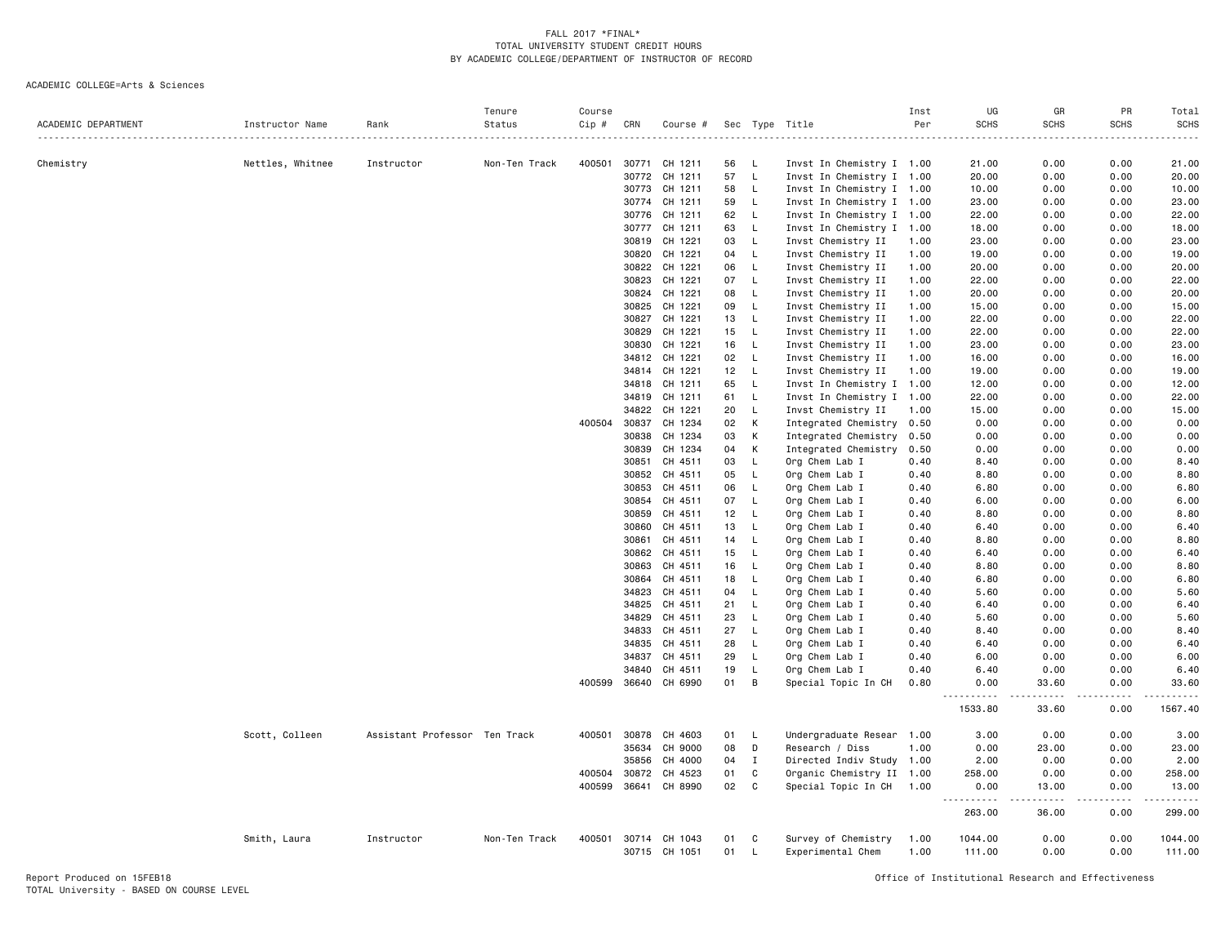| ACADEMIC DEPARTMENT | Instructor Name  | Rank                          | Tenure<br>Status | Course<br>Cip # | CRN            | Course #                 | Sec      |              | Type Title                                             | Inst<br>Per  | UG<br><b>SCHS</b>                 | GR<br><b>SCHS</b>                                                                                                                                             | PR<br><b>SCHS</b>                                                                                                                                            | Total<br><b>SCHS</b> |
|---------------------|------------------|-------------------------------|------------------|-----------------|----------------|--------------------------|----------|--------------|--------------------------------------------------------|--------------|-----------------------------------|---------------------------------------------------------------------------------------------------------------------------------------------------------------|--------------------------------------------------------------------------------------------------------------------------------------------------------------|----------------------|
|                     |                  |                               |                  |                 |                |                          |          |              |                                                        |              |                                   |                                                                                                                                                               |                                                                                                                                                              |                      |
| Chemistry           | Nettles, Whitnee | Instructor                    | Non-Ten Track    | 400501          | 30771          | CH 1211                  | 56       | L            | Invst In Chemistry I 1.00                              |              | 21.00                             | 0.00                                                                                                                                                          | 0.00                                                                                                                                                         | 21.00                |
|                     |                  |                               |                  |                 | 30772          | CH 1211                  | 57       | L,           | Invst In Chemistry I 1.00                              |              | 20.00                             | 0.00                                                                                                                                                          | 0.00                                                                                                                                                         | 20.00                |
|                     |                  |                               |                  |                 | 30773<br>30774 | CH 1211<br>CH 1211       | 58<br>59 | L.<br>L      | Invst In Chemistry I 1.00                              |              | 10.00<br>23.00                    | 0.00<br>0.00                                                                                                                                                  | 0.00<br>0.00                                                                                                                                                 | 10.00<br>23.00       |
|                     |                  |                               |                  |                 | 30776          | CH 1211                  | 62       | $\mathsf{L}$ | Invst In Chemistry I 1.00<br>Invst In Chemistry I 1.00 |              | 22.00                             | 0.00                                                                                                                                                          | 0.00                                                                                                                                                         | 22.00                |
|                     |                  |                               |                  |                 | 30777          | CH 1211                  | 63       | L.           | Invst In Chemistry I                                   | 1.00         | 18.00                             | 0.00                                                                                                                                                          | 0.00                                                                                                                                                         | 18.00                |
|                     |                  |                               |                  |                 | 30819          | CH 1221                  | 03       | L            | Invst Chemistry II                                     | 1.00         | 23.00                             | 0.00                                                                                                                                                          | 0.00                                                                                                                                                         | 23.00                |
|                     |                  |                               |                  |                 | 30820          | CH 1221                  | 04       | L.           | Invst Chemistry II                                     | 1.00         | 19.00                             | 0.00                                                                                                                                                          | 0.00                                                                                                                                                         | 19.00                |
|                     |                  |                               |                  |                 | 30822          | CH 1221                  | 06       | L            | Invst Chemistry II                                     | 1.00         | 20.00                             | 0.00                                                                                                                                                          | 0.00                                                                                                                                                         | 20.00                |
|                     |                  |                               |                  |                 | 30823          | CH 1221                  | 07       | L.           | Invst Chemistry II                                     | 1.00         | 22.00                             | 0.00                                                                                                                                                          | 0.00                                                                                                                                                         | 22.00                |
|                     |                  |                               |                  |                 | 30824          | CH 1221                  | 08       | L.           | Invst Chemistry II                                     | 1.00         | 20.00                             | 0.00                                                                                                                                                          | 0.00                                                                                                                                                         | 20.00                |
|                     |                  |                               |                  |                 | 30825          | CH 1221                  | 09       | L            | Invst Chemistry II                                     | 1.00         | 15.00                             | 0.00                                                                                                                                                          | 0.00                                                                                                                                                         | 15.00                |
|                     |                  |                               |                  |                 | 30827          | CH 1221                  | 13       | L            | Invst Chemistry II                                     | 1.00         | 22.00                             | 0.00                                                                                                                                                          | 0.00                                                                                                                                                         | 22.00                |
|                     |                  |                               |                  |                 | 30829          | CH 1221                  | 15       | L            | Invst Chemistry II                                     | 1.00         | 22.00                             | 0.00                                                                                                                                                          | 0.00                                                                                                                                                         | 22.00                |
|                     |                  |                               |                  |                 | 30830          | CH 1221                  | 16       | L            | Invst Chemistry II                                     | 1.00         | 23.00                             | 0.00                                                                                                                                                          | 0.00                                                                                                                                                         | 23.00                |
|                     |                  |                               |                  |                 | 34812          | CH 1221                  | 02       | L            | Invst Chemistry II                                     | 1.00         | 16.00                             | 0.00                                                                                                                                                          | 0.00                                                                                                                                                         | 16.00                |
|                     |                  |                               |                  |                 | 34814          | CH 1221                  | 12       | L            | Invst Chemistry II                                     | 1.00         | 19.00                             | 0.00                                                                                                                                                          | 0.00                                                                                                                                                         | 19.00                |
|                     |                  |                               |                  |                 | 34818          | CH 1211                  | 65       | L.           | Invst In Chemistry I                                   | 1.00         | 12.00                             | 0.00                                                                                                                                                          | 0.00                                                                                                                                                         | 12.00                |
|                     |                  |                               |                  |                 | 34819          | CH 1211                  | 61       | L            | Invst In Chemistry I                                   | 1.00         | 22.00                             | 0.00                                                                                                                                                          | 0.00                                                                                                                                                         | 22.00                |
|                     |                  |                               |                  |                 | 34822          | CH 1221                  | 20       | L,           | Invst Chemistry II                                     | 1.00         | 15.00                             | 0.00                                                                                                                                                          | 0.00                                                                                                                                                         | 15.00                |
|                     |                  |                               |                  | 400504 30837    |                | CH 1234                  | 02       | K            | Integrated Chemistry                                   | 0.50         | 0.00                              | 0.00                                                                                                                                                          | 0.00                                                                                                                                                         | 0.00                 |
|                     |                  |                               |                  |                 | 30838          | CH 1234                  | 03       | К            | Integrated Chemistry                                   | 0.50         | 0.00                              | 0.00                                                                                                                                                          | 0.00                                                                                                                                                         | 0.00                 |
|                     |                  |                               |                  |                 | 30839          | CH 1234                  | 04       | К            | Integrated Chemistry                                   | 0.50         | 0.00                              | 0.00                                                                                                                                                          | 0.00                                                                                                                                                         | 0.00                 |
|                     |                  |                               |                  |                 | 30851          | CH 4511                  | 03       | L            | Org Chem Lab I                                         | 0.40         | 8.40                              | 0.00                                                                                                                                                          | 0.00                                                                                                                                                         | 8.40                 |
|                     |                  |                               |                  |                 | 30852          | CH 4511                  | 05       | L.           | Org Chem Lab I                                         | 0.40         | 8.80                              | 0.00                                                                                                                                                          | 0.00                                                                                                                                                         | 8.80                 |
|                     |                  |                               |                  |                 | 30853          | CH 4511                  | 06       | L.           | Org Chem Lab I                                         | 0.40         | 6.80                              | 0.00                                                                                                                                                          | 0.00                                                                                                                                                         | 6.80                 |
|                     |                  |                               |                  |                 | 30854          | CH 4511                  | 07       | L.           | Org Chem Lab I                                         | 0.40         | 6.00                              | 0.00                                                                                                                                                          | 0.00                                                                                                                                                         | 6.00                 |
|                     |                  |                               |                  |                 | 30859          | CH 4511                  | 12       | <b>L</b>     | Org Chem Lab I                                         | 0.40         | 8.80                              | 0.00                                                                                                                                                          | 0.00                                                                                                                                                         | 8.80                 |
|                     |                  |                               |                  |                 | 30860          | CH 4511                  | 13       | L            | Org Chem Lab I                                         | 0.40         | 6.40                              | 0.00                                                                                                                                                          | 0.00                                                                                                                                                         | 6.40                 |
|                     |                  |                               |                  |                 | 30861          | CH 4511                  | 14       | L            | Org Chem Lab I                                         | 0.40         | 8.80                              | 0.00                                                                                                                                                          | 0.00                                                                                                                                                         | 8.80                 |
|                     |                  |                               |                  |                 | 30862          | CH 4511                  | 15       | L            | Org Chem Lab I                                         | 0.40         | 6.40                              | 0.00                                                                                                                                                          | 0.00                                                                                                                                                         | 6.40                 |
|                     |                  |                               |                  |                 | 30863          | CH 4511                  | 16       | L.           | Org Chem Lab I                                         | 0.40         | 8.80                              | 0.00                                                                                                                                                          | 0.00                                                                                                                                                         | 8.80                 |
|                     |                  |                               |                  |                 | 30864          | CH 4511                  | 18       | L.           | Org Chem Lab I                                         | 0.40         | 6.80                              | 0.00                                                                                                                                                          | 0.00                                                                                                                                                         | 6.80                 |
|                     |                  |                               |                  |                 | 34823          | CH 4511                  | 04       | L.           | Org Chem Lab I                                         | 0.40         | 5.60                              | 0.00                                                                                                                                                          | 0.00                                                                                                                                                         | 5.60                 |
|                     |                  |                               |                  |                 | 34825          | CH 4511                  | 21       | L.           | Org Chem Lab I                                         | 0.40         | 6.40                              | 0.00                                                                                                                                                          | 0.00                                                                                                                                                         | 6.40                 |
|                     |                  |                               |                  |                 | 34829          | CH 4511                  | 23       | L.           | Org Chem Lab I                                         | 0.40         | 5.60                              | 0.00                                                                                                                                                          | 0.00                                                                                                                                                         | 5.60                 |
|                     |                  |                               |                  |                 | 34833          | CH 4511                  | 27       | L            | Org Chem Lab I                                         | 0.40         | 8.40                              | 0.00                                                                                                                                                          | 0.00                                                                                                                                                         | 8.40                 |
|                     |                  |                               |                  |                 | 34835          | CH 4511                  | 28       | L            | Org Chem Lab I                                         | 0.40         | 6.40                              | 0.00                                                                                                                                                          | 0.00                                                                                                                                                         | 6.40                 |
|                     |                  |                               |                  |                 | 34837<br>34840 | CH 4511<br>CH 4511       | 29<br>19 | L.           | Org Chem Lab I                                         | 0.40         | 6.00<br>6.40                      | 0.00<br>0.00                                                                                                                                                  | 0.00<br>0.00                                                                                                                                                 | 6.00<br>6.40         |
|                     |                  |                               |                  |                 | 400599 36640   | CH 6990                  | 01       | L.<br>B      | Org Chem Lab I<br>Special Topic In CH                  | 0.40<br>0.80 | 0.00                              | 33.60                                                                                                                                                         | 0.00                                                                                                                                                         | 33.60                |
|                     |                  |                               |                  |                 |                |                          |          |              |                                                        |              | .                                 | $\frac{1}{2} \left( \frac{1}{2} \right) \left( \frac{1}{2} \right) \left( \frac{1}{2} \right) \left( \frac{1}{2} \right) \left( \frac{1}{2} \right)$          | .                                                                                                                                                            |                      |
|                     |                  |                               |                  |                 |                |                          |          |              |                                                        |              | 1533.80                           | 33.60                                                                                                                                                         | 0.00                                                                                                                                                         | 1567.40              |
|                     | Scott, Colleen   | Assistant Professor Ten Track |                  | 400501          | 30878          | CH 4603                  | 01       | L            | Undergraduate Resear 1.00                              |              | 3.00                              | 0.00                                                                                                                                                          | 0.00                                                                                                                                                         | 3.00                 |
|                     |                  |                               |                  |                 | 35634          | CH 9000                  | 08       | D            | Research / Diss                                        | 1.00         | 0.00                              | 23.00                                                                                                                                                         | 0.00                                                                                                                                                         | 23.00                |
|                     |                  |                               |                  |                 | 35856          | CH 4000                  | 04       | $\mathbf I$  | Directed Indiv Study                                   | 1.00         | 2.00                              | 0.00                                                                                                                                                          | 0.00                                                                                                                                                         | 2.00                 |
|                     |                  |                               |                  |                 | 400504 30872   | CH 4523                  | 01       | C            | Organic Chemistry II 1.00                              |              | 258.00                            | 0.00                                                                                                                                                          | 0.00                                                                                                                                                         | 258.00               |
|                     |                  |                               |                  |                 | 400599 36641   | CH 8990                  | 02       | C            | Special Topic In CH                                    | 1.00         | 0.00<br>$\sim$ $\sim$ $\sim$<br>. | 13.00<br>$\frac{1}{2} \left( \frac{1}{2} \right) \left( \frac{1}{2} \right) \left( \frac{1}{2} \right) \left( \frac{1}{2} \right) \left( \frac{1}{2} \right)$ | 0.00<br>$\frac{1}{2} \left( \frac{1}{2} \right) \left( \frac{1}{2} \right) \left( \frac{1}{2} \right) \left( \frac{1}{2} \right) \left( \frac{1}{2} \right)$ | 13.00                |
|                     |                  |                               |                  |                 |                |                          |          |              |                                                        |              | 263.00                            | 36.00                                                                                                                                                         | 0.00                                                                                                                                                         | 299.00               |
|                     | Smith, Laura     | Instructor                    | Non-Ten Track    | 400501          | 30714          | CH 1043<br>30715 CH 1051 | 01<br>01 | C<br>L       | Survey of Chemistry<br>Experimental Chem               | 1.00<br>1.00 | 1044.00<br>111.00                 | 0.00<br>0.00                                                                                                                                                  | 0.00<br>0.00                                                                                                                                                 | 1044.00<br>111.00    |
|                     |                  |                               |                  |                 |                |                          |          |              |                                                        |              |                                   |                                                                                                                                                               |                                                                                                                                                              |                      |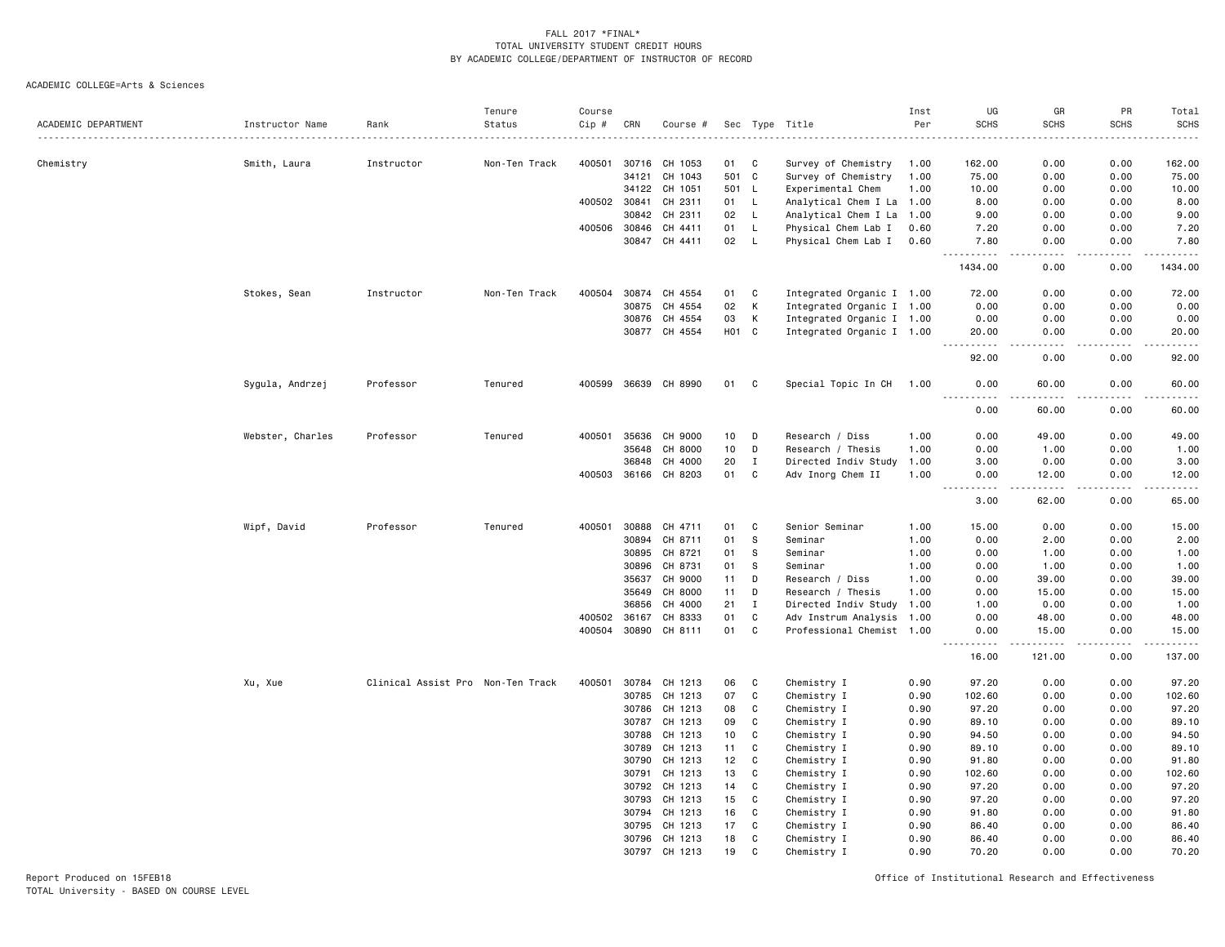| ACADEMIC DEPARTMENT | Instructor Name  | Rank                              | Tenure<br>Status | Course<br>Cip #  | CRN            | Course #           |                 |                              | Sec Type Title                                         | Inst<br>Per | UG<br><b>SCHS</b>     | GR<br><b>SCHS</b> | PR<br><b>SCHS</b> | Total<br><b>SCHS</b><br>.                                                                                                          |
|---------------------|------------------|-----------------------------------|------------------|------------------|----------------|--------------------|-----------------|------------------------------|--------------------------------------------------------|-------------|-----------------------|-------------------|-------------------|------------------------------------------------------------------------------------------------------------------------------------|
| Chemistry           | Smith, Laura     | Instructor                        | Non-Ten Track    | 400501           | 30716          | CH 1053            | 01              | C                            | Survey of Chemistry                                    | 1.00        | 162.00                | 0.00              | 0.00              | 162.00                                                                                                                             |
|                     |                  |                                   |                  |                  | 34121          | CH 1043            | 501 C           |                              | Survey of Chemistry                                    | 1.00        | 75.00                 | 0.00              | 0.00              | 75.00                                                                                                                              |
|                     |                  |                                   |                  |                  | 34122          | CH 1051            | 501 L           |                              | Experimental Chem                                      | 1.00        | 10.00                 | 0.00              | 0.00              | 10.00                                                                                                                              |
|                     |                  |                                   |                  |                  | 400502 30841   | CH 2311            | 01              | L.                           | Analytical Chem I La                                   | 1.00        | 8.00                  | 0.00              | 0.00              | 8.00                                                                                                                               |
|                     |                  |                                   |                  |                  | 30842          | CH 2311            | 02              | <b>L</b>                     | Analytical Chem I La                                   | 1.00        | 9.00                  | 0.00              | 0.00              | 9.00                                                                                                                               |
|                     |                  |                                   |                  |                  | 400506 30846   | CH 4411            | 01              | L.                           | Physical Chem Lab I                                    | 0.60        | 7.20                  | 0.00              | 0.00              | 7.20                                                                                                                               |
|                     |                  |                                   |                  |                  | 30847          | CH 4411            | 02              | L.                           | Physical Chem Lab I                                    | 0.60        | 7.80<br>$- - - - - -$ | 0.00<br>$- - -$   | 0.00<br>.         | 7.80<br>.                                                                                                                          |
|                     |                  |                                   |                  |                  |                |                    |                 |                              |                                                        |             | 1434.00               | 0.00              | 0.00              | 1434.00                                                                                                                            |
|                     | Stokes, Sean     | Instructor                        | Non-Ten Track    | 400504           | 30874          | CH 4554            | 01              | C                            | Integrated Organic I 1.00                              |             | 72.00                 | 0.00              | 0.00              | 72.00                                                                                                                              |
|                     |                  |                                   |                  |                  | 30875          | CH 4554            | 02              | К                            | Integrated Organic I 1.00                              |             | 0.00                  | 0.00              | 0.00              | 0.00                                                                                                                               |
|                     |                  |                                   |                  |                  | 30876          | CH 4554            | 03              | К                            | Integrated Organic I 1.00                              |             | 0.00                  | 0.00              | 0.00              | 0.00                                                                                                                               |
|                     |                  |                                   |                  |                  | 30877          | CH 4554            | H01 C           |                              | Integrated Organic I 1.00                              |             | 20.00<br>.            | 0.00<br>$- - - -$ | 0.00<br>.         | 20.00<br>$\frac{1}{2} \left( \frac{1}{2} \right) \left( \frac{1}{2} \right) \left( \frac{1}{2} \right) \left( \frac{1}{2} \right)$ |
|                     |                  |                                   |                  |                  |                |                    |                 |                              |                                                        |             | 92.00                 | 0.00              | 0.00              | 92.00                                                                                                                              |
|                     | Sygula, Andrzej  | Professor                         | Tenured          |                  | 400599 36639   | CH 8990            | 01              | C                            | Special Topic In CH                                    | 1.00        | 0.00<br>.             | 60.00             | 0.00              | 60.00                                                                                                                              |
|                     |                  |                                   |                  |                  |                |                    |                 |                              |                                                        |             | 0.00                  | 60.00             | 0.00              | 60.00                                                                                                                              |
|                     | Webster, Charles | Professor                         | Tenured          | 400501           | 35636          | CH 9000            | 10              | D                            | Research / Diss                                        | 1.00        | 0.00                  | 49.00             | 0.00              | 49.00                                                                                                                              |
|                     |                  |                                   |                  |                  | 35648          | CH 8000            | 10 <sub>1</sub> | D                            | Research / Thesis                                      | 1.00        | 0.00                  | 1.00              | 0.00              | 1.00                                                                                                                               |
|                     |                  |                                   |                  |                  | 36848          | CH 4000            | 20              | $\mathbf I$                  | Directed Indiv Study                                   | 1.00        | 3.00                  | 0.00              | 0.00              | 3.00                                                                                                                               |
|                     |                  |                                   |                  |                  | 400503 36166   | CH 8203            | 01              | C                            | Adv Inorg Chem II                                      | 1.00        | 0.00<br>.             | 12.00             | 0.00<br>.         | 12.00                                                                                                                              |
|                     |                  |                                   |                  |                  |                |                    |                 |                              |                                                        |             | 3.00                  | 62.00             | 0.00              | 65.00                                                                                                                              |
|                     | Wipf, David      | Professor                         | Tenured          | 400501           | 30888          | CH 4711            | 01              | C                            | Senior Seminar                                         | 1.00        | 15.00                 | 0.00              | 0.00              | 15.00                                                                                                                              |
|                     |                  |                                   |                  |                  | 30894          | CH 8711            | 01              | S                            | Seminar                                                | 1.00        | 0.00                  | 2.00              | 0.00              | 2.00                                                                                                                               |
|                     |                  |                                   |                  |                  | 30895          | CH 8721            | 01              | s                            | Seminar                                                | 1.00        | 0.00                  | 1.00              | 0.00              | 1.00                                                                                                                               |
|                     |                  |                                   |                  |                  | 30896          | CH 8731            | 01              | S                            | Seminar                                                | 1.00        | 0.00                  | 1.00              | 0.00              | 1.00                                                                                                                               |
|                     |                  |                                   |                  |                  | 35637          | CH 9000            | 11              | D                            | Research / Diss                                        | 1.00        | 0.00                  | 39.00             | 0.00              | 39.00                                                                                                                              |
|                     |                  |                                   |                  |                  | 35649          | CH 8000            | 11              | D                            | Research / Thesis                                      | 1.00        | 0.00                  | 15.00             | 0.00              | 15.00                                                                                                                              |
|                     |                  |                                   |                  |                  | 36856          | CH 4000            | 21              | $\mathbf I$                  | Directed Indiv Study                                   | 1.00        | 1.00                  | 0.00              | 0.00              | 1.00                                                                                                                               |
|                     |                  |                                   |                  | 400502<br>400504 | 36167<br>30890 | CH 8333<br>CH 8111 | 01<br>01        | $\mathbb{C}$<br>$\mathtt{C}$ | Adv Instrum Analysis 1.00<br>Professional Chemist 1.00 |             | 0.00<br>0.00          | 48.00<br>15.00    | 0.00<br>0.00      | 48.00<br>15.00                                                                                                                     |
|                     |                  |                                   |                  |                  |                |                    |                 |                              |                                                        |             | 16.00                 | 121.00            | 0.00              | 137.00                                                                                                                             |
|                     | Xu, Xue          | Clinical Assist Pro Non-Ten Track |                  | 400501           | 30784          | CH 1213            | 06              | C                            | Chemistry I                                            | 0.90        | 97.20                 | 0.00              | 0.00              | 97.20                                                                                                                              |
|                     |                  |                                   |                  |                  | 30785          | CH 1213            | 07              | $\mathbb{C}$                 | Chemistry I                                            | 0.90        | 102.60                | 0.00              | 0.00              | 102.60                                                                                                                             |
|                     |                  |                                   |                  |                  | 30786          | CH 1213            | 08              | C                            | Chemistry I                                            | 0.90        | 97.20                 | 0.00              | 0.00              | 97.20                                                                                                                              |
|                     |                  |                                   |                  |                  | 30787          | CH 1213            | 09              | C                            | Chemistry I                                            | 0.90        | 89.10                 | 0.00              | 0.00              | 89.10                                                                                                                              |
|                     |                  |                                   |                  |                  | 30788          | CH 1213            | 10              | C                            | Chemistry I                                            | 0.90        | 94.50                 | 0.00              | 0.00              | 94.50                                                                                                                              |
|                     |                  |                                   |                  |                  | 30789          | CH 1213            | 11              | C                            | Chemistry I                                            | 0.90        | 89.10                 | 0.00              | 0.00              | 89.10                                                                                                                              |
|                     |                  |                                   |                  |                  | 30790          | CH 1213            | 12              | C                            | Chemistry I                                            | 0.90        | 91.80                 | 0.00              | 0.00              | 91.80                                                                                                                              |
|                     |                  |                                   |                  |                  | 30791          | CH 1213            | 13              | C                            | Chemistry I                                            | 0.90        | 102.60                | 0.00              | 0.00              | 102.60                                                                                                                             |
|                     |                  |                                   |                  |                  | 30792          | CH 1213            | 14              | C                            | Chemistry I                                            | 0.90        | 97.20                 | 0.00              | 0.00              | 97.20                                                                                                                              |
|                     |                  |                                   |                  |                  | 30793          | CH 1213            | 15              | C                            | Chemistry I                                            | 0.90        | 97.20                 | 0.00              | 0.00              | 97.20                                                                                                                              |
|                     |                  |                                   |                  |                  | 30794          | CH 1213            | 16              | C                            | Chemistry I                                            | 0.90        | 91.80                 | 0.00              | 0.00              | 91.80                                                                                                                              |
|                     |                  |                                   |                  |                  | 30795          | CH 1213            | 17              | C                            | Chemistry I                                            | 0.90        | 86.40                 | 0.00              | 0.00              | 86.40                                                                                                                              |
|                     |                  |                                   |                  |                  | 30796          | CH 1213            | 18              | C                            | Chemistry I                                            | 0.90        | 86.40                 | 0.00              | 0.00              | 86.40                                                                                                                              |
|                     |                  |                                   |                  |                  | 30797          | CH 1213            | 19              | C                            | Chemistry I                                            | 0.90        | 70.20                 | 0.00              | 0.00              | 70.20                                                                                                                              |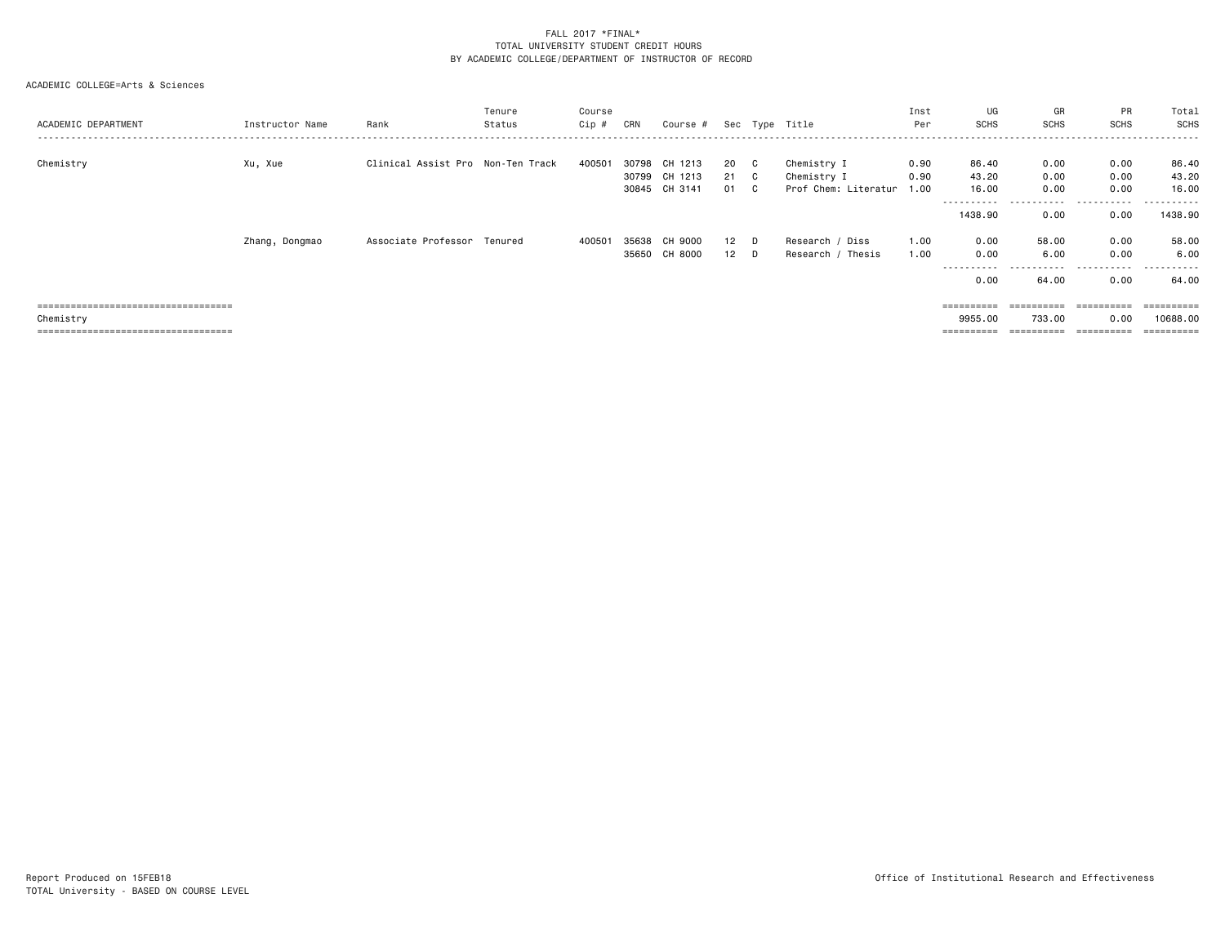| ACADEMIC DEPARTMENT                                                                         | Instructor Name | Rank                              | Tenure<br>Status | Course<br>Cip # | CRN                     | Course #                      |                |                                    | Sec Type Title                                     | Inst<br>Per          | UG<br><b>SCHS</b>                   | GR<br>SCHS                                    | PR<br><b>SCHS</b>                | Total<br><b>SCHS</b>                 |
|---------------------------------------------------------------------------------------------|-----------------|-----------------------------------|------------------|-----------------|-------------------------|-------------------------------|----------------|------------------------------------|----------------------------------------------------|----------------------|-------------------------------------|-----------------------------------------------|----------------------------------|--------------------------------------|
| Chemistry                                                                                   | Xu, Xue         | Clinical Assist Pro Non-Ten Track |                  | 400501          | 30798<br>30799<br>30845 | CH 1213<br>CH 1213<br>CH 3141 | 20<br>21<br>01 | C.<br>$\mathbf{C}$<br>$\mathbf{C}$ | Chemistry I<br>Chemistry I<br>Prof Chem: Literatur | 0.90<br>0.90<br>1.00 | 86.40<br>43.20<br>16.00             | 0.00<br>0.00<br>0.00                          | 0.00<br>0.00<br>0.00             | 86.40<br>43.20<br>16.00              |
|                                                                                             |                 |                                   |                  |                 |                         |                               |                |                                    |                                                    |                      | .<br>1438.90                        | -------<br>0.00                               | .<br>0.00                        | .<br>1438.90                         |
|                                                                                             | Zhang, Dongmao  | Associate Professor Tenured       |                  | 400501          | 35638<br>35650          | CH 9000<br>CH 8000            | $12$ D<br>12 D |                                    | Research / Diss<br>Research / Thesis               | 1.00<br>1.00         | 0.00<br>0.00<br>0.00                | 58.00<br>6.00<br>64.00                        | 0.00<br>0.00<br>0.00             | 58.00<br>6.00<br>64.00               |
| =====================================<br>Chemistry<br>===================================== |                 |                                   |                  |                 |                         |                               |                |                                    |                                                    |                      | ==========<br>9955.00<br>========== | $=$ = = = = = = = = =<br>733.00<br>========== | ==========<br>0.00<br>========== | ==========<br>10688.00<br>========== |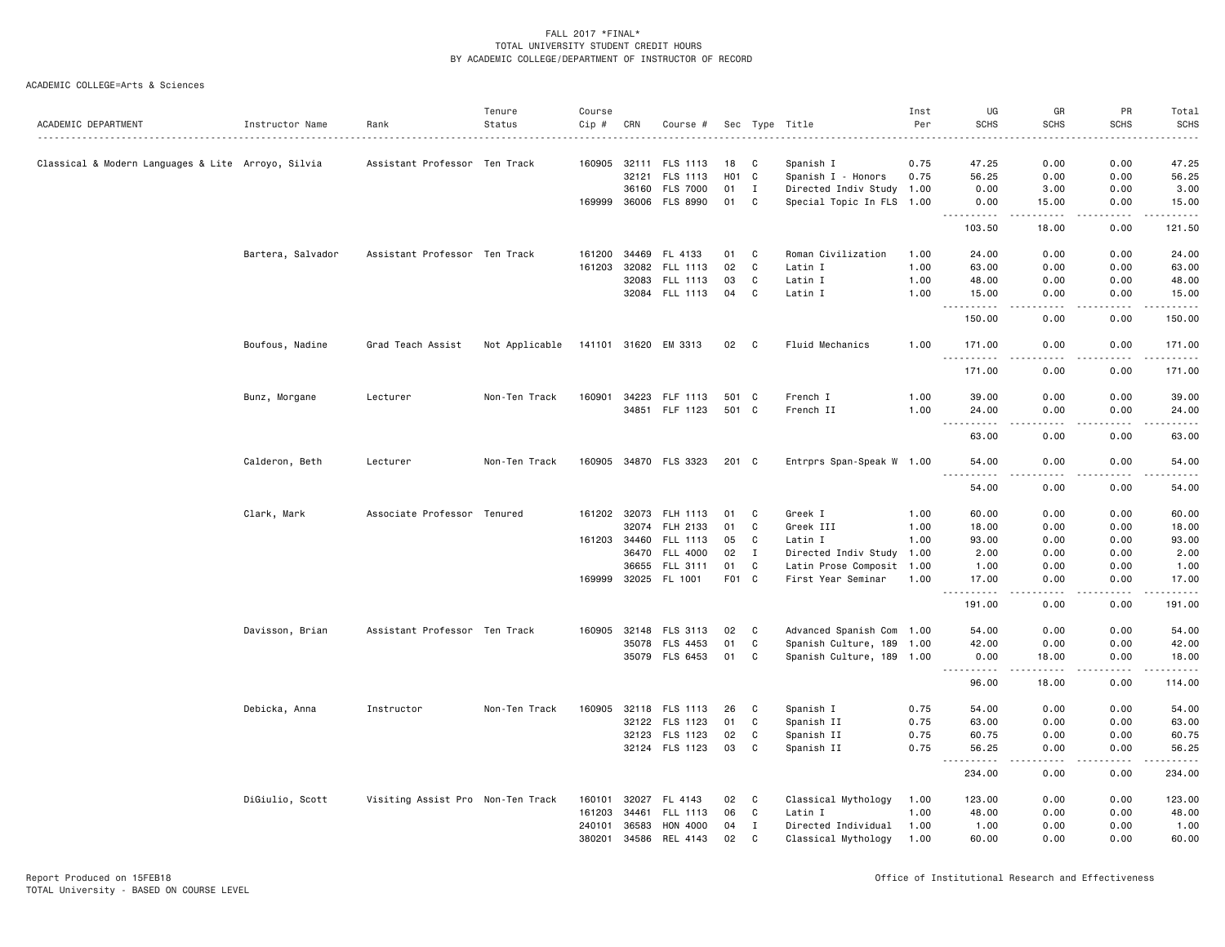| ACADEMIC DEPARTMENT                                | Instructor Name   | Rank                              | Tenure<br>Status | Course<br>Cip # | CRN          | Course #              |                   |              | Sec Type Title            | Inst<br>Per | UG<br><b>SCHS</b>                      | GR<br><b>SCHS</b>    | PR<br><b>SCHS</b> | Total<br><b>SCHS</b><br>$- - - - -$ |
|----------------------------------------------------|-------------------|-----------------------------------|------------------|-----------------|--------------|-----------------------|-------------------|--------------|---------------------------|-------------|----------------------------------------|----------------------|-------------------|-------------------------------------|
| Classical & Modern Languages & Lite Arroyo, Silvia |                   | Assistant Professor Ten Track     |                  |                 |              | 160905 32111 FLS 1113 | 18                | C            | Spanish I                 | 0.75        | 47.25                                  | 0.00                 | 0.00              | 47.25                               |
|                                                    |                   |                                   |                  |                 | 32121        | FLS 1113              | H <sub>01</sub> C |              | Spanish I - Honors        | 0.75        | 56.25                                  | 0.00                 | 0.00              | 56.25                               |
|                                                    |                   |                                   |                  |                 | 36160        | <b>FLS 7000</b>       | 01                | $\mathbf{I}$ | Directed Indiv Study 1.00 |             | 0.00                                   | 3.00                 | 0.00              | 3.00                                |
|                                                    |                   |                                   |                  |                 |              | 169999 36006 FLS 8990 | 01                | C            | Special Topic In FLS 1.00 |             | 0.00<br>.                              | 15.00<br>.           | 0.00              | 15.00<br>.                          |
|                                                    |                   |                                   |                  |                 |              |                       |                   |              |                           |             | 103.50                                 | 18.00                | 0.00              | 121.50                              |
|                                                    | Bartera, Salvador | Assistant Professor Ten Track     |                  | 161200          |              | 34469 FL 4133         | 01                | C            | Roman Civilization        | 1.00        | 24.00                                  | 0.00                 | 0.00              | 24.00                               |
|                                                    |                   |                                   |                  | 161203          | 32082        | FLL 1113              | 02                | C            | Latin I                   | 1.00        | 63.00                                  | 0.00                 | 0.00              | 63.00                               |
|                                                    |                   |                                   |                  |                 | 32083        | FLL 1113              | 03                | C            | Latin I                   | 1.00        | 48.00                                  | 0.00                 | 0.00              | 48.00                               |
|                                                    |                   |                                   |                  |                 |              | 32084 FLL 1113        | 04                | C            | Latin I                   | 1.00        | 15.00<br>$- - - - - -$                 | 0.00<br>.            | 0.00<br>.         | 15.00<br><u>.</u>                   |
|                                                    |                   |                                   |                  |                 |              |                       |                   |              |                           |             | 150.00                                 | 0.00                 | 0.00              | 150.00                              |
|                                                    | Boufous, Nadine   | Grad Teach Assist                 | Not Applicable   |                 |              | 141101 31620 EM 3313  | 02 C              |              | Fluid Mechanics           | 1.00        | 171.00<br>$  -$<br>. <b>.</b>          | 0.00<br>.            | 0.00<br>.         | 171.00<br>.                         |
|                                                    |                   |                                   |                  |                 |              |                       |                   |              |                           |             | 171.00                                 | 0.00                 | 0.00              | 171.00                              |
|                                                    | Bunz, Morgane     | Lecturer                          | Non-Ten Track    |                 |              | 160901 34223 FLF 1113 | 501 C             |              | French I                  | 1.00        | 39.00                                  | 0.00                 | 0.00              | 39.00                               |
|                                                    |                   |                                   |                  |                 |              | 34851 FLF 1123        | 501 C             |              | French II                 | 1.00        | 24.00                                  | 0.00                 | 0.00              | 24.00                               |
|                                                    |                   |                                   |                  |                 |              |                       |                   |              |                           |             | .                                      |                      |                   | .                                   |
|                                                    |                   |                                   |                  |                 |              |                       |                   |              |                           |             | 63.00                                  | 0.00                 | 0.00              | 63.00                               |
|                                                    | Calderon, Beth    | Lecturer                          | Non-Ten Track    |                 |              | 160905 34870 FLS 3323 | 201 C             |              | Entrprs Span-Speak W 1.00 |             | 54.00<br>.                             | 0.00<br>.            | 0.00<br>.         | 54.00<br>.                          |
|                                                    |                   |                                   |                  |                 |              |                       |                   |              |                           |             | 54.00                                  | 0.00                 | 0.00              | 54.00                               |
|                                                    | Clark, Mark       | Associate Professor Tenured       |                  |                 |              | 161202 32073 FLH 1113 | 01                | C            | Greek I                   | 1.00        | 60.00                                  | 0.00                 | 0.00              | 60.00                               |
|                                                    |                   |                                   |                  |                 |              | 32074 FLH 2133        | 01                | C            | Greek III                 | 1.00        | 18.00                                  | 0.00                 | 0.00              | 18.00                               |
|                                                    |                   |                                   |                  |                 | 161203 34460 | FLL 1113              | 05                | C            | Latin I                   | 1.00        | 93.00                                  | 0.00                 | 0.00              | 93.00                               |
|                                                    |                   |                                   |                  |                 | 36470        | FLL 4000              | 02                | $\mathbf{I}$ | Directed Indiv Study 1.00 |             | 2.00                                   | 0.00                 | 0.00              | 2.00                                |
|                                                    |                   |                                   |                  |                 |              | 36655 FLL 3111        | 01                | C            | Latin Prose Composit 1.00 |             | 1.00                                   | 0.00                 | 0.00              | 1.00                                |
|                                                    |                   |                                   |                  |                 |              | 169999 32025 FL 1001  | F01 C             |              | First Year Seminar        | 1.00        | 17.00<br>$- - -$<br>. <b>.</b>         | 0.00<br>. <u>. .</u> | 0.00<br>.         | 17.00<br>.                          |
|                                                    |                   |                                   |                  |                 |              |                       |                   |              |                           |             | 191.00                                 | 0.00                 | 0.00              | 191.00                              |
|                                                    | Davisson, Brian   | Assistant Professor Ten Track     |                  |                 |              | 160905 32148 FLS 3113 | 02                | C            | Advanced Spanish Com 1.00 |             | 54.00                                  | 0.00                 | 0.00              | 54.00                               |
|                                                    |                   |                                   |                  |                 |              | 35078 FLS 4453        | 01                | C            | Spanish Culture, 189 1.00 |             | 42.00                                  | 0.00                 | 0.00              | 42.00                               |
|                                                    |                   |                                   |                  |                 |              | 35079 FLS 6453        | 01                | C            | Spanish Culture, 189 1.00 |             | 0.00<br><u>.</u>                       | 18.00<br>.           | 0.00<br>.         | 18.00<br>.                          |
|                                                    |                   |                                   |                  |                 |              |                       |                   |              |                           |             | 96.00                                  | 18.00                | 0.00              | 114.00                              |
|                                                    | Debicka, Anna     | Instructor                        | Non-Ten Track    |                 |              | 160905 32118 FLS 1113 | 26                | C            | Spanish I                 | 0.75        | 54.00                                  | 0.00                 | 0.00              | 54.00                               |
|                                                    |                   |                                   |                  |                 | 32122        | FLS 1123              | 01                | C            | Spanish II                | 0.75        | 63.00                                  | 0.00                 | 0.00              | 63.00                               |
|                                                    |                   |                                   |                  |                 |              | 32123 FLS 1123        | 02                | C            | Spanish II                | 0.75        | 60.75                                  | 0.00                 | 0.00              | 60.75                               |
|                                                    |                   |                                   |                  |                 |              | 32124 FLS 1123        | 03                | C            | Spanish II                | 0.75        | 56.25<br>$\sim$ $\sim$ $\sim$<br>----- | 0.00<br>.            | 0.00<br>.         | 56.25<br>.                          |
|                                                    |                   |                                   |                  |                 |              |                       |                   |              |                           |             | 234.00                                 | 0.00                 | 0.00              | 234.00                              |
|                                                    | DiGiulio, Scott   | Visiting Assist Pro Non-Ten Track |                  | 160101          | 32027        | FL 4143               | 02                | C            | Classical Mythology       | 1.00        | 123.00                                 | 0.00                 | 0.00              | 123.00                              |
|                                                    |                   |                                   |                  | 161203          | 34461        | FLL 1113              | 06                | C            | Latin I                   | 1.00        | 48.00                                  | 0.00                 | 0.00              | 48.00                               |
|                                                    |                   |                                   |                  | 240101          | 36583        | HON 4000              | 04                | $\mathbf{I}$ | Directed Individual       | 1.00        | 1.00                                   | 0.00                 | 0.00              | 1.00                                |
|                                                    |                   |                                   |                  |                 |              | 380201 34586 REL 4143 | 02                | C            | Classical Mythology       | 1.00        | 60.00                                  | 0.00                 | 0.00              | 60.00                               |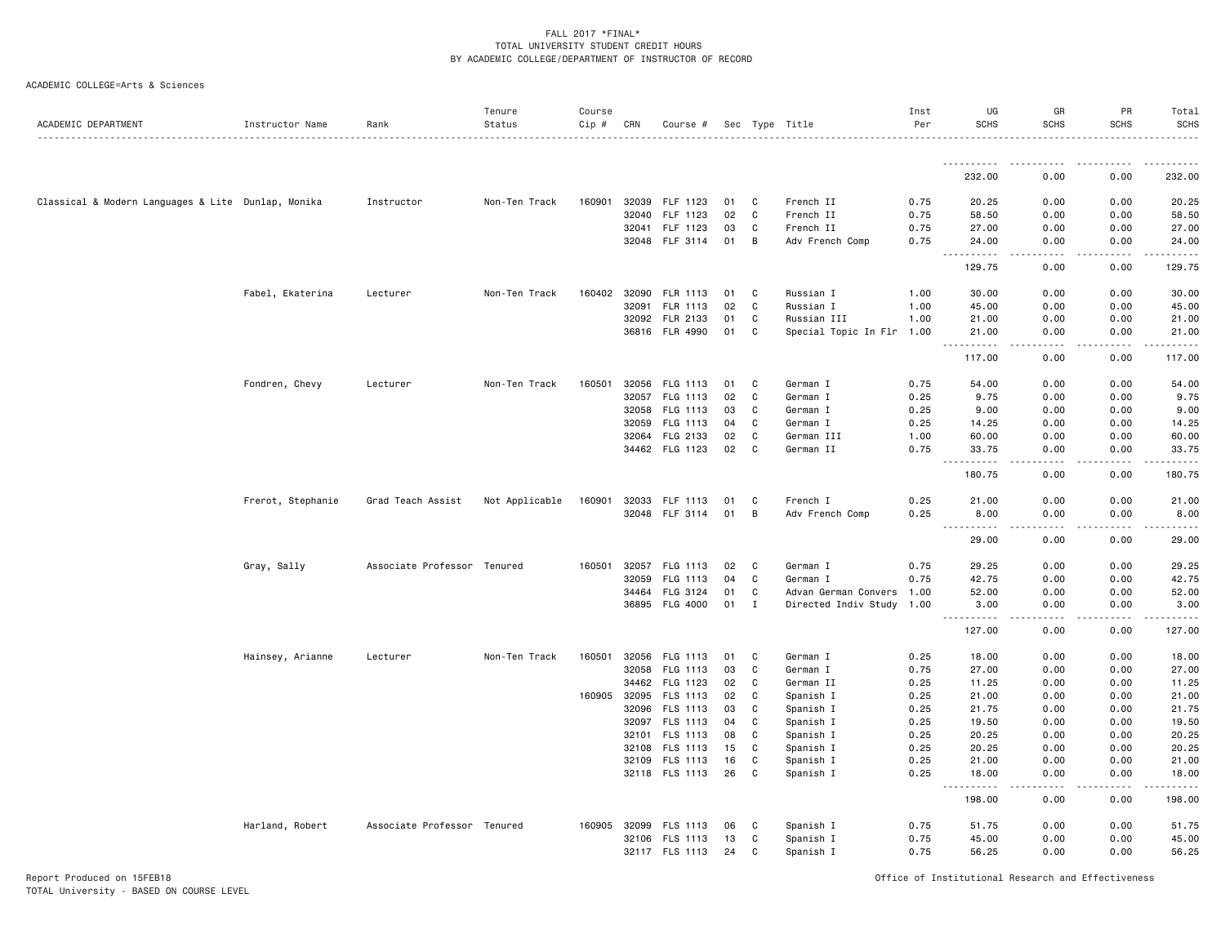| ACADEMIC COLLEGE=Arts & Sciences |  |
|----------------------------------|--|
|----------------------------------|--|

| ACADEMIC DEPARTMENT                                | Instructor Name   | Rank                        | Tenure<br>Status | Course<br>Cip # | CRN          | Course #                   |          |        | Sec Type Title            | Inst<br>Per  | UG<br><b>SCHS</b>                   | GR<br><b>SCHS</b>     | PR<br><b>SCHS</b> | Total<br><b>SCHS</b> |
|----------------------------------------------------|-------------------|-----------------------------|------------------|-----------------|--------------|----------------------------|----------|--------|---------------------------|--------------|-------------------------------------|-----------------------|-------------------|----------------------|
|                                                    |                   |                             |                  |                 |              |                            |          |        |                           |              |                                     |                       |                   |                      |
|                                                    |                   |                             |                  |                 |              |                            |          |        |                           |              | <u>.</u><br>232.00                  | 0.00                  | 0.00              | 232.00               |
| Classical & Modern Languages & Lite Dunlap, Monika |                   | Instructor                  | Non-Ten Track    |                 |              | 160901 32039 FLF 1123      | 01       | C      | French II                 | 0.75         | 20.25                               | 0.00                  | 0.00              | 20.25                |
|                                                    |                   |                             |                  |                 | 32040        | FLF 1123                   | 02       | C      | French II                 | 0.75         | 58.50                               | 0.00                  | 0.00              | 58.50                |
|                                                    |                   |                             |                  |                 |              | 32041 FLF 1123             | 03       | C      | French II                 | 0.75         | 27.00                               | 0.00                  | 0.00              | 27.00                |
|                                                    |                   |                             |                  |                 | 32048        | FLF 3114                   | 01       | В      | Adv French Comp           | 0.75         | 24.00                               | 0.00                  | 0.00              | 24.00<br>.           |
|                                                    |                   |                             |                  |                 |              |                            |          |        |                           |              | .<br>$\sim$ $\sim$ $\sim$<br>129.75 | $\frac{1}{2}$<br>0.00 | 0.00              | 129.75               |
|                                                    | Fabel, Ekaterina  | Lecturer                    | Non-Ten Track    | 160402          | 32090        | FLR 1113                   | 01       | C      | Russian I                 | 1.00         | 30.00                               | 0.00                  | 0.00              | 30.00                |
|                                                    |                   |                             |                  |                 | 32091        | FLR 1113                   | 02       | C      | Russian I                 | 1.00         | 45.00                               | 0.00                  | 0.00              | 45.00                |
|                                                    |                   |                             |                  |                 | 32092        | FLR 2133                   | 01       | C      | Russian III               | 1.00         | 21.00                               | 0.00                  | 0.00              | 21.00                |
|                                                    |                   |                             |                  |                 | 36816        | FLR 4990                   | 01       | C      | Special Topic In Flr 1.00 |              | 21.00<br>.                          | 0.00<br>.             | 0.00<br>.         | 21.00<br>.           |
|                                                    |                   |                             |                  |                 |              |                            |          |        |                           |              | 117.00                              | 0.00                  | 0.00              | 117.00               |
|                                                    | Fondren, Chevy    | Lecturer                    | Non-Ten Track    | 160501          | 32056        | FLG 1113                   | 01       | C      | German I                  | 0.75         | 54.00                               | 0.00                  | 0.00              | 54.00                |
|                                                    |                   |                             |                  |                 |              | 32057 FLG 1113             | 02       | C      | German I                  | 0.25         | 9.75                                | 0.00                  | 0.00              | 9.75                 |
|                                                    |                   |                             |                  |                 |              | 32058 FLG 1113             | 03       | C      | German I                  | 0.25         | 9.00                                | 0.00                  | 0.00              | 9.00                 |
|                                                    |                   |                             |                  |                 | 32059        | FLG 1113                   | 04       | C      | German I                  | 0.25         | 14.25                               | 0.00                  | 0.00              | 14.25                |
|                                                    |                   |                             |                  |                 | 32064        | FLG 2133                   | 02       | C      | German III                | 1.00         | 60.00                               | 0.00                  | 0.00              | 60.00                |
|                                                    |                   |                             |                  |                 |              | 34462 FLG 1123             | 02       | C      | German II                 | 0.75         | 33.75<br>.                          | 0.00                  | 0.00              | 33.75                |
|                                                    |                   |                             |                  |                 |              |                            |          |        |                           |              | 180.75                              | 0.00                  | 0.00              | 180.75               |
|                                                    | Frerot, Stephanie | Grad Teach Assist           | Not Applicable   |                 |              | 160901 32033 FLF 1113      | 01       | C      | French I                  | 0.25         | 21.00                               | 0.00                  | 0.00              | 21.00                |
|                                                    |                   |                             |                  |                 |              | 32048 FLF 3114             | 01       | В      | Adv French Comp           | 0.25         | 8.00<br>.<br>$\frac{1}{2}$          | 0.00<br>.             | 0.00<br><u>.</u>  | 8.00<br><u>.</u>     |
|                                                    |                   |                             |                  |                 |              |                            |          |        |                           |              | 29.00                               | 0.00                  | 0.00              | 29.00                |
|                                                    | Gray, Sally       | Associate Professor Tenured |                  | 160501          | 32057        | FLG 1113                   | 02       | C      | German I                  | 0.75         | 29.25                               | 0.00                  | 0.00              | 29.25                |
|                                                    |                   |                             |                  |                 | 32059        | FLG 1113                   | 04       | C      | German I                  | 0.75         | 42.75                               | 0.00                  | 0.00              | 42.75                |
|                                                    |                   |                             |                  |                 | 34464        | FLG 3124                   | 01       | C      | Advan German Convers 1.00 |              | 52.00                               | 0.00                  | 0.00              | 52.00                |
|                                                    |                   |                             |                  |                 | 36895        | FLG 4000                   | 01       | I      | Directed Indiv Study 1.00 |              | 3.00<br><u>.</u>                    | 0.00<br>.             | 0.00<br>.         | 3.00<br>.            |
|                                                    |                   |                             |                  |                 |              |                            |          |        |                           |              | 127.00                              | 0.00                  | 0.00              | 127.00               |
|                                                    | Hainsey, Arianne  | Lecturer                    | Non-Ten Track    | 160501          | 32056        | FLG 1113                   | 01       | C      | German I                  | 0.25         | 18.00                               | 0.00                  | 0.00              | 18.00                |
|                                                    |                   |                             |                  |                 | 32058        | FLG 1113                   | 03       | C      | German I                  | 0.75         | 27.00                               | 0.00                  | 0.00              | 27.00                |
|                                                    |                   |                             |                  |                 | 34462        | FLG 1123                   | 02       | C      | German II                 | 0.25         | 11.25                               | 0.00                  | 0.00              | 11.25                |
|                                                    |                   |                             |                  |                 | 160905 32095 | FLS 1113                   | 02       | C      | Spanish I                 | 0.25         | 21.00                               | 0.00                  | 0.00              | 21.00                |
|                                                    |                   |                             |                  |                 | 32096        | FLS 1113                   | 03       | C      | Spanish I                 | 0.25         | 21.75                               | 0.00                  | 0.00              | 21.75                |
|                                                    |                   |                             |                  |                 | 32097        | FLS 1113                   | 04       | C      | Spanish I                 | 0.25         | 19.50                               | 0.00                  | 0.00              | 19.50                |
|                                                    |                   |                             |                  |                 |              | 32101 FLS 1113             | 08       | C      | Spanish I                 | 0.25         | 20.25                               | 0.00                  | 0.00              | 20.25                |
|                                                    |                   |                             |                  |                 | 32108        | FLS 1113                   | 15       | C      | Spanish I                 | 0.25         | 20.25                               | 0.00                  | 0.00              | 20.25                |
|                                                    |                   |                             |                  |                 | 32109        | FLS 1113<br>32118 FLS 1113 | 16<br>26 | C<br>C | Spanish I<br>Spanish I    | 0.25<br>0.25 | 21.00<br>18.00                      | 0.00<br>0.00          | 0.00<br>0.00      | 21.00<br>18.00       |
|                                                    |                   |                             |                  |                 |              |                            |          |        |                           |              | $\sim$ $\sim$<br>.<br>198.00        | 0.00                  | .<br>0.00         | 198.00               |
|                                                    |                   |                             |                  |                 |              |                            |          |        |                           |              |                                     |                       |                   |                      |
|                                                    | Harland, Robert   | Associate Professor Tenured |                  |                 |              | 160905 32099 FLS 1113      | 06       | C      | Spanish I                 | 0.75         | 51.75                               | 0.00                  | 0.00              | 51.75                |
|                                                    |                   |                             |                  |                 |              | 32106 FLS 1113             | 13       | C      | Spanish I                 | 0.75         | 45.00                               | 0.00                  | 0.00              | 45.00                |
|                                                    |                   |                             |                  |                 |              | 32117 FLS 1113             | 24       | C      | Spanish I                 | 0.75         | 56.25                               | 0.00                  | 0.00              | 56.25                |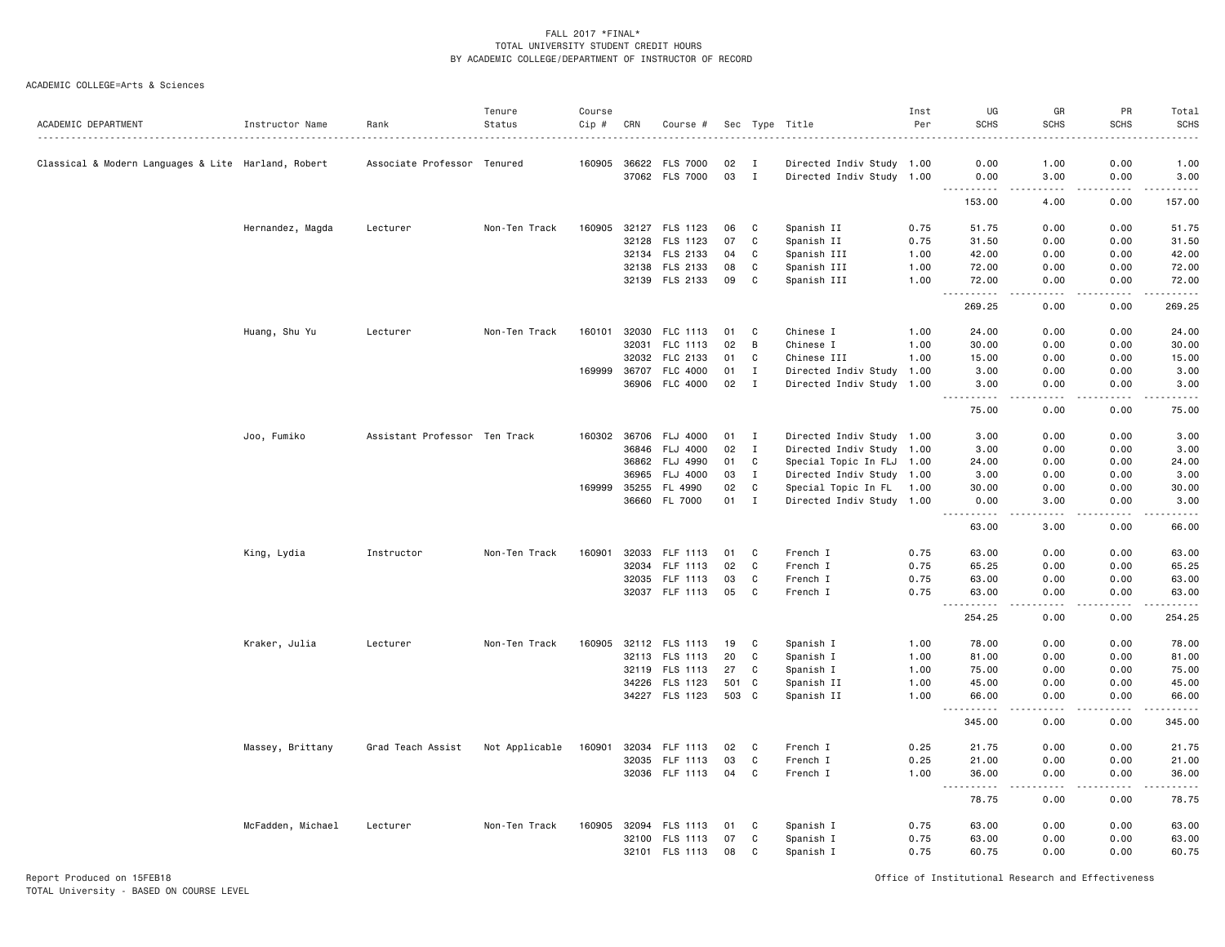| ACADEMIC DEPARTMENT                                 | Instructor Name   | Rank                          | Tenure<br>Status | Course<br>$Cip \#$ | CRN   | Course #              |       |                | Sec Type Title            | Inst<br>Per | UG<br><b>SCHS</b>                  | GR<br><b>SCHS</b>                                                                                                                                            | PR<br><b>SCHS</b> | Total<br><b>SCHS</b>                                                                                                                                                                      |
|-----------------------------------------------------|-------------------|-------------------------------|------------------|--------------------|-------|-----------------------|-------|----------------|---------------------------|-------------|------------------------------------|--------------------------------------------------------------------------------------------------------------------------------------------------------------|-------------------|-------------------------------------------------------------------------------------------------------------------------------------------------------------------------------------------|
| Classical & Modern Languages & Lite Harland, Robert |                   | Associate Professor Tenured   |                  |                    |       | 160905 36622 FLS 7000 | 02    | $\blacksquare$ | Directed Indiv Study 1.00 |             | 0.00                               | 1.00                                                                                                                                                         | 0.00              | 1.00                                                                                                                                                                                      |
|                                                     |                   |                               |                  |                    |       | 37062 FLS 7000        | 03    | $\mathbf{I}$   | Directed Indiv Study 1.00 |             | 0.00                               | 3.00                                                                                                                                                         | 0.00              | 3.00                                                                                                                                                                                      |
|                                                     |                   |                               |                  |                    |       |                       |       |                |                           |             | .<br>153.00                        | -----<br>4.00                                                                                                                                                | .<br>0.00         | $\frac{1}{2} \left( \frac{1}{2} \right) \left( \frac{1}{2} \right) \left( \frac{1}{2} \right) \left( \frac{1}{2} \right) \left( \frac{1}{2} \right) \left( \frac{1}{2} \right)$<br>157.00 |
|                                                     | Hernandez, Magda  | Lecturer                      | Non-Ten Track    | 160905 32127       |       | FLS 1123              | 06    | C              | Spanish II                | 0.75        | 51.75                              | 0.00                                                                                                                                                         | 0.00              | 51.75                                                                                                                                                                                     |
|                                                     |                   |                               |                  |                    | 32128 | FLS 1123              | 07    | C              | Spanish II                | 0.75        | 31.50                              | 0.00                                                                                                                                                         | 0.00              | 31.50                                                                                                                                                                                     |
|                                                     |                   |                               |                  |                    | 32134 | FLS 2133              | 04    | C              | Spanish III               | 1.00        | 42.00                              | 0.00                                                                                                                                                         | 0.00              | 42.00                                                                                                                                                                                     |
|                                                     |                   |                               |                  |                    | 32138 | FLS 2133              | 08    | C              | Spanish III               | 1.00        | 72.00                              | 0.00                                                                                                                                                         | 0.00              | 72.00                                                                                                                                                                                     |
|                                                     |                   |                               |                  |                    |       | 32139 FLS 2133        | 09    | C              | Spanish III               | 1.00        | 72.00                              | 0.00                                                                                                                                                         | 0.00              | 72.00                                                                                                                                                                                     |
|                                                     |                   |                               |                  |                    |       |                       |       |                |                           |             | .<br>269.25                        | .<br>0.00                                                                                                                                                    | .<br>0.00         | $- - - - - -$<br>269.25                                                                                                                                                                   |
|                                                     | Huang, Shu Yu     | Lecturer                      | Non-Ten Track    | 160101             | 32030 | FLC 1113              | 01    | C              | Chinese I                 | 1.00        | 24.00                              | 0.00                                                                                                                                                         | 0.00              | 24.00                                                                                                                                                                                     |
|                                                     |                   |                               |                  |                    | 32031 | FLC 1113              | 02    | В              | Chinese I                 | 1.00        | 30.00                              | 0.00                                                                                                                                                         | 0.00              | 30.00                                                                                                                                                                                     |
|                                                     |                   |                               |                  |                    | 32032 | FLC 2133              | 01    | C              | Chinese III               | 1.00        | 15.00                              | 0.00                                                                                                                                                         | 0.00              | 15.00                                                                                                                                                                                     |
|                                                     |                   |                               |                  | 169999 36707       |       | FLC 4000              | 01    | $\mathbf I$    | Directed Indiv Study 1.00 |             | 3.00                               | 0.00                                                                                                                                                         | 0.00              | 3.00                                                                                                                                                                                      |
|                                                     |                   |                               |                  |                    | 36906 | FLC 4000              | 02    | $\mathbf{I}$   | Directed Indiv Study 1.00 |             | 3.00                               | 0.00                                                                                                                                                         | 0.00              | 3.00                                                                                                                                                                                      |
|                                                     |                   |                               |                  |                    |       |                       |       |                |                           |             | <u>.</u><br>75.00                  | .<br>0.00                                                                                                                                                    | .<br>0.00         | .<br>75.00                                                                                                                                                                                |
|                                                     | Joo, Fumiko       | Assistant Professor Ten Track |                  | 160302             | 36706 | FLJ 4000              | 01    | $\mathbf{I}$   | Directed Indiv Study 1.00 |             | 3.00                               | 0.00                                                                                                                                                         | 0.00              | 3.00                                                                                                                                                                                      |
|                                                     |                   |                               |                  |                    | 36846 | <b>FLJ 4000</b>       | 02    | $\mathbf{I}$   | Directed Indiv Study 1.00 |             | 3.00                               | 0.00                                                                                                                                                         | 0.00              | 3.00                                                                                                                                                                                      |
|                                                     |                   |                               |                  |                    | 36862 | FLJ 4990              | 01    | C              | Special Topic In FLJ 1.00 |             | 24.00                              | 0.00                                                                                                                                                         | 0.00              | 24.00                                                                                                                                                                                     |
|                                                     |                   |                               |                  |                    | 36965 | FLJ 4000              | 03    | $\mathbf{I}$   | Directed Indiv Study 1.00 |             | 3.00                               | 0.00                                                                                                                                                         | 0.00              | 3.00                                                                                                                                                                                      |
|                                                     |                   |                               |                  | 169999             | 35255 | FL 4990               | 02    | C              | Special Topic In FL       | 1.00        | 30.00                              | 0.00                                                                                                                                                         | 0.00              | 30.00                                                                                                                                                                                     |
|                                                     |                   |                               |                  |                    |       | 36660 FL 7000         | 01    | $\mathbf{I}$   | Directed Indiv Study 1.00 |             | 0.00                               | 3.00                                                                                                                                                         | 0.00              | 3.00                                                                                                                                                                                      |
|                                                     |                   |                               |                  |                    |       |                       |       |                |                           |             | <u>.</u><br>63.00                  | $\frac{1}{2} \left( \frac{1}{2} \right) \left( \frac{1}{2} \right) \left( \frac{1}{2} \right) \left( \frac{1}{2} \right) \left( \frac{1}{2} \right)$<br>3.00 | .<br>0.00         | .<br>66.00                                                                                                                                                                                |
|                                                     | King, Lydia       | Instructor                    | Non-Ten Track    | 160901             | 32033 | FLF 1113              | 01    | C              | French I                  | 0.75        | 63.00                              | 0.00                                                                                                                                                         | 0.00              | 63.00                                                                                                                                                                                     |
|                                                     |                   |                               |                  |                    | 32034 | FLF 1113              | 02    | C              | French I                  | 0.75        | 65.25                              | 0.00                                                                                                                                                         | 0.00              | 65.25                                                                                                                                                                                     |
|                                                     |                   |                               |                  |                    | 32035 | FLF 1113              | 03    | C              | French I                  | 0.75        | 63.00                              | 0.00                                                                                                                                                         | 0.00              | 63.00                                                                                                                                                                                     |
|                                                     |                   |                               |                  |                    |       | 32037 FLF 1113        | 05    | C              | French I                  | 0.75        | 63.00<br><u>.</u>                  | 0.00                                                                                                                                                         | 0.00              | 63.00                                                                                                                                                                                     |
|                                                     |                   |                               |                  |                    |       |                       |       |                |                           |             | 254.25                             | .<br>0.00                                                                                                                                                    | .<br>0.00         | ------<br>254.25                                                                                                                                                                          |
|                                                     | Kraker, Julia     | Lecturer                      | Non-Ten Track    |                    |       | 160905 32112 FLS 1113 | 19    | C              | Spanish I                 | 1.00        | 78.00                              | 0.00                                                                                                                                                         | 0.00              | 78.00                                                                                                                                                                                     |
|                                                     |                   |                               |                  |                    | 32113 | FLS 1113              | 20    | C              | Spanish I                 | 1.00        | 81.00                              | 0.00                                                                                                                                                         | 0.00              | 81.00                                                                                                                                                                                     |
|                                                     |                   |                               |                  |                    | 32119 | FLS 1113              | 27    | C              | Spanish I                 | 1.00        | 75.00                              | 0.00                                                                                                                                                         | 0.00              | 75.00                                                                                                                                                                                     |
|                                                     |                   |                               |                  |                    |       | 34226 FLS 1123        | 501   | C              | Spanish II                | 1.00        | 45.00                              | 0.00                                                                                                                                                         | 0.00              | 45.00                                                                                                                                                                                     |
|                                                     |                   |                               |                  |                    |       | 34227 FLS 1123        | 503 C |                | Spanish II                | 1.00        | 66.00<br>$\sim$ $\sim$ $\sim$<br>. | 0.00<br>.                                                                                                                                                    | 0.00<br>.         | 66.00<br>.                                                                                                                                                                                |
|                                                     |                   |                               |                  |                    |       |                       |       |                |                           |             | 345.00                             | 0.00                                                                                                                                                         | 0.00              | 345.00                                                                                                                                                                                    |
|                                                     | Massey, Brittany  | Grad Teach Assist             | Not Applicable   | 160901             |       | 32034 FLF 1113        | 02    | C              | French I                  | 0.25        | 21.75                              | 0.00                                                                                                                                                         | 0.00              | 21.75                                                                                                                                                                                     |
|                                                     |                   |                               |                  |                    | 32035 | FLF 1113              | 03    | C              | French I                  | 0.25        | 21.00                              | 0.00                                                                                                                                                         | 0.00              | 21.00                                                                                                                                                                                     |
|                                                     |                   |                               |                  |                    |       | 32036 FLF 1113        | 04    | C              | French I                  | 1.00        | 36.00                              | 0.00                                                                                                                                                         | 0.00              | 36.00                                                                                                                                                                                     |
|                                                     |                   |                               |                  |                    |       |                       |       |                |                           |             | .<br>78.75                         | .<br>0.00                                                                                                                                                    | 0.00              | .<br>78.75                                                                                                                                                                                |
|                                                     | McFadden, Michael | Lecturer                      | Non-Ten Track    |                    |       | 160905 32094 FLS 1113 | 01    | C              | Spanish I                 | 0.75        | 63.00                              | 0.00                                                                                                                                                         | 0.00              | 63.00                                                                                                                                                                                     |
|                                                     |                   |                               |                  |                    |       | 32100 FLS 1113        | 07    | C              | Spanish I                 | 0.75        | 63.00                              | 0.00                                                                                                                                                         | 0.00              | 63.00                                                                                                                                                                                     |
|                                                     |                   |                               |                  |                    | 32101 | FLS 1113              | 08    | C              | Spanish I                 | 0.75        | 60.75                              | 0.00                                                                                                                                                         | 0.00              | 60.75                                                                                                                                                                                     |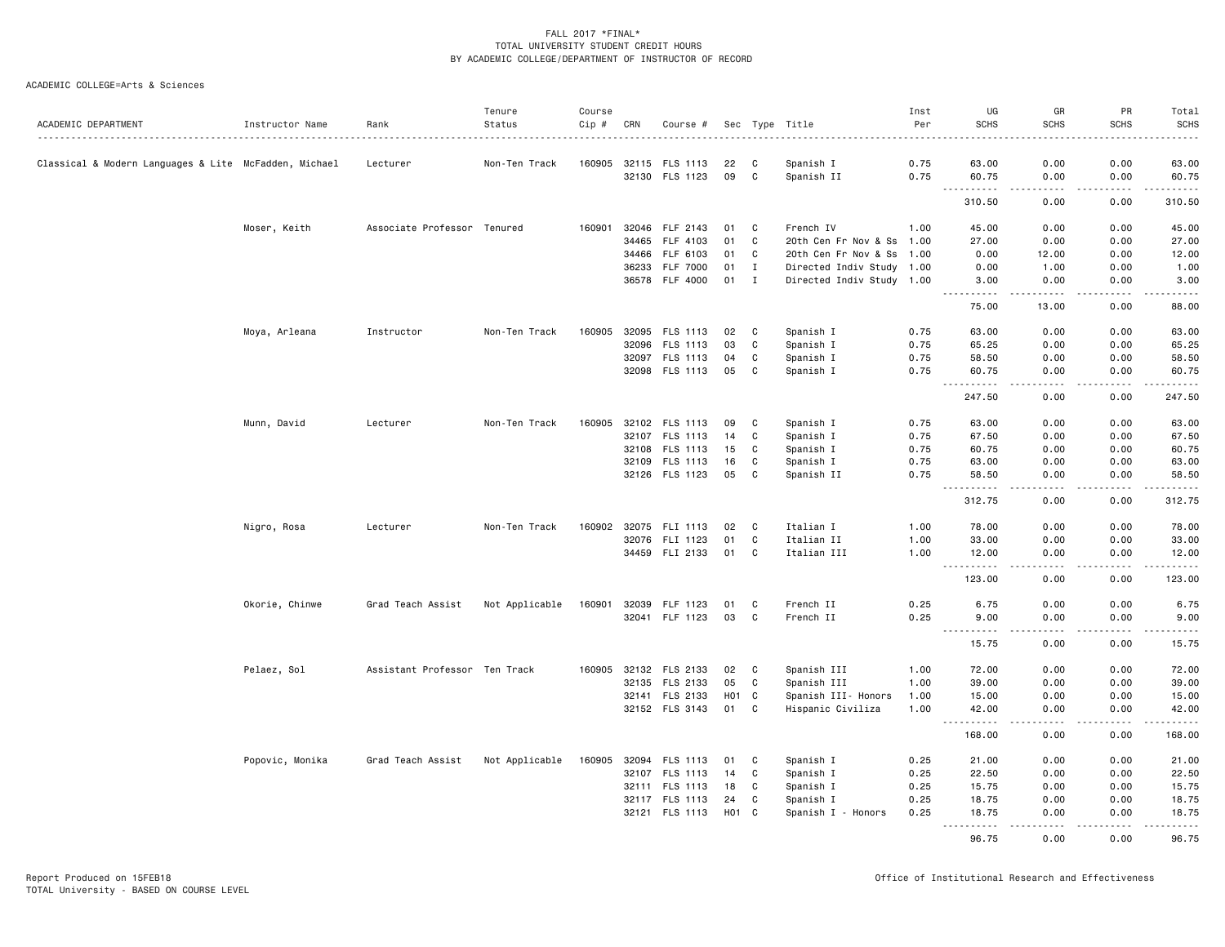| ACADEMIC DEPARTMENT                                   | Instructor Name | Rank                          | Tenure<br>Status | Course<br>Cip # | CRN   | Course #              |                   |              | Sec Type Title            | Inst<br>Per | UG<br><b>SCHS</b>                                                                                                                                                                    | GR<br><b>SCHS</b>            | PR<br><b>SCHS</b> | Total<br><b>SCHS</b>                |
|-------------------------------------------------------|-----------------|-------------------------------|------------------|-----------------|-------|-----------------------|-------------------|--------------|---------------------------|-------------|--------------------------------------------------------------------------------------------------------------------------------------------------------------------------------------|------------------------------|-------------------|-------------------------------------|
| Classical & Modern Languages & Lite McFadden, Michael |                 | Lecturer                      | Non-Ten Track    |                 |       | 160905 32115 FLS 1113 | 22                | C            | Spanish I                 | 0.75        | 63.00                                                                                                                                                                                | 0.00                         | 0.00              | 63.00                               |
|                                                       |                 |                               |                  |                 |       | 32130 FLS 1123        | 09                | C            | Spanish II                | 0.75        | 60.75                                                                                                                                                                                | 0.00                         | 0.00              | 60.75                               |
|                                                       |                 |                               |                  |                 |       |                       |                   |              |                           |             | .<br>310.50                                                                                                                                                                          | .<br>0.00                    | .<br>0.00         | -----<br>310.50                     |
|                                                       | Moser, Keith    | Associate Professor Tenured   |                  | 160901          |       | 32046 FLF 2143        | 01                | C            | French IV                 | 1.00        | 45.00                                                                                                                                                                                | 0.00                         | 0.00              | 45.00                               |
|                                                       |                 |                               |                  |                 | 34465 | FLF 4103              | 01                | C            | 20th Cen Fr Nov & Ss 1.00 |             | 27.00                                                                                                                                                                                | 0.00                         | 0.00              | 27.00                               |
|                                                       |                 |                               |                  |                 |       | 34466 FLF 6103        | 01                | C            | 20th Cen Fr Nov & Ss 1.00 |             | 0.00                                                                                                                                                                                 | 12.00                        | 0.00              | 12.00                               |
|                                                       |                 |                               |                  |                 | 36233 | <b>FLF 7000</b>       | 01                | $\mathbf{I}$ | Directed Indiv Study 1.00 |             | 0.00                                                                                                                                                                                 | 1.00                         | 0.00              | 1.00                                |
|                                                       |                 |                               |                  |                 |       | 36578 FLF 4000        | 01                | I            | Directed Indiv Study 1.00 |             | 3.00                                                                                                                                                                                 | 0.00                         | 0.00              | 3.00                                |
|                                                       |                 |                               |                  |                 |       |                       |                   |              |                           |             | $\sim$ $\sim$ $\sim$<br>75.00                                                                                                                                                        | .<br>13.00                   | 0.00              | .<br>88.00                          |
|                                                       | Moya, Arleana   | Instructor                    | Non-Ten Track    | 160905          |       | 32095 FLS 1113        | 02                | C            | Spanish I                 | 0.75        | 63.00                                                                                                                                                                                | 0.00                         | 0.00              | 63.00                               |
|                                                       |                 |                               |                  |                 | 32096 | FLS 1113              | 03                | C            | Spanish I                 | 0.75        | 65.25                                                                                                                                                                                | 0.00                         | 0.00              | 65.25                               |
|                                                       |                 |                               |                  |                 | 32097 | FLS 1113              | 04                | C            | Spanish I                 | 0.75        | 58.50                                                                                                                                                                                | 0.00                         | 0.00              | 58.50                               |
|                                                       |                 |                               |                  |                 |       | 32098 FLS 1113        | 05                | C            | Spanish I                 | 0.75        | 60.75                                                                                                                                                                                | 0.00                         | 0.00              | 60.75                               |
|                                                       |                 |                               |                  |                 |       |                       |                   |              |                           |             | $  -$<br>-----<br>247.50                                                                                                                                                             | .<br>0.00                    | 0.00              | .<br>247.50                         |
|                                                       | Munn, David     | Lecturer                      | Non-Ten Track    |                 |       | 160905 32102 FLS 1113 | 09                | C            | Spanish I                 | 0.75        | 63.00                                                                                                                                                                                | 0.00                         | 0.00              | 63.00                               |
|                                                       |                 |                               |                  |                 |       | 32107 FLS 1113        | 14                | C            | Spanish I                 | 0.75        | 67.50                                                                                                                                                                                | 0.00                         | 0.00              | 67.50                               |
|                                                       |                 |                               |                  |                 |       | 32108 FLS 1113        | 15                | C            | Spanish I                 | 0.75        | 60.75                                                                                                                                                                                | 0.00                         | 0.00              | 60.75                               |
|                                                       |                 |                               |                  |                 | 32109 | FLS 1113              | 16                | C            | Spanish I                 | 0.75        | 63.00                                                                                                                                                                                | 0.00                         | 0.00              | 63.00                               |
|                                                       |                 |                               |                  |                 |       | 32126 FLS 1123        | 05                | C            | Spanish II                | 0.75        | 58.50<br>.                                                                                                                                                                           | 0.00<br>$\sim$ $\sim$ $\sim$ | 0.00<br>.         | 58.50<br>.                          |
|                                                       |                 |                               |                  |                 |       |                       |                   |              |                           |             | 312.75                                                                                                                                                                               | 0.00                         | 0.00              | 312.75                              |
|                                                       | Nigro, Rosa     | Lecturer                      | Non-Ten Track    | 160902          | 32075 | FLI 1113              | 02                | C            | Italian I                 | 1.00        | 78.00                                                                                                                                                                                | 0.00                         | 0.00              | 78.00                               |
|                                                       |                 |                               |                  |                 |       | 32076 FLI 1123        | 01                | C            | Italian II                | 1.00        | 33.00                                                                                                                                                                                | 0.00                         | 0.00              | 33.00                               |
|                                                       |                 |                               |                  |                 |       | 34459 FLI 2133        | 01                | C            | Italian III               | 1.00        | 12.00<br>$  -$<br>------                                                                                                                                                             | 0.00<br>.                    | 0.00<br>.         | 12.00<br>.                          |
|                                                       |                 |                               |                  |                 |       |                       |                   |              |                           |             | 123.00                                                                                                                                                                               | 0.00                         | 0.00              | 123.00                              |
|                                                       | Okorie, Chinwe  | Grad Teach Assist             | Not Applicable   | 160901          |       | 32039 FLF 1123        | 01                | C            | French II                 | 0.25        | 6.75                                                                                                                                                                                 | 0.00                         | 0.00              | 6.75                                |
|                                                       |                 |                               |                  |                 |       | 32041 FLF 1123        | 03                | C            | French II                 | 0.25        | 9.00<br>$\sim$ $\sim$ $\sim$<br>$\frac{1}{2} \left( \frac{1}{2} \right) \left( \frac{1}{2} \right) \left( \frac{1}{2} \right) \left( \frac{1}{2} \right) \left( \frac{1}{2} \right)$ | 0.00                         | 0.00              | 9.00<br>$\sim$ $\sim$ $\sim$ $\sim$ |
|                                                       |                 |                               |                  |                 |       |                       |                   |              |                           |             | 15.75                                                                                                                                                                                | 0.00                         | 0.00              | 15.75                               |
|                                                       | Pelaez, Sol     | Assistant Professor Ten Track |                  |                 |       | 160905 32132 FLS 2133 | 02                | C            | Spanish III               | 1.00        | 72.00                                                                                                                                                                                | 0.00                         | 0.00              | 72.00                               |
|                                                       |                 |                               |                  |                 |       | 32135 FLS 2133        | 05                | C            | Spanish III               | 1.00        | 39.00                                                                                                                                                                                | 0.00                         | 0.00              | 39.00                               |
|                                                       |                 |                               |                  |                 |       | 32141 FLS 2133        | H <sub>01</sub> C |              | Spanish III- Honors       | 1.00        | 15.00                                                                                                                                                                                | 0.00                         | 0.00              | 15.00                               |
|                                                       |                 |                               |                  |                 |       | 32152 FLS 3143        | 01                | C            | Hispanic Civiliza         | 1.00        | 42.00<br>.                                                                                                                                                                           | 0.00<br>.                    | 0.00<br>.         | 42.00<br>.                          |
|                                                       |                 |                               |                  |                 |       |                       |                   |              |                           |             | 168.00                                                                                                                                                                               | 0.00                         | 0.00              | 168.00                              |
|                                                       | Popovic, Monika | Grad Teach Assist             | Not Applicable   | 160905          |       | 32094 FLS 1113        | 01                | C            | Spanish I                 | 0.25        | 21.00                                                                                                                                                                                | 0.00                         | 0.00              | 21.00                               |
|                                                       |                 |                               |                  |                 |       | 32107 FLS 1113        | 14                | C            | Spanish I                 | 0.25        | 22.50                                                                                                                                                                                | 0.00                         | 0.00              | 22.50                               |
|                                                       |                 |                               |                  |                 |       | 32111 FLS 1113        | 18                | C            | Spanish I                 | 0.25        | 15.75                                                                                                                                                                                | 0.00                         | 0.00              | 15.75                               |
|                                                       |                 |                               |                  |                 |       | 32117 FLS 1113        | 24                | C            | Spanish I                 | 0.25        | 18.75                                                                                                                                                                                | 0.00                         | 0.00              | 18.75                               |
|                                                       |                 |                               |                  |                 |       | 32121 FLS 1113        | H01               | C            | Spanish I - Honors        | 0.25        | 18.75<br>. <b>.</b><br>- - -                                                                                                                                                         | 0.00<br>د د د د              | 0.00<br>.         | 18.75<br>.                          |
|                                                       |                 |                               |                  |                 |       |                       |                   |              |                           |             | 96.75                                                                                                                                                                                | 0.00                         | 0.00              | 96.75                               |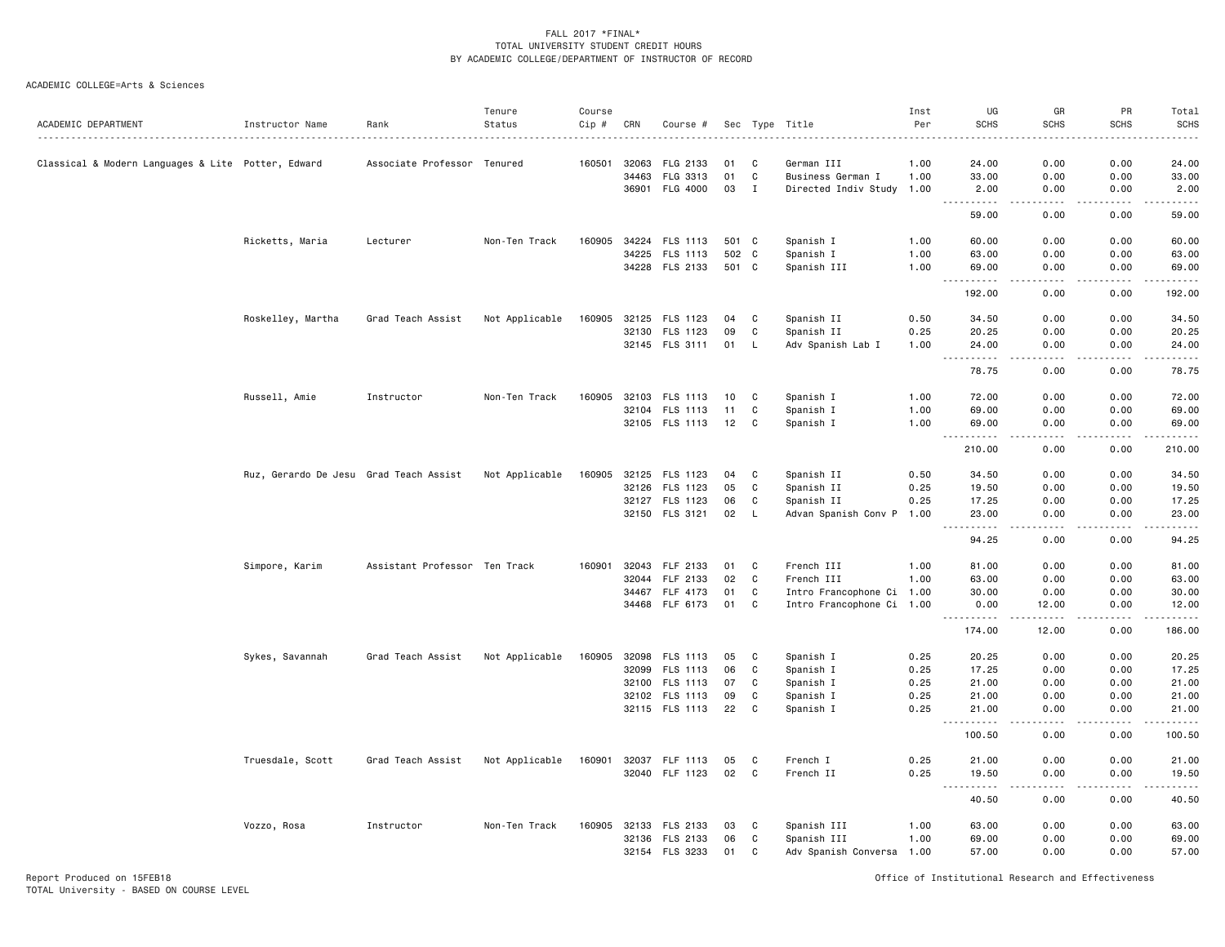| ACADEMIC DEPARTMENT                                | Instructor Name                        | Rank                          | Tenure<br>Status | Course<br>Cip # | CRN          | Course #              | Sec   |             | Type Title                | Inst<br>Per | UG<br><b>SCHS</b>                  | GR<br><b>SCHS</b>            | PR<br><b>SCHS</b> | Total<br><b>SCHS</b>                                                                                                               |
|----------------------------------------------------|----------------------------------------|-------------------------------|------------------|-----------------|--------------|-----------------------|-------|-------------|---------------------------|-------------|------------------------------------|------------------------------|-------------------|------------------------------------------------------------------------------------------------------------------------------------|
| Classical & Modern Languages & Lite Potter, Edward |                                        | Associate Professor Tenured   |                  | 160501          | 32063        | FLG 2133              | 01    | C           | German III                | 1.00        | 24.00                              | 0.00                         | 0.00              | 24.00                                                                                                                              |
|                                                    |                                        |                               |                  |                 | 34463        | FLG 3313              | 01    | C           | Business German I         | 1.00        | 33.00                              | 0.00                         | 0.00              | 33.00                                                                                                                              |
|                                                    |                                        |                               |                  |                 |              | 36901 FLG 4000        | 03    | $\mathbf I$ | Directed Indiv Study 1.00 |             | 2.00                               | 0.00                         | 0.00              | 2.00                                                                                                                               |
|                                                    |                                        |                               |                  |                 |              |                       |       |             |                           |             | $ -$<br>.<br>59.00                 | .<br>0.00                    | <b>.</b><br>0.00  | .<br>59.00                                                                                                                         |
|                                                    | Ricketts, Maria                        | Lecturer                      | Non-Ten Track    | 160905          |              | 34224 FLS 1113        | 501 C |             | Spanish I                 | 1.00        | 60.00                              | 0.00                         | 0.00              | 60.00                                                                                                                              |
|                                                    |                                        |                               |                  |                 | 34225        | FLS 1113              | 502   | C           | Spanish I                 | 1.00        | 63.00                              | 0.00                         | 0.00              | 63.00                                                                                                                              |
|                                                    |                                        |                               |                  |                 |              | 34228 FLS 2133        | 501 C |             | Spanish III               | 1.00        | 69.00                              | 0.00                         | 0.00              | 69.00<br>$\frac{1}{2} \left( \frac{1}{2} \right) \left( \frac{1}{2} \right) \left( \frac{1}{2} \right) \left( \frac{1}{2} \right)$ |
|                                                    |                                        |                               |                  |                 |              |                       |       |             |                           |             | 192.00                             | 0.00                         | 0.00              | 192.00                                                                                                                             |
|                                                    | Roskelley, Martha                      | Grad Teach Assist             | Not Applicable   |                 |              | 160905 32125 FLS 1123 | 04    | C           | Spanish II                | 0.50        | 34.50                              | 0.00                         | 0.00              | 34.50                                                                                                                              |
|                                                    |                                        |                               |                  |                 | 32130        | FLS 1123              | 09    | C           | Spanish II                | 0.25        | 20.25                              | 0.00                         | 0.00              | 20.25                                                                                                                              |
|                                                    |                                        |                               |                  |                 |              | 32145 FLS 3111        | 01    | L.          | Adv Spanish Lab I         | 1.00        | 24.00<br>.<br>$\sim$ $\sim$ $\sim$ | 0.00<br>$\sim$ $\sim$ $\sim$ | 0.00<br>.         | 24.00<br>.                                                                                                                         |
|                                                    |                                        |                               |                  |                 |              |                       |       |             |                           |             | 78.75                              | 0.00                         | 0.00              | 78.75                                                                                                                              |
|                                                    | Russell, Amie                          | Instructor                    | Non-Ten Track    |                 |              | 160905 32103 FLS 1113 | 10    | C           | Spanish I                 | 1.00        | 72.00                              | 0.00                         | 0.00              | 72.00                                                                                                                              |
|                                                    |                                        |                               |                  |                 | 32104        | FLS 1113              | 11    | C           | Spanish I                 | 1.00        | 69.00                              | 0.00                         | 0.00              | 69.00                                                                                                                              |
|                                                    |                                        |                               |                  |                 |              | 32105 FLS 1113        | 12    | C           | Spanish I                 | 1.00        | 69.00<br>$  -$                     | 0.00<br>.                    | 0.00<br>.         | 69.00<br>.                                                                                                                         |
|                                                    |                                        |                               |                  |                 |              |                       |       |             |                           |             | 210.00                             | 0.00                         | 0.00              | 210.00                                                                                                                             |
|                                                    | Ruz, Gerardo De Jesu Grad Teach Assist |                               | Not Applicable   | 160905          | 32125        | FLS 1123              | 04    | C           | Spanish II                | 0.50        | 34.50                              | 0.00                         | 0.00              | 34.50                                                                                                                              |
|                                                    |                                        |                               |                  |                 | 32126        | FLS 1123              | 05    | C           | Spanish II                | 0.25        | 19.50                              | 0.00                         | 0.00              | 19.50                                                                                                                              |
|                                                    |                                        |                               |                  |                 |              | 32127 FLS 1123        | 06    | C           | Spanish II                | 0.25        | 17.25                              | 0.00                         | 0.00              | 17.25                                                                                                                              |
|                                                    |                                        |                               |                  |                 |              | 32150 FLS 3121        | 02    | L.          | Advan Spanish Conv P 1.00 |             | 23.00<br>.                         | 0.00<br>.                    | 0.00<br><u>.</u>  | 23.00<br>.                                                                                                                         |
|                                                    |                                        |                               |                  |                 |              |                       |       |             |                           |             | 94.25                              | 0.00                         | 0.00              | 94.25                                                                                                                              |
|                                                    | Simpore, Karim                         | Assistant Professor Ten Track |                  | 160901          | 32043        | FLF 2133              | 01    | C           | French III                | 1.00        | 81.00                              | 0.00                         | 0.00              | 81.00                                                                                                                              |
|                                                    |                                        |                               |                  |                 | 32044        | FLF 2133              | 02    | C           | French III                | 1.00        | 63.00                              | 0.00                         | 0.00              | 63.00                                                                                                                              |
|                                                    |                                        |                               |                  |                 | 34467        | FLF 4173              | 01    | C           | Intro Francophone Ci 1.00 |             | 30.00                              | 0.00                         | 0.00              | 30.00                                                                                                                              |
|                                                    |                                        |                               |                  |                 |              | 34468 FLF 6173        | 01    | C           | Intro Francophone Ci 1.00 |             | 0.00<br><u>.</u>                   | 12.00<br>.                   | 0.00<br>-----     | 12.00<br>.                                                                                                                         |
|                                                    |                                        |                               |                  |                 |              |                       |       |             |                           |             | 174.00                             | 12.00                        | 0.00              | 186.00                                                                                                                             |
|                                                    | Sykes, Savannah                        | Grad Teach Assist             | Not Applicable   | 160905          | 32098        | FLS 1113              | 05    | C           | Spanish I                 | 0.25        | 20.25                              | 0.00                         | 0.00              | 20.25                                                                                                                              |
|                                                    |                                        |                               |                  |                 | 32099        | FLS 1113              | 06    | C           | Spanish I                 | 0.25        | 17.25                              | 0.00                         | 0.00              | 17.25                                                                                                                              |
|                                                    |                                        |                               |                  |                 | 32100        | FLS 1113              | 07    | C           | Spanish I                 | 0.25        | 21.00                              | 0.00                         | 0.00              | 21.00                                                                                                                              |
|                                                    |                                        |                               |                  |                 |              | 32102 FLS 1113        | 09    | C           | Spanish I                 | 0.25        | 21.00                              | 0.00                         | 0.00              | 21.00                                                                                                                              |
|                                                    |                                        |                               |                  |                 |              | 32115 FLS 1113        | 22    | C           | Spanish I                 | 0.25        | 21.00<br>.<br>$\sim$ $\sim$ $\sim$ | 0.00<br>$\sim$ $\sim$ $\sim$ | 0.00<br>.         | 21.00<br>.                                                                                                                         |
|                                                    |                                        |                               |                  |                 |              |                       |       |             |                           |             | 100.50                             | 0.00                         | 0.00              | 100.50                                                                                                                             |
|                                                    | Truesdale, Scott                       | Grad Teach Assist             | Not Applicable   | 160901          |              | 32037 FLF 1113        | 05    | C           | French I                  | 0.25        | 21.00                              | 0.00                         | 0.00              | 21.00                                                                                                                              |
|                                                    |                                        |                               |                  |                 |              | 32040 FLF 1123        | 02    | C           | French II                 | 0.25        | 19.50<br>.                         | 0.00<br>.                    | 0.00<br>.         | 19.50<br>.                                                                                                                         |
|                                                    |                                        |                               |                  |                 |              |                       |       |             |                           |             | 40.50                              | 0.00                         | 0.00              | 40.50                                                                                                                              |
|                                                    | Vozzo, Rosa                            | Instructor                    | Non-Ten Track    |                 | 160905 32133 | FLS 2133              | 03    | C           | Spanish III               | 1.00        | 63.00                              | 0.00                         | 0.00              | 63.00                                                                                                                              |
|                                                    |                                        |                               |                  |                 | 32136        | FLS 2133              | 06    | C           | Spanish III               | 1.00        | 69.00                              | 0.00                         | 0.00              | 69.00                                                                                                                              |
|                                                    |                                        |                               |                  |                 |              | 32154 FLS 3233        | 01    | C           | Adv Spanish Conversa 1.00 |             | 57.00                              | 0.00                         | 0.00              | 57.00                                                                                                                              |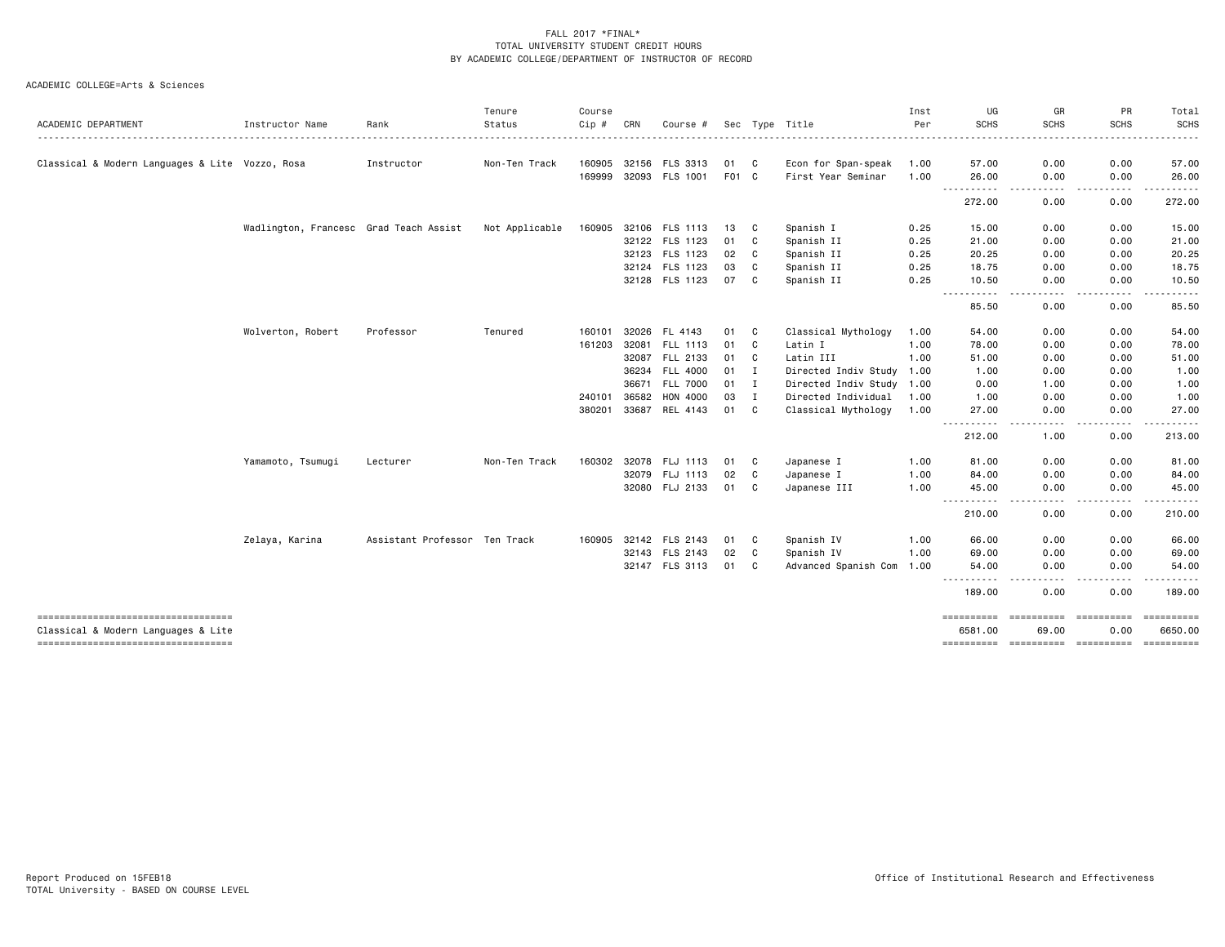|                                                                           |                                        |                               | Tenure         | Course |       |                 |       |             |                           | Inst | UG                                                                                                     | GR                                        | PR                                                                                                                                                   | Total       |
|---------------------------------------------------------------------------|----------------------------------------|-------------------------------|----------------|--------|-------|-----------------|-------|-------------|---------------------------|------|--------------------------------------------------------------------------------------------------------|-------------------------------------------|------------------------------------------------------------------------------------------------------------------------------------------------------|-------------|
| ACADEMIC DEPARTMENT                                                       | Instructor Name                        | Rank                          | Status         | Cip #  | CRN   | Course #        |       |             | Sec Type Title            | Per  | <b>SCHS</b>                                                                                            | <b>SCHS</b>                               | <b>SCHS</b>                                                                                                                                          | <b>SCHS</b> |
| Classical & Modern Languages & Lite Vozzo, Rosa                           |                                        | Instructor                    | Non-Ten Track  | 160905 | 32156 | FLS 3313        | 01    | C           | Econ for Span-speak       | 1.00 | 57.00                                                                                                  | 0.00                                      | 0.00                                                                                                                                                 | 57.00       |
|                                                                           |                                        |                               |                | 169999 | 32093 | FLS 1001        | F01 C |             | First Year Seminar        | 1.00 | 26.00                                                                                                  | 0.00                                      | 0.00                                                                                                                                                 | 26.00       |
|                                                                           |                                        |                               |                |        |       |                 |       |             |                           |      | $\frac{1}{2} \frac{1}{2} \frac{1}{2} \frac{1}{2} \frac{1}{2} \frac{1}{2} \frac{1}{2} \frac{1}{2}$<br>. | ----                                      | $\frac{1}{2} \left( \frac{1}{2} \right) \left( \frac{1}{2} \right) \left( \frac{1}{2} \right) \left( \frac{1}{2} \right) \left( \frac{1}{2} \right)$ | .           |
|                                                                           |                                        |                               |                |        |       |                 |       |             |                           |      | 272.00                                                                                                 | 0.00                                      | 0.00                                                                                                                                                 | 272.00      |
|                                                                           | Wadlington, Francesc Grad Teach Assist |                               | Not Applicable | 160905 | 32106 | FLS 1113        | 13    | C           | Spanish I                 | 0.25 | 15.00                                                                                                  | 0.00                                      | 0.00                                                                                                                                                 | 15.00       |
|                                                                           |                                        |                               |                |        | 32122 | FLS 1123        | 01    | C           | Spanish II                | 0.25 | 21.00                                                                                                  | 0.00                                      | 0.00                                                                                                                                                 | 21.00       |
|                                                                           |                                        |                               |                |        | 32123 | FLS 1123        | 02    | C           | Spanish II                | 0.25 | 20.25                                                                                                  | 0.00                                      | 0.00                                                                                                                                                 | 20.25       |
|                                                                           |                                        |                               |                |        |       | 32124 FLS 1123  | 03    | C           | Spanish II                | 0.25 | 18.75                                                                                                  | 0.00                                      | 0.00                                                                                                                                                 | 18.75       |
|                                                                           |                                        |                               |                |        | 32128 | FLS 1123        | 07    | C           | Spanish II                | 0.25 | 10.50<br>$\sim$ $\sim$ $\sim$                                                                          | 0.00                                      | 0.00                                                                                                                                                 | 10.50       |
|                                                                           |                                        |                               |                |        |       |                 |       |             |                           |      | 85.50                                                                                                  | 0.00                                      | 0.00                                                                                                                                                 | 85.50       |
|                                                                           | Wolverton, Robert                      | Professor                     | Tenured        | 160101 | 32026 | FL 4143         | 01    | C           | Classical Mythology       | 1.00 | 54.00                                                                                                  | 0.00                                      | 0.00                                                                                                                                                 | 54.00       |
|                                                                           |                                        |                               |                | 161203 | 32081 | FLL 1113        | 01    | C           | Latin I                   | 1.00 | 78.00                                                                                                  | 0.00                                      | 0.00                                                                                                                                                 | 78.00       |
|                                                                           |                                        |                               |                |        |       | 32087 FLL 2133  | 01    | C           | Latin III                 | 1.00 | 51.00                                                                                                  | 0.00                                      | 0.00                                                                                                                                                 | 51.00       |
|                                                                           |                                        |                               |                |        | 36234 | FLL 4000        | 01    | $\mathbf I$ | Directed Indiv Study 1.00 |      | 1.00                                                                                                   | 0.00                                      | 0.00                                                                                                                                                 | 1.00        |
|                                                                           |                                        |                               |                |        | 36671 | <b>FLL 7000</b> | 01    | I           | Directed Indiv Study 1.00 |      | 0.00                                                                                                   | 1.00                                      | 0.00                                                                                                                                                 | 1.00        |
|                                                                           |                                        |                               |                | 240101 | 36582 | HON 4000        | 03    | I           | Directed Individual       | 1.00 | 1.00                                                                                                   | 0.00                                      | 0.00                                                                                                                                                 | 1.00        |
|                                                                           |                                        |                               |                | 380201 | 33687 | REL 4143        | 01    | C           | Classical Mythology       | 1.00 | 27.00<br>$\sim$ $\sim$ $\sim$ $\sim$<br>. <b>.</b>                                                     | 0.00<br>$- - - -$                         | 0.00<br>.                                                                                                                                            | 27.00<br>.  |
|                                                                           |                                        |                               |                |        |       |                 |       |             |                           |      | 212.00                                                                                                 | 1.00                                      | 0.00                                                                                                                                                 | 213.00      |
|                                                                           | Yamamoto, Tsumugi                      | Lecturer                      | Non-Ten Track  | 160302 | 32078 | FLJ 1113        | 01    | C           | Japanese I                | 1.00 | 81.00                                                                                                  | 0.00                                      | 0.00                                                                                                                                                 | 81.00       |
|                                                                           |                                        |                               |                |        | 32079 | FLJ 1113        | 02    | C           | Japanese I                | 1.00 | 84.00                                                                                                  | 0.00                                      | 0.00                                                                                                                                                 | 84.00       |
|                                                                           |                                        |                               |                |        | 32080 | FLJ 2133        | 01    | C           | Japanese III              | 1.00 | 45.00<br>$\cdots$<br>.                                                                                 | 0.00<br>$\cdots$                          | 0.00<br>.                                                                                                                                            | 45.00<br>.  |
|                                                                           |                                        |                               |                |        |       |                 |       |             |                           |      | 210.00                                                                                                 | 0.00                                      | 0.00                                                                                                                                                 | 210.00      |
|                                                                           | Zelaya, Karina                         | Assistant Professor Ten Track |                | 160905 |       | 32142 FLS 2143  | 01    | C           | Spanish IV                | 1.00 | 66.00                                                                                                  | 0.00                                      | 0.00                                                                                                                                                 | 66.00       |
|                                                                           |                                        |                               |                |        | 32143 | FLS 2143        | 02    | C           | Spanish IV                | 1.00 | 69.00                                                                                                  | 0.00                                      | 0.00                                                                                                                                                 | 69.00       |
|                                                                           |                                        |                               |                |        |       | 32147 FLS 3113  | 01    | C           | Advanced Spanish Com      | 1.00 | 54.00<br>$\cdots$<br>------                                                                            | 0.00<br>. <u>. .</u>                      | 0.00<br>-----<br>$- - - -$                                                                                                                           | 54.00<br>.  |
|                                                                           |                                        |                               |                |        |       |                 |       |             |                           |      | 189.00                                                                                                 | 0.00                                      | 0.00                                                                                                                                                 | 189.00      |
| ----------------------------------<br>Classical & Modern Languages & Lite |                                        |                               |                |        |       |                 |       |             |                           |      | 6581.00                                                                                                | ---------- ---------- ----------<br>69.00 | 0.00                                                                                                                                                 | 6650.00     |
| ----------------------------------                                        |                                        |                               |                |        |       |                 |       |             |                           |      | ==========                                                                                             | ==========                                | ----------- ---------                                                                                                                                |             |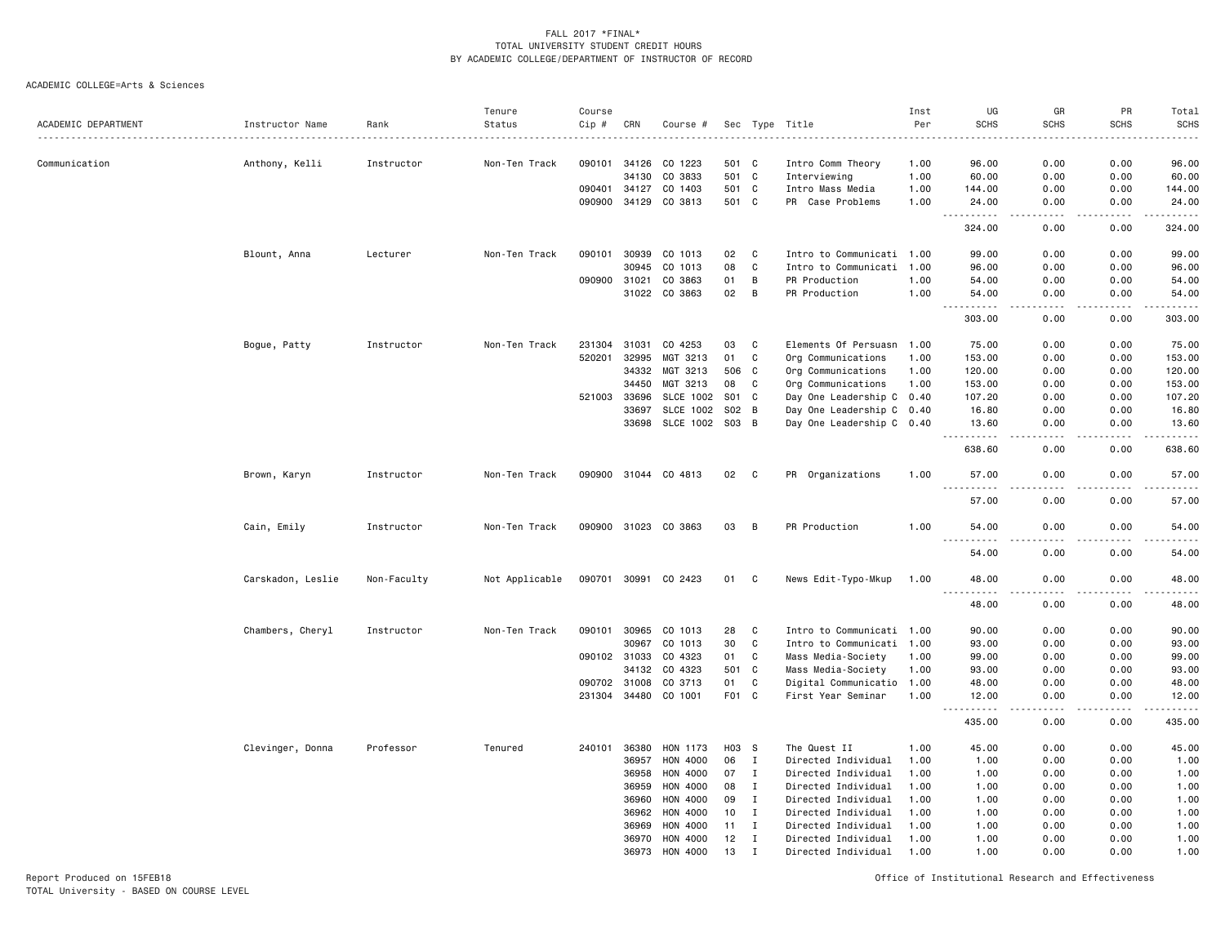| ACADEMIC DEPARTMENT | Instructor Name   | Rank        | Tenure<br>Status | Course<br>Cip # | CRN            | Course #             |          |                             | Sec Type Title                             | Inst<br>Per<br>. | UG<br><b>SCHS</b>                      | GR<br><b>SCHS</b>                                                                                                                 | PR<br><b>SCHS</b> | Total<br><b>SCHS</b><br>المتمام |
|---------------------|-------------------|-------------|------------------|-----------------|----------------|----------------------|----------|-----------------------------|--------------------------------------------|------------------|----------------------------------------|-----------------------------------------------------------------------------------------------------------------------------------|-------------------|---------------------------------|
| Communication       | Anthony, Kelli    | Instructor  | Non-Ten Track    |                 | 090101 34126   | CO 1223              | 501 C    |                             | Intro Comm Theory                          | 1.00             | 96.00                                  | 0.00                                                                                                                              | 0.00              | 96.00                           |
|                     |                   |             |                  |                 | 34130          | CO 3833              | 501 C    |                             | Interviewing                               | 1.00             | 60.00                                  | 0.00                                                                                                                              | 0.00              | 60.00                           |
|                     |                   |             |                  |                 | 090401 34127   | CO 1403              | 501 C    |                             | Intro Mass Media                           | 1.00             | 144.00                                 | 0.00                                                                                                                              | 0.00              | 144.00                          |
|                     |                   |             |                  | 090900          | 34129          | CO 3813              | 501 C    |                             | PR Case Problems                           | 1.00             | 24.00                                  | 0.00                                                                                                                              | 0.00              | 24.00                           |
|                     |                   |             |                  |                 |                |                      |          |                             |                                            |                  | 324.00                                 | 0.00                                                                                                                              | 0.00              | 324.00                          |
|                     | Blount, Anna      | Lecturer    | Non-Ten Track    | 090101          | 30939          | CO 1013              | 02       | C                           | Intro to Communicati 1.00                  |                  | 99.00                                  | 0.00                                                                                                                              | 0.00              | 99.00                           |
|                     |                   |             |                  |                 | 30945          | CO 1013              | 08       | $\mathbf c$                 | Intro to Communicati 1.00                  |                  | 96.00                                  | 0.00                                                                                                                              | 0.00              | 96.00                           |
|                     |                   |             |                  |                 | 090900 31021   | CO 3863              | 01       | B                           | PR Production                              | 1.00             | 54.00                                  | 0.00                                                                                                                              | 0.00              | 54.00                           |
|                     |                   |             |                  |                 | 31022          | CO 3863              | 02       | B                           | PR Production                              | 1.00             | 54.00<br>$\sim$ $\sim$ $\sim$<br>----- | 0.00<br>$\frac{1}{2} \left( \frac{1}{2} \right) \left( \frac{1}{2} \right) \left( \frac{1}{2} \right) \left( \frac{1}{2} \right)$ | 0.00<br>.         | 54.00<br>.                      |
|                     |                   |             |                  |                 |                |                      |          |                             |                                            |                  | 303.00                                 | 0.00                                                                                                                              | 0.00              | 303.00                          |
|                     | Bogue, Patty      | Instructor  | Non-Ten Track    | 231304          | 31031          | CO 4253              | 03       | $\mathbf C$                 | Elements Of Persuasn                       | 1.00             | 75.00                                  | 0.00                                                                                                                              | 0.00              | 75.00                           |
|                     |                   |             |                  | 520201          | 32995          | MGT 3213             | 01       | C                           | Org Communications                         | 1.00             | 153.00                                 | 0.00                                                                                                                              | 0.00              | 153.00                          |
|                     |                   |             |                  |                 | 34332          | MGT 3213             | 506      | C                           | Org Communications                         | 1.00             | 120.00                                 | 0.00                                                                                                                              | 0.00              | 120.00                          |
|                     |                   |             |                  |                 | 34450          | MGT 3213             | 08       | C                           | Org Communications                         | 1.00             | 153.00                                 | 0.00                                                                                                                              | 0.00              | 153.00                          |
|                     |                   |             |                  | 521003          | 33696          | <b>SLCE 1002</b>     | S01 C    |                             | Day One Leadership C 0.40                  |                  | 107.20                                 | 0.00                                                                                                                              | 0.00              | 107.20                          |
|                     |                   |             |                  |                 | 33697          | SLCE 1002            | S02 B    |                             | Day One Leadership C 0.40                  |                  | 16.80                                  | 0.00                                                                                                                              | 0.00              | 16.80                           |
|                     |                   |             |                  |                 | 33698          | <b>SLCE 1002</b>     | S03 B    |                             | Day One Leadership C 0.40                  |                  | 13.60<br>.                             | 0.00<br>$- - - -$                                                                                                                 | 0.00<br>.         | 13.60<br>.                      |
|                     |                   |             |                  |                 |                |                      |          |                             |                                            |                  | 638.60                                 | 0.00                                                                                                                              | 0.00              | 638.60                          |
|                     | Brown, Karyn      | Instructor  | Non-Ten Track    |                 |                | 090900 31044 CO 4813 | 02       | C                           | PR Organizations                           | 1.00             | 57.00                                  | 0.00                                                                                                                              | 0.00              | 57.00                           |
|                     |                   |             |                  |                 |                |                      |          |                             |                                            |                  | 57.00                                  | 0.00                                                                                                                              | 0.00              | 57.00                           |
|                     | Cain, Emily       | Instructor  | Non-Ten Track    |                 |                | 090900 31023 CO 3863 | 03       | В                           | PR Production                              | 1.00             | 54.00                                  | 0.00                                                                                                                              | 0.00              | 54.00                           |
|                     |                   |             |                  |                 |                |                      |          |                             |                                            |                  | .<br>54.00                             | 0.00                                                                                                                              | 0.00              | 54.00                           |
|                     | Carskadon, Leslie | Non-Faculty | Not Applicable   |                 |                | 090701 30991 CO 2423 | 01       | C                           | News Edit-Typo-Mkup                        | 1.00             | 48.00                                  | 0.00                                                                                                                              | 0.00              | 48.00                           |
|                     |                   |             |                  |                 |                |                      |          |                             |                                            |                  | - - -<br>.<br>48.00                    | $- - -$<br>0.00                                                                                                                   | .<br>0.00         | .<br>48.00                      |
|                     | Chambers, Cheryl  | Instructor  | Non-Ten Track    | 090101          | 30965          | CO 1013              | 28       | C                           | Intro to Communicati 1.00                  |                  | 90.00                                  | 0.00                                                                                                                              | 0.00              | 90.00                           |
|                     |                   |             |                  |                 | 30967          | CO 1013              | 30       | C                           | Intro to Communicati 1.00                  |                  | 93.00                                  | 0.00                                                                                                                              | 0.00              | 93.00                           |
|                     |                   |             |                  |                 | 090102 31033   | CO 4323              | 01       | C                           | Mass Media-Society                         | 1.00             | 99.00                                  | 0.00                                                                                                                              | 0.00              | 99.00                           |
|                     |                   |             |                  |                 | 34132          | CO 4323              | 501      | $\mathbf{C}$                | Mass Media-Society                         | 1.00             | 93.00                                  | 0.00                                                                                                                              | 0.00              | 93.00                           |
|                     |                   |             |                  |                 | 090702 31008   | CO 3713              | 01       | C                           | Digital Communicatio 1.00                  |                  | 48.00                                  | 0.00                                                                                                                              | 0.00              | 48.00                           |
|                     |                   |             |                  |                 | 231304 34480   | CO 1001              | F01      | $\mathbf{C}$                | First Year Seminar                         | 1.00             | 12.00<br>$- - - - -$<br>$-$            | 0.00<br>$- - - -$                                                                                                                 | 0.00<br>.         | 12.00<br>.                      |
|                     |                   |             |                  |                 |                |                      |          |                             |                                            |                  | 435.00                                 | 0.00                                                                                                                              | 0.00              | 435.00                          |
|                     | Clevinger, Donna  | Professor   | Tenured          | 240101          | 36380          | HON 1173             | H03      | - S                         | The Quest II                               | 1.00             | 45.00                                  | 0.00                                                                                                                              | 0.00              | 45.00                           |
|                     |                   |             |                  |                 | 36957          | HON 4000             | 06       | $\mathbf{I}$                | Directed Individual                        | 1.00             | 1.00                                   | 0.00                                                                                                                              | 0.00              | 1.00                            |
|                     |                   |             |                  |                 | 36958          | HON 4000             | 07       | $\mathbf{I}$                | Directed Individual                        | 1.00             | 1.00                                   | 0.00                                                                                                                              | 0.00              | 1.00                            |
|                     |                   |             |                  |                 | 36959          | HON 4000             | 08       | $\mathbf{I}$                | Directed Individual                        | 1.00             | 1.00                                   | 0.00                                                                                                                              | 0.00              | 1.00                            |
|                     |                   |             |                  |                 | 36960          | HON 4000             | 09       | I                           | Directed Individual                        | 1.00             | 1.00                                   | 0.00                                                                                                                              | 0.00              | 1.00                            |
|                     |                   |             |                  |                 | 36962          | HON 4000             | 10<br>11 | $\mathbf{I}$<br>$\mathbf I$ | Directed Individual                        | 1.00<br>1.00     | 1.00<br>1.00                           | 0.00<br>0.00                                                                                                                      | 0.00<br>0.00      | 1.00                            |
|                     |                   |             |                  |                 | 36969<br>36970 | HON 4000<br>HON 4000 | 12       | $\mathbf I$                 | Directed Individual<br>Directed Individual | 1.00             | 1.00                                   | 0.00                                                                                                                              | 0.00              | 1.00<br>1.00                    |
|                     |                   |             |                  |                 | 36973          | HON 4000             | 13       | $\mathbf I$                 | Directed Individual                        | 1.00             | 1.00                                   | 0.00                                                                                                                              | 0.00              | 1.00                            |
|                     |                   |             |                  |                 |                |                      |          |                             |                                            |                  |                                        |                                                                                                                                   |                   |                                 |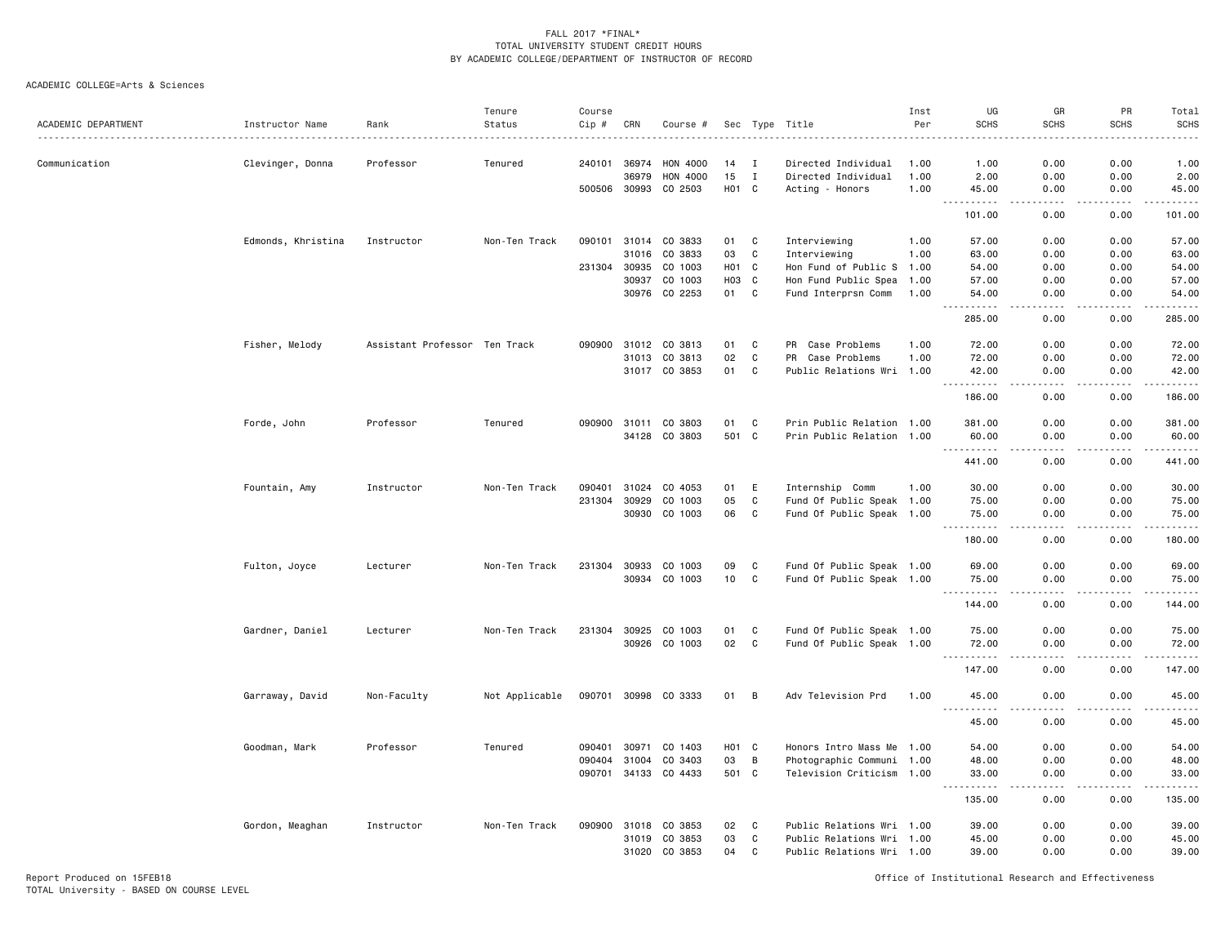| ACADEMIC DEPARTMENT | Instructor Name    | Rank                          | Tenure<br>Status | Course<br>Cip # | CRN          | Course #             |             |              | Sec Type Title            | Inst<br>Per | UG<br><b>SCHS</b>                           | GR<br><b>SCHS</b>                   | PR<br><b>SCHS</b>                                                                                                                                            | Total<br><b>SCHS</b>                                                                                                                                           |
|---------------------|--------------------|-------------------------------|------------------|-----------------|--------------|----------------------|-------------|--------------|---------------------------|-------------|---------------------------------------------|-------------------------------------|--------------------------------------------------------------------------------------------------------------------------------------------------------------|----------------------------------------------------------------------------------------------------------------------------------------------------------------|
| Communication       | Clevinger, Donna   | Professor                     | Tenured          | 240101          | 36974        | HON 4000             | 14          | I            | Directed Individual       | 1.00        | 1.00                                        | 0.00                                | 0.00                                                                                                                                                         | 1.00                                                                                                                                                           |
|                     |                    |                               |                  |                 | 36979        | HON 4000             | 15          | $\mathbf{I}$ | Directed Individual       | 1.00        | 2.00                                        | 0.00                                | 0.00                                                                                                                                                         | 2.00                                                                                                                                                           |
|                     |                    |                               |                  |                 | 500506 30993 | CO 2503              | H01 C       |              | Acting - Honors           | 1.00        | 45.00<br>$\sim$ $\sim$ $\sim$<br>. <b>.</b> | 0.00<br>.                           | 0.00<br>$\frac{1}{2} \left( \frac{1}{2} \right) \left( \frac{1}{2} \right) \left( \frac{1}{2} \right) \left( \frac{1}{2} \right) \left( \frac{1}{2} \right)$ | 45.00<br>.                                                                                                                                                     |
|                     |                    |                               |                  |                 |              |                      |             |              |                           |             | 101.00                                      | 0.00                                | 0.00                                                                                                                                                         | 101.00                                                                                                                                                         |
|                     | Edmonds, Khristina | Instructor                    | Non-Ten Track    |                 |              | 090101 31014 CO 3833 | 01          | C            | Interviewing              | 1.00        | 57.00                                       | 0.00                                | 0.00                                                                                                                                                         | 57.00                                                                                                                                                          |
|                     |                    |                               |                  |                 | 31016        | CO 3833              | 03          | $\mathtt{C}$ | Interviewing              | 1.00        | 63.00                                       | 0.00                                | 0.00                                                                                                                                                         | 63.00                                                                                                                                                          |
|                     |                    |                               |                  | 231304          | 30935        | CO 1003              | H01 C       |              | Hon Fund of Public S 1.00 |             | 54.00                                       | 0.00                                | 0.00                                                                                                                                                         | 54.00                                                                                                                                                          |
|                     |                    |                               |                  |                 | 30937        | CO 1003              | H03         | C.           | Hon Fund Public Spea 1.00 |             | 57.00                                       | 0.00                                | 0.00                                                                                                                                                         | 57.00                                                                                                                                                          |
|                     |                    |                               |                  |                 | 30976        | CO 2253              | 01          | C            | Fund Interprsn Comm       | 1.00        | 54.00<br>.<br>$\sim$ $\sim$ $\sim$          | 0.00<br>$\sim$ $\sim$ $\sim$ $\sim$ | 0.00<br><u>.</u>                                                                                                                                             | 54.00<br>.                                                                                                                                                     |
|                     |                    |                               |                  |                 |              |                      |             |              |                           |             | 285.00                                      | 0.00                                | 0.00                                                                                                                                                         | 285.00                                                                                                                                                         |
|                     | Fisher, Melody     | Assistant Professor Ten Track |                  | 090900          | 31012        | CO 3813              | 01          | C            | PR Case Problems          | 1.00        | 72.00                                       | 0.00                                | 0.00                                                                                                                                                         | 72.00                                                                                                                                                          |
|                     |                    |                               |                  |                 | 31013        | CO 3813              | 02          | C            | PR Case Problems          | 1.00        | 72.00                                       | 0.00                                | 0.00                                                                                                                                                         | 72.00                                                                                                                                                          |
|                     |                    |                               |                  |                 |              | 31017 CO 3853        | 01          | C            | Public Relations Wri 1.00 |             | 42.00                                       | 0.00                                | 0.00                                                                                                                                                         | 42.00                                                                                                                                                          |
|                     |                    |                               |                  |                 |              |                      |             |              |                           |             | $\sim$ $\sim$<br>.<br>186.00                | $\sim$ $\sim$ $\sim$ $\sim$<br>0.00 | 0.00                                                                                                                                                         | .<br>186.00                                                                                                                                                    |
|                     | Forde, John        | Professor                     | Tenured          |                 |              | 090900 31011 CO 3803 | 01          | C            | Prin Public Relation 1.00 |             | 381.00                                      | 0.00                                | 0.00                                                                                                                                                         | 381.00                                                                                                                                                         |
|                     |                    |                               |                  |                 | 34128        | CO 3803              | 501         | $\mathbf{C}$ | Prin Public Relation 1.00 |             | 60.00                                       | 0.00                                | 0.00                                                                                                                                                         | 60.00                                                                                                                                                          |
|                     |                    |                               |                  |                 |              |                      |             |              |                           |             | $ -$<br>. <b>.</b>                          | $\cdots$                            | .                                                                                                                                                            | .                                                                                                                                                              |
|                     |                    |                               |                  |                 |              |                      |             |              |                           |             | 441.00                                      | 0.00                                | 0.00                                                                                                                                                         | 441.00                                                                                                                                                         |
|                     | Fountain, Amy      | Instructor                    | Non-Ten Track    | 090401          | 31024        | CO 4053              | 01          | Ε            | Internship Comm           | 1.00        | 30.00                                       | 0.00                                | 0.00                                                                                                                                                         | 30.00                                                                                                                                                          |
|                     |                    |                               |                  |                 | 231304 30929 | CO 1003              | 05          | C            | Fund Of Public Speak 1.00 |             | 75.00                                       | 0.00                                | 0.00                                                                                                                                                         | 75.00                                                                                                                                                          |
|                     |                    |                               |                  |                 |              | 30930 CO 1003        | 06          | C            | Fund Of Public Speak 1.00 |             | 75.00                                       | 0.00                                | 0.00                                                                                                                                                         | 75.00                                                                                                                                                          |
|                     |                    |                               |                  |                 |              |                      |             |              |                           |             | . <b>.</b><br>180.00                        | .<br>0.00                           | $\frac{1}{2} \left( \frac{1}{2} \right) \left( \frac{1}{2} \right) \left( \frac{1}{2} \right) \left( \frac{1}{2} \right) \left( \frac{1}{2} \right)$<br>0.00 | $\frac{1}{2} \left( \frac{1}{2} \right) \left( \frac{1}{2} \right) \left( \frac{1}{2} \right) \left( \frac{1}{2} \right) \left( \frac{1}{2} \right)$<br>180.00 |
|                     | Fulton, Joyce      | Lecturer                      | Non-Ten Track    |                 | 231304 30933 | CO 1003              | 09          | C            | Fund Of Public Speak 1.00 |             | 69.00                                       | 0.00                                | 0.00                                                                                                                                                         | 69.00                                                                                                                                                          |
|                     |                    |                               |                  |                 |              | 30934 CO 1003        | 10          | C            | Fund Of Public Speak 1.00 |             | 75.00                                       | 0.00                                | 0.00                                                                                                                                                         | 75.00                                                                                                                                                          |
|                     |                    |                               |                  |                 |              |                      |             |              |                           |             |                                             |                                     |                                                                                                                                                              |                                                                                                                                                                |
|                     |                    |                               |                  |                 |              |                      |             |              |                           |             | 144.00                                      | 0.00                                | 0.00                                                                                                                                                         | 144.00                                                                                                                                                         |
|                     | Gardner, Daniel    | Lecturer                      | Non-Ten Track    |                 | 231304 30925 | CO 1003              | 01          | C            | Fund Of Public Speak 1.00 |             | 75.00                                       | 0.00                                | 0.00                                                                                                                                                         | 75.00                                                                                                                                                          |
|                     |                    |                               |                  |                 | 30926        | CO 1003              | 02          | C            | Fund Of Public Speak 1.00 |             | 72.00                                       | 0.00                                | 0.00                                                                                                                                                         | 72.00                                                                                                                                                          |
|                     |                    |                               |                  |                 |              |                      |             |              |                           |             | .<br>147.00                                 | $   -$<br>0.00                      | .<br>0.00                                                                                                                                                    | $- - - - - -$<br>147.00                                                                                                                                        |
|                     | Garraway, David    | Non-Faculty                   | Not Applicable   |                 |              | 090701 30998 CO 3333 | 01          | B            | Adv Television Prd        | 1.00        | 45.00                                       | 0.00                                | 0.00                                                                                                                                                         | 45.00                                                                                                                                                          |
|                     |                    |                               |                  |                 |              |                      |             |              |                           |             | $\sim$ $\sim$ $\sim$<br>45.00               | 0.00                                | 0.00                                                                                                                                                         | 45.00                                                                                                                                                          |
|                     |                    |                               |                  |                 |              |                      |             |              |                           |             |                                             |                                     |                                                                                                                                                              |                                                                                                                                                                |
|                     | Goodman, Mark      | Professor                     | Tenured          | 090401          | 30971        | CO 1403              | H01 C       |              | Honors Intro Mass Me 1.00 |             | 54.00                                       | 0.00                                | 0.00                                                                                                                                                         | 54.00                                                                                                                                                          |
|                     |                    |                               |                  | 090404          | 31004        | CO 3403<br>CO 4433   | 03<br>501 C | В            | Photographic Communi 1.00 |             | 48.00                                       | 0.00<br>0.00                        | 0.00<br>0.00                                                                                                                                                 | 48.00                                                                                                                                                          |
|                     |                    |                               |                  |                 | 090701 34133 |                      |             |              | Television Criticism 1.00 |             | 33.00<br>.<br>$ -$                          |                                     |                                                                                                                                                              | 33.00<br>.                                                                                                                                                     |
|                     |                    |                               |                  |                 |              |                      |             |              |                           |             | 135.00                                      | 0.00                                | 0.00                                                                                                                                                         | 135.00                                                                                                                                                         |
|                     | Gordon, Meaghan    | Instructor                    | Non-Ten Track    | 090900          | 31018        | CO 3853              | 02          | C            | Public Relations Wri 1.00 |             | 39.00                                       | 0.00                                | 0.00                                                                                                                                                         | 39.00                                                                                                                                                          |
|                     |                    |                               |                  |                 | 31019        | CO 3853              | 03          | C            | Public Relations Wri 1.00 |             | 45.00                                       | 0.00                                | 0.00                                                                                                                                                         | 45.00                                                                                                                                                          |
|                     |                    |                               |                  |                 | 31020        | CO 3853              | 04          | C            | Public Relations Wri 1.00 |             | 39.00                                       | 0.00                                | 0.00                                                                                                                                                         | 39.00                                                                                                                                                          |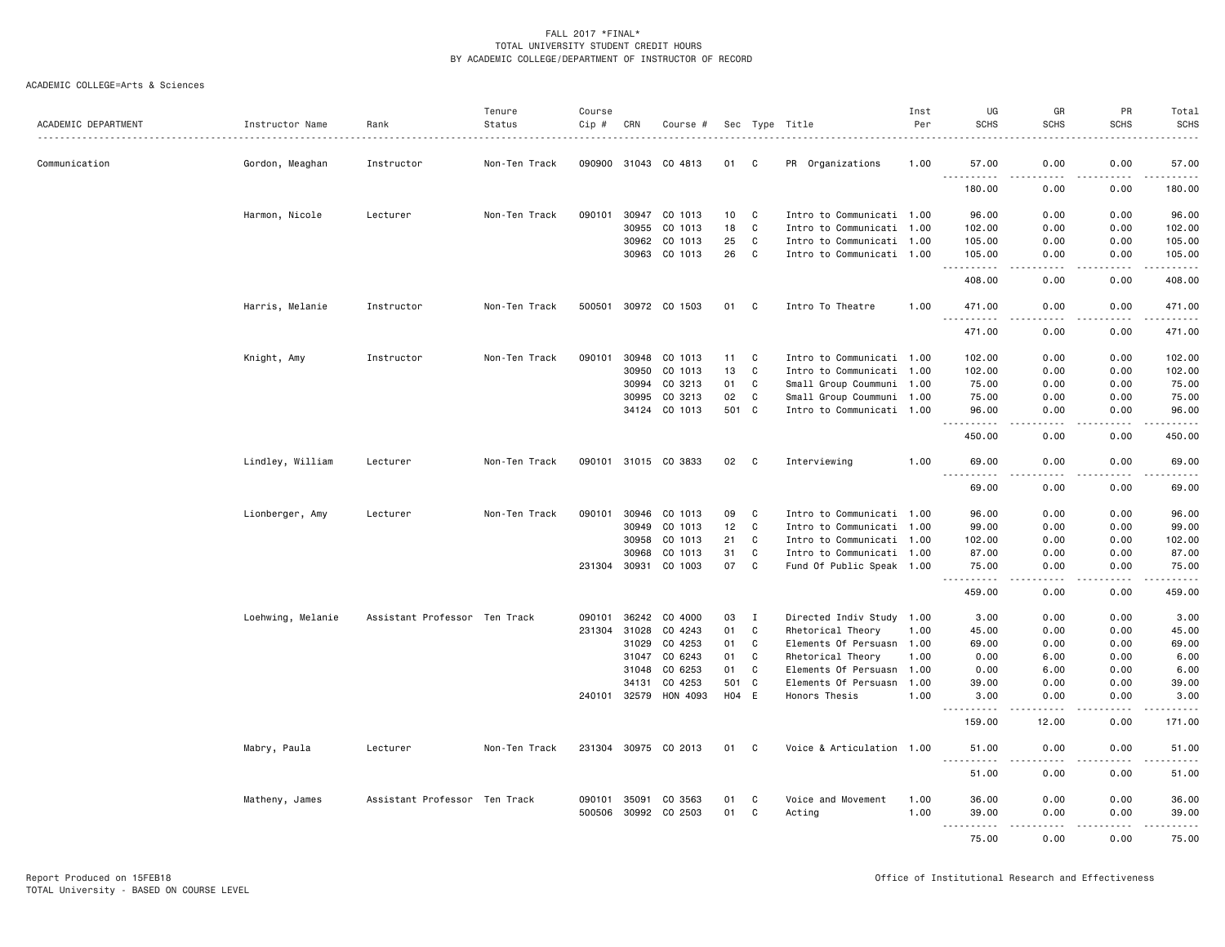| ACADEMIC DEPARTMENT | Instructor Name<br>. | Rank                          | Tenure<br>Status | Course<br>Cip # | CRN   | Course #             |       |             | Sec Type Title            | Inst<br>Per | UG<br><b>SCHS</b>                  | GR<br><b>SCHS</b>                                                                                                                 | PR<br><b>SCHS</b> | Total<br><b>SCHS</b> |
|---------------------|----------------------|-------------------------------|------------------|-----------------|-------|----------------------|-------|-------------|---------------------------|-------------|------------------------------------|-----------------------------------------------------------------------------------------------------------------------------------|-------------------|----------------------|
| Communication       | Gordon, Meaghan      | Instructor                    | Non-Ten Track    | 090900 31043    |       | CO 4813              | 01    | C           | PR Organizations          | 1.00        | 57.00                              | 0.00                                                                                                                              | 0.00              | 57.00                |
|                     |                      |                               |                  |                 |       |                      |       |             |                           |             | .<br>180.00                        | .<br>0.00                                                                                                                         | .<br>0.00         | .<br>180.00          |
|                     | Harmon, Nicole       | Lecturer                      | Non-Ten Track    | 090101          | 30947 | CO 1013              | 10    | C           | Intro to Communicati 1.00 |             | 96.00                              | 0.00                                                                                                                              | 0.00              | 96.00                |
|                     |                      |                               |                  |                 | 30955 | CO 1013              | 18    | C           | Intro to Communicati 1.00 |             | 102.00                             | 0.00                                                                                                                              | 0.00              | 102.00               |
|                     |                      |                               |                  |                 | 30962 | CO 1013              | 25    | C           | Intro to Communicati 1.00 |             | 105.00                             | 0.00                                                                                                                              | 0.00              | 105.00               |
|                     |                      |                               |                  |                 | 30963 | CO 1013              | 26    | C           | Intro to Communicati 1.00 |             | 105.00<br>.                        | 0.00<br>.                                                                                                                         | 0.00<br>.         | 105.00<br>.          |
|                     |                      |                               |                  |                 |       |                      |       |             |                           |             | 408.00                             | 0.00                                                                                                                              | 0.00              | 408.00               |
|                     | Harris, Melanie      | Instructor                    | Non-Ten Track    |                 |       | 500501 30972 CO 1503 | 01 C  |             | Intro To Theatre          | 1.00        | 471.00<br>.                        | 0.00<br>.                                                                                                                         | 0.00<br>-----     | 471.00<br>.          |
|                     |                      |                               |                  |                 |       |                      |       |             |                           |             | 471.00                             | 0.00                                                                                                                              | 0.00              | 471.00               |
|                     | Knight, Amy          | Instructor                    | Non-Ten Track    | 090101          | 30948 | CO 1013              | 11    | C           | Intro to Communicati 1.00 |             | 102.00                             | 0.00                                                                                                                              | 0.00              | 102.00               |
|                     |                      |                               |                  |                 | 30950 | CO 1013              | 13    | C           | Intro to Communicati 1.00 |             | 102.00                             | 0.00                                                                                                                              | 0.00              | 102.00               |
|                     |                      |                               |                  |                 | 30994 | CO 3213              | 01    | C           | Small Group Coummuni 1.00 |             | 75.00                              | 0.00                                                                                                                              | 0.00              | 75.00                |
|                     |                      |                               |                  |                 | 30995 | CO 3213              | 02    | C           | Small Group Coummuni 1.00 |             | 75.00                              | 0.00                                                                                                                              | 0.00              | 75.00                |
|                     |                      |                               |                  |                 |       | 34124 CO 1013        | 501   | C           | Intro to Communicati 1.00 |             | 96.00<br>.                         | 0.00<br>$\frac{1}{2} \left( \frac{1}{2} \right) \left( \frac{1}{2} \right) \left( \frac{1}{2} \right) \left( \frac{1}{2} \right)$ | 0.00<br>.         | 96.00<br>.           |
|                     |                      |                               |                  |                 |       |                      |       |             |                           |             | 450.00                             | 0.00                                                                                                                              | 0.00              | 450.00               |
|                     | Lindley, William     | Lecturer                      | Non-Ten Track    |                 |       | 090101 31015 CO 3833 | 02    | C           | Interviewing              | 1.00        | 69.00<br>.                         | 0.00<br>. <u>. .</u>                                                                                                              | 0.00              | 69.00<br>.           |
|                     |                      |                               |                  |                 |       |                      |       |             |                           |             | 69.00                              | 0.00                                                                                                                              | 0.00              | 69.00                |
|                     | Lionberger, Amy      | Lecturer                      | Non-Ten Track    | 090101          | 30946 | CO 1013              | 09    | C           | Intro to Communicati 1.00 |             | 96.00                              | 0.00                                                                                                                              | 0.00              | 96.00                |
|                     |                      |                               |                  |                 | 30949 | CO 1013              | 12    | C           | Intro to Communicati 1.00 |             | 99.00                              | 0.00                                                                                                                              | 0.00              | 99.00                |
|                     |                      |                               |                  |                 | 30958 | CO 1013              | 21    | C           | Intro to Communicati 1.00 |             | 102.00                             | 0.00                                                                                                                              | 0.00              | 102.00               |
|                     |                      |                               |                  |                 | 30968 | CO 1013              | 31    | C           | Intro to Communicati 1.00 |             | 87.00                              | 0.00                                                                                                                              | 0.00              | 87.00                |
|                     |                      |                               |                  | 231304 30931    |       | CO 1003              | 07    | C           | Fund Of Public Speak 1.00 |             | 75.00<br>.<br>$\sim$ $\sim$ $\sim$ | 0.00<br>.                                                                                                                         | 0.00<br>22222     | 75.00<br><u>.</u>    |
|                     |                      |                               |                  |                 |       |                      |       |             |                           |             | 459.00                             | 0.00                                                                                                                              | 0.00              | 459.00               |
|                     | Loehwing, Melanie    | Assistant Professor Ten Track |                  | 090101          | 36242 | CO 4000              | 03    | $\mathbf I$ | Directed Indiv Study 1.00 |             | 3.00                               | 0.00                                                                                                                              | 0.00              | 3.00                 |
|                     |                      |                               |                  | 231304          | 31028 | CO 4243              | 01    | C           | Rhetorical Theory         | 1.00        | 45.00                              | 0.00                                                                                                                              | 0.00              | 45.00                |
|                     |                      |                               |                  |                 | 31029 | CO 4253              | 01    | C           | Elements Of Persuasn 1.00 |             | 69.00                              | 0.00                                                                                                                              | 0.00              | 69.00                |
|                     |                      |                               |                  |                 | 31047 | CO 6243              | 01    | C           | Rhetorical Theory         | 1.00        | 0.00                               | 6.00                                                                                                                              | 0.00              | 6.00                 |
|                     |                      |                               |                  |                 | 31048 | CO 6253              | 01    | C           | Elements Of Persuasn 1.00 |             | 0.00                               | 6.00                                                                                                                              | 0.00              | 6.00                 |
|                     |                      |                               |                  |                 | 34131 | CO 4253              | 501   | C           | Elements Of Persuasn 1.00 |             | 39.00                              | 0.00                                                                                                                              | 0.00              | 39.00                |
|                     |                      |                               |                  | 240101          | 32579 | HON 4093             | H04 E |             | Honors Thesis             | 1.00        | 3.00<br>. <b>.</b>                 | 0.00<br>.                                                                                                                         | 0.00<br>.         | 3.00<br>.            |
|                     |                      |                               |                  |                 |       |                      |       |             |                           |             | 159.00                             | 12.00                                                                                                                             | 0.00              | 171.00               |
|                     | Mabry, Paula         | Lecturer                      | Non-Ten Track    |                 |       | 231304 30975 CO 2013 | 01    | C           | Voice & Articulation 1.00 |             | 51.00                              | 0.00                                                                                                                              | 0.00              | 51.00                |
|                     |                      |                               |                  |                 |       |                      |       |             |                           |             | 51.00                              | 0.00                                                                                                                              | 0.00              | 51.00                |
|                     | Matheny, James       | Assistant Professor Ten Track |                  | 090101          | 35091 | CO 3563              | 01    | C           | Voice and Movement        | 1.00        | 36.00                              | 0.00                                                                                                                              | 0.00              | 36.00                |
|                     |                      |                               |                  |                 |       | 500506 30992 CO 2503 | 01    | C           | Acting                    | 1.00        | 39.00                              | 0.00                                                                                                                              | 0.00              | 39.00                |
|                     |                      |                               |                  |                 |       |                      |       |             |                           |             | <u>.</u>                           | .                                                                                                                                 | .                 | .                    |
|                     |                      |                               |                  |                 |       |                      |       |             |                           |             | 75.00                              | 0.00                                                                                                                              | 0.00              | 75.00                |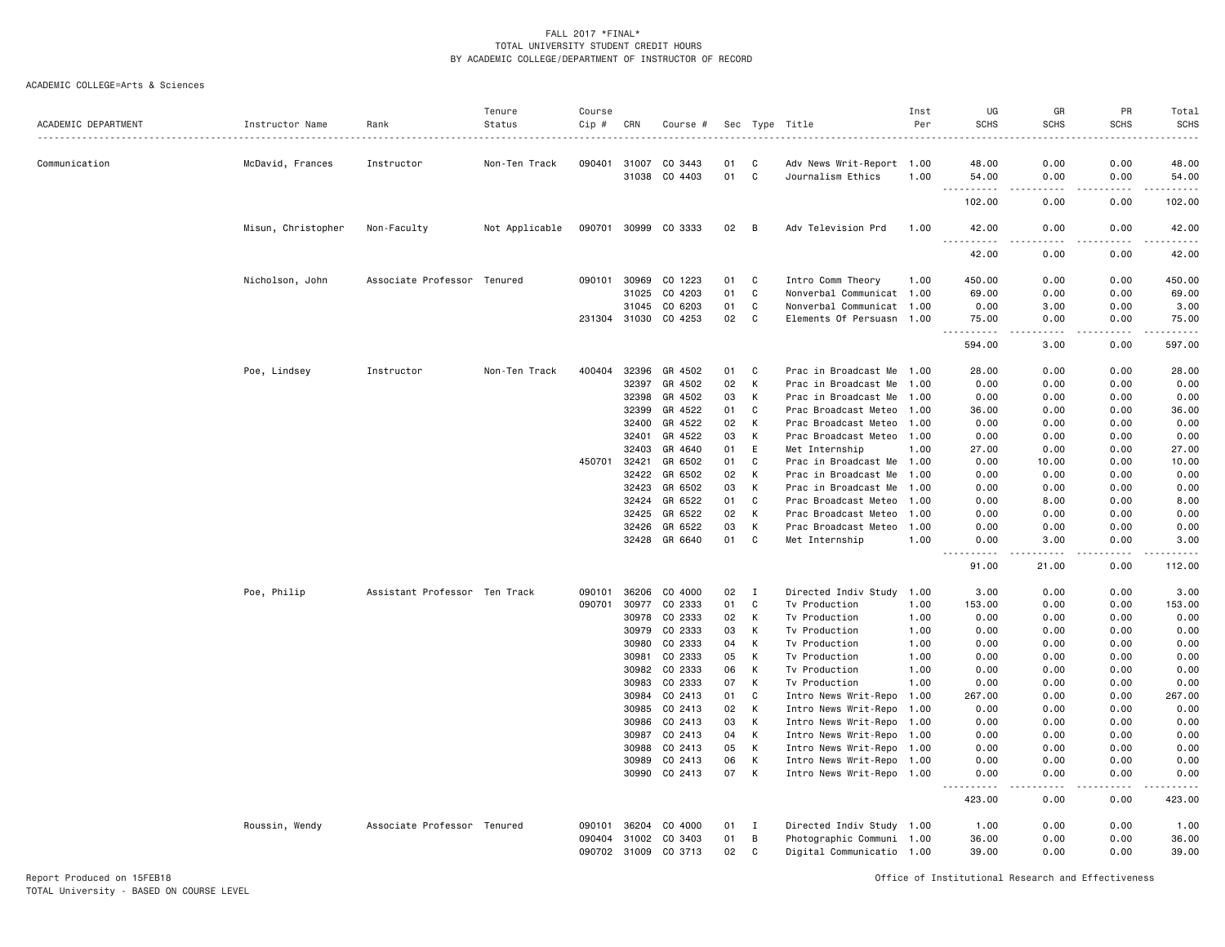| ACADEMIC DEPARTMENT | Instructor Name    | Rank                          | Tenure<br>Status | Course<br>Cip # | CRN                   | Course #             |          |        | Sec Type Title                                 | Inst<br>Per | UG<br><b>SCHS</b>                                                                                            | GR<br><b>SCHS</b> | PR<br><b>SCHS</b>   | Total<br><b>SCHS</b> |
|---------------------|--------------------|-------------------------------|------------------|-----------------|-----------------------|----------------------|----------|--------|------------------------------------------------|-------------|--------------------------------------------------------------------------------------------------------------|-------------------|---------------------|----------------------|
|                     |                    |                               |                  |                 |                       |                      |          |        |                                                |             |                                                                                                              |                   |                     | .                    |
| Communication       | McDavid, Frances   | Instructor                    | Non-Ten Track    |                 | 090401 31007<br>31038 | CO 3443<br>CO 4403   | 01<br>01 | C<br>C | Adv News Writ-Report 1.00<br>Journalism Ethics |             | 48.00                                                                                                        | 0.00              | 0.00<br>0.00        | 48.00                |
|                     |                    |                               |                  |                 |                       |                      |          |        |                                                | 1.00        | 54.00<br>$\sim$ $\sim$ $\sim$                                                                                | 0.00<br>.         | .                   | 54.00                |
|                     |                    |                               |                  |                 |                       |                      |          |        |                                                |             | 102.00                                                                                                       | 0.00              | 0.00                | 102.00               |
|                     | Misun, Christopher | Non-Faculty                   | Not Applicable   |                 |                       | 090701 30999 CO 3333 | 02 B     |        | Adv Television Prd                             | 1.00        | 42.00<br><u>.</u>                                                                                            | 0.00<br>.         | 0.00<br>-----       | 42.00<br>.           |
|                     |                    |                               |                  |                 |                       |                      |          |        |                                                |             | 42.00                                                                                                        | 0.00              | 0.00                | 42.00                |
|                     | Nicholson, John    | Associate Professor Tenured   |                  |                 | 090101 30969          | CO 1223              | 01       | C      | Intro Comm Theory                              | 1.00        | 450.00                                                                                                       | 0.00              | 0.00                | 450.00               |
|                     |                    |                               |                  |                 | 31025                 | CO 4203              | 01       | C      | Nonverbal Communicat 1.00                      |             | 69.00                                                                                                        | 0.00              | 0.00                | 69.00                |
|                     |                    |                               |                  |                 | 31045                 | CO 6203              | 01       | C      | Nonverbal Communicat 1.00                      |             | 0.00                                                                                                         | 3.00              | 0.00                | 3.00                 |
|                     |                    |                               |                  |                 | 231304 31030          | CO 4253              | 02       | C      | Elements Of Persuasn 1.00                      |             | 75.00                                                                                                        | 0.00              | 0.00                | 75.00                |
|                     |                    |                               |                  |                 |                       |                      |          |        |                                                |             | .<br>594.00                                                                                                  | .<br>3,00         | .<br>0.00           | 597.00               |
|                     | Poe, Lindsey       | Instructor                    | Non-Ten Track    | 400404          | 32396                 | GR 4502              | 01       | C      | Prac in Broadcast Me 1.00                      |             | 28.00                                                                                                        | 0.00              | 0.00                | 28.00                |
|                     |                    |                               |                  |                 | 32397                 | GR 4502              | 02       | К      | Prac in Broadcast Me                           | 1.00        | 0.00                                                                                                         | 0.00              | 0.00                | 0.00                 |
|                     |                    |                               |                  |                 | 32398                 | GR 4502              | 03       | К      | Prac in Broadcast Me                           | 1.00        | 0.00                                                                                                         | 0.00              | 0.00                | 0.00                 |
|                     |                    |                               |                  |                 | 32399                 | GR 4522              | 01       | C      | Prac Broadcast Meteo                           | 1.00        | 36.00                                                                                                        | 0.00              | 0.00                | 36.00                |
|                     |                    |                               |                  |                 | 32400                 | GR 4522              | 02       | К      | Prac Broadcast Meteo                           | 1.00        | 0.00                                                                                                         | 0.00              | 0.00                | 0.00                 |
|                     |                    |                               |                  |                 | 32401                 | GR 4522              | 03       | К      | Prac Broadcast Meteo                           | 1.00        | 0.00                                                                                                         | 0.00              | 0.00                | 0.00                 |
|                     |                    |                               |                  |                 | 32403                 | GR 4640              | 01       | Ε      | Met Internship                                 | 1.00        | 27.00                                                                                                        | 0.00              | 0.00                | 27.00                |
|                     |                    |                               |                  |                 | 450701 32421          | GR 6502              | 01       | C      | Prac in Broadcast Me 1.00                      |             | 0.00                                                                                                         | 10.00             | 0.00                | 10.00                |
|                     |                    |                               |                  |                 | 32422                 | GR 6502              | 02       | к      | Prac in Broadcast Me                           | 1.00        | 0.00                                                                                                         | 0.00              | 0.00                | 0.00                 |
|                     |                    |                               |                  |                 | 32423                 | GR 6502              | 03       | к      | Prac in Broadcast Me                           | 1.00        | 0.00                                                                                                         | 0.00              | 0.00                | 0.00                 |
|                     |                    |                               |                  |                 | 32424                 | GR 6522              | 01       | C      | Prac Broadcast Meteo                           | 1.00        | 0.00                                                                                                         | 8.00              | 0.00                | 8.00                 |
|                     |                    |                               |                  |                 | 32425                 | GR 6522              | 02       | К      | Prac Broadcast Meteo                           | 1.00        | 0.00                                                                                                         | 0.00              | 0.00                | 0.00                 |
|                     |                    |                               |                  |                 | 32426                 | GR 6522              | 03       | К      | Prac Broadcast Meteo                           | 1.00        | 0.00                                                                                                         | 0.00              | 0.00                | 0.00                 |
|                     |                    |                               |                  |                 | 32428                 | GR 6640              | 01       | C      | Met Internship                                 | 1.00        | 0.00                                                                                                         | 3.00              | 0.00                | 3.00                 |
|                     |                    |                               |                  |                 |                       |                      |          |        |                                                |             | .<br>$\frac{1}{2} \left( \frac{1}{2} \right) \left( \frac{1}{2} \right) \left( \frac{1}{2} \right)$<br>91.00 | -----<br>21.00    | $- - - - -$<br>0.00 | 112.00               |
|                     | Poe, Philip        | Assistant Professor Ten Track |                  | 090101          | 36206                 | CO 4000              | 02       | Ι.     | Directed Indiv Study 1.00                      |             | 3.00                                                                                                         | 0.00              | 0.00                | 3.00                 |
|                     |                    |                               |                  |                 | 090701 30977          | CO 2333              | 01       | C      | Tv Production                                  | 1.00        | 153.00                                                                                                       | 0.00              | 0.00                | 153.00               |
|                     |                    |                               |                  |                 | 30978                 | CO 2333              | 02       | К      | Tv Production                                  | 1.00        | 0.00                                                                                                         | 0.00              | 0.00                | 0.00                 |
|                     |                    |                               |                  |                 | 30979                 | CO 2333              | 03       | К      | Tv Production                                  | 1.00        | 0.00                                                                                                         | 0.00              | 0.00                | 0.00                 |
|                     |                    |                               |                  |                 | 30980                 | CO 2333              | 04       | К      | Tv Production                                  | 1.00        | 0.00                                                                                                         | 0.00              | 0.00                | 0.00                 |
|                     |                    |                               |                  |                 | 30981                 | CO 2333              | 05       | К      | Tv Production                                  | 1.00        | 0.00                                                                                                         | 0.00              | 0.00                | 0.00                 |
|                     |                    |                               |                  |                 | 30982                 | CO 2333              | 06       | к      | Tv Production                                  | 1.00        | 0.00                                                                                                         | 0.00              | 0.00                | 0.00                 |
|                     |                    |                               |                  |                 | 30983                 | CO 2333              | 07       | К      | Tv Production                                  | 1.00        | 0.00                                                                                                         | 0.00              | 0.00                | 0.00                 |
|                     |                    |                               |                  |                 | 30984                 | CO 2413              | 01       | C      | Intro News Writ-Repo 1.00                      |             | 267.00                                                                                                       | 0.00              | 0.00                | 267.00               |
|                     |                    |                               |                  |                 | 30985                 | CO 2413              | 02       | K      | Intro News Writ-Repo 1.00                      |             | 0.00                                                                                                         | 0.00              | 0.00                | 0.00                 |
|                     |                    |                               |                  |                 | 30986                 | CO 2413              | 03       | К      | Intro News Writ-Repo                           | 1.00        | 0.00                                                                                                         | 0.00              | 0.00                | 0.00                 |
|                     |                    |                               |                  |                 | 30987                 | CO 2413              | 04       | К      | Intro News Writ-Repo                           | 1.00        | 0.00                                                                                                         | 0.00              | 0.00                | 0.00                 |
|                     |                    |                               |                  |                 | 30988                 | CO 2413              | 05       | К      | Intro News Writ-Repo 1.00                      |             | 0.00                                                                                                         | 0.00              | 0.00                | 0.00                 |
|                     |                    |                               |                  |                 | 30989                 | CO 2413              | 06       | К      | Intro News Writ-Repo 1.00                      |             | 0.00                                                                                                         | 0.00              | 0.00                | 0.00                 |
|                     |                    |                               |                  |                 | 30990                 | CO 2413              | 07       | K      | Intro News Writ-Repo 1.00                      |             | 0.00                                                                                                         | 0.00              | 0.00                | 0.00                 |
|                     |                    |                               |                  |                 |                       |                      |          |        |                                                |             | $\sim$ $\sim$ $\sim$ $\sim$<br>.<br>423.00                                                                   | 0.00              | 0.00                | 423.00               |
|                     | Roussin, Wendy     | Associate Professor Tenured   |                  | 090101          | 36204                 | CO 4000              | 01       | Ι.     | Directed Indiv Study 1.00                      |             | 1.00                                                                                                         | 0.00              | 0.00                | 1.00                 |
|                     |                    |                               |                  | 090404          | 31002                 | CO 3403              | 01       | B      | Photographic Communi 1.00                      |             | 36.00                                                                                                        | 0.00              | 0.00                | 36.00                |
|                     |                    |                               |                  |                 | 090702 31009          | CO 3713              | 02       | C      | Digital Communicatio 1.00                      |             | 39.00                                                                                                        | 0.00              | 0.00                | 39.00                |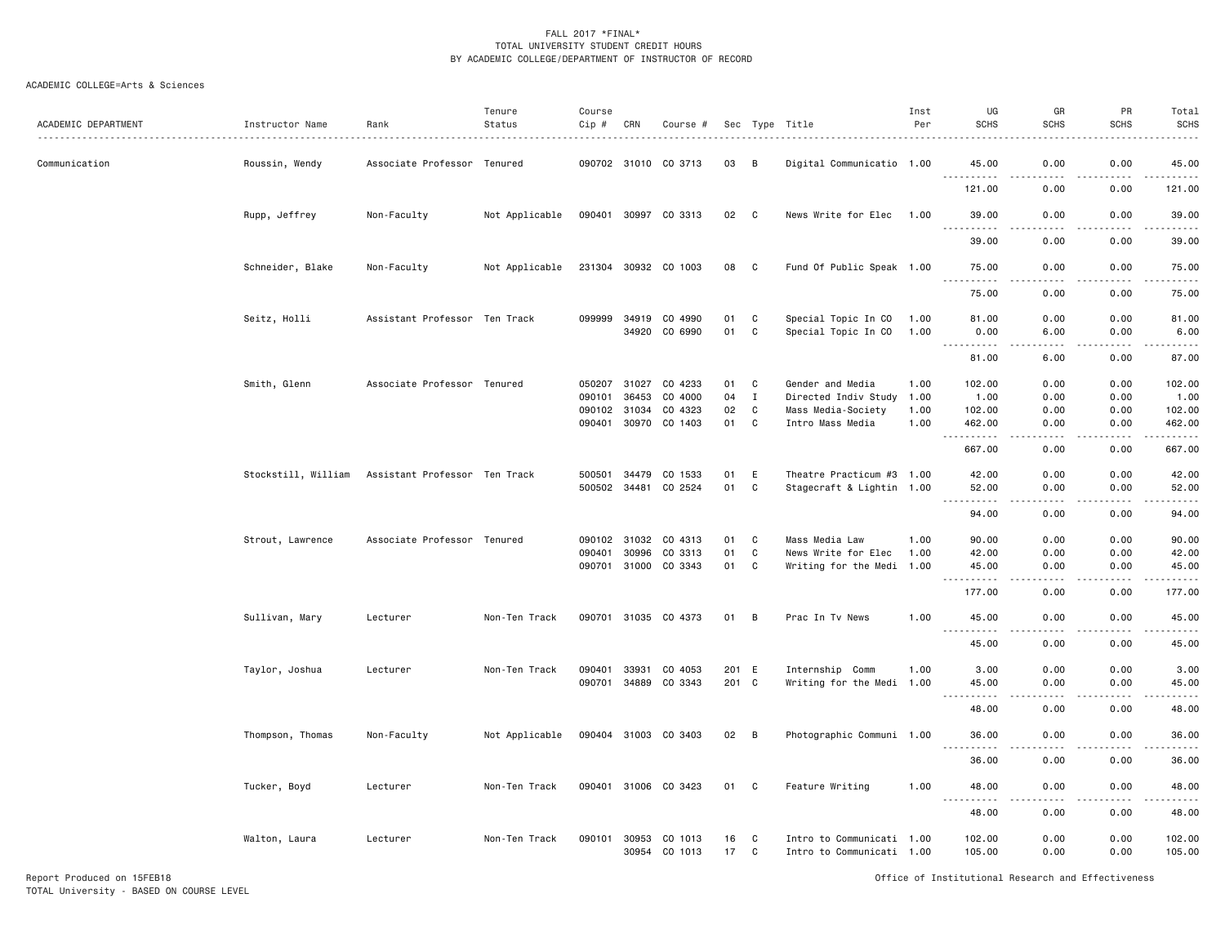| ACADEMIC DEPARTMENT | Instructor Name     | Rank                          | Tenure<br>Status | Course<br>Cip # | CRN                   | Course #             |          |              | Sec Type Title                                         | Inst<br>Per | UG<br><b>SCHS</b>                        | GR<br><b>SCHS</b>                   | PR<br><b>SCHS</b> | Total<br><b>SCHS</b>  |
|---------------------|---------------------|-------------------------------|------------------|-----------------|-----------------------|----------------------|----------|--------------|--------------------------------------------------------|-------------|------------------------------------------|-------------------------------------|-------------------|-----------------------|
| Communication       | Roussin, Wendy      | Associate Professor Tenured   |                  |                 |                       | 090702 31010 CO 3713 | 03       | B            | Digital Communicatio 1.00                              |             | 45.00                                    | 0.00                                | 0.00              | 45.00                 |
|                     |                     |                               |                  |                 |                       |                      |          |              |                                                        |             | $- - -$<br>.<br>121.00                   | . <b>.</b> .<br>0.00                | .<br>0.00         | $- - - - -$<br>121.00 |
|                     | Rupp, Jeffrey       | Non-Faculty                   | Not Applicable   |                 |                       | 090401 30997 CO 3313 | 02       | $\mathbf{C}$ | News Write for Elec                                    | 1.00        | 39.00                                    | 0.00                                | 0.00              | 39.00                 |
|                     |                     |                               |                  |                 |                       |                      |          |              |                                                        |             | 39.00                                    | 0.00                                | 0.00              | 39.00                 |
|                     | Schneider, Blake    | Non-Faculty                   | Not Applicable   |                 |                       | 231304 30932 CO 1003 | 08       | $\mathbf{C}$ | Fund Of Public Speak 1.00                              |             | 75.00<br>.                               | 0.00<br>.                           | 0.00<br>.         | 75.00<br>.            |
|                     |                     |                               |                  |                 |                       |                      |          |              |                                                        |             | 75.00                                    | 0.00                                | 0.00              | 75.00                 |
|                     | Seitz, Holli        | Assistant Professor Ten Track |                  |                 | 099999 34919          | CO 4990              | 01       | C            | Special Topic In CO                                    | 1.00        | 81.00                                    | 0.00                                | 0.00              | 81.00                 |
|                     |                     |                               |                  |                 | 34920                 | CO 6990              | 01       | C            | Special Topic In CO                                    | 1.00        | 0.00<br><u>.</u><br>$\sim$ $\sim$ $\sim$ | 6.00<br>د د د د                     | 0.00<br>.         | 6.00<br>.             |
|                     |                     |                               |                  |                 |                       |                      |          |              |                                                        |             | 81.00                                    | 6.00                                | 0.00              | 87.00                 |
|                     | Smith, Glenn        | Associate Professor Tenured   |                  | 050207          | 31027                 | CO 4233              | 01       | C            | Gender and Media                                       | 1.00        | 102.00                                   | 0.00                                | 0.00              | 102.00                |
|                     |                     |                               |                  | 090101 36453    |                       | CO 4000              | 04       | $\mathbf I$  | Directed Indiv Study                                   | 1.00        | 1.00                                     | 0.00                                | 0.00              | 1.00                  |
|                     |                     |                               |                  | 090102 31034    |                       | CO 4323              | 02       | C            | Mass Media-Society                                     | 1.00        | 102.00                                   | 0.00                                | 0.00              | 102.00                |
|                     |                     |                               |                  |                 | 090401 30970          | CO 1403              | 01       | C            | Intro Mass Media                                       | 1.00        | 462.00<br>.<br>$\sim$ $\sim$ $\sim$      | 0.00<br>.                           | 0.00<br>.         | 462.00<br>.           |
|                     |                     |                               |                  |                 |                       |                      |          |              |                                                        |             | 667.00                                   | 0.00                                | 0.00              | 667.00                |
|                     | Stockstill, William | Assistant Professor Ten Track |                  | 500501          | 34479                 | CO 1533              | 01       | E            | Theatre Practicum #3 1.00                              |             | 42.00                                    | 0.00                                | 0.00              | 42.00                 |
|                     |                     |                               |                  |                 |                       | 500502 34481 CO 2524 | 01       | $\mathtt{C}$ | Stagecraft & Lightin 1.00                              |             | 52.00<br>.                               | 0.00                                | 0.00              | 52.00                 |
|                     |                     |                               |                  |                 |                       |                      |          |              |                                                        |             | 94.00                                    | 0.00                                | 0.00              | 94.00                 |
|                     | Strout, Lawrence    | Associate Professor Tenured   |                  |                 | 090102 31032          | CO 4313              | 01       | C            | Mass Media Law                                         | 1.00        | 90.00                                    | 0.00                                | 0.00              | 90.00                 |
|                     |                     |                               |                  |                 | 090401 30996          | CO 3313              | 01       | C            | News Write for Elec                                    | 1.00        | 42.00                                    | 0.00                                | 0.00              | 42.00                 |
|                     |                     |                               |                  |                 | 090701 31000          | CO 3343              | 01       | C            | Writing for the Medi                                   | 1.00        | 45.00<br>.                               | 0.00<br>$- - - -$                   | 0.00<br>.         | 45.00<br>.            |
|                     |                     |                               |                  |                 |                       |                      |          |              |                                                        |             | 177.00                                   | 0.00                                | 0.00              | 177.00                |
|                     | Sullivan, Mary      | Lecturer                      | Non-Ten Track    |                 |                       | 090701 31035 CO 4373 | 01       | B            | Prac In Tv News                                        | 1.00        | 45.00<br>$- - -$<br>.                    | 0.00                                | 0.00              | 45.00                 |
|                     |                     |                               |                  |                 |                       |                      |          |              |                                                        |             | 45.00                                    | 0.00                                | 0.00              | 45.00                 |
|                     | Taylor, Joshua      | Lecturer                      | Non-Ten Track    | 090401          | 33931                 | CO 4053              | 201 E    |              | Internship Comm                                        | 1.00        | 3.00                                     | 0.00                                | 0.00              | 3.00                  |
|                     |                     |                               |                  |                 |                       | 090701 34889 CO 3343 | 201 C    |              | Writing for the Medi 1.00                              |             | 45.00                                    | 0.00                                | 0.00              | 45.00                 |
|                     |                     |                               |                  |                 |                       |                      |          |              |                                                        |             | -----<br>48.00                           | $\sim$ $\sim$ $\sim$ $\sim$<br>0.00 | 0.00              | 48.00                 |
|                     | Thompson, Thomas    | Non-Faculty                   | Not Applicable   |                 |                       | 090404 31003 CO 3403 | 02 B     |              | Photographic Communi 1.00                              |             | 36.00                                    | 0.00                                | 0.00              | 36.00                 |
|                     |                     |                               |                  |                 |                       |                      |          |              |                                                        |             | .<br>36.00                               | $- - - -$<br>0.00                   | .<br>0.00         | .<br>36.00            |
|                     | Tucker, Boyd        | Lecturer                      | Non-Ten Track    |                 |                       | 090401 31006 CO 3423 | 01       | C            | Feature Writing                                        | 1.00        | 48.00                                    | 0.00                                | 0.00              | 48.00                 |
|                     |                     |                               |                  |                 |                       |                      |          |              |                                                        |             | .<br>48.00                               | د د د د<br>0.00                     | .<br>0.00         | .<br>48.00            |
|                     |                     |                               |                  |                 |                       |                      |          |              |                                                        |             |                                          |                                     |                   |                       |
|                     | Walton, Laura       | Lecturer                      | Non-Ten Track    |                 | 090101 30953<br>30954 | CO 1013<br>CO 1013   | 16<br>17 | C<br>C       | Intro to Communicati 1.00<br>Intro to Communicati 1.00 |             | 102.00<br>105.00                         | 0.00<br>0.00                        | 0.00<br>0.00      | 102.00<br>105.00      |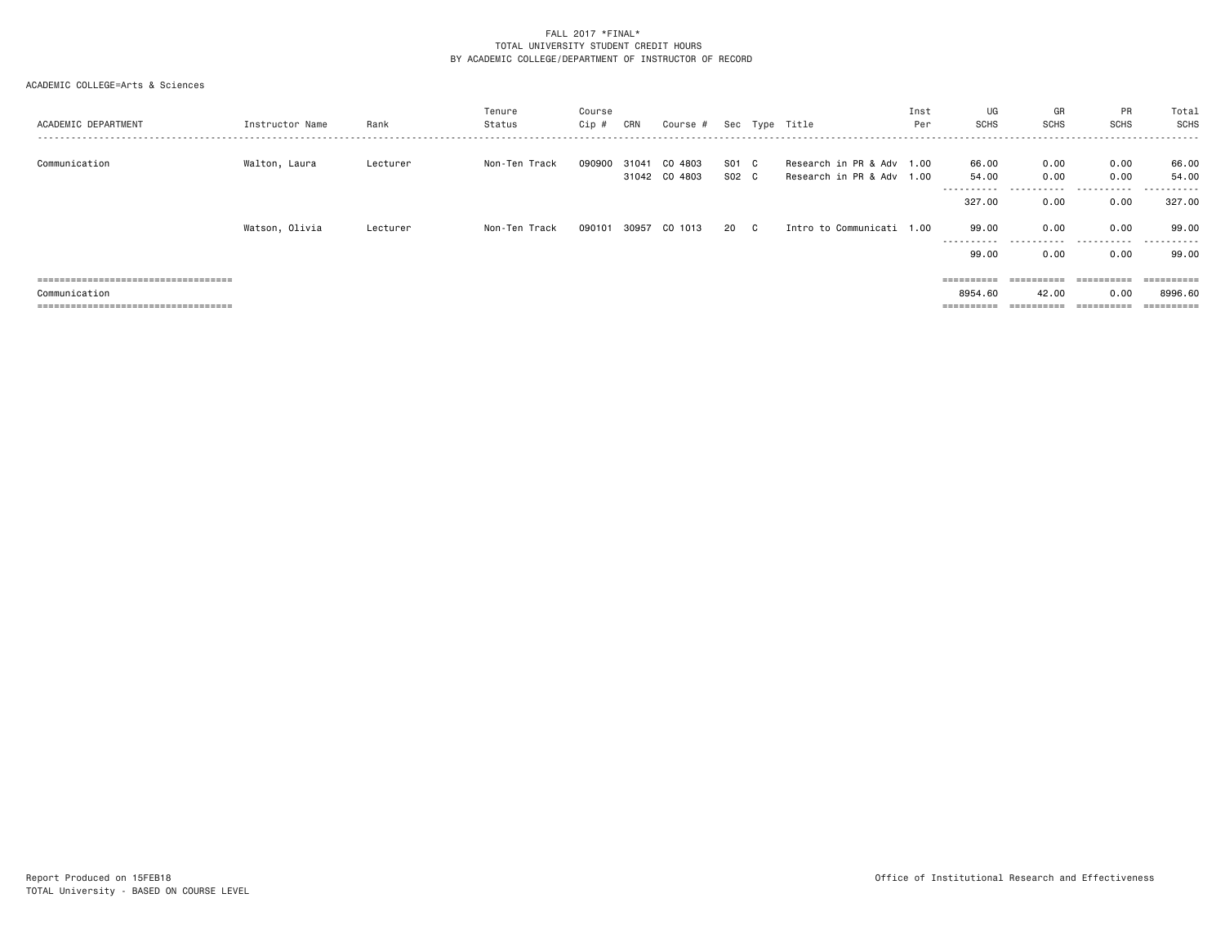| ACADEMIC DEPARTMENT                   | Instructor Name | Rank     | Tenure<br>Status | Course<br>Cip # | CRN   | Course #                 |                | Sec Type Title                                         | Inst<br>Per | UG<br><b>SCHS</b>    | GR<br><b>SCHS</b> | PR<br><b>SCHS</b> | Total<br>SCHS                |
|---------------------------------------|-----------------|----------|------------------|-----------------|-------|--------------------------|----------------|--------------------------------------------------------|-------------|----------------------|-------------------|-------------------|------------------------------|
| Communication                         | Walton, Laura   | Lecturer | Non-Ten Track    | 090900          | 31041 | CO 4803<br>31042 CO 4803 | S01 C<br>S02 C | Research in PR & Adv 1.00<br>Research in PR & Adv 1.00 |             | 66.00<br>54.00       | 0.00<br>0.00      | 0.00<br>0.00      | 66.00<br>54.00               |
|                                       |                 |          |                  |                 |       |                          |                |                                                        |             | ----------<br>327,00 | 0.00              | .<br>0.00         | -------<br>$- - -$<br>327,00 |
|                                       | Watson, Olivia  | Lecturer | Non-Ten Track    | 090101          | 30957 | CO 1013                  | 20 C           | Intro to Communicati 1.00                              |             | 99.00                | 0.00              | 0.00              | 99.00                        |
|                                       |                 |          |                  |                 |       |                          |                |                                                        |             | -----------<br>99.00 | .<br>0.00         | .<br>0.00         | .<br>99.00                   |
| ===================================== |                 |          |                  |                 |       |                          |                |                                                        |             |                      | ==========        | $=$ =========     | eeeeeeee                     |
| Communication                         |                 |          |                  |                 |       |                          |                |                                                        |             | 8954.60              | 42.00             | 0.00              | 8996.60                      |
| ==============================        |                 |          |                  |                 |       |                          |                |                                                        |             | ==========           |                   | ---------         | ==========                   |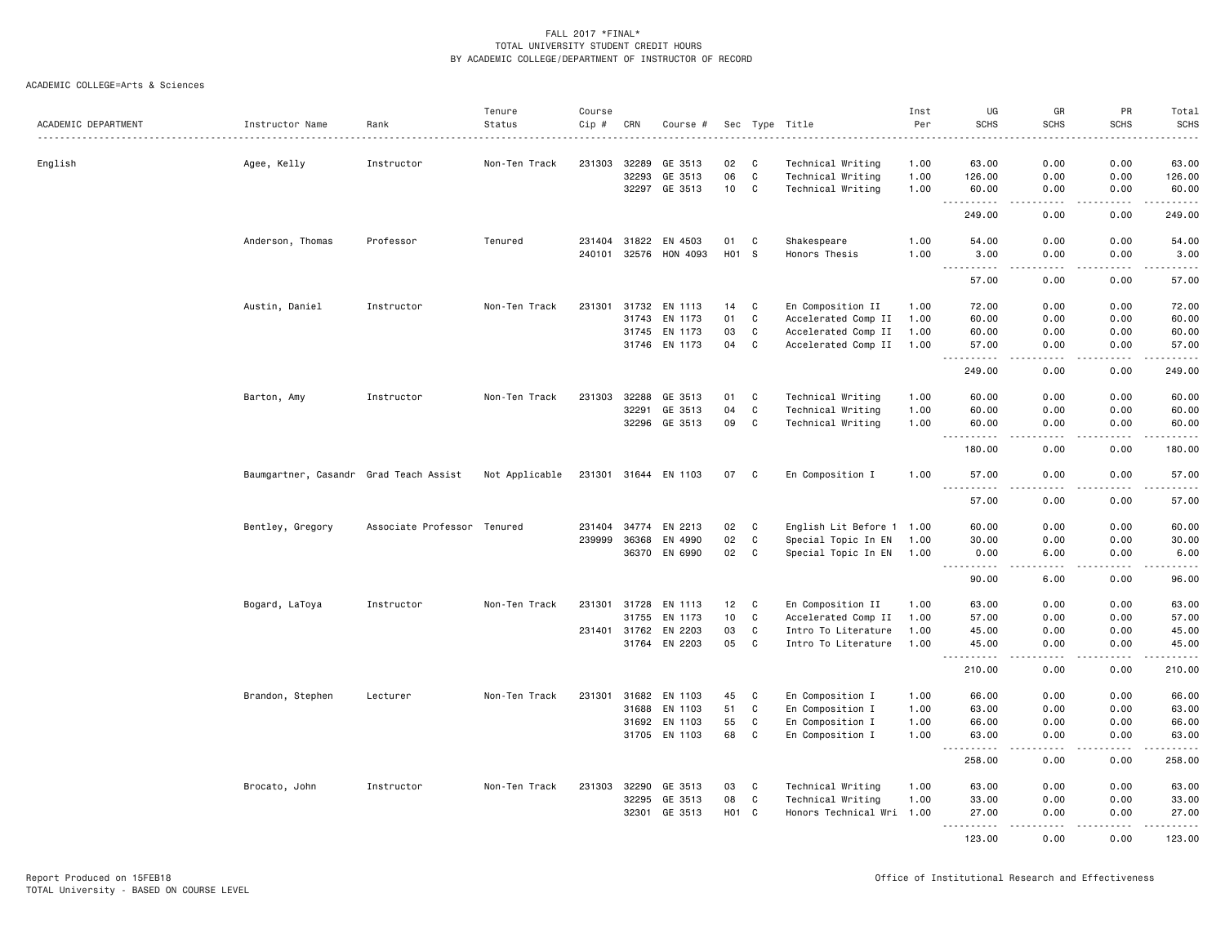| ACADEMIC DEPARTMENT | Instructor Name                        | Rank                        | Tenure<br>Status | Course<br>Cip # | CRN          | Course #              |                 |             | Sec Type Title            | Inst<br>Per | UG<br><b>SCHS</b>                                                                                                                                                                                | GR<br><b>SCHS</b>                   | PR<br><b>SCHS</b>  | Total<br><b>SCHS</b> |
|---------------------|----------------------------------------|-----------------------------|------------------|-----------------|--------------|-----------------------|-----------------|-------------|---------------------------|-------------|--------------------------------------------------------------------------------------------------------------------------------------------------------------------------------------------------|-------------------------------------|--------------------|----------------------|
|                     |                                        |                             |                  |                 |              |                       |                 |             |                           | .           |                                                                                                                                                                                                  |                                     |                    |                      |
| English             | Agee, Kelly                            | Instructor                  | Non-Ten Track    | 231303          | 32289        | GE 3513               | 02              | C           | Technical Writing         | 1.00        | 63.00                                                                                                                                                                                            | 0.00                                | 0.00               | 63.00                |
|                     |                                        |                             |                  |                 | 32293        | GE 3513               | 06              | C           | Technical Writing         | 1.00        | 126.00                                                                                                                                                                                           | 0.00                                | 0.00               | 126.00               |
|                     |                                        |                             |                  |                 | 32297        | GE 3513               | 10 <sub>1</sub> | C           | Technical Writing         | 1.00        | 60.00                                                                                                                                                                                            | 0.00                                | 0.00               | 60.00                |
|                     |                                        |                             |                  |                 |              |                       |                 |             |                           |             | $\sim$ $\sim$ $\sim$<br>.<br>249.00                                                                                                                                                              | .<br>0.00                           | <b>.</b><br>0.00   | <u>.</u><br>249.00   |
|                     | Anderson, Thomas                       | Professor                   | Tenured          |                 | 231404 31822 | EN 4503               | 01              | C           | Shakespeare               | 1.00        | 54.00                                                                                                                                                                                            | 0.00                                | 0.00               | 54.00                |
|                     |                                        |                             |                  |                 |              | 240101 32576 HON 4093 | H01 S           |             | Honors Thesis             | 1.00        | 3.00<br>$\sim$ $\sim$ $\sim$<br>.                                                                                                                                                                | 0.00<br>.                           | 0.00<br>.          | 3.00<br>.            |
|                     |                                        |                             |                  |                 |              |                       |                 |             |                           |             | 57.00                                                                                                                                                                                            | 0.00                                | 0.00               | 57.00                |
|                     | Austin, Daniel                         | Instructor                  | Non-Ten Track    |                 |              | 231301 31732 EN 1113  | 14              | C           | En Composition II         | 1.00        | 72.00                                                                                                                                                                                            | 0.00                                | 0.00               | 72.00                |
|                     |                                        |                             |                  |                 | 31743        | EN 1173               | 01              | C           | Accelerated Comp II       | 1.00        | 60.00                                                                                                                                                                                            | 0.00                                | 0.00               | 60.00                |
|                     |                                        |                             |                  |                 |              | 31745 EN 1173         | 03              | C           | Accelerated Comp II       | 1.00        | 60.00                                                                                                                                                                                            | 0.00                                | 0.00               | 60.00                |
|                     |                                        |                             |                  |                 |              | 31746 EN 1173         | 04              | C           | Accelerated Comp II       | 1.00        | 57.00                                                                                                                                                                                            | 0.00<br>$\sim$ $\sim$ $\sim$        | 0.00               | 57.00                |
|                     |                                        |                             |                  |                 |              |                       |                 |             |                           |             | 249.00                                                                                                                                                                                           | 0.00                                | 0.00               | 249.00               |
|                     | Barton, Amy                            | Instructor                  | Non-Ten Track    | 231303          | 32288        | GE 3513               | 01              | C           | Technical Writing         | 1.00        | 60.00                                                                                                                                                                                            | 0.00                                | 0.00               | 60.00                |
|                     |                                        |                             |                  |                 | 32291        | GE 3513               | 04              | C           | Technical Writing         | 1.00        | 60.00                                                                                                                                                                                            | 0.00                                | 0.00               | 60.00                |
|                     |                                        |                             |                  |                 |              | 32296 GE 3513         | 09              | C           | Technical Writing         | 1.00        | 60.00                                                                                                                                                                                            | 0.00                                | 0.00               | 60.00                |
|                     |                                        |                             |                  |                 |              |                       |                 |             |                           |             | $\sim$ $\sim$ $\sim$<br>.<br>180.00                                                                                                                                                              | ----<br>0.00                        | .<br>0.00          | .<br>180.00          |
|                     | Baumgartner, Casandr Grad Teach Assist |                             | Not Applicable   |                 |              | 231301 31644 EN 1103  | 07              | C           | En Composition I          | 1.00        | 57.00<br>.                                                                                                                                                                                       | 0.00<br>.                           | 0.00<br>.          | 57.00                |
|                     |                                        |                             |                  |                 |              |                       |                 |             |                           |             | $\sim$ $\sim$ $\sim$<br>57.00                                                                                                                                                                    | 0.00                                | 0.00               | .<br>57.00           |
|                     | Bentley, Gregory                       | Associate Professor Tenured |                  | 231404          | 34774        | EN 2213               | 02              | C           | English Lit Before 1 1.00 |             | 60.00                                                                                                                                                                                            | 0.00                                | 0.00               | 60.00                |
|                     |                                        |                             |                  | 239999          | 36368        | EN 4990               | 02              | C           | Special Topic In EN       | 1.00        | 30.00                                                                                                                                                                                            | 0.00                                | 0.00               | 30.00                |
|                     |                                        |                             |                  |                 |              | 36370 EN 6990         | 02              | C           | Special Topic In EN       | 1.00        | 0.00<br>$  -$<br>$\frac{1}{2} \left( \frac{1}{2} \right) \left( \frac{1}{2} \right) \left( \frac{1}{2} \right) \left( \frac{1}{2} \right) \left( \frac{1}{2} \right) \left( \frac{1}{2} \right)$ | 6.00<br>.                           | 0.00<br>.          | 6.00<br>.            |
|                     |                                        |                             |                  |                 |              |                       |                 |             |                           |             | 90.00                                                                                                                                                                                            | 6.00                                | 0.00               | 96.00                |
|                     | Bogard, LaToya                         | Instructor                  | Non-Ten Track    |                 |              | 231301 31728 EN 1113  | 12 <sub>2</sub> | C           | En Composition II         | 1.00        | 63.00                                                                                                                                                                                            | 0.00                                | 0.00               | 63.00                |
|                     |                                        |                             |                  |                 | 31755        | EN 1173               | 10              | C           | Accelerated Comp II       | 1.00        | 57.00                                                                                                                                                                                            | 0.00                                | 0.00               | 57.00                |
|                     |                                        |                             |                  |                 | 231401 31762 | EN 2203               | 03              | C           | Intro To Literature       | 1.00        | 45.00                                                                                                                                                                                            | 0.00                                | 0.00               | 45.00                |
|                     |                                        |                             |                  |                 |              | 31764 EN 2203         | 05              | C           | Intro To Literature       | 1.00        | 45.00<br>.<br>$\sim$ $\sim$ .                                                                                                                                                                    | 0.00<br>د د د د                     | 0.00<br>.          | 45.00<br>.           |
|                     |                                        |                             |                  |                 |              |                       |                 |             |                           |             | 210.00                                                                                                                                                                                           | 0.00                                | 0.00               | 210.00               |
|                     | Brandon, Stephen                       | Lecturer                    | Non-Ten Track    | 231301          | 31682        | EN 1103               | 45              | C           | En Composition I          | 1.00        | 66.00                                                                                                                                                                                            | 0.00                                | 0.00               | 66.00                |
|                     |                                        |                             |                  |                 | 31688        | EN 1103               | 51              | C           | En Composition I          | 1.00        | 63.00                                                                                                                                                                                            | 0.00                                | 0.00               | 63.00                |
|                     |                                        |                             |                  |                 |              | 31692 EN 1103         | 55              | C           | En Composition I          | 1.00        | 66.00                                                                                                                                                                                            | 0.00                                | 0.00               | 66.00                |
|                     |                                        |                             |                  |                 | 31705        | EN 1103               | 68              | $\mathbf c$ | En Composition I          | 1.00        | 63.00<br>$\sim$ $\sim$ $\sim$<br>.                                                                                                                                                               | 0.00<br>$\sim$ $\sim$ $\sim$ $\sim$ | 0.00<br>.          | 63.00<br>.           |
|                     |                                        |                             |                  |                 |              |                       |                 |             |                           |             | 258.00                                                                                                                                                                                           | 0.00                                | 0.00               | 258.00               |
|                     | Brocato, John                          | Instructor                  | Non-Ten Track    |                 | 231303 32290 | GE 3513               | 03              | C           | Technical Writing         | 1.00        | 63.00                                                                                                                                                                                            | 0.00                                | 0.00               | 63.00                |
|                     |                                        |                             |                  |                 | 32295        | GE 3513               | 08              | C           | Technical Writing         | 1.00        | 33.00                                                                                                                                                                                            | 0.00                                | 0.00               | 33.00                |
|                     |                                        |                             |                  |                 | 32301        | GE 3513               | H01 C           |             | Honors Technical Wri 1.00 |             | 27.00<br>.<br>$- - -$                                                                                                                                                                            | 0.00<br>.                           | 0.00<br>. <b>.</b> | 27.00                |
|                     |                                        |                             |                  |                 |              |                       |                 |             |                           |             | 123.00                                                                                                                                                                                           | 0.00                                | 0.00               | 123.00               |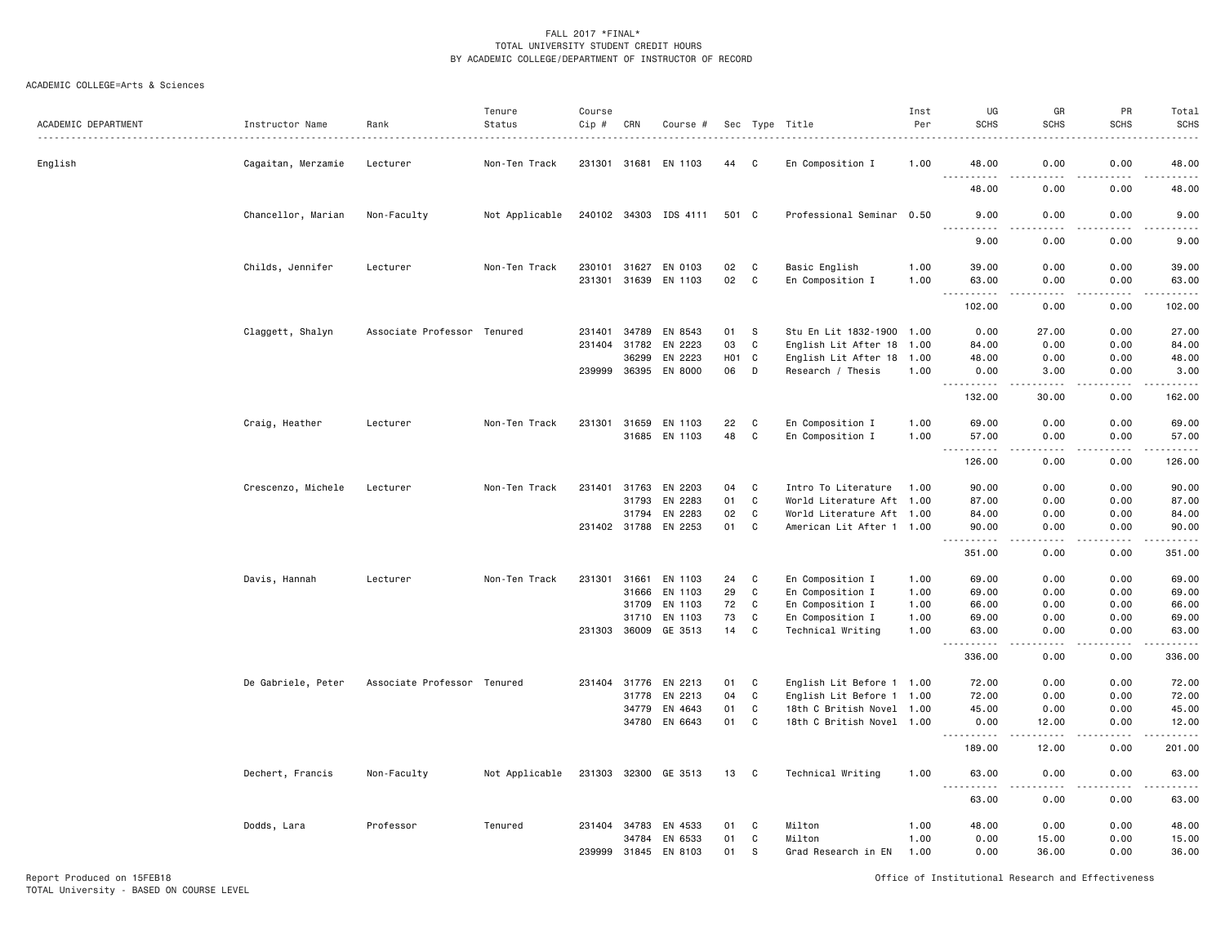| ACADEMIC DEPARTMENT | Instructor Name    | Rank                        | Tenure<br>Status | Course<br>Cip # | CRN          | Course #              |       |          | Sec Type Title            | Inst<br>Per | UG<br><b>SCHS</b>                  | GR<br><b>SCHS</b>    | PR<br><b>SCHS</b> | Total<br>SCHS |
|---------------------|--------------------|-----------------------------|------------------|-----------------|--------------|-----------------------|-------|----------|---------------------------|-------------|------------------------------------|----------------------|-------------------|---------------|
| English             | Cagaitan, Merzamie | Lecturer                    | Non-Ten Track    | 231301 31681    |              | EN 1103               | 44    | C        | En Composition I          | 1.00        | 48.00                              | 0.00                 | 0.00              | 48.00         |
|                     |                    |                             |                  |                 |              |                       |       |          |                           |             | $- - -$<br>.<br>48.00              | 0.00                 | 0.00              | 48.00         |
|                     | Chancellor, Marian | Non-Faculty                 | Not Applicable   |                 |              | 240102 34303 IDS 4111 | 501 C |          | Professional Seminar 0.50 |             | 9.00                               | 0.00                 | 0.00              | 9.00          |
|                     |                    |                             |                  |                 |              |                       |       |          |                           |             | 9.00                               | 0.00                 | 0.00              | 9.00          |
|                     | Childs, Jennifer   | Lecturer                    | Non-Ten Track    | 230101          | 31627        | EN 0103               | 02    | C        | Basic English             | 1.00        | 39.00                              | 0.00                 | 0.00              | 39.00         |
|                     |                    |                             |                  | 231301          | 31639        | EN 1103               | 02    | C        | En Composition I          | 1.00        | 63.00<br>.                         | 0.00<br>.            | 0.00<br>.         | 63.00<br>.    |
|                     |                    |                             |                  |                 |              |                       |       |          |                           |             | 102.00                             | 0.00                 | 0.00              | 102.00        |
|                     | Claggett, Shalyn   | Associate Professor Tenured |                  | 231401          | 34789        | EN 8543               | 01    | - S      | Stu En Lit 1832-1900 1.00 |             | 0.00                               | 27.00                | 0.00              | 27.00         |
|                     |                    |                             |                  | 231404          | 31782        | EN 2223               | 03    | C        | English Lit After 18      | 1.00        | 84.00                              | 0.00                 | 0.00              | 84.00         |
|                     |                    |                             |                  |                 | 36299        | EN 2223               | H01   | C        | English Lit After 18 1.00 |             | 48.00                              | 0.00                 | 0.00              | 48.00         |
|                     |                    |                             |                  |                 | 239999 36395 | EN 8000               | 06    | D        | Research / Thesis         | 1.00        | 0.00<br>.                          | 3.00<br>.            | 0.00<br>-----     | 3.00<br>.     |
|                     |                    |                             |                  |                 |              |                       |       |          |                           |             | 132.00                             | 30.00                | 0.00              | 162.00        |
|                     | Craig, Heather     | Lecturer                    | Non-Ten Track    | 231301          | 31659        | EN 1103               | 22    | C        | En Composition I          | 1.00        | 69.00                              | 0.00                 | 0.00              | 69.00         |
|                     |                    |                             |                  |                 | 31685        | EN 1103               | 48    | C        | En Composition I          | 1.00        | 57.00                              | 0.00                 | 0.00              | 57.00         |
|                     |                    |                             |                  |                 |              |                       |       |          |                           |             | - - -<br>.<br>126.00               | .<br>0.00            | 0.00              | .<br>126.00   |
|                     | Crescenzo, Michele | Lecturer                    | Non-Ten Track    | 231401          | 31763        | EN 2203               | 04    | C        | Intro To Literature       | 1.00        | 90.00                              | 0.00                 | 0.00              | 90.00         |
|                     |                    |                             |                  |                 | 31793        | EN 2283               | 01    | C        | World Literature Aft 1.00 |             | 87.00                              | 0.00                 | 0.00              | 87.00         |
|                     |                    |                             |                  |                 | 31794        | EN 2283               | 02    | C        | World Literature Aft 1.00 |             | 84.00                              | 0.00                 | 0.00              | 84.00         |
|                     |                    |                             |                  |                 | 231402 31788 | EN 2253               | 01    | C        | American Lit After 1 1.00 |             | 90.00<br>.<br>.                    | 0.00                 | 0.00              | 90.00<br>.    |
|                     |                    |                             |                  |                 |              |                       |       |          |                           |             | 351.00                             | 0.00                 | 0.00              | 351.00        |
|                     | Davis, Hannah      | Lecturer                    | Non-Ten Track    | 231301          | 31661        | EN 1103               | 24    | C        | En Composition I          | 1.00        | 69.00                              | 0.00                 | 0.00              | 69.00         |
|                     |                    |                             |                  |                 | 31666        | EN 1103               | 29    | C        | En Composition I          | 1.00        | 69.00                              | 0.00                 | 0.00              | 69.00         |
|                     |                    |                             |                  |                 | 31709        | EN 1103               | 72    | C        | En Composition I          | 1.00        | 66.00                              | 0.00                 | 0.00              | 66.00         |
|                     |                    |                             |                  |                 | 31710        | EN 1103               | 73    | C        | En Composition I          | 1.00        | 69.00                              | 0.00                 | 0.00              | 69.00         |
|                     |                    |                             |                  | 231303          | 36009        | GE 3513               | 14    | C        | Technical Writing         | 1.00        | 63.00<br>.<br>$\sim$ $\sim$ $\sim$ | 0.00<br>. <u>. .</u> | 0.00<br>.         | 63.00<br>.    |
|                     |                    |                             |                  |                 |              |                       |       |          |                           |             | 336.00                             | 0.00                 | 0.00              | 336.00        |
|                     | De Gabriele, Peter | Associate Professor Tenured |                  |                 | 231404 31776 | EN 2213               | 01    | C.       | English Lit Before 1 1.00 |             | 72.00                              | 0.00                 | 0.00              | 72.00         |
|                     |                    |                             |                  |                 | 31778        | EN 2213               | 04    | C        | English Lit Before 1 1.00 |             | 72.00                              | 0.00                 | 0.00              | 72.00         |
|                     |                    |                             |                  |                 | 34779        | EN 4643               | 01    | C        | 18th C British Novel 1.00 |             | 45.00                              | 0.00                 | 0.00              | 45.00         |
|                     |                    |                             |                  |                 | 34780        | EN 6643               | 01    | C        | 18th C British Novel 1.00 |             | 0.00<br>.                          | 12.00<br>$- - -$     | 0.00<br>.         | 12.00<br>.    |
|                     |                    |                             |                  |                 |              |                       |       |          |                           |             | 189.00                             | 12.00                | 0.00              | 201.00        |
|                     | Dechert, Francis   | Non-Faculty                 | Not Applicable   |                 |              | 231303 32300 GE 3513  | 13 C  |          | Technical Writing         | 1.00        | 63.00<br>.<br>.                    | 0.00<br>-----        | 0.00<br>-----     | 63.00<br>.    |
|                     |                    |                             |                  |                 |              |                       |       |          |                           |             | 63.00                              | 0.00                 | 0.00              | 63.00         |
|                     | Dodds, Lara        | Professor                   | Tenured          |                 | 231404 34783 | EN 4533               | 01    | C        | Milton                    | 1.00        | 48.00                              | 0.00                 | 0.00              | 48.00         |
|                     |                    |                             |                  |                 | 34784        | EN 6533               | 01    | C        | Milton                    | 1.00        | 0.00                               | 15.00                | 0.00              | 15.00         |
|                     |                    |                             |                  |                 |              | 239999 31845 EN 8103  | 01    | <b>S</b> | Grad Research in EN       | 1.00        | 0.00                               | 36.00                | 0.00              | 36.00         |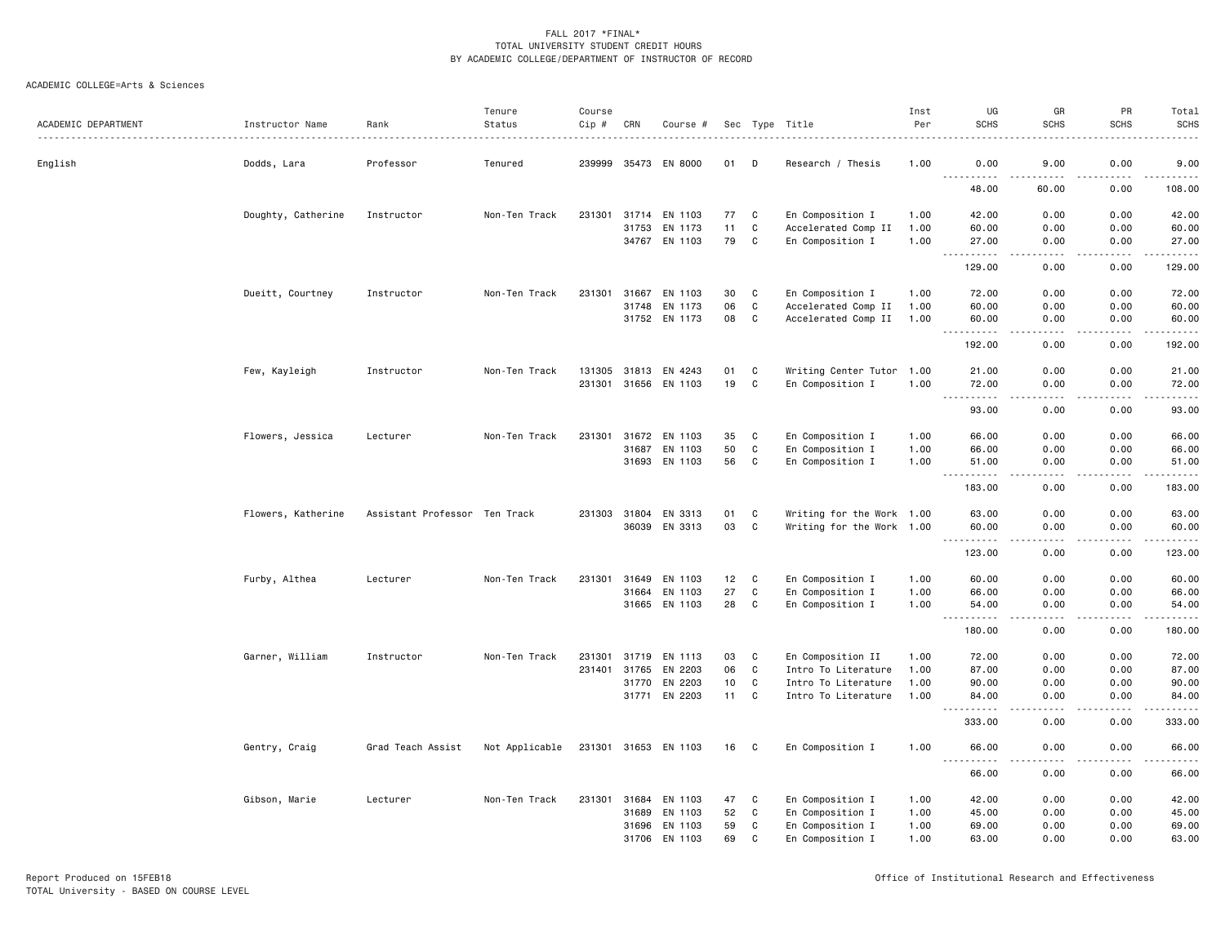| ACADEMIC DEPARTMENT | Instructor Name<br>. | Rank                          | Tenure<br>Status | Course<br>Cip # | CRN          | Course #             |      |              | Sec Type Title            | Inst<br>Per | UG<br><b>SCHS</b>                            | GR<br><b>SCHS</b>                   | PR<br><b>SCHS</b> | Total<br><b>SCHS</b>                                                                                                               |
|---------------------|----------------------|-------------------------------|------------------|-----------------|--------------|----------------------|------|--------------|---------------------------|-------------|----------------------------------------------|-------------------------------------|-------------------|------------------------------------------------------------------------------------------------------------------------------------|
| English             | Dodds, Lara          | Professor                     | Tenured          |                 | 239999 35473 | EN 8000              | 01   | D            | Research / Thesis         | 1.00        | 0.00<br><u>.</u>                             | 9.00                                | 0.00              | 9.00<br>-----                                                                                                                      |
|                     |                      |                               |                  |                 |              |                      |      |              |                           |             | 48.00                                        | 60.00                               | 0.00              | 108.00                                                                                                                             |
|                     | Doughty, Catherine   | Instructor                    | Non-Ten Track    | 231301          | 31714        | EN 1103              | 77   | C            | En Composition I          | 1.00        | 42.00                                        | 0.00                                | 0.00              | 42.00                                                                                                                              |
|                     |                      |                               |                  |                 | 31753        | EN 1173              | 11   | $\mathtt{C}$ | Accelerated Comp II       | 1.00        | 60.00                                        | 0.00                                | 0.00              | 60.00                                                                                                                              |
|                     |                      |                               |                  |                 | 34767        | EN 1103              | 79   | C            | En Composition I          | 1.00        | 27.00                                        | 0.00                                | 0.00              | 27.00                                                                                                                              |
|                     |                      |                               |                  |                 |              |                      |      |              |                           |             | 129.00                                       | 0.00                                | 0.00              | 129.00                                                                                                                             |
|                     | Dueitt, Courtney     | Instructor                    | Non-Ten Track    | 231301          | 31667        | EN 1103              | 30   | C            | En Composition I          | 1.00        | 72.00                                        | 0.00                                | 0.00              | 72.00                                                                                                                              |
|                     |                      |                               |                  |                 | 31748        | EN 1173              | 06   | C            | Accelerated Comp II       | 1.00        | 60.00                                        | 0.00                                | 0.00              | 60.00                                                                                                                              |
|                     |                      |                               |                  |                 | 31752        | EN 1173              | 08   | C            | Accelerated Comp II       | 1.00        | 60.00<br>. <b>.</b><br>$- - -$               | 0.00<br>$- - -$                     | 0.00<br>.         | 60.00<br>.                                                                                                                         |
|                     |                      |                               |                  |                 |              |                      |      |              |                           |             | 192.00                                       | 0.00                                | 0.00              | 192.00                                                                                                                             |
|                     | Few, Kayleigh        | Instructor                    | Non-Ten Track    | 131305          | 31813        | EN 4243              | 01   | C            | Writing Center Tutor 1.00 |             | 21.00                                        | 0.00                                | 0.00              | 21.00                                                                                                                              |
|                     |                      |                               |                  |                 | 231301 31656 | EN 1103              | 19   | C            | En Composition I          | 1.00        | 72.00                                        | 0.00                                | 0.00              | 72.00                                                                                                                              |
|                     |                      |                               |                  |                 |              |                      |      |              |                           |             | $\sim$ $\sim$ $\sim$<br>$- - - - -$<br>93.00 | $   -$<br>0.00                      | 0.00              | $\frac{1}{2} \left( \frac{1}{2} \right) \left( \frac{1}{2} \right) \left( \frac{1}{2} \right) \left( \frac{1}{2} \right)$<br>93.00 |
|                     | Flowers, Jessica     | Lecturer                      | Non-Ten Track    |                 |              | 231301 31672 EN 1103 | 35   | C            | En Composition I          | 1.00        | 66.00                                        | 0.00                                | 0.00              | 66.00                                                                                                                              |
|                     |                      |                               |                  |                 | 31687        | EN 1103              | 50   | C            | En Composition I          | 1.00        | 66.00                                        | 0.00                                | 0.00              | 66.00                                                                                                                              |
|                     |                      |                               |                  |                 | 31693        | EN 1103              | 56   | C            | En Composition I          | 1.00        | 51.00<br>$  -$<br>.                          | 0.00                                | 0.00              | 51.00                                                                                                                              |
|                     |                      |                               |                  |                 |              |                      |      |              |                           |             | 183.00                                       | 0.00                                | 0.00              | 183.00                                                                                                                             |
|                     | Flowers, Katherine   | Assistant Professor Ten Track |                  |                 | 231303 31804 | EN 3313              | 01   | C            | Writing for the Work 1.00 |             | 63.00                                        | 0.00                                | 0.00              | 63.00                                                                                                                              |
|                     |                      |                               |                  |                 | 36039        | EN 3313              | 03   | C            | Writing for the Work 1.00 |             | 60.00<br>$\sim$ $\sim$ $\sim$                | 0.00<br>د د د د                     | 0.00<br>.         | 60.00<br>.                                                                                                                         |
|                     |                      |                               |                  |                 |              |                      |      |              |                           |             | 123.00                                       | 0.00                                | 0.00              | 123.00                                                                                                                             |
|                     | Furby, Althea        | Lecturer                      | Non-Ten Track    | 231301          | 31649        | EN 1103              | 12   | C            | En Composition I          | 1.00        | 60.00                                        | 0.00                                | 0.00              | 60.00                                                                                                                              |
|                     |                      |                               |                  |                 | 31664        | EN 1103              | 27   | C            | En Composition I          | 1.00        | 66.00                                        | 0.00                                | 0.00              | 66.00                                                                                                                              |
|                     |                      |                               |                  |                 |              | 31665 EN 1103        | 28   | C            | En Composition I          | 1.00        | 54.00<br>$  -$<br>.                          | 0.00<br>.                           | 0.00<br>.         | 54.00<br>.                                                                                                                         |
|                     |                      |                               |                  |                 |              |                      |      |              |                           |             | 180.00                                       | 0.00                                | 0.00              | 180.00                                                                                                                             |
|                     | Garner, William      | Instructor                    | Non-Ten Track    | 231301          | 31719        | EN 1113              | 03   | $\mathbf{C}$ | En Composition II         | 1.00        | 72.00                                        | 0.00                                | 0.00              | 72.00                                                                                                                              |
|                     |                      |                               |                  | 231401          | 31765        | EN 2203              | 06   | C            | Intro To Literature       | 1.00        | 87.00                                        | 0.00                                | 0.00              | 87.00                                                                                                                              |
|                     |                      |                               |                  |                 | 31770        | EN 2203              | 10   | C            | Intro To Literature       | 1.00        | 90.00                                        | 0.00                                | 0.00              | 90.00                                                                                                                              |
|                     |                      |                               |                  |                 | 31771        | EN 2203              | 11   | C            | Intro To Literature       | 1.00        | 84.00<br>.                                   | 0.00<br>$\sim$ $\sim$ $\sim$ $\sim$ | 0.00              | 84.00<br>.                                                                                                                         |
|                     |                      |                               |                  |                 |              |                      |      |              |                           |             | 333.00                                       | 0.00                                | 0.00              | 333.00                                                                                                                             |
|                     | Gentry, Craig        | Grad Teach Assist             | Not Applicable   | 231301          |              | 31653 EN 1103        | 16 C |              | En Composition I          | 1.00        | 66.00                                        | 0.00                                | 0.00              | 66.00                                                                                                                              |
|                     |                      |                               |                  |                 |              |                      |      |              |                           |             | 66.00                                        | 0.00                                | 0.00              | 66.00                                                                                                                              |
|                     | Gibson, Marie        | Lecturer                      | Non-Ten Track    | 231301          | 31684        | EN 1103              | 47   | C            | En Composition I          | 1.00        | 42.00                                        | 0.00                                | 0.00              | 42.00                                                                                                                              |
|                     |                      |                               |                  |                 | 31689        | EN 1103              | 52   | C            | En Composition I          | 1.00        | 45.00                                        | 0.00                                | 0.00              | 45.00                                                                                                                              |
|                     |                      |                               |                  |                 | 31696        | EN 1103              | 59   | C            | En Composition I          | 1.00        | 69.00                                        | 0.00                                | 0.00              | 69.00                                                                                                                              |
|                     |                      |                               |                  |                 |              | 31706 EN 1103        | 69   | C            | En Composition I          | 1.00        | 63.00                                        | 0.00                                | 0.00              | 63.00                                                                                                                              |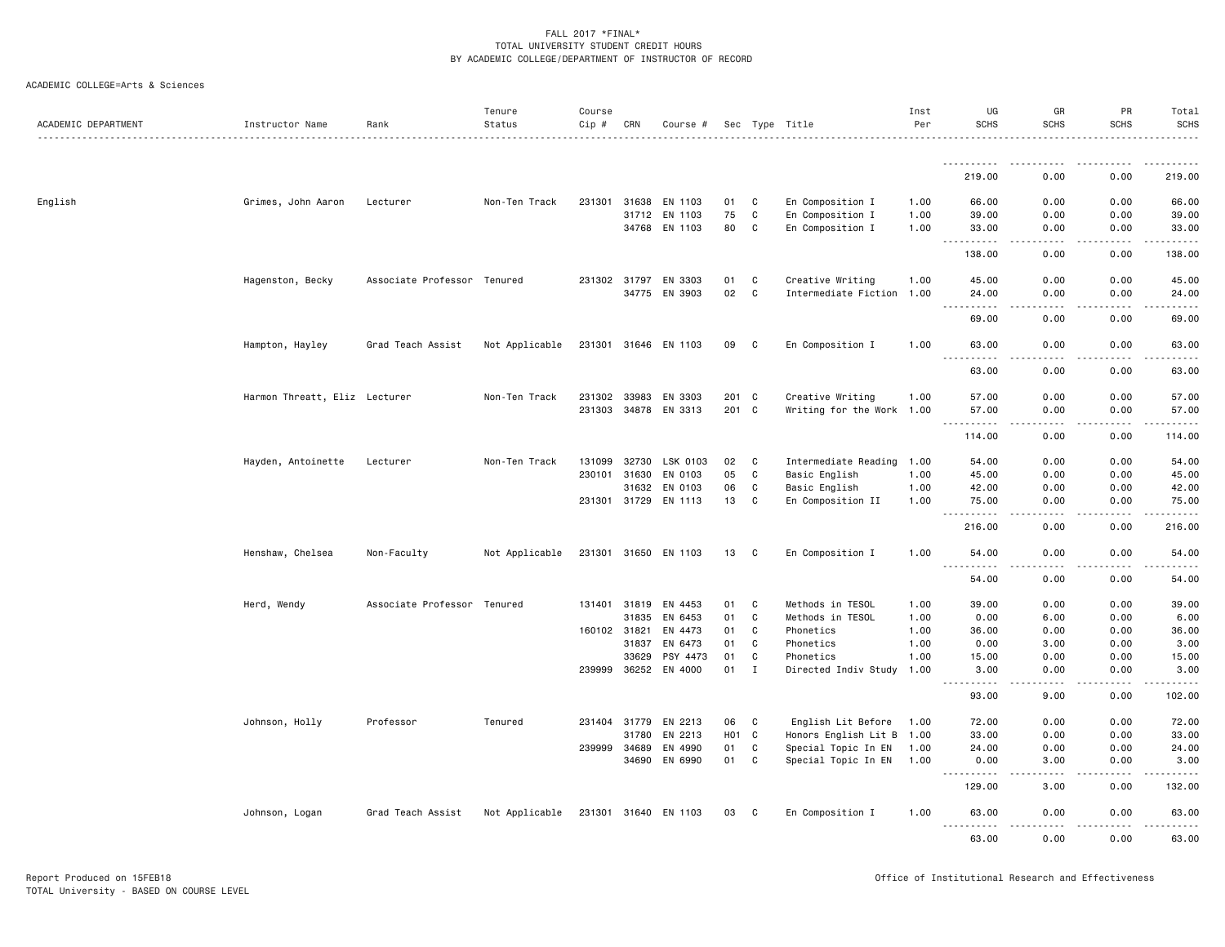|  | ACADEMIC COLLEGE=Arts & Sciences |  |  |
|--|----------------------------------|--|--|
|--|----------------------------------|--|--|

| ACADEMIC DEPARTMENT | Instructor Name               | Rank                        | Tenure<br>Status | Course<br>Cip # | CRN          | Course #             |       |              | Sec Type Title<br>.       | Inst<br>Per | UG<br><b>SCHS</b>                                                                                                                                                      | GR<br><b>SCHS</b>    | PR<br><b>SCHS</b> | Total<br><b>SCHS</b> |
|---------------------|-------------------------------|-----------------------------|------------------|-----------------|--------------|----------------------|-------|--------------|---------------------------|-------------|------------------------------------------------------------------------------------------------------------------------------------------------------------------------|----------------------|-------------------|----------------------|
|                     |                               |                             |                  |                 |              |                      |       |              |                           |             |                                                                                                                                                                        |                      |                   |                      |
|                     |                               |                             |                  |                 |              |                      |       |              |                           |             | 219.00                                                                                                                                                                 | 0.00                 | 0.00              | 219.00               |
| English             | Grimes, John Aaron            | Lecturer                    | Non-Ten Track    |                 | 231301 31638 | EN 1103              | 01    | C            | En Composition I          | 1.00        | 66.00                                                                                                                                                                  | 0.00                 | 0.00              | 66.00                |
|                     |                               |                             |                  |                 | 31712        | EN 1103              | 75    | C            | En Composition I          | 1.00        | 39.00                                                                                                                                                                  | 0.00                 | 0.00              | 39.00                |
|                     |                               |                             |                  |                 | 34768        | EN 1103              | 80    | C            | En Composition I          | 1.00        | 33.00<br>$\frac{1}{2} \left( \frac{1}{2} \right) \left( \frac{1}{2} \right) \left( \frac{1}{2} \right) \left( \frac{1}{2} \right) \left( \frac{1}{2} \right)$<br>$  -$ | 0.00<br>.            | 0.00<br>.         | 33.00<br>.           |
|                     |                               |                             |                  |                 |              |                      |       |              |                           |             | 138.00                                                                                                                                                                 | 0.00                 | 0.00              | 138.00               |
|                     | Hagenston, Becky              | Associate Professor Tenured |                  |                 | 231302 31797 | EN 3303              | 01    | C            | Creative Writing          | 1.00        | 45.00                                                                                                                                                                  | 0.00                 | 0.00              | 45.00                |
|                     |                               |                             |                  |                 |              | 34775 EN 3903        | 02    | C            | Intermediate Fiction 1.00 |             | 24.00<br>.<br>$  -$                                                                                                                                                    | 0.00<br>$- - - -$    | 0.00<br>.         | 24.00<br>.           |
|                     |                               |                             |                  |                 |              |                      |       |              |                           |             | 69.00                                                                                                                                                                  | 0.00                 | 0.00              | 69.00                |
|                     | Hampton, Hayley               | Grad Teach Assist           | Not Applicable   |                 |              | 231301 31646 EN 1103 | 09    | $\mathbf{C}$ | En Composition I          | 1.00        | 63.00<br>$\sim$ $\sim$ $\sim$<br>.                                                                                                                                     | 0.00<br>.            | 0.00<br><u>.</u>  | 63.00<br>.           |
|                     |                               |                             |                  |                 |              |                      |       |              |                           |             | 63.00                                                                                                                                                                  | 0.00                 | 0.00              | 63.00                |
|                     | Harmon Threatt, Eliz Lecturer |                             | Non-Ten Track    |                 | 231302 33983 | EN 3303              | 201 C |              | Creative Writing          | 1.00        | 57.00                                                                                                                                                                  | 0.00                 | 0.00              | 57.00                |
|                     |                               |                             |                  |                 |              | 231303 34878 EN 3313 | 201 C |              | Writing for the Work 1.00 |             | 57.00                                                                                                                                                                  | 0.00                 | 0.00              | 57.00                |
|                     |                               |                             |                  |                 |              |                      |       |              |                           |             | $- - - - -$<br>$\sim$ $\sim$ $\sim$<br>114.00                                                                                                                          | .<br>0.00            | .<br>0.00         | 114.00               |
|                     | Hayden, Antoinette            | Lecturer                    | Non-Ten Track    | 131099          | 32730        | LSK 0103             | 02    | C            | Intermediate Reading 1.00 |             | 54.00                                                                                                                                                                  | 0.00                 | 0.00              | 54.00                |
|                     |                               |                             |                  |                 | 230101 31630 | EN 0103              | 05    | $\mathbb C$  | Basic English             | 1.00        | 45.00                                                                                                                                                                  | 0.00                 | 0.00              | 45.00                |
|                     |                               |                             |                  |                 | 31632        | EN 0103              | 06    | C            | Basic English             | 1.00        | 42.00                                                                                                                                                                  | 0.00                 | 0.00              | 42.00                |
|                     |                               |                             |                  |                 | 231301 31729 | EN 1113              | 13    | C            | En Composition II         | 1.00        | 75.00<br>.<br>$\frac{1}{2}$                                                                                                                                            | 0.00<br>. <u>. .</u> | 0.00<br>.         | 75.00<br>.           |
|                     |                               |                             |                  |                 |              |                      |       |              |                           |             | 216.00                                                                                                                                                                 | 0.00                 | 0.00              | 216.00               |
|                     | Henshaw, Chelsea              | Non-Faculty                 | Not Applicable   |                 |              | 231301 31650 EN 1103 | 13    | C            | En Composition I          | 1.00        | 54.00                                                                                                                                                                  | 0.00                 | 0.00              | 54.00                |
|                     |                               |                             |                  |                 |              |                      |       |              |                           |             | $\frac{1}{2} \frac{1}{2} \frac{1}{2} \frac{1}{2} \frac{1}{2}$<br><u>.</u><br>54.00                                                                                     | .<br>0.00            | .<br>0.00         | 54.00                |
|                     | Herd, Wendy                   | Associate Professor         | Tenured          |                 | 131401 31819 | EN 4453              | 01    | C            | Methods in TESOL          | 1.00        | 39.00                                                                                                                                                                  | 0.00                 | 0.00              | 39.00                |
|                     |                               |                             |                  |                 | 31835        | EN 6453              | 01    | C            | Methods in TESOL          | 1.00        | 0.00                                                                                                                                                                   | 6.00                 | 0.00              | 6.00                 |
|                     |                               |                             |                  |                 | 160102 31821 | EN 4473              | 01    | C            | Phonetics                 | 1.00        | 36.00                                                                                                                                                                  | 0.00                 | 0.00              | 36.00                |
|                     |                               |                             |                  |                 | 31837        | EN 6473              | 01    | C            | Phonetics                 | 1.00        | 0.00                                                                                                                                                                   | 3.00                 | 0.00              | 3.00                 |
|                     |                               |                             |                  |                 | 33629        | PSY 4473             | 01    | C            | Phonetics                 | 1.00        | 15.00                                                                                                                                                                  | 0.00                 | 0.00              | 15.00                |
|                     |                               |                             |                  |                 |              | 239999 36252 EN 4000 | 01    | $\mathbf{I}$ | Directed Indiv Study 1.00 |             | 3.00<br>.                                                                                                                                                              | 0.00                 | 0.00<br>.         | 3.00                 |
|                     |                               |                             |                  |                 |              |                      |       |              |                           |             | 93.00                                                                                                                                                                  | 9.00                 | 0.00              | 102.00               |
|                     | Johnson, Holly                | Professor                   | Tenured          |                 | 231404 31779 | EN 2213              | 06    | C            | English Lit Before        | 1.00        | 72.00                                                                                                                                                                  | 0.00                 | 0.00              | 72.00                |
|                     |                               |                             |                  |                 | 31780        | EN 2213              | H01   | $\mathbf{C}$ | Honors English Lit B 1.00 |             | 33.00                                                                                                                                                                  | 0.00                 | 0.00              | 33.00                |
|                     |                               |                             |                  |                 | 239999 34689 | EN 4990              | 01    | C            | Special Topic In EN       | 1.00        | 24.00                                                                                                                                                                  | 0.00                 | 0.00              | 24.00                |
|                     |                               |                             |                  |                 | 34690        | EN 6990              | 01    | C            | Special Topic In EN 1.00  |             | 0.00<br>$   -$<br>$\frac{1}{2}$                                                                                                                                        | 3.00                 | 0.00              | 3.00<br>.            |
|                     |                               |                             |                  |                 |              |                      |       |              |                           |             | 129.00                                                                                                                                                                 | 3.00                 | 0.00              | 132.00               |
|                     | Johnson, Logan                | Grad Teach Assist           | Not Applicable   |                 |              | 231301 31640 EN 1103 | 03    | C            | En Composition I          | 1.00        | 63.00<br>.                                                                                                                                                             | 0.00<br>.            | 0.00<br>-----     | 63.00<br>.           |
|                     |                               |                             |                  |                 |              |                      |       |              |                           |             | 63.00                                                                                                                                                                  | 0.00                 | 0.00              | 63.00                |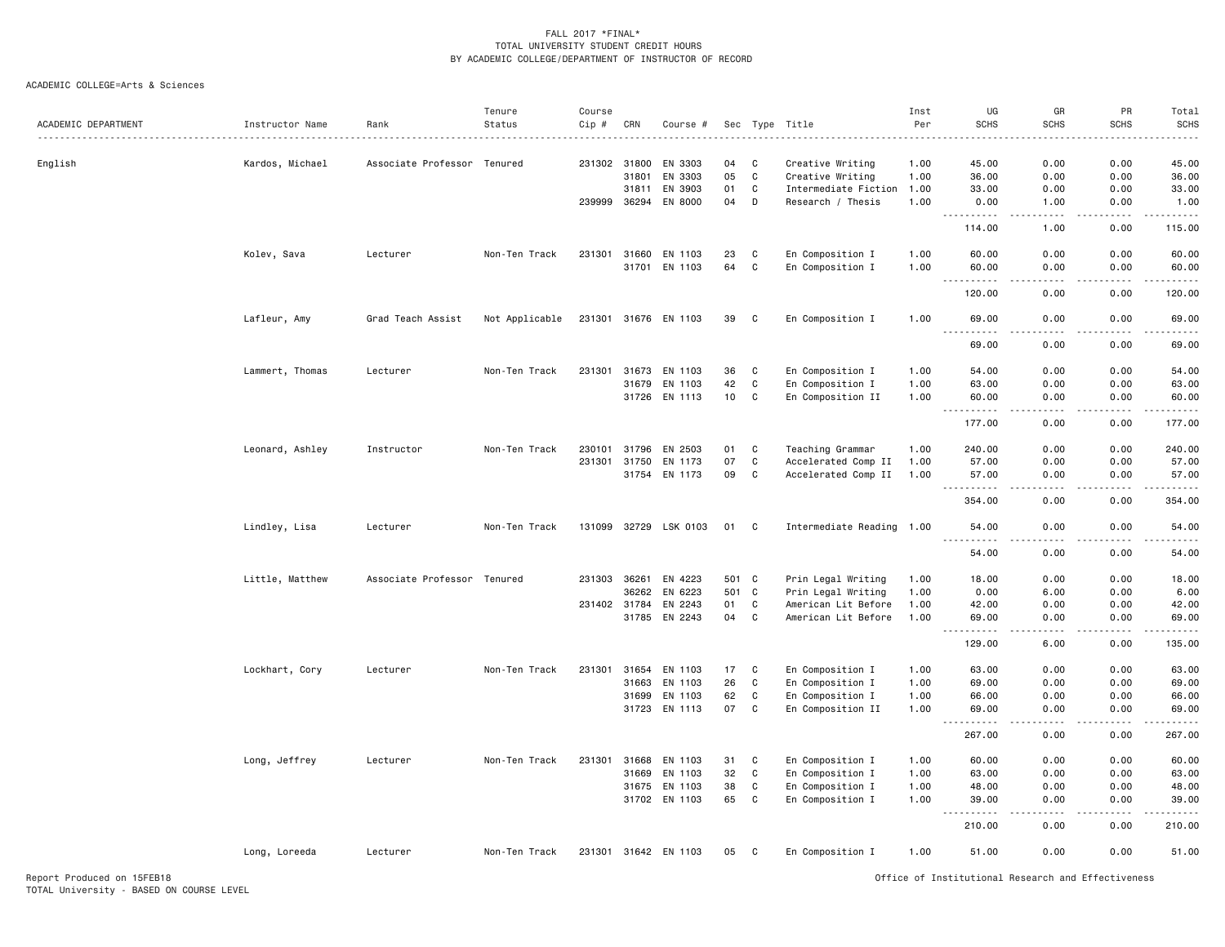| ACADEMIC DEPARTMENT | Instructor Name | Rank                | Tenure<br>Status | Course<br>Cip # | CRN          | Course #             |       |              | Sec Type Title            | Inst<br>Per | UG<br><b>SCHS</b>                          | GR<br><b>SCHS</b>                                                                                      | PR<br><b>SCHS</b> | Total<br><b>SCHS</b>                                                                                                               |
|---------------------|-----------------|---------------------|------------------|-----------------|--------------|----------------------|-------|--------------|---------------------------|-------------|--------------------------------------------|--------------------------------------------------------------------------------------------------------|-------------------|------------------------------------------------------------------------------------------------------------------------------------|
|                     |                 |                     |                  |                 |              |                      |       |              |                           |             |                                            |                                                                                                        |                   |                                                                                                                                    |
| English             | Kardos, Michael | Associate Professor | Tenured          | 231302          | 31800        | EN 3303              | 04    | C            | Creative Writing          | 1.00        | 45.00                                      | 0.00                                                                                                   | 0.00              | 45.00                                                                                                                              |
|                     |                 |                     |                  |                 | 31801        | EN 3303              | 05    | $\mathtt{C}$ | Creative Writing          | 1.00        | 36.00                                      | 0.00                                                                                                   | 0.00              | 36.00                                                                                                                              |
|                     |                 |                     |                  |                 | 31811        | EN 3903              | 01    | C            | Intermediate Fiction      | 1.00        | 33.00                                      | 0.00                                                                                                   | 0.00              | 33.00                                                                                                                              |
|                     |                 |                     |                  | 239999          | 36294        | EN 8000              | 04    | D            | Research / Thesis         | 1.00        | 0.00<br>.<br>$  -$                         | 1.00<br>$\sim$ $\sim$ $\sim$ $\sim$                                                                    | 0.00<br>.         | 1.00<br>. <b>.</b>                                                                                                                 |
|                     |                 |                     |                  |                 |              |                      |       |              |                           |             | 114.00                                     | 1.00                                                                                                   | 0.00              | 115.00                                                                                                                             |
|                     | Kolev, Sava     | Lecturer            | Non-Ten Track    | 231301          | 31660        | EN 1103              | 23    | $\mathtt{C}$ | En Composition I          | 1.00        | 60.00                                      | 0.00                                                                                                   | 0.00              | 60.00                                                                                                                              |
|                     |                 |                     |                  |                 | 31701        | EN 1103              | 64    | $\mathbb{C}$ | En Composition I          | 1.00        | 60.00<br>$\sim$ $\sim$ $\sim$<br>-----     | 0.00                                                                                                   | 0.00              | 60.00                                                                                                                              |
|                     |                 |                     |                  |                 |              |                      |       |              |                           |             | 120.00                                     | 0.00                                                                                                   | 0.00              | 120.00                                                                                                                             |
|                     | Lafleur, Amy    | Grad Teach Assist   | Not Applicable   |                 |              | 231301 31676 EN 1103 | 39    | C            | En Composition I          | 1.00        | 69.00<br>$ -$<br>.                         | 0.00<br>$\frac{1}{2} \left( \frac{1}{2} \right) \left( \frac{1}{2} \right) \left( \frac{1}{2} \right)$ | 0.00              | 69.00<br>.                                                                                                                         |
|                     |                 |                     |                  |                 |              |                      |       |              |                           |             | 69.00                                      | 0.00                                                                                                   | 0.00              | 69.00                                                                                                                              |
|                     | Lammert, Thomas | Lecturer            | Non-Ten Track    | 231301          | 31673        | EN 1103              | 36    | $\mathtt{C}$ | En Composition I          | 1.00        | 54.00                                      | 0.00                                                                                                   | 0.00              | 54.00                                                                                                                              |
|                     |                 |                     |                  |                 | 31679        | EN 1103              | 42    | $\mathtt{C}$ | En Composition I          | 1.00        | 63.00                                      | 0.00                                                                                                   | 0.00              | 63.00                                                                                                                              |
|                     |                 |                     |                  |                 | 31726        | EN 1113              | 10    | C            | En Composition II         | 1.00        | 60.00                                      | 0.00                                                                                                   | 0.00              | 60.00                                                                                                                              |
|                     |                 |                     |                  |                 |              |                      |       |              |                           |             | $\sim$ $\sim$ .<br>$\frac{1}{2}$<br>177.00 | $- - - -$<br>0.00                                                                                      | .<br>0.00         | .<br>177.00                                                                                                                        |
|                     |                 |                     |                  |                 |              |                      |       |              |                           |             |                                            |                                                                                                        |                   |                                                                                                                                    |
|                     | Leonard, Ashley | Instructor          | Non-Ten Track    | 230101          | 31796        | EN 2503              | 01    | C            | Teaching Grammar          | 1.00        | 240.00                                     | 0.00                                                                                                   | 0.00              | 240.00                                                                                                                             |
|                     |                 |                     |                  | 231301          | 31750        | EN 1173              | 07    | $\mathtt{C}$ | Accelerated Comp II       | 1.00        | 57.00                                      | 0.00                                                                                                   | 0.00              | 57.00                                                                                                                              |
|                     |                 |                     |                  |                 |              | 31754 EN 1173        | 09    | C            | Accelerated Comp II       | 1.00        | 57.00<br>-----                             | 0.00<br>$\frac{1}{2}$                                                                                  | 0.00<br>.         | 57.00<br>.                                                                                                                         |
|                     |                 |                     |                  |                 |              |                      |       |              |                           |             | 354.00                                     | 0.00                                                                                                   | 0.00              | 354.00                                                                                                                             |
|                     | Lindley, Lisa   | Lecturer            | Non-Ten Track    |                 | 131099 32729 | LSK 0103             | 01    | C            | Intermediate Reading 1.00 |             | 54.00                                      | 0.00<br>$\sim$ $\sim$ $\sim$ $\sim$                                                                    | 0.00              | 54.00<br>.                                                                                                                         |
|                     |                 |                     |                  |                 |              |                      |       |              |                           |             | 54.00                                      | 0.00                                                                                                   | 0.00              | 54.00                                                                                                                              |
|                     | Little, Matthew | Associate Professor | Tenured          | 231303          | 36261        | EN 4223              | 501 C |              | Prin Legal Writing        | 1.00        | 18.00                                      | 0.00                                                                                                   | 0.00              | 18.00                                                                                                                              |
|                     |                 |                     |                  |                 | 36262        | EN 6223              | 501   | C            | Prin Legal Writing        | 1.00        | 0.00                                       | 6.00                                                                                                   | 0.00              | 6.00                                                                                                                               |
|                     |                 |                     |                  |                 | 231402 31784 | EN 2243              | 01    | C            | American Lit Before       | 1.00        | 42.00                                      | 0.00                                                                                                   | 0.00              | 42.00                                                                                                                              |
|                     |                 |                     |                  |                 |              | 31785 EN 2243        | 04    | C            | American Lit Before       | 1.00        | 69.00<br>.                                 | 0.00<br>د د د د                                                                                        | 0.00<br>.         | 69.00<br>.                                                                                                                         |
|                     |                 |                     |                  |                 |              |                      |       |              |                           |             | 129.00                                     | 6.00                                                                                                   | 0.00              | 135.00                                                                                                                             |
|                     | Lockhart, Cory  | Lecturer            | Non-Ten Track    | 231301          | 31654        | EN 1103              | 17    | C            | En Composition I          | 1.00        | 63.00                                      | 0.00                                                                                                   | 0.00              | 63.00                                                                                                                              |
|                     |                 |                     |                  |                 | 31663        | EN 1103              | 26    | C            | En Composition I          | 1.00        | 69.00                                      | 0.00                                                                                                   | 0.00              | 69.00                                                                                                                              |
|                     |                 |                     |                  |                 | 31699        | EN 1103              | 62    | C            | En Composition I          | 1.00        | 66.00                                      | 0.00                                                                                                   | 0.00              | 66.00                                                                                                                              |
|                     |                 |                     |                  |                 |              | 31723 EN 1113        | 07    | C            | En Composition II         | 1.00        | 69.00<br>$\sim$ $\sim$<br>$\cdots$         | 0.00<br>$\frac{1}{2}$                                                                                  | 0.00<br>.         | 69.00<br><u>.</u>                                                                                                                  |
|                     |                 |                     |                  |                 |              |                      |       |              |                           |             | 267.00                                     | 0.00                                                                                                   | 0.00              | 267.00                                                                                                                             |
|                     | Long, Jeffrey   | Lecturer            | Non-Ten Track    | 231301          | 31668        | EN 1103              | 31    | $\mathtt{C}$ | En Composition I          | 1.00        | 60.00                                      | 0.00                                                                                                   | 0.00              | 60.00                                                                                                                              |
|                     |                 |                     |                  |                 | 31669        | EN 1103              | 32    | $\mathtt{C}$ | En Composition I          | 1.00        | 63.00                                      | 0.00                                                                                                   | 0.00              | 63.00                                                                                                                              |
|                     |                 |                     |                  |                 | 31675        | EN 1103              | 38    | C            | En Composition I          | 1.00        | 48.00                                      | 0.00                                                                                                   | 0.00              | 48.00                                                                                                                              |
|                     |                 |                     |                  |                 |              | 31702 EN 1103        | 65    | $\mathbb{C}$ | En Composition I          | 1.00        | 39.00                                      | 0.00                                                                                                   | 0.00              | 39.00<br>$\frac{1}{2} \left( \frac{1}{2} \right) \left( \frac{1}{2} \right) \left( \frac{1}{2} \right) \left( \frac{1}{2} \right)$ |
|                     |                 |                     |                  |                 |              |                      |       |              |                           |             | 210.00                                     | 0.00                                                                                                   | 0.00              | 210.00                                                                                                                             |
|                     | Long, Loreeda   | Lecturer            | Non-Ten Track    |                 |              | 231301 31642 EN 1103 | 05    | C            | En Composition I          | 1.00        | 51.00                                      | 0.00                                                                                                   | 0.00              | 51.00                                                                                                                              |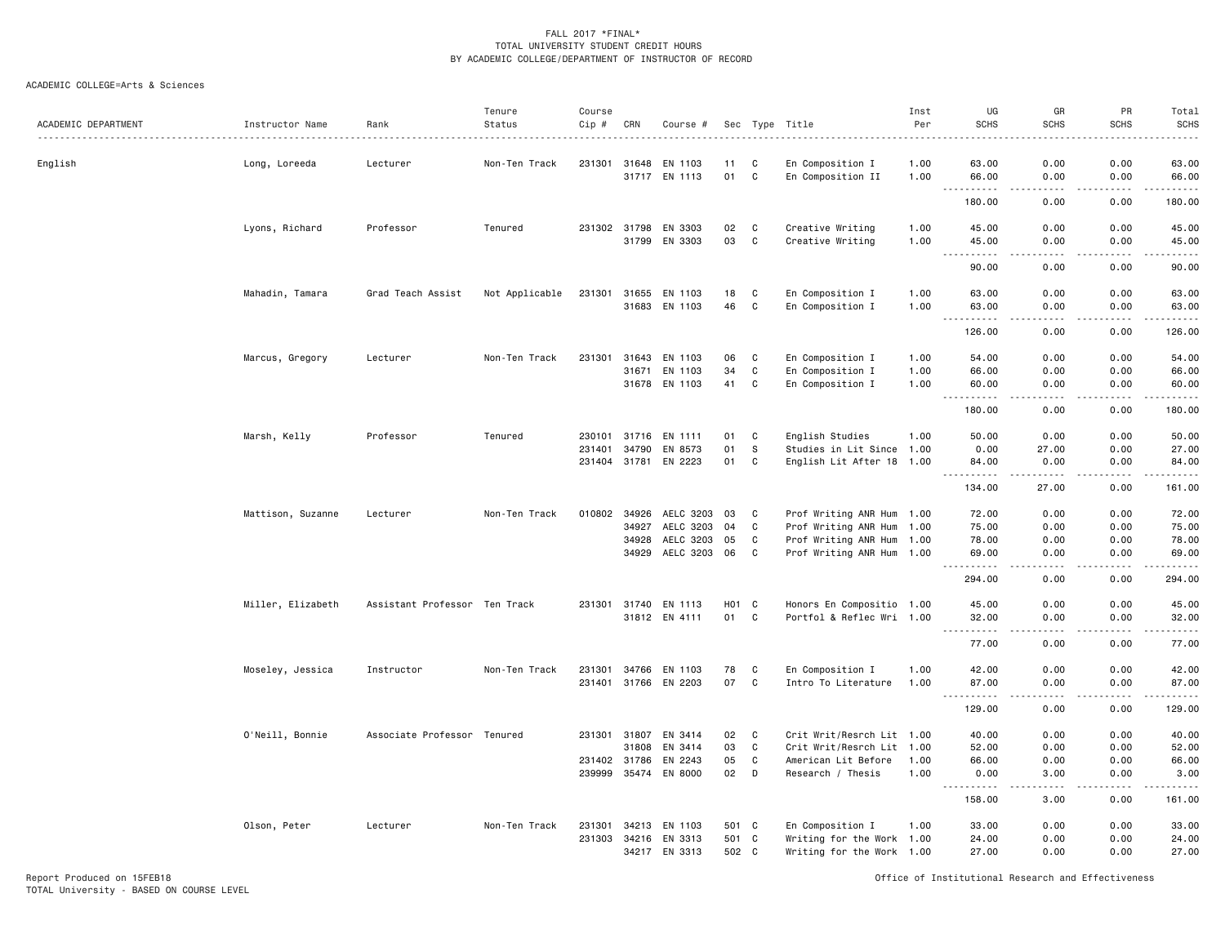## ACADEMIC COLLEGE=Arts & Sciences

| ACADEMIC DEPARTMENT | Instructor Name   | Rank                          | Tenure<br>Status | Course<br>$Cip$ # | CRN          | Course #             |       |              | Sec Type Title            | Inst<br>Per | UG<br><b>SCHS</b>                  | GR<br><b>SCHS</b>   | PR<br><b>SCHS</b>                   | Total<br><b>SCHS</b> |
|---------------------|-------------------|-------------------------------|------------------|-------------------|--------------|----------------------|-------|--------------|---------------------------|-------------|------------------------------------|---------------------|-------------------------------------|----------------------|
| English             | Long, Loreeda     | Lecturer                      | Non-Ten Track    | 231301            | 31648        | EN 1103              | 11    | C            | En Composition I          | 1.00        | 63.00                              | 0.00                | 0.00                                | 63.00                |
|                     |                   |                               |                  |                   |              | 31717 EN 1113        | 01    | $\mathbf c$  | En Composition II         | 1.00        | 66.00<br>$\sim$ $\sim$ $\sim$<br>. | 0.00<br>.           | 0.00<br>.                           | 66.00<br>.           |
|                     |                   |                               |                  |                   |              |                      |       |              |                           |             | 180.00                             | 0.00                | 0.00                                | 180.00               |
|                     | Lyons, Richard    | Professor                     | Tenured          | 231302 31798      |              | EN 3303              | 02    | C            | Creative Writing          | 1.00        | 45.00                              | 0.00                | 0.00                                | 45.00                |
|                     |                   |                               |                  |                   | 31799        | EN 3303              | 03    | $\mathbf{C}$ | Creative Writing          | 1.00        | 45.00<br>.<br>$\sim$ $\sim$ $\sim$ | 0.00<br>د د د د     | 0.00<br>.                           | 45.00<br>.           |
|                     |                   |                               |                  |                   |              |                      |       |              |                           |             | 90.00                              | 0.00                | 0.00                                | 90.00                |
|                     | Mahadin, Tamara   | Grad Teach Assist             | Not Applicable   | 231301            | 31655        | EN 1103              | 18    | C            | En Composition I          | 1.00        | 63.00                              | 0.00                | 0.00                                | 63.00                |
|                     |                   |                               |                  |                   | 31683        | EN 1103              | 46    | C            | En Composition I          | 1.00        | 63.00<br>$\sim$ $\sim$ $\sim$<br>. | 0.00<br>.           | 0.00<br>.                           | 63.00<br>.           |
|                     |                   |                               |                  |                   |              |                      |       |              |                           |             | 126.00                             | 0.00                | 0.00                                | 126.00               |
|                     | Marcus, Gregory   | Lecturer                      | Non-Ten Track    | 231301            | 31643        | EN 1103              | 06    | C            | En Composition I          | 1.00        | 54.00                              | 0.00                | 0.00                                | 54.00                |
|                     |                   |                               |                  |                   | 31671        | EN 1103              | 34    | C            | En Composition I          | 1.00        | 66.00                              | 0.00                | 0.00                                | 66.00                |
|                     |                   |                               |                  |                   | 31678        | EN 1103              | 41    | C            | En Composition I          | 1.00        | 60.00<br>- - - - -                 | 0.00<br>- - - -     | 0.00<br>$\sim$ $\sim$ $\sim$ $\sim$ | 60.00<br>.           |
|                     |                   |                               |                  |                   |              |                      |       |              |                           |             | 180.00                             | 0.00                | 0.00                                | 180.00               |
|                     | Marsh, Kelly      | Professor                     | Tenured          | 230101            | 31716        | EN 1111              | 01    | C            | English Studies           | 1.00        | 50.00                              | 0.00                | 0.00                                | 50.00                |
|                     |                   |                               |                  | 231401            | 34790        | EN 8573              | 01    | s            | Studies in Lit Since 1.00 |             | 0.00                               | 27.00               | 0.00                                | 27.00                |
|                     |                   |                               |                  | 231404 31781      |              | EN 2223              | 01    | C            | English Lit After 18 1.00 |             | 84.00<br>. <u>.</u>                | 0.00<br>$- - - - -$ | 0.00<br>.                           | 84.00<br>.           |
|                     |                   |                               |                  |                   |              |                      |       |              |                           |             | 134.00                             | 27.00               | 0.00                                | 161.00               |
|                     | Mattison, Suzanne | Lecturer                      | Non-Ten Track    | 010802            | 34926        | AELC 3203            | 03    | C            | Prof Writing ANR Hum 1.00 |             | 72.00                              | 0.00                | 0.00                                | 72.00                |
|                     |                   |                               |                  |                   | 34927        | AELC 3203            | 04    | C            | Prof Writing ANR Hum 1.00 |             | 75.00                              | 0.00                | 0.00                                | 75.00                |
|                     |                   |                               |                  |                   | 34928        | AELC 3203            | 05    | C            | Prof Writing ANR Hum 1.00 |             | 78.00                              | 0.00                | 0.00                                | 78.00                |
|                     |                   |                               |                  |                   |              | 34929 AELC 3203      | 06    | C            | Prof Writing ANR Hum 1.00 |             | 69.00<br>. <u>.</u>                | 0.00<br>.           | 0.00<br>.                           | 69.00<br>.           |
|                     |                   |                               |                  |                   |              |                      |       |              |                           |             | 294.00                             | 0.00                | 0.00                                | 294.00               |
|                     | Miller, Elizabeth | Assistant Professor Ten Track |                  |                   | 231301 31740 | EN 1113              | H01   | C            | Honors En Compositio 1.00 |             | 45.00                              | 0.00                | 0.00                                | 45.00                |
|                     |                   |                               |                  |                   |              | 31812 EN 4111        | 01    | C            | Portfol & Reflec Wri 1.00 |             | 32.00                              | 0.00                | 0.00<br>.                           | 32.00<br>.           |
|                     |                   |                               |                  |                   |              |                      |       |              |                           |             | 77.00                              | 0.00                | 0.00                                | 77.00                |
|                     | Moseley, Jessica  | Instructor                    | Non-Ten Track    | 231301            | 34766        | EN 1103              | 78    | C            | En Composition I          | 1.00        | 42.00                              | 0.00                | 0.00                                | 42.00                |
|                     |                   |                               |                  |                   |              | 231401 31766 EN 2203 | 07    | C            | Intro To Literature       | 1.00        | 87.00                              | 0.00                | 0.00                                | 87.00<br>د د د د د   |
|                     |                   |                               |                  |                   |              |                      |       |              |                           |             | 129.00                             | 0.00                | 0.00                                | 129.00               |
|                     | O'Neill, Bonnie   | Associate Professor Tenured   |                  |                   | 231301 31807 | EN 3414              | 02    | C            | Crit Writ/Resrch Lit 1.00 |             | 40.00                              | 0.00                | 0.00                                | 40.00                |
|                     |                   |                               |                  |                   | 31808        | EN 3414              | 03    | C            | Crit Writ/Resrch Lit 1.00 |             | 52.00                              | 0.00                | 0.00                                | 52.00                |
|                     |                   |                               |                  | 231402 31786      |              | EN 2243              | 05    | C            | American Lit Before       | 1.00        | 66.00                              | 0.00                | 0.00                                | 66.00                |
|                     |                   |                               |                  | 239999            | 35474        | EN 8000              | 02    | D            | Research / Thesis         | 1.00        | 0.00<br>.                          | 3.00                | 0.00<br>$\sim$ $\sim$ $\sim$ $\sim$ | 3.00<br>ه د د د د    |
|                     |                   |                               |                  |                   |              |                      |       |              |                           |             | 158.00                             | 3,00                | 0.00                                | 161.00               |
|                     | Olson, Peter      | Lecturer                      | Non-Ten Track    | 231301            | 34213        | EN 1103              | 501 C |              | En Composition I          | 1.00        | 33.00                              | 0.00                | 0.00                                | 33.00                |
|                     |                   |                               |                  | 231303            | 34216        | EN 3313              | 501   | C            | Writing for the Work 1.00 |             | 24.00                              | 0.00                | 0.00                                | 24.00                |
|                     |                   |                               |                  |                   |              | 34217 EN 3313        | 502 C |              | Writing for the Work 1.00 |             | 27.00                              | 0.00                | 0.00                                | 27.00                |

Report Produced on 15FEB18 Office of Institutional Research and Effectiveness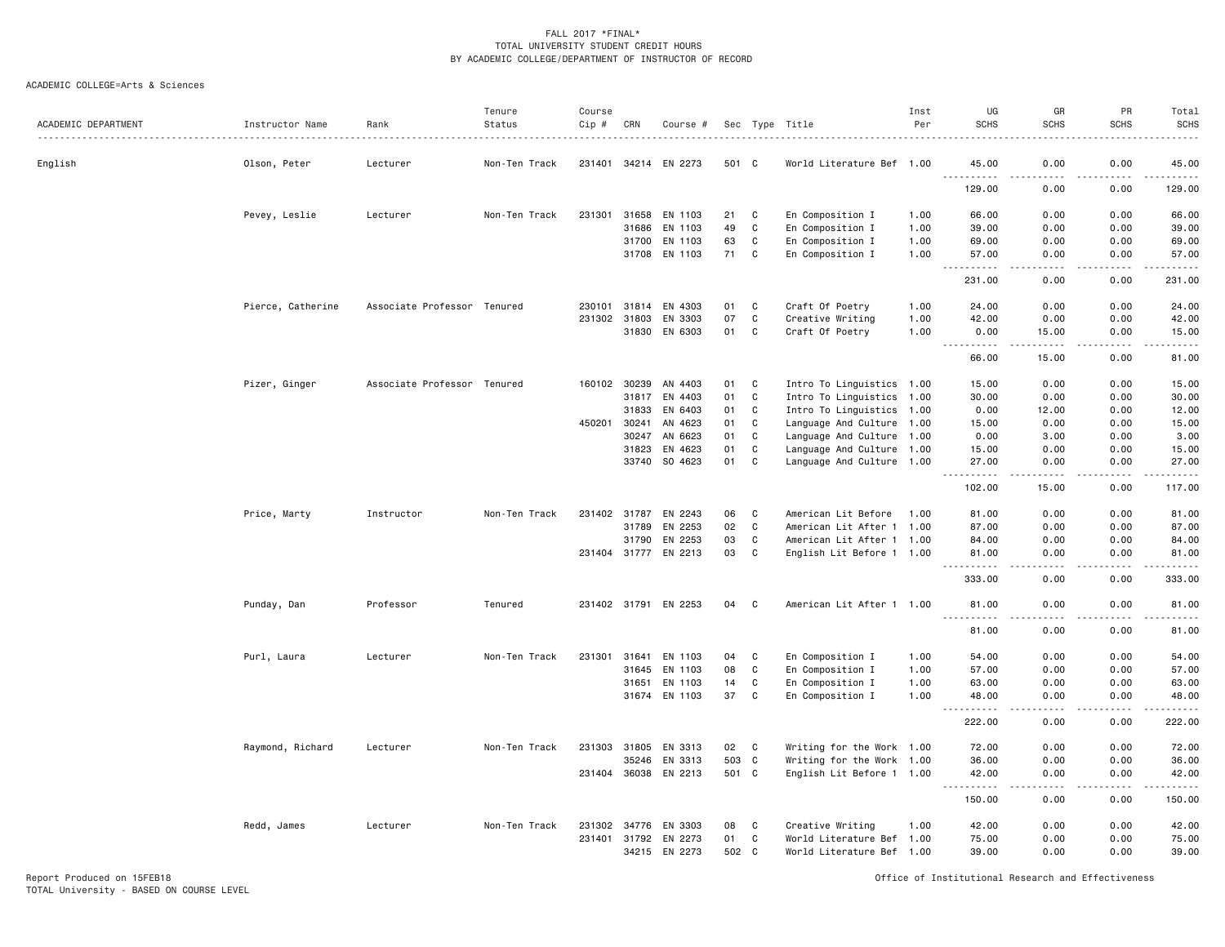| ACADEMIC DEPARTMENT | Instructor Name   | Rank                        | Tenure<br>Status | Course<br>Cip # | CRN          | Course #             |       |              | Sec Type Title            | Inst<br>Per | UG<br><b>SCHS</b>                                                                                         | GR<br><b>SCHS</b>                                                                                                                                             | PR<br><b>SCHS</b> | Total<br>SCHS     |
|---------------------|-------------------|-----------------------------|------------------|-----------------|--------------|----------------------|-------|--------------|---------------------------|-------------|-----------------------------------------------------------------------------------------------------------|---------------------------------------------------------------------------------------------------------------------------------------------------------------|-------------------|-------------------|
| English             | Olson, Peter      | Lecturer                    | Non-Ten Track    |                 |              | 231401 34214 EN 2273 | 501 C |              | World Literature Bef 1.00 |             | 45.00<br>$   -$                                                                                           | 0.00                                                                                                                                                          | 0.00              | 45.00             |
|                     |                   |                             |                  |                 |              |                      |       |              |                           |             | 129.00                                                                                                    | 0.00                                                                                                                                                          | 0.00              | 129.00            |
|                     | Pevey, Leslie     | Lecturer                    | Non-Ten Track    | 231301          | 31658        | EN 1103              | 21    | C            | En Composition I          | 1.00        | 66.00                                                                                                     | 0.00                                                                                                                                                          | 0.00              | 66.00             |
|                     |                   |                             |                  |                 | 31686        | EN 1103              | 49    | C            | En Composition I          | 1.00        | 39.00                                                                                                     | 0.00                                                                                                                                                          | 0.00              | 39.00             |
|                     |                   |                             |                  |                 | 31700        | EN 1103              | 63    | $\mathtt{C}$ | En Composition I          | 1.00        | 69.00                                                                                                     | 0.00                                                                                                                                                          | 0.00              | 69.00             |
|                     |                   |                             |                  |                 |              | 31708 EN 1103        | 71    | C            | En Composition I          | 1.00        | 57.00<br>.<br>$  -$                                                                                       | 0.00<br>.                                                                                                                                                     | 0.00<br>.         | 57.00<br>.        |
|                     |                   |                             |                  |                 |              |                      |       |              |                           |             | 231.00                                                                                                    | 0.00                                                                                                                                                          | 0.00              | 231.00            |
|                     | Pierce, Catherine | Associate Professor Tenured |                  | 230101          | 31814        | EN 4303              | 01    | C            | Craft Of Poetry           | 1.00        | 24.00                                                                                                     | 0.00                                                                                                                                                          | 0.00              | 24.00             |
|                     |                   |                             |                  |                 | 231302 31803 | EN 3303              | 07    | C            | Creative Writing          | 1.00        | 42.00                                                                                                     | 0.00                                                                                                                                                          | 0.00              | 42.00             |
|                     |                   |                             |                  |                 | 31830        | EN 6303              | 01    | C            | Craft Of Poetry           | 1.00        | 0.00<br>$\begin{array}{cccccccccc} \bullet & \bullet & \bullet & \bullet & \bullet & \bullet \end{array}$ | 15.00<br>$\frac{1}{2} \left( \frac{1}{2} \right) \left( \frac{1}{2} \right) \left( \frac{1}{2} \right) \left( \frac{1}{2} \right) \left( \frac{1}{2} \right)$ | 0.00<br>.         | 15.00<br>.        |
|                     |                   |                             |                  |                 |              |                      |       |              |                           |             | 66.00                                                                                                     | 15.00                                                                                                                                                         | 0.00              | 81.00             |
|                     | Pizer, Ginger     | Associate Professor Tenured |                  | 160102          | 30239        | AN 4403              | 01    | C            | Intro To Linguistics 1.00 |             | 15.00                                                                                                     | 0.00                                                                                                                                                          | 0.00              | 15.00             |
|                     |                   |                             |                  |                 | 31817        | EN 4403              | 01    | $\mathbb{C}$ | Intro To Linguistics 1.00 |             | 30.00                                                                                                     | 0.00                                                                                                                                                          | 0.00              | 30.00             |
|                     |                   |                             |                  |                 | 31833        | EN 6403              | 01    | C            | Intro To Linguistics 1.00 |             | 0.00                                                                                                      | 12.00                                                                                                                                                         | 0.00              | 12.00             |
|                     |                   |                             |                  | 450201          | 30241        | AN 4623              | 01    | C            | Language And Culture 1.00 |             | 15.00                                                                                                     | 0.00                                                                                                                                                          | 0.00              | 15.00             |
|                     |                   |                             |                  |                 | 30247        | AN 6623              | 01    | C            | Language And Culture 1.00 |             | 0.00                                                                                                      | 3.00                                                                                                                                                          | 0.00              | 3.00              |
|                     |                   |                             |                  |                 | 31823        | EN 4623              | 01    | C            | Language And Culture 1.00 |             | 15.00                                                                                                     | 0.00                                                                                                                                                          | 0.00              | 15.00             |
|                     |                   |                             |                  |                 |              | 33740 SO 4623        | 01    | C            | Language And Culture 1.00 |             | 27.00<br>.                                                                                                | 0.00<br>-----                                                                                                                                                 | 0.00<br>-----     | 27.00<br>.        |
|                     |                   |                             |                  |                 |              |                      |       |              |                           |             | 102.00                                                                                                    | 15.00                                                                                                                                                         | 0.00              | 117.00            |
|                     | Price, Marty      | Instructor                  | Non-Ten Track    |                 | 231402 31787 | EN 2243              | 06    | C            | American Lit Before       | 1.00        | 81.00                                                                                                     | 0.00                                                                                                                                                          | 0.00              | 81.00             |
|                     |                   |                             |                  |                 | 31789        | EN 2253              | 02    | C            | American Lit After 1 1.00 |             | 87.00                                                                                                     | 0.00                                                                                                                                                          | 0.00              | 87.00             |
|                     |                   |                             |                  |                 | 31790        | EN 2253              | 03    | C            | American Lit After 1 1.00 |             | 84.00                                                                                                     | 0.00                                                                                                                                                          | 0.00              | 84.00             |
|                     |                   |                             |                  |                 |              | 231404 31777 EN 2213 | 03    | C            | English Lit Before 1 1.00 |             | 81.00<br>.                                                                                                | 0.00<br>.                                                                                                                                                     | 0.00<br>.         | 81.00<br>.        |
|                     |                   |                             |                  |                 |              |                      |       |              |                           |             | 333.00                                                                                                    | 0.00                                                                                                                                                          | 0.00              | 333.00            |
|                     | Punday, Dan       | Professor                   | Tenured          |                 | 231402 31791 | EN 2253              | 04    | C            | American Lit After 1 1.00 |             | 81.00                                                                                                     | 0.00<br>.                                                                                                                                                     | 0.00<br>.         | 81.00             |
|                     |                   |                             |                  |                 |              |                      |       |              |                           |             | $- - - - -$<br>81.00                                                                                      | 0.00                                                                                                                                                          | 0.00              | .<br>81.00        |
|                     | Purl, Laura       | Lecturer                    | Non-Ten Track    | 231301          | 31641        | EN 1103              | 04    | C            | En Composition I          | 1.00        | 54.00                                                                                                     | 0.00                                                                                                                                                          | 0.00              | 54.00             |
|                     |                   |                             |                  |                 | 31645        | EN 1103              | 08    | C            | En Composition I          | 1.00        | 57.00                                                                                                     | 0.00                                                                                                                                                          | 0.00              | 57.00             |
|                     |                   |                             |                  |                 | 31651        | EN 1103              | 14    | C            | En Composition I          | 1.00        | 63.00                                                                                                     | 0.00                                                                                                                                                          | 0.00              | 63.00             |
|                     |                   |                             |                  |                 |              | 31674 EN 1103        | 37    | $\mathtt{C}$ | En Composition I          | 1.00        | 48.00<br>$  -$<br>.                                                                                       | 0.00<br>.                                                                                                                                                     | 0.00<br>.         | 48.00<br><u>.</u> |
|                     |                   |                             |                  |                 |              |                      |       |              |                           |             | 222.00                                                                                                    | 0.00                                                                                                                                                          | 0.00              | 222.00            |
|                     | Raymond, Richard  | Lecturer                    | Non-Ten Track    |                 | 231303 31805 | EN 3313              | 02    | $\mathbf{C}$ | Writing for the Work 1.00 |             | 72.00                                                                                                     | 0.00                                                                                                                                                          | 0.00              | 72.00             |
|                     |                   |                             |                  |                 | 35246        | EN 3313              | 503 C |              | Writing for the Work 1.00 |             | 36.00                                                                                                     | 0.00                                                                                                                                                          | 0.00              | 36.00             |
|                     |                   |                             |                  |                 | 231404 36038 | EN 2213              | 501 C |              | English Lit Before 1 1.00 |             | 42.00<br>.                                                                                                | 0.00<br>.                                                                                                                                                     | 0.00<br>.         | 42.00<br>.        |
|                     |                   |                             |                  |                 |              |                      |       |              |                           |             | 150.00                                                                                                    | 0.00                                                                                                                                                          | 0.00              | 150.00            |
|                     | Redd, James       | Lecturer                    | Non-Ten Track    | 231302          | 34776        | EN 3303              | 08    | C            | Creative Writing          | 1.00        | 42.00                                                                                                     | 0.00                                                                                                                                                          | 0.00              | 42.00             |
|                     |                   |                             |                  | 231401          | 31792        | EN 2273              | 01    | C            | World Literature Bef 1.00 |             | 75.00                                                                                                     | 0.00                                                                                                                                                          | 0.00              | 75.00             |
|                     |                   |                             |                  |                 |              | 34215 EN 2273        | 502 C |              | World Literature Bef 1.00 |             | 39.00                                                                                                     | 0.00                                                                                                                                                          | 0.00              | 39.00             |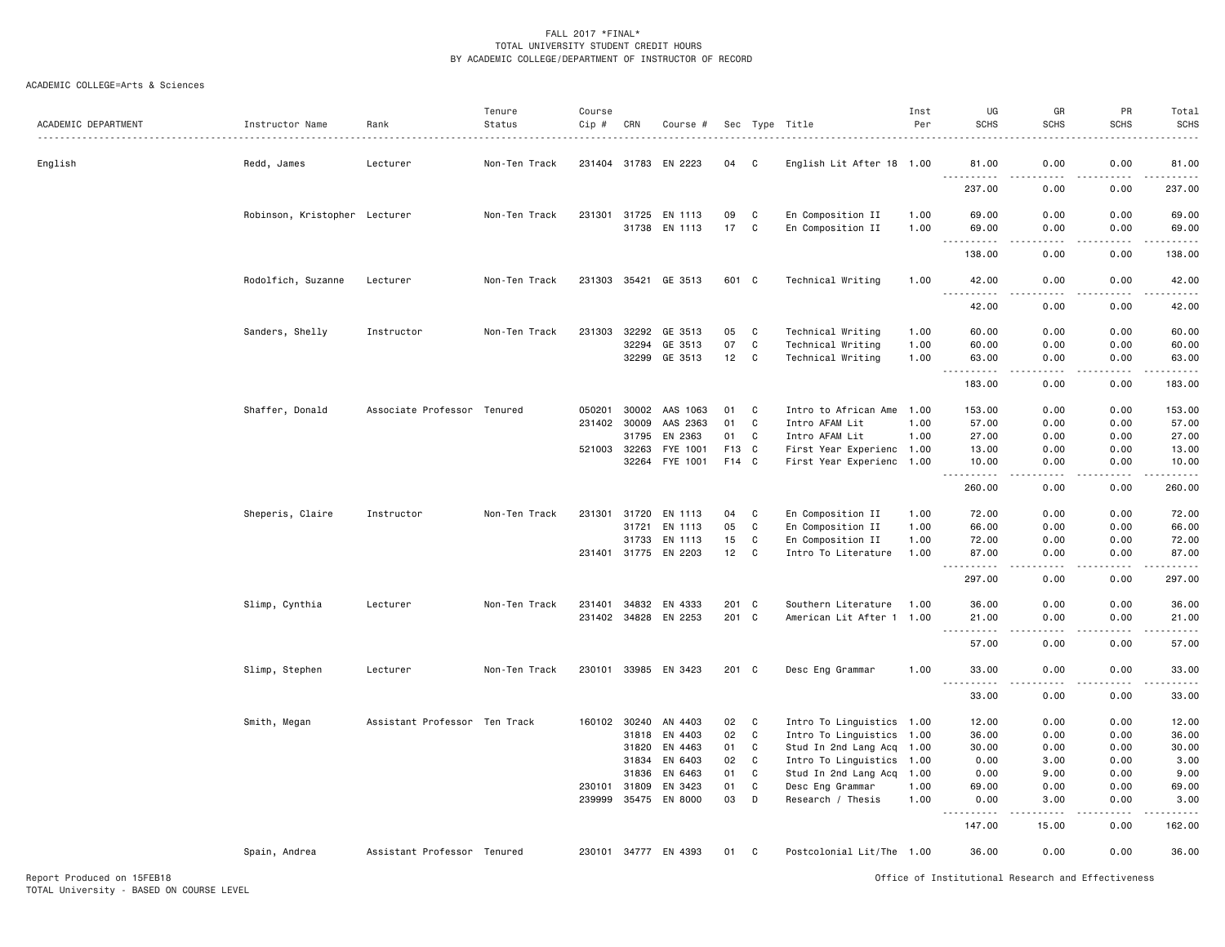| ACADEMIC DEPARTMENT | Instructor Name               | Rank                          | Tenure<br>Status | Course<br>Cip # | CRN   | Course #             |       |              | Sec Type Title            | Inst<br>Per | UG<br><b>SCHS</b>                                                                                                                                                                     | GR<br><b>SCHS</b>                                                                                                                 | PR<br><b>SCHS</b> | Total<br><b>SCHS</b>                                                                                                |
|---------------------|-------------------------------|-------------------------------|------------------|-----------------|-------|----------------------|-------|--------------|---------------------------|-------------|---------------------------------------------------------------------------------------------------------------------------------------------------------------------------------------|-----------------------------------------------------------------------------------------------------------------------------------|-------------------|---------------------------------------------------------------------------------------------------------------------|
| English             | Redd, James                   | Lecturer                      | Non-Ten Track    | 231404 31783    |       | EN 2223              | 04    | C            | English Lit After 18 1.00 |             | 81.00<br>$\sim$ $\sim$ .                                                                                                                                                              | 0.00                                                                                                                              | 0.00              | 81.00                                                                                                               |
|                     |                               |                               |                  |                 |       |                      |       |              |                           |             | 237.00                                                                                                                                                                                | 0.00                                                                                                                              | 0.00              | 237.00                                                                                                              |
|                     | Robinson, Kristopher Lecturer |                               | Non-Ten Track    | 231301          | 31725 | EN 1113              | 09    | C            | En Composition II         | 1.00        | 69.00                                                                                                                                                                                 | 0.00                                                                                                                              | 0.00              | 69.00                                                                                                               |
|                     |                               |                               |                  |                 | 31738 | EN 1113              | 17    | C            | En Composition II         | 1.00        | 69.00<br>$\sim$ $\sim$ $\sim$<br>.                                                                                                                                                    | 0.00<br>$- - - -$                                                                                                                 | 0.00<br>.         | 69.00<br>.                                                                                                          |
|                     |                               |                               |                  |                 |       |                      |       |              |                           |             | 138.00                                                                                                                                                                                | 0.00                                                                                                                              | 0.00              | 138.00                                                                                                              |
|                     | Rodolfich, Suzanne            | Lecturer                      | Non-Ten Track    |                 |       | 231303 35421 GE 3513 | 601 C |              | Technical Writing         | 1.00        | 42.00<br>$\sim$ $\sim$ $\sim$<br>.                                                                                                                                                    | 0.00<br>$\frac{1}{2}$                                                                                                             | 0.00<br>.         | 42.00<br>.                                                                                                          |
|                     |                               |                               |                  |                 |       |                      |       |              |                           |             | 42.00                                                                                                                                                                                 | 0.00                                                                                                                              | 0.00              | 42.00                                                                                                               |
|                     | Sanders, Shelly               | Instructor                    | Non-Ten Track    | 231303          | 32292 | GE 3513              | 05    | C            | Technical Writing         | 1.00        | 60.00                                                                                                                                                                                 | 0.00                                                                                                                              | 0.00              | 60.00                                                                                                               |
|                     |                               |                               |                  |                 | 32294 | GE 3513              | 07    | C            | Technical Writing         | 1.00        | 60.00                                                                                                                                                                                 | 0.00                                                                                                                              | 0.00              | 60.00                                                                                                               |
|                     |                               |                               |                  |                 | 32299 | GE 3513              | 12    | $\mathbf{C}$ | Technical Writing         | 1.00        | 63.00<br>$\sim$ $\sim$ $\sim$<br>$\frac{1}{2} \left( \frac{1}{2} \right) \left( \frac{1}{2} \right) \left( \frac{1}{2} \right) \left( \frac{1}{2} \right) \left( \frac{1}{2} \right)$ | 0.00                                                                                                                              | 0.00<br>.         | 63.00<br>.                                                                                                          |
|                     |                               |                               |                  |                 |       |                      |       |              |                           |             | 183.00                                                                                                                                                                                | 0.00                                                                                                                              | 0.00              | 183.00                                                                                                              |
|                     | Shaffer, Donald               | Associate Professor Tenured   |                  | 050201          | 30002 | AAS 1063             | 01    | C            | Intro to African Ame 1.00 |             | 153.00                                                                                                                                                                                | 0.00                                                                                                                              | 0.00              | 153.00                                                                                                              |
|                     |                               |                               |                  | 231402 30009    |       | AAS 2363             | 01    | C            | Intro AFAM Lit            | 1.00        | 57.00                                                                                                                                                                                 | 0.00                                                                                                                              | 0.00              | 57.00                                                                                                               |
|                     |                               |                               |                  |                 | 31795 | EN 2363              | 01    | C            | Intro AFAM Lit            | 1.00        | 27.00                                                                                                                                                                                 | 0.00                                                                                                                              | 0.00              | 27.00                                                                                                               |
|                     |                               |                               |                  | 521003          | 32263 | FYE 1001             | F13   | C            | First Year Experienc 1.00 |             | 13.00                                                                                                                                                                                 | 0.00                                                                                                                              | 0.00              | 13.00                                                                                                               |
|                     |                               |                               |                  |                 |       | 32264 FYE 1001       | F14 C |              | First Year Experienc 1.00 |             | 10.00<br>.                                                                                                                                                                            | 0.00                                                                                                                              | 0.00              | 10.00<br>.                                                                                                          |
|                     |                               |                               |                  |                 |       |                      |       |              |                           |             | 260.00                                                                                                                                                                                | 0.00                                                                                                                              | 0.00              | 260.00                                                                                                              |
|                     | Sheperis, Claire              | Instructor                    | Non-Ten Track    | 231301          | 31720 | EN 1113              | 04    | C            | En Composition II         | 1.00        | 72.00                                                                                                                                                                                 | 0.00                                                                                                                              | 0.00              | 72.00                                                                                                               |
|                     |                               |                               |                  |                 | 31721 | EN 1113              | 05    | $\mathtt{C}$ | En Composition II         | 1.00        | 66.00                                                                                                                                                                                 | 0.00                                                                                                                              | 0.00              | 66.00                                                                                                               |
|                     |                               |                               |                  |                 | 31733 | EN 1113              | 15    | C            | En Composition II         | 1.00        | 72.00                                                                                                                                                                                 | 0.00                                                                                                                              | 0.00              | 72.00                                                                                                               |
|                     |                               |                               |                  | 231401          |       | 31775 EN 2203        | 12    | C            | Intro To Literature       | 1.00        | 87.00<br>$\sim$ $\sim$ $\sim$ $\sim$<br>$\sim$ $\sim$ .                                                                                                                               | 0.00                                                                                                                              | 0.00              | 87.00<br>.                                                                                                          |
|                     |                               |                               |                  |                 |       |                      |       |              |                           |             | 297.00                                                                                                                                                                                | 0.00                                                                                                                              | 0.00              | 297.00                                                                                                              |
|                     | Slimp, Cynthia                | Lecturer                      | Non-Ten Track    | 231401          | 34832 | EN 4333              | 201 C |              | Southern Literature       | 1.00        | 36.00                                                                                                                                                                                 | 0.00                                                                                                                              | 0.00              | 36.00                                                                                                               |
|                     |                               |                               |                  |                 |       | 231402 34828 EN 2253 | 201 C |              | American Lit After 1 1.00 |             | 21.00<br>$\sim$ $\sim$ $\sim$<br>.                                                                                                                                                    | 0.00<br>$\frac{1}{2} \left( \frac{1}{2} \right) \left( \frac{1}{2} \right) \left( \frac{1}{2} \right) \left( \frac{1}{2} \right)$ | 0.00<br>.         | 21.00<br>.                                                                                                          |
|                     |                               |                               |                  |                 |       |                      |       |              |                           |             | 57.00                                                                                                                                                                                 | 0.00                                                                                                                              | 0.00              | 57.00                                                                                                               |
|                     | Slimp, Stephen                | Lecturer                      | Non-Ten Track    |                 |       | 230101 33985 EN 3423 | 201 C |              | Desc Eng Grammar          | 1.00        | 33.00                                                                                                                                                                                 | 0.00                                                                                                                              | 0.00              | 33.00                                                                                                               |
|                     |                               |                               |                  |                 |       |                      |       |              |                           |             | . <b>.</b><br>33.00                                                                                                                                                                   | $- - -$<br>0.00                                                                                                                   | .<br>0.00         | .<br>33.00                                                                                                          |
|                     | Smith, Megan                  | Assistant Professor Ten Track |                  | 160102          | 30240 | AN 4403              | 02    | C            | Intro To Linguistics 1.00 |             | 12.00                                                                                                                                                                                 | 0.00                                                                                                                              | 0.00              | 12.00                                                                                                               |
|                     |                               |                               |                  |                 | 31818 | EN 4403              | 02    | C            | Intro To Linguistics 1.00 |             | 36.00                                                                                                                                                                                 | 0.00                                                                                                                              | 0.00              | 36.00                                                                                                               |
|                     |                               |                               |                  |                 | 31820 | EN 4463              | 01    | C            | Stud In 2nd Lang Acq 1.00 |             | 30.00                                                                                                                                                                                 | 0.00                                                                                                                              | 0.00              | 30.00                                                                                                               |
|                     |                               |                               |                  |                 | 31834 | EN 6403              | 02    | C            | Intro To Linguistics 1.00 |             | 0.00                                                                                                                                                                                  | 3.00                                                                                                                              | 0.00              | 3.00                                                                                                                |
|                     |                               |                               |                  |                 | 31836 | EN 6463              | 01    | C            | Stud In 2nd Lang Acq 1.00 |             | 0.00                                                                                                                                                                                  | 9.00                                                                                                                              | 0.00              | 9.00                                                                                                                |
|                     |                               |                               |                  | 230101          | 31809 | EN 3423              | 01    | C            | Desc Eng Grammar          | 1.00        | 69.00                                                                                                                                                                                 | 0.00                                                                                                                              | 0.00              | 69.00                                                                                                               |
|                     |                               |                               |                  | 239999          | 35475 | EN 8000              | 03    | D            | Research / Thesis         | 1.00        | 0.00<br>.                                                                                                                                                                             | 3.00<br>.                                                                                                                         | 0.00<br><b>.</b>  | 3.00<br>$\begin{array}{cccccccccc} \bullet & \bullet & \bullet & \bullet & \bullet & \bullet & \bullet \end{array}$ |
|                     |                               |                               |                  |                 |       |                      |       |              |                           |             | 147.00                                                                                                                                                                                | 15.00                                                                                                                             | 0.00              | 162.00                                                                                                              |
|                     | Spain, Andrea                 | Assistant Professor Tenured   |                  |                 |       | 230101 34777 EN 4393 | 01    | C            | Postcolonial Lit/The 1.00 |             | 36.00                                                                                                                                                                                 | 0.00                                                                                                                              | 0.00              | 36.00                                                                                                               |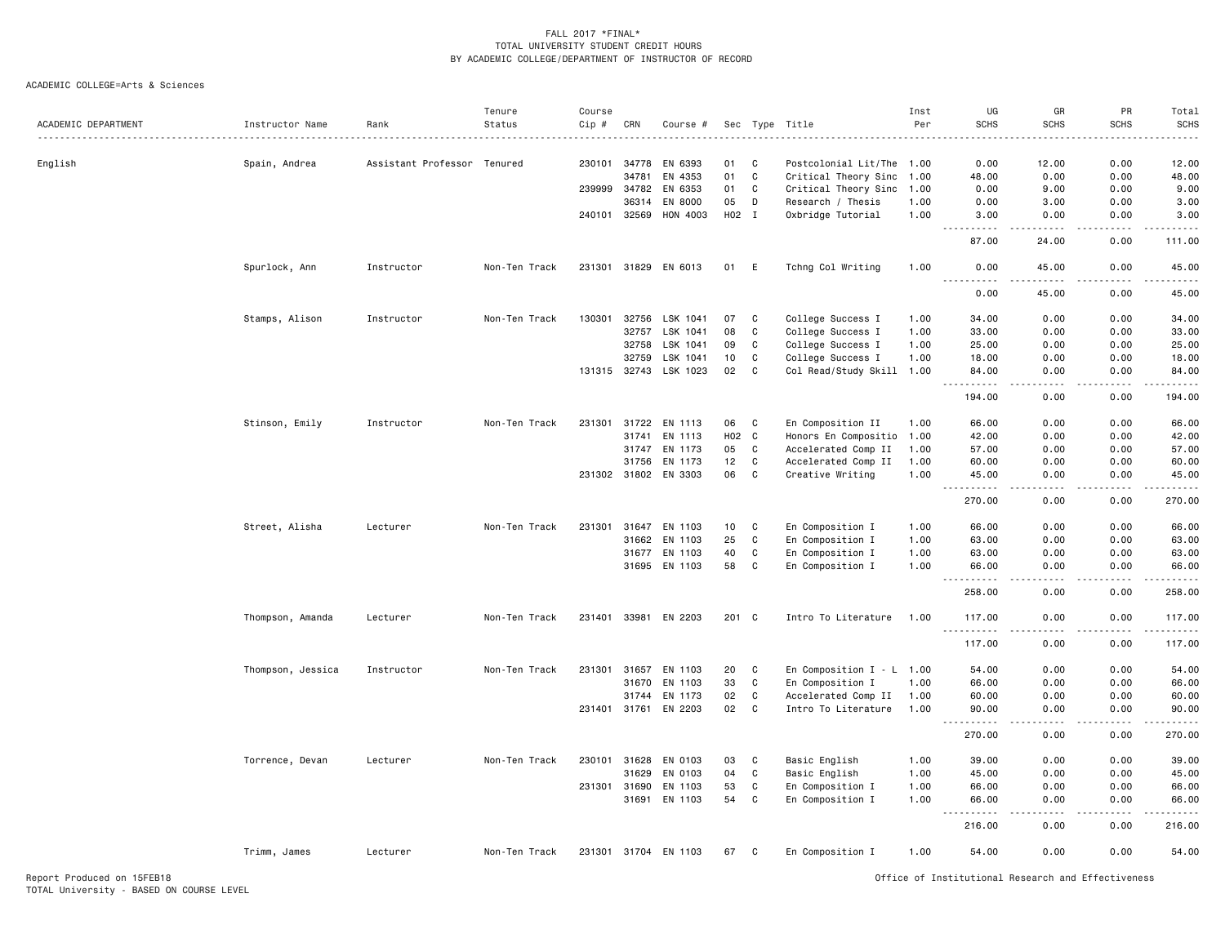| ACADEMIC DEPARTMENT | Instructor Name   | Rank                        | Tenure<br>Status | Course<br>Cip # | CRN          | Course #              |       |              | Sec Type Title              | Inst<br>Per | UG<br><b>SCHS</b>                                    | GR<br><b>SCHS</b> | PR<br><b>SCHS</b> | Total<br><b>SCHS</b> |
|---------------------|-------------------|-----------------------------|------------------|-----------------|--------------|-----------------------|-------|--------------|-----------------------------|-------------|------------------------------------------------------|-------------------|-------------------|----------------------|
|                     |                   |                             |                  |                 |              |                       |       |              |                             |             |                                                      |                   |                   |                      |
| English             | Spain, Andrea     | Assistant Professor Tenured |                  | 230101          | 34778        | EN 6393               | 01    | C            | Postcolonial Lit/The 1.00   |             | 0.00                                                 | 12.00             | 0.00              | 12.00                |
|                     |                   |                             |                  |                 | 34781        | EN 4353               | 01    | $\mathbf c$  | Critical Theory Sinc 1.00   |             | 48.00                                                | 0.00              | 0.00              | 48.00                |
|                     |                   |                             |                  | 239999          | 34782        | EN 6353               | 01    | C            | Critical Theory Sinc 1.00   |             | 0.00                                                 | 9.00              | 0.00              | 9.00                 |
|                     |                   |                             |                  |                 | 36314        | EN 8000               | 05    | D            | Research / Thesis           | 1.00        | 0.00                                                 | 3.00              | 0.00              | 3.00                 |
|                     |                   |                             |                  |                 | 240101 32569 | HON 4003              | H02 I |              | Oxbridge Tutorial           | 1.00        | 3.00<br>$\sim$ $\sim$ $\sim$<br>$\sim$ $\sim$ $\sim$ | 0.00              | 0.00              | 3.00<br>.            |
|                     |                   |                             |                  |                 |              |                       |       |              |                             |             | 87.00                                                | 24.00             | 0.00              | 111.00               |
|                     | Spurlock, Ann     | Instructor                  | Non-Ten Track    |                 |              | 231301 31829 EN 6013  | 01    | E            | Tchng Col Writing           | 1.00        | 0.00                                                 | 45.00             | 0.00              | 45.00                |
|                     |                   |                             |                  |                 |              |                       |       |              |                             |             | 0.00                                                 | 45.00             | 0.00              | 45.00                |
|                     | Stamps, Alison    | Instructor                  | Non-Ten Track    | 130301          | 32756        | LSK 1041              | 07    | C            | College Success I           | 1.00        | 34.00                                                | 0.00              | 0.00              | 34.00                |
|                     |                   |                             |                  |                 | 32757        | LSK 1041              | 08    | C            | College Success I           | 1.00        | 33.00                                                | 0.00              | 0.00              | 33.00                |
|                     |                   |                             |                  |                 | 32758        | LSK 1041              | 09    | C            | College Success I           | 1.00        | 25.00                                                | 0.00              | 0.00              | 25.00                |
|                     |                   |                             |                  |                 | 32759        | LSK 1041              | 10    | C            | College Success I           | 1.00        | 18.00                                                | 0.00              | 0.00              | 18.00                |
|                     |                   |                             |                  |                 |              | 131315 32743 LSK 1023 | 02    | C            | Col Read/Study Skill 1.00   |             | 84.00<br>$  -$<br>.                                  | 0.00<br>.         | 0.00<br>.         | 84.00<br>.           |
|                     |                   |                             |                  |                 |              |                       |       |              |                             |             | 194.00                                               | 0.00              | 0.00              | 194.00               |
|                     | Stinson, Emily    | Instructor                  | Non-Ten Track    |                 |              | 231301 31722 EN 1113  | 06    | C            | En Composition II           | 1.00        | 66.00                                                | 0.00              | 0.00              | 66.00                |
|                     |                   |                             |                  |                 | 31741        | EN 1113               | H02   | $\mathbf{C}$ | Honors En Compositio 1.00   |             | 42.00                                                | 0.00              | 0.00              | 42.00                |
|                     |                   |                             |                  |                 | 31747        | EN 1173               | 05    | C            | Accelerated Comp II         | 1.00        | 57.00                                                | 0.00              | 0.00              | 57.00                |
|                     |                   |                             |                  |                 | 31756        | EN 1173               | 12    | C            | Accelerated Comp II         | 1.00        | 60.00                                                | 0.00              | 0.00              | 60.00                |
|                     |                   |                             |                  |                 |              | 231302 31802 EN 3303  | 06    | C            | Creative Writing            | 1.00        | 45.00<br>$\sim$ $\sim$<br>.                          | 0.00<br>.         | 0.00<br>.         | 45.00<br>.           |
|                     |                   |                             |                  |                 |              |                       |       |              |                             |             | 270.00                                               | 0.00              | 0.00              | 270.00               |
|                     | Street, Alisha    | Lecturer                    | Non-Ten Track    |                 |              | 231301 31647 EN 1103  | 10    | C            | En Composition I            | 1.00        | 66.00                                                | 0.00              | 0.00              | 66.00                |
|                     |                   |                             |                  |                 | 31662        | EN 1103               | 25    | C            | En Composition I            | 1.00        | 63.00                                                | 0.00              | 0.00              | 63.00                |
|                     |                   |                             |                  |                 | 31677        | EN 1103               | 40    | C            | En Composition I            | 1.00        | 63.00                                                | 0.00              | 0.00              | 63.00                |
|                     |                   |                             |                  |                 |              | 31695 EN 1103         | 58    | C            | En Composition I            | 1.00        | 66.00                                                | 0.00              | 0.00              | 66.00                |
|                     |                   |                             |                  |                 |              |                       |       |              |                             |             | 258.00                                               | 0.00              | 0.00              | 258.00               |
|                     | Thompson, Amanda  | Lecturer                    | Non-Ten Track    |                 |              | 231401 33981 EN 2203  |       | 201 C        | Intro To Literature         | 1.00        | 117.00<br>$\sim$ $\sim$ $\sim$<br>.                  | 0.00<br>.         | 0.00<br>.         | 117.00<br>.          |
|                     |                   |                             |                  |                 |              |                       |       |              |                             |             | 117.00                                               | 0.00              | 0.00              | 117.00               |
|                     | Thompson, Jessica | Instructor                  | Non-Ten Track    |                 | 231301 31657 | EN 1103               | 20    | C            | En Composition $I - L$ 1.00 |             | 54.00                                                | 0.00              | 0.00              | 54.00                |
|                     |                   |                             |                  |                 | 31670        | EN 1103               | 33    | C            | En Composition I            | 1.00        | 66.00                                                | 0.00              | 0.00              | 66.00                |
|                     |                   |                             |                  |                 | 31744        | EN 1173               | 02    | C            | Accelerated Comp II         | 1.00        | 60.00                                                | 0.00              | 0.00              | 60.00                |
|                     |                   |                             |                  |                 |              | 231401 31761 EN 2203  | 02    | C            | Intro To Literature         | 1.00        | 90.00<br>.                                           | 0.00<br>.         | 0.00<br>.         | 90.00<br>.           |
|                     |                   |                             |                  |                 |              |                       |       |              |                             |             | 270.00                                               | 0.00              | 0.00              | 270.00               |
|                     | Torrence, Devan   | Lecturer                    | Non-Ten Track    |                 | 230101 31628 | EN 0103               | 03    | C            | Basic English               | 1.00        | 39.00                                                | 0.00              | 0.00              | 39.00                |
|                     |                   |                             |                  |                 | 31629        | EN 0103               | 04    | C            | Basic English               | 1.00        | 45.00                                                | 0.00              | 0.00              | 45.00                |
|                     |                   |                             |                  |                 | 231301 31690 | EN 1103               | 53    | C            | En Composition I            | 1.00        | 66.00                                                | 0.00              | 0.00              | 66.00                |
|                     |                   |                             |                  |                 | 31691        | EN 1103               | 54    | C            | En Composition I            | 1.00        | 66.00                                                | 0.00              | 0.00              | 66.00                |
|                     |                   |                             |                  |                 |              |                       |       |              |                             |             | 216.00                                               | 0.00              | 0.00              | 216.00               |
|                     | Trimm, James      | Lecturer                    | Non-Ten Track    |                 |              | 231301 31704 EN 1103  | 67    | C.           | En Composition I            | 1.00        | 54.00                                                | 0.00              | 0.00              | 54.00                |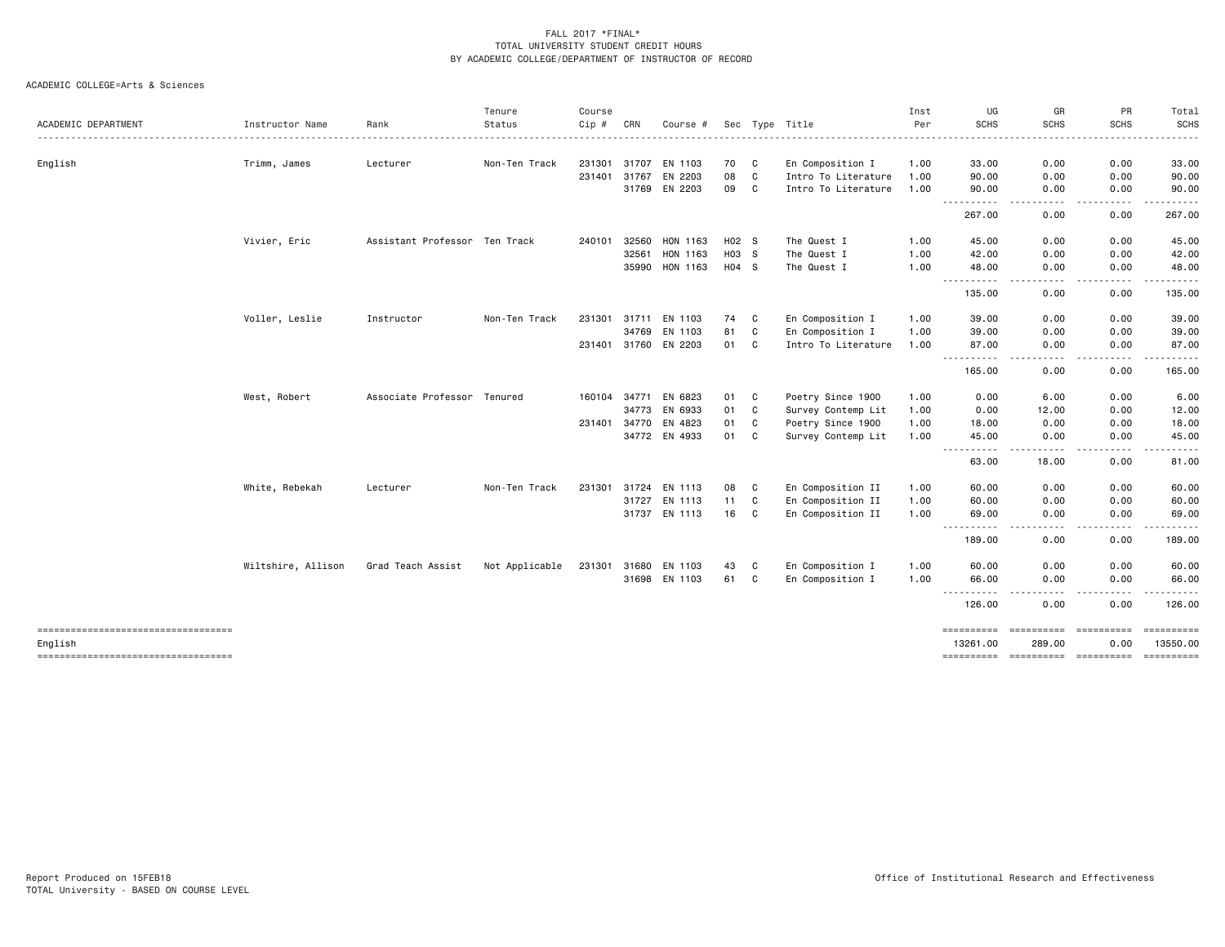| ACADEMIC DEPARTMENT                           | Instructor Name    | Rank                          | Tenure<br>Status | Course<br>Cip # | CRN          | Course #             |                   |              | Sec Type Title      | Inst<br>Per | UG<br><b>SCHS</b>                                                                                                                  | GR<br><b>SCHS</b> | PR<br>SCHS    | Total<br><b>SCHS</b> |
|-----------------------------------------------|--------------------|-------------------------------|------------------|-----------------|--------------|----------------------|-------------------|--------------|---------------------|-------------|------------------------------------------------------------------------------------------------------------------------------------|-------------------|---------------|----------------------|
|                                               |                    |                               |                  |                 |              |                      |                   |              |                     |             |                                                                                                                                    |                   |               |                      |
| English                                       | Trimm, James       | Lecturer                      | Non-Ten Track    | 231301          | 31707        | EN 1103              | 70                | C            | En Composition I    | 1.00        | 33.00                                                                                                                              | 0.00              | 0.00          | 33.00                |
|                                               |                    |                               |                  | 231401          | 31767        | EN 2203              | 08                | C            | Intro To Literature | 1.00        | 90.00                                                                                                                              | 0.00              | 0.00          | 90.00                |
|                                               |                    |                               |                  |                 |              | 31769 EN 2203        | 09                | $\mathbf{C}$ | Intro To Literature | 1.00        | 90.00<br>----------                                                                                                                | 0.00              | 0.00          | 90.00                |
|                                               |                    |                               |                  |                 |              |                      |                   |              |                     |             | 267.00                                                                                                                             | 0.00              | 0.00          | 267.00               |
|                                               | Vivier, Eric       | Assistant Professor Ten Track |                  |                 | 240101 32560 | HON 1163             | H02 S             |              | The Quest I         | 1.00        | 45.00                                                                                                                              | 0.00              | 0.00          | 45.00                |
|                                               |                    |                               |                  |                 | 32561        | HON 1163             | HO <sub>3</sub> S |              | The Quest I         | 1.00        | 42.00                                                                                                                              | 0.00              | 0.00          | 42.00                |
|                                               |                    |                               |                  |                 | 35990        | HON 1163             | H04 S             |              | The Quest I         | 1.00        | 48.00<br>$\frac{1}{2} \left( \frac{1}{2} \right) \left( \frac{1}{2} \right) \left( \frac{1}{2} \right) \left( \frac{1}{2} \right)$ | 0.00              | 0.00          | 48.00                |
|                                               |                    |                               |                  |                 |              |                      |                   |              |                     |             | 135.00                                                                                                                             | 0.00              | 0.00          | 135.00               |
|                                               | Voller, Leslie     | Instructor                    | Non-Ten Track    | 231301          |              | 31711 EN 1103        | 74                | C            | En Composition I    | 1.00        | 39.00                                                                                                                              | 0.00              | 0.00          | 39.00                |
|                                               |                    |                               |                  |                 | 34769        | EN 1103              | 81                | C            | En Composition I    | 1.00        | 39.00                                                                                                                              | 0.00              | 0.00          | 39.00                |
|                                               |                    |                               |                  |                 |              | 231401 31760 EN 2203 | 01                | C            | Intro To Literature | 1.00        | 87.00                                                                                                                              | 0.00              | 0.00          | 87.00                |
|                                               |                    |                               |                  |                 |              |                      |                   |              |                     |             | 165.00                                                                                                                             | 0.00              | 0.00          | 165.00               |
|                                               | West, Robert       | Associate Professor Tenured   |                  | 160104          | 34771        | EN 6823              | 01                | C            | Poetry Since 1900   | 1.00        | 0.00                                                                                                                               | 6.00              | 0.00          | 6.00                 |
|                                               |                    |                               |                  |                 |              | 34773 EN 6933        | 01                | C            | Survey Contemp Lit  | 1.00        | 0.00                                                                                                                               | 12.00             | 0.00          | 12.00                |
|                                               |                    |                               |                  |                 | 231401 34770 | EN 4823              | 01                | C            | Poetry Since 1900   | 1.00        | 18.00                                                                                                                              | 0.00              | 0.00          | 18.00                |
|                                               |                    |                               |                  |                 |              | 34772 EN 4933        | 01                | C            | Survey Contemp Lit  | 1.00        | 45.00<br>$\begin{array}{cccccccccccccc} \bullet & \bullet & \bullet & \bullet & \bullet & \bullet & \bullet \end{array}$<br>.      | 0.00              | 0.00          | 45.00                |
|                                               |                    |                               |                  |                 |              |                      |                   |              |                     |             | 63.00                                                                                                                              | 18.00             | 0.00          | 81.00                |
|                                               | White, Rebekah     | Lecturer                      | Non-Ten Track    | 231301          | 31724        | EN 1113              | 08                | C            | En Composition II   | 1.00        | 60.00                                                                                                                              | 0.00              | 0.00          | 60.00                |
|                                               |                    |                               |                  |                 | 31727        | EN 1113              | $11 -$            | C            | En Composition II   | 1.00        | 60.00                                                                                                                              | 0.00              | 0.00          | 60.00                |
|                                               |                    |                               |                  |                 |              | 31737 EN 1113        | 16 C              |              | En Composition II   | 1.00        | 69.00<br><b></b>                                                                                                                   | 0.00<br>-----     | 0.00<br>----- | 69.00<br>.           |
|                                               |                    |                               |                  |                 |              |                      |                   |              |                     |             | 189.00                                                                                                                             | 0.00              | 0.00          | 189.00               |
|                                               | Wiltshire, Allison | Grad Teach Assist             | Not Applicable   | 231301 31680    |              | EN 1103              | 43                | C            | En Composition I    | 1.00        | 60.00                                                                                                                              | 0.00              | 0.00          | 60.00                |
|                                               |                    |                               |                  |                 |              | 31698 EN 1103        | 61                | C            | En Composition I    | 1.00        | 66.00<br>.                                                                                                                         | 0.00              | 0.00          | 66.00                |
|                                               |                    |                               |                  |                 |              |                      |                   |              |                     |             | 126.00                                                                                                                             | 0.00              | 0.00          | 126.00               |
| ----------------------------------<br>English |                    |                               |                  |                 |              |                      |                   |              |                     |             | ==========<br>13261.00                                                                                                             | 289.00            | 0.00          | 13550.00             |
| ----------------------------------            |                    |                               |                  |                 |              |                      |                   |              |                     |             | ---------- ---------- ---------                                                                                                    |                   |               |                      |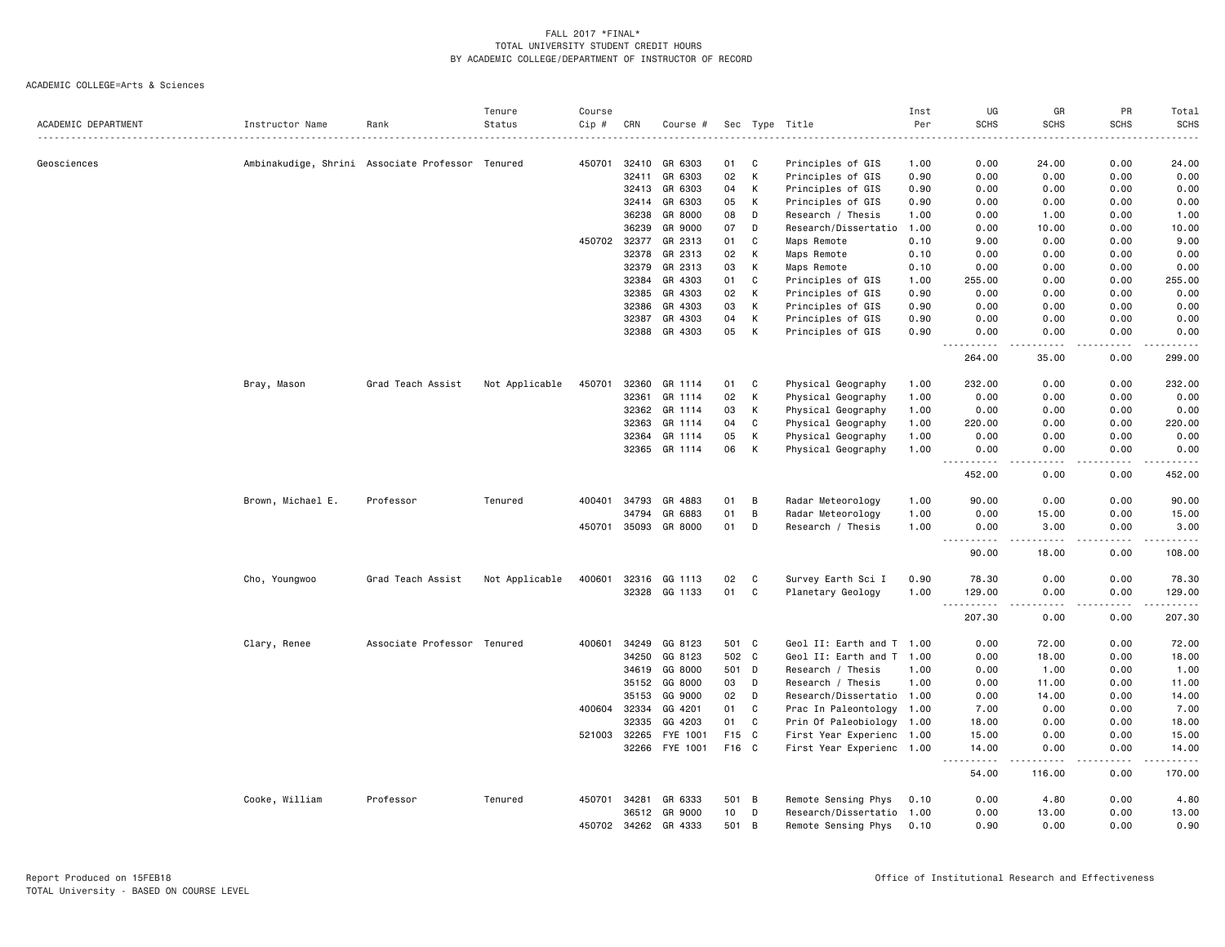| ACADEMIC DEPARTMENT | Instructor Name   | Rank                                             | Tenure<br>Status | Course<br>Cip # | CRN          | Course #      |                 |                | Sec Type Title            | Inst<br>Per | UG<br><b>SCHS</b>            | GR<br><b>SCHS</b>                                                                                               | PR<br><b>SCHS</b> | Total<br><b>SCHS</b>                                                                                                                                           |
|---------------------|-------------------|--------------------------------------------------|------------------|-----------------|--------------|---------------|-----------------|----------------|---------------------------|-------------|------------------------------|-----------------------------------------------------------------------------------------------------------------|-------------------|----------------------------------------------------------------------------------------------------------------------------------------------------------------|
|                     |                   |                                                  |                  |                 |              |               |                 |                |                           |             | .                            |                                                                                                                 |                   | .                                                                                                                                                              |
| Geosciences         |                   | Ambinakudige, Shrini Associate Professor Tenured |                  | 450701          | 32410        | GR 6303       | 01              | C              | Principles of GIS         | 1.00        | 0.00                         | 24.00                                                                                                           | 0.00              | 24.00                                                                                                                                                          |
|                     |                   |                                                  |                  |                 | 32411        | GR 6303       | 02              | К              | Principles of GIS         | 0.90        | 0.00                         | 0.00                                                                                                            | 0.00              | 0.00                                                                                                                                                           |
|                     |                   |                                                  |                  |                 | 32413        | GR 6303       | 04              | Κ              | Principles of GIS         | 0.90        | 0.00                         | 0.00                                                                                                            | 0.00              | 0.00                                                                                                                                                           |
|                     |                   |                                                  |                  |                 | 32414        | GR 6303       | 05              | К              | Principles of GIS         | 0.90        | 0.00                         | 0.00                                                                                                            | 0.00              | 0.00                                                                                                                                                           |
|                     |                   |                                                  |                  |                 | 36238        | GR 8000       | 08              | D              | Research / Thesis         | 1.00        | 0.00                         | 1.00                                                                                                            | 0.00              | 1.00                                                                                                                                                           |
|                     |                   |                                                  |                  |                 | 36239        | GR 9000       | 07              | D              | Research/Dissertatio      | 1.00        | 0.00                         | 10.00                                                                                                           | 0.00              | 10.00                                                                                                                                                          |
|                     |                   |                                                  |                  |                 | 450702 32377 | GR 2313       | 01              | C              | Maps Remote               | 0.10        | 9.00                         | 0.00                                                                                                            | 0.00              | 9.00                                                                                                                                                           |
|                     |                   |                                                  |                  |                 | 32378        | GR 2313       | 02              | К              | Maps Remote               | 0.10        | 0.00                         | 0.00                                                                                                            | 0.00              | 0.00                                                                                                                                                           |
|                     |                   |                                                  |                  |                 | 32379        | GR 2313       | 03              | К              | Maps Remote               | 0.10        | 0.00                         | 0.00                                                                                                            | 0.00              | 0.00                                                                                                                                                           |
|                     |                   |                                                  |                  |                 | 32384        | GR 4303       | 01              | C              | Principles of GIS         | 1.00        | 255.00                       | 0.00                                                                                                            | 0.00              | 255.00                                                                                                                                                         |
|                     |                   |                                                  |                  |                 | 32385        | GR 4303       | 02              | К              | Principles of GIS         | 0.90        | 0.00                         | 0.00                                                                                                            | 0.00              | 0.00                                                                                                                                                           |
|                     |                   |                                                  |                  |                 | 32386        | GR 4303       | 03              | К              | Principles of GIS         | 0.90        | 0.00                         | 0.00                                                                                                            | 0.00              | 0.00                                                                                                                                                           |
|                     |                   |                                                  |                  |                 | 32387        | GR 4303       | 04              | К              | Principles of GIS         | 0.90        | 0.00                         | 0.00                                                                                                            | 0.00              | 0.00                                                                                                                                                           |
|                     |                   |                                                  |                  |                 | 32388        | GR 4303       | 05              | К              | Principles of GIS         | 0.90        | 0.00<br>$- - - - -$<br>$  -$ | 0.00<br>.                                                                                                       | 0.00<br><u>.</u>  | 0.00<br>$- - - - -$                                                                                                                                            |
|                     |                   |                                                  |                  |                 |              |               |                 |                |                           |             | 264.00                       | 35.00                                                                                                           | 0.00              | 299.00                                                                                                                                                         |
|                     | Bray, Mason       | Grad Teach Assist                                | Not Applicable   | 450701          | 32360        | GR 1114       | 01              | C              | Physical Geography        | 1.00        | 232.00                       | 0.00                                                                                                            | 0.00              | 232.00                                                                                                                                                         |
|                     |                   |                                                  |                  |                 | 32361        | GR 1114       | 02              | К              | Physical Geography        | 1.00        | 0.00                         | 0.00                                                                                                            | 0.00              | 0.00                                                                                                                                                           |
|                     |                   |                                                  |                  |                 | 32362        | GR 1114       | 03              | K              | Physical Geography        | 1.00        | 0.00                         | 0.00                                                                                                            | 0.00              | 0.00                                                                                                                                                           |
|                     |                   |                                                  |                  |                 | 32363        | GR 1114       | 04              | C              | Physical Geography        | 1.00        | 220.00                       | 0.00                                                                                                            | 0.00              | 220.00                                                                                                                                                         |
|                     |                   |                                                  |                  |                 | 32364        | GR 1114       | 05              | К              | Physical Geography        | 1.00        | 0.00                         | 0.00                                                                                                            | 0.00              | 0.00                                                                                                                                                           |
|                     |                   |                                                  |                  |                 | 32365        | GR 1114       | 06              | К              | Physical Geography        | 1.00        | 0.00                         | 0.00                                                                                                            | 0.00              | 0.00                                                                                                                                                           |
|                     |                   |                                                  |                  |                 |              |               |                 |                |                           |             | .<br>- - -<br>452.00         | .<br>0.00                                                                                                       | -----<br>0.00     | $\frac{1}{2} \left( \frac{1}{2} \right) \left( \frac{1}{2} \right) \left( \frac{1}{2} \right) \left( \frac{1}{2} \right) \left( \frac{1}{2} \right)$<br>452.00 |
|                     | Brown, Michael E. | Professor                                        | Tenured          | 400401          | 34793        | GR 4883       | 01              | В              | Radar Meteorology         | 1.00        | 90.00                        | 0.00                                                                                                            | 0.00              | 90.00                                                                                                                                                          |
|                     |                   |                                                  |                  |                 | 34794        | GR 6883       | 01              | В              | Radar Meteorology         | 1.00        | 0.00                         | 15.00                                                                                                           | 0.00              | 15.00                                                                                                                                                          |
|                     |                   |                                                  |                  | 450701          | 35093        | GR 8000       | 01              | D              | Research / Thesis         | 1.00        | 0.00                         | 3.00                                                                                                            | 0.00              | 3.00                                                                                                                                                           |
|                     |                   |                                                  |                  |                 |              |               |                 |                |                           |             | $- - -$<br>.                 | $\begin{array}{cccccccccccccc} \bullet & \bullet & \bullet & \bullet & \bullet & \bullet & \bullet \end{array}$ | .                 | $\frac{1}{2} \left( \frac{1}{2} \right) \left( \frac{1}{2} \right) \left( \frac{1}{2} \right) \left( \frac{1}{2} \right) \left( \frac{1}{2} \right)$           |
|                     |                   |                                                  |                  |                 |              |               |                 |                |                           |             | 90.00                        | 18.00                                                                                                           | 0.00              | 108.00                                                                                                                                                         |
|                     | Cho, Youngwoo     | Grad Teach Assist                                | Not Applicable   | 400601          | 32316        | GG 1113       | 02              | C              | Survey Earth Sci I        | 0.90        | 78.30                        | 0.00                                                                                                            | 0.00              | 78.30                                                                                                                                                          |
|                     |                   |                                                  |                  |                 |              | 32328 GG 1133 | 01              | C              | Planetary Geology         | 1.00        | 129.00<br>.<br>$-$           | 0.00                                                                                                            | 0.00              | 129.00<br>.                                                                                                                                                    |
|                     |                   |                                                  |                  |                 |              |               |                 |                |                           |             | 207.30                       | 0.00                                                                                                            | 0.00              | 207.30                                                                                                                                                         |
|                     | Clary, Renee      | Associate Professor Tenured                      |                  | 400601          | 34249        | GG 8123       | 501 C           |                | Geol II: Earth and T 1.00 |             | 0.00                         | 72.00                                                                                                           | 0.00              | 72.00                                                                                                                                                          |
|                     |                   |                                                  |                  |                 | 34250        | GG 8123       | 502 C           |                | Geol II: Earth and T 1.00 |             | 0.00                         | 18.00                                                                                                           | 0.00              | 18.00                                                                                                                                                          |
|                     |                   |                                                  |                  |                 | 34619        | GG 8000       | 501 D           |                | Research / Thesis         | 1.00        | 0.00                         | 1.00                                                                                                            | 0.00              | 1.00                                                                                                                                                           |
|                     |                   |                                                  |                  |                 | 35152        | GG 8000       | 03              | D              | Research / Thesis         | 1.00        | 0.00                         | 11.00                                                                                                           | 0.00              | 11.00                                                                                                                                                          |
|                     |                   |                                                  |                  |                 | 35153        | GG 9000       | 02              | D              | Research/Dissertatio 1.00 |             | 0.00                         | 14.00                                                                                                           | 0.00              | 14.00                                                                                                                                                          |
|                     |                   |                                                  |                  | 400604          | 32334        | GG 4201       | 01              | C              | Prac In Paleontology 1.00 |             | 7.00                         | 0.00                                                                                                            | 0.00              | 7.00                                                                                                                                                           |
|                     |                   |                                                  |                  |                 | 32335        | GG 4203       | 01              | C              | Prin Of Paleobiology 1.00 |             | 18.00                        | 0.00                                                                                                            | 0.00              | 18.00                                                                                                                                                          |
|                     |                   |                                                  |                  | 521003          | 32265        | FYE 1001      | F <sub>15</sub> | $\mathbf{C}$   | First Year Experienc 1.00 |             | 15.00                        | 0.00                                                                                                            | 0.00              | 15.00                                                                                                                                                          |
|                     |                   |                                                  |                  |                 | 32266        | FYE 1001      | F16             | C <sub>1</sub> | First Year Experienc 1.00 |             | 14.00                        | 0.00                                                                                                            | 0.00              | 14.00                                                                                                                                                          |
|                     |                   |                                                  |                  |                 |              |               |                 |                |                           |             | 54.00                        | 116.00                                                                                                          | 0.00              | 170.00                                                                                                                                                         |
|                     | Cooke, William    | Professor                                        | Tenured          | 450701          | 34281        | GR 6333       | 501 B           |                | Remote Sensing Phys       | 0.10        | 0.00                         | 4.80                                                                                                            | 0.00              | 4.80                                                                                                                                                           |
|                     |                   |                                                  |                  |                 | 36512        | GR 9000       | 10 <sub>1</sub> | D              | Research/Dissertatio      | 1.00        | 0.00                         | 13.00                                                                                                           | 0.00              | 13.00                                                                                                                                                          |
|                     |                   |                                                  |                  |                 | 450702 34262 | GR 4333       | 501             | $\overline{B}$ | Remote Sensing Phys       | 0.10        | 0.90                         | 0.00                                                                                                            | 0.00              | 0.90                                                                                                                                                           |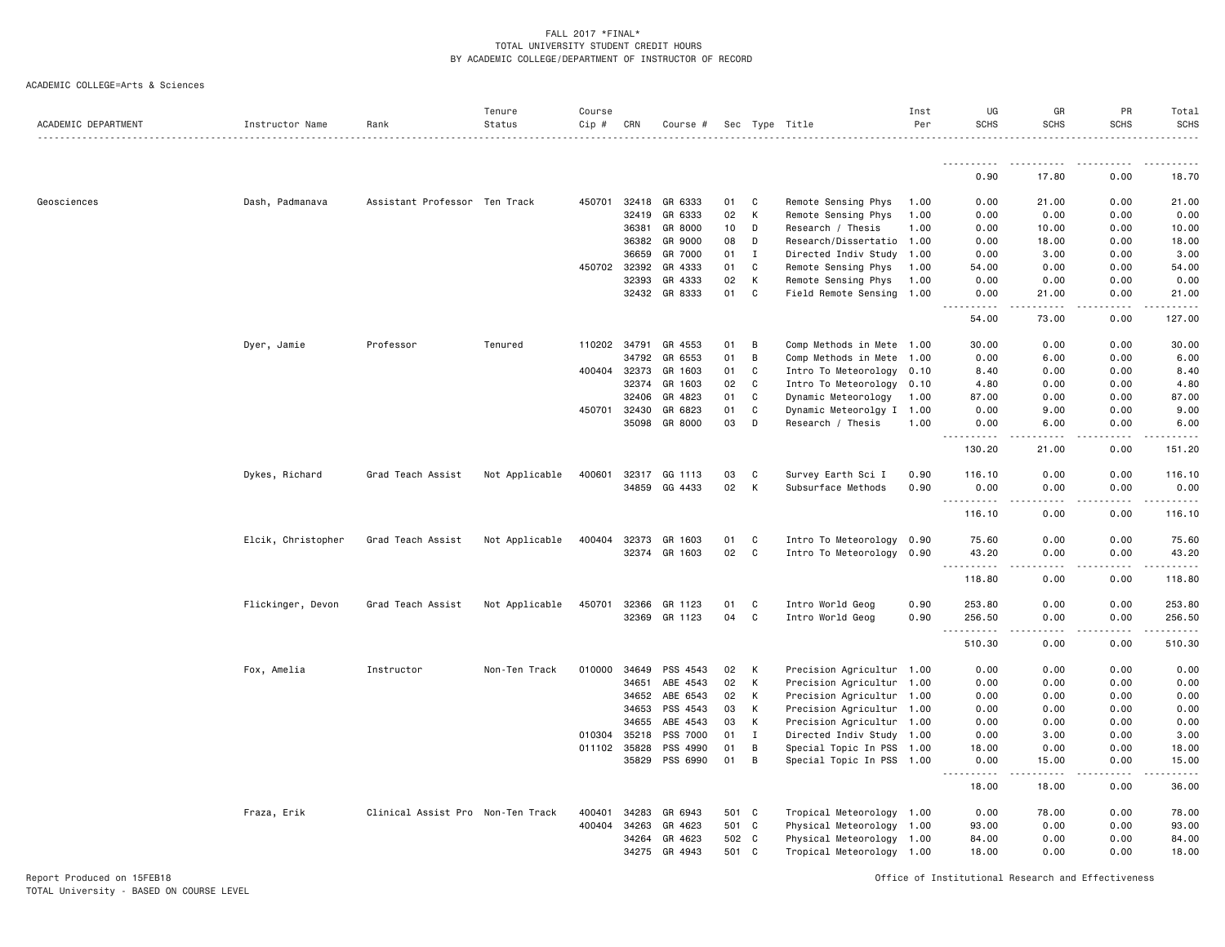| ACADEMIC DEPARTMENT | Instructor Name    | Rank                              | Tenure<br>Status | Course<br>Cip # | CRN          | Course #      |       |              | Sec Type Title            | Inst<br>Per | UG<br><b>SCHS</b>              | GR<br><b>SCHS</b> | PR<br><b>SCHS</b> | Total<br><b>SCHS</b> |
|---------------------|--------------------|-----------------------------------|------------------|-----------------|--------------|---------------|-------|--------------|---------------------------|-------------|--------------------------------|-------------------|-------------------|----------------------|
|                     |                    |                                   |                  |                 |              |               |       |              |                           |             |                                |                   |                   |                      |
|                     |                    |                                   |                  |                 |              |               |       |              |                           |             | 0.90                           | 17.80             | 0.00              | 18.70                |
| Geosciences         | Dash, Padmanava    | Assistant Professor Ten Track     |                  |                 | 450701 32418 | GR 6333       | 01    | C            | Remote Sensing Phys       | 1.00        | 0.00                           | 21.00             | 0.00              | 21.00                |
|                     |                    |                                   |                  |                 | 32419        | GR 6333       | 02    | К            | Remote Sensing Phys       | 1.00        | 0.00                           | 0.00              | 0.00              | 0.00                 |
|                     |                    |                                   |                  |                 | 36381        | GR 8000       | 10    | D            | Research / Thesis         | 1.00        | 0.00                           | 10.00             | 0.00              | 10.00                |
|                     |                    |                                   |                  |                 | 36382        | GR 9000       | 08    | D            | Research/Dissertatio      | 1.00        | 0.00                           | 18.00             | 0.00              | 18.00                |
|                     |                    |                                   |                  |                 | 36659        | GR 7000       | 01    | Ι.           | Directed Indiv Study      | 1.00        | 0.00                           | 3.00              | 0.00              | 3.00                 |
|                     |                    |                                   |                  |                 | 450702 32392 | GR 4333       | 01    | C            | Remote Sensing Phys       | 1.00        | 54.00                          | 0.00              | 0.00              | 54.00                |
|                     |                    |                                   |                  |                 | 32393        | GR 4333       | 02    | К            | Remote Sensing Phys       | 1.00        | 0.00                           | 0.00              | 0.00              | 0.00                 |
|                     |                    |                                   |                  |                 | 32432        | GR 8333       | 01    | C            | Field Remote Sensing      | 1.00        | 0.00                           | 21.00             | 0.00              | 21.00                |
|                     |                    |                                   |                  |                 |              |               |       |              |                           |             | .<br>54.00                     | .<br>73.00        | .<br>0.00         | 127.00               |
|                     | Dyer, Jamie        | Professor                         | Tenured          |                 | 110202 34791 | GR 4553       | 01    | B            | Comp Methods in Mete 1.00 |             | 30.00                          | 0.00              | 0.00              | 30.00                |
|                     |                    |                                   |                  |                 | 34792        | GR 6553       | 01    | В            | Comp Methods in Mete 1.00 |             | 0.00                           | 6.00              | 0.00              | 6.00                 |
|                     |                    |                                   |                  |                 | 400404 32373 | GR 1603       | 01    | C            | Intro To Meteorology      | 0.10        | 8.40                           | 0.00              | 0.00              | 8.40                 |
|                     |                    |                                   |                  |                 | 32374        | GR 1603       | 02    | C            | Intro To Meteorology      | 0.10        | 4.80                           | 0.00              | 0.00              | 4.80                 |
|                     |                    |                                   |                  |                 | 32406        | GR 4823       | 01    | C            | Dynamic Meteorology       | 1.00        | 87.00                          | 0.00              | 0.00              | 87.00                |
|                     |                    |                                   |                  |                 | 450701 32430 | GR 6823       | 01    | C            | Dynamic Meteorolgy I 1.00 |             | 0.00                           | 9.00              | 0.00              | 9.00                 |
|                     |                    |                                   |                  |                 | 35098        | GR 8000       | 03    | D            | Research / Thesis         | 1.00        | 0.00<br><u>.</u>               | 6.00<br>.         | 0.00<br>.         | 6.00<br><u>.</u>     |
|                     |                    |                                   |                  |                 |              |               |       |              |                           |             | 130.20                         | 21.00             | 0.00              | 151.20               |
|                     | Dykes, Richard     | Grad Teach Assist                 | Not Applicable   | 400601          | 32317        | GG 1113       | 03    | C            | Survey Earth Sci I        | 0.90        | 116.10                         | 0.00              | 0.00              | 116.10               |
|                     |                    |                                   |                  |                 | 34859        | GG 4433       | 02    | K            | Subsurface Methods        | 0.90        | 0.00<br>.                      | 0.00              | 0.00<br>.         | 0.00<br>.            |
|                     |                    |                                   |                  |                 |              |               |       |              |                           |             | 116.10                         | 0.00              | 0.00              | 116.10               |
|                     | Elcik, Christopher | Grad Teach Assist                 | Not Applicable   | 400404          | 32373        | GR 1603       | 01    | C            | Intro To Meteorology 0.90 |             | 75.60                          | 0.00              | 0.00              | 75.60                |
|                     |                    |                                   |                  |                 |              | 32374 GR 1603 | 02    | C            | Intro To Meteorology 0.90 |             | 43.20<br><u>.</u>              | 0.00<br>.         | 0.00<br>.         | 43.20<br>.           |
|                     |                    |                                   |                  |                 |              |               |       |              |                           |             | 118.80                         | 0.00              | 0.00              | 118.80               |
|                     | Flickinger, Devon  | Grad Teach Assist                 | Not Applicable   | 450701          | 32366        | GR 1123       | 01    | C            | Intro World Geog          | 0.90        | 253.80                         | 0.00              | 0.00              | 253.80               |
|                     |                    |                                   |                  |                 | 32369        | GR 1123       | 04    | C            | Intro World Geog          | 0.90        | 256.50<br>$\sim$ $\sim$ .<br>. | 0.00<br>.         | 0.00<br>.         | 256.50               |
|                     |                    |                                   |                  |                 |              |               |       |              |                           |             | 510.30                         | 0.00              | 0.00              | 510.30               |
|                     | Fox, Amelia        | Instructor                        | Non-Ten Track    |                 | 010000 34649 | PSS 4543      | 02    | К            | Precision Agricultur 1.00 |             | 0.00                           | 0.00              | 0.00              | 0.00                 |
|                     |                    |                                   |                  |                 | 34651        | ABE 4543      | 02    | К            | Precision Agricultur 1.00 |             | 0.00                           | 0.00              | 0.00              | 0.00                 |
|                     |                    |                                   |                  |                 | 34652        | ABE 6543      | 02    | К            | Precision Agricultur 1.00 |             | 0.00                           | 0.00              | 0.00              | 0.00                 |
|                     |                    |                                   |                  |                 | 34653        | PSS 4543      | 03    | к            | Precision Agricultur 1.00 |             | 0.00                           | 0.00              | 0.00              | 0.00                 |
|                     |                    |                                   |                  |                 | 34655        | ABE 4543      | 03    | К            | Precision Agricultur 1.00 |             | 0.00                           | 0.00              | 0.00              | 0.00                 |
|                     |                    |                                   |                  |                 | 010304 35218 | PSS 7000      | 01    | $\mathbf I$  | Directed Indiv Study 1.00 |             | 0.00                           | 3.00              | 0.00              | 3.00                 |
|                     |                    |                                   |                  |                 | 011102 35828 | PSS 4990      | 01    | B            | Special Topic In PSS 1.00 |             | 18.00                          | 0.00              | 0.00              | 18.00                |
|                     |                    |                                   |                  |                 | 35829        | PSS 6990      | 01    | B            | Special Topic In PSS 1.00 |             | 0.00<br>.                      | 15.00             | 0.00              | 15.00                |
|                     |                    |                                   |                  |                 |              |               |       |              |                           |             | 18.00                          | 18.00             | 0.00              | 36.00                |
|                     | Fraza, Erik        | Clinical Assist Pro Non-Ten Track |                  | 400401          | 34283        | GR 6943       | 501   | $\mathbf{C}$ | Tropical Meteorology 1.00 |             | 0.00                           | 78.00             | 0.00              | 78.00                |
|                     |                    |                                   |                  |                 | 400404 34263 | GR 4623       | 501 C |              | Physical Meteorology 1.00 |             | 93.00                          | 0.00              | 0.00              | 93.00                |
|                     |                    |                                   |                  |                 | 34264        | GR 4623       | 502 C |              | Physical Meteorology 1.00 |             | 84.00                          | 0.00              | 0.00              | 84.00                |
|                     |                    |                                   |                  |                 | 34275        | GR 4943       | 501   | $\mathbf{C}$ | Tropical Meteorology 1.00 |             | 18.00                          | 0.00              | 0.00              | 18.00                |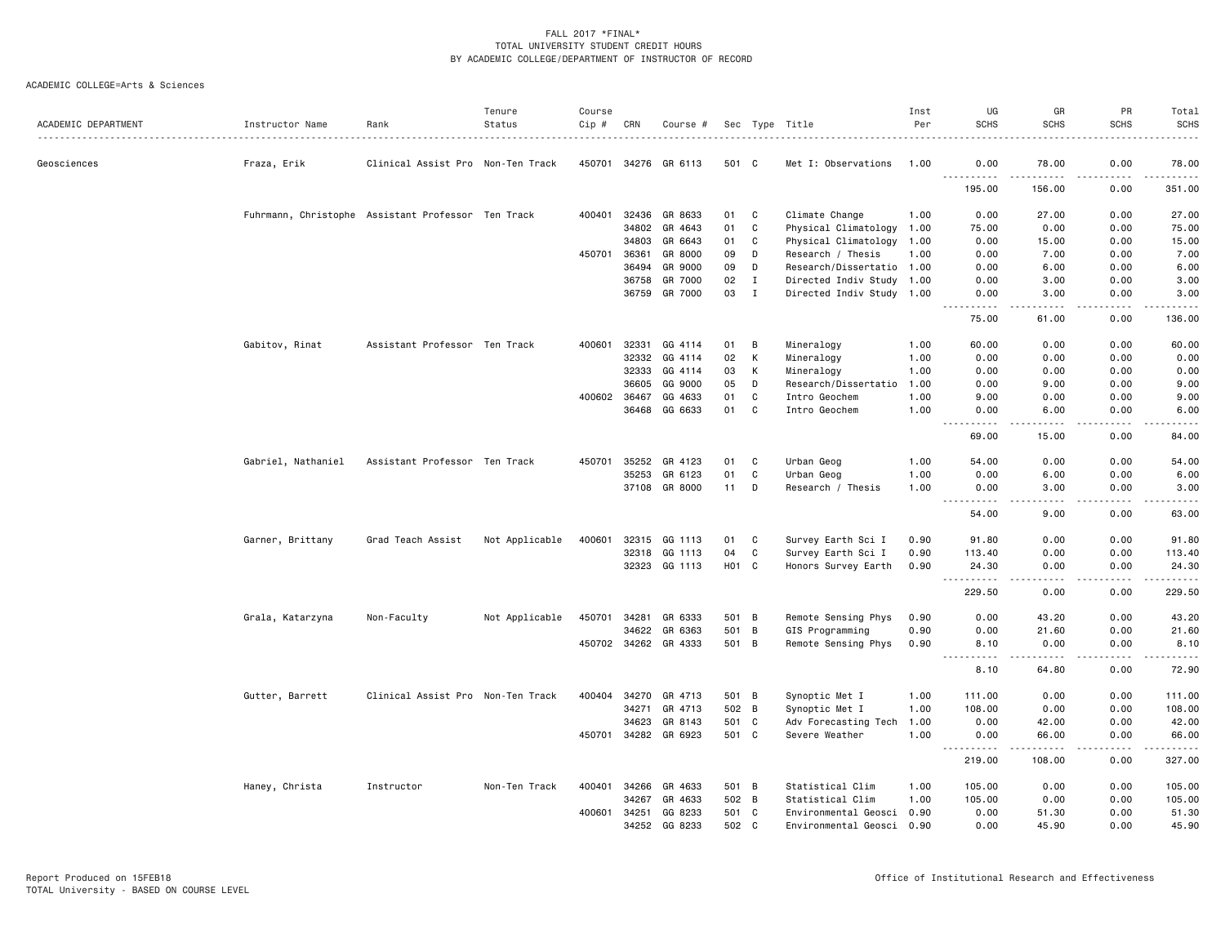| ACADEMIC DEPARTMENT | Instructor Name                                    | Rank                              | Tenure<br>Status | Course<br>Cip # | CRN          | Course #             |       |              | Sec Type Title            | Inst<br>Per | UG<br><b>SCHS</b>                   | GR<br><b>SCHS</b>                                                                                                                 | PR<br><b>SCHS</b>              | Total<br><b>SCHS</b>                                                                                                                                           |
|---------------------|----------------------------------------------------|-----------------------------------|------------------|-----------------|--------------|----------------------|-------|--------------|---------------------------|-------------|-------------------------------------|-----------------------------------------------------------------------------------------------------------------------------------|--------------------------------|----------------------------------------------------------------------------------------------------------------------------------------------------------------|
| Geosciences         | Fraza, Erik                                        | Clinical Assist Pro Non-Ten Track |                  | 450701          | 34276        | GR 6113              | 501 C |              | Met I: Observations       | 1.00        | 0.00                                | 78.00                                                                                                                             | 0.00                           | 78.00                                                                                                                                                          |
|                     |                                                    |                                   |                  |                 |              |                      |       |              |                           |             | .<br>195.00                         | .<br>156.00                                                                                                                       | .<br>0.00                      | $\frac{1}{2} \left( \frac{1}{2} \right) \left( \frac{1}{2} \right) \left( \frac{1}{2} \right) \left( \frac{1}{2} \right) \left( \frac{1}{2} \right)$<br>351.00 |
|                     | Fuhrmann, Christophe Assistant Professor Ten Track |                                   |                  | 400401          |              | 32436 GR 8633        | 01    | C            | Climate Change            | 1.00        | 0.00                                | 27.00                                                                                                                             | 0.00                           | 27.00                                                                                                                                                          |
|                     |                                                    |                                   |                  |                 | 34802        | GR 4643              | 01    | C            | Physical Climatology 1.00 |             | 75.00                               | 0.00                                                                                                                              | 0.00                           | 75.00                                                                                                                                                          |
|                     |                                                    |                                   |                  |                 | 34803        | GR 6643              | 01    | C            | Physical Climatology      | 1.00        | 0.00                                | 15.00                                                                                                                             | 0.00                           | 15.00                                                                                                                                                          |
|                     |                                                    |                                   |                  | 450701          | 36361        | GR 8000              | 09    | D            | Research / Thesis         | 1.00        | 0.00                                | 7.00                                                                                                                              | 0.00                           | 7.00                                                                                                                                                           |
|                     |                                                    |                                   |                  |                 | 36494        | GR 9000              | 09    | D            | Research/Dissertatio 1.00 |             | 0.00                                | 6.00                                                                                                                              | 0.00                           | 6.00                                                                                                                                                           |
|                     |                                                    |                                   |                  |                 | 36758        | GR 7000              | 02    | I            | Directed Indiv Study 1.00 |             | 0.00                                | 3.00                                                                                                                              | 0.00                           | 3.00                                                                                                                                                           |
|                     |                                                    |                                   |                  |                 |              | 36759 GR 7000        | 03    | I            | Directed Indiv Study 1.00 |             | 0.00<br>.                           | 3.00<br>.                                                                                                                         | 0.00<br>.                      | 3.00<br>.                                                                                                                                                      |
|                     |                                                    |                                   |                  |                 |              |                      |       |              |                           |             | 75.00                               | 61.00                                                                                                                             | 0.00                           | 136.00                                                                                                                                                         |
|                     | Gabitov, Rinat                                     | Assistant Professor Ten Track     |                  | 400601          | 32331        | GG 4114              | 01    | В            | Mineralogy                | 1.00        | 60.00                               | 0.00                                                                                                                              | 0.00                           | 60.00                                                                                                                                                          |
|                     |                                                    |                                   |                  |                 | 32332        | GG 4114              | 02    | K            | Mineralogy                | 1.00        | 0.00                                | 0.00                                                                                                                              | 0.00                           | 0.00                                                                                                                                                           |
|                     |                                                    |                                   |                  |                 | 32333        | GG 4114              | 03    | Κ            | Mineralogy                | 1.00        | 0.00                                | 0.00                                                                                                                              | 0.00                           | 0.00                                                                                                                                                           |
|                     |                                                    |                                   |                  |                 | 36605        | GG 9000              | 05    | D            | Research/Dissertatio      | 1.00        | 0.00                                | 9.00                                                                                                                              | 0.00                           | 9.00                                                                                                                                                           |
|                     |                                                    |                                   |                  |                 | 400602 36467 | GG 4633              | 01    | C            | Intro Geochem             | 1.00        | 9.00                                | 0.00                                                                                                                              | 0.00                           | 9.00                                                                                                                                                           |
|                     |                                                    |                                   |                  |                 | 36468        | GG 6633              | 01    | C            | Intro Geochem             | 1.00        | 0.00<br>$\frac{1}{2}$               | 6.00<br>$\sim$ $\sim$ $\sim$ $\sim$                                                                                               | 0.00<br>.                      | 6.00<br>.                                                                                                                                                      |
|                     |                                                    |                                   |                  |                 |              |                      |       |              |                           |             | 69.00                               | 15.00                                                                                                                             | 0.00                           | 84.00                                                                                                                                                          |
|                     | Gabriel, Nathaniel                                 | Assistant Professor Ten Track     |                  | 450701          | 35252        | GR 4123              | 01    | C            | Urban Geog                | 1.00        | 54.00                               | 0.00                                                                                                                              | 0.00                           | 54.00                                                                                                                                                          |
|                     |                                                    |                                   |                  |                 | 35253        | GR 6123              | 01    | C            | Urban Geog                | 1.00        | 0.00                                | 6.00                                                                                                                              | 0.00                           | 6.00                                                                                                                                                           |
|                     |                                                    |                                   |                  |                 |              | 37108 GR 8000        | 11    | D            | Research / Thesis         | 1.00        | 0.00<br>.                           | 3.00<br>$\frac{1}{2} \left( \frac{1}{2} \right) \left( \frac{1}{2} \right) \left( \frac{1}{2} \right) \left( \frac{1}{2} \right)$ | 0.00<br>.                      | 3.00<br>الماليات المالية                                                                                                                                       |
|                     |                                                    |                                   |                  |                 |              |                      |       |              |                           |             | 54.00                               | 9.00                                                                                                                              | 0.00                           | 63.00                                                                                                                                                          |
|                     | Garner, Brittany                                   | Grad Teach Assist                 | Not Applicable   | 400601          | 32315        | GG 1113              | 01    | C            | Survey Earth Sci I        | 0.90        | 91.80                               | 0.00                                                                                                                              | 0.00                           | 91.80                                                                                                                                                          |
|                     |                                                    |                                   |                  |                 | 32318        | GG 1113              | 04    | C            | Survey Earth Sci I        | 0.90        | 113.40                              | 0.00                                                                                                                              | 0.00                           | 113.40                                                                                                                                                         |
|                     |                                                    |                                   |                  |                 |              | 32323 GG 1113        | H01 C |              | Honors Survey Earth       | 0.90        | 24.30<br>.<br>$\sim$ $\sim$         | 0.00<br>$\sim$ $\sim$ $\sim$                                                                                                      | 0.00<br><b><i><u>.</u></i></b> | 24.30<br>.                                                                                                                                                     |
|                     |                                                    |                                   |                  |                 |              |                      |       |              |                           |             | 229.50                              | 0.00                                                                                                                              | 0.00                           | 229.50                                                                                                                                                         |
|                     | Grala, Katarzyna                                   | Non-Faculty                       | Not Applicable   | 450701          | 34281        | GR 6333              | 501   | B            | Remote Sensing Phys       | 0.90        | 0.00                                | 43.20                                                                                                                             | 0.00                           | 43.20                                                                                                                                                          |
|                     |                                                    |                                   |                  |                 | 34622        | GR 6363              | 501   | B            | GIS Programming           | 0.90        | 0.00                                | 21.60                                                                                                                             | 0.00                           | 21.60                                                                                                                                                          |
|                     |                                                    |                                   |                  |                 |              | 450702 34262 GR 4333 | 501 B |              | Remote Sensing Phys       | 0.90        | 8.10<br>$\sim$ $\sim$ $\sim$ $\sim$ | 0.00<br>.                                                                                                                         | 0.00<br>-----                  | 8.10<br>.                                                                                                                                                      |
|                     |                                                    |                                   |                  |                 |              |                      |       |              |                           |             | 8.10                                | 64.80                                                                                                                             | 0.00                           | 72.90                                                                                                                                                          |
|                     | Gutter, Barrett                                    | Clinical Assist Pro Non-Ten Track |                  | 400404          | 34270        | GR 4713              | 501 B |              | Synoptic Met I            | 1.00        | 111.00                              | 0.00                                                                                                                              | 0.00                           | 111.00                                                                                                                                                         |
|                     |                                                    |                                   |                  |                 | 34271        | GR 4713              | 502 B |              | Synoptic Met I            | 1.00        | 108.00                              | 0.00                                                                                                                              | 0.00                           | 108.00                                                                                                                                                         |
|                     |                                                    |                                   |                  |                 | 34623        | GR 8143              | 501   | $\mathbf{C}$ | Adv Forecasting Tech      | 1.00        | 0.00                                | 42.00                                                                                                                             | 0.00                           | 42.00                                                                                                                                                          |
|                     |                                                    |                                   |                  | 450701          |              | 34282 GR 6923        | 501 C |              | Severe Weather            | 1.00        | 0.00<br><u>.</u>                    | 66.00<br>-----                                                                                                                    | 0.00<br>.                      | 66.00<br>.                                                                                                                                                     |
|                     |                                                    |                                   |                  |                 |              |                      |       |              |                           |             | 219.00                              | 108.00                                                                                                                            | 0.00                           | 327.00                                                                                                                                                         |
|                     | Haney, Christa                                     | Instructor                        | Non-Ten Track    | 400401          | 34266        | GR 4633              | 501 B |              | Statistical Clim          | 1.00        | 105.00                              | 0.00                                                                                                                              | 0.00                           | 105.00                                                                                                                                                         |
|                     |                                                    |                                   |                  |                 | 34267        | GR 4633              | 502 B |              | Statistical Clim          | 1.00        | 105.00                              | 0.00                                                                                                                              | 0.00                           | 105.00                                                                                                                                                         |
|                     |                                                    |                                   |                  | 400601          | 34251        | GG 8233              | 501   | C            | Environmental Geosci 0.90 |             | 0.00                                | 51.30                                                                                                                             | 0.00                           | 51.30                                                                                                                                                          |
|                     |                                                    |                                   |                  |                 | 34252        | GG 8233              | 502 C |              | Environmental Geosci 0.90 |             | 0.00                                | 45.90                                                                                                                             | 0.00                           | 45.90                                                                                                                                                          |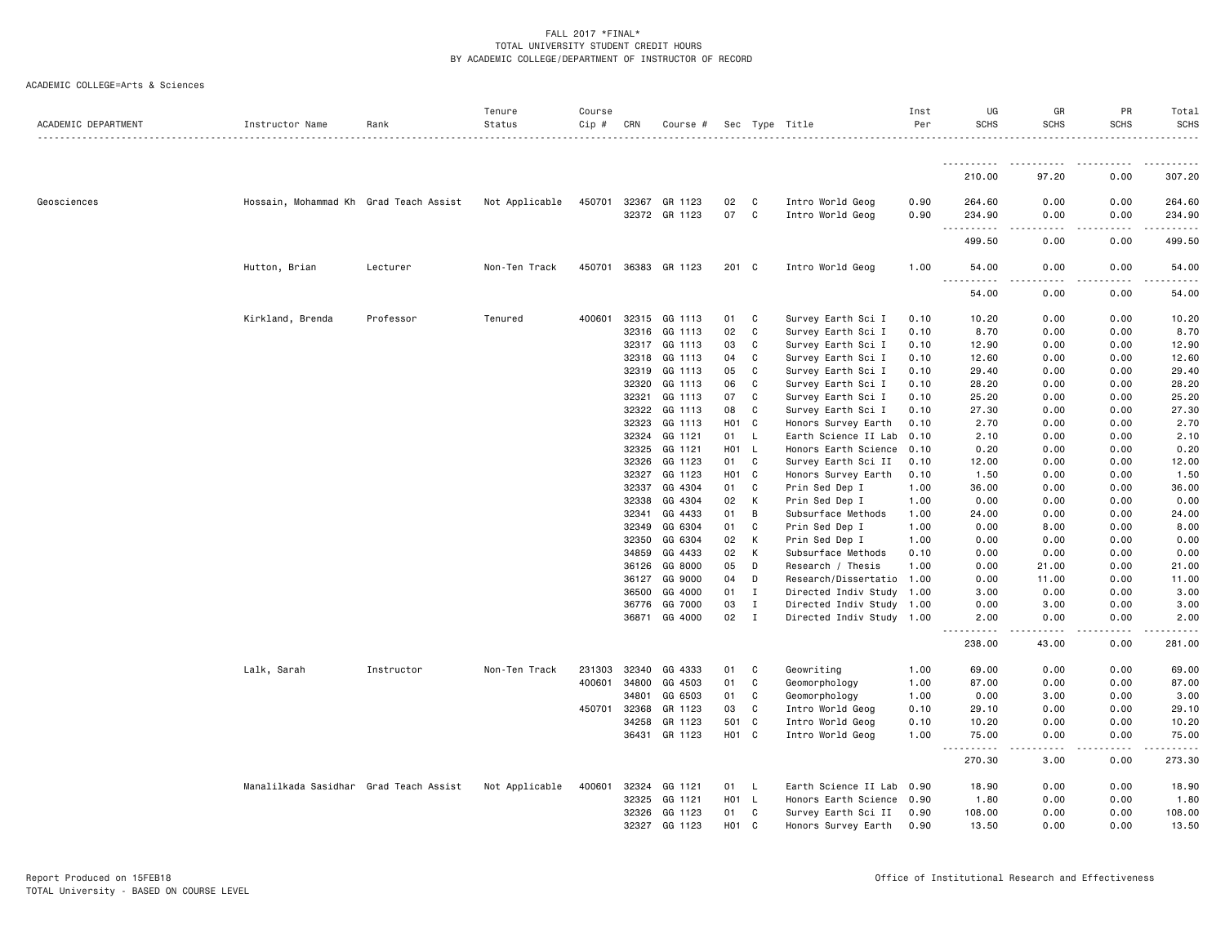| ACADEMIC DEPARTMENT | Instructor Name                        | Rank       | Tenure<br>Status | Course<br>$Cip$ # | CRN   | Course #      |                   |             | Sec Type Title            | Inst<br>Per | UG<br><b>SCHS</b>               | GR<br><b>SCHS</b> | PR<br><b>SCHS</b> | Total<br>SCHS |
|---------------------|----------------------------------------|------------|------------------|-------------------|-------|---------------|-------------------|-------------|---------------------------|-------------|---------------------------------|-------------------|-------------------|---------------|
|                     |                                        |            |                  |                   |       |               |                   |             |                           |             |                                 |                   |                   |               |
|                     |                                        |            |                  |                   |       |               |                   |             |                           |             | 210.00                          | 97.20             | 0.00              | 307.20        |
| Geosciences         | Hossain, Mohammad Kh Grad Teach Assist |            | Not Applicable   | 450701            | 32367 | GR 1123       | 02                | C           | Intro World Geog          | 0.90        | 264.60                          | 0.00              | 0.00              | 264.60        |
|                     |                                        |            |                  |                   | 32372 | GR 1123       | 07                | C           | Intro World Geog          | 0.90        | 234.90<br>. <b>.</b><br>$- - -$ | 0.00<br>.         | 0.00<br>.         | 234.90<br>.   |
|                     |                                        |            |                  |                   |       |               |                   |             |                           |             | 499.50                          | 0.00              | 0.00              | 499.50        |
|                     | Hutton, Brian                          | Lecturer   | Non-Ten Track    | 450701            |       | 36383 GR 1123 | 201 C             |             | Intro World Geog          | 1.00        | 54.00                           | 0.00              | 0.00              | 54.00         |
|                     |                                        |            |                  |                   |       |               |                   |             |                           |             | 54.00                           | 0.00              | 0.00              | 54.00         |
|                     | Kirkland, Brenda                       | Professor  | Tenured          | 400601            | 32315 | GG 1113       | 01                | C           | Survey Earth Sci I        | 0.10        | 10.20                           | 0.00              | 0.00              | 10.20         |
|                     |                                        |            |                  |                   | 32316 | GG 1113       | 02                | C           | Survey Earth Sci I        | 0.10        | 8.70                            | 0.00              | 0.00              | 8.70          |
|                     |                                        |            |                  |                   | 32317 | GG 1113       | 03                | C           | Survey Earth Sci I        | 0.10        | 12.90                           | 0.00              | 0.00              | 12.90         |
|                     |                                        |            |                  |                   | 32318 | GG 1113       | 04                | C           | Survey Earth Sci I        | 0.10        | 12.60                           | 0.00              | 0.00              | 12.60         |
|                     |                                        |            |                  |                   | 32319 | GG 1113       | 05                | C           | Survey Earth Sci I        | 0.10        | 29,40                           | 0.00              | 0.00              | 29.40         |
|                     |                                        |            |                  |                   | 32320 | GG 1113       | 06                | C           | Survey Earth Sci I        | 0.10        | 28.20                           | 0.00              | 0.00              | 28.20         |
|                     |                                        |            |                  |                   | 32321 | GG 1113       | 07                | C           | Survey Earth Sci I        | 0.10        | 25.20                           | 0.00              | 0.00              | 25.20         |
|                     |                                        |            |                  |                   | 32322 | GG 1113       | 08                | C           | Survey Earth Sci I        | 0.10        | 27.30                           | 0.00              | 0.00              | 27.30         |
|                     |                                        |            |                  |                   | 32323 | GG 1113       | H01 C             |             | Honors Survey Earth       | 0.10        | 2.70                            | 0.00              | 0.00              | 2.70          |
|                     |                                        |            |                  |                   | 32324 | GG 1121       | 01                | L           | Earth Science II Lab      | 0.10        | 2.10                            | 0.00              | 0.00              | 2.10          |
|                     |                                        |            |                  |                   | 32325 | GG 1121       | H01 L             |             | Honors Earth Science      | 0.10        | 0.20                            | 0.00              | 0.00              | 0.20          |
|                     |                                        |            |                  |                   | 32326 | GG 1123       | 01                | C           | Survey Earth Sci II       | 0.10        | 12.00                           | 0.00              | 0.00              | 12.00         |
|                     |                                        |            |                  |                   | 32327 | GG 1123       | H01 C             |             |                           | 0.10        | 1.50                            | 0.00              | 0.00              | 1.50          |
|                     |                                        |            |                  |                   |       |               |                   |             | Honors Survey Earth       |             |                                 |                   |                   |               |
|                     |                                        |            |                  |                   | 32337 | GG 4304       | 01                | C           | Prin Sed Dep I            | 1.00        | 36.00                           | 0.00              | 0.00              | 36.00         |
|                     |                                        |            |                  |                   | 32338 | GG 4304       | 02                | K           | Prin Sed Dep I            | 1.00        | 0.00                            | 0.00              | 0.00              | 0.00          |
|                     |                                        |            |                  |                   | 32341 | GG 4433       | 01                | B           | Subsurface Methods        | 1.00        | 24.00                           | 0.00              | 0.00              | 24.00         |
|                     |                                        |            |                  |                   | 32349 | GG 6304       | 01                | C           | Prin Sed Dep I            | 1.00        | 0.00                            | 8.00              | 0.00              | 8.00          |
|                     |                                        |            |                  |                   | 32350 | GG 6304       | 02                | к           | Prin Sed Dep I            | 1.00        | 0.00                            | 0.00              | 0.00              | 0.00          |
|                     |                                        |            |                  |                   | 34859 | GG 4433       | 02                | K           | Subsurface Methods        | 0.10        | 0.00                            | 0.00              | 0.00              | 0.00          |
|                     |                                        |            |                  |                   | 36126 | GG 8000       | 05                | D           | Research / Thesis         | 1.00        | 0.00                            | 21.00             | 0.00              | 21.00         |
|                     |                                        |            |                  |                   | 36127 | GG 9000       | 04                | D           | Research/Dissertatio      | 1.00        | 0.00                            | 11.00             | 0.00              | 11.00         |
|                     |                                        |            |                  |                   | 36500 | GG 4000       | 01                | $\mathbf I$ | Directed Indiv Study      | 1.00        | 3.00                            | 0.00              | 0.00              | 3.00          |
|                     |                                        |            |                  |                   | 36776 | GG 7000       | 03                | $\mathbf I$ | Directed Indiv Study      | 1.00        | 0.00                            | 3.00              | 0.00              | 3.00          |
|                     |                                        |            |                  |                   | 36871 | GG 4000       | 02                | I           | Directed Indiv Study 1.00 |             | 2.00<br>.                       | 0.00              | 0.00              | 2.00          |
|                     |                                        |            |                  |                   |       |               |                   |             |                           |             | 238.00                          | 43.00             | 0.00              | 281.00        |
|                     | Lalk, Sarah                            | Instructor | Non-Ten Track    | 231303            | 32340 | GG 4333       | 01                | C           | Geowriting                | 1.00        | 69.00                           | 0.00              | 0.00              | 69.00         |
|                     |                                        |            |                  | 400601            | 34800 | GG 4503       | 01                | C           | Geomorphology             | 1.00        | 87.00                           | 0.00              | 0.00              | 87.00         |
|                     |                                        |            |                  |                   | 34801 | GG 6503       | 01                | C           | Geomorphology             | 1.00        | 0.00                            | 3.00              | 0.00              | 3.00          |
|                     |                                        |            |                  | 450701            | 32368 | GR 1123       | 03                | C           | Intro World Geog          | 0.10        | 29.10                           | 0.00              | 0.00              | 29.10         |
|                     |                                        |            |                  |                   | 34258 | GR 1123       | 501 C             |             | Intro World Geog          | 0.10        | 10.20                           | 0.00              | 0.00              | 10.20         |
|                     |                                        |            |                  |                   | 36431 | GR 1123       | H <sub>01</sub> C |             | Intro World Geog          | 1.00        | 75.00<br>$- - - -$              | 0.00              | 0.00              | 75.00         |
|                     |                                        |            |                  |                   |       |               |                   |             |                           |             | 270.30                          | 3.00              | 0.00              | 273.30        |
|                     | Manalilkada Sasidhar Grad Teach Assist |            | Not Applicable   | 400601            | 32324 | GG 1121       | 01                | -L          | Earth Science II Lab      | 0.90        | 18.90                           | 0.00              | 0.00              | 18.90         |
|                     |                                        |            |                  |                   | 32325 | GG 1121       | H01 L             |             | Honors Earth Science 0.90 |             | 1.80                            | 0.00              | 0.00              | 1.80          |
|                     |                                        |            |                  |                   | 32326 | GG 1123       | 01                | C           | Survey Earth Sci II       | 0.90        | 108.00                          | 0.00              | 0.00              | 108.00        |
|                     |                                        |            |                  |                   |       | 32327 GG 1123 | H01 C             |             | Honors Survey Earth       | 0.90        | 13.50                           | 0.00              | 0.00              | 13.50         |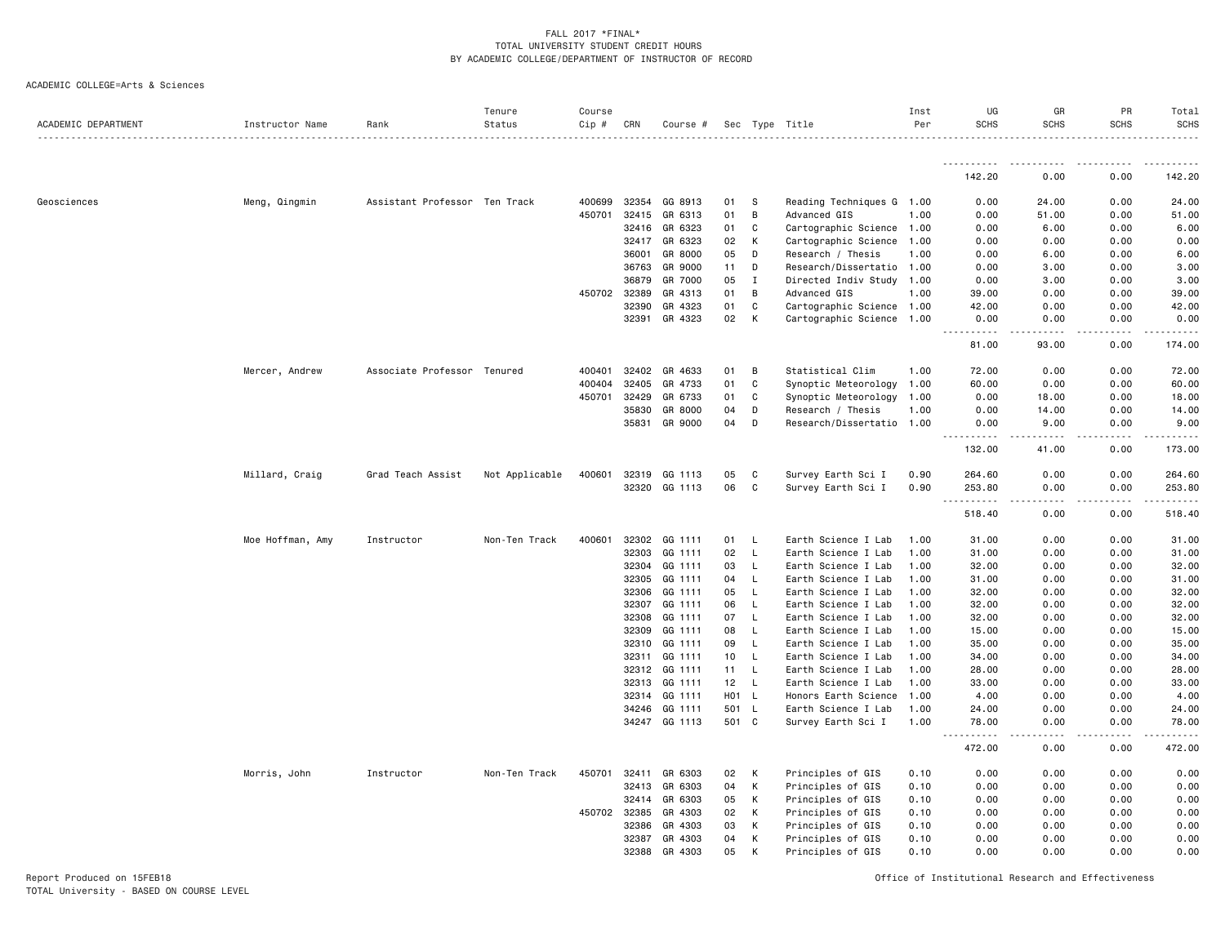ACADEMIC COLLEGE=Arts & Sciences

| ACADEMIC DEPARTMENT | Instructor Name  | Rank                          | Tenure<br>Status | Course<br>Cip # | CRN            | Course #           |          |              | Sec Type Title                              | Inst<br>Per  | UG<br><b>SCHS</b>                 | GR<br><b>SCHS</b> | PR<br><b>SCHS</b> | Total<br><b>SCHS</b>    |
|---------------------|------------------|-------------------------------|------------------|-----------------|----------------|--------------------|----------|--------------|---------------------------------------------|--------------|-----------------------------------|-------------------|-------------------|-------------------------|
|                     |                  |                               |                  |                 |                |                    |          |              |                                             |              | .                                 |                   |                   |                         |
|                     |                  |                               |                  |                 |                |                    |          |              |                                             |              | 142.20                            | 0.00              | 0.00              | 142.20                  |
| Geosciences         | Meng, Qingmin    | Assistant Professor Ten Track |                  | 400699          | 32354          | GG 8913            | 01       | s            | Reading Techniques G 1.00                   |              | 0.00                              | 24.00             | 0.00              | 24.00                   |
|                     |                  |                               |                  | 450701          | 32415          | GR 6313            | 01       | B            | Advanced GIS                                | 1.00         | 0.00                              | 51.00             | 0.00              | 51.00                   |
|                     |                  |                               |                  |                 | 32416          | GR 6323            | 01       | C            | Cartographic Science 1.00                   |              | 0.00                              | 6.00              | 0.00              | 6.00                    |
|                     |                  |                               |                  |                 | 32417          | GR 6323            | 02       | К            | Cartographic Science                        | 1.00         | 0.00                              | 0.00              | 0.00              | 0.00                    |
|                     |                  |                               |                  |                 | 36001          | GR 8000            | 05       | D            | Research / Thesis                           | 1.00         | 0.00                              | 6.00              | 0.00              | 6.00                    |
|                     |                  |                               |                  |                 | 36763          | GR 9000            | 11       | D            | Research/Dissertatio 1.00                   |              | 0.00                              | 3.00              | 0.00              | 3.00                    |
|                     |                  |                               |                  |                 | 36879          | GR 7000            | 05       | I            | Directed Indiv Study                        | 1.00         | 0.00                              | 3.00              | 0.00              | 3.00                    |
|                     |                  |                               |                  | 450702          | 32389          | GR 4313            | 01       | В            | Advanced GIS                                | 1.00         | 39.00                             | 0.00              | 0.00              | 39.00                   |
|                     |                  |                               |                  |                 | 32390          | GR 4323            | 01       | C            | Cartographic Science 1.00                   |              | 42.00                             | 0.00              | 0.00              | 42.00                   |
|                     |                  |                               |                  |                 | 32391          | GR 4323            | 02       | K            | Cartographic Science 1.00                   |              | 0.00<br>$- - - - -$               | 0.00<br><u>.</u>  | 0.00<br>.         | 0.00<br>$- - - - -$     |
|                     |                  |                               |                  |                 |                |                    |          |              |                                             |              | 81.00                             | 93.00             | 0.00              | 174.00                  |
|                     | Mercer, Andrew   | Associate Professor Tenured   |                  | 400401          | 32402          | GR 4633            | 01       | В            | Statistical Clim                            | 1.00         | 72.00                             | 0.00              | 0.00              | 72.00                   |
|                     |                  |                               |                  | 400404          | 32405          | GR 4733            | 01       | C            | Synoptic Meteorology                        | 1.00         | 60.00                             | 0.00              | 0.00              | 60.00                   |
|                     |                  |                               |                  | 450701          | 32429          | GR 6733            | 01       | C            | Synoptic Meteorology                        | 1.00         | 0.00                              | 18.00             | 0.00              | 18.00                   |
|                     |                  |                               |                  |                 | 35830          | GR 8000            | 04       | D            | Research / Thesis                           | 1.00         | 0.00                              | 14.00             | 0.00              | 14.00                   |
|                     |                  |                               |                  |                 | 35831          | GR 9000            | 04       | D            | Research/Dissertatio 1.00                   |              | 0.00                              | 9.00              | 0.00              | 9.00                    |
|                     |                  |                               |                  |                 |                |                    |          |              |                                             |              | .<br>$- - -$<br>132.00            | .<br>41.00        | .<br>0.00         | ------<br>173.00        |
|                     | Millard, Craig   | Grad Teach Assist             | Not Applicable   | 400601          | 32319          | GG 1113            | 05       | C            | Survey Earth Sci I                          | 0.90         | 264.60                            | 0.00              | 0.00              | 264.60                  |
|                     |                  |                               |                  |                 |                | 32320 GG 1113      | 06       | $\mathtt{C}$ | Survey Earth Sci I                          | 0.90         | 253.80<br>$\sim$ $\sim$ .<br>---- | 0.00              | 0.00              | 253.80<br>$\frac{1}{2}$ |
|                     |                  |                               |                  |                 |                |                    |          |              |                                             |              | 518.40                            | 0.00              | 0.00              | 518.40                  |
|                     | Moe Hoffman, Amy | Instructor                    | Non-Ten Track    | 400601          | 32302          | GG 1111            | 01       | L,           | Earth Science I Lab                         | 1.00         | 31.00                             | 0.00              | 0.00              | 31.00                   |
|                     |                  |                               |                  |                 | 32303          | GG 1111            | 02       | L.           | Earth Science I Lab                         | 1.00         | 31.00                             | 0.00              | 0.00              | 31.00                   |
|                     |                  |                               |                  |                 | 32304          | GG 1111            | 03       | L.           | Earth Science I Lab                         | 1.00         | 32.00                             | 0.00              | 0.00              | 32.00                   |
|                     |                  |                               |                  |                 | 32305          | GG 1111            | 04       | $\mathsf{L}$ | Earth Science I Lab                         | 1.00         | 31.00                             | 0.00              | 0.00              | 31.00                   |
|                     |                  |                               |                  |                 | 32306          | GG 1111            | 05       | L.           | Earth Science I Lab                         | 1.00         | 32.00                             | 0.00              | 0.00              | 32.00                   |
|                     |                  |                               |                  |                 | 32307          | GG 1111            | 06       | L.           | Earth Science I Lab                         | 1.00         | 32.00                             | 0.00              | 0.00              | 32.00                   |
|                     |                  |                               |                  |                 | 32308          | GG 1111            | 07       | L.           | Earth Science I Lab                         | 1.00         | 32.00                             | 0.00              | 0.00              | 32.00                   |
|                     |                  |                               |                  |                 | 32309          | GG 1111            | 08       | L            | Earth Science I Lab                         | 1.00         | 15.00                             | 0.00              | 0.00              | 15.00                   |
|                     |                  |                               |                  |                 | 32310          | GG 1111            | 09       | L.           | Earth Science I Lab                         | 1.00         | 35.00                             | 0.00              | 0.00              | 35.00                   |
|                     |                  |                               |                  |                 | 32311          | GG 1111            | 10       | L.           | Earth Science I Lab                         | 1.00         | 34.00                             | 0.00              | 0.00              | 34.00                   |
|                     |                  |                               |                  |                 | 32312<br>32313 | GG 1111<br>GG 1111 | 11<br>12 | <b>L</b>     | Earth Science I Lab                         | 1.00         | 28.00                             | 0.00              | 0.00              | 28.00<br>33.00          |
|                     |                  |                               |                  |                 |                |                    | H01 L    | - L          | Earth Science I Lab                         | 1.00         | 33.00                             | 0.00<br>0.00      | 0.00<br>0.00      |                         |
|                     |                  |                               |                  |                 | 32314<br>34246 | GG 1111<br>GG 1111 | 501      | L.           | Honors Earth Science<br>Earth Science I Lab | 1.00<br>1.00 | 4.00<br>24.00                     | 0.00              | 0.00              | 4.00<br>24.00           |
|                     |                  |                               |                  |                 |                | 34247 GG 1113      | 501 C    |              | Survey Earth Sci I                          | 1.00         | 78.00                             | 0.00              | 0.00              | 78.00                   |
|                     |                  |                               |                  |                 |                |                    |          |              |                                             |              | .<br>472.00                       | 0.00              | 0.00              | .<br>472.00             |
|                     | Morris, John     | Instructor                    | Non-Ten Track    | 450701          | 32411          | GR 6303            | 02       | К            | Principles of GIS                           | 0.10         | 0.00                              | 0.00              | 0.00              | 0.00                    |
|                     |                  |                               |                  |                 | 32413          | GR 6303            | 04       | К            | Principles of GIS                           | 0.10         | 0.00                              | 0.00              | 0.00              | 0.00                    |
|                     |                  |                               |                  |                 | 32414          | GR 6303            | 05       | К            | Principles of GIS                           | 0.10         | 0.00                              | 0.00              | 0.00              | 0.00                    |
|                     |                  |                               |                  |                 | 450702 32385   | GR 4303            | 02       | К            | Principles of GIS                           | 0.10         | 0.00                              | 0.00              | 0.00              | 0.00                    |
|                     |                  |                               |                  |                 | 32386          | GR 4303            | 03       | К            | Principles of GIS                           | 0.10         | 0.00                              | 0.00              | 0.00              | 0.00                    |
|                     |                  |                               |                  |                 | 32387          | GR 4303            | 04       | K            | Principles of GIS                           | 0.10         | 0.00                              | 0.00              | 0.00              | 0.00                    |
|                     |                  |                               |                  |                 | 32388          | GR 4303            | 05       | K            | Principles of GIS                           | 0.10         | 0.00                              | 0.00              | 0.00              | 0.00                    |

Report Produced on 15FEB18 Office of Institutional Research and Effectiveness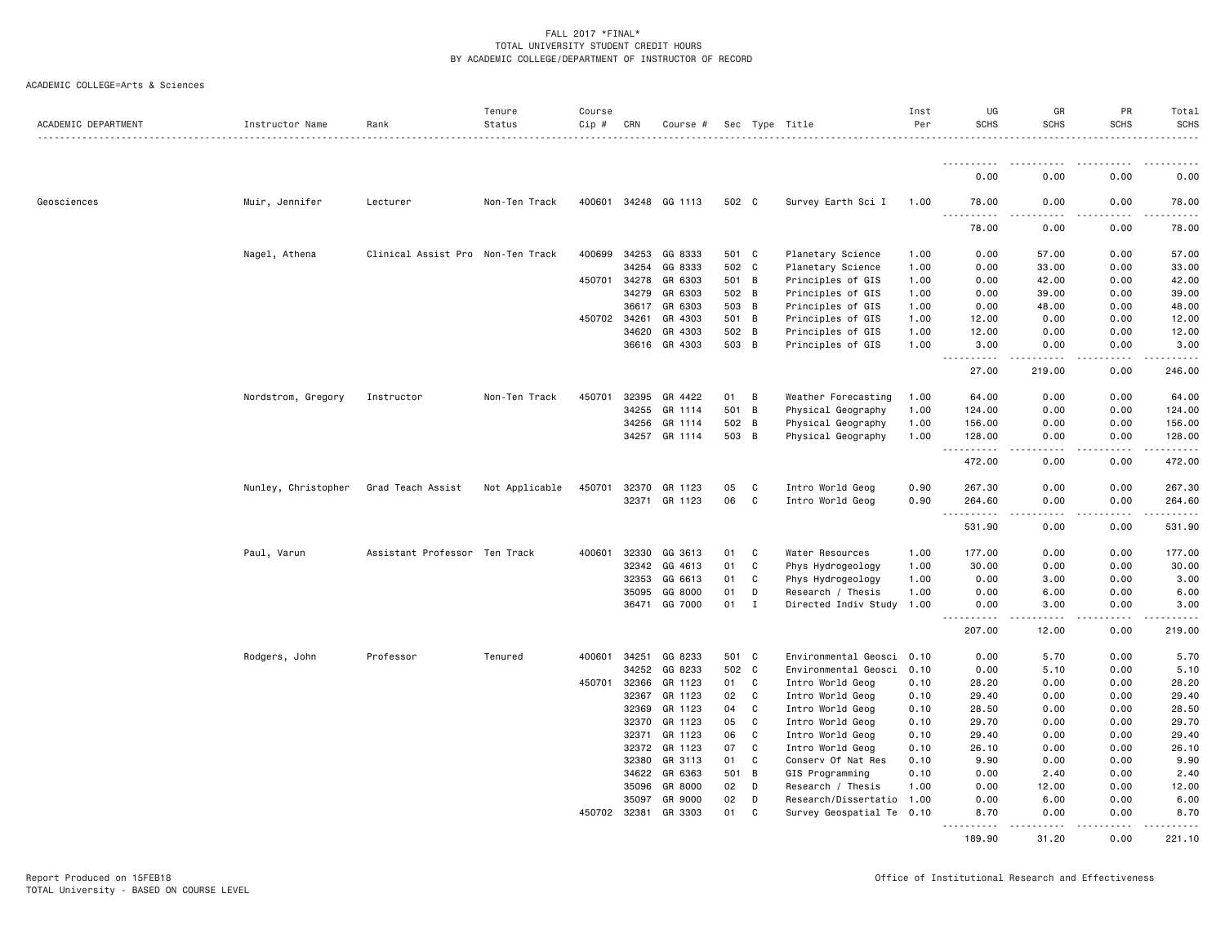| ACADEMIC DEPARTMENT | Instructor Name     | Rank                              | Tenure<br>Status | Course<br>Cip # | CRN          | Course #             |       |                | Sec Type Title            | Inst<br>Per | UG<br><b>SCHS</b>                           | GR<br><b>SCHS</b>    | PR<br><b>SCHS</b> | Total<br><b>SCHS</b> |
|---------------------|---------------------|-----------------------------------|------------------|-----------------|--------------|----------------------|-------|----------------|---------------------------|-------------|---------------------------------------------|----------------------|-------------------|----------------------|
|                     |                     |                                   |                  |                 |              |                      |       |                | .                         |             |                                             |                      |                   |                      |
|                     |                     |                                   |                  |                 |              |                      |       |                |                           |             | 0.00                                        | 0.00                 | 0.00              | 0.00                 |
| Geosciences         | Muir, Jennifer      | Lecturer                          | Non-Ten Track    |                 |              | 400601 34248 GG 1113 | 502 C |                | Survey Earth Sci I        | 1.00        | 78.00                                       | 0.00                 | 0.00              | 78.00                |
|                     |                     |                                   |                  |                 |              |                      |       |                |                           |             | 78.00                                       | 0.00                 | 0.00              | 78.00                |
|                     | Nagel, Athena       | Clinical Assist Pro Non-Ten Track |                  | 400699          | 34253        | GG 8333              | 501 C |                | Planetary Science         | 1.00        | 0.00                                        | 57.00                | 0.00              | 57.00                |
|                     |                     |                                   |                  |                 | 34254        | GG 8333              | 502 C |                | Planetary Science         | 1.00        | 0.00                                        | 33.00                | 0.00              | 33.00                |
|                     |                     |                                   |                  | 450701          | 34278        | GR 6303              | 501 B |                | Principles of GIS         | 1.00        | 0.00                                        | 42.00                | 0.00              | 42.00                |
|                     |                     |                                   |                  |                 | 34279        | GR 6303              | 502 B |                | Principles of GIS         | 1.00        | 0.00                                        | 39.00                | 0.00              | 39.00                |
|                     |                     |                                   |                  |                 | 36617        | GR 6303              | 503 B |                | Principles of GIS         | 1.00        | 0.00                                        | 48.00                | 0.00              | 48.00                |
|                     |                     |                                   |                  | 450702          | 34261        | GR 4303              | 501   | B              | Principles of GIS         | 1.00        | 12.00                                       | 0.00                 | 0.00              | 12.00                |
|                     |                     |                                   |                  |                 | 34620        | GR 4303              | 502 B |                | Principles of GIS         | 1.00        | 12.00                                       | 0.00                 | 0.00              | 12.00                |
|                     |                     |                                   |                  |                 |              | 36616 GR 4303        | 503 B |                | Principles of GIS         | 1.00        | 3.00<br>$- - - - -$<br>$\sim$ $\sim$ $\sim$ | 0.00<br>.            | 0.00<br>.         | 3.00<br>.            |
|                     |                     |                                   |                  |                 |              |                      |       |                |                           |             | 27,00                                       | 219.00               | 0.00              | 246.00               |
|                     | Nordstrom, Gregory  | Instructor                        | Non-Ten Track    | 450701          | 32395        | GR 4422              | 01    | B              | Weather Forecasting       | 1.00        | 64.00                                       | 0.00                 | 0.00              | 64.00                |
|                     |                     |                                   |                  |                 | 34255        | GR 1114              | 501   | B              | Physical Geography        | 1.00        | 124.00                                      | 0.00                 | 0.00              | 124.00               |
|                     |                     |                                   |                  |                 | 34256        | GR 1114              | 502 B |                | Physical Geography        | 1.00        | 156.00                                      | 0.00                 | 0.00              | 156.00               |
|                     |                     |                                   |                  |                 | 34257        | GR 1114              | 503 B |                | Physical Geography        | 1.00        | 128.00<br>. <b>.</b>                        | 0.00<br>.            | 0.00<br>.         | 128.00               |
|                     |                     |                                   |                  |                 |              |                      |       |                |                           |             | 472.00                                      | 0.00                 | 0.00              | 472.00               |
|                     | Nunley, Christopher | Grad Teach Assist                 | Not Applicable   | 450701          | 32370        | GR 1123              | 05    | C              | Intro World Geog          | 0.90        | 267.30                                      | 0.00                 | 0.00              | 267.30               |
|                     |                     |                                   |                  |                 |              | 32371 GR 1123        | 06    | C              | Intro World Geog          | 0.90        | 264.60<br><u>.</u><br>$\sim$ $\sim$ $\sim$  | 0.00<br>. <u>. .</u> | 0.00<br>.         | 264.60<br>.          |
|                     |                     |                                   |                  |                 |              |                      |       |                |                           |             | 531.90                                      | 0.00                 | 0.00              | 531.90               |
|                     | Paul, Varun         | Assistant Professor Ten Track     |                  | 400601          | 32330        | GG 3613              | 01    | C              | Water Resources           | 1.00        | 177.00                                      | 0.00                 | 0.00              | 177.00               |
|                     |                     |                                   |                  |                 | 32342        | GG 4613              | 01    | C              | Phys Hydrogeology         | 1.00        | 30.00                                       | 0.00                 | 0.00              | 30.00                |
|                     |                     |                                   |                  |                 | 32353        | GG 6613              | 01    | C              | Phys Hydrogeology         | 1.00        | 0.00                                        | 3.00                 | 0.00              | 3.00                 |
|                     |                     |                                   |                  |                 | 35095        | GG 8000              | 01    | D              | Research / Thesis         | 1.00        | 0.00                                        | 6.00                 | 0.00              | 6.00                 |
|                     |                     |                                   |                  |                 | 36471        | GG 7000              | 01    | Ι.             | Directed Indiv Study 1.00 |             | 0.00<br>----------                          | 3.00<br>.            | 0.00<br>.         | 3.00<br>. <u>.</u>   |
|                     |                     |                                   |                  |                 |              |                      |       |                |                           |             | 207.00                                      | 12.00                | 0.00              | 219.00               |
|                     | Rodgers, John       | Professor                         | Tenured          | 400601          | 34251        | GG 8233              | 501   | C              | Environmental Geosci 0.10 |             | 0.00                                        | 5.70                 | 0.00              | 5.70                 |
|                     |                     |                                   |                  |                 | 34252        | GG 8233              | 502 C |                | Environmental Geosci 0.10 |             | 0.00                                        | 5.10                 | 0.00              | 5.10                 |
|                     |                     |                                   |                  |                 | 450701 32366 | GR 1123              | 01    | C              | Intro World Geog          | 0.10        | 28.20                                       | 0.00                 | 0.00              | 28.20                |
|                     |                     |                                   |                  |                 | 32367        | GR 1123              | 02    | C              | Intro World Geog          | 0.10        | 29.40                                       | 0.00                 | 0.00              | 29.40                |
|                     |                     |                                   |                  |                 | 32369        | GR 1123              | 04    | C              | Intro World Geog          | 0.10        | 28.50                                       | 0.00                 | 0.00              | 28.50                |
|                     |                     |                                   |                  |                 | 32370        | GR 1123              | 05    | C              | Intro World Geog          | 0.10        | 29.70                                       | 0.00                 | 0.00              | 29.70                |
|                     |                     |                                   |                  |                 | 32371        | GR 1123              | 06    | C              | Intro World Geog          | 0.10        | 29.40                                       | 0.00                 | 0.00              | 29.40                |
|                     |                     |                                   |                  |                 | 32372        | GR 1123              | 07    | C              | Intro World Geog          | 0.10        | 26.10                                       | 0.00                 | 0.00              | 26.10                |
|                     |                     |                                   |                  |                 | 32380        | GR 3113              | 01    | C              | Conserv Of Nat Res        | 0.10        | 9.90                                        | 0.00                 | 0.00              | 9.90                 |
|                     |                     |                                   |                  |                 | 34622        | GR 6363              | 501   | $\overline{B}$ | GIS Programming           | 0.10        | 0.00                                        | 2.40                 | 0.00              | 2.40                 |
|                     |                     |                                   |                  |                 | 35096        | GR 8000              | 02    | D              | Research / Thesis         | 1.00        | 0.00                                        | 12.00                | 0.00              | 12.00                |
|                     |                     |                                   |                  |                 | 35097        | GR 9000              | 02    | D              | Research/Dissertatio      | 1.00        | 0.00                                        | 6.00                 | 0.00              | 6.00                 |
|                     |                     |                                   |                  |                 | 450702 32381 | GR 3303              | 01    | C              | Survey Geospatial Te 0.10 |             | 8.70                                        | 0.00                 | 0.00              | 8.70                 |
|                     |                     |                                   |                  |                 |              |                      |       |                |                           |             | .<br>189.90                                 | .<br>31.20           | .<br>0.00         | 221.10               |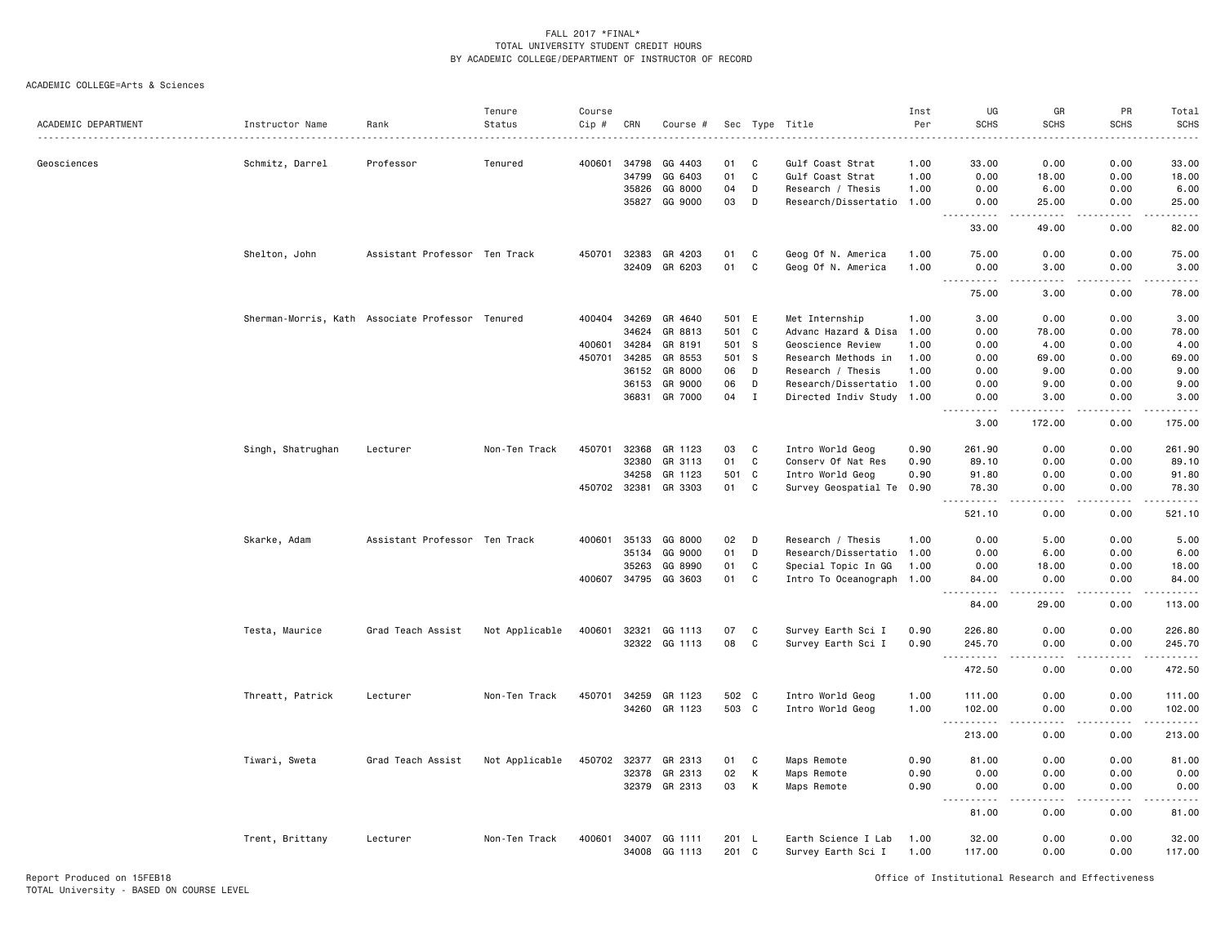| ACADEMIC DEPARTMENT | Instructor Name                                  | Rank                          | Tenure<br>Status | Course<br>Cip # | CRN   | Course # |       |             | Sec Type Title            | Inst<br>Per | UG<br><b>SCHS</b>              | GR<br><b>SCHS</b>                   | PR<br>SCHS            | Total<br><b>SCHS</b>                                                                                                                                         |
|---------------------|--------------------------------------------------|-------------------------------|------------------|-----------------|-------|----------|-------|-------------|---------------------------|-------------|--------------------------------|-------------------------------------|-----------------------|--------------------------------------------------------------------------------------------------------------------------------------------------------------|
| Geosciences         | Schmitz, Darrel                                  | Professor                     | Tenured          | 400601          | 34798 | GG 4403  | 01    | C           | Gulf Coast Strat          | 1.00        | 33.00                          | 0.00                                | 0.00                  | 33.00                                                                                                                                                        |
|                     |                                                  |                               |                  |                 | 34799 | GG 6403  | 01    | C           | Gulf Coast Strat          | 1.00        | 0.00                           | 18.00                               | 0.00                  | 18.00                                                                                                                                                        |
|                     |                                                  |                               |                  |                 | 35826 | GG 8000  | 04    | D           | Research / Thesis         | 1.00        | 0.00                           | 6.00                                | 0.00                  | 6.00                                                                                                                                                         |
|                     |                                                  |                               |                  |                 | 35827 | GG 9000  | 03    | D           | Research/Dissertatio 1.00 |             | 0.00<br>$- - - - - -$          | 25.00<br>.                          | 0.00<br>.             | 25.00<br>.                                                                                                                                                   |
|                     |                                                  |                               |                  |                 |       |          |       |             |                           |             | 33.00                          | 49.00                               | 0.00                  | 82.00                                                                                                                                                        |
|                     | Shelton, John                                    | Assistant Professor Ten Track |                  | 450701          | 32383 | GR 4203  | 01    | C           | Geog Of N. America        | 1.00        | 75.00                          | 0.00                                | 0.00                  | 75.00                                                                                                                                                        |
|                     |                                                  |                               |                  |                 | 32409 | GR 6203  | 01    | C           | Geog Of N. America        | 1.00        | 0.00<br>د د د د د              | 3.00                                | 0.00                  | 3.00<br>$\frac{1}{2} \left( \frac{1}{2} \right) \left( \frac{1}{2} \right) \left( \frac{1}{2} \right) \left( \frac{1}{2} \right) \left( \frac{1}{2} \right)$ |
|                     |                                                  |                               |                  |                 |       |          |       |             |                           |             | 75.00                          | 3.00                                | 0.00                  | 78.00                                                                                                                                                        |
|                     | Sherman-Morris, Kath Associate Professor Tenured |                               |                  | 400404 34269    |       | GR 4640  | 501 E |             | Met Internship            | 1.00        | 3.00                           | 0.00                                | 0.00                  | 3.00                                                                                                                                                         |
|                     |                                                  |                               |                  |                 | 34624 | GR 8813  | 501   | C           | Advanc Hazard & Disa      | 1.00        | 0.00                           | 78.00                               | 0.00                  | 78.00                                                                                                                                                        |
|                     |                                                  |                               |                  | 400601          | 34284 | GR 8191  | 501   | S.          | Geoscience Review         | 1.00        | 0.00                           | 4.00                                | 0.00                  | 4.00                                                                                                                                                         |
|                     |                                                  |                               |                  | 450701          | 34285 | GR 8553  | 501   | - S         | Research Methods in       | 1.00        | 0.00                           | 69.00                               | 0.00                  | 69.00                                                                                                                                                        |
|                     |                                                  |                               |                  |                 | 36152 | GR 8000  | 06    | D           | Research / Thesis         | 1.00        | 0.00                           | 9.00                                | 0.00                  | 9.00                                                                                                                                                         |
|                     |                                                  |                               |                  |                 | 36153 | GR 9000  | 06    | D           | Research/Dissertatio 1.00 |             | 0.00                           | 9.00                                | 0.00                  | 9.00                                                                                                                                                         |
|                     |                                                  |                               |                  |                 | 36831 | GR 7000  | 04    | $\mathbf I$ | Directed Indiv Study 1.00 |             | 0.00<br>$  -$<br>$\frac{1}{2}$ | 3.00<br>.                           | 0.00<br><u>.</u>      | 3.00<br>.                                                                                                                                                    |
|                     |                                                  |                               |                  |                 |       |          |       |             |                           |             | 3.00                           | 172.00                              | 0.00                  | 175.00                                                                                                                                                       |
|                     | Singh, Shatrughan                                | Lecturer                      | Non-Ten Track    | 450701          | 32368 | GR 1123  | 03    | C           | Intro World Geog          | 0.90        | 261.90                         | 0.00                                | 0.00                  | 261.90                                                                                                                                                       |
|                     |                                                  |                               |                  |                 | 32380 | GR 3113  | 01    | C           | Conserv Of Nat Res        | 0.90        | 89.10                          | 0.00                                | 0.00                  | 89.10                                                                                                                                                        |
|                     |                                                  |                               |                  |                 | 34258 | GR 1123  | 501   | C           | Intro World Geog          | 0.90        | 91.80                          | 0.00                                | 0.00                  | 91.80                                                                                                                                                        |
|                     |                                                  |                               |                  | 450702          | 32381 | GR 3303  | 01    | C           | Survey Geospatial Te 0.90 |             | 78.30<br>$\sim$ $\sim$         | 0.00                                | 0.00                  | 78.30<br>.                                                                                                                                                   |
|                     |                                                  |                               |                  |                 |       |          |       |             |                           |             | 521.10                         | 0.00                                | 0.00                  | 521.10                                                                                                                                                       |
|                     | Skarke, Adam                                     | Assistant Professor Ten Track |                  | 400601          | 35133 | GG 8000  | 02    | D           | Research / Thesis         | 1.00        | 0.00                           | 5.00                                | 0.00                  | 5.00                                                                                                                                                         |
|                     |                                                  |                               |                  |                 | 35134 | GG 9000  | 01    | D           | Research/Dissertatio 1.00 |             | 0.00                           | 6.00                                | 0.00                  | 6.00                                                                                                                                                         |
|                     |                                                  |                               |                  |                 | 35263 | GG 8990  | 01    | C           | Special Topic In GG       | 1.00        | 0.00                           | 18.00                               | 0.00                  | 18.00                                                                                                                                                        |
|                     |                                                  |                               |                  | 400607          | 34795 | GG 3603  | 01    | C           | Intro To Oceanograph 1.00 |             | 84.00                          | 0.00                                | 0.00                  | 84.00<br>$\sim$ $\sim$ $\sim$ $\sim$                                                                                                                         |
|                     |                                                  |                               |                  |                 |       |          |       |             |                           |             | 84.00                          | 29.00                               | 0.00                  | 113.00                                                                                                                                                       |
|                     | Testa, Maurice                                   | Grad Teach Assist             | Not Applicable   | 400601          | 32321 | GG 1113  | 07    | C           | Survey Earth Sci I        | 0.90        | 226.80                         | 0.00                                | 0.00                  | 226.80                                                                                                                                                       |
|                     |                                                  |                               |                  |                 | 32322 | GG 1113  | 08    | C           | Survey Earth Sci I        | 0.90        | 245.70                         | 0.00                                | 0.00                  | 245.70                                                                                                                                                       |
|                     |                                                  |                               |                  |                 |       |          |       |             |                           |             | .<br>472.50                    | $- - - -$<br>0.00                   | $\frac{1}{2}$<br>0.00 | $- - - - - -$<br>472.50                                                                                                                                      |
|                     | Threatt, Patrick                                 | Lecturer                      | Non-Ten Track    | 450701          | 34259 | GR 1123  | 502 C |             | Intro World Geog          | 1.00        | 111.00                         | 0.00                                | 0.00                  | 111.00                                                                                                                                                       |
|                     |                                                  |                               |                  |                 | 34260 | GR 1123  | 503 C |             | Intro World Geog          | 1.00        | 102.00                         | 0.00                                | 0.00                  | 102.00                                                                                                                                                       |
|                     |                                                  |                               |                  |                 |       |          |       |             |                           |             | <u>.</u><br>213.00             | .<br>0.00                           | .<br>0.00             | .<br>213.00                                                                                                                                                  |
|                     | Tiwari, Sweta                                    | Grad Teach Assist             | Not Applicable   | 450702          | 32377 | GR 2313  | 01    | C           | Maps Remote               | 0.90        | 81.00                          | 0.00                                | 0.00                  | 81.00                                                                                                                                                        |
|                     |                                                  |                               |                  |                 | 32378 | GR 2313  | 02    | K           | Maps Remote               | 0.90        | 0.00                           | 0.00                                | 0.00                  | 0.00                                                                                                                                                         |
|                     |                                                  |                               |                  |                 | 32379 | GR 2313  | 03    | К           | Maps Remote               | 0.90        | 0.00                           | 0.00                                | 0.00                  | 0.00                                                                                                                                                         |
|                     |                                                  |                               |                  |                 |       |          |       |             |                           |             | $\sim$ $\sim$<br>.<br>81.00    | $\sim$ $\sim$ $\sim$ $\sim$<br>0.00 | 0.00                  | $\sim$ $\sim$ $\sim$ $\sim$<br>81.00                                                                                                                         |
|                     | Trent, Brittany                                  | Lecturer                      | Non-Ten Track    | 400601          | 34007 | GG 1111  | 201   | <b>L</b>    | Earth Science I Lab       | 1.00        | 32.00                          | 0.00                                | 0.00                  | 32.00                                                                                                                                                        |
|                     |                                                  |                               |                  |                 | 34008 | GG 1113  | 201   | C           | Survey Earth Sci I        | 1.00        | 117.00                         | 0.00                                | 0.00                  | 117.00                                                                                                                                                       |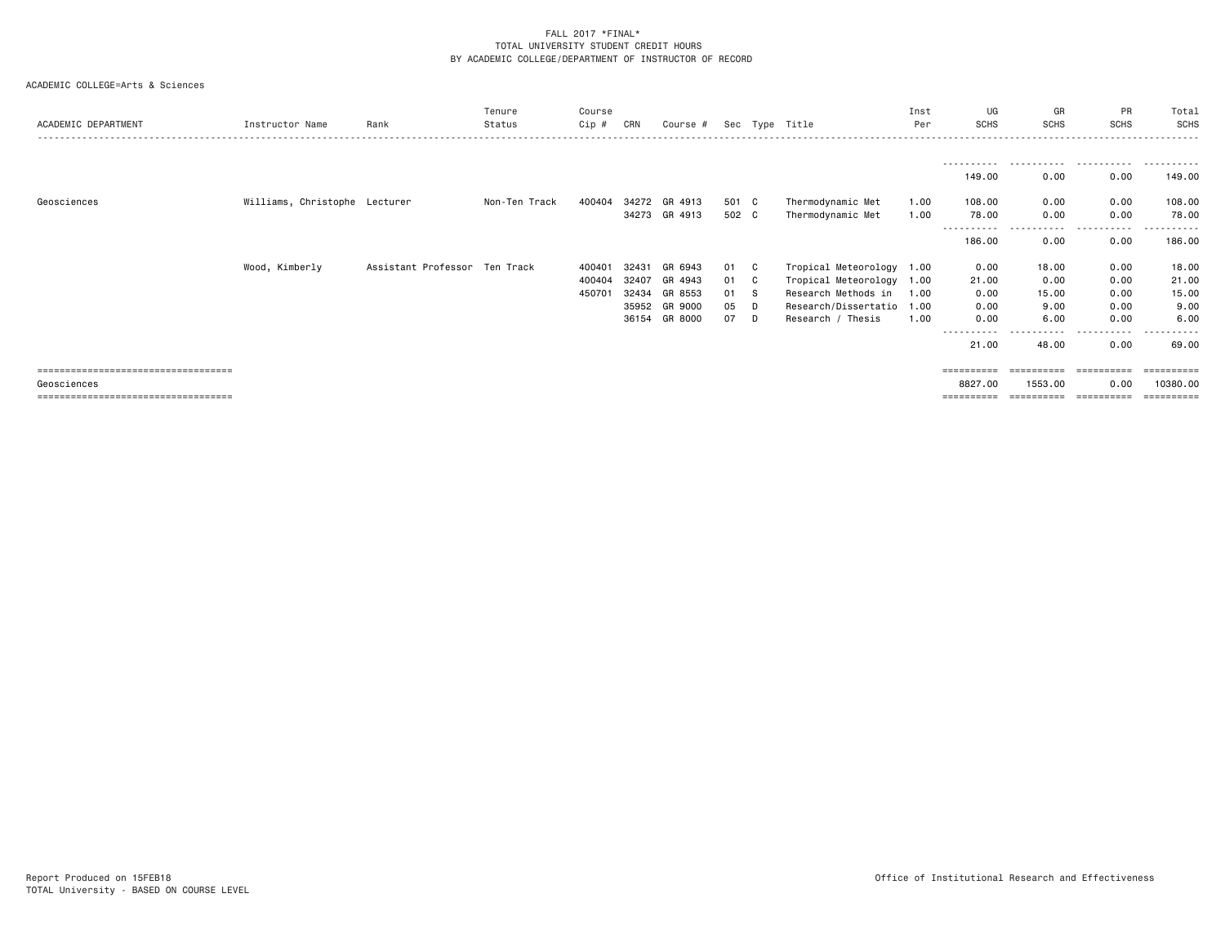| ACADEMIC DEPARTMENT                   | Instructor Name               | Rank                          | Tenure<br>Status | Course<br>Cip # | CRN   | Course # |       |     | Sec Type Title            | Inst<br>Per | UG<br><b>SCHS</b> | GR<br><b>SCHS</b> | PR<br>SCHS  | Total<br><b>SCHS</b> |
|---------------------------------------|-------------------------------|-------------------------------|------------------|-----------------|-------|----------|-------|-----|---------------------------|-------------|-------------------|-------------------|-------------|----------------------|
|                                       |                               |                               |                  |                 |       |          |       |     |                           |             |                   |                   |             |                      |
|                                       |                               |                               |                  |                 |       |          |       |     |                           |             |                   | .                 | .           |                      |
|                                       |                               |                               |                  |                 |       |          |       |     |                           |             | 149.00            | 0.00              | 0.00        | 149.00               |
| Geosciences                           | Williams, Christophe Lecturer |                               | Non-Ten Track    | 400404          | 34272 | GR 4913  | 501 C |     | Thermodynamic Met         | 1.00        | 108.00            | 0.00              | 0.00        | 108.00               |
|                                       |                               |                               |                  |                 | 34273 | GR 4913  | 502 C |     | Thermodynamic Met         | 1.00        | 78.00             | 0.00              | 0.00        | 78.00                |
|                                       |                               |                               |                  |                 |       |          |       |     |                           |             | -----------       | ----              | .<br>-----  | .                    |
|                                       |                               |                               |                  |                 |       |          |       |     |                           |             | 186.00            | 0.00              | 0.00        | 186.00               |
|                                       | Wood, Kimberly                | Assistant Professor Ten Track |                  | 400401          | 32431 | GR 6943  | 01    | C.  | Tropical Meteorology 1.00 |             | 0.00              | 18.00             | 0.00        | 18.00                |
|                                       |                               |                               |                  | 400404          | 32407 | GR 4943  | 01    | C   | Tropical Meteorology 1.00 |             | 21.00             | 0.00              | 0.00        | 21.00                |
|                                       |                               |                               |                  | 450701          | 32434 | GR 8553  | 01    | - S | Research Methods in       | 1.00        | 0.00              | 15.00             | 0.00        | 15.00                |
|                                       |                               |                               |                  |                 | 35952 | GR 9000  | 05    | D   | Research/Dissertatio 1.00 |             | 0.00              | 9.00              | 0.00        | 9.00                 |
|                                       |                               |                               |                  |                 | 36154 | GR 8000  | 07    | D   | Research / Thesis         | 1.00        | 0.00              | 6.00              | 0.00        | 6.00                 |
|                                       |                               |                               |                  |                 |       |          |       |     |                           |             | .<br>21.00        | ------<br>48.00   | .<br>0.00   | .<br>69.00           |
| ===================================== |                               |                               |                  |                 |       |          |       |     |                           |             | =========         |                   |             |                      |
| Geosciences                           |                               |                               |                  |                 |       |          |       |     |                           |             | 8827.00           | 1553.00           | 0.00        | 10380.00             |
| ===================================== |                               |                               |                  |                 |       |          |       |     |                           |             |                   | ==========        | ----------- | ==========           |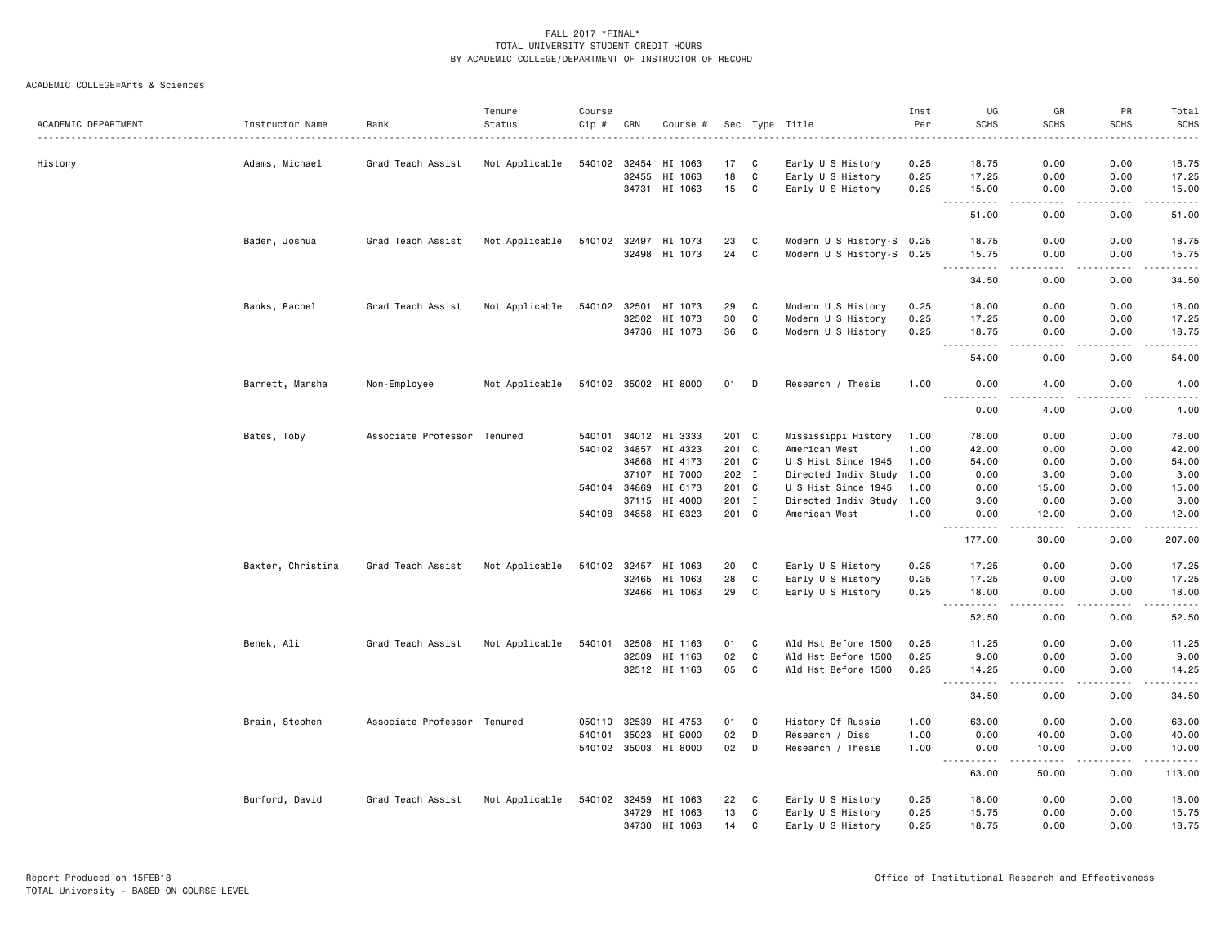| ACADEMIC DEPARTMENT | Instructor Name   | Rank                        | Tenure<br>Status | Course<br>Cip # | CRN          | Course #             |       |              | Sec Type Title<br>.       | Inst<br>Per | UG<br><b>SCHS</b>                  | GR<br><b>SCHS</b>                                                                                                                                             | PR<br><b>SCHS</b> | Total<br><b>SCHS</b> |
|---------------------|-------------------|-----------------------------|------------------|-----------------|--------------|----------------------|-------|--------------|---------------------------|-------------|------------------------------------|---------------------------------------------------------------------------------------------------------------------------------------------------------------|-------------------|----------------------|
| History             | Adams, Michael    | Grad Teach Assist           | Not Applicable   |                 | 540102 32454 | HI 1063              | 17    | C            | Early U S History         | 0.25        | 18.75                              | 0.00                                                                                                                                                          | 0.00              | 18.75                |
|                     |                   |                             |                  |                 | 32455        | HI 1063              | 18    | C            | Early U S History         | 0.25        | 17.25                              | 0.00                                                                                                                                                          | 0.00              | 17.25                |
|                     |                   |                             |                  |                 |              | 34731 HI 1063        | 15    | C            | Early U S History         | 0.25        | 15.00<br>.<br>$\sim$ $\sim$ $\sim$ | 0.00<br>$\sim$ $\sim$ $\sim$                                                                                                                                  | 0.00<br>.         | 15.00<br>. <u>.</u>  |
|                     |                   |                             |                  |                 |              |                      |       |              |                           |             | 51.00                              | 0.00                                                                                                                                                          | 0.00              | 51.00                |
|                     | Bader, Joshua     | Grad Teach Assist           | Not Applicable   |                 |              | 540102 32497 HI 1073 | 23    | C            | Modern U S History-S 0.25 |             | 18.75                              | 0.00                                                                                                                                                          | 0.00              | 18.75                |
|                     |                   |                             |                  |                 |              | 32498 HI 1073        | 24    | C            | Modern U S History-S 0.25 |             | 15.75<br>.<br>$\cdots$             | 0.00<br>.                                                                                                                                                     | 0.00<br>-----     | 15.75<br>------      |
|                     |                   |                             |                  |                 |              |                      |       |              |                           |             | 34.50                              | 0.00                                                                                                                                                          | 0.00              | 34.50                |
|                     | Banks, Rachel     | Grad Teach Assist           | Not Applicable   | 540102          | 32501        | HI 1073              | 29    | C            | Modern U S History        | 0.25        | 18.00                              | 0.00                                                                                                                                                          | 0.00              | 18.00                |
|                     |                   |                             |                  |                 |              | 32502 HI 1073        | 30    | C            | Modern U S History        | 0.25        | 17.25                              | 0.00                                                                                                                                                          | 0.00              | 17.25                |
|                     |                   |                             |                  |                 |              | 34736 HI 1073        | 36    | $\mathbf{C}$ | Modern U S History        | 0.25        | 18.75                              | 0.00                                                                                                                                                          | 0.00              | 18.75                |
|                     |                   |                             |                  |                 |              |                      |       |              |                           |             | 54.00                              | 0.00                                                                                                                                                          | 0.00              | 54.00                |
|                     | Barrett, Marsha   | Non-Employee                | Not Applicable   |                 |              | 540102 35002 HI 8000 | 01 D  |              | Research / Thesis         | 1.00        | 0.00<br>.                          | 4.00<br>.                                                                                                                                                     | 0.00<br>.         | 4.00<br>.            |
|                     |                   |                             |                  |                 |              |                      |       |              |                           |             | 0.00                               | 4.00                                                                                                                                                          | 0.00              | 4.00                 |
|                     | Bates, Toby       | Associate Professor Tenured |                  |                 |              | 540101 34012 HI 3333 | 201 C |              | Mississippi History       | 1.00        | 78.00                              | 0.00                                                                                                                                                          | 0.00              | 78.00                |
|                     |                   |                             |                  |                 |              | 540102 34857 HI 4323 | 201 C |              | American West             | 1.00        | 42.00                              | 0.00                                                                                                                                                          | 0.00              | 42.00                |
|                     |                   |                             |                  |                 | 34868        | HI 4173              | 201 C |              | U S Hist Since 1945       | 1.00        | 54.00                              | 0.00                                                                                                                                                          | 0.00              | 54.00                |
|                     |                   |                             |                  |                 | 37107        | HI 7000              | 202 I |              | Directed Indiv Study      | 1.00        | 0.00                               | 3.00                                                                                                                                                          | 0.00              | 3.00                 |
|                     |                   |                             |                  |                 | 540104 34869 | HI 6173              | 201 C |              | U S Hist Since 1945       | 1.00        | 0.00                               | 15.00                                                                                                                                                         | 0.00              | 15.00                |
|                     |                   |                             |                  |                 | 37115        | HI 4000              | 201 I |              | Directed Indiv Study 1.00 |             | 3.00                               | 0.00                                                                                                                                                          | 0.00              | 3.00                 |
|                     |                   |                             |                  |                 | 540108 34858 | HI 6323              | 201 C |              | American West             | 1.00        | 0.00<br>.                          | 12.00                                                                                                                                                         | 0.00              | 12.00                |
|                     |                   |                             |                  |                 |              |                      |       |              |                           |             | 177.00                             | 30.00                                                                                                                                                         | 0.00              | 207.00               |
|                     | Baxter, Christina | Grad Teach Assist           | Not Applicable   |                 |              | 540102 32457 HI 1063 | 20    | C            | Early U S History         | 0.25        | 17.25                              | 0.00                                                                                                                                                          | 0.00              | 17.25                |
|                     |                   |                             |                  |                 |              | 32465 HI 1063        | 28    | C            | Early U S History         | 0.25        | 17.25                              | 0.00                                                                                                                                                          | 0.00              | 17.25                |
|                     |                   |                             |                  |                 |              | 32466 HI 1063        | 29    | C            | Early U S History         | 0.25        | 18.00<br>$\sim$ $\sim$ $\sim$<br>. | 0.00                                                                                                                                                          | 0.00              | 18.00                |
|                     |                   |                             |                  |                 |              |                      |       |              |                           |             | 52.50                              | 0.00                                                                                                                                                          | 0.00              | 52.50                |
|                     | Benek, Ali        | Grad Teach Assist           | Not Applicable   | 540101          | 32508        | HI 1163              | 01    | C            | Wld Hst Before 1500       | 0.25        | 11.25                              | 0.00                                                                                                                                                          | 0.00              | 11.25                |
|                     |                   |                             |                  |                 | 32509        | HI 1163              | 02    | C            | Wld Hst Before 1500       | 0.25        | 9.00                               | 0.00                                                                                                                                                          | 0.00              | 9.00                 |
|                     |                   |                             |                  |                 |              | 32512 HI 1163        | 05    | C            | Wld Hst Before 1500       | 0.25        | 14.25<br><u>.</u>                  | 0.00<br>.                                                                                                                                                     | 0.00<br>.         | 14.25<br>.           |
|                     |                   |                             |                  |                 |              |                      |       |              |                           |             | 34.50                              | 0.00                                                                                                                                                          | 0.00              | 34.50                |
|                     | Brain, Stephen    | Associate Professor Tenured |                  |                 | 050110 32539 | HI 4753              | 01    | C            | History Of Russia         | 1.00        | 63.00                              | 0.00                                                                                                                                                          | 0.00              | 63.00                |
|                     |                   |                             |                  |                 | 540101 35023 | HI 9000              | 02    | D            | Research / Diss           | 1.00        | 0.00                               | 40.00                                                                                                                                                         | 0.00              | 40.00                |
|                     |                   |                             |                  |                 | 540102 35003 | HI 8000              | 02    | D            | Research / Thesis         | 1.00        | 0.00<br><u>.</u>                   | 10.00<br>$\frac{1}{2} \left( \frac{1}{2} \right) \left( \frac{1}{2} \right) \left( \frac{1}{2} \right) \left( \frac{1}{2} \right) \left( \frac{1}{2} \right)$ | 0.00<br>.         | 10.00<br>. <b>.</b>  |
|                     |                   |                             |                  |                 |              |                      |       |              |                           |             | 63.00                              | 50.00                                                                                                                                                         | 0.00              | 113.00               |
|                     | Burford, David    | Grad Teach Assist           | Not Applicable   |                 | 540102 32459 | HI 1063              | 22    | C            | Early U S History         | 0.25        | 18.00                              | 0.00                                                                                                                                                          | 0.00              | 18.00                |
|                     |                   |                             |                  |                 | 34729        | HI 1063              | 13    | C            | Early U S History         | 0.25        | 15.75                              | 0.00                                                                                                                                                          | 0.00              | 15.75                |
|                     |                   |                             |                  |                 |              | 34730 HI 1063        | 14    | C            | Early U S History         | 0.25        | 18.75                              | 0.00                                                                                                                                                          | 0.00              | 18.75                |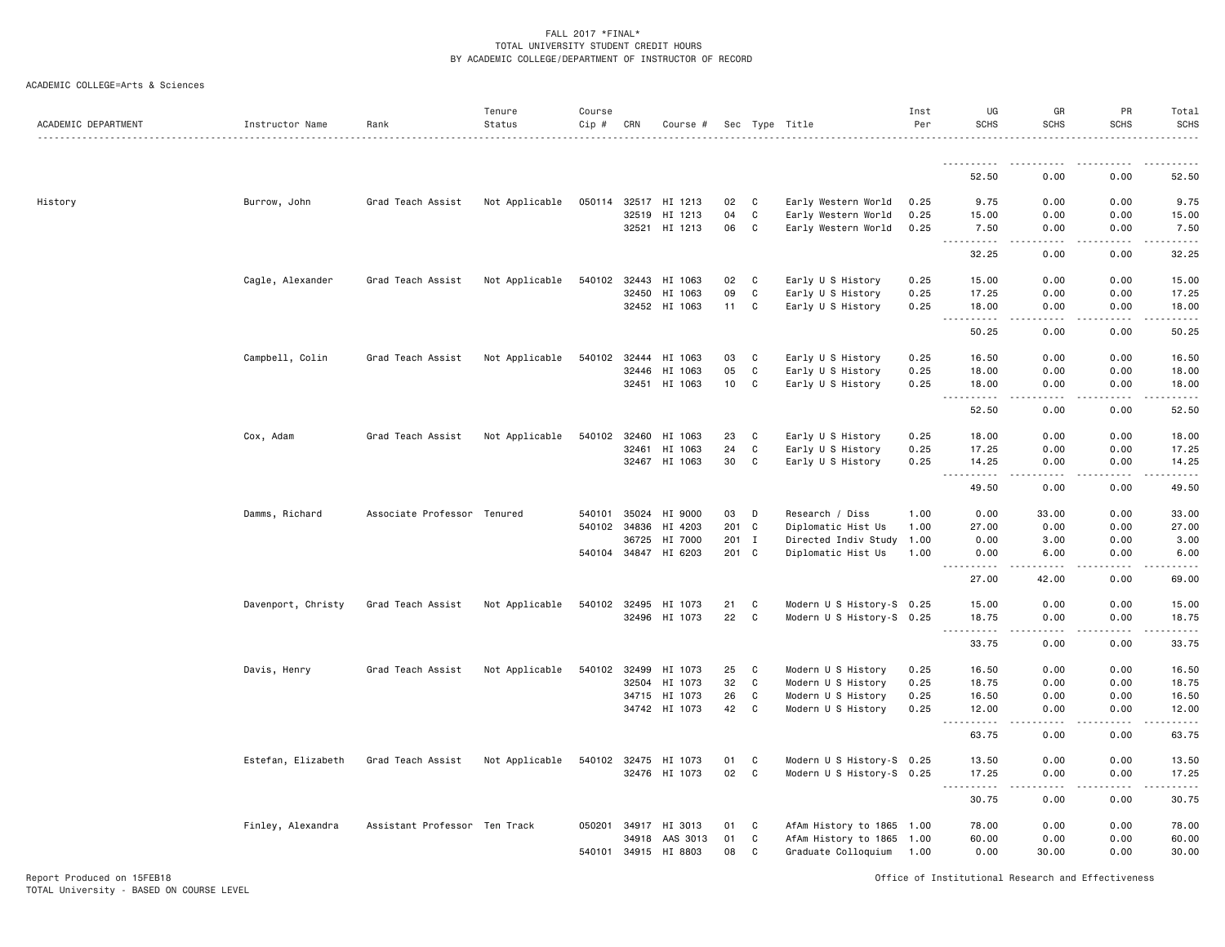| ACADEMIC DEPARTMENT | Instructor Name    | Rank                          | Tenure<br>Status | Course<br>$Cip$ # | CRN          | Course #             |       |              | Sec Type Title            | Inst<br>Per | UG<br><b>SCHS</b>                                                           | GR<br><b>SCHS</b>     | PR<br><b>SCHS</b> | Total<br>SCHS |
|---------------------|--------------------|-------------------------------|------------------|-------------------|--------------|----------------------|-------|--------------|---------------------------|-------------|-----------------------------------------------------------------------------|-----------------------|-------------------|---------------|
|                     |                    |                               |                  |                   |              |                      |       |              |                           |             |                                                                             |                       |                   |               |
|                     |                    |                               |                  |                   |              |                      |       |              |                           |             | 52.50                                                                       | 0.00                  | 0.00              | 52.50         |
| History             | Burrow, John       | Grad Teach Assist             | Not Applicable   |                   |              | 050114 32517 HI 1213 | 02    | C            | Early Western World       | 0.25        | 9.75                                                                        | 0.00                  | 0.00              | 9.75          |
|                     |                    |                               |                  |                   | 32519        | HI 1213              | 04    | C            | Early Western World       | 0.25        | 15.00                                                                       | 0.00                  | 0.00              | 15.00         |
|                     |                    |                               |                  |                   | 32521        | HI 1213              | 06    | C            | Early Western World       | 0.25        | 7.50<br><b></b>                                                             | 0.00<br>.             | 0.00<br>.         | 7.50<br>.     |
|                     |                    |                               |                  |                   |              |                      |       |              |                           |             | 32.25                                                                       | 0.00                  | 0.00              | 32.25         |
|                     | Cagle, Alexander   | Grad Teach Assist             | Not Applicable   | 540102            | 32443        | HI 1063              | 02    | C            | Early U S History         | 0.25        | 15.00                                                                       | 0.00                  | 0.00              | 15.00         |
|                     |                    |                               |                  |                   | 32450        | HI 1063              | 09    | C            | Early U S History         | 0.25        | 17.25                                                                       | 0.00                  | 0.00              | 17.25         |
|                     |                    |                               |                  |                   |              | 32452 HI 1063        | 11 C  |              | Early U S History         | 0.25        | 18.00<br>$\sim$ $\sim$ $\sim$<br>.                                          | 0.00                  | 0.00              | 18.00<br>.    |
|                     |                    |                               |                  |                   |              |                      |       |              |                           |             | 50.25                                                                       | 0.00                  | 0.00              | 50.25         |
|                     | Campbell, Colin    | Grad Teach Assist             | Not Applicable   |                   |              | 540102 32444 HI 1063 | 03    | <b>C</b>     | Early U S History         | 0.25        | 16.50                                                                       | 0.00                  | 0.00              | 16.50         |
|                     |                    |                               |                  |                   | 32446        | HI 1063              | 05    | $\mathbf{C}$ | Early U S History         | 0.25        | 18.00                                                                       | 0.00                  | 0.00              | 18.00         |
|                     |                    |                               |                  |                   | 32451        | HI 1063              | 10    | C            | Early U S History         | 0.25        | 18.00<br><u>.</u>                                                           | 0.00<br>$\frac{1}{2}$ | 0.00              | 18.00         |
|                     |                    |                               |                  |                   |              |                      |       |              |                           |             | 52.50                                                                       | 0.00                  | 0.00              | 52.50         |
|                     | Cox, Adam          | Grad Teach Assist             | Not Applicable   | 540102 32460      |              | HI 1063              | 23    | C            | Early U S History         | 0.25        | 18.00                                                                       | 0.00                  | 0.00              | 18.00         |
|                     |                    |                               |                  |                   | 32461        | HI 1063              | 24    | C            | Early U S History         | 0.25        | 17.25                                                                       | 0.00                  | 0.00              | 17.25         |
|                     |                    |                               |                  |                   | 32467        | HI 1063              | 30    | C            | Early U S History         | 0.25        | 14.25<br>.                                                                  | 0.00<br>.             | 0.00<br>-----     | 14.25<br>.    |
|                     |                    |                               |                  |                   |              |                      |       |              |                           |             | 49.50                                                                       | 0.00                  | 0.00              | 49.50         |
|                     | Damms, Richard     | Associate Professor Tenured   |                  | 540101            | 35024        | HI 9000              | 03    | D            | Research / Diss           | 1.00        | 0.00                                                                        | 33.00                 | 0.00              | 33.00         |
|                     |                    |                               |                  |                   | 540102 34836 | HI 4203              | 201 C |              | Diplomatic Hist Us        | 1.00        | 27.00                                                                       | 0.00                  | 0.00              | 27.00         |
|                     |                    |                               |                  |                   | 36725        | HI 7000              | 201 I |              | Directed Indiv Study      | 1.00        | 0.00                                                                        | 3.00                  | 0.00              | 3.00          |
|                     |                    |                               |                  |                   |              | 540104 34847 HI 6203 | 201 C |              | Diplomatic Hist Us        | 1.00        | 0.00<br>.                                                                   | 6.00<br>2.2.2.2.2     | 0.00<br>22222     | 6.00<br>.     |
|                     |                    |                               |                  |                   |              |                      |       |              |                           |             | 27.00                                                                       | 42.00                 | 0.00              | 69.00         |
|                     | Davenport, Christy | Grad Teach Assist             | Not Applicable   |                   |              | 540102 32495 HI 1073 | 21    | C            | Modern U S History-S 0.25 |             | 15.00                                                                       | 0.00                  | 0.00              | 15.00         |
|                     |                    |                               |                  |                   |              | 32496 HI 1073        | 22    | C            | Modern U S History-S 0.25 |             | 18.75<br>.<br>$\frac{1}{2} \frac{1}{2} \frac{1}{2} \frac{1}{2} \frac{1}{2}$ | 0.00<br>.             | 0.00              | 18.75         |
|                     |                    |                               |                  |                   |              |                      |       |              |                           |             | 33.75                                                                       | 0.00                  | 0.00              | 33.75         |
|                     | Davis, Henry       | Grad Teach Assist             | Not Applicable   | 540102 32499      |              | HI 1073              | 25    | C            | Modern U S History        | 0.25        | 16.50                                                                       | 0.00                  | 0.00              | 16.50         |
|                     |                    |                               |                  |                   | 32504        | HI 1073              | 32    | C            | Modern U S History        | 0.25        | 18.75                                                                       | 0.00                  | 0.00              | 18.75         |
|                     |                    |                               |                  |                   |              | 34715 HI 1073        | 26    | C            | Modern U S History        | 0.25        | 16.50                                                                       | 0.00                  | 0.00              | 16.50         |
|                     |                    |                               |                  |                   |              | 34742 HI 1073        | 42    | C            | Modern U S History        | 0.25        | 12.00<br>$\frac{1}{2}$                                                      | 0.00                  | 0.00              | 12.00         |
|                     |                    |                               |                  |                   |              |                      |       |              |                           |             | 63.75                                                                       | 0.00                  | 0.00              | 63.75         |
|                     | Estefan, Elizabeth | Grad Teach Assist             | Not Applicable   |                   |              | 540102 32475 HI 1073 | 01    | C            | Modern U S History-S 0.25 |             | 13.50                                                                       | 0.00                  | 0.00              | 13.50         |
|                     |                    |                               |                  |                   |              | 32476 HI 1073        | 02    | C            | Modern U S History-S 0.25 |             | 17.25<br>. <b>.</b>                                                         | 0.00                  | 0.00              | 17.25         |
|                     |                    |                               |                  |                   |              |                      |       |              |                           |             | 30.75                                                                       | 0.00                  | 0.00              | 30.75         |
|                     | Finley, Alexandra  | Assistant Professor Ten Track |                  | 050201            |              | 34917 HI 3013        | 01    | C            | AfAm History to 1865 1.00 |             | 78.00                                                                       | 0.00                  | 0.00              | 78.00         |
|                     |                    |                               |                  |                   | 34918        | AAS 3013             | 01    | C            | AfAm History to 1865 1.00 |             | 60.00                                                                       | 0.00                  | 0.00              | 60.00         |
|                     |                    |                               |                  |                   |              | 540101 34915 HI 8803 | 08    | C            | Graduate Colloquium 1.00  |             | 0.00                                                                        | 30.00                 | 0.00              | 30.00         |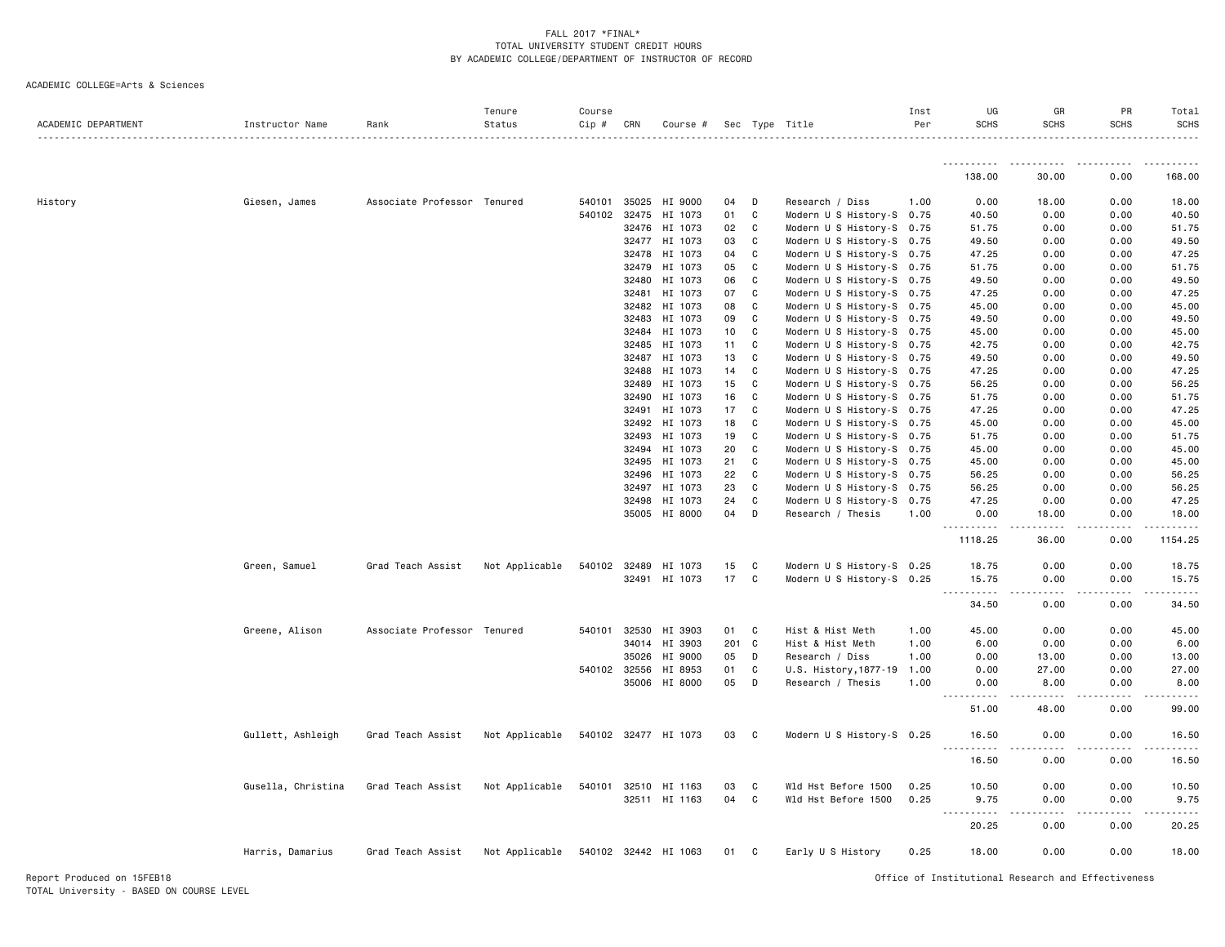| ACADEMIC DEPARTMENT | Instructor Name    | Rank                        | Tenure<br>Status                    | Course<br>Cip # | CRN          | Course #             |      |              | Sec Type Title            | Inst<br>Per | UG<br><b>SCHS</b>                                                                                                                      | GR<br><b>SCHS</b>                                                                                                                                            | PR<br><b>SCHS</b>   | Total<br><b>SCHS</b><br>. <u>.</u> |
|---------------------|--------------------|-----------------------------|-------------------------------------|-----------------|--------------|----------------------|------|--------------|---------------------------|-------------|----------------------------------------------------------------------------------------------------------------------------------------|--------------------------------------------------------------------------------------------------------------------------------------------------------------|---------------------|------------------------------------|
|                     |                    |                             |                                     |                 |              |                      |      |              |                           |             | <u>.</u>                                                                                                                               | . <i>.</i> .                                                                                                                                                 | .                   | .                                  |
|                     |                    |                             |                                     |                 |              |                      |      |              |                           |             | 138.00                                                                                                                                 | 30.00                                                                                                                                                        | 0.00                | 168.00                             |
| History             | Giesen, James      | Associate Professor Tenured |                                     |                 |              | 540101 35025 HI 9000 | 04   | D            | Research / Diss           | 1.00        | 0.00                                                                                                                                   | 18.00                                                                                                                                                        | 0.00                | 18.00                              |
|                     |                    |                             |                                     |                 | 540102 32475 | HI 1073              | 01   | C            | Modern U S History-S 0.75 |             | 40.50                                                                                                                                  | 0.00                                                                                                                                                         | 0.00                | 40.50                              |
|                     |                    |                             |                                     |                 |              | 32476 HI 1073        | 02   | C            | Modern U S History-S 0.75 |             | 51.75                                                                                                                                  | 0.00                                                                                                                                                         | 0.00                | 51.75                              |
|                     |                    |                             |                                     |                 | 32477        | HI 1073              | 03   | C            | Modern U S History-S 0.75 |             | 49.50                                                                                                                                  | 0.00                                                                                                                                                         | 0.00                | 49.50                              |
|                     |                    |                             |                                     |                 | 32478        | HI 1073              | 04   | C            | Modern U S History-S 0.75 |             | 47.25                                                                                                                                  | 0.00                                                                                                                                                         | 0.00                | 47.25                              |
|                     |                    |                             |                                     |                 | 32479        | HI 1073              | 05   | C            | Modern U S History-S 0.75 |             | 51.75                                                                                                                                  | 0.00                                                                                                                                                         | 0.00                | 51.75                              |
|                     |                    |                             |                                     |                 | 32480        | HI 1073              | 06   | $\mathbf C$  | Modern U S History-S 0.75 |             | 49.50                                                                                                                                  | 0.00                                                                                                                                                         | 0.00                | 49.50                              |
|                     |                    |                             |                                     |                 | 32481        | HI 1073              | 07   | C            | Modern U S History-S 0.75 |             | 47.25                                                                                                                                  | 0.00                                                                                                                                                         | 0.00                | 47.25                              |
|                     |                    |                             |                                     |                 |              | 32482 HI 1073        | 08   | C            | Modern U S History-S 0.75 |             | 45.00                                                                                                                                  | 0.00                                                                                                                                                         | 0.00                | 45.00                              |
|                     |                    |                             |                                     |                 | 32483        | HI 1073              | 09   | C            | Modern U S History-S 0.75 |             | 49.50                                                                                                                                  | 0.00                                                                                                                                                         | 0.00                | 49.50                              |
|                     |                    |                             |                                     |                 | 32484        | HI 1073              | 10   | C            | Modern U S History-S 0.75 |             | 45.00                                                                                                                                  | 0.00                                                                                                                                                         | 0.00                | 45.00                              |
|                     |                    |                             |                                     |                 | 32485        | HI 1073              | 11   | C            | Modern U S History-S 0.75 |             | 42.75                                                                                                                                  | 0.00                                                                                                                                                         | 0.00                | 42.75                              |
|                     |                    |                             |                                     |                 |              | 32487 HI 1073        | 13   | C            | Modern U S History-S 0.75 |             | 49.50                                                                                                                                  | 0.00                                                                                                                                                         | 0.00                | 49.50                              |
|                     |                    |                             |                                     |                 | 32488        | HI 1073              | 14   | C            | Modern U S History-S 0.75 |             | 47.25                                                                                                                                  | 0.00                                                                                                                                                         | 0.00                | 47.25                              |
|                     |                    |                             |                                     |                 | 32489        | HI 1073              | 15   | C            | Modern U S History-S 0.75 |             | 56.25                                                                                                                                  | 0.00                                                                                                                                                         | 0.00                | 56.25                              |
|                     |                    |                             |                                     |                 | 32490        | HI 1073              | 16   | C            | Modern U S History-S 0.75 |             | 51.75                                                                                                                                  | 0.00                                                                                                                                                         | 0.00                | 51.75                              |
|                     |                    |                             |                                     |                 | 32491        | HI 1073              | 17   | C            | Modern U S History-S 0.75 |             | 47.25                                                                                                                                  | 0.00                                                                                                                                                         | 0.00                | 47.25                              |
|                     |                    |                             |                                     |                 |              | 32492 HI 1073        | 18   | C            | Modern U S History-S 0.75 |             | 45.00                                                                                                                                  | 0.00                                                                                                                                                         | 0.00                | 45.00                              |
|                     |                    |                             |                                     |                 | 32493        | HI 1073              | 19   | C            | Modern U S History-S 0.75 |             | 51.75                                                                                                                                  | 0.00                                                                                                                                                         | 0.00                | 51.75                              |
|                     |                    |                             |                                     |                 | 32494        | HI 1073              | 20   | C            | Modern U S History-S 0.75 |             | 45.00                                                                                                                                  | 0.00                                                                                                                                                         | 0.00                | 45.00                              |
|                     |                    |                             |                                     |                 | 32495        | HI 1073              | 21   | C            | Modern U S History-S 0.75 |             | 45.00                                                                                                                                  | 0.00                                                                                                                                                         | 0.00                | 45.00                              |
|                     |                    |                             |                                     |                 | 32496        | HI 1073              | 22   | C            | Modern U S History-S 0.75 |             | 56.25                                                                                                                                  | 0.00                                                                                                                                                         | 0.00                | 56.25                              |
|                     |                    |                             |                                     |                 |              |                      |      |              |                           |             |                                                                                                                                        |                                                                                                                                                              |                     |                                    |
|                     |                    |                             |                                     |                 | 32497        | HI 1073              | 23   | C            | Modern U S History-S 0.75 |             | 56.25                                                                                                                                  | 0.00                                                                                                                                                         | 0.00                | 56.25                              |
|                     |                    |                             |                                     |                 |              | 32498 HI 1073        | 24   | C            | Modern U S History-S 0.75 |             | 47.25                                                                                                                                  | 0.00                                                                                                                                                         | 0.00                | 47.25                              |
|                     |                    |                             |                                     |                 |              | 35005 HI 8000        | 04   | D            | Research / Thesis         | 1.00        | 0.00<br><u> - - - - - - - - - -</u>                                                                                                    | 18.00<br>-----                                                                                                                                               | 0.00                | 18.00                              |
|                     |                    |                             |                                     |                 |              |                      |      |              |                           |             | 1118.25                                                                                                                                | 36.00                                                                                                                                                        | 0.00                | 1154.25                            |
|                     | Green, Samuel      | Grad Teach Assist           | Not Applicable                      |                 |              | 540102 32489 HI 1073 | 15   | C            | Modern U S History-S 0.25 |             | 18.75                                                                                                                                  | 0.00                                                                                                                                                         | 0.00                | 18.75                              |
|                     |                    |                             |                                     |                 |              | 32491 HI 1073        | 17   | C            | Modern U S History-S 0.25 |             | 15.75                                                                                                                                  | 0.00                                                                                                                                                         | 0.00                | 15.75                              |
|                     |                    |                             |                                     |                 |              |                      |      |              |                           |             | <u>.</u><br>34.50                                                                                                                      | .<br>$- - -$<br>0.00                                                                                                                                         | $- - - - -$<br>0.00 | $- - - - - - -$<br>34.50           |
|                     |                    |                             |                                     |                 |              |                      |      |              |                           |             |                                                                                                                                        |                                                                                                                                                              |                     |                                    |
|                     | Greene, Alison     | Associate Professor Tenured |                                     | 540101          | 32530        | HI 3903              | 01   | C            | Hist & Hist Meth          | 1.00        | 45.00                                                                                                                                  | 0.00                                                                                                                                                         | 0.00                | 45.00                              |
|                     |                    |                             |                                     |                 | 34014        | HI 3903              | 201  | $\mathbf{C}$ | Hist & Hist Meth          | 1.00        | 6.00                                                                                                                                   | 0.00                                                                                                                                                         | 0.00                | 6.00                               |
|                     |                    |                             |                                     |                 | 35026        | HI 9000              | 05   | D            | Research / Diss           | 1.00        | 0.00                                                                                                                                   | 13.00                                                                                                                                                        | 0.00                | 13.00                              |
|                     |                    |                             |                                     |                 | 540102 32556 | HI 8953              | 01   | C            | U.S. History, 1877-19     | 1.00        | 0.00                                                                                                                                   | 27.00                                                                                                                                                        | 0.00                | 27.00                              |
|                     |                    |                             |                                     |                 |              | 35006 HI 8000        | 05   | D            | Research / Thesis         | 1.00        | 0.00<br>.<br>$\frac{1}{2} \left( \frac{1}{2} \right) \left( \frac{1}{2} \right) \left( \frac{1}{2} \right) \left( \frac{1}{2} \right)$ | 8.00<br>$\frac{1}{2} \left( \frac{1}{2} \right) \left( \frac{1}{2} \right) \left( \frac{1}{2} \right) \left( \frac{1}{2} \right) \left( \frac{1}{2} \right)$ | 0.00                | 8.00<br>.                          |
|                     |                    |                             |                                     |                 |              |                      |      |              |                           |             | 51.00                                                                                                                                  | 48.00                                                                                                                                                        | 0.00                | 99.00                              |
|                     | Gullett, Ashleigh  | Grad Teach Assist           | Not Applicable                      |                 |              | 540102 32477 HI 1073 | 03 C |              | Modern U S History-S 0.25 |             | 16.50                                                                                                                                  | 0.00                                                                                                                                                         | 0.00                | 16.50                              |
|                     |                    |                             |                                     |                 |              |                      |      |              |                           |             | .<br>16.50                                                                                                                             | 0.00                                                                                                                                                         | 0.00                | 16.50                              |
|                     | Gusella, Christina | Grad Teach Assist           | Not Applicable                      |                 |              | 540101 32510 HI 1163 | 03   | C            | Wld Hst Before 1500       | 0.25        | 10.50                                                                                                                                  | 0.00                                                                                                                                                         | 0.00                | 10.50                              |
|                     |                    |                             |                                     |                 |              | 32511 HI 1163        | 04   | C            | Wld Hst Before 1500       | 0.25        | 9.75                                                                                                                                   | 0.00                                                                                                                                                         | 0.00                | 9.75                               |
|                     |                    |                             |                                     |                 |              |                      |      |              |                           |             | <u>.</u><br>20.25                                                                                                                      | $- - - -$<br>0.00                                                                                                                                            | 0.00                | .<br>20.25                         |
|                     | Harris, Damarius   | Grad Teach Assist           | Not Applicable 540102 32442 HI 1063 |                 |              |                      | 01 C |              | Early U S History         | 0.25        | 18.00                                                                                                                                  | 0.00                                                                                                                                                         | 0.00                | 18.00                              |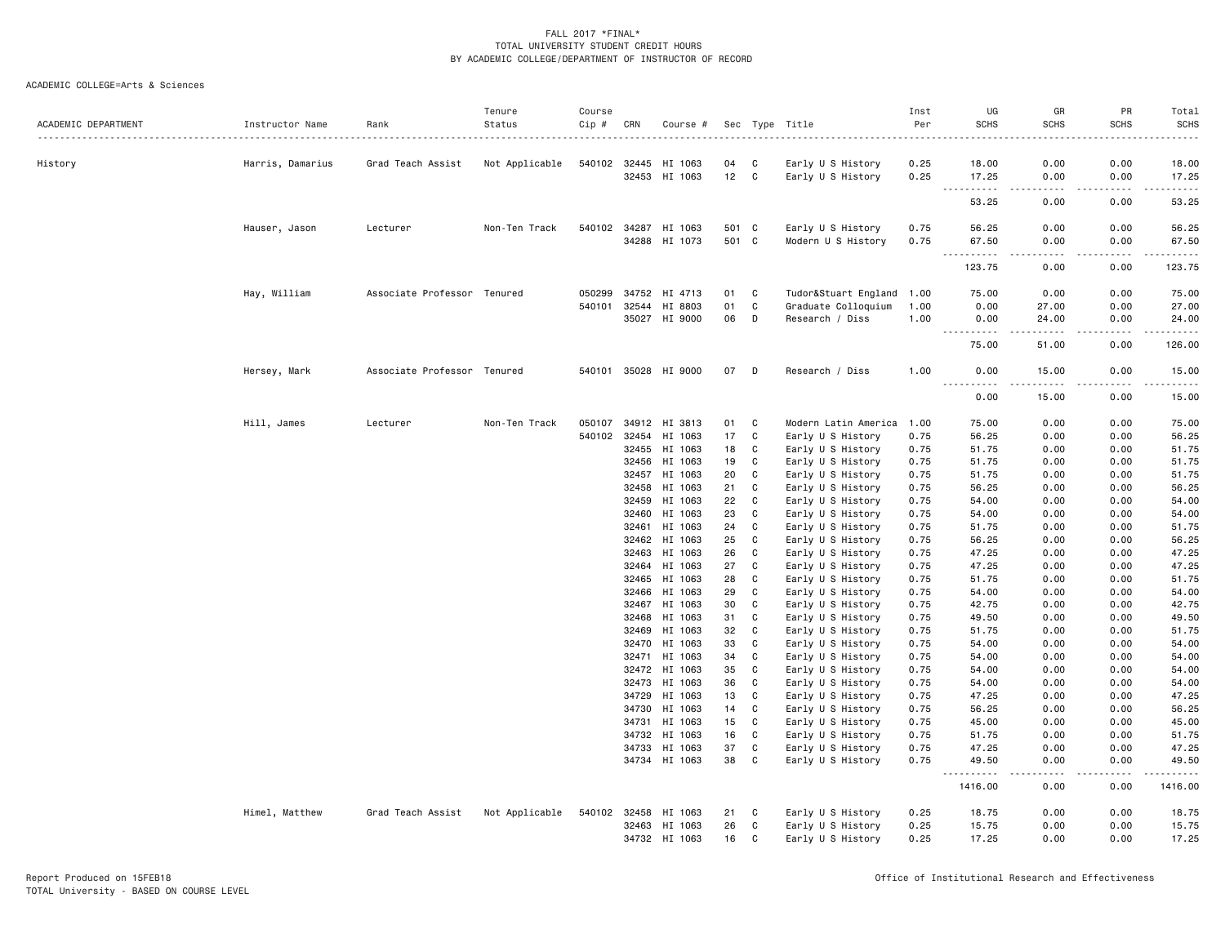| ACADEMIC DEPARTMENT | Instructor Name  | Rank                        | Tenure<br>Status | Course<br>Cip # | CRN          | Course #             |       |   | Sec Type Title       | Inst<br>Per | UG<br><b>SCHS</b><br><u>.</u> | GR<br><b>SCHS</b><br>$\frac{1}{2} \left( \frac{1}{2} \right) \left( \frac{1}{2} \right) \left( \frac{1}{2} \right) \left( \frac{1}{2} \right) \left( \frac{1}{2} \right)$ | PR<br><b>SCHS</b> | Total<br><b>SCHS</b><br>. |
|---------------------|------------------|-----------------------------|------------------|-----------------|--------------|----------------------|-------|---|----------------------|-------------|-------------------------------|---------------------------------------------------------------------------------------------------------------------------------------------------------------------------|-------------------|---------------------------|
| History             | Harris, Damarius | Grad Teach Assist           | Not Applicable   |                 | 540102 32445 | HI 1063              | 04    | C | Early U S History    | 0.25        | 18.00                         | 0.00                                                                                                                                                                      | 0.00              | 18.00                     |
|                     |                  |                             |                  |                 |              | 32453 HI 1063        | 12    | C | Early U S History    | 0.25        | 17.25                         | 0.00                                                                                                                                                                      | 0.00              | 17.25                     |
|                     |                  |                             |                  |                 |              |                      |       |   |                      |             | د د د د د<br>53.25            | .<br>0.00                                                                                                                                                                 | .<br>0.00         | 53.25                     |
|                     | Hauser, Jason    | Lecturer                    | Non-Ten Track    |                 | 540102 34287 | HI 1063              | 501 C |   | Early U S History    | 0.75        | 56.25                         | 0.00                                                                                                                                                                      | 0.00              | 56.25                     |
|                     |                  |                             |                  |                 |              | 34288 HI 1073        | 501 C |   | Modern U S History   | 0.75        | 67.50<br><u>.</u>             | 0.00                                                                                                                                                                      | 0.00              | 67.50                     |
|                     |                  |                             |                  |                 |              |                      |       |   |                      |             | 123.75                        | 0.00                                                                                                                                                                      | 0.00              | 123.75                    |
|                     | Hay, William     | Associate Professor Tenured |                  | 050299          | 34752        | HI 4713              | 01    | C | Tudor&Stuart England | 1.00        | 75.00                         | 0.00                                                                                                                                                                      | 0.00              | 75.00                     |
|                     |                  |                             |                  | 540101          | 32544        | HI 8803              | 01    | C | Graduate Colloquium  | 1.00        | 0.00                          | 27.00                                                                                                                                                                     | 0.00              | 27.00                     |
|                     |                  |                             |                  |                 | 35027        | HI 9000              | 06    | D | Research / Diss      | 1.00        | 0.00<br><b></b>               | 24.00<br>$- - - - -$                                                                                                                                                      | 0.00<br><b>.</b>  | 24.00<br><u>.</u>         |
|                     |                  |                             |                  |                 |              |                      |       |   |                      |             | 75.00                         | 51.00                                                                                                                                                                     | 0.00              | 126.00                    |
|                     | Hersey, Mark     | Associate Professor Tenured |                  |                 |              | 540101 35028 HI 9000 | 07    | D | Research / Diss      | 1.00        | 0.00<br>$- - - - -$<br>.      | 15.00                                                                                                                                                                     | 0.00              | 15.00                     |
|                     |                  |                             |                  |                 |              |                      |       |   |                      |             | 0.00                          | 15.00                                                                                                                                                                     | 0.00              | 15.00                     |
|                     | Hill, James      | Lecturer                    | Non-Ten Track    | 050107          | 34912        | HI 3813              | 01    | C | Modern Latin America | 1.00        | 75.00                         | 0.00                                                                                                                                                                      | 0.00              | 75.00                     |
|                     |                  |                             |                  |                 | 540102 32454 | HI 1063              | 17    | C | Early U S History    | 0.75        | 56.25                         | 0.00                                                                                                                                                                      | 0.00              | 56.25                     |
|                     |                  |                             |                  |                 | 32455        | HI 1063              | 18    | C | Early U S History    | 0.75        | 51.75                         | 0.00                                                                                                                                                                      | 0.00              | 51.75                     |
|                     |                  |                             |                  |                 | 32456        | HI 1063              | 19    | C | Early U S History    | 0.75        | 51.75                         | 0.00                                                                                                                                                                      | 0.00              | 51.75                     |
|                     |                  |                             |                  |                 | 32457        | HI 1063              | 20    | C | Early U S History    | 0.75        | 51.75                         | 0.00                                                                                                                                                                      | 0.00              | 51.75                     |
|                     |                  |                             |                  |                 | 32458        | HI 1063              | 21    | C | Early U S History    | 0.75        | 56.25                         | 0.00                                                                                                                                                                      | 0.00              | 56.25                     |
|                     |                  |                             |                  |                 | 32459        | HI 1063              | 22    | C | Early U S History    | 0.75        | 54.00                         | 0.00                                                                                                                                                                      | 0.00              | 54.00                     |
|                     |                  |                             |                  |                 | 32460        | HI 1063              | 23    | C | Early U S History    | 0.75        | 54.00                         | 0.00                                                                                                                                                                      | 0.00              | 54.00                     |
|                     |                  |                             |                  |                 | 32461        | HI 1063              | 24    | C | Early U S History    | 0.75        | 51.75                         | 0.00                                                                                                                                                                      | 0.00              | 51.75                     |
|                     |                  |                             |                  |                 | 32462        | HI 1063              | 25    | C | Early U S History    | 0.75        | 56.25                         | 0.00                                                                                                                                                                      | 0.00              | 56.25                     |
|                     |                  |                             |                  |                 | 32463        | HI 1063              | 26    | C | Early U S History    | 0.75        | 47.25                         | 0.00                                                                                                                                                                      | 0.00              | 47.25                     |
|                     |                  |                             |                  |                 | 32464        | HI 1063              | 27    | C | Early U S History    | 0.75        | 47.25                         | 0.00                                                                                                                                                                      | 0.00              | 47.25                     |
|                     |                  |                             |                  |                 | 32465        | HI 1063              | 28    | C | Early U S History    | 0.75        | 51.75                         | 0.00                                                                                                                                                                      | 0.00              | 51.75                     |
|                     |                  |                             |                  |                 | 32466        | HI 1063              | 29    | C | Early U S History    | 0.75        | 54.00                         | 0.00                                                                                                                                                                      | 0.00              | 54.00                     |
|                     |                  |                             |                  |                 | 32467        | HI 1063              | 30    | C | Early U S History    | 0.75        | 42.75                         | 0.00                                                                                                                                                                      | 0.00              | 42.75                     |
|                     |                  |                             |                  |                 | 32468        | HI 1063              | 31    | C | Early U S History    | 0.75        | 49.50                         | 0.00                                                                                                                                                                      | 0.00              | 49.50                     |
|                     |                  |                             |                  |                 | 32469        | HI 1063              | 32    | C | Early U S History    | 0.75        | 51.75                         | 0.00                                                                                                                                                                      | 0.00              | 51.75                     |
|                     |                  |                             |                  |                 | 32470        | HI 1063              | 33    | C | Early U S History    | 0.75        | 54.00                         | 0.00                                                                                                                                                                      | 0.00              | 54.00                     |
|                     |                  |                             |                  |                 | 32471        | HI 1063              | 34    | C | Early U S History    | 0.75        | 54.00                         | 0.00                                                                                                                                                                      | 0.00              | 54.00                     |
|                     |                  |                             |                  |                 | 32472        | HI 1063              | 35    | C | Early U S History    | 0.75        | 54.00                         | 0.00                                                                                                                                                                      | 0.00              | 54.00                     |
|                     |                  |                             |                  |                 | 32473        | HI 1063              | 36    | C | Early U S History    | 0.75        | 54.00                         | 0.00                                                                                                                                                                      | 0.00              | 54.00                     |
|                     |                  |                             |                  |                 | 34729        | HI 1063              | 13    | C | Early U S History    | 0.75        | 47.25                         | 0.00                                                                                                                                                                      | 0.00              | 47.25                     |
|                     |                  |                             |                  |                 | 34730        | HI 1063              | 14    | C | Early U S History    | 0.75        | 56.25                         | 0.00                                                                                                                                                                      | 0.00              | 56.25                     |
|                     |                  |                             |                  |                 | 34731        | HI 1063              | 15    | C | Early U S History    | 0.75        | 45.00                         | 0.00                                                                                                                                                                      | 0.00              | 45.00                     |
|                     |                  |                             |                  |                 | 34732        | HI 1063              | 16    | C | Early U S History    | 0.75        | 51.75                         | 0.00                                                                                                                                                                      | 0.00              | 51.75                     |
|                     |                  |                             |                  |                 | 34733        | HI 1063              | 37    | C | Early U S History    | 0.75        | 47.25                         | 0.00                                                                                                                                                                      | 0.00              | 47.25                     |
|                     |                  |                             |                  |                 |              | 34734 HI 1063        | 38    | C | Early U S History    | 0.75        | 49.50<br>.                    | 0.00                                                                                                                                                                      | 0.00              | 49.50<br>.                |
|                     |                  |                             |                  |                 |              |                      |       |   |                      |             | 1416.00                       | 0.00                                                                                                                                                                      | 0.00              | 1416.00                   |
|                     | Himel, Matthew   | Grad Teach Assist           | Not Applicable   |                 | 540102 32458 | HI 1063              | 21    | C | Early U S History    | 0.25        | 18.75                         | 0.00                                                                                                                                                                      | 0.00              | 18.75                     |
|                     |                  |                             |                  |                 | 32463        | HI 1063              | 26    | C | Early U S History    | 0.25        | 15.75                         | 0.00                                                                                                                                                                      | 0.00              | 15.75                     |
|                     |                  |                             |                  |                 |              | 34732 HI 1063        | 16    | C | Early U S History    | 0.25        | 17.25                         | 0.00                                                                                                                                                                      | 0.00              | 17.25                     |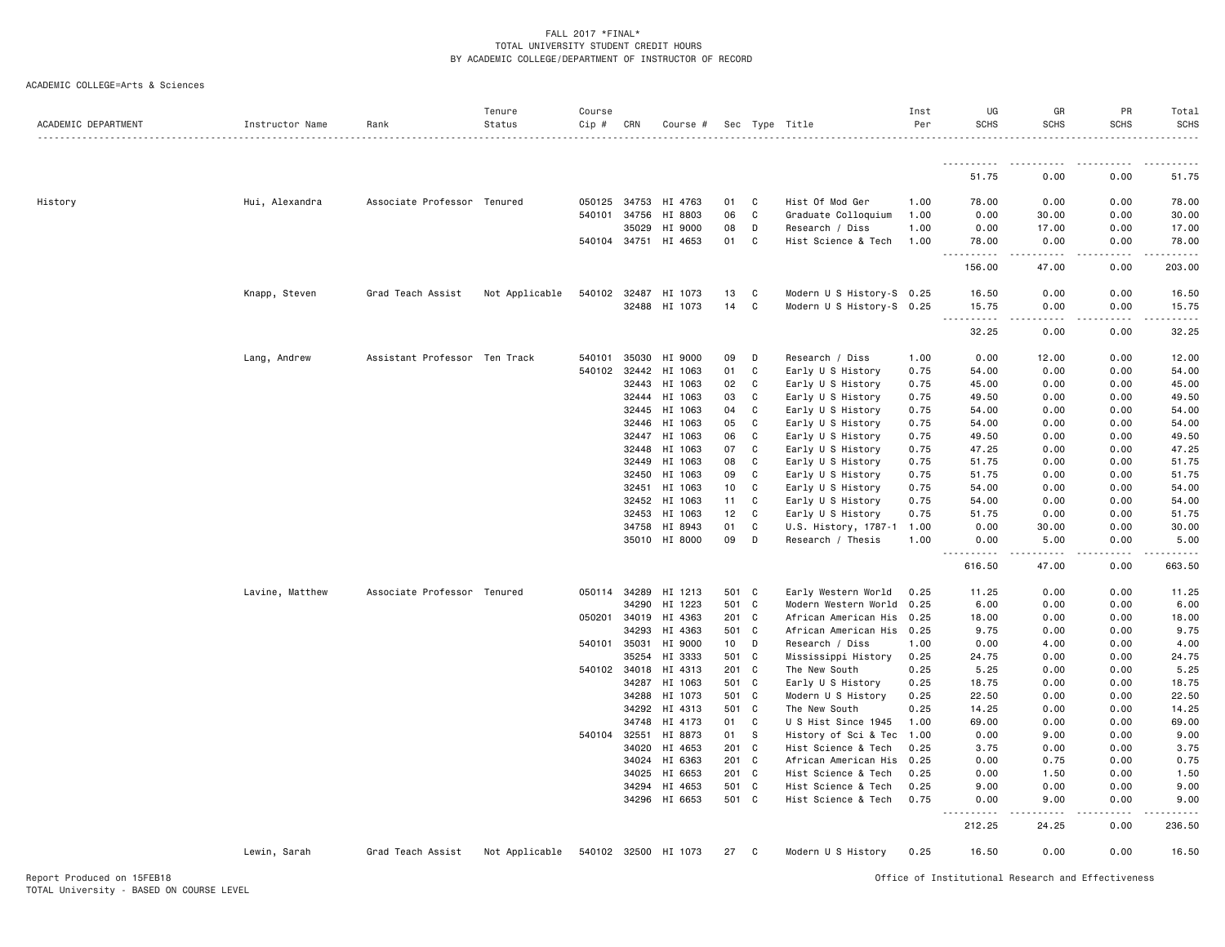| ACADEMIC DEPARTMENT | Instructor Name | Rank                          | Tenure<br>Status | Course<br>Cip # | CRN                   | Course #                 |              |              | Sec Type Title                            | Inst<br>Per  | UG<br><b>SCHS</b>                         | GR<br><b>SCHS</b>  | PR<br><b>SCHS</b> | Total<br><b>SCHS</b> |
|---------------------|-----------------|-------------------------------|------------------|-----------------|-----------------------|--------------------------|--------------|--------------|-------------------------------------------|--------------|-------------------------------------------|--------------------|-------------------|----------------------|
|                     |                 |                               |                  |                 |                       |                          |              |              |                                           |              | .                                         | $\frac{1}{2}$<br>. | $- - - - -$       |                      |
|                     |                 |                               |                  |                 |                       |                          |              |              |                                           |              | 51.75                                     | 0.00               | 0.00              | 51.75                |
| History             | Hui, Alexandra  | Associate Professor Tenured   |                  |                 | 050125 34753          | HI 4763                  | 01           | C            | Hist Of Mod Ger                           | 1.00         | 78.00                                     | 0.00               | 0.00              | 78.00                |
|                     |                 |                               |                  | 540101          | 34756                 | HI 8803                  | 06           | C            | Graduate Colloquium                       | 1.00         | 0.00                                      | 30.00              | 0.00              | 30.00                |
|                     |                 |                               |                  |                 | 35029                 | HI 9000                  | 08           | D            | Research / Diss                           | 1.00         | 0.00                                      | 17.00              | 0.00              | 17.00                |
|                     |                 |                               |                  |                 | 540104 34751          | HI 4653                  | 01           | C            | Hist Science & Tech                       | 1.00         | 78.00<br>.                                | 0.00<br>المتمالين  | 0.00<br>.         | 78.00<br><b></b>     |
|                     |                 |                               |                  |                 |                       |                          |              |              |                                           |              | 156.00                                    | 47.00              | 0.00              | 203.00               |
|                     | Knapp, Steven   | Grad Teach Assist             | Not Applicable   | 540102          | 32487                 | HI 1073                  | 13           | C            | Modern U S History-S 0.25                 |              | 16.50                                     | 0.00               | 0.00              | 16.50                |
|                     |                 |                               |                  |                 |                       | 32488 HI 1073            | 14           | C            | Modern U S History-S 0.25                 |              | 15.75                                     | 0.00               | 0.00              | 15.75                |
|                     |                 |                               |                  |                 |                       |                          |              |              |                                           |              | 32.25                                     | 0.00               | 0.00              | 32.25                |
|                     | Lang, Andrew    | Assistant Professor Ten Track |                  | 540101          | 35030                 | HI 9000                  | 09           | D            | Research / Diss                           | 1.00         | 0.00                                      | 12.00              | 0.00              | 12.00                |
|                     |                 |                               |                  |                 | 540102 32442          | HI 1063                  | 01           | C            | Early U S History                         | 0.75         | 54.00                                     | 0.00               | 0.00              | 54.00                |
|                     |                 |                               |                  |                 | 32443                 | HI 1063                  | 02           | C            | Early U S History                         | 0.75         | 45.00                                     | 0.00               | 0.00              | 45.00                |
|                     |                 |                               |                  |                 | 32444                 | HI 1063                  | 03           | C            | Early U S History                         | 0.75         | 49.50                                     | 0.00               | 0.00              | 49.50                |
|                     |                 |                               |                  |                 | 32445                 | HI 1063                  | 04           | C            | Early U S History                         | 0.75         | 54.00                                     | 0.00               | 0.00              | 54.00                |
|                     |                 |                               |                  |                 | 32446                 | HI 1063                  | 05           | C            | Early U S History                         | 0.75         | 54.00                                     | 0.00               | 0.00              | 54.00                |
|                     |                 |                               |                  |                 | 32447                 | HI 1063                  | 06           | C            | Early U S History                         | 0.75         | 49.50                                     | 0.00               | 0.00              | 49.50                |
|                     |                 |                               |                  |                 | 32448                 | HI 1063                  | 07           | C            | Early U S History                         | 0.75         | 47.25                                     | 0.00               | 0.00              | 47.25                |
|                     |                 |                               |                  |                 | 32449                 | HI 1063                  | 08           | C            | Early U S History                         | 0.75         | 51.75                                     | 0.00               | 0.00              | 51.75                |
|                     |                 |                               |                  |                 | 32450                 | HI 1063                  | 09           | C            | Early U S History                         | 0.75         | 51.75                                     | 0.00               | 0.00              | 51.75                |
|                     |                 |                               |                  |                 | 32451                 | HI 1063                  | 10           | C            | Early U S History                         | 0.75         | 54.00                                     | 0.00               | 0.00              | 54.00                |
|                     |                 |                               |                  |                 | 32452                 | HI 1063                  | 11           | C            | Early U S History                         | 0.75         | 54.00                                     | 0.00               | 0.00              | 54.00                |
|                     |                 |                               |                  |                 | 32453                 | HI 1063                  | 12           | C            | Early U S History                         | 0.75         | 51.75                                     | 0.00               | 0.00              | 51.75                |
|                     |                 |                               |                  |                 | 34758                 | HI 8943<br>35010 HI 8000 | 01<br>09     | C<br>D       | U.S. History, 1787-1<br>Research / Thesis | 1.00<br>1.00 | 0.00<br>0.00                              | 30.00<br>5.00      | 0.00<br>0.00      | 30.00<br>5.00        |
|                     |                 |                               |                  |                 |                       |                          |              |              |                                           |              | $\sim$ $\sim$ $\sim$ $\sim$               |                    |                   |                      |
|                     |                 |                               |                  |                 |                       |                          |              |              |                                           |              | 616.50                                    | 47.00              | 0.00              | 663.50               |
|                     | Lavine, Matthew | Associate Professor Tenured   |                  |                 | 050114 34289          | HI 1213                  | 501 C        |              | Early Western World                       | 0.25         | 11.25                                     | 0.00               | 0.00              | 11.25                |
|                     |                 |                               |                  |                 | 34290                 | HI 1223                  | 501 C        |              | Modern Western World                      | 0.25         | 6.00                                      | 0.00               | 0.00              | 6.00                 |
|                     |                 |                               |                  |                 | 050201 34019          | HI 4363                  | 201 C        |              | African American His                      | 0.25         | 18.00                                     | 0.00               | 0.00              | 18.00                |
|                     |                 |                               |                  |                 | 34293                 | HI 4363                  | 501 C        |              | African American His                      | 0.25         | 9.75                                      | 0.00               | 0.00              | 9.75                 |
|                     |                 |                               |                  | 540101          | 35031                 | HI 9000                  | 10           | D            | Research / Diss                           | 1.00         | 0.00                                      | 4.00               | 0.00              | 4.00                 |
|                     |                 |                               |                  |                 | 35254                 | HI 3333                  | 501 C        |              | Mississippi History                       | 0.25         | 24.75                                     | 0.00               | 0.00              | 24.75                |
|                     |                 |                               |                  |                 | 540102 34018<br>34287 | HI 4313<br>HI 1063       | 201 C<br>501 | $\mathbf{C}$ | The New South<br>Early U S History        | 0.25<br>0.25 | 5.25<br>18.75                             | 0.00<br>0.00       | 0.00<br>0.00      | 5.25<br>18.75        |
|                     |                 |                               |                  |                 | 34288                 | HI 1073                  | 501 C        |              | Modern U S History                        | 0.25         | 22.50                                     | 0.00               | 0.00              | 22.50                |
|                     |                 |                               |                  |                 | 34292                 | HI 4313                  | 501 C        |              | The New South                             | 0.25         | 14.25                                     | 0.00               | 0.00              | 14.25                |
|                     |                 |                               |                  |                 | 34748                 | HI 4173                  | 01           | C            | U S Hist Since 1945                       | 1.00         | 69.00                                     | 0.00               | 0.00              | 69.00                |
|                     |                 |                               |                  |                 | 540104 32551          | HI 8873                  | 01           | -S           | History of Sci & Tec                      | 1.00         | 0.00                                      | 9.00               | 0.00              | 9.00                 |
|                     |                 |                               |                  |                 | 34020                 | HI 4653                  | 201 C        |              | Hist Science & Tech                       | 0.25         | 3.75                                      | 0.00               | 0.00              | 3.75                 |
|                     |                 |                               |                  |                 | 34024                 | HI 6363                  | 201 C        |              | African American His                      | 0.25         | 0.00                                      | 0.75               | 0.00              | 0.75                 |
|                     |                 |                               |                  |                 | 34025                 | HI 6653                  | 201 C        |              | Hist Science & Tech                       | 0.25         | 0.00                                      | 1.50               | 0.00              | 1.50                 |
|                     |                 |                               |                  |                 | 34294                 | HI 4653                  | 501 C        |              | Hist Science & Tech                       | 0.25         | 9.00                                      | 0.00               | 0.00              | 9.00                 |
|                     |                 |                               |                  |                 |                       | 34296 HI 6653            | 501 C        |              | Hist Science & Tech                       | 0.75         | 0.00<br>$\sim$ $\sim$ $\sim$<br>$- - - -$ | 9.00               | 0.00              | 9.00                 |
|                     |                 |                               |                  |                 |                       |                          |              |              |                                           |              | 212.25                                    | 24.25              | 0.00              | 236.50               |
|                     | Lewin, Sarah    | Grad Teach Assist             | Not Applicable   |                 |                       | 540102 32500 HI 1073     | 27           | C            | Modern U S History                        | 0.25         | 16.50                                     | 0.00               | 0.00              | 16.50                |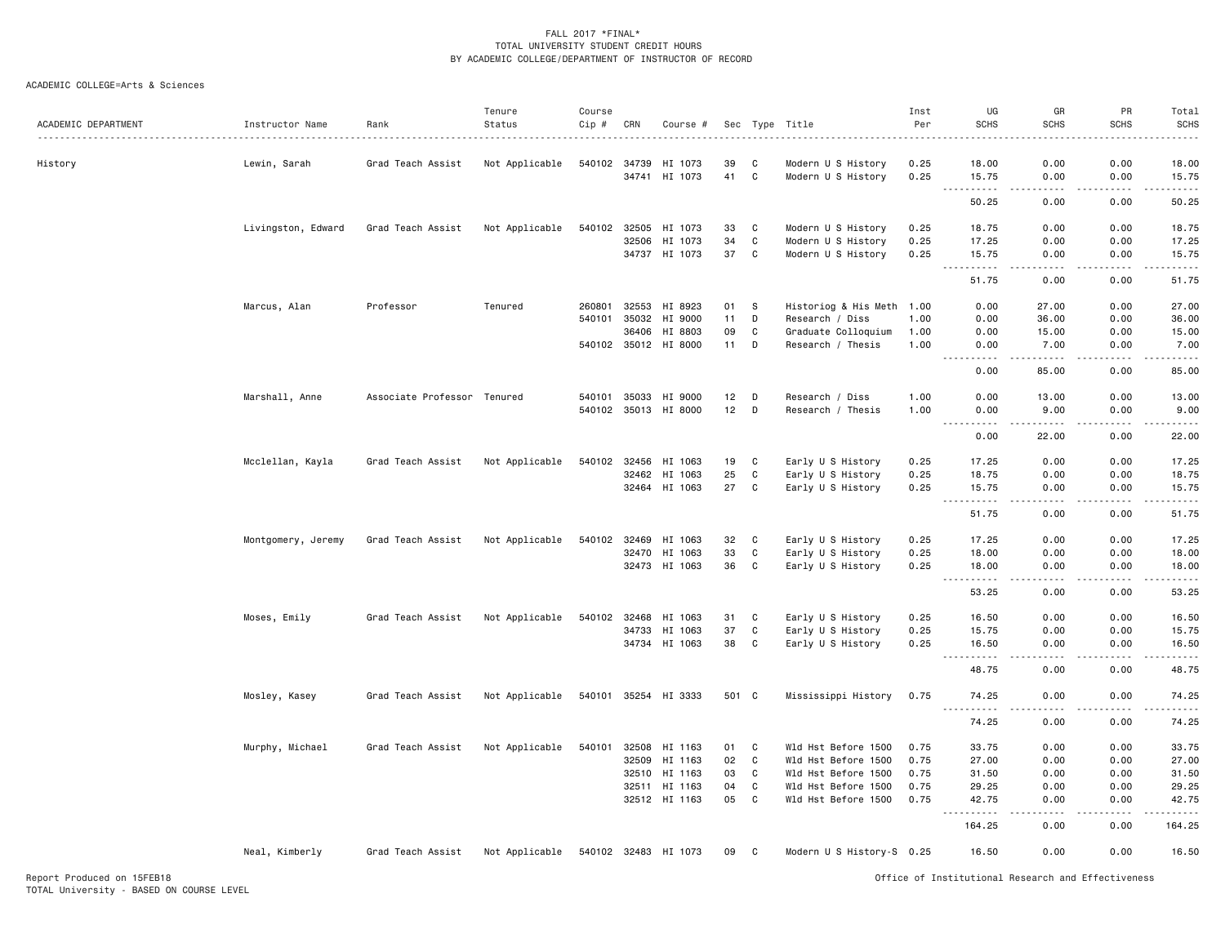| ACADEMIC DEPARTMENT | Instructor Name    | Rank                        | Tenure<br>Status | Course<br>Cip # | CRN   | Course #             |       |             | Sec Type Title            | Inst<br>Per | UG<br><b>SCHS</b>                                                                                                                                                              | GR<br><b>SCHS</b> | PR<br><b>SCHS</b>  | Total<br><b>SCHS</b> |
|---------------------|--------------------|-----------------------------|------------------|-----------------|-------|----------------------|-------|-------------|---------------------------|-------------|--------------------------------------------------------------------------------------------------------------------------------------------------------------------------------|-------------------|--------------------|----------------------|
| History             | Lewin, Sarah       | Grad Teach Assist           | Not Applicable   | 540102 34739    |       | HI 1073              | 39    | C           | Modern U S History        | 0.25        | 18.00                                                                                                                                                                          | 0.00              | 0.00               | 18.00                |
|                     |                    |                             |                  |                 |       | 34741 HI 1073        | 41    | C           | Modern U S History        | 0.25        | 15.75                                                                                                                                                                          | 0.00<br>.         | 0.00<br>.          | 15.75<br>.           |
|                     |                    |                             |                  |                 |       |                      |       |             |                           |             | 50.25                                                                                                                                                                          | 0.00              | 0.00               | 50.25                |
|                     | Livingston, Edward | Grad Teach Assist           | Not Applicable   | 540102 32505    |       | HI 1073              | 33    | C           | Modern U S History        | 0.25        | 18.75                                                                                                                                                                          | 0.00              | 0.00               | 18.75                |
|                     |                    |                             |                  |                 | 32506 | HI 1073              | 34    | $\mathbb C$ | Modern U S History        | 0.25        | 17.25                                                                                                                                                                          | 0.00              | 0.00               | 17.25                |
|                     |                    |                             |                  |                 |       | 34737 HI 1073        | 37    | C           | Modern U S History        | 0.25        | 15.75<br>.                                                                                                                                                                     | 0.00              | 0.00               | 15.75                |
|                     |                    |                             |                  |                 |       |                      |       |             |                           |             | 51.75                                                                                                                                                                          | 0.00              | 0.00               | 51.75                |
|                     | Marcus, Alan       | Professor                   | Tenured          | 260801          | 32553 | HI 8923              | 01    | s           | Historiog & His Meth      | 1.00        | 0.00                                                                                                                                                                           | 27.00             | 0.00               | 27.00                |
|                     |                    |                             |                  | 540101 35032    |       | HI 9000              | 11    | D           | Research / Diss           | 1.00        | 0.00                                                                                                                                                                           | 36.00             | 0.00               | 36.00                |
|                     |                    |                             |                  |                 | 36406 | HI 8803              | 09    | C           | Graduate Colloquium       | 1.00        | 0.00                                                                                                                                                                           | 15.00             | 0.00               | 15.00                |
|                     |                    |                             |                  |                 |       | 540102 35012 HI 8000 | 11    | D           | Research / Thesis         | 1.00        | 0.00<br><u>.</u>                                                                                                                                                               | 7.00<br>د د د د د | 0.00<br>.          | 7.00<br>.            |
|                     |                    |                             |                  |                 |       |                      |       |             |                           |             | 0.00                                                                                                                                                                           | 85.00             | 0.00               | 85.00                |
|                     | Marshall, Anne     | Associate Professor Tenured |                  | 540101          | 35033 | HI 9000              | 12    | D           | Research / Diss           | 1.00        | 0.00                                                                                                                                                                           | 13.00             | 0.00               | 13.00                |
|                     |                    |                             |                  |                 |       | 540102 35013 HI 8000 | 12    | D           | Research / Thesis         | 1.00        | 0.00                                                                                                                                                                           | 9.00              | 0.00               | 9.00                 |
|                     |                    |                             |                  |                 |       |                      |       |             |                           |             | $- - - - -$<br>$\sim$ $\sim$ $\sim$<br>0.00                                                                                                                                    | 22.00             | 0.00               | .<br>22.00           |
|                     | Mcclellan, Kayla   | Grad Teach Assist           | Not Applicable   | 540102 32456    |       | HI 1063              | 19    | C           | Early U S History         | 0.25        | 17.25                                                                                                                                                                          | 0.00              | 0.00               | 17.25                |
|                     |                    |                             |                  |                 | 32462 | HI 1063              | 25    | C           | Early U S History         | 0.25        | 18.75                                                                                                                                                                          | 0.00              | 0.00               | 18.75                |
|                     |                    |                             |                  |                 |       | 32464 HI 1063        | 27    | C           | Early U S History         | 0.25        | 15.75<br>.<br>$\sim$ $\sim$ $\sim$                                                                                                                                             | 0.00<br>.         | 0.00<br>. <b>.</b> | 15.75<br>.           |
|                     |                    |                             |                  |                 |       |                      |       |             |                           |             | 51.75                                                                                                                                                                          | 0.00              | 0.00               | 51.75                |
|                     | Montgomery, Jeremy | Grad Teach Assist           | Not Applicable   | 540102          | 32469 | HI 1063              | 32    | C           | Early U S History         | 0.25        | 17.25                                                                                                                                                                          | 0.00              | 0.00               | 17.25                |
|                     |                    |                             |                  |                 | 32470 | HI 1063              | 33    | C           | Early U S History         | 0.25        | 18.00                                                                                                                                                                          | 0.00              | 0.00               | 18.00                |
|                     |                    |                             |                  |                 |       | 32473 HI 1063        | 36    | C           | Early U S History         | 0.25        | 18.00<br>$\frac{1}{2} \left( \frac{1}{2} \right) \left( \frac{1}{2} \right) \left( \frac{1}{2} \right) \left( \frac{1}{2} \right) \left( \frac{1}{2} \right)$<br>$\sim$ $\sim$ | 0.00<br>.         | 0.00<br>.          | 18.00<br>.           |
|                     |                    |                             |                  |                 |       |                      |       |             |                           |             | 53.25                                                                                                                                                                          | 0.00              | 0.00               | 53.25                |
|                     | Moses, Emily       | Grad Teach Assist           | Not Applicable   | 540102 32468    |       | HI 1063              | 31    | C           | Early U S History         | 0.25        | 16.50                                                                                                                                                                          | 0.00              | 0.00               | 16.50                |
|                     |                    |                             |                  |                 | 34733 | HI 1063              | 37    | C           | Early U S History         | 0.25        | 15.75                                                                                                                                                                          | 0.00              | 0.00               | 15.75                |
|                     |                    |                             |                  |                 |       | 34734 HI 1063        | 38    | C           | Early U S History         | 0.25        | 16.50<br>$- - - - -$                                                                                                                                                           | 0.00              | 0.00               | 16.50                |
|                     |                    |                             |                  |                 |       |                      |       |             |                           |             | 48.75                                                                                                                                                                          | 0.00              | 0.00               | 48.75                |
|                     | Mosley, Kasey      | Grad Teach Assist           | Not Applicable   |                 |       | 540101 35254 HI 3333 | 501 C |             | Mississippi History       | 0.75        | 74.25<br>.                                                                                                                                                                     | 0.00              | 0.00               | 74.25                |
|                     |                    |                             |                  |                 |       |                      |       |             |                           |             | 74.25                                                                                                                                                                          | 0.00              | 0.00               | 74.25                |
|                     | Murphy, Michael    | Grad Teach Assist           | Not Applicable   | 540101          | 32508 | HI 1163              | 01    | C           | Wld Hst Before 1500       | 0.75        | 33.75                                                                                                                                                                          | 0.00              | 0.00               | 33.75                |
|                     |                    |                             |                  |                 | 32509 | HI 1163              | 02    | C           | Wld Hst Before 1500       | 0.75        | 27.00                                                                                                                                                                          | 0.00              | 0.00               | 27.00                |
|                     |                    |                             |                  |                 | 32510 | HI 1163              | 03    | C           | Wld Hst Before 1500       | 0.75        | 31.50                                                                                                                                                                          | 0.00              | 0.00               | 31.50                |
|                     |                    |                             |                  |                 | 32511 | HI 1163              | 04    | C           | Wld Hst Before 1500       | 0.75        | 29.25                                                                                                                                                                          | 0.00              | 0.00               | 29.25                |
|                     |                    |                             |                  |                 |       | 32512 HI 1163        | 05    | C           | Wld Hst Before 1500       | 0.75        | 42.75<br>.                                                                                                                                                                     | 0.00              | 0.00               | 42.75<br>.           |
|                     |                    |                             |                  |                 |       |                      |       |             |                           |             | 164.25                                                                                                                                                                         | 0.00              | 0.00               | 164.25               |
|                     | Neal, Kimberly     | Grad Teach Assist           | Not Applicable   |                 |       | 540102 32483 HI 1073 | 09    | C           | Modern U S History-S 0.25 |             | 16.50                                                                                                                                                                          | 0.00              | 0.00               | 16.50                |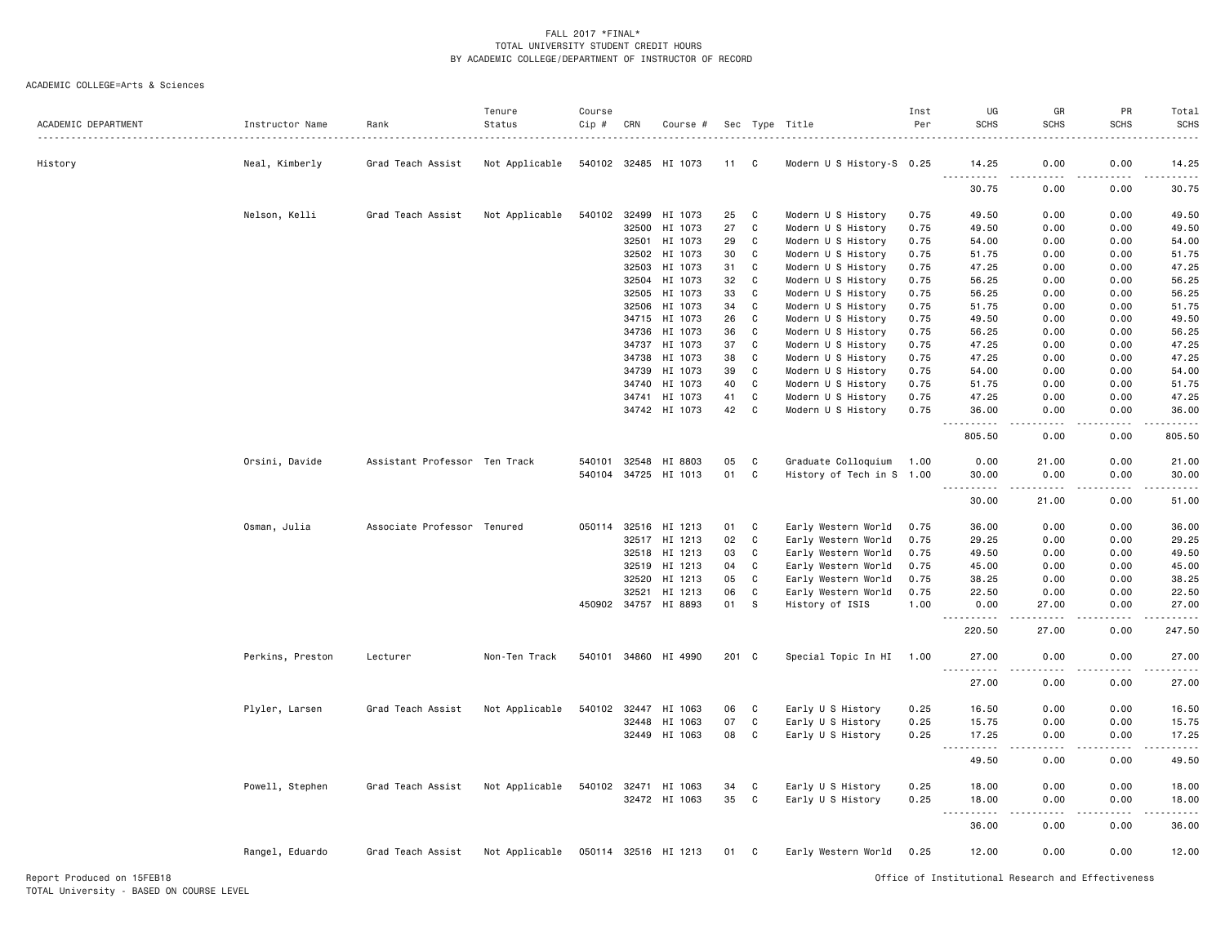| ACADEMIC DEPARTMENT | Instructor Name  | Rank                          | Tenure<br>Status | Course<br>Cip # | CRN          | Course #             |       |              | Sec Type Title            | Inst<br>Per | UG<br><b>SCHS</b>                  | GR<br><b>SCHS</b> | PR<br><b>SCHS</b> | Total<br><b>SCHS</b> |
|---------------------|------------------|-------------------------------|------------------|-----------------|--------------|----------------------|-------|--------------|---------------------------|-------------|------------------------------------|-------------------|-------------------|----------------------|
| History             | Neal, Kimberly   | Grad Teach Assist             | Not Applicable   |                 |              | 540102 32485 HI 1073 | 11 C  |              | Modern U S History-S 0.25 |             | 14.25                              | 0.00              | 0.00              | 14.25                |
|                     |                  |                               |                  |                 |              |                      |       |              |                           |             | <u>.</u><br>30.75                  | .<br>0.00         | 0.00              | .<br>30.75           |
|                     | Nelson, Kelli    | Grad Teach Assist             | Not Applicable   | 540102          | 32499        | HI 1073              | 25    | C            | Modern U S History        | 0.75        | 49.50                              | 0.00              | 0.00              | 49.50                |
|                     |                  |                               |                  |                 | 32500        | HI 1073              | 27    | C            | Modern U S History        | 0.75        | 49.50                              | 0.00              | 0.00              | 49.50                |
|                     |                  |                               |                  |                 | 32501        | HI 1073              | 29    | C            | Modern U S History        | 0.75        | 54.00                              | 0.00              | 0.00              | 54.00                |
|                     |                  |                               |                  |                 | 32502        | HI 1073              | 30    | C            | Modern U S History        | 0.75        | 51.75                              | 0.00              | 0.00              | 51.75                |
|                     |                  |                               |                  |                 | 32503        | HI 1073              | 31    | C            | Modern U S History        | 0.75        | 47.25                              | 0.00              | 0.00              | 47.25                |
|                     |                  |                               |                  |                 | 32504        | HI 1073              | 32    | C            | Modern U S History        | 0.75        | 56.25                              | 0.00              | 0.00              | 56.25                |
|                     |                  |                               |                  |                 | 32505        | HI 1073              | 33    | C            | Modern U S History        | 0.75        | 56.25                              | 0.00              | 0.00              | 56.25                |
|                     |                  |                               |                  |                 | 32506        | HI 1073              | 34    | C            | Modern U S History        | 0.75        | 51.75                              | 0.00              | 0.00              | 51.75                |
|                     |                  |                               |                  |                 | 34715        | HI 1073              | 26    | C            | Modern U S History        | 0.75        | 49.50                              | 0.00              | 0.00              | 49.50                |
|                     |                  |                               |                  |                 | 34736        | HI 1073              | 36    | $\mathbb{C}$ | Modern U S History        | 0.75        | 56.25                              | 0.00              | 0.00              | 56.25                |
|                     |                  |                               |                  |                 | 34737        | HI 1073              | 37    | C            | Modern U S History        | 0.75        | 47.25                              | 0.00              | 0.00              | 47.25                |
|                     |                  |                               |                  |                 | 34738        | HI 1073              | 38    | C            | Modern U S History        | 0.75        | 47.25                              | 0.00              | 0.00              | 47.25                |
|                     |                  |                               |                  |                 | 34739        | HI 1073              | 39    | C            | Modern U S History        | 0.75        | 54.00                              | 0.00              | 0.00              | 54.00                |
|                     |                  |                               |                  |                 | 34740        | HI 1073              | 40    | C            | Modern U S History        | 0.75        | 51.75                              | 0.00              | 0.00              | 51.75                |
|                     |                  |                               |                  |                 | 34741        | HI 1073              | 41    | C            | Modern U S History        | 0.75        | 47.25                              | 0.00              | 0.00              | 47.25                |
|                     |                  |                               |                  |                 |              | 34742 HI 1073        | 42    | C            | Modern U S History        | 0.75        | 36.00<br>.                         | 0.00<br>.         | 0.00<br>د د د د   | 36.00<br>.           |
|                     |                  |                               |                  |                 |              |                      |       |              |                           |             | 805.50                             | 0.00              | 0.00              | 805.50               |
|                     | Orsini, Davide   | Assistant Professor Ten Track |                  | 540101          | 32548        | HI 8803              | 05    | C            | Graduate Colloquium       | 1.00        | 0.00                               | 21.00             | 0.00              | 21.00                |
|                     |                  |                               |                  |                 |              | 540104 34725 HI 1013 | 01    | C            | History of Tech in S 1.00 |             | 30.00<br>$\sim$ $\sim$<br><u>.</u> | 0.00<br>.         | 0.00<br><b>.</b>  | 30.00<br>.           |
|                     |                  |                               |                  |                 |              |                      |       |              |                           |             | 30.00                              | 21.00             | 0.00              | 51.00                |
|                     | Osman, Julia     | Associate Professor Tenured   |                  | 050114          | 32516        | HI 1213              | 01    | C            | Early Western World       | 0.75        | 36.00                              | 0.00              | 0.00              | 36.00                |
|                     |                  |                               |                  |                 | 32517        | HI 1213              | 02    | C            | Early Western World       | 0.75        | 29.25                              | 0.00              | 0.00              | 29.25                |
|                     |                  |                               |                  |                 | 32518        | HI 1213              | 03    | C            | Early Western World       | 0.75        | 49.50                              | 0.00              | 0.00              | 49.50                |
|                     |                  |                               |                  |                 | 32519        | HI 1213              | 04    | C            | Early Western World       | 0.75        | 45.00                              | 0.00              | 0.00              | 45.00                |
|                     |                  |                               |                  |                 | 32520        | HI 1213              | 05    | C            | Early Western World       | 0.75        | 38.25                              | 0.00              | 0.00              | 38.25                |
|                     |                  |                               |                  |                 | 32521        | HI 1213              | 06    | $\mathtt{C}$ | Early Western World       | 0.75        | 22.50                              | 0.00              | 0.00              | 22.50                |
|                     |                  |                               |                  |                 |              | 450902 34757 HI 8893 | 01    | <b>S</b>     | History of ISIS           | 1.00        | 0.00                               | 27.00             | 0.00              | 27.00                |
|                     |                  |                               |                  |                 |              |                      |       |              |                           |             | .<br>220.50                        | .<br>27.00        | .<br>0.00         | .<br>247.50          |
|                     | Perkins, Preston | Lecturer                      | Non-Ten Track    |                 |              | 540101 34860 HI 4990 | 201 C |              | Special Topic In HI       | 1.00        | 27.00<br>$ -$                      | 0.00              | 0.00              | 27.00                |
|                     |                  |                               |                  |                 |              |                      |       |              |                           |             | 27.00                              | 0.00              | 0.00              | 27.00                |
|                     | Plyler, Larsen   | Grad Teach Assist             | Not Applicable   |                 | 540102 32447 | HI 1063              | 06    | $\mathbf{C}$ | Early U S History         | 0.25        | 16.50                              | 0.00              | 0.00              | 16.50                |
|                     |                  |                               |                  |                 | 32448        | HI 1063              | 07    | C            | Early U S History         | 0.25        | 15.75                              | 0.00              | 0.00              | 15.75                |
|                     |                  |                               |                  |                 | 32449        | HI 1063              | 08    | C            | Early U S History         | 0.25        | 17.25<br><u>.</u>                  | 0.00<br>.         | 0.00              | 17.25<br>.           |
|                     |                  |                               |                  |                 |              |                      |       |              |                           |             | 49.50                              | 0.00              | 0.00              | 49.50                |
|                     | Powell, Stephen  | Grad Teach Assist             | Not Applicable   |                 |              | 540102 32471 HI 1063 | 34    | C            | Early U S History         | 0.25        | 18.00                              | 0.00              | 0.00              | 18.00                |
|                     |                  |                               |                  |                 |              | 32472 HI 1063        | 35    | C            | Early U S History         | 0.25        | 18.00                              | 0.00              | 0.00              | 18.00                |
|                     |                  |                               |                  |                 |              |                      |       |              |                           |             | $\sim$ $\sim$<br>----<br>36.00     | 0.00              | 0.00              | 36.00                |
|                     | Rangel, Eduardo  | Grad Teach Assist             | Not Applicable   |                 |              | 050114 32516 HI 1213 | 01 C  |              | Early Western World 0.25  |             | 12.00                              | 0.00              | 0.00              | 12.00                |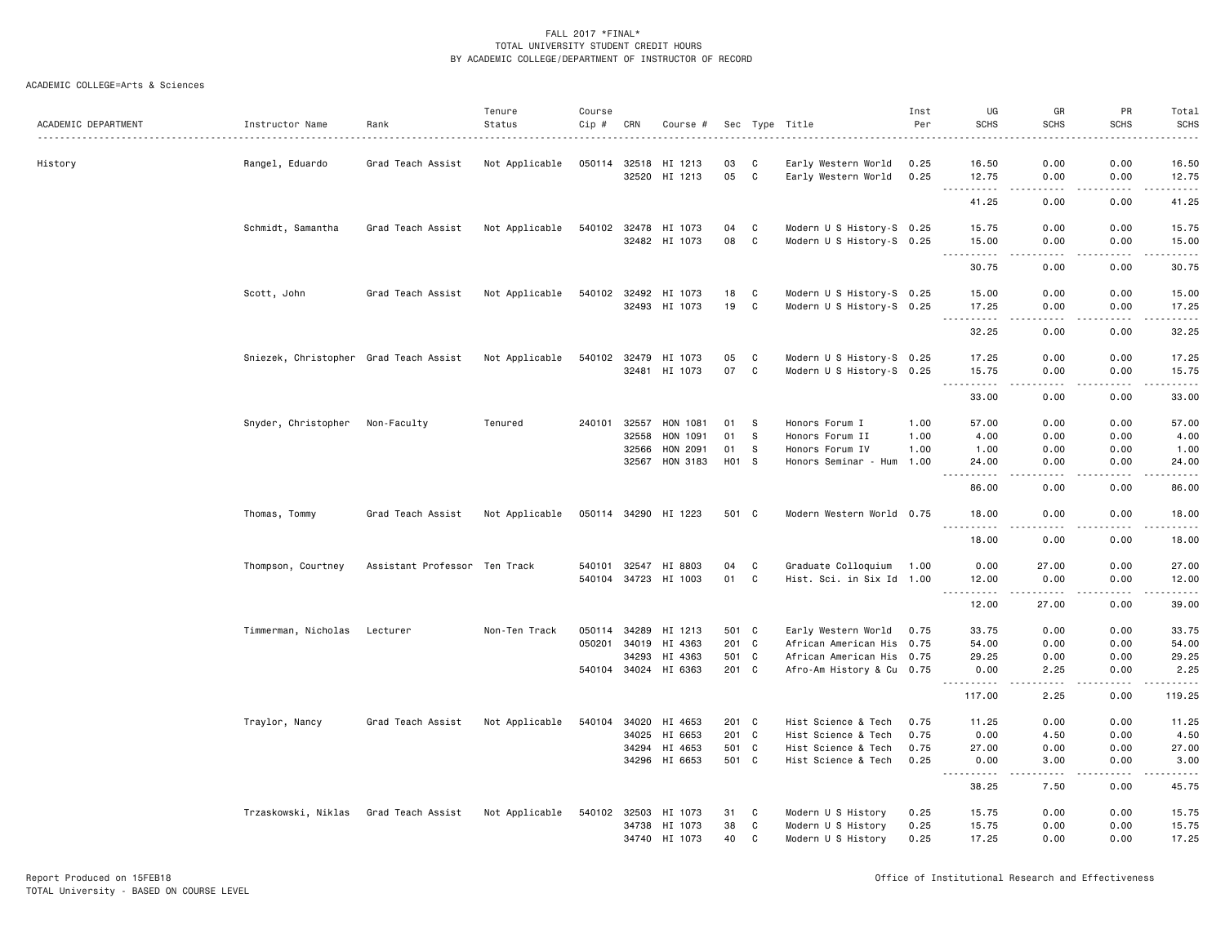| ACADEMIC DEPARTMENT | Instructor Name                        | Rank<br>.                     | Tenure<br>Status | Course<br>Cip # | CRN          | Course #             |       |    | Sec Type Title            | Inst<br>Per | UG<br><b>SCHS</b>           | GR<br><b>SCHS</b>   | PR<br><b>SCHS</b> | Total<br><b>SCHS</b>   |
|---------------------|----------------------------------------|-------------------------------|------------------|-----------------|--------------|----------------------|-------|----|---------------------------|-------------|-----------------------------|---------------------|-------------------|------------------------|
| History             | Rangel, Eduardo                        | Grad Teach Assist             | Not Applicable   | 050114 32518    |              | HI 1213              | 03    | C  | Early Western World       | 0.25        | 16.50                       | 0.00                | 0.00              | 16.50                  |
|                     |                                        |                               |                  |                 |              | 32520 HI 1213        | 05    | C  | Early Western World       | 0.25        | 12.75<br>.                  | 0.00<br>.           | 0.00<br>.         | 12.75<br>$- - - - - -$ |
|                     |                                        |                               |                  |                 |              |                      |       |    |                           |             | 41.25                       | 0.00                | 0.00              | 41.25                  |
|                     | Schmidt, Samantha                      | Grad Teach Assist             | Not Applicable   | 540102 32478    |              | HI 1073              | 04    | C  | Modern U S History-S 0.25 |             | 15.75                       | 0.00                | 0.00              | 15.75                  |
|                     |                                        |                               |                  |                 |              | 32482 HI 1073        | 08    | C  | Modern U S History-S 0.25 |             | 15.00<br>.                  | 0.00                | 0.00              | 15.00<br>.             |
|                     |                                        |                               |                  |                 |              |                      |       |    |                           |             | 30.75                       | 0.00                | 0.00              | 30.75                  |
|                     | Scott, John                            | Grad Teach Assist             | Not Applicable   |                 |              | 540102 32492 HI 1073 | 18    | C  | Modern U S History-S 0.25 |             | 15.00                       | 0.00                | 0.00              | 15.00                  |
|                     |                                        |                               |                  |                 |              | 32493 HI 1073        | 19    | C  | Modern U S History-S 0.25 |             | 17.25<br><u>.</u>           | 0.00<br>.           | 0.00<br>.         | 17.25<br>.             |
|                     |                                        |                               |                  |                 |              |                      |       |    |                           |             | 32.25                       | 0.00                | 0.00              | 32.25                  |
|                     | Sniezek, Christopher Grad Teach Assist |                               | Not Applicable   |                 |              | 540102 32479 HI 1073 | 05    | C  | Modern U S History-S 0.25 |             | 17.25                       | 0.00                | 0.00              | 17.25                  |
|                     |                                        |                               |                  |                 |              | 32481 HI 1073        | 07    | C  | Modern U S History-S 0.25 |             | 15.75<br>$- - - - -$        | 0.00                | 0.00              | 15.75<br>.             |
|                     |                                        |                               |                  |                 |              |                      |       |    |                           |             | 33.00                       | 0.00                | 0.00              | 33.00                  |
|                     | Snyder, Christopher Non-Faculty        |                               | Tenured          |                 | 240101 32557 | HON 1081             | 01    | -S | Honors Forum I            | 1.00        | 57.00                       | 0.00                | 0.00              | 57.00                  |
|                     |                                        |                               |                  |                 | 32558        | HON 1091             | 01    | s  | Honors Forum II           | 1.00        | 4.00                        | 0.00                | 0.00              | 4.00                   |
|                     |                                        |                               |                  |                 | 32566        | HON 2091             | 01    | s  | Honors Forum IV           | 1.00        | 1.00                        | 0.00                | 0.00              | 1.00                   |
|                     |                                        |                               |                  |                 | 32567        | HON 3183             | H01 S |    | Honors Seminar - Hum 1.00 |             | 24.00<br>. <b>.</b>         | 0.00<br>.           | 0.00<br>.         | 24.00<br>.             |
|                     |                                        |                               |                  |                 |              |                      |       |    |                           |             | 86.00                       | 0.00                | 0.00              | 86.00                  |
|                     | Thomas, Tommy                          | Grad Teach Assist             | Not Applicable   |                 |              | 050114 34290 HI 1223 | 501 C |    | Modern Western World 0.75 |             | 18.00<br><u>.</u>           | 0.00<br>.           | 0.00<br>-----     | 18.00<br>.             |
|                     |                                        |                               |                  |                 |              |                      |       |    |                           |             | 18.00                       | 0.00                | 0.00              | 18.00                  |
|                     | Thompson, Courtney                     | Assistant Professor Ten Track |                  |                 |              | 540101 32547 HI 8803 | 04    | C  | Graduate Colloquium       | 1.00        | 0.00                        | 27.00               | 0.00              | 27.00                  |
|                     |                                        |                               |                  |                 | 540104 34723 | HI 1003              | 01    | C  | Hist. Sci. in Six Id 1.00 |             | 12.00<br>.                  | 0.00<br>$- - - - -$ | 0.00              | 12.00<br>. <b>.</b>    |
|                     |                                        |                               |                  |                 |              |                      |       |    |                           |             | 12.00                       | 27.00               | 0.00              | 39.00                  |
|                     | Timmerman, Nicholas                    | Lecturer                      | Non-Ten Track    |                 | 050114 34289 | HI 1213              | 501 C |    | Early Western World       | 0.75        | 33.75                       | 0.00                | 0.00              | 33.75                  |
|                     |                                        |                               |                  |                 | 050201 34019 | HI 4363              | 201 C |    | African American His 0.75 |             | 54.00                       | 0.00                | 0.00              | 54.00                  |
|                     |                                        |                               |                  |                 | 34293        | HI 4363              | 501 C |    | African American His      | 0.75        | 29.25                       | 0.00                | 0.00              | 29.25                  |
|                     |                                        |                               |                  |                 |              | 540104 34024 HI 6363 | 201 C |    | Afro-Am History & Cu 0.75 |             | 0.00<br>الأنابات المالية ال | 2.25                | 0.00<br>.         | 2.25                   |
|                     |                                        |                               |                  |                 |              |                      |       |    |                           |             | 117.00                      | 2.25                | 0.00              | 119.25                 |
|                     | Traylor, Nancy                         | Grad Teach Assist             | Not Applicable   | 540104 34020    |              | HI 4653              | 201 C |    | Hist Science & Tech       | 0.75        | 11.25                       | 0.00                | 0.00              | 11.25                  |
|                     |                                        |                               |                  |                 | 34025        | HI 6653              | 201 C |    | Hist Science & Tech       | 0.75        | 0.00                        | 4.50                | 0.00              | 4.50                   |
|                     |                                        |                               |                  |                 | 34294        | HI 4653              | 501 C |    | Hist Science & Tech       | 0.75        | 27.00                       | 0.00                | 0.00              | 27.00                  |
|                     |                                        |                               |                  |                 |              | 34296 HI 6653        | 501 C |    | Hist Science & Tech       | 0.25        | 0.00<br><u>.</u>            | 3.00<br>.           | 0.00<br>.         | 3.00<br>.              |
|                     |                                        |                               |                  |                 |              |                      |       |    |                           |             | 38.25                       | 7.50                | 0.00              | 45.75                  |
|                     | Trzaskowski, Niklas                    | Grad Teach Assist             | Not Applicable   |                 |              | 540102 32503 HI 1073 | 31 C  |    | Modern U S History        | 0.25        | 15.75                       | 0.00                | 0.00              | 15.75                  |
|                     |                                        |                               |                  |                 | 34738        | HI 1073              | 38    | C  | Modern U S History        | 0.25        | 15.75                       | 0.00                | 0.00              | 15.75                  |
|                     |                                        |                               |                  |                 |              | 34740 HI 1073        | 40    | C  | Modern U S History        | 0.25        | 17.25                       | 0.00                | 0.00              | 17.25                  |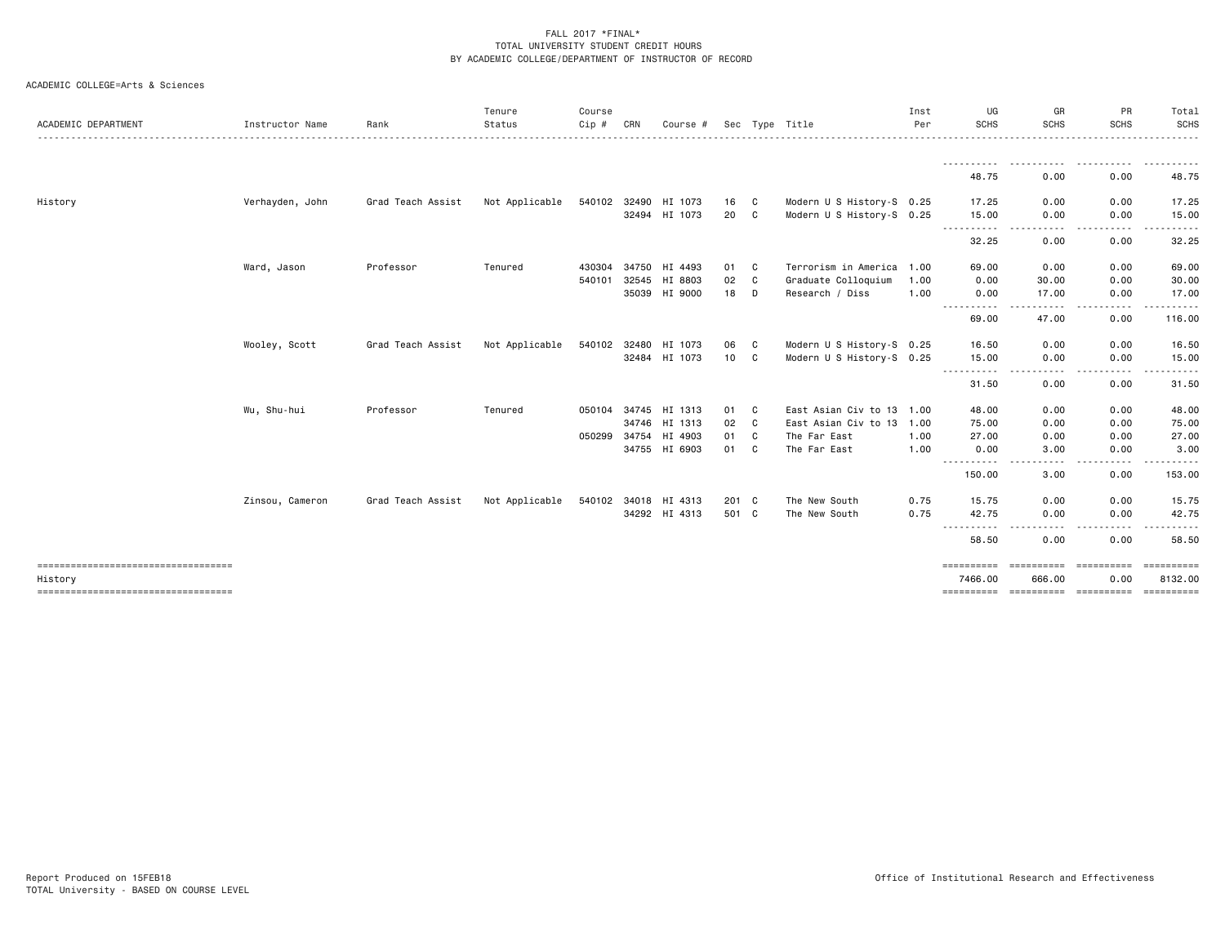| ACADEMIC DEPARTMENT                               | Instructor Name | Rank              | Tenure<br>Status | Course<br>Cip # | CRN   | Course #             |       |                | Sec Type Title            | Inst<br>Per | UG<br><b>SCHS</b>     | GR<br><b>SCHS</b>                                                                                                                      | PR<br><b>SCHS</b>  | Total<br><b>SCHS</b>  |
|---------------------------------------------------|-----------------|-------------------|------------------|-----------------|-------|----------------------|-------|----------------|---------------------------|-------------|-----------------------|----------------------------------------------------------------------------------------------------------------------------------------|--------------------|-----------------------|
|                                                   |                 |                   |                  |                 |       |                      |       |                |                           |             | -----------           | $\cdots$                                                                                                                               |                    |                       |
|                                                   |                 |                   |                  |                 |       |                      |       |                |                           |             | 48.75                 | 0.00                                                                                                                                   | 0.00               | 48.75                 |
| History                                           | Verhayden, John | Grad Teach Assist | Not Applicable   |                 |       | 540102 32490 HI 1073 | 16    | <b>C</b>       | Modern U S History-S 0.25 |             | 17.25                 | 0.00                                                                                                                                   | 0.00               | 17.25                 |
|                                                   |                 |                   |                  |                 |       | 32494 HI 1073        | 20    | C              | Modern U S History-S 0.25 |             | 15.00<br>-----------  | 0.00<br>$\frac{1}{2} \left( \frac{1}{2} \right) \left( \frac{1}{2} \right) \left( \frac{1}{2} \right) \left( \frac{1}{2} \right)$<br>. | 0.00<br>.          | 15.00<br>.            |
|                                                   |                 |                   |                  |                 |       |                      |       |                |                           |             | 32.25                 | 0.00                                                                                                                                   | 0.00               | 32.25                 |
|                                                   | Ward, Jason     | Professor         | Tenured          | 430304          |       | 34750 HI 4493        | 01    | C              | Terrorism in America 1.00 |             | 69.00                 | 0.00                                                                                                                                   | 0.00               | 69.00                 |
|                                                   |                 |                   |                  | 540101          | 32545 | HI 8803              | 02    | C <sub>c</sub> | Graduate Colloquium       | 1.00        | 0.00                  | 30.00                                                                                                                                  | 0.00               | 30.00                 |
|                                                   |                 |                   |                  |                 |       | 35039 HI 9000        | 18    | D              | Research / Diss           | 1.00        | 0.00<br>.             | 17.00<br>.                                                                                                                             | 0.00<br>.          | 17.00<br>------       |
|                                                   |                 |                   |                  |                 |       |                      |       |                |                           |             | 69.00                 | 47.00                                                                                                                                  | 0.00               | 116.00                |
|                                                   | Wooley, Scott   | Grad Teach Assist | Not Applicable   | 540102          | 32480 | HI 1073              | 06    | C              | Modern U S History-S 0.25 |             | 16.50                 | 0.00                                                                                                                                   | 0.00               | 16.50                 |
|                                                   |                 |                   |                  |                 |       | 32484 HI 1073        | 10    | C.             | Modern U S History-S 0.25 |             | 15.00<br>.            | 0.00<br>. <b>.</b> .                                                                                                                   | 0.00               | 15.00<br>.            |
|                                                   |                 |                   |                  |                 |       |                      |       |                |                           |             | 31.50                 | 0.00                                                                                                                                   | 0.00               | 31.50                 |
|                                                   | Wu, Shu-hui     | Professor         | Tenured          |                 |       | 050104 34745 HI 1313 | 01    | C              | East Asian Civ to 13 1.00 |             | 48.00                 | 0.00                                                                                                                                   | 0.00               | 48.00                 |
|                                                   |                 |                   |                  |                 |       | 34746 HI 1313        | 02    | $\mathbf{C}$   | East Asian Civ to 13 1.00 |             | 75.00                 | 0.00                                                                                                                                   | 0.00               | 75.00                 |
|                                                   |                 |                   |                  |                 |       | 050299 34754 HI 4903 | 01    | C              | The Far East              | 1.00        | 27.00                 | 0.00                                                                                                                                   | 0.00               | 27.00                 |
|                                                   |                 |                   |                  |                 |       | 34755 HI 6903        | 01    | C              | The Far East              | 1.00        | 0.00<br>----          | 3.00                                                                                                                                   | 0.00               | 3.00                  |
|                                                   |                 |                   |                  |                 |       |                      |       |                |                           |             | 150.00                | 3.00                                                                                                                                   | 0.00               | 153.00                |
|                                                   | Zinsou, Cameron | Grad Teach Assist | Not Applicable   |                 |       | 540102 34018 HI 4313 | 201 C |                | The New South             | 0.75        | 15.75                 | 0.00                                                                                                                                   | 0.00               | 15.75                 |
|                                                   |                 |                   |                  |                 |       | 34292 HI 4313        | 501 C |                | The New South             | 0.75        | 42.75<br>.            | 0.00                                                                                                                                   | 0.00               | 42.75                 |
|                                                   |                 |                   |                  |                 |       |                      |       |                |                           |             | 58.50                 | 0.00                                                                                                                                   | 0.00               | 58.50                 |
| ======================================<br>History |                 |                   |                  |                 |       |                      |       |                |                           |             | ==========<br>7466.00 | eessesses<br>666.00                                                                                                                    | ==========<br>0.00 | ==========<br>8132.00 |
| ----------------------------------                |                 |                   |                  |                 |       |                      |       |                |                           |             |                       |                                                                                                                                        |                    |                       |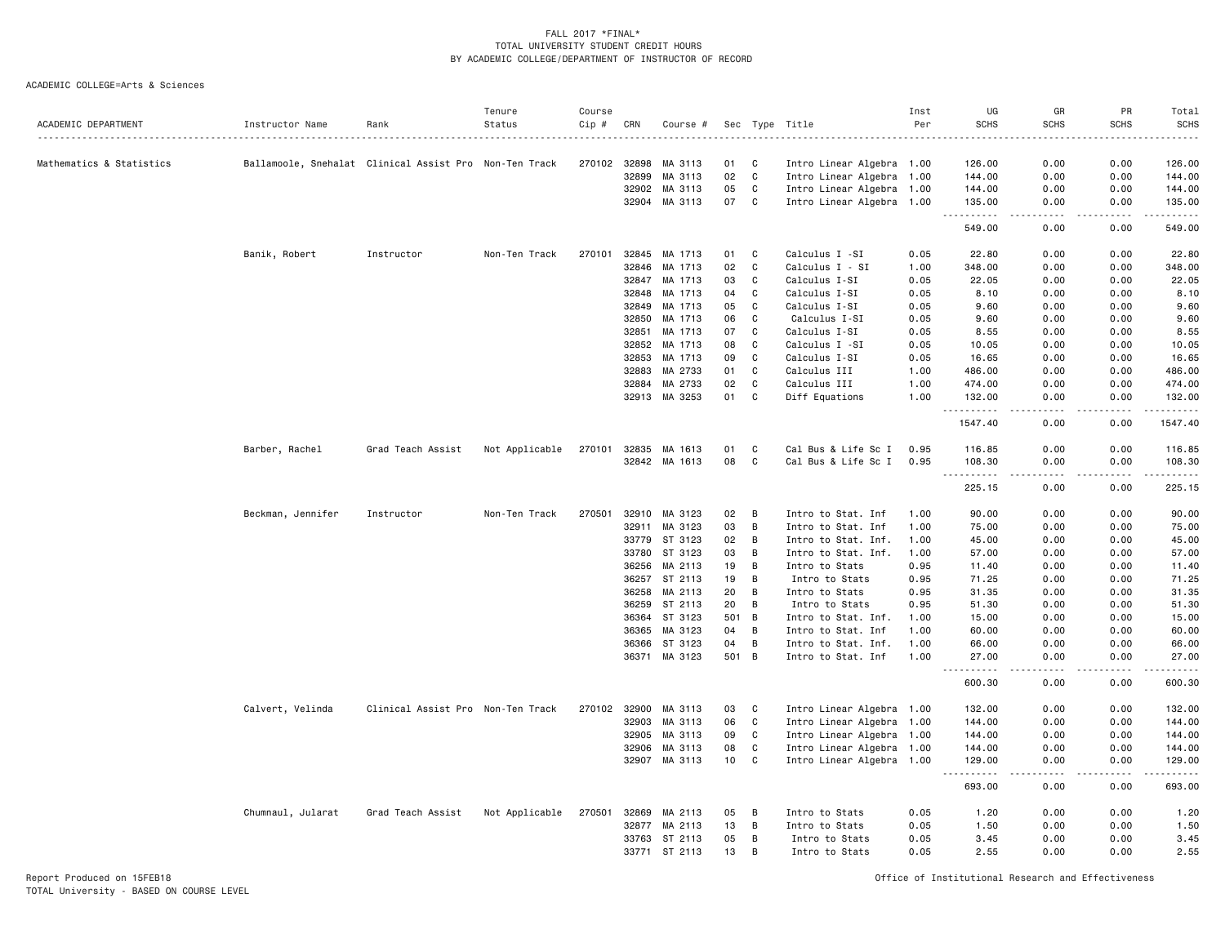| ACADEMIC DEPARTMENT      | Instructor Name   | Rank                                                   | Tenure<br>Status | Course<br>Cip # | CRN            | Course #           |             |                   | Sec Type Title                                         | Inst<br>Per  | UG<br><b>SCHS</b>        | GR<br><b>SCHS</b> | PR<br><b>SCHS</b> | Total<br><b>SCHS</b><br>. |
|--------------------------|-------------------|--------------------------------------------------------|------------------|-----------------|----------------|--------------------|-------------|-------------------|--------------------------------------------------------|--------------|--------------------------|-------------------|-------------------|---------------------------|
|                          |                   |                                                        |                  |                 | 270102 32898   |                    |             |                   |                                                        |              |                          | 0.00              | 0.00              | 126.00                    |
| Mathematics & Statistics |                   | Ballamoole, Snehalat Clinical Assist Pro Non-Ten Track |                  |                 | 32899          | MA 3113<br>MA 3113 | 01<br>02    | C<br>$\mathbf{C}$ | Intro Linear Algebra 1.00<br>Intro Linear Algebra 1.00 |              | 126.00<br>144.00         | 0.00              | 0.00              | 144.00                    |
|                          |                   |                                                        |                  |                 | 32902          | MA 3113            | 05          | C                 | Intro Linear Algebra 1.00                              |              | 144.00                   | 0.00              | 0.00              | 144.00                    |
|                          |                   |                                                        |                  |                 | 32904          | MA 3113            | 07          | C                 | Intro Linear Algebra 1.00                              |              | 135.00                   | 0.00              | 0.00              | 135.00                    |
|                          |                   |                                                        |                  |                 |                |                    |             |                   |                                                        |              | 549.00                   | 0.00              | 0.00              | 549.00                    |
|                          | Banik, Robert     | Instructor                                             | Non-Ten Track    | 270101          | 32845          | MA 1713            | 01          | C                 | Calculus I -SI                                         | 0.05         | 22.80                    | 0.00              | 0.00              | 22.80                     |
|                          |                   |                                                        |                  |                 | 32846          | MA 1713            | 02          | C                 | Calculus I - SI                                        | 1.00         | 348.00                   | 0.00              | 0.00              | 348.00                    |
|                          |                   |                                                        |                  |                 | 32847          | MA 1713            | 03          | C                 | Calculus I-SI                                          | 0.05         | 22.05                    | 0.00              | 0.00              | 22.05                     |
|                          |                   |                                                        |                  |                 | 32848          | MA 1713            | 04          | C                 | Calculus I-SI                                          | 0.05         | 8.10                     | 0.00              | 0.00              | 8.10                      |
|                          |                   |                                                        |                  |                 | 32849          | MA 1713            | 05          | C                 | Calculus I-SI                                          | 0.05         | 9.60                     | 0.00              | 0.00              | 9.60                      |
|                          |                   |                                                        |                  |                 | 32850          | MA 1713            | 06          | C                 | Calculus I-SI                                          | 0.05         | 9.60                     | 0.00              | 0.00              | 9.60                      |
|                          |                   |                                                        |                  |                 | 32851          | MA 1713            | 07          | C                 | Calculus I-SI                                          | 0.05         | 8.55                     | 0.00              | 0.00              | 8.55                      |
|                          |                   |                                                        |                  |                 | 32852          | MA 1713            | 08          | C                 | Calculus I -SI                                         | 0.05         | 10.05                    | 0.00              | 0.00              | 10.05                     |
|                          |                   |                                                        |                  |                 | 32853          | MA 1713            | 09          | C                 | Calculus I-SI                                          | 0.05         | 16.65                    | 0.00              | 0.00              | 16.65                     |
|                          |                   |                                                        |                  |                 | 32883          | MA 2733            | 01          | C                 | Calculus III                                           | 1.00         | 486.00                   | 0.00              | 0.00              | 486.00                    |
|                          |                   |                                                        |                  |                 | 32884          | MA 2733            | 02          | C                 | Calculus III                                           | 1.00         | 474.00                   | 0.00              | 0.00              | 474.00                    |
|                          |                   |                                                        |                  |                 |                | 32913 MA 3253      | 01          | C                 | Diff Equations                                         | 1.00         | 132.00<br>$  -$<br>----- | 0.00              | 0.00              | 132.00<br>.               |
|                          |                   |                                                        |                  |                 |                |                    |             |                   |                                                        |              | 1547.40                  | 0.00              | 0.00              | 1547.40                   |
|                          | Barber, Rachel    | Grad Teach Assist                                      | Not Applicable   | 270101          | 32835          | MA 1613            | 01          | C                 | Cal Bus & Life Sc I                                    | 0.95         | 116.85                   | 0.00              | 0.00              | 116.85                    |
|                          |                   |                                                        |                  |                 |                | 32842 MA 1613      | 08          | C                 | Cal Bus & Life Sc I                                    | 0.95         | 108.30                   | 0.00              | 0.00              | 108.30                    |
|                          |                   |                                                        |                  |                 |                |                    |             |                   |                                                        |              | .<br>$ -$<br>225.15      | .<br>0.00         | .<br>0.00         | .<br>225.15               |
|                          | Beckman, Jennifer | Instructor                                             | Non-Ten Track    | 270501          | 32910          | MA 3123            | 02          | B                 | Intro to Stat. Inf                                     | 1.00         | 90.00                    | 0.00              | 0.00              | 90.00                     |
|                          |                   |                                                        |                  |                 | 32911          | MA 3123            | 03          | B                 | Intro to Stat. Inf                                     | 1.00         | 75.00                    | 0.00              | 0.00              | 75.00                     |
|                          |                   |                                                        |                  |                 | 33779          | ST 3123            | 02          | B                 | Intro to Stat. Inf.                                    | 1.00         | 45.00                    | 0.00              | 0.00              | 45.00                     |
|                          |                   |                                                        |                  |                 | 33780          | ST 3123            | 03          | B                 | Intro to Stat. Inf.                                    | 1.00         | 57.00                    | 0.00              | 0.00              | 57.00                     |
|                          |                   |                                                        |                  |                 | 36256          | MA 2113            | 19          | В                 | Intro to Stats                                         | 0.95         | 11.40                    | 0.00              | 0.00              | 11.40                     |
|                          |                   |                                                        |                  |                 |                | 36257 ST 2113      | 19          | B                 | Intro to Stats                                         | 0.95         | 71.25                    | 0.00              | 0.00              | 71.25                     |
|                          |                   |                                                        |                  |                 | 36258          | MA 2113            | 20          | B                 | Intro to Stats                                         | 0.95         | 31.35                    | 0.00              | 0.00              | 31.35                     |
|                          |                   |                                                        |                  |                 | 36259          | ST 2113            | 20          | B                 | Intro to Stats                                         | 0.95         | 51.30                    | 0.00              | 0.00              | 51.30                     |
|                          |                   |                                                        |                  |                 | 36364          | ST 3123            | 501         | B                 | Intro to Stat. Inf.                                    | 1.00         | 15.00                    | 0.00              | 0.00              | 15.00                     |
|                          |                   |                                                        |                  |                 | 36365          | MA 3123            | 04          | B                 | Intro to Stat. Inf                                     | 1.00         | 60.00                    | 0.00              | 0.00              | 60.00                     |
|                          |                   |                                                        |                  |                 | 36366<br>36371 | ST 3123<br>MA 3123 | 04<br>501 B | B                 | Intro to Stat. Inf.<br>Intro to Stat. Inf              | 1.00<br>1.00 | 66.00<br>27.00           | 0.00<br>0.00      | 0.00<br>0.00      | 66.00<br>27.00            |
|                          |                   |                                                        |                  |                 |                |                    |             |                   |                                                        |              | .<br>600.30              | .<br>0.00         | .<br>0.00         | .<br>600.30               |
|                          |                   |                                                        |                  |                 |                |                    |             |                   |                                                        |              |                          |                   |                   |                           |
|                          | Calvert, Velinda  | Clinical Assist Pro Non-Ten Track                      |                  | 270102          | 32900          | MA 3113            | 03<br>06    | C<br>C            | Intro Linear Algebra 1.00<br>Intro Linear Algebra 1.00 |              | 132.00                   | 0.00<br>0.00      | 0.00              | 132.00                    |
|                          |                   |                                                        |                  |                 | 32903<br>32905 | MA 3113<br>MA 3113 | 09          | C                 | Intro Linear Algebra 1.00                              |              | 144.00<br>144.00         | 0.00              | 0.00<br>0.00      | 144.00<br>144.00          |
|                          |                   |                                                        |                  |                 | 32906          | MA 3113            | 08          | $\mathtt{C}$      | Intro Linear Algebra 1.00                              |              | 144.00                   | 0.00              | 0.00              | 144.00                    |
|                          |                   |                                                        |                  |                 | 32907          | MA 3113            | 10          | C                 | Intro Linear Algebra 1.00                              |              | 129.00                   | 0.00              | 0.00              | 129.00                    |
|                          |                   |                                                        |                  |                 |                |                    |             |                   |                                                        |              | .<br>693.00              | ----<br>0.00      | .<br>0.00         | <u>.</u><br>693.00        |
|                          | Chumnaul, Jularat | Grad Teach Assist                                      | Not Applicable   | 270501          | 32869          | MA 2113            | 05          | В                 | Intro to Stats                                         | 0.05         | 1.20                     | 0.00              | 0.00              | 1.20                      |
|                          |                   |                                                        |                  |                 | 32877          | MA 2113            | 13          | B                 | Intro to Stats                                         | 0.05         | 1.50                     | 0.00              | 0.00              | 1.50                      |
|                          |                   |                                                        |                  |                 |                | 33763 ST 2113      | 05          | B                 | Intro to Stats                                         | 0.05         | 3.45                     | 0.00              | 0.00              | 3.45                      |
|                          |                   |                                                        |                  |                 | 33771          | ST 2113            | 13          | B                 | Intro to Stats                                         | 0.05         | 2.55                     | 0.00              | 0.00              | 2.55                      |
|                          |                   |                                                        |                  |                 |                |                    |             |                   |                                                        |              |                          |                   |                   |                           |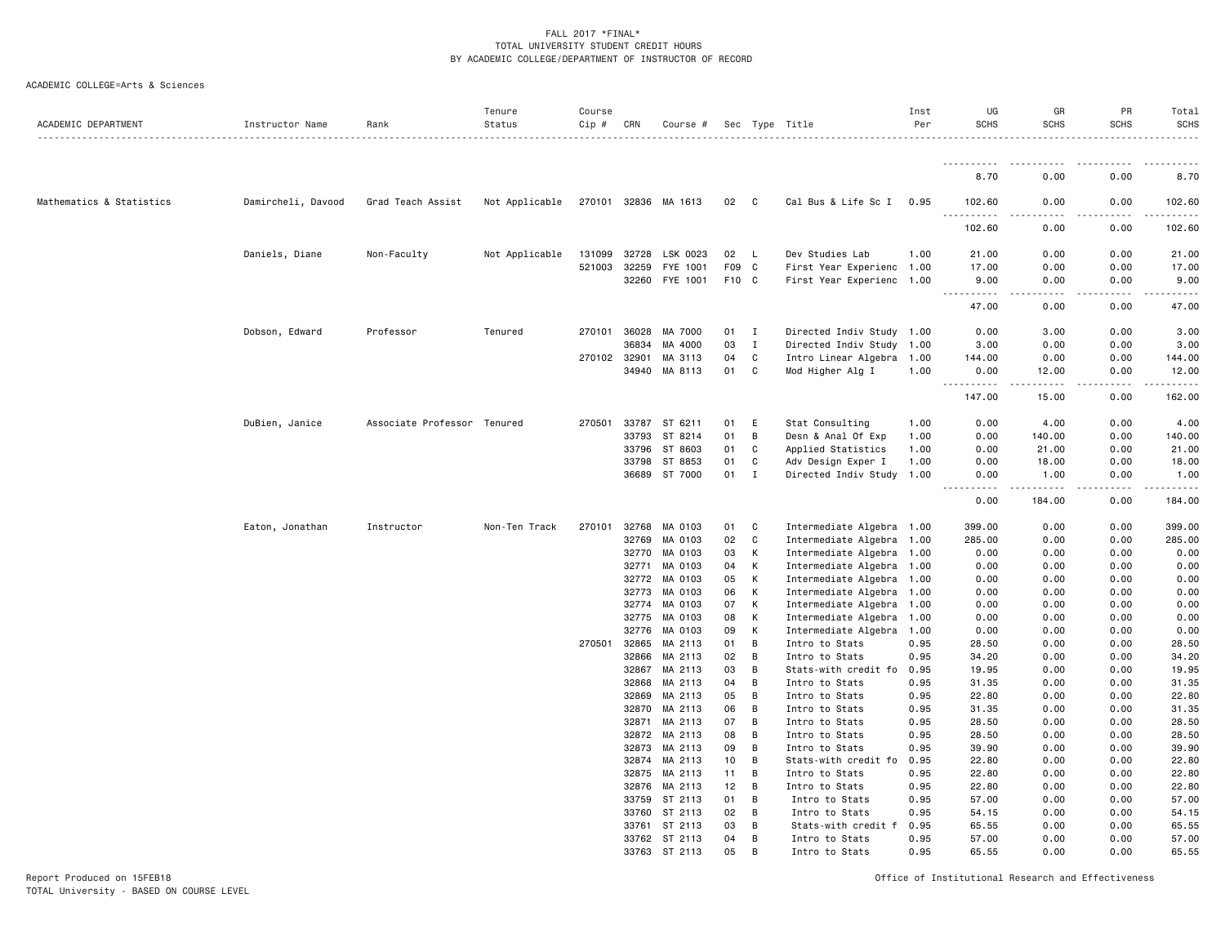| ACADEMIC DEPARTMENT      | Instructor Name    | Rank                        | Tenure<br>Status | Course<br>Cip # | CRN            | Course #             |                 |                | Sec Type Title                              | Inst<br>Per | UG<br><b>SCHS</b>   | GR<br><b>SCHS</b>                                                                                                                                             | PR<br><b>SCHS</b> | Total<br><b>SCHS</b>                                                                                                                                           |
|--------------------------|--------------------|-----------------------------|------------------|-----------------|----------------|----------------------|-----------------|----------------|---------------------------------------------|-------------|---------------------|---------------------------------------------------------------------------------------------------------------------------------------------------------------|-------------------|----------------------------------------------------------------------------------------------------------------------------------------------------------------|
|                          |                    |                             |                  |                 |                |                      |                 |                |                                             |             |                     |                                                                                                                                                               |                   |                                                                                                                                                                |
|                          |                    |                             |                  |                 |                |                      |                 |                |                                             |             | 8.70                | 0.00                                                                                                                                                          | 0.00              | 8.70                                                                                                                                                           |
| Mathematics & Statistics | Damircheli, Davood | Grad Teach Assist           | Not Applicable   |                 |                | 270101 32836 MA 1613 | 02              | $\mathbf{C}$   | Cal Bus & Life Sc I                         | 0.95        | 102.60<br>$ -$<br>. | 0.00                                                                                                                                                          | 0.00<br>.         | 102.60<br>$\frac{1}{2} \left( \frac{1}{2} \right) \left( \frac{1}{2} \right) \left( \frac{1}{2} \right) \left( \frac{1}{2} \right) \left( \frac{1}{2} \right)$ |
|                          |                    |                             |                  |                 |                |                      |                 |                |                                             |             | 102.60              | 0.00                                                                                                                                                          | 0.00              | 102.60                                                                                                                                                         |
|                          | Daniels, Diane     | Non-Faculty                 | Not Applicable   | 131099          | 32728          | LSK 0023             | 02              | - L            | Dev Studies Lab                             | 1.00        | 21.00               | 0.00                                                                                                                                                          | 0.00              | 21.00                                                                                                                                                          |
|                          |                    |                             |                  | 521003          | 32259          | FYE 1001             | F09             | $\mathbf{C}$   | First Year Experienc 1.00                   |             | 17.00               | 0.00                                                                                                                                                          | 0.00              | 17.00                                                                                                                                                          |
|                          |                    |                             |                  |                 | 32260          | FYE 1001             | F <sub>10</sub> | C <sub>1</sub> | First Year Experienc 1.00                   |             | 9.00<br><u>.</u>    | 0.00<br>.                                                                                                                                                     | 0.00<br>.         | 9.00<br>.                                                                                                                                                      |
|                          |                    |                             |                  |                 |                |                      |                 |                |                                             |             | 47.00               | 0.00                                                                                                                                                          | 0.00              | 47.00                                                                                                                                                          |
|                          | Dobson, Edward     | Professor                   | Tenured          | 270101          | 36028          | MA 7000              | 01              | $\mathbf{I}$   | Directed Indiv Study 1.00                   |             | 0.00                | 3.00                                                                                                                                                          | 0.00              | 3.00                                                                                                                                                           |
|                          |                    |                             |                  |                 | 36834          | MA 4000              | 03              | $\mathbf I$    | Directed Indiv Study 1.00                   |             | 3.00                | 0.00                                                                                                                                                          | 0.00              | 3.00                                                                                                                                                           |
|                          |                    |                             |                  |                 | 270102 32901   | MA 3113              | 04              | C              | Intro Linear Algebra 1.00                   |             | 144.00              | 0.00                                                                                                                                                          | 0.00              | 144.00                                                                                                                                                         |
|                          |                    |                             |                  |                 | 34940          | MA 8113              | 01              | C              | Mod Higher Alg I                            | 1.00        | 0.00<br>----------- | 12.00<br>$\frac{1}{2} \left( \frac{1}{2} \right) \left( \frac{1}{2} \right) \left( \frac{1}{2} \right) \left( \frac{1}{2} \right) \left( \frac{1}{2} \right)$ | 0.00<br>.         | 12.00<br>$\begin{array}{cccccccccc} \bullet & \bullet & \bullet & \bullet & \bullet & \bullet & \bullet \end{array}$                                           |
|                          |                    |                             |                  |                 |                |                      |                 |                |                                             |             | 147.00              | 15.00                                                                                                                                                         | 0.00              | 162.00                                                                                                                                                         |
|                          | DuBien, Janice     | Associate Professor Tenured |                  | 270501          | 33787          | ST 6211              | 01              | E              | Stat Consulting                             | 1.00        | 0.00                | 4.00                                                                                                                                                          | 0.00              | 4.00                                                                                                                                                           |
|                          |                    |                             |                  |                 | 33793          | ST 8214              | 01              | B              | Desn & Anal Of Exp                          | 1.00        | 0.00                | 140.00                                                                                                                                                        | 0.00              | 140.00                                                                                                                                                         |
|                          |                    |                             |                  |                 | 33796          | ST 8603              | 01              | C              | Applied Statistics                          | 1.00        | 0.00                | 21.00                                                                                                                                                         | 0.00              | 21.00                                                                                                                                                          |
|                          |                    |                             |                  |                 | 33798          | ST 8853              | 01              | C              | Adv Design Exper I                          | 1.00        | 0.00                | 18.00                                                                                                                                                         | 0.00              | 18.00                                                                                                                                                          |
|                          |                    |                             |                  |                 |                | 36689 ST 7000        | 01              | $\mathbf{I}$   | Directed Indiv Study                        | 1.00        | 0.00<br>.           | 1.00<br>$\frac{1}{2}$                                                                                                                                         | 0.00<br>.         | 1.00<br>$\frac{1}{2} \left( \frac{1}{2} \right) \left( \frac{1}{2} \right) \left( \frac{1}{2} \right) \left( \frac{1}{2} \right) \left( \frac{1}{2} \right)$   |
|                          |                    |                             |                  |                 |                |                      |                 |                |                                             |             | 0.00                | 184.00                                                                                                                                                        | 0.00              | 184.00                                                                                                                                                         |
|                          | Eaton, Jonathan    | Instructor                  | Non-Ten Track    | 270101          | 32768          | MA 0103              | 01              | C              | Intermediate Algebra 1.00                   |             | 399.00              | 0.00                                                                                                                                                          | 0.00              | 399.00                                                                                                                                                         |
|                          |                    |                             |                  |                 | 32769          | MA 0103              | 02              | $\mathbf C$    | Intermediate Algebra 1.00                   |             | 285.00              | 0.00                                                                                                                                                          | 0.00              | 285.00                                                                                                                                                         |
|                          |                    |                             |                  |                 | 32770          | MA 0103              | 03              | К              | Intermediate Algebra 1.00                   |             | 0.00                | 0.00                                                                                                                                                          | 0.00              | 0.00                                                                                                                                                           |
|                          |                    |                             |                  |                 | 32771          | MA 0103              | 04              | К              | Intermediate Algebra 1.00                   |             | 0.00                | 0.00                                                                                                                                                          | 0.00              | 0.00                                                                                                                                                           |
|                          |                    |                             |                  |                 | 32772          | MA 0103              | 05              | К              | Intermediate Algebra 1.00                   |             | 0.00                | 0.00                                                                                                                                                          | 0.00              | 0.00                                                                                                                                                           |
|                          |                    |                             |                  |                 | 32773          | MA 0103              | 06              | К              | Intermediate Algebra 1.00                   |             | 0.00                | 0.00                                                                                                                                                          | 0.00              | 0.00                                                                                                                                                           |
|                          |                    |                             |                  |                 | 32774          | MA 0103              | 07              | к              | Intermediate Algebra 1.00                   |             | 0.00                | 0.00                                                                                                                                                          | 0.00              | 0.00                                                                                                                                                           |
|                          |                    |                             |                  |                 | 32775          | MA 0103              | 08              | K              | Intermediate Algebra 1.00                   |             | 0.00                | 0.00                                                                                                                                                          | 0.00              | 0.00                                                                                                                                                           |
|                          |                    |                             |                  |                 | 32776          | MA 0103              | 09              | К              | Intermediate Algebra 1.00                   |             | 0.00                | 0.00                                                                                                                                                          | 0.00              | 0.00                                                                                                                                                           |
|                          |                    |                             |                  | 270501          | 32865          | MA 2113              | 01              | B              | Intro to Stats                              | 0.95        | 28.50               | 0.00                                                                                                                                                          | 0.00              | 28.50                                                                                                                                                          |
|                          |                    |                             |                  |                 | 32866          | MA 2113              | 02              | B              | Intro to Stats                              | 0.95        | 34.20               | 0.00                                                                                                                                                          | 0.00              | 34.20                                                                                                                                                          |
|                          |                    |                             |                  |                 | 32867<br>32868 | MA 2113<br>MA 2113   | 03<br>04        | В<br>B         | Stats-with credit fo 0.95<br>Intro to Stats | 0.95        | 19.95               | 0.00<br>0.00                                                                                                                                                  | 0.00<br>0.00      | 19.95<br>31.35                                                                                                                                                 |
|                          |                    |                             |                  |                 | 32869          | MA 2113              | 05              | B              | Intro to Stats                              | 0.95        | 31.35<br>22.80      | 0.00                                                                                                                                                          | 0.00              | 22.80                                                                                                                                                          |
|                          |                    |                             |                  |                 | 32870          | MA 2113              | 06              | B              | Intro to Stats                              | 0.95        | 31.35               | 0.00                                                                                                                                                          | 0.00              | 31.35                                                                                                                                                          |
|                          |                    |                             |                  |                 | 32871          | MA 2113              | 07              | B              | Intro to Stats                              | 0.95        | 28.50               | 0.00                                                                                                                                                          | 0.00              | 28.50                                                                                                                                                          |
|                          |                    |                             |                  |                 | 32872          | MA 2113              | 08              | B              | Intro to Stats                              | 0.95        | 28.50               | 0.00                                                                                                                                                          | 0.00              | 28.50                                                                                                                                                          |
|                          |                    |                             |                  |                 | 32873          | MA 2113              | 09              | В              | Intro to Stats                              | 0.95        | 39.90               | 0.00                                                                                                                                                          | 0.00              | 39.90                                                                                                                                                          |
|                          |                    |                             |                  |                 | 32874          | MA 2113              | 10              | B              | Stats-with credit fo                        | 0.95        | 22.80               | 0.00                                                                                                                                                          | 0.00              | 22.80                                                                                                                                                          |
|                          |                    |                             |                  |                 | 32875          | MA 2113              | 11              | B              | Intro to Stats                              | 0.95        | 22.80               | 0.00                                                                                                                                                          | 0.00              | 22.80                                                                                                                                                          |
|                          |                    |                             |                  |                 | 32876          | MA 2113              | 12              | B              | Intro to Stats                              | 0.95        | 22.80               | 0.00                                                                                                                                                          | 0.00              | 22.80                                                                                                                                                          |
|                          |                    |                             |                  |                 | 33759          | ST 2113              | 01              | В              | Intro to Stats                              | 0.95        | 57.00               | 0.00                                                                                                                                                          | 0.00              | 57.00                                                                                                                                                          |
|                          |                    |                             |                  |                 | 33760          | ST 2113              | 02              | B              | Intro to Stats                              | 0.95        | 54.15               | 0.00                                                                                                                                                          | 0.00              | 54.15                                                                                                                                                          |
|                          |                    |                             |                  |                 | 33761          | ST 2113              | 03              | В              | Stats-with credit f                         | 0.95        | 65.55               | 0.00                                                                                                                                                          | 0.00              | 65.55                                                                                                                                                          |
|                          |                    |                             |                  |                 |                | 33762 ST 2113        | 04              | B              | Intro to Stats                              | 0.95        | 57.00               | 0.00                                                                                                                                                          | 0.00              | 57.00                                                                                                                                                          |
|                          |                    |                             |                  |                 |                | 33763 ST 2113        | 05              | B              | Intro to Stats                              | 0.95        | 65.55               | 0.00                                                                                                                                                          | 0.00              | 65.55                                                                                                                                                          |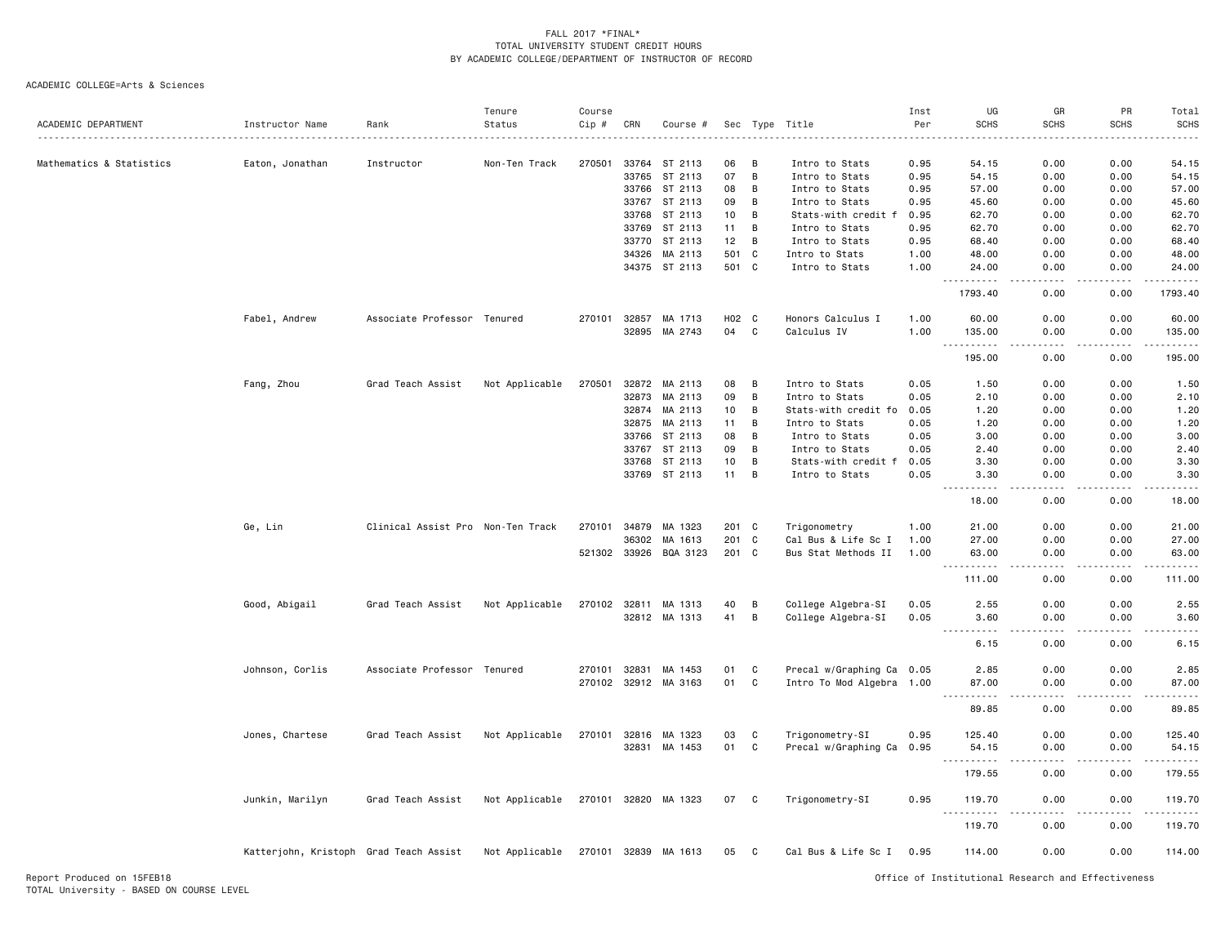| ACADEMIC DEPARTMENT      | Instructor Name                        | Rank                              | Tenure<br>Status | Course<br>Cip # | CRN          | Course #              | Sec   |              | Type Title                | Inst<br>Per | UG<br><b>SCHS</b>                                                                                                                                                                                                                                                                                                                                                                                            | GR<br><b>SCHS</b>            | PR<br>SCHS    | Total<br><b>SCHS</b>                                                                                                                                                                      |
|--------------------------|----------------------------------------|-----------------------------------|------------------|-----------------|--------------|-----------------------|-------|--------------|---------------------------|-------------|--------------------------------------------------------------------------------------------------------------------------------------------------------------------------------------------------------------------------------------------------------------------------------------------------------------------------------------------------------------------------------------------------------------|------------------------------|---------------|-------------------------------------------------------------------------------------------------------------------------------------------------------------------------------------------|
|                          |                                        |                                   |                  |                 |              |                       |       |              |                           |             |                                                                                                                                                                                                                                                                                                                                                                                                              |                              |               |                                                                                                                                                                                           |
| Mathematics & Statistics | Eaton, Jonathan                        | Instructor                        | Non-Ten Track    | 270501          | 33764        | ST 2113               | 06    | В            | Intro to Stats            | 0.95        | 54.15                                                                                                                                                                                                                                                                                                                                                                                                        | 0.00                         | 0.00          | 54.15                                                                                                                                                                                     |
|                          |                                        |                                   |                  |                 | 33765        | ST 2113               | 07    | B            | Intro to Stats            | 0.95        | 54.15                                                                                                                                                                                                                                                                                                                                                                                                        | 0.00                         | 0.00          | 54.15                                                                                                                                                                                     |
|                          |                                        |                                   |                  |                 |              | 33766 ST 2113         | 08    | B            | Intro to Stats            | 0.95        | 57.00                                                                                                                                                                                                                                                                                                                                                                                                        | 0.00                         | 0.00          | 57.00                                                                                                                                                                                     |
|                          |                                        |                                   |                  |                 | 33767        | ST 2113               | 09    | В            | Intro to Stats            | 0.95        | 45.60                                                                                                                                                                                                                                                                                                                                                                                                        | 0.00                         | 0.00          | 45.60                                                                                                                                                                                     |
|                          |                                        |                                   |                  |                 | 33768        | ST 2113               | 10    | B            | Stats-with credit f       | 0.95        | 62.70                                                                                                                                                                                                                                                                                                                                                                                                        | 0.00                         | 0.00          | 62.70                                                                                                                                                                                     |
|                          |                                        |                                   |                  |                 | 33769        | ST 2113               | 11    | B            | Intro to Stats            | 0.95        | 62.70                                                                                                                                                                                                                                                                                                                                                                                                        | 0.00                         | 0.00          | 62.70                                                                                                                                                                                     |
|                          |                                        |                                   |                  |                 | 33770        | ST 2113               | 12    | В            | Intro to Stats            | 0.95        | 68.40                                                                                                                                                                                                                                                                                                                                                                                                        | 0.00                         | 0.00          | 68.40                                                                                                                                                                                     |
|                          |                                        |                                   |                  |                 | 34326        | MA 2113               | 501   | C            | Intro to Stats            | 1.00        | 48.00                                                                                                                                                                                                                                                                                                                                                                                                        | 0.00                         | 0.00          | 48.00                                                                                                                                                                                     |
|                          |                                        |                                   |                  |                 |              | 34375 ST 2113         | 501 C |              | Intro to Stats            | 1.00        | 24.00                                                                                                                                                                                                                                                                                                                                                                                                        | 0.00                         | 0.00          | 24.00                                                                                                                                                                                     |
|                          |                                        |                                   |                  |                 |              |                       |       |              |                           |             | .<br>$\frac{1}{2} \frac{1}{2} \frac{1}{2} \frac{1}{2} \frac{1}{2} \frac{1}{2} \frac{1}{2} \frac{1}{2} \frac{1}{2} \frac{1}{2} \frac{1}{2} \frac{1}{2} \frac{1}{2} \frac{1}{2} \frac{1}{2} \frac{1}{2} \frac{1}{2} \frac{1}{2} \frac{1}{2} \frac{1}{2} \frac{1}{2} \frac{1}{2} \frac{1}{2} \frac{1}{2} \frac{1}{2} \frac{1}{2} \frac{1}{2} \frac{1}{2} \frac{1}{2} \frac{1}{2} \frac{1}{2} \frac{$<br>1793.40 | 0.00                         | 0.00          | .<br>1793.40                                                                                                                                                                              |
|                          | Fabel, Andrew                          | Associate Professor Tenured       |                  | 270101          | 32857        | MA 1713               | H02 C |              | Honors Calculus I         | 1.00        | 60.00                                                                                                                                                                                                                                                                                                                                                                                                        | 0.00                         | 0.00          | 60.00                                                                                                                                                                                     |
|                          |                                        |                                   |                  |                 |              | 32895 MA 2743         | 04    | C            | Calculus IV               | 1.00        | 135.00<br>$\sim$ $\sim$ $\sim$<br>------                                                                                                                                                                                                                                                                                                                                                                     | 0.00<br>.                    | 0.00<br>----- | 135.00<br>$\frac{1}{2} \left( \frac{1}{2} \right) \left( \frac{1}{2} \right) \left( \frac{1}{2} \right) \left( \frac{1}{2} \right) \left( \frac{1}{2} \right) \left( \frac{1}{2} \right)$ |
|                          |                                        |                                   |                  |                 |              |                       |       |              |                           |             | 195.00                                                                                                                                                                                                                                                                                                                                                                                                       | 0.00                         | 0.00          | 195.00                                                                                                                                                                                    |
|                          | Fang, Zhou                             | Grad Teach Assist                 | Not Applicable   | 270501          |              | 32872 MA 2113         | 08    | В            | Intro to Stats            | 0.05        | 1.50                                                                                                                                                                                                                                                                                                                                                                                                         | 0.00                         | 0.00          | 1.50                                                                                                                                                                                      |
|                          |                                        |                                   |                  |                 | 32873        | MA 2113               | 09    | B            | Intro to Stats            | 0.05        | 2.10                                                                                                                                                                                                                                                                                                                                                                                                         | 0.00                         | 0.00          | 2.10                                                                                                                                                                                      |
|                          |                                        |                                   |                  |                 |              | 32874 MA 2113         | 10    | В            | Stats-with credit fo      | 0.05        | 1.20                                                                                                                                                                                                                                                                                                                                                                                                         | 0.00                         | 0.00          | 1.20                                                                                                                                                                                      |
|                          |                                        |                                   |                  |                 | 32875        | MA 2113               | 11    | В            | Intro to Stats            | 0.05        | 1.20                                                                                                                                                                                                                                                                                                                                                                                                         | 0.00                         | 0.00          | 1.20                                                                                                                                                                                      |
|                          |                                        |                                   |                  |                 | 33766        | ST 2113               | 08    | В            | Intro to Stats            | 0.05        | 3.00                                                                                                                                                                                                                                                                                                                                                                                                         | 0.00                         | 0.00          | 3.00                                                                                                                                                                                      |
|                          |                                        |                                   |                  |                 | 33767        | ST 2113               | 09    | В            | Intro to Stats            | 0.05        | 2.40                                                                                                                                                                                                                                                                                                                                                                                                         | 0.00                         | 0.00          | 2.40                                                                                                                                                                                      |
|                          |                                        |                                   |                  |                 | 33768        | ST 2113               | 10    | В            | Stats-with credit f       | 0.05        | 3.30                                                                                                                                                                                                                                                                                                                                                                                                         | 0.00                         | 0.00          | 3.30                                                                                                                                                                                      |
|                          |                                        |                                   |                  |                 |              | 33769 ST 2113         | 11    | В            | Intro to Stats            | 0.05        | 3.30                                                                                                                                                                                                                                                                                                                                                                                                         | 0.00                         | 0.00          | 3.30                                                                                                                                                                                      |
|                          |                                        |                                   |                  |                 |              |                       |       |              |                           |             | <u>.</u><br>18.00                                                                                                                                                                                                                                                                                                                                                                                            | $- - -$<br>0.00              | .<br>0.00     | .<br>18.00                                                                                                                                                                                |
|                          | Ge, Lin                                | Clinical Assist Pro Non-Ten Track |                  | 270101          | 34879        | MA 1323               | 201 C |              | Trigonometry              | 1.00        | 21.00                                                                                                                                                                                                                                                                                                                                                                                                        | 0.00                         | 0.00          | 21.00                                                                                                                                                                                     |
|                          |                                        |                                   |                  |                 | 36302        | MA 1613               | 201   | C            | Cal Bus & Life Sc I       | 1.00        | 27.00                                                                                                                                                                                                                                                                                                                                                                                                        | 0.00                         | 0.00          | 27.00                                                                                                                                                                                     |
|                          |                                        |                                   |                  |                 |              | 521302 33926 BQA 3123 | 201   | $\mathbf{C}$ | Bus Stat Methods II       | 1.00        | 63.00                                                                                                                                                                                                                                                                                                                                                                                                        | 0.00                         | 0.00          | 63.00                                                                                                                                                                                     |
|                          |                                        |                                   |                  |                 |              |                       |       |              |                           |             | <u>.</u><br>111.00                                                                                                                                                                                                                                                                                                                                                                                           | $\sim$ $\sim$ $\sim$<br>0.00 | 0.00          | -----<br>111.00                                                                                                                                                                           |
|                          | Good, Abigail                          | Grad Teach Assist                 | Not Applicable   |                 |              | 270102 32811 MA 1313  | 40    | В            | College Algebra-SI        | 0.05        | 2.55                                                                                                                                                                                                                                                                                                                                                                                                         | 0.00                         | 0.00          | 2.55                                                                                                                                                                                      |
|                          |                                        |                                   |                  |                 |              | 32812 MA 1313         | 41    | В            | College Algebra-SI        | 0.05        | 3.60<br>$\frac{1}{2}$<br>$- - - - - -$                                                                                                                                                                                                                                                                                                                                                                       | 0.00<br>$- - - -$            | 0.00<br>.     | 3.60<br>$\frac{1}{2}$                                                                                                                                                                     |
|                          |                                        |                                   |                  |                 |              |                       |       |              |                           |             | 6.15                                                                                                                                                                                                                                                                                                                                                                                                         | 0.00                         | 0.00          | 6.15                                                                                                                                                                                      |
|                          | Johnson, Corlis                        | Associate Professor Tenured       |                  | 270101          | 32831        | MA 1453               | 01    | C            | Precal w/Graphing Ca 0.05 |             | 2.85                                                                                                                                                                                                                                                                                                                                                                                                         | 0.00                         | 0.00          | 2.85                                                                                                                                                                                      |
|                          |                                        |                                   |                  |                 | 270102 32912 | MA 3163               | 01    | C            | Intro To Mod Algebra 1.00 |             | 87.00                                                                                                                                                                                                                                                                                                                                                                                                        | 0.00                         | 0.00          | 87.00                                                                                                                                                                                     |
|                          |                                        |                                   |                  |                 |              |                       |       |              |                           |             | 89.85                                                                                                                                                                                                                                                                                                                                                                                                        | 0.00                         | 0.00          | 89.85                                                                                                                                                                                     |
|                          | Jones, Chartese                        | Grad Teach Assist                 | Not Applicable   | 270101          | 32816        | MA 1323               | 03    | C            | Trigonometry-SI           | 0.95        | 125.40                                                                                                                                                                                                                                                                                                                                                                                                       | 0.00                         | 0.00          | 125.40                                                                                                                                                                                    |
|                          |                                        |                                   |                  |                 |              | 32831 MA 1453         | 01    | C            | Precal w/Graphing Ca 0.95 |             | 54.15<br><u>.</u>                                                                                                                                                                                                                                                                                                                                                                                            | 0.00<br>$- - - -$            | 0.00<br>.     | 54.15<br>$- - - - - -$                                                                                                                                                                    |
|                          |                                        |                                   |                  |                 |              |                       |       |              |                           |             | 179.55                                                                                                                                                                                                                                                                                                                                                                                                       | 0.00                         | 0.00          | 179.55                                                                                                                                                                                    |
|                          | Junkin, Marilyn                        | Grad Teach Assist                 | Not Applicable   |                 |              | 270101 32820 MA 1323  | 07 C  |              | Trigonometry-SI           | 0.95        | 119.70<br>$\sim$ $\sim$<br>$\frac{1}{2}$                                                                                                                                                                                                                                                                                                                                                                     | 0.00                         | 0.00          | 119.70<br>.                                                                                                                                                                               |
|                          |                                        |                                   |                  |                 |              |                       |       |              |                           |             | 119.70                                                                                                                                                                                                                                                                                                                                                                                                       | 0.00                         | 0.00          | 119.70                                                                                                                                                                                    |
|                          | Katterjohn, Kristoph Grad Teach Assist |                                   | Not Applicable   |                 |              | 270101 32839 MA 1613  | 05    | $\mathbf{C}$ | Cal Bus & Life Sc I 0.95  |             | 114.00                                                                                                                                                                                                                                                                                                                                                                                                       | 0.00                         | 0.00          | 114.00                                                                                                                                                                                    |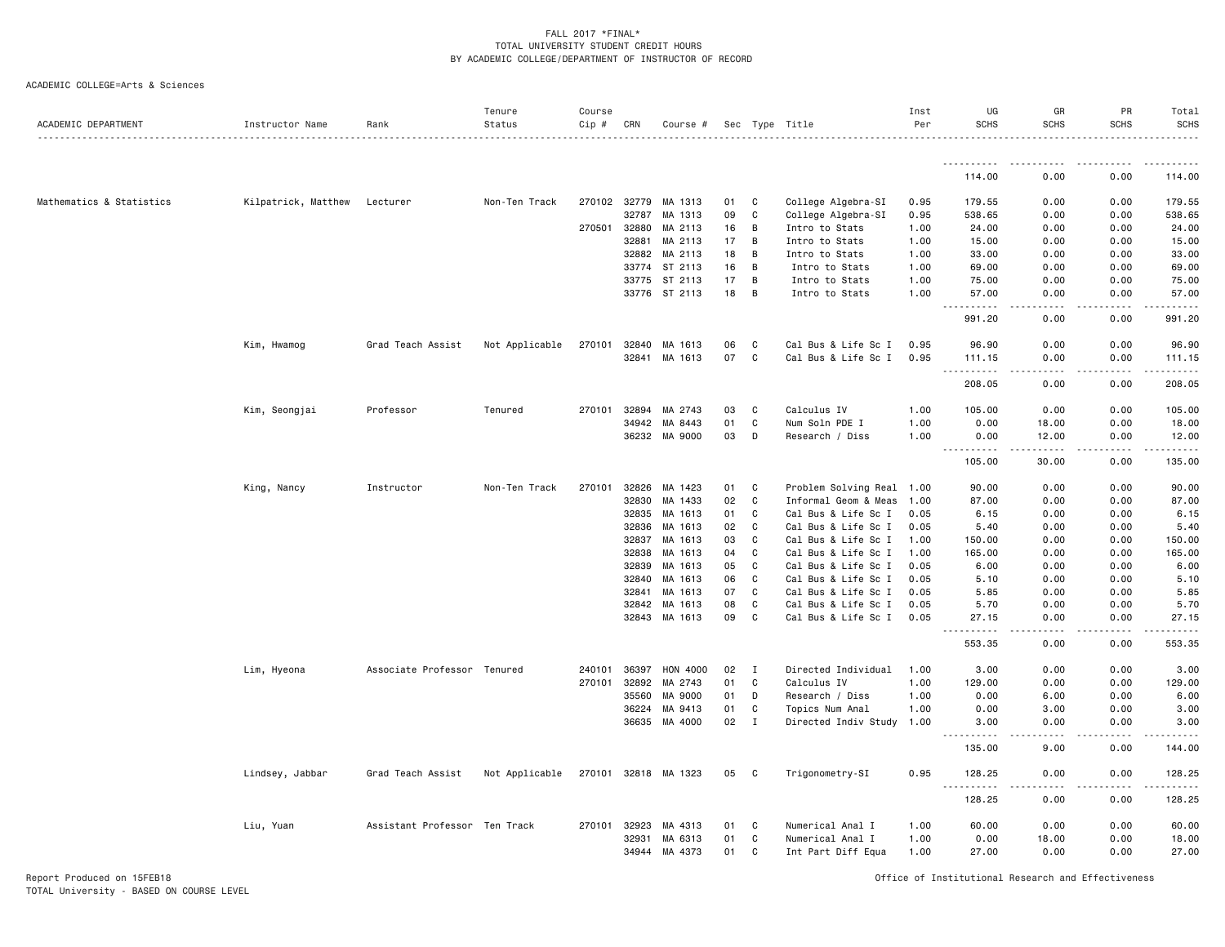| <b>SCHS</b><br><b>SCHS</b><br>ACADEMIC DEPARTMENT<br><b>SCHS</b><br><b>SCHS</b><br>Instructor Name<br>Rank<br>Status<br>Cip #<br>CRN<br>Course #<br>Sec Type Title<br>Per<br>114.00<br>0.00<br>0.00<br>114.00<br>Mathematics & Statistics<br>Kilpatrick, Matthew<br>270102 32779<br>College Algebra-SI<br>179.55<br>0.00<br>179.55<br>Lecturer<br>Non-Ten Track<br>MA 1313<br>01<br>C<br>0.95<br>0.00<br>32787<br>09<br>C<br>College Algebra-SI<br>0.95<br>0.00<br>0.00<br>MA 1313<br>538.65<br>538.65<br>270501<br>0.00<br>24.00<br>32880<br>MA 2113<br>16<br>B<br>Intro to Stats<br>1.00<br>24.00<br>0.00<br>15.00<br>32881<br>MA 2113<br>17<br>B<br>Intro to Stats<br>1.00<br>15.00<br>0.00<br>0.00<br>32882<br>MA 2113<br>18<br>B<br>Intro to Stats<br>1.00<br>33.00<br>0.00<br>0.00<br>33.00<br>33774<br>ST 2113<br>16<br>B<br>69.00<br>0.00<br>0.00<br>69.00<br>Intro to Stats<br>1.00<br>ST 2113<br>17<br>B<br>0.00<br>75.00<br>33775<br>Intro to Stats<br>1.00<br>75.00<br>0.00<br>33776 ST 2113<br>18<br>57.00<br>B<br>Intro to Stats<br>1.00<br>57.00<br>0.00<br>0.00<br>.<br>-----<br>0.00<br>991.20<br>0.00<br>991.20<br>Not Applicable<br>Cal Bus & Life Sc I<br>96.90<br>Kim, Hwamog<br>Grad Teach Assist<br>270101<br>32840<br>MA 1613<br>06<br>C<br>0.95<br>96.90<br>0.00<br>0.00<br>07<br>32841<br>MA 1613<br>C<br>Cal Bus & Life Sc I<br>0.00<br>0.95<br>111.15<br>0.00<br>111.15<br>.<br>208.05<br>0.00<br>0.00<br>208.05<br>Kim, Seongjai<br>Professor<br>Tenured<br>270101<br>32894<br>MA 2743<br>03<br>C<br>Calculus IV<br>1.00<br>105.00<br>0.00<br>0.00<br>105.00<br>34942<br>MA 8443<br>01<br>C<br>Num Soln PDE I<br>1.00<br>0.00<br>18.00<br>0.00<br>18.00<br>36232 MA 9000<br>03<br>D<br>Research / Diss<br>1.00<br>0.00<br>12.00<br>0.00<br>12.00<br>$\frac{1}{2} \left( \frac{1}{2} \right) \left( \frac{1}{2} \right) \left( \frac{1}{2} \right) \left( \frac{1}{2} \right) \left( \frac{1}{2} \right)$<br>----<br>. <u>.</u><br><u>.</u><br>105.00<br>30.00<br>0.00<br>135.00<br>King, Nancy<br>Instructor<br>Non-Ten Track<br>270101<br>32826<br>MA 1423<br>01<br>C<br>Problem Solving Real 1.00<br>90.00<br>0.00<br>0.00<br>90.00<br>32830<br>MA 1433<br>02<br>C<br>Informal Geom & Meas<br>87.00<br>1.00<br>0.00<br>0.00<br>87.00<br>32835<br>MA 1613<br>01<br>C<br>Cal Bus & Life Sc I<br>0.05<br>6.15<br>0.00<br>0.00<br>6.15<br>MA 1613<br>32836<br>02<br>C<br>Cal Bus & Life Sc I<br>0.05<br>5.40<br>0.00<br>0.00<br>5.40<br>MA 1613<br>32837<br>03<br>C<br>Cal Bus & Life Sc I<br>1.00<br>150.00<br>0.00<br>0.00<br>150.00<br>32838<br>MA 1613<br>04<br>C<br>165.00<br>0.00<br>0.00<br>165.00<br>Cal Bus & Life Sc I<br>1.00<br>MA 1613<br>C<br>6.00<br>32839<br>05<br>Cal Bus & Life Sc I<br>0.05<br>6.00<br>0.00<br>0.00<br>MA 1613<br>32840<br>06<br>C<br>Cal Bus & Life Sc I<br>0.05<br>5.10<br>0.00<br>0.00<br>5.10<br>32841<br>MA 1613<br>07<br>C<br>Cal Bus & Life Sc I<br>5.85<br>0.00<br>0.00<br>5.85<br>0.05<br>MA 1613<br>08<br>C<br>5.70<br>32842<br>Cal Bus & Life Sc I<br>0.05<br>5.70<br>0.00<br>0.00<br>32843 MA 1613<br>09<br>C<br>27.15<br>Cal Bus & Life Sc I<br>0.05<br>27.15<br>0.00<br>0.00<br>.<br>.<br>553.35<br>0.00<br>553.35<br>0.00<br>Lim, Hyeona<br>Associate Professor Tenured<br>36397<br>HON 4000<br>02<br>Directed Individual<br>3.00<br>0.00<br>0.00<br>3.00<br>240101<br>I<br>1.00<br>270101<br>32892<br>MA 2743<br>01<br>C<br>Calculus IV<br>1.00<br>129.00<br>0.00<br>0.00<br>129.00<br>35560<br>MA 9000<br>01<br>D<br>Research / Diss<br>1.00<br>0.00<br>6.00<br>0.00<br>6.00<br>36224<br>MA 9413<br>01<br>C<br>Topics Num Anal<br>1.00<br>0.00<br>3.00<br>0.00<br>3.00<br>MA 4000<br>36635<br>02<br>$\mathbf{I}$<br>Directed Indiv Study 1.00<br>0.00<br>0.00<br>3.00<br>3.00<br>$- - - - -$<br>.<br>.<br>135.00<br>9.00<br>0.00<br>144.00<br>270101<br>32818 MA 1323<br>0.95<br>128.25<br>0.00<br>0.00<br>128.25<br>Lindsey, Jabbar<br>Grad Teach Assist<br>Not Applicable<br>05<br>C)<br>Trigonometry-SI<br><u>.</u><br>128.25<br>0.00<br>0.00<br>128.25<br>Assistant Professor Ten Track<br>Numerical Anal I<br>60.00<br>Liu, Yuan<br>270101<br>32923<br>MA 4313<br>01<br>C<br>1.00<br>60.00<br>0.00<br>0.00<br>MA 6313<br>32931<br>01<br>C<br>Numerical Anal I<br>1.00<br>0.00<br>18.00<br>0.00<br>18.00<br>34944<br>MA 4373<br>01<br>C<br>Int Part Diff Equa<br>27.00<br>0.00<br>0.00<br>27.00<br>1.00 |  | Tenure | Course |  |  | Inst | UG | GR | PR | Total |
|--------------------------------------------------------------------------------------------------------------------------------------------------------------------------------------------------------------------------------------------------------------------------------------------------------------------------------------------------------------------------------------------------------------------------------------------------------------------------------------------------------------------------------------------------------------------------------------------------------------------------------------------------------------------------------------------------------------------------------------------------------------------------------------------------------------------------------------------------------------------------------------------------------------------------------------------------------------------------------------------------------------------------------------------------------------------------------------------------------------------------------------------------------------------------------------------------------------------------------------------------------------------------------------------------------------------------------------------------------------------------------------------------------------------------------------------------------------------------------------------------------------------------------------------------------------------------------------------------------------------------------------------------------------------------------------------------------------------------------------------------------------------------------------------------------------------------------------------------------------------------------------------------------------------------------------------------------------------------------------------------------------------------------------------------------------------------------------------------------------------------------------------------------------------------------------------------------------------------------------------------------------------------------------------------------------------------------------------------------------------------------------------------------------------------------------------------------------------------------------------------------------------------------------------------------------------------------------------------------------------------------------------------------------------------------------------------------------------------------------------------------------------------------------------------------------------------------------------------------------------------------------------------------------------------------------------------------------------------------------------------------------------------------------------------------------------------------------------------------------------------------------------------------------------------------------------------------------------------------------------------------------------------------------------------------------------------------------------------------------------------------------------------------------------------------------------------------------------------------------------------------------------------------------------------------------------------------------------------------------------------------------------------------------------------------------------------------------------------------------------------------------------------------------------------------------------------------------------------------------------------------------------------------------------------------------------------------------------------------------------------------------------------------------------------------------------------------------------------------------------------------------------------------------------------------------------------------------------------------------------------------------------------------------------------------------------------------------------------------------------------------------------|--|--------|--------|--|--|------|----|----|----|-------|
|                                                                                                                                                                                                                                                                                                                                                                                                                                                                                                                                                                                                                                                                                                                                                                                                                                                                                                                                                                                                                                                                                                                                                                                                                                                                                                                                                                                                                                                                                                                                                                                                                                                                                                                                                                                                                                                                                                                                                                                                                                                                                                                                                                                                                                                                                                                                                                                                                                                                                                                                                                                                                                                                                                                                                                                                                                                                                                                                                                                                                                                                                                                                                                                                                                                                                                                                                                                                                                                                                                                                                                                                                                                                                                                                                                                                                                                                                                                                                                                                                                                                                                                                                                                                                                                                                                                                                                                            |  |        |        |  |  |      |    |    |    |       |
|                                                                                                                                                                                                                                                                                                                                                                                                                                                                                                                                                                                                                                                                                                                                                                                                                                                                                                                                                                                                                                                                                                                                                                                                                                                                                                                                                                                                                                                                                                                                                                                                                                                                                                                                                                                                                                                                                                                                                                                                                                                                                                                                                                                                                                                                                                                                                                                                                                                                                                                                                                                                                                                                                                                                                                                                                                                                                                                                                                                                                                                                                                                                                                                                                                                                                                                                                                                                                                                                                                                                                                                                                                                                                                                                                                                                                                                                                                                                                                                                                                                                                                                                                                                                                                                                                                                                                                                            |  |        |        |  |  |      |    |    |    |       |
|                                                                                                                                                                                                                                                                                                                                                                                                                                                                                                                                                                                                                                                                                                                                                                                                                                                                                                                                                                                                                                                                                                                                                                                                                                                                                                                                                                                                                                                                                                                                                                                                                                                                                                                                                                                                                                                                                                                                                                                                                                                                                                                                                                                                                                                                                                                                                                                                                                                                                                                                                                                                                                                                                                                                                                                                                                                                                                                                                                                                                                                                                                                                                                                                                                                                                                                                                                                                                                                                                                                                                                                                                                                                                                                                                                                                                                                                                                                                                                                                                                                                                                                                                                                                                                                                                                                                                                                            |  |        |        |  |  |      |    |    |    |       |
|                                                                                                                                                                                                                                                                                                                                                                                                                                                                                                                                                                                                                                                                                                                                                                                                                                                                                                                                                                                                                                                                                                                                                                                                                                                                                                                                                                                                                                                                                                                                                                                                                                                                                                                                                                                                                                                                                                                                                                                                                                                                                                                                                                                                                                                                                                                                                                                                                                                                                                                                                                                                                                                                                                                                                                                                                                                                                                                                                                                                                                                                                                                                                                                                                                                                                                                                                                                                                                                                                                                                                                                                                                                                                                                                                                                                                                                                                                                                                                                                                                                                                                                                                                                                                                                                                                                                                                                            |  |        |        |  |  |      |    |    |    |       |
|                                                                                                                                                                                                                                                                                                                                                                                                                                                                                                                                                                                                                                                                                                                                                                                                                                                                                                                                                                                                                                                                                                                                                                                                                                                                                                                                                                                                                                                                                                                                                                                                                                                                                                                                                                                                                                                                                                                                                                                                                                                                                                                                                                                                                                                                                                                                                                                                                                                                                                                                                                                                                                                                                                                                                                                                                                                                                                                                                                                                                                                                                                                                                                                                                                                                                                                                                                                                                                                                                                                                                                                                                                                                                                                                                                                                                                                                                                                                                                                                                                                                                                                                                                                                                                                                                                                                                                                            |  |        |        |  |  |      |    |    |    |       |
|                                                                                                                                                                                                                                                                                                                                                                                                                                                                                                                                                                                                                                                                                                                                                                                                                                                                                                                                                                                                                                                                                                                                                                                                                                                                                                                                                                                                                                                                                                                                                                                                                                                                                                                                                                                                                                                                                                                                                                                                                                                                                                                                                                                                                                                                                                                                                                                                                                                                                                                                                                                                                                                                                                                                                                                                                                                                                                                                                                                                                                                                                                                                                                                                                                                                                                                                                                                                                                                                                                                                                                                                                                                                                                                                                                                                                                                                                                                                                                                                                                                                                                                                                                                                                                                                                                                                                                                            |  |        |        |  |  |      |    |    |    |       |
|                                                                                                                                                                                                                                                                                                                                                                                                                                                                                                                                                                                                                                                                                                                                                                                                                                                                                                                                                                                                                                                                                                                                                                                                                                                                                                                                                                                                                                                                                                                                                                                                                                                                                                                                                                                                                                                                                                                                                                                                                                                                                                                                                                                                                                                                                                                                                                                                                                                                                                                                                                                                                                                                                                                                                                                                                                                                                                                                                                                                                                                                                                                                                                                                                                                                                                                                                                                                                                                                                                                                                                                                                                                                                                                                                                                                                                                                                                                                                                                                                                                                                                                                                                                                                                                                                                                                                                                            |  |        |        |  |  |      |    |    |    |       |
|                                                                                                                                                                                                                                                                                                                                                                                                                                                                                                                                                                                                                                                                                                                                                                                                                                                                                                                                                                                                                                                                                                                                                                                                                                                                                                                                                                                                                                                                                                                                                                                                                                                                                                                                                                                                                                                                                                                                                                                                                                                                                                                                                                                                                                                                                                                                                                                                                                                                                                                                                                                                                                                                                                                                                                                                                                                                                                                                                                                                                                                                                                                                                                                                                                                                                                                                                                                                                                                                                                                                                                                                                                                                                                                                                                                                                                                                                                                                                                                                                                                                                                                                                                                                                                                                                                                                                                                            |  |        |        |  |  |      |    |    |    |       |
|                                                                                                                                                                                                                                                                                                                                                                                                                                                                                                                                                                                                                                                                                                                                                                                                                                                                                                                                                                                                                                                                                                                                                                                                                                                                                                                                                                                                                                                                                                                                                                                                                                                                                                                                                                                                                                                                                                                                                                                                                                                                                                                                                                                                                                                                                                                                                                                                                                                                                                                                                                                                                                                                                                                                                                                                                                                                                                                                                                                                                                                                                                                                                                                                                                                                                                                                                                                                                                                                                                                                                                                                                                                                                                                                                                                                                                                                                                                                                                                                                                                                                                                                                                                                                                                                                                                                                                                            |  |        |        |  |  |      |    |    |    |       |
|                                                                                                                                                                                                                                                                                                                                                                                                                                                                                                                                                                                                                                                                                                                                                                                                                                                                                                                                                                                                                                                                                                                                                                                                                                                                                                                                                                                                                                                                                                                                                                                                                                                                                                                                                                                                                                                                                                                                                                                                                                                                                                                                                                                                                                                                                                                                                                                                                                                                                                                                                                                                                                                                                                                                                                                                                                                                                                                                                                                                                                                                                                                                                                                                                                                                                                                                                                                                                                                                                                                                                                                                                                                                                                                                                                                                                                                                                                                                                                                                                                                                                                                                                                                                                                                                                                                                                                                            |  |        |        |  |  |      |    |    |    |       |
|                                                                                                                                                                                                                                                                                                                                                                                                                                                                                                                                                                                                                                                                                                                                                                                                                                                                                                                                                                                                                                                                                                                                                                                                                                                                                                                                                                                                                                                                                                                                                                                                                                                                                                                                                                                                                                                                                                                                                                                                                                                                                                                                                                                                                                                                                                                                                                                                                                                                                                                                                                                                                                                                                                                                                                                                                                                                                                                                                                                                                                                                                                                                                                                                                                                                                                                                                                                                                                                                                                                                                                                                                                                                                                                                                                                                                                                                                                                                                                                                                                                                                                                                                                                                                                                                                                                                                                                            |  |        |        |  |  |      |    |    |    |       |
|                                                                                                                                                                                                                                                                                                                                                                                                                                                                                                                                                                                                                                                                                                                                                                                                                                                                                                                                                                                                                                                                                                                                                                                                                                                                                                                                                                                                                                                                                                                                                                                                                                                                                                                                                                                                                                                                                                                                                                                                                                                                                                                                                                                                                                                                                                                                                                                                                                                                                                                                                                                                                                                                                                                                                                                                                                                                                                                                                                                                                                                                                                                                                                                                                                                                                                                                                                                                                                                                                                                                                                                                                                                                                                                                                                                                                                                                                                                                                                                                                                                                                                                                                                                                                                                                                                                                                                                            |  |        |        |  |  |      |    |    |    |       |
|                                                                                                                                                                                                                                                                                                                                                                                                                                                                                                                                                                                                                                                                                                                                                                                                                                                                                                                                                                                                                                                                                                                                                                                                                                                                                                                                                                                                                                                                                                                                                                                                                                                                                                                                                                                                                                                                                                                                                                                                                                                                                                                                                                                                                                                                                                                                                                                                                                                                                                                                                                                                                                                                                                                                                                                                                                                                                                                                                                                                                                                                                                                                                                                                                                                                                                                                                                                                                                                                                                                                                                                                                                                                                                                                                                                                                                                                                                                                                                                                                                                                                                                                                                                                                                                                                                                                                                                            |  |        |        |  |  |      |    |    |    |       |
|                                                                                                                                                                                                                                                                                                                                                                                                                                                                                                                                                                                                                                                                                                                                                                                                                                                                                                                                                                                                                                                                                                                                                                                                                                                                                                                                                                                                                                                                                                                                                                                                                                                                                                                                                                                                                                                                                                                                                                                                                                                                                                                                                                                                                                                                                                                                                                                                                                                                                                                                                                                                                                                                                                                                                                                                                                                                                                                                                                                                                                                                                                                                                                                                                                                                                                                                                                                                                                                                                                                                                                                                                                                                                                                                                                                                                                                                                                                                                                                                                                                                                                                                                                                                                                                                                                                                                                                            |  |        |        |  |  |      |    |    |    |       |
|                                                                                                                                                                                                                                                                                                                                                                                                                                                                                                                                                                                                                                                                                                                                                                                                                                                                                                                                                                                                                                                                                                                                                                                                                                                                                                                                                                                                                                                                                                                                                                                                                                                                                                                                                                                                                                                                                                                                                                                                                                                                                                                                                                                                                                                                                                                                                                                                                                                                                                                                                                                                                                                                                                                                                                                                                                                                                                                                                                                                                                                                                                                                                                                                                                                                                                                                                                                                                                                                                                                                                                                                                                                                                                                                                                                                                                                                                                                                                                                                                                                                                                                                                                                                                                                                                                                                                                                            |  |        |        |  |  |      |    |    |    |       |
|                                                                                                                                                                                                                                                                                                                                                                                                                                                                                                                                                                                                                                                                                                                                                                                                                                                                                                                                                                                                                                                                                                                                                                                                                                                                                                                                                                                                                                                                                                                                                                                                                                                                                                                                                                                                                                                                                                                                                                                                                                                                                                                                                                                                                                                                                                                                                                                                                                                                                                                                                                                                                                                                                                                                                                                                                                                                                                                                                                                                                                                                                                                                                                                                                                                                                                                                                                                                                                                                                                                                                                                                                                                                                                                                                                                                                                                                                                                                                                                                                                                                                                                                                                                                                                                                                                                                                                                            |  |        |        |  |  |      |    |    |    |       |
|                                                                                                                                                                                                                                                                                                                                                                                                                                                                                                                                                                                                                                                                                                                                                                                                                                                                                                                                                                                                                                                                                                                                                                                                                                                                                                                                                                                                                                                                                                                                                                                                                                                                                                                                                                                                                                                                                                                                                                                                                                                                                                                                                                                                                                                                                                                                                                                                                                                                                                                                                                                                                                                                                                                                                                                                                                                                                                                                                                                                                                                                                                                                                                                                                                                                                                                                                                                                                                                                                                                                                                                                                                                                                                                                                                                                                                                                                                                                                                                                                                                                                                                                                                                                                                                                                                                                                                                            |  |        |        |  |  |      |    |    |    |       |
|                                                                                                                                                                                                                                                                                                                                                                                                                                                                                                                                                                                                                                                                                                                                                                                                                                                                                                                                                                                                                                                                                                                                                                                                                                                                                                                                                                                                                                                                                                                                                                                                                                                                                                                                                                                                                                                                                                                                                                                                                                                                                                                                                                                                                                                                                                                                                                                                                                                                                                                                                                                                                                                                                                                                                                                                                                                                                                                                                                                                                                                                                                                                                                                                                                                                                                                                                                                                                                                                                                                                                                                                                                                                                                                                                                                                                                                                                                                                                                                                                                                                                                                                                                                                                                                                                                                                                                                            |  |        |        |  |  |      |    |    |    |       |
|                                                                                                                                                                                                                                                                                                                                                                                                                                                                                                                                                                                                                                                                                                                                                                                                                                                                                                                                                                                                                                                                                                                                                                                                                                                                                                                                                                                                                                                                                                                                                                                                                                                                                                                                                                                                                                                                                                                                                                                                                                                                                                                                                                                                                                                                                                                                                                                                                                                                                                                                                                                                                                                                                                                                                                                                                                                                                                                                                                                                                                                                                                                                                                                                                                                                                                                                                                                                                                                                                                                                                                                                                                                                                                                                                                                                                                                                                                                                                                                                                                                                                                                                                                                                                                                                                                                                                                                            |  |        |        |  |  |      |    |    |    |       |
|                                                                                                                                                                                                                                                                                                                                                                                                                                                                                                                                                                                                                                                                                                                                                                                                                                                                                                                                                                                                                                                                                                                                                                                                                                                                                                                                                                                                                                                                                                                                                                                                                                                                                                                                                                                                                                                                                                                                                                                                                                                                                                                                                                                                                                                                                                                                                                                                                                                                                                                                                                                                                                                                                                                                                                                                                                                                                                                                                                                                                                                                                                                                                                                                                                                                                                                                                                                                                                                                                                                                                                                                                                                                                                                                                                                                                                                                                                                                                                                                                                                                                                                                                                                                                                                                                                                                                                                            |  |        |        |  |  |      |    |    |    |       |
|                                                                                                                                                                                                                                                                                                                                                                                                                                                                                                                                                                                                                                                                                                                                                                                                                                                                                                                                                                                                                                                                                                                                                                                                                                                                                                                                                                                                                                                                                                                                                                                                                                                                                                                                                                                                                                                                                                                                                                                                                                                                                                                                                                                                                                                                                                                                                                                                                                                                                                                                                                                                                                                                                                                                                                                                                                                                                                                                                                                                                                                                                                                                                                                                                                                                                                                                                                                                                                                                                                                                                                                                                                                                                                                                                                                                                                                                                                                                                                                                                                                                                                                                                                                                                                                                                                                                                                                            |  |        |        |  |  |      |    |    |    |       |
|                                                                                                                                                                                                                                                                                                                                                                                                                                                                                                                                                                                                                                                                                                                                                                                                                                                                                                                                                                                                                                                                                                                                                                                                                                                                                                                                                                                                                                                                                                                                                                                                                                                                                                                                                                                                                                                                                                                                                                                                                                                                                                                                                                                                                                                                                                                                                                                                                                                                                                                                                                                                                                                                                                                                                                                                                                                                                                                                                                                                                                                                                                                                                                                                                                                                                                                                                                                                                                                                                                                                                                                                                                                                                                                                                                                                                                                                                                                                                                                                                                                                                                                                                                                                                                                                                                                                                                                            |  |        |        |  |  |      |    |    |    |       |
|                                                                                                                                                                                                                                                                                                                                                                                                                                                                                                                                                                                                                                                                                                                                                                                                                                                                                                                                                                                                                                                                                                                                                                                                                                                                                                                                                                                                                                                                                                                                                                                                                                                                                                                                                                                                                                                                                                                                                                                                                                                                                                                                                                                                                                                                                                                                                                                                                                                                                                                                                                                                                                                                                                                                                                                                                                                                                                                                                                                                                                                                                                                                                                                                                                                                                                                                                                                                                                                                                                                                                                                                                                                                                                                                                                                                                                                                                                                                                                                                                                                                                                                                                                                                                                                                                                                                                                                            |  |        |        |  |  |      |    |    |    |       |
|                                                                                                                                                                                                                                                                                                                                                                                                                                                                                                                                                                                                                                                                                                                                                                                                                                                                                                                                                                                                                                                                                                                                                                                                                                                                                                                                                                                                                                                                                                                                                                                                                                                                                                                                                                                                                                                                                                                                                                                                                                                                                                                                                                                                                                                                                                                                                                                                                                                                                                                                                                                                                                                                                                                                                                                                                                                                                                                                                                                                                                                                                                                                                                                                                                                                                                                                                                                                                                                                                                                                                                                                                                                                                                                                                                                                                                                                                                                                                                                                                                                                                                                                                                                                                                                                                                                                                                                            |  |        |        |  |  |      |    |    |    |       |
|                                                                                                                                                                                                                                                                                                                                                                                                                                                                                                                                                                                                                                                                                                                                                                                                                                                                                                                                                                                                                                                                                                                                                                                                                                                                                                                                                                                                                                                                                                                                                                                                                                                                                                                                                                                                                                                                                                                                                                                                                                                                                                                                                                                                                                                                                                                                                                                                                                                                                                                                                                                                                                                                                                                                                                                                                                                                                                                                                                                                                                                                                                                                                                                                                                                                                                                                                                                                                                                                                                                                                                                                                                                                                                                                                                                                                                                                                                                                                                                                                                                                                                                                                                                                                                                                                                                                                                                            |  |        |        |  |  |      |    |    |    |       |
|                                                                                                                                                                                                                                                                                                                                                                                                                                                                                                                                                                                                                                                                                                                                                                                                                                                                                                                                                                                                                                                                                                                                                                                                                                                                                                                                                                                                                                                                                                                                                                                                                                                                                                                                                                                                                                                                                                                                                                                                                                                                                                                                                                                                                                                                                                                                                                                                                                                                                                                                                                                                                                                                                                                                                                                                                                                                                                                                                                                                                                                                                                                                                                                                                                                                                                                                                                                                                                                                                                                                                                                                                                                                                                                                                                                                                                                                                                                                                                                                                                                                                                                                                                                                                                                                                                                                                                                            |  |        |        |  |  |      |    |    |    |       |
|                                                                                                                                                                                                                                                                                                                                                                                                                                                                                                                                                                                                                                                                                                                                                                                                                                                                                                                                                                                                                                                                                                                                                                                                                                                                                                                                                                                                                                                                                                                                                                                                                                                                                                                                                                                                                                                                                                                                                                                                                                                                                                                                                                                                                                                                                                                                                                                                                                                                                                                                                                                                                                                                                                                                                                                                                                                                                                                                                                                                                                                                                                                                                                                                                                                                                                                                                                                                                                                                                                                                                                                                                                                                                                                                                                                                                                                                                                                                                                                                                                                                                                                                                                                                                                                                                                                                                                                            |  |        |        |  |  |      |    |    |    |       |
|                                                                                                                                                                                                                                                                                                                                                                                                                                                                                                                                                                                                                                                                                                                                                                                                                                                                                                                                                                                                                                                                                                                                                                                                                                                                                                                                                                                                                                                                                                                                                                                                                                                                                                                                                                                                                                                                                                                                                                                                                                                                                                                                                                                                                                                                                                                                                                                                                                                                                                                                                                                                                                                                                                                                                                                                                                                                                                                                                                                                                                                                                                                                                                                                                                                                                                                                                                                                                                                                                                                                                                                                                                                                                                                                                                                                                                                                                                                                                                                                                                                                                                                                                                                                                                                                                                                                                                                            |  |        |        |  |  |      |    |    |    |       |
|                                                                                                                                                                                                                                                                                                                                                                                                                                                                                                                                                                                                                                                                                                                                                                                                                                                                                                                                                                                                                                                                                                                                                                                                                                                                                                                                                                                                                                                                                                                                                                                                                                                                                                                                                                                                                                                                                                                                                                                                                                                                                                                                                                                                                                                                                                                                                                                                                                                                                                                                                                                                                                                                                                                                                                                                                                                                                                                                                                                                                                                                                                                                                                                                                                                                                                                                                                                                                                                                                                                                                                                                                                                                                                                                                                                                                                                                                                                                                                                                                                                                                                                                                                                                                                                                                                                                                                                            |  |        |        |  |  |      |    |    |    |       |
|                                                                                                                                                                                                                                                                                                                                                                                                                                                                                                                                                                                                                                                                                                                                                                                                                                                                                                                                                                                                                                                                                                                                                                                                                                                                                                                                                                                                                                                                                                                                                                                                                                                                                                                                                                                                                                                                                                                                                                                                                                                                                                                                                                                                                                                                                                                                                                                                                                                                                                                                                                                                                                                                                                                                                                                                                                                                                                                                                                                                                                                                                                                                                                                                                                                                                                                                                                                                                                                                                                                                                                                                                                                                                                                                                                                                                                                                                                                                                                                                                                                                                                                                                                                                                                                                                                                                                                                            |  |        |        |  |  |      |    |    |    |       |
|                                                                                                                                                                                                                                                                                                                                                                                                                                                                                                                                                                                                                                                                                                                                                                                                                                                                                                                                                                                                                                                                                                                                                                                                                                                                                                                                                                                                                                                                                                                                                                                                                                                                                                                                                                                                                                                                                                                                                                                                                                                                                                                                                                                                                                                                                                                                                                                                                                                                                                                                                                                                                                                                                                                                                                                                                                                                                                                                                                                                                                                                                                                                                                                                                                                                                                                                                                                                                                                                                                                                                                                                                                                                                                                                                                                                                                                                                                                                                                                                                                                                                                                                                                                                                                                                                                                                                                                            |  |        |        |  |  |      |    |    |    |       |
|                                                                                                                                                                                                                                                                                                                                                                                                                                                                                                                                                                                                                                                                                                                                                                                                                                                                                                                                                                                                                                                                                                                                                                                                                                                                                                                                                                                                                                                                                                                                                                                                                                                                                                                                                                                                                                                                                                                                                                                                                                                                                                                                                                                                                                                                                                                                                                                                                                                                                                                                                                                                                                                                                                                                                                                                                                                                                                                                                                                                                                                                                                                                                                                                                                                                                                                                                                                                                                                                                                                                                                                                                                                                                                                                                                                                                                                                                                                                                                                                                                                                                                                                                                                                                                                                                                                                                                                            |  |        |        |  |  |      |    |    |    |       |
|                                                                                                                                                                                                                                                                                                                                                                                                                                                                                                                                                                                                                                                                                                                                                                                                                                                                                                                                                                                                                                                                                                                                                                                                                                                                                                                                                                                                                                                                                                                                                                                                                                                                                                                                                                                                                                                                                                                                                                                                                                                                                                                                                                                                                                                                                                                                                                                                                                                                                                                                                                                                                                                                                                                                                                                                                                                                                                                                                                                                                                                                                                                                                                                                                                                                                                                                                                                                                                                                                                                                                                                                                                                                                                                                                                                                                                                                                                                                                                                                                                                                                                                                                                                                                                                                                                                                                                                            |  |        |        |  |  |      |    |    |    |       |
|                                                                                                                                                                                                                                                                                                                                                                                                                                                                                                                                                                                                                                                                                                                                                                                                                                                                                                                                                                                                                                                                                                                                                                                                                                                                                                                                                                                                                                                                                                                                                                                                                                                                                                                                                                                                                                                                                                                                                                                                                                                                                                                                                                                                                                                                                                                                                                                                                                                                                                                                                                                                                                                                                                                                                                                                                                                                                                                                                                                                                                                                                                                                                                                                                                                                                                                                                                                                                                                                                                                                                                                                                                                                                                                                                                                                                                                                                                                                                                                                                                                                                                                                                                                                                                                                                                                                                                                            |  |        |        |  |  |      |    |    |    |       |
|                                                                                                                                                                                                                                                                                                                                                                                                                                                                                                                                                                                                                                                                                                                                                                                                                                                                                                                                                                                                                                                                                                                                                                                                                                                                                                                                                                                                                                                                                                                                                                                                                                                                                                                                                                                                                                                                                                                                                                                                                                                                                                                                                                                                                                                                                                                                                                                                                                                                                                                                                                                                                                                                                                                                                                                                                                                                                                                                                                                                                                                                                                                                                                                                                                                                                                                                                                                                                                                                                                                                                                                                                                                                                                                                                                                                                                                                                                                                                                                                                                                                                                                                                                                                                                                                                                                                                                                            |  |        |        |  |  |      |    |    |    |       |
|                                                                                                                                                                                                                                                                                                                                                                                                                                                                                                                                                                                                                                                                                                                                                                                                                                                                                                                                                                                                                                                                                                                                                                                                                                                                                                                                                                                                                                                                                                                                                                                                                                                                                                                                                                                                                                                                                                                                                                                                                                                                                                                                                                                                                                                                                                                                                                                                                                                                                                                                                                                                                                                                                                                                                                                                                                                                                                                                                                                                                                                                                                                                                                                                                                                                                                                                                                                                                                                                                                                                                                                                                                                                                                                                                                                                                                                                                                                                                                                                                                                                                                                                                                                                                                                                                                                                                                                            |  |        |        |  |  |      |    |    |    |       |
|                                                                                                                                                                                                                                                                                                                                                                                                                                                                                                                                                                                                                                                                                                                                                                                                                                                                                                                                                                                                                                                                                                                                                                                                                                                                                                                                                                                                                                                                                                                                                                                                                                                                                                                                                                                                                                                                                                                                                                                                                                                                                                                                                                                                                                                                                                                                                                                                                                                                                                                                                                                                                                                                                                                                                                                                                                                                                                                                                                                                                                                                                                                                                                                                                                                                                                                                                                                                                                                                                                                                                                                                                                                                                                                                                                                                                                                                                                                                                                                                                                                                                                                                                                                                                                                                                                                                                                                            |  |        |        |  |  |      |    |    |    |       |
|                                                                                                                                                                                                                                                                                                                                                                                                                                                                                                                                                                                                                                                                                                                                                                                                                                                                                                                                                                                                                                                                                                                                                                                                                                                                                                                                                                                                                                                                                                                                                                                                                                                                                                                                                                                                                                                                                                                                                                                                                                                                                                                                                                                                                                                                                                                                                                                                                                                                                                                                                                                                                                                                                                                                                                                                                                                                                                                                                                                                                                                                                                                                                                                                                                                                                                                                                                                                                                                                                                                                                                                                                                                                                                                                                                                                                                                                                                                                                                                                                                                                                                                                                                                                                                                                                                                                                                                            |  |        |        |  |  |      |    |    |    |       |
|                                                                                                                                                                                                                                                                                                                                                                                                                                                                                                                                                                                                                                                                                                                                                                                                                                                                                                                                                                                                                                                                                                                                                                                                                                                                                                                                                                                                                                                                                                                                                                                                                                                                                                                                                                                                                                                                                                                                                                                                                                                                                                                                                                                                                                                                                                                                                                                                                                                                                                                                                                                                                                                                                                                                                                                                                                                                                                                                                                                                                                                                                                                                                                                                                                                                                                                                                                                                                                                                                                                                                                                                                                                                                                                                                                                                                                                                                                                                                                                                                                                                                                                                                                                                                                                                                                                                                                                            |  |        |        |  |  |      |    |    |    |       |
|                                                                                                                                                                                                                                                                                                                                                                                                                                                                                                                                                                                                                                                                                                                                                                                                                                                                                                                                                                                                                                                                                                                                                                                                                                                                                                                                                                                                                                                                                                                                                                                                                                                                                                                                                                                                                                                                                                                                                                                                                                                                                                                                                                                                                                                                                                                                                                                                                                                                                                                                                                                                                                                                                                                                                                                                                                                                                                                                                                                                                                                                                                                                                                                                                                                                                                                                                                                                                                                                                                                                                                                                                                                                                                                                                                                                                                                                                                                                                                                                                                                                                                                                                                                                                                                                                                                                                                                            |  |        |        |  |  |      |    |    |    |       |
|                                                                                                                                                                                                                                                                                                                                                                                                                                                                                                                                                                                                                                                                                                                                                                                                                                                                                                                                                                                                                                                                                                                                                                                                                                                                                                                                                                                                                                                                                                                                                                                                                                                                                                                                                                                                                                                                                                                                                                                                                                                                                                                                                                                                                                                                                                                                                                                                                                                                                                                                                                                                                                                                                                                                                                                                                                                                                                                                                                                                                                                                                                                                                                                                                                                                                                                                                                                                                                                                                                                                                                                                                                                                                                                                                                                                                                                                                                                                                                                                                                                                                                                                                                                                                                                                                                                                                                                            |  |        |        |  |  |      |    |    |    |       |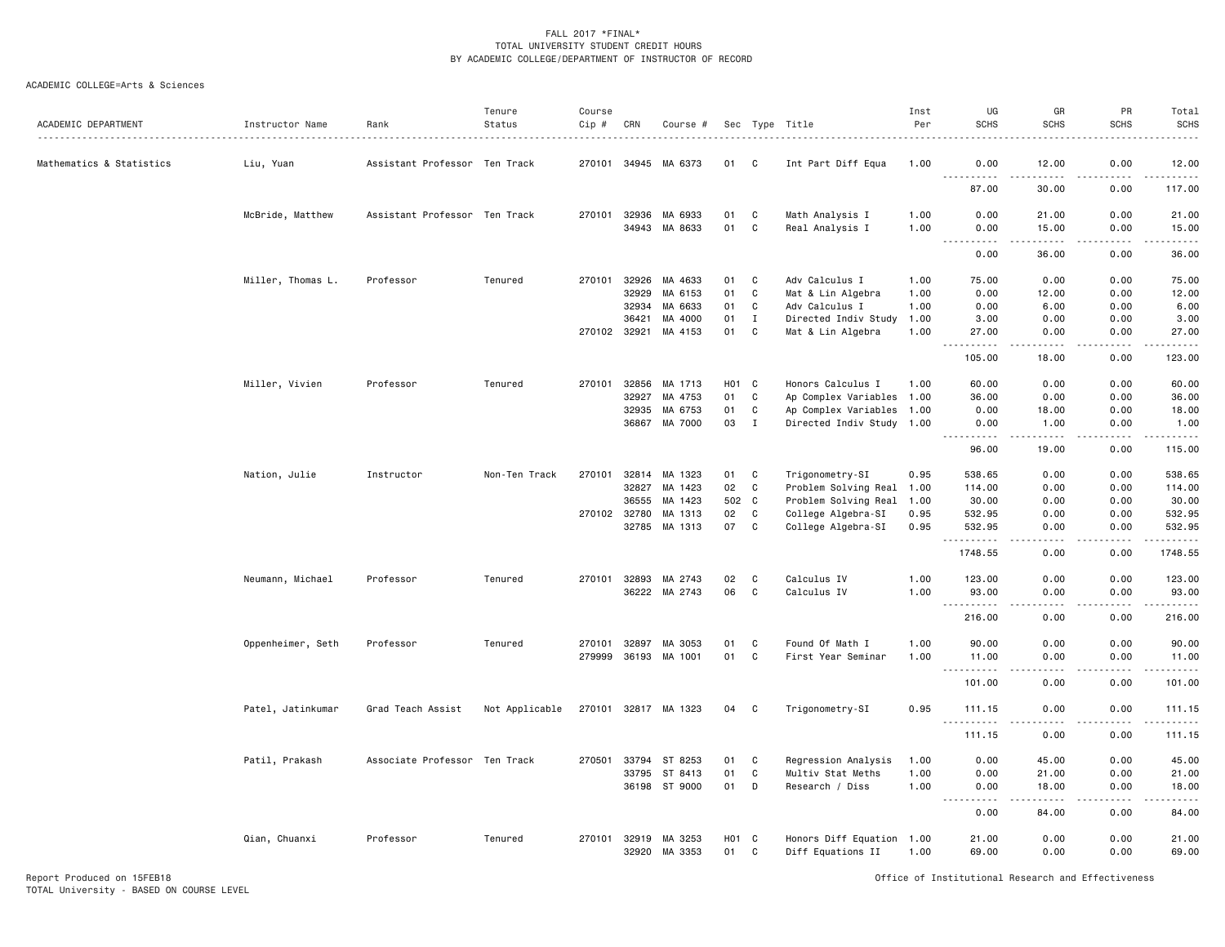| ACADEMIC DEPARTMENT      | Instructor Name   | Rank                          | Tenure<br>Status | Course<br>Cip # | CRN          | Course #      |                   |              | Sec Type Title            | Inst<br>Per | UG<br><b>SCHS</b>                                                                                                                                  | GR<br><b>SCHS</b>                                                                                                                                            | PR<br>SCHS | Total<br><b>SCHS</b><br>.                                                                                                                                                               |
|--------------------------|-------------------|-------------------------------|------------------|-----------------|--------------|---------------|-------------------|--------------|---------------------------|-------------|----------------------------------------------------------------------------------------------------------------------------------------------------|--------------------------------------------------------------------------------------------------------------------------------------------------------------|------------|-----------------------------------------------------------------------------------------------------------------------------------------------------------------------------------------|
| Mathematics & Statistics | Liu, Yuan         | Assistant Professor Ten Track |                  |                 | 270101 34945 | MA 6373       | 01                | C)           | Int Part Diff Equa        | 1.00        | 0.00                                                                                                                                               | 12.00                                                                                                                                                        | 0.00       | 12.00<br>$- - - - - -$                                                                                                                                                                  |
|                          |                   |                               |                  |                 |              |               |                   |              |                           |             | 87.00                                                                                                                                              | 30.00                                                                                                                                                        | 0.00       | 117.00                                                                                                                                                                                  |
|                          | McBride, Matthew  | Assistant Professor Ten Track |                  | 270101          | 32936        | MA 6933       | 01                | C            | Math Analysis I           | 1.00        | 0.00                                                                                                                                               | 21.00                                                                                                                                                        | 0.00       | 21.00                                                                                                                                                                                   |
|                          |                   |                               |                  |                 | 34943        | MA 8633       | 01                | C            | Real Analysis I           | 1.00        | 0.00<br>$\sim$ $\sim$<br>$\frac{1}{2} \left( \frac{1}{2} \right) \left( \frac{1}{2} \right) \left( \frac{1}{2} \right) \left( \frac{1}{2} \right)$ | 15.00<br>.                                                                                                                                                   | 0.00       | 15.00<br>$\sim$ $\sim$ $\sim$ $\sim$ $\sim$                                                                                                                                             |
|                          |                   |                               |                  |                 |              |               |                   |              |                           |             | 0.00                                                                                                                                               | 36.00                                                                                                                                                        | 0.00       | 36.00                                                                                                                                                                                   |
|                          | Miller, Thomas L. | Professor                     | Tenured          | 270101          | 32926        | MA 4633       | 01                | $\mathbf C$  | Adv Calculus I            | 1.00        | 75.00                                                                                                                                              | 0.00                                                                                                                                                         | 0.00       | 75.00                                                                                                                                                                                   |
|                          |                   |                               |                  |                 | 32929        | MA 6153       | 01                | $\mathbf C$  | Mat & Lin Algebra         | 1.00        | 0.00                                                                                                                                               | 12.00                                                                                                                                                        | 0.00       | 12.00                                                                                                                                                                                   |
|                          |                   |                               |                  |                 | 32934        | MA 6633       | 01                | $\mathtt{C}$ | Adv Calculus I            | 1.00        | 0.00                                                                                                                                               | 6.00                                                                                                                                                         | 0.00       | 6.00                                                                                                                                                                                    |
|                          |                   |                               |                  |                 | 36421        | MA 4000       | 01                | $\mathbf I$  | Directed Indiv Study      | 1.00        | 3.00                                                                                                                                               | 0.00                                                                                                                                                         | 0.00       | 3.00                                                                                                                                                                                    |
|                          |                   |                               |                  | 270102 32921    |              | MA 4153       | 01                | C            | Mat & Lin Algebra         | 1.00        | 27.00<br>.                                                                                                                                         | 0.00<br>.                                                                                                                                                    | 0.00<br>.  | 27.00<br>.                                                                                                                                                                              |
|                          |                   |                               |                  |                 |              |               |                   |              |                           |             | 105.00                                                                                                                                             | 18.00                                                                                                                                                        | 0.00       | 123.00                                                                                                                                                                                  |
|                          | Miller, Vivien    | Professor                     | Tenured          | 270101          | 32856        | MA 1713       | H <sub>01</sub> C |              | Honors Calculus I         | 1.00        | 60.00                                                                                                                                              | 0.00                                                                                                                                                         | 0.00       | 60.00                                                                                                                                                                                   |
|                          |                   |                               |                  |                 | 32927        | MA 4753       | 01                | $\mathbf C$  | Ap Complex Variables 1.00 |             | 36.00                                                                                                                                              | 0.00                                                                                                                                                         | 0.00       | 36.00                                                                                                                                                                                   |
|                          |                   |                               |                  |                 | 32935        | MA 6753       | 01                | C            | Ap Complex Variables 1.00 |             | 0.00                                                                                                                                               | 18.00                                                                                                                                                        | 0.00       | 18.00                                                                                                                                                                                   |
|                          |                   |                               |                  |                 | 36867        | MA 7000       | 03                | $\mathbf I$  | Directed Indiv Study 1.00 |             | 0.00<br>.<br>$\sim$ $\sim$ $\sim$                                                                                                                  | 1.00<br>$\frac{1}{2} \left( \frac{1}{2} \right) \left( \frac{1}{2} \right) \left( \frac{1}{2} \right) \left( \frac{1}{2} \right) \left( \frac{1}{2} \right)$ | 0.00<br>.  | 1.00<br>$\frac{1}{2} \left( \frac{1}{2} \right) \left( \frac{1}{2} \right) \left( \frac{1}{2} \right) \left( \frac{1}{2} \right) \left( \frac{1}{2} \right) \left( \frac{1}{2} \right)$ |
|                          |                   |                               |                  |                 |              |               |                   |              |                           |             | 96.00                                                                                                                                              | 19.00                                                                                                                                                        | 0.00       | 115.00                                                                                                                                                                                  |
|                          | Nation, Julie     | Instructor                    | Non-Ten Track    | 270101          | 32814        | MA 1323       | 01                | C            | Trigonometry-SI           | 0.95        | 538.65                                                                                                                                             | 0.00                                                                                                                                                         | 0.00       | 538.65                                                                                                                                                                                  |
|                          |                   |                               |                  |                 | 32827        | MA 1423       | 02                | $\mathbf C$  | Problem Solving Real 1.00 |             | 114.00                                                                                                                                             | 0.00                                                                                                                                                         | 0.00       | 114.00                                                                                                                                                                                  |
|                          |                   |                               |                  |                 | 36555        | MA 1423       | 502 C             |              | Problem Solving Real      | 1.00        | 30.00                                                                                                                                              | 0.00                                                                                                                                                         | 0.00       | 30.00                                                                                                                                                                                   |
|                          |                   |                               |                  | 270102 32780    |              | MA 1313       | 02                | C            | College Algebra-SI        | 0.95        | 532.95                                                                                                                                             | 0.00                                                                                                                                                         | 0.00       | 532.95                                                                                                                                                                                  |
|                          |                   |                               |                  |                 | 32785        | MA 1313       | 07                | C            | College Algebra-SI        | 0.95        | 532.95<br>$\sim$ $\sim$ $\sim$                                                                                                                     | 0.00                                                                                                                                                         | 0.00       | 532.95<br>.                                                                                                                                                                             |
|                          |                   |                               |                  |                 |              |               |                   |              |                           |             | 1748.55                                                                                                                                            | 0.00                                                                                                                                                         | 0.00       | 1748.55                                                                                                                                                                                 |
|                          | Neumann, Michael  | Professor                     | Tenured          | 270101 32893    |              | MA 2743       | 02                | C            | Calculus IV               | 1.00        | 123.00                                                                                                                                             | 0.00                                                                                                                                                         | 0.00       | 123.00                                                                                                                                                                                  |
|                          |                   |                               |                  |                 |              | 36222 MA 2743 | 06                | C            | Calculus IV               | 1.00        | 93.00                                                                                                                                              | 0.00                                                                                                                                                         | 0.00       | 93.00                                                                                                                                                                                   |
|                          |                   |                               |                  |                 |              |               |                   |              |                           |             | $\sim$ $\sim$ $\sim$<br>.                                                                                                                          |                                                                                                                                                              |            | .                                                                                                                                                                                       |
|                          |                   |                               |                  |                 |              |               |                   |              |                           |             | 216.00                                                                                                                                             | 0.00                                                                                                                                                         | 0.00       | 216.00                                                                                                                                                                                  |
|                          | Oppenheimer, Seth | Professor                     | Tenured          | 270101          | 32897        | MA 3053       | 01                | C            | Found Of Math I           | 1.00        | 90.00                                                                                                                                              | 0.00                                                                                                                                                         | 0.00       | 90.00                                                                                                                                                                                   |
|                          |                   |                               |                  | 279999          | 36193        | MA 1001       | 01                | C            | First Year Seminar        | 1.00        | 11.00<br>$\sim$ $\sim$ $\sim$<br>.                                                                                                                 | 0.00<br>$\frac{1}{2}$                                                                                                                                        | 0.00<br>.  | 11.00<br><u>.</u>                                                                                                                                                                       |
|                          |                   |                               |                  |                 |              |               |                   |              |                           |             | 101.00                                                                                                                                             | 0.00                                                                                                                                                         | 0.00       | 101.00                                                                                                                                                                                  |
|                          | Patel, Jatinkumar | Grad Teach Assist             | Not Applicable   | 270101          | 32817        | MA 1323       | 04                | C.           | Trigonometry-SI           | 0.95        | 111.15                                                                                                                                             | 0.00                                                                                                                                                         | 0.00       | 111.15                                                                                                                                                                                  |
|                          |                   |                               |                  |                 |              |               |                   |              |                           |             | 111.15                                                                                                                                             | 0.00                                                                                                                                                         | 0.00       | $\frac{1}{2} \left( \frac{1}{2} \right) \left( \frac{1}{2} \right) \left( \frac{1}{2} \right) \left( \frac{1}{2} \right) \left( \frac{1}{2} \right)$<br>111.15                          |
|                          | Patil, Prakash    | Associate Professor Ten Track |                  | 270501          | 33794        | ST 8253       | 01                | C            | Regression Analysis       | 1.00        | 0.00                                                                                                                                               | 45.00                                                                                                                                                        | 0.00       | 45.00                                                                                                                                                                                   |
|                          |                   |                               |                  |                 | 33795        | ST 8413       | 01                | $\mathbf C$  | Multiv Stat Meths         | 1.00        | 0.00                                                                                                                                               | 21.00                                                                                                                                                        | 0.00       | 21.00                                                                                                                                                                                   |
|                          |                   |                               |                  |                 | 36198        | ST 9000       | 01                | D            | Research / Diss           | 1.00        | 0.00                                                                                                                                               | 18.00                                                                                                                                                        | 0.00       | 18.00                                                                                                                                                                                   |
|                          |                   |                               |                  |                 |              |               |                   |              |                           |             | 0.00                                                                                                                                               | $\frac{1}{2}$<br>84.00                                                                                                                                       | .<br>0.00  | .<br>84.00                                                                                                                                                                              |
|                          | Qian, Chuanxi     | Professor                     | Tenured          | 270101          | 32919        | MA 3253       | H01 C             |              | Honors Diff Equation 1.00 |             | 21.00                                                                                                                                              | 0.00                                                                                                                                                         | 0.00       | 21.00                                                                                                                                                                                   |
|                          |                   |                               |                  |                 | 32920        | MA 3353       | 01                | C            | Diff Equations II         | 1.00        | 69.00                                                                                                                                              | 0.00                                                                                                                                                         | 0.00       | 69.00                                                                                                                                                                                   |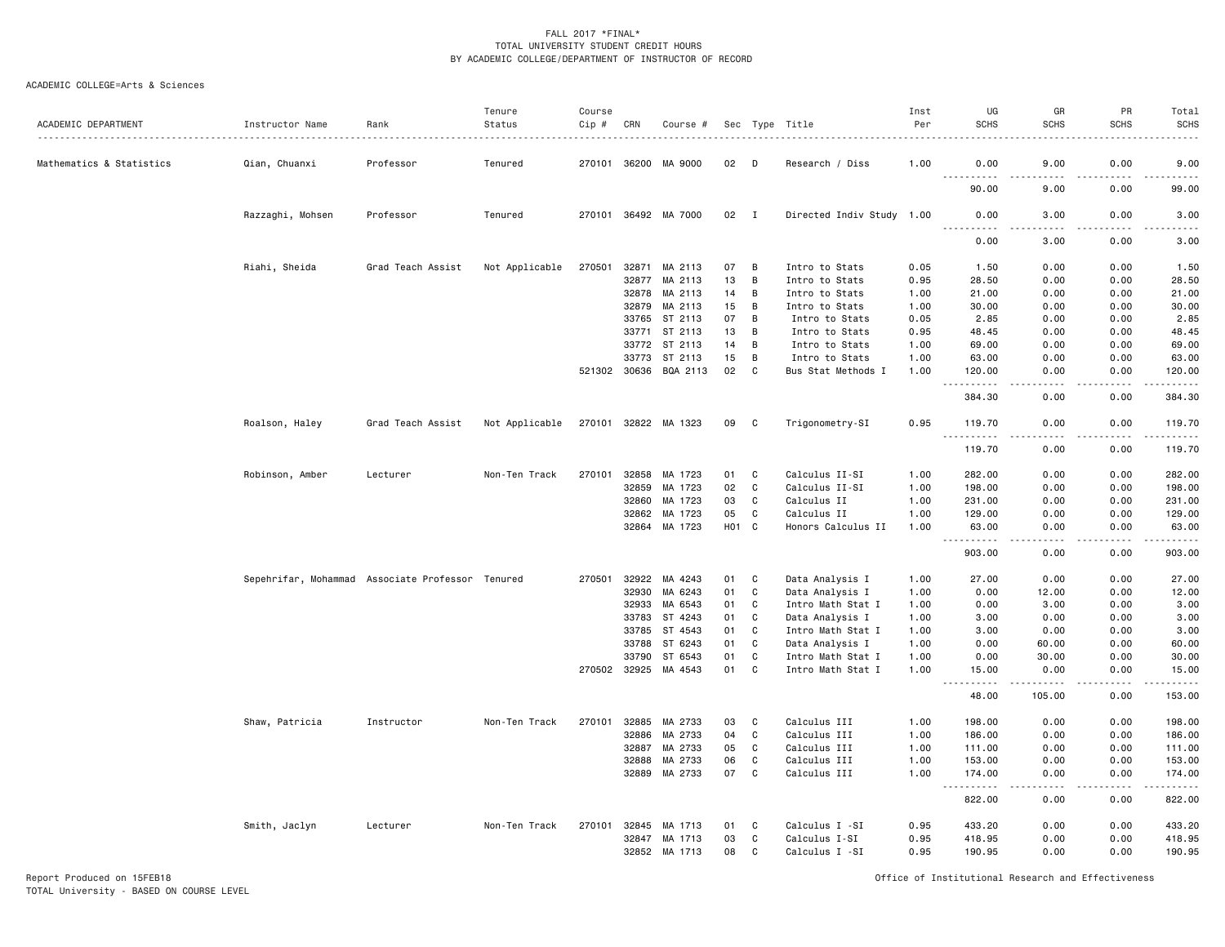| ACADEMIC DEPARTMENT      | Instructor Name  | Rank                                             | Tenure<br>Status | Course<br>$Cip$ # | CRN                   | Course #             |                  |                | Sec Type Title                         | Inst<br>Per  | UG<br><b>SCHS</b>                          | GR<br><b>SCHS</b> | PR<br><b>SCHS</b>                   | Total<br><b>SCHS</b>                                                                                                            |
|--------------------------|------------------|--------------------------------------------------|------------------|-------------------|-----------------------|----------------------|------------------|----------------|----------------------------------------|--------------|--------------------------------------------|-------------------|-------------------------------------|---------------------------------------------------------------------------------------------------------------------------------|
| Mathematics & Statistics | Qian, Chuanxi    | Professor                                        | Tenured          |                   | 270101 36200          | MA 9000              | 02               | D              | Research / Diss                        | 1.00         | 0.00<br>$  -$<br>.                         | 9.00              | 0.00                                | 9.00<br>----                                                                                                                    |
|                          |                  |                                                  |                  |                   |                       |                      |                  |                |                                        |              | 90.00                                      | 9.00              | 0.00                                | 99.00                                                                                                                           |
|                          | Razzaghi, Mohsen | Professor                                        | Tenured          |                   |                       | 270101 36492 MA 7000 | 02               | $\blacksquare$ | Directed Indiv Study 1.00              |              | 0.00                                       | 3.00              | 0.00                                | 3.00                                                                                                                            |
|                          |                  |                                                  |                  |                   |                       |                      |                  |                |                                        |              | 0.00                                       | 3.00              | 0.00                                | 3.00                                                                                                                            |
|                          | Riahi, Sheida    | Grad Teach Assist                                | Not Applicable   | 270501            | 32871                 | MA 2113              | 07               | B              | Intro to Stats                         | 0.05         | 1.50                                       | 0.00              | 0.00                                | 1.50                                                                                                                            |
|                          |                  |                                                  |                  |                   | 32877                 | MA 2113              | 13               | B              | Intro to Stats                         | 0.95         | 28.50                                      | 0.00              | 0.00                                | 28.50                                                                                                                           |
|                          |                  |                                                  |                  |                   | 32878                 | MA 2113              | 14               | B              | Intro to Stats                         | 1.00         | 21.00                                      | 0.00              | 0.00                                | 21.00                                                                                                                           |
|                          |                  |                                                  |                  |                   | 32879                 | MA 2113              | 15               | B              | Intro to Stats                         | 1.00         | 30.00                                      | 0.00              | 0.00                                | 30.00                                                                                                                           |
|                          |                  |                                                  |                  |                   | 33765                 | ST 2113              | 07               | B              | Intro to Stats                         | 0.05         | 2.85                                       | 0.00              | 0.00                                | 2.85                                                                                                                            |
|                          |                  |                                                  |                  |                   | 33771                 | ST 2113              | 13               | B              | Intro to Stats                         | 0.95         | 48.45                                      | 0.00              | 0.00                                | 48.45                                                                                                                           |
|                          |                  |                                                  |                  |                   | 33772                 | ST 2113              | 14               | B              | Intro to Stats                         | 1.00         | 69.00                                      | 0.00              | 0.00                                | 69.00                                                                                                                           |
|                          |                  |                                                  |                  |                   | 33773<br>521302 30636 | ST 2113<br>BQA 2113  | 15<br>02         | B<br>C         | Intro to Stats<br>Bus Stat Methods I   | 1.00<br>1.00 | 63.00<br>120.00                            | 0.00<br>0.00      | 0.00<br>0.00                        | 63.00<br>120.00                                                                                                                 |
|                          |                  |                                                  |                  |                   |                       |                      |                  |                |                                        |              | .                                          | .                 | .                                   | 2.2.2.2.2.4                                                                                                                     |
|                          |                  |                                                  |                  |                   |                       |                      |                  |                |                                        |              | 384.30                                     | 0.00              | 0.00                                | 384.30                                                                                                                          |
|                          | Roalson, Haley   | Grad Teach Assist                                | Not Applicable   |                   |                       | 270101 32822 MA 1323 | 09               | C              | Trigonometry-SI                        | 0.95         | 119.70                                     | 0.00              | 0.00<br>$\sim$ $\sim$ $\sim$ $\sim$ | 119.70<br>$\begin{array}{cccccccccc} \bullet & \bullet & \bullet & \bullet & \bullet & \bullet & \bullet & \bullet \end{array}$ |
|                          |                  |                                                  |                  |                   |                       |                      |                  |                |                                        |              | 119.70                                     | 0.00              | 0.00                                | 119.70                                                                                                                          |
|                          | Robinson, Amber  | Lecturer                                         | Non-Ten Track    | 270101            | 32858                 | MA 1723              | 01               | C              | Calculus II-SI                         | 1.00         | 282.00                                     | 0.00              | 0.00                                | 282.00                                                                                                                          |
|                          |                  |                                                  |                  |                   | 32859                 | MA 1723              | 02               | C              | Calculus II-SI                         | 1.00         | 198.00                                     | 0.00              | 0.00                                | 198.00                                                                                                                          |
|                          |                  |                                                  |                  |                   | 32860                 | MA 1723              | 03               | C              | Calculus II                            | 1.00         | 231.00                                     | 0.00              | 0.00                                | 231.00                                                                                                                          |
|                          |                  |                                                  |                  |                   | 32862                 | MA 1723              | 05               | C              | Calculus II                            | 1.00         | 129.00                                     | 0.00              | 0.00                                | 129.00                                                                                                                          |
|                          |                  |                                                  |                  |                   | 32864                 | MA 1723              | H <sub>0</sub> 1 | $\mathbf c$    | Honors Calculus II                     | 1.00         | 63.00<br>$\sim$ $\sim$ $\sim$<br>د د د د د | 0.00              | 0.00                                | 63.00<br>.                                                                                                                      |
|                          |                  |                                                  |                  |                   |                       |                      |                  |                |                                        |              | 903.00                                     | 0.00              | 0.00                                | 903.00                                                                                                                          |
|                          |                  | Sepehrifar, Mohammad Associate Professor Tenured |                  | 270501            | 32922                 | MA 4243              | 01               | C              | Data Analysis I                        | 1.00         | 27.00                                      | 0.00              | 0.00                                | 27.00                                                                                                                           |
|                          |                  |                                                  |                  |                   | 32930                 | MA 6243              | 01               | C              | Data Analysis I                        | 1.00         | 0.00                                       | 12.00             | 0.00                                | 12.00                                                                                                                           |
|                          |                  |                                                  |                  |                   | 32933                 | MA 6543              | 01               | C              | Intro Math Stat I                      | 1.00         | 0.00                                       | 3.00              | 0.00                                | 3.00                                                                                                                            |
|                          |                  |                                                  |                  |                   | 33783                 | ST 4243              | 01               | C              | Data Analysis I                        | 1.00         | 3.00                                       | 0.00              | 0.00                                | 3.00                                                                                                                            |
|                          |                  |                                                  |                  |                   | 33785                 | ST 4543              | 01               | C              | Intro Math Stat I                      | 1.00         | 3,00                                       | 0.00              | 0.00                                | 3.00                                                                                                                            |
|                          |                  |                                                  |                  |                   | 33788                 | ST 6243              | 01               | C              | Data Analysis I                        | 1.00         | 0.00                                       | 60.00             | 0.00                                | 60.00                                                                                                                           |
|                          |                  |                                                  |                  |                   | 33790<br>270502 32925 | ST 6543<br>MA 4543   | 01<br>01         | C<br>C         | Intro Math Stat I<br>Intro Math Stat I | 1.00<br>1.00 | 0.00<br>15.00                              | 30.00<br>0.00     | 0.00<br>0.00                        | 30.00<br>15.00                                                                                                                  |
|                          |                  |                                                  |                  |                   |                       |                      |                  |                |                                        |              | $\sim$ $\sim$ $\sim$<br>- - - - -<br>48.00 | 105.00            | 0.00                                | .<br>153.00                                                                                                                     |
|                          | Shaw, Patricia   | Instructor                                       | Non-Ten Track    | 270101            | 32885                 | MA 2733              | 03               | C              | Calculus III                           | 1.00         | 198.00                                     | 0.00              | 0.00                                | 198.00                                                                                                                          |
|                          |                  |                                                  |                  |                   | 32886                 | MA 2733              | 04               | C              | Calculus III                           | 1.00         | 186.00                                     | 0.00              | 0.00                                | 186.00                                                                                                                          |
|                          |                  |                                                  |                  |                   | 32887                 | MA 2733              | 05               | C              | Calculus III                           | 1.00         | 111.00                                     | 0.00              | 0.00                                | 111.00                                                                                                                          |
|                          |                  |                                                  |                  |                   | 32888                 | MA 2733              | 06               | C              | Calculus III                           | 1.00         | 153.00                                     | 0.00              | 0.00                                | 153.00                                                                                                                          |
|                          |                  |                                                  |                  |                   | 32889                 | MA 2733              | 07               | $\mathbf c$    | Calculus III                           | 1.00         | 174.00                                     | 0.00              | 0.00                                | 174.00<br>.                                                                                                                     |
|                          |                  |                                                  |                  |                   |                       |                      |                  |                |                                        |              | 822.00                                     | 0.00              | 0.00                                | 822.00                                                                                                                          |
|                          | Smith, Jaclyn    | Lecturer                                         | Non-Ten Track    | 270101            | 32845                 | MA 1713              | 01               | C              | Calculus I -SI                         | 0.95         | 433.20                                     | 0.00              | 0.00                                | 433.20                                                                                                                          |
|                          |                  |                                                  |                  |                   | 32847                 | MA 1713              | 03               | C              | Calculus I-SI                          | 0.95         | 418.95                                     | 0.00              | 0.00                                | 418.95                                                                                                                          |
|                          |                  |                                                  |                  |                   |                       | 32852 MA 1713        | 08               | C              | Calculus I -SI                         | 0.95         | 190.95                                     | 0.00              | 0.00                                | 190.95                                                                                                                          |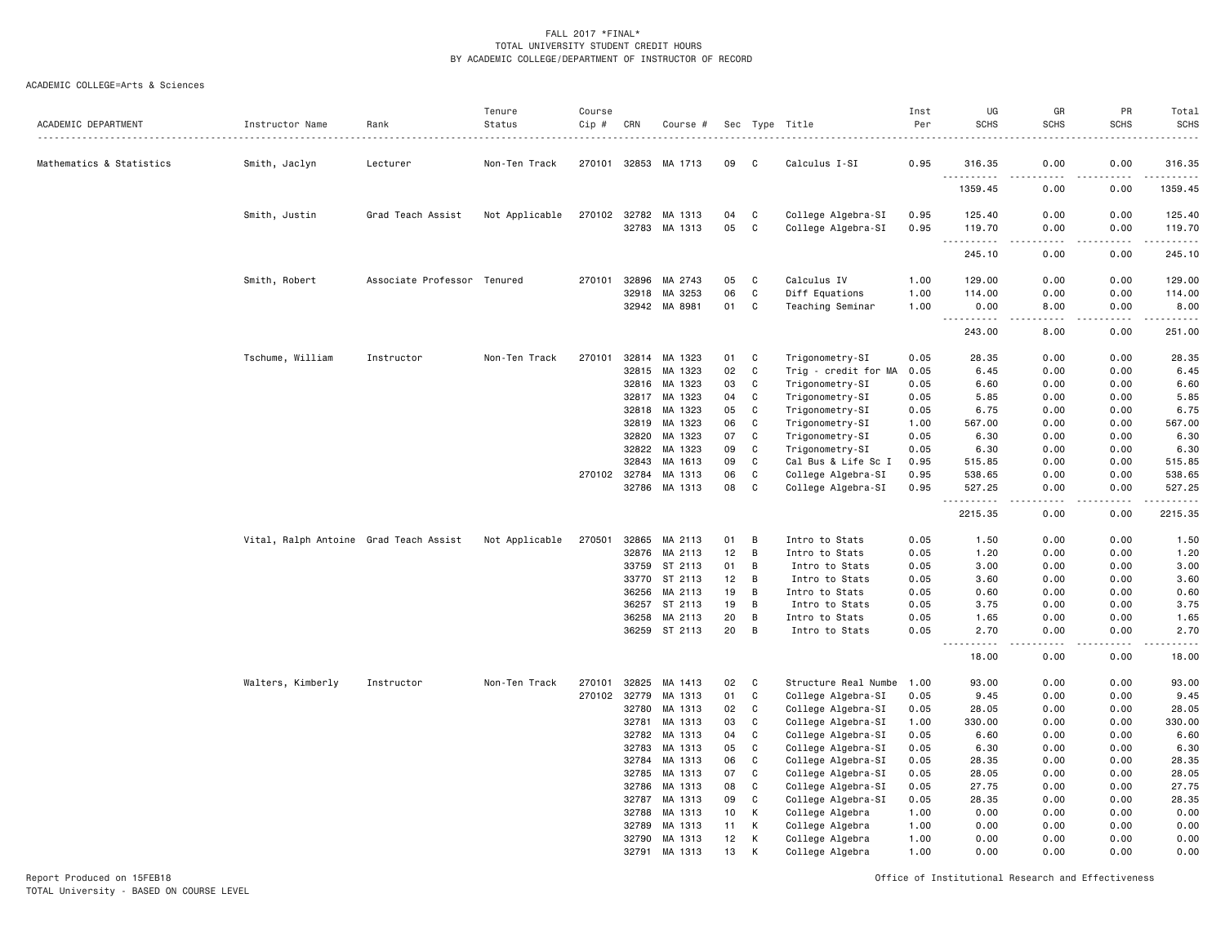| ACADEMIC DEPARTMENT      | Instructor Name                        | Rank                        | Tenure<br>Status | Course<br>Cip # | CRN          | Course #      |    |              | Sec Type Title       | Inst<br>Per | UG<br><b>SCHS</b>                               | GR<br><b>SCHS</b>                                                                                                                 | PR<br><b>SCHS</b> | Total<br>SCHS                                                                                                                                                                             |
|--------------------------|----------------------------------------|-----------------------------|------------------|-----------------|--------------|---------------|----|--------------|----------------------|-------------|-------------------------------------------------|-----------------------------------------------------------------------------------------------------------------------------------|-------------------|-------------------------------------------------------------------------------------------------------------------------------------------------------------------------------------------|
| Mathematics & Statistics | Smith, Jaclyn                          | Lecturer                    | Non-Ten Track    | 270101          | 32853        | MA 1713       | 09 | C            | Calculus I-SI        | 0.95        | 316.35                                          | 0.00                                                                                                                              | 0.00              | 316.35                                                                                                                                                                                    |
|                          |                                        |                             |                  |                 |              |               |    |              |                      |             | $ -$<br>----<br>1359.45                         | 0.00                                                                                                                              | 0.00              | 1359.45                                                                                                                                                                                   |
|                          | Smith, Justin                          | Grad Teach Assist           | Not Applicable   |                 | 270102 32782 | MA 1313       | 04 | C            | College Algebra-SI   | 0.95        | 125.40                                          | 0.00                                                                                                                              | 0.00              | 125.40                                                                                                                                                                                    |
|                          |                                        |                             |                  |                 | 32783        | MA 1313       | 05 | C            | College Algebra-SI   | 0.95        | 119.70<br>.<br>$\sim$ $\sim$                    | 0.00<br>$\sim$ $\sim$ $\sim$                                                                                                      | 0.00<br>.         | 119.70<br>$\frac{1}{2} \left( \frac{1}{2} \right) \left( \frac{1}{2} \right) \left( \frac{1}{2} \right) \left( \frac{1}{2} \right) \left( \frac{1}{2} \right) \left( \frac{1}{2} \right)$ |
|                          |                                        |                             |                  |                 |              |               |    |              |                      |             | 245.10                                          | 0.00                                                                                                                              | 0.00              | 245.10                                                                                                                                                                                    |
|                          | Smith, Robert                          | Associate Professor Tenured |                  | 270101          | 32896        | MA 2743       | 05 | C            | Calculus IV          | 1.00        | 129.00                                          | 0.00                                                                                                                              | 0.00              | 129.00                                                                                                                                                                                    |
|                          |                                        |                             |                  |                 | 32918        | MA 3253       | 06 | C            | Diff Equations       | 1.00        | 114.00                                          | 0.00                                                                                                                              | 0.00              | 114.00                                                                                                                                                                                    |
|                          |                                        |                             |                  |                 |              | 32942 MA 8981 | 01 | C            | Teaching Seminar     | 1.00        | 0.00<br>$\omega$ $\omega$ $\omega$<br>2.2.2.2.2 | 8.00<br>$\frac{1}{2} \left( \frac{1}{2} \right) \left( \frac{1}{2} \right) \left( \frac{1}{2} \right) \left( \frac{1}{2} \right)$ | 0.00<br>د د د د   | 8.00<br>.                                                                                                                                                                                 |
|                          |                                        |                             |                  |                 |              |               |    |              |                      |             | 243.00                                          | 8.00                                                                                                                              | 0.00              | 251.00                                                                                                                                                                                    |
|                          | Tschume, William                       | Instructor                  | Non-Ten Track    | 270101          |              | 32814 MA 1323 | 01 | C            | Trigonometry-SI      | 0.05        | 28.35                                           | 0.00                                                                                                                              | 0.00              | 28.35                                                                                                                                                                                     |
|                          |                                        |                             |                  |                 | 32815        | MA 1323       | 02 | C            | Trig - credit for MA | 0.05        | 6.45                                            | 0.00                                                                                                                              | 0.00              | 6.45                                                                                                                                                                                      |
|                          |                                        |                             |                  |                 | 32816        | MA 1323       | 03 | $\mathbb{C}$ | Trigonometry-SI      | 0.05        | 6.60                                            | 0.00                                                                                                                              | 0.00              | 6.60                                                                                                                                                                                      |
|                          |                                        |                             |                  |                 | 32817        | MA 1323       | 04 | C            | Trigonometry-SI      | 0.05        | 5.85                                            | 0.00                                                                                                                              | 0.00              | 5.85                                                                                                                                                                                      |
|                          |                                        |                             |                  |                 | 32818        | MA 1323       | 05 | C            | Trigonometry-SI      | 0.05        | 6.75                                            | 0.00                                                                                                                              | 0.00              | 6.75                                                                                                                                                                                      |
|                          |                                        |                             |                  |                 | 32819        | MA 1323       | 06 | C            | Trigonometry-SI      | 1.00        | 567.00                                          | 0.00                                                                                                                              | 0.00              | 567.00                                                                                                                                                                                    |
|                          |                                        |                             |                  |                 | 32820        | MA 1323       | 07 | C            | Trigonometry-SI      | 0.05        | 6.30                                            | 0.00                                                                                                                              | 0.00              | 6.30                                                                                                                                                                                      |
|                          |                                        |                             |                  |                 | 32822        | MA 1323       | 09 | C            | Trigonometry-SI      | 0.05        | 6.30                                            | 0.00                                                                                                                              | 0.00              | 6.30                                                                                                                                                                                      |
|                          |                                        |                             |                  |                 | 32843        | MA 1613       | 09 | $\mathbb{C}$ | Cal Bus & Life Sc I  | 0.95        | 515.85                                          | 0.00                                                                                                                              | 0.00              | 515.85                                                                                                                                                                                    |
|                          |                                        |                             |                  |                 | 270102 32784 | MA 1313       | 06 | $\mathtt{C}$ | College Algebra-SI   | 0.95        | 538.65                                          | 0.00                                                                                                                              | 0.00              | 538.65                                                                                                                                                                                    |
|                          |                                        |                             |                  |                 | 32786        | MA 1313       | 08 | C            | College Algebra-SI   | 0.95        | 527.25                                          | 0.00                                                                                                                              | 0.00              | 527.25                                                                                                                                                                                    |
|                          |                                        |                             |                  |                 |              |               |    |              |                      |             | 2215.35                                         | 0.00                                                                                                                              | 0.00              | 2215.35                                                                                                                                                                                   |
|                          | Vital, Ralph Antoine Grad Teach Assist |                             | Not Applicable   | 270501          | 32865        | MA 2113       | 01 | B            | Intro to Stats       | 0.05        | 1.50                                            | 0.00                                                                                                                              | 0.00              | 1.50                                                                                                                                                                                      |
|                          |                                        |                             |                  |                 | 32876        | MA 2113       | 12 | В            | Intro to Stats       | 0.05        | 1.20                                            | 0.00                                                                                                                              | 0.00              | 1.20                                                                                                                                                                                      |
|                          |                                        |                             |                  |                 | 33759        | ST 2113       | 01 | В            | Intro to Stats       | 0.05        | 3.00                                            | 0.00                                                                                                                              | 0.00              | 3.00                                                                                                                                                                                      |
|                          |                                        |                             |                  |                 | 33770        | ST 2113       | 12 | В            | Intro to Stats       | 0.05        | 3.60                                            | 0.00                                                                                                                              | 0.00              | 3.60                                                                                                                                                                                      |
|                          |                                        |                             |                  |                 | 36256        | MA 2113       | 19 | В            | Intro to Stats       | 0.05        | 0.60                                            | 0.00                                                                                                                              | 0.00              | 0.60                                                                                                                                                                                      |
|                          |                                        |                             |                  |                 | 36257        | ST 2113       | 19 | B            | Intro to Stats       | 0.05        | 3.75                                            | 0.00                                                                                                                              | 0.00              | 3.75                                                                                                                                                                                      |
|                          |                                        |                             |                  |                 | 36258        | MA 2113       | 20 | В            | Intro to Stats       | 0.05        | 1.65                                            | 0.00                                                                                                                              | 0.00              | 1.65                                                                                                                                                                                      |
|                          |                                        |                             |                  |                 |              | 36259 ST 2113 | 20 | В            | Intro to Stats       | 0.05        | 2.70<br>.<br>$  -$                              | 0.00<br>.                                                                                                                         | 0.00<br><u>.</u>  | 2.70<br>$\frac{1}{2}$                                                                                                                                                                     |
|                          |                                        |                             |                  |                 |              |               |    |              |                      |             | 18.00                                           | 0.00                                                                                                                              | 0.00              | 18.00                                                                                                                                                                                     |
|                          | Walters, Kimberly                      | Instructor                  | Non-Ten Track    | 270101          | 32825        | MA 1413       | 02 | C            | Structure Real Numbe | 1.00        | 93.00                                           | 0.00                                                                                                                              | 0.00              | 93.00                                                                                                                                                                                     |
|                          |                                        |                             |                  | 270102          | 32779        | MA 1313       | 01 | C            | College Algebra-SI   | 0.05        | 9.45                                            | 0.00                                                                                                                              | 0.00              | 9.45                                                                                                                                                                                      |
|                          |                                        |                             |                  |                 | 32780        | MA 1313       | 02 | C            | College Algebra-SI   | 0.05        | 28.05                                           | 0.00                                                                                                                              | 0.00              | 28.05                                                                                                                                                                                     |
|                          |                                        |                             |                  |                 | 32781        | MA 1313       | 03 | $\mathbb{C}$ | College Algebra-SI   | 1.00        | 330.00                                          | 0.00                                                                                                                              | 0.00              | 330.00                                                                                                                                                                                    |
|                          |                                        |                             |                  |                 | 32782        | MA 1313       | 04 | C            | College Algebra-SI   | 0.05        | 6.60                                            | 0.00                                                                                                                              | 0.00              | 6.60                                                                                                                                                                                      |
|                          |                                        |                             |                  |                 | 32783        | MA 1313       | 05 | C            | College Algebra-SI   | 0.05        | 6.30                                            | 0.00                                                                                                                              | 0.00              | 6.30                                                                                                                                                                                      |
|                          |                                        |                             |                  |                 | 32784        | MA 1313       | 06 | C            | College Algebra-SI   | 0.05        | 28.35                                           | 0.00                                                                                                                              | 0.00              | 28.35                                                                                                                                                                                     |
|                          |                                        |                             |                  |                 | 32785        | MA 1313       | 07 | C            | College Algebra-SI   | 0.05        | 28.05                                           | 0.00                                                                                                                              | 0.00              | 28.05                                                                                                                                                                                     |
|                          |                                        |                             |                  |                 | 32786        | MA 1313       | 08 | C            | College Algebra-SI   | 0.05        | 27.75                                           | 0.00                                                                                                                              | 0.00              | 27.75                                                                                                                                                                                     |
|                          |                                        |                             |                  |                 | 32787        | MA 1313       | 09 | C            | College Algebra-SI   | 0.05        | 28.35                                           | 0.00                                                                                                                              | 0.00              | 28.35                                                                                                                                                                                     |
|                          |                                        |                             |                  |                 | 32788        | MA 1313       | 10 | К            | College Algebra      | 1.00        | 0.00                                            | 0.00                                                                                                                              | 0.00              | 0.00                                                                                                                                                                                      |
|                          |                                        |                             |                  |                 | 32789        | MA 1313       | 11 | К            | College Algebra      | 1.00        | 0.00                                            | 0.00                                                                                                                              | 0.00              | 0.00                                                                                                                                                                                      |
|                          |                                        |                             |                  |                 | 32790        | MA 1313       | 12 | К            | College Algebra      | 1.00        | 0.00                                            | 0.00                                                                                                                              | 0.00              | 0.00                                                                                                                                                                                      |
|                          |                                        |                             |                  |                 | 32791        | MA 1313       | 13 | к            | College Algebra      | 1.00        | 0.00                                            | 0.00                                                                                                                              | 0.00              | 0.00                                                                                                                                                                                      |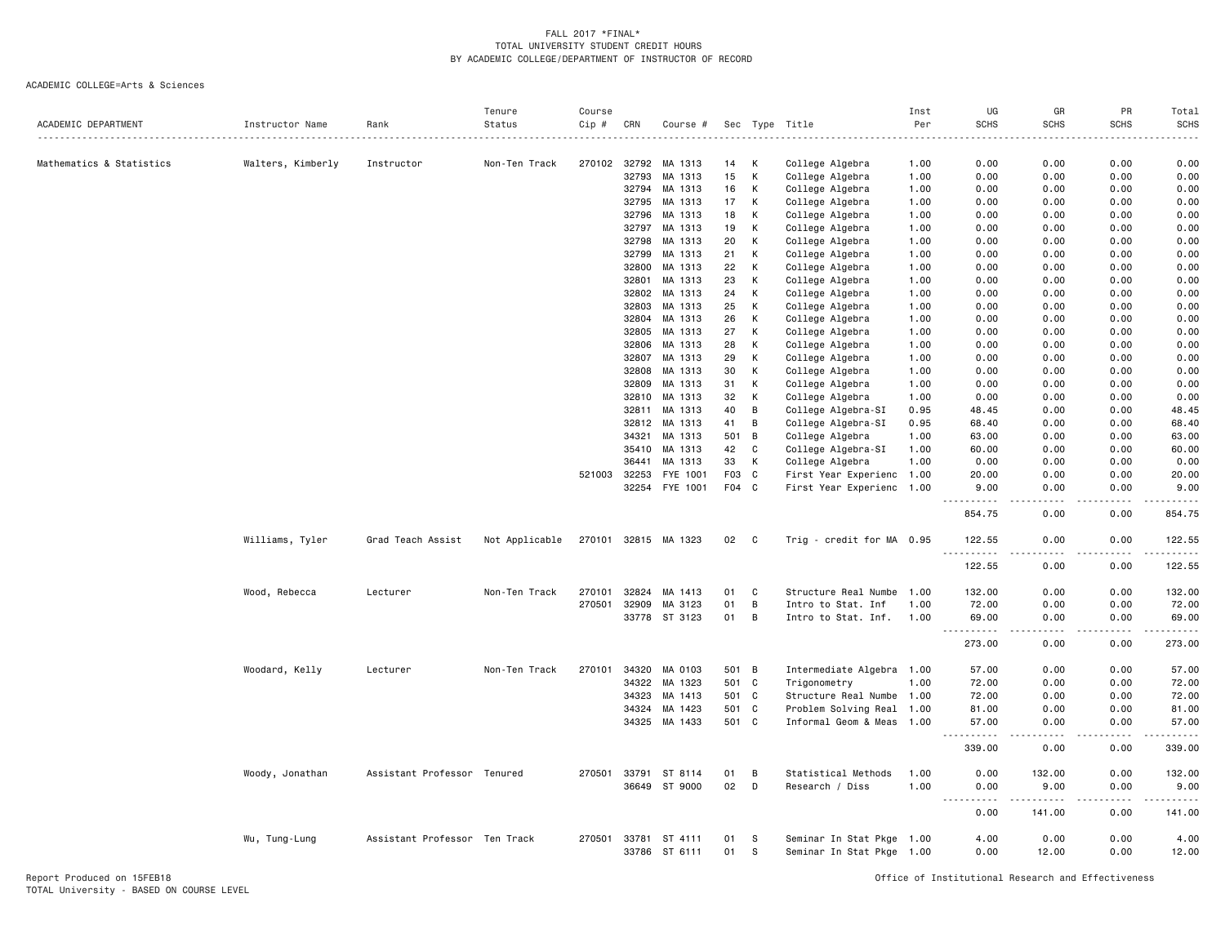| ACADEMIC DEPARTMENT      | Instructor Name   | Rank                          | Tenure<br>Status | Course<br>Cip#<br>. | CRN   | Course #       |                  |                | Sec Type Title            | Inst<br>Per | UG<br><b>SCHS</b>                 | GR<br><b>SCHS</b> | PR<br><b>SCHS</b> | Total<br><b>SCHS</b><br>$\omega$ is a $\omega$ |
|--------------------------|-------------------|-------------------------------|------------------|---------------------|-------|----------------|------------------|----------------|---------------------------|-------------|-----------------------------------|-------------------|-------------------|------------------------------------------------|
| Mathematics & Statistics | Walters, Kimberly | Instructor                    | Non-Ten Track    | 270102              | 32792 | MA 1313        | 14               | Κ              | College Algebra           | 1.00        | 0.00                              | 0.00              | 0.00              | 0.00                                           |
|                          |                   |                               |                  |                     | 32793 | MA 1313        | 15               | Κ              | College Algebra           | 1.00        | 0.00                              | 0.00              | 0.00              | 0.00                                           |
|                          |                   |                               |                  |                     | 32794 | MA 1313        | 16               | Κ              | College Algebra           | 1.00        | 0.00                              | 0.00              | 0.00              | 0.00                                           |
|                          |                   |                               |                  |                     | 32795 | MA 1313        | 17               | К              | College Algebra           | 1.00        | 0.00                              | 0.00              | 0.00              | 0.00                                           |
|                          |                   |                               |                  |                     | 32796 | MA 1313        | 18               | K              | College Algebra           | 1.00        | 0.00                              | 0.00              | 0.00              | 0.00                                           |
|                          |                   |                               |                  |                     | 32797 | MA 1313        | 19               | К              | College Algebra           | 1.00        | 0.00                              | 0.00              | 0.00              | 0.00                                           |
|                          |                   |                               |                  |                     | 32798 | MA 1313        | 20               | К              | College Algebra           | 1.00        | 0.00                              | 0.00              | 0.00              | 0.00                                           |
|                          |                   |                               |                  |                     | 32799 | MA 1313        | 21               | K              | College Algebra           | 1.00        | 0.00                              | 0.00              | 0.00              | 0.00                                           |
|                          |                   |                               |                  |                     | 32800 | MA 1313        | 22               | Κ              | College Algebra           | 1.00        | 0.00                              | 0.00              | 0.00              | 0.00                                           |
|                          |                   |                               |                  |                     | 32801 | MA 1313        | 23               | К              | College Algebra           | 1.00        | 0.00                              | 0.00              | 0.00              | 0.00                                           |
|                          |                   |                               |                  |                     | 32802 | MA 1313        | 24               | Κ              | College Algebra           | 1.00        | 0.00                              | 0.00              | 0.00              | 0.00                                           |
|                          |                   |                               |                  |                     | 32803 | MA 1313        | 25               | K              | College Algebra           | 1.00        | 0.00                              | 0.00              | 0.00              | 0.00                                           |
|                          |                   |                               |                  |                     | 32804 | MA 1313        | 26               | К              | College Algebra           | 1.00        | 0.00                              | 0.00              | 0.00              | 0.00                                           |
|                          |                   |                               |                  |                     | 32805 | MA 1313        | 27               | К              | College Algebra           | 1.00        | 0.00                              | 0.00              | 0.00              | 0.00                                           |
|                          |                   |                               |                  |                     | 32806 | MA 1313        | 28               | Κ              | College Algebra           | 1.00        | 0.00                              | 0.00              | 0.00              | 0.00                                           |
|                          |                   |                               |                  |                     | 32807 | MA 1313        | 29               | Κ              | College Algebra           | 1.00        | 0.00                              | 0.00              | 0.00              | 0.00                                           |
|                          |                   |                               |                  |                     | 32808 | MA 1313        | 30               | Κ              | College Algebra           | 1.00        | 0.00                              | 0.00              | 0.00              | 0.00                                           |
|                          |                   |                               |                  |                     | 32809 | MA 1313        | 31               | Κ              | College Algebra           | 1.00        | 0.00                              | 0.00              | 0.00              | 0.00                                           |
|                          |                   |                               |                  |                     |       |                | 32               | К              |                           |             | 0.00                              | 0.00              |                   | 0.00                                           |
|                          |                   |                               |                  |                     | 32810 | MA 1313        |                  |                | College Algebra           | 1.00        |                                   |                   | 0.00              |                                                |
|                          |                   |                               |                  |                     | 32811 | MA 1313        | 40               | В              | College Algebra-SI        | 0.95        | 48.45                             | 0.00              | 0.00              | 48.45                                          |
|                          |                   |                               |                  |                     | 32812 | MA 1313        | 41               | В              | College Algebra-SI        | 0.95        | 68.40                             | 0.00              | 0.00              | 68.40                                          |
|                          |                   |                               |                  |                     | 34321 | MA 1313        | 501              | В              | College Algebra           | 1.00        | 63.00                             | 0.00              | 0.00              | 63.00                                          |
|                          |                   |                               |                  |                     | 35410 | MA 1313        | 42               | C              | College Algebra-SI        | 1.00        | 60.00                             | 0.00              | 0.00              | 60.00                                          |
|                          |                   |                               |                  |                     | 36441 | MA 1313        | 33               | K              | College Algebra           | 1.00        | 0.00                              | 0.00              | 0.00              | 0.00                                           |
|                          |                   |                               |                  | 521003              | 32253 | FYE 1001       | F <sub>0</sub> 3 | C              | First Year Experienc 1.00 |             | 20.00                             | 0.00              | 0.00              | 20.00                                          |
|                          |                   |                               |                  |                     |       | 32254 FYE 1001 | F04              | C <sub>c</sub> | First Year Experienc 1.00 |             | 9.00<br>$\sim$ $\sim$ $\sim$<br>. | 0.00              | 0.00              | 9.00                                           |
|                          |                   |                               |                  |                     |       |                |                  |                |                           |             | 854.75                            | 0.00              | 0.00              | 854.75                                         |
|                          | Williams, Tyler   | Grad Teach Assist             | Not Applicable   | 270101              |       | 32815 MA 1323  | 02               | C              | Trig - credit for MA 0.95 |             | 122.55                            | 0.00              | 0.00              | 122.55                                         |
|                          |                   |                               |                  |                     |       |                |                  |                |                           |             | 122.55                            | 0.00              | 0.00              | 122.55                                         |
|                          |                   |                               |                  |                     |       | MA 1413        |                  | C              |                           | 1.00        |                                   |                   |                   |                                                |
|                          | Wood, Rebecca     | Lecturer                      | Non-Ten Track    | 270101              | 32824 |                | 01<br>01         |                | Structure Real Numbe      |             | 132.00                            | 0.00              | 0.00              | 132.00                                         |
|                          |                   |                               |                  | 270501              | 32909 | MA 3123        |                  | В              | Intro to Stat. Inf        | 1.00        | 72.00                             | 0.00              | 0.00              | 72.00                                          |
|                          |                   |                               |                  |                     |       | 33778 ST 3123  | 01               | В              | Intro to Stat. Inf.       | 1.00        | 69.00<br>.<br>$\sim$ $\sim$       | 0.00<br>$- - -$   | 0.00<br>.         | 69.00<br>.                                     |
|                          |                   |                               |                  |                     |       |                |                  |                |                           |             | 273.00                            | 0.00              | 0.00              | 273.00                                         |
|                          | Woodard, Kelly    | Lecturer                      | Non-Ten Track    | 270101              | 34320 | MA 0103        | 501              | B              | Intermediate Algebra 1.00 |             | 57.00                             | 0.00              | 0.00              | 57.00                                          |
|                          |                   |                               |                  |                     | 34322 | MA 1323        | 501              | C              | Trigonometry              | 1.00        | 72.00                             | 0.00              | 0.00              | 72.00                                          |
|                          |                   |                               |                  |                     | 34323 | MA 1413        |                  | 501 C          | Structure Real Numbe 1.00 |             | 72.00                             | 0.00              | 0.00              | 72.00                                          |
|                          |                   |                               |                  |                     | 34324 | MA 1423        | 501              | C              | Problem Solving Real 1.00 |             | 81.00                             | 0.00              | 0.00              | 81.00                                          |
|                          |                   |                               |                  |                     |       | 34325 MA 1433  |                  | 501 C          | Informal Geom & Meas 1.00 |             | 57.00<br>$\frac{1}{2}$<br>$-$     | 0.00              | 0.00              | 57.00<br>.                                     |
|                          |                   |                               |                  |                     |       |                |                  |                |                           |             | 339.00                            | 0.00              | 0.00              | 339.00                                         |
|                          | Woody, Jonathan   | Assistant Professor Tenured   |                  | 270501              | 33791 | ST 8114        | 01               | В              | Statistical Methods       | 1.00        | 0.00                              | 132.00            | 0.00              | 132.00                                         |
|                          |                   |                               |                  |                     |       | 36649 ST 9000  | 02               | D              | Research / Diss           | 1.00        | 0.00                              | 9.00              | 0.00              | 9.00                                           |
|                          |                   |                               |                  |                     |       |                |                  |                |                           |             | 0.00                              | 141.00            | .<br>0.00         | 141.00                                         |
|                          |                   |                               |                  |                     |       |                |                  |                |                           |             |                                   |                   |                   |                                                |
|                          | Wu, Tung-Lung     | Assistant Professor Ten Track |                  | 270501              | 33781 | ST 4111        | 01               | S              | Seminar In Stat Pkge 1.00 |             | 4.00                              | 0.00              | 0.00              | 4.00                                           |
|                          |                   |                               |                  |                     | 33786 | ST 6111        | 01               | s              | Seminar In Stat Pkge 1.00 |             | 0.00                              | 12.00             | 0.00              | 12.00                                          |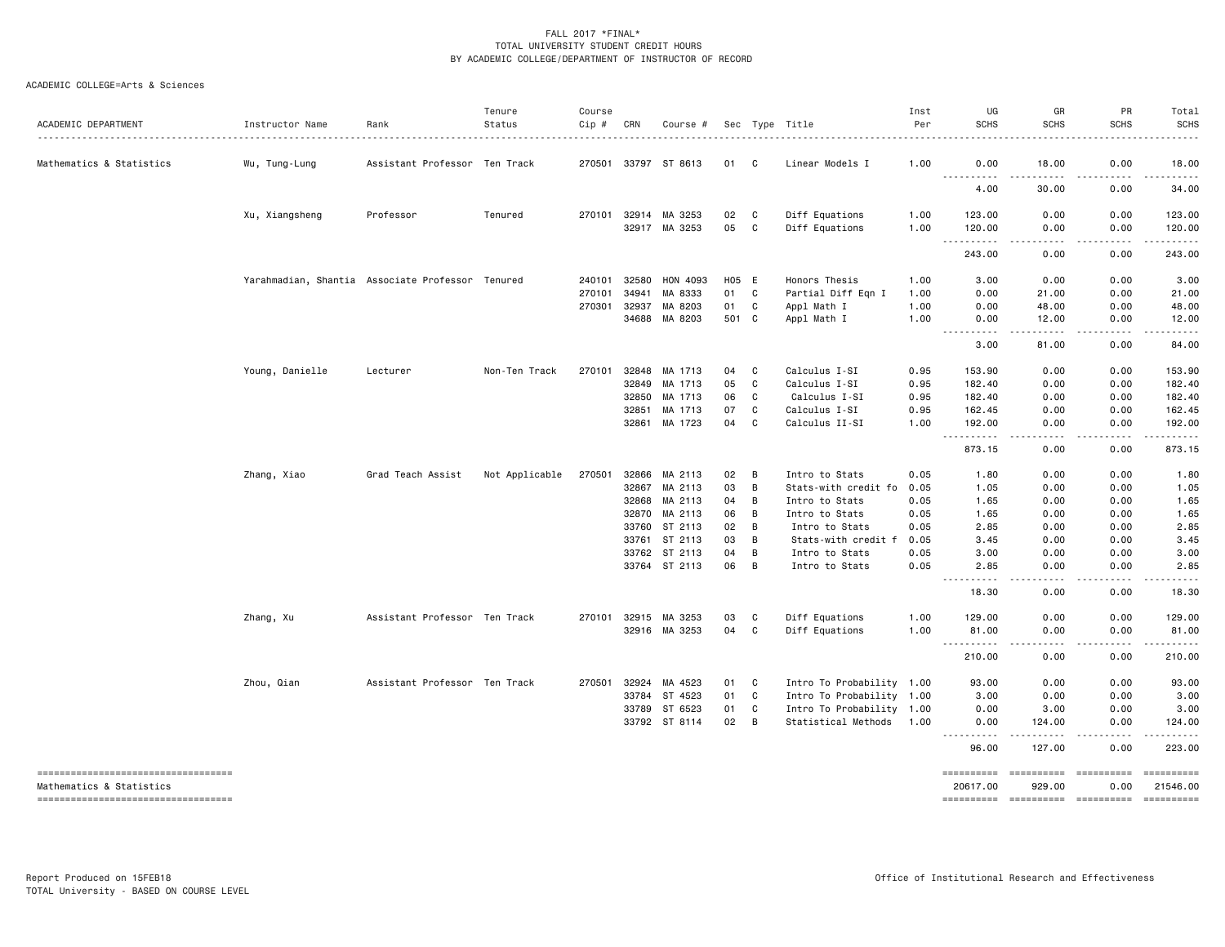| ACADEMIC DEPARTMENT                                                | Instructor Name | Rank                                             | Tenure<br>Status | Course<br>Cip # | CRN          | Course #             |       |   | Sec Type Title            | Inst<br>Per | UG<br><b>SCHS</b>            | GR<br><b>SCHS</b>    | PR<br><b>SCHS</b>  | Total<br><b>SCHS</b>                                                                                                                                                                                                                                                                                                                                                                                                                                                                             |
|--------------------------------------------------------------------|-----------------|--------------------------------------------------|------------------|-----------------|--------------|----------------------|-------|---|---------------------------|-------------|------------------------------|----------------------|--------------------|--------------------------------------------------------------------------------------------------------------------------------------------------------------------------------------------------------------------------------------------------------------------------------------------------------------------------------------------------------------------------------------------------------------------------------------------------------------------------------------------------|
| Mathematics & Statistics                                           | Wu, Tung-Lung   | Assistant Professor Ten Track                    |                  |                 |              | 270501 33797 ST 8613 | 01 C  |   | Linear Models I           | 1.00        | 0.00<br>-----                | 18.00<br>-----       | 0.00               | 18.00                                                                                                                                                                                                                                                                                                                                                                                                                                                                                            |
|                                                                    |                 |                                                  |                  |                 |              |                      |       |   |                           |             | 4.00                         | 30.00                | .<br>0.00          | 34.00                                                                                                                                                                                                                                                                                                                                                                                                                                                                                            |
|                                                                    | Xu, Xiangsheng  | Professor                                        | Tenured          |                 | 270101 32914 | MA 3253              | 02    | C | Diff Equations            | 1.00        | 123.00                       | 0.00                 | 0.00               | 123.00                                                                                                                                                                                                                                                                                                                                                                                                                                                                                           |
|                                                                    |                 |                                                  |                  |                 |              | 32917 MA 3253        | 05    | C | Diff Equations            | 1.00        | 120.00<br>.                  | 0.00<br>.            | 0.00<br>.          | 120.00<br>$\begin{array}{cccccccccccccc} \multicolumn{2}{c}{} & \multicolumn{2}{c}{} & \multicolumn{2}{c}{} & \multicolumn{2}{c}{} & \multicolumn{2}{c}{} & \multicolumn{2}{c}{} & \multicolumn{2}{c}{} & \multicolumn{2}{c}{} & \multicolumn{2}{c}{} & \multicolumn{2}{c}{} & \multicolumn{2}{c}{} & \multicolumn{2}{c}{} & \multicolumn{2}{c}{} & \multicolumn{2}{c}{} & \multicolumn{2}{c}{} & \multicolumn{2}{c}{} & \multicolumn{2}{c}{} & \multicolumn{2}{c}{} & \multicolumn{2}{c}{} & \$ |
|                                                                    |                 |                                                  |                  |                 |              |                      |       |   |                           |             | 243.00                       | 0.00                 | 0.00               | 243.00                                                                                                                                                                                                                                                                                                                                                                                                                                                                                           |
|                                                                    |                 | Yarahmadian, Shantia Associate Professor Tenured |                  | 240101          | 32580        | HON 4093             | H05 E |   | Honors Thesis             | 1.00        | 3.00                         | 0.00                 | 0.00               | 3.00                                                                                                                                                                                                                                                                                                                                                                                                                                                                                             |
|                                                                    |                 |                                                  |                  | 270101          | 34941        | MA 8333              | 01    | C | Partial Diff Eqn I        | 1.00        | 0.00                         | 21.00                | 0.00               | 21.00                                                                                                                                                                                                                                                                                                                                                                                                                                                                                            |
|                                                                    |                 |                                                  |                  |                 | 270301 32937 | MA 8203              | 01    | C | Appl Math I               | 1.00        | 0.00                         | 48.00                | 0.00               | 48.00                                                                                                                                                                                                                                                                                                                                                                                                                                                                                            |
|                                                                    |                 |                                                  |                  |                 |              | 34688 MA 8203        | 501 C |   | Appl Math I               | 1.00        | 0.00<br>$\frac{1}{2}$<br>.   | 12.00                | 0.00               | 12.00                                                                                                                                                                                                                                                                                                                                                                                                                                                                                            |
|                                                                    |                 |                                                  |                  |                 |              |                      |       |   |                           |             | 3.00                         | 81.00                | 0.00               | 84.00                                                                                                                                                                                                                                                                                                                                                                                                                                                                                            |
|                                                                    | Young, Danielle | Lecturer                                         | Non-Ten Track    | 270101          | 32848        | MA 1713              | 04    | C | Calculus I-SI             | 0.95        | 153.90                       | 0.00                 | 0.00               | 153.90                                                                                                                                                                                                                                                                                                                                                                                                                                                                                           |
|                                                                    |                 |                                                  |                  |                 | 32849        | MA 1713              | 05    | C | Calculus I-SI             | 0.95        | 182.40                       | 0.00                 | 0.00               | 182.40                                                                                                                                                                                                                                                                                                                                                                                                                                                                                           |
|                                                                    |                 |                                                  |                  |                 | 32850        | MA 1713              | 06    | C | Calculus I-SI             | 0.95        | 182.40                       | 0.00                 | 0.00               | 182.40                                                                                                                                                                                                                                                                                                                                                                                                                                                                                           |
|                                                                    |                 |                                                  |                  |                 | 32851        | MA 1713              | 07    | C | Calculus I-SI             | 0.95        | 162.45                       | 0.00                 | 0.00               | 162.45                                                                                                                                                                                                                                                                                                                                                                                                                                                                                           |
|                                                                    |                 |                                                  |                  |                 | 32861        | MA 1723              | 04    | C | Calculus II-SI            | 1.00        | 192.00<br>.<br>$\frac{1}{2}$ | 0.00                 | 0.00               | 192.00                                                                                                                                                                                                                                                                                                                                                                                                                                                                                           |
|                                                                    |                 |                                                  |                  |                 |              |                      |       |   |                           |             | 873.15                       | 0.00                 | 0.00               | 873.15                                                                                                                                                                                                                                                                                                                                                                                                                                                                                           |
|                                                                    | Zhang, Xiao     | Grad Teach Assist                                | Not Applicable   | 270501          | 32866        | MA 2113              | 02    | B | Intro to Stats            | 0.05        | 1.80                         | 0.00                 | 0.00               | 1.80                                                                                                                                                                                                                                                                                                                                                                                                                                                                                             |
|                                                                    |                 |                                                  |                  |                 | 32867        | MA 2113              | 03    | B | Stats-with credit fo      | 0.05        | 1.05                         | 0.00                 | 0.00               | 1.05                                                                                                                                                                                                                                                                                                                                                                                                                                                                                             |
|                                                                    |                 |                                                  |                  |                 | 32868        | MA 2113              | 04    | B | Intro to Stats            | 0.05        | 1.65                         | 0.00                 | 0.00               | 1.65                                                                                                                                                                                                                                                                                                                                                                                                                                                                                             |
|                                                                    |                 |                                                  |                  |                 |              | 32870 MA 2113        | 06    | B | Intro to Stats            | 0.05        | 1.65                         | 0.00                 | 0.00               | 1.65                                                                                                                                                                                                                                                                                                                                                                                                                                                                                             |
|                                                                    |                 |                                                  |                  |                 | 33760        | ST 2113              | 02    | B | Intro to Stats            | 0.05        | 2.85                         | 0.00                 | 0.00               | 2.85                                                                                                                                                                                                                                                                                                                                                                                                                                                                                             |
|                                                                    |                 |                                                  |                  |                 | 33761        | ST 2113              | 03    | B | Stats-with credit f       | 0.05        | 3.45                         | 0.00                 | 0.00               | 3.45                                                                                                                                                                                                                                                                                                                                                                                                                                                                                             |
|                                                                    |                 |                                                  |                  |                 |              | 33762 ST 2113        | 04    | B | Intro to Stats            | 0.05        | 3.00                         | 0.00                 | 0.00               | 3.00                                                                                                                                                                                                                                                                                                                                                                                                                                                                                             |
|                                                                    |                 |                                                  |                  |                 |              | 33764 ST 2113        | 06    | B | Intro to Stats            | 0.05        | 2.85<br>$\frac{1}{2}$<br>.   | 0.00                 | 0.00               | 2.85                                                                                                                                                                                                                                                                                                                                                                                                                                                                                             |
|                                                                    |                 |                                                  |                  |                 |              |                      |       |   |                           |             | 18.30                        | 0.00                 | 0.00               | 18.30                                                                                                                                                                                                                                                                                                                                                                                                                                                                                            |
|                                                                    | Zhang, Xu       | Assistant Professor Ten Track                    |                  |                 | 270101 32915 | MA 3253              | 03    | C | Diff Equations            | 1.00        | 129.00                       | 0.00                 | 0.00               | 129.00                                                                                                                                                                                                                                                                                                                                                                                                                                                                                           |
|                                                                    |                 |                                                  |                  |                 |              | 32916 MA 3253        | 04    | C | Diff Equations            | 1.00        | 81.00                        | 0.00                 | 0.00               | 81.00                                                                                                                                                                                                                                                                                                                                                                                                                                                                                            |
|                                                                    |                 |                                                  |                  |                 |              |                      |       |   |                           |             | <u>.</u><br>210.00           | $- - - -$<br>0.00    | 0.00               | . <u>.</u><br>210.00                                                                                                                                                                                                                                                                                                                                                                                                                                                                             |
|                                                                    | Zhou, Qian      | Assistant Professor Ten Track                    |                  |                 | 270501 32924 | MA 4523              | 01    | C | Intro To Probability 1.00 |             | 93.00                        | 0.00                 | 0.00               | 93.00                                                                                                                                                                                                                                                                                                                                                                                                                                                                                            |
|                                                                    |                 |                                                  |                  |                 | 33784        | ST 4523              | 01    | C | Intro To Probability 1.00 |             | 3.00                         | 0.00                 | 0.00               | 3.00                                                                                                                                                                                                                                                                                                                                                                                                                                                                                             |
|                                                                    |                 |                                                  |                  |                 | 33789        | ST 6523              | 01    | C | Intro To Probability 1.00 |             | 0.00                         | 3.00                 | 0.00               | 3.00                                                                                                                                                                                                                                                                                                                                                                                                                                                                                             |
|                                                                    |                 |                                                  |                  |                 |              | 33792 ST 8114        | 02    | B | Statistical Methods       | 1.00        | 0.00<br>----------           | 124.00<br>.          | 0.00<br>-----      | 124.00                                                                                                                                                                                                                                                                                                                                                                                                                                                                                           |
|                                                                    |                 |                                                  |                  |                 |              |                      |       |   |                           |             | 96.00                        | 127.00               | 0.00               | 223.00                                                                                                                                                                                                                                                                                                                                                                                                                                                                                           |
| ======================================<br>Mathematics & Statistics |                 |                                                  |                  |                 |              |                      |       |   |                           |             | ==========<br>20617.00       | ==========<br>929.00 | ==========<br>0.00 | ==========<br>21546.00                                                                                                                                                                                                                                                                                                                                                                                                                                                                           |
| -----------------------------------                                |                 |                                                  |                  |                 |              |                      |       |   |                           |             |                              |                      |                    |                                                                                                                                                                                                                                                                                                                                                                                                                                                                                                  |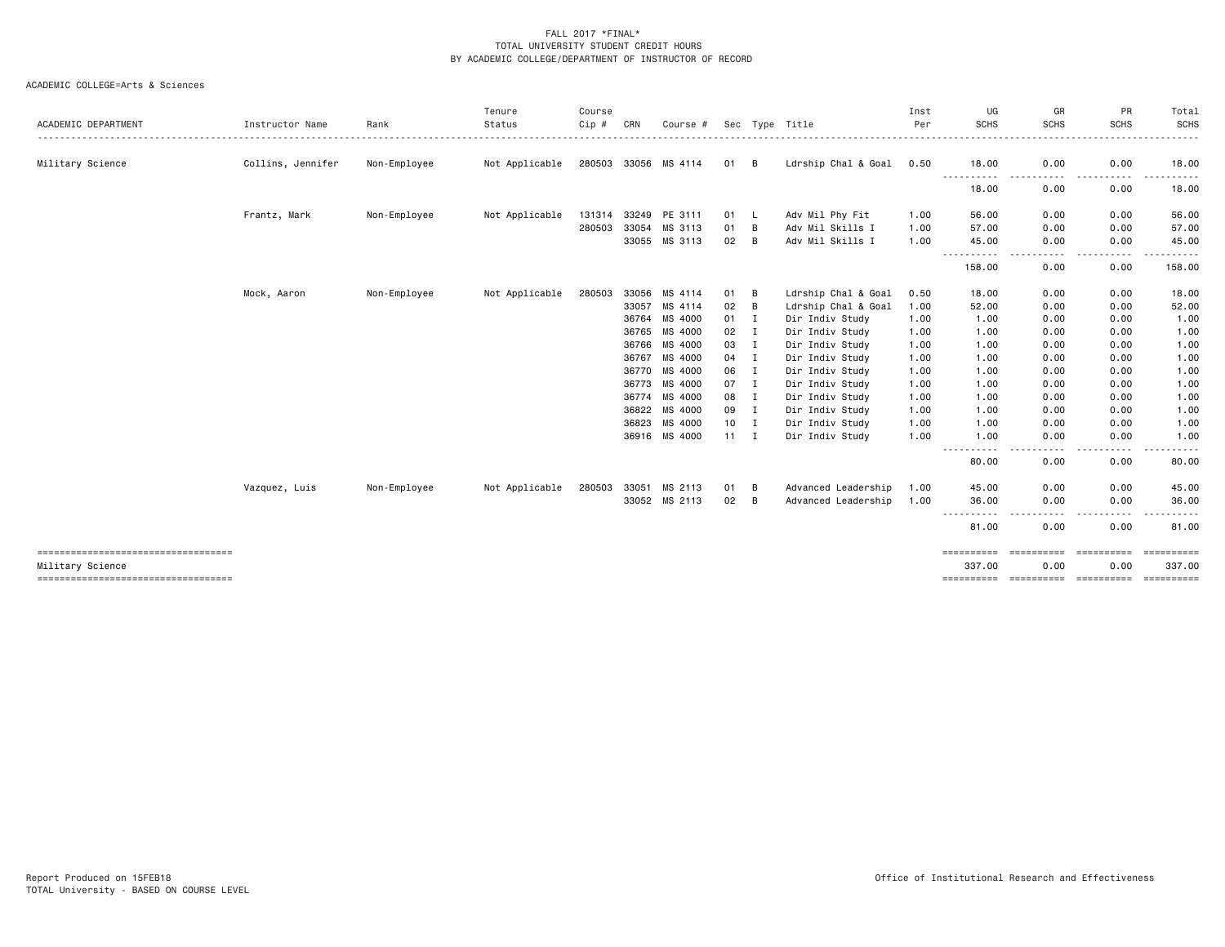| ACADEMIC DEPARTMENT                                    | Instructor Name   | Rank         | Tenure<br>Status | Course<br>Cip# | CRN   | Course #             |              |              | Sec Type Title      | Inst<br>Per | UG<br><b>SCHS</b>                                                                                                                          | GR<br><b>SCHS</b>              | PR<br><b>SCHS</b>  | Total<br>SCHS        |
|--------------------------------------------------------|-------------------|--------------|------------------|----------------|-------|----------------------|--------------|--------------|---------------------|-------------|--------------------------------------------------------------------------------------------------------------------------------------------|--------------------------------|--------------------|----------------------|
| Military Science                                       | Collins, Jennifer | Non-Employee | Not Applicable   |                |       | 280503 33056 MS 4114 | 01           | В            | Ldrship Chal & Goal | 0.50        | 18.00                                                                                                                                      | 0.00                           | 0.00               | .<br>18.00           |
|                                                        |                   |              |                  |                |       |                      |              |              |                     |             | $- - -$                                                                                                                                    |                                |                    |                      |
|                                                        |                   |              |                  |                |       |                      |              |              |                     |             | 18.00                                                                                                                                      | 0.00                           | 0.00               | 18.00                |
|                                                        | Frantz, Mark      | Non-Employee | Not Applicable   |                |       | 131314 33249 PE 3111 | 01           | - L          | Adv Mil Phy Fit     | 1.00        | 56.00                                                                                                                                      | 0.00                           | 0.00               | 56.00                |
|                                                        |                   |              |                  | 280503         | 33054 | MS 3113              | 01           | В            | Adv Mil Skills I    | 1.00        | 57.00                                                                                                                                      | 0.00                           | 0.00               | 57.00                |
|                                                        |                   |              |                  |                |       | 33055 MS 3113        | 02           | B            | Adv Mil Skills I    | 1.00        | 45.00                                                                                                                                      | 0.00                           | 0.00               | 45.00                |
|                                                        |                   |              |                  |                |       |                      |              |              |                     |             | ----------<br>158.00                                                                                                                       | $\sim$ $\sim$ $\sim$ .<br>0.00 | .<br>0.00          | 158.00               |
|                                                        | Mock, Aaron       | Non-Employee | Not Applicable   | 280503         | 33056 | MS 4114              | 01           | В            | Ldrship Chal & Goal | 0.50        | 18.00                                                                                                                                      | 0.00                           | 0.00               | 18.00                |
|                                                        |                   |              |                  |                |       | 33057 MS 4114        | 02           | B            | Ldrship Chal & Goal | 1.00        | 52.00                                                                                                                                      | 0.00                           | 0.00               | 52.00                |
|                                                        |                   |              |                  |                |       | 36764 MS 4000        | 01           | I            | Dir Indiv Study     | 1.00        | 1.00                                                                                                                                       | 0.00                           | 0.00               | 1.00                 |
|                                                        |                   |              |                  |                |       | 36765 MS 4000        | 02           | $\mathbf{I}$ | Dir Indiv Study     | 1.00        | 1.00                                                                                                                                       | 0.00                           | 0.00               | 1.00                 |
|                                                        |                   |              |                  |                |       | 36766 MS 4000        | 03           | $\mathbf{I}$ | Dir Indiv Study     | 1.00        | 1.00                                                                                                                                       | 0.00                           | 0.00               | 1.00                 |
|                                                        |                   |              |                  |                | 36767 | MS 4000              | 04           | $\mathbf{I}$ | Dir Indiv Study     | 1.00        | 1.00                                                                                                                                       | 0.00                           | 0.00               | 1.00                 |
|                                                        |                   |              |                  |                |       | 36770 MS 4000        | 06           | I            | Dir Indiv Study     | 1.00        | 1.00                                                                                                                                       | 0.00                           | 0.00               | 1.00                 |
|                                                        |                   |              |                  |                | 36773 | MS 4000              | 07           | $\mathbf{I}$ | Dir Indiv Study     | 1.00        | 1.00                                                                                                                                       | 0.00                           | 0.00               | 1.00                 |
|                                                        |                   |              |                  |                |       | 36774 MS 4000        | 08           | I            | Dir Indiv Study     | 1.00        | 1.00                                                                                                                                       | 0.00                           | 0.00               | 1.00                 |
|                                                        |                   |              |                  |                | 36822 | MS 4000              | 09           | $\mathbf I$  | Dir Indiv Study     | 1.00        | 1.00                                                                                                                                       | 0.00                           | 0.00               | 1.00                 |
|                                                        |                   |              |                  |                | 36823 | MS 4000              | 10           | I            | Dir Indiv Study     | 1.00        | 1.00                                                                                                                                       | 0.00                           | 0.00               | 1.00                 |
|                                                        |                   |              |                  |                |       | 36916 MS 4000        | $11 \quad I$ |              | Dir Indiv Study     | 1.00        | 1.00<br>.<br>$\cdots$                                                                                                                      | 0.00                           | 0.00               | 1.00                 |
|                                                        |                   |              |                  |                |       |                      |              |              |                     |             | 80.00                                                                                                                                      | 0.00                           | 0.00               | 80.00                |
|                                                        | Vazquez, Luis     | Non-Employee | Not Applicable   | 280503         | 33051 | MS 2113              | 01           | В            | Advanced Leadership | 1.00        | 45.00                                                                                                                                      | 0.00                           | 0.00               | 45.00                |
|                                                        |                   |              |                  |                |       | 33052 MS 2113        | 02           | B            | Advanced Leadership | 1.00        | 36.00                                                                                                                                      | 0.00                           | 0.00               | 36.00                |
|                                                        |                   |              |                  |                |       |                      |              |              |                     |             | $\frac{1}{2} \left( \frac{1}{2} \right) \left( \frac{1}{2} \right) \left( \frac{1}{2} \right) \left( \frac{1}{2} \right)$<br>----<br>81.00 | - - - -<br>0.00                | 0.00               | 81.00                |
| ----------------------------------<br>Military Science |                   |              |                  |                |       |                      |              |              |                     |             | ==========<br>337.00                                                                                                                       | ==========<br>0.00             | ==========<br>0.00 | ==========<br>337.00 |
|                                                        |                   |              |                  |                |       |                      |              |              |                     |             | ==========                                                                                                                                 | ======================         |                    | ==========           |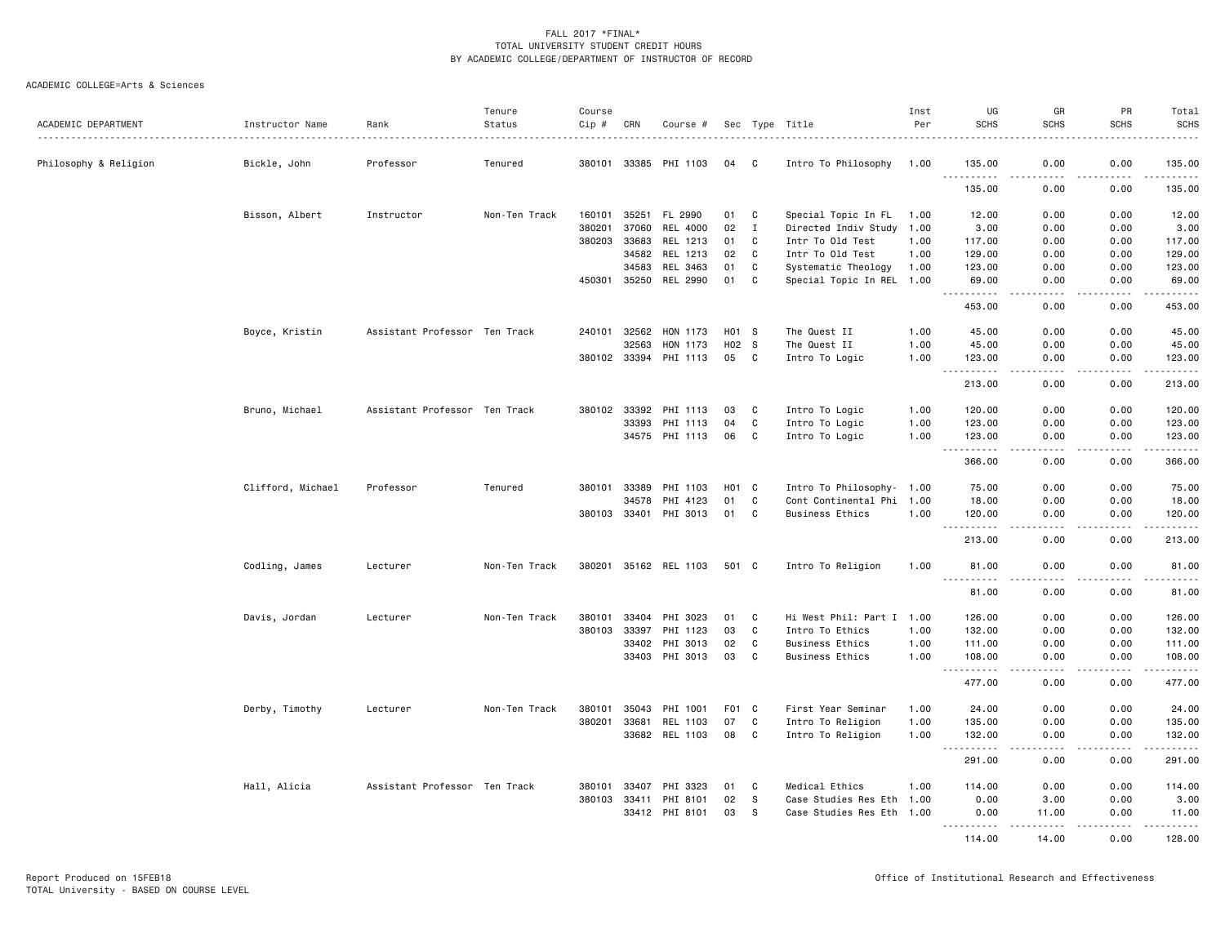| ACADEMIC DEPARTMENT   | Instructor Name   | Rank                          | Tenure<br>Status | Course<br>Cip # | CRN          | Course #              |       |     | Sec Type Title            | Inst<br>Per | UG<br><b>SCHS</b>             | GR<br><b>SCHS</b>                           | PR<br><b>SCHS</b> | Total<br><b>SCHS</b>                                                                                                                                           |
|-----------------------|-------------------|-------------------------------|------------------|-----------------|--------------|-----------------------|-------|-----|---------------------------|-------------|-------------------------------|---------------------------------------------|-------------------|----------------------------------------------------------------------------------------------------------------------------------------------------------------|
| Philosophy & Religion | Bickle, John      | Professor                     | Tenured          |                 |              | 380101 33385 PHI 1103 | 04    | C   | Intro To Philosophy       | 1.00        | 135.00                        | 0.00                                        | 0.00              | 135.00                                                                                                                                                         |
|                       |                   |                               |                  |                 |              |                       |       |     |                           |             | .<br>135.00                   | .<br>0.00                                   | .<br>0.00         | .<br>135.00                                                                                                                                                    |
|                       | Bisson, Albert    | Instructor                    | Non-Ten Track    | 160101          | 35251        | FL 2990               | 01    | C   | Special Topic In FL       | 1.00        | 12.00                         | 0.00                                        | 0.00              | 12.00                                                                                                                                                          |
|                       |                   |                               |                  | 380201          | 37060        | REL 4000              | 02    | I   | Directed Indiv Study 1.00 |             | 3.00                          | 0.00                                        | 0.00              | 3.00                                                                                                                                                           |
|                       |                   |                               |                  | 380203          | 33683        | REL 1213              | 01    | C   | Intr To Old Test          | 1.00        | 117.00                        | 0.00                                        | 0.00              | 117.00                                                                                                                                                         |
|                       |                   |                               |                  |                 | 34582        | REL 1213              | 02    | C   | Intr To Old Test          | 1.00        | 129.00                        | 0.00                                        | 0.00              | 129.00                                                                                                                                                         |
|                       |                   |                               |                  |                 | 34583        | REL 3463              | 01    | C   | Systematic Theology       | 1.00        | 123.00                        | 0.00                                        | 0.00              | 123.00                                                                                                                                                         |
|                       |                   |                               |                  |                 | 450301 35250 | REL 2990              | 01    | C   | Special Topic In REL 1.00 |             | 69.00<br>$\sim$ $\sim$ $\sim$ | 0.00                                        | 0.00              | 69.00                                                                                                                                                          |
|                       |                   |                               |                  |                 |              |                       |       |     |                           |             | 453.00                        | 0.00                                        | 0.00              | 453.00                                                                                                                                                         |
|                       | Boyce, Kristin    | Assistant Professor Ten Track |                  |                 | 240101 32562 | HON 1173              | H01 S |     | The Quest II              | 1.00        | 45.00                         | 0.00                                        | 0.00              | 45.00                                                                                                                                                          |
|                       |                   |                               |                  |                 | 32563        | HON 1173              | H02 S |     | The Quest II              | 1.00        | 45.00                         | 0.00                                        | 0.00              | 45.00                                                                                                                                                          |
|                       |                   |                               |                  |                 | 380102 33394 | PHI 1113              | 05    | C   | Intro To Logic            | 1.00        | 123.00<br>$\sim$ $\sim$       | 0.00                                        | 0.00              | 123.00<br>.                                                                                                                                                    |
|                       |                   |                               |                  |                 |              |                       |       |     |                           |             | 213.00                        | 0.00                                        | 0.00              | 213.00                                                                                                                                                         |
|                       | Bruno, Michael    | Assistant Professor Ten Track |                  |                 | 380102 33392 | PHI 1113              | 03    | C   | Intro To Logic            | 1.00        | 120.00                        | 0.00                                        | 0.00              | 120.00                                                                                                                                                         |
|                       |                   |                               |                  |                 | 33393        | PHI 1113              | 04    | C   | Intro To Logic            | 1.00        | 123.00                        | 0.00                                        | 0.00              | 123.00                                                                                                                                                         |
|                       |                   |                               |                  |                 |              | 34575 PHI 1113        | 06    | C   | Intro To Logic            | 1.00        | 123.00                        | 0.00                                        | 0.00              | 123.00                                                                                                                                                         |
|                       |                   |                               |                  |                 |              |                       |       |     |                           |             | <b></b>                       | $\sim$ $\sim$ $\sim$ $\sim$                 | .                 | .                                                                                                                                                              |
|                       |                   |                               |                  |                 |              |                       |       |     |                           |             | 366.00                        | 0.00                                        | 0.00              | 366.00                                                                                                                                                         |
|                       | Clifford, Michael | Professor                     | Tenured          | 380101          | 33389        | PHI 1103              | H01 C |     | Intro To Philosophy- 1.00 |             | 75.00                         | 0.00                                        | 0.00              | 75.00                                                                                                                                                          |
|                       |                   |                               |                  |                 | 34578        | PHI 4123              | 01    | C   | Cont Continental Phi 1.00 |             | 18.00                         | 0.00                                        | 0.00              | 18.00                                                                                                                                                          |
|                       |                   |                               |                  | 380103 33401    |              | PHI 3013              | 01    | C   | <b>Business Ethics</b>    | 1.00        | 120.00<br>$\sim$ $\sim$ .     | 0.00<br>$\omega$ $\omega$ $\omega$ $\omega$ | 0.00<br>.         | 120.00<br>$\frac{1}{2} \left( \frac{1}{2} \right) \left( \frac{1}{2} \right) \left( \frac{1}{2} \right) \left( \frac{1}{2} \right) \left( \frac{1}{2} \right)$ |
|                       |                   |                               |                  |                 |              |                       |       |     |                           |             | 213.00                        | 0.00                                        | 0.00              | 213.00                                                                                                                                                         |
|                       | Codling, James    | Lecturer                      | Non-Ten Track    | 380201          |              | 35162 REL 1103        | 501 C |     | Intro To Religion         | 1.00        | 81.00                         | 0.00                                        | 0.00              | 81.00                                                                                                                                                          |
|                       |                   |                               |                  |                 |              |                       |       |     |                           |             | 81.00                         | 0.00                                        | 0.00              | 81.00                                                                                                                                                          |
|                       | Davis, Jordan     | Lecturer                      | Non-Ten Track    | 380101          | 33404        | PHI 3023              | 01    | C   | Hi West Phil: Part I 1.00 |             | 126.00                        | 0.00                                        | 0.00              | 126.00                                                                                                                                                         |
|                       |                   |                               |                  | 380103          | 33397        | PHI 1123              | 03    | C   | Intro To Ethics           | 1.00        | 132.00                        | 0.00                                        | 0.00              | 132.00                                                                                                                                                         |
|                       |                   |                               |                  |                 | 33402        | PHI 3013              | 02    | C   | <b>Business Ethics</b>    | 1.00        | 111.00                        | 0.00                                        | 0.00              | 111.00                                                                                                                                                         |
|                       |                   |                               |                  |                 | 33403        | PHI 3013              | 03    | C   | Business Ethics           | 1.00        | 108.00<br>.                   | 0.00                                        | 0.00<br>.         | 108.00<br>.                                                                                                                                                    |
|                       |                   |                               |                  |                 |              |                       |       |     |                           |             | 477.00                        | 0.00                                        | 0.00              | 477.00                                                                                                                                                         |
|                       | Derby, Timothy    | Lecturer                      | Non-Ten Track    | 380101          | 35043        | PHI 1001              | F01   | C   | First Year Seminar        | 1.00        | 24.00                         | 0.00                                        | 0.00              | 24.00                                                                                                                                                          |
|                       |                   |                               |                  | 380201          | 33681        | REL 1103              | 07    | C   | Intro To Religion         | 1.00        | 135.00                        | 0.00                                        | 0.00              | 135.00                                                                                                                                                         |
|                       |                   |                               |                  |                 |              | 33682 REL 1103        | 08    | C   | Intro To Religion         | 1.00        | 132.00<br>$\sim$ $\sim$ .     | 0.00                                        | 0.00              | 132.00<br>$- - - - -$                                                                                                                                          |
|                       |                   |                               |                  |                 |              |                       |       |     |                           |             | 291.00                        | 0.00                                        | 0.00              | 291.00                                                                                                                                                         |
|                       | Hall, Alicia      | Assistant Professor Ten Track |                  | 380101 33407    |              | PHI 3323              | 01    | C   | Medical Ethics            | 1.00        | 114.00                        | 0.00                                        | 0.00              | 114.00                                                                                                                                                         |
|                       |                   |                               |                  | 380103 33411    |              | PHI 8101              | 02    | s.  | Case Studies Res Eth 1.00 |             | 0.00                          | 3.00                                        | 0.00              | 3.00                                                                                                                                                           |
|                       |                   |                               |                  |                 |              | 33412 PHI 8101        | 03    | - S | Case Studies Res Eth 1.00 |             | 0.00<br>.                     | 11.00                                       | 0.00              | 11.00<br>$\omega$ is a set of                                                                                                                                  |
|                       |                   |                               |                  |                 |              |                       |       |     |                           |             | 114.00                        | 14.00                                       | 0.00              | 128,00                                                                                                                                                         |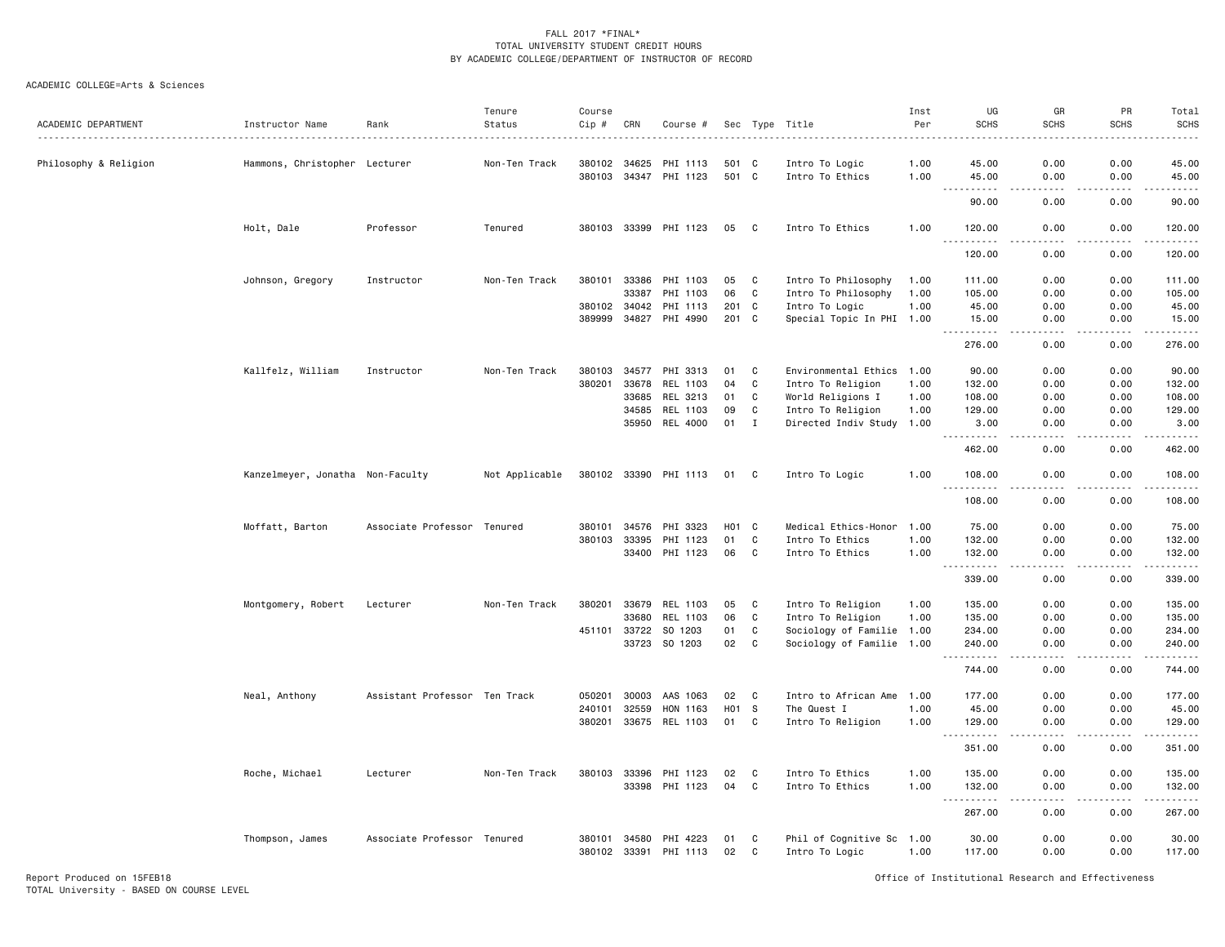| ACADEMIC DEPARTMENT   | Instructor Name                  | Rank                          | Tenure<br>Status | Course<br>Cip # | CRN          | Course #              |                   |              | Sec Type Title<br>.       | Inst<br>Per | UG<br><b>SCHS</b>                       | GR<br><b>SCHS</b>                                                                                                                 | PR<br><b>SCHS</b> | Total<br><b>SCHS</b>                                                                                                                                           |
|-----------------------|----------------------------------|-------------------------------|------------------|-----------------|--------------|-----------------------|-------------------|--------------|---------------------------|-------------|-----------------------------------------|-----------------------------------------------------------------------------------------------------------------------------------|-------------------|----------------------------------------------------------------------------------------------------------------------------------------------------------------|
| Philosophy & Religion | Hammons, Christopher Lecturer    |                               | Non-Ten Track    | 380102 34625    |              | PHI 1113              | 501 C             |              | Intro To Logic            | 1.00        | 45.00                                   | 0.00                                                                                                                              | 0.00              | 45.00                                                                                                                                                          |
|                       |                                  |                               |                  |                 |              | 380103 34347 PHI 1123 | 501 C             |              | Intro To Ethics           | 1.00        | 45.00                                   | 0.00                                                                                                                              | 0.00              | 45.00                                                                                                                                                          |
|                       |                                  |                               |                  |                 |              |                       |                   |              |                           |             | $\frac{1}{2}$<br>$\sim$ $\sim$<br>90.00 | .<br>0.00                                                                                                                         | .<br>0.00         | .<br>90.00                                                                                                                                                     |
|                       | Holt, Dale                       | Professor                     | Tenured          |                 |              | 380103 33399 PHI 1123 | 05                | C            | Intro To Ethics           | 1.00        | 120.00                                  | 0.00                                                                                                                              | 0.00              | 120.00                                                                                                                                                         |
|                       |                                  |                               |                  |                 |              |                       |                   |              |                           |             | .<br>120.00                             | 0.00                                                                                                                              | .<br>0.00         | $\frac{1}{2} \left( \frac{1}{2} \right) \left( \frac{1}{2} \right) \left( \frac{1}{2} \right) \left( \frac{1}{2} \right) \left( \frac{1}{2} \right)$<br>120.00 |
|                       | Johnson, Gregory                 | Instructor                    | Non-Ten Track    | 380101 33386    |              | PHI 1103              | 05                | $\mathbf{C}$ | Intro To Philosophy       | 1.00        | 111.00                                  | 0.00                                                                                                                              | 0.00              | 111.00                                                                                                                                                         |
|                       |                                  |                               |                  |                 | 33387        | PHI 1103              | 06                | C            | Intro To Philosophy       | 1.00        | 105.00                                  | 0.00                                                                                                                              | 0.00              | 105.00                                                                                                                                                         |
|                       |                                  |                               |                  |                 | 380102 34042 | PHI 1113              | 201 C             |              | Intro To Logic            | 1.00        | 45.00                                   | 0.00                                                                                                                              | 0.00              | 45.00                                                                                                                                                          |
|                       |                                  |                               |                  |                 | 389999 34827 | PHI 4990              | 201 C             |              | Special Topic In PHI 1.00 |             | 15.00                                   | 0.00                                                                                                                              | 0.00              | 15.00                                                                                                                                                          |
|                       |                                  |                               |                  |                 |              |                       |                   |              |                           |             | 276.00                                  | 0.00                                                                                                                              | 0.00              | 276.00                                                                                                                                                         |
|                       | Kallfelz, William                | Instructor                    | Non-Ten Track    | 380103          | 34577        | PHI 3313              | 01                | C            | Environmental Ethics 1.00 |             | 90.00                                   | 0.00                                                                                                                              | 0.00              | 90.00                                                                                                                                                          |
|                       |                                  |                               |                  | 380201          | 33678        | REL 1103              | 04                | C            | Intro To Religion         | 1.00        | 132.00                                  | 0.00                                                                                                                              | 0.00              | 132.00                                                                                                                                                         |
|                       |                                  |                               |                  |                 | 33685        | REL 3213              | 01                | C            | World Religions I         | 1.00        | 108.00                                  | 0.00                                                                                                                              | 0.00              | 108.00                                                                                                                                                         |
|                       |                                  |                               |                  |                 | 34585        | REL 1103              | 09                | C            | Intro To Religion         | 1.00        | 129.00                                  | 0.00                                                                                                                              | 0.00              | 129.00                                                                                                                                                         |
|                       |                                  |                               |                  |                 | 35950        | REL 4000              | 01                | $\mathbf I$  | Directed Indiv Study 1.00 |             | 3.00                                    | 0.00                                                                                                                              | 0.00              | 3.00                                                                                                                                                           |
|                       |                                  |                               |                  |                 |              |                       |                   |              |                           |             | .<br>462.00                             | .<br>0.00                                                                                                                         | .<br>0.00         | $\frac{1}{2} \left( \frac{1}{2} \right) \left( \frac{1}{2} \right) \left( \frac{1}{2} \right) \left( \frac{1}{2} \right) \left( \frac{1}{2} \right)$<br>462.00 |
|                       | Kanzelmeyer, Jonatha Non-Faculty |                               | Not Applicable   |                 |              | 380102 33390 PHI 1113 | 01 C              |              | Intro To Logic            | 1.00        | 108.00                                  | 0.00                                                                                                                              | 0.00              | 108.00                                                                                                                                                         |
|                       |                                  |                               |                  |                 |              |                       |                   |              |                           |             | .<br>108.00                             | .<br>0.00                                                                                                                         | .<br>0.00         | .<br>108.00                                                                                                                                                    |
|                       | Moffatt, Barton                  | Associate Professor Tenured   |                  | 380101          | 34576        | PHI 3323              | H <sub>01</sub> C |              | Medical Ethics-Honor 1.00 |             | 75.00                                   | 0.00                                                                                                                              | 0.00              | 75.00                                                                                                                                                          |
|                       |                                  |                               |                  |                 | 380103 33395 | PHI 1123              | 01                | $\mathbb{C}$ | Intro To Ethics           | 1.00        | 132.00                                  | 0.00                                                                                                                              | 0.00              | 132.00                                                                                                                                                         |
|                       |                                  |                               |                  |                 |              | 33400 PHI 1123        | 06                | C            | Intro To Ethics           | 1.00        | 132.00                                  | 0.00                                                                                                                              | 0.00              | 132.00                                                                                                                                                         |
|                       |                                  |                               |                  |                 |              |                       |                   |              |                           |             | $\sim$ $\sim$<br>.<br>339.00            | 0.00                                                                                                                              | .<br>0.00         | 339.00                                                                                                                                                         |
|                       | Montgomery, Robert               | Lecturer                      | Non-Ten Track    | 380201 33679    |              | REL 1103              | 05                | $\mathbf{C}$ | Intro To Religion         | 1.00        | 135.00                                  | 0.00                                                                                                                              | 0.00              | 135.00                                                                                                                                                         |
|                       |                                  |                               |                  |                 | 33680        | REL 1103              | 06                | C            | Intro To Religion         | 1.00        | 135.00                                  | 0.00                                                                                                                              | 0.00              | 135.00                                                                                                                                                         |
|                       |                                  |                               |                  |                 | 451101 33722 | SO 1203               | 01                | C            | Sociology of Familie 1.00 |             | 234.00                                  | 0.00                                                                                                                              | 0.00              | 234.00                                                                                                                                                         |
|                       |                                  |                               |                  |                 | 33723        | SO 1203               | 02                | C            | Sociology of Familie 1.00 |             | 240.00                                  | 0.00                                                                                                                              | 0.00              | 240.00                                                                                                                                                         |
|                       |                                  |                               |                  |                 |              |                       |                   |              |                           |             | .<br>744.00                             | .<br>0.00                                                                                                                         | .<br>0.00         | $\frac{1}{2} \left( \frac{1}{2} \right) \left( \frac{1}{2} \right) \left( \frac{1}{2} \right) \left( \frac{1}{2} \right) \left( \frac{1}{2} \right)$<br>744.00 |
|                       | Neal, Anthony                    | Assistant Professor Ten Track |                  | 050201          | 30003        | AAS 1063              | 02                | C            | Intro to African Ame 1.00 |             | 177.00                                  | 0.00                                                                                                                              | 0.00              | 177.00                                                                                                                                                         |
|                       |                                  |                               |                  | 240101          | 32559        | HON 1163              | H01 S             |              | The Quest I               | 1.00        | 45.00                                   | 0.00                                                                                                                              | 0.00              | 45.00                                                                                                                                                          |
|                       |                                  |                               |                  |                 |              | 380201 33675 REL 1103 | 01                | C            | Intro To Religion         | 1.00        | 129.00                                  | 0.00                                                                                                                              | 0.00              | 129.00                                                                                                                                                         |
|                       |                                  |                               |                  |                 |              |                       |                   |              |                           |             | .<br>351.00                             | 0.00                                                                                                                              | 0.00              | .<br>351.00                                                                                                                                                    |
|                       | Roche, Michael                   | Lecturer                      | Non-Ten Track    | 380103 33396    |              | PHI 1123              | 02                | C            | Intro To Ethics           | 1.00        | 135.00                                  | 0.00                                                                                                                              | 0.00              | 135.00                                                                                                                                                         |
|                       |                                  |                               |                  |                 |              | 33398 PHI 1123        | 04                | C            | Intro To Ethics           | 1.00        | 132.00                                  | 0.00                                                                                                                              | 0.00              | 132.00                                                                                                                                                         |
|                       |                                  |                               |                  |                 |              |                       |                   |              |                           |             | $\sim$ $\sim$<br>.<br>267.00            | $\frac{1}{2} \left( \frac{1}{2} \right) \left( \frac{1}{2} \right) \left( \frac{1}{2} \right) \left( \frac{1}{2} \right)$<br>0.00 | .<br>0.00         | 267.00                                                                                                                                                         |
|                       | Thompson, James                  | Associate Professor Tenured   |                  |                 | 380101 34580 | PHI 4223              | 01                | C            | Phil of Cognitive Sc 1.00 |             | 30.00                                   | 0.00                                                                                                                              | 0.00              | 30.00                                                                                                                                                          |
|                       |                                  |                               |                  | 380102 33391    |              | PHI 1113              | 02                | C            | Intro To Logic            | 1.00        | 117.00                                  | 0.00                                                                                                                              | 0.00              | 117.00                                                                                                                                                         |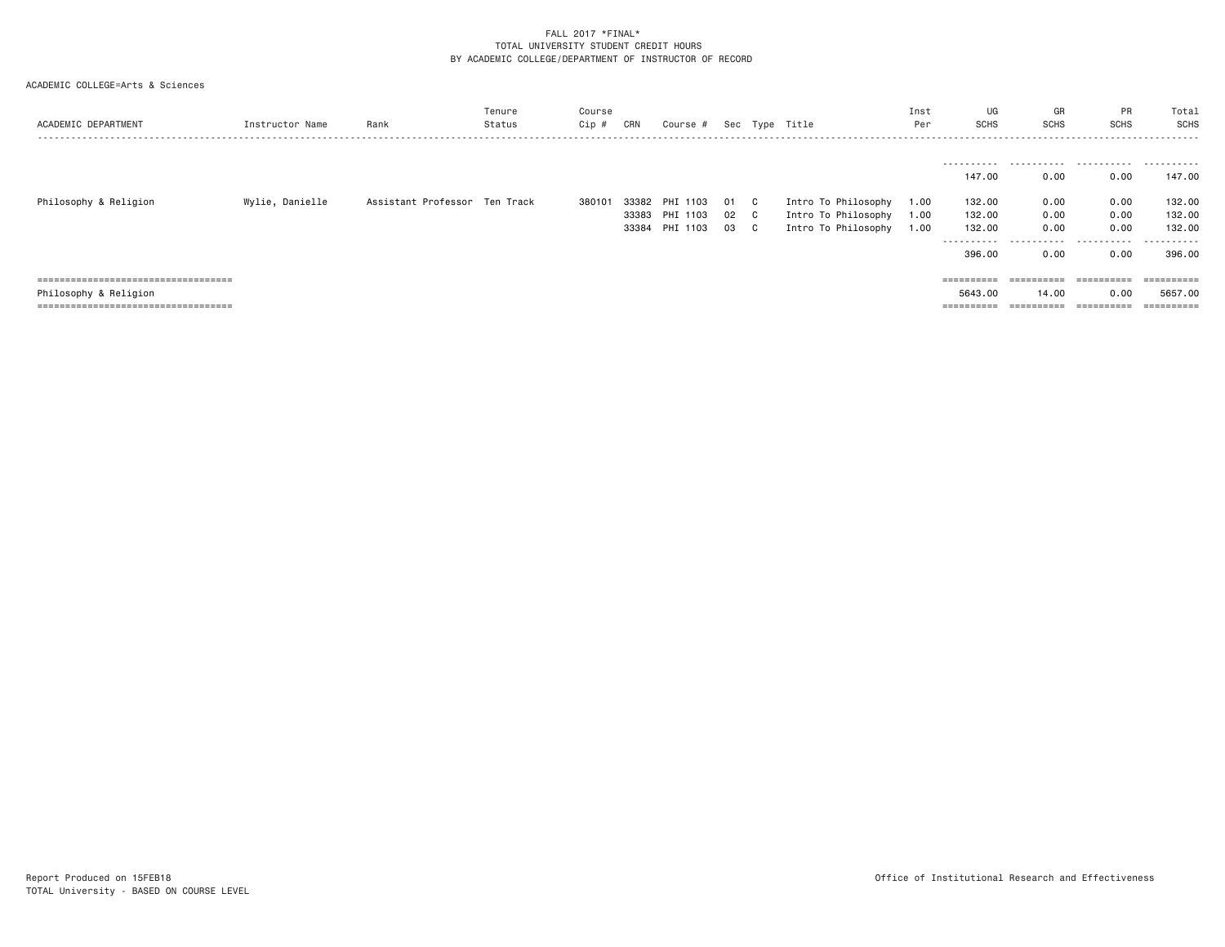| ACADEMIC DEPARTMENT                   | Instructor Name | Rank                          | Tenure<br>Status | Course<br>Cip # | CRN | Course #       |      | Sec Type Title      | Inst<br>Per | UG<br><b>SCHS</b> | GR<br><b>SCHS</b> | PR<br>SCHS    | Total<br>SCHS |
|---------------------------------------|-----------------|-------------------------------|------------------|-----------------|-----|----------------|------|---------------------|-------------|-------------------|-------------------|---------------|---------------|
|                                       |                 |                               |                  |                 |     |                |      |                     |             | .                 |                   |               |               |
|                                       |                 |                               |                  |                 |     |                |      |                     |             | 147.00            | 0.00              | 0.00          | 147.00        |
| Philosophy & Religion                 | Wylie, Danielle | Assistant Professor Ten Track |                  | 380101          |     | 33382 PHI 1103 | 01 C | Intro To Philosophy | 1.00        | 132.00            | 0.00              | 0.00          | 132.00        |
|                                       |                 |                               |                  |                 |     | 33383 PHI 1103 | 02 C | Intro To Philosophy | 1.00        | 132.00            | 0.00              | 0.00          | 132.00        |
|                                       |                 |                               |                  |                 |     | 33384 PHI 1103 | 03 C | Intro To Philosophy | 1.00        | 132.00            | 0.00              | 0.00          | 132.00        |
|                                       |                 |                               |                  |                 |     |                |      |                     |             | ----------        | .                 | .             | -------       |
|                                       |                 |                               |                  |                 |     |                |      |                     |             | 396.00            | 0.00              | 0.00          | 396.00        |
| ____________________________________  |                 |                               |                  |                 |     |                |      |                     |             | ==========        | :=========        | $=$ ========= | eeeeeeee      |
| Philosophy & Religion                 |                 |                               |                  |                 |     |                |      |                     |             | 5643.00           | 14.00             | 0.00          | 5657.00       |
| ===================================== |                 |                               |                  |                 |     |                |      |                     |             | ==========        | =========         | ==========    | ==========    |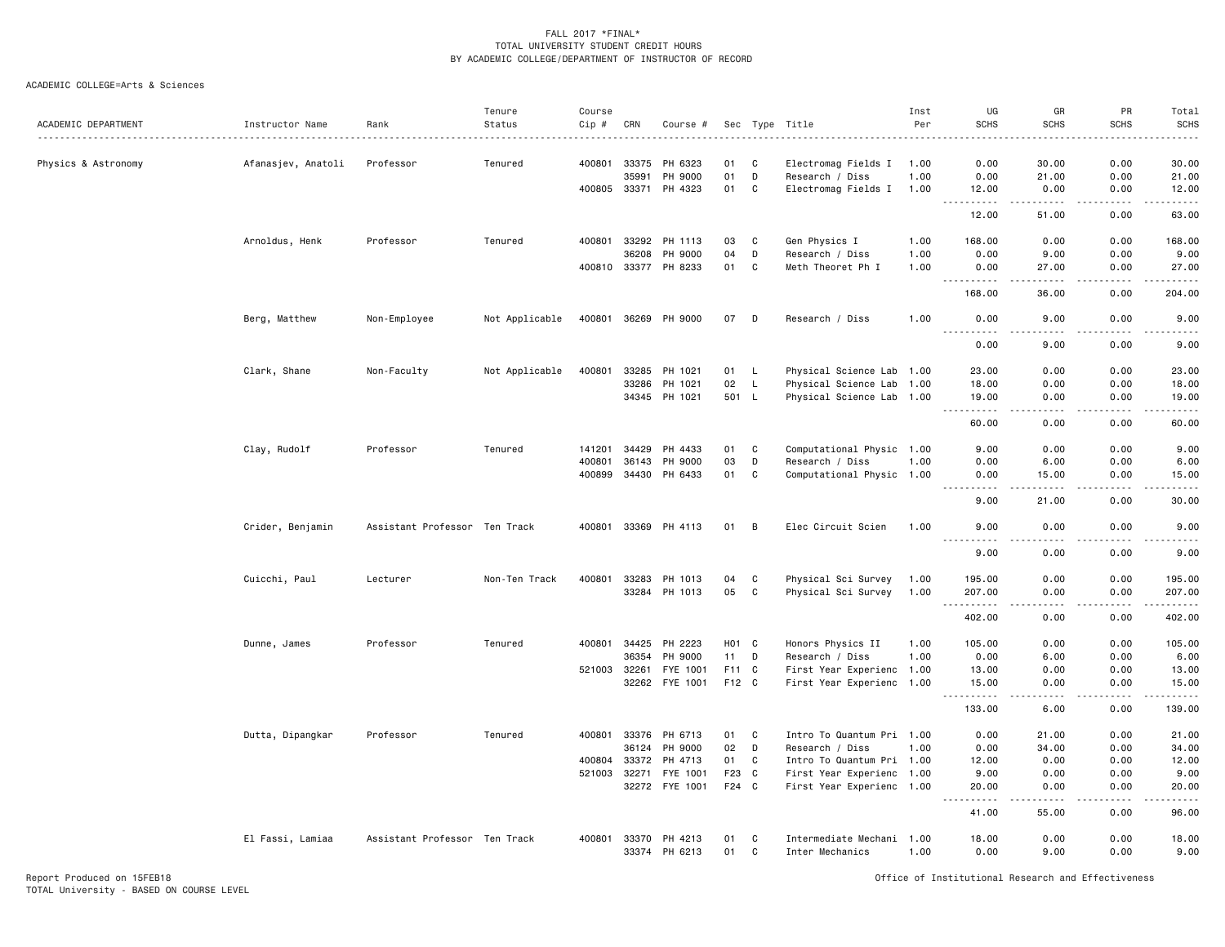| ACADEMIC DEPARTMENT | Instructor Name    | Rank                          | Tenure<br>Status | Course<br>Cip # | CRN                   | Course #             |                 |                   | Sec Type Title                               | Inst<br>Per  | UG<br><b>SCHS</b>                 | GR<br><b>SCHS</b>                   | PR<br><b>SCHS</b>   | Total<br><b>SCHS</b>                                                                                                              |
|---------------------|--------------------|-------------------------------|------------------|-----------------|-----------------------|----------------------|-----------------|-------------------|----------------------------------------------|--------------|-----------------------------------|-------------------------------------|---------------------|-----------------------------------------------------------------------------------------------------------------------------------|
|                     |                    |                               |                  |                 |                       |                      |                 |                   |                                              |              |                                   |                                     |                     |                                                                                                                                   |
| Physics & Astronomy | Afanasjev, Anatoli | Professor                     | Tenured          | 400801          | 33375                 | PH 6323              | 01              | C                 | Electromag Fields I                          | 1.00         | 0.00                              | 30.00                               | 0.00                | 30.00                                                                                                                             |
|                     |                    |                               |                  |                 | 35991                 | PH 9000              | 01              | D                 | Research / Diss                              | 1.00         | 0.00                              | 21.00                               | 0.00                | 21.00                                                                                                                             |
|                     |                    |                               |                  |                 |                       | 400805 33371 PH 4323 | 01              | C                 | Electromag Fields I                          | 1.00         | 12.00                             | 0.00                                | 0.00                | 12.00                                                                                                                             |
|                     |                    |                               |                  |                 |                       |                      |                 |                   |                                              |              | 12.00                             | 51.00                               | 0.00                | 63.00                                                                                                                             |
|                     | Arnoldus, Henk     | Professor                     | Tenured          |                 |                       | 400801 33292 PH 1113 | 03              | C                 | Gen Physics I                                | 1.00         | 168.00                            | 0.00                                | 0.00                | 168.00                                                                                                                            |
|                     |                    |                               |                  |                 | 36208                 | PH 9000              | 04              | D                 | Research / Diss                              | 1.00         | 0.00                              | 9.00                                | 0.00                | 9.00                                                                                                                              |
|                     |                    |                               |                  |                 |                       | 400810 33377 PH 8233 | 01              | $\mathbf c$       | Meth Theoret Ph I                            | 1.00         | 0.00<br>.<br>$\sim$ $\sim$ $\sim$ | 27.00                               | 0.00                | 27.00                                                                                                                             |
|                     |                    |                               |                  |                 |                       |                      |                 |                   |                                              |              | 168.00                            | 36.00                               | 0.00                | 204.00                                                                                                                            |
|                     | Berg, Matthew      | Non-Employee                  | Not Applicable   |                 |                       | 400801 36269 PH 9000 | 07              | D                 | Research / Diss                              | 1.00         | 0.00<br>$\frac{1}{2}$<br>.        | 9.00<br>.                           | 0.00<br>.           | 9.00<br>$\frac{1}{2} \left( \frac{1}{2} \right) \left( \frac{1}{2} \right) \left( \frac{1}{2} \right) \left( \frac{1}{2} \right)$ |
|                     |                    |                               |                  |                 |                       |                      |                 |                   |                                              |              | 0.00                              | 9.00                                | 0.00                | 9.00                                                                                                                              |
|                     | Clark, Shane       | Non-Faculty                   | Not Applicable   | 400801          | 33285                 | PH 1021              | 01              | - L               | Physical Science Lab 1.00                    |              | 23.00                             | 0.00                                | 0.00                | 23.00                                                                                                                             |
|                     |                    |                               |                  |                 | 33286                 | PH 1021              | 02              | $\mathsf{L}$      | Physical Science Lab 1.00                    |              | 18.00                             | 0.00                                | 0.00                | 18.00                                                                                                                             |
|                     |                    |                               |                  |                 |                       | 34345 PH 1021        | 501 L           |                   | Physical Science Lab 1.00                    |              | 19.00                             | 0.00                                | 0.00                | 19.00                                                                                                                             |
|                     |                    |                               |                  |                 |                       |                      |                 |                   |                                              |              | 60.00                             | $\sim$ $\sim$ $\sim$ $\sim$<br>0.00 | 0.00                | 60.00                                                                                                                             |
|                     | Clay, Rudolf       | Professor                     | Tenured          | 141201          | 34429                 | PH 4433              | 01              | C                 | Computational Physic 1.00                    |              | 9.00                              | 0.00                                | 0.00                | 9.00                                                                                                                              |
|                     |                    |                               |                  | 400801          | 36143                 | PH 9000              | 03              | D                 | Research / Diss                              | 1.00         | 0.00                              | 6.00                                | 0.00                | 6.00                                                                                                                              |
|                     |                    |                               |                  |                 |                       | 400899 34430 PH 6433 | 01              | C                 | Computational Physic 1.00                    |              | 0.00                              | 15.00                               | 0.00                | 15.00                                                                                                                             |
|                     |                    |                               |                  |                 |                       |                      |                 |                   |                                              |              | .<br>9.00                         | .<br>21.00                          | .<br>0.00           | .<br>30.00                                                                                                                        |
|                     | Crider, Benjamin   | Assistant Professor Ten Track |                  |                 |                       | 400801 33369 PH 4113 | 01              | B                 | Elec Circuit Scien                           | 1.00         | 9.00                              | 0.00                                | 0.00                | 9.00                                                                                                                              |
|                     |                    |                               |                  |                 |                       |                      |                 |                   |                                              |              | .<br>9.00                         | $\sim$ $\sim$ $\sim$<br>0.00        | الداعات بال<br>0.00 | $\frac{1}{2} \left( \frac{1}{2} \right) \left( \frac{1}{2} \right) \left( \frac{1}{2} \right) \left( \frac{1}{2} \right)$<br>9.00 |
|                     | Cuicchi, Paul      | Lecturer                      | Non-Ten Track    | 400801          | 33283                 | PH 1013              | 04              | C                 | Physical Sci Survey                          | 1.00         | 195.00                            | 0.00                                | 0.00                | 195.00                                                                                                                            |
|                     |                    |                               |                  |                 |                       | 33284 PH 1013        | 05              | C                 | Physical Sci Survey                          | 1.00         | 207.00                            | 0.00                                | 0.00                | 207.00                                                                                                                            |
|                     |                    |                               |                  |                 |                       |                      |                 |                   |                                              |              | $\sim$<br>402.00                  | 0.00                                | 0.00                | 402.00                                                                                                                            |
|                     |                    |                               |                  |                 |                       |                      |                 |                   |                                              |              |                                   |                                     |                     |                                                                                                                                   |
|                     | Dunne, James       | Professor                     | Tenured          |                 | 400801 34425          | PH 2223              | H01 C<br>$11 -$ | D                 | Honors Physics II                            | 1.00<br>1.00 | 105.00                            | 0.00                                | 0.00                | 105.00                                                                                                                            |
|                     |                    |                               |                  | 521003          | 36354<br>32261        | PH 9000<br>FYE 1001  | F11 C           |                   | Research / Diss<br>First Year Experienc 1.00 |              | 0.00<br>13.00                     | 6.00<br>0.00                        | 0.00<br>0.00        | 6.00<br>13.00                                                                                                                     |
|                     |                    |                               |                  |                 |                       | 32262 FYE 1001       | F12 C           |                   | First Year Experienc 1.00                    |              | 15.00                             | 0.00                                | 0.00                | 15.00                                                                                                                             |
|                     |                    |                               |                  |                 |                       |                      |                 |                   |                                              |              | 133.00                            | 6.00                                | 0.00                | 139.00                                                                                                                            |
|                     |                    |                               |                  |                 |                       |                      |                 |                   |                                              |              |                                   |                                     |                     |                                                                                                                                   |
|                     | Dutta, Dipangkar   | Professor                     | Tenured          |                 | 400801 33376<br>36124 | PH 6713<br>PH 9000   | 01<br>02        | C<br>$\mathsf{D}$ | Intro To Quantum Pri 1.00<br>Research / Diss | 1.00         | 0.00<br>0.00                      | 21.00<br>34.00                      | 0.00<br>0.00        | 21.00<br>34.00                                                                                                                    |
|                     |                    |                               |                  |                 | 400804 33372          | PH 4713              | 01              | C                 | Intro To Quantum Pri 1.00                    |              | 12.00                             | 0.00                                | 0.00                | 12.00                                                                                                                             |
|                     |                    |                               |                  |                 | 521003 32271          | FYE 1001             | F23             | C                 | First Year Experienc 1.00                    |              | 9.00                              | 0.00                                | 0.00                | 9.00                                                                                                                              |
|                     |                    |                               |                  |                 |                       | 32272 FYE 1001       | F24 C           |                   | First Year Experienc 1.00                    |              | 20.00                             | 0.00                                | 0.00                | 20.00                                                                                                                             |
|                     |                    |                               |                  |                 |                       |                      |                 |                   |                                              |              | $\frac{1}{2}$                     | $- - -$                             |                     | $\frac{1}{2}$                                                                                                                     |
|                     |                    |                               |                  |                 |                       |                      |                 |                   |                                              |              | 41.00                             | 55.00                               | 0.00                | 96.00                                                                                                                             |
|                     | El Fassi, Lamiaa   | Assistant Professor Ten Track |                  | 400801          | 33370                 | PH 4213              | 01              | C                 | Intermediate Mechani 1.00                    |              | 18.00                             | 0.00                                | 0.00                | 18.00                                                                                                                             |
|                     |                    |                               |                  |                 |                       | 33374 PH 6213        | 01              | C                 | Inter Mechanics                              | 1.00         | 0.00                              | 9.00                                | 0.00                | 9.00                                                                                                                              |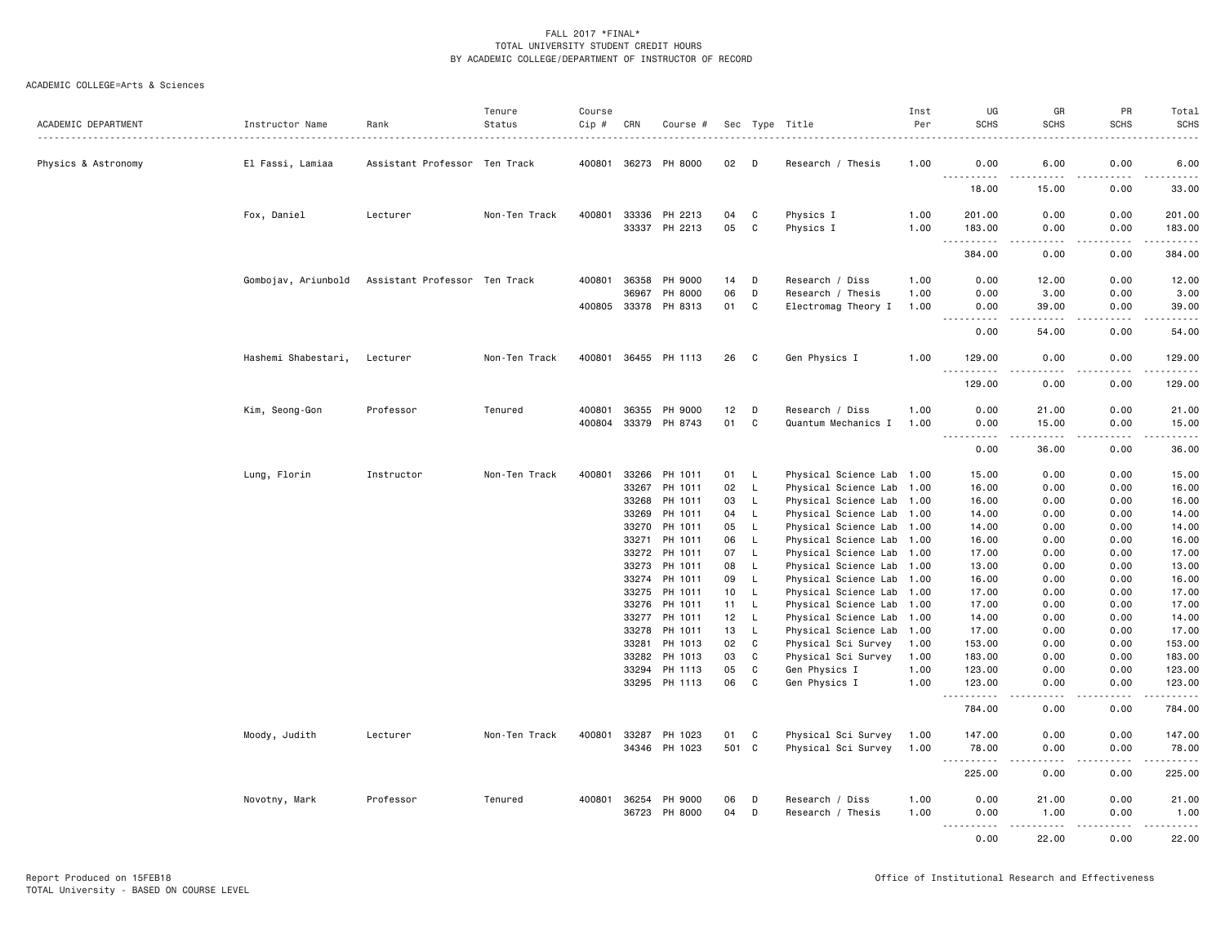| ACADEMIC DEPARTMENT | Instructor Name     | Rank                          | Tenure<br>Status | Course<br>Cip # | CRN            | Course #             |          |              | Sec Type Title                                         | Inst<br>Per  | UG<br><b>SCHS</b>                              | GR<br><b>SCHS</b>                   | PR<br><b>SCHS</b>                                                                                                                                            | Total<br><b>SCHS</b>                                                                                                                                          |
|---------------------|---------------------|-------------------------------|------------------|-----------------|----------------|----------------------|----------|--------------|--------------------------------------------------------|--------------|------------------------------------------------|-------------------------------------|--------------------------------------------------------------------------------------------------------------------------------------------------------------|---------------------------------------------------------------------------------------------------------------------------------------------------------------|
| Physics & Astronomy | El Fassi, Lamiaa    | Assistant Professor Ten Track |                  |                 |                | 400801 36273 PH 8000 | 02       | D            | Research / Thesis                                      | 1.00         | 0.00                                           | 6.00                                | 0.00                                                                                                                                                         | 6.00                                                                                                                                                          |
|                     |                     |                               |                  |                 |                |                      |          |              |                                                        |              | .<br>18.00                                     | 15.00                               | $   -$<br>0.00                                                                                                                                               | $\frac{1}{2} \left( \frac{1}{2} \right) \left( \frac{1}{2} \right) \left( \frac{1}{2} \right) \left( \frac{1}{2} \right) \left( \frac{1}{2} \right)$<br>33.00 |
|                     | Fox, Daniel         | Lecturer                      | Non-Ten Track    | 400801          | 33336          | PH 2213              | 04       | C            | Physics I                                              | 1.00         | 201.00                                         | 0.00                                | 0.00                                                                                                                                                         | 201.00                                                                                                                                                        |
|                     |                     |                               |                  |                 |                | 33337 PH 2213        | 05       | C            | Physics I                                              | 1.00         | 183.00<br>.<br>$\sim$ $\sim$                   | 0.00<br>$\sim$ $\sim$ $\sim$ $\sim$ | 0.00<br>.                                                                                                                                                    | 183.00<br>$\begin{array}{cccccccccc} \bullet & \bullet & \bullet & \bullet & \bullet & \bullet & \bullet \end{array}$                                         |
|                     |                     |                               |                  |                 |                |                      |          |              |                                                        |              | 384.00                                         | 0.00                                | 0.00                                                                                                                                                         | 384.00                                                                                                                                                        |
|                     | Gombojav, Ariunbold | Assistant Professor Ten Track |                  | 400801          | 36358<br>36967 | PH 9000<br>PH 8000   | 14<br>06 | D<br>D       | Research / Diss<br>Research / Thesis                   | 1.00<br>1.00 | 0.00<br>0.00                                   | 12.00<br>3.00                       | 0.00<br>0.00                                                                                                                                                 | 12.00<br>3.00                                                                                                                                                 |
|                     |                     |                               |                  |                 |                | 400805 33378 PH 8313 | 01       | C            | Electromag Theory I                                    | 1.00         | 0.00                                           | 39.00                               | 0.00                                                                                                                                                         | 39.00                                                                                                                                                         |
|                     |                     |                               |                  |                 |                |                      |          |              |                                                        |              | .<br>$ -$<br>0.00                              | .<br>54.00                          | <b>.</b><br>0.00                                                                                                                                             | .<br>54.00                                                                                                                                                    |
|                     | Hashemi Shabestari, | Lecturer                      | Non-Ten Track    | 400801          |                | 36455 PH 1113        | 26       | C            | Gen Physics I                                          | 1.00         | 129.00                                         | 0.00                                | 0.00                                                                                                                                                         | 129.00                                                                                                                                                        |
|                     |                     |                               |                  |                 |                |                      |          |              |                                                        |              | .<br>.<br>129.00                               | $\sim$ $\sim$ $\sim$ $\sim$<br>0.00 | .<br>0.00                                                                                                                                                    | 2.2.2.2.2.3<br>129.00                                                                                                                                         |
|                     | Kim, Seong-Gon      | Professor                     | Tenured          | 400801          | 36355          | PH 9000              | 12       | D            | Research / Diss                                        | 1.00         | 0.00                                           | 21.00                               | 0.00                                                                                                                                                         | 21.00                                                                                                                                                         |
|                     |                     |                               |                  |                 | 400804 33379   | PH 8743              | 01       | C            | Quantum Mechanics I                                    | 1.00         | 0.00<br>.                                      | 15.00<br>$- - - - -$                | 0.00<br>.                                                                                                                                                    | 15.00<br>.                                                                                                                                                    |
|                     |                     |                               |                  |                 |                |                      |          |              |                                                        |              | 0.00                                           | 36.00                               | 0.00                                                                                                                                                         | 36.00                                                                                                                                                         |
|                     | Lung, Florin        | Instructor                    | Non-Ten Track    | 400801          |                | 33266 PH 1011        | 01       | L.           | Physical Science Lab 1.00                              |              | 15.00                                          | 0.00                                | 0.00                                                                                                                                                         | 15.00                                                                                                                                                         |
|                     |                     |                               |                  |                 | 33267          | PH 1011              | 02       | L.           | Physical Science Lab 1.00                              |              | 16.00                                          | 0.00                                | 0.00                                                                                                                                                         | 16.00                                                                                                                                                         |
|                     |                     |                               |                  |                 | 33268          | PH 1011              | 03       | L            | Physical Science Lab 1.00                              |              | 16.00                                          | 0.00                                | 0.00                                                                                                                                                         | 16.00                                                                                                                                                         |
|                     |                     |                               |                  |                 | 33269          | PH 1011              | 04       | L.           | Physical Science Lab 1.00                              |              | 14.00                                          | 0.00                                | 0.00                                                                                                                                                         | 14.00                                                                                                                                                         |
|                     |                     |                               |                  |                 | 33270          | PH 1011              | 05       | L.           | Physical Science Lab 1.00                              |              | 14.00                                          | 0.00                                | 0.00                                                                                                                                                         | 14.00                                                                                                                                                         |
|                     |                     |                               |                  |                 | 33271<br>33272 | PH 1011<br>PH 1011   | 06<br>07 | L<br>L.      | Physical Science Lab 1.00<br>Physical Science Lab 1.00 |              | 16.00<br>17.00                                 | 0.00<br>0.00                        | 0.00<br>0.00                                                                                                                                                 | 16.00<br>17.00                                                                                                                                                |
|                     |                     |                               |                  |                 | 33273          | PH 1011              | 08       | L.           | Physical Science Lab 1.00                              |              | 13.00                                          | 0.00                                | 0.00                                                                                                                                                         | 13.00                                                                                                                                                         |
|                     |                     |                               |                  |                 | 33274          | PH 1011              | 09       | L            | Physical Science Lab 1.00                              |              | 16.00                                          | 0.00                                | 0.00                                                                                                                                                         | 16.00                                                                                                                                                         |
|                     |                     |                               |                  |                 | 33275          | PH 1011              | 10       | $\mathsf{L}$ | Physical Science Lab 1.00                              |              | 17.00                                          | 0.00                                | 0.00                                                                                                                                                         | 17.00                                                                                                                                                         |
|                     |                     |                               |                  |                 | 33276          | PH 1011              | 11       | L.           | Physical Science Lab 1.00                              |              | 17.00                                          | 0.00                                | 0.00                                                                                                                                                         | 17.00                                                                                                                                                         |
|                     |                     |                               |                  |                 | 33277          | PH 1011              | 12       | L.           | Physical Science Lab 1.00                              |              | 14.00                                          | 0.00                                | 0.00                                                                                                                                                         | 14.00                                                                                                                                                         |
|                     |                     |                               |                  |                 | 33278          | PH 1011              | 13       | L.           | Physical Science Lab 1.00                              |              | 17.00                                          | 0.00                                | 0.00                                                                                                                                                         | 17.00                                                                                                                                                         |
|                     |                     |                               |                  |                 | 33281          | PH 1013              | 02       | C            | Physical Sci Survey                                    | 1.00         | 153.00                                         | 0.00                                | 0.00                                                                                                                                                         | 153.00                                                                                                                                                        |
|                     |                     |                               |                  |                 | 33282          | PH 1013              | 03       | C            | Physical Sci Survey                                    | 1.00         | 183.00                                         | 0.00                                | 0.00                                                                                                                                                         | 183.00                                                                                                                                                        |
|                     |                     |                               |                  |                 | 33294          | PH 1113              | 05       | $\mathbb{C}$ | Gen Physics I                                          | 1.00         | 123.00                                         | 0.00                                | 0.00                                                                                                                                                         | 123.00                                                                                                                                                        |
|                     |                     |                               |                  |                 |                | 33295 PH 1113        | 06       | C            | Gen Physics I                                          | 1.00         | 123.00<br>$\sim$ $\sim$ $\sim$                 | 0.00<br>.                           | 0.00<br>$\frac{1}{2} \left( \frac{1}{2} \right) \left( \frac{1}{2} \right) \left( \frac{1}{2} \right) \left( \frac{1}{2} \right) \left( \frac{1}{2} \right)$ | 123.00<br>.                                                                                                                                                   |
|                     |                     |                               |                  |                 |                |                      |          |              |                                                        |              | 784.00                                         | 0.00                                | 0.00                                                                                                                                                         | 784.00                                                                                                                                                        |
|                     | Moody, Judith       | Lecturer                      | Non-Ten Track    | 400801          |                | 33287 PH 1023        | 01       | C            | Physical Sci Survey                                    | 1.00         | 147.00                                         | 0.00                                | 0.00                                                                                                                                                         | 147.00                                                                                                                                                        |
|                     |                     |                               |                  |                 |                | 34346 PH 1023        | 501 C    |              | Physical Sci Survey                                    | 1.00         | 78.00<br>$\sim$ $\sim$ $\sim$<br>$- - - - - -$ | 0.00<br>د د د د                     | 0.00<br>.                                                                                                                                                    | 78.00<br>.                                                                                                                                                    |
|                     |                     |                               |                  |                 |                |                      |          |              |                                                        |              | 225.00                                         | 0.00                                | 0.00                                                                                                                                                         | 225.00                                                                                                                                                        |
|                     | Novotny, Mark       | Professor                     | Tenured          | 400801          | 36254          | PH 9000              | 06       | D            | Research / Diss                                        | 1.00         | 0.00                                           | 21.00                               | 0.00                                                                                                                                                         | 21.00                                                                                                                                                         |
|                     |                     |                               |                  |                 |                | 36723 PH 8000        | 04       | D            | Research / Thesis                                      | 1.00         | 0.00<br>----<br>$- - - - -$                    | 1.00<br>$\frac{1}{2}$               | 0.00<br><b>.</b>                                                                                                                                             | 1.00<br>.                                                                                                                                                     |
|                     |                     |                               |                  |                 |                |                      |          |              |                                                        |              | 0.00                                           | 22.00                               | 0.00                                                                                                                                                         | 22.00                                                                                                                                                         |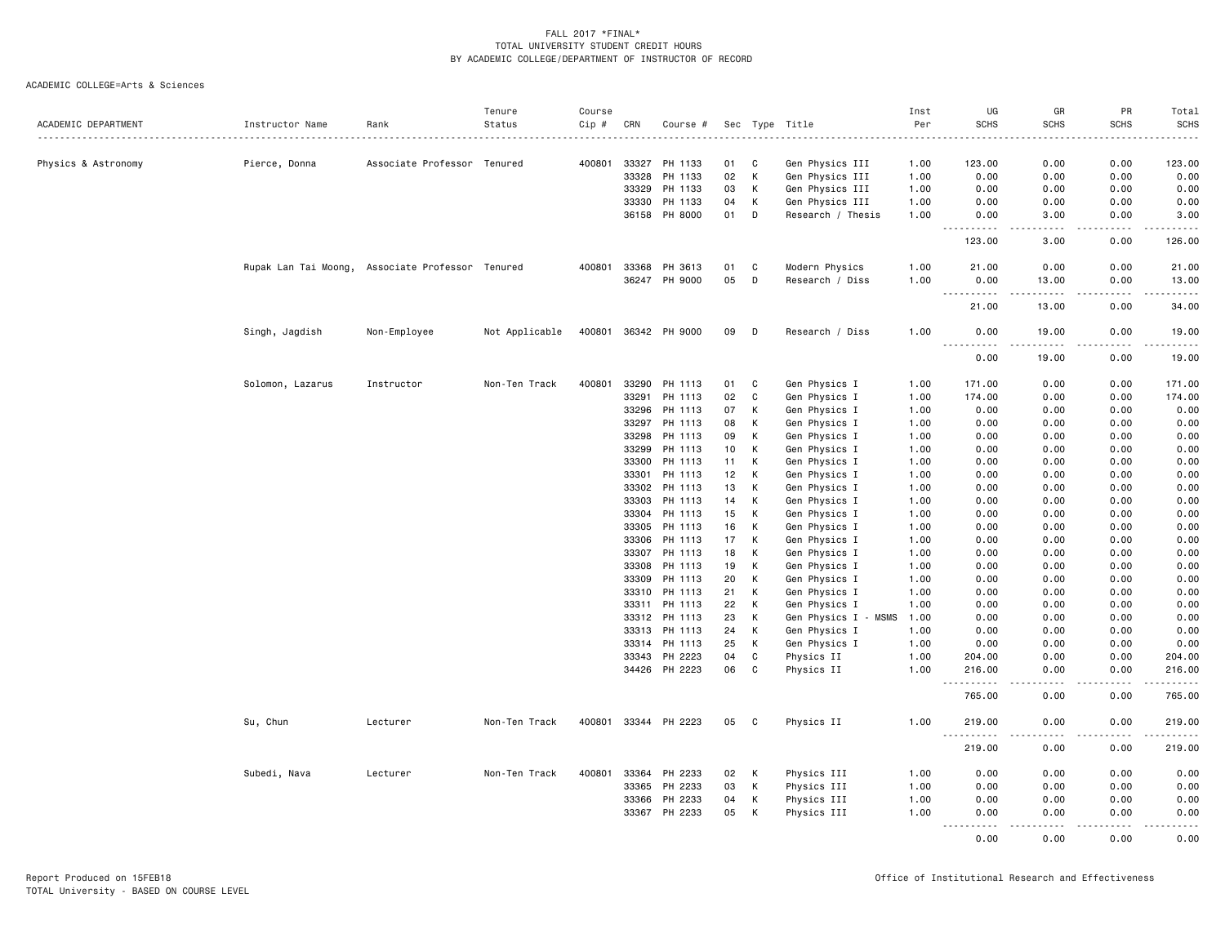| ACADEMIC DEPARTMENT | Instructor Name  | Rank                                             | Tenure<br>Status | Course<br>Cip # | CRN   | Course #             |    |              | Sec Type Title       | Inst<br>Per | UG<br><b>SCHS</b>            | GR<br><b>SCHS</b>    | PR<br><b>SCHS</b> | Total<br><b>SCHS</b>                                                                                                                                           |
|---------------------|------------------|--------------------------------------------------|------------------|-----------------|-------|----------------------|----|--------------|----------------------|-------------|------------------------------|----------------------|-------------------|----------------------------------------------------------------------------------------------------------------------------------------------------------------|
|                     |                  |                                                  |                  |                 |       |                      |    |              |                      |             |                              |                      |                   |                                                                                                                                                                |
| Physics & Astronomy | Pierce, Donna    | Associate Professor Tenured                      |                  | 400801          | 33327 | PH 1133              | 01 | C            | Gen Physics III      | 1.00        | 123.00                       | 0.00                 | 0.00              | 123.00                                                                                                                                                         |
|                     |                  |                                                  |                  |                 | 33328 | PH 1133              | 02 | К            | Gen Physics III      | 1.00        | 0.00                         | 0.00                 | 0.00              | 0.00                                                                                                                                                           |
|                     |                  |                                                  |                  |                 | 33329 | PH 1133              | 03 | к            | Gen Physics III      | 1.00        | 0.00                         | 0.00                 | 0.00              | 0.00                                                                                                                                                           |
|                     |                  |                                                  |                  |                 | 33330 | PH 1133              | 04 | к            | Gen Physics III      | 1.00        | 0.00                         | 0.00                 | 0.00              | 0.00                                                                                                                                                           |
|                     |                  |                                                  |                  |                 |       | 36158 PH 8000        | 01 | D            | Research / Thesis    | 1.00        | 0.00<br>- - -<br>.           | 3.00<br>. <u>. .</u> | 0.00<br>.         | 3.00<br>.                                                                                                                                                      |
|                     |                  |                                                  |                  |                 |       |                      |    |              |                      |             | 123.00                       | 3.00                 | 0.00              | 126.00                                                                                                                                                         |
|                     |                  | Rupak Lan Tai Moong, Associate Professor Tenured |                  | 400801          | 33368 | PH 3613              | 01 | C            | Modern Physics       | 1.00        | 21.00                        | 0.00                 | 0.00              | 21.00                                                                                                                                                          |
|                     |                  |                                                  |                  |                 | 36247 | PH 9000              | 05 | D            | Research / Diss      | 1.00        | 0.00                         | 13.00                | 0.00              | 13.00                                                                                                                                                          |
|                     |                  |                                                  |                  |                 |       |                      |    |              |                      |             | .<br>.<br>21.00              | $- - -$<br>13.00     | 0.00              | 34.00                                                                                                                                                          |
|                     | Singh, Jagdish   | Non-Employee                                     | Not Applicable   |                 |       | 400801 36342 PH 9000 | 09 | D            | Research / Diss      | 1.00        | 0.00                         | 19.00                | 0.00              | 19.00                                                                                                                                                          |
|                     |                  |                                                  |                  |                 |       |                      |    |              |                      |             | 0.00                         | 19.00                | 0.00              | 19.00                                                                                                                                                          |
|                     | Solomon, Lazarus | Instructor                                       | Non-Ten Track    | 400801          | 33290 | PH 1113              | 01 | C            | Gen Physics I        | 1.00        | 171.00                       | 0.00                 | 0.00              | 171.00                                                                                                                                                         |
|                     |                  |                                                  |                  |                 | 33291 | PH 1113              | 02 | C            | Gen Physics I        | 1.00        | 174.00                       | 0.00                 | 0.00              | 174.00                                                                                                                                                         |
|                     |                  |                                                  |                  |                 | 33296 | PH 1113              | 07 | K            | Gen Physics I        | 1.00        | 0.00                         | 0.00                 | 0.00              | 0.00                                                                                                                                                           |
|                     |                  |                                                  |                  |                 |       | 33297 PH 1113        | 08 | К            | Gen Physics I        | 1.00        | 0.00                         | 0.00                 | 0.00              | 0.00                                                                                                                                                           |
|                     |                  |                                                  |                  |                 | 33298 | PH 1113              | 09 | К            | Gen Physics I        | 1.00        | 0.00                         | 0.00                 | 0.00              | 0.00                                                                                                                                                           |
|                     |                  |                                                  |                  |                 | 33299 | PH 1113              | 10 | к            | Gen Physics I        | 1.00        | 0.00                         | 0.00                 | 0.00              | 0.00                                                                                                                                                           |
|                     |                  |                                                  |                  |                 | 33300 | PH 1113              | 11 | К            | Gen Physics I        | 1.00        | 0.00                         | 0.00                 | 0.00              | 0.00                                                                                                                                                           |
|                     |                  |                                                  |                  |                 | 33301 | PH 1113              | 12 | K            | Gen Physics I        | 1.00        | 0.00                         | 0.00                 | 0.00              | 0.00                                                                                                                                                           |
|                     |                  |                                                  |                  |                 | 33302 | PH 1113              | 13 | К            | Gen Physics I        | 1.00        | 0.00                         | 0.00                 | 0.00              | 0.00                                                                                                                                                           |
|                     |                  |                                                  |                  |                 | 33303 | PH 1113              | 14 | K            | Gen Physics I        | 1.00        | 0.00                         | 0.00                 | 0.00              | 0.00                                                                                                                                                           |
|                     |                  |                                                  |                  |                 |       | 33304 PH 1113        | 15 | K            | Gen Physics I        | 1.00        | 0.00                         | 0.00                 | 0.00              | 0.00                                                                                                                                                           |
|                     |                  |                                                  |                  |                 | 33305 | PH 1113              | 16 | К            | Gen Physics I        | 1.00        | 0.00                         | 0.00                 | 0.00              | 0.00                                                                                                                                                           |
|                     |                  |                                                  |                  |                 | 33306 | PH 1113              | 17 | К            | Gen Physics I        | 1.00        | 0.00                         | 0.00                 | 0.00              | 0.00                                                                                                                                                           |
|                     |                  |                                                  |                  |                 | 33307 | PH 1113              | 18 | К            | Gen Physics I        | 1.00        | 0.00                         | 0.00                 | 0.00              | 0.00                                                                                                                                                           |
|                     |                  |                                                  |                  |                 | 33308 | PH 1113              | 19 | K            | Gen Physics I        | 1.00        | 0.00                         | 0.00                 | 0.00              | 0.00                                                                                                                                                           |
|                     |                  |                                                  |                  |                 | 33309 | PH 1113              | 20 | К            | Gen Physics I        | 1.00        | 0.00                         | 0.00                 | 0.00              | 0.00                                                                                                                                                           |
|                     |                  |                                                  |                  |                 | 33310 | PH 1113              | 21 | К            | Gen Physics I        | 1.00        | 0.00                         | 0.00                 | 0.00              | 0.00                                                                                                                                                           |
|                     |                  |                                                  |                  |                 | 33311 | PH 1113              | 22 | K            | Gen Physics I        | 1.00        | 0.00                         | 0.00                 | 0.00              | 0.00                                                                                                                                                           |
|                     |                  |                                                  |                  |                 |       | 33312 PH 1113        | 23 | К            | Gen Physics I - MSMS | 1.00        | 0.00                         | 0.00                 | 0.00              | 0.00                                                                                                                                                           |
|                     |                  |                                                  |                  |                 |       | 33313 PH 1113        | 24 | К            | Gen Physics I        | 1.00        | 0.00                         | 0.00                 | 0.00              | 0.00                                                                                                                                                           |
|                     |                  |                                                  |                  |                 | 33314 | PH 1113              | 25 | К            | Gen Physics I        | 1.00        | 0.00                         | 0.00                 | 0.00              | 0.00                                                                                                                                                           |
|                     |                  |                                                  |                  |                 | 33343 | PH 2223              | 04 | C            | Physics II           | 1.00        | 204.00                       | 0.00                 | 0.00              | 204.00                                                                                                                                                         |
|                     |                  |                                                  |                  |                 |       | 34426 PH 2223        | 06 | $\mathtt{C}$ | Physics II           | 1.00        | 216.00<br>.                  | 0.00<br>. <u>. .</u> | 0.00<br>.         | 216.00<br>.                                                                                                                                                    |
|                     |                  |                                                  |                  |                 |       |                      |    |              |                      |             | 765.00                       | 0.00                 | 0.00              | 765.00                                                                                                                                                         |
|                     | Su, Chun         | Lecturer                                         | Non-Ten Track    |                 |       | 400801 33344 PH 2223 | 05 | C            | Physics II           | 1.00        | 219.00<br>$\sim$ $\sim$<br>. | 0.00<br>. <u>. .</u> | 0.00<br><u>.</u>  | 219.00<br>$\frac{1}{2} \left( \frac{1}{2} \right) \left( \frac{1}{2} \right) \left( \frac{1}{2} \right) \left( \frac{1}{2} \right) \left( \frac{1}{2} \right)$ |
|                     |                  |                                                  |                  |                 |       |                      |    |              |                      |             | 219.00                       | 0.00                 | 0.00              | 219.00                                                                                                                                                         |
|                     | Subedi, Nava     | Lecturer                                         | Non-Ten Track    | 400801          | 33364 | PH 2233              | 02 | K            | Physics III          | 1.00        | 0.00                         | 0.00                 | 0.00              | 0.00                                                                                                                                                           |
|                     |                  |                                                  |                  |                 | 33365 | PH 2233              | 03 | К            | Physics III          | 1.00        | 0.00                         | 0.00                 | 0.00              | 0.00                                                                                                                                                           |
|                     |                  |                                                  |                  |                 | 33366 | PH 2233              | 04 | К            | Physics III          | 1.00        | 0.00                         | 0.00                 | 0.00              | 0.00                                                                                                                                                           |
|                     |                  |                                                  |                  |                 | 33367 | PH 2233              | 05 | к            | Physics III          | 1.00        | 0.00<br>.<br>.               | 0.00<br>د د د د      | 0.00<br>.         | 0.00<br>$- - - - -$                                                                                                                                            |
|                     |                  |                                                  |                  |                 |       |                      |    |              |                      |             | 0.00                         | 0.00                 | 0.00              | 0.00                                                                                                                                                           |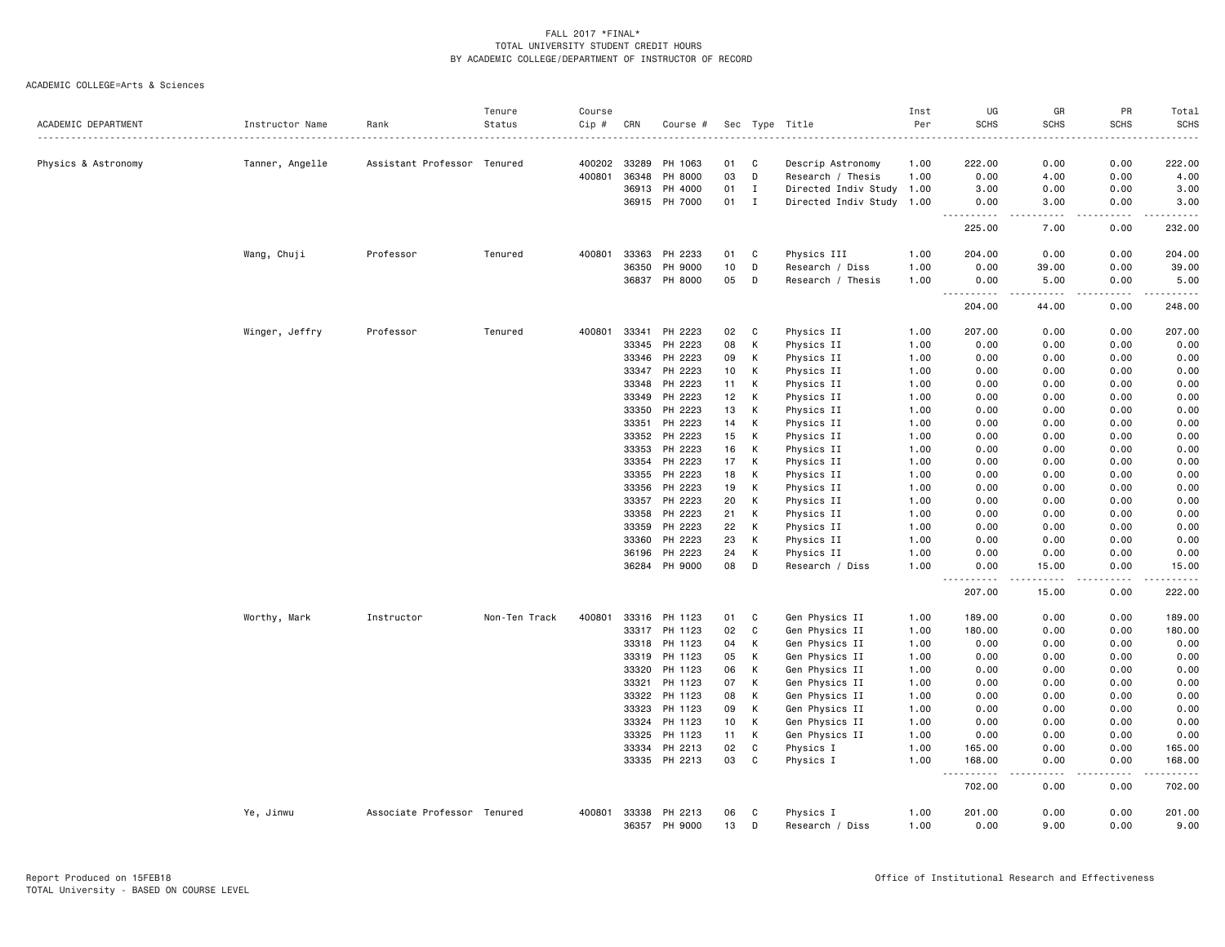| ACADEMIC DEPARTMENT | Instructor Name | Rank                        | Tenure<br>Status | Course<br>Cip # | CRN   | Course #      | Sec |              | Type Title                | Inst<br>Per | UG<br><b>SCHS</b>                         | GR<br><b>SCHS</b> | PR<br><b>SCHS</b> | Total<br><b>SCHS</b>                                                                                                                                                                      |
|---------------------|-----------------|-----------------------------|------------------|-----------------|-------|---------------|-----|--------------|---------------------------|-------------|-------------------------------------------|-------------------|-------------------|-------------------------------------------------------------------------------------------------------------------------------------------------------------------------------------------|
| Physics & Astronomy | Tanner, Angelle | Assistant Professor Tenured |                  | 400202          | 33289 | PH 1063       | 01  | C            | Descrip Astronomy         | 1.00        | 222.00                                    | 0.00              | 0.00              | 222.00                                                                                                                                                                                    |
|                     |                 |                             |                  | 400801          | 36348 | PH 8000       | 03  | D            | Research / Thesis         | 1.00        | 0.00                                      | 4.00              | 0.00              | 4.00                                                                                                                                                                                      |
|                     |                 |                             |                  |                 | 36913 | PH 4000       | 01  | $\mathbf{I}$ | Directed Indiv Study 1.00 |             | 3.00                                      | 0.00              | 0.00              | 3.00                                                                                                                                                                                      |
|                     |                 |                             |                  |                 |       | 36915 PH 7000 | 01  | $\mathbf I$  | Directed Indiv Study 1.00 |             | 0.00<br>.                                 | 3.00<br>.         | 0.00<br>.         | 3.00<br>.                                                                                                                                                                                 |
|                     |                 |                             |                  |                 |       |               |     |              |                           |             | 225.00                                    | 7.00              | 0.00              | 232.00                                                                                                                                                                                    |
|                     | Wang, Chuji     | Professor                   | Tenured          | 400801          | 33363 | PH 2233       | 01  | C            | Physics III               | 1.00        | 204.00                                    | 0.00              | 0.00              | 204.00                                                                                                                                                                                    |
|                     |                 |                             |                  |                 | 36350 | PH 9000       | 10  | D            | Research / Diss           | 1.00        | 0.00                                      | 39.00             | 0.00              | 39.00                                                                                                                                                                                     |
|                     |                 |                             |                  |                 | 36837 | PH 8000       | 05  | D            | Research / Thesis         | 1.00        | 0.00<br>.                                 | 5.00              | 0.00              | 5.00<br>-----                                                                                                                                                                             |
|                     |                 |                             |                  |                 |       |               |     |              |                           |             | 204.00                                    | 44.00             | 0.00              | 248.00                                                                                                                                                                                    |
|                     | Winger, Jeffry  | Professor                   | Tenured          | 400801          | 33341 | PH 2223       | 02  | C            | Physics II                | 1.00        | 207.00                                    | 0.00              | 0.00              | 207.00                                                                                                                                                                                    |
|                     |                 |                             |                  |                 | 33345 | PH 2223       | 08  | К            | Physics II                | 1.00        | 0.00                                      | 0.00              | 0.00              | 0.00                                                                                                                                                                                      |
|                     |                 |                             |                  |                 | 33346 | PH 2223       | 09  | К            | Physics II                | 1.00        | 0.00                                      | 0.00              | 0.00              | 0.00                                                                                                                                                                                      |
|                     |                 |                             |                  |                 | 33347 | PH 2223       | 10  | К            | Physics II                | 1.00        | 0.00                                      | 0.00              | 0.00              | 0.00                                                                                                                                                                                      |
|                     |                 |                             |                  |                 | 33348 | PH 2223       | 11  | Κ            | Physics II                | 1.00        | 0.00                                      | 0.00              | 0.00              | 0.00                                                                                                                                                                                      |
|                     |                 |                             |                  |                 | 33349 | PH 2223       | 12  | К            | Physics II                | 1.00        | 0.00                                      | 0.00              | 0.00              | 0.00                                                                                                                                                                                      |
|                     |                 |                             |                  |                 | 33350 | PH 2223       | 13  | К            | Physics II                | 1.00        | 0.00                                      | 0.00              | 0.00              | 0.00                                                                                                                                                                                      |
|                     |                 |                             |                  |                 | 33351 | PH 2223       | 14  | Κ            | Physics II                | 1.00        | 0.00                                      | 0.00              | 0.00              | 0.00                                                                                                                                                                                      |
|                     |                 |                             |                  |                 | 33352 | PH 2223       | 15  | К            | Physics II                | 1.00        | 0.00                                      | 0.00              | 0.00              | 0.00                                                                                                                                                                                      |
|                     |                 |                             |                  |                 | 33353 | PH 2223       | 16  | К            | Physics II                | 1.00        | 0.00                                      | 0.00              | 0.00              | 0.00                                                                                                                                                                                      |
|                     |                 |                             |                  |                 | 33354 | PH 2223       | 17  | К            | Physics II                | 1.00        | 0.00                                      | 0.00              | 0.00              | 0.00                                                                                                                                                                                      |
|                     |                 |                             |                  |                 | 33355 | PH 2223       | 18  | К            | Physics II                | 1.00        | 0.00                                      | 0.00              | 0.00              | 0.00                                                                                                                                                                                      |
|                     |                 |                             |                  |                 | 33356 | PH 2223       | 19  | К            | Physics II                | 1.00        | 0.00                                      | 0.00              | 0.00              | 0.00                                                                                                                                                                                      |
|                     |                 |                             |                  |                 | 33357 | PH 2223       | 20  | К            | Physics II                | 1.00        | 0.00                                      | 0.00              | 0.00              | 0.00                                                                                                                                                                                      |
|                     |                 |                             |                  |                 | 33358 | PH 2223       | 21  | К            | Physics II                | 1.00        | 0.00                                      | 0.00              | 0.00              | 0.00                                                                                                                                                                                      |
|                     |                 |                             |                  |                 | 33359 | PH 2223       | 22  | К            | Physics II                | 1.00        | 0.00                                      | 0.00              | 0.00              | 0.00                                                                                                                                                                                      |
|                     |                 |                             |                  |                 | 33360 | PH 2223       | 23  | К            | Physics II                | 1.00        | 0.00                                      | 0.00              | 0.00              | 0.00                                                                                                                                                                                      |
|                     |                 |                             |                  |                 | 36196 | PH 2223       | 24  | К            | Physics II                | 1.00        | 0.00                                      | 0.00              | 0.00              | 0.00                                                                                                                                                                                      |
|                     |                 |                             |                  |                 | 36284 | PH 9000       | 08  | D            | Research / Diss           | 1.00        | 0.00<br>.,<br>$\sim$ $\sim$ $\sim$ $\sim$ | 15.00<br>.        | 0.00<br>.         | 15.00                                                                                                                                                                                     |
|                     |                 |                             |                  |                 |       |               |     |              |                           |             | 207.00                                    | 15.00             | 0.00              | 222.00                                                                                                                                                                                    |
|                     | Worthy, Mark    | Instructor                  | Non-Ten Track    | 400801          | 33316 | PH 1123       | 01  | C            | Gen Physics II            | 1.00        | 189.00                                    | 0.00              | 0.00              | 189.00                                                                                                                                                                                    |
|                     |                 |                             |                  |                 | 33317 | PH 1123       | 02  | C            | Gen Physics II            | 1.00        | 180.00                                    | 0.00              | 0.00              | 180.00                                                                                                                                                                                    |
|                     |                 |                             |                  |                 | 33318 | PH 1123       | 04  | К            | Gen Physics II            | 1.00        | 0.00                                      | 0.00              | 0.00              | 0.00                                                                                                                                                                                      |
|                     |                 |                             |                  |                 | 33319 | PH 1123       | 05  | К            | Gen Physics II            | 1.00        | 0.00                                      | 0.00              | 0.00              | 0.00                                                                                                                                                                                      |
|                     |                 |                             |                  |                 | 33320 | PH 1123       | 06  | К            | Gen Physics II            | 1.00        | 0.00                                      | 0.00              | 0.00              | 0.00                                                                                                                                                                                      |
|                     |                 |                             |                  |                 | 33321 | PH 1123       | 07  | Κ            | Gen Physics II            | 1.00        | 0.00                                      | 0.00              | 0.00              | 0.00                                                                                                                                                                                      |
|                     |                 |                             |                  |                 | 33322 | PH 1123       | 08  | К            | Gen Physics II            | 1.00        | 0.00                                      | 0.00              | 0.00              | 0.00                                                                                                                                                                                      |
|                     |                 |                             |                  |                 | 33323 | PH 1123       | 09  | К            | Gen Physics II            | 1.00        | 0.00                                      | 0.00              | 0.00              | 0.00                                                                                                                                                                                      |
|                     |                 |                             |                  |                 | 33324 | PH 1123       | 10  | К            | Gen Physics II            | 1.00        | 0.00                                      | 0.00              | 0.00              | 0.00                                                                                                                                                                                      |
|                     |                 |                             |                  |                 | 33325 | PH 1123       | 11  | К            | Gen Physics II            | 1.00        | 0.00                                      | 0.00              | 0.00              | 0.00                                                                                                                                                                                      |
|                     |                 |                             |                  |                 | 33334 | PH 2213       | 02  | C            | Physics I                 | 1.00        | 165.00                                    | 0.00              | 0.00              | 165.00                                                                                                                                                                                    |
|                     |                 |                             |                  |                 |       | 33335 PH 2213 | 03  | C            | Physics I                 | 1.00        | 168.00<br>.                               | 0.00<br>.         | 0.00<br>.         | 168.00<br>$\frac{1}{2} \left( \frac{1}{2} \right) \left( \frac{1}{2} \right) \left( \frac{1}{2} \right) \left( \frac{1}{2} \right) \left( \frac{1}{2} \right) \left( \frac{1}{2} \right)$ |
|                     |                 |                             |                  |                 |       |               |     |              |                           |             | 702.00                                    | 0.00              | 0.00              | 702.00                                                                                                                                                                                    |
|                     | Ye, Jinwu       | Associate Professor Tenured |                  | 400801          | 33338 | PH 2213       | 06  | C            | Physics I                 | 1.00        | 201.00                                    | 0.00              | 0.00              | 201.00                                                                                                                                                                                    |
|                     |                 |                             |                  |                 | 36357 | PH 9000       | 13  | D            | Research / Diss           | 1.00        | 0.00                                      | 9.00              | 0.00              | 9.00                                                                                                                                                                                      |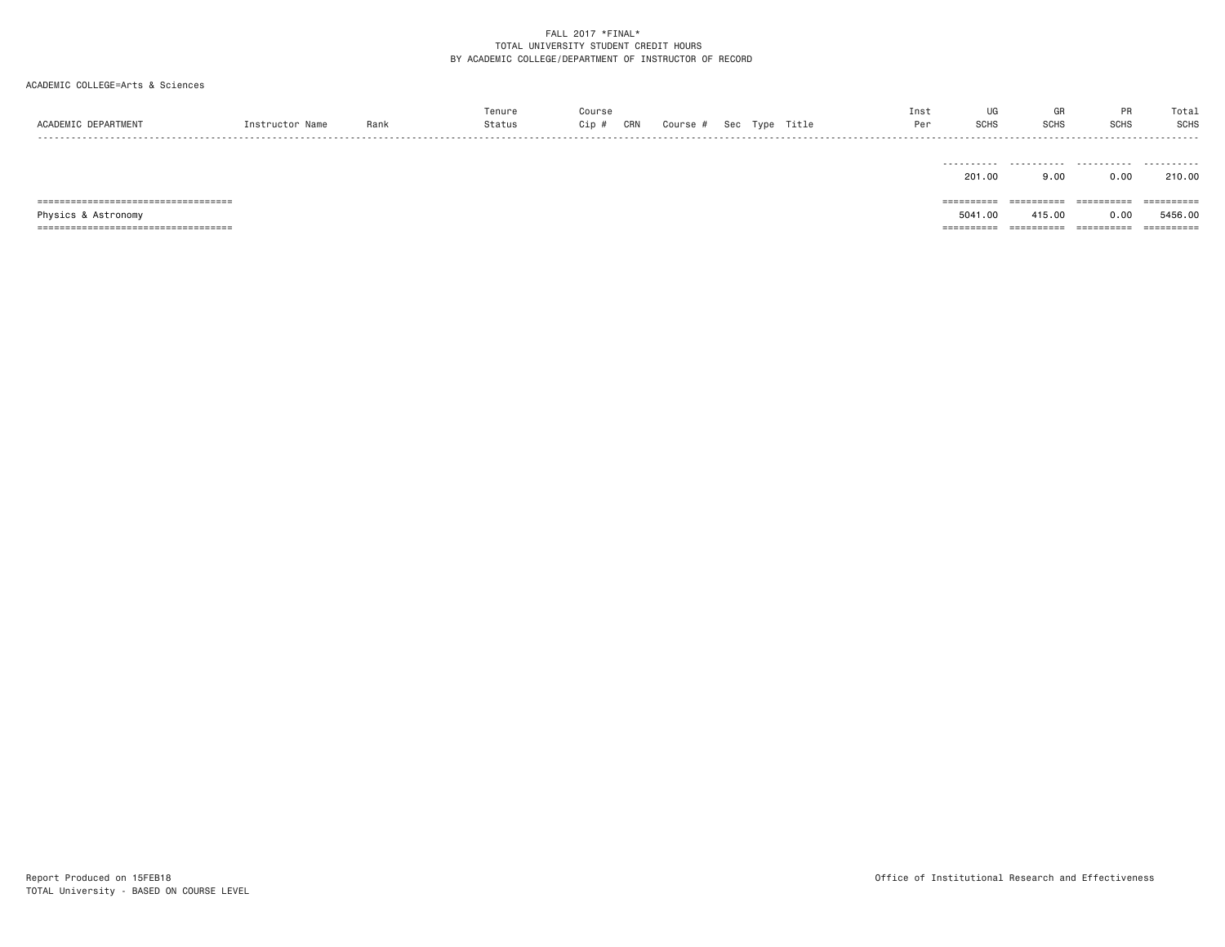|                                   |      | Tenure | Cours      |        |             |       | Inst |             | GR          |             | Total       |
|-----------------------------------|------|--------|------------|--------|-------------|-------|------|-------------|-------------|-------------|-------------|
| $\Lambda$ $\cap$ $\Lambda$ $\cap$ | Rank | Status | CRN<br>Cip | Course | ⊺ype<br>Sec | Title | Per  | <b>SCHS</b> | <b>SCHS</b> | <b>SCHS</b> | <b>SCHS</b> |
| ------                            |      |        |            |        |             |       |      |             |             |             | .           |

|                                        | .          | .          | .                       | .                      |
|----------------------------------------|------------|------------|-------------------------|------------------------|
|                                        | 201.00     | 9.00       | 0.00                    | 210.00                 |
|                                        |            |            |                         |                        |
| ====================================== | ========== | ========== | ---------<br>---------- | _________<br>--------- |
|                                        |            |            |                         |                        |
| Physics & Astronomy                    | 5041.00    | 415.00     | 0.00                    | 5456.00                |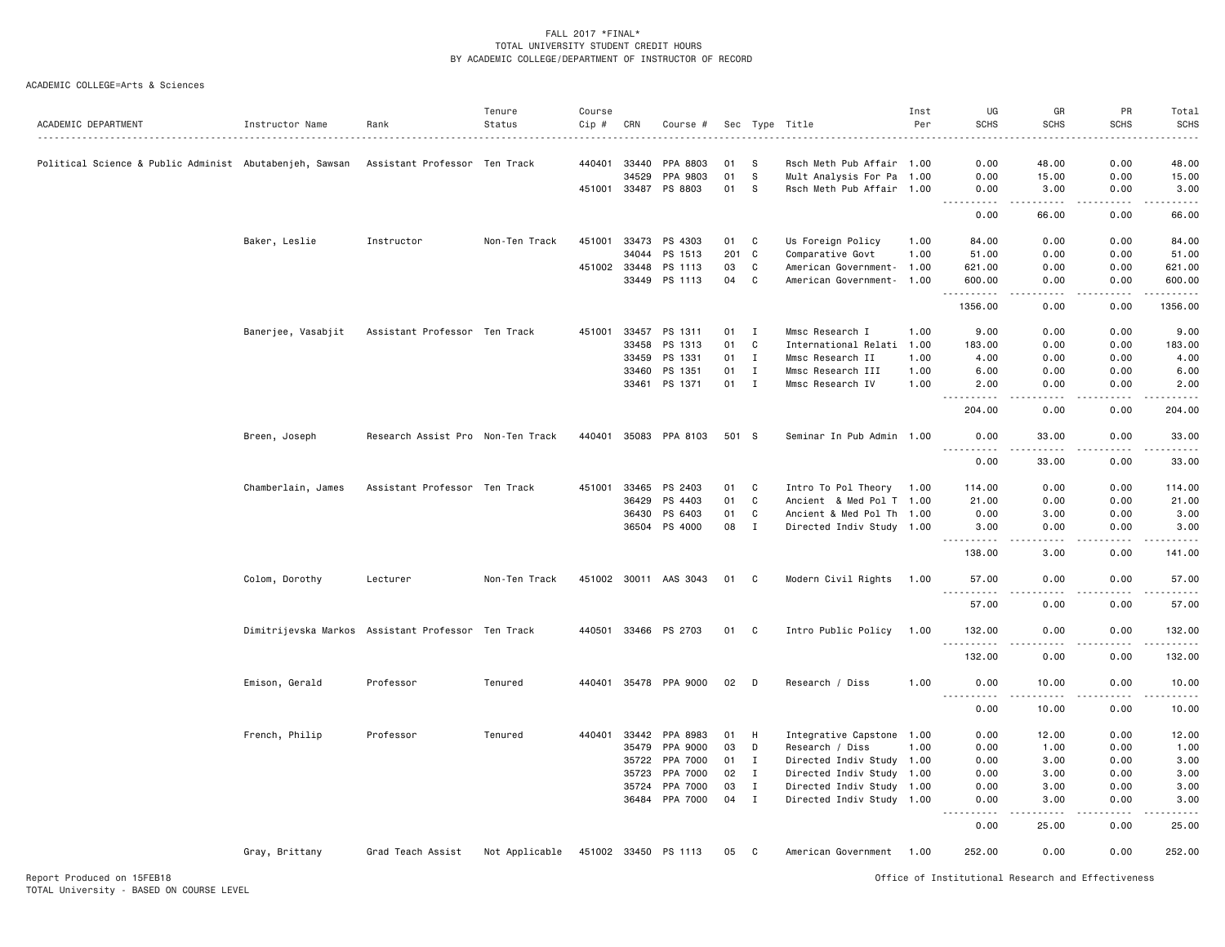| ACADEMIC DEPARTMENT                                     | Instructor Name                                    | Rank                              | Tenure<br>Status | Course<br>Cip # | CRN   | Course #              |       |              | Sec Type Title            | Inst<br>Per | UG<br><b>SCHS</b>  | GR<br><b>SCHS</b>                                                                                                                                             | PR<br><b>SCHS</b> | Total<br>SCHS                                                                                                                                                  |
|---------------------------------------------------------|----------------------------------------------------|-----------------------------------|------------------|-----------------|-------|-----------------------|-------|--------------|---------------------------|-------------|--------------------|---------------------------------------------------------------------------------------------------------------------------------------------------------------|-------------------|----------------------------------------------------------------------------------------------------------------------------------------------------------------|
| Political Science & Public Administ Abutabenjeh, Sawsan |                                                    | Assistant Professor Ten Track     |                  | 440401          | 33440 | PPA 8803              | 01    | S            | Rsch Meth Pub Affair 1.00 |             | 0.00               | 48.00                                                                                                                                                         | 0.00              | 48.00                                                                                                                                                          |
|                                                         |                                                    |                                   |                  |                 | 34529 | PPA 9803              | 01    | S            | Mult Analysis For Pa      | 1.00        | 0.00               | 15.00                                                                                                                                                         | 0.00              | 15.00                                                                                                                                                          |
|                                                         |                                                    |                                   |                  | 451001 33487    |       | PS 8803               | 01    | s            | Rsch Meth Pub Affair 1.00 |             | 0.00<br><u>.</u>   | 3.00<br>.                                                                                                                                                     | 0.00<br><u>.</u>  | 3.00<br>.                                                                                                                                                      |
|                                                         |                                                    |                                   |                  |                 |       |                       |       |              |                           |             | 0.00               | 66.00                                                                                                                                                         | 0.00              | 66.00                                                                                                                                                          |
|                                                         | Baker, Leslie                                      | Instructor                        | Non-Ten Track    | 451001          | 33473 | PS 4303               | 01    | C            | Us Foreign Policy         | 1.00        | 84.00              | 0.00                                                                                                                                                          | 0.00              | 84.00                                                                                                                                                          |
|                                                         |                                                    |                                   |                  |                 | 34044 | PS 1513               | 201   | C            | Comparative Govt          | 1.00        | 51.00              | 0.00                                                                                                                                                          | 0.00              | 51.00                                                                                                                                                          |
|                                                         |                                                    |                                   |                  | 451002 33448    |       | PS 1113               | 03    | C            | American Government- 1.00 |             | 621.00             | 0.00                                                                                                                                                          | 0.00              | 621.00                                                                                                                                                         |
|                                                         |                                                    |                                   |                  |                 |       | 33449 PS 1113         | 04    | C            | American Government- 1.00 |             | 600.00<br>.        | 0.00                                                                                                                                                          | 0.00<br>.         | 600.00<br>$\frac{1}{2} \left( \frac{1}{2} \right) \left( \frac{1}{2} \right) \left( \frac{1}{2} \right) \left( \frac{1}{2} \right) \left( \frac{1}{2} \right)$ |
|                                                         |                                                    |                                   |                  |                 |       |                       |       |              |                           |             | 1356.00            | 0.00                                                                                                                                                          | 0.00              | 1356.00                                                                                                                                                        |
|                                                         | Banerjee, Vasabjit                                 | Assistant Professor Ten Track     |                  | 451001          | 33457 | PS 1311               | 01    | $\mathbf{I}$ | Mmsc Research I           | 1.00        | 9.00               | 0.00                                                                                                                                                          | 0.00              | 9.00                                                                                                                                                           |
|                                                         |                                                    |                                   |                  |                 | 33458 | PS 1313               | 01    | C            | International Relati 1.00 |             | 183.00             | 0.00                                                                                                                                                          | 0.00              | 183.00                                                                                                                                                         |
|                                                         |                                                    |                                   |                  |                 | 33459 | PS 1331               | 01    | $\mathbf{I}$ | Mmsc Research II          | 1.00        | 4.00               | 0.00                                                                                                                                                          | 0.00              | 4.00                                                                                                                                                           |
|                                                         |                                                    |                                   |                  |                 | 33460 | PS 1351               | 01    | $\mathbf{I}$ | Mmsc Research III         | 1.00        | 6.00               | 0.00                                                                                                                                                          | 0.00              | 6.00                                                                                                                                                           |
|                                                         |                                                    |                                   |                  |                 | 33461 | PS 1371               | 01    | $\mathbf I$  | Mmsc Research IV          | 1.00        | 2.00<br>$   -$     | 0.00<br>$\sim$ $\sim$ $\sim$                                                                                                                                  | 0.00<br>.         | 2.00<br><u>.</u>                                                                                                                                               |
|                                                         |                                                    |                                   |                  |                 |       |                       |       |              |                           |             | 204.00             | 0.00                                                                                                                                                          | 0.00              | 204.00                                                                                                                                                         |
|                                                         | Breen, Joseph                                      | Research Assist Pro Non-Ten Track |                  | 440401          | 35083 | PPA 8103              | 501 S |              | Seminar In Pub Admin 1.00 |             | 0.00<br>.          | 33.00<br>$\frac{1}{2} \left( \frac{1}{2} \right) \left( \frac{1}{2} \right) \left( \frac{1}{2} \right) \left( \frac{1}{2} \right) \left( \frac{1}{2} \right)$ | 0.00<br>.         | 33.00<br>.                                                                                                                                                     |
|                                                         |                                                    |                                   |                  |                 |       |                       |       |              |                           |             | 0.00               | 33.00                                                                                                                                                         | 0.00              | 33.00                                                                                                                                                          |
|                                                         | Chamberlain, James                                 | Assistant Professor Ten Track     |                  | 451001          | 33465 | PS 2403               | 01    | C            | Intro To Pol Theory       | 1.00        | 114.00             | 0.00                                                                                                                                                          | 0.00              | 114.00                                                                                                                                                         |
|                                                         |                                                    |                                   |                  |                 | 36429 | PS 4403               | 01    | $\mathtt{C}$ | Ancient & Med Pol T 1.00  |             | 21.00              | 0.00                                                                                                                                                          | 0.00              | 21.00                                                                                                                                                          |
|                                                         |                                                    |                                   |                  |                 | 36430 | PS 6403               | 01    | C            | Ancient & Med Pol Th 1.00 |             | 0.00               | 3.00                                                                                                                                                          | 0.00              | 3.00                                                                                                                                                           |
|                                                         |                                                    |                                   |                  |                 | 36504 | PS 4000               | 08    | $\mathbf I$  | Directed Indiv Study 1.00 |             | 3.00               | 0.00                                                                                                                                                          | 0.00              | 3.00                                                                                                                                                           |
|                                                         |                                                    |                                   |                  |                 |       |                       |       |              |                           |             | .<br>138.00        | .<br>3.00                                                                                                                                                     | .<br>0.00         | $\frac{1}{2} \left( \frac{1}{2} \right) \left( \frac{1}{2} \right) \left( \frac{1}{2} \right) \left( \frac{1}{2} \right) \left( \frac{1}{2} \right)$<br>141.00 |
|                                                         | Colom, Dorothy                                     | Lecturer                          | Non-Ten Track    |                 |       | 451002 30011 AAS 3043 | 01    | $\mathbf{C}$ | Modern Civil Rights       | 1.00        | 57.00              | 0.00                                                                                                                                                          | 0.00              | 57.00                                                                                                                                                          |
|                                                         |                                                    |                                   |                  |                 |       |                       |       |              |                           |             | 57.00              | $\sim$ $\sim$ $\sim$<br>0.00                                                                                                                                  | 0.00              | .<br>57.00                                                                                                                                                     |
|                                                         | Dimitrijevska Markos Assistant Professor Ten Track |                                   |                  | 440501          | 33466 | PS 2703               | 01    | C            | Intro Public Policy       | 1.00        | 132.00             | 0.00                                                                                                                                                          | 0.00              | 132.00                                                                                                                                                         |
|                                                         |                                                    |                                   |                  |                 |       |                       |       |              |                           |             | <u>.</u><br>132.00 | .<br>0.00                                                                                                                                                     | .<br>0.00         | والمتمام المتمار<br>132.00                                                                                                                                     |
|                                                         | Emison, Gerald                                     | Professor                         | Tenured          | 440401          |       | 35478 PPA 9000        | 02    | D            | Research / Diss           | 1.00        | 0.00               | 10.00                                                                                                                                                         | 0.00              | 10.00                                                                                                                                                          |
|                                                         |                                                    |                                   |                  |                 |       |                       |       |              |                           |             | .<br>0.00          | .<br>10.00                                                                                                                                                    | 0.00              | .<br>10.00                                                                                                                                                     |
|                                                         | French, Philip                                     | Professor                         | Tenured          | 440401          | 33442 | PPA 8983              | 01    | H            | Integrative Capstone      | 1.00        | 0.00               | 12.00                                                                                                                                                         | 0.00              | 12.00                                                                                                                                                          |
|                                                         |                                                    |                                   |                  |                 | 35479 | PPA 9000              | 03    | D            | Research / Diss           | 1.00        | 0.00               | 1.00                                                                                                                                                          | 0.00              | 1.00                                                                                                                                                           |
|                                                         |                                                    |                                   |                  |                 | 35722 | PPA 7000              | 01    | $\mathbf I$  | Directed Indiv Study 1.00 |             | 0.00               | 3.00                                                                                                                                                          | 0.00              | 3.00                                                                                                                                                           |
|                                                         |                                                    |                                   |                  |                 | 35723 | PPA 7000              | 02    | $\mathbf{I}$ | Directed Indiv Study 1.00 |             | 0.00               | 3.00                                                                                                                                                          | 0.00              | 3.00                                                                                                                                                           |
|                                                         |                                                    |                                   |                  |                 | 35724 | PPA 7000              | 03    | $\mathbf{I}$ | Directed Indiv Study 1.00 |             | 0.00               | 3.00                                                                                                                                                          | 0.00              | 3.00                                                                                                                                                           |
|                                                         |                                                    |                                   |                  |                 | 36484 | PPA 7000              | 04    | $\mathbf{I}$ | Directed Indiv Study 1.00 |             | 0.00<br>.          | 3.00<br>.                                                                                                                                                     | 0.00<br>.         | 3.00<br>.                                                                                                                                                      |
|                                                         |                                                    |                                   |                  |                 |       |                       |       |              |                           |             | 0.00               | 25.00                                                                                                                                                         | 0.00              | 25.00                                                                                                                                                          |
|                                                         | Gray, Brittany                                     | Grad Teach Assist                 | Not Applicable   |                 |       | 451002 33450 PS 1113  | 05    | C            | American Government 1.00  |             | 252.00             | 0.00                                                                                                                                                          | 0.00              | 252.00                                                                                                                                                         |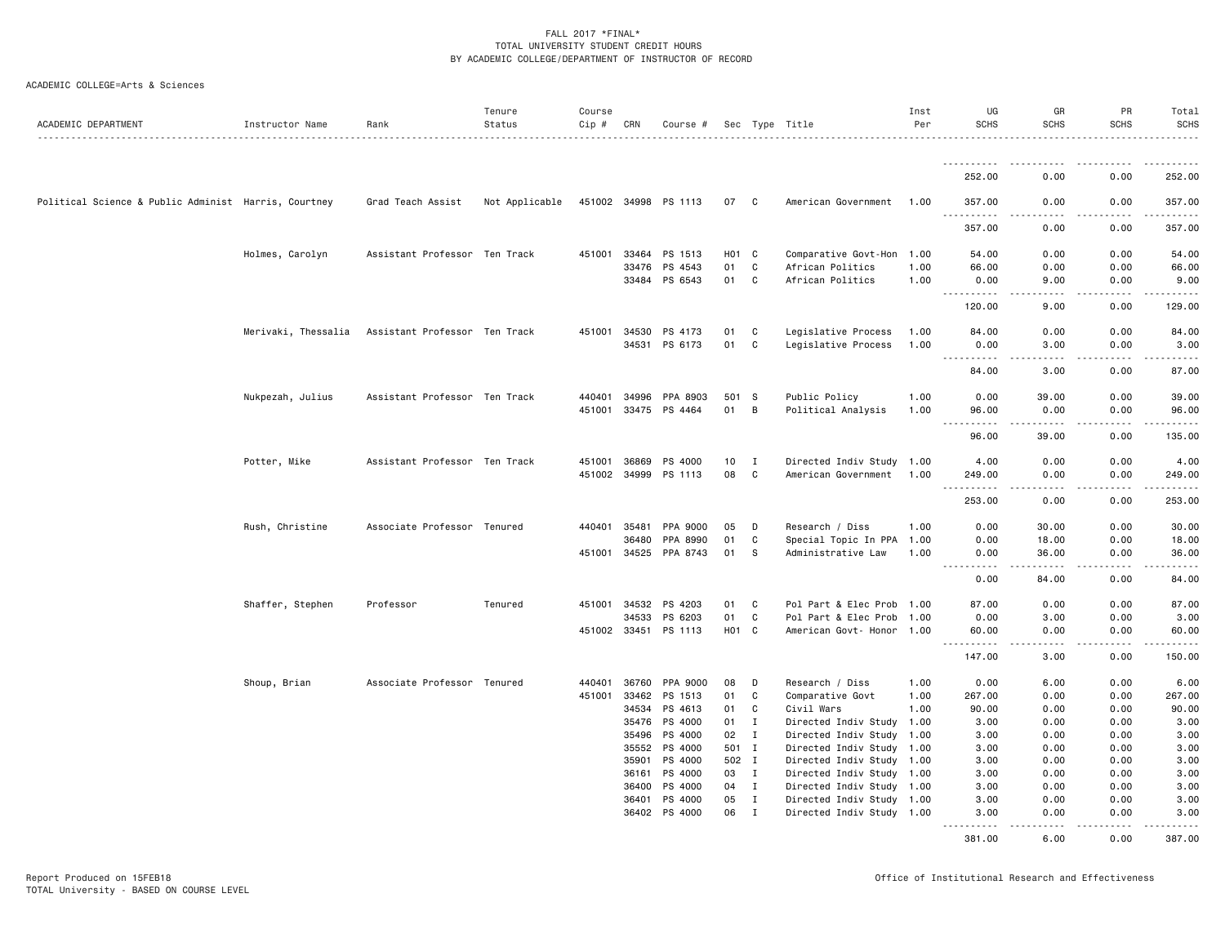| ACADEMIC DEPARTMENT                                  | Instructor Name     | Rank                          | Tenure<br>Status | Course<br>Cip # | CRN            | Course #             |                 |              | Sec Type Title                                         | Inst<br>Per | UG<br><b>SCHS</b>                   | GR<br><b>SCHS</b>  | PR<br><b>SCHS</b> | Total<br><b>SCHS</b><br>$- - - - - - -$ |
|------------------------------------------------------|---------------------|-------------------------------|------------------|-----------------|----------------|----------------------|-----------------|--------------|--------------------------------------------------------|-------------|-------------------------------------|--------------------|-------------------|-----------------------------------------|
|                                                      |                     |                               |                  |                 |                |                      |                 |              |                                                        |             | ----------                          |                    |                   | .                                       |
|                                                      |                     |                               |                  |                 |                |                      |                 |              |                                                        |             | 252.00                              | 0.00               | 0.00              | 252.00                                  |
| Political Science & Public Administ Harris, Courtney |                     | Grad Teach Assist             | Not Applicable   |                 |                | 451002 34998 PS 1113 | 07 C            |              | American Government                                    | 1.00        | 357.00<br>.                         | 0.00<br>.          | 0.00<br>-----     | 357.00                                  |
|                                                      |                     |                               |                  |                 |                |                      |                 |              |                                                        |             | 357.00                              | 0.00               | 0.00              | 357.00                                  |
|                                                      | Holmes, Carolyn     | Assistant Professor Ten Track |                  | 451001          | 33464          | PS 1513              | H01 C           |              | Comparative Govt-Hon                                   | 1.00        | 54.00                               | 0.00               | 0.00              | 54.00                                   |
|                                                      |                     |                               |                  |                 | 33476          | PS 4543              | 01              | C            | African Politics                                       | 1.00        | 66.00                               | 0.00               | 0.00              | 66.00                                   |
|                                                      |                     |                               |                  |                 |                | 33484 PS 6543        | 01              | C            | African Politics                                       | 1.00        | 0.00                                | 9.00               | 0.00              | 9.00                                    |
|                                                      |                     |                               |                  |                 |                |                      |                 |              |                                                        |             | <b></b><br>120.00                   | .<br>9.00          | .<br>0.00         | .<br>129.00                             |
|                                                      | Merivaki, Thessalia | Assistant Professor Ten Track |                  |                 |                | 451001 34530 PS 4173 | 01              | C            | Legislative Process                                    | 1.00        | 84.00                               | 0.00               | 0.00              | 84.00                                   |
|                                                      |                     |                               |                  |                 | 34531          | PS 6173              | 01              | C            | Legislative Process                                    | 1.00        | 0.00                                | 3.00               | 0.00              | 3.00                                    |
|                                                      |                     |                               |                  |                 |                |                      |                 |              |                                                        |             | . <b>.</b><br>84.00                 | .<br>3.00          | .<br>0.00         | .<br>87.00                              |
|                                                      | Nukpezah, Julius    | Assistant Professor Ten Track |                  | 440401 34996    |                | PPA 8903             | 501 S           |              | Public Policy                                          | 1.00        | 0.00                                | 39.00              | 0.00              | 39.00                                   |
|                                                      |                     |                               |                  |                 |                | 451001 33475 PS 4464 | 01              | B            | Political Analysis                                     | 1.00        | 96.00                               | 0.00               | 0.00              | 96.00                                   |
|                                                      |                     |                               |                  |                 |                |                      |                 |              |                                                        |             | $\sim$ $\sim$ $\sim$<br>96.00       | 39.00              | 0.00              | 135.00                                  |
|                                                      | Potter, Mike        | Assistant Professor Ten Track |                  | 451001          | 36869          | PS 4000              | 10 <sub>1</sub> | $\mathbf{I}$ | Directed Indiv Study 1.00                              |             | 4.00                                | 0.00               | 0.00              | 4.00                                    |
|                                                      |                     |                               |                  |                 |                | 451002 34999 PS 1113 | 08              | C            | American Government                                    | 1.00        | 249.00<br>.<br>$\sim$ $\sim$ $\sim$ | 0.00               | 0.00              | 249.00                                  |
|                                                      |                     |                               |                  |                 |                |                      |                 |              |                                                        |             | 253.00                              | 0.00               | 0.00              | 253.00                                  |
|                                                      | Rush, Christine     | Associate Professor Tenured   |                  | 440401 35481    |                | PPA 9000             | 05              | D            | Research / Diss                                        | 1.00        | 0.00                                | 30.00              | 0.00              | 30.00                                   |
|                                                      |                     |                               |                  |                 | 36480          | PPA 8990             | 01              | C            | Special Topic In PPA 1.00                              |             | 0.00                                | 18.00              | 0.00              | 18.00                                   |
|                                                      |                     |                               |                  | 451001 34525    |                | PPA 8743             | 01              | S            | Administrative Law                                     | 1.00        | 0.00<br><u>.</u>                    | 36.00<br>المتمامين | 0.00<br>.         | 36.00<br>.                              |
|                                                      |                     |                               |                  |                 |                |                      |                 |              |                                                        |             | 0.00                                | 84.00              | 0.00              | 84.00                                   |
|                                                      | Shaffer, Stephen    | Professor                     | Tenured          | 451001 34532    |                | PS 4203              | 01              | C            | Pol Part & Elec Prob 1.00                              |             | 87.00                               | 0.00               | 0.00              | 87.00                                   |
|                                                      |                     |                               |                  |                 | 34533          | PS 6203              | 01              | C            | Pol Part & Elec Prob                                   | 1.00        | 0.00                                | 3.00               | 0.00              | 3.00                                    |
|                                                      |                     |                               |                  |                 |                | 451002 33451 PS 1113 | H01 C           |              | American Govt- Honor 1.00                              |             | 60.00<br>.                          | 0.00<br>.          | 0.00              | 60.00<br>.                              |
|                                                      |                     |                               |                  |                 |                |                      |                 |              |                                                        |             | 147.00                              | 3.00               | 0.00              | 150.00                                  |
|                                                      | Shoup, Brian        | Associate Professor Tenured   |                  | 440401          | 36760          | PPA 9000             | 08              | D            | Research / Diss                                        | 1.00        | 0.00                                | 6.00               | 0.00              | 6.00                                    |
|                                                      |                     |                               |                  | 451001          | 33462          | PS 1513              | 01              | C            | Comparative Govt                                       | 1.00        | 267.00                              | 0.00               | 0.00              | 267.00                                  |
|                                                      |                     |                               |                  |                 |                | 34534 PS 4613        | 01              | C            | Civil Wars                                             | 1.00        | 90.00                               | 0.00               | 0.00              | 90.00                                   |
|                                                      |                     |                               |                  |                 | 35476          | PS 4000              | 01              | $\mathbf{I}$ | Directed Indiv Study 1.00                              |             | 3.00                                | 0.00               | 0.00              | 3.00                                    |
|                                                      |                     |                               |                  |                 | 35496          | PS 4000              | 02              | $\mathbf{I}$ | Directed Indiv Study 1.00                              |             | 3.00                                | 0.00               | 0.00              | 3.00                                    |
|                                                      |                     |                               |                  |                 | 35552<br>35901 | PS 4000<br>PS 4000   | 501 I<br>502 I  |              | Directed Indiv Study 1.00<br>Directed Indiv Study 1.00 |             | 3.00<br>3.00                        | 0.00<br>0.00       | 0.00<br>0.00      | 3.00<br>3.00                            |
|                                                      |                     |                               |                  |                 | 36161          | PS 4000              | 03 I            |              | Directed Indiv Study 1.00                              |             | 3.00                                | 0.00               | 0.00              | 3.00                                    |
|                                                      |                     |                               |                  |                 | 36400          | PS 4000              | 04              | $\mathbf{I}$ | Directed Indiv Study 1.00                              |             | 3.00                                | 0.00               | 0.00              | 3.00                                    |
|                                                      |                     |                               |                  |                 | 36401          | PS 4000              | 05              | $\mathbf{I}$ | Directed Indiv Study 1.00                              |             | 3.00                                | 0.00               | 0.00              | 3.00                                    |
|                                                      |                     |                               |                  |                 |                | 36402 PS 4000        | 06              | $\mathbf{I}$ | Directed Indiv Study 1.00                              |             | 3.00<br><u>.</u>                    | 0.00               | 0.00              | 3.00                                    |
|                                                      |                     |                               |                  |                 |                |                      |                 |              |                                                        |             | 381.00                              | 6.00               | 0.00              | 387.00                                  |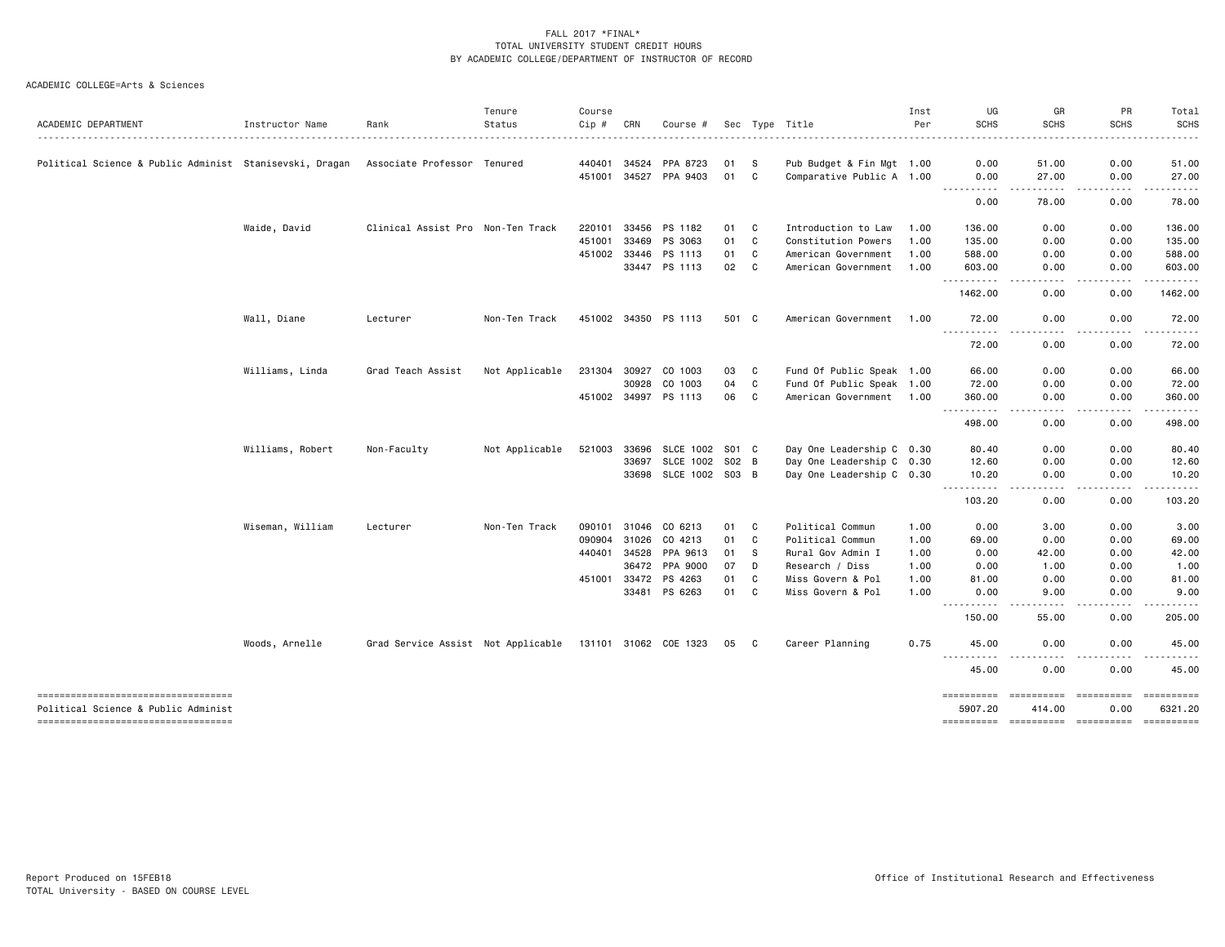| ACADEMIC DEPARTMENT                                                           | Instructor Name  | Rank                               | Tenure<br>Status | Course<br>Cip # | CRN   | Course #              |       |    | Sec Type Title            | Inst<br>Per | UG<br><b>SCHS</b>                                                                                                                                                  | GR<br><b>SCHS</b>      | PR<br>SCHS         | Total<br><b>SCHS</b>  |
|-------------------------------------------------------------------------------|------------------|------------------------------------|------------------|-----------------|-------|-----------------------|-------|----|---------------------------|-------------|--------------------------------------------------------------------------------------------------------------------------------------------------------------------|------------------------|--------------------|-----------------------|
|                                                                               |                  |                                    |                  |                 |       |                       |       |    |                           |             |                                                                                                                                                                    |                        |                    |                       |
| Political Science & Public Administ Stanisevski, Dragan                       |                  | Associate Professor Tenured        |                  | 440401          | 34524 | PPA 8723              | 01    | -S | Pub Budget & Fin Mgt 1.00 |             | 0.00                                                                                                                                                               | 51.00                  | 0.00               | 51.00                 |
|                                                                               |                  |                                    |                  |                 |       | 451001 34527 PPA 9403 | 01    | C  | Comparative Public A 1.00 |             | 0.00<br>----------                                                                                                                                                 | 27.00                  | 0.00               | 27.00                 |
|                                                                               |                  |                                    |                  |                 |       |                       |       |    |                           |             | 0.00                                                                                                                                                               | 78.00                  | 0.00               | 78.00                 |
|                                                                               | Waide, David     | Clinical Assist Pro Non-Ten Track  |                  | 220101          | 33456 | PS 1182               | 01    | C  | Introduction to Law       | 1.00        | 136.00                                                                                                                                                             | 0.00                   | 0.00               | 136.00                |
|                                                                               |                  |                                    |                  | 451001          | 33469 | PS 3063               | 01    | C  | Constitution Powers       | 1.00        | 135.00                                                                                                                                                             | 0.00                   | 0.00               | 135.00                |
|                                                                               |                  |                                    |                  | 451002 33446    |       | PS 1113               | 01    | C  | American Government       | 1.00        | 588.00                                                                                                                                                             | 0.00                   | 0.00               | 588.00                |
|                                                                               |                  |                                    |                  |                 | 33447 | PS 1113               | 02    | C  | American Government       | 1.00        | 603.00                                                                                                                                                             | 0.00                   | 0.00               | 603.00                |
|                                                                               |                  |                                    |                  |                 |       |                       |       |    |                           |             | $\sim$ $\sim$ $\sim$<br>1462.00                                                                                                                                    | 0.00                   | 0.00               | 1462.00               |
|                                                                               | Wall, Diane      | Lecturer                           | Non-Ten Track    |                 |       | 451002 34350 PS 1113  | 501 C |    | American Government       | 1.00        | 72.00                                                                                                                                                              | 0.00                   | 0.00               | 72.00                 |
|                                                                               |                  |                                    |                  |                 |       |                       |       |    |                           |             | ----------<br>72.00                                                                                                                                                | 0.00                   | 0.00               | 72.00                 |
|                                                                               | Williams, Linda  | Grad Teach Assist                  | Not Applicable   | 231304 30927    |       | CO 1003               | 03    | C  | Fund Of Public Speak 1.00 |             | 66.00                                                                                                                                                              | 0.00                   | 0.00               | 66.00                 |
|                                                                               |                  |                                    |                  |                 | 30928 | CO 1003               | 04    | C  | Fund Of Public Speak 1.00 |             | 72.00                                                                                                                                                              | 0.00                   | 0.00               | 72.00                 |
|                                                                               |                  |                                    |                  |                 |       | 451002 34997 PS 1113  | 06    | C  | American Government 1.00  |             | 360.00                                                                                                                                                             | 0.00                   | 0.00               | 360.00                |
|                                                                               |                  |                                    |                  |                 |       |                       |       |    |                           |             | $- - - - -$<br>498.00                                                                                                                                              | 0.00                   | 0.00               | .<br>498.00           |
|                                                                               | Williams, Robert | Non-Faculty                        | Not Applicable   | 521003          | 33696 | <b>SLCE 1002</b>      | S01 C |    | Day One Leadership C 0.30 |             | 80.40                                                                                                                                                              | 0.00                   | 0.00               | 80.40                 |
|                                                                               |                  |                                    |                  |                 | 33697 | SLCE 1002             | S02 B |    | Day One Leadership C 0.30 |             | 12.60                                                                                                                                                              | 0.00                   | 0.00               | 12.60                 |
|                                                                               |                  |                                    |                  |                 |       | 33698 SLCE 1002 S03 B |       |    | Day One Leadership C 0.30 |             | 10.20                                                                                                                                                              | 0.00                   | 0.00               | 10.20                 |
|                                                                               |                  |                                    |                  |                 |       |                       |       |    |                           |             | -----<br>$  -$<br>103.20                                                                                                                                           | $- - -$<br>0.00        | .<br>0.00          | .<br>103.20           |
|                                                                               | Wiseman, William | Lecturer                           | Non-Ten Track    | 090101          | 31046 | CO 6213               | 01    | C  | Political Commun          | 1.00        | 0.00                                                                                                                                                               | 3.00                   | 0.00               | 3.00                  |
|                                                                               |                  |                                    |                  | 090904 31026    |       | CO 4213               | 01    | C  | Political Commun          | 1.00        | 69.00                                                                                                                                                              | 0.00                   | 0.00               | 69.00                 |
|                                                                               |                  |                                    |                  | 440401          | 34528 | PPA 9613              | 01    | -S | Rural Gov Admin I         | 1.00        | 0.00                                                                                                                                                               | 42.00                  | 0.00               | 42.00                 |
|                                                                               |                  |                                    |                  |                 | 36472 | PPA 9000              | 07    | D  | Research / Diss           | 1.00        | 0.00                                                                                                                                                               | 1.00                   | 0.00               | 1.00                  |
|                                                                               |                  |                                    |                  | 451001 33472    |       | PS 4263               | 01    | C  | Miss Govern & Pol         | 1.00        | 81.00                                                                                                                                                              | 0.00                   | 0.00               | 81.00                 |
|                                                                               |                  |                                    |                  |                 |       | 33481 PS 6263         | 01    | C  | Miss Govern & Pol         | 1.00        | 0.00<br>$- - - - -$                                                                                                                                                | 9.00<br>د ما ما ما     | 0.00               | 9.00                  |
|                                                                               |                  |                                    |                  |                 |       |                       |       |    |                           |             | $\cdots$<br>150.00                                                                                                                                                 | 55,00                  | .<br>0.00          | <u>.</u><br>205.00    |
|                                                                               | Woods, Arnelle   | Grad Service Assist Not Applicable |                  |                 |       | 131101 31062 COE 1323 | 05 C  |    | Career Planning           | 0.75        | 45.00                                                                                                                                                              | 0.00                   | 0.00               | 45.00                 |
|                                                                               |                  |                                    |                  |                 |       |                       |       |    |                           |             | .<br>$\frac{1}{2} \left( \frac{1}{2} \right) \left( \frac{1}{2} \right) \left( \frac{1}{2} \right) \left( \frac{1}{2} \right) \left( \frac{1}{2} \right)$<br>45.00 | $- - -$<br>0.00        | .<br>0.00          | .<br>45.00            |
| ======================================<br>Political Science & Public Administ |                  |                                    |                  |                 |       |                       |       |    |                           |             | ==========<br>5907.20                                                                                                                                              | ==========<br>414.00   | ==========<br>0.00 | ==========<br>6321.20 |
| -----------------------------------                                           |                  |                                    |                  |                 |       |                       |       |    |                           |             | ==========                                                                                                                                                         | ---------------------- |                    |                       |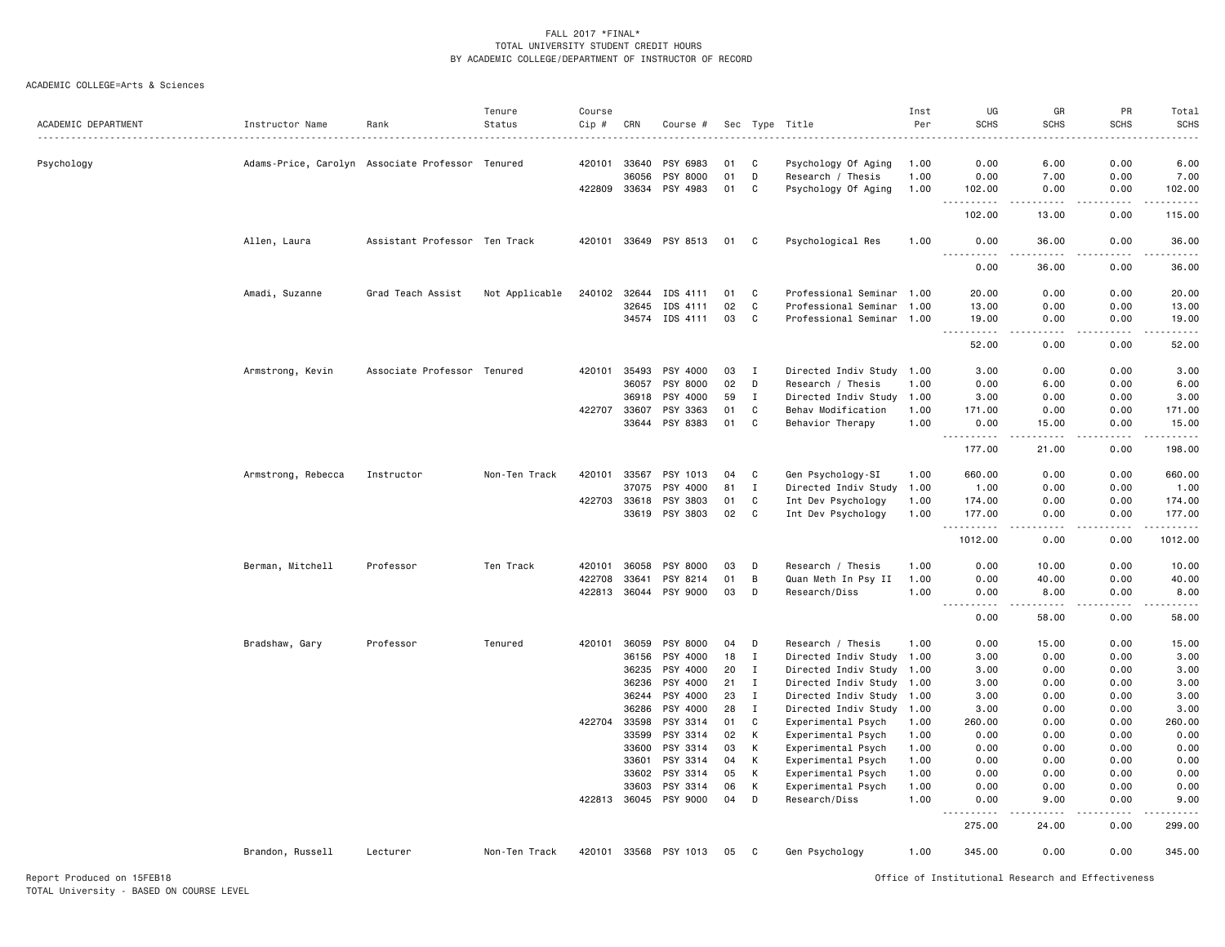| ACADEMIC DEPARTMENT | Instructor Name    | Rank                                             | Tenure<br>Status | Course<br>Cip # | CRN            | Course #              | Sec      |              | Type Title                               | Inst<br>Per  | UG<br><b>SCHS</b>                | GR<br><b>SCHS</b>             | PR<br><b>SCHS</b> | Total<br>SCHS                                                                                                                                                  |
|---------------------|--------------------|--------------------------------------------------|------------------|-----------------|----------------|-----------------------|----------|--------------|------------------------------------------|--------------|----------------------------------|-------------------------------|-------------------|----------------------------------------------------------------------------------------------------------------------------------------------------------------|
| Psychology          |                    | Adams-Price, Carolyn Associate Professor Tenured |                  | 420101          | 33640          | PSY 6983              | 01       | C            | Psychology Of Aging                      | 1.00         | 0.00                             | 6.00                          | 0.00              | 6.00                                                                                                                                                           |
|                     |                    |                                                  |                  |                 | 36056          | PSY 8000              | 01       | D            | Research / Thesis                        | 1.00         | 0.00                             | 7.00                          | 0.00              | 7.00                                                                                                                                                           |
|                     |                    |                                                  |                  | 422809          | 33634          | PSY 4983              | 01       | C            | Psychology Of Aging                      | 1.00         | 102.00                           | 0.00                          | 0.00              | 102.00                                                                                                                                                         |
|                     |                    |                                                  |                  |                 |                |                       |          |              |                                          |              | .<br>$\sim$ $\sim$<br>102.00     | .<br>13.00                    | د د د د<br>0.00   | .<br>115.00                                                                                                                                                    |
|                     | Allen, Laura       | Assistant Professor Ten Track                    |                  |                 |                | 420101 33649 PSY 8513 | 01       | C.           | Psychological Res                        | 1.00         | 0.00<br>.                        | 36.00<br>$\frac{1}{2}$        | 0.00<br>.         | 36.00<br>.                                                                                                                                                     |
|                     |                    |                                                  |                  |                 |                |                       |          |              |                                          |              | 0.00                             | 36.00                         | 0.00              | 36.00                                                                                                                                                          |
|                     | Amadi, Suzanne     | Grad Teach Assist                                | Not Applicable   | 240102          | 32644          | IDS 4111              | 01       | C            | Professional Seminar 1.00                |              | 20.00                            | 0.00                          | 0.00              | 20.00                                                                                                                                                          |
|                     |                    |                                                  |                  |                 | 32645          | IDS 4111              | 02       | C            | Professional Seminar                     | 1.00         | 13.00                            | 0.00                          | 0.00              | 13.00                                                                                                                                                          |
|                     |                    |                                                  |                  |                 |                | 34574 IDS 4111        | 03       | C            | Professional Seminar 1.00                |              | 19.00<br>22222                   | 0.00                          | 0.00              | 19.00<br>.                                                                                                                                                     |
|                     |                    |                                                  |                  |                 |                |                       |          |              |                                          |              | 52.00                            | 0.00                          | 0.00              | 52.00                                                                                                                                                          |
|                     | Armstrong, Kevin   | Associate Professor Tenured                      |                  | 420101          | 35493          | PSY 4000              | 03       | I            | Directed Indiv Study 1.00                |              | 3.00                             | 0.00                          | 0.00              | 3.00                                                                                                                                                           |
|                     |                    |                                                  |                  |                 | 36057          | PSY 8000              | 02       | D            | Research / Thesis                        | 1.00         | 0.00                             | 6.00                          | 0.00              | 6.00                                                                                                                                                           |
|                     |                    |                                                  |                  |                 | 36918          | PSY 4000              | 59       | Ι.           | Directed Indiv Study                     | 1.00         | 3.00                             | 0.00                          | 0.00              | 3.00                                                                                                                                                           |
|                     |                    |                                                  |                  | 422707          | 33607          | PSY 3363              | 01       | C            | Behav Modification                       | 1.00         | 171.00                           | 0.00                          | 0.00              | 171.00                                                                                                                                                         |
|                     |                    |                                                  |                  |                 | 33644          | PSY 8383              | 01       | C            | Behavior Therapy                         | 1.00         | 0.00<br>.                        | 15.00<br>$\sim$ $\sim$ $\sim$ | 0.00<br>.         | 15.00                                                                                                                                                          |
|                     |                    |                                                  |                  |                 |                |                       |          |              |                                          |              | 177.00                           | 21.00                         | 0.00              | 198.00                                                                                                                                                         |
|                     | Armstrong, Rebecca | Instructor                                       | Non-Ten Track    | 420101          | 33567          | PSY 1013              | 04       | C            | Gen Psychology-SI                        | 1.00         | 660.00                           | 0.00                          | 0.00              | 660.00                                                                                                                                                         |
|                     |                    |                                                  |                  |                 | 37075          | PSY 4000              | 81       | $\mathbf{I}$ | Directed Indiv Study 1.00                |              | 1.00                             | 0.00                          | 0.00              | 1.00                                                                                                                                                           |
|                     |                    |                                                  |                  | 422703          | 33618          | PSY 3803              | 01       | C            | Int Dev Psychology                       | 1.00         | 174.00                           | 0.00                          | 0.00              | 174.00                                                                                                                                                         |
|                     |                    |                                                  |                  |                 | 33619          | PSY 3803              | 02       | C            | Int Dev Psychology                       | 1.00         | 177.00<br>$\frac{1}{2}$<br>- - - | 0.00<br>$- - -$               | 0.00<br>.         | 177.00<br>$\frac{1}{2} \left( \frac{1}{2} \right) \left( \frac{1}{2} \right) \left( \frac{1}{2} \right) \left( \frac{1}{2} \right) \left( \frac{1}{2} \right)$ |
|                     |                    |                                                  |                  |                 |                |                       |          |              |                                          |              | 1012.00                          | 0.00                          | 0.00              | 1012.00                                                                                                                                                        |
|                     | Berman, Mitchell   | Professor                                        | Ten Track        | 420101          | 36058          | PSY 8000              | 03       | D            | Research / Thesis                        | 1.00         | 0.00                             | 10.00                         | 0.00              | 10.00                                                                                                                                                          |
|                     |                    |                                                  |                  | 422708          | 33641          | PSY 8214              | 01       | В            | Quan Meth In Psy II                      | 1.00         | 0.00                             | 40.00                         | 0.00              | 40.00                                                                                                                                                          |
|                     |                    |                                                  |                  | 422813          | 36044          | PSY 9000              | 03       | D            | Research/Diss                            | 1.00         | 0.00                             | 8.00                          | 0.00              | 8.00                                                                                                                                                           |
|                     |                    |                                                  |                  |                 |                |                       |          |              |                                          |              | 0.00                             | 58.00                         | 0.00              | 58.00                                                                                                                                                          |
|                     | Bradshaw, Gary     | Professor                                        | Tenured          | 420101          | 36059          | PSY 8000              | 04       | D            | Research / Thesis                        | 1.00         | 0.00                             | 15.00                         | 0.00              | 15.00                                                                                                                                                          |
|                     |                    |                                                  |                  |                 | 36156          | PSY 4000              | 18       | Ι.           | Directed Indiv Study                     | 1.00         | 3.00                             | 0.00                          | 0.00              | 3.00                                                                                                                                                           |
|                     |                    |                                                  |                  |                 | 36235          | PSY 4000              | 20       | I            | Directed Indiv Study                     | 1.00         | 3.00                             | 0.00                          | 0.00              | 3.00                                                                                                                                                           |
|                     |                    |                                                  |                  |                 | 36236          | PSY 4000              | 21       | $\mathbf{I}$ | Directed Indiv Study                     | 1.00         | 3.00                             | 0.00                          | 0.00              | 3.00                                                                                                                                                           |
|                     |                    |                                                  |                  |                 | 36244          | PSY 4000              | 23       | $\mathbf I$  | Directed Indiv Study 1.00                |              | 3.00                             | 0.00                          | 0.00              | 3.00                                                                                                                                                           |
|                     |                    |                                                  |                  |                 | 36286          | PSY 4000              | 28       | Ι.           | Directed Indiv Study                     | 1.00         | 3.00                             | 0.00                          | 0.00              | 3.00                                                                                                                                                           |
|                     |                    |                                                  |                  | 422704          | 33598          | PSY 3314              | 01       | C            | Experimental Psych                       | 1.00         | 260.00                           | 0.00                          | 0.00              | 260.00                                                                                                                                                         |
|                     |                    |                                                  |                  |                 | 33599          | PSY 3314              | 02       | К            | Experimental Psych                       | 1.00         | 0.00                             | 0.00                          | 0.00              | 0.00                                                                                                                                                           |
|                     |                    |                                                  |                  |                 | 33600          | PSY 3314              | 03       | К            | Experimental Psych                       | 1.00         | 0.00                             | 0.00<br>0.00                  | 0.00              | 0.00                                                                                                                                                           |
|                     |                    |                                                  |                  |                 | 33601<br>33602 | PSY 3314<br>PSY 3314  | 04<br>05 | К<br>Κ       | Experimental Psych<br>Experimental Psych | 1.00<br>1.00 | 0.00<br>0.00                     | 0.00                          | 0.00<br>0.00      | 0.00<br>0.00                                                                                                                                                   |
|                     |                    |                                                  |                  |                 | 33603          | PSY 3314              | 06       | К            | Experimental Psych                       | 1.00         | 0.00                             | 0.00                          | 0.00              | 0.00                                                                                                                                                           |
|                     |                    |                                                  |                  | 422813 36045    |                | PSY 9000              | 04       | D            | Research/Diss                            | 1.00         | 0.00                             | 9.00                          | 0.00              | 9.00                                                                                                                                                           |
|                     |                    |                                                  |                  |                 |                |                       |          |              |                                          |              | ----<br>275.00                   | 24.00                         | 0.00              | 299.00                                                                                                                                                         |
|                     | Brandon, Russell   | Lecturer                                         | Non-Ten Track    |                 |                | 420101 33568 PSY 1013 | 05       | C.           | Gen Psychology                           | 1.00         | 345.00                           | 0.00                          | 0.00              | 345.00                                                                                                                                                         |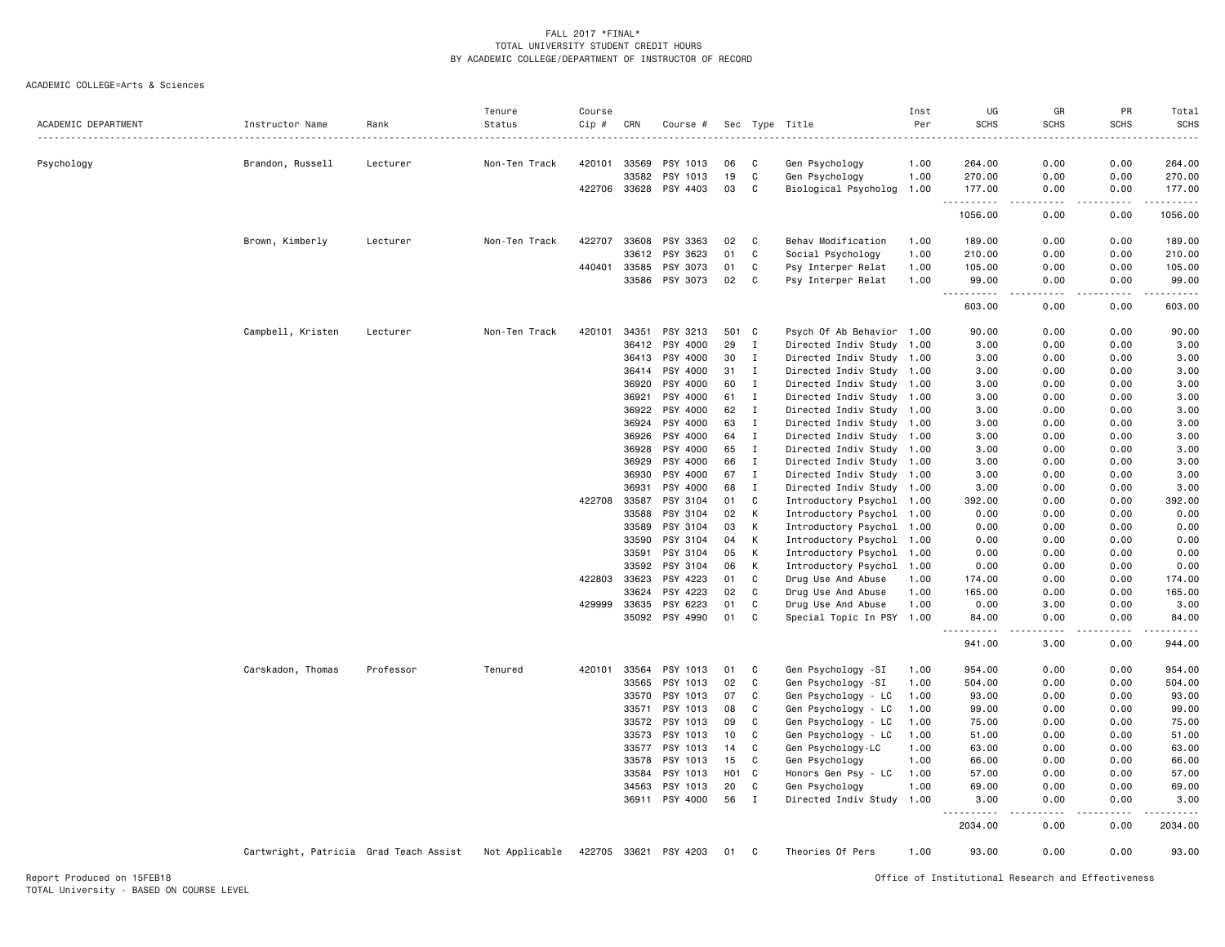| ACADEMIC DEPARTMENT | Instructor Name                        | Rank      | Tenure<br>Status | Course<br>Cip # | CRN            | Course #             | Sec              |             | Type Title                                      | Inst<br>Per | UG<br><b>SCHS</b>             | GR<br><b>SCHS</b>            | PR<br><b>SCHS</b> | Total<br>SCHS                                                                                                                                                   |
|---------------------|----------------------------------------|-----------|------------------|-----------------|----------------|----------------------|------------------|-------------|-------------------------------------------------|-------------|-------------------------------|------------------------------|-------------------|-----------------------------------------------------------------------------------------------------------------------------------------------------------------|
|                     |                                        |           |                  |                 |                |                      |                  |             |                                                 |             |                               |                              |                   |                                                                                                                                                                 |
| Psychology          | Brandon, Russell                       | Lecturer  | Non-Ten Track    | 420101          | 33569          | PSY 1013             | 06               | C           | Gen Psychology                                  | 1.00        | 264.00                        | 0.00                         | 0.00              | 264.00                                                                                                                                                          |
|                     |                                        |           |                  |                 | 33582          | PSY 1013             | 19               | C           | Gen Psychology                                  | 1.00        | 270.00                        | 0.00                         | 0.00              | 270.00                                                                                                                                                          |
|                     |                                        |           |                  |                 | 422706 33628   | PSY 4403             | 03               | C           | Biological Psycholog 1.00                       |             | 177.00<br>.                   | 0.00<br>.                    | 0.00<br>-----     | 177.00<br>.                                                                                                                                                     |
|                     |                                        |           |                  |                 |                |                      |                  |             |                                                 |             | 1056.00                       | 0.00                         | 0.00              | 1056.00                                                                                                                                                         |
|                     | Brown, Kimberly                        | Lecturer  | Non-Ten Track    | 422707          | 33608          | PSY 3363             | 02               | C           | Behav Modification                              | 1.00        | 189.00                        | 0.00                         | 0.00              | 189.00                                                                                                                                                          |
|                     |                                        |           |                  |                 | 33612          | PSY 3623             | 01               | C           | Social Psychology                               | 1.00        | 210.00                        | 0.00                         | 0.00              | 210.00                                                                                                                                                          |
|                     |                                        |           |                  | 440401          | 33585          | PSY 3073             | 01               | C           | Psy Interper Relat                              | 1.00        | 105.00                        | 0.00                         | 0.00              | 105.00                                                                                                                                                          |
|                     |                                        |           |                  |                 | 33586          | PSY 3073             | 02               | C           | Psy Interper Relat                              | 1.00        | 99.00<br>$\sim$ $\sim$<br>.   | 0.00<br>.                    | 0.00<br>.         | 99.00<br>-----                                                                                                                                                  |
|                     |                                        |           |                  |                 |                |                      |                  |             |                                                 |             | 603.00                        | 0.00                         | 0.00              | 603.00                                                                                                                                                          |
|                     | Campbell, Kristen                      | Lecturer  | Non-Ten Track    | 420101          | 34351          | PSY 3213             | 501 C            |             | Psych Of Ab Behavior 1.00                       |             | 90.00                         | 0.00                         | 0.00              | 90.00                                                                                                                                                           |
|                     |                                        |           |                  |                 | 36412          | PSY 4000             | 29               | Ι.          | Directed Indiv Study                            | 1.00        | 3.00                          | 0.00                         | 0.00              | 3.00                                                                                                                                                            |
|                     |                                        |           |                  |                 | 36413          | PSY 4000             | 30               | <b>I</b>    | Directed Indiv Study 1.00                       |             | 3.00                          | 0.00                         | 0.00              | 3.00                                                                                                                                                            |
|                     |                                        |           |                  |                 | 36414          | PSY 4000             | 31               | Ι.          | Directed Indiv Study 1.00                       |             | 3.00                          | 0.00                         | 0.00              | 3.00                                                                                                                                                            |
|                     |                                        |           |                  |                 | 36920          | PSY 4000             | 60               | $\mathbf I$ | Directed Indiv Study 1.00                       |             | 3.00                          | 0.00                         | 0.00              | 3.00                                                                                                                                                            |
|                     |                                        |           |                  |                 | 36921          | PSY 4000             | 61               | $\mathbf I$ | Directed Indiv Study 1.00                       |             | 3.00                          | 0.00                         | 0.00              | 3.00                                                                                                                                                            |
|                     |                                        |           |                  |                 | 36922          | PSY 4000             | 62               | $\mathbf I$ | Directed Indiv Study 1.00                       |             | 3.00                          | 0.00                         | 0.00              | 3.00                                                                                                                                                            |
|                     |                                        |           |                  |                 | 36924          | PSY 4000             | 63               | $\mathbf I$ | Directed Indiv Study 1.00                       |             | 3.00                          | 0.00                         | 0.00              | 3.00                                                                                                                                                            |
|                     |                                        |           |                  |                 | 36926          | PSY 4000             | 64               | $\mathbf I$ | Directed Indiv Study 1.00                       |             | 3.00                          | 0.00                         | 0.00              | 3.00                                                                                                                                                            |
|                     |                                        |           |                  |                 | 36928          | PSY 4000             | 65               | $\mathbf I$ | Directed Indiv Study 1.00                       |             | 3.00                          | 0.00                         | 0.00              | 3.00                                                                                                                                                            |
|                     |                                        |           |                  |                 | 36929          | PSY 4000             | 66               | $\mathbf I$ | Directed Indiv Study 1.00                       |             | 3.00                          | 0.00                         | 0.00              | 3.00                                                                                                                                                            |
|                     |                                        |           |                  |                 | 36930          | PSY 4000             | 67               | I           | Directed Indiv Study 1.00                       |             | 3.00                          | 0.00                         | 0.00              | 3.00                                                                                                                                                            |
|                     |                                        |           |                  |                 | 36931          | PSY 4000             | 68               | Ι.          | Directed Indiv Study 1.00                       |             | 3.00                          | 0.00                         | 0.00              | 3.00                                                                                                                                                            |
|                     |                                        |           |                  | 422708          | 33587          | PSY 3104             | 01               | C           | Introductory Psychol 1.00                       |             | 392.00                        | 0.00                         | 0.00              | 392.00                                                                                                                                                          |
|                     |                                        |           |                  |                 | 33588          | PSY 3104             | 02               | К           | Introductory Psychol 1.00                       |             | 0.00                          | 0.00                         | 0.00              | 0.00                                                                                                                                                            |
|                     |                                        |           |                  |                 | 33589          | PSY 3104             | 03               | К           | Introductory Psychol 1.00                       |             | 0.00                          | 0.00                         | 0.00              | 0.00                                                                                                                                                            |
|                     |                                        |           |                  |                 | 33590          | PSY 3104             | 04               | К           | Introductory Psychol 1.00                       |             | 0.00                          | 0.00                         | 0.00              | 0.00                                                                                                                                                            |
|                     |                                        |           |                  |                 | 33591          | PSY 3104             | 05               | К           | Introductory Psychol                            | 1.00        | 0.00                          | 0.00                         | 0.00              | 0.00                                                                                                                                                            |
|                     |                                        |           |                  |                 | 33592          | PSY 3104             | 06               | К           | Introductory Psychol                            | 1.00        | 0.00                          | 0.00                         | 0.00              | 0.00                                                                                                                                                            |
|                     |                                        |           |                  | 422803          | 33623          | PSY 4223             | 01               | C           | Drug Use And Abuse                              | 1.00        | 174.00                        | 0.00                         | 0.00              | 174.00                                                                                                                                                          |
|                     |                                        |           |                  |                 | 33624          | PSY 4223             | 02               | C           | Drug Use And Abuse                              | 1.00        | 165.00                        | 0.00                         | 0.00              | 165.00                                                                                                                                                          |
|                     |                                        |           |                  | 429999          | 33635<br>35092 | PSY 6223<br>PSY 4990 | 01<br>01         | C<br>C      | Drug Use And Abuse<br>Special Topic In PSY 1.00 | 1.00        | 0.00<br>84.00                 | 3.00<br>0.00                 | 0.00<br>0.00      | 3.00<br>84.00                                                                                                                                                   |
|                     |                                        |           |                  |                 |                |                      |                  |             |                                                 |             | .<br>$ -$<br>941.00           | د د د د<br>3.00              | .<br>0.00         | .<br>944.00                                                                                                                                                     |
|                     | Carskadon, Thomas                      | Professor | Tenured          | 420101          | 33564          | PSY 1013             | 01               | C           | Gen Psychology -SI                              | 1.00        | 954.00                        | 0.00                         | 0.00              | 954.00                                                                                                                                                          |
|                     |                                        |           |                  |                 | 33565          | PSY 1013             | 02               | C           | Gen Psychology -SI                              | 1.00        | 504.00                        | 0.00                         | 0.00              | 504.00                                                                                                                                                          |
|                     |                                        |           |                  |                 | 33570          | PSY 1013             | 07               | C           | Gen Psychology - LC                             | 1.00        | 93.00                         | 0.00                         | 0.00              | 93.00                                                                                                                                                           |
|                     |                                        |           |                  |                 | 33571          | PSY 1013             | 08               | C           | Gen Psychology - LC                             | 1.00        | 99.00                         | 0.00                         | 0.00              | 99.00                                                                                                                                                           |
|                     |                                        |           |                  |                 | 33572          | PSY 1013             | 09               | C           | Gen Psychology - LC                             | 1.00        | 75.00                         | 0.00                         | 0.00              | 75.00                                                                                                                                                           |
|                     |                                        |           |                  |                 | 33573          | PSY 1013             | 10               | C           | Gen Psychology - LC                             | 1.00        | 51.00                         | 0.00                         | 0.00              | 51.00                                                                                                                                                           |
|                     |                                        |           |                  |                 | 33577          | PSY 1013             | 14               | C           | Gen Psychology-LC                               | 1.00        | 63.00                         | 0.00                         | 0.00              | 63.00                                                                                                                                                           |
|                     |                                        |           |                  |                 | 33578          | PSY 1013             | 15               | C           | Gen Psychology                                  | 1.00        | 66.00                         | 0.00                         | 0.00              | 66.00                                                                                                                                                           |
|                     |                                        |           |                  |                 | 33584          | PSY 1013             | H <sub>0</sub> 1 | C           | Honors Gen Psy - LC                             | 1.00        | 57.00                         | 0.00                         | 0.00              | 57.00                                                                                                                                                           |
|                     |                                        |           |                  |                 | 34563          | PSY 1013             | 20               | C           | Gen Psychology                                  | 1.00        | 69.00                         | 0.00                         | 0.00              | 69.00                                                                                                                                                           |
|                     |                                        |           |                  |                 | 36911          | PSY 4000             | 56               | I           | Directed Indiv Study 1.00                       |             | 3.00                          | 0.00                         | 0.00              | 3.00                                                                                                                                                            |
|                     |                                        |           |                  |                 |                |                      |                  |             |                                                 |             | د د د د د<br>- - -<br>2034.00 | $\sim$ $\sim$ $\sim$<br>0.00 | .<br>0.00         | $\frac{1}{2} \left( \frac{1}{2} \right) \left( \frac{1}{2} \right) \left( \frac{1}{2} \right) \left( \frac{1}{2} \right) \left( \frac{1}{2} \right)$<br>2034.00 |
|                     | Cartwright, Patricia Grad Teach Assist |           | Not Applicable   | 422705 33621    |                | PSY 4203             | 01               | C           | Theories Of Pers                                | 1.00        | 93.00                         | 0.00                         | 0.00              | 93.00                                                                                                                                                           |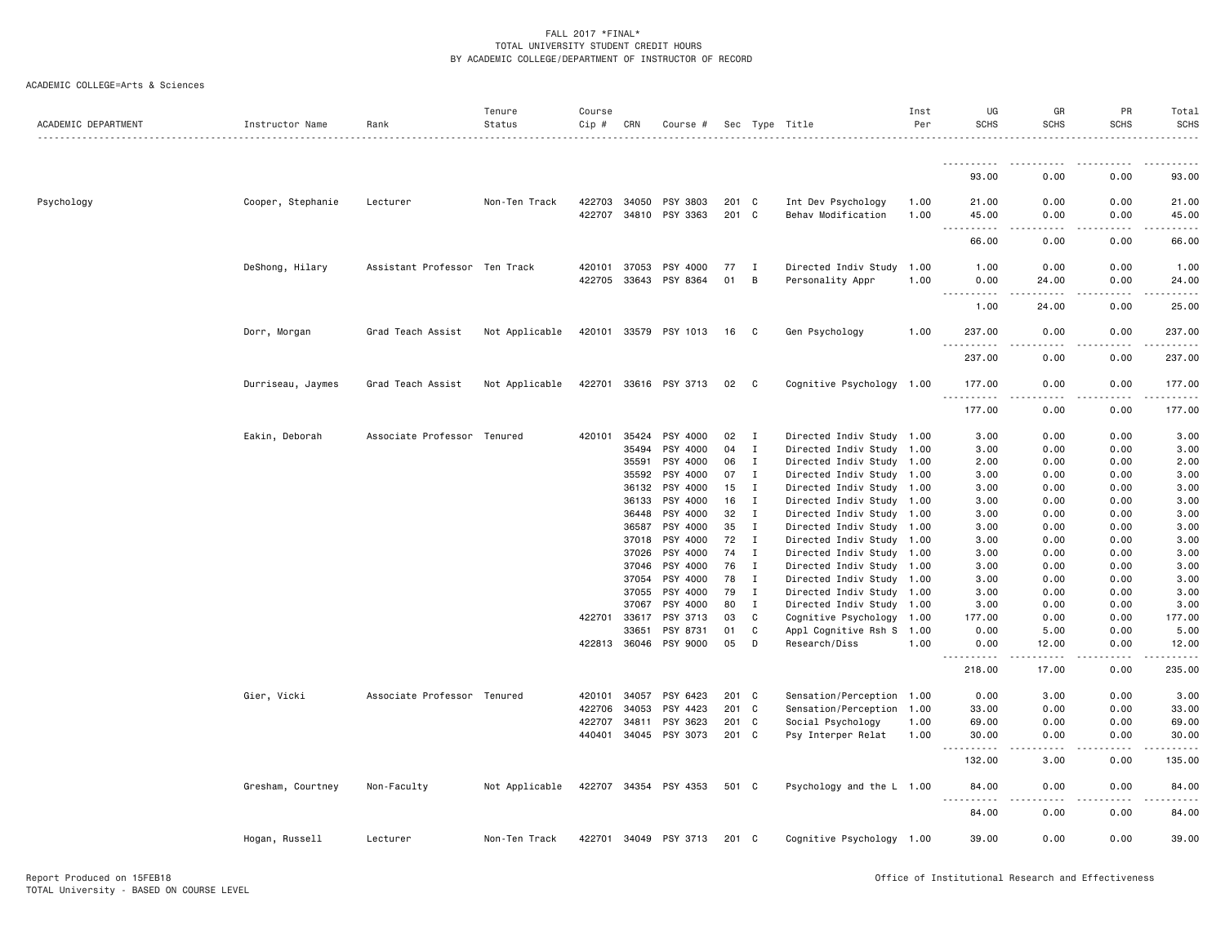| ACADEMIC DEPARTMENT | Instructor Name   | Rank                          | Tenure<br>Status | Course<br>Cip #  | CRN            | Course #              |                |              | Sec Type Title                                | Inst<br>Per  | UG<br><b>SCHS</b>                   | GR<br><b>SCHS</b>                   | PR<br><b>SCHS</b> | Total<br><b>SCHS</b>                                                                                                                                           |
|---------------------|-------------------|-------------------------------|------------------|------------------|----------------|-----------------------|----------------|--------------|-----------------------------------------------|--------------|-------------------------------------|-------------------------------------|-------------------|----------------------------------------------------------------------------------------------------------------------------------------------------------------|
|                     |                   |                               |                  |                  |                |                       |                |              |                                               |              |                                     |                                     |                   |                                                                                                                                                                |
|                     |                   |                               |                  |                  |                |                       |                |              |                                               |              | 93.00                               | 0.00                                | 0.00              | 93.00                                                                                                                                                          |
| Psychology          | Cooper, Stephanie | Lecturer                      | Non-Ten Track    | 422703<br>422707 | 34050<br>34810 | PSY 3803<br>PSY 3363  | 201 C<br>201 C |              | Int Dev Psychology<br>Behav Modification      | 1.00<br>1.00 | 21.00<br>45.00                      | 0.00<br>0.00                        | 0.00<br>0.00      | 21.00<br>45.00                                                                                                                                                 |
|                     |                   |                               |                  |                  |                |                       |                |              |                                               |              |                                     | 0.00                                | 0.00              |                                                                                                                                                                |
|                     |                   |                               |                  |                  |                |                       |                |              |                                               |              | 66.00                               |                                     |                   | 66.00                                                                                                                                                          |
|                     | DeShong, Hilary   | Assistant Professor Ten Track |                  | 420101<br>422705 | 37053<br>33643 | PSY 4000<br>PSY 8364  | 77<br>01       | I<br>В       | Directed Indiv Study 1.00<br>Personality Appr | 1.00         | 1.00<br>0.00                        | 0.00<br>24.00                       | 0.00<br>0.00      | 1.00<br>24.00                                                                                                                                                  |
|                     |                   |                               |                  |                  |                |                       |                |              |                                               |              | 1.00                                | 24.00                               | 0.00              | 25.00                                                                                                                                                          |
|                     | Dorr, Morgan      | Grad Teach Assist             | Not Applicable   |                  |                | 420101 33579 PSY 1013 | 16             | C            | Gen Psychology                                | 1.00         | 237.00                              | 0.00                                | 0.00              | 237.00                                                                                                                                                         |
|                     |                   |                               |                  |                  |                |                       |                |              |                                               |              | 237.00                              | 0.00                                | 0.00              | $\frac{1}{2} \left( \frac{1}{2} \right) \left( \frac{1}{2} \right) \left( \frac{1}{2} \right) \left( \frac{1}{2} \right) \left( \frac{1}{2} \right)$<br>237.00 |
|                     | Durriseau, Jaymes | Grad Teach Assist             | Not Applicable   | 422701           |                | 33616 PSY 3713        | 02             | C.           | Cognitive Psychology 1.00                     |              | 177.00                              | 0.00                                | 0.00              | 177.00                                                                                                                                                         |
|                     |                   |                               |                  |                  |                |                       |                |              |                                               |              | $\sim$ $\sim$ $\sim$<br>.<br>177.00 | 0.00                                | 0.00              | .<br>177.00                                                                                                                                                    |
|                     | Eakin, Deborah    | Associate Professor Tenured   |                  |                  | 420101 35424   | PSY 4000              | 02             | $\mathbf{I}$ | Directed Indiv Study 1.00                     |              | 3.00                                | 0.00                                | 0.00              | 3.00                                                                                                                                                           |
|                     |                   |                               |                  |                  | 35494          | PSY 4000              | 04             | $\mathbf{I}$ | Directed Indiv Study                          | 1.00         | 3.00                                | 0.00                                | 0.00              | 3.00                                                                                                                                                           |
|                     |                   |                               |                  |                  | 35591          | PSY 4000              | 06             | I            | Directed Indiv Study 1.00                     |              | 2.00                                | 0.00                                | 0.00              | 2.00                                                                                                                                                           |
|                     |                   |                               |                  |                  | 35592          | PSY 4000              | 07             | I            | Directed Indiv Study 1.00                     |              | 3.00                                | 0.00                                | 0.00              | 3.00                                                                                                                                                           |
|                     |                   |                               |                  |                  | 36132          | PSY 4000              | 15             | $\mathbf{I}$ | Directed Indiv Study 1.00                     |              | 3.00                                | 0.00                                | 0.00              | 3.00                                                                                                                                                           |
|                     |                   |                               |                  |                  | 36133          | PSY 4000              | 16             | I            | Directed Indiv Study 1.00                     |              | 3.00                                | 0.00                                | 0.00              | 3.00                                                                                                                                                           |
|                     |                   |                               |                  |                  | 36448          | PSY 4000              | 32             | $\mathbf I$  | Directed Indiv Study 1.00                     |              | 3.00                                | 0.00                                | 0.00              | 3.00                                                                                                                                                           |
|                     |                   |                               |                  |                  | 36587          | PSY 4000              | 35             | $\mathbf I$  | Directed Indiv Study 1.00                     |              | 3.00                                | 0.00                                | 0.00              | 3.00                                                                                                                                                           |
|                     |                   |                               |                  |                  | 37018          | PSY 4000              | 72             | $\mathbf{I}$ | Directed Indiv Study                          | 1.00         | 3.00                                | 0.00                                | 0.00              | 3.00                                                                                                                                                           |
|                     |                   |                               |                  |                  | 37026          | PSY 4000              | 74             | $\mathbf I$  | Directed Indiv Study 1.00                     |              | 3.00                                | 0.00                                | 0.00              | 3.00                                                                                                                                                           |
|                     |                   |                               |                  |                  | 37046          | PSY 4000              | 76             | $\mathbf{I}$ | Directed Indiv Study 1.00                     |              | 3.00                                | 0.00                                | 0.00              | 3.00                                                                                                                                                           |
|                     |                   |                               |                  |                  | 37054          | PSY 4000              | 78             | $\mathbf{I}$ | Directed Indiv Study                          | 1.00         | 3.00                                | 0.00                                | 0.00              | 3.00                                                                                                                                                           |
|                     |                   |                               |                  |                  | 37055          | PSY 4000              | 79             | I            | Directed Indiv Study 1.00                     |              | 3.00                                | 0.00                                | 0.00              | 3.00                                                                                                                                                           |
|                     |                   |                               |                  |                  | 37067          | PSY 4000              | 80             | $\mathbf{I}$ | Directed Indiv Study 1.00                     |              | 3.00                                | 0.00                                | 0.00              | 3.00                                                                                                                                                           |
|                     |                   |                               |                  | 422701           | 33617          | PSY 3713              | 03             | C            | Cognitive Psychology 1.00                     |              | 177.00                              | 0.00                                | 0.00              | 177.00                                                                                                                                                         |
|                     |                   |                               |                  |                  | 33651          | PSY 8731              | 01             | $\mathtt{C}$ | Appl Cognitive Rsh S 1.00                     |              | 0.00                                | 5.00                                | 0.00              | 5.00                                                                                                                                                           |
|                     |                   |                               |                  | 422813           | 36046          | PSY 9000              | 05             | D            | Research/Diss                                 | 1.00         | 0.00                                | 12.00                               | 0.00              | 12.00                                                                                                                                                          |
|                     |                   |                               |                  |                  |                |                       |                |              |                                               |              | 218.00                              | 17.00                               | 0.00              | 235.00                                                                                                                                                         |
|                     | Gier, Vicki       | Associate Professor Tenured   |                  | 420101           | 34057          | PSY 6423              | 201 C          |              | Sensation/Perception 1.00                     |              | 0.00                                | 3.00                                | 0.00              | 3.00                                                                                                                                                           |
|                     |                   |                               |                  | 422706           | 34053          | PSY 4423              | 201            | C            | Sensation/Perception 1.00                     |              | 33.00                               | 0.00                                | 0.00              | 33.00                                                                                                                                                          |
|                     |                   |                               |                  | 422707           | 34811          | PSY 3623              | 201 C          |              | Social Psychology                             | 1.00         | 69.00                               | 0.00                                | 0.00              | 69.00                                                                                                                                                          |
|                     |                   |                               |                  |                  |                | 440401 34045 PSY 3073 | 201 C          |              | Psy Interper Relat                            | 1.00         | 30.00<br>.                          | 0.00<br>$\frac{1}{2}$               | 0.00<br>.         | 30.00<br>.                                                                                                                                                     |
|                     |                   |                               |                  |                  |                |                       |                |              |                                               |              | 132.00                              | 3.00                                | 0.00              | 135.00                                                                                                                                                         |
|                     | Gresham, Courtney | Non-Faculty                   | Not Applicable   |                  |                | 422707 34354 PSY 4353 | 501 C          |              | Psychology and the L 1.00                     |              | 84.00<br>د د د د د                  | 0.00<br>$\sim$ $\sim$ $\sim$ $\sim$ | 0.00<br>.         | 84.00<br>د د د د د                                                                                                                                             |
|                     |                   |                               |                  |                  |                |                       |                |              |                                               |              | 84.00                               | 0.00                                | 0.00              | 84.00                                                                                                                                                          |
|                     | Hogan, Russell    | Lecturer                      | Non-Ten Track    | 422701           | 34049          | PSY 3713              | 201            | C            | Cognitive Psychology 1.00                     |              | 39.00                               | 0.00                                | 0.00              | 39.00                                                                                                                                                          |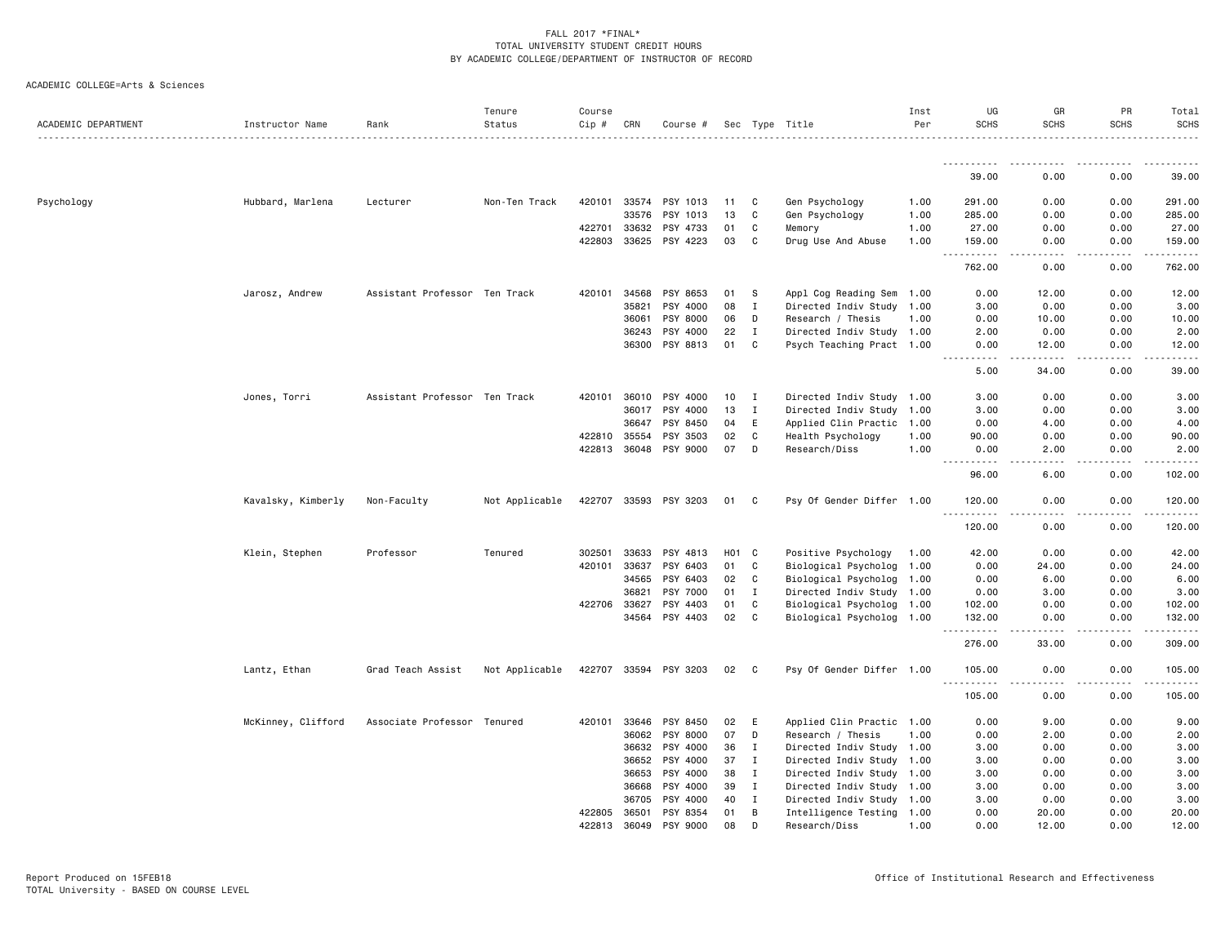| ACADEMIC DEPARTMENT | Instructor Name    | Rank                          | Tenure<br>Status | Course<br>$Cip \#$ | CRN          | Course #              |     |              | Sec Type Title            | Inst<br>Per | UG<br><b>SCHS</b>                                                                                                       | GR<br><b>SCHS</b> | PR<br>SCHS | Total<br><b>SCHS</b> |
|---------------------|--------------------|-------------------------------|------------------|--------------------|--------------|-----------------------|-----|--------------|---------------------------|-------------|-------------------------------------------------------------------------------------------------------------------------|-------------------|------------|----------------------|
|                     |                    |                               |                  |                    |              |                       |     |              |                           |             |                                                                                                                         |                   |            |                      |
|                     |                    |                               |                  |                    |              |                       |     |              |                           |             | 39.00                                                                                                                   | 0.00              | 0.00       | 39.00                |
| Psychology          | Hubbard, Marlena   | Lecturer                      | Non-Ten Track    | 420101             | 33574        | PSY 1013              | 11  | C            | Gen Psychology            | 1.00        | 291.00                                                                                                                  | 0.00              | 0.00       | 291.00               |
|                     |                    |                               |                  |                    | 33576        | PSY 1013              | 13  | C            | Gen Psychology            | 1.00        | 285.00                                                                                                                  | 0.00              | 0.00       | 285.00               |
|                     |                    |                               |                  | 422701             | 33632        | PSY 4733              | 01  | C            | Memory                    | 1.00        | 27.00                                                                                                                   | 0.00              | 0.00       | 27.00                |
|                     |                    |                               |                  | 422803             | 33625        | PSY 4223              | 03  | C            | Drug Use And Abuse        | 1.00        | 159.00<br>$\sim$ $\sim$                                                                                                 | 0.00              | 0.00       | 159.00<br>.          |
|                     |                    |                               |                  |                    |              |                       |     |              |                           |             | 762.00                                                                                                                  | 0.00              | 0.00       | 762.00               |
|                     | Jarosz, Andrew     | Assistant Professor Ten Track |                  | 420101             | 34568        | PSY 8653              | 01  | -S           | Appl Cog Reading Sem      | 1.00        | 0.00                                                                                                                    | 12.00             | 0.00       | 12.00                |
|                     |                    |                               |                  |                    | 35821        | PSY 4000              | 08  | I            | Directed Indiv Study 1.00 |             | 3.00                                                                                                                    | 0.00              | 0.00       | 3.00                 |
|                     |                    |                               |                  |                    | 36061        | PSY 8000              | 06  | D            | Research / Thesis         | 1.00        | 0.00                                                                                                                    | 10.00             | 0.00       | 10.00                |
|                     |                    |                               |                  |                    | 36243        | PSY 4000              | 22  | $\mathbf{I}$ | Directed Indiv Study 1.00 |             | 2.00                                                                                                                    | 0.00              | 0.00       | 2.00                 |
|                     |                    |                               |                  |                    | 36300        | PSY 8813              | 01  | C            | Psych Teaching Pract 1.00 |             | 0.00<br>$\frac{1}{2} \left( \frac{1}{2} \right) \left( \frac{1}{2} \right) \left( \frac{1}{2} \right)$<br>$\frac{1}{2}$ | 12.00             | 0.00       | 12.00                |
|                     |                    |                               |                  |                    |              |                       |     |              |                           |             | 5.00                                                                                                                    | 34.00             | 0.00       | 39.00                |
|                     | Jones, Torri       | Assistant Professor Ten Track |                  | 420101             | 36010        | PSY 4000              | 10  | Ι            | Directed Indiv Study 1.00 |             | 3.00                                                                                                                    | 0.00              | 0.00       | 3.00                 |
|                     |                    |                               |                  |                    | 36017        | PSY 4000              | 13  | $\mathbf I$  | Directed Indiv Study      | 1.00        | 3.00                                                                                                                    | 0.00              | 0.00       | 3.00                 |
|                     |                    |                               |                  |                    | 36647        | PSY 8450              | 04  | E            | Applied Clin Practic      | 1.00        | 0.00                                                                                                                    | 4.00              | 0.00       | 4.00                 |
|                     |                    |                               |                  |                    | 422810 35554 | PSY 3503              | 02  | C            | Health Psychology         | 1.00        | 90.00                                                                                                                   | 0.00              | 0.00       | 90.00                |
|                     |                    |                               |                  |                    | 422813 36048 | PSY 9000              | 07  | D            | Research/Diss             | 1.00        | 0.00<br>$\sim$ $\sim$ $\sim$ $\sim$                                                                                     | 2.00              | 0.00<br>.  | 2.00<br>.            |
|                     |                    |                               |                  |                    |              |                       |     |              |                           |             | 96.00                                                                                                                   | 6.00              | 0.00       | 102.00               |
|                     | Kavalsky, Kimberly | Non-Faculty                   | Not Applicable   |                    | 422707 33593 | PSY 3203              | 01  | C            | Psy Of Gender Differ 1.00 |             | 120.00                                                                                                                  | 0.00              | 0.00       | 120.00               |
|                     |                    |                               |                  |                    |              |                       |     |              |                           |             | 120.00                                                                                                                  | 0.00              | 0.00       | 120.00               |
|                     | Klein, Stephen     | Professor                     | Tenured          | 302501             | 33633        | PSY 4813              | H01 | C            | Positive Psychology       | 1.00        | 42.00                                                                                                                   | 0.00              | 0.00       | 42.00                |
|                     |                    |                               |                  | 420101             | 33637        | PSY 6403              | 01  | C            | Biological Psycholog 1.00 |             | 0.00                                                                                                                    | 24.00             | 0.00       | 24.00                |
|                     |                    |                               |                  |                    | 34565        | PSY 6403              | 02  | C            | Biological Psycholog 1.00 |             | 0.00                                                                                                                    | 6.00              | 0.00       | 6.00                 |
|                     |                    |                               |                  |                    | 36821        | PSY 7000              | 01  | $\mathbf I$  | Directed Indiv Study 1.00 |             | 0.00                                                                                                                    | 3.00              | 0.00       | 3.00                 |
|                     |                    |                               |                  |                    | 422706 33627 | PSY 4403              | 01  | $\mathtt{C}$ | Biological Psycholog 1.00 |             | 102.00                                                                                                                  | 0.00              | 0.00       | 102.00               |
|                     |                    |                               |                  |                    | 34564        | PSY 4403              | 02  | C            | Biological Psycholog 1.00 |             | 132.00                                                                                                                  | 0.00              | 0.00       | 132.00               |
|                     |                    |                               |                  |                    |              |                       |     |              |                           |             | 276.00                                                                                                                  | 33.00             | 0.00       | 309.00               |
|                     | Lantz, Ethan       | Grad Teach Assist             | Not Applicable   |                    |              | 422707 33594 PSY 3203 | 02  | C            | Psy Of Gender Differ 1.00 |             | 105.00<br>$\sim$ $\sim$ $\sim$ $\sim$                                                                                   | 0.00              | 0.00       | 105.00               |
|                     |                    |                               |                  |                    |              |                       |     |              |                           |             | 105.00                                                                                                                  | 0.00              | 0.00       | 105.00               |
|                     | McKinney, Clifford | Associate Professor Tenured   |                  | 420101             | 33646        | PSY 8450              | 02  | E            | Applied Clin Practic 1.00 |             | 0.00                                                                                                                    | 9.00              | 0.00       | 9.00                 |
|                     |                    |                               |                  |                    | 36062        | PSY 8000              | 07  | D            | Research / Thesis         | 1.00        | 0.00                                                                                                                    | 2.00              | 0.00       | 2.00                 |
|                     |                    |                               |                  |                    | 36632        | PSY 4000              | 36  | Ι.           | Directed Indiv Study 1.00 |             | 3.00                                                                                                                    | 0.00              | 0.00       | 3.00                 |
|                     |                    |                               |                  |                    | 36652        | PSY 4000              | 37  | Ι.           | Directed Indiv Study 1.00 |             | 3.00                                                                                                                    | 0.00              | 0.00       | 3.00                 |
|                     |                    |                               |                  |                    | 36653        | PSY 4000              | 38  | I            | Directed Indiv Study 1.00 |             | 3.00                                                                                                                    | 0.00              | 0.00       | 3.00                 |
|                     |                    |                               |                  |                    | 36668        | PSY 4000              | 39  | $\mathbf I$  | Directed Indiv Study 1.00 |             | 3.00                                                                                                                    | 0.00              | 0.00       | 3.00                 |
|                     |                    |                               |                  |                    | 36705        | PSY 4000              | 40  | Ι            | Directed Indiv Study      | 1.00        | 3.00                                                                                                                    | 0.00              | 0.00       | 3.00                 |
|                     |                    |                               |                  | 422805             | 36501        | PSY 8354              | 01  | B            | Intelligence Testing      | 1.00        | 0.00                                                                                                                    | 20.00             | 0.00       | 20.00                |
|                     |                    |                               |                  | 422813             | 36049        | PSY 9000              | 08  | D            | Research/Diss             | 1.00        | 0.00                                                                                                                    | 12.00             | 0.00       | 12.00                |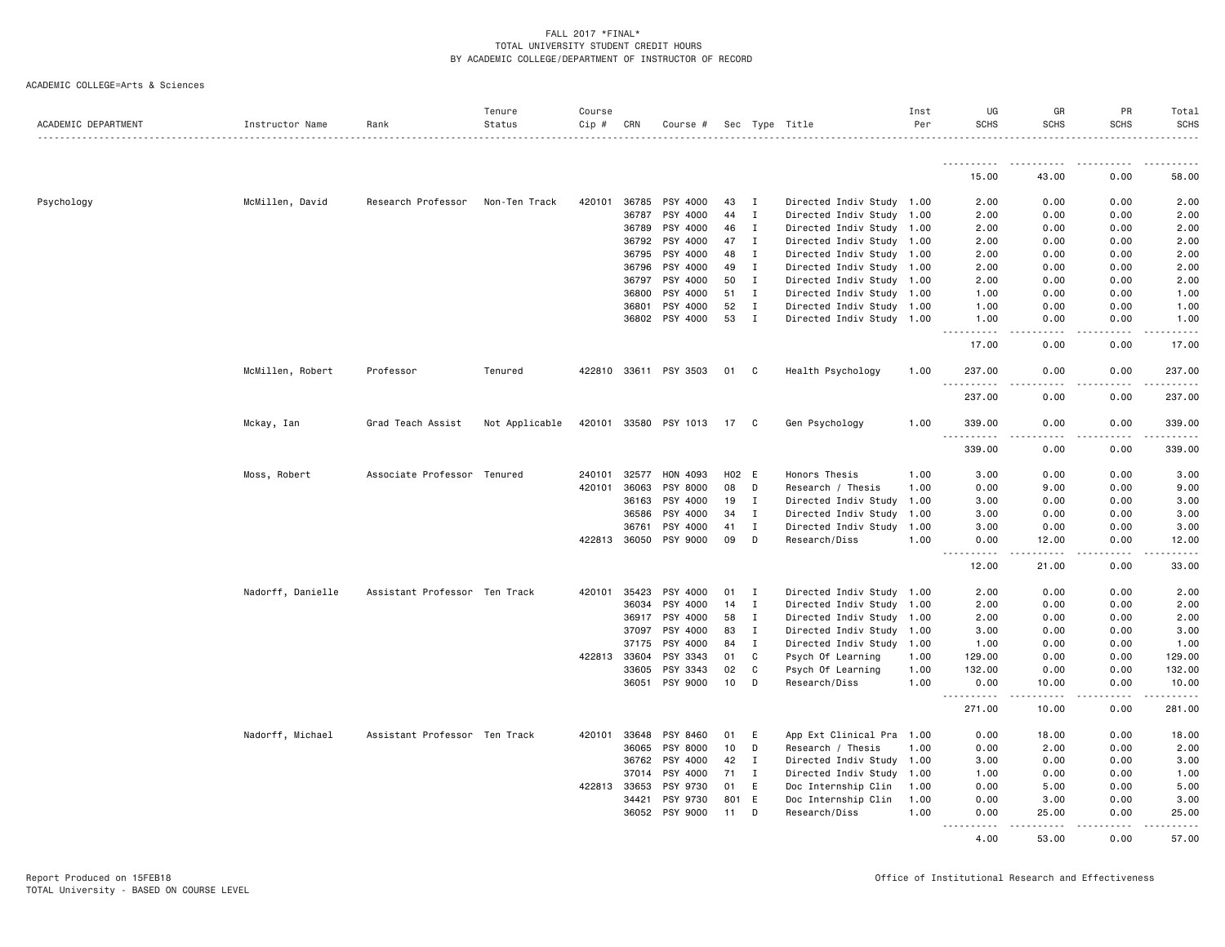| ACADEMIC COLLEGE=Arts & Sciences |  |
|----------------------------------|--|
|                                  |  |

| ACADEMIC DEPARTMENT | Instructor Name   | Rank                          | Tenure<br>Status | Course<br>Cip # | CRN          | Course #              |       |              | Sec Type Title            | Inst<br>Per | UG<br><b>SCHS</b>                   | GR<br><b>SCHS</b> | PR<br><b>SCHS</b> | Total<br><b>SCHS</b>                                                                                                                                           |
|---------------------|-------------------|-------------------------------|------------------|-----------------|--------------|-----------------------|-------|--------------|---------------------------|-------------|-------------------------------------|-------------------|-------------------|----------------------------------------------------------------------------------------------------------------------------------------------------------------|
|                     |                   |                               |                  |                 |              |                       |       |              |                           |             |                                     |                   |                   |                                                                                                                                                                |
|                     |                   |                               |                  |                 |              |                       |       |              |                           |             | 15.00                               | 43.00             | 0.00              | 58.00                                                                                                                                                          |
| Psychology          | McMillen, David   | Research Professor            | Non-Ten Track    | 420101          | 36785        | PSY 4000              | 43    | <b>I</b>     | Directed Indiv Study 1.00 |             | 2.00                                | 0.00              | 0.00              | 2.00                                                                                                                                                           |
|                     |                   |                               |                  |                 | 36787        | PSY 4000              | 44    | I            | Directed Indiv Study 1.00 |             | 2.00                                | 0.00              | 0.00              | 2.00                                                                                                                                                           |
|                     |                   |                               |                  |                 | 36789        | PSY 4000              | 46    | I            | Directed Indiv Study 1.00 |             | 2.00                                | 0.00              | 0.00              | 2.00                                                                                                                                                           |
|                     |                   |                               |                  |                 | 36792        | PSY 4000              | 47    | I            | Directed Indiv Study 1.00 |             | 2.00                                | 0.00              | 0.00              | 2.00                                                                                                                                                           |
|                     |                   |                               |                  |                 | 36795        | PSY 4000              | 48    | $\mathbf I$  | Directed Indiv Study 1.00 |             | 2.00                                | 0.00              | 0.00              | 2.00                                                                                                                                                           |
|                     |                   |                               |                  |                 | 36796        | PSY 4000              | 49    | I            | Directed Indiv Study 1.00 |             | 2.00                                | 0.00              | 0.00              | 2.00                                                                                                                                                           |
|                     |                   |                               |                  |                 | 36797        | PSY 4000              | 50    | I            | Directed Indiv Study 1.00 |             | 2.00                                | 0.00              | 0.00              | 2.00                                                                                                                                                           |
|                     |                   |                               |                  |                 | 36800        | PSY 4000              | 51    | $\mathbf I$  | Directed Indiv Study 1.00 |             | 1.00                                | 0.00              | 0.00              | 1.00                                                                                                                                                           |
|                     |                   |                               |                  |                 | 36801        | PSY 4000              | 52    | $\mathbf{I}$ | Directed Indiv Study 1.00 |             | 1.00                                | 0.00              | 0.00              | 1.00                                                                                                                                                           |
|                     |                   |                               |                  |                 |              | 36802 PSY 4000        | 53    | $\mathbf{I}$ | Directed Indiv Study 1.00 |             | 1.00<br><u>.</u>                    | 0.00              | 0.00              | 1.00                                                                                                                                                           |
|                     |                   |                               |                  |                 |              |                       |       |              |                           |             | 17.00                               | 0.00              | 0.00              | 17.00                                                                                                                                                          |
|                     | McMillen, Robert  | Professor                     | Tenured          |                 |              | 422810 33611 PSY 3503 | 01    | C            | Health Psychology         | 1.00        | 237.00<br>.<br>$\sim$ $\sim$ $\sim$ | 0.00              | 0.00              | 237.00<br><u>.</u>                                                                                                                                             |
|                     |                   |                               |                  |                 |              |                       |       |              |                           |             | 237.00                              | 0.00              | 0.00              | 237.00                                                                                                                                                         |
|                     | Mckay, Ian        | Grad Teach Assist             | Not Applicable   |                 |              | 420101 33580 PSY 1013 | 17 C  |              | Gen Psychology            | 1.00        | 339.00                              | 0.00              | 0.00              | 339.00                                                                                                                                                         |
|                     |                   |                               |                  |                 |              |                       |       |              |                           |             | .<br>339.00                         | .<br>0.00         | .<br>0.00         | $\frac{1}{2} \left( \frac{1}{2} \right) \left( \frac{1}{2} \right) \left( \frac{1}{2} \right) \left( \frac{1}{2} \right) \left( \frac{1}{2} \right)$<br>339.00 |
|                     | Moss, Robert      | Associate Professor Tenured   |                  | 240101          | 32577        | HON 4093              | H02 E |              | Honors Thesis             | 1.00        | 3.00                                | 0.00              | 0.00              | 3.00                                                                                                                                                           |
|                     |                   |                               |                  | 420101          | 36063        | PSY 8000              | 08    | D            | Research / Thesis         | 1.00        | 0.00                                | 9.00              | 0.00              | 9.00                                                                                                                                                           |
|                     |                   |                               |                  |                 | 36163        | PSY 4000              | 19    | $\mathbf I$  | Directed Indiv Study 1.00 |             | 3.00                                | 0.00              | 0.00              | 3.00                                                                                                                                                           |
|                     |                   |                               |                  |                 | 36586        | PSY 4000              | 34    | $\mathbf{I}$ | Directed Indiv Study      | 1.00        | 3.00                                | 0.00              | 0.00              | 3.00                                                                                                                                                           |
|                     |                   |                               |                  |                 | 36761        | PSY 4000              | 41    | $\mathbf I$  | Directed Indiv Study      | 1.00        | 3.00                                | 0.00              | 0.00              | 3.00                                                                                                                                                           |
|                     |                   |                               |                  |                 | 422813 36050 | PSY 9000              | 09    | D            | Research/Diss             | 1.00        | 0.00                                | 12.00             | 0.00              | 12.00                                                                                                                                                          |
|                     |                   |                               |                  |                 |              |                       |       |              |                           |             | .<br>12.00                          | 21.00             | 0.00              | 33.00                                                                                                                                                          |
|                     | Nadorff, Danielle | Assistant Professor Ten Track |                  | 420101          | 35423        | PSY 4000              | 01    | I            | Directed Indiv Study 1.00 |             | 2.00                                | 0.00              | 0.00              | 2.00                                                                                                                                                           |
|                     |                   |                               |                  |                 | 36034        | PSY 4000              | 14    | T            | Directed Indiv Study 1.00 |             | 2.00                                | 0.00              | 0.00              | 2.00                                                                                                                                                           |
|                     |                   |                               |                  |                 | 36917        | PSY 4000              | 58    | $\mathbf I$  | Directed Indiv Study 1.00 |             | 2.00                                | 0.00              | 0.00              | 2.00                                                                                                                                                           |
|                     |                   |                               |                  |                 | 37097        | PSY 4000              | 83    | I            | Directed Indiv Study 1.00 |             | 3.00                                | 0.00              | 0.00              | 3.00                                                                                                                                                           |
|                     |                   |                               |                  |                 | 37175        | PSY 4000              | 84    | $\mathbf I$  | Directed Indiv Study 1.00 |             | 1.00                                | 0.00              | 0.00              | 1.00                                                                                                                                                           |
|                     |                   |                               |                  | 422813          | 33604        | PSY 3343              | 01    | C            | Psych Of Learning         | 1.00        | 129.00                              | 0.00              | 0.00              | 129.00                                                                                                                                                         |
|                     |                   |                               |                  |                 | 33605        | PSY 3343              | 02    | C            | Psych Of Learning         | 1.00        | 132.00                              | 0.00              | 0.00              | 132.00                                                                                                                                                         |
|                     |                   |                               |                  |                 | 36051        | PSY 9000              | 10    | D            | Research/Diss             | 1.00        | 0.00<br><b><i><u>.</u></i></b>      | 10.00<br>.        | 0.00<br>.         | 10.00<br>.                                                                                                                                                     |
|                     |                   |                               |                  |                 |              |                       |       |              |                           |             | 271.00                              | 10.00             | 0.00              | 281.00                                                                                                                                                         |
|                     | Nadorff, Michael  | Assistant Professor Ten Track |                  |                 | 420101 33648 | PSY 8460              | 01    | E            | App Ext Clinical Pra 1.00 |             | 0.00                                | 18.00             | 0.00              | 18.00                                                                                                                                                          |
|                     |                   |                               |                  |                 | 36065        | PSY 8000              | 10    | D            | Research / Thesis         | 1.00        | 0.00                                | 2.00              | 0.00              | 2.00                                                                                                                                                           |
|                     |                   |                               |                  |                 | 36762        | PSY 4000              | 42    | I            | Directed Indiv Study 1.00 |             | 3.00                                | 0.00              | 0.00              | 3.00                                                                                                                                                           |
|                     |                   |                               |                  |                 | 37014        | PSY 4000              | 71    | $\mathbf I$  | Directed Indiv Study      | 1.00        | 1.00                                | 0.00              | 0.00              | 1.00                                                                                                                                                           |
|                     |                   |                               |                  |                 | 422813 33653 | PSY 9730              | 01    | Ε            | Doc Internship Clin       | 1.00        | 0.00                                | 5.00              | 0.00              | 5.00                                                                                                                                                           |
|                     |                   |                               |                  |                 | 34421        | PSY 9730              | 801   | E            | Doc Internship Clin       | 1.00        | 0.00                                | 3.00              | 0.00              | 3.00                                                                                                                                                           |
|                     |                   |                               |                  |                 | 36052        | PSY 9000              | 11    | D            | Research/Diss             | 1.00        | 0.00<br>د د د د                     | 25.00             | 0.00              | 25.00                                                                                                                                                          |
|                     |                   |                               |                  |                 |              |                       |       |              |                           |             | 4.00                                | 53.00             | 0.00              | 57.00                                                                                                                                                          |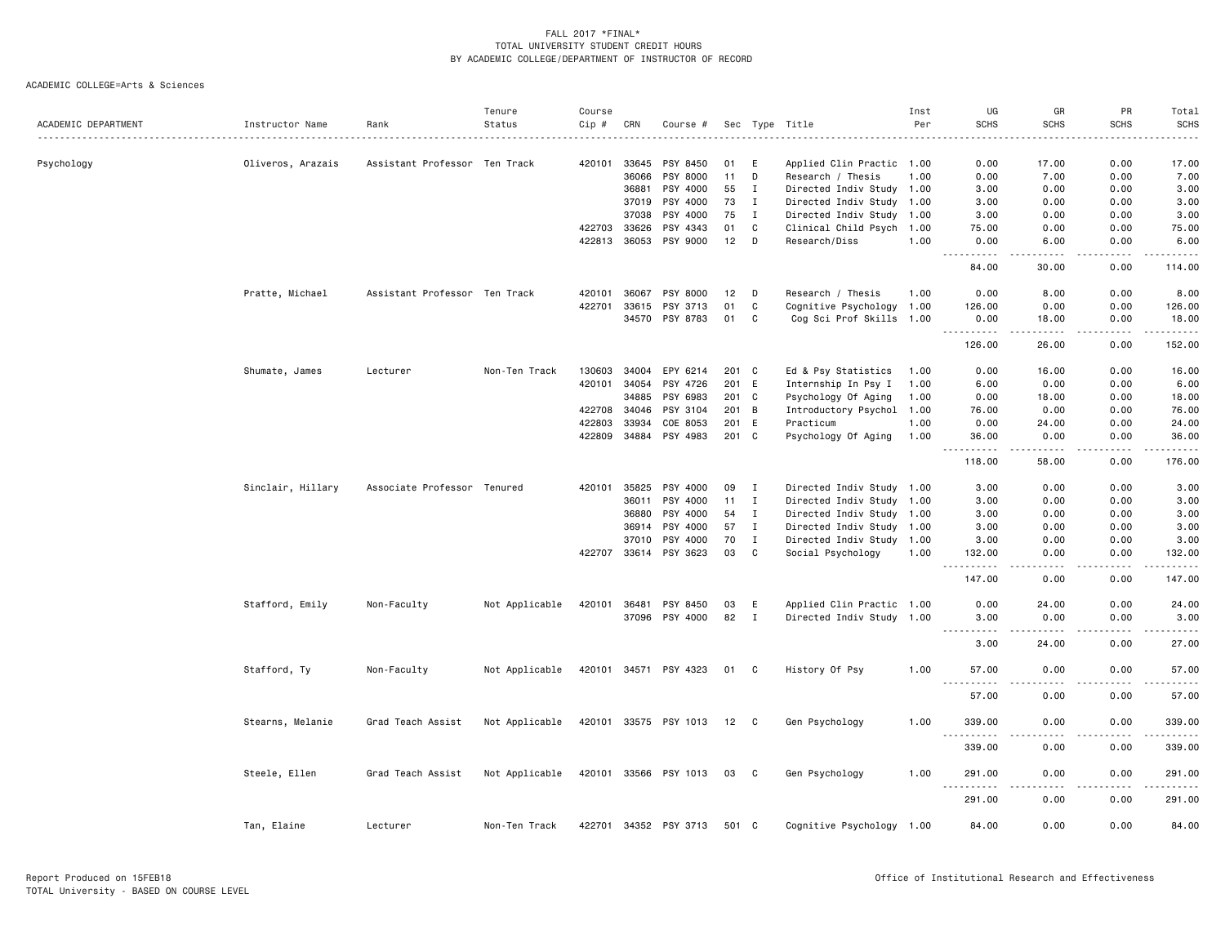| ACADEMIC DEPARTMENT | Instructor Name<br>. | Rank                           | Tenure<br>Status | Course<br>Cip # | CRN          | Course #              |       |                            | Sec Type Title            | Inst<br>Per | UG<br><b>SCHS</b>                          | GR<br><b>SCHS</b>                                                                                                                                             | PR<br><b>SCHS</b> | Total<br><b>SCHS</b>                                                                                                                                           |
|---------------------|----------------------|--------------------------------|------------------|-----------------|--------------|-----------------------|-------|----------------------------|---------------------------|-------------|--------------------------------------------|---------------------------------------------------------------------------------------------------------------------------------------------------------------|-------------------|----------------------------------------------------------------------------------------------------------------------------------------------------------------|
| Psychology          | Oliveros, Arazais    | Assistant Professor  Ten Track |                  | 420101          | 33645        | PSY 8450              | 01    | E                          | Applied Clin Practic 1.00 |             | 0.00                                       | 17.00                                                                                                                                                         | 0.00              | -----<br>17.00                                                                                                                                                 |
|                     |                      |                                |                  |                 | 36066        | PSY 8000              | 11    | D                          | Research / Thesis         | 1.00        | 0.00                                       | 7.00                                                                                                                                                          | 0.00              | 7.00                                                                                                                                                           |
|                     |                      |                                |                  |                 | 36881        | PSY 4000              | 55    | I                          | Directed Indiv Study 1.00 |             | 3.00                                       | 0.00                                                                                                                                                          | 0.00              | 3.00                                                                                                                                                           |
|                     |                      |                                |                  |                 | 37019        | PSY 4000              | 73    | I                          | Directed Indiv Study 1.00 |             | 3.00                                       | 0.00                                                                                                                                                          | 0.00              | 3.00                                                                                                                                                           |
|                     |                      |                                |                  |                 | 37038        | PSY 4000              | 75    | $\mathbf{I}$               | Directed Indiv Study 1.00 |             | 3.00                                       | 0.00                                                                                                                                                          | 0.00              | 3.00                                                                                                                                                           |
|                     |                      |                                |                  | 422703          | 33626        | PSY 4343              | 01    | C                          | Clinical Child Psych 1.00 |             | 75.00                                      | 0.00                                                                                                                                                          | 0.00              | 75.00                                                                                                                                                          |
|                     |                      |                                |                  |                 | 422813 36053 | PSY 9000              | 12    | D                          | Research/Diss             | 1.00        | 0.00                                       | 6.00                                                                                                                                                          | 0.00              | 6.00                                                                                                                                                           |
|                     |                      |                                |                  |                 |              |                       |       |                            |                           |             | $\sim$ $\sim$ $\sim$<br>د د د د د<br>84.00 | 30.00                                                                                                                                                         | 0.00              | -----<br>114.00                                                                                                                                                |
|                     | Pratte, Michael      | Assistant Professor Ten Track  |                  | 420101          | 36067        | PSY 8000              | 12    | D                          | Research / Thesis         | 1.00        | 0.00                                       | 8.00                                                                                                                                                          | 0.00              | 8.00                                                                                                                                                           |
|                     |                      |                                |                  | 422701          | 33615        | PSY 3713              | 01    | C                          | Cognitive Psychology 1.00 |             | 126.00                                     | 0.00                                                                                                                                                          | 0.00              | 126.00                                                                                                                                                         |
|                     |                      |                                |                  |                 |              | 34570 PSY 8783        | 01    | C                          | Cog Sci Prof Skills 1.00  |             | 0.00                                       | 18.00<br>$\frac{1}{2} \left( \frac{1}{2} \right) \left( \frac{1}{2} \right) \left( \frac{1}{2} \right) \left( \frac{1}{2} \right) \left( \frac{1}{2} \right)$ | 0.00<br>.         | 18.00<br>.                                                                                                                                                     |
|                     |                      |                                |                  |                 |              |                       |       |                            |                           |             | 126.00                                     | 26.00                                                                                                                                                         | 0.00              | 152.00                                                                                                                                                         |
|                     | Shumate, James       | Lecturer                       | Non-Ten Track    | 130603          | 34004        | EPY 6214              | 201 C |                            | Ed & Psy Statistics       | 1.00        | 0.00                                       | 16.00                                                                                                                                                         | 0.00              | 16.00                                                                                                                                                          |
|                     |                      |                                |                  | 420101          | 34054        | PSY 4726              | 201 E |                            | Internship In Psy I       | 1.00        | 6.00                                       | 0.00                                                                                                                                                          | 0.00              | 6.00                                                                                                                                                           |
|                     |                      |                                |                  |                 | 34885        | PSY 6983              | 201 C |                            | Psychology Of Aging       | 1.00        | 0.00                                       | 18.00                                                                                                                                                         | 0.00              | 18.00                                                                                                                                                          |
|                     |                      |                                |                  | 422708          | 34046        | PSY 3104              | 201 B |                            | Introductory Psychol 1.00 |             | 76.00                                      | 0.00                                                                                                                                                          | 0.00              | 76.00                                                                                                                                                          |
|                     |                      |                                |                  | 422803          | 33934        | COE 8053              |       | 201 E                      | Practicum                 | 1.00        | 0.00                                       | 24.00                                                                                                                                                         | 0.00              | 24.00                                                                                                                                                          |
|                     |                      |                                |                  |                 | 422809 34884 | PSY 4983              | 201 C |                            | Psychology Of Aging       | 1.00        | 36.00                                      | 0.00                                                                                                                                                          | 0.00              | 36.00                                                                                                                                                          |
|                     |                      |                                |                  |                 |              |                       |       |                            |                           |             | .<br>118.00                                | 58.00                                                                                                                                                         | 0.00              | .<br>176.00                                                                                                                                                    |
|                     | Sinclair, Hillary    | Associate Professor Tenured    |                  |                 | 420101 35825 | PSY 4000              | 09    | $\mathbf I$                | Directed Indiv Study 1.00 |             | 3.00                                       | 0.00                                                                                                                                                          | 0.00              | 3.00                                                                                                                                                           |
|                     |                      |                                |                  |                 | 36011        | PSY 4000              | 11    | $\mathbf{I}$               | Directed Indiv Study 1.00 |             | 3.00                                       | 0.00                                                                                                                                                          | 0.00              | 3.00                                                                                                                                                           |
|                     |                      |                                |                  |                 | 36880        | PSY 4000              | 54    | I                          | Directed Indiv Study 1.00 |             | 3.00                                       | 0.00                                                                                                                                                          | 0.00              | 3.00                                                                                                                                                           |
|                     |                      |                                |                  |                 | 36914        | PSY 4000              | 57    | $\mathbf{I}$               | Directed Indiv Study 1.00 |             | 3.00                                       | 0.00                                                                                                                                                          | 0.00              | 3.00                                                                                                                                                           |
|                     |                      |                                |                  |                 | 37010        | PSY 4000              | 70    | $\mathbf{I}$               | Directed Indiv Study 1.00 |             | 3.00                                       | 0.00                                                                                                                                                          | 0.00              | 3.00                                                                                                                                                           |
|                     |                      |                                |                  |                 | 422707 33614 | PSY 3623              | 03    | C                          | Social Psychology         | 1.00        | 132.00                                     | 0.00                                                                                                                                                          | 0.00              | 132.00                                                                                                                                                         |
|                     |                      |                                |                  |                 |              |                       |       |                            |                           |             | 147.00                                     | 0.00                                                                                                                                                          | 0.00              | .<br>147.00                                                                                                                                                    |
|                     | Stafford, Emily      | Non-Faculty                    | Not Applicable   |                 | 420101 36481 | PSY 8450              | 03    | E                          | Applied Clin Practic 1.00 |             | 0.00                                       | 24.00                                                                                                                                                         | 0.00              | 24.00                                                                                                                                                          |
|                     |                      |                                |                  |                 |              | 37096 PSY 4000        | 82    | $\mathbf{I}$               | Directed Indiv Study 1.00 |             | 3.00                                       | 0.00                                                                                                                                                          | 0.00              | 3.00                                                                                                                                                           |
|                     |                      |                                |                  |                 |              |                       |       |                            |                           |             | .<br>3.00                                  | .<br>24.00                                                                                                                                                    | .<br>0.00         | .<br>27.00                                                                                                                                                     |
|                     | Stafford, Ty         | Non-Faculty                    | Not Applicable   |                 |              | 420101 34571 PSY 4323 | 01    | C                          | History Of Psy            | 1.00        | 57.00                                      | 0.00                                                                                                                                                          | 0.00              | 57.00                                                                                                                                                          |
|                     |                      |                                |                  |                 |              |                       |       |                            |                           |             | $\sim$ $\sim$ $\sim$ .<br>.<br>57.00       | 0.00                                                                                                                                                          | 0.00              | 57.00                                                                                                                                                          |
|                     | Stearns, Melanie     | Grad Teach Assist              | Not Applicable   |                 |              | 420101 33575 PSY 1013 | 12    | $\overline{\phantom{a}}$ C | Gen Psychology            | 1.00        | 339.00                                     | 0.00                                                                                                                                                          | 0.00              | 339,00                                                                                                                                                         |
|                     |                      |                                |                  |                 |              |                       |       |                            |                           |             | .<br>339.00                                | 0.00                                                                                                                                                          | 0.00              | $- - - - - -$<br>339.00                                                                                                                                        |
|                     | Steele, Ellen        | Grad Teach Assist              | Not Applicable   |                 |              | 420101 33566 PSY 1013 | 03    | C                          | Gen Psychology            | 1.00        | 291.00                                     | 0.00                                                                                                                                                          | 0.00              | 291.00                                                                                                                                                         |
|                     |                      |                                |                  |                 |              |                       |       |                            |                           |             | $\sim$ $\sim$ .<br><u>.</u><br>291.00      | $   -$<br>0.00                                                                                                                                                | .<br>0.00         | $\frac{1}{2} \left( \frac{1}{2} \right) \left( \frac{1}{2} \right) \left( \frac{1}{2} \right) \left( \frac{1}{2} \right) \left( \frac{1}{2} \right)$<br>291.00 |
|                     | Tan, Elaine          | Lecturer                       | Non-Ten Track    |                 |              | 422701 34352 PSY 3713 | 501 C |                            | Cognitive Psychology 1.00 |             | 84.00                                      | 0.00                                                                                                                                                          | 0.00              | 84.00                                                                                                                                                          |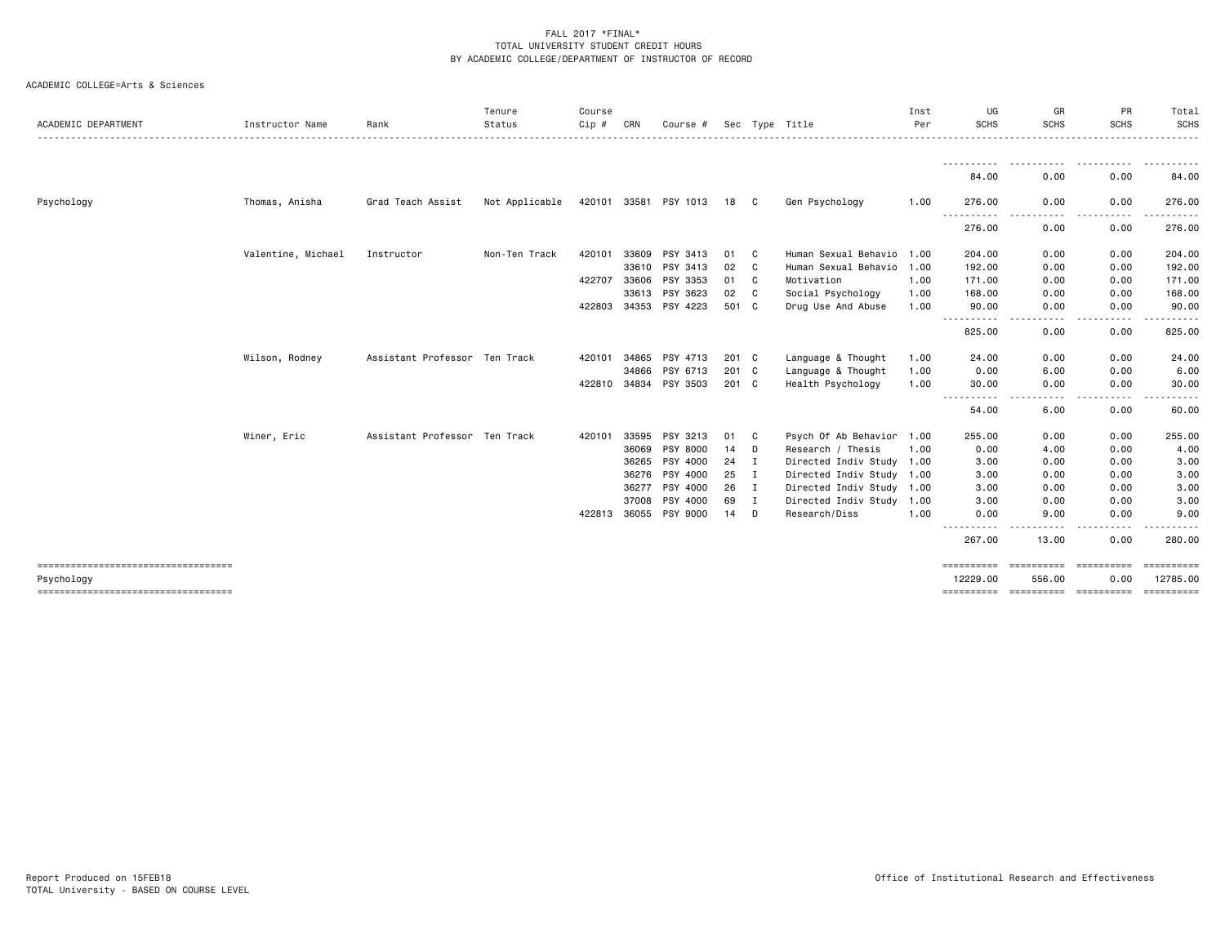| <b>ACADEMIC DEPARTMENT</b>                         | Instructor Name    | Rank                          | Tenure<br>Status | Course<br>Cip# | CRN   | Course # |       |              | Sec Type Title            | Inst<br>Per | UG<br><b>SCHS</b>                                                                                       | GR<br><b>SCHS</b>                                                                                                                 | PR<br><b>SCHS</b>         | Total<br><b>SCHS</b>   |
|----------------------------------------------------|--------------------|-------------------------------|------------------|----------------|-------|----------|-------|--------------|---------------------------|-------------|---------------------------------------------------------------------------------------------------------|-----------------------------------------------------------------------------------------------------------------------------------|---------------------------|------------------------|
|                                                    |                    |                               |                  |                |       |          |       |              |                           |             | ----------<br>84.00                                                                                     | -----<br>0.00                                                                                                                     | $- - -$<br>0.00           | .<br>84.00             |
|                                                    |                    |                               |                  |                |       |          |       |              |                           |             |                                                                                                         |                                                                                                                                   |                           |                        |
| Psychology                                         | Thomas, Anisha     | Grad Teach Assist             | Not Applicable   | 420101 33581   |       | PSY 1013 | 18 C  |              | Gen Psychology            | 1.00        | 276.00<br>-----------                                                                                   | 0.00<br>$\frac{1}{2}$<br>$\frac{1}{2}$                                                                                            | 0.00<br>-----<br>$\cdots$ | 276.00<br>.            |
|                                                    |                    |                               |                  |                |       |          |       |              |                           |             | 276.00                                                                                                  | 0.00                                                                                                                              | 0.00                      | 276.00                 |
|                                                    | Valentine, Michael | Instructor                    | Non-Ten Track    | 420101         | 33609 | PSY 3413 | 01    | C            | Human Sexual Behavio 1.00 |             | 204.00                                                                                                  | 0.00                                                                                                                              | 0.00                      | 204.00                 |
|                                                    |                    |                               |                  |                | 33610 | PSY 3413 | 02    | C.           | Human Sexual Behavio 1.00 |             | 192.00                                                                                                  | 0.00                                                                                                                              | 0.00                      | 192.00                 |
|                                                    |                    |                               |                  | 422707         | 33606 | PSY 3353 | 01    | C            | Motivation                | 1.00        | 171.00                                                                                                  | 0.00                                                                                                                              | 0.00                      | 171.00                 |
|                                                    |                    |                               |                  |                | 33613 | PSY 3623 | 02    | $\mathbf{C}$ | Social Psychology         | 1.00        | 168.00                                                                                                  | 0.00                                                                                                                              | 0.00                      | 168.00                 |
|                                                    |                    |                               |                  | 422803         | 34353 | PSY 4223 | 501 C |              | Drug Use And Abuse        | 1.00        | 90.00<br>.                                                                                              | 0.00<br>$\frac{1}{2} \left( \frac{1}{2} \right) \left( \frac{1}{2} \right) \left( \frac{1}{2} \right) \left( \frac{1}{2} \right)$ | 0.00<br>.                 | 90.00<br><u>.</u>      |
|                                                    |                    |                               |                  |                |       |          |       |              |                           |             | 825.00                                                                                                  | 0.00                                                                                                                              | 0.00                      | 825,00                 |
|                                                    | Wilson, Rodney     | Assistant Professor Ten Track |                  | 420101         | 34865 | PSY 4713 | 201 C |              | Language & Thought        | 1.00        | 24.00                                                                                                   | 0.00                                                                                                                              | 0.00                      | 24.00                  |
|                                                    |                    |                               |                  |                | 34866 | PSY 6713 | 201 C |              | Language & Thought        | 1.00        | 0.00                                                                                                    | 6.00                                                                                                                              | 0.00                      | 6.00                   |
|                                                    |                    |                               |                  | 422810 34834   |       | PSY 3503 | 201 C |              | Health Psychology         | 1.00        | 30.00                                                                                                   | 0.00                                                                                                                              | 0.00                      | 30.00                  |
|                                                    |                    |                               |                  |                |       |          |       |              |                           |             | $\frac{1}{2} \left( \frac{1}{2} \right) \left( \frac{1}{2} \right) \left( \frac{1}{2} \right)$<br>54.00 | ----<br>6.00                                                                                                                      | .<br>0.00                 | 60.00                  |
|                                                    | Winer, Eric        | Assistant Professor Ten Track |                  | 420101         | 33595 | PSY 3213 | 01    | C            | Psych Of Ab Behavior 1.00 |             | 255.00                                                                                                  | 0.00                                                                                                                              | 0.00                      | 255.00                 |
|                                                    |                    |                               |                  |                | 36069 | PSY 8000 | 14    | D            | Research / Thesis         | 1.00        | 0.00                                                                                                    | 4.00                                                                                                                              | 0.00                      | 4.00                   |
|                                                    |                    |                               |                  |                | 36265 | PSY 4000 | 24    | $\mathbf I$  | Directed Indiv Study 1.00 |             | 3.00                                                                                                    | 0.00                                                                                                                              | 0.00                      | 3.00                   |
|                                                    |                    |                               |                  |                | 36276 | PSY 4000 | 25    | $\mathbf I$  | Directed Indiv Study 1.00 |             | 3.00                                                                                                    | 0.00                                                                                                                              | 0.00                      | 3.00                   |
|                                                    |                    |                               |                  |                | 36277 | PSY 4000 | 26    | $\mathbf{I}$ | Directed Indiv Study 1.00 |             | 3.00                                                                                                    | 0.00                                                                                                                              | 0.00                      | 3.00                   |
|                                                    |                    |                               |                  |                | 37008 | PSY 4000 | 69    | $\mathbf I$  | Directed Indiv Study 1.00 |             | 3.00                                                                                                    | 0.00                                                                                                                              | 0.00                      | 3.00                   |
|                                                    |                    |                               |                  | 422813 36055   |       | PSY 9000 | 14    | D            | Research/Diss             | 1.00        | 0.00<br>----                                                                                            | 9.00                                                                                                                              | 0.00<br>. <b>.</b>        | 9.00                   |
|                                                    |                    |                               |                  |                |       |          |       |              |                           |             | 267.00                                                                                                  | 13.00                                                                                                                             | 0.00                      | 280.00                 |
| ====================================<br>Psychology |                    |                               |                  |                |       |          |       |              |                           |             | ==========<br>12229.00                                                                                  | ==========<br>556.00                                                                                                              | $= 22222222222$<br>0.00   | ==========<br>12785.00 |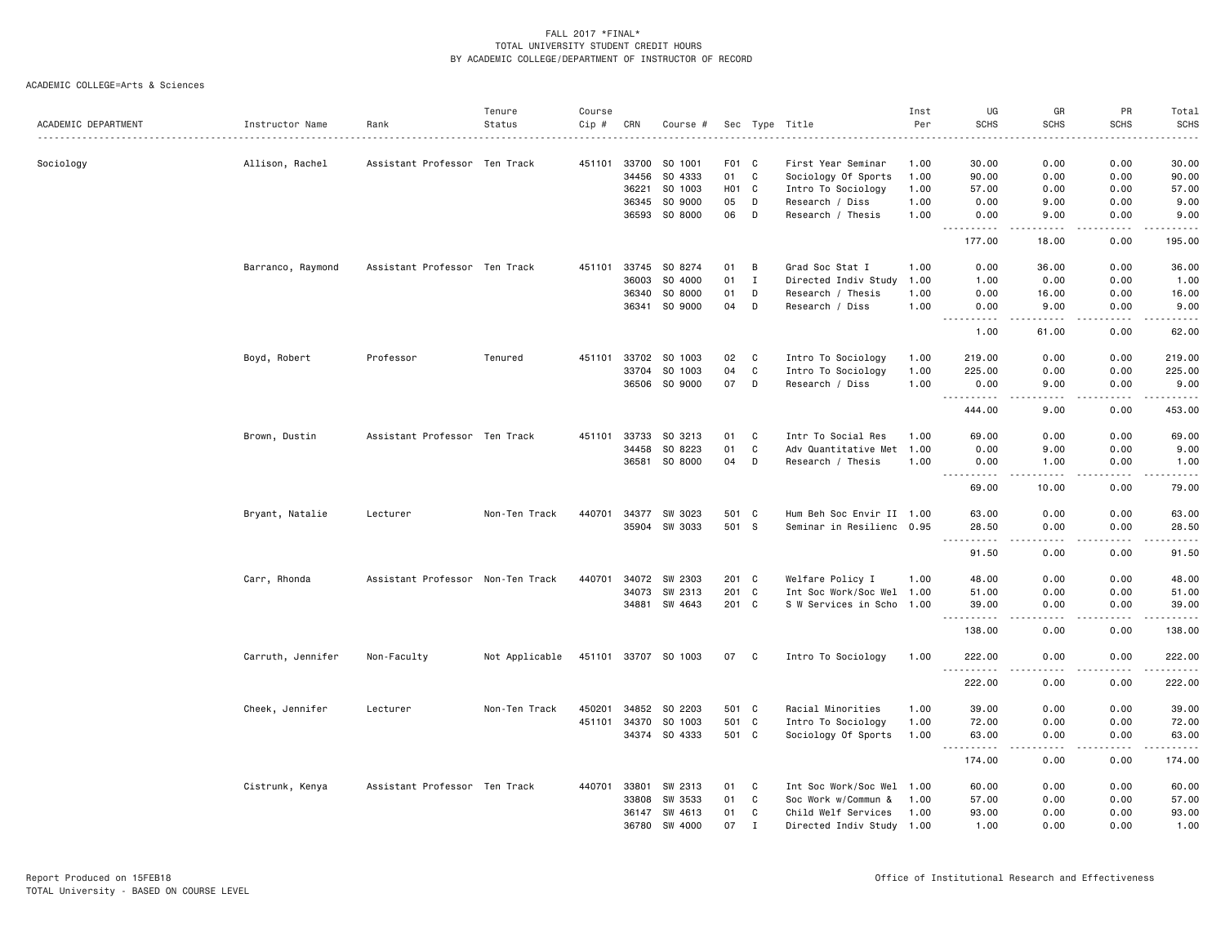| ACADEMIC DEPARTMENT | Instructor Name   | Rank                              | Tenure<br>Status | Course<br>Cip # | CRN          | Course #             |       |             | Sec Type Title            | Inst<br>Per | UG<br><b>SCHS</b>                                                                                                                                          | GR<br><b>SCHS</b>                                                                                                                 | PR<br><b>SCHS</b> | Total<br><b>SCHS</b> |
|---------------------|-------------------|-----------------------------------|------------------|-----------------|--------------|----------------------|-------|-------------|---------------------------|-------------|------------------------------------------------------------------------------------------------------------------------------------------------------------|-----------------------------------------------------------------------------------------------------------------------------------|-------------------|----------------------|
|                     |                   |                                   |                  |                 |              |                      |       |             |                           |             |                                                                                                                                                            |                                                                                                                                   |                   |                      |
| Sociology           | Allison, Rachel   | Assistant Professor Ten Track     |                  |                 | 451101 33700 | SO 1001              | F01 C |             | First Year Seminar        | 1.00        | 30.00                                                                                                                                                      | 0.00                                                                                                                              | 0.00              | 30.00                |
|                     |                   |                                   |                  |                 | 34456        | SO 4333              | 01    | C           | Sociology Of Sports       | 1.00        | 90.00                                                                                                                                                      | 0.00                                                                                                                              | 0.00              | 90.00                |
|                     |                   |                                   |                  |                 | 36221        | SO 1003              | H01   | C           | Intro To Sociology        | 1.00        | 57.00                                                                                                                                                      | 0.00                                                                                                                              | 0.00              | 57.00                |
|                     |                   |                                   |                  |                 | 36345        | SO 9000              | 05    | D           | Research / Diss           | 1.00        | 0.00                                                                                                                                                       | 9.00                                                                                                                              | 0.00              | 9.00                 |
|                     |                   |                                   |                  |                 | 36593        | SO 8000              | 06    | D           | Research / Thesis         | 1.00        | 0.00<br>.<br>$  -$                                                                                                                                         | 9.00<br>.                                                                                                                         | 0.00<br>لأعاجب    | 9.00<br>-----        |
|                     |                   |                                   |                  |                 |              |                      |       |             |                           |             | 177.00                                                                                                                                                     | 18.00                                                                                                                             | 0.00              | 195.00               |
|                     | Barranco, Raymond | Assistant Professor Ten Track     |                  | 451101          | 33745        | SO 8274              | 01    | B           | Grad Soc Stat I           | 1.00        | 0.00                                                                                                                                                       | 36.00                                                                                                                             | 0.00              | 36.00                |
|                     |                   |                                   |                  |                 | 36003        | SO 4000              | 01    | Ι.          | Directed Indiv Study      | 1.00        | 1.00                                                                                                                                                       | 0.00                                                                                                                              | 0.00              | 1.00                 |
|                     |                   |                                   |                  |                 | 36340        | SO 8000              | 01    | D           | Research / Thesis         | 1.00        | 0.00                                                                                                                                                       | 16.00                                                                                                                             | 0.00              | 16.00                |
|                     |                   |                                   |                  |                 | 36341        | SO 9000              | 04    | D           | Research / Diss           | 1.00        | 0.00<br>- - -<br>$\cdots$                                                                                                                                  | 9.00                                                                                                                              | 0.00              | 9.00<br>. <u>.</u> . |
|                     |                   |                                   |                  |                 |              |                      |       |             |                           |             | 1.00                                                                                                                                                       | 61.00                                                                                                                             | 0.00              | 62.00                |
|                     | Boyd, Robert      | Professor                         | Tenured          |                 | 451101 33702 | SO 1003              | 02    | C           | Intro To Sociology        | 1.00        | 219.00                                                                                                                                                     | 0.00                                                                                                                              | 0.00              | 219.00               |
|                     |                   |                                   |                  |                 | 33704        | SO 1003              | 04    | $\mathbf c$ | Intro To Sociology        | 1.00        | 225.00                                                                                                                                                     | 0.00                                                                                                                              | 0.00              | 225.00               |
|                     |                   |                                   |                  |                 |              | 36506 SO 9000        | 07    | D           | Research / Diss           | 1.00        | 0.00                                                                                                                                                       | 9.00                                                                                                                              | 0.00              | 9.00                 |
|                     |                   |                                   |                  |                 |              |                      |       |             |                           |             | $  -$<br>.<br>444.00                                                                                                                                       | 9.00                                                                                                                              | 0.00              | .<br>453.00          |
|                     | Brown, Dustin     | Assistant Professor Ten Track     |                  | 451101          | 33733        | SO 3213              | 01    | C           | Intr To Social Res        | 1.00        | 69.00                                                                                                                                                      | 0.00                                                                                                                              | 0.00              | 69.00                |
|                     |                   |                                   |                  |                 | 34458        | SO 8223              | 01    | C           | Adv Quantitative Met 1.00 |             | 0.00                                                                                                                                                       | 9.00                                                                                                                              | 0.00              | 9.00                 |
|                     |                   |                                   |                  |                 |              | 36581 SO 8000        | 04    | D           | Research / Thesis         | 1.00        | 0.00                                                                                                                                                       | 1.00                                                                                                                              | 0.00              | 1.00                 |
|                     |                   |                                   |                  |                 |              |                      |       |             |                           |             | $\sim$ $\sim$ $\sim$<br>$\frac{1}{2} \left( \frac{1}{2} \right) \left( \frac{1}{2} \right) \left( \frac{1}{2} \right) \left( \frac{1}{2} \right)$<br>69.00 | $\sim$ $\sim$ $\sim$ $\sim$<br>10.00                                                                                              | 0.00              | 79.00                |
|                     | Bryant, Natalie   | Lecturer                          | Non-Ten Track    |                 | 440701 34377 | SW 3023              | 501 C |             | Hum Beh Soc Envir II 1.00 |             | 63.00                                                                                                                                                      | 0.00                                                                                                                              | 0.00              | 63.00                |
|                     |                   |                                   |                  |                 |              | 35904 SW 3033        | 501 S |             | Seminar in Resilienc 0.95 |             | 28.50                                                                                                                                                      | 0.00                                                                                                                              | 0.00              | 28.50                |
|                     |                   |                                   |                  |                 |              |                      |       |             |                           |             | .<br>$\sim$ $\sim$ $\sim$                                                                                                                                  | د د د د                                                                                                                           | .                 | .                    |
|                     |                   |                                   |                  |                 |              |                      |       |             |                           |             | 91.50                                                                                                                                                      | 0.00                                                                                                                              | 0.00              | 91.50                |
|                     | Carr, Rhonda      | Assistant Professor Non-Ten Track |                  | 440701          | 34072        | SW 2303              | 201 C |             | Welfare Policy I          | 1.00        | 48.00                                                                                                                                                      | 0.00                                                                                                                              | 0.00              | 48.00                |
|                     |                   |                                   |                  |                 | 34073        | SW 2313              | 201 C |             | Int Soc Work/Soc Wel 1.00 |             | 51.00                                                                                                                                                      | 0.00                                                                                                                              | 0.00              | 51.00                |
|                     |                   |                                   |                  |                 |              | 34881 SW 4643        | 201 C |             | S W Services in Scho 1.00 |             | 39.00<br>.                                                                                                                                                 | 0.00<br>$- - - -$                                                                                                                 | 0.00<br>.         | 39.00<br>.           |
|                     |                   |                                   |                  |                 |              |                      |       |             |                           |             | 138.00                                                                                                                                                     | 0.00                                                                                                                              | 0.00              | 138.00               |
|                     | Carruth, Jennifer | Non-Faculty                       | Not Applicable   |                 |              | 451101 33707 SO 1003 | 07 C  |             | Intro To Sociology        | 1.00        | 222.00                                                                                                                                                     | 0.00                                                                                                                              | 0.00              | 222.00               |
|                     |                   |                                   |                  |                 |              |                      |       |             |                           |             | 222.00                                                                                                                                                     | 0.00                                                                                                                              | 0.00              | 222.00               |
|                     | Cheek, Jennifer   | Lecturer                          | Non-Ten Track    | 450201          | 34852        | SO 2203              | 501 C |             | Racial Minorities         | 1.00        | 39.00                                                                                                                                                      | 0.00                                                                                                                              | 0.00              | 39.00                |
|                     |                   |                                   |                  |                 | 451101 34370 | SO 1003              | 501 C |             | Intro To Sociology        | 1.00        | 72.00                                                                                                                                                      | 0.00                                                                                                                              | 0.00              | 72.00                |
|                     |                   |                                   |                  |                 |              | 34374 SO 4333        | 501 C |             | Sociology Of Sports       | 1.00        | 63.00                                                                                                                                                      | 0.00                                                                                                                              | 0.00              | 63.00                |
|                     |                   |                                   |                  |                 |              |                      |       |             |                           |             | $\sim$ $\sim$ $\sim$<br>$- - - - - -$<br>174.00                                                                                                            | $\frac{1}{2} \left( \frac{1}{2} \right) \left( \frac{1}{2} \right) \left( \frac{1}{2} \right) \left( \frac{1}{2} \right)$<br>0.00 | .<br>0.00         | .<br>174.00          |
|                     | Cistrunk, Kenya   | Assistant Professor Ten Track     |                  | 440701          | 33801        | SW 2313              | 01    | C           | Int Soc Work/Soc Wel 1.00 |             | 60.00                                                                                                                                                      | 0.00                                                                                                                              | 0.00              | 60.00                |
|                     |                   |                                   |                  |                 | 33808        | SW 3533              | 01    | C           | Soc Work w/Commun &       | 1.00        | 57.00                                                                                                                                                      | 0.00                                                                                                                              | 0.00              | 57.00                |
|                     |                   |                                   |                  |                 | 36147        | SW 4613              | 01    | C           | Child Welf Services       | 1.00        | 93.00                                                                                                                                                      | 0.00                                                                                                                              | 0.00              | 93.00                |
|                     |                   |                                   |                  |                 | 36780        | SW 4000              | 07    | Ι           | Directed Indiv Study 1.00 |             | 1.00                                                                                                                                                       | 0.00                                                                                                                              | 0.00              | 1.00                 |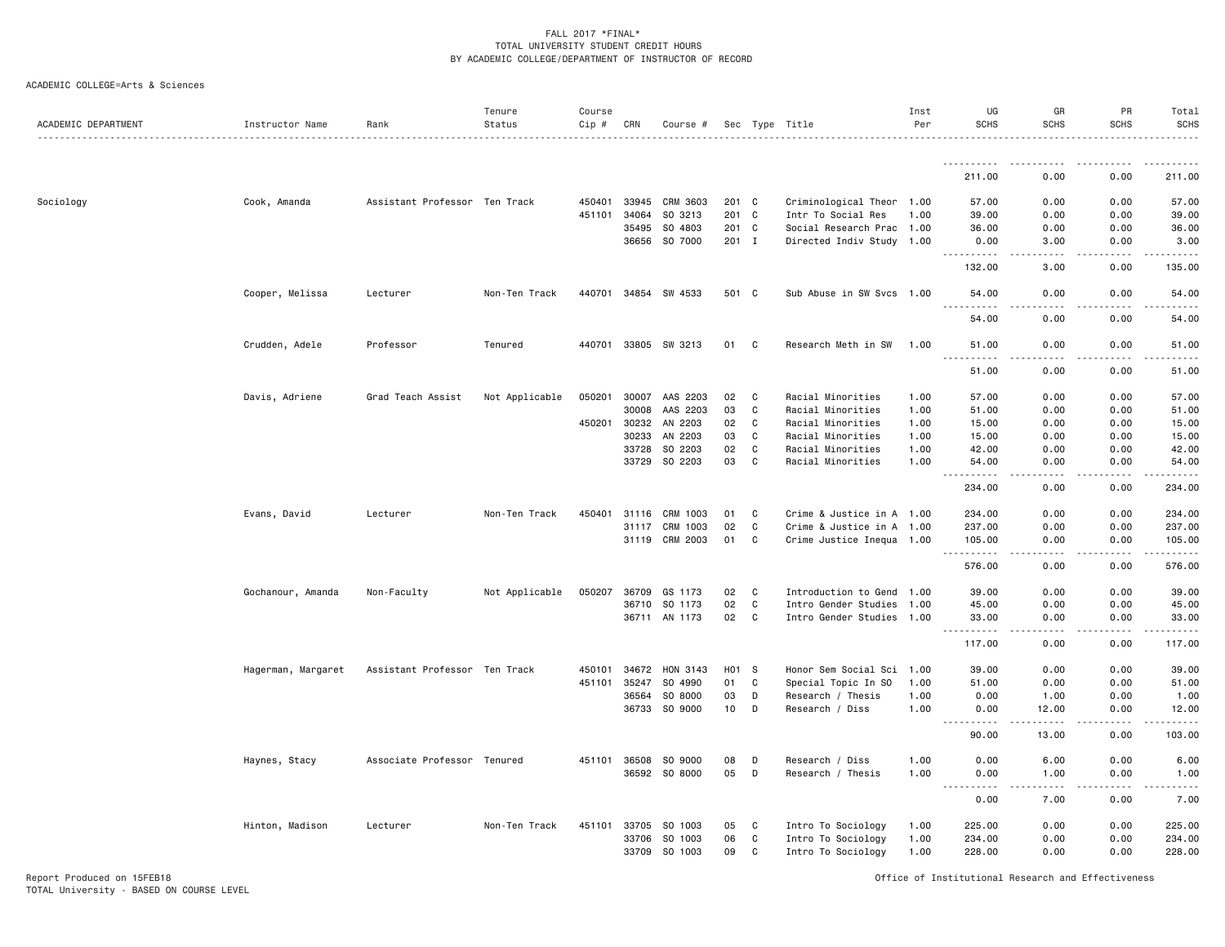| ACADEMIC DEPARTMENT | Instructor Name    | Rank                          | Tenure<br>Status | Course<br>Cip # | CRN          | Course #      |       |             | Sec Type Title            | Inst<br>Per | UG<br><b>SCHS</b>  | GR<br><b>SCHS</b> | PR<br><b>SCHS</b> | Total<br><b>SCHS</b>                                                                                                               |
|---------------------|--------------------|-------------------------------|------------------|-----------------|--------------|---------------|-------|-------------|---------------------------|-------------|--------------------|-------------------|-------------------|------------------------------------------------------------------------------------------------------------------------------------|
|                     |                    |                               |                  |                 |              |               |       |             |                           |             | <u>.</u>           |                   |                   |                                                                                                                                    |
|                     |                    |                               |                  |                 |              |               |       |             |                           |             | 211.00             | 0.00              | 0.00              | 211.00                                                                                                                             |
| Sociology           | Cook, Amanda       | Assistant Professor Ten Track |                  | 450401          | 33945        | CRM 3603      | 201 C |             | Criminological Theor 1.00 |             | 57.00              | 0.00              | 0.00              | 57.00                                                                                                                              |
|                     |                    |                               |                  | 451101          | 34064        | SO 3213       | 201 C |             | Intr To Social Res        | 1.00        | 39.00              | 0.00              | 0.00              | 39.00                                                                                                                              |
|                     |                    |                               |                  |                 | 35495        | SO 4803       | 201 C |             | Social Research Prac 1.00 |             | 36.00              | 0.00              | 0.00              | 36.00                                                                                                                              |
|                     |                    |                               |                  |                 | 36656        | SO 7000       | 201 I |             | Directed Indiv Study 1.00 |             | 0.00<br>.          | 3.00<br>.         | 0.00<br>.         | 3.00<br>$\begin{array}{cccccccccc} \bullet & \bullet & \bullet & \bullet & \bullet & \bullet & \bullet & \bullet \end{array}$      |
|                     |                    |                               |                  |                 |              |               |       |             |                           |             | 132.00             | 3.00              | 0.00              | 135.00                                                                                                                             |
|                     | Cooper, Melissa    | Lecturer                      | Non-Ten Track    |                 | 440701 34854 | SW 4533       | 501 C |             | Sub Abuse in SW Svcs 1.00 |             | 54.00<br>$- - - -$ | 0.00<br>.         | 0.00              | 54.00                                                                                                                              |
|                     |                    |                               |                  |                 |              |               |       |             |                           |             | 54.00              | 0.00              | 0.00              | 54.00                                                                                                                              |
|                     | Crudden, Adele     | Professor                     | Tenured          |                 | 440701 33805 | SW 3213       | 01    | C           | Research Meth in SW       | 1.00        | 51.00              | 0.00              | 0.00              | 51.00                                                                                                                              |
|                     |                    |                               |                  |                 |              |               |       |             |                           |             | 51.00              | 0.00              | 0.00              | 51.00                                                                                                                              |
|                     | Davis, Adriene     | Grad Teach Assist             | Not Applicable   | 050201          | 30007        | AAS 2203      | 02    | C           | Racial Minorities         | 1.00        | 57.00              | 0.00              | 0.00              | 57.00                                                                                                                              |
|                     |                    |                               |                  |                 | 30008        | AAS 2203      | 03    | C           | Racial Minorities         | 1.00        | 51.00              | 0.00              | 0.00              | 51.00                                                                                                                              |
|                     |                    |                               |                  | 450201          | 30232        | AN 2203       | 02    | C           | Racial Minorities         | 1.00        | 15.00              | 0.00              | 0.00              | 15.00                                                                                                                              |
|                     |                    |                               |                  |                 | 30233        | AN 2203       | 03    | C           | Racial Minorities         | 1.00        | 15.00              | 0.00              | 0.00              | 15.00                                                                                                                              |
|                     |                    |                               |                  |                 | 33728        | SO 2203       | 02    | C           | Racial Minorities         | 1.00        | 42.00              | 0.00              | 0.00              | 42.00                                                                                                                              |
|                     |                    |                               |                  |                 |              | 33729 SO 2203 | 03    | C           | Racial Minorities         | 1.00        | 54.00<br>.         | 0.00<br>.         | 0.00<br>.         | 54.00<br>.                                                                                                                         |
|                     |                    |                               |                  |                 |              |               |       |             |                           |             | 234.00             | 0.00              | 0.00              | 234.00                                                                                                                             |
|                     | Evans, David       | Lecturer                      | Non-Ten Track    | 450401          | 31116        | CRM 1003      | 01    | C           | Crime & Justice in A 1.00 |             | 234.00             | 0.00              | 0.00              | 234.00                                                                                                                             |
|                     |                    |                               |                  |                 | 31117        | CRM 1003      | 02    | C           | Crime & Justice in A 1.00 |             | 237.00             | 0.00              | 0.00              | 237.00                                                                                                                             |
|                     |                    |                               |                  |                 | 31119        | CRM 2003      | 01    | C           | Crime Justice Inequa 1.00 |             | 105.00             | 0.00              | 0.00              | 105.00                                                                                                                             |
|                     |                    |                               |                  |                 |              |               |       |             |                           |             | .                  |                   | .                 | .                                                                                                                                  |
|                     |                    |                               |                  |                 |              |               |       |             |                           |             | 576.00             | 0.00              | 0.00              | 576.00                                                                                                                             |
|                     | Gochanour, Amanda  | Non-Faculty                   | Not Applicable   | 050207          | 36709        | GS 1173       | 02    | C           | Introduction to Gend 1.00 |             | 39.00              | 0.00              | 0.00              | 39.00                                                                                                                              |
|                     |                    |                               |                  |                 | 36710        | SO 1173       | 02    | $\mathbf C$ | Intro Gender Studies 1.00 |             | 45.00              | 0.00              | 0.00              | 45.00                                                                                                                              |
|                     |                    |                               |                  |                 |              | 36711 AN 1173 | 02    | C           | Intro Gender Studies 1.00 |             | 33.00              | 0.00              | 0.00              | 33.00                                                                                                                              |
|                     |                    |                               |                  |                 |              |               |       |             |                           |             | 117.00             | 0.00              | 0.00              | 117.00                                                                                                                             |
|                     | Hagerman, Margaret | Assistant Professor Ten Track |                  |                 | 450101 34672 | HON 3143      | H01 S |             | Honor Sem Social Sci 1.00 |             | 39.00              | 0.00              | 0.00              | 39.00                                                                                                                              |
|                     |                    |                               |                  |                 | 451101 35247 | SO 4990       | 01    | C           | Special Topic In SO       | 1.00        | 51.00              | 0.00              | 0.00              | 51.00                                                                                                                              |
|                     |                    |                               |                  |                 | 36564        | SO 8000       | 03    | D           | Research / Thesis         | 1.00        | 0.00               | 1.00              | 0.00              | 1.00                                                                                                                               |
|                     |                    |                               |                  |                 | 36733        | SO 9000       | 10    | D           | Research / Diss           | 1.00        | 0.00<br>.          | 12.00<br>.        | 0.00              | 12.00<br>$\frac{1}{2} \left( \frac{1}{2} \right) \left( \frac{1}{2} \right) \left( \frac{1}{2} \right) \left( \frac{1}{2} \right)$ |
|                     |                    |                               |                  |                 |              |               |       |             |                           |             | 90.00              | 13.00             | 0.00              | 103.00                                                                                                                             |
|                     | Haynes, Stacy      | Associate Professor Tenured   |                  |                 | 451101 36508 | SO 9000       | 08    | D           | Research / Diss           | 1.00        | 0.00               | 6.00              | 0.00              | 6.00                                                                                                                               |
|                     |                    |                               |                  |                 |              | 36592 SO 8000 | 05    | D           | Research / Thesis         | 1.00        | 0.00               | 1.00              | 0.00              | 1.00                                                                                                                               |
|                     |                    |                               |                  |                 |              |               |       |             |                           |             | <u>.</u><br>0.00   | .<br>7.00         | .<br>0.00         | .<br>7.00                                                                                                                          |
|                     | Hinton, Madison    | Lecturer                      | Non-Ten Track    |                 | 451101 33705 | SO 1003       | 05    | C           | Intro To Sociology        | 1.00        | 225.00             | 0.00              | 0.00              | 225.00                                                                                                                             |
|                     |                    |                               |                  |                 | 33706        | SO 1003       | 06    | C           | Intro To Sociology        | 1.00        | 234.00             | 0.00              | 0.00              | 234.00                                                                                                                             |
|                     |                    |                               |                  |                 | 33709        | SO 1003       | 09    | C           | Intro To Sociology        | 1.00        | 228.00             | 0.00              | 0.00              | 228.00                                                                                                                             |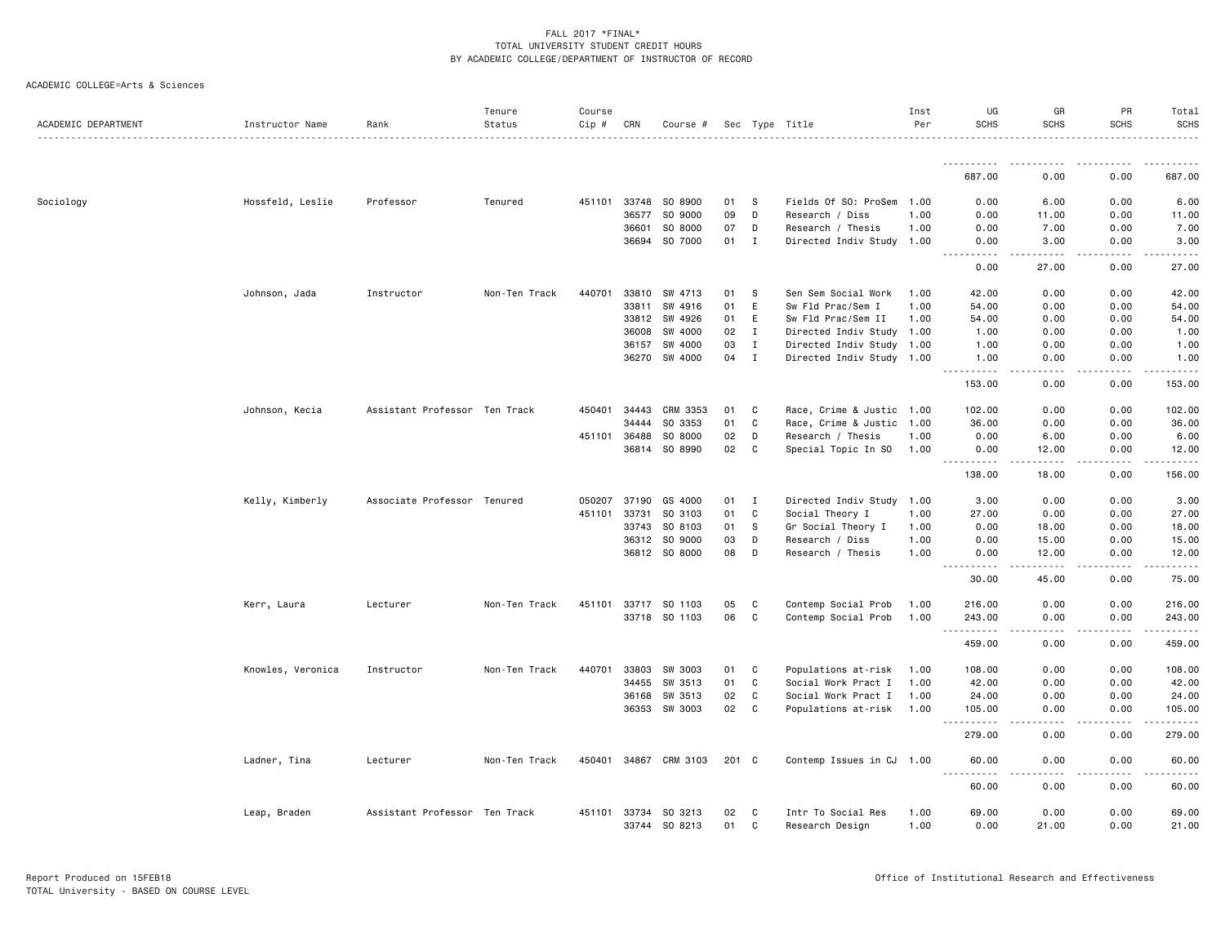| ACADEMIC COLLEGE=Arts & Sciences |  |
|----------------------------------|--|
|                                  |  |

| ACADEMIC DEPARTMENT | Instructor Name   | Rank                          | Tenure<br>Status | Course<br>Cip # | CRN            | Course #             |          |              | Sec Type Title                               | Inst<br>Per  | UG<br><b>SCHS</b>                                           | GR<br><b>SCHS</b> | PR<br><b>SCHS</b> | Total<br>SCHS                                                                                                                                                                             |
|---------------------|-------------------|-------------------------------|------------------|-----------------|----------------|----------------------|----------|--------------|----------------------------------------------|--------------|-------------------------------------------------------------|-------------------|-------------------|-------------------------------------------------------------------------------------------------------------------------------------------------------------------------------------------|
|                     |                   |                               |                  |                 |                |                      |          |              |                                              |              |                                                             |                   |                   |                                                                                                                                                                                           |
|                     |                   |                               |                  |                 |                |                      |          |              |                                              |              | 687.00                                                      | 0.00              | 0.00              | 687.00                                                                                                                                                                                    |
| Sociology           | Hossfeld, Leslie  | Professor                     | Tenured          | 451101          | 33748          | SO 8900              | 01       | -S           | Fields Of SO: ProSem 1.00                    |              | 0.00                                                        | 6.00              | 0.00              | 6.00                                                                                                                                                                                      |
|                     |                   |                               |                  |                 | 36577          | SO 9000              | 09       | D            | Research / Diss                              | 1.00         | 0.00                                                        | 11.00             | 0.00              | 11.00                                                                                                                                                                                     |
|                     |                   |                               |                  |                 | 36601          | SO 8000              | 07       | D            | Research / Thesis                            | 1.00         | 0.00                                                        | 7.00              | 0.00              | 7.00                                                                                                                                                                                      |
|                     |                   |                               |                  |                 | 36694          | SO 7000              | 01       | $\mathbf{I}$ | Directed Indiv Study 1.00                    |              | 0.00<br>$\sim$ $\sim$ $\sim$ $\sim$<br>$\sim$ $\sim$ $\sim$ | 3.00<br>.         | 0.00<br>.         | 3.00<br>$- - - -$                                                                                                                                                                         |
|                     |                   |                               |                  |                 |                |                      |          |              |                                              |              | 0.00                                                        | 27.00             | 0.00              | 27.00                                                                                                                                                                                     |
|                     | Johnson, Jada     | Instructor                    | Non-Ten Track    | 440701          |                | 33810 SW 4713        | 01       | $\mathbf{s}$ | Sen Sem Social Work                          | 1.00         | 42.00                                                       | 0.00              | 0.00              | 42.00                                                                                                                                                                                     |
|                     |                   |                               |                  |                 | 33811          | SW 4916              | 01       | E            | Sw Fld Prac/Sem I                            | 1.00         | 54.00                                                       | 0.00              | 0.00              | 54.00                                                                                                                                                                                     |
|                     |                   |                               |                  |                 | 33812          | SW 4926              | 01       | E            | Sw Fld Prac/Sem II                           | 1.00         | 54.00                                                       | 0.00              | 0.00              | 54.00                                                                                                                                                                                     |
|                     |                   |                               |                  |                 | 36008          | SW 4000              | 02       | $\mathbf{I}$ | Directed Indiv Study 1.00                    |              | 1.00                                                        | 0.00              | 0.00              | 1.00                                                                                                                                                                                      |
|                     |                   |                               |                  |                 | 36157          | SW 4000              | 03       | $\mathbf{I}$ | Directed Indiv Study 1.00                    |              | 1.00                                                        | 0.00              | 0.00              | 1.00                                                                                                                                                                                      |
|                     |                   |                               |                  |                 | 36270          | SW 4000              | 04       | $\mathbf I$  | Directed Indiv Study 1.00                    |              | 1.00<br>.                                                   | 0.00<br>.         | 0.00<br>.         | 1.00<br>.                                                                                                                                                                                 |
|                     |                   |                               |                  |                 |                |                      |          |              |                                              |              | 153.00                                                      | 0.00              | 0.00              | 153.00                                                                                                                                                                                    |
|                     | Johnson, Kecia    | Assistant Professor Ten Track |                  | 450401          | 34443          | CRM 3353             | 01       | C            | Race, Crime & Justic 1.00                    |              | 102.00                                                      | 0.00              | 0.00              | 102.00                                                                                                                                                                                    |
|                     |                   |                               |                  |                 | 34444          | SO 3353              | 01       | C            | Race, Crime & Justic 1.00                    |              | 36.00                                                       | 0.00              | 0.00              | 36.00                                                                                                                                                                                     |
|                     |                   |                               |                  | 451101          | 36488          | SO 8000              | 02       | D            | Research / Thesis                            | 1.00         | 0.00                                                        | 6.00              | 0.00              | 6.00                                                                                                                                                                                      |
|                     |                   |                               |                  |                 | 36814          | SO 8990              | 02       | C            | Special Topic In SO                          | 1.00         | 0.00                                                        | 12.00             | 0.00              | 12.00                                                                                                                                                                                     |
|                     |                   |                               |                  |                 |                |                      |          |              |                                              |              | <u>.</u><br>138.00                                          | .<br>18.00        | -----<br>0.00     | .<br>156.00                                                                                                                                                                               |
|                     |                   | Associate Professor Tenured   |                  | 050207          | 37190          | GS 4000              | 01       | $\mathbf{I}$ |                                              |              | 3.00                                                        | 0.00              | 0.00              |                                                                                                                                                                                           |
|                     | Kelly, Kimberly   |                               |                  | 451101          | 33731          | SO 3103              | 01       | C            | Directed Indiv Study 1.00<br>Social Theory I | 1.00         | 27.00                                                       | 0.00              | 0.00              | 3.00<br>27.00                                                                                                                                                                             |
|                     |                   |                               |                  |                 | 33743          | SO 8103              | 01       | - S          | Gr Social Theory I                           | 1.00         | 0.00                                                        | 18.00             | 0.00              | 18.00                                                                                                                                                                                     |
|                     |                   |                               |                  |                 | 36312          | SO 9000              | 03       | D            | Research / Diss                              | 1.00         | 0.00                                                        | 15.00             | 0.00              | 15.00                                                                                                                                                                                     |
|                     |                   |                               |                  |                 | 36812          | SO 8000              | 08       | D            | Research / Thesis                            | 1.00         | 0.00                                                        | 12.00             | 0.00              | 12.00                                                                                                                                                                                     |
|                     |                   |                               |                  |                 |                |                      |          |              |                                              |              | .<br>30.00                                                  | -----<br>45.00    | .<br>0.00         | .<br>75.00                                                                                                                                                                                |
|                     | Kerr, Laura       | Lecturer                      | Non-Ten Track    |                 |                | 451101 33717 SO 1103 | 05       | C            | Contemp Social Prob                          | 1.00         | 216.00                                                      | 0.00              | 0.00              | 216.00                                                                                                                                                                                    |
|                     |                   |                               |                  |                 |                | 33718 SO 1103        | 06       | C            | Contemp Social Prob                          | 1.00         | 243.00<br>1.1.1.1.1                                         | 0.00<br>د د د د   | 0.00              | 243.00<br>$\frac{1}{2} \left( \frac{1}{2} \right) \left( \frac{1}{2} \right) \left( \frac{1}{2} \right) \left( \frac{1}{2} \right) \left( \frac{1}{2} \right) \left( \frac{1}{2} \right)$ |
|                     |                   |                               |                  |                 |                |                      |          |              |                                              |              | $\sim$ $\sim$ $\sim$<br>459.00                              | 0.00              | .<br>0.00         | 459.00                                                                                                                                                                                    |
|                     | Knowles, Veronica | Instructor                    | Non-Ten Track    | 440701          | 33803          | SW 3003              | 01       | C            | Populations at-risk                          | 1.00         | 108.00                                                      | 0.00              | 0.00              | 108.00                                                                                                                                                                                    |
|                     |                   |                               |                  |                 | 34455          | SW 3513              | 01       | C            | Social Work Pract I                          | 1.00         | 42.00                                                       | 0.00              | 0.00              | 42.00                                                                                                                                                                                     |
|                     |                   |                               |                  |                 | 36168          | SW 3513              | 02       | C            | Social Work Pract I                          | 1.00         | 24.00                                                       | 0.00              | 0.00              | 24.00                                                                                                                                                                                     |
|                     |                   |                               |                  |                 | 36353          | SW 3003              | 02       | C            | Populations at-risk                          | 1.00         | 105.00<br>المتمام المتحدة<br>$\sim$ $\sim$ $\sim$           | 0.00              | 0.00              | 105.00                                                                                                                                                                                    |
|                     |                   |                               |                  |                 |                |                      |          |              |                                              |              | 279.00                                                      | 0.00              | 0.00              | 279.00                                                                                                                                                                                    |
|                     | Ladner, Tina      | Lecturer                      | Non-Ten Track    | 450401          | 34867          | CRM 3103             | 201 C    |              | Contemp Issues in CJ 1.00                    |              | 60.00                                                       | 0.00              | 0.00              | 60.00                                                                                                                                                                                     |
|                     |                   |                               |                  |                 |                |                      |          |              |                                              |              | $\sim$ $\sim$ $\sim$<br>60.00                               | .<br>0.00         | .<br>0.00         | .<br>60.00                                                                                                                                                                                |
|                     | Leap, Braden      | Assistant Professor Ten Track |                  | 451101          | 33734<br>33744 | SO 3213<br>SO 8213   | 02<br>01 | C<br>C       | Intr To Social Res<br>Research Design        | 1.00<br>1.00 | 69.00<br>0.00                                               | 0.00<br>21.00     | 0.00<br>0.00      | 69.00<br>21.00                                                                                                                                                                            |
|                     |                   |                               |                  |                 |                |                      |          |              |                                              |              |                                                             |                   |                   |                                                                                                                                                                                           |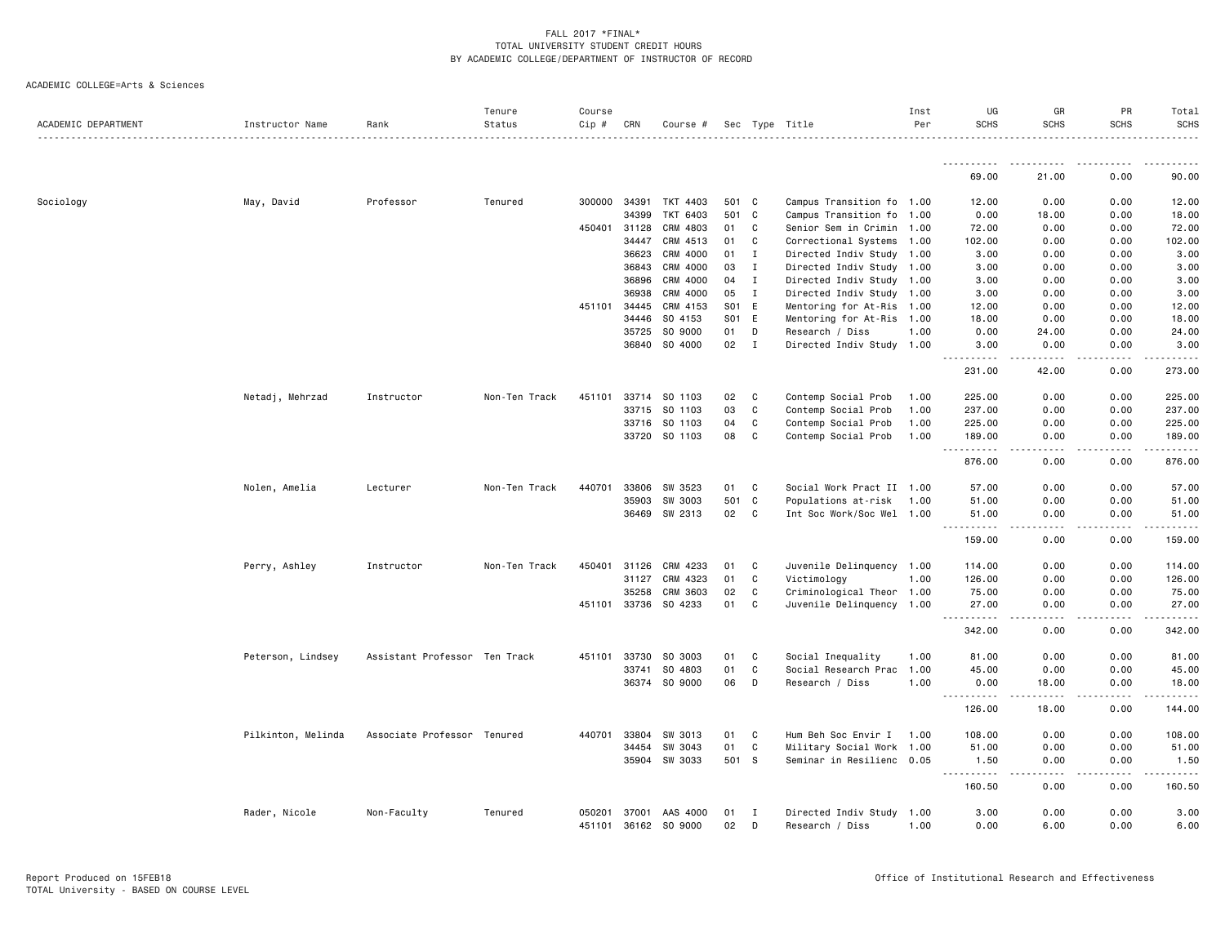| ACADEMIC DEPARTMENT | Instructor Name    | Rank                          | Tenure<br>Status | Course<br>Cip # | CRN   | Course #      |       |              | Sec Type Title            | Inst<br>Per | UG<br><b>SCHS</b> | GR<br><b>SCHS</b> | PR<br><b>SCHS</b> | Total<br><b>SCHS</b> |
|---------------------|--------------------|-------------------------------|------------------|-----------------|-------|---------------|-------|--------------|---------------------------|-------------|-------------------|-------------------|-------------------|----------------------|
|                     |                    |                               |                  |                 |       |               |       |              |                           |             |                   |                   |                   |                      |
|                     |                    |                               |                  |                 |       |               |       |              |                           |             | .<br>69.00        | 21.00             | 0.00              | 90.00                |
| Sociology           | May, David         | Professor                     | Tenured          | 300000 34391    |       | TKT 4403      | 501 C |              | Campus Transition fo 1.00 |             | 12.00             | 0.00              | 0.00              | 12.00                |
|                     |                    |                               |                  |                 | 34399 | TKT 6403      | 501   | $\mathbf{C}$ | Campus Transition fo 1.00 |             | 0.00              | 18.00             | 0.00              | 18.00                |
|                     |                    |                               |                  | 450401          | 31128 | CRM 4803      | 01    | C            | Senior Sem in Crimin 1.00 |             | 72.00             | 0.00              | 0.00              | 72.00                |
|                     |                    |                               |                  |                 | 34447 | CRM 4513      | 01    | C            | Correctional Systems      | 1.00        | 102.00            | 0.00              | 0.00              | 102.00               |
|                     |                    |                               |                  |                 | 36623 | CRM 4000      | 01    | $\mathbf I$  | Directed Indiv Study 1.00 |             | 3.00              | 0.00              | 0.00              | 3.00                 |
|                     |                    |                               |                  |                 | 36843 | CRM 4000      | 03    | I            | Directed Indiv Study      | 1.00        | 3.00              | 0.00              | 0.00              | 3.00                 |
|                     |                    |                               |                  |                 | 36896 | CRM 4000      | 04    | $\mathbf{I}$ | Directed Indiv Study 1.00 |             | 3.00              | 0.00              | 0.00              | 3.00                 |
|                     |                    |                               |                  |                 | 36938 | CRM 4000      | 05    | $\mathbf{I}$ | Directed Indiv Study 1.00 |             | 3.00              | 0.00              | 0.00              | 3.00                 |
|                     |                    |                               |                  | 451101          | 34445 | CRM 4153      | S01   | E            | Mentoring for At-Ris      | 1.00        | 12.00             | 0.00              | 0.00              | 12.00                |
|                     |                    |                               |                  |                 | 34446 | SO 4153       | S01 E |              | Mentoring for At-Ris 1.00 |             | 18.00             | 0.00              | 0.00              | 18.00                |
|                     |                    |                               |                  |                 | 35725 | SO 9000       | 01    | D            | Research / Diss           | 1.00        | 0.00              | 24.00             | 0.00              | 24.00                |
|                     |                    |                               |                  |                 | 36840 | SO 4000       | 02    | $\mathbf{I}$ | Directed Indiv Study 1.00 |             | 3.00<br>.         | 0.00<br>.         | 0.00              | 3.00                 |
|                     |                    |                               |                  |                 |       |               |       |              |                           |             | 231.00            | 42.00             | 0.00              | 273.00               |
|                     | Netadj, Mehrzad    | Instructor                    | Non-Ten Track    | 451101          | 33714 | SO 1103       | 02    | C            | Contemp Social Prob       | 1.00        | 225.00            | 0.00              | 0.00              | 225.00               |
|                     |                    |                               |                  |                 | 33715 | SO 1103       | 03    | C            | Contemp Social Prob       | 1.00        | 237.00            | 0.00              | 0.00              | 237.00               |
|                     |                    |                               |                  |                 | 33716 | SO 1103       | 04    | C            | Contemp Social Prob       | 1.00        | 225.00            | 0.00              | 0.00              | 225.00               |
|                     |                    |                               |                  |                 | 33720 | SO 1103       | 08    | C            | Contemp Social Prob       | 1.00        | 189.00<br>$  -$   | 0.00              | 0.00              | 189.00               |
|                     |                    |                               |                  |                 |       |               |       |              |                           |             | 876.00            | 0.00              | 0.00              | 876.00               |
|                     | Nolen, Amelia      | Lecturer                      | Non-Ten Track    | 440701          | 33806 | SW 3523       | 01    | C            | Social Work Pract II 1.00 |             | 57.00             | 0.00              | 0.00              | 57.00                |
|                     |                    |                               |                  |                 | 35903 | SW 3003       | 501   | $\mathbf{C}$ | Populations at-risk       | 1.00        | 51.00             | 0.00              | 0.00              | 51.00                |
|                     |                    |                               |                  |                 | 36469 | SW 2313       | 02 C  |              | Int Soc Work/Soc Wel 1.00 |             | 51.00             | 0.00              | 0.00              | 51.00                |
|                     |                    |                               |                  |                 |       |               |       |              |                           |             | 159.00            | 0.00              | 0.00              | 159.00               |
|                     | Perry, Ashley      | Instructor                    | Non-Ten Track    | 450401          | 31126 | CRM 4233      | 01    | C            | Juvenile Delinquency 1.00 |             | 114.00            | 0.00              | 0.00              | 114.00               |
|                     |                    |                               |                  |                 | 31127 | CRM 4323      | 01    | C            | Victimology               | 1.00        | 126.00            | 0.00              | 0.00              | 126.00               |
|                     |                    |                               |                  |                 | 35258 | CRM 3603      | 02    | C            | Criminological Theor 1.00 |             | 75.00             | 0.00              | 0.00              | 75.00                |
|                     |                    |                               |                  | 451101 33736    |       | SO 4233       | 01    | C            | Juvenile Delinquency 1.00 |             | 27.00<br><u>.</u> | 0.00<br>.         | 0.00<br>-----     | 27.00<br>.           |
|                     |                    |                               |                  |                 |       |               |       |              |                           |             | 342.00            | 0.00              | 0.00              | 342.00               |
|                     | Peterson, Lindsey  | Assistant Professor Ten Track |                  | 451101          | 33730 | SO 3003       | 01    | C            | Social Inequality         | 1.00        | 81.00             | 0.00              | 0.00              | 81.00                |
|                     |                    |                               |                  |                 | 33741 | SO 4803       | 01    | $\mathtt{C}$ | Social Research Prac 1.00 |             | 45.00             | 0.00              | 0.00              | 45.00                |
|                     |                    |                               |                  |                 |       | 36374 SO 9000 | 06    | D            | Research / Diss           | 1.00        | 0.00<br>.         | 18.00<br>.        | 0.00<br>-----     | 18.00<br>.           |
|                     |                    |                               |                  |                 |       |               |       |              |                           |             | 126.00            | 18.00             | 0.00              | 144.00               |
|                     | Pilkinton, Melinda | Associate Professor Tenured   |                  | 440701          | 33804 | SW 3013       | 01    | C            | Hum Beh Soc Envir I       | 1.00        | 108.00            | 0.00              | 0.00              | 108.00               |
|                     |                    |                               |                  |                 | 34454 | SW 3043       | 01    | C            | Military Social Work 1.00 |             | 51.00             | 0.00              | 0.00              | 51.00                |
|                     |                    |                               |                  |                 | 35904 | SW 3033       | 501 S |              | Seminar in Resilienc 0.05 |             | 1.50              | 0.00              | 0.00              | 1.50                 |
|                     |                    |                               |                  |                 |       |               |       |              |                           |             | 160.50            | 0.00              | 0.00              | 160.50               |
|                     | Rader, Nicole      | Non-Faculty                   | Tenured          | 050201          | 37001 | AAS 4000      | 01    | I            | Directed Indiv Study      | 1.00        | 3.00              | 0.00              | 0.00              | 3.00                 |
|                     |                    |                               |                  | 451101 36162    |       | SO 9000       | 02    | D            | Research / Diss           | 1.00        | 0.00              | 6.00              | 0.00              | 6.00                 |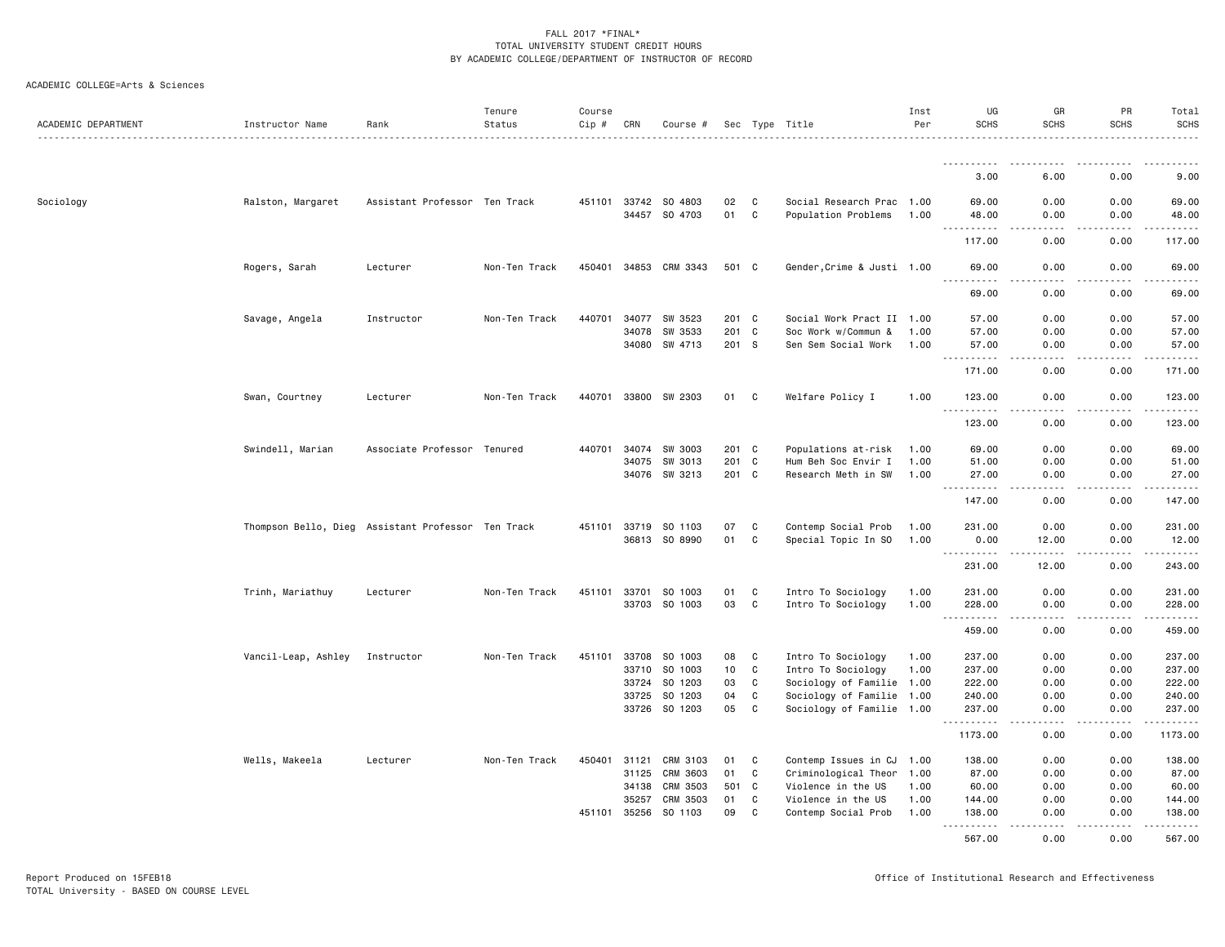| ACADEMIC DEPARTMENT | Instructor Name                                    | Rank                          | Tenure<br>Status | Course<br>Cip # | CRN          | Course #             |       |             | Sec Type Title             | Inst<br>Per | UG<br><b>SCHS</b>                         | GR<br><b>SCHS</b> | PR<br><b>SCHS</b>                   | Total<br><b>SCHS</b>                                                                                                                                                                      |
|---------------------|----------------------------------------------------|-------------------------------|------------------|-----------------|--------------|----------------------|-------|-------------|----------------------------|-------------|-------------------------------------------|-------------------|-------------------------------------|-------------------------------------------------------------------------------------------------------------------------------------------------------------------------------------------|
|                     |                                                    |                               |                  |                 |              |                      |       |             |                            |             |                                           |                   |                                     |                                                                                                                                                                                           |
|                     |                                                    |                               |                  |                 |              |                      |       |             |                            |             | 3.00                                      | 6.00              | 0.00                                | 9.00                                                                                                                                                                                      |
| Sociology           | Ralston, Margaret                                  | Assistant Professor Ten Track |                  |                 |              | 451101 33742 SO 4803 | 02    | C           | Social Research Prac 1.00  |             | 69.00                                     | 0.00              | 0.00                                | 69.00                                                                                                                                                                                     |
|                     |                                                    |                               |                  |                 |              | 34457 SO 4703        | 01    | C           | Population Problems        | 1.00        | 48.00<br>$- - - - -$                      | 0.00<br>$\cdots$  | 0.00<br>.                           | 48.00<br>.                                                                                                                                                                                |
|                     |                                                    |                               |                  |                 |              |                      |       |             |                            |             | 117.00                                    | 0.00              | 0.00                                | 117.00                                                                                                                                                                                    |
|                     | Rogers, Sarah                                      | Lecturer                      | Non-Ten Track    | 450401          | 34853        | CRM 3343             | 501 C |             | Gender, Crime & Justi 1.00 |             | 69.00<br>. <u>.</u>                       | 0.00<br>$- - -$   | 0.00<br>.                           | 69.00<br>.                                                                                                                                                                                |
|                     |                                                    |                               |                  |                 |              |                      |       |             |                            |             | 69.00                                     | 0.00              | 0.00                                | 69.00                                                                                                                                                                                     |
|                     | Savage, Angela                                     | Instructor                    | Non-Ten Track    | 440701          | 34077        | SW 3523              | 201 C |             | Social Work Pract II 1.00  |             | 57.00                                     | 0.00              | 0.00                                | 57.00                                                                                                                                                                                     |
|                     |                                                    |                               |                  |                 | 34078        | SW 3533              | 201   | C           | Soc Work w/Commun &        | 1.00        | 57.00                                     | 0.00              | 0.00                                | 57.00                                                                                                                                                                                     |
|                     |                                                    |                               |                  |                 |              | 34080 SW 4713        | 201 S |             | Sen Sem Social Work        | 1.00        | 57.00<br><u>.</u><br>$\sim$ $\sim$ $\sim$ | 0.00<br>د د د د   | 0.00<br>.                           | 57.00<br>.                                                                                                                                                                                |
|                     |                                                    |                               |                  |                 |              |                      |       |             |                            |             | 171.00                                    | 0.00              | 0.00                                | 171.00                                                                                                                                                                                    |
|                     | Swan, Courtney                                     | Lecturer                      | Non-Ten Track    | 440701          | 33800        | SW 2303              | 01    | C           | Welfare Policy I           | 1.00        | 123.00                                    | 0.00              | 0.00                                | 123.00                                                                                                                                                                                    |
|                     |                                                    |                               |                  |                 |              |                      |       |             |                            |             | $\sim$ $\sim$ $\sim$<br>.<br>123.00       | 0.00              | 0.00                                | .<br>123.00                                                                                                                                                                               |
|                     | Swindell, Marian                                   | Associate Professor Tenured   |                  | 440701          | 34074        | SW 3003              | 201 C |             | Populations at-risk        | 1.00        | 69.00                                     | 0.00              | 0.00                                | 69.00                                                                                                                                                                                     |
|                     |                                                    |                               |                  |                 | 34075        | SW 3013              | 201 C |             | Hum Beh Soc Envir I        | 1.00        | 51.00                                     | 0.00              | 0.00                                | 51.00                                                                                                                                                                                     |
|                     |                                                    |                               |                  |                 | 34076        | SW 3213              | 201 C |             | Research Meth in SW        | 1.00        | 27.00<br><u>.</u>                         | 0.00<br>.         | 0.00<br>.                           | 27.00<br>.                                                                                                                                                                                |
|                     |                                                    |                               |                  |                 |              |                      |       |             |                            |             | 147.00                                    | 0.00              | 0.00                                | 147.00                                                                                                                                                                                    |
|                     | Thompson Bello, Dieg Assistant Professor Ten Track |                               |                  |                 | 451101 33719 | SO 1103              | 07    | C           | Contemp Social Prob        | 1.00        | 231.00                                    | 0.00              | 0.00                                | 231.00                                                                                                                                                                                    |
|                     |                                                    |                               |                  |                 |              | 36813 SO 8990        | 01    | C           | Special Topic In SO        | 1.00        | 0.00<br><u>.</u>                          | 12.00<br>.        | 0.00                                | 12.00                                                                                                                                                                                     |
|                     |                                                    |                               |                  |                 |              |                      |       |             |                            |             | 231.00                                    | 12.00             | .<br>0.00                           | $\frac{1}{2} \left( \frac{1}{2} \right) \left( \frac{1}{2} \right) \left( \frac{1}{2} \right) \left( \frac{1}{2} \right) \left( \frac{1}{2} \right) \left( \frac{1}{2} \right)$<br>243.00 |
|                     | Trinh, Mariathuy                                   | Lecturer                      | Non-Ten Track    | 451101          | 33701        | SO 1003              | 01    | C           | Intro To Sociology         | 1.00        | 231.00                                    | 0.00              | 0.00                                | 231.00                                                                                                                                                                                    |
|                     |                                                    |                               |                  |                 | 33703        | SO 1003              | 03    | $\mathbf c$ | Intro To Sociology         | 1.00        | 228.00                                    | 0.00              | 0.00                                | 228.00<br>.                                                                                                                                                                               |
|                     |                                                    |                               |                  |                 |              |                      |       |             |                            |             | 459.00                                    | 0.00              | 0.00                                | 459.00                                                                                                                                                                                    |
|                     | Vancil-Leap, Ashley                                | Instructor                    | Non-Ten Track    | 451101          | 33708        | SO 1003              | 08    | C           | Intro To Sociology         | 1.00        | 237.00                                    | 0.00              | 0.00                                | 237.00                                                                                                                                                                                    |
|                     |                                                    |                               |                  |                 | 33710        | SO 1003              | 10    | C           | Intro To Sociology         | 1.00        | 237.00                                    | 0.00              | 0.00                                | 237.00                                                                                                                                                                                    |
|                     |                                                    |                               |                  |                 | 33724        | SO 1203              | 03    | C           | Sociology of Familie 1.00  |             | 222.00                                    | 0.00              | 0.00                                | 222.00                                                                                                                                                                                    |
|                     |                                                    |                               |                  |                 | 33725        | SO 1203              | 04    | C           | Sociology of Familie 1.00  |             | 240.00                                    | 0.00              | 0.00                                | 240.00                                                                                                                                                                                    |
|                     |                                                    |                               |                  |                 | 33726        | SO 1203              | 05    | C           | Sociology of Familie 1.00  |             | 237.00                                    | 0.00<br>.         | 0.00<br>$\sim$ $\sim$ $\sim$ $\sim$ | 237.00<br>.                                                                                                                                                                               |
|                     |                                                    |                               |                  |                 |              |                      |       |             |                            |             | 1173.00                                   | 0.00              | 0.00                                | 1173.00                                                                                                                                                                                   |
|                     | Wells, Makeela                                     | Lecturer                      | Non-Ten Track    | 450401          | 31121        | CRM 3103             | 01    | C           | Contemp Issues in CJ 1.00  |             | 138.00                                    | 0.00              | 0.00                                | 138.00                                                                                                                                                                                    |
|                     |                                                    |                               |                  |                 | 31125        | CRM 3603             | 01    | C           | Criminological Theor 1.00  |             | 87.00                                     | 0.00              | 0.00                                | 87.00                                                                                                                                                                                     |
|                     |                                                    |                               |                  |                 | 34138        | CRM 3503             | 501 C |             | Violence in the US         | 1.00        | 60.00                                     | 0.00              | 0.00                                | 60.00                                                                                                                                                                                     |
|                     |                                                    |                               |                  |                 | 35257        | CRM 3503             | 01    | C           | Violence in the US         | 1.00        | 144.00                                    | 0.00              | 0.00                                | 144.00                                                                                                                                                                                    |
|                     |                                                    |                               |                  | 451101          | 35256        | SO 1103              | 09    | C           | Contemp Social Prob        | 1.00        | 138.00<br><u>.</u>                        | 0.00              | 0.00                                | 138.00<br>$\frac{1}{2} \left( \frac{1}{2} \right) \left( \frac{1}{2} \right) \left( \frac{1}{2} \right) \left( \frac{1}{2} \right) \left( \frac{1}{2} \right) \left( \frac{1}{2} \right)$ |
|                     |                                                    |                               |                  |                 |              |                      |       |             |                            |             | 567.00                                    | 0.00              | 0.00                                | 567.00                                                                                                                                                                                    |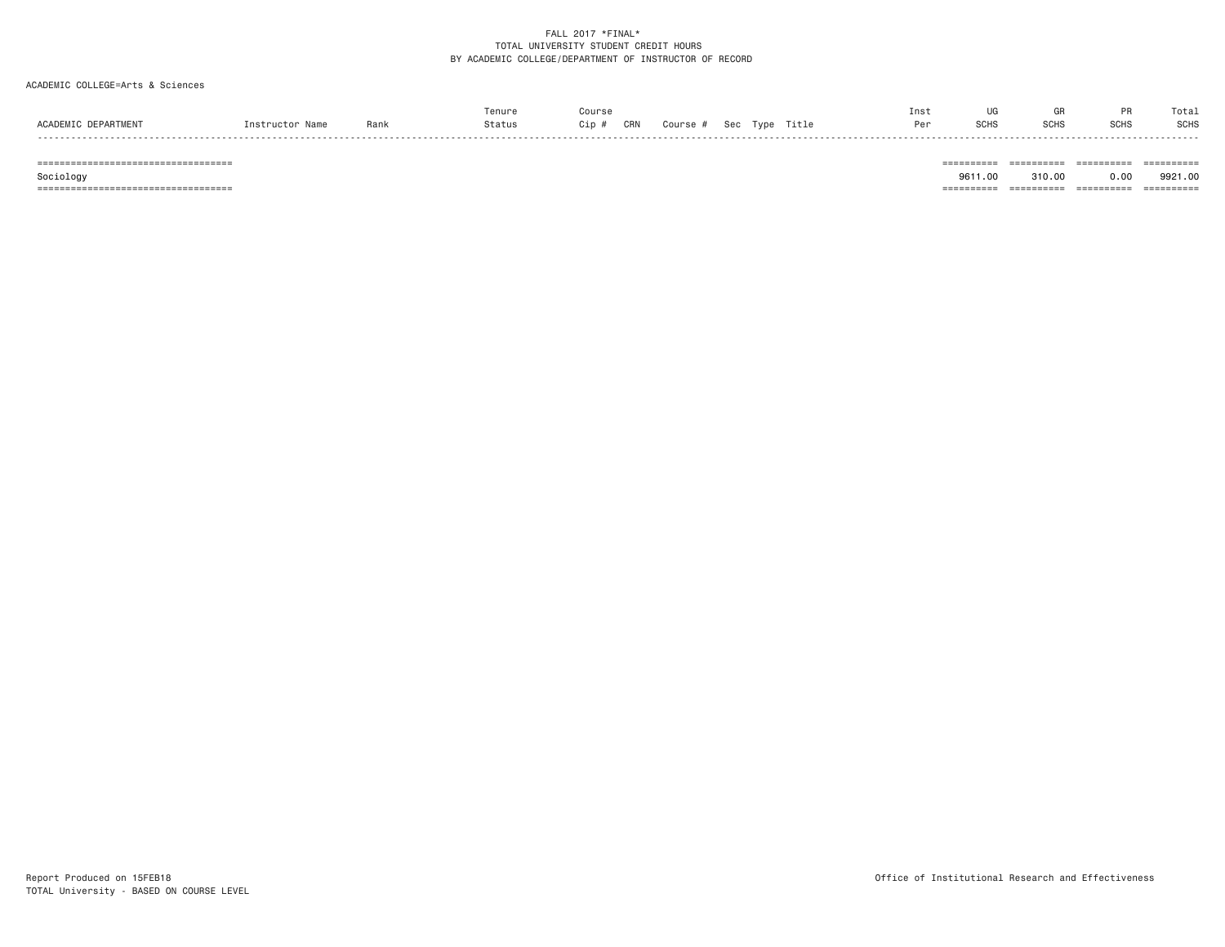# ACADEMIC COLLEGE=Arts & Sciences

|                                        |                    |      | enur   | Cours        |                                | Insi |             |             | Total       |
|----------------------------------------|--------------------|------|--------|--------------|--------------------------------|------|-------------|-------------|-------------|
| <b>PARTMEN</b><br>ACADEMT <sup>-</sup> | Name<br>.nstructor | Rank | Status | CRN<br>Cip # | Course<br>Title<br>Tuno<br>Sec | Per  | <b>SCHS</b> | <b>SCHS</b> | <b>SCHS</b> |
|                                        |                    |      |        |              |                                |      |             |             |             |

 =================================== ========== ========== ========== ========== Sociology 9611.00 310.00 0.00 9921.00 =================================== ========== ========== ========== ==========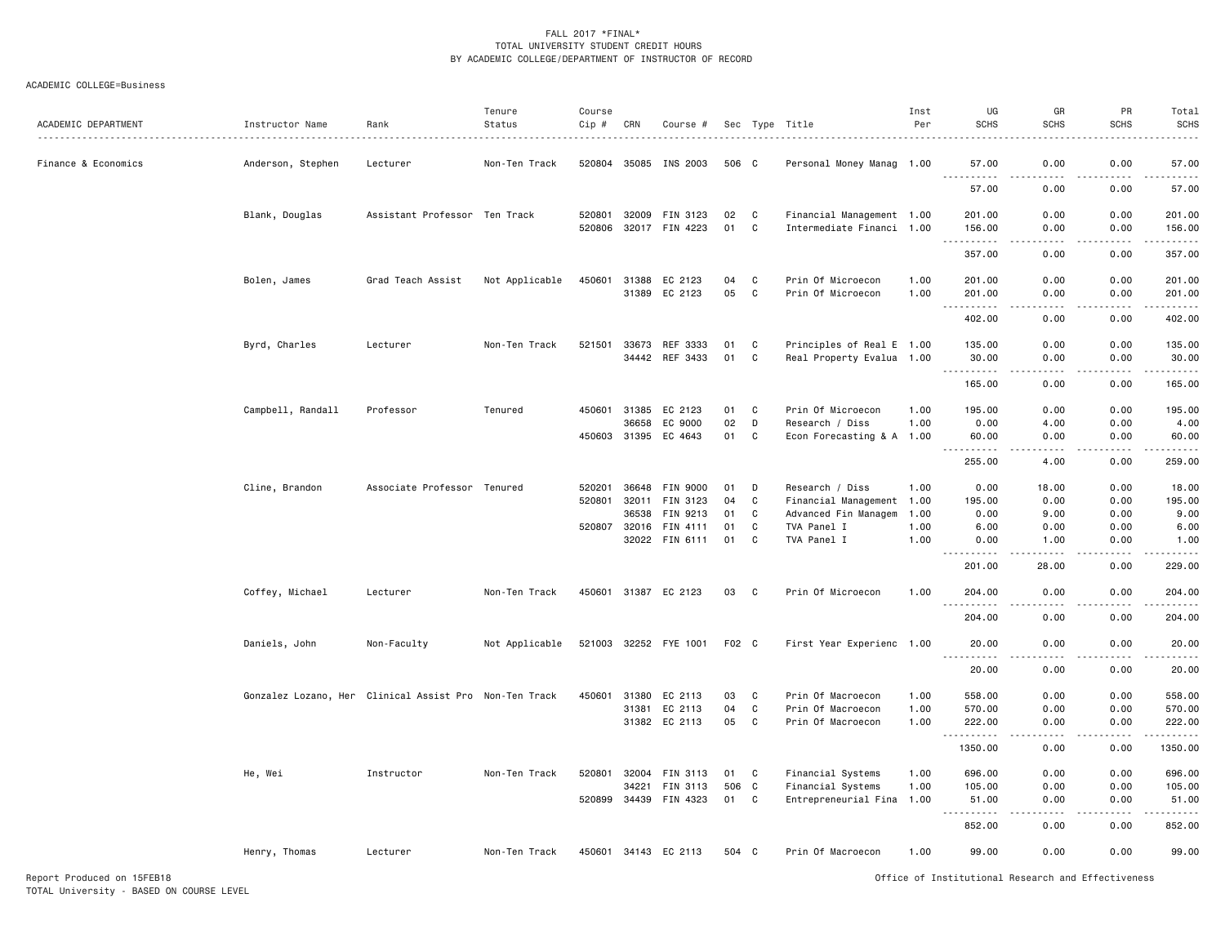| ACADEMIC DEPARTMENT | Instructor Name                                        | Rank                          | Tenure<br>Status | Course<br>Cip # | CRN          | Course #              |       |    | Sec Type Title            | Inst<br>Per | UG<br><b>SCHS</b>                   | GR<br><b>SCHS</b> | PR<br><b>SCHS</b> | Total<br><b>SCHS</b>  |
|---------------------|--------------------------------------------------------|-------------------------------|------------------|-----------------|--------------|-----------------------|-------|----|---------------------------|-------------|-------------------------------------|-------------------|-------------------|-----------------------|
| Finance & Economics | Anderson, Stephen                                      | Lecturer                      | Non-Ten Track    |                 |              | 520804 35085 INS 2003 | 506 C |    | Personal Money Manag 1.00 |             | 57.00<br>.                          | 0.00<br>.         | 0.00              | 57.00<br>.            |
|                     |                                                        |                               |                  |                 |              |                       |       |    |                           |             | 57.00                               | 0.00              | 0.00              | 57.00                 |
|                     | Blank, Douglas                                         | Assistant Professor Ten Track |                  |                 |              | 520801 32009 FIN 3123 | 02    | C  | Financial Management 1.00 |             | 201.00                              | 0.00              | 0.00              | 201.00                |
|                     |                                                        |                               |                  |                 |              | 520806 32017 FIN 4223 | 01    | C  | Intermediate Financi 1.00 |             | 156.00<br>.<br>$  -$                | 0.00<br>.         | 0.00<br>.         | 156.00<br>.           |
|                     |                                                        |                               |                  |                 |              |                       |       |    |                           |             | 357.00                              | 0.00              | 0.00              | 357.00                |
|                     | Bolen, James                                           | Grad Teach Assist             | Not Applicable   |                 |              | 450601 31388 EC 2123  | 04    | C  | Prin Of Microecon         | 1.00        | 201.00                              | 0.00              | 0.00              | 201.00                |
|                     |                                                        |                               |                  |                 |              | 31389 EC 2123         | 05    | C  | Prin Of Microecon         | 1.00        | 201.00<br>$\sim 10$<br>.            | 0.00<br>.         | 0.00<br>المتماما  | 201.00<br>2.2.2.2.2.  |
|                     |                                                        |                               |                  |                 |              |                       |       |    |                           |             | 402.00                              | 0.00              | 0.00              | 402.00                |
|                     | Byrd, Charles                                          | Lecturer                      | Non-Ten Track    | 521501          |              | 33673 REF 3333        | 01    | C  | Principles of Real E 1.00 |             | 135.00                              | 0.00              | 0.00              | 135.00                |
|                     |                                                        |                               |                  |                 |              | 34442 REF 3433        | 01    | C  | Real Property Evalua 1.00 |             | 30.00                               | 0.00              | 0.00              | 30.00                 |
|                     |                                                        |                               |                  |                 |              |                       |       |    |                           |             | .<br>165.00                         | .<br>0.00         | .<br>0.00         | د د د د د د<br>165.00 |
|                     | Campbell, Randall                                      | Professor                     | Tenured          |                 | 450601 31385 | EC 2123               | 01    | C  | Prin Of Microecon         | 1.00        | 195.00                              | 0.00              | 0.00              | 195.00                |
|                     |                                                        |                               |                  |                 | 36658        | EC 9000               | 02    | D  | Research / Diss           | 1.00        | 0.00                                | 4.00              | 0.00              | 4.00                  |
|                     |                                                        |                               |                  |                 | 450603 31395 | EC 4643               | 01    | C  | Econ Forecasting & A 1.00 |             | 60.00<br>. <b>.</b>                 | 0.00<br>$- - - -$ | 0.00<br>.         | 60.00<br>.            |
|                     |                                                        |                               |                  |                 |              |                       |       |    |                           |             | 255.00                              | 4.00              | 0.00              | 259.00                |
|                     | Cline, Brandon                                         | Associate Professor Tenured   |                  | 520201          | 36648        | FIN 9000              | 01    | D  | Research / Diss           | 1.00        | 0.00                                | 18.00             | 0.00              | 18.00                 |
|                     |                                                        |                               |                  | 520801          | 32011        | FIN 3123              | 04    | C  | Financial Management 1.00 |             | 195.00                              | 0.00              | 0.00              | 195.00                |
|                     |                                                        |                               |                  |                 | 36538        | FIN 9213              | 01    | C  | Advanced Fin Managem      | 1.00        | 0.00                                | 9.00              | 0.00              | 9.00                  |
|                     |                                                        |                               |                  |                 | 520807 32016 | FIN 4111              | 01    | C  | TVA Panel I               | 1.00        | 6.00                                | 0.00              | 0.00              | 6.00                  |
|                     |                                                        |                               |                  |                 |              | 32022 FIN 6111        | 01    | C  | TVA Panel I               | 1.00        | 0.00                                | 1.00              | 0.00              | 1.00                  |
|                     |                                                        |                               |                  |                 |              |                       |       |    |                           |             | 201.00                              | 28.00             | 0.00              | 229.00                |
|                     | Coffey, Michael                                        | Lecturer                      | Non-Ten Track    |                 |              | 450601 31387 EC 2123  | 03    | C. | Prin Of Microecon         | 1.00        | 204.00                              | 0.00              | 0.00              | 204.00                |
|                     |                                                        |                               |                  |                 |              |                       |       |    |                           |             | 204.00                              | 0.00              | 0.00              | 204.00                |
|                     | Daniels, John                                          | Non-Faculty                   | Not Applicable   |                 |              | 521003 32252 FYE 1001 | F02 C |    | First Year Experienc 1.00 |             | 20.00                               | 0.00              | 0.00              | 20.00                 |
|                     |                                                        |                               |                  |                 |              |                       |       |    |                           |             | 20.00                               | 0.00              | 0.00              | 20.00                 |
|                     | Gonzalez Lozano, Her Clinical Assist Pro Non-Ten Track |                               |                  | 450601          | 31380        | EC 2113               | 03    | C  | Prin Of Macroecon         | 1.00        | 558.00                              | 0.00              | 0.00              | 558.00                |
|                     |                                                        |                               |                  |                 |              | 31381 EC 2113         | 04    | C  | Prin Of Macroecon         | 1.00        | 570.00                              | 0.00              | 0.00              | 570.00                |
|                     |                                                        |                               |                  |                 |              | 31382 EC 2113         | 05    | C  | Prin Of Macroecon         | 1.00        | 222.00<br>.<br>$\sim$ $\sim$ $\sim$ | 0.00<br>د د د د   | 0.00<br>.         | 222.00<br>.           |
|                     |                                                        |                               |                  |                 |              |                       |       |    |                           |             | 1350.00                             | 0.00              | 0.00              | 1350.00               |
|                     | He, Wei                                                | Instructor                    | Non-Ten Track    | 520801          |              | 32004 FIN 3113        | 01    | C  | Financial Systems         | 1.00        | 696.00                              | 0.00              | 0.00              | 696.00                |
|                     |                                                        |                               |                  |                 | 34221        | FIN 3113              | 506   | C  | Financial Systems         | 1.00        | 105.00                              | 0.00              | 0.00              | 105.00                |
|                     |                                                        |                               |                  |                 |              | 520899 34439 FIN 4323 | 01    | C  | Entrepreneurial Fina 1.00 |             | 51.00<br>$\sim$ $\sim$ $\sim$<br>.  | 0.00<br>.         | 0.00<br>.         | 51.00<br>.            |
|                     |                                                        |                               |                  |                 |              |                       |       |    |                           |             | 852.00                              | 0.00              | 0.00              | 852.00                |
|                     | Henry, Thomas                                          | Lecturer                      | Non-Ten Track    |                 |              | 450601 34143 EC 2113  | 504 C |    | Prin Of Macroecon         | 1.00        | 99.00                               | 0.00              | 0.00              | 99.00                 |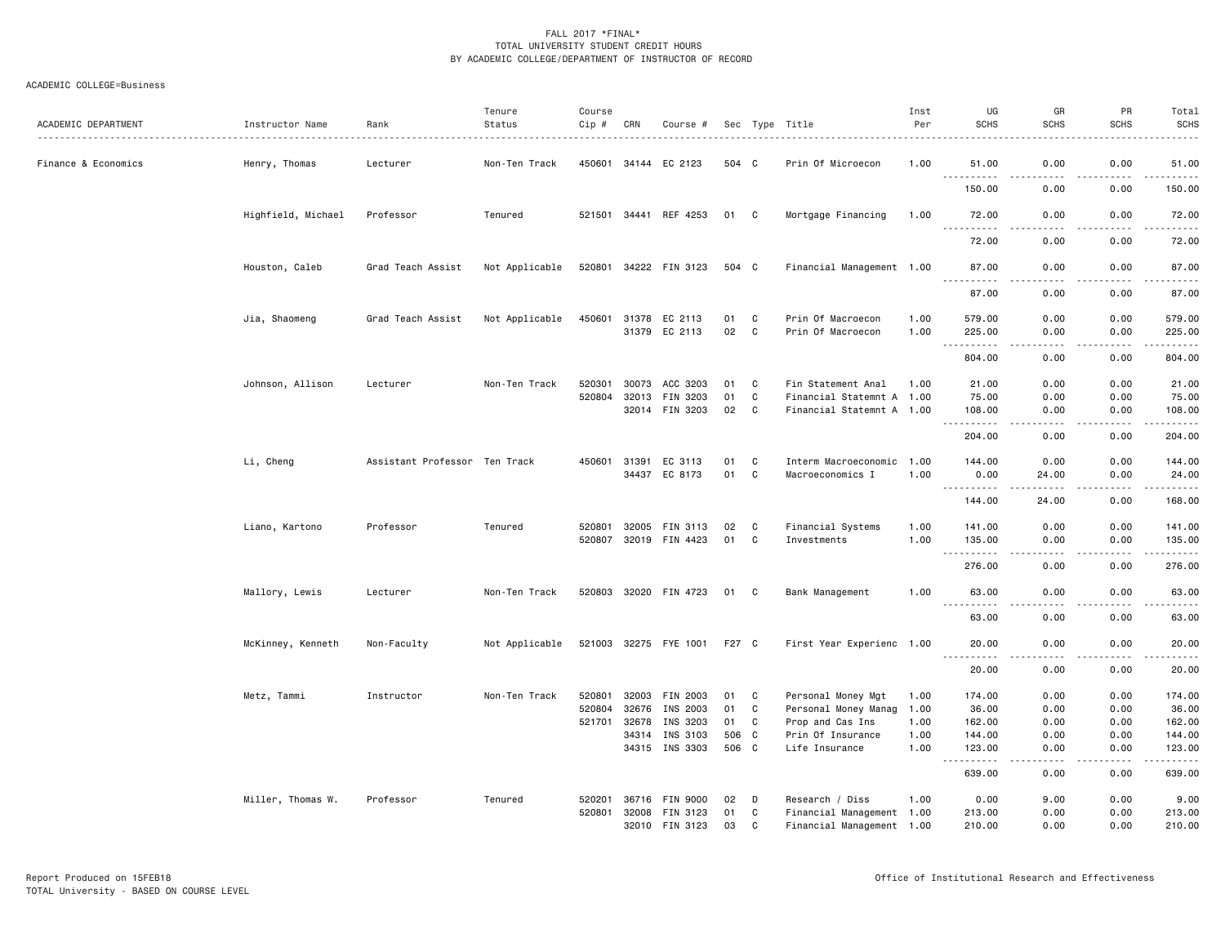| ACADEMIC DEPARTMENT | Instructor Name    | Rank                          | Tenure<br>Status | Course<br>Cip #  | CRN            | Course #                                |                |             | Sec Type Title                                                               | Inst<br>Per  | UG<br><b>SCHS</b>                         | GR<br><b>SCHS</b>                   | PR<br><b>SCHS</b>    | Total<br><b>SCHS</b>     |
|---------------------|--------------------|-------------------------------|------------------|------------------|----------------|-----------------------------------------|----------------|-------------|------------------------------------------------------------------------------|--------------|-------------------------------------------|-------------------------------------|----------------------|--------------------------|
| Finance & Economics | Henry, Thomas      | Lecturer                      | Non-Ten Track    |                  |                | 450601 34144 EC 2123                    | 504 C          |             | Prin Of Microecon                                                            | 1.00         | 51.00                                     | 0.00                                | 0.00                 | 51.00                    |
|                     |                    |                               |                  |                  |                |                                         |                |             |                                                                              |              | 150.00                                    | د د د د<br>0.00                     | 0.00                 | 150.00                   |
|                     | Highfield, Michael | Professor                     | Tenured          |                  |                | 521501 34441 REF 4253                   | 01             | C           | Mortgage Financing                                                           | 1.00         | 72.00<br><u>.</u><br>- - -                | 0.00<br>.                           | 0.00<br>.            | 72.00<br>.               |
|                     |                    |                               |                  |                  |                |                                         |                |             |                                                                              |              | 72.00                                     | 0.00                                | 0.00                 | 72.00                    |
|                     | Houston, Caleb     | Grad Teach Assist             | Not Applicable   |                  |                | 520801 34222 FIN 3123                   | 504 C          |             | Financial Management 1.00                                                    |              | 87.00<br>.                                | 0.00                                | 0.00                 | 87.00                    |
|                     |                    |                               |                  |                  |                |                                         |                |             |                                                                              |              | 87.00                                     | 0.00                                | 0.00                 | 87.00                    |
|                     | Jia, Shaomeng      | Grad Teach Assist             | Not Applicable   | 450601           | 31378          | EC 2113<br>31379 EC 2113                | 01<br>02       | C<br>C      | Prin Of Macroecon<br>Prin Of Macroecon                                       | 1.00<br>1.00 | 579.00<br>225.00                          | 0.00<br>0.00                        | 0.00<br>0.00         | 579.00<br>225.00         |
|                     |                    |                               |                  |                  |                |                                         |                |             |                                                                              |              | .<br>804.00                               | $\sim$ $\sim$ $\sim$ $\sim$<br>0.00 | .<br>0.00            | 2.2.2.2.2.4<br>804.00    |
|                     | Johnson, Allison   | Lecturer                      | Non-Ten Track    | 520301<br>520804 | 30073<br>32013 | ACC 3203<br>FIN 3203<br>32014 FIN 3203  | 01<br>01<br>02 | C<br>C<br>C | Fin Statement Anal<br>Financial Statemnt A 1.00<br>Financial Statemnt A 1.00 | 1.00         | 21.00<br>75.00<br>108.00                  | 0.00<br>0.00<br>0.00                | 0.00<br>0.00<br>0.00 | 21.00<br>75.00<br>108.00 |
|                     |                    |                               |                  |                  |                |                                         |                |             |                                                                              |              | .<br>204.00                               | $\sim$ $\sim$ $\sim$<br>0.00        | .<br>0.00            | ------<br>204.00         |
|                     | Li, Cheng          | Assistant Professor Ten Track |                  |                  | 450601 31391   | EC 3113<br>34437 EC 8173                | 01<br>01       | C<br>C      | Interm Macroeconomic 1.00<br>Macroeconomics I                                | 1.00         | 144.00<br>0.00                            | 0.00<br>24.00                       | 0.00<br>0.00         | 144.00<br>24.00          |
|                     |                    |                               |                  |                  |                |                                         |                |             |                                                                              |              | <u>.</u><br>144.00                        | .<br>24.00                          | .<br>0.00            | .<br>168.00              |
|                     | Liano, Kartono     | Professor                     | Tenured          | 520801           |                | 32005 FIN 3113<br>520807 32019 FIN 4423 | 02<br>01       | C<br>C      | Financial Systems<br>Investments                                             | 1.00<br>1.00 | 141.00<br>135.00                          | 0.00<br>0.00                        | 0.00<br>0.00         | 141.00<br>135.00         |
|                     |                    |                               |                  |                  |                |                                         |                |             |                                                                              |              | $\sim$ $\sim$ $\sim$<br>276.00            | 0.00                                | 0.00                 | 276.00                   |
|                     | Mallory, Lewis     | Lecturer                      | Non-Ten Track    |                  |                | 520803 32020 FIN 4723                   | 01             | C.          | Bank Management                                                              | 1.00         | 63.00<br>$  -$<br>. <b>.</b>              | 0.00<br>. <b>.</b> .                | 0.00<br>.            | 63.00<br>.               |
|                     |                    |                               |                  |                  |                |                                         |                |             |                                                                              |              | 63.00                                     | 0.00                                | 0.00                 | 63.00                    |
|                     | McKinney, Kenneth  | Non-Faculty                   | Not Applicable   |                  |                | 521003 32275 FYE 1001                   | F27 C          |             | First Year Experienc 1.00                                                    |              | 20.00<br><u>.</u>                         | 0.00<br>$   -$                      | 0.00<br>.            | 20.00<br>.               |
|                     |                    |                               |                  |                  |                |                                         |                |             |                                                                              |              | 20.00                                     | 0.00                                | 0.00                 | 20.00                    |
|                     | Metz, Tammi        | Instructor                    | Non-Ten Track    | 520801           | 32003          | FIN 2003                                | 01             | C           | Personal Money Mgt                                                           | 1.00         | 174.00                                    | 0.00                                | 0.00                 | 174.00                   |
|                     |                    |                               |                  | 520804           | 32676          | INS 2003                                | 01             | C           | Personal Money Manag 1.00                                                    |              | 36.00                                     | 0.00                                | 0.00                 | 36.00                    |
|                     |                    |                               |                  |                  | 521701 32678   | INS 3203                                | 01             | C           | Prop and Cas Ins                                                             | 1.00         | 162.00                                    | 0.00                                | 0.00                 | 162.00                   |
|                     |                    |                               |                  |                  | 34314          | INS 3103                                | 506            | C           | Prin Of Insurance                                                            | 1.00         | 144.00                                    | 0.00                                | 0.00                 | 144.00                   |
|                     |                    |                               |                  |                  |                | 34315 INS 3303                          | 506 C          |             | Life Insurance                                                               | 1.00         | 123.00<br>$\sim$ $\sim$ $\sim$<br><b></b> | 0.00<br>.                           | 0.00<br>.            | 123.00<br>.              |
|                     |                    |                               |                  |                  |                |                                         |                |             |                                                                              |              | 639.00                                    | 0.00                                | 0.00                 | 639.00                   |
|                     | Miller, Thomas W.  | Professor                     | Tenured          | 520201           | 36716          | FIN 9000                                | 02             | D           | Research / Diss                                                              | 1.00         | 0.00                                      | 9.00                                | 0.00                 | 9.00                     |
|                     |                    |                               |                  | 520801           |                | 32008 FIN 3123                          | 01             | C           | Financial Management 1.00                                                    |              | 213.00                                    | 0.00                                | 0.00                 | 213.00                   |
|                     |                    |                               |                  |                  |                | 32010 FIN 3123                          | 03             | C           | Financial Management 1.00                                                    |              | 210.00                                    | 0.00                                | 0.00                 | 210.00                   |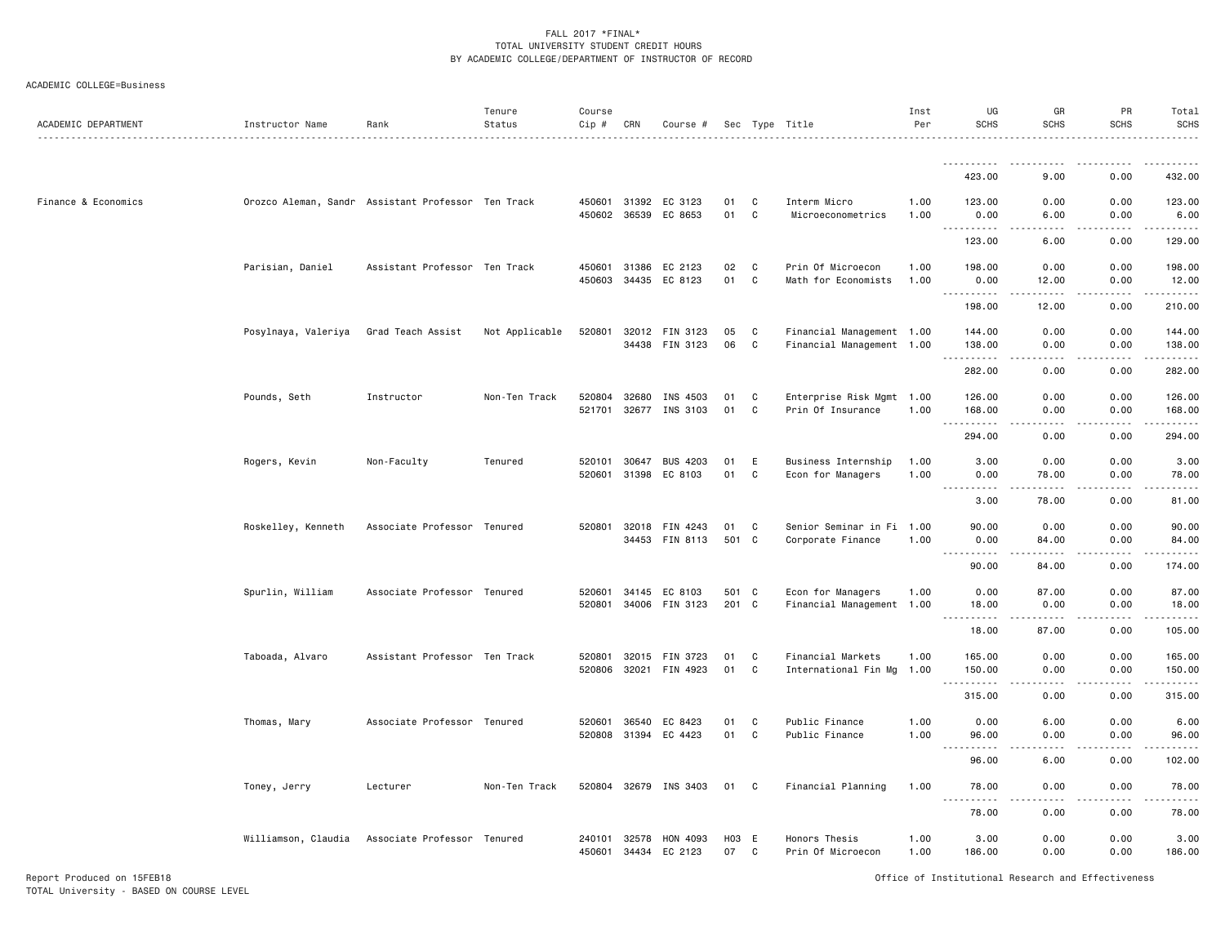| ACADEMIC DEPARTMENT | Instructor Name     | Rank                                               | Tenure<br>Status | Course<br>Cip # | CRN          | Course #                                      |                |        | Sec Type Title                                         | Inst<br>Per  | UG<br><b>SCHS</b>         | GR<br><b>SCHS</b>                                                                                                                                                     | PR<br><b>SCHS</b>             | Total<br><b>SCHS</b>      |
|---------------------|---------------------|----------------------------------------------------|------------------|-----------------|--------------|-----------------------------------------------|----------------|--------|--------------------------------------------------------|--------------|---------------------------|-----------------------------------------------------------------------------------------------------------------------------------------------------------------------|-------------------------------|---------------------------|
|                     |                     |                                                    |                  |                 |              |                                               |                |        |                                                        |              | -----------               |                                                                                                                                                                       |                               |                           |
|                     |                     |                                                    |                  |                 |              |                                               |                |        |                                                        |              | 423.00                    | 9.00                                                                                                                                                                  | 0.00                          | 432.00                    |
| Finance & Economics |                     | Orozco Aleman, Sandr Assistant Professor Ten Track |                  |                 |              | 450601 31392 EC 3123<br>450602 36539 EC 8653  | 01<br>01       | C<br>C | Interm Micro<br>Microeconometrics                      | 1.00<br>1.00 | 123.00<br>0.00<br>.       | 0.00<br>6.00<br>$- - -$                                                                                                                                               | 0.00<br>0.00<br>$\frac{1}{2}$ | 123.00<br>6.00            |
|                     |                     |                                                    |                  |                 |              |                                               |                |        |                                                        |              | 123.00                    | 6.00                                                                                                                                                                  | 0.00                          | 129.00                    |
|                     | Parisian, Daniel    | Assistant Professor Ten Track                      |                  |                 |              | 450601 31386 EC 2123<br>450603 34435 EC 8123  | 02<br>01       | C<br>C | Prin Of Microecon<br>Math for Economists               | 1.00<br>1.00 | 198.00<br>0.00<br><b></b> | 0.00<br>12.00<br>.                                                                                                                                                    | 0.00<br>0.00<br>.             | 198.00<br>12.00           |
|                     |                     |                                                    |                  |                 |              |                                               |                |        |                                                        |              | 198.00                    | 12.00                                                                                                                                                                 | 0.00                          | 210.00                    |
|                     | Posylnaya, Valeriya | Grad Teach Assist                                  | Not Applicable   | 520801          |              | 32012 FIN 3123<br>34438 FIN 3123              | 05<br>06       | C<br>C | Financial Management 1.00<br>Financial Management 1.00 |              | 144.00<br>138.00          | 0.00<br>0.00                                                                                                                                                          | 0.00<br>0.00                  | 144.00<br>138.00          |
|                     |                     |                                                    |                  |                 |              |                                               |                |        |                                                        |              | 282.00                    | 0.00                                                                                                                                                                  | 0.00                          | 282.00                    |
|                     | Pounds, Seth        | Instructor                                         | Non-Ten Track    |                 | 520804 32680 | INS 4503<br>521701 32677 INS 3103             | 01<br>01       | C<br>C | Enterprise Risk Mgmt 1.00<br>Prin Of Insurance         | 1.00         | 126.00<br>168.00<br>.     | 0.00<br>0.00<br>.                                                                                                                                                     | 0.00<br>0.00<br>-----         | 126.00<br>168.00          |
|                     |                     |                                                    |                  |                 |              |                                               |                |        |                                                        |              | 294.00                    | 0.00                                                                                                                                                                  | 0.00                          | 294.00                    |
|                     | Rogers, Kevin       | Non-Faculty                                        | Tenured          |                 |              | 520101 30647 BUS 4203<br>520601 31398 EC 8103 | 01<br>01       | E<br>C | Business Internship<br>Econ for Managers               | 1.00<br>1.00 | 3.00<br>0.00              | 0.00<br>78.00                                                                                                                                                         | 0.00<br>0.00                  | 3.00<br>78.00             |
|                     |                     |                                                    |                  |                 |              |                                               |                |        |                                                        |              | 3.00                      | 78.00                                                                                                                                                                 | 0.00                          | 81.00                     |
|                     | Roskelley, Kenneth  | Associate Professor Tenured                        |                  |                 |              | 520801 32018 FIN 4243<br>34453 FIN 8113       | 01<br>501 C    | C      | Senior Seminar in Fi 1.00<br>Corporate Finance         | 1.00         | 90.00<br>0.00<br><b></b>  | 0.00<br>84.00<br>.                                                                                                                                                    | 0.00<br>0.00<br>.             | 90.00<br>84.00<br>.       |
|                     |                     |                                                    |                  |                 |              |                                               |                |        |                                                        |              | 90.00                     | 84.00                                                                                                                                                                 | 0.00                          | 174.00                    |
|                     | Spurlin, William    | Associate Professor Tenured                        |                  |                 |              | 520601 34145 EC 8103<br>520801 34006 FIN 3123 | 501 C<br>201 C |        | Econ for Managers<br>Financial Management 1.00         | 1.00         | 0.00<br>18.00<br>.        | 87.00<br>0.00<br>$\frac{1}{2} \left( \frac{1}{2} \right) \left( \frac{1}{2} \right) \left( \frac{1}{2} \right) \left( \frac{1}{2} \right) \left( \frac{1}{2} \right)$ | 0.00<br>0.00<br>-----         | 87.00<br>18.00<br><b></b> |
|                     |                     |                                                    |                  |                 |              |                                               |                |        |                                                        |              | 18.00                     | 87.00                                                                                                                                                                 | 0.00                          | 105.00                    |
|                     | Taboada, Alvaro     | Assistant Professor Ten Track                      |                  | 520801          |              | 32015 FIN 3723<br>520806 32021 FIN 4923       | 01<br>01       | C<br>C | Financial Markets<br>International Fin Mg              | 1.00<br>1.00 | 165.00<br>150.00          | 0.00<br>0.00                                                                                                                                                          | 0.00<br>0.00                  | 165.00<br>150.00          |
|                     |                     |                                                    |                  |                 |              |                                               |                |        |                                                        |              | 315.00                    | 0.00                                                                                                                                                                  | 0.00                          | 315.00                    |
|                     | Thomas, Mary        | Associate Professor Tenured                        |                  |                 |              | 520601 36540 EC 8423<br>520808 31394 EC 4423  | 01<br>01       | C<br>C | Public Finance<br>Public Finance                       | 1.00<br>1.00 | 0.00<br>96.00<br><u>.</u> | 6.00<br>0.00<br>.                                                                                                                                                     | 0.00<br>0.00<br>-----         | 6.00<br>96.00<br>.        |
|                     |                     |                                                    |                  |                 |              |                                               |                |        |                                                        |              | 96.00                     | 6.00                                                                                                                                                                  | 0.00                          | 102.00                    |
|                     | Toney, Jerry        | Lecturer                                           | Non-Ten Track    |                 |              | 520804 32679 INS 3403                         | 01 C           |        | Financial Planning                                     | 1.00         | 78.00<br>.                | 0.00                                                                                                                                                                  | 0.00                          | 78.00<br>.                |
|                     |                     |                                                    |                  |                 |              |                                               |                |        |                                                        |              | 78.00                     | 0.00                                                                                                                                                                  | 0.00                          | 78.00                     |
|                     | Williamson, Claudia | Associate Professor Tenured                        |                  |                 |              | 240101 32578 HON 4093<br>450601 34434 EC 2123 | H03<br>07      | E<br>C | Honors Thesis<br>Prin Of Microecon                     | 1.00<br>1.00 | 3.00<br>186.00            | 0.00<br>0.00                                                                                                                                                          | 0.00<br>0.00                  | 3.00<br>186.00            |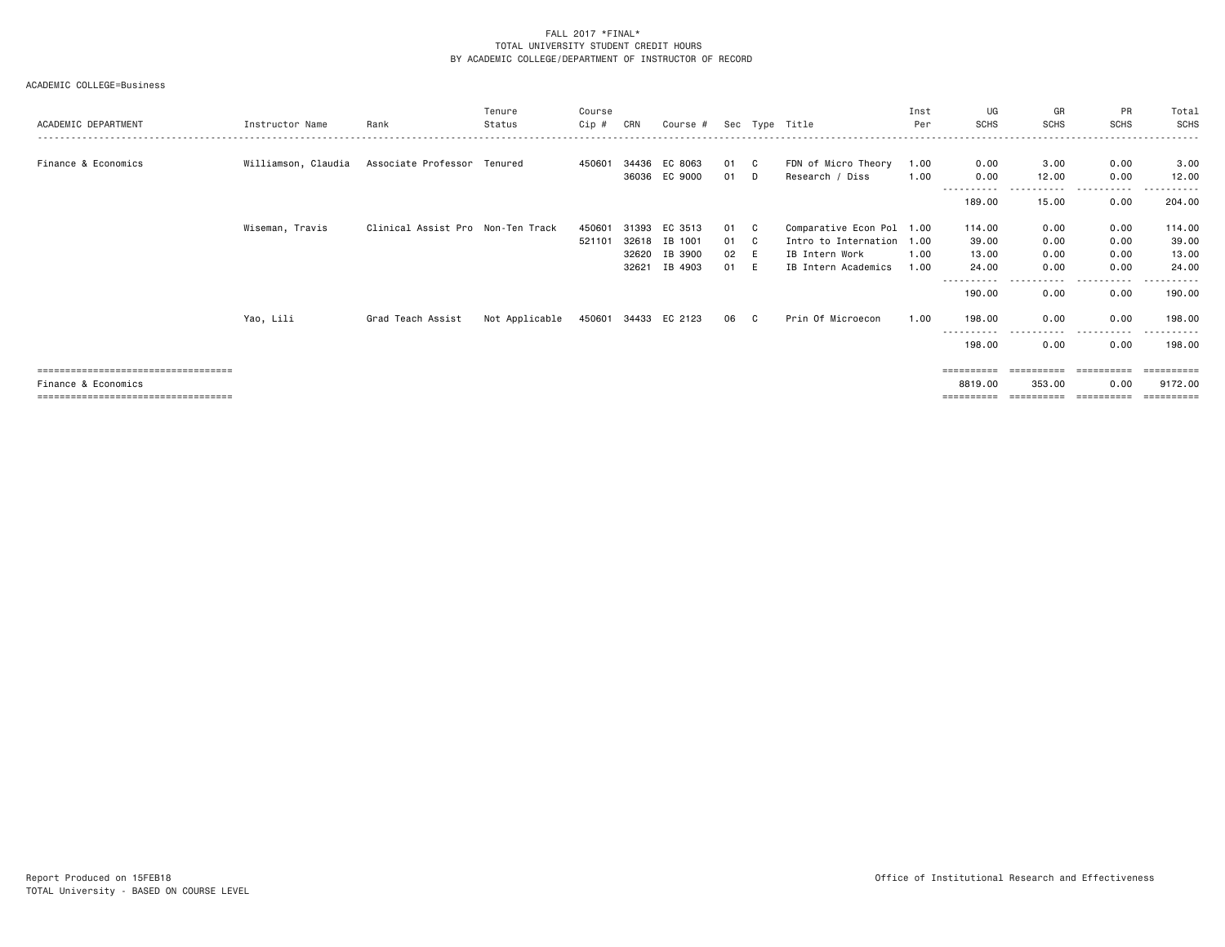| ACADEMIC DEPARTMENT                   | Instructor Name     | Rank                              | Tenure<br>Status | Course<br>Cip # | CRN   | Course #             |      |                | Sec Type Title            | Inst<br>Per | UG<br><b>SCHS</b>    | GR<br>SCHS        | PR<br><b>SCHS</b> | Total<br>SCHS     |
|---------------------------------------|---------------------|-----------------------------------|------------------|-----------------|-------|----------------------|------|----------------|---------------------------|-------------|----------------------|-------------------|-------------------|-------------------|
|                                       |                     |                                   |                  |                 |       |                      |      |                |                           |             |                      |                   |                   |                   |
| Finance & Economics                   | Williamson, Claudia | Associate Professor Tenured       |                  | 450601          | 34436 | EC 8063              | 01   | - C            | FDN of Micro Theory       | 1.00        | 0.00                 | 3.00              | 0.00              | 3.00              |
|                                       |                     |                                   |                  |                 |       | 36036 EC 9000        | 01   | D              | Research / Diss           | 1.00        | 0.00                 | 12.00             | 0.00              | 12.00             |
|                                       |                     |                                   |                  |                 |       |                      |      |                |                           |             | 189.00               | 15.00             | .<br>0.00         | 204.00            |
|                                       | Wiseman, Travis     | Clinical Assist Pro Non-Ten Track |                  | 450601          | 31393 | EC 3513              | 01   | C C            | Comparative Econ Pol 1.00 |             | 114.00               | 0.00              | 0.00              | 114.00            |
|                                       |                     |                                   |                  | 521101          | 32618 | IB 1001              | 01   | C <sub>c</sub> | Intro to Internation 1.00 |             | 39.00                | 0.00              | 0.00              | 39.00             |
|                                       |                     |                                   |                  |                 | 32620 | IB 3900              | 02   | E              | IB Intern Work            | 1.00        | 13.00                | 0.00              | 0.00              | 13.00             |
|                                       |                     |                                   |                  |                 | 32621 | IB 4903              | 01   | E              | IB Intern Academics       | 1.00        | 24.00                | 0.00              | 0.00              | 24.00             |
|                                       |                     |                                   |                  |                 |       |                      |      |                |                           |             | ----------<br>190.00 | $- - - -$<br>0.00 | .<br>0.00         | -------<br>190.00 |
|                                       | Yao, Lili           | Grad Teach Assist                 | Not Applicable   |                 |       | 450601 34433 EC 2123 | 06 C |                | Prin Of Microecon         | 1.00        | 198.00               | 0.00              | 0.00              | 198.00            |
|                                       |                     |                                   |                  |                 |       |                      |      |                |                           |             |                      | ------            | ----------        | -------           |
|                                       |                     |                                   |                  |                 |       |                      |      |                |                           |             | 198.00               | 0.00              | 0.00              | 198.00            |
| ------------------------------------- |                     |                                   |                  |                 |       |                      |      |                |                           |             | ==========           | ==========        |                   |                   |
| Finance & Economics                   |                     |                                   |                  |                 |       |                      |      |                |                           |             | 8819,00              | 353,00            | 0.00              | 9172.00           |
| ====================================  |                     |                                   |                  |                 |       |                      |      |                |                           |             |                      |                   |                   |                   |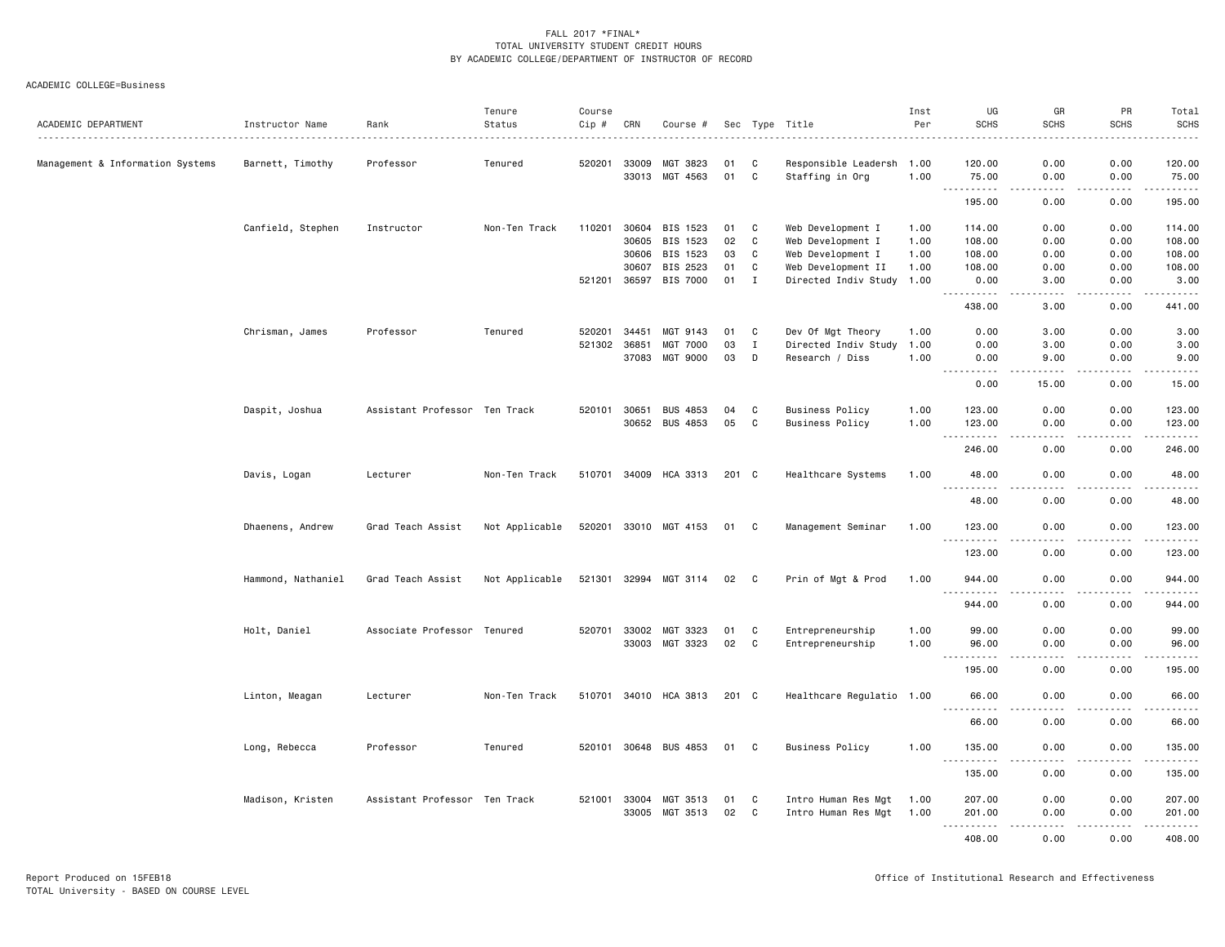| ACADEMIC DEPARTMENT              | Instructor Name    | Rank                          | Tenure<br>Status | Course<br>Cip # | CRN          | Course #              |       |             | Sec Type Title            | Inst<br>Per | UG<br><b>SCHS</b>                       | GR<br><b>SCHS</b>             | PR<br><b>SCHS</b> | Total<br><b>SCHS</b>                                                                                                                                         |
|----------------------------------|--------------------|-------------------------------|------------------|-----------------|--------------|-----------------------|-------|-------------|---------------------------|-------------|-----------------------------------------|-------------------------------|-------------------|--------------------------------------------------------------------------------------------------------------------------------------------------------------|
| Management & Information Systems | Barnett, Timothy   | Professor                     | Tenured          |                 | 520201 33009 | MGT 3823              | 01    | C           | Responsible Leadersh 1.00 |             | 120.00                                  | 0.00                          | 0.00              | 120.00                                                                                                                                                       |
|                                  |                    |                               |                  |                 | 33013        | MGT 4563              | 01    | C           | Staffing in Org           | 1.00        | 75.00<br>$  -$<br>.                     | 0.00<br>.                     | 0.00<br>.         | 75.00<br>$- - - - - -$                                                                                                                                       |
|                                  |                    |                               |                  |                 |              |                       |       |             |                           |             | 195.00                                  | 0.00                          | 0.00              | 195.00                                                                                                                                                       |
|                                  | Canfield, Stephen  | Instructor                    | Non-Ten Track    | 110201          | 30604        | BIS 1523              | 01    | C           | Web Development I         | 1.00        | 114.00                                  | 0.00                          | 0.00              | 114.00                                                                                                                                                       |
|                                  |                    |                               |                  |                 | 30605        | BIS 1523              | 02    | C           | Web Development I         | 1.00        | 108.00                                  | 0.00                          | 0.00              | 108.00                                                                                                                                                       |
|                                  |                    |                               |                  |                 | 30606        | BIS 1523              | 03    | C           | Web Development I         | 1.00        | 108.00                                  | 0.00                          | 0.00              | 108.00                                                                                                                                                       |
|                                  |                    |                               |                  |                 | 30607        | BIS 2523              | 01    | C           | Web Development II        | 1.00        | 108.00                                  | 0.00                          | 0.00              | 108.00                                                                                                                                                       |
|                                  |                    |                               |                  |                 |              | 521201 36597 BIS 7000 | 01    | I           | Directed Indiv Study      | 1.00        | 0.00<br><u>.</u>                        | 3.00<br>. <u>. .</u>          | 0.00              | 3.00<br>$\frac{1}{2} \left( \frac{1}{2} \right) \left( \frac{1}{2} \right) \left( \frac{1}{2} \right) \left( \frac{1}{2} \right) \left( \frac{1}{2} \right)$ |
|                                  |                    |                               |                  |                 |              |                       |       |             |                           |             | 438.00                                  | 3.00                          | 0.00              | 441.00                                                                                                                                                       |
|                                  | Chrisman, James    | Professor                     | Tenured          | 520201 34451    |              | MGT 9143              | 01    | C           | Dev Of Mgt Theory         | 1.00        | 0.00                                    | 3.00                          | 0.00              | 3.00                                                                                                                                                         |
|                                  |                    |                               |                  | 521302 36851    |              | <b>MGT 7000</b>       | 03    | $\mathbf I$ | Directed Indiv Study 1.00 |             | 0.00                                    | 3.00                          | 0.00              | 3.00                                                                                                                                                         |
|                                  |                    |                               |                  |                 | 37083        | MGT 9000              | 03    | D           | Research / Diss           | 1.00        | 0.00                                    | 9.00                          | 0.00              | 9.00                                                                                                                                                         |
|                                  |                    |                               |                  |                 |              |                       |       |             |                           |             | -----<br>.<br>0.00                      | $\sim$ $\sim$ $\sim$<br>15.00 | 0.00              | 15.00                                                                                                                                                        |
|                                  | Daspit, Joshua     | Assistant Professor Ten Track |                  |                 | 520101 30651 | <b>BUS 4853</b>       | 04    | C           | <b>Business Policy</b>    | 1.00        | 123.00                                  | 0.00                          | 0.00              | 123.00                                                                                                                                                       |
|                                  |                    |                               |                  |                 |              | 30652 BUS 4853        | 05    | C           | <b>Business Policy</b>    | 1.00        | 123.00                                  | 0.00                          | 0.00              | 123.00                                                                                                                                                       |
|                                  |                    |                               |                  |                 |              |                       |       |             |                           |             | $\sim$ $\sim$ .<br>.<br>246.00          | $\sim$ $\sim$ $\sim$<br>0.00  | .<br>0.00         | 2.2.2.2.2<br>246.00                                                                                                                                          |
|                                  | Davis, Logan       | Lecturer                      | Non-Ten Track    |                 |              | 510701 34009 HCA 3313 | 201 C |             | Healthcare Systems        | 1.00        | 48.00                                   | 0.00                          | 0.00              | 48.00                                                                                                                                                        |
|                                  |                    |                               |                  |                 |              |                       |       |             |                           |             | .<br>48.00                              | $- - -$<br>0.00               | .<br>0.00         | .<br>48.00                                                                                                                                                   |
|                                  | Dhaenens, Andrew   | Grad Teach Assist             | Not Applicable   |                 |              | 520201 33010 MGT 4153 | 01    | C           | Management Seminar        | 1.00        | 123.00                                  | 0.00                          | 0.00              | 123.00                                                                                                                                                       |
|                                  |                    |                               |                  |                 |              |                       |       |             |                           |             | $\sim$ $\sim$ $\sim$<br>-----<br>123.00 | 0.00                          | 0.00              | 123.00                                                                                                                                                       |
|                                  | Hammond, Nathaniel | Grad Teach Assist             | Not Applicable   |                 | 521301 32994 | MGT 3114              | 02    | C           | Prin of Mgt & Prod        | 1.00        | 944.00<br>.                             | 0.00                          | 0.00              | 944.00<br>دعاعا عامات                                                                                                                                        |
|                                  |                    |                               |                  |                 |              |                       |       |             |                           |             | 944.00                                  | 0.00                          | 0.00              | 944.00                                                                                                                                                       |
|                                  | Holt, Daniel       | Associate Professor Tenured   |                  |                 | 520701 33002 | MGT 3323              | 01    | C           | Entrepreneurship          | 1.00        | 99.00                                   | 0.00                          | 0.00              | 99.00                                                                                                                                                        |
|                                  |                    |                               |                  |                 |              | 33003 MGT 3323        | 02    | C           | Entrepreneurship          | 1.00        | 96.00<br>$- - - - - -$                  | 0.00<br>$\cdots$              | 0.00<br>.         | 96.00<br>.                                                                                                                                                   |
|                                  |                    |                               |                  |                 |              |                       |       |             |                           |             | $  -$<br>195.00                         | 0.00                          | 0.00              | 195.00                                                                                                                                                       |
|                                  | Linton, Meagan     | Lecturer                      | Non-Ten Track    |                 |              | 510701 34010 HCA 3813 | 201 C |             | Healthcare Regulatio 1.00 |             | 66.00<br>$\sim$ $\sim$ $\sim$           | 0.00                          | 0.00              | 66.00                                                                                                                                                        |
|                                  |                    |                               |                  |                 |              |                       |       |             |                           |             | 66.00                                   | 0.00                          | 0.00              | 66.00                                                                                                                                                        |
|                                  | Long, Rebecca      | Professor                     | Tenured          |                 |              | 520101 30648 BUS 4853 | 01    | C           | <b>Business Policy</b>    | 1.00        | 135.00<br>$- - -$<br>. <b>.</b>         | 0.00                          | 0.00              | 135.00<br><u>.</u>                                                                                                                                           |
|                                  |                    |                               |                  |                 |              |                       |       |             |                           |             | 135.00                                  | 0.00                          | 0.00              | 135.00                                                                                                                                                       |
|                                  | Madison, Kristen   | Assistant Professor Ten Track |                  |                 | 521001 33004 | MGT 3513              | 01    | C           | Intro Human Res Mgt       | 1.00        | 207.00                                  | 0.00                          | 0.00              | 207.00                                                                                                                                                       |
|                                  |                    |                               |                  |                 | 33005        | MGT 3513              | 02    | C           | Intro Human Res Mgt       | 1.00        | 201.00                                  | 0.00                          | 0.00              | 201.00                                                                                                                                                       |
|                                  |                    |                               |                  |                 |              |                       |       |             |                           |             | .<br>- - -                              | د د د د                       | .                 | .                                                                                                                                                            |
|                                  |                    |                               |                  |                 |              |                       |       |             |                           |             | 408.00                                  | 0.00                          | 0.00              | 408.00                                                                                                                                                       |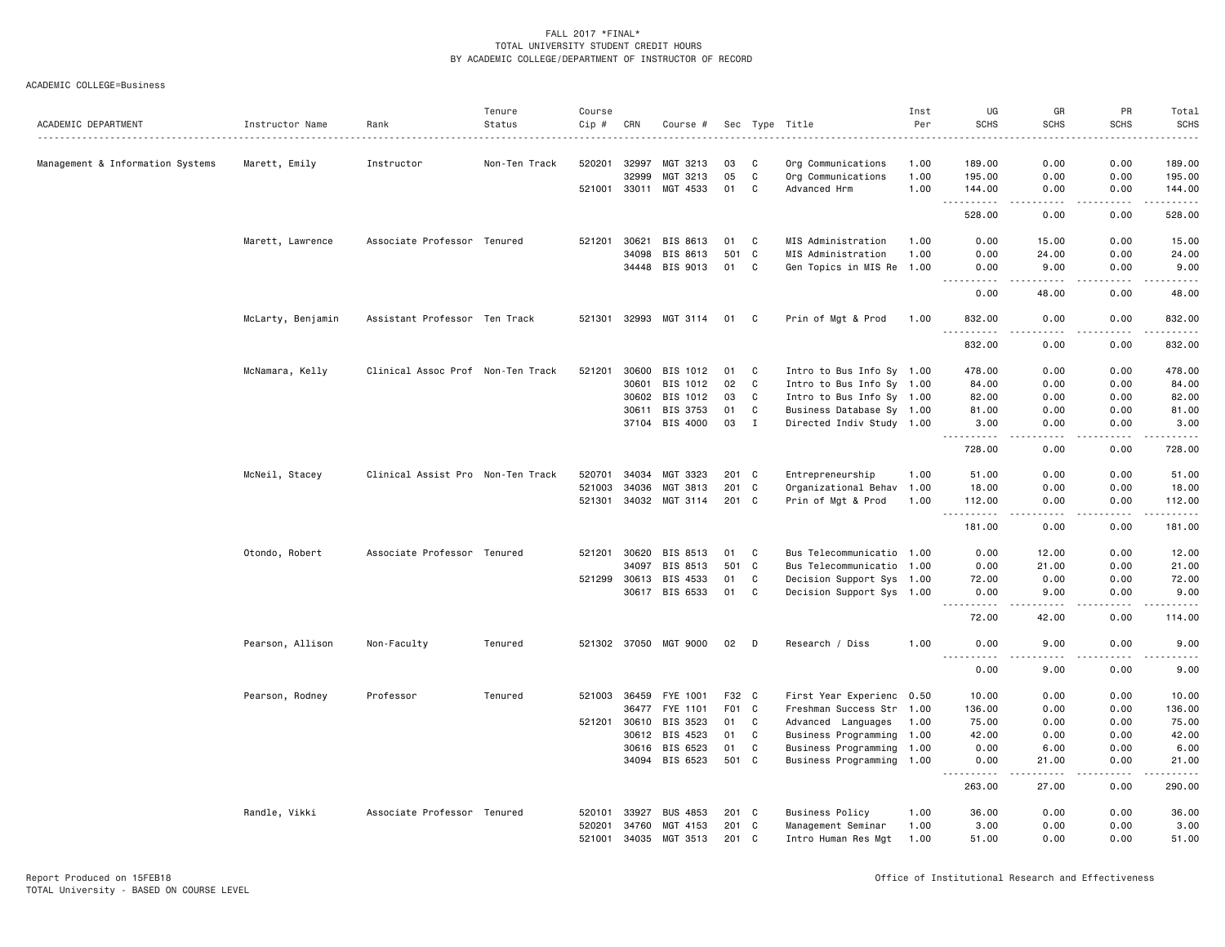ACADEMIC COLLEGE=Business

| ACADEMIC DEPARTMENT              | Instructor Name   | Rank                              | Tenure<br>Status | Course<br>$Cip$ # | CRN          |                       |       |              |                           | Inst<br>Per | UG<br><b>SCHS</b>                                                                                                                                             | GR<br><b>SCHS</b>    | PR<br><b>SCHS</b> | Total<br><b>SCHS</b>                                                                                                                                           |
|----------------------------------|-------------------|-----------------------------------|------------------|-------------------|--------------|-----------------------|-------|--------------|---------------------------|-------------|---------------------------------------------------------------------------------------------------------------------------------------------------------------|----------------------|-------------------|----------------------------------------------------------------------------------------------------------------------------------------------------------------|
|                                  |                   | .                                 |                  |                   |              | Course #              |       |              | Sec Type Title<br>.       |             |                                                                                                                                                               |                      |                   |                                                                                                                                                                |
| Management & Information Systems | Marett, Emily     | Instructor                        | Non-Ten Track    |                   | 520201 32997 | MGT 3213              | 03    | C            | Org Communications        | 1.00        | 189.00                                                                                                                                                        | 0.00                 | 0.00              | 189.00                                                                                                                                                         |
|                                  |                   |                                   |                  |                   | 32999        | MGT 3213              | 05    | C            | Org Communications        | 1.00        | 195.00                                                                                                                                                        | 0.00                 | 0.00              | 195.00                                                                                                                                                         |
|                                  |                   |                                   |                  |                   | 521001 33011 | MGT 4533              | 01    | C            | Advanced Hrm              | 1.00        | 144.00                                                                                                                                                        | 0.00                 | 0.00              | 144.00                                                                                                                                                         |
|                                  |                   |                                   |                  |                   |              |                       |       |              |                           |             | 528.00                                                                                                                                                        | 0.00                 | 0.00              | 528.00                                                                                                                                                         |
|                                  | Marett, Lawrence  | Associate Professor Tenured       |                  | 521201            | 30621        | BIS 8613              | 01    | C            | MIS Administration        | 1.00        | 0.00                                                                                                                                                          | 15.00                | 0.00              | 15.00                                                                                                                                                          |
|                                  |                   |                                   |                  |                   | 34098        | BIS 8613              | 501   | C            | MIS Administration        | 1.00        | 0.00                                                                                                                                                          | 24.00                | 0.00              | 24.00                                                                                                                                                          |
|                                  |                   |                                   |                  |                   |              | 34448 BIS 9013        | 01    | C            | Gen Topics in MIS Re 1.00 |             | 0.00<br>$- - - - -$                                                                                                                                           | 9.00<br>$- - - - -$  | 0.00<br>.         | 9.00<br>.                                                                                                                                                      |
|                                  |                   |                                   |                  |                   |              |                       |       |              |                           |             | 0.00                                                                                                                                                          | 48.00                | 0.00              | 48.00                                                                                                                                                          |
|                                  | McLarty, Benjamin | Assistant Professor Ten Track     |                  |                   |              | 521301 32993 MGT 3114 | 01    | C.           | Prin of Mgt & Prod        | 1.00        | 832.00                                                                                                                                                        | 0.00                 | 0.00              | 832.00                                                                                                                                                         |
|                                  |                   |                                   |                  |                   |              |                       |       |              |                           |             | $\sim$ $\sim$ $\sim$<br>832.00                                                                                                                                | 0.00                 | 0.00              | 832.00                                                                                                                                                         |
|                                  | McNamara, Kelly   | Clinical Assoc Prof Non-Ten Track |                  | 521201            |              | 30600 BIS 1012        | 01    | C            | Intro to Bus Info Sy 1.00 |             | 478.00                                                                                                                                                        | 0.00                 | 0.00              | 478.00                                                                                                                                                         |
|                                  |                   |                                   |                  |                   | 30601        | BIS 1012              | 02    | C            | Intro to Bus Info Sy 1.00 |             | 84.00                                                                                                                                                         | 0.00                 | 0.00              | 84.00                                                                                                                                                          |
|                                  |                   |                                   |                  |                   | 30602        | BIS 1012              | 03    | C            | Intro to Bus Info Sy 1.00 |             | 82.00                                                                                                                                                         | 0.00                 | 0.00              | 82.00                                                                                                                                                          |
|                                  |                   |                                   |                  |                   |              | 30611 BIS 3753        | 01    | C            | Business Database Sy 1.00 |             | 81.00                                                                                                                                                         | 0.00                 | 0.00              | 81.00                                                                                                                                                          |
|                                  |                   |                                   |                  |                   |              | 37104 BIS 4000        | 03    | $\mathbf I$  | Directed Indiv Study 1.00 |             | 3.00                                                                                                                                                          | 0.00                 | 0.00              | 3.00                                                                                                                                                           |
|                                  |                   |                                   |                  |                   |              |                       |       |              |                           |             | .<br>728.00                                                                                                                                                   | .<br>0.00            | .<br>0.00         | .<br>728.00                                                                                                                                                    |
|                                  | McNeil, Stacey    | Clinical Assist Pro Non-Ten Track |                  | 520701            | 34034        | MGT 3323              | 201 C |              | Entrepreneurship          | 1.00        | 51.00                                                                                                                                                         | 0.00                 | 0.00              | 51.00                                                                                                                                                          |
|                                  |                   |                                   |                  | 521003            | 34036        | MGT 3813              | 201   | $\mathbf{C}$ | Organizational Behav      | 1.00        | 18.00                                                                                                                                                         | 0.00                 | 0.00              | 18.00                                                                                                                                                          |
|                                  |                   |                                   |                  |                   |              | 521301 34032 MGT 3114 | 201 C |              | Prin of Mgt & Prod        | 1.00        | 112.00                                                                                                                                                        | 0.00                 | 0.00              | 112.00                                                                                                                                                         |
|                                  |                   |                                   |                  |                   |              |                       |       |              |                           |             | $\sim$ $\sim$ $\sim$<br>.<br>181.00                                                                                                                           | .<br>0.00            | .<br>0.00         | $- - - - - -$<br>181.00                                                                                                                                        |
|                                  | Otondo, Robert    | Associate Professor Tenured       |                  |                   | 521201 30620 | BIS 8513              | 01    | C.           | Bus Telecommunicatio 1.00 |             | 0.00                                                                                                                                                          | 12.00                | 0.00              | 12.00                                                                                                                                                          |
|                                  |                   |                                   |                  |                   | 34097        | BIS 8513              | 501   | C            | Bus Telecommunicatio 1.00 |             | 0.00                                                                                                                                                          | 21.00                | 0.00              | 21.00                                                                                                                                                          |
|                                  |                   |                                   |                  | 521299            | 30613        | BIS 4533              | 01    | C            | Decision Support Sys 1.00 |             | 72.00                                                                                                                                                         | 0.00                 | 0.00              | 72.00                                                                                                                                                          |
|                                  |                   |                                   |                  |                   |              | 30617 BIS 6533        | 01    | C            | Decision Support Sys 1.00 |             | 0.00                                                                                                                                                          | 9.00                 | 0.00              | 9.00                                                                                                                                                           |
|                                  |                   |                                   |                  |                   |              |                       |       |              |                           |             | $\frac{1}{2} \left( \frac{1}{2} \right) \left( \frac{1}{2} \right) \left( \frac{1}{2} \right) \left( \frac{1}{2} \right) \left( \frac{1}{2} \right)$<br>72.00 | .<br>42.00           | .<br>0.00         | $\frac{1}{2} \left( \frac{1}{2} \right) \left( \frac{1}{2} \right) \left( \frac{1}{2} \right) \left( \frac{1}{2} \right) \left( \frac{1}{2} \right)$<br>114.00 |
|                                  | Pearson, Allison  | Non-Faculty                       | Tenured          |                   |              | 521302 37050 MGT 9000 | 02    | D            | Research / Diss           | 1.00        | 0.00<br>.                                                                                                                                                     | 9.00<br>.            | 0.00<br>.         | 9.00<br>.                                                                                                                                                      |
|                                  |                   |                                   |                  |                   |              |                       |       |              |                           |             | 0.00                                                                                                                                                          | 9.00                 | 0.00              | 9.00                                                                                                                                                           |
|                                  | Pearson, Rodney   | Professor                         | Tenured          | 521003            | 36459        | FYE 1001              | F32 C |              | First Year Experienc 0.50 |             | 10.00                                                                                                                                                         | 0.00                 | 0.00              | 10.00                                                                                                                                                          |
|                                  |                   |                                   |                  |                   |              | 36477 FYE 1101        | F01 C |              | Freshman Success Str 1.00 |             | 136.00                                                                                                                                                        | 0.00                 | 0.00              | 136.00                                                                                                                                                         |
|                                  |                   |                                   |                  |                   | 521201 30610 | BIS 3523              | 01    | C            | Advanced Languages        | 1.00        | 75.00                                                                                                                                                         | 0.00                 | 0.00              | 75.00                                                                                                                                                          |
|                                  |                   |                                   |                  |                   | 30612        | BIS 4523              | 01    | C            | Business Programming      | 1.00        | 42.00                                                                                                                                                         | 0.00                 | 0.00              | 42.00                                                                                                                                                          |
|                                  |                   |                                   |                  |                   |              | 30616 BIS 6523        | 01    | C            | Business Programming 1.00 |             | 0.00                                                                                                                                                          | 6.00                 | 0.00              | 6.00                                                                                                                                                           |
|                                  |                   |                                   |                  |                   |              | 34094 BIS 6523        | 501 C |              | Business Programming 1.00 |             | 0.00<br>$- - - - -$                                                                                                                                           | 21.00<br>$- - - - -$ | 0.00<br>.         | 21.00<br>$- - - - - -$                                                                                                                                         |
|                                  |                   |                                   |                  |                   |              |                       |       |              |                           |             | 263.00                                                                                                                                                        | 27.00                | 0.00              | 290.00                                                                                                                                                         |
|                                  | Randle, Vikki     | Associate Professor Tenured       |                  | 520101            | 33927        | <b>BUS 4853</b>       | 201 C |              | <b>Business Policy</b>    | 1.00        | 36.00                                                                                                                                                         | 0.00                 | 0.00              | 36.00                                                                                                                                                          |
|                                  |                   |                                   |                  |                   | 520201 34760 | MGT 4153              | 201 C |              | Management Seminar        | 1.00        | 3.00                                                                                                                                                          | 0.00                 | 0.00              | 3.00                                                                                                                                                           |
|                                  |                   |                                   |                  | 521001            | 34035        | MGT 3513              | 201   | $\mathbf{C}$ | Intro Human Res Mgt       | 1.00        | 51.00                                                                                                                                                         | 0.00                 | 0.00              | 51.00                                                                                                                                                          |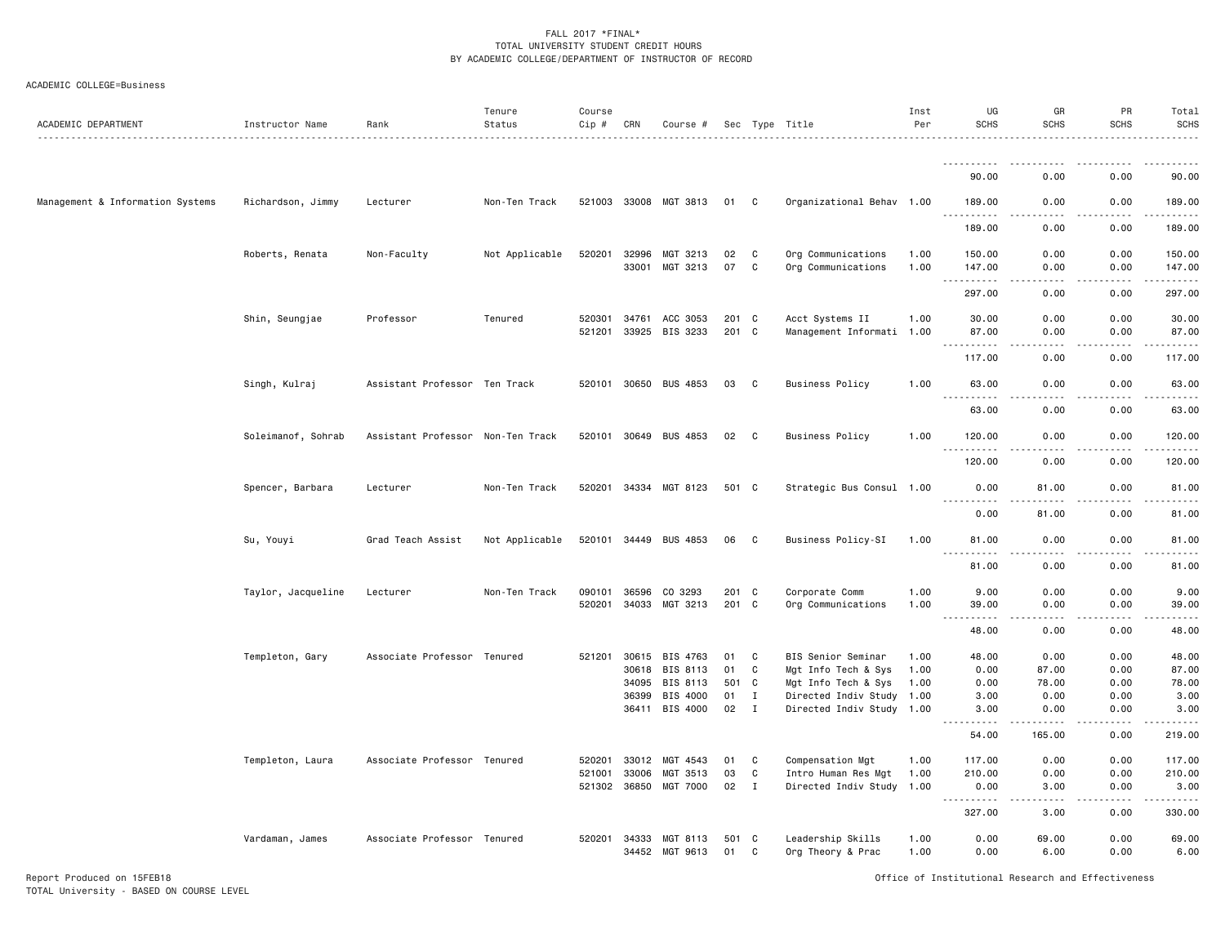## ACADEMIC COLLEGE=Business

| ACADEMIC DEPARTMENT              | Instructor Name    | Rank                              | Tenure<br>Status | Course<br>Cip # | CRN            | Course #              |             |              | Sec Type Title                                         | Inst<br>Per | UG<br><b>SCHS</b>                                                                                                                                             | GR<br><b>SCHS</b>            | PR<br><b>SCHS</b> | Total<br><b>SCHS</b>                         |
|----------------------------------|--------------------|-----------------------------------|------------------|-----------------|----------------|-----------------------|-------------|--------------|--------------------------------------------------------|-------------|---------------------------------------------------------------------------------------------------------------------------------------------------------------|------------------------------|-------------------|----------------------------------------------|
|                                  |                    |                                   |                  |                 |                |                       |             |              |                                                        |             |                                                                                                                                                               |                              |                   |                                              |
|                                  |                    |                                   |                  |                 |                |                       |             |              |                                                        |             | 90.00                                                                                                                                                         | 0.00                         | 0.00              | 90.00                                        |
| Management & Information Systems | Richardson, Jimmy  | Lecturer                          | Non-Ten Track    |                 |                | 521003 33008 MGT 3813 | 01          | C            | Organizational Behav 1.00                              |             | 189.00                                                                                                                                                        | 0.00                         | 0.00              | 189.00                                       |
|                                  |                    |                                   |                  |                 |                |                       |             |              |                                                        |             | 189.00                                                                                                                                                        | 0.00                         | 0.00              | 189.00                                       |
|                                  | Roberts, Renata    | Non-Faculty                       | Not Applicable   | 520201          | 32996          | MGT 3213              | 02          | C            | Org Communications                                     | 1.00        | 150.00                                                                                                                                                        | 0.00                         | 0.00              | 150.00                                       |
|                                  |                    |                                   |                  |                 | 33001          | MGT 3213              | 07          | C            | Org Communications                                     | 1.00        | 147.00<br>$\sim$ $\sim$ $\sim$<br>.                                                                                                                           | 0.00<br>.                    | 0.00<br>.         | 147.00<br>$\sim$ $\sim$ $\sim$ $\sim$ $\sim$ |
|                                  |                    |                                   |                  |                 |                |                       |             |              |                                                        |             | 297.00                                                                                                                                                        | 0.00                         | 0.00              | 297.00                                       |
|                                  | Shin, Seungjae     | Professor                         | Tenured          | 520301          | 34761          | ACC 3053              | 201 C       |              | Acct Systems II                                        | 1.00        | 30.00                                                                                                                                                         | 0.00                         | 0.00              | 30.00                                        |
|                                  |                    |                                   |                  |                 | 521201 33925   | BIS 3233              | 201 C       |              | Management Informati 1.00                              |             | 87.00<br>.<br>$\sim$ $\sim$ $\sim$                                                                                                                            | 0.00<br>$\sim$ $\sim$ $\sim$ | 0.00<br>.         | 87.00<br>.                                   |
|                                  |                    |                                   |                  |                 |                |                       |             |              |                                                        |             | 117.00                                                                                                                                                        | 0.00                         | 0.00              | 117.00                                       |
|                                  | Singh, Kulraj      | Assistant Professor Ten Track     |                  |                 |                | 520101 30650 BUS 4853 | 03          | C            | <b>Business Policy</b>                                 | 1.00        | 63.00<br>.                                                                                                                                                    | 0.00<br>.                    | 0.00              | 63.00<br>$\frac{1}{2}$                       |
|                                  |                    |                                   |                  |                 |                |                       |             |              |                                                        |             | 63.00                                                                                                                                                         | 0.00                         | 0.00              | 63.00                                        |
|                                  | Soleimanof, Sohrab | Assistant Professor Non-Ten Track |                  |                 |                | 520101 30649 BUS 4853 | 02          | C            | <b>Business Policy</b>                                 | 1.00        | 120.00                                                                                                                                                        | 0.00                         | 0.00              | 120.00                                       |
|                                  |                    |                                   |                  |                 |                |                       |             |              |                                                        |             | $\sim$ $\sim$ .<br>120.00                                                                                                                                     | 0.00                         | 0.00              | 120.00                                       |
|                                  | Spencer, Barbara   | Lecturer                          | Non-Ten Track    |                 |                | 520201 34334 MGT 8123 | 501 C       |              | Strategic Bus Consul 1.00                              |             | 0.00<br><u>.</u>                                                                                                                                              | 81.00                        | 0.00              | 81.00<br>.                                   |
|                                  |                    |                                   |                  |                 |                |                       |             |              |                                                        |             | 0.00                                                                                                                                                          | 81.00                        | 0.00              | 81.00                                        |
|                                  | Su, Youyi          | Grad Teach Assist                 | Not Applicable   |                 |                | 520101 34449 BUS 4853 | 06          | C.           | Business Policy-SI                                     | 1.00        | 81.00                                                                                                                                                         | 0.00                         | 0.00              | 81.00                                        |
|                                  |                    |                                   |                  |                 |                |                       |             |              |                                                        |             | 81.00                                                                                                                                                         | 0.00                         | 0.00              | 81.00                                        |
|                                  | Taylor, Jacqueline | Lecturer                          | Non-Ten Track    | 090101          | 36596          | CO 3293               | 201 C       |              | Corporate Comm                                         | 1.00        | 9.00                                                                                                                                                          | 0.00                         | 0.00              | 9.00                                         |
|                                  |                    |                                   |                  |                 | 520201 34033   | MGT 3213              | 201 C       |              | Org Communications                                     | 1.00        | 39.00<br>$  -$<br>.                                                                                                                                           | 0.00<br>. <u>. .</u>         | 0.00<br>.         | 39.00<br>.                                   |
|                                  |                    |                                   |                  |                 |                |                       |             |              |                                                        |             | 48.00                                                                                                                                                         | 0.00                         | 0.00              | 48.00                                        |
|                                  | Templeton, Gary    | Associate Professor Tenured       |                  | 521201          | 30615          | BIS 4763              | 01          | C            | BIS Senior Seminar                                     | 1.00        | 48.00                                                                                                                                                         | 0.00                         | 0.00              | 48.00                                        |
|                                  |                    |                                   |                  |                 | 30618          | BIS 8113              | 01          | C            | Mgt Info Tech & Sys                                    | 1.00        | 0.00                                                                                                                                                          | 87.00                        | 0.00              | 87.00                                        |
|                                  |                    |                                   |                  |                 | 34095<br>36399 | BIS 8113<br>BIS 4000  | 501 C<br>01 | $\mathbf{I}$ | Mgt Info Tech & Sys                                    | 1.00        | 0.00<br>3.00                                                                                                                                                  | 78.00<br>0.00                | 0.00<br>0.00      | 78.00<br>3.00                                |
|                                  |                    |                                   |                  |                 | 36411          | BIS 4000              | 02          | $\mathbf{I}$ | Directed Indiv Study 1.00<br>Directed Indiv Study 1.00 |             | 3.00                                                                                                                                                          | 0.00                         | 0.00              | 3.00                                         |
|                                  |                    |                                   |                  |                 |                |                       |             |              |                                                        |             | $\frac{1}{2} \left( \frac{1}{2} \right) \left( \frac{1}{2} \right) \left( \frac{1}{2} \right) \left( \frac{1}{2} \right) \left( \frac{1}{2} \right)$<br>54.00 | .<br>165.00                  | .<br>0.00         | .<br>219.00                                  |
|                                  | Templeton, Laura   | Associate Professor Tenured       |                  | 520201          | 33012          | MGT 4543              | 01          | C            | Compensation Mgt                                       | 1.00        | 117.00                                                                                                                                                        | 0.00                         | 0.00              | 117.00                                       |
|                                  |                    |                                   |                  | 521001          | 33006          | MGT 3513              | 03          | C            | Intro Human Res Mgt                                    | 1.00        | 210.00                                                                                                                                                        | 0.00                         | 0.00              | 210.00                                       |
|                                  |                    |                                   |                  |                 | 521302 36850   | MGT 7000              | 02          | $\mathbf{I}$ | Directed Indiv Study 1.00                              |             | 0.00<br>.                                                                                                                                                     | 3.00<br>$- - -$              | 0.00<br>.         | 3.00<br>.                                    |
|                                  |                    |                                   |                  |                 |                |                       |             |              |                                                        |             | 327.00                                                                                                                                                        | 3.00                         | 0.00              | 330.00                                       |
|                                  | Vardaman, James    | Associate Professor Tenured       |                  |                 | 520201 34333   | MGT 8113              | 501 C       |              | Leadership Skills                                      | 1.00        | 0.00                                                                                                                                                          | 69.00                        | 0.00              | 69.00                                        |
|                                  |                    |                                   |                  |                 | 34452          | MGT 9613              | 01          | C            | Org Theory & Prac                                      | 1.00        | 0.00                                                                                                                                                          | 6.00                         | 0.00              | 6.00                                         |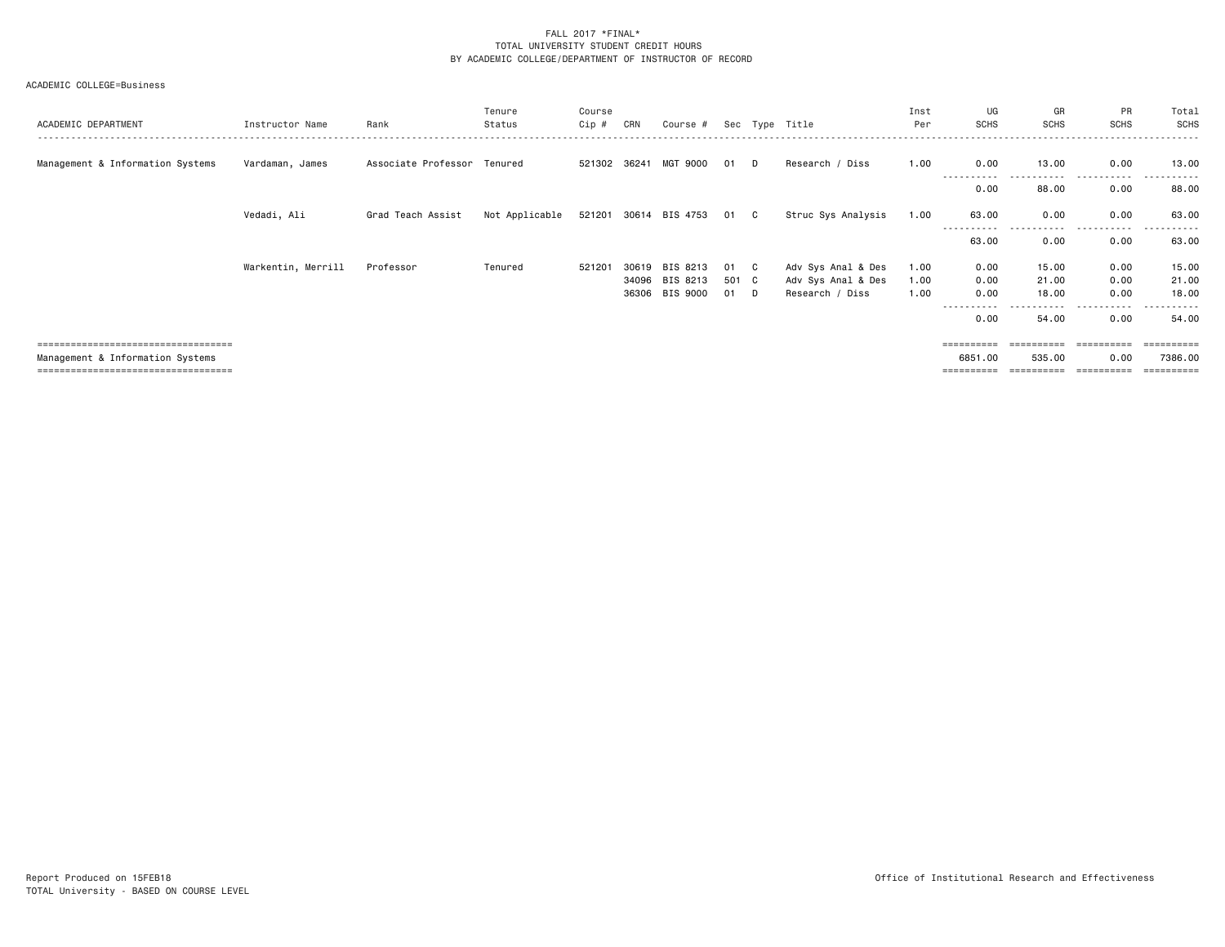ACADEMIC COLLEGE=Business

| ACADEMIC DEPARTMENT                    | Instructor Name    | Rank                        | Tenure<br>Status | Course<br>Cip # | CRN   | Course #                   |       |   | Sec Type Title     | Inst<br>Per | UG<br><b>SCHS</b>  | GR<br><b>SCHS</b> | <b>PR</b><br>SCHS | Total<br><b>SCHS</b> |
|----------------------------------------|--------------------|-----------------------------|------------------|-----------------|-------|----------------------------|-------|---|--------------------|-------------|--------------------|-------------------|-------------------|----------------------|
| Management & Information Systems       | Vardaman, James    | Associate Professor Tenured |                  | 521302 36241    |       | MGT 9000                   | 01 D  |   | Research / Diss    | 1.00        | 0.00<br>---------- | 13.00             | 0.00<br>.         | 13.00<br>.           |
|                                        |                    |                             |                  |                 |       |                            |       |   |                    |             | 0.00               | 88.00             | 0.00              | 88.00                |
|                                        | Vedadi, Ali        | Grad Teach Assist           | Not Applicable   |                 |       | 521201 30614 BIS 4753 01 C |       |   | Struc Sys Analysis | 1.00        | 63.00              | 0.00              | 0.00              | 63.00                |
|                                        |                    |                             |                  |                 |       |                            |       |   |                    |             | 63.00              | 0.00              | 0.00              | 63.00                |
|                                        | Warkentin, Merrill | Professor                   | Tenured          | 521201          | 30619 | BIS 8213                   | 01 C  |   | Adv Sys Anal & Des | 1.00        | 0.00               | 15.00             | 0.00              | 15.00                |
|                                        |                    |                             |                  |                 | 34096 | BIS 8213                   | 501 C |   | Adv Sys Anal & Des | 1.00        | 0.00               | 21.00             | 0.00              | 21.00                |
|                                        |                    |                             |                  |                 | 36306 | BIS 9000                   | 01    | D | Research / Diss    | 1.00        | 0.00               | 18.00             | 0.00              | 18.00                |
|                                        |                    |                             |                  |                 |       |                            |       |   |                    |             | ------<br>0.00     | -----<br>54.00    | -----<br>0.00     | 54.00                |
| ====================================== |                    |                             |                  |                 |       |                            |       |   |                    |             | ==========         | ==========        | -----------       | ==========           |
| Management & Information Systems       |                    |                             |                  |                 |       |                            |       |   |                    |             | 6851.00            | 535.00            | 0.00              | 7386.00              |

=================================== ========== ========== ========== ==========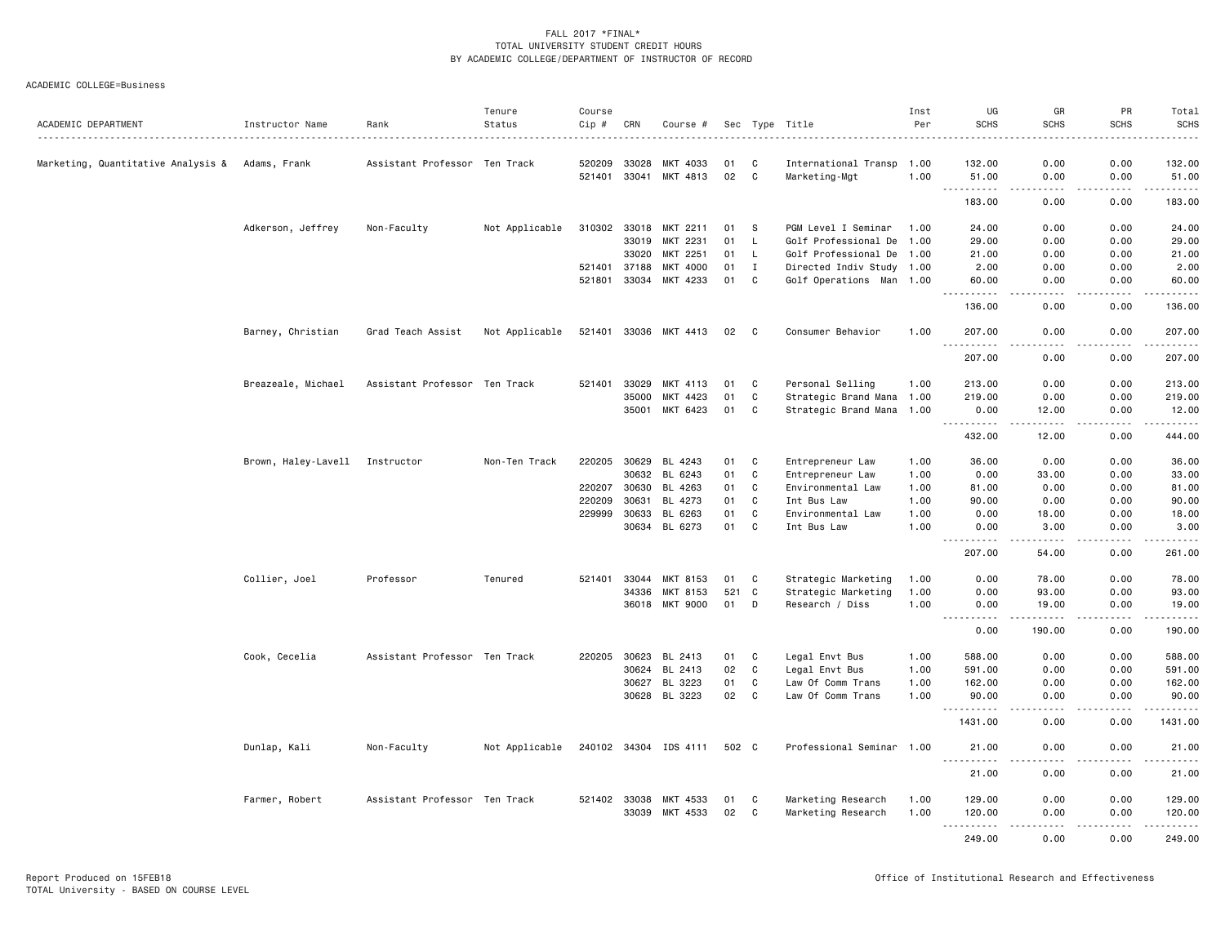ACADEMIC COLLEGE=Business

| ACADEMIC DEPARTMENT                             | Instructor Name     | Rank                          | Tenure<br>Status | Course<br>Cip # | CRN          | Course #              |       |             | Sec Type Title            | Inst<br>Per | UG<br><b>SCHS</b>                   | GR<br><b>SCHS</b>                                                                                                                                             | PR<br><b>SCHS</b> | Total<br><b>SCHS</b>                                                                                                                                                                      |
|-------------------------------------------------|---------------------|-------------------------------|------------------|-----------------|--------------|-----------------------|-------|-------------|---------------------------|-------------|-------------------------------------|---------------------------------------------------------------------------------------------------------------------------------------------------------------|-------------------|-------------------------------------------------------------------------------------------------------------------------------------------------------------------------------------------|
|                                                 |                     |                               |                  |                 |              |                       |       |             |                           |             |                                     |                                                                                                                                                               |                   |                                                                                                                                                                                           |
| Marketing, Quantitative Analysis & Adams, Frank |                     | Assistant Professor Ten Track |                  | 520209          | 33028        | MKT 4033              | 01    | C           | International Transp 1.00 |             | 132.00                              | 0.00                                                                                                                                                          | 0.00              | 132.00                                                                                                                                                                                    |
|                                                 |                     |                               |                  |                 | 521401 33041 | MKT 4813              | 02    | C.          | Marketing-Mgt             | 1.00        | 51.00                               | 0.00                                                                                                                                                          | 0.00              | 51.00                                                                                                                                                                                     |
|                                                 |                     |                               |                  |                 |              |                       |       |             |                           |             | $  -$<br>.<br>183.00                | .<br>0.00                                                                                                                                                     | -----<br>0.00     | $\frac{1}{2} \left( \frac{1}{2} \right) \left( \frac{1}{2} \right) \left( \frac{1}{2} \right) \left( \frac{1}{2} \right) \left( \frac{1}{2} \right) \left( \frac{1}{2} \right)$<br>183.00 |
|                                                 | Adkerson, Jeffrey   | Non-Faculty                   | Not Applicable   | 310302          | 33018        | MKT 2211              | 01    | - S         | PGM Level I Seminar       | 1.00        | 24.00                               | 0.00                                                                                                                                                          | 0.00              | 24.00                                                                                                                                                                                     |
|                                                 |                     |                               |                  |                 | 33019        | MKT 2231              | 01    | L.          | Golf Professional De      | 1.00        | 29.00                               | 0.00                                                                                                                                                          | 0.00              | 29.00                                                                                                                                                                                     |
|                                                 |                     |                               |                  |                 | 33020        | MKT 2251              | 01    | L.          | Golf Professional De      | 1.00        | 21.00                               | 0.00                                                                                                                                                          | 0.00              | 21.00                                                                                                                                                                                     |
|                                                 |                     |                               |                  | 521401          | 37188        | MKT 4000              | 01    | $\mathbf I$ | Directed Indiv Study 1.00 |             | 2.00                                | 0.00                                                                                                                                                          | 0.00              | 2.00                                                                                                                                                                                      |
|                                                 |                     |                               |                  | 521801          | 33034        | MKT 4233              | 01    | C           | Golf Operations Man 1.00  |             | 60.00                               | 0.00                                                                                                                                                          | 0.00              | 60.00                                                                                                                                                                                     |
|                                                 |                     |                               |                  |                 |              |                       |       |             |                           |             | .<br>$  -$<br>136.00                | $\sim$ $\sim$ $\sim$ $\sim$<br>0.00                                                                                                                           | 0.00              | 136.00                                                                                                                                                                                    |
|                                                 | Barney, Christian   | Grad Teach Assist             | Not Applicable   | 521401          | 33036        | MKT 4413              | 02    | C           | Consumer Behavior         | 1.00        | 207.00                              | 0.00                                                                                                                                                          | 0.00              | 207.00                                                                                                                                                                                    |
|                                                 |                     |                               |                  |                 |              |                       |       |             |                           |             | $  -$<br>.<br>207.00                | 0.00                                                                                                                                                          | 0.00              | وعاعاته عاملات<br>207.00                                                                                                                                                                  |
|                                                 | Breazeale, Michael  | Assistant Professor Ten Track |                  | 521401          | 33029        | MKT 4113              | 01    | C           | Personal Selling          | 1.00        | 213.00                              | 0.00                                                                                                                                                          | 0.00              | 213.00                                                                                                                                                                                    |
|                                                 |                     |                               |                  |                 | 35000        | MKT 4423              | 01    | C           | Strategic Brand Mana 1.00 |             | 219.00                              | 0.00                                                                                                                                                          | 0.00              | 219.00                                                                                                                                                                                    |
|                                                 |                     |                               |                  |                 | 35001        | MKT 6423              | 01    | C           | Strategic Brand Mana 1.00 |             | 0.00                                | 12.00                                                                                                                                                         | 0.00              | 12.00                                                                                                                                                                                     |
|                                                 |                     |                               |                  |                 |              |                       |       |             |                           |             | .<br>432.00                         | 12.00                                                                                                                                                         | 0.00              | 444.00                                                                                                                                                                                    |
|                                                 | Brown, Haley-Lavell | Instructor                    | Non-Ten Track    |                 | 220205 30629 | BL 4243               | 01    | C           | Entrepreneur Law          | 1.00        | 36.00                               | 0.00                                                                                                                                                          | 0.00              | 36.00                                                                                                                                                                                     |
|                                                 |                     |                               |                  |                 | 30632        | BL 6243               | 01    | C           | Entrepreneur Law          | 1.00        | 0.00                                | 33.00                                                                                                                                                         | 0.00              | 33.00                                                                                                                                                                                     |
|                                                 |                     |                               |                  | 220207          | 30630        | BL 4263               | 01    | C           | Environmental Law         | 1.00        | 81.00                               | 0.00                                                                                                                                                          | 0.00              | 81.00                                                                                                                                                                                     |
|                                                 |                     |                               |                  | 220209          | 30631        | BL 4273               | 01    | C           | Int Bus Law               | 1.00        | 90.00                               | 0.00                                                                                                                                                          | 0.00              | 90.00                                                                                                                                                                                     |
|                                                 |                     |                               |                  | 229999          | 30633        | BL 6263               | 01    | C           | Environmental Law         | 1.00        | 0.00                                | 18.00                                                                                                                                                         | 0.00              | 18.00                                                                                                                                                                                     |
|                                                 |                     |                               |                  |                 | 30634        | BL 6273               | 01    | C           | Int Bus Law               | 1.00        | 0.00                                | 3.00                                                                                                                                                          | 0.00              | 3.00                                                                                                                                                                                      |
|                                                 |                     |                               |                  |                 |              |                       |       |             |                           |             | .<br>$\sim$ $\sim$ $\sim$<br>207.00 | $\frac{1}{2} \left( \frac{1}{2} \right) \left( \frac{1}{2} \right) \left( \frac{1}{2} \right) \left( \frac{1}{2} \right) \left( \frac{1}{2} \right)$<br>54.00 | .<br>0.00         | .<br>261.00                                                                                                                                                                               |
|                                                 | Collier, Joel       | Professor                     | Tenured          | 521401          | 33044        | MKT 8153              | 01    | C           | Strategic Marketing       | 1.00        | 0.00                                | 78.00                                                                                                                                                         | 0.00              | 78.00                                                                                                                                                                                     |
|                                                 |                     |                               |                  |                 | 34336        | MKT 8153              | 521   | C           | Strategic Marketing       | 1.00        | 0.00                                | 93.00                                                                                                                                                         | 0.00              | 93.00                                                                                                                                                                                     |
|                                                 |                     |                               |                  |                 |              | 36018 MKT 9000        | 01    | D           | Research / Diss           | 1.00        | 0.00                                | 19,00                                                                                                                                                         | 0.00              | 19.00                                                                                                                                                                                     |
|                                                 |                     |                               |                  |                 |              |                       |       |             |                           |             | .<br>.<br>0.00                      | .<br>190.00                                                                                                                                                   | -----<br>0.00     | .<br>190.00                                                                                                                                                                               |
|                                                 | Cook, Cecelia       | Assistant Professor Ten Track |                  | 220205          | 30623        | BL 2413               | 01    | C           | Legal Envt Bus            | 1.00        | 588.00                              | 0.00                                                                                                                                                          | 0.00              | 588.00                                                                                                                                                                                    |
|                                                 |                     |                               |                  |                 | 30624        | BL 2413               | 02    | C           | Legal Envt Bus            | 1.00        | 591.00                              | 0.00                                                                                                                                                          | 0.00              | 591.00                                                                                                                                                                                    |
|                                                 |                     |                               |                  |                 | 30627        | BL 3223               | 01    | C           | Law Of Comm Trans         | 1.00        | 162.00                              | 0.00                                                                                                                                                          | 0.00              | 162.00                                                                                                                                                                                    |
|                                                 |                     |                               |                  |                 | 30628        | BL 3223               | 02    | C           | Law Of Comm Trans         | 1.00        | 90.00                               | 0.00                                                                                                                                                          | 0.00              | 90.00                                                                                                                                                                                     |
|                                                 |                     |                               |                  |                 |              |                       |       |             |                           |             | <u>.</u><br>1431.00                 | د د د د<br>0.00                                                                                                                                               | <b>.</b><br>0.00  | .<br>1431.00                                                                                                                                                                              |
|                                                 | Dunlap, Kali        | Non-Faculty                   | Not Applicable   |                 |              | 240102 34304 IDS 4111 | 502 C |             | Professional Seminar 1.00 |             | 21.00                               | 0.00                                                                                                                                                          | 0.00              | 21.00                                                                                                                                                                                     |
|                                                 |                     |                               |                  |                 |              |                       |       |             |                           |             | .<br>21.00                          | $- - - -$<br>0.00                                                                                                                                             | .<br>0.00         | .<br>21.00                                                                                                                                                                                |
|                                                 | Farmer, Robert      | Assistant Professor Ten Track |                  |                 | 521402 33038 | MKT 4533              | 01    | C           | Marketing Research        | 1.00        | 129.00                              | 0.00                                                                                                                                                          | 0.00              | 129.00                                                                                                                                                                                    |
|                                                 |                     |                               |                  |                 | 33039        | MKT 4533              | 02    | C.          | Marketing Research        | 1.00        | 120.00                              | 0.00                                                                                                                                                          | 0.00              | 120.00                                                                                                                                                                                    |
|                                                 |                     |                               |                  |                 |              |                       |       |             |                           |             | .<br>249.00                         | .<br>0.00                                                                                                                                                     | .<br>0.00         | .<br>249.00                                                                                                                                                                               |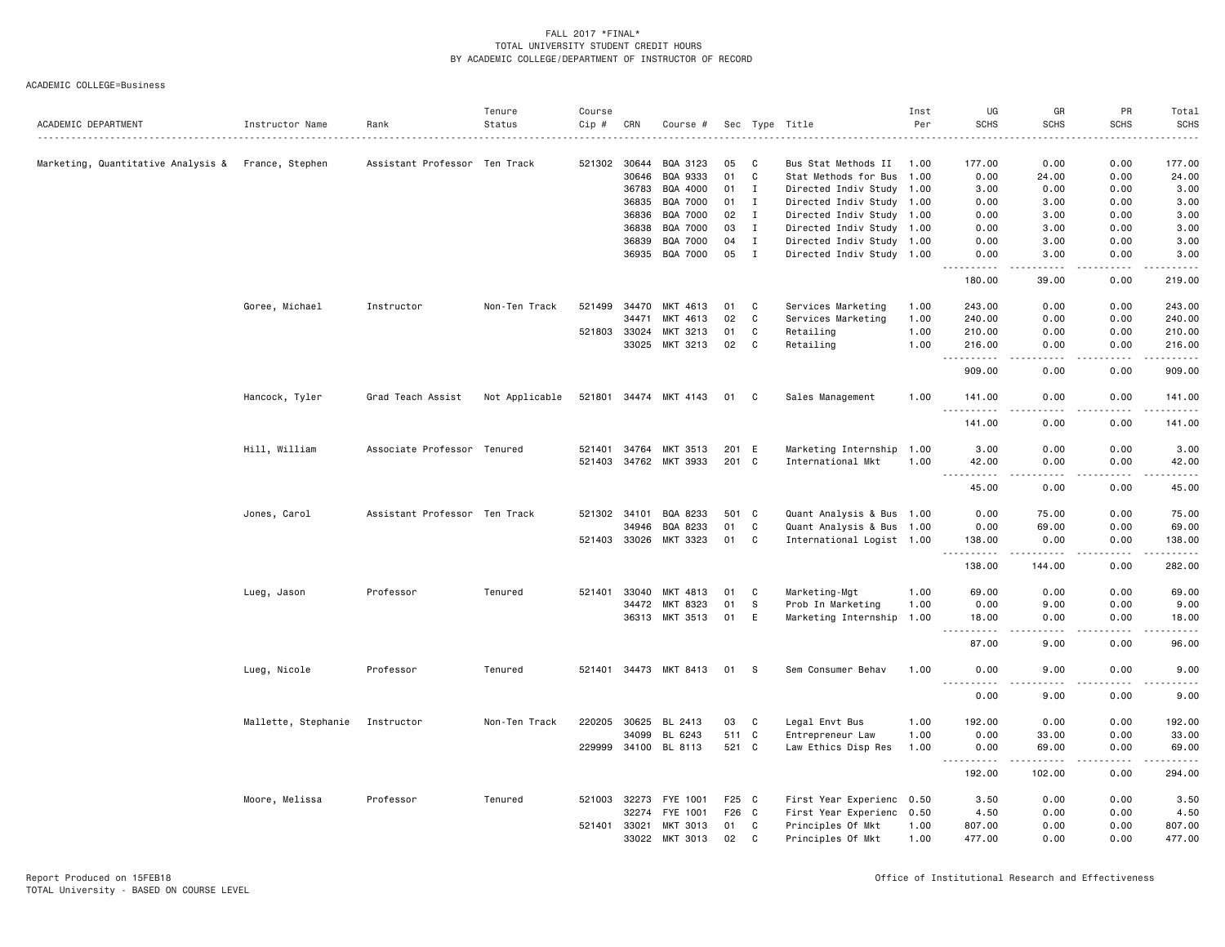ACADEMIC COLLEGE=Business

| ACADEMIC DEPARTMENT                                | Instructor Name     | Rank                          | Tenure<br>Status | Course<br>Cip # | CRN                   | Course #                          |          |                             | Sec Type Title                                         | Inst<br>Per | UG<br><b>SCHS</b>                                                                                                                                                                     | GR<br><b>SCHS</b>            | PR<br><b>SCHS</b> | Total<br><b>SCHS</b>                 |
|----------------------------------------------------|---------------------|-------------------------------|------------------|-----------------|-----------------------|-----------------------------------|----------|-----------------------------|--------------------------------------------------------|-------------|---------------------------------------------------------------------------------------------------------------------------------------------------------------------------------------|------------------------------|-------------------|--------------------------------------|
| Marketing, Quantitative Analysis & France, Stephen |                     | Assistant Professor Ten Track |                  |                 | 521302 30644          | BQA 3123                          | 05       | C                           | Bus Stat Methods II                                    | 1.00        | 177.00                                                                                                                                                                                | 0.00                         | 0.00              | 177.00                               |
|                                                    |                     |                               |                  |                 | 30646                 | BQA 9333                          | 01       | C                           |                                                        |             | 0.00                                                                                                                                                                                  | 24.00                        | 0.00              | 24.00                                |
|                                                    |                     |                               |                  |                 | 36783                 | BQA 4000                          | 01       | I                           | Stat Methods for Bus 1.00<br>Directed Indiv Study 1.00 |             | 3.00                                                                                                                                                                                  | 0.00                         | 0.00              | 3.00                                 |
|                                                    |                     |                               |                  |                 |                       | BQA 7000                          | 01       | I                           |                                                        |             |                                                                                                                                                                                       |                              |                   |                                      |
|                                                    |                     |                               |                  |                 | 36835<br>36836        | BQA 7000                          | 02       | $\mathbf{I}$                | Directed Indiv Study 1.00<br>Directed Indiv Study 1.00 |             | 0.00<br>0.00                                                                                                                                                                          | 3.00<br>3.00                 | 0.00<br>0.00      | 3.00<br>3.00                         |
|                                                    |                     |                               |                  |                 |                       | BQA 7000                          |          |                             |                                                        |             |                                                                                                                                                                                       |                              |                   |                                      |
|                                                    |                     |                               |                  |                 | 36838                 |                                   | 03       | $\mathbf{I}$                | Directed Indiv Study 1.00                              |             | 0.00                                                                                                                                                                                  | 3.00                         | 0.00              | 3.00                                 |
|                                                    |                     |                               |                  |                 | 36839                 | <b>BQA 7000</b><br>36935 BQA 7000 | 04<br>05 | $\mathbf I$<br>$\mathbf{I}$ | Directed Indiv Study 1.00<br>Directed Indiv Study 1.00 |             | 0.00<br>0.00                                                                                                                                                                          | 3.00<br>3.00                 | 0.00<br>0.00      | 3.00<br>3.00                         |
|                                                    |                     |                               |                  |                 |                       |                                   |          |                             |                                                        |             | $- - - - -$<br>180.00                                                                                                                                                                 | .<br>39.00                   | .<br>0.00         | $- - - - -$<br>219.00                |
|                                                    | Goree, Michael      | Instructor                    | Non-Ten Track    | 521499          | 34470                 | MKT 4613                          | 01       | C                           | Services Marketing                                     | 1.00        | 243,00                                                                                                                                                                                | 0.00                         | 0.00              | 243.00                               |
|                                                    |                     |                               |                  |                 | 34471                 | MKT 4613                          | 02       | C                           | Services Marketing                                     | 1.00        | 240.00                                                                                                                                                                                | 0.00                         | 0.00              | 240.00                               |
|                                                    |                     |                               |                  |                 | 521803 33024          | MKT 3213                          | 01       | C                           | Retailing                                              | 1.00        | 210.00                                                                                                                                                                                | 0.00                         | 0.00              | 210.00                               |
|                                                    |                     |                               |                  |                 | 33025                 | MKT 3213                          | 02       | C                           | Retailing                                              | 1.00        | 216.00<br>.                                                                                                                                                                           | 0.00<br>$- - - -$            | 0.00<br>.         | 216.00<br>.                          |
|                                                    |                     |                               |                  |                 |                       |                                   |          |                             |                                                        |             | 909.00                                                                                                                                                                                | 0.00                         | 0.00              | 909.00                               |
|                                                    | Hancock, Tyler      | Grad Teach Assist             | Not Applicable   | 521801 34474    |                       | MKT 4143                          | 01       | C.                          | Sales Management                                       | 1.00        | 141.00                                                                                                                                                                                | 0.00                         | 0.00              | 141.00                               |
|                                                    |                     |                               |                  |                 |                       |                                   |          |                             |                                                        |             | .<br>. <b>.</b><br>141.00                                                                                                                                                             | 0.00                         | 0.00              | .<br>141.00                          |
|                                                    | Hill, William       | Associate Professor Tenured   |                  |                 | 521401 34764          | MKT 3513                          | 201 E    |                             | Marketing Internship 1.00                              |             | 3.00                                                                                                                                                                                  | 0.00                         | 0.00              | 3.00                                 |
|                                                    |                     |                               |                  |                 |                       | 521403 34762 MKT 3933             | 201 C    |                             | International Mkt                                      | 1.00        | 42.00<br>$\sim$ $\sim$ $\sim$<br>$\frac{1}{2} \left( \frac{1}{2} \right) \left( \frac{1}{2} \right) \left( \frac{1}{2} \right) \left( \frac{1}{2} \right) \left( \frac{1}{2} \right)$ | 0.00<br>$\sim$ $\sim$ $\sim$ | 0.00              | 42.00<br>$\sim$ $\sim$ $\sim$ $\sim$ |
|                                                    |                     |                               |                  |                 |                       |                                   |          |                             |                                                        |             | 45.00                                                                                                                                                                                 | 0.00                         | 0.00              | 45.00                                |
|                                                    | Jones, Carol        | Assistant Professor Ten Track |                  |                 | 521302 34101          | BQA 8233                          |          | 501 C                       | Quant Analysis & Bus 1.00                              |             | 0.00                                                                                                                                                                                  | 75.00                        | 0.00              | 75.00                                |
|                                                    |                     |                               |                  |                 |                       |                                   | 01       | C                           |                                                        |             |                                                                                                                                                                                       |                              |                   |                                      |
|                                                    |                     |                               |                  |                 | 34946<br>521403 33026 | BQA 8233<br>MKT 3323              | 01       | C                           | Quant Analysis & Bus 1.00                              |             | 0.00<br>138.00                                                                                                                                                                        | 69.00<br>0.00                | 0.00<br>0.00      | 69.00<br>138.00                      |
|                                                    |                     |                               |                  |                 |                       |                                   |          |                             | International Logist 1.00                              |             | $- - - - - - -$                                                                                                                                                                       | .                            | .                 | .                                    |
|                                                    |                     |                               |                  |                 |                       |                                   |          |                             |                                                        |             | 138.00                                                                                                                                                                                | 144.00                       | 0.00              | 282.00                               |
|                                                    | Lueg, Jason         | Professor                     | Tenured          |                 | 521401 33040          | MKT 4813                          | 01       | C                           | Marketing-Mgt                                          | 1.00        | 69.00                                                                                                                                                                                 | 0.00                         | 0.00              | 69.00                                |
|                                                    |                     |                               |                  |                 | 34472                 | MKT 8323                          | 01       | s                           | Prob In Marketing                                      | 1.00        | 0.00                                                                                                                                                                                  | 9.00                         | 0.00              | 9.00                                 |
|                                                    |                     |                               |                  |                 |                       | 36313 MKT 3513                    | 01       | E                           | Marketing Internship                                   | 1.00        | 18.00<br>.<br>$- - -$                                                                                                                                                                 | 0.00<br>.                    | 0.00<br>.         | 18.00<br>.                           |
|                                                    |                     |                               |                  |                 |                       |                                   |          |                             |                                                        |             | 87.00                                                                                                                                                                                 | 9.00                         | 0.00              | 96.00                                |
|                                                    | Lueg, Nicole        | Professor                     | Tenured          |                 |                       | 521401 34473 MKT 8413             | 01       | s                           | Sem Consumer Behav                                     | 1.00        | 0.00                                                                                                                                                                                  | 9.00                         | 0.00              | 9.00                                 |
|                                                    |                     |                               |                  |                 |                       |                                   |          |                             |                                                        |             | <u>.</u><br>.<br>0.00                                                                                                                                                                 | $- - - -$<br>9.00            | .<br>0.00         | $- - - - -$<br>9.00                  |
|                                                    | Mallette, Stephanie | Instructor                    | Non-Ten Track    | 220205 30625    |                       | BL 2413                           | 03       | C                           | Legal Envt Bus                                         | 1.00        | 192.00                                                                                                                                                                                | 0.00                         | 0.00              | 192.00                               |
|                                                    |                     |                               |                  |                 | 34099                 | BL 6243                           |          | 511 C                       | Entrepreneur Law                                       | 1.00        | 0.00                                                                                                                                                                                  | 33.00                        | 0.00              | 33.00                                |
|                                                    |                     |                               |                  |                 |                       | 229999 34100 BL 8113              |          | 521 C                       | Law Ethics Disp Res                                    | 1.00        | 0.00                                                                                                                                                                                  | 69.00                        | 0.00              | 69.00                                |
|                                                    |                     |                               |                  |                 |                       |                                   |          |                             |                                                        |             | $\frac{1}{2} \left( \frac{1}{2} \right) \left( \frac{1}{2} \right) \left( \frac{1}{2} \right) \left( \frac{1}{2} \right) \left( \frac{1}{2} \right)$<br>192.00                        | 102.00                       | 0.00              | .<br>294.00                          |
|                                                    | Moore, Melissa      | Professor                     | Tenured          |                 | 521003 32273          | FYE 1001                          | F25 C    |                             | First Year Experienc 0.50                              |             | 3.50                                                                                                                                                                                  | 0.00                         | 0.00              | 3.50                                 |
|                                                    |                     |                               |                  |                 | 32274                 | FYE 1001                          | F26      | C                           | First Year Experienc 0.50                              |             | 4.50                                                                                                                                                                                  | 0.00                         | 0.00              | 4.50                                 |
|                                                    |                     |                               |                  | 521401          | 33021                 | MKT 3013                          | 01       | C                           | Principles Of Mkt                                      | 1.00        | 807.00                                                                                                                                                                                | 0.00                         | 0.00              | 807.00                               |
|                                                    |                     |                               |                  |                 | 33022                 | MKT 3013                          | 02       | C                           | Principles Of Mkt                                      | 1.00        | 477.00                                                                                                                                                                                | 0.00                         | 0.00              | 477.00                               |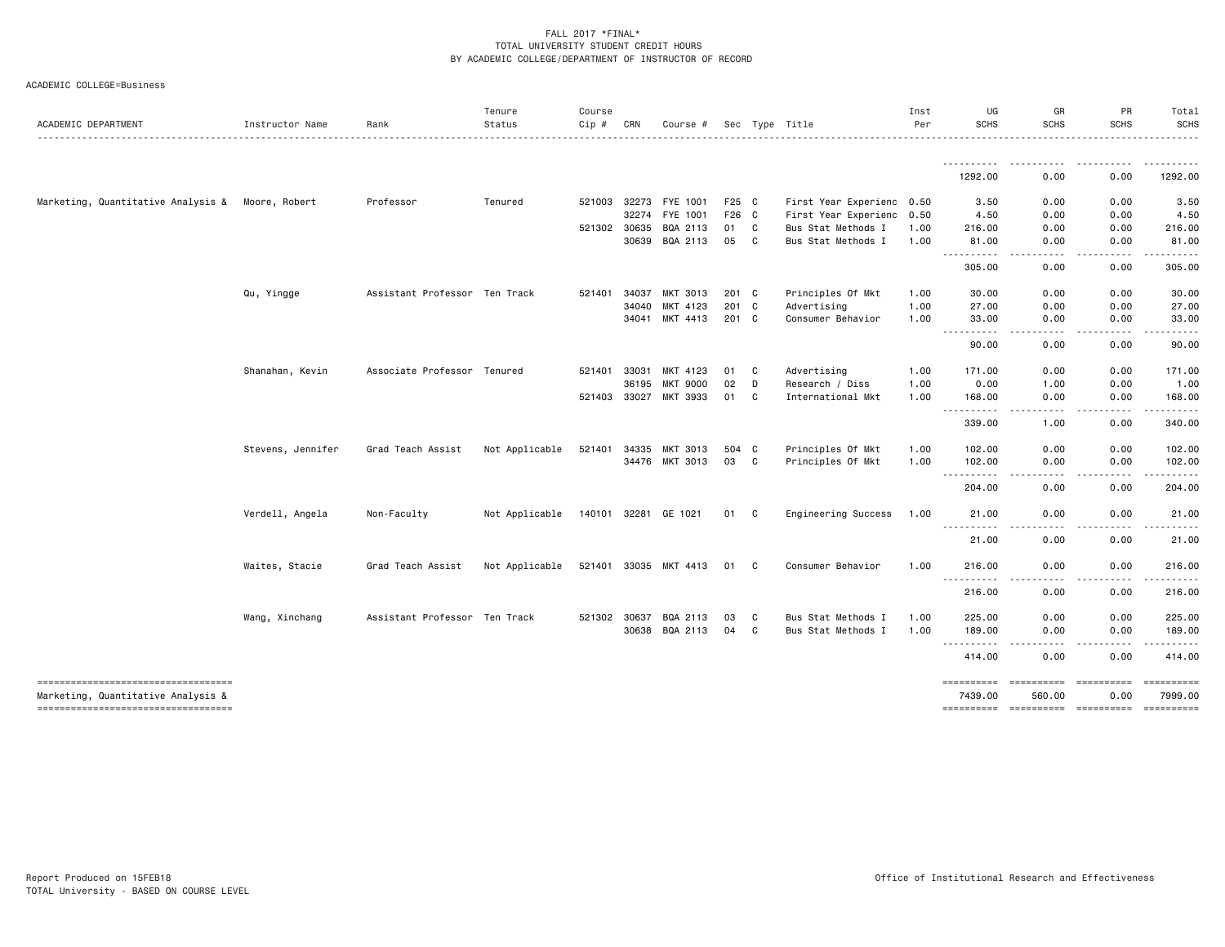|  | ACADEMIC COLLEGE=Business |
|--|---------------------------|
|--|---------------------------|

| ACADEMIC DEPARTMENT                   | Instructor Name   | Rank                          | Tenure<br>Status | Course<br>Cip # | CRN          | Course #              |       |              | Sec Type Title            | Inst<br>Per | UG<br><b>SCHS</b>                                                                                                                                 | GR<br><b>SCHS</b>               | PR<br><b>SCHS</b>  | Total<br><b>SCHS</b><br>. |
|---------------------------------------|-------------------|-------------------------------|------------------|-----------------|--------------|-----------------------|-------|--------------|---------------------------|-------------|---------------------------------------------------------------------------------------------------------------------------------------------------|---------------------------------|--------------------|---------------------------|
|                                       |                   |                               |                  |                 |              |                       |       |              |                           |             | <b></b>                                                                                                                                           | $\sim$ $\sim$ $\sim$            |                    | .                         |
|                                       |                   |                               |                  |                 |              |                       |       |              |                           |             | 1292.00                                                                                                                                           | 0.00                            | 0.00               | 1292.00                   |
| Marketing, Quantitative Analysis &    | Moore, Robert     | Professor                     | Tenured          |                 |              | 521003 32273 FYE 1001 | F25 C |              | First Year Experienc 0.50 |             | 3.50                                                                                                                                              | 0.00                            | 0.00               | 3.50                      |
|                                       |                   |                               |                  |                 | 32274        | FYE 1001              | F26 C |              | First Year Experienc 0.50 |             | 4.50                                                                                                                                              | 0.00                            | 0.00               | 4.50                      |
|                                       |                   |                               |                  |                 | 521302 30635 | BQA 2113              | 01 C  |              | Bus Stat Methods I        | 1.00        | 216.00                                                                                                                                            | 0.00                            | 0.00               | 216.00                    |
|                                       |                   |                               |                  |                 | 30639        | BQA 2113              | 05    | $\mathbf{C}$ | Bus Stat Methods I        | 1.00        | 81.00<br>$- - - - -$<br>$\frac{1}{2} \left( \frac{1}{2} \right) \left( \frac{1}{2} \right) \left( \frac{1}{2} \right) \left( \frac{1}{2} \right)$ | 0.00<br>$- - -$                 | 0.00<br>. <b>.</b> | 81.00                     |
|                                       |                   |                               |                  |                 |              |                       |       |              |                           |             | 305.00                                                                                                                                            | 0.00                            | 0.00               | 305.00                    |
|                                       | Qu, Yingge        | Assistant Professor Ten Track |                  | 521401 34037    |              | <b>MKT 3013</b>       | 201 C |              | Principles Of Mkt         | 1.00        | 30.00                                                                                                                                             | 0.00                            | 0.00               | 30.00                     |
|                                       |                   |                               |                  |                 | 34040        | MKT 4123              | 201 C |              | Advertising               | 1.00        | 27.00                                                                                                                                             | 0.00                            | 0.00               | 27.00                     |
|                                       |                   |                               |                  |                 | 34041        | MKT 4413              | 201 C |              | Consumer Behavior         | 1.00        | 33.00<br><b>.</b>                                                                                                                                 | 0.00<br>.                       | 0.00               | 33.00                     |
|                                       |                   |                               |                  |                 |              |                       |       |              |                           |             | 90.00                                                                                                                                             | 0.00                            | -----<br>0.00      | 90.00                     |
|                                       | Shanahan, Kevin   | Associate Professor Tenured   |                  | 521401          | 33031        | MKT 4123              | 01    | C            | Advertising               | 1.00        | 171.00                                                                                                                                            | 0.00                            | 0.00               | 171.00                    |
|                                       |                   |                               |                  |                 | 36195        | <b>MKT 9000</b>       | 02    | D            | Research / Diss           | 1.00        | 0.00                                                                                                                                              | 1.00                            | 0.00               | 1.00                      |
|                                       |                   |                               |                  | 521403 33027    |              | MKT 3933              | 01    | C            | International Mkt         | 1.00        | 168.00                                                                                                                                            | 0.00                            | 0.00               | 168.00                    |
|                                       |                   |                               |                  |                 |              |                       |       |              |                           |             | $- - - -$<br>$\sim$ $\sim$ $\sim$<br>339.00                                                                                                       | 1.00                            | 0.00               | 340.00                    |
|                                       | Stevens, Jennifer | Grad Teach Assist             | Not Applicable   |                 | 521401 34335 | MKT 3013              | 504 C |              | Principles Of Mkt         | 1.00        | 102.00                                                                                                                                            | 0.00                            | 0.00               | 102.00                    |
|                                       |                   |                               |                  |                 |              | 34476 MKT 3013        | 03    | C            | Principles Of Mkt         | 1.00        | 102.00                                                                                                                                            | 0.00                            | 0.00               | 102.00                    |
|                                       |                   |                               |                  |                 |              |                       |       |              |                           |             | .<br>204.00                                                                                                                                       | $\sim$ $\sim$ $\sim$<br>0.00    | 0.00               | 204.00                    |
|                                       | Verdell, Angela   | Non-Faculty                   | Not Applicable   |                 |              | 140101 32281 GE 1021  | 01    | C            | Engineering Success       | 1.00        | 21.00                                                                                                                                             | 0.00                            | 0.00               | 21.00                     |
|                                       |                   |                               |                  |                 |              |                       |       |              |                           |             | $\frac{1}{2}$<br>21.00                                                                                                                            | 0.00                            | 0.00               | 21.00                     |
|                                       | Waites, Stacie    | Grad Teach Assist             | Not Applicable   |                 |              | 521401 33035 MKT 4413 | 01    | C            | Consumer Behavior         | 1.00        | 216.00                                                                                                                                            | 0.00                            | 0.00               | 216.00                    |
|                                       |                   |                               |                  |                 |              |                       |       |              |                           |             | <b>.</b><br>216.00                                                                                                                                | 0.00                            | 0.00               | 216.00                    |
|                                       | Wang, Xinchang    | Assistant Professor Ten Track |                  | 521302 30637    |              | BQA 2113              | 03    | C            | Bus Stat Methods I        | 1.00        | 225.00                                                                                                                                            | 0.00                            | 0.00               | 225.00                    |
|                                       |                   |                               |                  |                 | 30638        | BQA 2113              | 04    | C            | Bus Stat Methods I        | 1.00        | 189.00                                                                                                                                            | 0.00                            | 0.00               | 189.00                    |
|                                       |                   |                               |                  |                 |              |                       |       |              |                           |             | .<br>414.00                                                                                                                                       | 0.00                            | 0.00               | 414.00                    |
| ------------------------------------- |                   |                               |                  |                 |              |                       |       |              |                           |             | ==========                                                                                                                                        | essessesse                      | essessesse         |                           |
| Marketing, Quantitative Analysis &    |                   |                               |                  |                 |              |                       |       |              |                           |             | 7439.00                                                                                                                                           | 560.00                          | 0.00               | 7999.00                   |
| ----------------------------------    |                   |                               |                  |                 |              |                       |       |              |                           |             |                                                                                                                                                   | ---------- ---------- --------- |                    | ==========                |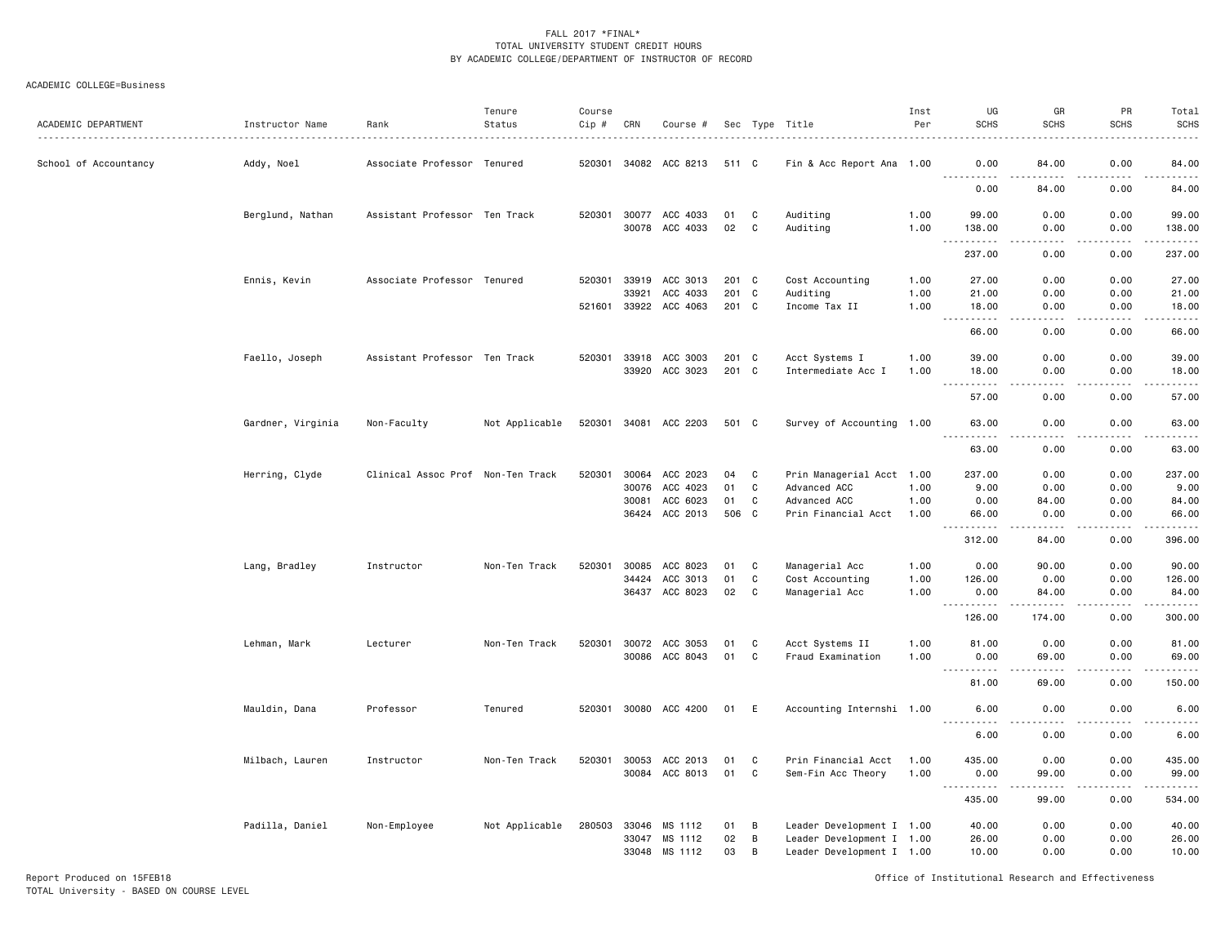ACADEMIC COLLEGE=Business

| ACADEMIC DEPARTMENT   | Instructor Name   | Rank                              | Tenure<br>Status | Course<br>Cip # | CRN   | Course #                         |          |              | Sec Type Title            | Inst<br>Per  | UG<br><b>SCHS</b>                   | GR<br><b>SCHS</b>   | PR<br><b>SCHS</b>  | Total<br><b>SCHS</b>                                                                                                                                           |
|-----------------------|-------------------|-----------------------------------|------------------|-----------------|-------|----------------------------------|----------|--------------|---------------------------|--------------|-------------------------------------|---------------------|--------------------|----------------------------------------------------------------------------------------------------------------------------------------------------------------|
| School of Accountancy | Addy, Noel        | Associate Professor Tenured       |                  |                 |       | 520301 34082 ACC 8213            | 511 C    |              | Fin & Acc Report Ana 1.00 |              | 0.00<br>.                           | 84.00<br>.          | 0.00<br>. <b>.</b> | 84.00<br>.                                                                                                                                                     |
|                       |                   |                                   |                  |                 |       |                                  |          |              |                           |              | 0.00                                | 84.00               | 0.00               | 84.00                                                                                                                                                          |
|                       | Berglund, Nathan  | Assistant Professor Ten Track     |                  | 520301          |       | 30077 ACC 4033<br>30078 ACC 4033 | 01<br>02 | C<br>C       | Auditing<br>Auditing      | 1.00<br>1.00 | 99.00<br>138.00                     | 0.00<br>0.00        | 0.00<br>0.00       | 99.00<br>138.00                                                                                                                                                |
|                       |                   |                                   |                  |                 |       |                                  |          |              |                           |              | .<br>237.00                         | د د د د<br>0.00     | .<br>0.00          | $\frac{1}{2} \left( \frac{1}{2} \right) \left( \frac{1}{2} \right) \left( \frac{1}{2} \right) \left( \frac{1}{2} \right) \left( \frac{1}{2} \right)$<br>237.00 |
|                       | Ennis, Kevin      | Associate Professor Tenured       |                  | 520301          | 33919 | ACC 3013                         | 201 C    |              | Cost Accounting           | 1.00         | 27.00                               | 0.00                | 0.00               | 27.00                                                                                                                                                          |
|                       |                   |                                   |                  |                 | 33921 | ACC 4033                         | 201 C    |              | Auditing                  | 1.00         | 21.00                               | 0.00                | 0.00               | 21.00                                                                                                                                                          |
|                       |                   |                                   |                  | 521601          |       | 33922 ACC 4063                   | 201 C    |              | Income Tax II             | 1.00         | 18.00<br>.<br>$  -$                 | 0.00<br>.           | 0.00<br>.          | 18.00<br>. <u>.</u>                                                                                                                                            |
|                       |                   |                                   |                  |                 |       |                                  |          |              |                           |              | 66.00                               | 0.00                | 0.00               | 66.00                                                                                                                                                          |
|                       | Faello, Joseph    | Assistant Professor Ten Track     |                  | 520301          | 33918 | ACC 3003                         | 201 C    |              | Acct Systems I            | 1.00         | 39.00                               | 0.00                | 0.00               | 39.00                                                                                                                                                          |
|                       |                   |                                   |                  |                 | 33920 | ACC 3023                         | 201 C    |              | Intermediate Acc I        | 1.00         | 18.00<br>.<br>$\sim$ $\sim$ $\sim$  | 0.00<br>د د د د     | 0.00<br>22222      | 18.00<br>.                                                                                                                                                     |
|                       |                   |                                   |                  |                 |       |                                  |          |              |                           |              | 57.00                               | 0.00                | 0.00               | 57.00                                                                                                                                                          |
|                       | Gardner, Virginia | Non-Faculty                       | Not Applicable   | 520301          | 34081 | ACC 2203                         | 501 C    |              | Survey of Accounting 1.00 |              | 63.00<br>$- - - - - - -$<br>$- - -$ | 0.00<br>$- - - -$   | 0.00<br>.          | 63.00<br>.                                                                                                                                                     |
|                       |                   |                                   |                  |                 |       |                                  |          |              |                           |              | 63.00                               | 0.00                | 0.00               | 63.00                                                                                                                                                          |
|                       | Herring, Clyde    | Clinical Assoc Prof Non-Ten Track |                  | 520301          | 30064 | ACC 2023                         | 04       | C            | Prin Managerial Acct 1.00 |              | 237.00                              | 0.00                | 0.00               | 237.00                                                                                                                                                         |
|                       |                   |                                   |                  |                 | 30076 | ACC 4023                         | 01       | C            | Advanced ACC              | 1.00         | 9.00                                | 0.00                | 0.00               | 9.00                                                                                                                                                           |
|                       |                   |                                   |                  |                 | 30081 | ACC 6023                         | 01       | $\mathtt{C}$ | Advanced ACC              | 1.00         | 0.00                                | 84.00               | 0.00               | 84.00                                                                                                                                                          |
|                       |                   |                                   |                  |                 | 36424 | ACC 2013                         | 506 C    |              | Prin Financial Acct       | 1.00         | 66.00<br><u>.</u>                   | 0.00<br>$- - - - -$ | 0.00<br>. <b>.</b> | 66.00<br>.                                                                                                                                                     |
|                       |                   |                                   |                  |                 |       |                                  |          |              |                           |              | 312.00                              | 84.00               | 0.00               | 396.00                                                                                                                                                         |
|                       | Lang, Bradley     | Instructor                        | Non-Ten Track    | 520301          | 30085 | ACC 8023                         | 01       | C            | Managerial Acc            | 1.00         | 0.00                                | 90.00               | 0.00               | 90.00                                                                                                                                                          |
|                       |                   |                                   |                  |                 | 34424 | ACC 3013                         | 01       | C            | Cost Accounting           | 1.00         | 126.00                              | 0.00                | 0.00               | 126.00                                                                                                                                                         |
|                       |                   |                                   |                  |                 |       | 36437 ACC 8023                   | 02       | C            | Managerial Acc            | 1.00         | 0.00<br>المتمام المتحدة             | 84.00               | 0.00<br>.          | 84.00<br>.                                                                                                                                                     |
|                       |                   |                                   |                  |                 |       |                                  |          |              |                           |              | 126.00                              | 174.00              | 0.00               | 300.00                                                                                                                                                         |
|                       | Lehman, Mark      | Lecturer                          | Non-Ten Track    | 520301          |       | 30072 ACC 3053                   | 01       | C            | Acct Systems II           | 1.00         | 81.00                               | 0.00                | 0.00               | 81.00                                                                                                                                                          |
|                       |                   |                                   |                  |                 | 30086 | ACC 8043                         | 01       | C            | Fraud Examination         | 1.00         | 0.00<br>$  -$<br>.                  | 69.00<br>د د د د    | 0.00<br>.          | 69.00<br>.                                                                                                                                                     |
|                       |                   |                                   |                  |                 |       |                                  |          |              |                           |              | 81.00                               | 69.00               | 0.00               | 150.00                                                                                                                                                         |
|                       | Mauldin, Dana     | Professor                         | Tenured          | 520301          |       | 30080 ACC 4200                   | 01       | E            | Accounting Internshi 1.00 |              | 6.00<br>.                           | 0.00                | 0.00               | 6.00                                                                                                                                                           |
|                       |                   |                                   |                  |                 |       |                                  |          |              |                           |              | 6.00                                | 0.00                | 0.00               | 6.00                                                                                                                                                           |
|                       | Milbach, Lauren   | Instructor                        | Non-Ten Track    | 520301          | 30053 | ACC 2013                         | 01       | C            | Prin Financial Acct       | 1.00         | 435.00                              | 0.00                | 0.00               | 435.00                                                                                                                                                         |
|                       |                   |                                   |                  |                 | 30084 | ACC 8013                         | 01       | C            | Sem-Fin Acc Theory        | 1.00         | 0.00<br>$\sim$ $\sim$ $\sim$<br>.   | 99.00<br>$   -$     | 0.00<br>د د د د    | 99.00                                                                                                                                                          |
|                       |                   |                                   |                  |                 |       |                                  |          |              |                           |              | 435.00                              | 99.00               | 0.00               | 534.00                                                                                                                                                         |
|                       | Padilla, Daniel   | Non-Employee                      | Not Applicable   | 280503          | 33046 | MS 1112                          | 01       | B            | Leader Development I 1.00 |              | 40.00                               | 0.00                | 0.00               | 40.00                                                                                                                                                          |
|                       |                   |                                   |                  |                 | 33047 | MS 1112                          | 02       | B            | Leader Development I 1.00 |              | 26.00                               | 0.00                | 0.00               | 26.00                                                                                                                                                          |
|                       |                   |                                   |                  |                 | 33048 | MS 1112                          | 03       | B            | Leader Development I 1.00 |              | 10.00                               | 0.00                | 0.00               | 10.00                                                                                                                                                          |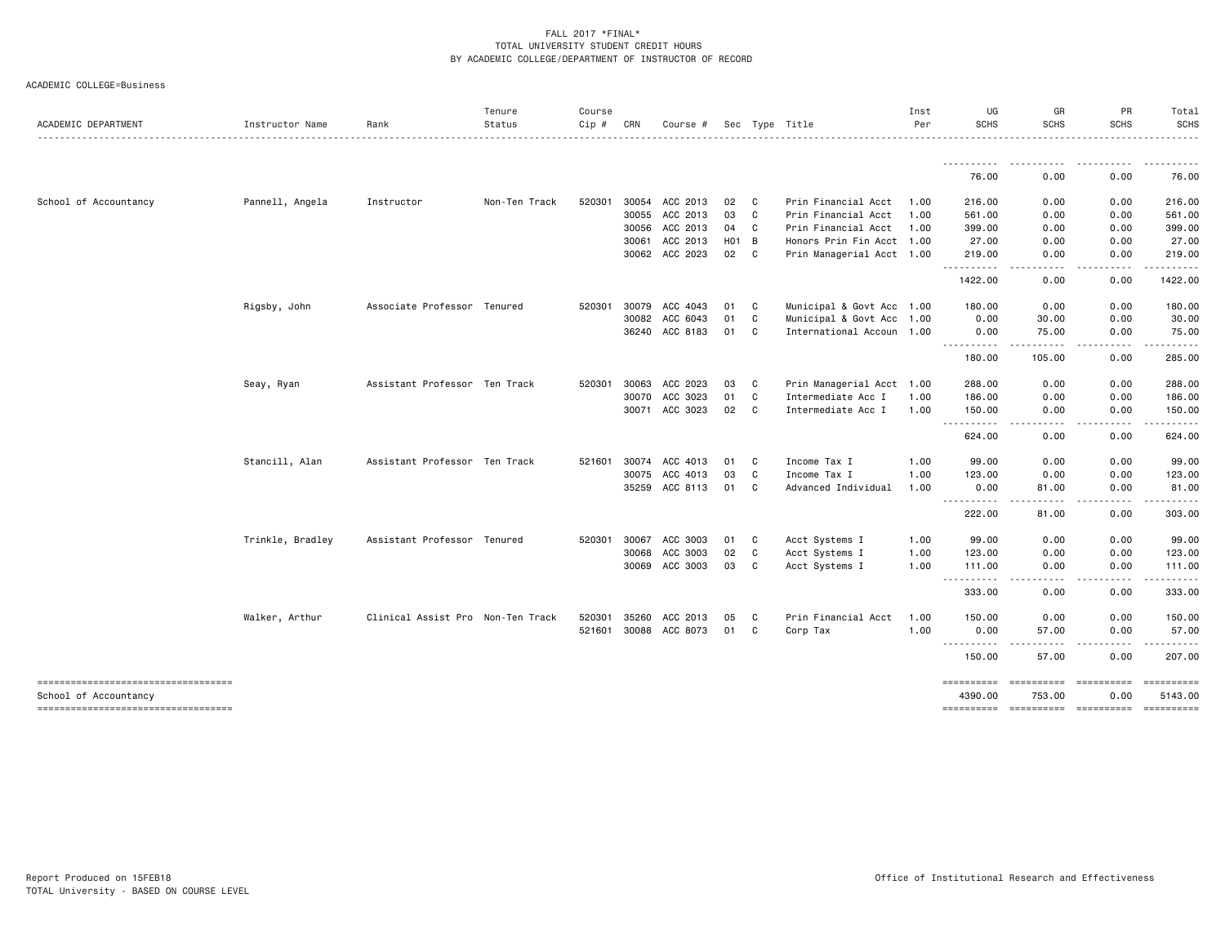| ACADEMIC COLLEGE=Business |  |
|---------------------------|--|
|                           |  |

| ACADEMIC DEPARTMENT                                          | Instructor Name  | Rank                              | Tenure<br>Status | Course<br>Cip # | CRN   | Course #       |                   |              | Sec Type Title            | Inst<br>Per | UG<br><b>SCHS</b>                                                                                                                      | GR<br><b>SCHS</b>           | PR<br><b>SCHS</b>         | Total<br><b>SCHS</b> |
|--------------------------------------------------------------|------------------|-----------------------------------|------------------|-----------------|-------|----------------|-------------------|--------------|---------------------------|-------------|----------------------------------------------------------------------------------------------------------------------------------------|-----------------------------|---------------------------|----------------------|
|                                                              |                  |                                   |                  |                 |       |                |                   |              |                           |             |                                                                                                                                        |                             |                           |                      |
|                                                              |                  |                                   |                  |                 |       |                |                   |              |                           |             | 76.00                                                                                                                                  | 0.00                        | 0.00                      | 76.00                |
| School of Accountancy                                        | Pannell, Angela  | Instructor                        | Non-Ten Track    | 520301          | 30054 | ACC 2013       | 02                | C.           | Prin Financial Acct       | 1.00        | 216,00                                                                                                                                 | 0.00                        | 0.00                      | 216.00               |
|                                                              |                  |                                   |                  |                 | 30055 | ACC 2013       | 03                | C            | Prin Financial Acct       | 1.00        | 561.00                                                                                                                                 | 0.00                        | 0.00                      | 561.00               |
|                                                              |                  |                                   |                  |                 | 30056 | ACC 2013       | 04                | C            | Prin Financial Acct 1.00  |             | 399.00                                                                                                                                 | 0.00                        | 0.00                      | 399.00               |
|                                                              |                  |                                   |                  |                 | 30061 | ACC 2013       | H <sub>01</sub> B |              | Honors Prin Fin Acct 1.00 |             | 27.00                                                                                                                                  | 0.00                        | 0.00                      | 27.00                |
|                                                              |                  |                                   |                  |                 |       | 30062 ACC 2023 | 02                | C            | Prin Managerial Acct 1.00 |             | 219.00<br><u>.</u>                                                                                                                     | 0.00                        | 0.00                      | 219.00               |
|                                                              |                  |                                   |                  |                 |       |                |                   |              |                           |             | 1422.00                                                                                                                                | 0.00                        | 0.00                      | 1422.00              |
|                                                              | Rigsby, John     | Associate Professor Tenured       |                  | 520301          | 30079 | ACC 4043       | 01                | C            | Municipal & Govt Acc 1.00 |             | 180.00                                                                                                                                 | 0.00                        | 0.00                      | 180.00               |
|                                                              |                  |                                   |                  |                 | 30082 | ACC 6043       | 01                | C            | Municipal & Govt Acc 1.00 |             | 0.00                                                                                                                                   | 30.00                       | 0.00                      | 30.00                |
|                                                              |                  |                                   |                  |                 |       | 36240 ACC 8183 | 01                | C            | International Accoun 1.00 |             | 0.00<br><u>.</u>                                                                                                                       | 75.00<br>.                  | 0.00                      | 75.00<br>.           |
|                                                              |                  |                                   |                  |                 |       |                |                   |              |                           |             | 180.00                                                                                                                                 | 105.00                      | 0.00                      | 285.00               |
|                                                              | Seay, Ryan       | Assistant Professor Ten Track     |                  | 520301          | 30063 | ACC 2023       | 03                | C            | Prin Managerial Acct 1.00 |             | 288.00                                                                                                                                 | 0.00                        | 0.00                      | 288.00               |
|                                                              |                  |                                   |                  |                 | 30070 | ACC 3023       | 01                | C            | Intermediate Acc I        | 1.00        | 186.00                                                                                                                                 | 0.00                        | 0.00                      | 186.00               |
|                                                              |                  |                                   |                  |                 |       | 30071 ACC 3023 | 02                | $\mathbf{C}$ | Intermediate Acc I        | 1.00        | 150.00<br>----------                                                                                                                   | 0.00<br>. <b>.</b> .        | 0.00<br>.                 | 150.00<br>.          |
|                                                              |                  |                                   |                  |                 |       |                |                   |              |                           |             | 624.00                                                                                                                                 | 0.00                        | 0.00                      | 624.00               |
|                                                              | Stancill, Alan   | Assistant Professor Ten Track     |                  | 521601          | 30074 | ACC 4013       | 01                | C.           | Income Tax I              | 1.00        | 99.00                                                                                                                                  | 0.00                        | 0.00                      | 99.00                |
|                                                              |                  |                                   |                  |                 | 30075 | ACC 4013       | 03                | C            | Income Tax I              | 1.00        | 123.00                                                                                                                                 | 0.00                        | 0.00                      | 123.00               |
|                                                              |                  |                                   |                  |                 |       | 35259 ACC 8113 | 01                | C            | Advanced Individual       | 1.00        | 0.00<br>.<br>$\frac{1}{2} \left( \frac{1}{2} \right) \left( \frac{1}{2} \right) \left( \frac{1}{2} \right) \left( \frac{1}{2} \right)$ | 81.00<br>-----              | 0.00<br>.                 | 81.00<br>.           |
|                                                              |                  |                                   |                  |                 |       |                |                   |              |                           |             | 222.00                                                                                                                                 | 81.00                       | 0.00                      | 303.00               |
|                                                              | Trinkle, Bradley | Assistant Professor Tenured       |                  | 520301          | 30067 | ACC 3003       | 01                | C            | Acct Systems I            | 1.00        | 99.00                                                                                                                                  | 0.00                        | 0.00                      | 99.00                |
|                                                              |                  |                                   |                  |                 | 30068 | ACC 3003       | 02                | C            | Acct Systems I            | 1.00        | 123.00                                                                                                                                 | 0.00                        | 0.00                      | 123.00               |
|                                                              |                  |                                   |                  |                 |       | 30069 ACC 3003 | 03                | C            | Acct Systems I            | 1.00        | 111.00                                                                                                                                 | 0.00                        | 0.00                      | 111.00               |
|                                                              |                  |                                   |                  |                 |       |                |                   |              |                           |             | 333.00                                                                                                                                 | 0.00                        | 0.00                      | 333.00               |
|                                                              | Walker, Arthur   | Clinical Assist Pro Non-Ten Track |                  | 520301          | 35260 | ACC 2013       | 05                | C            | Prin Financial Acct       | 1.00        | 150.00                                                                                                                                 | 0.00                        | 0.00                      | 150.00               |
|                                                              |                  |                                   |                  | 521601          |       | 30088 ACC 8073 | 01                | C            | Corp Tax                  | 1.00        | 0.00<br><u>.</u>                                                                                                                       | 57.00                       | 0.00                      | 57.00                |
|                                                              |                  |                                   |                  |                 |       |                |                   |              |                           |             | 150.00                                                                                                                                 | 57.00                       | 0.00                      | 207.00               |
| -----------------------------------<br>School of Accountancy |                  |                                   |                  |                 |       |                |                   |              |                           |             | 4390.00                                                                                                                                | <b>ESSESSESSE</b><br>753,00 | <b>ESSESSESSE</b><br>0.00 | 5143.00              |
| -----------------------------------                          |                  |                                   |                  |                 |       |                |                   |              |                           |             |                                                                                                                                        |                             |                           |                      |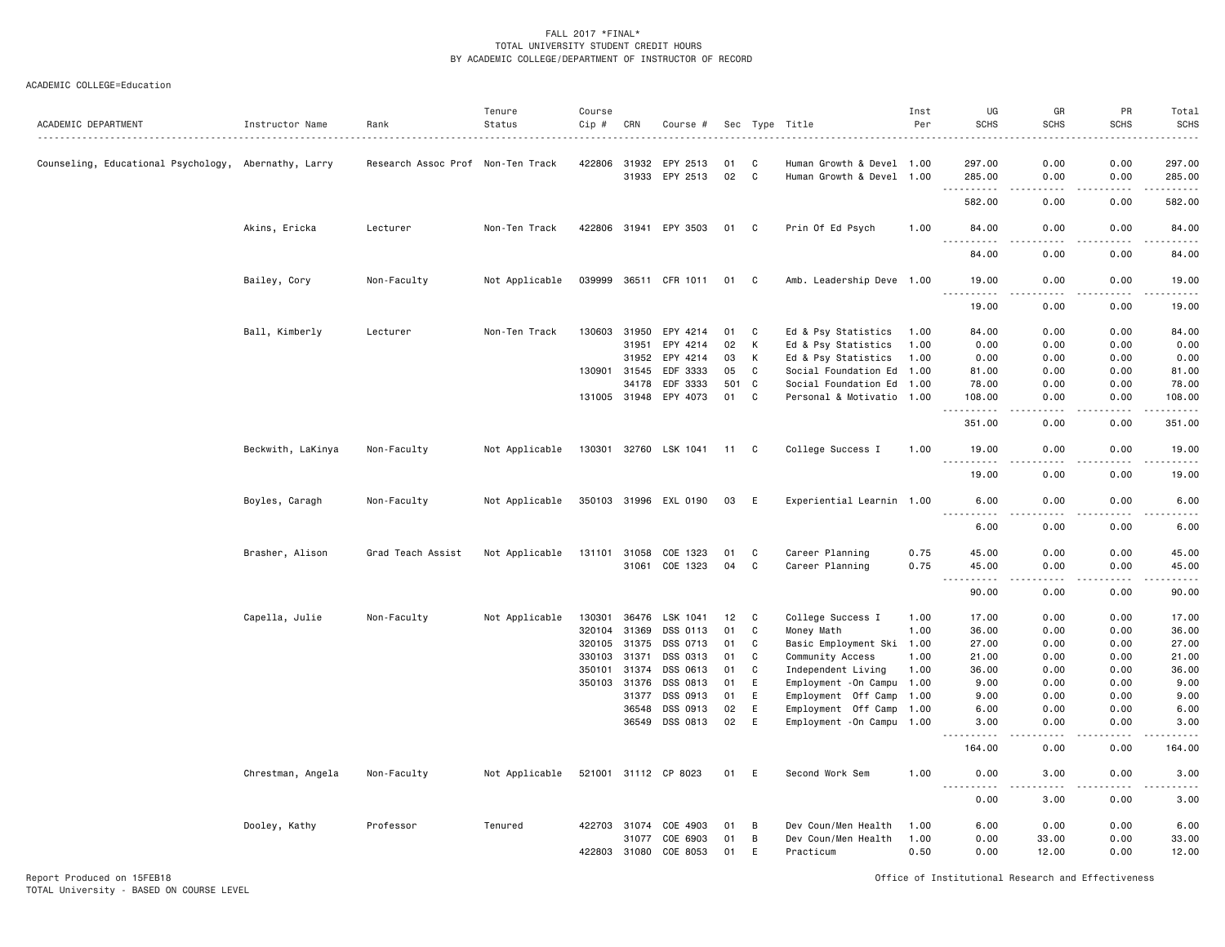| ACADEMIC DEPARTMENT                                  | Instructor Name   | Rank                              | Tenure<br>Status | Course<br>Cip # | CRN   | Course #              |      |   | Sec Type Title             | Inst<br>Per | UG<br><b>SCHS</b>                   | GR<br><b>SCHS</b>    | PR<br><b>SCHS</b> | Total<br><b>SCHS</b>      |
|------------------------------------------------------|-------------------|-----------------------------------|------------------|-----------------|-------|-----------------------|------|---|----------------------------|-------------|-------------------------------------|----------------------|-------------------|---------------------------|
| Counseling, Educational Psychology, Abernathy, Larry |                   | Research Assoc Prof Non-Ten Track |                  | 422806 31932    |       | EPY 2513              | 01   | C | Human Growth & Devel 1.00  |             | 297.00                              | 0.00                 | 0.00              | 297.00                    |
|                                                      |                   |                                   |                  |                 | 31933 | EPY 2513              | 02   | C | Human Growth & Devel 1.00  |             | 285.00                              | 0.00                 | 0.00              | 285.00                    |
|                                                      |                   |                                   |                  |                 |       |                       |      |   |                            |             | 582.00                              | 0.00                 | 0.00              | 582.00                    |
|                                                      | Akins, Ericka     | Lecturer                          | Non-Ten Track    |                 |       | 422806 31941 EPY 3503 | 01 C |   | Prin Of Ed Psych           | 1.00        | 84.00                               | 0.00<br>.            | 0.00              | 84.00<br>.                |
|                                                      |                   |                                   |                  |                 |       |                       |      |   |                            |             | . <b>.</b><br>84.00                 | 0.00                 | -----<br>0.00     | 84.00                     |
|                                                      | Bailey, Cory      | Non-Faculty                       | Not Applicable   |                 |       | 039999 36511 CFR 1011 | 01   | C | Amb. Leadership Deve 1.00  |             | 19.00                               | 0.00                 | 0.00              | 19.00<br>د د د د د        |
|                                                      |                   |                                   |                  |                 |       |                       |      |   |                            |             | 19.00                               | 0.00                 | 0.00              | 19.00                     |
|                                                      | Ball, Kimberly    | Lecturer                          | Non-Ten Track    | 130603          | 31950 | EPY 4214              | 01   | C | Ed & Psy Statistics        | 1.00        | 84.00                               | 0.00                 | 0.00              | 84.00                     |
|                                                      |                   |                                   |                  |                 | 31951 | EPY 4214              | 02   | Κ | Ed & Psy Statistics        | 1.00        | 0.00                                | 0.00                 | 0.00              | 0.00                      |
|                                                      |                   |                                   |                  |                 | 31952 | EPY 4214              | 03   | Κ | Ed & Psy Statistics        | 1.00        | 0.00                                | 0.00                 | 0.00              | 0.00                      |
|                                                      |                   |                                   |                  | 130901 31545    |       | EDF 3333              | 05   | C | Social Foundation Ed 1.00  |             | 81.00                               | 0.00                 | 0.00              | 81.00                     |
|                                                      |                   |                                   |                  |                 | 34178 | EDF 3333              | 501  | C | Social Foundation Ed       | 1.00        | 78.00                               | 0.00                 | 0.00              | 78.00                     |
|                                                      |                   |                                   |                  |                 |       | 131005 31948 EPY 4073 | 01   | C | Personal & Motivatio 1.00  |             | 108.00<br>.                         | 0.00<br>. <u>. .</u> | 0.00<br>.         | 108.00<br>$- - - - - - -$ |
|                                                      |                   |                                   |                  |                 |       |                       |      |   |                            |             | 351.00                              | 0.00                 | 0.00              | 351.00                    |
|                                                      | Beckwith, LaKinya | Non-Faculty                       | Not Applicable   |                 |       | 130301 32760 LSK 1041 | 11 C |   | College Success I          | 1.00        | 19.00<br>$\sim$ $\sim$ $\sim$       | 0.00                 | 0.00              | 19.00                     |
|                                                      |                   |                                   |                  |                 |       |                       |      |   |                            |             | 19.00                               | 0.00                 | 0.00              | 19.00                     |
|                                                      | Boyles, Caragh    | Non-Faculty                       | Not Applicable   |                 |       | 350103 31996 EXL 0190 | 03   | E | Experiential Learnin 1.00  |             | 6.00<br>.                           | 0.00                 | 0.00              | 6.00                      |
|                                                      |                   |                                   |                  |                 |       |                       |      |   |                            |             | 6.00                                | 0.00                 | 0.00              | 6.00                      |
|                                                      | Brasher, Alison   | Grad Teach Assist                 | Not Applicable   | 131101 31058    |       | COE 1323              | 01   | C | Career Planning            | 0.75        | 45.00                               | 0.00                 | 0.00              | 45.00                     |
|                                                      |                   |                                   |                  |                 | 31061 | COE 1323              | 04   | C | Career Planning            | 0.75        | 45.00                               | 0.00                 | 0.00              | 45.00                     |
|                                                      |                   |                                   |                  |                 |       |                       |      |   |                            |             | 90.00                               | 0.00                 | 0.00              | 90.00                     |
|                                                      | Capella, Julie    | Non-Faculty                       | Not Applicable   | 130301          | 36476 | LSK 1041              | 12   | C | College Success I          | 1.00        | 17.00                               | 0.00                 | 0.00              | 17.00                     |
|                                                      |                   |                                   |                  | 320104          | 31369 | DSS 0113              | 01   | C | Money Math                 | 1.00        | 36.00                               | 0.00                 | 0.00              | 36.00                     |
|                                                      |                   |                                   |                  | 320105 31375    |       | DSS 0713              | 01   | C | Basic Employment Ski 1.00  |             | 27.00                               | 0.00                 | 0.00              | 27.00                     |
|                                                      |                   |                                   |                  | 330103          | 31371 | DSS 0313              | 01   | C | Community Access           | 1.00        | 21.00                               | 0.00                 | 0.00              | 21.00                     |
|                                                      |                   |                                   |                  | 350101 31374    |       | DSS 0613              | 01   | C | Independent Living         | 1.00        | 36.00                               | 0.00                 | 0.00              | 36.00                     |
|                                                      |                   |                                   |                  | 350103 31376    |       | DSS 0813              | 01   | E | Employment -On Campu       | 1.00        | 9.00                                | 0.00                 | 0.00              | 9.00                      |
|                                                      |                   |                                   |                  |                 | 31377 | DSS 0913              | 01   | E | Employment Off Camp        | 1.00        | 9.00                                | 0.00                 | 0.00              | 9.00                      |
|                                                      |                   |                                   |                  |                 | 36548 | DSS 0913              | 02   | E | Employment Off Camp        | 1.00        | 6.00                                | 0.00                 | 0.00              | 6.00                      |
|                                                      |                   |                                   |                  |                 | 36549 | DSS 0813              | 02   | E | Employment - On Campu 1.00 |             | 3.00<br><u>.</u>                    | 0.00<br>. <u>. .</u> | 0.00<br>.         | 3.00                      |
|                                                      |                   |                                   |                  |                 |       |                       |      |   |                            |             | 164.00                              | 0.00                 | 0.00              | 164.00                    |
|                                                      | Chrestman, Angela | Non-Faculty                       | Not Applicable   |                 |       | 521001 31112 CP 8023  | 01   | E | Second Work Sem            | 1.00        | 0.00<br>$\omega$ is a $\omega$<br>. | 3.00                 | 0.00              | 3.00                      |
|                                                      |                   |                                   |                  |                 |       |                       |      |   |                            |             | 0.00                                | 3.00                 | 0.00              | 3.00                      |
|                                                      | Dooley, Kathy     | Professor                         | Tenured          |                 |       | 422703 31074 COE 4903 | 01   | B | Dev Coun/Men Health        | 1.00        | 6.00                                | 0.00                 | 0.00              | 6.00                      |
|                                                      |                   |                                   |                  |                 | 31077 | COE 6903              | 01   | B | Dev Coun/Men Health        | 1.00        | 0.00                                | 33.00                | 0.00              | 33.00                     |
|                                                      |                   |                                   |                  |                 |       | 422803 31080 COE 8053 | 01   | E | Practicum                  | 0.50        | 0.00                                | 12.00                | 0.00              | 12.00                     |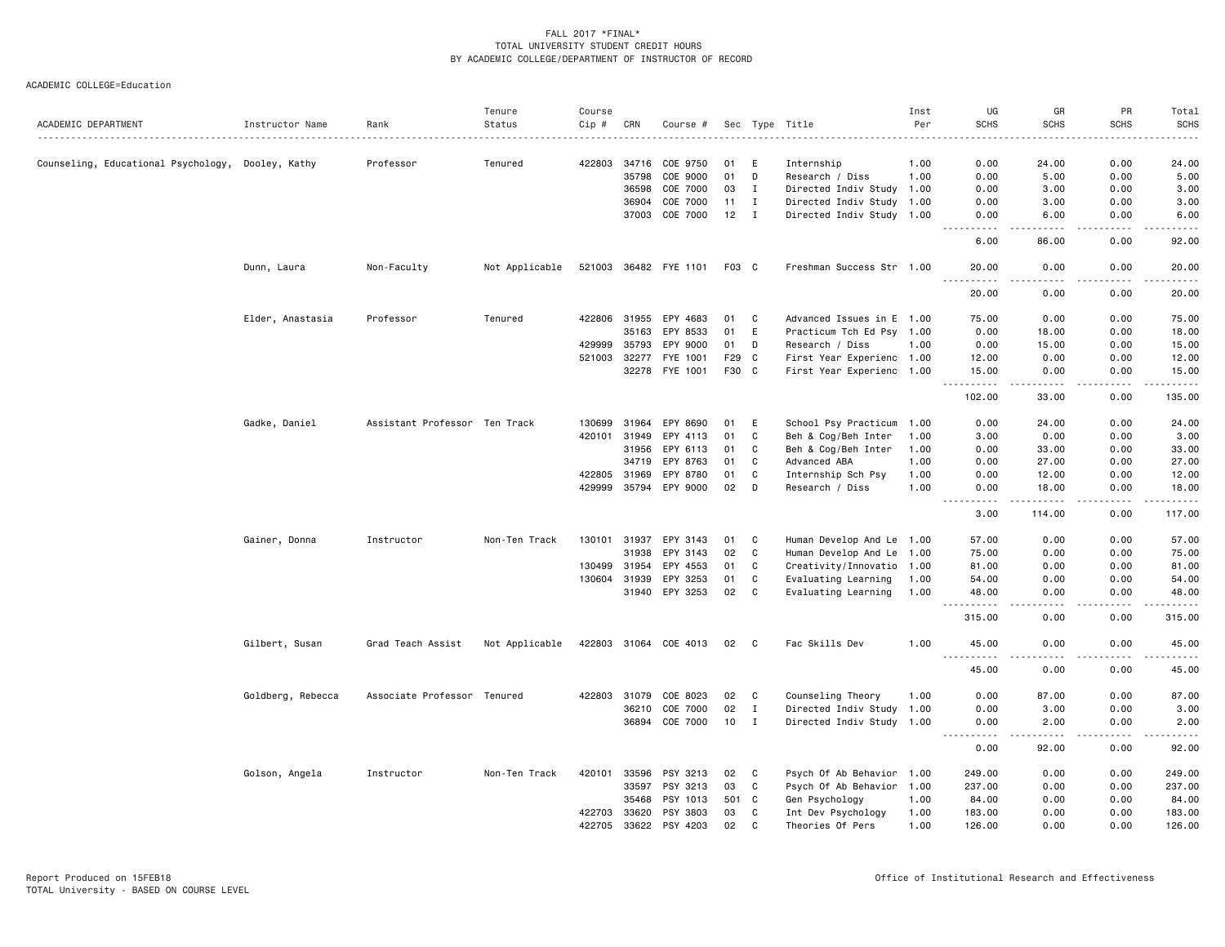|                                                   |                   |                               | Tenure         | Course |              |                       |              |              |                           | Inst | UG                                                                                                                                | GR                                  | PR            | Total                    |
|---------------------------------------------------|-------------------|-------------------------------|----------------|--------|--------------|-----------------------|--------------|--------------|---------------------------|------|-----------------------------------------------------------------------------------------------------------------------------------|-------------------------------------|---------------|--------------------------|
| ACADEMIC DEPARTMENT                               | Instructor Name   | Rank                          | Status         | Cip #  | CRN          | Course #              |              |              | Sec Type Title<br>.       | Per  | <b>SCHS</b>                                                                                                                       | <b>SCHS</b>                         | <b>SCHS</b>   | <b>SCHS</b>              |
| Counseling, Educational Psychology, Dooley, Kathy |                   | Professor                     | Tenured        | 422803 | 34716        | COE 9750              | 01           | Ε            | Internship                | 1.00 | 0.00                                                                                                                              | 24.00                               | 0.00          | 24.00                    |
|                                                   |                   |                               |                |        | 35798        | COE 9000              | 01           | D            | Research / Diss           | 1.00 | 0.00                                                                                                                              | 5.00                                | 0.00          | 5.00                     |
|                                                   |                   |                               |                |        | 36598        | COE 7000              | 03           | I            | Directed Indiv Study 1.00 |      | 0.00                                                                                                                              | 3.00                                | 0.00          | 3.00                     |
|                                                   |                   |                               |                |        | 36904        | COE 7000              | 11           | $\mathbf{I}$ | Directed Indiv Study 1.00 |      | 0.00                                                                                                                              | 3.00                                | 0.00          | 3.00                     |
|                                                   |                   |                               |                |        | 37003        | COE 7000              | $12 \quad I$ |              | Directed Indiv Study 1.00 |      | 0.00                                                                                                                              | 6.00                                | 0.00          | 6.00                     |
|                                                   |                   |                               |                |        |              |                       |              |              |                           |      | $\frac{1}{2} \left( \frac{1}{2} \right) \left( \frac{1}{2} \right) \left( \frac{1}{2} \right) \left( \frac{1}{2} \right)$<br>6.00 | د د د د<br>86.00                    | .<br>0.00     | الماليات المالي<br>92.00 |
|                                                   | Dunn, Laura       | Non-Faculty                   | Not Applicable |        |              | 521003 36482 FYE 1101 | F03 C        |              | Freshman Success Str 1.00 |      | 20.00                                                                                                                             | 0.00                                | 0.00          | 20.00                    |
|                                                   |                   |                               |                |        |              |                       |              |              |                           |      | 20.00                                                                                                                             | 0.00                                | 0.00          | 20.00                    |
|                                                   | Elder, Anastasia  | Professor                     | Tenured        |        | 422806 31955 | EPY 4683              | 01           | C            | Advanced Issues in E 1.00 |      | 75.00                                                                                                                             | 0.00                                | 0.00          | 75.00                    |
|                                                   |                   |                               |                |        | 35163        | EPY 8533              | 01           | E            | Practicum Tch Ed Psy 1.00 |      | 0.00                                                                                                                              | 18.00                               | 0.00          | 18.00                    |
|                                                   |                   |                               |                | 429999 | 35793        | EPY 9000              | 01           | D            | Research / Diss           | 1.00 | 0.00                                                                                                                              | 15.00                               | 0.00          | 15.00                    |
|                                                   |                   |                               |                | 521003 | 32277        | FYE 1001              | F29          | $\mathbf{C}$ | First Year Experienc 1.00 |      | 12.00                                                                                                                             | 0.00                                | 0.00          | 12.00                    |
|                                                   |                   |                               |                |        | 32278        | FYE 1001              | F30 C        |              | First Year Experienc 1.00 |      | 15.00                                                                                                                             | 0.00                                | 0.00          | 15.00                    |
|                                                   |                   |                               |                |        |              |                       |              |              |                           |      | د د د د د<br>102.00                                                                                                               | .<br>33.00                          | .<br>0.00     | .<br>135.00              |
|                                                   | Gadke, Daniel     | Assistant Professor Ten Track |                | 130699 | 31964        | EPY 8690              | 01           | E            | School Psy Practicum      | 1.00 | 0.00                                                                                                                              | 24.00                               | 0.00          | 24.00                    |
|                                                   |                   |                               |                | 420101 | 31949        | EPY 4113              | 01           | C            | Beh & Cog/Beh Inter       | 1.00 | 3.00                                                                                                                              | 0.00                                | 0.00          | 3.00                     |
|                                                   |                   |                               |                |        | 31956        | EPY 6113              | 01           | C            | Beh & Cog/Beh Inter       | 1.00 | 0.00                                                                                                                              | 33.00                               | 0.00          | 33.00                    |
|                                                   |                   |                               |                |        | 34719        | EPY 8763              | 01           | C            | Advanced ABA              | 1.00 | 0.00                                                                                                                              | 27.00                               | 0.00          | 27.00                    |
|                                                   |                   |                               |                | 422805 | 31969        | EPY 8780              | 01           | C            | Internship Sch Psy        | 1.00 | 0.00                                                                                                                              | 12.00                               | 0.00          | 12.00                    |
|                                                   |                   |                               |                |        |              | 429999 35794 EPY 9000 | 02           | D            | Research / Diss           | 1.00 | 0.00                                                                                                                              | 18.00                               | 0.00          | 18.00                    |
|                                                   |                   |                               |                |        |              |                       |              |              |                           |      | $\sim$ $\sim$ $\sim$ $\sim$<br>3.00                                                                                               | .<br>114.00                         | -----<br>0.00 | .<br>117.00              |
|                                                   | Gainer, Donna     | Instructor                    | Non-Ten Track  | 130101 | 31937        | EPY 3143              | 01           | C            | Human Develop And Le 1.00 |      | 57.00                                                                                                                             | 0.00                                | 0.00          | 57.00                    |
|                                                   |                   |                               |                |        | 31938        | EPY 3143              | 02           | C            | Human Develop And Le 1.00 |      | 75.00                                                                                                                             | 0.00                                | 0.00          | 75.00                    |
|                                                   |                   |                               |                | 130499 | 31954        | EPY 4553              | 01           | C            | Creativity/Innovatio 1.00 |      | 81.00                                                                                                                             | 0.00                                | 0.00          | 81.00                    |
|                                                   |                   |                               |                |        | 130604 31939 | EPY 3253              | 01           | C            | Evaluating Learning       | 1.00 | 54.00                                                                                                                             | 0.00                                | 0.00          | 54.00                    |
|                                                   |                   |                               |                |        | 31940        | EPY 3253              | 02           | C            | Evaluating Learning       | 1.00 | 48.00                                                                                                                             | 0.00                                | 0.00          | 48.00                    |
|                                                   |                   |                               |                |        |              |                       |              |              |                           |      | $- - - -$<br>315.00                                                                                                               | 0.00                                | 0.00          | .<br>315.00              |
|                                                   | Gilbert, Susan    | Grad Teach Assist             | Not Applicable |        |              | 422803 31064 COE 4013 | 02           | $\mathbf{C}$ | Fac Skills Dev            | 1.00 | 45.00                                                                                                                             | 0.00                                | 0.00          | 45.00                    |
|                                                   |                   |                               |                |        |              |                       |              |              |                           |      | د د د د د<br>45.00                                                                                                                | $\sim$ $\sim$ $\sim$ $\sim$<br>0.00 | .<br>0.00     | .<br>45.00               |
|                                                   | Goldberg, Rebecca | Associate Professor Tenured   |                | 422803 | 31079        | COE 8023              | 02           | C            | Counseling Theory         | 1.00 | 0.00                                                                                                                              | 87.00                               | 0.00          | 87.00                    |
|                                                   |                   |                               |                |        | 36210        | COE 7000              | 02           | $\mathbf{I}$ | Directed Indiv Study 1.00 |      | 0.00                                                                                                                              | 3.00                                | 0.00          | 3.00                     |
|                                                   |                   |                               |                |        | 36894        | COE 7000              | 10           | $\mathbf I$  | Directed Indiv Study 1.00 |      | 0.00                                                                                                                              | 2.00                                | 0.00          | 2.00                     |
|                                                   |                   |                               |                |        |              |                       |              |              |                           |      | . <b>.</b><br>0.00                                                                                                                | -----<br>92.00                      | -----<br>0.00 | .<br>92.00               |
|                                                   | Golson, Angela    | Instructor                    | Non-Ten Track  | 420101 | 33596        | PSY 3213              | 02           | C            | Psych Of Ab Behavior 1.00 |      | 249.00                                                                                                                            | 0.00                                | 0.00          | 249.00                   |
|                                                   |                   |                               |                |        | 33597        | PSY 3213              | 03           | C            | Psych Of Ab Behavior 1.00 |      | 237.00                                                                                                                            | 0.00                                | 0.00          | 237.00                   |
|                                                   |                   |                               |                |        | 35468        | PSY 1013              | 501          | C            | Gen Psychology            | 1.00 | 84.00                                                                                                                             | 0.00                                | 0.00          | 84.00                    |
|                                                   |                   |                               |                | 422703 | 33620        | PSY 3803              | 03           | C            | Int Dev Psychology        | 1.00 | 183.00                                                                                                                            | 0.00                                | 0.00          | 183.00                   |
|                                                   |                   |                               |                | 422705 | 33622        | PSY 4203              | 02           | C.           | Theories Of Pers          | 1.00 | 126,00                                                                                                                            | 0.00                                | 0.00          | 126.00                   |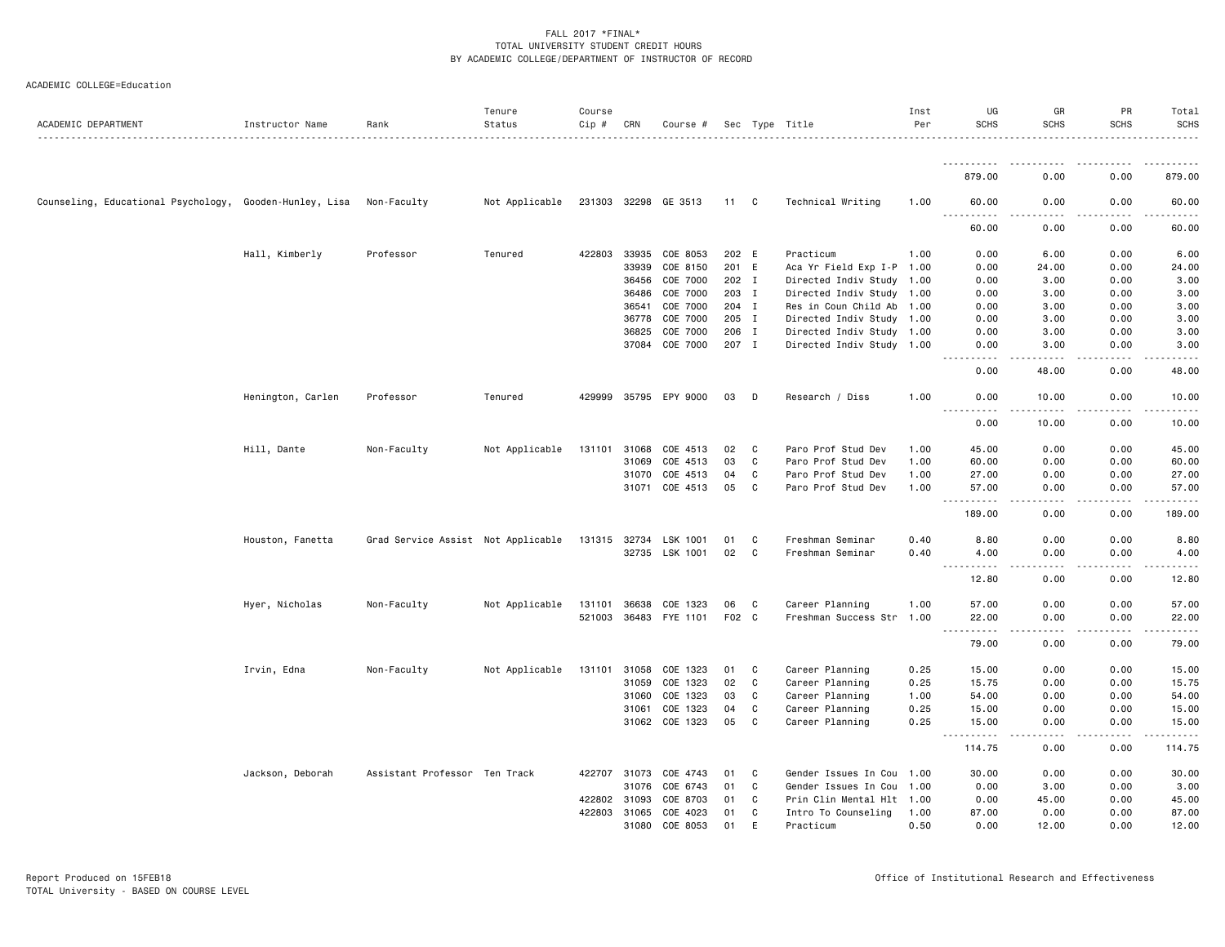| ACADEMIC DEPARTMENT                                     | Instructor Name   | Rank                               | Tenure<br>Status | Course<br>Cip # | CRN   | Course #              |       |   | Sec Type Title            | Inst<br>Per | UG<br><b>SCHS</b>                     | GR<br><b>SCHS</b> | PR<br><b>SCHS</b> | Total<br><b>SCHS</b> |
|---------------------------------------------------------|-------------------|------------------------------------|------------------|-----------------|-------|-----------------------|-------|---|---------------------------|-------------|---------------------------------------|-------------------|-------------------|----------------------|
|                                                         |                   |                                    |                  |                 |       |                       |       |   |                           |             |                                       |                   |                   |                      |
|                                                         |                   |                                    |                  |                 |       |                       |       |   |                           |             | 879.00                                | 0.00              | 0.00              | 879.00               |
| Counseling, Educational Psychology, Gooden-Hunley, Lisa |                   | Non-Faculty                        | Not Applicable   |                 |       | 231303 32298 GE 3513  | 11 C  |   | Technical Writing         | 1.00        | 60.00<br>$\sim$ $\sim$ $\sim$<br>.    | 0.00<br>.         | 0.00<br>.         | 60.00<br>. <u>.</u>  |
|                                                         |                   |                                    |                  |                 |       |                       |       |   |                           |             | 60.00                                 | 0.00              | 0.00              | 60.00                |
|                                                         | Hall, Kimberly    | Professor                          | Tenured          | 422803          | 33935 | COE 8053              | 202 E |   | Practicum                 | 1.00        | 0.00                                  | 6.00              | 0.00              | 6.00                 |
|                                                         |                   |                                    |                  |                 | 33939 | COE 8150              | 201 E |   | Aca Yr Field Exp I-P 1.00 |             | 0.00                                  | 24.00             | 0.00              | 24.00                |
|                                                         |                   |                                    |                  |                 | 36456 | COE 7000              | 202 I |   | Directed Indiv Study 1.00 |             | 0.00                                  | 3.00              | 0.00              | 3.00                 |
|                                                         |                   |                                    |                  |                 | 36486 | COE 7000              | 203 I |   | Directed Indiv Study 1.00 |             | 0.00                                  | 3.00              | 0.00              | 3.00                 |
|                                                         |                   |                                    |                  |                 | 36541 | COE 7000              | 204 I |   | Res in Coun Child Ab 1.00 |             | 0.00                                  | 3.00              | 0.00              | 3.00                 |
|                                                         |                   |                                    |                  |                 | 36778 | COE 7000              | 205 I |   | Directed Indiv Study 1.00 |             | 0.00                                  | 3.00              | 0.00              | 3.00                 |
|                                                         |                   |                                    |                  |                 | 36825 | COE 7000              | 206 I |   | Directed Indiv Study 1.00 |             | 0.00                                  | 3.00              | 0.00              | 3.00                 |
|                                                         |                   |                                    |                  |                 | 37084 | COE 7000              | 207 I |   | Directed Indiv Study 1.00 |             | 0.00<br>.                             | 3.00              | 0.00              | 3.00                 |
|                                                         |                   |                                    |                  |                 |       |                       |       |   |                           |             | 0.00                                  | 48.00             | 0.00              | 48.00                |
|                                                         | Henington, Carlen | Professor                          | Tenured          |                 |       | 429999 35795 EPY 9000 | 03    | D | Research / Diss           | 1.00        | 0.00<br>$\sim$ $\sim$ $\sim$<br>.     | 10.00<br>.        | 0.00              | 10.00<br>.           |
|                                                         |                   |                                    |                  |                 |       |                       |       |   |                           |             | 0.00                                  | 10.00             | 0.00              | 10.00                |
|                                                         | Hill, Dante       | Non-Faculty                        | Not Applicable   | 131101          | 31068 | COE 4513              | 02    | C | Paro Prof Stud Dev        | 1.00        | 45.00                                 | 0.00              | 0.00              | 45.00                |
|                                                         |                   |                                    |                  |                 | 31069 | COE 4513              | 03    | C | Paro Prof Stud Dev        | 1.00        | 60.00                                 | 0.00              | 0.00              | 60.00                |
|                                                         |                   |                                    |                  |                 | 31070 | COE 4513              | 04    | C | Paro Prof Stud Dev        | 1.00        | 27.00                                 | 0.00              | 0.00              | 27.00                |
|                                                         |                   |                                    |                  |                 | 31071 | COE 4513              | 05    | C | Paro Prof Stud Dev        | 1.00        | 57.00<br><u>.</u>                     | 0.00<br>د د د د   | 0.00<br>.         | 57.00<br>.           |
|                                                         |                   |                                    |                  |                 |       |                       |       |   |                           |             | 189.00                                | 0.00              | 0.00              | 189.00               |
|                                                         | Houston, Fanetta  | Grad Service Assist Not Applicable |                  |                 |       | 131315 32734 LSK 1001 | 01    | C | Freshman Seminar          | 0.40        | 8.80                                  | 0.00              | 0.00              | 8.80                 |
|                                                         |                   |                                    |                  |                 |       | 32735 LSK 1001        | 02    | C | Freshman Seminar          | 0.40        | 4.00                                  | 0.00              | 0.00              | 4.00                 |
|                                                         |                   |                                    |                  |                 |       |                       |       |   |                           |             |                                       |                   |                   |                      |
|                                                         |                   |                                    |                  |                 |       |                       |       |   |                           |             | 12.80                                 | 0.00              | 0.00              | 12.80                |
|                                                         | Hyer, Nicholas    | Non-Faculty                        | Not Applicable   | 131101          | 36638 | COE 1323              | 06    | C | Career Planning           | 1.00        | 57.00                                 | 0.00              | 0.00              | 57.00                |
|                                                         |                   |                                    |                  | 521003 36483    |       | FYE 1101              | F02 C |   | Freshman Success Str      | 1.00        | 22.00<br>$- - - - -$<br>$  -$         | 0.00              | 0.00              | 22.00                |
|                                                         |                   |                                    |                  |                 |       |                       |       |   |                           |             | 79.00                                 | 0.00              | 0.00              | 79.00                |
|                                                         | Irvin, Edna       | Non-Faculty                        | Not Applicable   | 131101          | 31058 | COE 1323              | 01    | C | Career Planning           | 0.25        | 15.00                                 | 0.00              | 0.00              | 15.00                |
|                                                         |                   |                                    |                  |                 | 31059 | COE 1323              | 02    | C | Career Planning           | 0.25        | 15.75                                 | 0.00              | 0.00              | 15.75                |
|                                                         |                   |                                    |                  |                 | 31060 | COE 1323              | 03    | C | Career Planning           | 1.00        | 54.00                                 | 0.00              | 0.00              | 54.00                |
|                                                         |                   |                                    |                  |                 | 31061 | COE 1323              | 04    | C | Career Planning           | 0.25        | 15.00                                 | 0.00              | 0.00              | 15.00                |
|                                                         |                   |                                    |                  |                 | 31062 | COE 1323              | 05    | C | Career Planning           | 0.25        | 15.00<br>د د د د د<br>$\sim$ $\sim$ . | 0.00<br>د د د د   | 0.00<br>.         | 15.00<br>.           |
|                                                         |                   |                                    |                  |                 |       |                       |       |   |                           |             | 114.75                                | 0.00              | 0.00              | 114.75               |
|                                                         | Jackson, Deborah  | Assistant Professor Ten Track      |                  | 422707          | 31073 | COE 4743              | 01    | C | Gender Issues In Cou      | 1.00        | 30.00                                 | 0.00              | 0.00              | 30.00                |
|                                                         |                   |                                    |                  |                 | 31076 | COE 6743              | 01    | C | Gender Issues In Cou      | 1.00        | 0.00                                  | 3.00              | 0.00              | 3.00                 |
|                                                         |                   |                                    |                  | 422802 31093    |       | COE 8703              | 01    | C | Prin Clin Mental Hlt      | 1.00        | 0.00                                  | 45.00             | 0.00              | 45.00                |
|                                                         |                   |                                    |                  | 422803          | 31065 | COE 4023              | 01    | C | Intro To Counseling       | 1.00        | 87.00                                 | 0.00              | 0.00              | 87.00                |
|                                                         |                   |                                    |                  |                 | 31080 | COE 8053              | 01    | E | Practicum                 | 0.50        | 0.00                                  | 12.00             | 0.00              | 12.00                |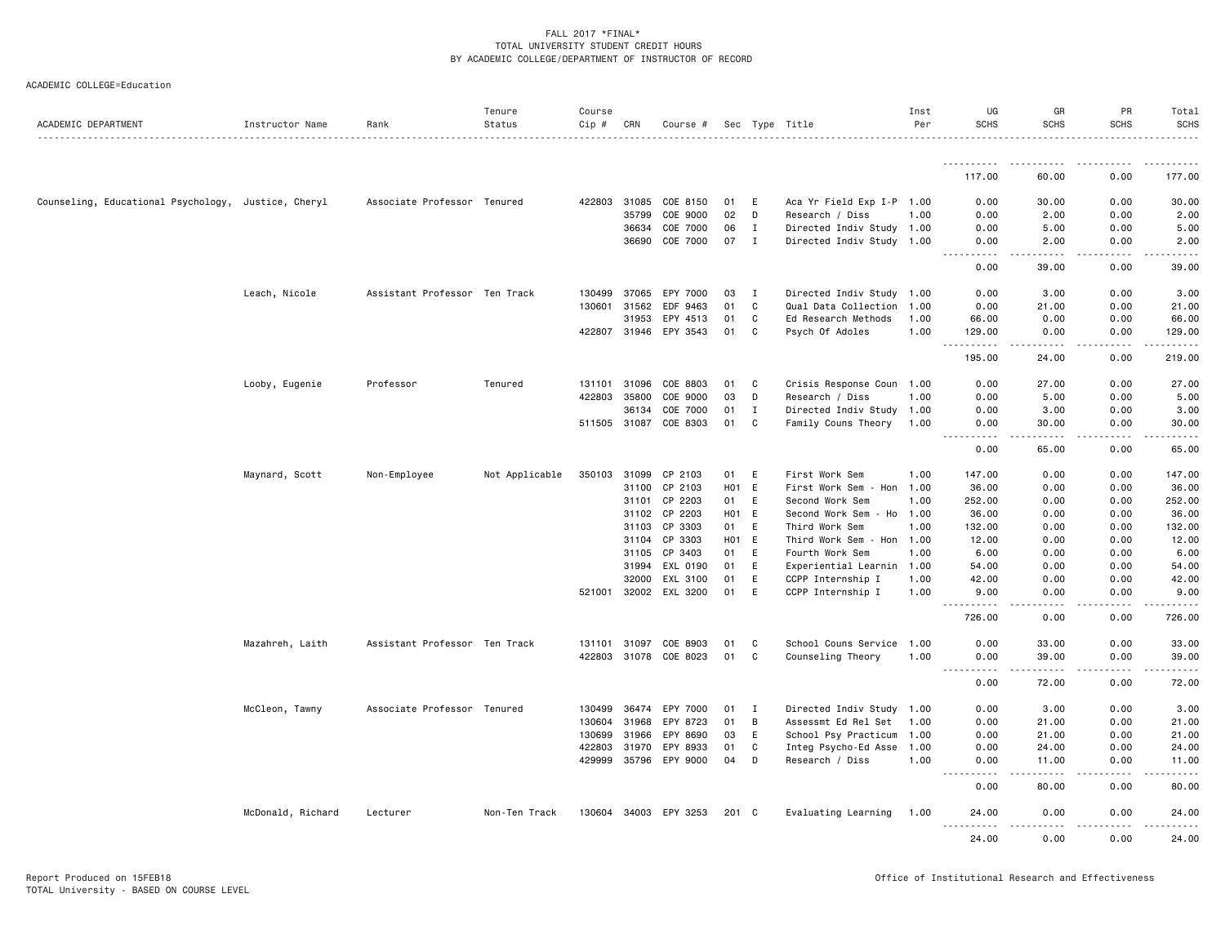| ACADEMIC DEPARTMENT                                 | Instructor Name   | Rank                          | Tenure<br>Status | Course<br>$Cip$ # | CRN   | Course #              |       |              | Sec Type Title            | Inst<br>Per | UG<br><b>SCHS</b>                                                                                                                                                        | GR<br><b>SCHS</b>                                                                                                                                            | PR<br><b>SCHS</b>                                                                                                                                            | Total<br><b>SCHS</b>                                                                                                                                           |
|-----------------------------------------------------|-------------------|-------------------------------|------------------|-------------------|-------|-----------------------|-------|--------------|---------------------------|-------------|--------------------------------------------------------------------------------------------------------------------------------------------------------------------------|--------------------------------------------------------------------------------------------------------------------------------------------------------------|--------------------------------------------------------------------------------------------------------------------------------------------------------------|----------------------------------------------------------------------------------------------------------------------------------------------------------------|
|                                                     |                   |                               |                  |                   |       |                       |       |              |                           |             | ----------                                                                                                                                                               |                                                                                                                                                              |                                                                                                                                                              |                                                                                                                                                                |
|                                                     |                   |                               |                  |                   |       |                       |       |              |                           |             | 117.00                                                                                                                                                                   | 60.00                                                                                                                                                        | 0.00                                                                                                                                                         | 177.00                                                                                                                                                         |
| Counseling, Educational Psychology, Justice, Cheryl |                   | Associate Professor Tenured   |                  | 422803 31085      |       | COE 8150              | 01    | E            | Aca Yr Field Exp I-P 1.00 |             | 0.00                                                                                                                                                                     | 30.00                                                                                                                                                        | 0.00                                                                                                                                                         | 30.00                                                                                                                                                          |
|                                                     |                   |                               |                  |                   | 35799 | COE 9000              | 02    | D            | Research / Diss           | 1.00        | 0.00                                                                                                                                                                     | 2.00                                                                                                                                                         | 0.00                                                                                                                                                         | 2.00                                                                                                                                                           |
|                                                     |                   |                               |                  |                   | 36634 | COE 7000              | 06    | Ι.           | Directed Indiv Study      | 1.00        | 0.00                                                                                                                                                                     | 5.00                                                                                                                                                         | 0.00                                                                                                                                                         | 5.00                                                                                                                                                           |
|                                                     |                   |                               |                  |                   | 36690 | COE 7000              | 07    | $\mathbf{I}$ | Directed Indiv Study 1.00 |             | 0.00<br>د د د د د                                                                                                                                                        | 2.00<br>$\frac{1}{2} \left( \frac{1}{2} \right) \left( \frac{1}{2} \right) \left( \frac{1}{2} \right) \left( \frac{1}{2} \right) \left( \frac{1}{2} \right)$ | 0.00                                                                                                                                                         | 2.00                                                                                                                                                           |
|                                                     |                   |                               |                  |                   |       |                       |       |              |                           |             | 0.00                                                                                                                                                                     | 39.00                                                                                                                                                        | .<br>0.00                                                                                                                                                    | 39.00                                                                                                                                                          |
|                                                     | Leach, Nicole     | Assistant Professor Ten Track |                  | 130499            | 37065 | EPY 7000              | 03    | I            | Directed Indiv Study 1.00 |             | 0.00                                                                                                                                                                     | 3.00                                                                                                                                                         | 0.00                                                                                                                                                         | 3.00                                                                                                                                                           |
|                                                     |                   |                               |                  | 130601            | 31562 | EDF 9463              | 01    | C            | Qual Data Collection      | 1.00        | 0.00                                                                                                                                                                     | 21.00                                                                                                                                                        | 0.00                                                                                                                                                         | 21.00                                                                                                                                                          |
|                                                     |                   |                               |                  |                   | 31953 | EPY 4513              | 01    | C            | Ed Research Methods       | 1.00        | 66.00                                                                                                                                                                    | 0.00                                                                                                                                                         | 0.00                                                                                                                                                         | 66.00                                                                                                                                                          |
|                                                     |                   |                               |                  |                   |       | 422807 31946 EPY 3543 | 01    | C            | Psych Of Adoles           | 1.00        | 129.00<br>د د د د د                                                                                                                                                      | 0.00                                                                                                                                                         | 0.00<br>.                                                                                                                                                    | 129.00<br>$\frac{1}{2} \left( \frac{1}{2} \right) \left( \frac{1}{2} \right) \left( \frac{1}{2} \right) \left( \frac{1}{2} \right) \left( \frac{1}{2} \right)$ |
|                                                     |                   |                               |                  |                   |       |                       |       |              |                           |             | 195.00                                                                                                                                                                   | 24.00                                                                                                                                                        | 0.00                                                                                                                                                         | 219.00                                                                                                                                                         |
|                                                     | Looby, Eugenie    | Professor                     | Tenured          | 131101            | 31096 | COE 8803              | 01    | C            | Crisis Response Coun 1.00 |             | 0.00                                                                                                                                                                     | 27.00                                                                                                                                                        | 0.00                                                                                                                                                         | 27.00                                                                                                                                                          |
|                                                     |                   |                               |                  | 422803            | 35800 | COE 9000              | 03    | D            | Research / Diss           | 1.00        | 0.00                                                                                                                                                                     | 5.00                                                                                                                                                         | 0.00                                                                                                                                                         | 5.00                                                                                                                                                           |
|                                                     |                   |                               |                  |                   | 36134 | COE 7000              | 01    | I            | Directed Indiv Study 1.00 |             | 0.00                                                                                                                                                                     | 3.00                                                                                                                                                         | 0.00                                                                                                                                                         | 3.00                                                                                                                                                           |
|                                                     |                   |                               |                  |                   |       | 511505 31087 COE 8303 | 01    | C            | Family Couns Theory       | 1.00        | 0.00<br><b>.</b><br>$\frac{1}{2} \left( \frac{1}{2} \right) \left( \frac{1}{2} \right) \left( \frac{1}{2} \right) \left( \frac{1}{2} \right) \left( \frac{1}{2} \right)$ | 30.00<br>$- - - - -$                                                                                                                                         | 0.00<br>$- - - - -$                                                                                                                                          | 30.00<br>.                                                                                                                                                     |
|                                                     |                   |                               |                  |                   |       |                       |       |              |                           |             | 0.00                                                                                                                                                                     | 65.00                                                                                                                                                        | 0.00                                                                                                                                                         | 65.00                                                                                                                                                          |
|                                                     | Maynard, Scott    | Non-Employee                  | Not Applicable   | 350103            | 31099 | CP 2103               | 01    | Ε            | First Work Sem            | 1.00        | 147.00                                                                                                                                                                   | 0.00                                                                                                                                                         | 0.00                                                                                                                                                         | 147.00                                                                                                                                                         |
|                                                     |                   |                               |                  |                   | 31100 | CP 2103               | H01   | E            | First Work Sem - Hon      | 1.00        | 36.00                                                                                                                                                                    | 0.00                                                                                                                                                         | 0.00                                                                                                                                                         | 36.00                                                                                                                                                          |
|                                                     |                   |                               |                  |                   | 31101 | CP 2203               | 01    | E            | Second Work Sem           | 1.00        | 252.00                                                                                                                                                                   | 0.00                                                                                                                                                         | 0.00                                                                                                                                                         | 252.00                                                                                                                                                         |
|                                                     |                   |                               |                  |                   | 31102 | CP 2203               | H01 E |              | Second Work Sem - Ho      | 1.00        | 36.00                                                                                                                                                                    | 0.00                                                                                                                                                         | 0.00                                                                                                                                                         | 36.00                                                                                                                                                          |
|                                                     |                   |                               |                  |                   | 31103 | CP 3303               | 01    | E            | Third Work Sem            | 1.00        | 132.00                                                                                                                                                                   | 0.00                                                                                                                                                         | 0.00                                                                                                                                                         | 132.00                                                                                                                                                         |
|                                                     |                   |                               |                  |                   | 31104 | CP 3303               | H01   | E            | Third Work Sem - Hon      | 1.00        | 12.00                                                                                                                                                                    | 0.00                                                                                                                                                         | 0.00                                                                                                                                                         | 12.00                                                                                                                                                          |
|                                                     |                   |                               |                  |                   | 31105 | CP 3403               | 01    | E            | Fourth Work Sem           | 1.00        | 6.00                                                                                                                                                                     | 0.00                                                                                                                                                         | 0.00                                                                                                                                                         | 6.00                                                                                                                                                           |
|                                                     |                   |                               |                  |                   | 31994 | EXL 0190              | 01    | E            | Experiential Learnin      | 1.00        | 54.00                                                                                                                                                                    | 0.00                                                                                                                                                         | 0.00                                                                                                                                                         | 54.00                                                                                                                                                          |
|                                                     |                   |                               |                  |                   | 32000 | EXL 3100              | 01    | E            | CCPP Internship I         | 1.00        | 42.00                                                                                                                                                                    | 0.00                                                                                                                                                         | 0.00                                                                                                                                                         | 42.00                                                                                                                                                          |
|                                                     |                   |                               |                  |                   |       | 521001 32002 EXL 3200 | 01    | E            | CCPP Internship I         | 1.00        | 9.00<br>$\frac{1}{2} \left( \frac{1}{2} \right) \left( \frac{1}{2} \right) \left( \frac{1}{2} \right) \left( \frac{1}{2} \right) \left( \frac{1}{2} \right)$             | 0.00<br>.                                                                                                                                                    | 0.00<br>.                                                                                                                                                    | 9.00                                                                                                                                                           |
|                                                     |                   |                               |                  |                   |       |                       |       |              |                           |             | 726.00                                                                                                                                                                   | 0.00                                                                                                                                                         | 0.00                                                                                                                                                         | 726.00                                                                                                                                                         |
|                                                     | Mazahreh, Laith   | Assistant Professor Ten Track |                  | 131101            | 31097 | COE 8903              | 01    | C            | School Couns Service      | 1.00        | 0.00                                                                                                                                                                     | 33.00                                                                                                                                                        | 0.00                                                                                                                                                         | 33.00                                                                                                                                                          |
|                                                     |                   |                               |                  |                   |       | 422803 31078 COE 8023 | 01    | C            | Counseling Theory         | 1.00        | 0.00<br>.<br>$\sim 100$                                                                                                                                                  | 39.00<br>.                                                                                                                                                   | 0.00                                                                                                                                                         | 39.00<br>.                                                                                                                                                     |
|                                                     |                   |                               |                  |                   |       |                       |       |              |                           |             | 0.00                                                                                                                                                                     | 72.00                                                                                                                                                        | 0.00                                                                                                                                                         | 72.00                                                                                                                                                          |
|                                                     | McCleon, Tawny    | Associate Professor Tenured   |                  | 130499            | 36474 | EPY 7000              | 01    | Ι.           | Directed Indiv Study      | 1.00        | 0.00                                                                                                                                                                     | 3.00                                                                                                                                                         | 0.00                                                                                                                                                         | 3.00                                                                                                                                                           |
|                                                     |                   |                               |                  | 130604            | 31968 | EPY 8723              | 01    | B            | Assessmt Ed Rel Set       | 1.00        | 0.00                                                                                                                                                                     | 21.00                                                                                                                                                        | 0.00                                                                                                                                                         | 21.00                                                                                                                                                          |
|                                                     |                   |                               |                  | 130699 31966      |       | EPY 8690              | 03    | E            | School Psy Practicum      | 1.00        | 0.00                                                                                                                                                                     | 21.00                                                                                                                                                        | 0.00                                                                                                                                                         | 21.00                                                                                                                                                          |
|                                                     |                   |                               |                  | 422803            | 31970 | EPY 8933              | 01    | C            | Integ Psycho-Ed Asse      | 1.00        | 0.00                                                                                                                                                                     | 24.00                                                                                                                                                        | 0.00                                                                                                                                                         | 24.00                                                                                                                                                          |
|                                                     |                   |                               |                  |                   |       | 429999 35796 EPY 9000 | 04    | D            | Research / Diss           | 1.00        | 0.00<br>.<br>$\frac{1}{2} \left( \frac{1}{2} \right) \left( \frac{1}{2} \right) \left( \frac{1}{2} \right) \left( \frac{1}{2} \right)$                                   | 11.00<br>.                                                                                                                                                   | 0.00<br>$\frac{1}{2} \left( \frac{1}{2} \right) \left( \frac{1}{2} \right) \left( \frac{1}{2} \right) \left( \frac{1}{2} \right) \left( \frac{1}{2} \right)$ | 11.00<br>.                                                                                                                                                     |
|                                                     |                   |                               |                  |                   |       |                       |       |              |                           |             | 0.00                                                                                                                                                                     | 80.00                                                                                                                                                        | 0.00                                                                                                                                                         | 80.00                                                                                                                                                          |
|                                                     | McDonald, Richard | Lecturer                      | Non-Ten Track    | 130604            |       | 34003 EPY 3253        | 201 C |              | Evaluating Learning       | 1.00        | 24.00                                                                                                                                                                    | 0.00                                                                                                                                                         | 0.00                                                                                                                                                         | 24.00                                                                                                                                                          |
|                                                     |                   |                               |                  |                   |       |                       |       |              |                           |             | 24.00                                                                                                                                                                    | 0.00                                                                                                                                                         | 0.00                                                                                                                                                         | 24,00                                                                                                                                                          |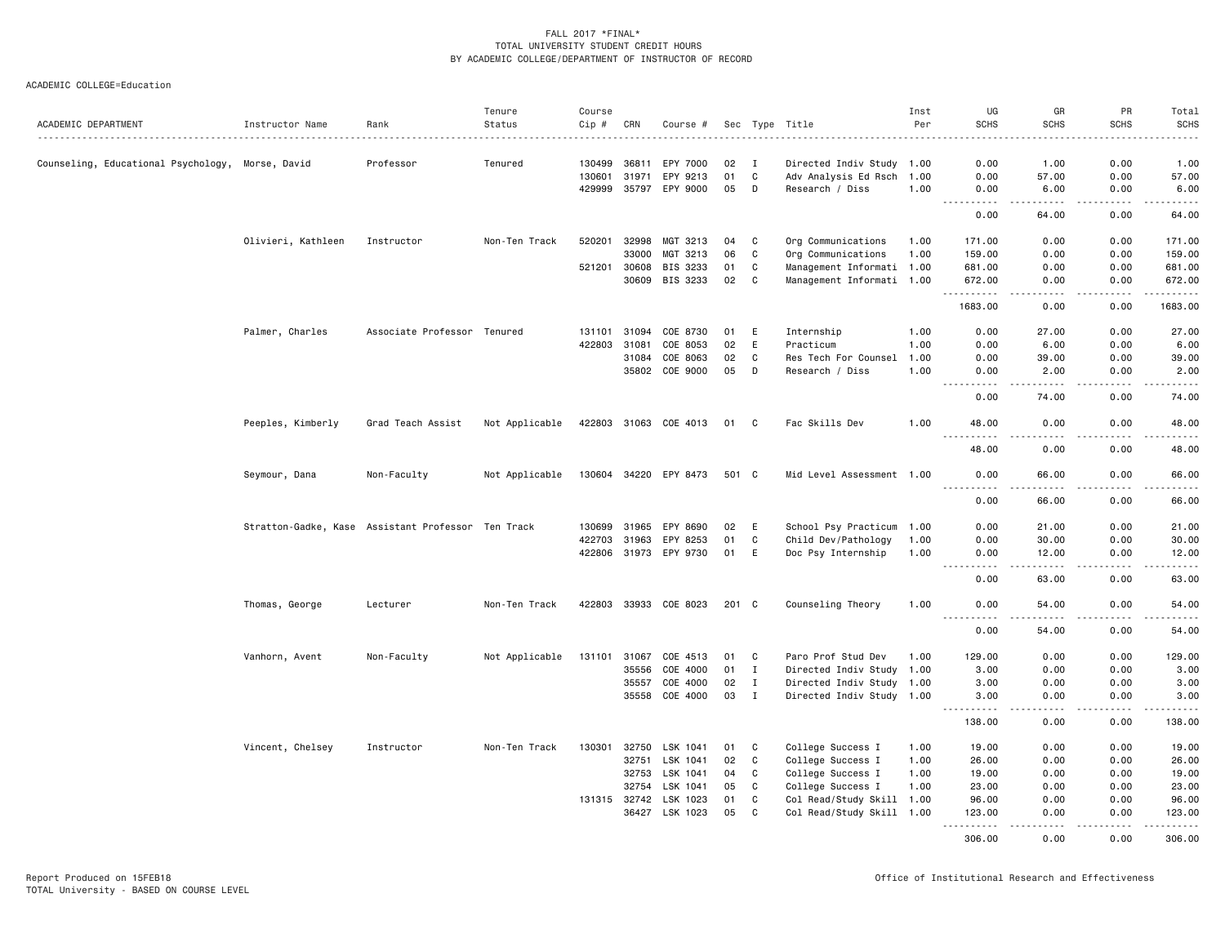| ACADEMIC DEPARTMENT                              | Instructor Name                                    | Rank                        | Tenure<br>Status | Course<br>$Cip \#$ | CRN          | Course #              |       |              | Sec Type Title            | Inst<br>Per | UG<br><b>SCHS</b>                         | GR<br><b>SCHS</b>                                                                                                                                             | PR<br>SCHS | Total<br><b>SCHS</b>     |
|--------------------------------------------------|----------------------------------------------------|-----------------------------|------------------|--------------------|--------------|-----------------------|-------|--------------|---------------------------|-------------|-------------------------------------------|---------------------------------------------------------------------------------------------------------------------------------------------------------------|------------|--------------------------|
|                                                  |                                                    |                             |                  |                    |              |                       |       |              |                           |             |                                           |                                                                                                                                                               |            |                          |
| Counseling, Educational Psychology, Morse, David |                                                    | Professor                   | Tenured          | 130499             | 36811        | EPY 7000              | 02    | I            | Directed Indiv Study 1.00 |             | 0.00                                      | 1.00                                                                                                                                                          | 0.00       | 1.00                     |
|                                                  |                                                    |                             |                  | 130601             | 31971        | EPY 9213              | 01    | $\mathbf c$  | Adv Analysis Ed Rsch      | 1.00        | 0.00                                      | 57.00                                                                                                                                                         | 0.00       | 57.00                    |
|                                                  |                                                    |                             |                  |                    | 429999 35797 | EPY 9000              | 05    | D            | Research / Diss           | 1.00        | 0.00<br>$\frac{1}{2}$                     | 6.00                                                                                                                                                          | 0.00       | 6.00<br>.                |
|                                                  |                                                    |                             |                  |                    |              |                       |       |              |                           |             | 0.00                                      | 64.00                                                                                                                                                         | 0.00       | 64.00                    |
|                                                  | Olivieri, Kathleen                                 | Instructor                  | Non-Ten Track    | 520201             | 32998        | MGT 3213              | 04    | C            | Org Communications        | 1.00        | 171.00                                    | 0.00                                                                                                                                                          | 0.00       | 171.00                   |
|                                                  |                                                    |                             |                  |                    | 33000        | MGT 3213              | 06    | C            | Org Communications        | 1.00        | 159.00                                    | 0.00                                                                                                                                                          | 0.00       | 159.00                   |
|                                                  |                                                    |                             |                  | 521201             | 30608        | BIS 3233              | 01    | C            | Management Informati 1.00 |             | 681.00                                    | 0.00                                                                                                                                                          | 0.00       | 681.00                   |
|                                                  |                                                    |                             |                  |                    |              | 30609 BIS 3233        | 02    | C            | Management Informati 1.00 |             | 672.00<br>$ -$                            | 0.00                                                                                                                                                          | 0.00       | 672.00<br>وعاماتها ماليا |
|                                                  |                                                    |                             |                  |                    |              |                       |       |              |                           |             | 1683.00                                   | 0.00                                                                                                                                                          | 0.00       | 1683.00                  |
|                                                  | Palmer, Charles                                    | Associate Professor Tenured |                  | 131101             | 31094        | COE 8730              | 01    | E            | Internship                | 1.00        | 0.00                                      | 27.00                                                                                                                                                         | 0.00       | 27.00                    |
|                                                  |                                                    |                             |                  | 422803             | 31081        | COE 8053              | 02    | E            | Practicum                 | 1.00        | 0.00                                      | 6.00                                                                                                                                                          | 0.00       | 6.00                     |
|                                                  |                                                    |                             |                  |                    | 31084        | COE 8063              | 02    | C            | Res Tech For Counsel      | 1.00        | 0.00                                      | 39.00                                                                                                                                                         | 0.00       | 39.00                    |
|                                                  |                                                    |                             |                  |                    |              | 35802 COE 9000        | 05    | D            | Research / Diss           | 1.00        | 0.00<br>----                              | 2.00<br>.                                                                                                                                                     | 0.00<br>.  | 2.00<br>$\frac{1}{2}$    |
|                                                  |                                                    |                             |                  |                    |              |                       |       |              |                           |             | 0.00                                      | 74.00                                                                                                                                                         | 0.00       | 74.00                    |
|                                                  | Peeples, Kimberly                                  | Grad Teach Assist           | Not Applicable   |                    |              | 422803 31063 COE 4013 | 01    | C            | Fac Skills Dev            | 1.00        | 48.00<br>.                                | 0.00<br>$- - - -$                                                                                                                                             | 0.00<br>.  | 48.00<br>.               |
|                                                  |                                                    |                             |                  |                    |              |                       |       |              |                           |             | 48.00                                     | 0.00                                                                                                                                                          | 0.00       | 48.00                    |
|                                                  | Seymour, Dana                                      | Non-Faculty                 | Not Applicable   |                    |              | 130604 34220 EPY 8473 | 501 C |              | Mid Level Assessment 1.00 |             | 0.00<br>.                                 | 66.00<br>د د د د                                                                                                                                              | 0.00<br>.  | 66.00<br>$\frac{1}{2}$   |
|                                                  |                                                    |                             |                  |                    |              |                       |       |              |                           |             | 0.00                                      | 66.00                                                                                                                                                         | 0.00       | 66.00                    |
|                                                  | Stratton-Gadke, Kase Assistant Professor Ten Track |                             |                  | 130699             | 31965        | EPY 8690              | 02    | E            | School Psy Practicum      | 1.00        | 0.00                                      | 21.00                                                                                                                                                         | 0.00       | 21.00                    |
|                                                  |                                                    |                             |                  | 422703             | 31963        | EPY 8253              | 01    | C            | Child Dev/Pathology       | 1.00        | 0.00                                      | 30.00                                                                                                                                                         | 0.00       | 30.00                    |
|                                                  |                                                    |                             |                  |                    |              | 422806 31973 EPY 9730 | 01    | E            | Doc Psy Internship        | 1.00        | 0.00<br>. <b>.</b>                        | 12.00                                                                                                                                                         | 0.00       | 12.00                    |
|                                                  |                                                    |                             |                  |                    |              |                       |       |              |                           |             | $  -$<br>0.00                             | $\frac{1}{2} \left( \frac{1}{2} \right) \left( \frac{1}{2} \right) \left( \frac{1}{2} \right) \left( \frac{1}{2} \right) \left( \frac{1}{2} \right)$<br>63.00 | .<br>0.00  | .<br>63.00               |
|                                                  | Thomas, George                                     | Lecturer                    | Non-Ten Track    |                    |              | 422803 33933 COE 8023 | 201 C |              | Counseling Theory         | 1.00        | 0.00                                      | 54.00                                                                                                                                                         | 0.00       | 54.00                    |
|                                                  |                                                    |                             |                  |                    |              |                       |       |              |                           |             | ----<br>0.00                              | 54.00                                                                                                                                                         | 0.00       | 54.00                    |
|                                                  | Vanhorn, Avent                                     | Non-Faculty                 | Not Applicable   | 131101             | 31067        | COE 4513              | 01    | C            | Paro Prof Stud Dev        | 1.00        | 129,00                                    | 0.00                                                                                                                                                          | 0.00       | 129.00                   |
|                                                  |                                                    |                             |                  |                    | 35556        | COE 4000              | 01    | $\mathbf{I}$ | Directed Indiv Study 1.00 |             | 3.00                                      | 0.00                                                                                                                                                          | 0.00       | 3.00                     |
|                                                  |                                                    |                             |                  |                    | 35557        | COE 4000              | 02    | $\mathbf{I}$ | Directed Indiv Study 1.00 |             | 3.00                                      | 0.00                                                                                                                                                          | 0.00       | 3.00                     |
|                                                  |                                                    |                             |                  |                    |              | 35558 COE 4000        | 03    | $\mathbf{I}$ | Directed Indiv Study 1.00 |             | 3.00<br>$\sim$ $\sim$ $\sim$<br>2.2.2.2.2 | 0.00<br>.                                                                                                                                                     | 0.00<br>.  | 3.00<br>.                |
|                                                  |                                                    |                             |                  |                    |              |                       |       |              |                           |             | 138.00                                    | 0.00                                                                                                                                                          | 0.00       | 138.00                   |
|                                                  | Vincent, Chelsey                                   | Instructor                  | Non-Ten Track    | 130301             | 32750        | LSK 1041              | 01    | C            | College Success I         | 1.00        | 19.00                                     | 0.00                                                                                                                                                          | 0.00       | 19.00                    |
|                                                  |                                                    |                             |                  |                    | 32751        | LSK 1041              | 02    | C            | College Success I         | 1.00        | 26.00                                     | 0.00                                                                                                                                                          | 0.00       | 26.00                    |
|                                                  |                                                    |                             |                  |                    | 32753        | LSK 1041              | 04    | C            | College Success I         | 1.00        | 19.00                                     | 0.00                                                                                                                                                          | 0.00       | 19.00                    |
|                                                  |                                                    |                             |                  |                    | 32754        | LSK 1041              | 05    | C            | College Success I         | 1.00        | 23.00                                     | 0.00                                                                                                                                                          | 0.00       | 23.00                    |
|                                                  |                                                    |                             |                  |                    | 131315 32742 | LSK 1023              | 01    | C            | Col Read/Study Skill 1.00 |             | 96.00                                     | 0.00                                                                                                                                                          | 0.00       | 96.00                    |
|                                                  |                                                    |                             |                  |                    | 36427        | LSK 1023              | 05    | C            | Col Read/Study Skill 1.00 |             | 123.00<br>.                               | 0.00                                                                                                                                                          | 0.00       | 123.00<br>.              |
|                                                  |                                                    |                             |                  |                    |              |                       |       |              |                           |             | 306.00                                    | 0.00                                                                                                                                                          | 0.00       | 306.00                   |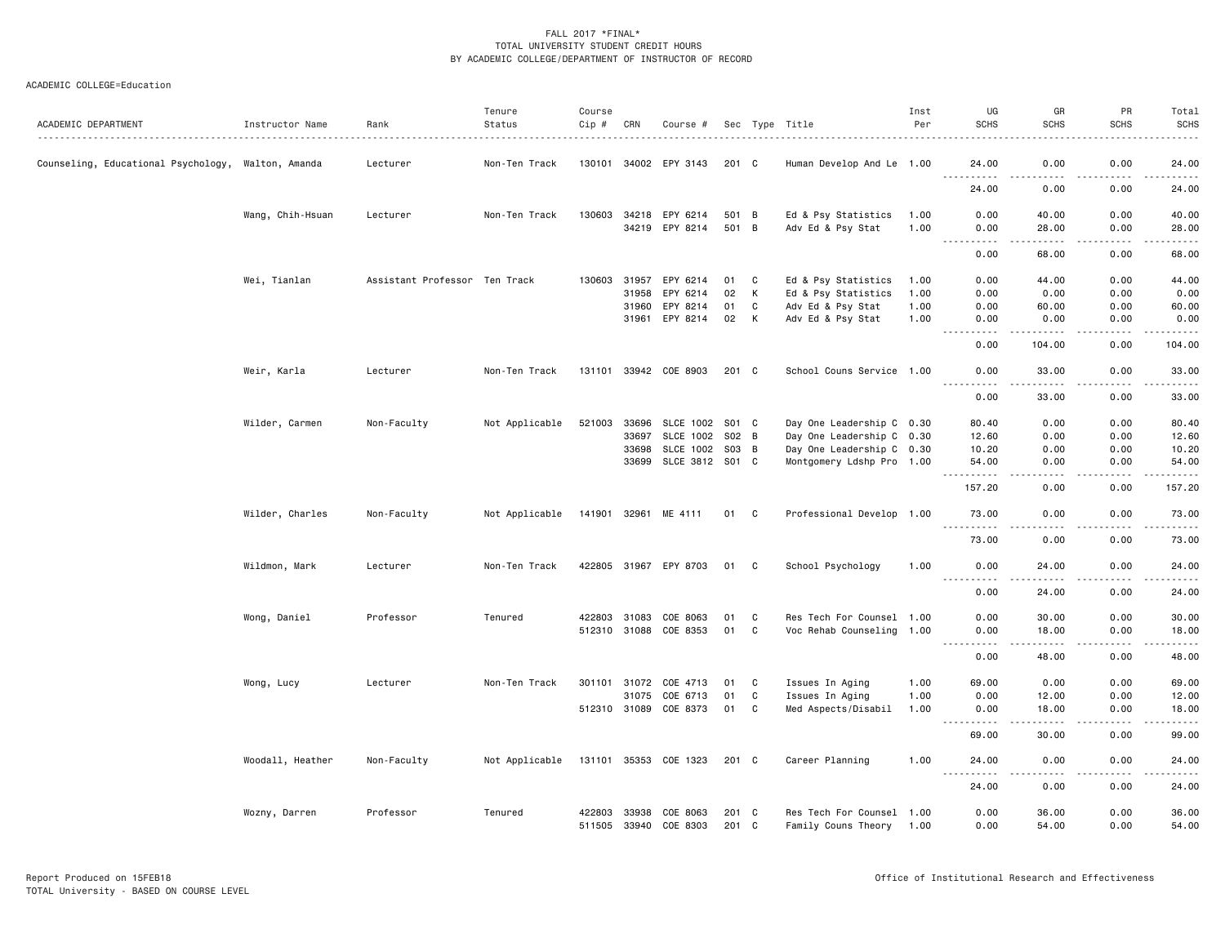| ACADEMIC DEPARTMENT                                | Instructor Name  | Rank                          | Tenure<br>Status | Course<br>$Cip$ # | CRN          | Course #              |       |   | Sec Type Title            | Inst<br>Per | UG<br><b>SCHS</b>                                                                                                              | GR<br><b>SCHS</b>                   | PR<br><b>SCHS</b> | Total<br><b>SCHS</b>                        |
|----------------------------------------------------|------------------|-------------------------------|------------------|-------------------|--------------|-----------------------|-------|---|---------------------------|-------------|--------------------------------------------------------------------------------------------------------------------------------|-------------------------------------|-------------------|---------------------------------------------|
| Counseling, Educational Psychology, Walton, Amanda |                  | Lecturer                      | Non-Ten Track    |                   |              | 130101 34002 EPY 3143 | 201 C |   | Human Develop And Le 1.00 |             | 24.00                                                                                                                          | 0.00                                | 0.00              | 24.00                                       |
|                                                    |                  |                               |                  |                   |              |                       |       |   |                           |             | $\omega$ is a $\omega$<br>.<br>24.00                                                                                           | $\sim$ $\sim$ $\sim$ $\sim$<br>0.00 | .<br>0.00         | $\frac{1}{2}$<br>24.00                      |
|                                                    | Wang, Chih-Hsuan | Lecturer                      | Non-Ten Track    |                   |              | 130603 34218 EPY 6214 | 501 B |   | Ed & Psy Statistics       | 1.00        | 0.00                                                                                                                           | 40.00                               | 0.00              | 40.00                                       |
|                                                    |                  |                               |                  |                   |              | 34219 EPY 8214        | 501 B |   | Adv Ed & Psy Stat         | 1.00        | 0.00                                                                                                                           | 28.00                               | 0.00              | 28.00                                       |
|                                                    |                  |                               |                  |                   |              |                       |       |   |                           |             | 0.00                                                                                                                           | 68.00                               | 0.00              | 68.00                                       |
|                                                    | Wei, Tianlan     | Assistant Professor Ten Track |                  |                   |              | 130603 31957 EPY 6214 | 01    | C | Ed & Psy Statistics       | 1.00        | 0.00                                                                                                                           | 44.00                               | 0.00              | 44.00                                       |
|                                                    |                  |                               |                  |                   | 31958        | EPY 6214              | 02    | К | Ed & Psy Statistics       | 1.00        | 0.00                                                                                                                           | 0.00                                | 0.00              | 0.00                                        |
|                                                    |                  |                               |                  |                   | 31960        | EPY 8214              | 01    | C | Adv Ed & Psy Stat         | 1.00        | 0.00                                                                                                                           | 60.00                               | 0.00              | 60.00                                       |
|                                                    |                  |                               |                  |                   |              | 31961 EPY 8214        | 02    | K | Adv Ed & Psy Stat         | 1.00        | 0.00<br>$\sim$ $\sim$ $\sim$ $\sim$<br>$\sim$ $\sim$ $\sim$                                                                    | 0.00<br>.                           | 0.00<br>.         | 0.00<br>.                                   |
|                                                    |                  |                               |                  |                   |              |                       |       |   |                           |             | 0.00                                                                                                                           | 104.00                              | 0.00              | 104.00                                      |
|                                                    | Weir, Karla      | Lecturer                      | Non-Ten Track    |                   |              | 131101 33942 COE 8903 | 201 C |   | School Couns Service 1.00 |             | 0.00                                                                                                                           | 33.00                               | 0.00              | 33.00                                       |
|                                                    |                  |                               |                  |                   |              |                       |       |   |                           |             | 0.00                                                                                                                           | .<br>33.00                          | د د د د<br>0.00   | .<br>33.00                                  |
|                                                    | Wilder, Carmen   | Non-Faculty                   | Not Applicable   | 521003            | 33696        | <b>SLCE 1002</b>      | S01 C |   | Day One Leadership C 0.30 |             | 80.40                                                                                                                          | 0.00                                | 0.00              | 80.40                                       |
|                                                    |                  |                               |                  |                   | 33697        | SLCE 1002             | S02 B |   | Day One Leadership C 0.30 |             | 12.60                                                                                                                          | 0.00                                | 0.00              | 12.60                                       |
|                                                    |                  |                               |                  |                   | 33698        | <b>SLCE 1002</b>      | S03 B |   | Day One Leadership C 0.30 |             | 10.20                                                                                                                          | 0.00                                | 0.00              | 10.20                                       |
|                                                    |                  |                               |                  |                   |              | 33699 SLCE 3812 S01 C |       |   | Montgomery Ldshp Pro 1.00 |             | 54.00<br>$\cdots$                                                                                                              | 0.00                                | 0.00              | 54.00                                       |
|                                                    |                  |                               |                  |                   |              |                       |       |   |                           |             | 157.20                                                                                                                         | 0.00                                | 0.00              | 157.20                                      |
|                                                    | Wilder, Charles  | Non-Faculty                   | Not Applicable   |                   |              | 141901 32961 ME 4111  | 01    | C | Professional Develop 1.00 |             | 73.00                                                                                                                          | 0.00                                | 0.00              | 73.00                                       |
|                                                    |                  |                               |                  |                   |              |                       |       |   |                           |             | - - -<br>73.00                                                                                                                 | 0.00                                | 0.00              | 73.00                                       |
|                                                    | Wildmon, Mark    | Lecturer                      | Non-Ten Track    |                   |              | 422805 31967 EPY 8703 | 01    | C | School Psychology         | 1.00        | 0.00<br>.                                                                                                                      | 24.00<br>-----                      | 0.00<br>.         | 24.00<br>.                                  |
|                                                    |                  |                               |                  |                   |              |                       |       |   |                           |             | 0.00                                                                                                                           | 24.00                               | 0.00              | 24.00                                       |
|                                                    | Wong, Daniel     | Professor                     | Tenured          |                   | 422803 31083 | COE 8063              | 01    | C | Res Tech For Counsel 1.00 |             | 0.00                                                                                                                           | 30.00                               | 0.00              | 30.00                                       |
|                                                    |                  |                               |                  |                   |              | 512310 31088 COE 8353 | 01    | C | Voc Rehab Counseling 1.00 |             | 0.00<br>.                                                                                                                      | 18.00<br>.                          | 0.00              | 18.00<br>$- - - - -$                        |
|                                                    |                  |                               |                  |                   |              |                       |       |   |                           |             | 0.00                                                                                                                           | 48.00                               | 0.00              | 48.00                                       |
|                                                    | Wong, Lucy       | Lecturer                      | Non-Ten Track    |                   |              | 301101 31072 COE 4713 | 01    | C | Issues In Aging           | 1.00        | 69.00                                                                                                                          | 0.00                                | 0.00              | 69.00                                       |
|                                                    |                  |                               |                  |                   | 31075        | COE 6713              | 01    | C | Issues In Aging           | 1.00        | 0.00                                                                                                                           | 12.00                               | 0.00              | 12.00                                       |
|                                                    |                  |                               |                  |                   |              | 512310 31089 COE 8373 | 01    | C | Med Aspects/Disabil       | 1.00        | 0.00<br>$\sim$ $\sim$ $\sim$<br>$\frac{1}{2} \left( \frac{1}{2} \right) \left( \frac{1}{2} \right) \left( \frac{1}{2} \right)$ | 18.00<br>$   -$                     | 0.00<br>.         | 18.00<br>$\sim$ $\sim$ $\sim$ $\sim$ $\sim$ |
|                                                    |                  |                               |                  |                   |              |                       |       |   |                           |             | 69.00                                                                                                                          | 30.00                               | 0.00              | 99.00                                       |
|                                                    | Woodall, Heather | Non-Faculty                   | Not Applicable   |                   |              | 131101 35353 COE 1323 | 201 C |   | Career Planning           | 1.00        | 24.00                                                                                                                          | 0.00                                | 0.00              | 24.00                                       |
|                                                    |                  |                               |                  |                   |              |                       |       |   |                           |             | .<br>24.00                                                                                                                     | $- - -$<br>0.00                     | .<br>0.00         | .<br>24.00                                  |
|                                                    | Wozny, Darren    | Professor                     | Tenured          | 422803            | 33938        | COE 8063              | 201 C |   | Res Tech For Counsel 1.00 |             | 0.00                                                                                                                           | 36.00                               | 0.00              | 36.00                                       |
|                                                    |                  |                               |                  |                   | 511505 33940 | COE 8303              | 201 C |   | Family Couns Theory 1.00  |             | 0.00                                                                                                                           | 54.00                               | 0.00              | 54.00                                       |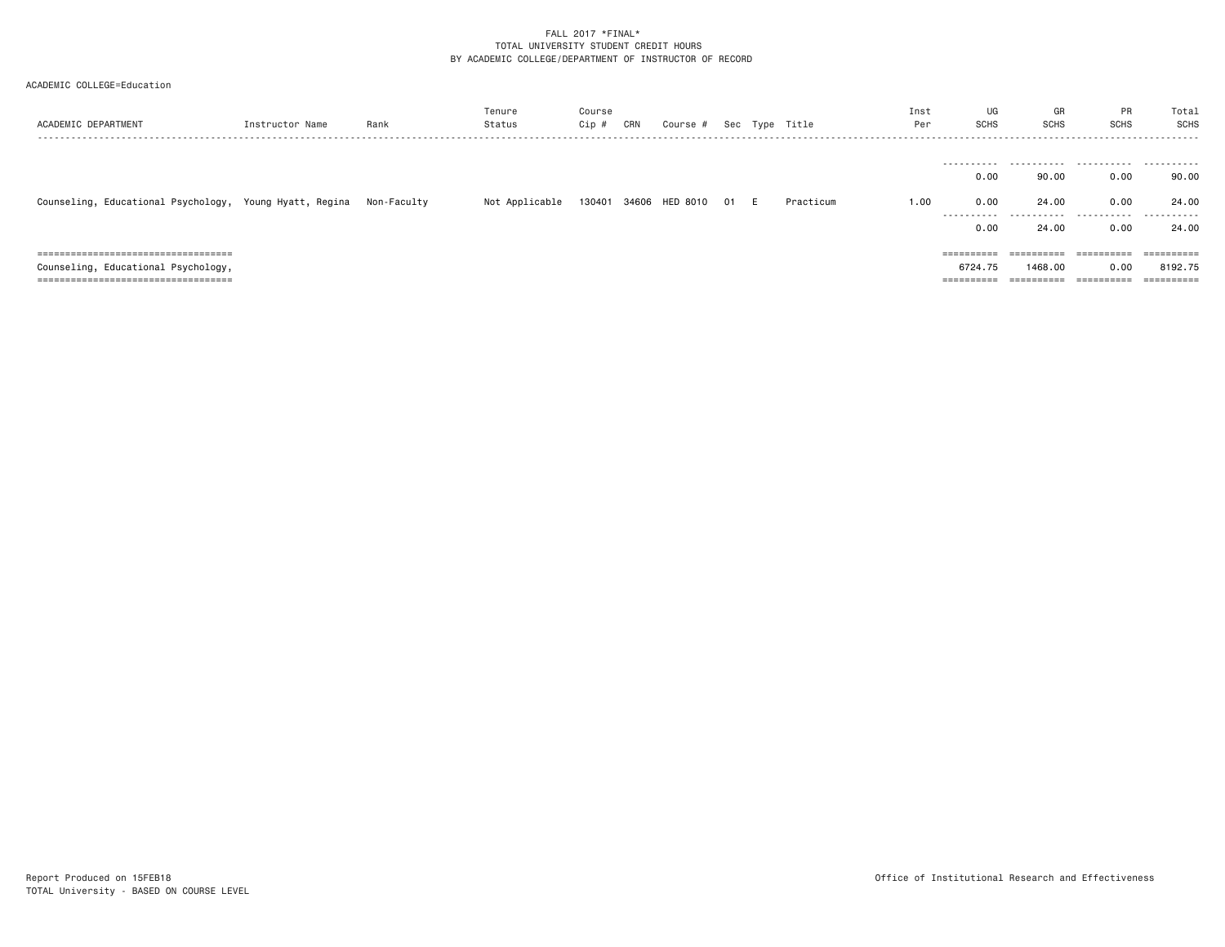| ACADEMIC DEPARTMENT                                                          | Instructor Name     | Rank        | Tenure<br>Status | Course<br>Cip # | CRN | Course #              |      | Sec Type Title | Inst<br>Per | UG<br><b>SCHS</b>     | GR<br>SCHS                       | PR<br><b>SCHS</b>  | Total<br><b>SCHS</b>  |
|------------------------------------------------------------------------------|---------------------|-------------|------------------|-----------------|-----|-----------------------|------|----------------|-------------|-----------------------|----------------------------------|--------------------|-----------------------|
|                                                                              |                     |             |                  |                 |     |                       |      |                |             | .<br>0.00             | 90.00                            | <br>0.00           | 90.00                 |
| Counseling, Educational Psychology,                                          | Young Hyatt, Regina | Non-Faculty | Not Applicable   |                 |     | 130401 34606 HED 8010 | 01 E | Practicum      | 1.00        | 0.00<br>.<br>0.00     | 24.00<br>.<br>24.00              | 0.00<br>.<br>0.00  | 24,00<br>.<br>24,00   |
| =====================================                                        |                     |             |                  |                 |     |                       |      |                |             |                       | ==========                       |                    | $=$ = = = = = = = = = |
| Counseling, Educational Psychology,<br>===================================== |                     |             |                  |                 |     |                       |      |                |             | 6724.75<br>========== | 1468,00<br>$=$ = = = = = = = = = | 0.00<br>========== | 8192.75<br>========== |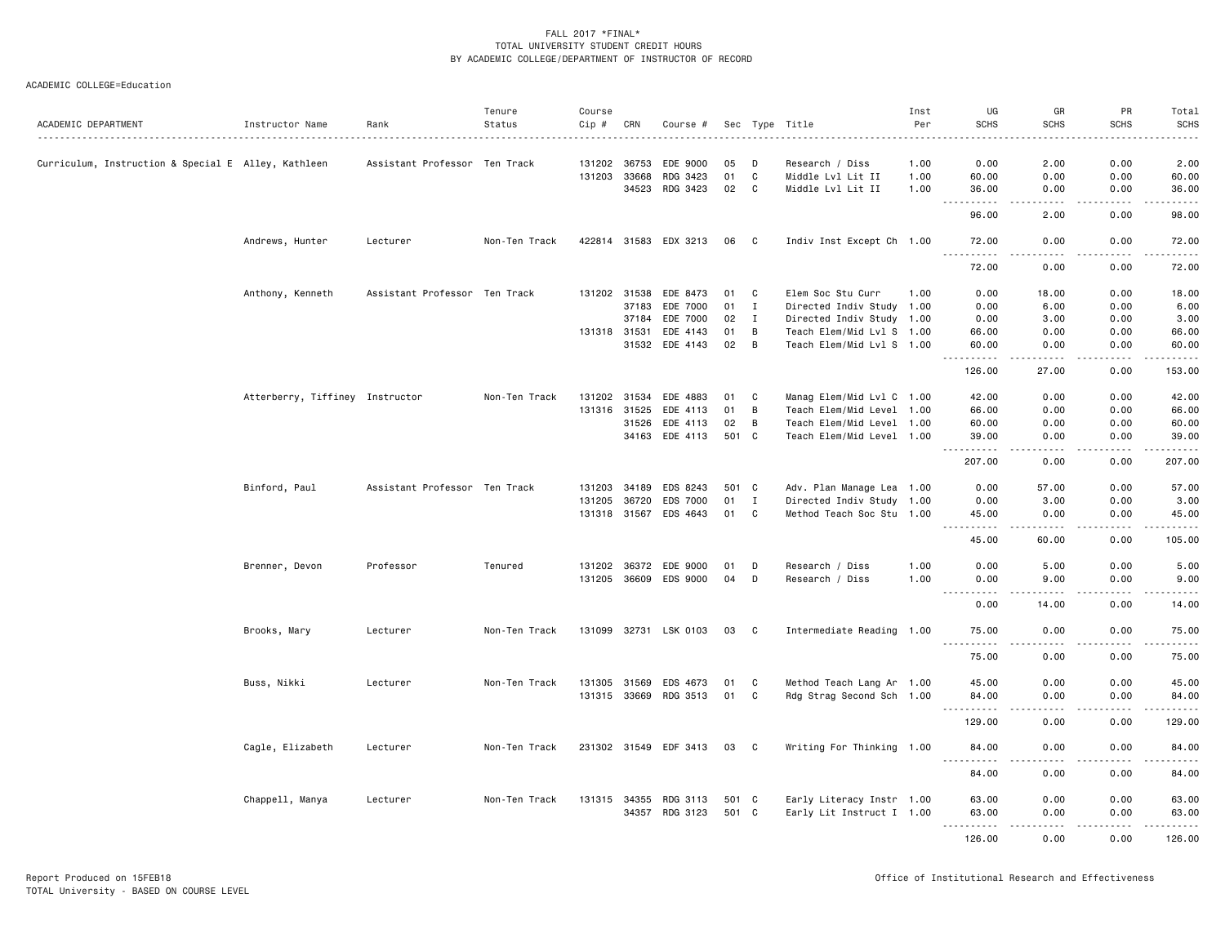| ACADEMIC DEPARTMENT                                 | Instructor Name                 | Rank                          | Tenure<br>Status | Course<br>Cip # | CRN          | Course #              |       |                | Sec Type Title            | Inst<br>Per | UG<br><b>SCHS</b>                  | GR<br><b>SCHS</b> | PR<br><b>SCHS</b>  | Total<br><b>SCHS</b>                        |
|-----------------------------------------------------|---------------------------------|-------------------------------|------------------|-----------------|--------------|-----------------------|-------|----------------|---------------------------|-------------|------------------------------------|-------------------|--------------------|---------------------------------------------|
| Curriculum, Instruction & Special E Alley, Kathleen |                                 | Assistant Professor Ten Track |                  | 131202          | 36753        | EDE 9000              | 05    | D              | Research / Diss           | 1.00        | 0.00                               | 2.00              | 0.00               | 2.00                                        |
|                                                     |                                 |                               |                  |                 | 131203 33668 | RDG 3423              | 01    | C              | Middle Lvl Lit II         | 1.00        | 60.00                              | 0.00              | 0.00               | 60.00                                       |
|                                                     |                                 |                               |                  |                 | 34523        | RDG 3423              | 02    | C              | Middle Lvl Lit II         | 1.00        | 36.00                              | 0.00              | 0.00               | 36.00                                       |
|                                                     |                                 |                               |                  |                 |              |                       |       |                |                           |             | $\sim$ $\sim$ $\sim$<br>.<br>96.00 | .<br>2.00         | .<br>0.00          | $\sim$ $\sim$ $\sim$ $\sim$ $\sim$<br>98.00 |
|                                                     | Andrews, Hunter                 | Lecturer                      | Non-Ten Track    |                 |              | 422814 31583 EDX 3213 | 06    | $\mathbf{C}$   | Indiv Inst Except Ch 1.00 |             | 72.00                              | 0.00              | 0.00               | 72.00                                       |
|                                                     |                                 |                               |                  |                 |              |                       |       |                |                           |             | 72.00                              | 0.00              | 0.00               | 72.00                                       |
|                                                     | Anthony, Kenneth                | Assistant Professor Ten Track |                  |                 |              | 131202 31538 EDE 8473 | 01    | C              | Elem Soc Stu Curr         | 1.00        | 0.00                               | 18.00             | 0.00               | 18.00                                       |
|                                                     |                                 |                               |                  |                 | 37183        | EDE 7000              | 01    | $\mathbf{I}$   | Directed Indiv Study 1.00 |             | 0.00                               | 6.00              | 0.00               | 6.00                                        |
|                                                     |                                 |                               |                  |                 | 37184        | EDE 7000              | 02    | $\mathbf{I}$   | Directed Indiv Study 1.00 |             | 0.00                               | 3.00              | 0.00               | 3.00                                        |
|                                                     |                                 |                               |                  |                 | 131318 31531 | EDE 4143              | 01    | B              | Teach Elem/Mid Lvl S 1.00 |             | 66.00                              | 0.00              | 0.00               | 66.00                                       |
|                                                     |                                 |                               |                  |                 |              | 31532 EDE 4143        | 02    | B              | Teach Elem/Mid Lvl S 1.00 |             | 60.00<br>.                         | 0.00<br>.         | 0.00<br>.          | 60.00<br>.                                  |
|                                                     |                                 |                               |                  |                 |              |                       |       |                |                           |             | 126.00                             | 27.00             | 0.00               | 153.00                                      |
|                                                     | Atterberry, Tiffiney Instructor |                               | Non-Ten Track    |                 | 131202 31534 | EDE 4883              | 01    | C              | Manag Elem/Mid Lvl C 1.00 |             | 42.00                              | 0.00              | 0.00               | 42.00                                       |
|                                                     |                                 |                               |                  |                 | 131316 31525 | EDE 4113              | 01    | B              | Teach Elem/Mid Level 1.00 |             | 66.00                              | 0.00              | 0.00               | 66.00                                       |
|                                                     |                                 |                               |                  |                 | 31526        | EDE 4113              | 02    | $\overline{B}$ | Teach Elem/Mid Level 1.00 |             | 60.00                              | 0.00              | 0.00               | 60.00                                       |
|                                                     |                                 |                               |                  |                 |              | 34163 EDE 4113        | 501 C |                | Teach Elem/Mid Level 1.00 |             | 39.00<br>.<br>- - -                | 0.00<br>.         | 0.00<br>. <b>.</b> | 39.00<br><u>.</u>                           |
|                                                     |                                 |                               |                  |                 |              |                       |       |                |                           |             | 207.00                             | 0.00              | 0.00               | 207.00                                      |
|                                                     | Binford, Paul                   | Assistant Professor Ten Track |                  |                 | 131203 34189 | EDS 8243              | 501 C |                | Adv. Plan Manage Lea 1.00 |             | 0.00                               | 57.00             | 0.00               | 57.00                                       |
|                                                     |                                 |                               |                  |                 | 131205 36720 | EDS 7000              | 01    | $\mathbf{I}$   | Directed Indiv Study 1.00 |             | 0.00                               | 3.00              | 0.00               | 3.00                                        |
|                                                     |                                 |                               |                  |                 |              | 131318 31567 EDS 4643 | 01    | C              | Method Teach Soc Stu 1.00 |             | 45.00<br>.<br>$\sim$ $\sim$ $\sim$ | 0.00<br>.         | 0.00<br>.          | 45.00<br>------                             |
|                                                     |                                 |                               |                  |                 |              |                       |       |                |                           |             | 45.00                              | 60.00             | 0.00               | 105.00                                      |
|                                                     | Brenner, Devon                  | Professor                     | Tenured          |                 |              | 131202 36372 EDE 9000 | 01    | D              | Research / Diss           | 1.00        | 0.00                               | 5.00              | 0.00               | 5.00                                        |
|                                                     |                                 |                               |                  |                 |              | 131205 36609 EDS 9000 | 04    | D              | Research / Diss           | 1.00        | 0.00                               | 9.00              | 0.00               | 9.00                                        |
|                                                     |                                 |                               |                  |                 |              |                       |       |                |                           |             | .<br>0.00                          | .<br>14.00        | .<br>0.00          | .<br>14.00                                  |
|                                                     | Brooks, Mary                    | Lecturer                      | Non-Ten Track    |                 |              | 131099 32731 LSK 0103 | 03    | C.             | Intermediate Reading 1.00 |             | 75.00                              | 0.00              | 0.00               | 75.00                                       |
|                                                     |                                 |                               |                  |                 |              |                       |       |                |                           |             | 75.00                              | 0.00              | 0.00               | 75.00                                       |
|                                                     | Buss, Nikki                     | Lecturer                      | Non-Ten Track    |                 | 131305 31569 | EDS 4673              | 01    | C              | Method Teach Lang Ar 1.00 |             | 45.00                              | 0.00              | 0.00               | 45.00                                       |
|                                                     |                                 |                               |                  |                 | 131315 33669 | RDG 3513              | 01    | C              | Rdg Strag Second Sch 1.00 |             | 84.00<br>$\sim$ $\sim$ $\sim$      | 0.00              | 0.00               | 84.00<br>.                                  |
|                                                     |                                 |                               |                  |                 |              |                       |       |                |                           |             | 129.00                             | 0.00              | 0.00               | 129.00                                      |
|                                                     | Cagle, Elizabeth                | Lecturer                      | Non-Ten Track    |                 |              | 231302 31549 EDF 3413 | 03    | C.             | Writing For Thinking 1.00 |             | 84.00<br>.                         | 0.00<br>.         | 0.00               | 84.00<br>.                                  |
|                                                     |                                 |                               |                  |                 |              |                       |       |                |                           |             | 84.00                              | 0.00              | 0.00               | 84.00                                       |
|                                                     | Chappell, Manya                 | Lecturer                      | Non-Ten Track    |                 |              | 131315 34355 RDG 3113 | 501 C |                | Early Literacy Instr 1.00 |             | 63.00                              | 0.00              | 0.00               | 63.00                                       |
|                                                     |                                 |                               |                  |                 |              | 34357 RDG 3123        | 501 C |                | Early Lit Instruct I 1.00 |             | 63.00                              | 0.00              | 0.00               | 63.00                                       |
|                                                     |                                 |                               |                  |                 |              |                       |       |                |                           |             | .                                  | د د د د           | .                  |                                             |
|                                                     |                                 |                               |                  |                 |              |                       |       |                |                           |             | 126.00                             | 0.00              | 0.00               | 126.00                                      |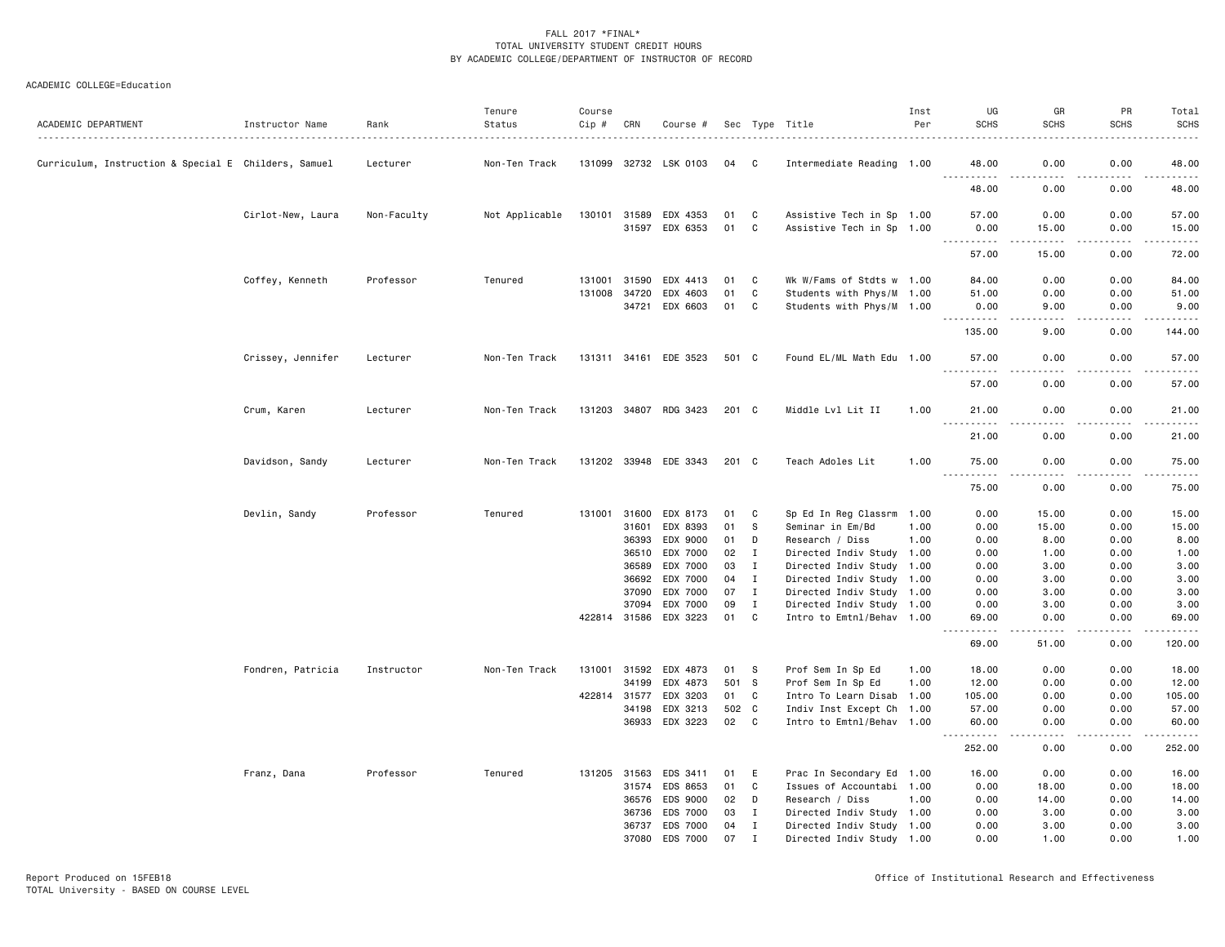| ACADEMIC DEPARTMENT                                  | Instructor Name   | Rank        | Tenure<br>Status | Course<br>$Cip$ # | CRN          | Course #                          |          |                   | Sec Type Title                                         | Inst<br>Per | UG<br><b>SCHS</b>                  | GR<br><b>SCHS</b> | PR<br><b>SCHS</b> | Total<br><b>SCHS</b>                                                                                                               |
|------------------------------------------------------|-------------------|-------------|------------------|-------------------|--------------|-----------------------------------|----------|-------------------|--------------------------------------------------------|-------------|------------------------------------|-------------------|-------------------|------------------------------------------------------------------------------------------------------------------------------------|
| Curriculum, Instruction & Special E Childers, Samuel |                   | Lecturer    | Non-Ten Track    |                   |              | 131099 32732 LSK 0103             | 04       | C                 | Intermediate Reading 1.00                              |             | 48.00                              | 0.00              | 0.00              | 48.00                                                                                                                              |
|                                                      |                   |             |                  |                   |              |                                   |          |                   |                                                        |             | .<br>48.00                         | $   -$<br>0.00    | .<br>0.00         | $\frac{1}{2} \left( \frac{1}{2} \right) \left( \frac{1}{2} \right) \left( \frac{1}{2} \right) \left( \frac{1}{2} \right)$<br>48.00 |
|                                                      | Cirlot-New, Laura | Non-Faculty | Not Applicable   |                   | 31597        | 130101 31589 EDX 4353<br>EDX 6353 | 01<br>01 | C<br>C            | Assistive Tech in Sp 1.00<br>Assistive Tech in Sp 1.00 |             | 57.00<br>0.00                      | 0.00<br>15.00     | 0.00<br>0.00      | 57.00<br>15.00                                                                                                                     |
|                                                      |                   |             |                  |                   |              |                                   |          |                   |                                                        |             | .<br>57.00                         | .<br>15.00        | .<br>0.00         | .<br>72.00                                                                                                                         |
|                                                      | Coffey, Kenneth   | Professor   | Tenured          |                   | 131001 31590 | EDX 4413                          | 01       | C                 | Wk W/Fams of Stdts w 1.00                              |             | 84.00                              | 0.00              | 0.00              | 84.00                                                                                                                              |
|                                                      |                   |             |                  |                   | 131008 34720 | EDX 4603<br>34721 EDX 6603        | 01<br>01 | C<br>C            | Students with Phys/M 1.00<br>Students with Phys/M 1.00 |             | 51.00<br>0.00                      | 0.00<br>9.00      | 0.00<br>0.00      | 51.00<br>9.00                                                                                                                      |
|                                                      |                   |             |                  |                   |              |                                   |          |                   |                                                        |             | <u>.</u><br>135.00                 | د د د د<br>9.00   | .<br>0.00         | ------<br>144.00                                                                                                                   |
|                                                      | Crissey, Jennifer | Lecturer    | Non-Ten Track    |                   |              | 131311 34161 EDE 3523             | 501 C    |                   | Found EL/ML Math Edu 1.00                              |             | 57.00                              | 0.00              | 0.00              | 57.00                                                                                                                              |
|                                                      |                   |             |                  |                   |              |                                   |          |                   |                                                        |             | 57.00                              | 0.00              | 0.00              | 57.00                                                                                                                              |
|                                                      | Crum, Karen       | Lecturer    | Non-Ten Track    |                   |              | 131203 34807 RDG 3423             | 201 C    |                   | Middle Lvl Lit II                                      | 1.00        | 21.00                              | 0.00              | 0.00              | 21.00                                                                                                                              |
|                                                      |                   |             |                  |                   |              |                                   |          |                   |                                                        |             | .<br>21.00                         | 0.00              | 0.00              | .<br>21.00                                                                                                                         |
|                                                      | Davidson, Sandy   | Lecturer    | Non-Ten Track    |                   |              | 131202 33948 EDE 3343             | 201 C    |                   | Teach Adoles Lit                                       | 1.00        | 75.00                              | 0.00              | 0.00              | 75.00                                                                                                                              |
|                                                      |                   |             |                  |                   |              |                                   |          |                   |                                                        |             | $\sim$ $\sim$ $\sim$<br>.<br>75.00 | .<br>0.00         | .<br>0.00         | .<br>75.00                                                                                                                         |
|                                                      | Devlin, Sandy     | Professor   | Tenured          |                   |              | 131001 31600 EDX 8173             | 01       | C                 | Sp Ed In Reg Classrm 1.00                              |             | 0.00                               | 15.00             | 0.00              | 15.00                                                                                                                              |
|                                                      |                   |             |                  |                   | 31601        | EDX 8393                          | 01       | S.                | Seminar in Em/Bd                                       | 1.00        | 0.00                               | 15.00             | 0.00              | 15.00                                                                                                                              |
|                                                      |                   |             |                  |                   | 36393        | EDX 9000                          | 01       | D                 | Research / Diss                                        | 1.00        | 0.00                               | 8.00              | 0.00              | 8.00                                                                                                                               |
|                                                      |                   |             |                  |                   |              | 36510 EDX 7000                    | 02       | $\mathbf{I}$      | Directed Indiv Study 1.00                              |             | 0.00                               | 1.00              | 0.00              | 1.00                                                                                                                               |
|                                                      |                   |             |                  |                   | 36589        | EDX 7000                          | 03       | Ι.                | Directed Indiv Study 1.00                              |             | 0.00                               | 3.00              | 0.00              | 3.00                                                                                                                               |
|                                                      |                   |             |                  |                   | 36692        | EDX 7000                          | 04       | $\mathbf{I}$      | Directed Indiv Study 1.00                              |             | 0.00                               | 3.00              | 0.00              | 3.00                                                                                                                               |
|                                                      |                   |             |                  |                   | 37090        | EDX 7000                          | 07       | $\mathbf{I}$      | Directed Indiv Study 1.00                              |             | 0.00                               | 3.00              | 0.00              | 3.00                                                                                                                               |
|                                                      |                   |             |                  |                   | 37094        | EDX 7000<br>422814 31586 EDX 3223 | 09<br>01 | $\mathbf{I}$<br>C | Directed Indiv Study 1.00<br>Intro to Emtnl/Behav 1.00 |             | 0.00<br>69.00                      | 3.00<br>0.00      | 0.00<br>0.00      | 3.00<br>69.00                                                                                                                      |
|                                                      |                   |             |                  |                   |              |                                   |          |                   |                                                        |             | .<br>69.00                         | -----<br>51.00    | .<br>0.00         | .<br>120.00                                                                                                                        |
|                                                      | Fondren, Patricia | Instructor  | Non-Ten Track    |                   |              | 131001 31592 EDX 4873             | 01       | S.                | Prof Sem In Sp Ed                                      | 1.00        | 18.00                              | 0.00              | 0.00              | 18.00                                                                                                                              |
|                                                      |                   |             |                  |                   | 34199        | EDX 4873                          | 501 S    |                   | Prof Sem In Sp Ed                                      | 1.00        | 12.00                              | 0.00              | 0.00              | 12.00                                                                                                                              |
|                                                      |                   |             |                  |                   | 422814 31577 | EDX 3203                          | 01       | C                 | Intro To Learn Disab 1.00                              |             | 105.00                             | 0.00              | 0.00              | 105.00                                                                                                                             |
|                                                      |                   |             |                  |                   | 34198        | EDX 3213                          | 502 C    |                   | Indiv Inst Except Ch 1.00                              |             | 57.00                              | 0.00              | 0.00              | 57.00                                                                                                                              |
|                                                      |                   |             |                  |                   |              | 36933 EDX 3223                    | 02       | C                 | Intro to Emtnl/Behav 1.00                              |             | 60.00<br>.                         | 0.00<br>د د د د   | 0.00<br>.         | 60.00<br><u>.</u>                                                                                                                  |
|                                                      |                   |             |                  |                   |              |                                   |          |                   |                                                        |             | 252.00                             | 0.00              | 0.00              | 252.00                                                                                                                             |
|                                                      | Franz, Dana       | Professor   | Tenured          | 131205            | 31563        | EDS 3411                          | 01       | E                 | Prac In Secondary Ed 1.00                              |             | 16.00                              | 0.00              | 0.00              | 16.00                                                                                                                              |
|                                                      |                   |             |                  |                   | 31574        | EDS 8653                          | 01       | C                 | Issues of Accountabi 1.00                              |             | 0.00                               | 18.00             | 0.00              | 18.00                                                                                                                              |
|                                                      |                   |             |                  |                   | 36576        | EDS 9000                          | 02       | D                 | Research / Diss                                        | 1.00        | 0.00                               | 14.00             | 0.00              | 14.00                                                                                                                              |
|                                                      |                   |             |                  |                   | 36736        | EDS 7000                          | 03       | $\mathbf{I}$      | Directed Indiv Study 1.00                              |             | 0.00                               | 3.00              | 0.00              | 3.00                                                                                                                               |
|                                                      |                   |             |                  |                   | 36737        | EDS 7000                          | 04       | $\mathbf I$       | Directed Indiv Study 1.00                              |             | 0.00                               | 3.00              | 0.00              | 3.00                                                                                                                               |
|                                                      |                   |             |                  |                   | 37080        | EDS 7000                          | 07       | $\mathbf{r}$      | Directed Indiv Study 1.00                              |             | 0.00                               | 1.00              | 0.00              | 1.00                                                                                                                               |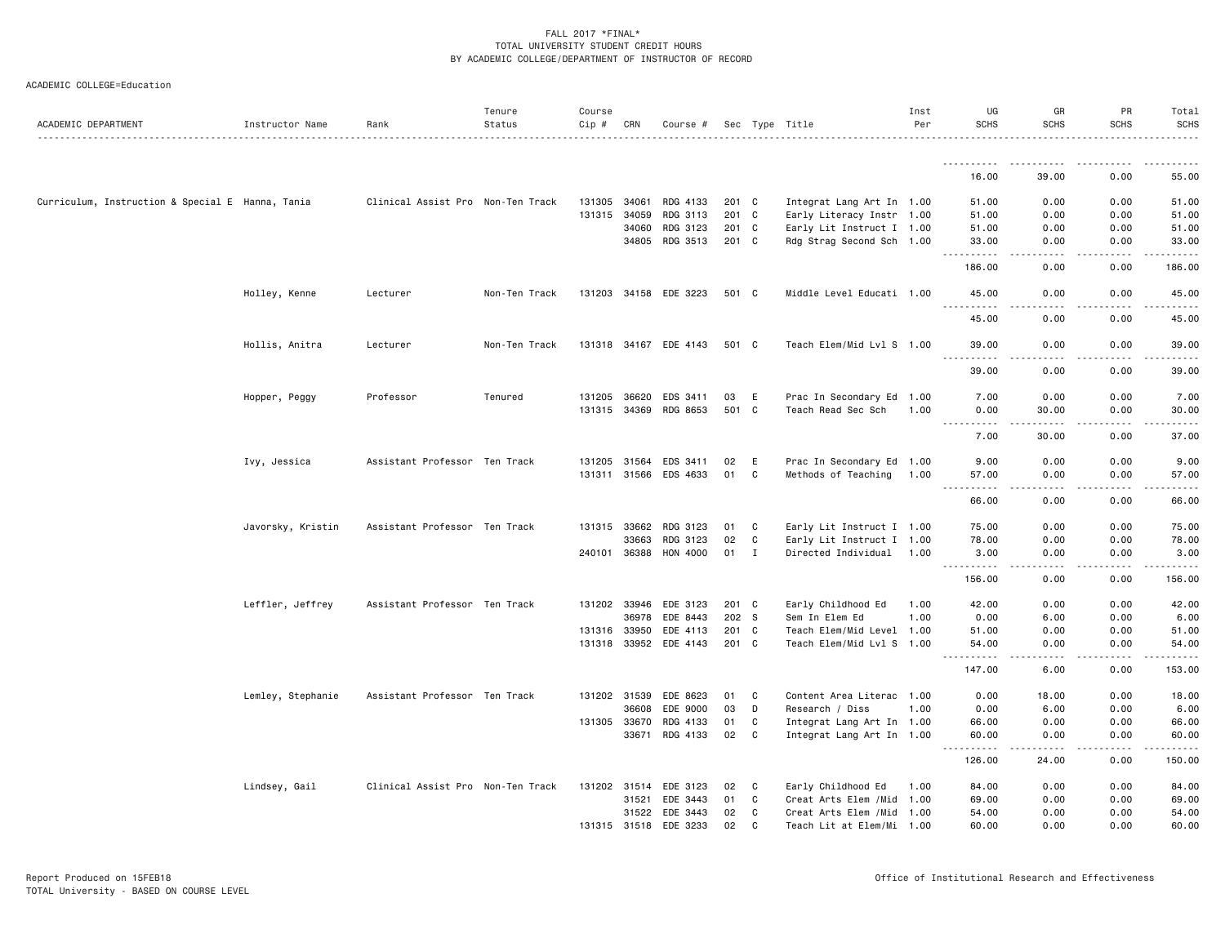| ACADEMIC DEPARTMENT                              | Instructor Name   | Rank                              | Tenure<br>Status | Course<br>Cip # | CRN          | Course #              |       |              | Sec Type Title             | Inst<br>Per | UG<br><b>SCHS</b>                                                                                            | GR<br><b>SCHS</b>            | PR<br><b>SCHS</b> | Total<br><b>SCHS</b>   |
|--------------------------------------------------|-------------------|-----------------------------------|------------------|-----------------|--------------|-----------------------|-------|--------------|----------------------------|-------------|--------------------------------------------------------------------------------------------------------------|------------------------------|-------------------|------------------------|
|                                                  |                   |                                   |                  |                 |              |                       |       |              |                            |             | .                                                                                                            |                              |                   |                        |
|                                                  |                   |                                   |                  |                 |              |                       |       |              |                            |             | 16.00                                                                                                        | 39.00                        | 0.00              | 55.00                  |
| Curriculum, Instruction & Special E Hanna, Tania |                   | Clinical Assist Pro Non-Ten Track |                  | 131305          | 34061        | RDG 4133              | 201 C |              | Integrat Lang Art In 1.00  |             | 51.00                                                                                                        | 0.00                         | 0.00              | 51.00                  |
|                                                  |                   |                                   |                  |                 | 131315 34059 | RDG 3113              | 201 C |              | Early Literacy Instr 1.00  |             | 51.00                                                                                                        | 0.00                         | 0.00              | 51.00                  |
|                                                  |                   |                                   |                  |                 | 34060        | RDG 3123              | 201 C |              | Early Lit Instruct I 1.00  |             | 51.00                                                                                                        | 0.00                         | 0.00              | 51.00                  |
|                                                  |                   |                                   |                  |                 | 34805        | RDG 3513              | 201 C |              | Rdg Strag Second Sch 1.00  |             | 33.00<br>$\frac{1}{2} \left( \frac{1}{2} \right) \left( \frac{1}{2} \right) \left( \frac{1}{2} \right)$      | 0.00<br>$- - - -$            | 0.00<br>.         | 33.00<br>$\frac{1}{2}$ |
|                                                  |                   |                                   |                  |                 |              |                       |       |              |                            |             | 186.00                                                                                                       | 0.00                         | 0.00              | 186.00                 |
|                                                  | Holley, Kenne     | Lecturer                          | Non-Ten Track    |                 |              | 131203 34158 EDE 3223 | 501 C |              | Middle Level Educati 1.00  |             | 45.00<br>. <b>.</b>                                                                                          | 0.00<br>د د د د              | 0.00<br>.         | 45.00<br>.             |
|                                                  |                   |                                   |                  |                 |              |                       |       |              |                            |             | 45.00                                                                                                        | 0.00                         | 0.00              | 45.00                  |
|                                                  | Hollis, Anitra    | Lecturer                          | Non-Ten Track    |                 |              | 131318 34167 EDE 4143 | 501 C |              | Teach Elem/Mid Lvl S 1.00  |             | 39.00<br>.                                                                                                   | 0.00                         | 0.00              | 39.00                  |
|                                                  |                   |                                   |                  |                 |              |                       |       |              |                            |             | 39.00                                                                                                        | 0.00                         | 0.00              | 39.00                  |
|                                                  | Hopper, Peggy     | Professor                         | Tenured          | 131205          | 36620        | EDS 3411              | 03    | E            | Prac In Secondary Ed 1.00  |             | 7.00                                                                                                         | 0.00                         | 0.00              | 7.00                   |
|                                                  |                   |                                   |                  |                 | 131315 34369 | RDG 8653              | 501 C |              | Teach Read Sec Sch         | 1.00        | 0.00<br>.                                                                                                    | 30.00<br>المتمالين           | 0.00<br>.         | 30.00<br>.             |
|                                                  |                   |                                   |                  |                 |              |                       |       |              |                            |             | 7.00                                                                                                         | 30.00                        | 0.00              | 37.00                  |
|                                                  | Ivy, Jessica      | Assistant Professor Ten Track     |                  |                 | 131205 31564 | EDS 3411              | 02    | E            | Prac In Secondary Ed 1.00  |             | 9.00                                                                                                         | 0.00                         | 0.00              | 9.00                   |
|                                                  |                   |                                   |                  |                 | 131311 31566 | EDS 4633              | 01    | C            | Methods of Teaching 1.00   |             | 57.00<br>.<br>$\frac{1}{2} \left( \frac{1}{2} \right) \left( \frac{1}{2} \right) \left( \frac{1}{2} \right)$ | 0.00<br>د د د د              | 0.00<br>.         | 57.00                  |
|                                                  |                   |                                   |                  |                 |              |                       |       |              |                            |             | 66.00                                                                                                        | 0.00                         | 0.00              | 66.00                  |
|                                                  | Javorsky, Kristin | Assistant Professor Ten Track     |                  |                 | 131315 33662 | RDG 3123              | 01    | C            | Early Lit Instruct I 1.00  |             | 75.00                                                                                                        | 0.00                         | 0.00              | 75.00                  |
|                                                  |                   |                                   |                  |                 | 33663        | RDG 3123              | 02    | C            | Early Lit Instruct I 1.00  |             | 78.00                                                                                                        | 0.00                         | 0.00              | 78.00                  |
|                                                  |                   |                                   |                  |                 | 240101 36388 | HON 4000              | 01    | I            | Directed Individual 1.00   |             | 3.00<br>.<br>.                                                                                               | 0.00<br>$\sim$ $\sim$ $\sim$ | 0.00<br>د د د د   | 3.00<br>.              |
|                                                  |                   |                                   |                  |                 |              |                       |       |              |                            |             | 156.00                                                                                                       | 0.00                         | 0.00              | 156.00                 |
|                                                  | Leffler, Jeffrey  | Assistant Professor Ten Track     |                  |                 | 131202 33946 | EDE 3123              | 201 C |              | Early Childhood Ed         | 1.00        | 42.00                                                                                                        | 0.00                         | 0.00              | 42.00                  |
|                                                  |                   |                                   |                  |                 | 36978        | EDE 8443              | 202 S |              | Sem In Elem Ed             | 1.00        | 0.00                                                                                                         | 6.00                         | 0.00              | 6.00                   |
|                                                  |                   |                                   |                  |                 | 131316 33950 | EDE 4113              | 201 C |              | Teach Elem/Mid Level 1.00  |             | 51.00                                                                                                        | 0.00                         | 0.00              | 51.00                  |
|                                                  |                   |                                   |                  |                 | 131318 33952 | EDE 4143              | 201 C |              | Teach Elem/Mid Lvl S 1.00  |             | 54.00<br><u>.</u>                                                                                            | 0.00<br>د د د د              | 0.00<br>.         | 54.00<br>.             |
|                                                  |                   |                                   |                  |                 |              |                       |       |              |                            |             | 147.00                                                                                                       | 6.00                         | 0.00              | 153.00                 |
|                                                  | Lemley, Stephanie | Assistant Professor Ten Track     |                  |                 | 131202 31539 | EDE 8623              | 01    | C            | Content Area Literac 1.00  |             | 0.00                                                                                                         | 18.00                        | 0.00              | 18.00                  |
|                                                  |                   |                                   |                  |                 | 36608        | EDE 9000              | 03    | D            | Research / Diss            | 1.00        | 0.00                                                                                                         | 6.00                         | 0.00              | 6.00                   |
|                                                  |                   |                                   |                  |                 | 131305 33670 | RDG 4133              | 01    | C            | Integrat Lang Art In 1.00  |             | 66.00                                                                                                        | 0.00                         | 0.00              | 66.00                  |
|                                                  |                   |                                   |                  |                 | 33671        | RDG 4133              | 02    | $\mathbf{C}$ | Integrat Lang Art In 1.00  |             | 60.00<br>.                                                                                                   | 0.00<br>$- - - - -$          | 0.00<br>.         | 60.00<br><u>.</u>      |
|                                                  |                   |                                   |                  |                 |              |                       |       |              |                            |             | 126.00                                                                                                       | 24.00                        | 0.00              | 150.00                 |
|                                                  | Lindsey, Gail     | Clinical Assist Pro Non-Ten Track |                  | 131202 31514    |              | EDE 3123              | 02    | C            | Early Childhood Ed         | 1.00        | 84.00                                                                                                        | 0.00                         | 0.00              | 84.00                  |
|                                                  |                   |                                   |                  |                 | 31521        | EDE 3443              | 01    | C            | Creat Arts Elem / Mid 1.00 |             | 69.00                                                                                                        | 0.00                         | 0.00              | 69.00                  |
|                                                  |                   |                                   |                  |                 |              | 31522 EDE 3443        | 02    | C            | Creat Arts Elem / Mid 1.00 |             | 54.00                                                                                                        | 0.00                         | 0.00              | 54.00                  |
|                                                  |                   |                                   |                  |                 | 131315 31518 | EDE 3233              | 02    | C            | Teach Lit at Elem/Mi 1.00  |             | 60.00                                                                                                        | 0.00                         | 0.00              | 60.00                  |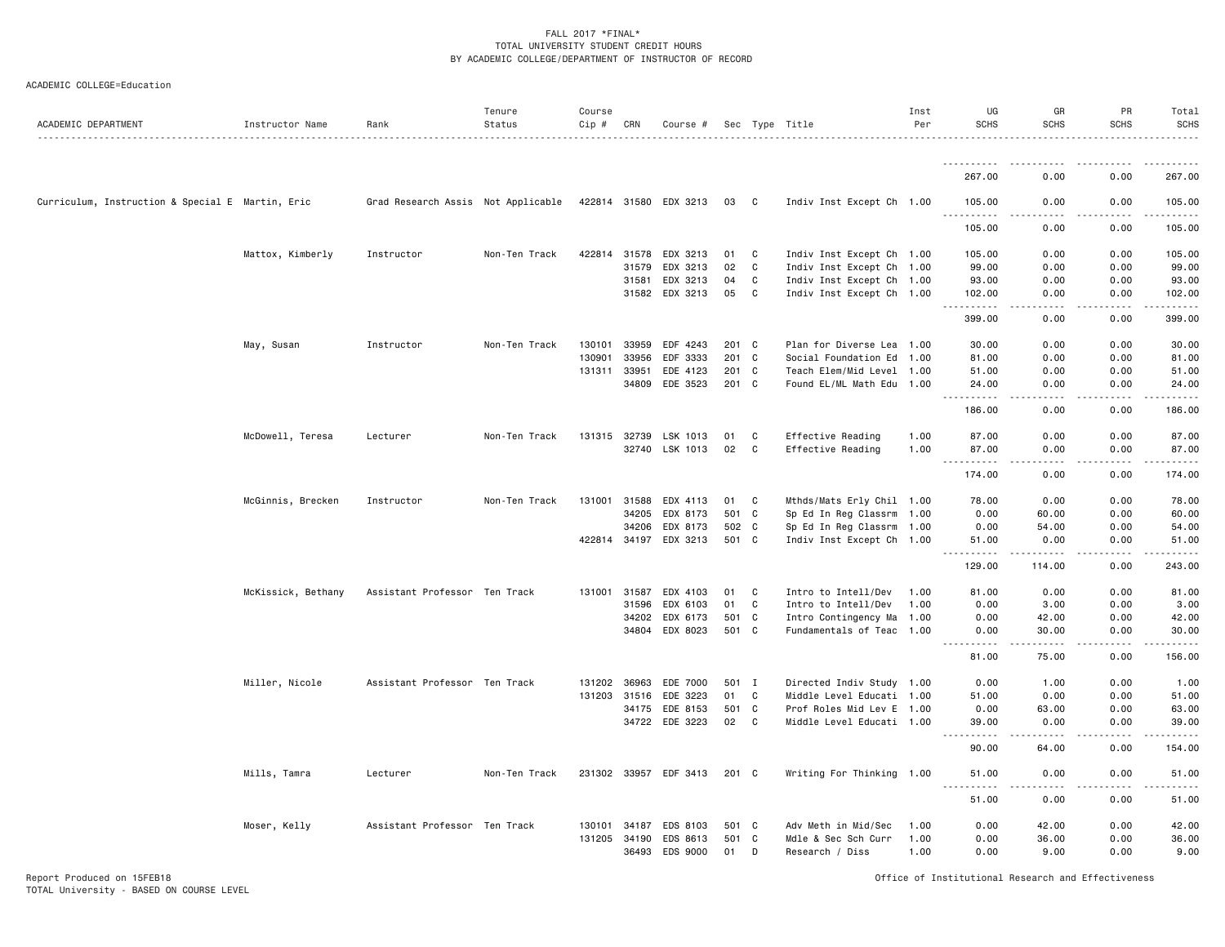| ACADEMIC DEPARTMENT                              | Instructor Name    | Rank                               | Tenure<br>Status | Course<br>Cip # | CRN          | Course #              |       |              | Sec Type Title            | Inst<br>Per | UG<br><b>SCHS</b> | GR<br><b>SCHS</b> | PR<br><b>SCHS</b> | Total<br><b>SCHS</b> |
|--------------------------------------------------|--------------------|------------------------------------|------------------|-----------------|--------------|-----------------------|-------|--------------|---------------------------|-------------|-------------------|-------------------|-------------------|----------------------|
|                                                  |                    |                                    |                  |                 |              |                       |       |              |                           |             |                   |                   |                   |                      |
|                                                  |                    |                                    |                  |                 |              |                       |       |              |                           |             | 267.00            | 0.00              | 0.00              | 267.00               |
| Curriculum, Instruction & Special E Martin, Eric |                    | Grad Research Assis Not Applicable |                  |                 |              | 422814 31580 EDX 3213 | 03 C  |              | Indiv Inst Except Ch 1.00 |             | 105.00<br>.       | 0.00<br>.         | 0.00<br>.         | 105.00<br>.          |
|                                                  |                    |                                    |                  |                 |              |                       |       |              |                           |             | 105.00            | 0.00              | 0.00              | 105.00               |
|                                                  | Mattox, Kimberly   | Instructor                         | Non-Ten Track    |                 |              | 422814 31578 EDX 3213 | 01    | C            | Indiv Inst Except Ch 1.00 |             | 105.00            | 0.00              | 0.00              | 105.00               |
|                                                  |                    |                                    |                  |                 | 31579        | EDX 3213              | 02    | C            | Indiv Inst Except Ch 1.00 |             | 99.00             | 0.00              | 0.00              | 99.00                |
|                                                  |                    |                                    |                  |                 | 31581        | EDX 3213              | 04    | C            | Indiv Inst Except Ch 1.00 |             | 93.00             | 0.00              | 0.00              | 93.00                |
|                                                  |                    |                                    |                  |                 |              | 31582 EDX 3213        | 05    | C            | Indiv Inst Except Ch 1.00 |             | 102.00<br>.       | 0.00<br>.         | 0.00<br>-----     | 102.00<br>.          |
|                                                  |                    |                                    |                  |                 |              |                       |       |              |                           |             | 399.00            | 0.00              | 0.00              | 399.00               |
|                                                  | May, Susan         | Instructor                         | Non-Ten Track    | 130101          | 33959        | EDF 4243              | 201 C |              | Plan for Diverse Lea 1.00 |             | 30.00             | 0.00              | 0.00              | 30.00                |
|                                                  |                    |                                    |                  | 130901          | 33956        | EDF 3333              | 201 C |              | Social Foundation Ed      | 1.00        | 81.00             | 0.00              | 0.00              | 81.00                |
|                                                  |                    |                                    |                  | 131311 33951    |              | EDE 4123              | 201 C |              | Teach Elem/Mid Level 1.00 |             | 51.00             | 0.00              | 0.00              | 51.00                |
|                                                  |                    |                                    |                  |                 |              | 34809 EDE 3523        | 201 C |              | Found EL/ML Math Edu 1.00 |             | 24.00<br>.        | 0.00              | 0.00              | 24.00<br>.           |
|                                                  |                    |                                    |                  |                 |              |                       |       |              |                           |             | 186.00            | 0.00              | 0.00              | 186.00               |
|                                                  | McDowell, Teresa   | Lecturer                           | Non-Ten Track    |                 |              | 131315 32739 LSK 1013 | 01    | C            | Effective Reading         | 1.00        | 87.00             | 0.00              | 0.00              | 87.00                |
|                                                  |                    |                                    |                  |                 |              | 32740 LSK 1013        | 02    | C            | Effective Reading         | 1.00        | 87.00             | 0.00              | 0.00              | 87.00                |
|                                                  |                    |                                    |                  |                 |              |                       |       |              |                           |             | .<br>174.00       | .<br>0.00         | -----<br>0.00     | .<br>174.00          |
|                                                  | McGinnis, Brecken  | Instructor                         | Non-Ten Track    |                 |              | 131001 31588 EDX 4113 | 01    | C            | Mthds/Mats Erly Chil 1.00 |             | 78.00             | 0.00              | 0.00              | 78.00                |
|                                                  |                    |                                    |                  |                 | 34205        | EDX 8173              | 501 C |              | Sp Ed In Reg Classrm 1.00 |             | 0.00              | 60.00             | 0.00              | 60.00                |
|                                                  |                    |                                    |                  |                 | 34206        | EDX 8173              | 502 C |              | Sp Ed In Reg Classrm 1.00 |             | 0.00              | 54.00             | 0.00              | 54.00                |
|                                                  |                    |                                    |                  |                 |              | 422814 34197 EDX 3213 | 501 C |              | Indiv Inst Except Ch 1.00 |             | 51.00<br>.        | 0.00              | 0.00<br>.         | 51.00                |
|                                                  |                    |                                    |                  |                 |              |                       |       |              |                           |             | 129.00            | 114.00            | 0.00              | 243.00               |
|                                                  | McKissick, Bethany | Assistant Professor Ten Track      |                  |                 | 131001 31587 | EDX 4103              | 01    | C            | Intro to Intell/Dev       | 1.00        | 81.00             | 0.00              | 0.00              | 81.00                |
|                                                  |                    |                                    |                  |                 | 31596        | EDX 6103              | 01    | C            | Intro to Intell/Dev       | 1.00        | 0.00              | 3.00              | 0.00              | 3.00                 |
|                                                  |                    |                                    |                  |                 | 34202        | EDX 6173              | 501 C |              | Intro Contingency Ma      | 1.00        | 0.00              | 42.00             | 0.00              | 42.00                |
|                                                  |                    |                                    |                  |                 |              | 34804 EDX 8023        | 501 C |              | Fundamentals of Teac 1.00 |             | 0.00<br><b></b>   | 30.00<br>.        | 0.00<br><u>.</u>  | 30.00<br>.           |
|                                                  |                    |                                    |                  |                 |              |                       |       |              |                           |             | 81.00             | 75.00             | 0.00              | 156.00               |
|                                                  | Miller, Nicole     | Assistant Professor Ten Track      |                  | 131202 36963    |              | EDE 7000              | 501 I |              | Directed Indiv Study 1.00 |             | 0.00              | 1.00              | 0.00              | 1.00                 |
|                                                  |                    |                                    |                  |                 | 131203 31516 | EDE 3223              | 01    | C            | Middle Level Educati 1.00 |             | 51.00             | 0.00              | 0.00              | 51.00                |
|                                                  |                    |                                    |                  |                 |              | 34175 EDE 8153        | 501 C |              | Prof Roles Mid Lev E 1.00 |             | 0.00              | 63.00             | 0.00              | 63.00                |
|                                                  |                    |                                    |                  |                 |              | 34722 EDE 3223        | 02 C  |              | Middle Level Educati 1.00 |             | 39.00<br>.        | 0.00              | 0.00              | 39.00                |
|                                                  |                    |                                    |                  |                 |              |                       |       |              |                           |             | 90.00             | 64.00             | 0.00              | 154.00               |
|                                                  | Mills, Tamra       | Lecturer                           | Non-Ten Track    |                 |              | 231302 33957 EDF 3413 | 201 C |              | Writing For Thinking 1.00 |             | 51.00             | 0.00              | 0.00              | 51.00                |
|                                                  |                    |                                    |                  |                 |              |                       |       |              |                           |             | <b></b><br>51.00  | -----<br>0.00     | 0.00              | .<br>51.00           |
|                                                  | Moser, Kelly       | Assistant Professor Ten Track      |                  |                 | 130101 34187 | EDS 8103              | 501 C |              | Adv Meth in Mid/Sec       | 1.00        | 0.00              | 42.00             | 0.00              | 42.00                |
|                                                  |                    |                                    |                  |                 | 131205 34190 | EDS 8613              | 501   | $\mathbf{C}$ | Mdle & Sec Sch Curr       | 1.00        | 0.00              | 36.00             | 0.00              | 36.00                |
|                                                  |                    |                                    |                  |                 |              | 36493 EDS 9000        | 01    | D            | Research / Diss           | 1.00        | 0.00              | 9.00              | 0.00              | 9.00                 |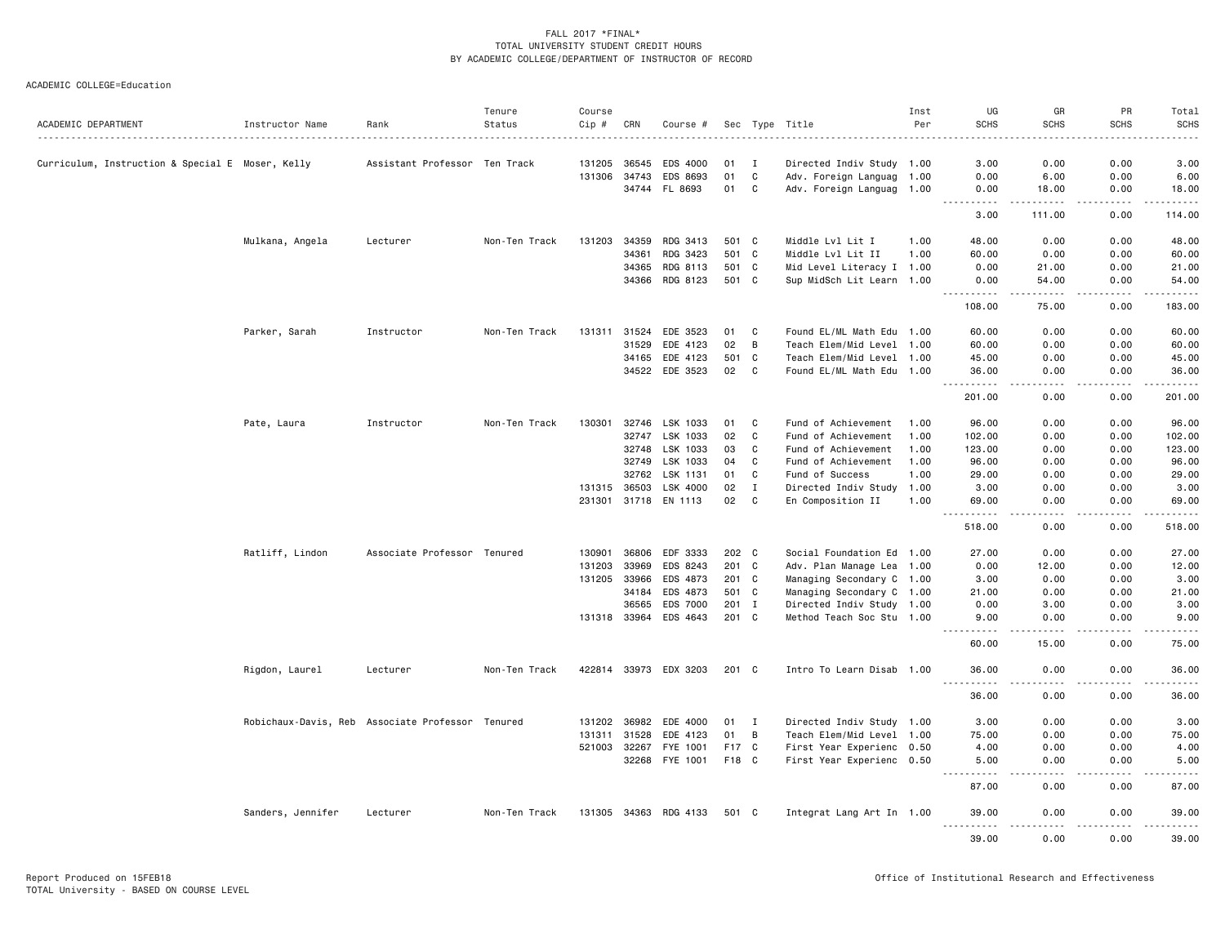| ACADEMIC DEPARTMENT                              | Instructor Name                                  | Rank                          | Tenure<br>Status | Course<br>$Cip \#$ | CRN          | Course #              |               |              | Sec Type Title            | Inst<br>Per | UG<br><b>SCHS</b> | GR<br><b>SCHS</b>            | PR<br><b>SCHS</b> | Total<br><b>SCHS</b>                                                                                                      |
|--------------------------------------------------|--------------------------------------------------|-------------------------------|------------------|--------------------|--------------|-----------------------|---------------|--------------|---------------------------|-------------|-------------------|------------------------------|-------------------|---------------------------------------------------------------------------------------------------------------------------|
|                                                  |                                                  |                               |                  |                    |              |                       |               |              |                           |             |                   |                              |                   | $\frac{1}{2} \left( \frac{1}{2} \right) \left( \frac{1}{2} \right) \left( \frac{1}{2} \right) \left( \frac{1}{2} \right)$ |
| Curriculum, Instruction & Special E Moser, Kelly |                                                  | Assistant Professor Ten Track |                  | 131205             | 36545        | EDS 4000              | 01            | I            | Directed Indiv Study 1.00 |             | 3.00              | 0.00                         | 0.00              | 3.00                                                                                                                      |
|                                                  |                                                  |                               |                  |                    | 131306 34743 | EDS 8693              | 01            | C            | Adv. Foreign Languag 1.00 |             | 0.00              | 6.00                         | 0.00              | 6.00                                                                                                                      |
|                                                  |                                                  |                               |                  |                    |              | 34744 FL 8693         | 01            | C            | Adv. Foreign Languag 1.00 |             | 0.00<br><u>.</u>  | 18.00<br>$- - - - -$         | 0.00<br><u>.</u>  | 18.00<br><u>.</u>                                                                                                         |
|                                                  |                                                  |                               |                  |                    |              |                       |               |              |                           |             | 3.00              | 111.00                       | 0.00              | 114.00                                                                                                                    |
|                                                  | Mulkana, Angela                                  | Lecturer                      | Non-Ten Track    | 131203             | 34359        | RDG 3413              | 501 C         |              | Middle Lvl Lit I          | 1.00        | 48.00             | 0.00                         | 0.00              | 48.00                                                                                                                     |
|                                                  |                                                  |                               |                  |                    | 34361        | RDG 3423              | 501 C         |              | Middle Lvl Lit II         | 1.00        | 60.00             | 0.00                         | 0.00              | 60.00                                                                                                                     |
|                                                  |                                                  |                               |                  |                    | 34365        | RDG 8113              | 501 C         |              | Mid Level Literacy I 1.00 |             | 0.00              | 21.00                        | 0.00              | 21.00                                                                                                                     |
|                                                  |                                                  |                               |                  |                    | 34366        | RDG 8123              | 501 C         |              | Sup MidSch Lit Learn 1.00 |             | 0.00<br>.         | 54.00                        | 0.00              | 54.00                                                                                                                     |
|                                                  |                                                  |                               |                  |                    |              |                       |               |              |                           |             | 108.00            | 75.00                        | 0.00              | 183.00                                                                                                                    |
|                                                  | Parker, Sarah                                    | Instructor                    | Non-Ten Track    |                    |              | 131311 31524 EDE 3523 | 01            | C.           | Found EL/ML Math Edu 1.00 |             | 60.00             | 0.00                         | 0.00              | 60.00                                                                                                                     |
|                                                  |                                                  |                               |                  |                    | 31529        | EDE 4123              | 02            | В            | Teach Elem/Mid Level 1.00 |             | 60.00             | 0.00                         | 0.00              | 60.00                                                                                                                     |
|                                                  |                                                  |                               |                  |                    | 34165        | EDE 4123              | 501           | C            | Teach Elem/Mid Level 1.00 |             | 45.00             | 0.00                         | 0.00              | 45.00                                                                                                                     |
|                                                  |                                                  |                               |                  |                    |              | 34522 EDE 3523        | 02            | C            | Found EL/ML Math Edu 1.00 |             | 36.00<br>.        | 0.00<br>.                    | 0.00<br>.         | 36.00<br>.                                                                                                                |
|                                                  |                                                  |                               |                  |                    |              |                       |               |              |                           |             | 201.00            | 0.00                         | 0.00              | 201.00                                                                                                                    |
|                                                  | Pate, Laura                                      | Instructor                    | Non-Ten Track    | 130301             | 32746        | LSK 1033              | 01            | C            | Fund of Achievement       | 1.00        | 96.00             | 0.00                         | 0.00              | 96.00                                                                                                                     |
|                                                  |                                                  |                               |                  |                    | 32747        | LSK 1033              | 02            | C            | Fund of Achievement       | 1.00        | 102.00            | 0.00                         | 0.00              | 102.00                                                                                                                    |
|                                                  |                                                  |                               |                  |                    | 32748        | LSK 1033              | 03            | C            | Fund of Achievement       | 1.00        | 123.00            | 0.00                         | 0.00              | 123.00                                                                                                                    |
|                                                  |                                                  |                               |                  |                    | 32749        | LSK 1033              | 04            | C            | Fund of Achievement       | 1.00        | 96.00             | 0.00                         | 0.00              | 96.00                                                                                                                     |
|                                                  |                                                  |                               |                  |                    | 32762        | LSK 1131              | 01            | C            | Fund of Success           | 1.00        | 29.00             | 0.00                         | 0.00              | 29.00                                                                                                                     |
|                                                  |                                                  |                               |                  | 131315             | 36503        | LSK 4000              | 02            | $\mathbf{I}$ | Directed Indiv Study 1.00 |             | 3.00              | 0.00                         | 0.00              | 3.00                                                                                                                      |
|                                                  |                                                  |                               |                  | 231301             |              | 31718 EN 1113         | 02            | C            | En Composition II         | 1.00        | 69.00             | 0.00                         | 0.00              | 69.00                                                                                                                     |
|                                                  |                                                  |                               |                  |                    |              |                       |               |              |                           |             | .<br>518.00       | $\frac{1}{2}$<br>0.00        | .<br>0.00         | .<br>518.00                                                                                                               |
|                                                  | Ratliff, Lindon                                  | Associate Professor Tenured   |                  | 130901             |              | 36806 EDF 3333        | 202 C         |              | Social Foundation Ed 1.00 |             | 27.00             | 0.00                         | 0.00              | 27.00                                                                                                                     |
|                                                  |                                                  |                               |                  | 131203             | 33969        | EDS 8243              | 201           | C            | Adv. Plan Manage Lea 1.00 |             | 0.00              | 12.00                        | 0.00              | 12.00                                                                                                                     |
|                                                  |                                                  |                               |                  |                    | 131205 33966 | EDS 4873              | 201 C         |              | Managing Secondary C 1.00 |             | 3.00              | 0.00                         | 0.00              | 3.00                                                                                                                      |
|                                                  |                                                  |                               |                  |                    | 34184        | EDS 4873              | 501 C         |              | Managing Secondary C 1.00 |             | 21.00             | 0.00                         | 0.00              | 21.00                                                                                                                     |
|                                                  |                                                  |                               |                  |                    | 36565        | EDS 7000              | 201 I         |              | Directed Indiv Study 1.00 |             | 0.00              | 3.00                         | 0.00              | 3.00                                                                                                                      |
|                                                  |                                                  |                               |                  |                    | 131318 33964 | EDS 4643              | 201 C         |              | Method Teach Soc Stu 1.00 |             | 9.00<br><u>.</u>  | 0.00<br>-----                | 0.00<br>.         | 9.00<br>.                                                                                                                 |
|                                                  |                                                  |                               |                  |                    |              |                       |               |              |                           |             | 60.00             | 15.00                        | 0.00              | 75.00                                                                                                                     |
|                                                  | Rigdon, Laurel                                   | Lecturer                      | Non-Ten Track    |                    |              | 422814 33973 EDX 3203 | $201 \quad C$ |              | Intro To Learn Disab 1.00 |             | 36.00             | 0.00                         | 0.00              | 36.00                                                                                                                     |
|                                                  |                                                  |                               |                  |                    |              |                       |               |              |                           |             | 36.00             | 0.00                         | 0.00              | 36.00                                                                                                                     |
|                                                  | Robichaux-Davis, Reb Associate Professor Tenured |                               |                  | 131202             | 36982        | EDE 4000              | 01            | $\mathbf{I}$ | Directed Indiv Study 1.00 |             | 3.00              | 0.00                         | 0.00              | 3.00                                                                                                                      |
|                                                  |                                                  |                               |                  | 131311             | 31528        | EDE 4123              | 01            | В            | Teach Elem/Mid Level 1.00 |             | 75.00             | 0.00                         | 0.00              | 75.00                                                                                                                     |
|                                                  |                                                  |                               |                  |                    | 521003 32267 | FYE 1001              | F17 C         |              | First Year Experienc 0.50 |             | 4.00              | 0.00                         | 0.00              | 4.00                                                                                                                      |
|                                                  |                                                  |                               |                  |                    | 32268        | FYE 1001              | F18 C         |              | First Year Experienc 0.50 |             | 5.00              | 0.00                         | 0.00              | 5.00                                                                                                                      |
|                                                  |                                                  |                               |                  |                    |              |                       |               |              |                           |             | .<br>87.00        | $   -$<br>0.00               | <u>.</u><br>0.00  | .<br>87.00                                                                                                                |
|                                                  | Sanders, Jennifer                                | Lecturer                      | Non-Ten Track    |                    |              | 131305 34363 RDG 4133 | 501 C         |              | Integrat Lang Art In 1.00 |             | 39.00<br>.        | 0.00<br>$\sim$ $\sim$ $\sim$ | 0.00              | 39.00                                                                                                                     |
|                                                  |                                                  |                               |                  |                    |              |                       |               |              |                           |             | 39.00             | 0.00                         | 0.00              | 39.00                                                                                                                     |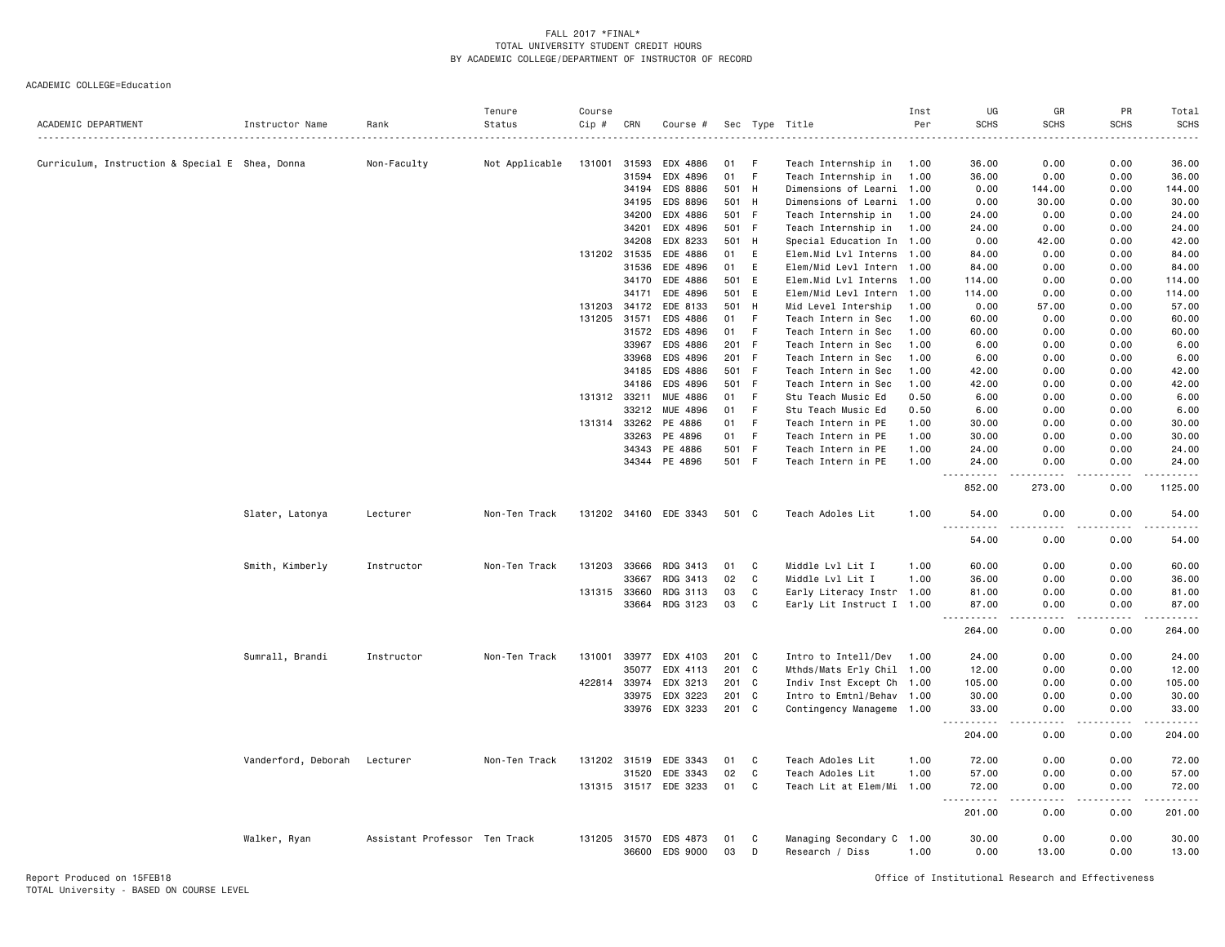| ACADEMIC DEPARTMENT                             | Instructor Name     | Rank                          | Tenure<br>Status | Course<br>Cip # | CRN                   | Course #              |          |        | Sec Type Title                               | Inst<br>Per | UG<br><b>SCHS</b> | GR<br><b>SCHS</b>                   | PR<br>SCHS   | Total<br><b>SCHS</b>                                                                                                                                 |
|-------------------------------------------------|---------------------|-------------------------------|------------------|-----------------|-----------------------|-----------------------|----------|--------|----------------------------------------------|-------------|-------------------|-------------------------------------|--------------|------------------------------------------------------------------------------------------------------------------------------------------------------|
|                                                 |                     |                               |                  |                 |                       |                       |          |        |                                              |             |                   |                                     |              |                                                                                                                                                      |
| Curriculum, Instruction & Special E Shea, Donna |                     | Non-Faculty                   | Not Applicable   | 131001          | 31593                 | EDX 4886              | 01       | -F     | Teach Internship in                          | 1.00        | 36.00             | 0.00                                | 0.00         | 36.00                                                                                                                                                |
|                                                 |                     |                               |                  |                 | 31594                 | EDX 4896              | 01       | - F    | Teach Internship in                          | 1.00        | 36.00             | 0.00                                | 0.00         | 36.00                                                                                                                                                |
|                                                 |                     |                               |                  |                 | 34194                 | EDS 8886              |          | 501 H  | Dimensions of Learni 1.00                    |             | 0.00              | 144.00                              | 0.00         | 144.00                                                                                                                                               |
|                                                 |                     |                               |                  |                 | 34195                 | EDS 8896              |          | 501 H  | Dimensions of Learni 1.00                    |             | 0.00              | 30.00                               | 0.00         | 30.00                                                                                                                                                |
|                                                 |                     |                               |                  |                 | 34200                 | EDX 4886              |          | 501 F  | Teach Internship in                          | 1.00        | 24.00             | 0.00                                | 0.00         | 24.00                                                                                                                                                |
|                                                 |                     |                               |                  |                 | 34201                 | EDX 4896              |          | 501 F  | Teach Internship in                          | 1.00        | 24.00             | 0.00                                | 0.00         | 24.00                                                                                                                                                |
|                                                 |                     |                               |                  |                 | 34208<br>131202 31535 | EDX 8233<br>EDE 4886  |          | 501 H  | Special Education In 1.00                    |             | 0.00              | 42.00                               | 0.00         | 42.00                                                                                                                                                |
|                                                 |                     |                               |                  |                 | 31536                 | EDE 4896              | 01       | E<br>E | Elem.Mid Lvl Interns 1.00                    |             | 84.00             | 0.00                                | 0.00         | 84.00                                                                                                                                                |
|                                                 |                     |                               |                  |                 | 34170                 | EDE 4886              | 01       | 501 E  | Elem/Mid Levl Intern 1.00                    | 1.00        | 84.00<br>114.00   | 0.00<br>0.00                        | 0.00<br>0.00 | 84.00<br>114.00                                                                                                                                      |
|                                                 |                     |                               |                  |                 | 34171                 | EDE 4896              | 501      | E      | Elem.Mid Lvl Interns<br>Elem/Mid Levl Intern | 1.00        | 114.00            | 0.00                                | 0.00         | 114.00                                                                                                                                               |
|                                                 |                     |                               |                  |                 | 34172                 |                       |          | 501 H  |                                              | 1.00        | 0.00              |                                     | 0.00         |                                                                                                                                                      |
|                                                 |                     |                               |                  | 131203          | 131205 31571          | EDE 8133<br>EDS 4886  | 01       | F      | Mid Level Intership<br>Teach Intern in Sec   | 1.00        | 60.00             | 57.00<br>0.00                       | 0.00         | 57.00<br>60.00                                                                                                                                       |
|                                                 |                     |                               |                  |                 | 31572                 | EDS 4896              |          | - F    | Teach Intern in Sec                          | 1.00        | 60.00             | 0.00                                | 0.00         | 60.00                                                                                                                                                |
|                                                 |                     |                               |                  |                 | 33967                 | EDS 4886              | 01       | 201 F  | Teach Intern in Sec                          | 1.00        | 6.00              | 0.00                                | 0.00         | 6.00                                                                                                                                                 |
|                                                 |                     |                               |                  |                 | 33968                 | EDS 4896              |          | 201 F  | Teach Intern in Sec                          | 1.00        | 6.00              | 0.00                                | 0.00         | 6.00                                                                                                                                                 |
|                                                 |                     |                               |                  |                 | 34185                 | EDS 4886              |          | 501 F  | Teach Intern in Sec                          | 1.00        | 42.00             | 0.00                                | 0.00         | 42.00                                                                                                                                                |
|                                                 |                     |                               |                  |                 | 34186                 | EDS 4896              |          | 501 F  | Teach Intern in Sec                          | 1.00        | 42.00             | 0.00                                | 0.00         | 42.00                                                                                                                                                |
|                                                 |                     |                               |                  |                 | 131312 33211          | MUE 4886              | 01       | -F     | Stu Teach Music Ed                           | 0.50        | 6.00              | 0.00                                | 0.00         | 6.00                                                                                                                                                 |
|                                                 |                     |                               |                  |                 | 33212                 | MUE 4896              | 01       | -F     | Stu Teach Music Ed                           | 0.50        | 6.00              | 0.00                                | 0.00         | 6.00                                                                                                                                                 |
|                                                 |                     |                               |                  | 131314 33262    |                       | PE 4886               | 01       | F      | Teach Intern in PE                           | 1.00        | 30.00             | 0.00                                | 0.00         | 30.00                                                                                                                                                |
|                                                 |                     |                               |                  |                 | 33263                 | PE 4896               | 01       | -F     | Teach Intern in PE                           | 1.00        | 30.00             | 0.00                                | 0.00         | 30.00                                                                                                                                                |
|                                                 |                     |                               |                  |                 | 34343                 | PE 4886               |          | 501 F  | Teach Intern in PE                           | 1.00        | 24.00             | 0.00                                | 0.00         | 24.00                                                                                                                                                |
|                                                 |                     |                               |                  |                 | 34344                 | PE 4896               |          | 501 F  | Teach Intern in PE                           | 1.00        | 24.00             | 0.00                                | 0.00         | 24.00                                                                                                                                                |
|                                                 |                     |                               |                  |                 |                       |                       |          |        |                                              |             | .                 | $\frac{1}{2}$                       | .            | $\frac{1}{2} \left( \frac{1}{2} \right) \left( \frac{1}{2} \right) \left( \frac{1}{2} \right) \left( \frac{1}{2} \right) \left( \frac{1}{2} \right)$ |
|                                                 |                     |                               |                  |                 |                       |                       |          |        |                                              |             | 852.00            | 273.00                              | 0.00         | 1125.00                                                                                                                                              |
|                                                 | Slater, Latonya     | Lecturer                      | Non-Ten Track    |                 |                       | 131202 34160 EDE 3343 |          | 501 C  | Teach Adoles Lit                             | 1.00        | 54.00<br>.        | 0.00<br>.                           | 0.00<br>.    | 54.00<br>.                                                                                                                                           |
|                                                 |                     |                               |                  |                 |                       |                       |          |        |                                              |             | 54.00             | 0.00                                | 0.00         | 54.00                                                                                                                                                |
|                                                 | Smith, Kimberly     | Instructor                    | Non-Ten Track    | 131203          | 33666                 | RDG 3413              | 01       | C      | Middle Lvl Lit I                             | 1.00        | 60.00             | 0.00                                | 0.00         | 60.00                                                                                                                                                |
|                                                 |                     |                               |                  |                 | 33667                 | RDG 3413              | 02       | C      | Middle Lvl Lit I                             | 1.00        | 36.00             | 0.00                                | 0.00         | 36.00                                                                                                                                                |
|                                                 |                     |                               |                  |                 | 131315 33660          | RDG 3113              | 03       | C      | Early Literacy Instr 1.00                    |             | 81.00             | 0.00                                | 0.00         | 81.00                                                                                                                                                |
|                                                 |                     |                               |                  |                 | 33664                 | RDG 3123              | 03       | C      | Early Lit Instruct I 1.00                    |             | 87.00<br>.        | 0.00<br>$\sim$ $\sim$ $\sim$ $\sim$ | 0.00<br>.    | 87.00<br>.                                                                                                                                           |
|                                                 |                     |                               |                  |                 |                       |                       |          |        |                                              |             | 264.00            | 0.00                                | 0.00         | 264.00                                                                                                                                               |
|                                                 | Sumrall, Brandi     | Instructor                    | Non-Ten Track    | 131001          | 33977                 | EDX 4103              |          | 201 C  | Intro to Intell/Dev                          | 1.00        | 24.00             | 0.00                                | 0.00         | 24.00                                                                                                                                                |
|                                                 |                     |                               |                  |                 | 35077                 | EDX 4113              |          | 201 C  | Mthds/Mats Erly Chil 1.00                    |             | 12.00             | 0.00                                | 0.00         | 12.00                                                                                                                                                |
|                                                 |                     |                               |                  | 422814          | 33974                 | EDX 3213              |          | 201 C  | Indiv Inst Except Ch 1.00                    |             | 105.00            | 0.00                                | 0.00         | 105.00                                                                                                                                               |
|                                                 |                     |                               |                  |                 | 33975                 | EDX 3223              |          | 201 C  | Intro to Emtnl/Behav 1.00                    |             | 30.00             | 0.00                                | 0.00         | 30.00                                                                                                                                                |
|                                                 |                     |                               |                  |                 | 33976                 | EDX 3233              |          | 201 C  | Contingency Manageme 1.00                    |             | 33.00             | 0.00                                | 0.00         | 33.00                                                                                                                                                |
|                                                 |                     |                               |                  |                 |                       |                       |          |        |                                              |             | 204.00            | 0.00                                | 0.00         | 204.00                                                                                                                                               |
|                                                 | Vanderford, Deborah | Lecturer                      | Non-Ten Track    | 131202 31519    |                       | EDE 3343              | 01       | C      | Teach Adoles Lit                             | 1.00        | 72.00             | 0.00                                | 0.00         | 72.00                                                                                                                                                |
|                                                 |                     |                               |                  |                 | 31520                 | EDE 3343              | 02       | C      | Teach Adoles Lit                             | 1.00        | 57.00             | 0.00                                | 0.00         | 57.00                                                                                                                                                |
|                                                 |                     |                               |                  |                 | 131315 31517          | EDE 3233              | 01       | C      | Teach Lit at Elem/Mi 1.00                    |             | 72.00<br>.        | 0.00<br>.                           | 0.00<br>.    | 72.00<br>.                                                                                                                                           |
|                                                 |                     |                               |                  |                 |                       |                       |          |        |                                              |             | 201.00            | 0.00                                | 0.00         | 201.00                                                                                                                                               |
|                                                 | Walker, Ryan        | Assistant Professor Ten Track |                  |                 | 131205 31570<br>36600 | EDS 4873<br>EDS 9000  | 01<br>03 | C<br>D | Managing Secondary C 1.00<br>Research / Diss | 1.00        | 30.00<br>0.00     | 0.00<br>13.00                       | 0.00<br>0.00 | 30.00<br>13.00                                                                                                                                       |
|                                                 |                     |                               |                  |                 |                       |                       |          |        |                                              |             |                   |                                     |              |                                                                                                                                                      |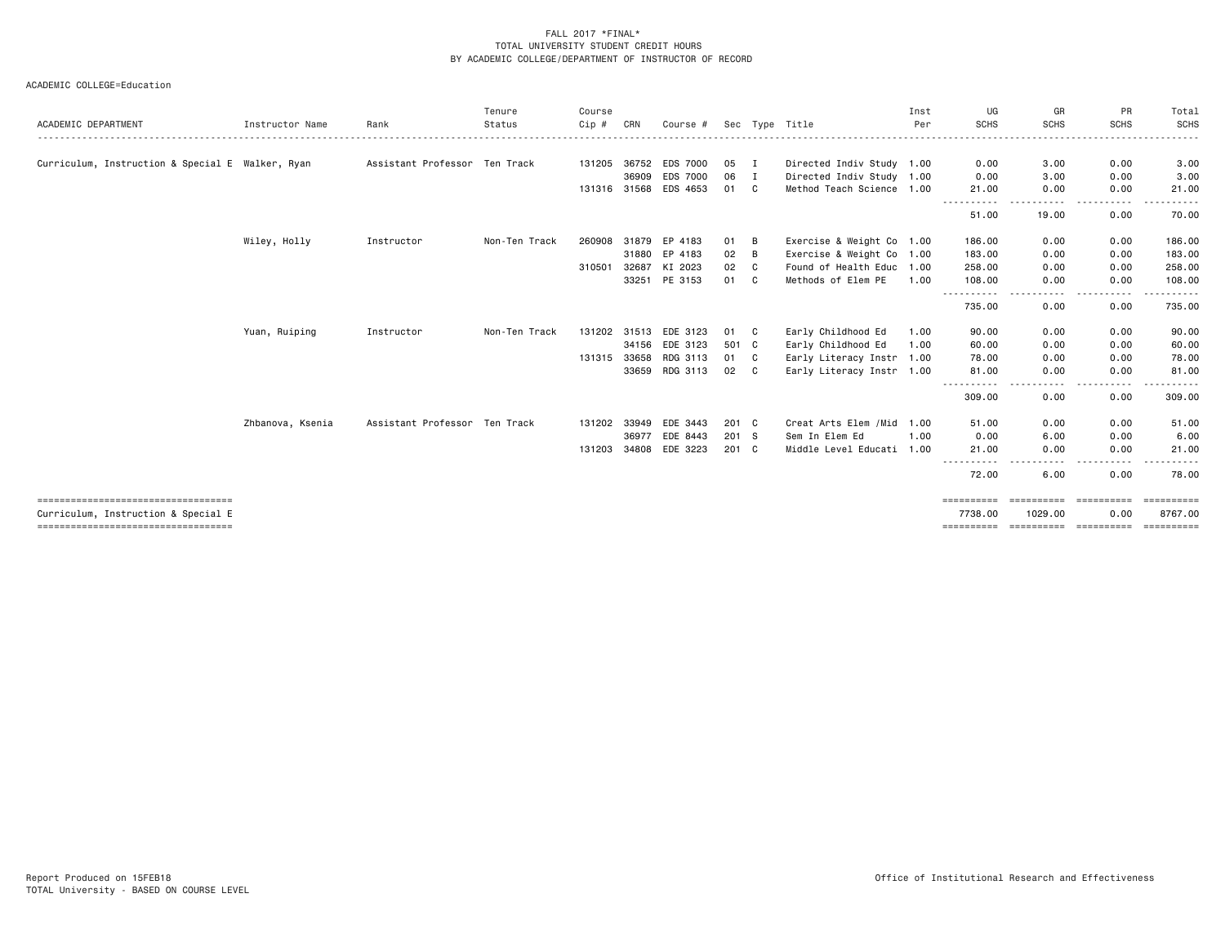| Assistant Professor Ten Track<br>Curriculum, Instruction & Special E Walker, Ryan<br>131205 36752 EDS 7000<br>Directed Indiv Study 1.00<br>3.00<br>0.00<br>05<br>0.00<br>I<br>36909<br>EDS 7000<br>Directed Indiv Study 1.00<br>3.00<br>0.00<br>06<br>0.00<br>I<br>131316 31568 EDS 4653<br>C.<br>Method Teach Science 1.00<br>01<br>0.00<br>0.00<br>21.00<br>.<br>51.00<br>0.00<br>19.00<br>Wiley, Holly<br>Non-Ten Track<br>0.00<br>Instructor<br>260908<br>31879<br>EP 4183<br>Exercise & Weight Co 1.00<br>0.00<br>01<br>B<br>186.00<br>31880 EP 4183<br>02<br>Exercise & Weight Co 1.00<br>183.00<br>0.00<br>0.00<br>B<br>32687<br>KI 2023<br>02<br>C<br>Found of Health Educ 1.00<br>0.00<br>310501<br>258.00<br>0.00<br>33251 PE 3153<br>01<br>C <sub>c</sub><br>Methods of Elem PE<br>0.00<br>0.00<br>1.00<br>108,00 | Total<br><b>SCHS</b>   |
|------------------------------------------------------------------------------------------------------------------------------------------------------------------------------------------------------------------------------------------------------------------------------------------------------------------------------------------------------------------------------------------------------------------------------------------------------------------------------------------------------------------------------------------------------------------------------------------------------------------------------------------------------------------------------------------------------------------------------------------------------------------------------------------------------------------------------|------------------------|
|                                                                                                                                                                                                                                                                                                                                                                                                                                                                                                                                                                                                                                                                                                                                                                                                                              | 3.00                   |
|                                                                                                                                                                                                                                                                                                                                                                                                                                                                                                                                                                                                                                                                                                                                                                                                                              | 3.00                   |
|                                                                                                                                                                                                                                                                                                                                                                                                                                                                                                                                                                                                                                                                                                                                                                                                                              | 21.00                  |
|                                                                                                                                                                                                                                                                                                                                                                                                                                                                                                                                                                                                                                                                                                                                                                                                                              | 70.00                  |
|                                                                                                                                                                                                                                                                                                                                                                                                                                                                                                                                                                                                                                                                                                                                                                                                                              | 186.00                 |
|                                                                                                                                                                                                                                                                                                                                                                                                                                                                                                                                                                                                                                                                                                                                                                                                                              | 183.00                 |
|                                                                                                                                                                                                                                                                                                                                                                                                                                                                                                                                                                                                                                                                                                                                                                                                                              | 258.00                 |
|                                                                                                                                                                                                                                                                                                                                                                                                                                                                                                                                                                                                                                                                                                                                                                                                                              | 108.00                 |
| 735.00<br>0.00<br>0.00                                                                                                                                                                                                                                                                                                                                                                                                                                                                                                                                                                                                                                                                                                                                                                                                       | 735.00                 |
| Yuan, Ruiping<br>Non-Ten Track<br>131202 31513 EDE 3123<br>Early Childhood Ed<br>0.00<br>Instructor<br>01<br><b>C</b><br>90.00<br>0.00<br>1.00                                                                                                                                                                                                                                                                                                                                                                                                                                                                                                                                                                                                                                                                               | 90.00                  |
| EDE 3123<br>Early Childhood Ed<br>34156<br>501 C<br>0.00<br>0.00<br>1.00<br>60.00                                                                                                                                                                                                                                                                                                                                                                                                                                                                                                                                                                                                                                                                                                                                            | 60.00                  |
| RDG 3113<br>131315 33658<br>01<br>Early Literacy Instr 1.00<br>0.00<br>0.00<br>- C<br>78.00                                                                                                                                                                                                                                                                                                                                                                                                                                                                                                                                                                                                                                                                                                                                  | 78.00                  |
| 33659 RDG 3113<br>02<br>Early Literacy Instr 1.00<br>0.00<br>0.00<br>$\mathbf{C}$<br>81.00                                                                                                                                                                                                                                                                                                                                                                                                                                                                                                                                                                                                                                                                                                                                   | 81.00                  |
| 309,00<br>0.00<br>0.00                                                                                                                                                                                                                                                                                                                                                                                                                                                                                                                                                                                                                                                                                                                                                                                                       | 309.00                 |
| Assistant Professor Ten Track<br>Zhbanova, Ksenia<br>EDE 3443<br>Creat Arts Elem /Mid<br>0.00<br>0.00<br>131202 33949<br>201 C<br>51.00<br>1.00                                                                                                                                                                                                                                                                                                                                                                                                                                                                                                                                                                                                                                                                              | 51.00                  |
| EDE 8443<br>201 S<br>Sem In Elem Ed<br>6.00<br>0.00<br>36977<br>1.00<br>0.00                                                                                                                                                                                                                                                                                                                                                                                                                                                                                                                                                                                                                                                                                                                                                 | 6.00                   |
| 34808<br>EDE 3223<br>201 C<br>Middle Level Educati 1.00<br>131203<br>21.00<br>0.00<br>0.00                                                                                                                                                                                                                                                                                                                                                                                                                                                                                                                                                                                                                                                                                                                                   | 21.00                  |
| 6.00<br>0.00<br>72.00                                                                                                                                                                                                                                                                                                                                                                                                                                                                                                                                                                                                                                                                                                                                                                                                        | 78.00                  |
| ====================================<br>==========<br>=====================                                                                                                                                                                                                                                                                                                                                                                                                                                                                                                                                                                                                                                                                                                                                                  | $=$ ==========         |
| Curriculum, Instruction & Special E<br>7738.00<br>1029,00<br>0.00<br>----------------------------------<br>==========<br>steresses esteresse                                                                                                                                                                                                                                                                                                                                                                                                                                                                                                                                                                                                                                                                                 | 8767.00<br>----------- |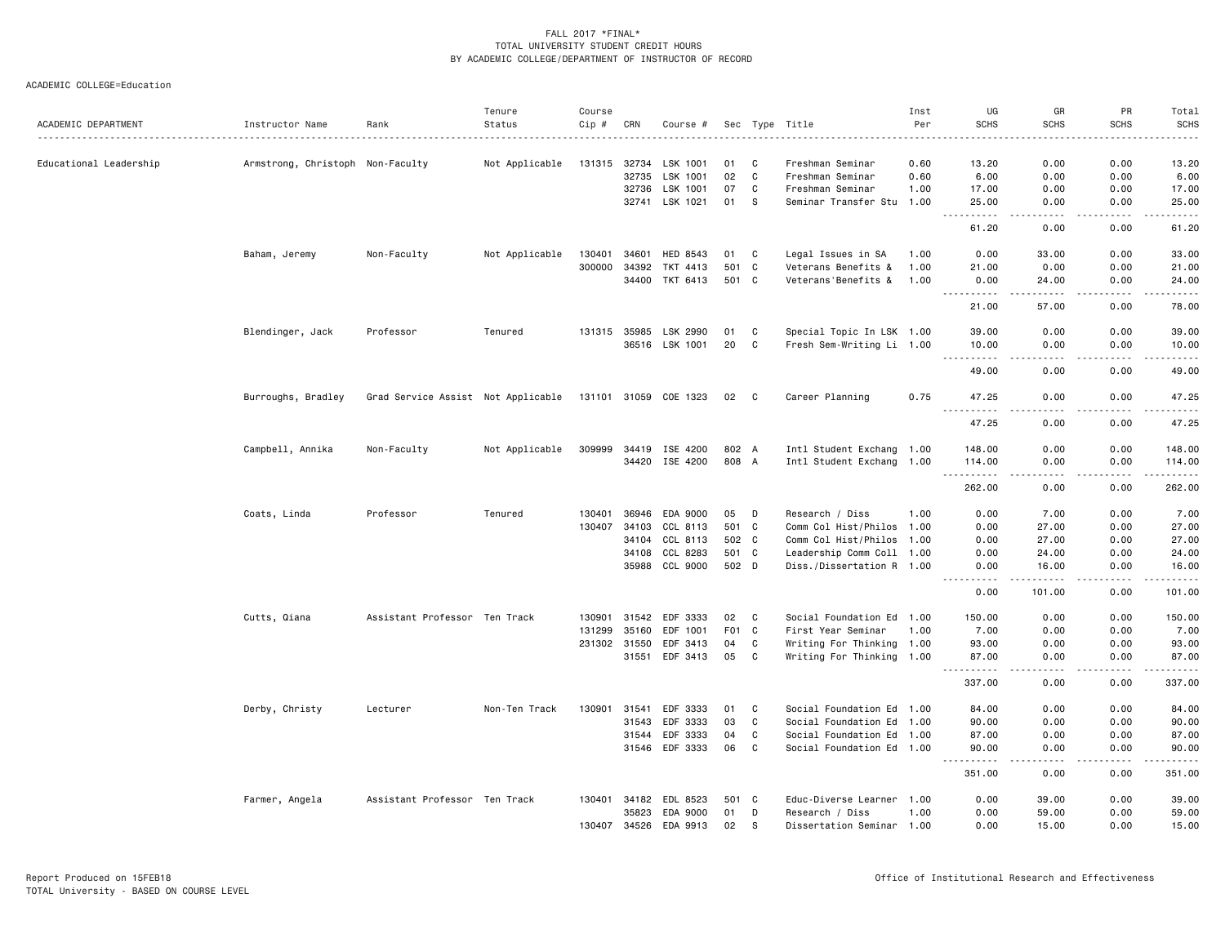| ACADEMIC DEPARTMENT    | Instructor Name                  | Rank                               | Tenure<br>Status | Course<br>Cip # | CRN          | Course #              |                 |              | Sec Type Title            | Inst<br>Per | UG<br><b>SCHS</b>            | GR<br><b>SCHS</b>                   | PR<br><b>SCHS</b> | Total<br><b>SCHS</b>     |
|------------------------|----------------------------------|------------------------------------|------------------|-----------------|--------------|-----------------------|-----------------|--------------|---------------------------|-------------|------------------------------|-------------------------------------|-------------------|--------------------------|
| Educational Leadership | Armstrong, Christoph Non-Faculty |                                    | Not Applicable   | 131315 32734    |              | LSK 1001              | 01              | C            | Freshman Seminar          | 0.60        | 13.20                        | 0.00                                | 0.00              | 13.20                    |
|                        |                                  |                                    |                  |                 | 32735        | LSK 1001              | 02              | C            | Freshman Seminar          | 0.60        | 6.00                         | 0.00                                | 0.00              | 6.00                     |
|                        |                                  |                                    |                  |                 | 32736        | LSK 1001              | 07              | C            | Freshman Seminar          | 1.00        | 17.00                        | 0.00                                | 0.00              | 17.00                    |
|                        |                                  |                                    |                  |                 | 32741        | LSK 1021              | 01              | - S          | Seminar Transfer Stu 1.00 |             | 25.00                        | 0.00                                | 0.00              | 25.00                    |
|                        |                                  |                                    |                  |                 |              |                       |                 |              |                           |             | .<br>61.20                   | .<br>0.00                           | .<br>0.00         | $\frac{1}{2}$<br>61.20   |
|                        | Baham, Jeremy                    | Non-Faculty                        | Not Applicable   | 130401          | 34601        | HED 8543              | 01              | $\mathbf{C}$ | Legal Issues in SA        | 1.00        | 0.00                         | 33.00                               | 0.00              | 33.00                    |
|                        |                                  |                                    |                  | 300000          | 34392        | TKT 4413              | 501             | C.           | Veterans Benefits &       | 1.00        | 21.00                        | 0.00                                | 0.00              | 21.00                    |
|                        |                                  |                                    |                  |                 | 34400        | TKT 6413              | 501 C           |              | Veterans'Benefits &       | 1.00        | 0.00<br>.                    | 24.00<br>.                          | 0.00<br>.         | 24.00<br>. <u>.</u>      |
|                        |                                  |                                    |                  |                 |              |                       |                 |              |                           |             | 21.00                        | 57.00                               | 0.00              | 78.00                    |
|                        | Blendinger, Jack                 | Professor                          | Tenured          |                 | 131315 35985 | LSK 2990              | 01              | C            | Special Topic In LSK 1.00 |             | 39.00                        | 0.00                                | 0.00              | 39.00                    |
|                        |                                  |                                    |                  |                 | 36516        | LSK 1001              | 20              | C            | Fresh Sem-Writing Li 1.00 |             | 10.00<br>د د د د د           | 0.00<br>$\sim$ $\sim$ $\sim$ $\sim$ | 0.00              | 10.00                    |
|                        |                                  |                                    |                  |                 |              |                       |                 |              |                           |             | 49.00                        | 0.00                                | 0.00              | 49.00                    |
|                        | Burroughs, Bradley               | Grad Service Assist Not Applicable |                  |                 |              | 131101 31059 COE 1323 | 02 C            |              | Career Planning           | 0.75        | 47.25<br><u>.</u>            | 0.00                                | 0.00              | 47.25<br>.               |
|                        |                                  |                                    |                  |                 |              |                       |                 |              |                           |             | 47.25                        | .<br>0.00                           | .<br>0.00         | 47.25                    |
|                        | Campbell, Annika                 | Non-Faculty                        | Not Applicable   |                 |              | 309999 34419 ISE 4200 | 802 A           |              | Intl Student Exchang 1.00 |             | 148.00                       | 0.00                                | 0.00              | 148.00                   |
|                        |                                  |                                    |                  |                 | 34420        | ISE 4200              | 808 A           |              | Intl Student Exchang 1.00 |             | 114.00                       | 0.00                                | 0.00              | 114.00                   |
|                        |                                  |                                    |                  |                 |              |                       |                 |              |                           |             | .<br>262.00                  | .<br>0.00                           | .<br>0.00         | <u>.</u><br>262.00       |
|                        |                                  |                                    |                  |                 |              |                       |                 |              |                           |             |                              |                                     |                   |                          |
|                        | Coats, Linda                     | Professor                          | Tenured          | 130401          | 36946        | EDA 9000              | 05              | D            | Research / Diss           | 1.00        | 0.00                         | 7.00                                | 0.00              | 7.00                     |
|                        |                                  |                                    |                  | 130407          | 34103        | CCL 8113              | 501 C           |              | Comm Col Hist/Philos 1.00 |             | 0.00                         | 27.00                               | 0.00              | 27.00                    |
|                        |                                  |                                    |                  |                 | 34104        | CCL 8113              | 502 C           |              | Comm Col Hist/Philos 1.00 |             | 0.00                         | 27.00                               | 0.00              | 27.00                    |
|                        |                                  |                                    |                  |                 | 34108        | CCL 8283              | 501 C           |              | Leadership Comm Coll 1.00 |             | 0.00                         | 24.00                               | 0.00              | 24.00                    |
|                        |                                  |                                    |                  |                 | 35988        | CCL 9000              | 502 D           |              | Diss./Dissertation R 1.00 |             | 0.00<br>$\sim$ $\sim$ $\sim$ | 16.00                               | 0.00<br>.         | 16.00                    |
|                        |                                  |                                    |                  |                 |              |                       |                 |              |                           |             | 0.00                         | 101.00                              | 0.00              | 101.00                   |
|                        | Cutts, Qiana                     | Assistant Professor Ten Track      |                  | 130901          | 31542        | EDF 3333              | 02              | C            | Social Foundation Ed 1.00 |             | 150.00                       | 0.00                                | 0.00              | 150.00                   |
|                        |                                  |                                    |                  | 131299          | 35160        | EDF 1001              | F <sub>01</sub> | $\mathbf{C}$ | First Year Seminar        | 1.00        | 7.00                         | 0.00                                | 0.00              | 7.00                     |
|                        |                                  |                                    |                  |                 | 231302 31550 | EDF 3413              | 04              | C            | Writing For Thinking 1.00 |             | 93.00                        | 0.00                                | 0.00              | 93.00                    |
|                        |                                  |                                    |                  |                 | 31551        | EDF 3413              | 05              | C            | Writing For Thinking 1.00 |             | 87.00<br>$- - - - - - -$     | 0.00<br>.                           | 0.00<br><u>.</u>  | 87.00<br>$- - - - - - -$ |
|                        |                                  |                                    |                  |                 |              |                       |                 |              |                           |             | 337.00                       | 0.00                                | 0.00              | 337.00                   |
|                        | Derby, Christy                   | Lecturer                           | Non-Ten Track    | 130901          | 31541        | EDF 3333              | 01              | C            | Social Foundation Ed 1.00 |             | 84.00                        | 0.00                                | 0.00              | 84.00                    |
|                        |                                  |                                    |                  |                 | 31543        | EDF 3333              | 03              | C            | Social Foundation Ed 1.00 |             | 90.00                        | 0.00                                | 0.00              | 90.00                    |
|                        |                                  |                                    |                  |                 | 31544        | EDF 3333              | 04              | C            | Social Foundation Ed 1.00 |             | 87.00                        | 0.00                                | 0.00              | 87.00                    |
|                        |                                  |                                    |                  |                 | 31546        | EDF 3333              | 06              | C            | Social Foundation Ed 1.00 |             | 90.00<br><u>.</u>            | 0.00<br>. <u>. .</u>                | 0.00              | 90.00<br>.               |
|                        |                                  |                                    |                  |                 |              |                       |                 |              |                           |             | 351.00                       | 0.00                                | 0.00              | 351.00                   |
|                        | Farmer, Angela                   | Assistant Professor Ten Track      |                  |                 | 130401 34182 | EDL 8523              | 501 C           |              | Educ-Diverse Learner 1.00 |             | 0.00                         | 39.00                               | 0.00              | 39.00                    |
|                        |                                  |                                    |                  |                 | 35823        | EDA 9000              | 01              | D            | Research / Diss           | 1.00        | 0.00                         | 59.00                               | 0.00              | 59.00                    |
|                        |                                  |                                    |                  | 130407          | 34526        | EDA 9913              | 02              | S            | Dissertation Seminar 1.00 |             | 0.00                         | 15.00                               | 0.00              | 15.00                    |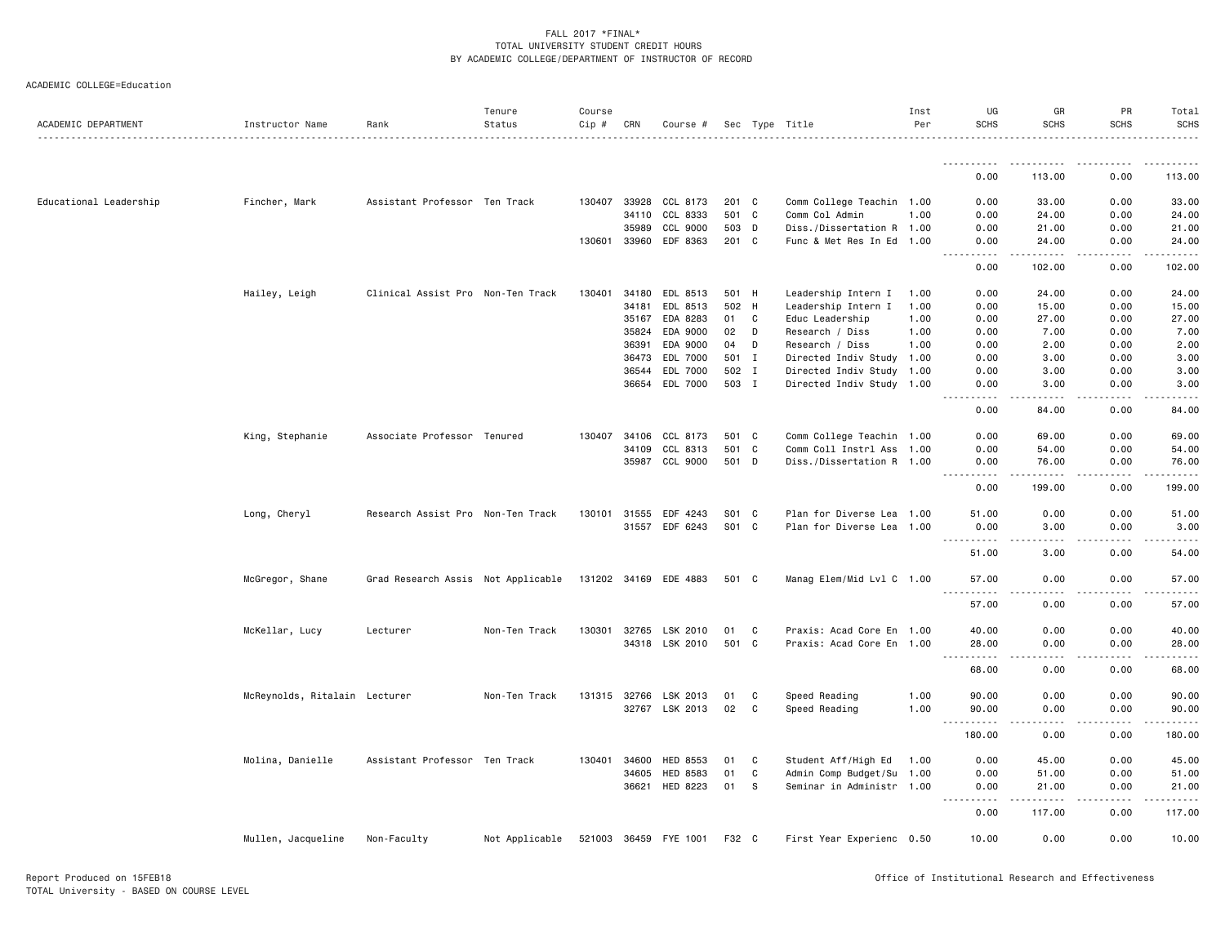| ACADEMIC DEPARTMENT    | Instructor Name               | Rank                               | Tenure<br>Status | Course<br>$Cip$ # | CRN   | Course #                   |                |               | Sec Type Title                                         | Inst<br>Per | UG<br><b>SCHS</b>          | GR<br><b>SCHS</b> | PR<br><b>SCHS</b>   | Total<br><b>SCHS</b> |
|------------------------|-------------------------------|------------------------------------|------------------|-------------------|-------|----------------------------|----------------|---------------|--------------------------------------------------------|-------------|----------------------------|-------------------|---------------------|----------------------|
|                        |                               |                                    |                  |                   |       |                            |                |               |                                                        |             | ----------                 |                   |                     |                      |
|                        |                               |                                    |                  |                   |       |                            |                |               |                                                        |             | 0.00                       | 113.00            | 0.00                | 113.00               |
| Educational Leadership | Fincher, Mark                 | Assistant Professor Ten Track      |                  |                   |       | 130407 33928 CCL 8173      | 201 C          |               | Comm College Teachin 1.00                              |             | 0.00                       | 33.00             | 0.00                | 33.00                |
|                        |                               |                                    |                  |                   |       | 34110 CCL 8333             | 501 C          |               | Comm Col Admin                                         | 1.00        | 0.00                       | 24.00             | 0.00                | 24.00                |
|                        |                               |                                    |                  |                   | 35989 | CCL 9000                   | 503 D          |               | Diss./Dissertation R 1.00                              |             | 0.00                       | 21.00             | 0.00                | 21.00                |
|                        |                               |                                    |                  |                   |       | 130601 33960 EDF 8363      | 201 C          |               | Func & Met Res In Ed                                   | 1.00        | 0.00<br>.<br>$\frac{1}{2}$ | 24.00             | 0.00<br>$- - - - -$ | 24.00<br>.           |
|                        |                               |                                    |                  |                   |       |                            |                |               |                                                        |             | 0.00                       | 102.00            | 0.00                | 102.00               |
|                        | Hailey, Leigh                 | Clinical Assist Pro Non-Ten Track  |                  | 130401            |       | 34180 EDL 8513             | 501 H          |               | Leadership Intern I                                    | 1.00        | 0.00                       | 24.00             | 0.00                | 24.00                |
|                        |                               |                                    |                  |                   | 34181 | EDL 8513                   | 502 H          |               | Leadership Intern I                                    | 1.00        | 0.00                       | 15.00             | 0.00                | 15.00                |
|                        |                               |                                    |                  |                   | 35167 | EDA 8283                   | 01             | C             | Educ Leadership                                        | 1.00        | 0.00                       | 27.00             | 0.00                | 27.00                |
|                        |                               |                                    |                  |                   | 35824 | EDA 9000                   | 02             | D             | Research / Diss                                        | 1.00        | 0.00                       | 7.00              | 0.00                | 7.00                 |
|                        |                               |                                    |                  |                   | 36391 | EDA 9000                   | 04             | D             | Research / Diss                                        | 1.00        | 0.00<br>0.00               | 2.00              | 0.00                | 2.00                 |
|                        |                               |                                    |                  |                   | 36544 | 36473 EDL 7000<br>EDL 7000 | 501 I<br>502 I |               | Directed Indiv Study 1.00<br>Directed Indiv Study 1.00 |             | 0.00                       | 3.00<br>3.00      | 0.00<br>0.00        | 3.00<br>3.00         |
|                        |                               |                                    |                  |                   |       | 36654 EDL 7000             | 503 I          |               | Directed Indiv Study 1.00                              |             | 0.00                       | 3.00              | 0.00                | 3.00                 |
|                        |                               |                                    |                  |                   |       |                            |                |               |                                                        |             | $\frac{1}{2}$<br>0.00      | 84.00             | 0.00                | 84.00                |
|                        | King, Stephanie               | Associate Professor Tenured        |                  |                   |       | 130407 34106 CCL 8173      | 501 C          |               | Comm College Teachin 1.00                              |             | 0.00                       | 69.00             | 0.00                | 69.00                |
|                        |                               |                                    |                  |                   | 34109 | CCL 8313                   | 501 C          |               | Comm Coll Instrl Ass                                   | 1.00        | 0.00                       | 54.00             | 0.00                | 54.00                |
|                        |                               |                                    |                  |                   |       | 35987 CCL 9000             | 501 D          |               | Diss./Dissertation R 1.00                              |             | 0.00<br><b></b>            | 76.00<br>.        | 0.00                | 76.00<br>.           |
|                        |                               |                                    |                  |                   |       |                            |                |               |                                                        |             | 0.00                       | 199.00            | 0.00                | 199.00               |
|                        | Long, Cheryl                  | Research Assist Pro Non-Ten Track  |                  |                   |       | 130101 31555 EDF 4243      | S01 C          |               | Plan for Diverse Lea 1.00                              |             | 51.00                      | 0.00              | 0.00                | 51.00                |
|                        |                               |                                    |                  |                   |       | 31557 EDF 6243             | S01 C          |               | Plan for Diverse Lea 1.00                              |             | 0.00<br>.                  | 3.00<br>.         | 0.00<br><u>.</u>    | 3.00<br>.            |
|                        |                               |                                    |                  |                   |       |                            |                |               |                                                        |             | 51.00                      | 3.00              | 0.00                | 54.00                |
|                        | McGregor, Shane               | Grad Research Assis Not Applicable |                  |                   |       | 131202 34169 EDE 4883      | 501 C          |               | Manag Elem/Mid Lvl C 1.00                              |             | 57.00<br><u>.</u>          | 0.00<br>.         | 0.00<br>.           | 57.00<br>.           |
|                        |                               |                                    |                  |                   |       |                            |                |               |                                                        |             | 57.00                      | 0.00              | 0.00                | 57.00                |
|                        | McKellar, Lucy                | Lecturer                           | Non-Ten Track    | 130301            |       | 32765 LSK 2010             | 01             | C             | Praxis: Acad Core En 1.00                              |             | 40.00                      | 0.00              | 0.00                | 40.00                |
|                        |                               |                                    |                  |                   |       | 34318 LSK 2010             | 501 C          |               | Praxis: Acad Core En 1.00                              |             | 28.00                      | 0.00              | 0.00                | 28.00                |
|                        |                               |                                    |                  |                   |       |                            |                |               |                                                        |             | <u>.</u><br>68.00          | .<br>0.00         | <u>.</u><br>0.00    | . <u>.</u><br>68.00  |
|                        | McReynolds, Ritalain Lecturer |                                    | Non-Ten Track    |                   |       | 131315 32766 LSK 2013      | 01             | C             | Speed Reading                                          | 1.00        | 90.00                      | 0.00              | 0.00                | 90.00                |
|                        |                               |                                    |                  |                   |       | 32767 LSK 2013             | 02             | C             | Speed Reading                                          | 1.00        | 90.00                      | 0.00              | 0.00                | 90.00                |
|                        |                               |                                    |                  |                   |       |                            |                |               |                                                        |             | .<br>180.00                | .<br>0.00         | -----<br>0.00       | .<br>180.00          |
|                        |                               |                                    |                  |                   |       |                            |                |               |                                                        |             |                            |                   |                     |                      |
|                        | Molina, Danielle              | Assistant Professor Ten Track      |                  | 130401            | 34600 | HED 8553                   | 01             | C             | Student Aff/High Ed 1.00                               |             | 0.00                       | 45.00             | 0.00                | 45.00                |
|                        |                               |                                    |                  |                   | 34605 | HED 8583<br>36621 HED 8223 | 01<br>01       | C<br><b>S</b> | Admin Comp Budget/Su<br>Seminar in Administr 1.00      | 1.00        | 0.00<br>0.00               | 51.00<br>21.00    | 0.00<br>0.00        | 51.00<br>21.00       |
|                        |                               |                                    |                  |                   |       |                            |                |               |                                                        |             | .                          |                   | -----               |                      |
|                        |                               |                                    |                  |                   |       |                            |                |               |                                                        |             | 0.00                       | 117.00            | 0.00                | 117.00               |
|                        | Mullen, Jacqueline            | Non-Faculty                        | Not Applicable   |                   |       | 521003 36459 FYE 1001      | F32 C          |               | First Year Experienc 0.50                              |             | 10.00                      | 0.00              | 0.00                | 10.00                |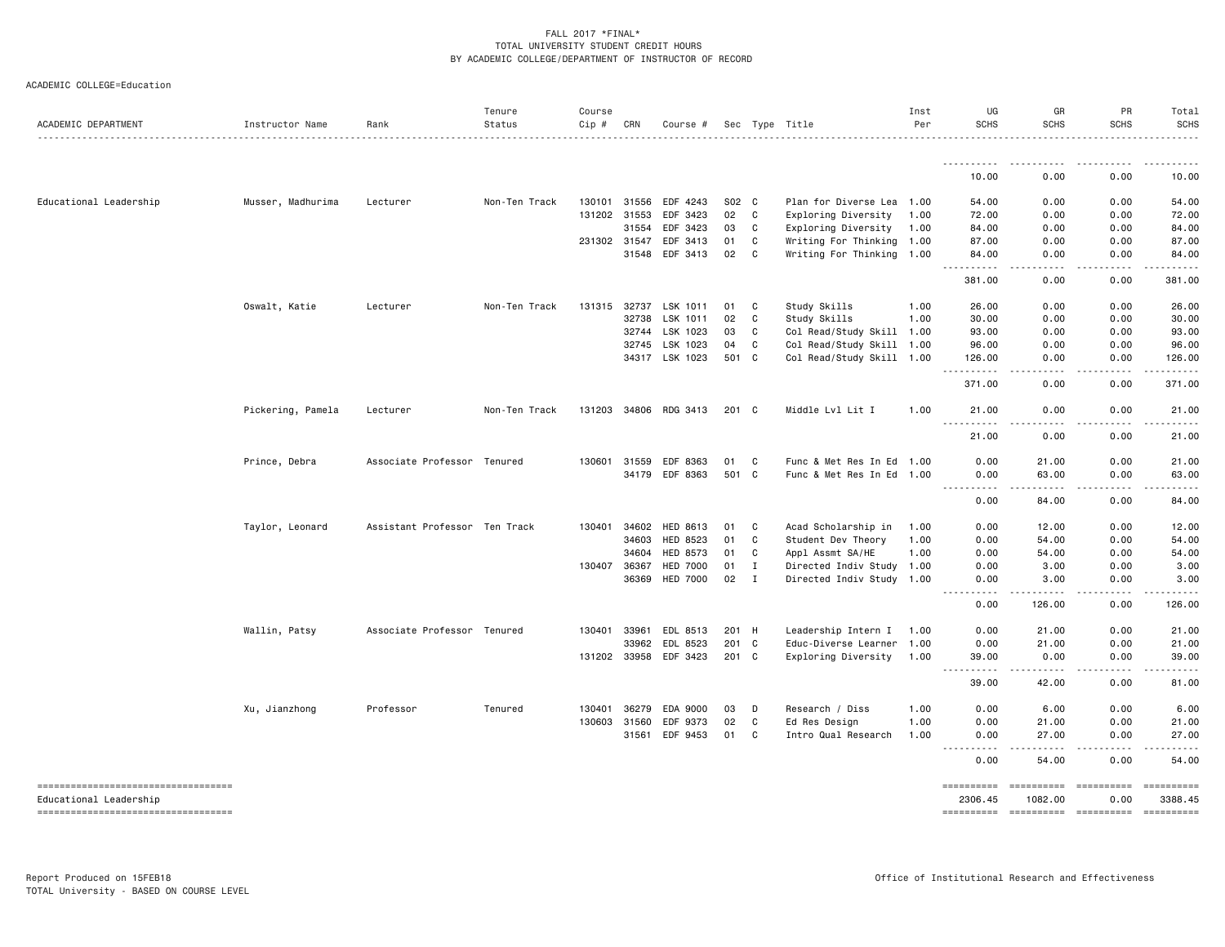|  | ACADEMIC COLLEGE=Education |
|--|----------------------------|
|--|----------------------------|

| ACADEMIC DEPARTMENT                                              | Instructor Name   | Rank                          | Tenure<br>Status | Course<br>$Cip \#$ | CRN          | Course #        |       |              | Sec Type Title            | Inst<br>Per | UG<br><b>SCHS</b>               | GR<br><b>SCHS</b>                                                                                                                                                                                                                                                                                                                                                                                                                                                                                 | PR<br><b>SCHS</b>   | Total<br><b>SCHS</b>  |
|------------------------------------------------------------------|-------------------|-------------------------------|------------------|--------------------|--------------|-----------------|-------|--------------|---------------------------|-------------|---------------------------------|---------------------------------------------------------------------------------------------------------------------------------------------------------------------------------------------------------------------------------------------------------------------------------------------------------------------------------------------------------------------------------------------------------------------------------------------------------------------------------------------------|---------------------|-----------------------|
|                                                                  |                   |                               |                  |                    |              |                 |       |              |                           |             |                                 |                                                                                                                                                                                                                                                                                                                                                                                                                                                                                                   |                     |                       |
|                                                                  |                   |                               |                  |                    |              |                 |       |              |                           |             | 10.00                           | 0.00                                                                                                                                                                                                                                                                                                                                                                                                                                                                                              | 0.00                | 10.00                 |
| Educational Leadership                                           | Musser, Madhurima | Lecturer                      | Non-Ten Track    | 130101             | 31556        | EDF 4243        | S02 C |              | Plan for Diverse Lea 1.00 |             | 54.00                           | 0.00                                                                                                                                                                                                                                                                                                                                                                                                                                                                                              | 0.00                | 54.00                 |
|                                                                  |                   |                               |                  | 131202 31553       |              | EDF 3423        | 02    | C            | Exploring Diversity       | 1.00        | 72.00                           | 0.00                                                                                                                                                                                                                                                                                                                                                                                                                                                                                              | 0.00                | 72.00                 |
|                                                                  |                   |                               |                  |                    | 31554        | EDF 3423        | 03    | C            | Exploring Diversity       | 1.00        | 84.00                           | 0.00                                                                                                                                                                                                                                                                                                                                                                                                                                                                                              | 0.00                | 84.00                 |
|                                                                  |                   |                               |                  | 231302 31547       |              | EDF 3413        | 01    | C            | Writing For Thinking      | 1.00        | 87.00                           | 0.00                                                                                                                                                                                                                                                                                                                                                                                                                                                                                              | 0.00                | 87.00                 |
|                                                                  |                   |                               |                  |                    | 31548        | EDF 3413        | 02    | C            | Writing For Thinking 1.00 |             | 84.00<br>$\cdots \cdots$        | 0.00                                                                                                                                                                                                                                                                                                                                                                                                                                                                                              | 0.00                | 84.00                 |
|                                                                  |                   |                               |                  |                    |              |                 |       |              |                           |             | 381.00                          | 0.00                                                                                                                                                                                                                                                                                                                                                                                                                                                                                              | 0.00                | 381.00                |
|                                                                  | Oswalt, Katie     | Lecturer                      | Non-Ten Track    |                    | 131315 32737 | LSK 1011        | 01    | C            | Study Skills              | 1.00        | 26.00                           | 0.00                                                                                                                                                                                                                                                                                                                                                                                                                                                                                              | 0.00                | 26.00                 |
|                                                                  |                   |                               |                  |                    | 32738        | LSK 1011        | 02    | C            | Study Skills              | 1.00        | 30.00                           | 0.00                                                                                                                                                                                                                                                                                                                                                                                                                                                                                              | 0.00                | 30.00                 |
|                                                                  |                   |                               |                  |                    | 32744        | LSK 1023        | 03    | C            | Col Read/Study Skill 1.00 |             | 93.00                           | 0.00                                                                                                                                                                                                                                                                                                                                                                                                                                                                                              | 0.00                | 93.00                 |
|                                                                  |                   |                               |                  |                    | 32745        | LSK 1023        | 04    | C            | Col Read/Study Skill 1.00 |             | 96.00                           | 0.00                                                                                                                                                                                                                                                                                                                                                                                                                                                                                              | 0.00                | 96.00                 |
|                                                                  |                   |                               |                  |                    |              | 34317 LSK 1023  | 501 C |              | Col Read/Study Skill 1.00 |             | 126.00<br><u>.</u>              | 0.00<br>.                                                                                                                                                                                                                                                                                                                                                                                                                                                                                         | 0.00<br>$- - - - -$ | 126.00<br><u>.</u>    |
|                                                                  |                   |                               |                  |                    |              |                 |       |              |                           |             | 371.00                          | 0.00                                                                                                                                                                                                                                                                                                                                                                                                                                                                                              | 0.00                | 371.00                |
|                                                                  | Pickering, Pamela | Lecturer                      | Non-Ten Track    | 131203             |              | 34806 RDG 3413  | 201 C |              | Middle Lvl Lit I          | 1.00        | 21.00<br>.                      | 0.00                                                                                                                                                                                                                                                                                                                                                                                                                                                                                              | 0.00                | 21.00                 |
|                                                                  |                   |                               |                  |                    |              |                 |       |              |                           |             | 21.00                           | 0.00                                                                                                                                                                                                                                                                                                                                                                                                                                                                                              | 0.00                | 21.00                 |
|                                                                  | Prince, Debra     | Associate Professor Tenured   |                  |                    | 130601 31559 | EDF 8363        | 01    | C.           | Func & Met Res In Ed      | 1.00        | 0.00                            | 21.00                                                                                                                                                                                                                                                                                                                                                                                                                                                                                             | 0.00                | 21.00                 |
|                                                                  |                   |                               |                  |                    |              | 34179 EDF 8363  | 501 C |              | Func & Met Res In Ed 1.00 |             | 0.00                            | 63.00                                                                                                                                                                                                                                                                                                                                                                                                                                                                                             | 0.00                | 63.00                 |
|                                                                  |                   |                               |                  |                    |              |                 |       |              |                           |             | <u>.</u><br>0.00                | .<br>84.00                                                                                                                                                                                                                                                                                                                                                                                                                                                                                        | <u>.</u><br>0.00    | .<br>84.00            |
|                                                                  | Taylor, Leonard   | Assistant Professor Ten Track |                  | 130401             | 34602        | <b>HED 8613</b> | 01    | - C          | Acad Scholarship in       | 1.00        | 0.00                            | 12.00                                                                                                                                                                                                                                                                                                                                                                                                                                                                                             | 0.00                | 12.00                 |
|                                                                  |                   |                               |                  |                    | 34603        | <b>HED 8523</b> | 01    | C            | Student Dev Theory        | 1.00        | 0.00                            | 54.00                                                                                                                                                                                                                                                                                                                                                                                                                                                                                             | 0.00                | 54.00                 |
|                                                                  |                   |                               |                  |                    | 34604        | <b>HED 8573</b> | 01    | C            | Appl Assmt SA/HE          | 1.00        | 0.00                            | 54.00                                                                                                                                                                                                                                                                                                                                                                                                                                                                                             | 0.00                | 54.00                 |
|                                                                  |                   |                               |                  | 130407             | 36367        | <b>HED 7000</b> | 01    | I            | Directed Indiv Study      | 1.00        | 0.00                            | 3.00                                                                                                                                                                                                                                                                                                                                                                                                                                                                                              | 0.00                | 3.00                  |
|                                                                  |                   |                               |                  |                    | 36369        | <b>HED 7000</b> | 02    | $\mathbf{I}$ | Directed Indiv Study 1.00 |             | 0.00<br>.<br>----               | 3.00<br>.                                                                                                                                                                                                                                                                                                                                                                                                                                                                                         | 0.00<br>.           | 3.00                  |
|                                                                  |                   |                               |                  |                    |              |                 |       |              |                           |             | 0.00                            | 126.00                                                                                                                                                                                                                                                                                                                                                                                                                                                                                            | 0.00                | 126.00                |
|                                                                  | Wallin, Patsy     | Associate Professor Tenured   |                  | 130401             | 33961        | EDL 8513        | 201 H |              | Leadership Intern I       | 1.00        | 0.00                            | 21.00                                                                                                                                                                                                                                                                                                                                                                                                                                                                                             | 0.00                | 21.00                 |
|                                                                  |                   |                               |                  |                    | 33962        | EDL 8523        | 201 C |              | Educ-Diverse Learner      | 1.00        | 0.00                            | 21.00                                                                                                                                                                                                                                                                                                                                                                                                                                                                                             | 0.00                | 21.00                 |
|                                                                  |                   |                               |                  |                    | 131202 33958 | EDF 3423        | 201 C |              | Exploring Diversity       | 1.00        | 39.00<br>$- - - - -$<br>$- - -$ | 0.00<br>.                                                                                                                                                                                                                                                                                                                                                                                                                                                                                         | 0.00<br>.           | 39.00<br>.            |
|                                                                  |                   |                               |                  |                    |              |                 |       |              |                           |             | 39.00                           | 42.00                                                                                                                                                                                                                                                                                                                                                                                                                                                                                             | 0.00                | 81.00                 |
|                                                                  | Xu, Jianzhong     | Professor                     | Tenured          | 130401             | 36279        | EDA 9000        | 03    | D            | Research / Diss           | 1.00        | 0.00                            | 6.00                                                                                                                                                                                                                                                                                                                                                                                                                                                                                              | 0.00                | 6.00                  |
|                                                                  |                   |                               |                  | 130603 31560       |              | EDF 9373        | 02    | C            | Ed Res Design             | 1.00        | 0.00                            | 21.00                                                                                                                                                                                                                                                                                                                                                                                                                                                                                             | 0.00                | 21.00                 |
|                                                                  |                   |                               |                  |                    | 31561        | EDF 9453        | 01    | C            | Intro Qual Research       | 1.00        | 0.00<br>.<br>----               | 27.00<br>$- - - - -$                                                                                                                                                                                                                                                                                                                                                                                                                                                                              | 0.00<br>.           | 27.00                 |
|                                                                  |                   |                               |                  |                    |              |                 |       |              |                           |             | 0.00                            | 54.00                                                                                                                                                                                                                                                                                                                                                                                                                                                                                             | 0.00                | 54.00                 |
| ======================================<br>Educational Leadership |                   |                               |                  |                    |              |                 |       |              |                           |             | 2306.45                         | $\begin{array}{cccccccccc} \multicolumn{2}{c}{} & \multicolumn{2}{c}{} & \multicolumn{2}{c}{} & \multicolumn{2}{c}{} & \multicolumn{2}{c}{} & \multicolumn{2}{c}{} & \multicolumn{2}{c}{} & \multicolumn{2}{c}{} & \multicolumn{2}{c}{} & \multicolumn{2}{c}{} & \multicolumn{2}{c}{} & \multicolumn{2}{c}{} & \multicolumn{2}{c}{} & \multicolumn{2}{c}{} & \multicolumn{2}{c}{} & \multicolumn{2}{c}{} & \multicolumn{2}{c}{} & \multicolumn{2}{c}{} & \multicolumn{2}{c}{} & \mult$<br>1082.00 | ==========<br>0.00  | ==========<br>3388.45 |
| -----------------------------------                              |                   |                               |                  |                    |              |                 |       |              |                           |             | ==========                      | ==========                                                                                                                                                                                                                                                                                                                                                                                                                                                                                        |                     | ==========            |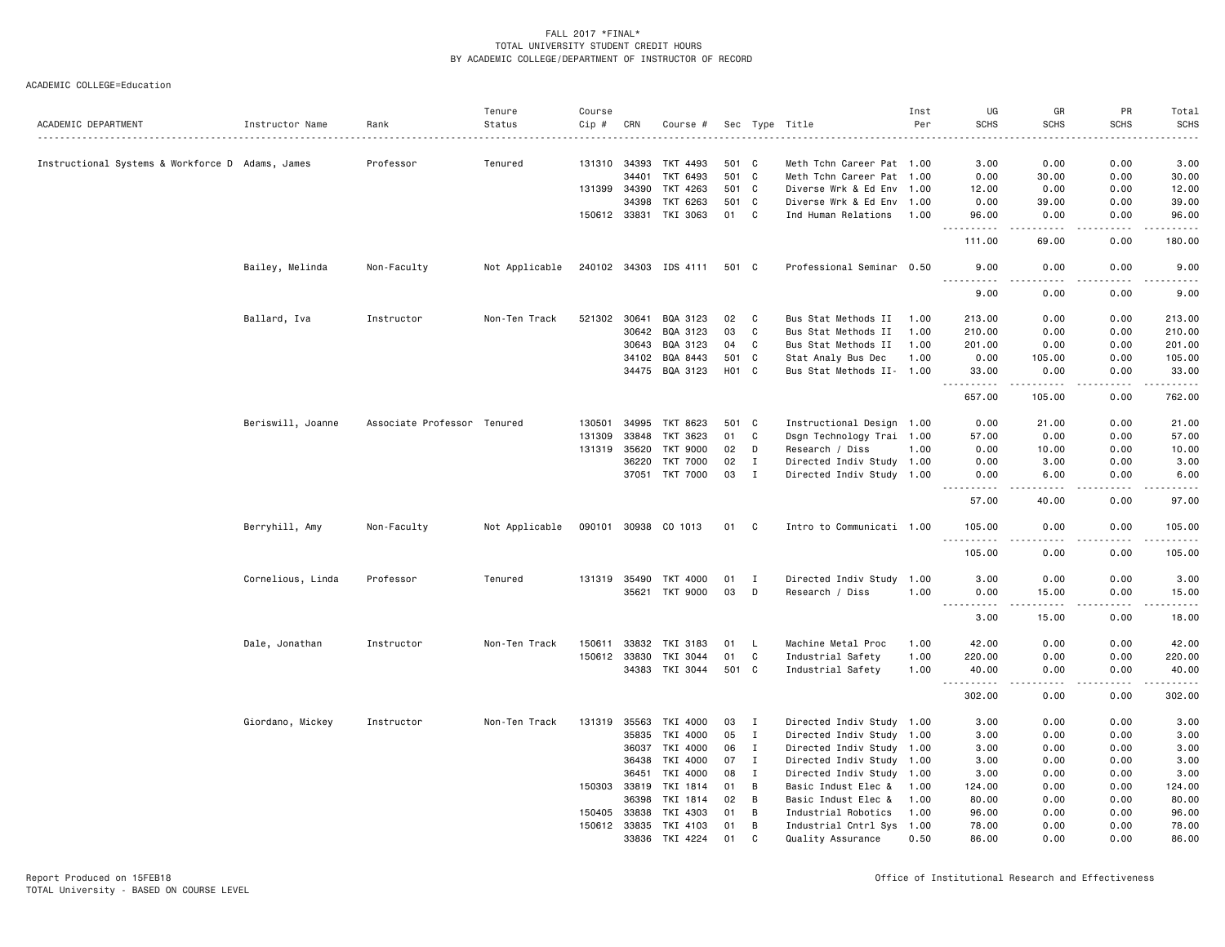|                                                  |                   |                             | Tenure         | Course |              |                       |       |              |                           | Inst | UG                         | GR              | PR              | Total                                      |
|--------------------------------------------------|-------------------|-----------------------------|----------------|--------|--------------|-----------------------|-------|--------------|---------------------------|------|----------------------------|-----------------|-----------------|--------------------------------------------|
| ACADEMIC DEPARTMENT                              | Instructor Name   | Rank                        | Status         | Cip #  | CRN          | Course #              |       |              | Sec Type Title            | Per  | <b>SCHS</b><br>$- - - - -$ | <b>SCHS</b>     | <b>SCHS</b>     | SCHS<br>.                                  |
| Instructional Systems & Workforce D Adams, James |                   | Professor                   | Tenured        |        | 131310 34393 | TKT 4493              | 501 C |              | Meth Tchn Career Pat 1.00 |      | 3.00                       | 0.00            | 0.00            | 3.00                                       |
|                                                  |                   |                             |                |        | 34401        | TKT 6493              | 501 C |              | Meth Tchn Career Pat 1.00 |      | 0.00                       | 30.00           | 0.00            | 30.00                                      |
|                                                  |                   |                             |                | 131399 | 34390        | TKT 4263              | 501 C |              | Diverse Wrk & Ed Env 1.00 |      | 12.00                      | 0.00            | 0.00            | 12.00                                      |
|                                                  |                   |                             |                |        | 34398        | TKT 6263              | 501 C |              | Diverse Wrk & Ed Env 1.00 |      | 0.00                       | 39.00           | 0.00            | 39.00                                      |
|                                                  |                   |                             |                |        | 150612 33831 | TKI 3063              | 01 C  |              | Ind Human Relations 1.00  |      | 96.00                      | 0.00            | 0.00            | 96.00                                      |
|                                                  |                   |                             |                |        |              |                       |       |              |                           |      | 111.00                     | 69.00           | 0.00            | 180.00                                     |
|                                                  | Bailey, Melinda   | Non-Faculty                 | Not Applicable |        |              | 240102 34303 IDS 4111 | 501 C |              | Professional Seminar 0.50 |      | 9.00<br>.                  | 0.00<br>د د د د | 0.00<br>.       | 9.00<br>$\sim$ $\sim$ $\sim$ $\sim$ $\sim$ |
|                                                  |                   |                             |                |        |              |                       |       |              |                           |      | 9.00                       | 0.00            | 0.00            | 9.00                                       |
|                                                  | Ballard, Iva      | Instructor                  | Non-Ten Track  | 521302 | 30641        | BQA 3123              | 02    | C            | Bus Stat Methods II       | 1.00 | 213.00                     | 0.00            | 0.00            | 213.00                                     |
|                                                  |                   |                             |                |        | 30642        | BQA 3123              | 03    | C            | Bus Stat Methods II       | 1.00 | 210.00                     | 0.00            | 0.00            | 210.00                                     |
|                                                  |                   |                             |                |        | 30643        | BQA 3123              | 04    | C            | Bus Stat Methods II       | 1.00 | 201.00                     | 0.00            | 0.00            | 201.00                                     |
|                                                  |                   |                             |                |        | 34102        | BQA 8443              | 501   | C            | Stat Analy Bus Dec        | 1.00 | 0.00                       | 105.00          | 0.00            | 105.00                                     |
|                                                  |                   |                             |                |        |              | 34475 BQA 3123        | H01 C |              | Bus Stat Methods II- 1.00 |      | 33.00<br>.                 | 0.00            | 0.00<br>د د د د | 33.00<br>.                                 |
|                                                  |                   |                             |                |        |              |                       |       |              |                           |      | 657.00                     | 105.00          | 0.00            | 762.00                                     |
|                                                  | Beriswill, Joanne | Associate Professor Tenured |                | 130501 | 34995        | TKT 8623              | 501 C |              | Instructional Design 1.00 |      | 0.00                       | 21.00           | 0.00            | 21.00                                      |
|                                                  |                   |                             |                | 131309 | 33848        | TKT 3623              | 01    | C            | Dsgn Technology Trai 1.00 |      | 57.00                      | 0.00            | 0.00            | 57.00                                      |
|                                                  |                   |                             |                | 131319 | 35620        | <b>TKT 9000</b>       | 02    | D            | Research / Diss           | 1.00 | 0.00                       | 10.00           | 0.00            | 10.00                                      |
|                                                  |                   |                             |                |        | 36220        | <b>TKT 7000</b>       | 02    | $\mathbf I$  | Directed Indiv Study 1.00 |      | 0.00                       | 3.00            | 0.00            | 3.00                                       |
|                                                  |                   |                             |                |        | 37051        | TKT 7000              | 03    | $\mathbf I$  | Directed Indiv Study 1.00 |      | 0.00                       | 6.00            | 0.00            | 6.00                                       |
|                                                  |                   |                             |                |        |              |                       |       |              |                           |      | .<br>57.00                 | .<br>40.00      | .<br>0.00       | .<br>97.00                                 |
|                                                  | Berryhill, Amy    | Non-Faculty                 | Not Applicable |        |              | 090101 30938 CO 1013  | 01    | C.           | Intro to Communicati 1.00 |      | 105.00                     | 0.00            | 0.00            | 105.00                                     |
|                                                  |                   |                             |                |        |              |                       |       |              |                           |      | .<br>105.00                | 0.00            | 0.00            | 105.00                                     |
|                                                  | Cornelious, Linda | Professor                   | Tenured        |        | 131319 35490 | <b>TKT 4000</b>       | 01    | Ι            | Directed Indiv Study 1.00 |      | 3.00                       | 0.00            | 0.00            | 3.00                                       |
|                                                  |                   |                             |                |        | 35621        | TKT 9000              | 03    | D            | Research / Diss           | 1.00 | 0.00                       | 15.00           | 0.00            | 15.00                                      |
|                                                  |                   |                             |                |        |              |                       |       |              |                           |      | <u>.</u>                   | .               | <u>.</u>        | .                                          |
|                                                  |                   |                             |                |        |              |                       |       |              |                           |      | 3.00                       | 15.00           | 0.00            | 18.00                                      |
|                                                  | Dale, Jonathan    | Instructor                  | Non-Ten Track  | 150611 | 33832        | TKI 3183              | 01    | $\mathsf{L}$ | Machine Metal Proc        | 1.00 | 42.00                      | 0.00            | 0.00            | 42.00                                      |
|                                                  |                   |                             |                |        | 150612 33830 | TKI 3044              | 01    | C            | Industrial Safety         | 1.00 | 220.00                     | 0.00            | 0.00            | 220.00                                     |
|                                                  |                   |                             |                |        | 34383        | TKI 3044              | 501 C |              | Industrial Safety         | 1.00 | 40.00                      | 0.00            | 0.00            | 40.00                                      |
|                                                  |                   |                             |                |        |              |                       |       |              |                           |      | 302.00                     | 0.00            | 0.00            | 302.00                                     |
|                                                  | Giordano, Mickey  | Instructor                  | Non-Ten Track  | 131319 | 35563        | TKI 4000              | 03    | $\mathbf I$  | Directed Indiv Study 1.00 |      | 3.00                       | 0.00            | 0.00            | 3.00                                       |
|                                                  |                   |                             |                |        | 35835        | TKI 4000              | 05    | Ι.           | Directed Indiv Study 1.00 |      | 3.00                       | 0.00            | 0.00            | 3.00                                       |
|                                                  |                   |                             |                |        | 36037        | TKI 4000              | 06    | $\mathbf{I}$ | Directed Indiv Study 1.00 |      | 3.00                       | 0.00            | 0.00            | 3.00                                       |
|                                                  |                   |                             |                |        | 36438        | TKI 4000              | 07    | $\mathbf I$  | Directed Indiv Study 1.00 |      | 3.00                       | 0.00            | 0.00            | 3.00                                       |
|                                                  |                   |                             |                |        | 36451        | TKI 4000              | 08    | $\mathbf{I}$ | Directed Indiv Study 1.00 |      | 3.00                       | 0.00            | 0.00            | 3.00                                       |
|                                                  |                   |                             |                | 150303 | 33819        | TKI 1814              | 01    | В            | Basic Indust Elec &       | 1.00 | 124.00                     | 0.00            | 0.00            | 124.00                                     |
|                                                  |                   |                             |                |        | 36398        | TKI 1814              | 02    | B            | Basic Indust Elec &       | 1.00 | 80.00                      | 0.00            | 0.00            | 80.00                                      |
|                                                  |                   |                             |                | 150405 | 33838        | TKI 4303              | 01    | В            | Industrial Robotics       | 1.00 | 96.00                      | 0.00            | 0.00            | 96.00                                      |
|                                                  |                   |                             |                |        | 150612 33835 | TKI 4103              | 01    | В            | Industrial Cntrl Sys 1.00 |      | 78.00                      | 0.00            | 0.00            | 78.00                                      |
|                                                  |                   |                             |                |        | 33836        | TKI 4224              | 01    | C.           | Quality Assurance         | 0.50 | 86.00                      | 0.00            | 0.00            | 86.00                                      |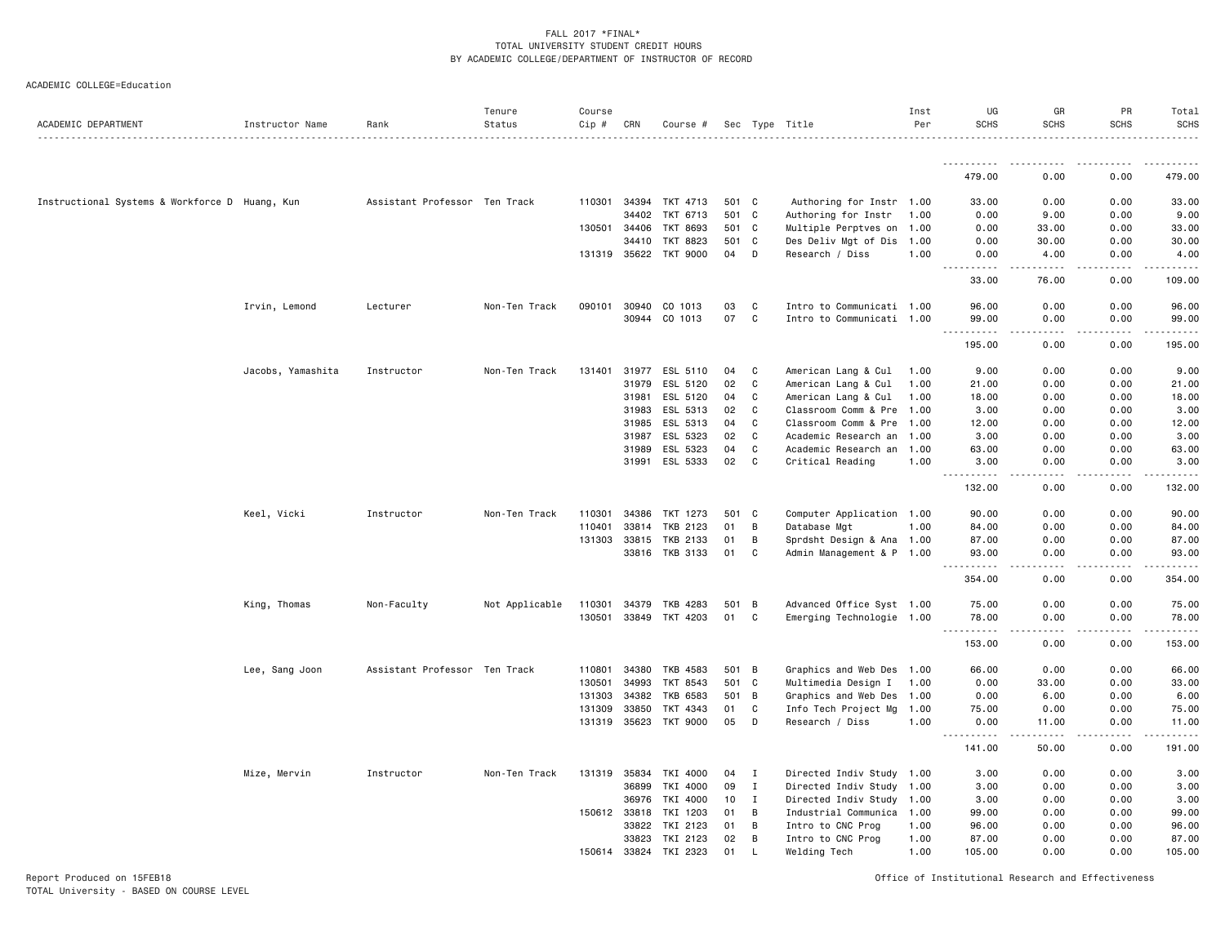| ACADEMIC DEPARTMENT                            | Instructor Name   | Rank                          | Tenure<br>Status | Course<br>Cip # | CRN            | Course #              |          |                | Sec Type Title                              | Inst<br>Per  | UG<br><b>SCHS</b>                                                                                                                                              | GR<br><b>SCHS</b> | PR<br><b>SCHS</b> | Total<br><b>SCHS</b>  |
|------------------------------------------------|-------------------|-------------------------------|------------------|-----------------|----------------|-----------------------|----------|----------------|---------------------------------------------|--------------|----------------------------------------------------------------------------------------------------------------------------------------------------------------|-------------------|-------------------|-----------------------|
|                                                |                   |                               |                  |                 |                |                       |          |                |                                             |              | .                                                                                                                                                              |                   |                   |                       |
|                                                |                   |                               |                  |                 |                |                       |          |                |                                             |              | 479.00                                                                                                                                                         | 0.00              | 0.00              | 479.00                |
| Instructional Systems & Workforce D Huang, Kun |                   | Assistant Professor Ten Track |                  | 110301          | 34394          | TKT 4713              | 501 C    |                | Authoring for Instr 1.00                    |              | 33.00                                                                                                                                                          | 0.00              | 0.00              | 33.00                 |
|                                                |                   |                               |                  |                 | 34402          | TKT 6713              | 501 C    |                | Authoring for Instr                         | 1.00         | 0.00                                                                                                                                                           | 9.00              | 0.00              | 9.00                  |
|                                                |                   |                               |                  | 130501          | 34406          | <b>TKT 8693</b>       | 501 C    |                | Multiple Perptves on                        | 1.00         | 0.00                                                                                                                                                           | 33.00             | 0.00              | 33.00                 |
|                                                |                   |                               |                  |                 | 34410          | TKT 8823              | 501 C    |                | Des Deliv Mgt of Dis                        | 1.00         | 0.00                                                                                                                                                           | 30.00             | 0.00              | 30.00                 |
|                                                |                   |                               |                  |                 |                | 131319 35622 TKT 9000 | 04       | D              | Research / Diss                             | 1.00         | 0.00<br>.                                                                                                                                                      | 4.00<br>-----     | 0.00<br>.         | 4.00<br>$\frac{1}{2}$ |
|                                                |                   |                               |                  |                 |                |                       |          |                |                                             |              | 33.00                                                                                                                                                          | 76.00             | 0.00              | 109.00                |
|                                                | Irvin, Lemond     | Lecturer                      | Non-Ten Track    | 090101          | 30940          | CO 1013               | 03       | C              | Intro to Communicati 1.00                   |              | 96.00                                                                                                                                                          | 0.00              | 0.00              | 96.00                 |
|                                                |                   |                               |                  |                 | 30944          | CO 1013               | 07       | C              | Intro to Communicati 1.00                   |              | 99.00                                                                                                                                                          | 0.00              | 0.00              | 99.00                 |
|                                                |                   |                               |                  |                 |                |                       |          |                |                                             |              | .<br>$  -$<br>195.00                                                                                                                                           | د د د د<br>0.00   | <b>.</b><br>0.00  | .<br>195.00           |
|                                                |                   |                               |                  |                 |                |                       |          |                |                                             |              |                                                                                                                                                                |                   |                   |                       |
|                                                | Jacobs, Yamashita | Instructor                    | Non-Ten Track    | 131401          | 31977          | ESL 5110              | 04       | C              | American Lang & Cul                         | 1.00         | 9.00                                                                                                                                                           | 0.00              | 0.00              | 9.00                  |
|                                                |                   |                               |                  |                 | 31979<br>31981 | ESL 5120              | 02<br>04 | C<br>C         | American Lang & Cul                         | 1.00         | 21.00                                                                                                                                                          | 0.00<br>0.00      | 0.00              | 21.00                 |
|                                                |                   |                               |                  |                 | 31983          | ESL 5120<br>ESL 5313  | 02       | C              | American Lang & Cul<br>Classroom Comm & Pre | 1.00<br>1.00 | 18.00<br>3.00                                                                                                                                                  | 0.00              | 0.00<br>0.00      | 18.00<br>3.00         |
|                                                |                   |                               |                  |                 | 31985          | ESL 5313              | 04       | C              | Classroom Comm & Pre                        | 1.00         | 12.00                                                                                                                                                          | 0.00              | 0.00              | 12.00                 |
|                                                |                   |                               |                  |                 | 31987          | ESL 5323              | 02       | C              | Academic Research an                        | 1.00         | 3.00                                                                                                                                                           | 0.00              | 0.00              | 3.00                  |
|                                                |                   |                               |                  |                 | 31989          | ESL 5323              | 04       | C              | Academic Research an                        | 1.00         | 63.00                                                                                                                                                          | 0.00              | 0.00              | 63.00                 |
|                                                |                   |                               |                  |                 | 31991          | ESL 5333              | 02       | $\mathtt{C}$   | Critical Reading                            | 1.00         | 3.00                                                                                                                                                           | 0.00              | 0.00              | 3.00                  |
|                                                |                   |                               |                  |                 |                |                       |          |                |                                             |              | $\frac{1}{2} \left( \frac{1}{2} \right) \left( \frac{1}{2} \right) \left( \frac{1}{2} \right) \left( \frac{1}{2} \right) \left( \frac{1}{2} \right)$<br>132.00 | .<br>0.00         | .<br>0.00         | <u>.</u><br>132.00    |
|                                                | Keel, Vicki       | Instructor                    | Non-Ten Track    | 110301          | 34386          | TKT 1273              | 501      | $\mathbf{C}$   | Computer Application 1.00                   |              | 90.00                                                                                                                                                          | 0.00              | 0.00              | 90.00                 |
|                                                |                   |                               |                  | 110401          | 33814          | TKB 2123              | 01       | B              | Database Mgt                                | 1.00         | 84.00                                                                                                                                                          | 0.00              | 0.00              | 84.00                 |
|                                                |                   |                               |                  |                 | 131303 33815   | TKB 2133              | 01       | В              | Sprdsht Design & Ana 1.00                   |              | 87.00                                                                                                                                                          | 0.00              | 0.00              | 87.00                 |
|                                                |                   |                               |                  |                 |                | 33816 TKB 3133        | 01       | C              | Admin Management & P 1.00                   |              | 93.00                                                                                                                                                          | 0.00              | 0.00              | 93.00                 |
|                                                |                   |                               |                  |                 |                |                       |          |                |                                             |              | 354.00                                                                                                                                                         | .<br>0.00         | <b>.</b><br>0.00  | . <b>.</b><br>354.00  |
|                                                | King, Thomas      | Non-Faculty                   | Not Applicable   | 110301          | 34379          | TKB 4283              | 501      | $\overline{B}$ | Advanced Office Syst 1.00                   |              | 75.00                                                                                                                                                          | 0.00              | 0.00              | 75.00                 |
|                                                |                   |                               |                  | 130501          |                | 33849 TKT 4203        | 01       | C              | Emerging Technologie 1.00                   |              | 78.00                                                                                                                                                          | 0.00              | 0.00              | 78.00                 |
|                                                |                   |                               |                  |                 |                |                       |          |                |                                             |              | .<br>$\sim$ $\sim$ $\sim$<br>153.00                                                                                                                            | .<br>0.00         | -----<br>0.00     | .<br>153.00           |
|                                                | Lee, Sang Joon    | Assistant Professor           | Ten Track        | 110801          | 34380          | TKB 4583              | 501 B    |                | Graphics and Web Des 1.00                   |              | 66.00                                                                                                                                                          | 0.00              | 0.00              | 66.00                 |
|                                                |                   |                               |                  | 130501          | 34993          | TKT 8543              | 501 C    |                | Multimedia Design I                         | 1.00         | 0.00                                                                                                                                                           | 33.00             | 0.00              | 33.00                 |
|                                                |                   |                               |                  | 131303          | 34382          | <b>TKB 6583</b>       | 501 B    |                | Graphics and Web Des                        | 1.00         | 0.00                                                                                                                                                           | 6.00              | 0.00              | 6.00                  |
|                                                |                   |                               |                  | 131309 33850    |                | TKT 4343              | 01       | C              | Info Tech Project Mg                        | 1.00         | 75.00                                                                                                                                                          | 0.00              | 0.00              | 75.00                 |
|                                                |                   |                               |                  |                 |                | 131319 35623 TKT 9000 | 05       | D              | Research / Diss                             | 1.00         | 0.00<br>.                                                                                                                                                      | 11.00<br>.        | 0.00<br>.         | 11.00<br>.            |
|                                                |                   |                               |                  |                 |                |                       |          |                |                                             |              | 141.00                                                                                                                                                         | 50.00             | 0.00              | 191.00                |
|                                                | Mize, Mervin      | Instructor                    | Non-Ten Track    |                 | 131319 35834   | TKI 4000              | 04       | Ι.             | Directed Indiv Study 1.00                   |              | 3.00                                                                                                                                                           | 0.00              | 0.00              | 3.00                  |
|                                                |                   |                               |                  |                 | 36899          | TKI 4000              | 09       | $\mathbf I$    | Directed Indiv Study 1.00                   |              | 3.00                                                                                                                                                           | 0.00              | 0.00              | 3.00                  |
|                                                |                   |                               |                  |                 | 36976          | TKI 4000              | 10       | Ι.             | Directed Indiv Study                        | 1.00         | 3.00                                                                                                                                                           | 0.00              | 0.00              | 3.00                  |
|                                                |                   |                               |                  | 150612 33818    |                | TKI 1203              | 01       | В              | Industrial Communica                        | 1.00         | 99.00                                                                                                                                                          | 0.00              | 0.00              | 99.00                 |
|                                                |                   |                               |                  |                 | 33822          | TKI 2123              | 01       | B              | Intro to CNC Prog                           | 1.00         | 96.00                                                                                                                                                          | 0.00              | 0.00              | 96.00                 |
|                                                |                   |                               |                  |                 | 33823          | TKI 2123              | 02       | В              | Intro to CNC Prog                           | 1.00         | 87.00                                                                                                                                                          | 0.00              | 0.00              | 87.00                 |
|                                                |                   |                               |                  | 150614          |                | 33824 TKI 2323        | 01       | L              | Welding Tech                                | 1.00         | 105.00                                                                                                                                                         | 0.00              | 0.00              | 105.00                |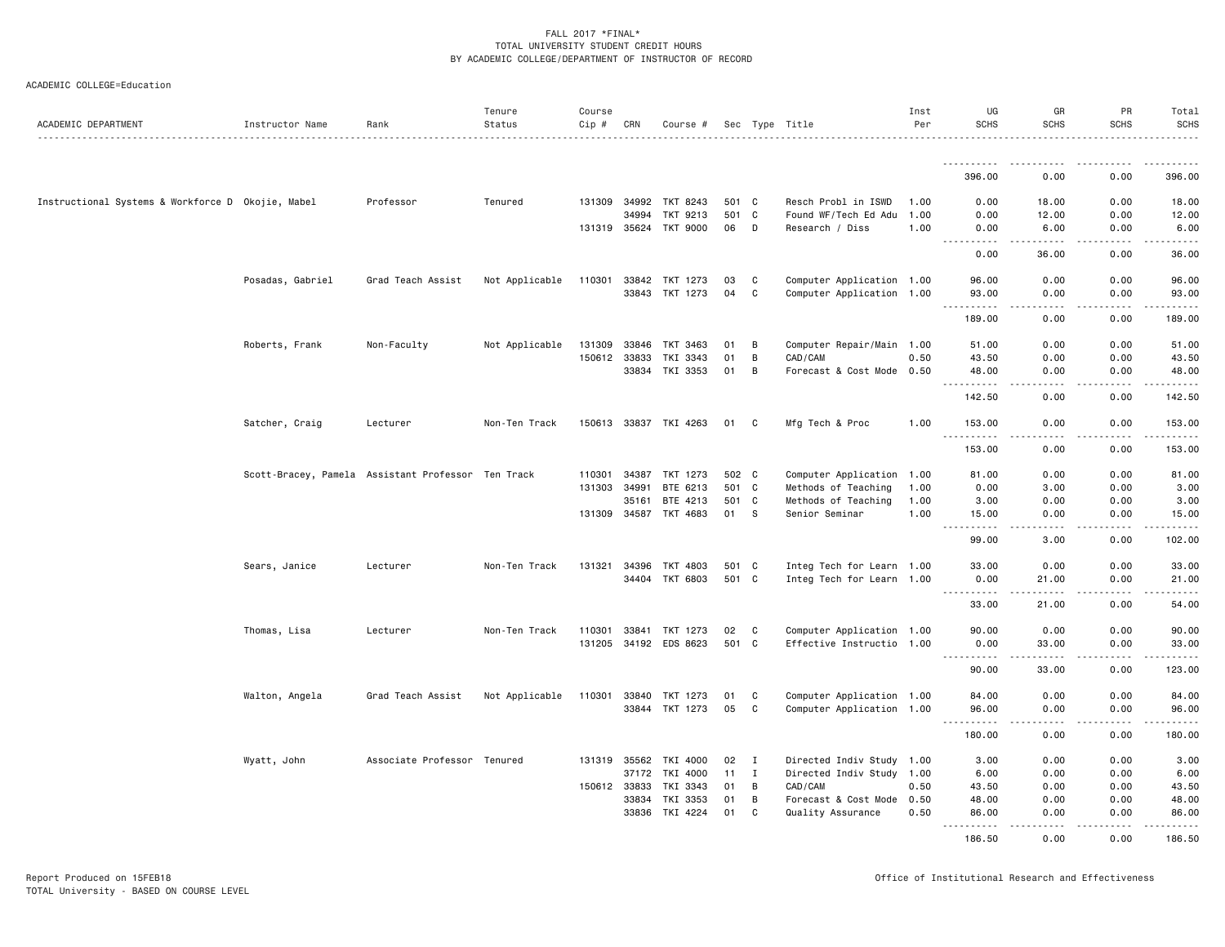| ACADEMIC DEPARTMENT                               | Instructor Name                                    | Rank                        | Tenure<br>Status | Course<br>Cip # | CRN          | Course #              |       |              | Sec Type Title            | Inst<br>Per | UG<br><b>SCHS</b>                  | GR<br><b>SCHS</b>                   | PR<br>SCHS       | Total<br><b>SCHS</b>     |
|---------------------------------------------------|----------------------------------------------------|-----------------------------|------------------|-----------------|--------------|-----------------------|-------|--------------|---------------------------|-------------|------------------------------------|-------------------------------------|------------------|--------------------------|
|                                                   |                                                    |                             | . <u>.</u> .     |                 |              |                       |       |              |                           |             |                                    |                                     |                  | . <u>.</u> .             |
|                                                   |                                                    |                             |                  |                 |              |                       |       |              |                           |             | 396.00                             | 0.00                                | 0.00             | 396.00                   |
| Instructional Systems & Workforce D Okojie, Mabel |                                                    | Professor                   | Tenured          |                 | 131309 34992 | TKT 8243              | 501 C |              | Resch Probl in ISWD       | 1.00        | 0.00                               | 18.00                               | 0.00             | 18.00                    |
|                                                   |                                                    |                             |                  |                 | 34994        | TKT 9213              | 501 C |              | Found WF/Tech Ed Adu      | 1.00        | 0.00                               | 12.00                               | 0.00             | 12.00                    |
|                                                   |                                                    |                             |                  |                 |              | 131319 35624 TKT 9000 | 06    | D            | Research / Diss           | 1.00        | 0.00<br>$- - -$<br>.               | 6.00<br>.                           | 0.00             | 6.00<br>.                |
|                                                   |                                                    |                             |                  |                 |              |                       |       |              |                           |             | 0.00                               | 36.00                               | 0.00             | 36.00                    |
|                                                   | Posadas, Gabriel                                   | Grad Teach Assist           | Not Applicable   | 110301 33842    |              | TKT 1273              | 03    | C            | Computer Application 1.00 |             | 96.00                              | 0.00                                | 0.00             | 96.00                    |
|                                                   |                                                    |                             |                  |                 | 33843        | TKT 1273              | 04    | C            | Computer Application 1.00 |             | 93.00<br>.<br>$\sim$ $\sim$ $\sim$ | 0.00<br>د د د د                     | 0.00<br><b>.</b> | 93.00<br><u>.</u>        |
|                                                   |                                                    |                             |                  |                 |              |                       |       |              |                           |             | 189.00                             | 0.00                                | 0.00             | 189.00                   |
|                                                   | Roberts, Frank                                     | Non-Faculty                 | Not Applicable   | 131309          | 33846        | TKT 3463              | 01    | B            | Computer Repair/Main 1.00 |             | 51.00                              | 0.00                                | 0.00             | 51.00                    |
|                                                   |                                                    |                             |                  |                 | 150612 33833 | TKI 3343              | 01    | B            | CAD/CAM                   | 0.50        | 43.50                              | 0.00                                | 0.00             | 43.50                    |
|                                                   |                                                    |                             |                  |                 | 33834        | TKI 3353              | 01    | B            | Forecast & Cost Mode 0.50 |             | 48.00<br>.                         | 0.00<br>$\sim$ $\sim$ $\sim$        | 0.00<br>بالمحاد  | 48.00<br>-----           |
|                                                   |                                                    |                             |                  |                 |              |                       |       |              |                           |             | 142.50                             | 0.00                                | 0.00             | 142.50                   |
|                                                   | Satcher, Craig                                     | Lecturer                    | Non-Ten Track    |                 |              | 150613 33837 TKI 4263 | 01    | $\mathbf{C}$ | Mfg Tech & Proc           | 1.00        | 153.00                             | 0.00                                | 0.00             | 153.00                   |
|                                                   |                                                    |                             |                  |                 |              |                       |       |              |                           |             | .<br>153.00                        | .<br>0.00                           | .<br>0.00        | وعاماتها ماليا<br>153.00 |
|                                                   | Scott-Bracey, Pamela Assistant Professor Ten Track |                             |                  | 110301          | 34387        | TKT 1273              | 502 C |              | Computer Application 1.00 |             | 81.00                              | 0.00                                | 0.00             | 81.00                    |
|                                                   |                                                    |                             |                  | 131303 34991    |              | BTE 6213              | 501 C |              | Methods of Teaching       | 1.00        | 0.00                               | 3.00                                | 0.00             | 3.00                     |
|                                                   |                                                    |                             |                  |                 | 35161        | BTE 4213              | 501 C |              | Methods of Teaching       | 1.00        | 3.00                               | 0.00                                | 0.00             | 3.00                     |
|                                                   |                                                    |                             |                  |                 | 131309 34587 | TKT 4683              | 01    | <b>S</b>     | Senior Seminar            | 1.00        | 15.00                              | 0.00                                | 0.00             | 15.00                    |
|                                                   |                                                    |                             |                  |                 |              |                       |       |              |                           |             | .<br>99.00                         | $\sim$ $\sim$ $\sim$ $\sim$<br>3.00 | .<br>0.00        | .<br>102.00              |
|                                                   | Sears, Janice                                      | Lecturer                    | Non-Ten Track    |                 | 131321 34396 | TKT 4803              | 501 C |              | Integ Tech for Learn 1.00 |             | 33.00                              | 0.00                                | 0.00             | 33.00                    |
|                                                   |                                                    |                             |                  |                 | 34404        | TKT 6803              | 501 C |              | Integ Tech for Learn 1.00 |             | 0.00                               | 21.00                               | 0.00             | 21.00                    |
|                                                   |                                                    |                             |                  |                 |              |                       |       |              |                           |             | .<br>33.00                         | $- - -$<br>21.00                    | 0.00             | 54.00                    |
|                                                   | Thomas, Lisa                                       | Lecturer                    | Non-Ten Track    | 110301 33841    |              | TKT 1273              | 02    | C            | Computer Application 1.00 |             | 90.00                              | 0.00                                | 0.00             | 90.00                    |
|                                                   |                                                    |                             |                  |                 |              | 131205 34192 EDS 8623 | 501 C |              | Effective Instructio 1.00 |             | 0.00                               | 33.00                               | 0.00             | 33.00                    |
|                                                   |                                                    |                             |                  |                 |              |                       |       |              |                           |             | 90.00                              | 33.00                               | .<br>0.00        | .<br>123.00              |
|                                                   |                                                    |                             |                  |                 |              |                       |       |              |                           |             |                                    |                                     |                  |                          |
|                                                   | Walton, Angela                                     | Grad Teach Assist           | Not Applicable   | 110301          | 33840        | TKT 1273              | 01    | C            | Computer Application 1.00 |             | 84.00                              | 0.00                                | 0.00             | 84.00                    |
|                                                   |                                                    |                             |                  |                 | 33844        | TKT 1273              | 05    | C            | Computer Application 1.00 |             | 96.00<br>.                         | 0.00<br>. <u>. .</u>                | 0.00<br>.        | 96.00<br>.               |
|                                                   |                                                    |                             |                  |                 |              |                       |       |              |                           |             | 180.00                             | 0.00                                | 0.00             | 180.00                   |
|                                                   | Wyatt, John                                        | Associate Professor Tenured |                  |                 | 131319 35562 | TKI 4000              | 02    | $\mathbf{I}$ | Directed Indiv Study 1.00 |             | 3.00                               | 0.00                                | 0.00             | 3.00                     |
|                                                   |                                                    |                             |                  |                 | 37172        | TKI 4000              | 11    | $\mathbf{I}$ | Directed Indiv Study 1.00 |             | 6.00                               | 0.00                                | 0.00             | 6.00                     |
|                                                   |                                                    |                             |                  |                 | 150612 33833 | TKI 3343              | 01    | B            | CAD/CAM                   | 0.50        | 43.50                              | 0.00                                | 0.00             | 43.50                    |
|                                                   |                                                    |                             |                  |                 | 33834        | TKI 3353              | 01    | B            | Forecast & Cost Mode 0.50 |             | 48.00                              | 0.00                                | 0.00             | 48.00                    |
|                                                   |                                                    |                             |                  |                 | 33836        | TKI 4224              | 01    | C            | Quality Assurance         | 0.50        | 86.00                              | 0.00<br>.                           | 0.00             | 86.00                    |
|                                                   |                                                    |                             |                  |                 |              |                       |       |              |                           |             | 186.50                             | 0.00                                | 0.00             | 186.50                   |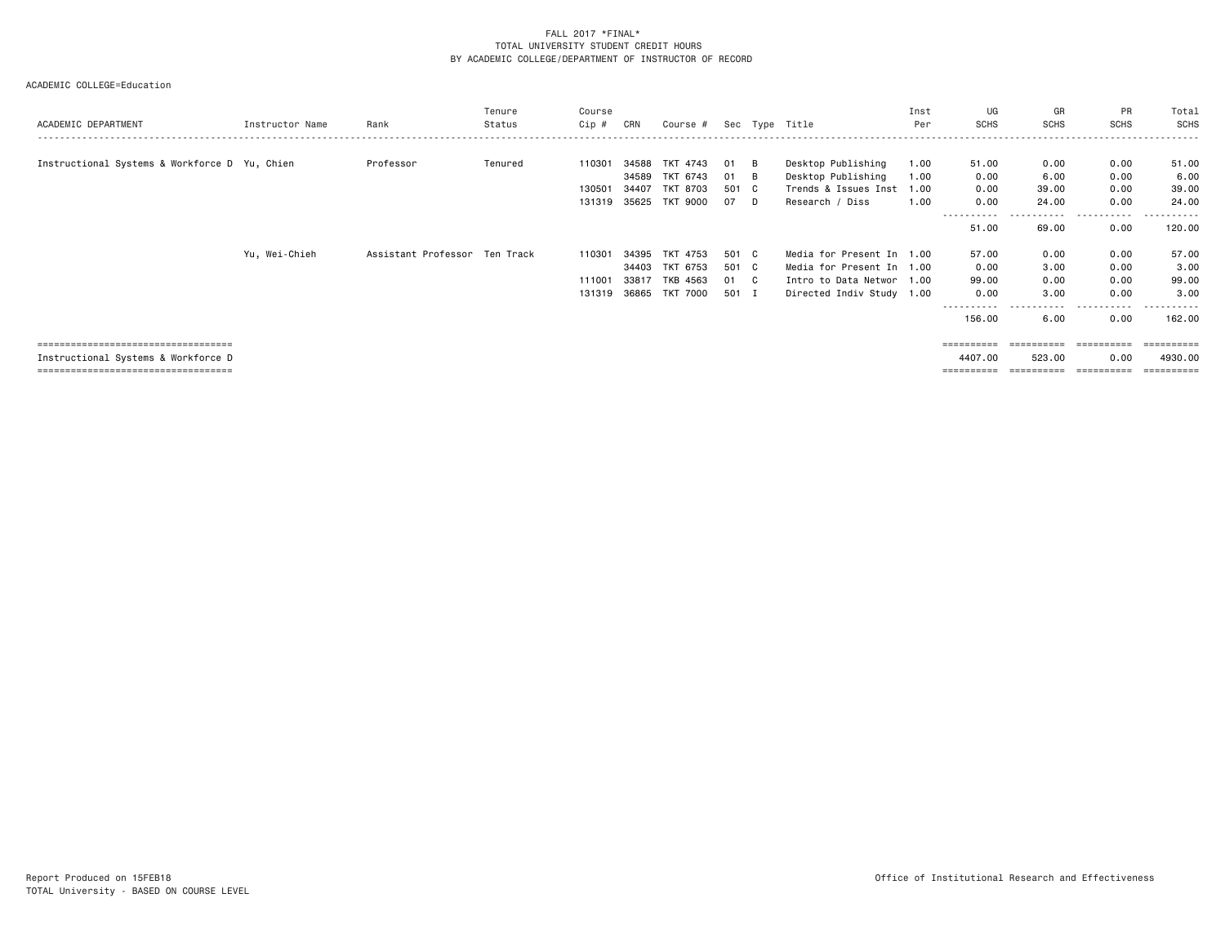ACADEMIC COLLEGE=Education

| ACADEMIC DEPARTMENT                           | Instructor Name | Rank                          | Tenure<br>Status | Course<br>Cip # | CRN   | Course #              |       |     | Sec Type Title            | Inst<br>Per | UG<br><b>SCHS</b> | GR<br><b>SCHS</b> | PR<br>SCHS  | Total<br><b>SCHS</b> |
|-----------------------------------------------|-----------------|-------------------------------|------------------|-----------------|-------|-----------------------|-------|-----|---------------------------|-------------|-------------------|-------------------|-------------|----------------------|
|                                               |                 |                               |                  |                 |       |                       |       |     |                           |             |                   |                   |             |                      |
| Instructional Systems & Workforce D Yu, Chien |                 | Professor                     | Tenured          | 110301          |       | 34588 TKT 4743        | 01    | B   | Desktop Publishing        | 1.00        | 51.00             | 0.00              | 0.00        | 51.00                |
|                                               |                 |                               |                  |                 | 34589 | TKT 6743              | 01    | - в | Desktop Publishing        | 1.00        | 0.00              | 6.00              | 0.00        | 6.00                 |
|                                               |                 |                               |                  | 130501          | 34407 | TKT 8703              | 501 C |     | Trends & Issues Inst 1.00 |             | 0.00              | 39.00             | 0.00        | 39.00                |
|                                               |                 |                               |                  |                 |       | 131319 35625 TKT 9000 | 07    | D   | Research / Diss           | 1.00        | 0.00              | 24.00             | 0.00        | 24.00                |
|                                               |                 |                               |                  |                 |       |                       |       |     |                           |             | 51.00             | 69.00             | 0.00        | 120.00               |
|                                               | Yu, Wei-Chieh   | Assistant Professor Ten Track |                  | 110301          | 34395 | TKT 4753              | 501 C |     | Media for Present In 1.00 |             | 57.00             | 0.00              | 0.00        | 57.00                |
|                                               |                 |                               |                  |                 | 34403 | TKT 6753              | 501 C |     | Media for Present In 1.00 |             | 0.00              | 3.00              | 0.00        | 3.00                 |
|                                               |                 |                               |                  | 111001          | 33817 | TKB 4563              | 01 C  |     | Intro to Data Networ 1.00 |             | 99.00             | 0.00              | 0.00        | 99.00                |
|                                               |                 |                               |                  | 131319          |       | 36865 TKT 7000        | 501 I |     | Directed Indiv Study 1.00 |             | 0.00              | 3,00              | 0.00        | 3,00                 |
|                                               |                 |                               |                  |                 |       |                       |       |     |                           |             |                   |                   |             | -------              |
|                                               |                 |                               |                  |                 |       |                       |       |     |                           |             | 156.00            | 6.00              | 0.00        | 162.00               |
| =====================================         |                 |                               |                  |                 |       |                       |       |     |                           |             | ==========        | -----------       | ----------- | -----------          |

 Instructional Systems & Workforce D 4407.00 523.00 0.00 4930.00 =================================== ========== ========== ========== ==========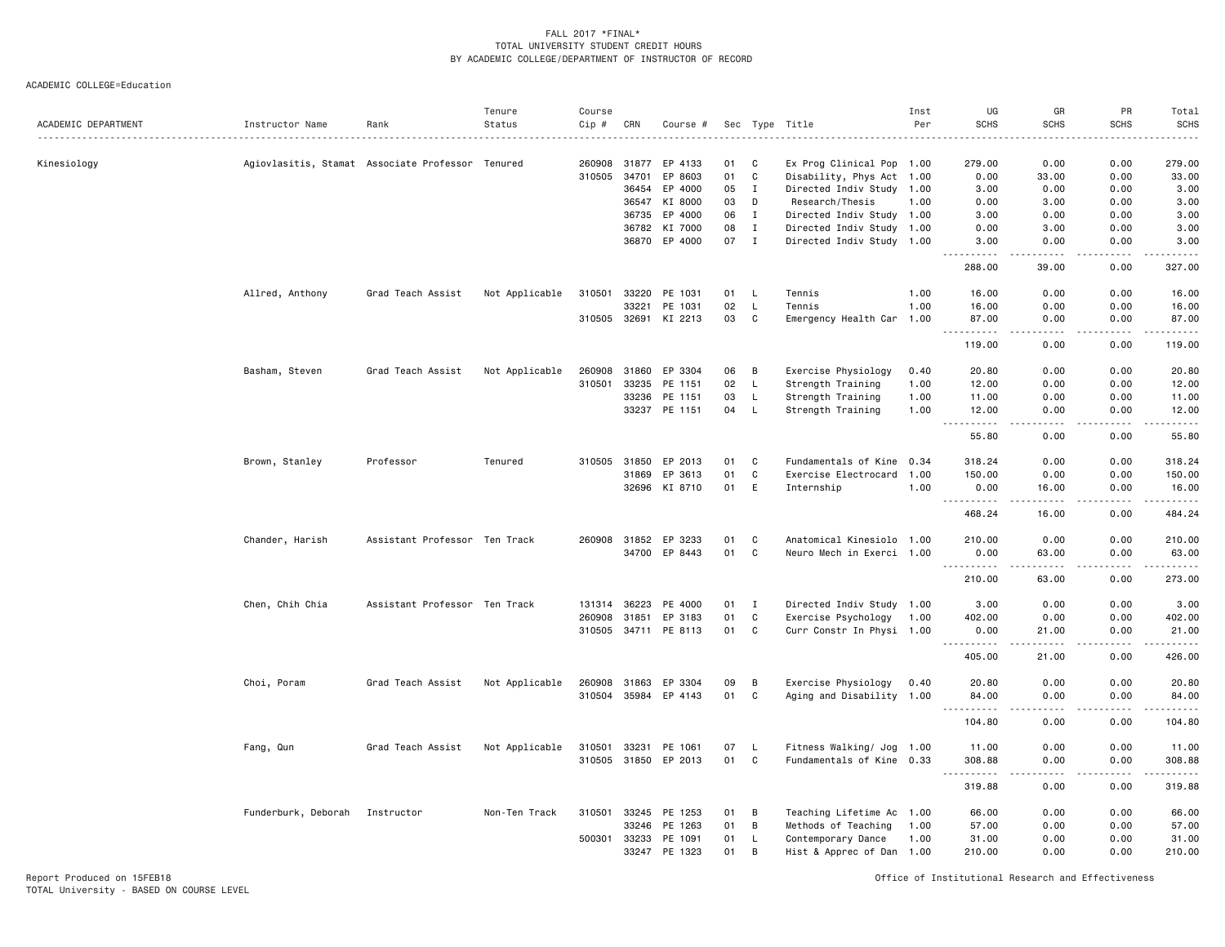| 0.00<br>279.00<br>260908<br>31877<br>EP 4133<br>C<br>Ex Prog Clinical Pop 1.00<br>279.00<br>0.00<br>Kinesiology<br>Agiovlasitis, Stamat Associate Professor Tenured<br>01<br>01<br>$\mathbf{C}$<br>0.00<br>33.00<br>310505<br>34701<br>EP 8603<br>Disability, Phys Act 1.00<br>0.00<br>33.00<br>36454<br>EP 4000<br>05<br>$\mathbf I$<br>Directed Indiv Study 1.00<br>0.00<br>0.00<br>3.00<br>3.00<br>36547<br>KI 8000<br>03<br>D<br>Research/Thesis<br>0.00<br>3.00<br>0.00<br>3.00<br>1.00<br>36735<br>EP 4000<br>06<br>$\mathbf{I}$<br>Directed Indiv Study 1.00<br>0.00<br>3.00<br>3.00<br>0.00<br>36782 KI 7000<br>08<br>3.00<br>Ι.<br>Directed Indiv Study 1.00<br>0.00<br>3.00<br>0.00<br>EP 4000<br>07<br>$\mathbf{I}$<br>Directed Indiv Study 1.00<br>0.00<br>36870<br>3.00<br>0.00<br>.<br>.<br>.<br>.<br>288.00<br>39.00<br>0.00<br>Allred, Anthony<br>Grad Teach Assist<br>Not Applicable<br>310501<br>33220<br>PE 1031<br>01<br>L<br>Tennis<br>1.00<br>16.00<br>0.00<br>0.00<br>16.00<br>PE 1031<br>02<br>L<br>0.00<br>33221<br>Tennis<br>1.00<br>16.00<br>0.00<br>16.00<br>310505 32691 KI 2213<br>03<br>C<br>Emergency Health Car 1.00<br>87.00<br>0.00<br>0.00<br>.<br>.<br>.<br>$- - - - - -$<br>119.00<br>0.00<br>0.00<br>Basham, Steven<br>Grad Teach Assist<br>Not Applicable<br>260908<br>31860<br>EP 3304<br>06<br>B<br>Exercise Physiology<br>0.40<br>20.80<br>0.00<br>0.00<br>20.80<br>310501<br>33235<br>PE 1151<br>02<br>L.<br>Strength Training<br>1.00<br>12.00<br>0.00<br>0.00<br>12.00<br>33236 PE 1151<br>03<br>L<br>Strength Training<br>1.00<br>11.00<br>0.00<br>0.00<br>11.00<br>33237 PE 1151<br>04<br>$\mathsf{L}$<br>Strength Training<br>1.00<br>12.00<br>0.00<br>0.00<br>12.00<br>.<br>.<br>.<br>$\sim$ $\sim$ $\sim$<br>.<br>0.00<br>55.80<br>0.00<br>Brown, Stanley<br>Professor<br>Tenured<br>310505 31850<br>EP 2013<br>01<br>C<br>Fundamentals of Kine 0.34<br>318.24<br>0.00<br>0.00<br>31869<br>EP 3613<br>01<br>C<br>Exercise Electrocard<br>1.00<br>150.00<br>0.00<br>0.00<br>32696 KI 8710<br>01<br>E<br>Internship<br>1.00<br>16.00<br>0.00<br>0.00<br><u>.</u><br>$\frac{1}{2} \left( \frac{1}{2} \right) \left( \frac{1}{2} \right) \left( \frac{1}{2} \right) \left( \frac{1}{2} \right) \left( \frac{1}{2} \right)$<br>.<br>.<br>0.00<br>468.24<br>16.00<br>Chander, Harish<br>Assistant Professor Ten Track<br>260908 31852 EP 3233<br>C<br>Anatomical Kinesiolo 1.00<br>0.00<br>0.00<br>01<br>210.00<br>34700 EP 8443<br>01<br>C<br>Neuro Mech in Exerci 1.00<br>0.00<br>63.00<br>0.00<br>1.1.1.1.1<br>.<br>.<br><u>.</u><br>210.00<br>63.00<br>0.00<br>0.00<br>Chen, Chih Chia<br>Assistant Professor Ten Track<br>131314 36223<br>PE 4000<br>01<br>$\mathbf{I}$<br>Directed Indiv Study 1.00<br>3.00<br>0.00<br>C<br>260908 31851<br>EP 3183<br>01<br>Exercise Psychology<br>402.00<br>0.00<br>0.00<br>1.00<br>310505 34711 PE 8113<br>01<br>C<br>Curr Constr In Physi 1.00<br>0.00<br>0.00<br>21.00<br>$\sim$ $\sim$ $\sim$ $\sim$<br>405.00<br>21.00<br>0.00<br>0.00<br>Choi, Poram<br>Grad Teach Assist<br>Not Applicable<br>260908 31863 EP 3304<br>09<br>B<br>Exercise Physiology<br>0.40<br>20.80<br>0.00<br>310504 35984<br>EP 4143<br>01<br>C<br>Aging and Disability 1.00<br>84.00<br>0.00<br>0.00<br>.<br>$\sim$ $\sim$ $\sim$<br>.<br>.<br>$\sim$ $\sim$ $\sim$<br>104.80<br>0.00<br>0.00<br>Fang, Qun<br>Grad Teach Assist<br>Not Applicable<br>310501 33231<br>PE 1061<br>07<br>$\mathsf{L}$<br>Fitness Walking/ Jog 1.00<br>11.00<br>0.00<br>0.00<br>11.00<br>01<br>310505 31850 EP 2013<br>C<br>Fundamentals of Kine 0.33<br>308.88<br>0.00<br>0.00<br>.<br>.<br>.<br>- - -<br>319.88<br>0.00<br>0.00<br>Funderburk, Deborah<br>310501<br>33245<br>B<br>Teaching Lifetime Ac 1.00<br>66.00<br>0.00<br>0.00<br>66.00<br>Instructor<br>Non-Ten Track<br>PE 1253<br>01<br>33246<br>PE 1263<br>01<br>B<br>Methods of Teaching<br>57.00<br>0.00<br>0.00<br>57.00<br>1.00<br>500301<br>33233<br>PE 1091<br>01<br>Contemporary Dance<br>31.00<br>0.00<br>0.00<br>L.<br>1.00<br>33247<br>PE 1323<br>01<br>B<br>Hist & Apprec of Dan 1.00<br>210.00<br>0.00<br>0.00 | ACADEMIC DEPARTMENT | Instructor Name | Rank | Tenure<br>Status | Course<br>Cip # | CRN | Course # |  | Sec Type Title | Inst<br>Per | UG<br><b>SCHS</b> | GR<br><b>SCHS</b> | PR<br><b>SCHS</b> | Total<br><b>SCHS</b><br>$\frac{1}{2} \left( \frac{1}{2} \right) \left( \frac{1}{2} \right) \left( \frac{1}{2} \right) \left( \frac{1}{2} \right)$ |
|-------------------------------------------------------------------------------------------------------------------------------------------------------------------------------------------------------------------------------------------------------------------------------------------------------------------------------------------------------------------------------------------------------------------------------------------------------------------------------------------------------------------------------------------------------------------------------------------------------------------------------------------------------------------------------------------------------------------------------------------------------------------------------------------------------------------------------------------------------------------------------------------------------------------------------------------------------------------------------------------------------------------------------------------------------------------------------------------------------------------------------------------------------------------------------------------------------------------------------------------------------------------------------------------------------------------------------------------------------------------------------------------------------------------------------------------------------------------------------------------------------------------------------------------------------------------------------------------------------------------------------------------------------------------------------------------------------------------------------------------------------------------------------------------------------------------------------------------------------------------------------------------------------------------------------------------------------------------------------------------------------------------------------------------------------------------------------------------------------------------------------------------------------------------------------------------------------------------------------------------------------------------------------------------------------------------------------------------------------------------------------------------------------------------------------------------------------------------------------------------------------------------------------------------------------------------------------------------------------------------------------------------------------------------------------------------------------------------------------------------------------------------------------------------------------------------------------------------------------------------------------------------------------------------------------------------------------------------------------------------------------------------------------------------------------------------------------------------------------------------------------------------------------------------------------------------------------------------------------------------------------------------------------------------------------------------------------------------------------------------------------------------------------------------------------------------------------------------------------------------------------------------------------------------------------------------------------------------------------------------------------------------------------------------------------------------------------------------------------------------------------------------------------------------------------------------------------------------------------------------------------------------------------------------------------------------------------------------------------------------------------------------------------------------------------------------------------------------------------------------------------------|---------------------|-----------------|------|------------------|-----------------|-----|----------|--|----------------|-------------|-------------------|-------------------|-------------------|---------------------------------------------------------------------------------------------------------------------------------------------------|
|                                                                                                                                                                                                                                                                                                                                                                                                                                                                                                                                                                                                                                                                                                                                                                                                                                                                                                                                                                                                                                                                                                                                                                                                                                                                                                                                                                                                                                                                                                                                                                                                                                                                                                                                                                                                                                                                                                                                                                                                                                                                                                                                                                                                                                                                                                                                                                                                                                                                                                                                                                                                                                                                                                                                                                                                                                                                                                                                                                                                                                                                                                                                                                                                                                                                                                                                                                                                                                                                                                                                                                                                                                                                                                                                                                                                                                                                                                                                                                                                                                                                                                                                     |                     |                 |      |                  |                 |     |          |  |                |             |                   |                   |                   |                                                                                                                                                   |
|                                                                                                                                                                                                                                                                                                                                                                                                                                                                                                                                                                                                                                                                                                                                                                                                                                                                                                                                                                                                                                                                                                                                                                                                                                                                                                                                                                                                                                                                                                                                                                                                                                                                                                                                                                                                                                                                                                                                                                                                                                                                                                                                                                                                                                                                                                                                                                                                                                                                                                                                                                                                                                                                                                                                                                                                                                                                                                                                                                                                                                                                                                                                                                                                                                                                                                                                                                                                                                                                                                                                                                                                                                                                                                                                                                                                                                                                                                                                                                                                                                                                                                                                     |                     |                 |      |                  |                 |     |          |  |                |             |                   |                   |                   |                                                                                                                                                   |
|                                                                                                                                                                                                                                                                                                                                                                                                                                                                                                                                                                                                                                                                                                                                                                                                                                                                                                                                                                                                                                                                                                                                                                                                                                                                                                                                                                                                                                                                                                                                                                                                                                                                                                                                                                                                                                                                                                                                                                                                                                                                                                                                                                                                                                                                                                                                                                                                                                                                                                                                                                                                                                                                                                                                                                                                                                                                                                                                                                                                                                                                                                                                                                                                                                                                                                                                                                                                                                                                                                                                                                                                                                                                                                                                                                                                                                                                                                                                                                                                                                                                                                                                     |                     |                 |      |                  |                 |     |          |  |                |             |                   |                   |                   |                                                                                                                                                   |
|                                                                                                                                                                                                                                                                                                                                                                                                                                                                                                                                                                                                                                                                                                                                                                                                                                                                                                                                                                                                                                                                                                                                                                                                                                                                                                                                                                                                                                                                                                                                                                                                                                                                                                                                                                                                                                                                                                                                                                                                                                                                                                                                                                                                                                                                                                                                                                                                                                                                                                                                                                                                                                                                                                                                                                                                                                                                                                                                                                                                                                                                                                                                                                                                                                                                                                                                                                                                                                                                                                                                                                                                                                                                                                                                                                                                                                                                                                                                                                                                                                                                                                                                     |                     |                 |      |                  |                 |     |          |  |                |             |                   |                   |                   |                                                                                                                                                   |
|                                                                                                                                                                                                                                                                                                                                                                                                                                                                                                                                                                                                                                                                                                                                                                                                                                                                                                                                                                                                                                                                                                                                                                                                                                                                                                                                                                                                                                                                                                                                                                                                                                                                                                                                                                                                                                                                                                                                                                                                                                                                                                                                                                                                                                                                                                                                                                                                                                                                                                                                                                                                                                                                                                                                                                                                                                                                                                                                                                                                                                                                                                                                                                                                                                                                                                                                                                                                                                                                                                                                                                                                                                                                                                                                                                                                                                                                                                                                                                                                                                                                                                                                     |                     |                 |      |                  |                 |     |          |  |                |             |                   |                   |                   |                                                                                                                                                   |
|                                                                                                                                                                                                                                                                                                                                                                                                                                                                                                                                                                                                                                                                                                                                                                                                                                                                                                                                                                                                                                                                                                                                                                                                                                                                                                                                                                                                                                                                                                                                                                                                                                                                                                                                                                                                                                                                                                                                                                                                                                                                                                                                                                                                                                                                                                                                                                                                                                                                                                                                                                                                                                                                                                                                                                                                                                                                                                                                                                                                                                                                                                                                                                                                                                                                                                                                                                                                                                                                                                                                                                                                                                                                                                                                                                                                                                                                                                                                                                                                                                                                                                                                     |                     |                 |      |                  |                 |     |          |  |                |             |                   |                   |                   |                                                                                                                                                   |
|                                                                                                                                                                                                                                                                                                                                                                                                                                                                                                                                                                                                                                                                                                                                                                                                                                                                                                                                                                                                                                                                                                                                                                                                                                                                                                                                                                                                                                                                                                                                                                                                                                                                                                                                                                                                                                                                                                                                                                                                                                                                                                                                                                                                                                                                                                                                                                                                                                                                                                                                                                                                                                                                                                                                                                                                                                                                                                                                                                                                                                                                                                                                                                                                                                                                                                                                                                                                                                                                                                                                                                                                                                                                                                                                                                                                                                                                                                                                                                                                                                                                                                                                     |                     |                 |      |                  |                 |     |          |  |                |             |                   |                   |                   | 3.00                                                                                                                                              |
|                                                                                                                                                                                                                                                                                                                                                                                                                                                                                                                                                                                                                                                                                                                                                                                                                                                                                                                                                                                                                                                                                                                                                                                                                                                                                                                                                                                                                                                                                                                                                                                                                                                                                                                                                                                                                                                                                                                                                                                                                                                                                                                                                                                                                                                                                                                                                                                                                                                                                                                                                                                                                                                                                                                                                                                                                                                                                                                                                                                                                                                                                                                                                                                                                                                                                                                                                                                                                                                                                                                                                                                                                                                                                                                                                                                                                                                                                                                                                                                                                                                                                                                                     |                     |                 |      |                  |                 |     |          |  |                |             |                   |                   |                   | 327.00                                                                                                                                            |
|                                                                                                                                                                                                                                                                                                                                                                                                                                                                                                                                                                                                                                                                                                                                                                                                                                                                                                                                                                                                                                                                                                                                                                                                                                                                                                                                                                                                                                                                                                                                                                                                                                                                                                                                                                                                                                                                                                                                                                                                                                                                                                                                                                                                                                                                                                                                                                                                                                                                                                                                                                                                                                                                                                                                                                                                                                                                                                                                                                                                                                                                                                                                                                                                                                                                                                                                                                                                                                                                                                                                                                                                                                                                                                                                                                                                                                                                                                                                                                                                                                                                                                                                     |                     |                 |      |                  |                 |     |          |  |                |             |                   |                   |                   |                                                                                                                                                   |
|                                                                                                                                                                                                                                                                                                                                                                                                                                                                                                                                                                                                                                                                                                                                                                                                                                                                                                                                                                                                                                                                                                                                                                                                                                                                                                                                                                                                                                                                                                                                                                                                                                                                                                                                                                                                                                                                                                                                                                                                                                                                                                                                                                                                                                                                                                                                                                                                                                                                                                                                                                                                                                                                                                                                                                                                                                                                                                                                                                                                                                                                                                                                                                                                                                                                                                                                                                                                                                                                                                                                                                                                                                                                                                                                                                                                                                                                                                                                                                                                                                                                                                                                     |                     |                 |      |                  |                 |     |          |  |                |             |                   |                   |                   |                                                                                                                                                   |
|                                                                                                                                                                                                                                                                                                                                                                                                                                                                                                                                                                                                                                                                                                                                                                                                                                                                                                                                                                                                                                                                                                                                                                                                                                                                                                                                                                                                                                                                                                                                                                                                                                                                                                                                                                                                                                                                                                                                                                                                                                                                                                                                                                                                                                                                                                                                                                                                                                                                                                                                                                                                                                                                                                                                                                                                                                                                                                                                                                                                                                                                                                                                                                                                                                                                                                                                                                                                                                                                                                                                                                                                                                                                                                                                                                                                                                                                                                                                                                                                                                                                                                                                     |                     |                 |      |                  |                 |     |          |  |                |             |                   |                   |                   | 87.00                                                                                                                                             |
|                                                                                                                                                                                                                                                                                                                                                                                                                                                                                                                                                                                                                                                                                                                                                                                                                                                                                                                                                                                                                                                                                                                                                                                                                                                                                                                                                                                                                                                                                                                                                                                                                                                                                                                                                                                                                                                                                                                                                                                                                                                                                                                                                                                                                                                                                                                                                                                                                                                                                                                                                                                                                                                                                                                                                                                                                                                                                                                                                                                                                                                                                                                                                                                                                                                                                                                                                                                                                                                                                                                                                                                                                                                                                                                                                                                                                                                                                                                                                                                                                                                                                                                                     |                     |                 |      |                  |                 |     |          |  |                |             |                   |                   |                   | 119.00                                                                                                                                            |
|                                                                                                                                                                                                                                                                                                                                                                                                                                                                                                                                                                                                                                                                                                                                                                                                                                                                                                                                                                                                                                                                                                                                                                                                                                                                                                                                                                                                                                                                                                                                                                                                                                                                                                                                                                                                                                                                                                                                                                                                                                                                                                                                                                                                                                                                                                                                                                                                                                                                                                                                                                                                                                                                                                                                                                                                                                                                                                                                                                                                                                                                                                                                                                                                                                                                                                                                                                                                                                                                                                                                                                                                                                                                                                                                                                                                                                                                                                                                                                                                                                                                                                                                     |                     |                 |      |                  |                 |     |          |  |                |             |                   |                   |                   |                                                                                                                                                   |
|                                                                                                                                                                                                                                                                                                                                                                                                                                                                                                                                                                                                                                                                                                                                                                                                                                                                                                                                                                                                                                                                                                                                                                                                                                                                                                                                                                                                                                                                                                                                                                                                                                                                                                                                                                                                                                                                                                                                                                                                                                                                                                                                                                                                                                                                                                                                                                                                                                                                                                                                                                                                                                                                                                                                                                                                                                                                                                                                                                                                                                                                                                                                                                                                                                                                                                                                                                                                                                                                                                                                                                                                                                                                                                                                                                                                                                                                                                                                                                                                                                                                                                                                     |                     |                 |      |                  |                 |     |          |  |                |             |                   |                   |                   |                                                                                                                                                   |
|                                                                                                                                                                                                                                                                                                                                                                                                                                                                                                                                                                                                                                                                                                                                                                                                                                                                                                                                                                                                                                                                                                                                                                                                                                                                                                                                                                                                                                                                                                                                                                                                                                                                                                                                                                                                                                                                                                                                                                                                                                                                                                                                                                                                                                                                                                                                                                                                                                                                                                                                                                                                                                                                                                                                                                                                                                                                                                                                                                                                                                                                                                                                                                                                                                                                                                                                                                                                                                                                                                                                                                                                                                                                                                                                                                                                                                                                                                                                                                                                                                                                                                                                     |                     |                 |      |                  |                 |     |          |  |                |             |                   |                   |                   |                                                                                                                                                   |
|                                                                                                                                                                                                                                                                                                                                                                                                                                                                                                                                                                                                                                                                                                                                                                                                                                                                                                                                                                                                                                                                                                                                                                                                                                                                                                                                                                                                                                                                                                                                                                                                                                                                                                                                                                                                                                                                                                                                                                                                                                                                                                                                                                                                                                                                                                                                                                                                                                                                                                                                                                                                                                                                                                                                                                                                                                                                                                                                                                                                                                                                                                                                                                                                                                                                                                                                                                                                                                                                                                                                                                                                                                                                                                                                                                                                                                                                                                                                                                                                                                                                                                                                     |                     |                 |      |                  |                 |     |          |  |                |             |                   |                   |                   |                                                                                                                                                   |
|                                                                                                                                                                                                                                                                                                                                                                                                                                                                                                                                                                                                                                                                                                                                                                                                                                                                                                                                                                                                                                                                                                                                                                                                                                                                                                                                                                                                                                                                                                                                                                                                                                                                                                                                                                                                                                                                                                                                                                                                                                                                                                                                                                                                                                                                                                                                                                                                                                                                                                                                                                                                                                                                                                                                                                                                                                                                                                                                                                                                                                                                                                                                                                                                                                                                                                                                                                                                                                                                                                                                                                                                                                                                                                                                                                                                                                                                                                                                                                                                                                                                                                                                     |                     |                 |      |                  |                 |     |          |  |                |             |                   |                   |                   |                                                                                                                                                   |
|                                                                                                                                                                                                                                                                                                                                                                                                                                                                                                                                                                                                                                                                                                                                                                                                                                                                                                                                                                                                                                                                                                                                                                                                                                                                                                                                                                                                                                                                                                                                                                                                                                                                                                                                                                                                                                                                                                                                                                                                                                                                                                                                                                                                                                                                                                                                                                                                                                                                                                                                                                                                                                                                                                                                                                                                                                                                                                                                                                                                                                                                                                                                                                                                                                                                                                                                                                                                                                                                                                                                                                                                                                                                                                                                                                                                                                                                                                                                                                                                                                                                                                                                     |                     |                 |      |                  |                 |     |          |  |                |             |                   |                   |                   | 55.80                                                                                                                                             |
|                                                                                                                                                                                                                                                                                                                                                                                                                                                                                                                                                                                                                                                                                                                                                                                                                                                                                                                                                                                                                                                                                                                                                                                                                                                                                                                                                                                                                                                                                                                                                                                                                                                                                                                                                                                                                                                                                                                                                                                                                                                                                                                                                                                                                                                                                                                                                                                                                                                                                                                                                                                                                                                                                                                                                                                                                                                                                                                                                                                                                                                                                                                                                                                                                                                                                                                                                                                                                                                                                                                                                                                                                                                                                                                                                                                                                                                                                                                                                                                                                                                                                                                                     |                     |                 |      |                  |                 |     |          |  |                |             |                   |                   |                   | 318.24                                                                                                                                            |
|                                                                                                                                                                                                                                                                                                                                                                                                                                                                                                                                                                                                                                                                                                                                                                                                                                                                                                                                                                                                                                                                                                                                                                                                                                                                                                                                                                                                                                                                                                                                                                                                                                                                                                                                                                                                                                                                                                                                                                                                                                                                                                                                                                                                                                                                                                                                                                                                                                                                                                                                                                                                                                                                                                                                                                                                                                                                                                                                                                                                                                                                                                                                                                                                                                                                                                                                                                                                                                                                                                                                                                                                                                                                                                                                                                                                                                                                                                                                                                                                                                                                                                                                     |                     |                 |      |                  |                 |     |          |  |                |             |                   |                   |                   | 150.00                                                                                                                                            |
|                                                                                                                                                                                                                                                                                                                                                                                                                                                                                                                                                                                                                                                                                                                                                                                                                                                                                                                                                                                                                                                                                                                                                                                                                                                                                                                                                                                                                                                                                                                                                                                                                                                                                                                                                                                                                                                                                                                                                                                                                                                                                                                                                                                                                                                                                                                                                                                                                                                                                                                                                                                                                                                                                                                                                                                                                                                                                                                                                                                                                                                                                                                                                                                                                                                                                                                                                                                                                                                                                                                                                                                                                                                                                                                                                                                                                                                                                                                                                                                                                                                                                                                                     |                     |                 |      |                  |                 |     |          |  |                |             |                   |                   |                   | 16.00                                                                                                                                             |
|                                                                                                                                                                                                                                                                                                                                                                                                                                                                                                                                                                                                                                                                                                                                                                                                                                                                                                                                                                                                                                                                                                                                                                                                                                                                                                                                                                                                                                                                                                                                                                                                                                                                                                                                                                                                                                                                                                                                                                                                                                                                                                                                                                                                                                                                                                                                                                                                                                                                                                                                                                                                                                                                                                                                                                                                                                                                                                                                                                                                                                                                                                                                                                                                                                                                                                                                                                                                                                                                                                                                                                                                                                                                                                                                                                                                                                                                                                                                                                                                                                                                                                                                     |                     |                 |      |                  |                 |     |          |  |                |             |                   |                   |                   | 484.24                                                                                                                                            |
|                                                                                                                                                                                                                                                                                                                                                                                                                                                                                                                                                                                                                                                                                                                                                                                                                                                                                                                                                                                                                                                                                                                                                                                                                                                                                                                                                                                                                                                                                                                                                                                                                                                                                                                                                                                                                                                                                                                                                                                                                                                                                                                                                                                                                                                                                                                                                                                                                                                                                                                                                                                                                                                                                                                                                                                                                                                                                                                                                                                                                                                                                                                                                                                                                                                                                                                                                                                                                                                                                                                                                                                                                                                                                                                                                                                                                                                                                                                                                                                                                                                                                                                                     |                     |                 |      |                  |                 |     |          |  |                |             |                   |                   |                   | 210.00                                                                                                                                            |
|                                                                                                                                                                                                                                                                                                                                                                                                                                                                                                                                                                                                                                                                                                                                                                                                                                                                                                                                                                                                                                                                                                                                                                                                                                                                                                                                                                                                                                                                                                                                                                                                                                                                                                                                                                                                                                                                                                                                                                                                                                                                                                                                                                                                                                                                                                                                                                                                                                                                                                                                                                                                                                                                                                                                                                                                                                                                                                                                                                                                                                                                                                                                                                                                                                                                                                                                                                                                                                                                                                                                                                                                                                                                                                                                                                                                                                                                                                                                                                                                                                                                                                                                     |                     |                 |      |                  |                 |     |          |  |                |             |                   |                   |                   | 63.00                                                                                                                                             |
|                                                                                                                                                                                                                                                                                                                                                                                                                                                                                                                                                                                                                                                                                                                                                                                                                                                                                                                                                                                                                                                                                                                                                                                                                                                                                                                                                                                                                                                                                                                                                                                                                                                                                                                                                                                                                                                                                                                                                                                                                                                                                                                                                                                                                                                                                                                                                                                                                                                                                                                                                                                                                                                                                                                                                                                                                                                                                                                                                                                                                                                                                                                                                                                                                                                                                                                                                                                                                                                                                                                                                                                                                                                                                                                                                                                                                                                                                                                                                                                                                                                                                                                                     |                     |                 |      |                  |                 |     |          |  |                |             |                   |                   |                   | 273.00                                                                                                                                            |
|                                                                                                                                                                                                                                                                                                                                                                                                                                                                                                                                                                                                                                                                                                                                                                                                                                                                                                                                                                                                                                                                                                                                                                                                                                                                                                                                                                                                                                                                                                                                                                                                                                                                                                                                                                                                                                                                                                                                                                                                                                                                                                                                                                                                                                                                                                                                                                                                                                                                                                                                                                                                                                                                                                                                                                                                                                                                                                                                                                                                                                                                                                                                                                                                                                                                                                                                                                                                                                                                                                                                                                                                                                                                                                                                                                                                                                                                                                                                                                                                                                                                                                                                     |                     |                 |      |                  |                 |     |          |  |                |             |                   |                   |                   | 3.00                                                                                                                                              |
|                                                                                                                                                                                                                                                                                                                                                                                                                                                                                                                                                                                                                                                                                                                                                                                                                                                                                                                                                                                                                                                                                                                                                                                                                                                                                                                                                                                                                                                                                                                                                                                                                                                                                                                                                                                                                                                                                                                                                                                                                                                                                                                                                                                                                                                                                                                                                                                                                                                                                                                                                                                                                                                                                                                                                                                                                                                                                                                                                                                                                                                                                                                                                                                                                                                                                                                                                                                                                                                                                                                                                                                                                                                                                                                                                                                                                                                                                                                                                                                                                                                                                                                                     |                     |                 |      |                  |                 |     |          |  |                |             |                   |                   |                   | 402.00                                                                                                                                            |
|                                                                                                                                                                                                                                                                                                                                                                                                                                                                                                                                                                                                                                                                                                                                                                                                                                                                                                                                                                                                                                                                                                                                                                                                                                                                                                                                                                                                                                                                                                                                                                                                                                                                                                                                                                                                                                                                                                                                                                                                                                                                                                                                                                                                                                                                                                                                                                                                                                                                                                                                                                                                                                                                                                                                                                                                                                                                                                                                                                                                                                                                                                                                                                                                                                                                                                                                                                                                                                                                                                                                                                                                                                                                                                                                                                                                                                                                                                                                                                                                                                                                                                                                     |                     |                 |      |                  |                 |     |          |  |                |             |                   |                   |                   | 21.00                                                                                                                                             |
|                                                                                                                                                                                                                                                                                                                                                                                                                                                                                                                                                                                                                                                                                                                                                                                                                                                                                                                                                                                                                                                                                                                                                                                                                                                                                                                                                                                                                                                                                                                                                                                                                                                                                                                                                                                                                                                                                                                                                                                                                                                                                                                                                                                                                                                                                                                                                                                                                                                                                                                                                                                                                                                                                                                                                                                                                                                                                                                                                                                                                                                                                                                                                                                                                                                                                                                                                                                                                                                                                                                                                                                                                                                                                                                                                                                                                                                                                                                                                                                                                                                                                                                                     |                     |                 |      |                  |                 |     |          |  |                |             |                   |                   |                   | 426.00                                                                                                                                            |
|                                                                                                                                                                                                                                                                                                                                                                                                                                                                                                                                                                                                                                                                                                                                                                                                                                                                                                                                                                                                                                                                                                                                                                                                                                                                                                                                                                                                                                                                                                                                                                                                                                                                                                                                                                                                                                                                                                                                                                                                                                                                                                                                                                                                                                                                                                                                                                                                                                                                                                                                                                                                                                                                                                                                                                                                                                                                                                                                                                                                                                                                                                                                                                                                                                                                                                                                                                                                                                                                                                                                                                                                                                                                                                                                                                                                                                                                                                                                                                                                                                                                                                                                     |                     |                 |      |                  |                 |     |          |  |                |             |                   |                   |                   | 20.80                                                                                                                                             |
|                                                                                                                                                                                                                                                                                                                                                                                                                                                                                                                                                                                                                                                                                                                                                                                                                                                                                                                                                                                                                                                                                                                                                                                                                                                                                                                                                                                                                                                                                                                                                                                                                                                                                                                                                                                                                                                                                                                                                                                                                                                                                                                                                                                                                                                                                                                                                                                                                                                                                                                                                                                                                                                                                                                                                                                                                                                                                                                                                                                                                                                                                                                                                                                                                                                                                                                                                                                                                                                                                                                                                                                                                                                                                                                                                                                                                                                                                                                                                                                                                                                                                                                                     |                     |                 |      |                  |                 |     |          |  |                |             |                   |                   |                   | 84.00                                                                                                                                             |
|                                                                                                                                                                                                                                                                                                                                                                                                                                                                                                                                                                                                                                                                                                                                                                                                                                                                                                                                                                                                                                                                                                                                                                                                                                                                                                                                                                                                                                                                                                                                                                                                                                                                                                                                                                                                                                                                                                                                                                                                                                                                                                                                                                                                                                                                                                                                                                                                                                                                                                                                                                                                                                                                                                                                                                                                                                                                                                                                                                                                                                                                                                                                                                                                                                                                                                                                                                                                                                                                                                                                                                                                                                                                                                                                                                                                                                                                                                                                                                                                                                                                                                                                     |                     |                 |      |                  |                 |     |          |  |                |             |                   |                   |                   | 104.80                                                                                                                                            |
|                                                                                                                                                                                                                                                                                                                                                                                                                                                                                                                                                                                                                                                                                                                                                                                                                                                                                                                                                                                                                                                                                                                                                                                                                                                                                                                                                                                                                                                                                                                                                                                                                                                                                                                                                                                                                                                                                                                                                                                                                                                                                                                                                                                                                                                                                                                                                                                                                                                                                                                                                                                                                                                                                                                                                                                                                                                                                                                                                                                                                                                                                                                                                                                                                                                                                                                                                                                                                                                                                                                                                                                                                                                                                                                                                                                                                                                                                                                                                                                                                                                                                                                                     |                     |                 |      |                  |                 |     |          |  |                |             |                   |                   |                   |                                                                                                                                                   |
|                                                                                                                                                                                                                                                                                                                                                                                                                                                                                                                                                                                                                                                                                                                                                                                                                                                                                                                                                                                                                                                                                                                                                                                                                                                                                                                                                                                                                                                                                                                                                                                                                                                                                                                                                                                                                                                                                                                                                                                                                                                                                                                                                                                                                                                                                                                                                                                                                                                                                                                                                                                                                                                                                                                                                                                                                                                                                                                                                                                                                                                                                                                                                                                                                                                                                                                                                                                                                                                                                                                                                                                                                                                                                                                                                                                                                                                                                                                                                                                                                                                                                                                                     |                     |                 |      |                  |                 |     |          |  |                |             |                   |                   |                   | 308.88                                                                                                                                            |
|                                                                                                                                                                                                                                                                                                                                                                                                                                                                                                                                                                                                                                                                                                                                                                                                                                                                                                                                                                                                                                                                                                                                                                                                                                                                                                                                                                                                                                                                                                                                                                                                                                                                                                                                                                                                                                                                                                                                                                                                                                                                                                                                                                                                                                                                                                                                                                                                                                                                                                                                                                                                                                                                                                                                                                                                                                                                                                                                                                                                                                                                                                                                                                                                                                                                                                                                                                                                                                                                                                                                                                                                                                                                                                                                                                                                                                                                                                                                                                                                                                                                                                                                     |                     |                 |      |                  |                 |     |          |  |                |             |                   |                   |                   | .<br>319.88                                                                                                                                       |
|                                                                                                                                                                                                                                                                                                                                                                                                                                                                                                                                                                                                                                                                                                                                                                                                                                                                                                                                                                                                                                                                                                                                                                                                                                                                                                                                                                                                                                                                                                                                                                                                                                                                                                                                                                                                                                                                                                                                                                                                                                                                                                                                                                                                                                                                                                                                                                                                                                                                                                                                                                                                                                                                                                                                                                                                                                                                                                                                                                                                                                                                                                                                                                                                                                                                                                                                                                                                                                                                                                                                                                                                                                                                                                                                                                                                                                                                                                                                                                                                                                                                                                                                     |                     |                 |      |                  |                 |     |          |  |                |             |                   |                   |                   |                                                                                                                                                   |
|                                                                                                                                                                                                                                                                                                                                                                                                                                                                                                                                                                                                                                                                                                                                                                                                                                                                                                                                                                                                                                                                                                                                                                                                                                                                                                                                                                                                                                                                                                                                                                                                                                                                                                                                                                                                                                                                                                                                                                                                                                                                                                                                                                                                                                                                                                                                                                                                                                                                                                                                                                                                                                                                                                                                                                                                                                                                                                                                                                                                                                                                                                                                                                                                                                                                                                                                                                                                                                                                                                                                                                                                                                                                                                                                                                                                                                                                                                                                                                                                                                                                                                                                     |                     |                 |      |                  |                 |     |          |  |                |             |                   |                   |                   |                                                                                                                                                   |
|                                                                                                                                                                                                                                                                                                                                                                                                                                                                                                                                                                                                                                                                                                                                                                                                                                                                                                                                                                                                                                                                                                                                                                                                                                                                                                                                                                                                                                                                                                                                                                                                                                                                                                                                                                                                                                                                                                                                                                                                                                                                                                                                                                                                                                                                                                                                                                                                                                                                                                                                                                                                                                                                                                                                                                                                                                                                                                                                                                                                                                                                                                                                                                                                                                                                                                                                                                                                                                                                                                                                                                                                                                                                                                                                                                                                                                                                                                                                                                                                                                                                                                                                     |                     |                 |      |                  |                 |     |          |  |                |             |                   |                   |                   | 31.00                                                                                                                                             |
|                                                                                                                                                                                                                                                                                                                                                                                                                                                                                                                                                                                                                                                                                                                                                                                                                                                                                                                                                                                                                                                                                                                                                                                                                                                                                                                                                                                                                                                                                                                                                                                                                                                                                                                                                                                                                                                                                                                                                                                                                                                                                                                                                                                                                                                                                                                                                                                                                                                                                                                                                                                                                                                                                                                                                                                                                                                                                                                                                                                                                                                                                                                                                                                                                                                                                                                                                                                                                                                                                                                                                                                                                                                                                                                                                                                                                                                                                                                                                                                                                                                                                                                                     |                     |                 |      |                  |                 |     |          |  |                |             |                   |                   |                   | 210.00                                                                                                                                            |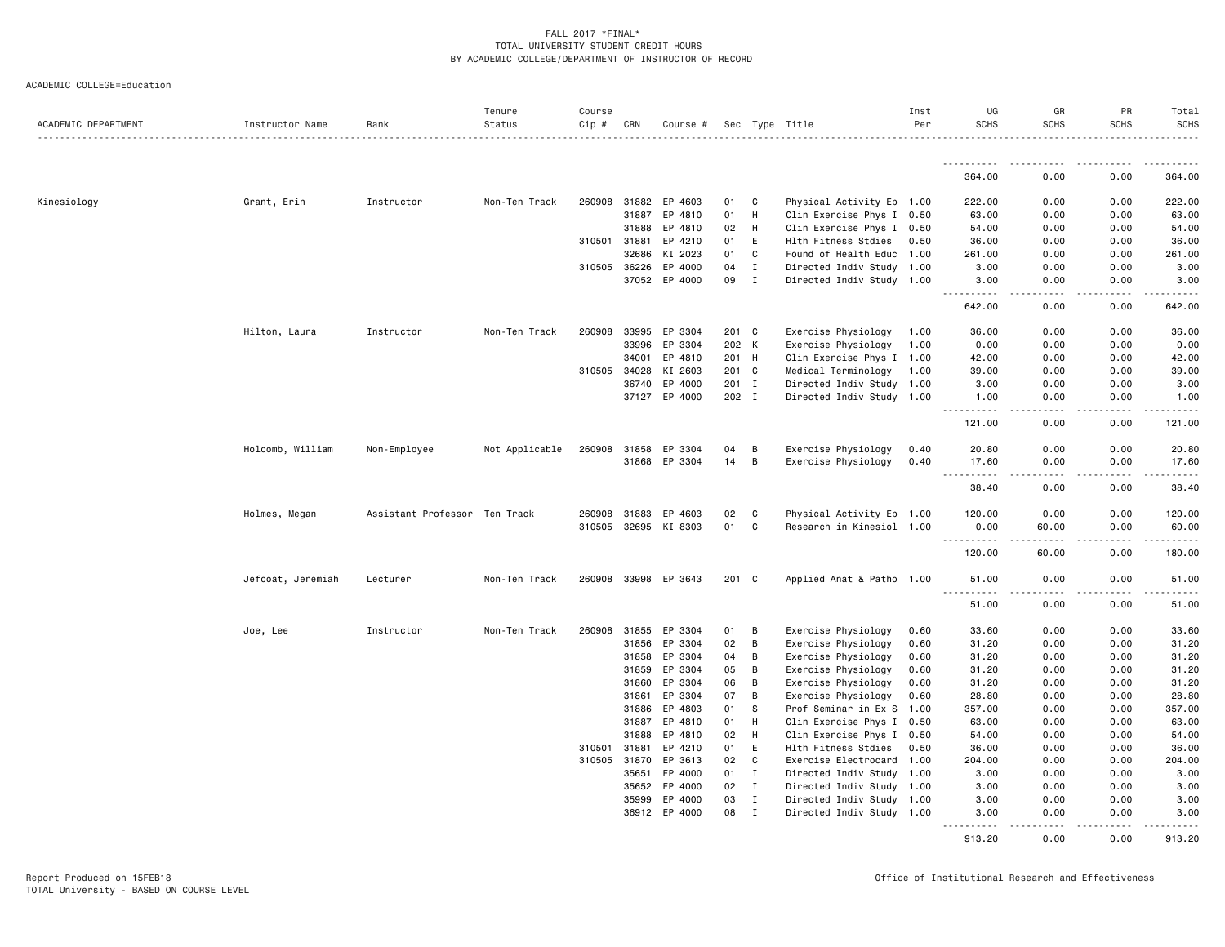|  | ACADEMIC COLLEGE=Education |
|--|----------------------------|
|--|----------------------------|

| ACADEMIC DEPARTMENT | Instructor Name   | Rank                          | Tenure<br>Status | Course<br>$Cip \#$ | CRN            | Course #             |          |              | Sec Type Title                                   | Inst<br>Per | UG<br><b>SCHS</b>                  | GR<br><b>SCHS</b> | PR<br><b>SCHS</b> | Total<br><b>SCHS</b>   |
|---------------------|-------------------|-------------------------------|------------------|--------------------|----------------|----------------------|----------|--------------|--------------------------------------------------|-------------|------------------------------------|-------------------|-------------------|------------------------|
|                     |                   |                               |                  |                    |                |                      |          |              |                                                  |             | .                                  |                   |                   |                        |
|                     |                   |                               |                  |                    |                |                      |          |              |                                                  |             | 364.00                             | 0.00              | 0.00              | 364.00                 |
| Kinesiology         | Grant, Erin       | Instructor                    | Non-Ten Track    |                    | 260908 31882   | EP 4603              | 01       | C            | Physical Activity Ep 1.00                        |             | 222.00                             | 0.00              | 0.00              | 222.00                 |
|                     |                   |                               |                  |                    | 31887          | EP 4810              | 01       | H            | Clin Exercise Phys I 0.50                        |             | 63.00                              | 0.00              | 0.00              | 63.00                  |
|                     |                   |                               |                  |                    | 31888          | EP 4810              | 02       | н            | Clin Exercise Phys I 0.50                        |             | 54.00                              | 0.00              | 0.00              | 54.00                  |
|                     |                   |                               |                  | 310501             | 31881          | EP 4210              | 01       | E            | Hlth Fitness Stdies                              | 0.50        | 36.00                              | 0.00              | 0.00              | 36.00                  |
|                     |                   |                               |                  |                    | 32686          | KI 2023              | 01       | C            | Found of Health Educ 1.00                        |             | 261.00                             | 0.00              | 0.00              | 261.00                 |
|                     |                   |                               |                  | 310505             | 36226          | EP 4000              | 04       | $\mathbf I$  | Directed Indiv Study 1.00                        |             | 3.00                               | 0.00              | 0.00              | 3.00                   |
|                     |                   |                               |                  |                    | 37052          | EP 4000              | 09       | $\mathbf I$  | Directed Indiv Study 1.00                        |             | 3.00<br>.                          | 0.00              | 0.00              | 3.00                   |
|                     |                   |                               |                  |                    |                |                      |          |              |                                                  |             | 642.00                             | 0.00              | 0.00              | 642.00                 |
|                     | Hilton, Laura     | Instructor                    | Non-Ten Track    | 260908             | 33995          | EP 3304              | 201 C    |              | Exercise Physiology                              | 1.00        | 36.00                              | 0.00              | 0.00              | 36.00                  |
|                     |                   |                               |                  |                    | 33996          | EP 3304              | 202 K    |              | Exercise Physiology                              | 1.00        | 0.00                               | 0.00              | 0.00              | 0.00                   |
|                     |                   |                               |                  |                    | 34001          | EP 4810              | 201 H    |              | Clin Exercise Phys I 1.00                        |             | 42.00                              | 0.00              | 0.00              | 42.00                  |
|                     |                   |                               |                  | 310505             | 34028          | KI 2603              | 201 C    |              | Medical Terminology                              | 1.00        | 39.00                              | 0.00              | 0.00              | 39.00                  |
|                     |                   |                               |                  |                    | 36740          | EP 4000              | 201 I    |              | Directed Indiv Study 1.00                        |             | 3.00                               | 0.00              | 0.00              | 3.00                   |
|                     |                   |                               |                  |                    | 37127          | EP 4000              | 202 I    |              | Directed Indiv Study 1.00                        |             | 1.00<br>.                          | 0.00              | 0.00              | 1.00                   |
|                     |                   |                               |                  |                    |                |                      |          |              |                                                  |             | 121.00                             | 0.00              | 0.00              | 121.00                 |
|                     | Holcomb, William  | Non-Employee                  | Not Applicable   | 260908             | 31858          | EP 3304              | 04       | В            | Exercise Physiology                              | 0.40        | 20.80                              | 0.00              | 0.00              | 20.80                  |
|                     |                   |                               |                  |                    |                | 31868 EP 3304        | 14       | B            | Exercise Physiology                              | 0.40        | 17.60<br>$\sim$ $\sim$ $\sim$<br>. | 0.00<br>.         | 0.00<br>-----     | 17.60<br>.             |
|                     |                   |                               |                  |                    |                |                      |          |              |                                                  |             | 38.40                              | 0.00              | 0.00              | 38.40                  |
|                     | Holmes, Megan     | Assistant Professor Ten Track |                  | 260908             | 31883          | EP 4603              | 02       | C            | Physical Activity Ep 1.00                        |             | 120.00                             | 0.00              | 0.00              | 120.00                 |
|                     |                   |                               |                  |                    |                | 310505 32695 KI 8303 | 01       | C            | Research in Kinesiol 1.00                        |             | 0.00                               | 60.00             | 0.00              | 60.00                  |
|                     |                   |                               |                  |                    |                |                      |          |              |                                                  |             | .                                  |                   | 0.00              | .                      |
|                     |                   |                               |                  |                    |                |                      |          |              |                                                  |             | 120.00                             | 60.00             |                   | 180.00                 |
|                     | Jefcoat, Jeremiah | Lecturer                      | Non-Ten Track    |                    |                | 260908 33998 EP 3643 | 201 C    |              | Applied Anat & Patho 1.00                        |             | 51.00<br>$\sim$ $\sim$ $\sim$<br>. | 0.00              | 0.00              | 51.00<br>$\frac{1}{2}$ |
|                     |                   |                               |                  |                    |                |                      |          |              |                                                  |             | 51.00                              | 0.00              | 0.00              | 51.00                  |
|                     | Joe, Lee          | Instructor                    | Non-Ten Track    |                    |                | 260908 31855 EP 3304 | 01       | B            | Exercise Physiology                              | 0.60        | 33.60                              | 0.00              | 0.00              | 33.60                  |
|                     |                   |                               |                  |                    | 31856          | EP 3304              | 02       | В            | Exercise Physiology                              | 0.60        | 31.20                              | 0.00              | 0.00              | 31.20                  |
|                     |                   |                               |                  |                    | 31858          | EP 3304              | 04       | B            | Exercise Physiology                              | 0.60        | 31.20                              | 0.00              | 0.00              | 31.20                  |
|                     |                   |                               |                  |                    | 31859          | EP 3304              | 05       | В            | Exercise Physiology                              | 0.60        | 31.20                              | 0.00              | 0.00              | 31.20                  |
|                     |                   |                               |                  |                    | 31860          | EP 3304              | 06       | В            | Exercise Physiology                              | 0.60        | 31.20                              | 0.00              | 0.00              | 31.20                  |
|                     |                   |                               |                  |                    | 31861          | EP 3304              | 07       | В            | Exercise Physiology                              | 0.60        | 28.80                              | 0.00              | 0.00              | 28.80                  |
|                     |                   |                               |                  |                    | 31886          | EP 4803              | 01       | s            | Prof Seminar in Ex S 1.00                        |             | 357.00                             | 0.00              | 0.00              | 357.00                 |
|                     |                   |                               |                  |                    | 31887          | EP 4810              | 01       | н            | Clin Exercise Phys I 0.50                        |             | 63.00                              | 0.00              | 0.00              | 63.00                  |
|                     |                   |                               |                  |                    | 31888<br>31881 | EP 4810<br>EP 4210   | 02<br>01 | H<br>E       | Clin Exercise Phys I 0.50                        |             | 54.00                              | 0.00              | 0.00              | 54.00<br>36.00         |
|                     |                   |                               |                  | 310501<br>310505   | 31870          | EP 3613              | 02       | $\mathtt{C}$ | Hlth Fitness Stdies<br>Exercise Electrocard 1.00 | 0.50        | 36.00<br>204.00                    | 0.00<br>0.00      | 0.00<br>0.00      |                        |
|                     |                   |                               |                  |                    | 35651          | EP 4000              | 01       | I            | Directed Indiv Study 1.00                        |             | 3.00                               | 0.00              | 0.00              | 204.00<br>3.00         |
|                     |                   |                               |                  |                    | 35652          | EP 4000              | 02       | $\mathbf{I}$ | Directed Indiv Study 1.00                        |             | 3.00                               | 0.00              | 0.00              | 3.00                   |
|                     |                   |                               |                  |                    | 35999          | EP 4000              | 03       | $\;$ I       | Directed Indiv Study 1.00                        |             | 3.00                               | 0.00              | 0.00              | 3.00                   |
|                     |                   |                               |                  |                    | 36912          | EP 4000              | 08       | $\mathbf I$  | Directed Indiv Study 1.00                        |             | 3.00                               | 0.00              | 0.00              | 3.00                   |
|                     |                   |                               |                  |                    |                |                      |          |              |                                                  |             | .<br>913.20                        | 0.00              | 0.00              | 913.20                 |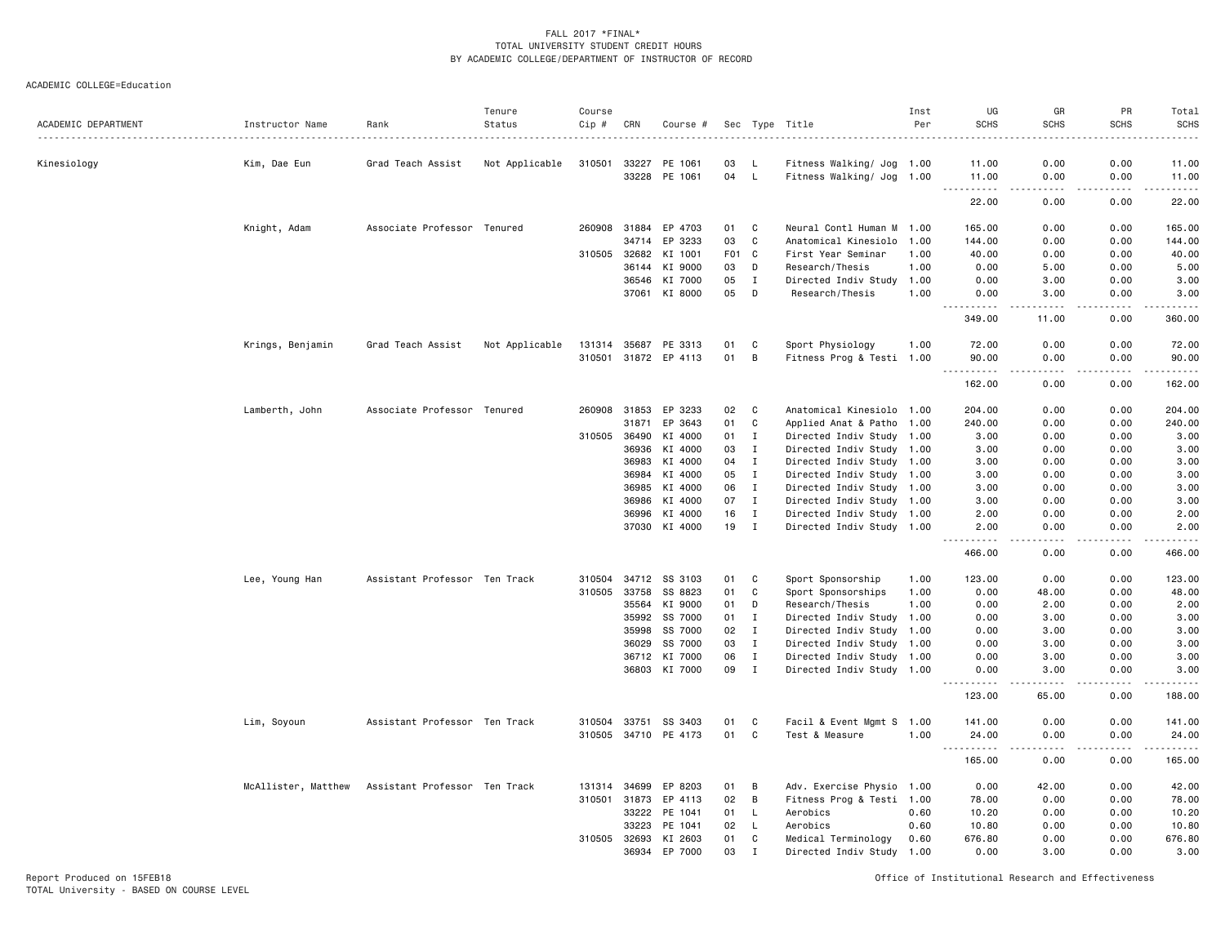| ACADEMIC DEPARTMENT | Instructor Name     | Rank                          | Tenure<br>Status | Course<br>Cip # | CRN            | Course #             |                 |                             | Sec Type Title                                         | Inst<br>Per | UG<br><b>SCHS</b>     | GR<br><b>SCHS</b>                    | PR<br>SCHS    | Total<br><b>SCHS</b>      |
|---------------------|---------------------|-------------------------------|------------------|-----------------|----------------|----------------------|-----------------|-----------------------------|--------------------------------------------------------|-------------|-----------------------|--------------------------------------|---------------|---------------------------|
| Kinesiology         | Kim, Dae Eun        | Grad Teach Assist             | Not Applicable   | 310501          | 33227          | PE 1061              | 03              | - L                         | Fitness Walking/ Jog 1.00                              |             | 11.00                 | 0.00                                 | 0.00          | 11.00                     |
|                     |                     |                               |                  |                 | 33228          | PE 1061              | 04 L            |                             | Fitness Walking/ Jog 1.00                              |             | 11.00                 | 0.00                                 | 0.00          | 11.00                     |
|                     |                     |                               |                  |                 |                |                      |                 |                             |                                                        |             | 22.00                 | ولايت<br>0.00                        | 0.00          | .<br>22.00                |
|                     | Knight, Adam        | Associate Professor Tenured   |                  |                 | 260908 31884   | EP 4703              | 01              | $\mathbf{C}$                | Neural Contl Human M 1.00                              |             | 165.00                | 0.00                                 | 0.00          | 165.00                    |
|                     |                     |                               |                  |                 | 34714          | EP 3233              | 03              | $\mathtt{C}$                | Anatomical Kinesiolo 1.00                              |             | 144.00                | 0.00                                 | 0.00          | 144.00                    |
|                     |                     |                               |                  | 310505          | 32682          | KI 1001              | F <sub>01</sub> | $\mathbf{C}$                | First Year Seminar                                     | 1.00        | 40.00                 | 0.00                                 | 0.00          | 40.00                     |
|                     |                     |                               |                  |                 | 36144          | KI 9000              | 03              | D                           | Research/Thesis                                        | 1.00        | 0.00                  | 5.00                                 | 0.00          | 5.00                      |
|                     |                     |                               |                  |                 | 36546          | KI 7000              | 05              | $\mathbf I$                 | Directed Indiv Study 1.00                              |             | 0.00                  | 3.00                                 | 0.00          | 3.00                      |
|                     |                     |                               |                  |                 | 37061          | KI 8000              | 05              | D                           | Research/Thesis                                        | 1.00        | 0.00                  | 3.00                                 | 0.00          | 3.00                      |
|                     |                     |                               |                  |                 |                |                      |                 |                             |                                                        |             | الدامات بال<br>349.00 | $\sim$ $\sim$ $\sim$ $\sim$<br>11.00 | 0.00          | 360.00                    |
|                     | Krings, Benjamin    | Grad Teach Assist             | Not Applicable   |                 | 131314 35687   | PE 3313              | 01              | C                           | Sport Physiology                                       | 1.00        | 72.00                 | 0.00                                 | 0.00          | 72.00                     |
|                     |                     |                               |                  | 310501          |                | 31872 EP 4113        | 01              | В                           | Fitness Prog & Testi 1.00                              |             | 90.00                 | 0.00<br>$- - - -$                    | 0.00          | 90.00                     |
|                     |                     |                               |                  |                 |                |                      |                 |                             |                                                        |             | 162.00                | 0.00                                 | 0.00          | 162.00                    |
|                     | Lamberth, John      | Associate Professor Tenured   |                  |                 | 260908 31853   | EP 3233              | 02              | C                           | Anatomical Kinesiolo 1.00                              |             | 204.00                | 0.00                                 | 0.00          | 204.00                    |
|                     |                     |                               |                  |                 | 31871          | EP 3643              | 01              | C                           | Applied Anat & Patho 1.00                              |             | 240.00                | 0.00                                 | 0.00          | 240.00                    |
|                     |                     |                               |                  | 310505          | 36490          | KI 4000              | 01              | $\mathbf{I}$                | Directed Indiv Study 1.00                              |             | 3.00                  | 0.00                                 | 0.00          | 3.00                      |
|                     |                     |                               |                  |                 | 36936          | KI 4000              | 03              | $\mathbf{I}$                | Directed Indiv Study 1.00                              |             | 3.00                  | 0.00                                 | 0.00          | 3.00                      |
|                     |                     |                               |                  |                 | 36983          | KI 4000              | 04              | $\mathbf I$                 | Directed Indiv Study 1.00                              |             | 3.00                  | 0.00                                 | 0.00          | 3.00                      |
|                     |                     |                               |                  |                 | 36984          | KI 4000              | 05              | $\mathbf I$                 | Directed Indiv Study                                   | 1.00        | 3.00                  | 0.00                                 | 0.00          | 3.00                      |
|                     |                     |                               |                  |                 | 36985          | KI 4000              | 06              | $\mathbf I$                 | Directed Indiv Study 1.00                              |             | 3.00                  | 0.00                                 | 0.00          | 3.00                      |
|                     |                     |                               |                  |                 | 36986          | KI 4000              | 07              | $\mathbf{I}$                | Directed Indiv Study 1.00                              |             | 3.00                  | 0.00                                 | 0.00          | 3.00                      |
|                     |                     |                               |                  |                 | 36996          | KI 4000              | 16              | $\mathbf{I}$                | Directed Indiv Study 1.00                              |             | 2.00                  | 0.00                                 | 0.00          | 2.00                      |
|                     |                     |                               |                  |                 | 37030          | KI 4000              | 19              | $\mathbf I$                 | Directed Indiv Study 1.00                              |             | 2.00<br>.             | 0.00                                 | 0.00          | 2.00<br>.                 |
|                     |                     |                               |                  |                 |                |                      |                 |                             |                                                        |             | 466.00                | 0.00                                 | 0.00          | 466.00                    |
|                     | Lee, Young Han      | Assistant Professor Ten Track |                  | 310504          | 34712          | SS 3103              | 01              | C                           | Sport Sponsorship                                      | 1.00        | 123.00                | 0.00                                 | 0.00          | 123.00                    |
|                     |                     |                               |                  | 310505          | 33758          | SS 8823              | 01              | C                           | Sport Sponsorships                                     | 1.00        | 0.00                  | 48.00                                | 0.00          | 48.00                     |
|                     |                     |                               |                  |                 | 35564          | KI 9000              | 01              | D                           | Research/Thesis                                        | 1.00        | 0.00                  | 2.00                                 | 0.00          | 2.00                      |
|                     |                     |                               |                  |                 | 35992          | SS 7000              | 01              | $\mathbf{I}$                | Directed Indiv Study 1.00                              |             | 0.00                  | 3.00                                 | 0.00          | 3.00                      |
|                     |                     |                               |                  |                 | 35998          | SS 7000              | 02              | $\mathbf I$                 | Directed Indiv Study 1.00                              |             | 0.00                  | 3.00                                 | 0.00          | 3.00                      |
|                     |                     |                               |                  |                 | 36029          | SS 7000              | 03              | $\mathbf I$                 | Directed Indiv Study 1.00                              |             | 0.00                  | 3.00                                 | 0.00          | 3.00                      |
|                     |                     |                               |                  |                 | 36712<br>36803 | KI 7000<br>KI 7000   | 06<br>09        | $\mathbf I$<br>$\mathbf{I}$ | Directed Indiv Study 1.00<br>Directed Indiv Study 1.00 |             | 0.00<br>0.00          | 3.00<br>3.00                         | 0.00<br>0.00  | 3.00<br>3.00              |
|                     |                     |                               |                  |                 |                |                      |                 |                             |                                                        |             | د د د د<br>123.00     | 65.00                                | 0.00          | 188.00                    |
|                     | Lim, Soyoun         | Assistant Professor Ten Track |                  | 310504 33751    |                | SS 3403              | 01              | C                           | Facil & Event Mgmt S 1.00                              |             | 141.00                | 0.00                                 | 0.00          | 141.00                    |
|                     |                     |                               |                  |                 |                | 310505 34710 PE 4173 | 01              | C                           | Test & Measure                                         | 1.00        | 24.00                 | 0.00                                 | 0.00          | 24.00                     |
|                     |                     |                               |                  |                 |                |                      |                 |                             |                                                        |             | .<br>165.00           | .<br>0.00                            | -----<br>0.00 | $- - - - - - -$<br>165.00 |
|                     | McAllister, Matthew | Assistant Professor Ten Track |                  | 131314          | 34699          | EP 8203              | 01              | B                           | Adv. Exercise Physio 1.00                              |             | 0.00                  | 42.00                                | 0.00          | 42.00                     |
|                     |                     |                               |                  | 310501          | 31873          | EP 4113              | 02              | В                           | Fitness Prog & Testi 1.00                              |             | 78.00                 | 0.00                                 | 0.00          | 78.00                     |
|                     |                     |                               |                  |                 | 33222          | PE 1041              | 01              | L.                          | Aerobics                                               | 0.60        | 10.20                 | 0.00                                 | 0.00          | 10.20                     |
|                     |                     |                               |                  |                 | 33223          | PE 1041              | 02              | L.                          | Aerobics                                               | 0.60        | 10.80                 | 0.00                                 | 0.00          | 10.80                     |
|                     |                     |                               |                  |                 | 310505 32693   | KI 2603              | 01              | C                           | Medical Terminology                                    | 0.60        | 676.80                | 0.00                                 | 0.00          | 676.80                    |
|                     |                     |                               |                  |                 | 36934          | EP 7000              | 03              | $\mathbf I$                 | Directed Indiv Study 1.00                              |             | 0.00                  | 3.00                                 | 0.00          | 3.00                      |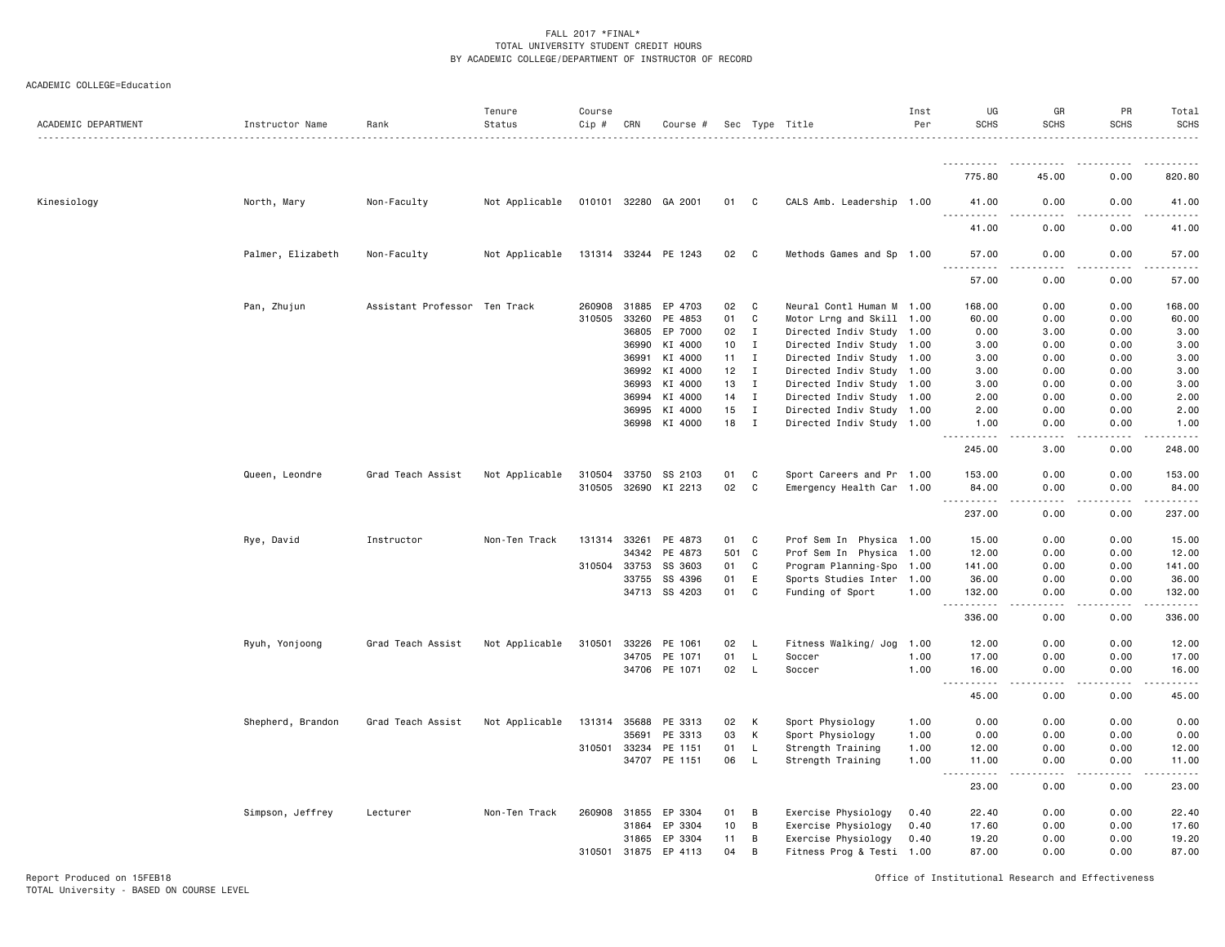| ACADEMIC DEPARTMENT | Instructor Name   | Rank                          | Tenure<br>Status | Course<br>$Cip$ # | CRN          | Course #             |              |              | Sec Type Title            | Inst<br>Per | UG<br><b>SCHS</b>                    | GR<br><b>SCHS</b> | PR<br><b>SCHS</b> | Total<br><b>SCHS</b> |
|---------------------|-------------------|-------------------------------|------------------|-------------------|--------------|----------------------|--------------|--------------|---------------------------|-------------|--------------------------------------|-------------------|-------------------|----------------------|
|                     |                   |                               |                  |                   |              |                      |              |              |                           |             | ----------                           |                   |                   |                      |
|                     |                   |                               |                  |                   |              |                      |              |              |                           |             | 775.80                               | 45.00             | 0.00              | 820.80               |
| Kinesiology         | North, Mary       | Non-Faculty                   | Not Applicable   |                   |              | 010101 32280 GA 2001 | 01 C         |              | CALS Amb. Leadership 1.00 |             | 41.00                                | 0.00              | 0.00              | 41.00                |
|                     |                   |                               |                  |                   |              |                      |              |              |                           |             | 41.00                                | 0.00              | 0.00              | 41.00                |
|                     | Palmer, Elizabeth | Non-Faculty                   | Not Applicable   |                   |              | 131314 33244 PE 1243 | 02 C         |              | Methods Games and Sp 1.00 |             | 57.00<br><u> - - - - - - - - - -</u> | 0.00<br>.         | 0.00              | 57.00<br>. <u>.</u>  |
|                     |                   |                               |                  |                   |              |                      |              |              |                           |             | 57.00                                | 0.00              | 0.00              | 57.00                |
|                     | Pan, Zhujun       | Assistant Professor Ten Track |                  | 260908            | 31885        | EP 4703              | 02           | C            | Neural Contl Human M 1.00 |             | 168.00                               | 0.00              | 0.00              | 168.00               |
|                     |                   |                               |                  |                   | 310505 33260 | PE 4853              | 01           | C            | Motor Lrng and Skill 1.00 |             | 60.00                                | 0.00              | 0.00              | 60.00                |
|                     |                   |                               |                  |                   | 36805        | EP 7000              | 02           | I            | Directed Indiv Study 1.00 |             | 0.00                                 | 3.00              | 0.00              | 3.00                 |
|                     |                   |                               |                  |                   | 36990        | KI 4000              | 10           | I            | Directed Indiv Study 1.00 |             | 3.00                                 | 0.00              | 0.00              | 3.00                 |
|                     |                   |                               |                  |                   | 36991        | KI 4000              | $11 \quad I$ |              | Directed Indiv Study 1.00 |             | 3.00                                 | 0.00              | 0.00              | 3.00                 |
|                     |                   |                               |                  |                   | 36992        | KI 4000              | 12           | $\mathbf{I}$ | Directed Indiv Study 1.00 |             | 3.00                                 | 0.00              | 0.00              | 3.00                 |
|                     |                   |                               |                  |                   | 36993        | KI 4000              | 13           | $\mathbf{I}$ | Directed Indiv Study 1.00 |             | 3.00                                 | 0.00              | 0.00              | 3.00                 |
|                     |                   |                               |                  |                   | 36994        | KI 4000              | 14           | $\mathbf{I}$ | Directed Indiv Study 1.00 |             | 2.00                                 | 0.00              | 0.00              | 2.00                 |
|                     |                   |                               |                  |                   | 36995        | KI 4000              | 15           | $\mathbf{I}$ | Directed Indiv Study 1.00 |             | 2.00                                 | 0.00              | 0.00              | 2.00                 |
|                     |                   |                               |                  |                   | 36998        | KI 4000              | 18           | $\mathbf{I}$ | Directed Indiv Study 1.00 |             | 1.00                                 | 0.00              | 0.00              | 1.00                 |
|                     |                   |                               |                  |                   |              |                      |              |              |                           |             | 245.00                               | 3.00              | 0.00              | 248.00               |
|                     | Queen, Leondre    | Grad Teach Assist             | Not Applicable   | 310504 33750      |              | SS 2103              | 01           | C            | Sport Careers and Pr 1.00 |             | 153.00                               | 0.00              | 0.00              | 153.00               |
|                     |                   |                               |                  |                   |              | 310505 32690 KI 2213 | 02           | C            | Emergency Health Car 1.00 |             | 84.00<br>.                           | 0.00<br>.         | 0.00<br>.         | 84.00<br>------      |
|                     |                   |                               |                  |                   |              |                      |              |              |                           |             | 237.00                               | 0.00              | 0.00              | 237.00               |
|                     | Rye, David        | Instructor                    | Non-Ten Track    |                   | 131314 33261 | PE 4873              | 01           | C            | Prof Sem In Physica 1.00  |             | 15.00                                | 0.00              | 0.00              | 15.00                |
|                     |                   |                               |                  |                   |              | 34342 PE 4873        | 501          | C            | Prof Sem In Physica 1.00  |             | 12.00                                | 0.00              | 0.00              | 12.00                |
|                     |                   |                               |                  | 310504            | 33753        | SS 3603              | 01           | C            | Program Planning-Spo      | 1.00        | 141.00                               | 0.00              | 0.00              | 141.00               |
|                     |                   |                               |                  |                   | 33755        | SS 4396              | 01           | Ε            | Sports Studies Inter 1.00 |             | 36.00                                | 0.00              | 0.00              | 36.00                |
|                     |                   |                               |                  |                   |              | 34713 SS 4203        | 01           | C            | Funding of Sport          | 1.00        | 132.00<br>$\sim$ $\sim$ $\sim$<br>.  | 0.00<br>.         | 0.00<br>-----     | 132.00<br>.          |
|                     |                   |                               |                  |                   |              |                      |              |              |                           |             | 336.00                               | 0.00              | 0.00              | 336.00               |
|                     | Ryuh, Yonjoong    | Grad Teach Assist             | Not Applicable   | 310501            |              | 33226 PE 1061        | 02           | L.           | Fitness Walking/ Jog      | 1.00        | 12.00                                | 0.00              | 0.00              | 12.00                |
|                     |                   |                               |                  |                   | 34705        | PE 1071              | 01           | L            | Soccer                    | 1.00        | 17.00                                | 0.00              | 0.00              | 17.00                |
|                     |                   |                               |                  |                   |              | 34706 PE 1071        | 02           | $\mathsf{L}$ | Soccer                    | 1.00        | 16.00<br>$\sim$ $\sim$ $\sim$        | 0.00              | 0.00              | 16.00                |
|                     |                   |                               |                  |                   |              |                      |              |              |                           |             | 45.00                                | 0.00              | 0.00              | 45.00                |
|                     | Shepherd, Brandon | Grad Teach Assist             | Not Applicable   | 131314 35688      |              | PE 3313              | 02           | К            | Sport Physiology          | 1.00        | 0.00                                 | 0.00              | 0.00              | 0.00                 |
|                     |                   |                               |                  |                   | 35691        | PE 3313              | 03           | К            | Sport Physiology          | 1.00        | 0.00                                 | 0.00              | 0.00              | 0.00                 |
|                     |                   |                               |                  | 310501            | 33234        | PE 1151              | 01           | L.           | Strength Training         | 1.00        | 12.00                                | 0.00              | 0.00              | 12.00                |
|                     |                   |                               |                  |                   |              | 34707 PE 1151        | 06           | L.           | Strength Training         | 1.00        | 11.00<br>.                           | 0.00              | 0.00              | 11.00                |
|                     |                   |                               |                  |                   |              |                      |              |              |                           |             | 23.00                                | 0.00              | 0.00              | 23.00                |
|                     | Simpson, Jeffrey  | Lecturer                      | Non-Ten Track    |                   | 260908 31855 | EP 3304              | 01           | В            | Exercise Physiology       | 0.40        | 22.40                                | 0.00              | 0.00              | 22.40                |
|                     |                   |                               |                  |                   | 31864        | EP 3304              | 10           | B            | Exercise Physiology       | 0.40        | 17.60                                | 0.00              | 0.00              | 17.60                |
|                     |                   |                               |                  |                   | 31865        | EP 3304              | 11           | В            | Exercise Physiology       | 0.40        | 19.20                                | 0.00              | 0.00              | 19.20                |
|                     |                   |                               |                  |                   |              | 310501 31875 EP 4113 | 04           | B            | Fitness Prog & Testi 1.00 |             | 87.00                                | 0.00              | 0.00              | 87.00                |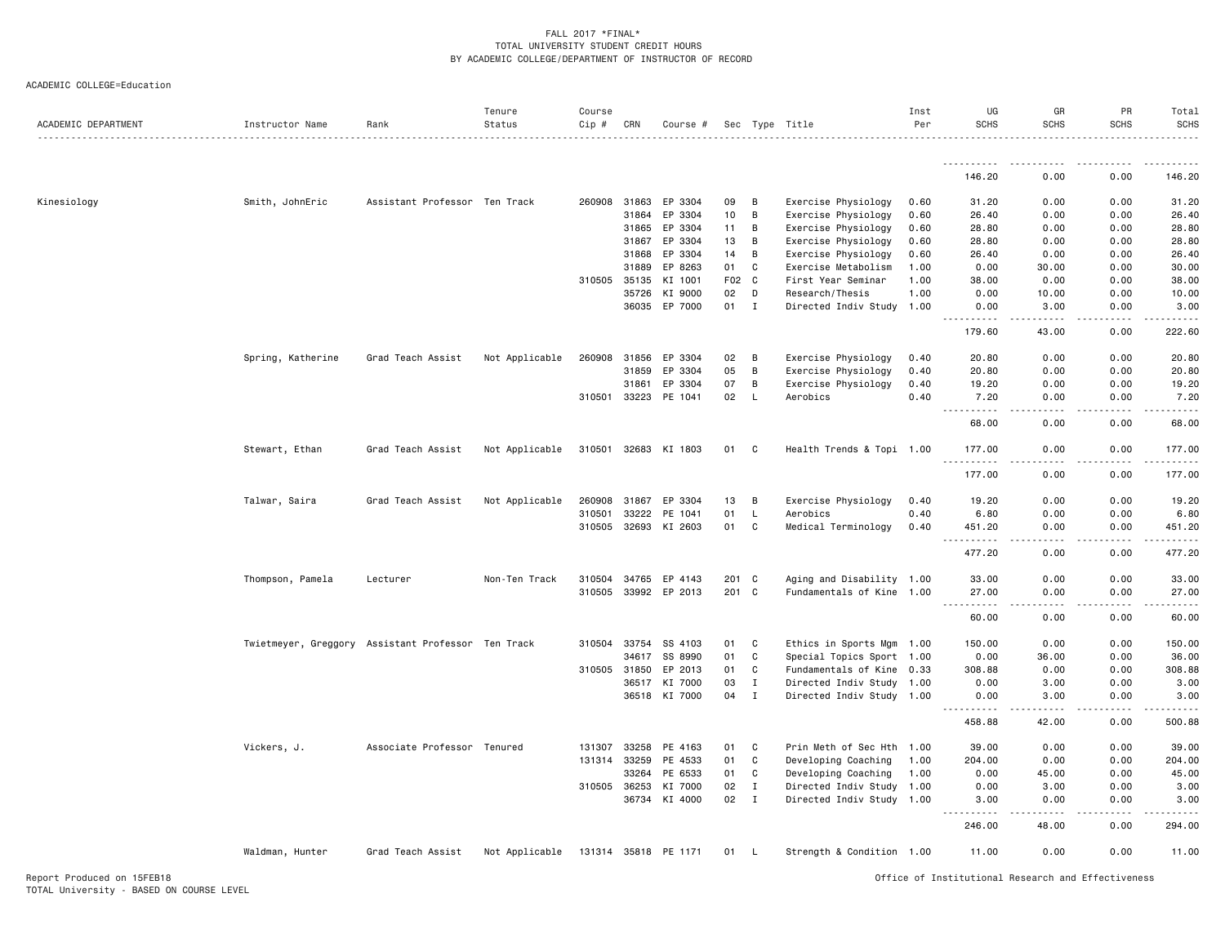| ACADEMIC DEPARTMENT | Instructor Name   | Rank                                               | Tenure<br>Status | Course<br>$Cip$ # | CRN          | Course #             |       |              | Sec Type Title            | Inst<br>Per | UG<br><b>SCHS</b>                     | GR<br><b>SCHS</b> | PR<br><b>SCHS</b> | Total<br>SCHS |
|---------------------|-------------------|----------------------------------------------------|------------------|-------------------|--------------|----------------------|-------|--------------|---------------------------|-------------|---------------------------------------|-------------------|-------------------|---------------|
|                     |                   |                                                    |                  |                   |              |                      |       |              |                           |             | .                                     |                   |                   |               |
|                     |                   |                                                    |                  |                   |              |                      |       |              |                           |             | 146.20                                | 0.00              | 0.00              | 146.20        |
| Kinesiology         | Smith, JohnEric   | Assistant Professor Ten Track                      |                  | 260908 31863      |              | EP 3304              | 09    | B            | Exercise Physiology       | 0.60        | 31.20                                 | 0.00              | 0.00              | 31.20         |
|                     |                   |                                                    |                  |                   | 31864        | EP 3304              | 10    | B            | Exercise Physiology       | 0.60        | 26,40                                 | 0.00              | 0.00              | 26.40         |
|                     |                   |                                                    |                  |                   | 31865        | EP 3304              | 11    | B            | Exercise Physiology       | 0.60        | 28.80                                 | 0.00              | 0.00              | 28.80         |
|                     |                   |                                                    |                  |                   | 31867        | EP 3304              | 13    | B            | Exercise Physiology       | 0.60        | 28.80                                 | 0.00              | 0.00              | 28.80         |
|                     |                   |                                                    |                  |                   | 31868        | EP 3304              | 14    | B            | Exercise Physiology       | 0.60        | 26.40                                 | 0.00              | 0.00              | 26.40         |
|                     |                   |                                                    |                  |                   | 31889        | EP 8263              | 01    | C            | Exercise Metabolism       | 1.00        | 0.00                                  | 30.00             | 0.00              | 30.00         |
|                     |                   |                                                    |                  | 310505 35135      |              | KI 1001              | F02 C |              | First Year Seminar        | 1.00        | 38,00                                 | 0.00              | 0.00              | 38.00         |
|                     |                   |                                                    |                  |                   | 35726        | KI 9000              | 02    | D            | Research/Thesis           | 1.00        | 0.00                                  | 10.00             | 0.00              | 10.00         |
|                     |                   |                                                    |                  |                   | 36035        | EP 7000              | 01    | $\mathbf{I}$ | Directed Indiv Study      | 1.00        | 0.00<br>د د د د                       | 3.00              | 0.00              | 3.00          |
|                     |                   |                                                    |                  |                   |              |                      |       |              |                           |             | 179.60                                | 43.00             | 0.00              | 222.60        |
|                     | Spring, Katherine | Grad Teach Assist                                  | Not Applicable   | 260908            | 31856        | EP 3304              | 02    | B            | Exercise Physiology       | 0.40        | 20.80                                 | 0.00              | 0.00              | 20.80         |
|                     |                   |                                                    |                  |                   | 31859        | EP 3304              | 05    | B            | Exercise Physiology       | 0.40        | 20.80                                 | 0.00              | 0.00              | 20.80         |
|                     |                   |                                                    |                  |                   | 31861        | EP 3304              | 07    | B            | Exercise Physiology       | 0.40        | 19.20                                 | 0.00              | 0.00              | 19.20         |
|                     |                   |                                                    |                  | 310501            | 33223        | PE 1041              | 02    | L            | Aerobics                  | 0.40        | 7.20<br>$- - - -$                     | 0.00              | 0.00              | 7.20          |
|                     |                   |                                                    |                  |                   |              |                      |       |              |                           |             | 68.00                                 | 0.00              | 0.00              | 68.00         |
|                     | Stewart, Ethan    | Grad Teach Assist                                  | Not Applicable   | 310501            | 32683        | KI 1803              | 01    | C            | Health Trends & Topi 1.00 |             | 177.00<br><u> - - - - - - - - - -</u> | 0.00              | 0.00              | 177.00        |
|                     |                   |                                                    |                  |                   |              |                      |       |              |                           |             | 177.00                                | 0.00              | 0.00              | 177.00        |
|                     | Talwar, Saira     | Grad Teach Assist                                  | Not Applicable   | 260908            | 31867        | EP 3304              | 13    | B            | Exercise Physiology       | 0.40        | 19.20                                 | 0.00              | 0.00              | 19.20         |
|                     |                   |                                                    |                  | 310501            | 33222        | PE 1041              | 01    | L            | Aerobics                  | 0.40        | 6.80                                  | 0.00              | 0.00              | 6.80          |
|                     |                   |                                                    |                  | 310505 32693      |              | KI 2603              | 01    | C            | Medical Terminology       | 0.40        | 451.20<br>.                           | 0.00<br>.         | 0.00<br>.         | 451.20        |
|                     |                   |                                                    |                  |                   |              |                      |       |              |                           |             | 477.20                                | 0.00              | 0.00              | 477.20        |
|                     | Thompson, Pamela  | Lecturer                                           | Non-Ten Track    | 310504            | 34765        | EP 4143              | 201 C |              | Aging and Disability 1.00 |             | 33.00                                 | 0.00              | 0.00              | 33.00         |
|                     |                   |                                                    |                  | 310505            |              | 33992 EP 2013        | 201 C |              | Fundamentals of Kine 1.00 |             | 27.00<br>.<br>$\sim$ $\sim$ $\sim$    | 0.00              | 0.00              | 27.00         |
|                     |                   |                                                    |                  |                   |              |                      |       |              |                           |             | 60.00                                 | 0.00              | 0.00              | 60.00         |
|                     |                   | Twietmeyer, Greggory Assistant Professor Ten Track |                  | 310504            | 33754        | SS 4103              | 01    | C            | Ethics in Sports Mgm 1.00 |             | 150.00                                | 0.00              | 0.00              | 150.00        |
|                     |                   |                                                    |                  |                   | 34617        | SS 8990              | 01    | C            | Special Topics Sport 1.00 |             | 0.00                                  | 36.00             | 0.00              | 36.00         |
|                     |                   |                                                    |                  | 310505 31850      |              | EP 2013              | 01    | C            | Fundamentals of Kine 0.33 |             | 308.88                                | 0.00              | 0.00              | 308.88        |
|                     |                   |                                                    |                  |                   | 36517        | KI 7000              | 03    | $\mathbf{I}$ | Directed Indiv Study 1.00 |             | 0.00                                  | 3.00              | 0.00              | 3.00          |
|                     |                   |                                                    |                  |                   | 36518        | KI 7000              | 04    | $\mathbf I$  | Directed Indiv Study 1.00 |             | 0.00                                  | 3.00              | 0.00              | 3.00          |
|                     |                   |                                                    |                  |                   |              |                      |       |              |                           |             | 458.88                                | 42.00             | 0.00              | 500.88        |
|                     | Vickers, J.       | Associate Professor Tenured                        |                  | 131307            | 33258        | PE 4163              | 01    | C            | Prin Meth of Sec Hth 1.00 |             | 39.00                                 | 0.00              | 0.00              | 39.00         |
|                     |                   |                                                    |                  |                   | 131314 33259 | PE 4533              | 01    | C            | Developing Coaching       | 1.00        | 204.00                                | 0.00              | 0.00              | 204.00        |
|                     |                   |                                                    |                  |                   | 33264        | PE 6533              | 01    | C            | Developing Coaching       | 1.00        | 0.00                                  | 45.00             | 0.00              | 45.00         |
|                     |                   |                                                    |                  | 310505 36253      |              | KI 7000              | 02    | $\mathbf{I}$ | Directed Indiv Study      | 1.00        | 0.00                                  | 3.00              | 0.00              | 3.00          |
|                     |                   |                                                    |                  |                   | 36734        | KI 4000              | 02    | $\mathbf{I}$ | Directed Indiv Study 1.00 |             | 3.00                                  | 0.00              | 0.00              | 3.00          |
|                     |                   |                                                    |                  |                   |              |                      |       |              |                           |             | 246.00                                | 48.00             | 0.00              | 294.00        |
|                     | Waldman, Hunter   | Grad Teach Assist                                  | Not Applicable   |                   |              | 131314 35818 PE 1171 | 01    | L.           | Strength & Condition 1.00 |             | 11.00                                 | 0.00              | 0.00              | 11.00         |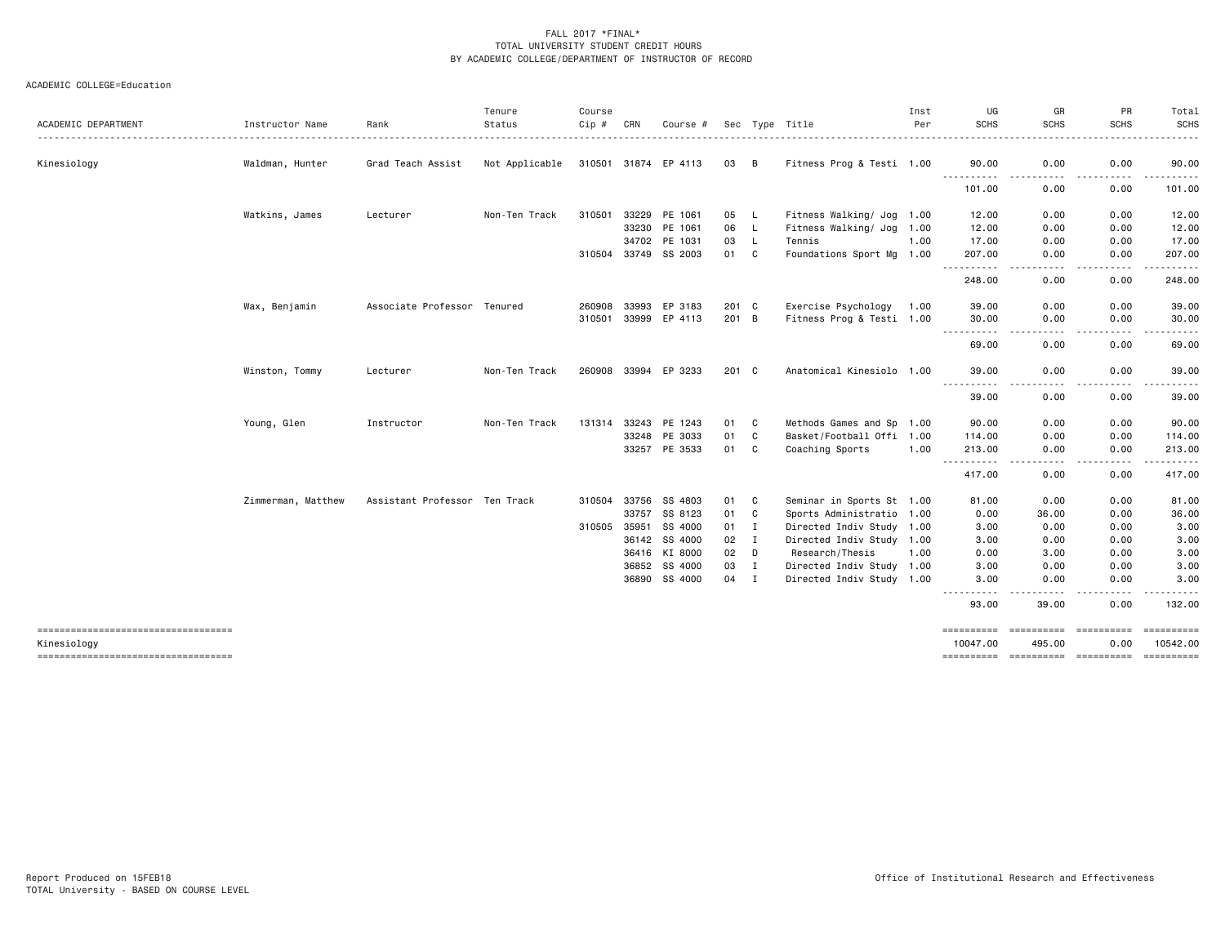| Waldman, Hunter<br>Watkins, James<br>Wax, Benjamin | .<br>Grad Teach Assist<br>Lecturer | Not Applicable 310501 31874 EP 4113<br>Non-Ten Track | 310501                        | 33229  | PE 1061<br>33230 PE 1061<br>34702 PE 1031<br>310504 33749 SS 2003 | 03<br>05<br>06<br>03                                                                                                                                                                | B<br>L.<br>- L<br>L. | Fitness Prog & Testi 1.00<br>Fitness Walking/ Jog 1.00<br>Fitness Walking/ Jog 1.00 |      | 90.00<br><b></b><br>101.00<br>12.00<br>12.00                                                                                                                                                                                                                                                   | 0.00<br>.<br>0.00<br>0.00<br>0.00                                  | 0.00<br>.<br>0.00<br>0.00<br>0.00 | 90.00<br>------<br>101.00<br>12.00<br>12.00                           |
|----------------------------------------------------|------------------------------------|------------------------------------------------------|-------------------------------|--------|-------------------------------------------------------------------|-------------------------------------------------------------------------------------------------------------------------------------------------------------------------------------|----------------------|-------------------------------------------------------------------------------------|------|------------------------------------------------------------------------------------------------------------------------------------------------------------------------------------------------------------------------------------------------------------------------------------------------|--------------------------------------------------------------------|-----------------------------------|-----------------------------------------------------------------------|
|                                                    |                                    |                                                      |                               |        |                                                                   |                                                                                                                                                                                     |                      |                                                                                     |      |                                                                                                                                                                                                                                                                                                |                                                                    |                                   |                                                                       |
|                                                    |                                    |                                                      |                               |        |                                                                   |                                                                                                                                                                                     |                      |                                                                                     |      |                                                                                                                                                                                                                                                                                                |                                                                    |                                   |                                                                       |
|                                                    |                                    |                                                      |                               |        |                                                                   |                                                                                                                                                                                     |                      |                                                                                     |      |                                                                                                                                                                                                                                                                                                |                                                                    |                                   |                                                                       |
|                                                    |                                    |                                                      |                               |        |                                                                   |                                                                                                                                                                                     |                      |                                                                                     |      |                                                                                                                                                                                                                                                                                                |                                                                    |                                   |                                                                       |
|                                                    |                                    |                                                      |                               |        |                                                                   |                                                                                                                                                                                     |                      |                                                                                     |      |                                                                                                                                                                                                                                                                                                |                                                                    |                                   |                                                                       |
|                                                    |                                    |                                                      |                               |        |                                                                   |                                                                                                                                                                                     |                      | Tennis                                                                              | 1.00 | 17.00                                                                                                                                                                                                                                                                                          | 0.00                                                               | 0.00                              | 17.00                                                                 |
|                                                    |                                    |                                                      |                               |        |                                                                   | 01 C                                                                                                                                                                                |                      | Foundations Sport Mg 1.00                                                           |      | 207.00<br>.                                                                                                                                                                                                                                                                                    | 0.00<br>.                                                          | 0.00<br>.                         | 207.00<br>.                                                           |
|                                                    |                                    |                                                      |                               |        |                                                                   |                                                                                                                                                                                     |                      |                                                                                     |      | 248.00                                                                                                                                                                                                                                                                                         | 0.00                                                               | 0.00                              | 248.00                                                                |
|                                                    | Associate Professor Tenured        |                                                      | 260908                        | 33993  | EP 3183                                                           | 201 C                                                                                                                                                                               |                      | Exercise Psychology                                                                 | 1.00 | 39.00                                                                                                                                                                                                                                                                                          | 0.00                                                               | 0.00                              | 39.00                                                                 |
|                                                    |                                    |                                                      |                               |        |                                                                   |                                                                                                                                                                                     |                      |                                                                                     |      | 30.00                                                                                                                                                                                                                                                                                          | 0.00                                                               | 0.00                              | 30.00                                                                 |
|                                                    |                                    |                                                      |                               |        |                                                                   |                                                                                                                                                                                     |                      |                                                                                     |      | 69.00                                                                                                                                                                                                                                                                                          | 0.00                                                               | 0.00                              | 69.00                                                                 |
| Winston, Tommy                                     |                                    | Non-Ten Track                                        |                               |        |                                                                   |                                                                                                                                                                                     |                      |                                                                                     |      | 39.00                                                                                                                                                                                                                                                                                          | 0.00                                                               | 0.00                              | 39.00                                                                 |
|                                                    |                                    |                                                      |                               |        |                                                                   |                                                                                                                                                                                     |                      |                                                                                     |      | 39.00                                                                                                                                                                                                                                                                                          | 0.00                                                               | 0.00                              | 39.00                                                                 |
| Young, Glen                                        |                                    | Non-Ten Track                                        |                               |        |                                                                   | 01                                                                                                                                                                                  | C                    |                                                                                     |      | 90.00                                                                                                                                                                                                                                                                                          | 0.00                                                               | 0.00                              | 90.00                                                                 |
|                                                    |                                    |                                                      |                               | 33248  |                                                                   | 01                                                                                                                                                                                  | C                    |                                                                                     |      | 114.00                                                                                                                                                                                                                                                                                         | 0.00                                                               | 0.00                              | 114.00                                                                |
|                                                    |                                    |                                                      |                               |        |                                                                   | 01                                                                                                                                                                                  | C                    | Coaching Sports                                                                     | 1.00 | 213.00                                                                                                                                                                                                                                                                                         | 0.00                                                               | 0.00                              | 213.00                                                                |
|                                                    |                                    |                                                      |                               |        |                                                                   |                                                                                                                                                                                     |                      |                                                                                     |      | 417.00                                                                                                                                                                                                                                                                                         | 0.00                                                               | 0.00                              | 417.00                                                                |
| Zimmerman, Matthew                                 |                                    |                                                      | 310504                        |        |                                                                   | 01                                                                                                                                                                                  | C                    |                                                                                     |      | 81.00                                                                                                                                                                                                                                                                                          | 0.00                                                               | 0.00                              | 81.00                                                                 |
|                                                    |                                    |                                                      |                               |        |                                                                   | 01                                                                                                                                                                                  | C                    |                                                                                     |      | 0.00                                                                                                                                                                                                                                                                                           | 36.00                                                              | 0.00                              | 36.00                                                                 |
|                                                    |                                    |                                                      |                               |        | SS 4000                                                           | 01                                                                                                                                                                                  |                      |                                                                                     |      | 3.00                                                                                                                                                                                                                                                                                           | 0.00                                                               | 0.00                              | 3.00                                                                  |
|                                                    |                                    |                                                      |                               |        |                                                                   | 02                                                                                                                                                                                  |                      |                                                                                     |      | 3,00                                                                                                                                                                                                                                                                                           | 0.00                                                               | 0.00                              | 3.00                                                                  |
|                                                    |                                    |                                                      |                               |        |                                                                   | 02                                                                                                                                                                                  | D                    | Research/Thesis                                                                     | 1.00 | 0.00                                                                                                                                                                                                                                                                                           | 3.00                                                               | 0.00                              | 3.00                                                                  |
|                                                    |                                    |                                                      |                               | 36852  |                                                                   | 03                                                                                                                                                                                  |                      |                                                                                     |      | 3.00                                                                                                                                                                                                                                                                                           | 0.00                                                               | 0.00                              | 3.00                                                                  |
|                                                    |                                    |                                                      |                               |        |                                                                   |                                                                                                                                                                                     |                      |                                                                                     |      | 3.00                                                                                                                                                                                                                                                                                           | 0.00                                                               | 0.00                              | 3.00                                                                  |
|                                                    |                                    |                                                      |                               |        |                                                                   |                                                                                                                                                                                     |                      |                                                                                     |      | 93.00                                                                                                                                                                                                                                                                                          | 39.00                                                              | 0.00                              | 132.00                                                                |
|                                                    |                                    |                                                      |                               |        |                                                                   |                                                                                                                                                                                     |                      |                                                                                     |      | 10047.00                                                                                                                                                                                                                                                                                       | 495.00                                                             | 0.00                              | 10542.00                                                              |
|                                                    |                                    | Lecturer<br>Instructor                               | Assistant Professor Ten Track | 131314 | 33756<br>310505 35951                                             | 310501 33999 EP 4113<br>260908 33994 EP 3233<br>33243 PE 1243<br>PE 3033<br>33257 PE 3533<br>SS 4803<br>33757 SS 8123<br>36142 SS 4000<br>36416 KI 8000<br>SS 4000<br>36890 SS 4000 |                      | 201 B<br>201 C<br>I<br>I<br>$\mathbf{I}$<br>$04$ I                                  |      | Fitness Prog & Testi 1.00<br>Anatomical Kinesiolo 1.00<br>Methods Games and Sp 1.00<br>Basket/Football Offi 1.00<br>Seminar in Sports St 1.00<br>Sports Administratio 1.00<br>Directed Indiv Study 1.00<br>Directed Indiv Study 1.00<br>Directed Indiv Study 1.00<br>Directed Indiv Study 1.00 | -----<br>----------<br>----------<br>.<br>==========<br>========== | -----                             | -----<br>=====================<br>----------- ---------<br>========== |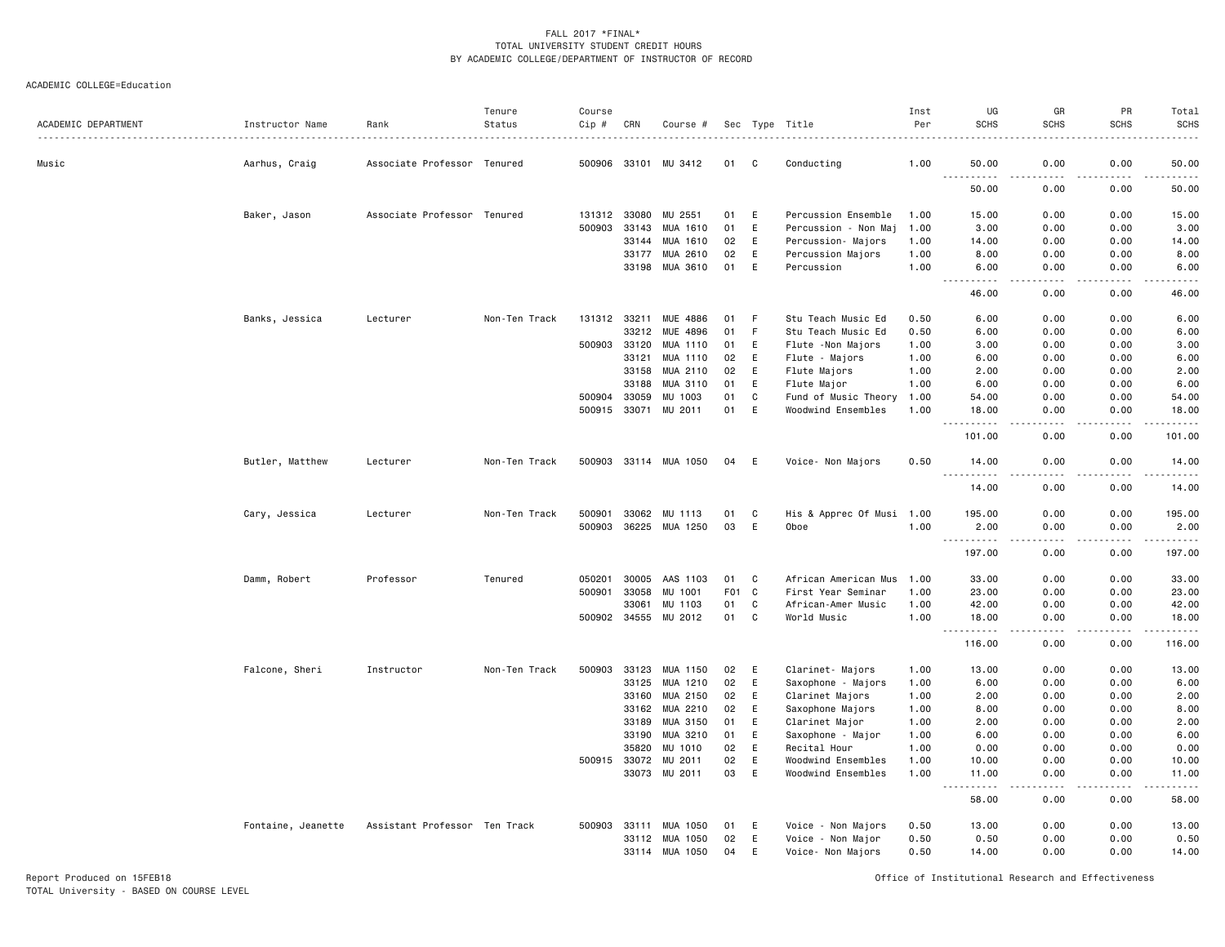ACADEMIC COLLEGE=Education

| ACADEMIC DEPARTMENT | Instructor Name    | Rank                          | Tenure<br>Status | Course<br>Cip # | CRN          | Course #              |       |    | Sec Type Title            | Inst<br>Per | UG<br><b>SCHS</b>                        | GR<br><b>SCHS</b>                   | PR<br><b>SCHS</b> | Total<br><b>SCHS</b>                                                                                                                                                                     |
|---------------------|--------------------|-------------------------------|------------------|-----------------|--------------|-----------------------|-------|----|---------------------------|-------------|------------------------------------------|-------------------------------------|-------------------|------------------------------------------------------------------------------------------------------------------------------------------------------------------------------------------|
| Music               | Aarhus, Craig      | Associate Professor Tenured   |                  |                 |              | 500906 33101 MU 3412  | 01    | C. | Conducting                | 1.00        | 50.00                                    | 0.00                                | 0.00              | 50.00                                                                                                                                                                                    |
|                     |                    |                               |                  |                 |              |                       |       |    |                           |             | .<br>$- - -$<br>50.00                    | 0.00                                | 0.00              | 50.00                                                                                                                                                                                    |
|                     | Baker, Jason       | Associate Professor Tenured   |                  | 131312          | 33080        | MU 2551               | 01    | E  | Percussion Ensemble       | 1.00        | 15.00                                    | 0.00                                | 0.00              | 15.00                                                                                                                                                                                    |
|                     |                    |                               |                  | 500903          | 33143        | MUA 1610              | 01    | E  | Percussion - Non Maj      | 1.00        | 3.00                                     | 0.00                                | 0.00              | 3.00                                                                                                                                                                                     |
|                     |                    |                               |                  |                 | 33144        | MUA 1610              | 02    | E  | Percussion- Majors        | 1.00        | 14.00                                    | 0.00                                | 0.00              | 14.00                                                                                                                                                                                    |
|                     |                    |                               |                  |                 | 33177        | MUA 2610              | 02    | Ε  | Percussion Majors         | 1.00        | 8.00                                     | 0.00                                | 0.00              | 8.00                                                                                                                                                                                     |
|                     |                    |                               |                  |                 | 33198        | MUA 3610              | 01    | E  | Percussion                | 1.00        | 6.00<br>$\sim$ $\sim$ $\sim$ $\sim$<br>. | 0.00<br>$   -$                      | 0.00<br>.         | 6.00                                                                                                                                                                                     |
|                     |                    |                               |                  |                 |              |                       |       |    |                           |             | 46.00                                    | 0.00                                | 0.00              | 46.00                                                                                                                                                                                    |
|                     | Banks, Jessica     | Lecturer                      | Non-Ten Track    |                 |              | 131312 33211 MUE 4886 | 01    | -F | Stu Teach Music Ed        | 0.50        | 6.00                                     | 0.00                                | 0.00              | 6.00                                                                                                                                                                                     |
|                     |                    |                               |                  |                 | 33212        | MUE 4896              | 01    | F  | Stu Teach Music Ed        | 0.50        | 6.00                                     | 0.00                                | 0.00              | 6.00                                                                                                                                                                                     |
|                     |                    |                               |                  | 500903          | 33120        | MUA 1110              | 01    | E  | Flute -Non Majors         | 1.00        | 3.00                                     | 0.00                                | 0.00              | 3.00                                                                                                                                                                                     |
|                     |                    |                               |                  |                 | 33121        | MUA 1110              | 02    | E  | Flute - Majors            | 1.00        | 6.00                                     | 0.00                                | 0.00              | 6.00                                                                                                                                                                                     |
|                     |                    |                               |                  |                 | 33158        | MUA 2110              | 02    | E  | Flute Majors              | 1.00        | 2.00                                     | 0.00                                | 0.00              | 2.00                                                                                                                                                                                     |
|                     |                    |                               |                  |                 | 33188        | MUA 3110              | 01    | Ε  | Flute Major               | 1.00        | 6.00                                     | 0.00                                | 0.00              | 6.00                                                                                                                                                                                     |
|                     |                    |                               |                  | 500904          | 33059        | MU 1003               | 01    | C  | Fund of Music Theory      | 1.00        | 54.00                                    | 0.00                                | 0.00              | 54.00                                                                                                                                                                                    |
|                     |                    |                               |                  |                 | 500915 33071 | MU 2011               | 01    | E  | Woodwind Ensembles        | 1.00        | 18.00<br>.                               | 0.00<br>. <u>. .</u>                | 0.00<br>.         | 18.00<br>.                                                                                                                                                                               |
|                     |                    |                               |                  |                 |              |                       |       |    |                           |             | 101.00                                   | 0.00                                | 0.00              | 101.00                                                                                                                                                                                   |
|                     | Butler, Matthew    | Lecturer                      | Non-Ten Track    |                 |              | 500903 33114 MUA 1050 | 04    | E  | Voice- Non Majors         | 0.50        | 14.00<br>$ -$<br>.                       | 0.00<br>$\sim$ $\sim$ $\sim$ $\sim$ | 0.00              | 14.00<br>.                                                                                                                                                                               |
|                     |                    |                               |                  |                 |              |                       |       |    |                           |             | 14.00                                    | 0.00                                | 0.00              | 14.00                                                                                                                                                                                    |
|                     | Cary, Jessica      | Lecturer                      | Non-Ten Track    | 500901          | 33062        | MU 1113               | 01    | C  | His & Apprec Of Musi 1.00 |             | 195.00                                   | 0.00                                | 0.00              | 195.00                                                                                                                                                                                   |
|                     |                    |                               |                  | 500903          | 36225        | MUA 1250              | 03    | E  | Oboe                      | 1.00        | 2.00                                     | 0.00                                | 0.00              | 2.00                                                                                                                                                                                     |
|                     |                    |                               |                  |                 |              |                       |       |    |                           |             | <u>.</u><br>197.00                       | 0.00                                | 0.00              | <u>.</u><br>197.00                                                                                                                                                                       |
|                     | Damm, Robert       | Professor                     | Tenured          | 050201          | 30005        | AAS 1103              | 01    | C  | African American Mus      | 1.00        | 33.00                                    | 0.00                                | 0.00              | 33.00                                                                                                                                                                                    |
|                     |                    |                               |                  | 500901          | 33058        | MU 1001               | F01 C |    | First Year Seminar        | 1.00        | 23.00                                    | 0.00                                | 0.00              | 23.00                                                                                                                                                                                    |
|                     |                    |                               |                  |                 | 33061        | MU 1103               | 01    | C  | African-Amer Music        | 1.00        | 42.00                                    | 0.00                                | 0.00              | 42.00                                                                                                                                                                                    |
|                     |                    |                               |                  |                 |              | 500902 34555 MU 2012  | 01    | C  | World Music               | 1.00        | 18.00<br>المتمام المتحدة                 | 0.00<br>.                           | 0.00<br>-----     | 18.00<br>$\frac{1}{2} \left( \frac{1}{2} \right) \left( \frac{1}{2} \right) \left( \frac{1}{2} \right) \left( \frac{1}{2} \right) \left( \frac{1}{2} \right) \left( \frac{1}{2} \right)$ |
|                     |                    |                               |                  |                 |              |                       |       |    |                           |             | $  -$<br>116.00                          | 0.00                                | 0.00              | 116.00                                                                                                                                                                                   |
|                     | Falcone, Sheri     | Instructor                    | Non-Ten Track    | 500903          | 33123        | MUA 1150              | 02    | E  | Clarinet- Majors          | 1.00        | 13,00                                    | 0.00                                | 0.00              | 13.00                                                                                                                                                                                    |
|                     |                    |                               |                  |                 | 33125        | MUA 1210              | 02    | E  | Saxophone - Majors        | 1.00        | 6.00                                     | 0.00                                | 0.00              | 6.00                                                                                                                                                                                     |
|                     |                    |                               |                  |                 | 33160        | MUA 2150              | 02    | E  | Clarinet Majors           | 1.00        | 2.00                                     | 0.00                                | 0.00              | 2.00                                                                                                                                                                                     |
|                     |                    |                               |                  |                 | 33162        | MUA 2210              | 02    | E  | Saxophone Majors          | 1.00        | 8.00                                     | 0.00                                | 0.00              | 8.00                                                                                                                                                                                     |
|                     |                    |                               |                  |                 | 33189        | MUA 3150              | 01    | E  | Clarinet Major            | 1.00        | 2.00                                     | 0.00                                | 0.00              | 2.00                                                                                                                                                                                     |
|                     |                    |                               |                  |                 | 33190        | MUA 3210              | 01    | E  | Saxophone - Major         | 1.00        | 6.00                                     | 0.00                                | 0.00              | 6.00                                                                                                                                                                                     |
|                     |                    |                               |                  |                 | 35820        | MU 1010               | 02    | E  | Recital Hour              | 1.00        | 0.00                                     | 0.00                                | 0.00              | 0.00                                                                                                                                                                                     |
|                     |                    |                               |                  |                 | 500915 33072 | MU 2011               | 02    | E  | Woodwind Ensembles        | 1.00        | 10.00                                    | 0.00                                | 0.00              | 10.00                                                                                                                                                                                    |
|                     |                    |                               |                  |                 |              | 33073 MU 2011         | 03    | E  | Woodwind Ensembles        | 1.00        | 11.00<br>$\sim$ $\sim$ $\sim$<br>.       | 0.00<br>.                           | 0.00<br>-----     | 11.00<br>.                                                                                                                                                                               |
|                     |                    |                               |                  |                 |              |                       |       |    |                           |             | 58.00                                    | 0.00                                | 0.00              | 58.00                                                                                                                                                                                    |
|                     | Fontaine, Jeanette | Assistant Professor Ten Track |                  | 500903          | 33111        | MUA 1050              | 01    | E  | Voice - Non Majors        | 0.50        | 13.00                                    | 0.00                                | 0.00              | 13.00                                                                                                                                                                                    |
|                     |                    |                               |                  |                 | 33112        | MUA 1050              | 02    | E  | Voice - Non Major         | 0.50        | 0.50                                     | 0.00                                | 0.00              | 0.50                                                                                                                                                                                     |
|                     |                    |                               |                  |                 |              | 33114 MUA 1050        | 04    | E  | Voice- Non Majors         | 0.50        | 14.00                                    | 0.00                                | 0.00              | 14.00                                                                                                                                                                                    |

Report Produced on 15FEB18 Office of Institutional Research and Effectiveness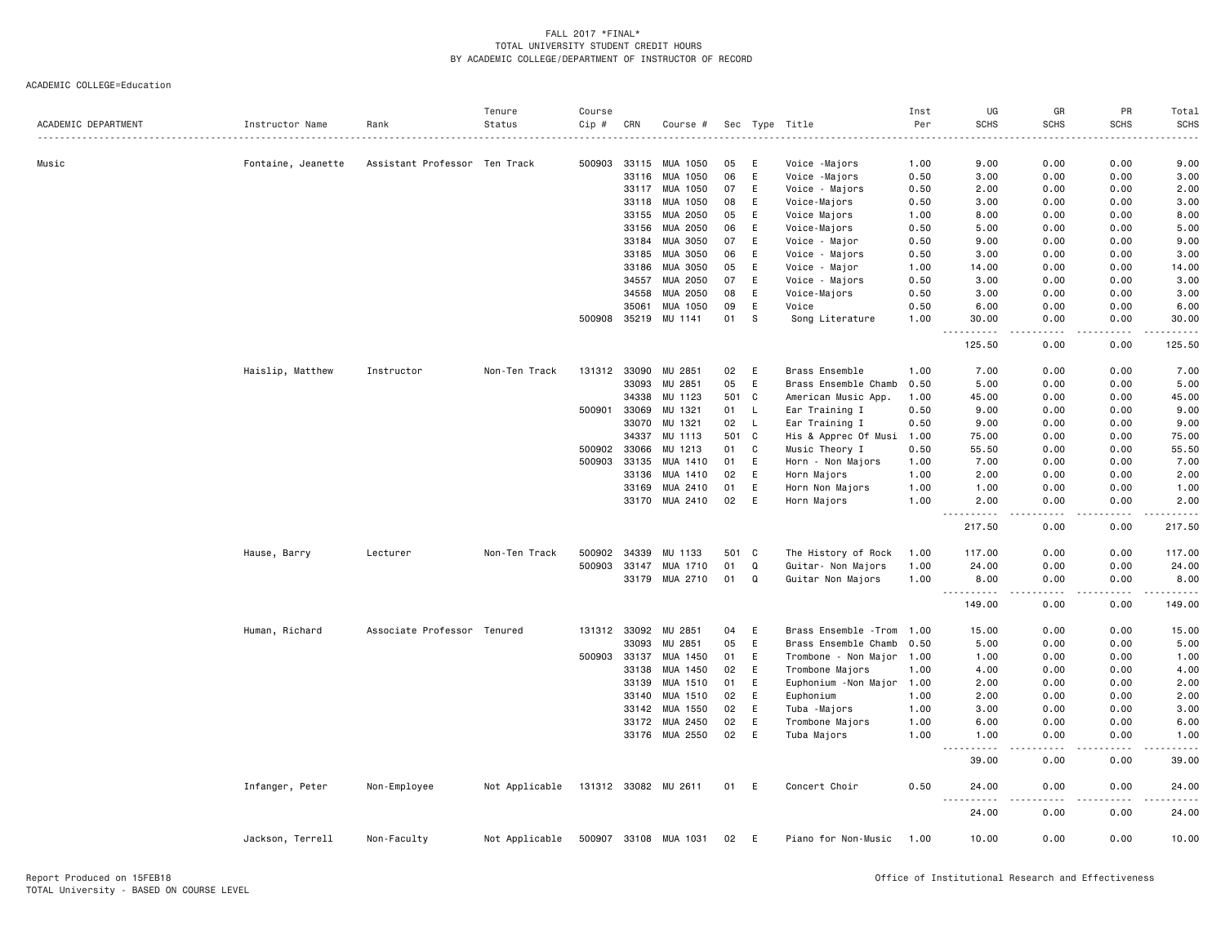ACADEMIC COLLEGE=Education

| ACADEMIC DEPARTMENT | Instructor Name    | Rank                          | Tenure<br>Status | Course<br>Cip # | CRN   | Course #              |     |    | Sec Type Title             | Inst<br>Per | UG<br><b>SCHS</b>                                                                                                                      | GR<br><b>SCHS</b> | PR<br><b>SCHS</b> | Total<br><b>SCHS</b> |
|---------------------|--------------------|-------------------------------|------------------|-----------------|-------|-----------------------|-----|----|----------------------------|-------------|----------------------------------------------------------------------------------------------------------------------------------------|-------------------|-------------------|----------------------|
|                     |                    |                               |                  |                 |       |                       |     |    | .                          |             |                                                                                                                                        |                   |                   |                      |
| Music               | Fontaine, Jeanette | Assistant Professor Ten Track |                  | 500903          | 33115 | MUA 1050              | 05  | E  | Voice -Majors              | 1.00        | 9.00                                                                                                                                   | 0.00              | 0.00              | 9.00                 |
|                     |                    |                               |                  |                 | 33116 | MUA 1050              | 06  | E  | Voice -Majors              | 0.50        | 3.00                                                                                                                                   | 0.00              | 0.00              | 3.00                 |
|                     |                    |                               |                  |                 | 33117 | MUA 1050              | 07  | E  | Voice - Majors             | 0.50        | 2.00                                                                                                                                   | 0.00              | 0.00              | 2.00                 |
|                     |                    |                               |                  |                 | 33118 | MUA 1050              | 08  | E  | Voice-Majors               | 0.50        | 3.00                                                                                                                                   | 0.00              | 0.00              | 3.00                 |
|                     |                    |                               |                  |                 | 33155 | MUA 2050              | 05  | E  | Voice Majors               | 1.00        | 8.00                                                                                                                                   | 0.00              | 0.00              | 8.00                 |
|                     |                    |                               |                  |                 | 33156 | MUA 2050              | 06  | E  | Voice-Majors               | 0.50        | 5.00                                                                                                                                   | 0.00              | 0.00              | 5.00                 |
|                     |                    |                               |                  |                 | 33184 | MUA 3050              | 07  | E  | Voice - Major              | 0.50        | 9.00                                                                                                                                   | 0.00              | 0.00              | 9.00                 |
|                     |                    |                               |                  |                 | 33185 | MUA 3050              | 06  | E  | Voice - Majors             | 0.50        | 3.00                                                                                                                                   | 0.00              | 0.00              | 3.00                 |
|                     |                    |                               |                  |                 | 33186 | MUA 3050              | 05  | E  | Voice - Major              | 1.00        | 14.00                                                                                                                                  | 0.00              | 0.00              | 14.00                |
|                     |                    |                               |                  |                 | 34557 | MUA 2050              | 07  | E  | Voice - Majors             | 0.50        | 3.00                                                                                                                                   | 0.00              | 0.00              | 3.00                 |
|                     |                    |                               |                  |                 | 34558 | MUA 2050              | 08  | E  | Voice-Majors               | 0.50        | 3.00                                                                                                                                   | 0.00              | 0.00              | 3.00                 |
|                     |                    |                               |                  |                 | 35061 | MUA 1050              | 09  | E  | Voice                      | 0.50        | 6.00                                                                                                                                   | 0.00              | 0.00              | 6.00                 |
|                     |                    |                               |                  | 500908 35219    |       | MU 1141               | 01  | S. | Song Literature            | 1.00        | 30.00                                                                                                                                  | 0.00              | 0.00              | 30.00                |
|                     |                    |                               |                  |                 |       |                       |     |    |                            |             | $\sim$ $\sim$ $\sim$ $\sim$<br>125.50                                                                                                  | 0.00              | 0.00              | 125.50               |
|                     | Haislip, Matthew   | Instructor                    | Non-Ten Track    | 131312 33090    |       | MU 2851               | 02  | E  | Brass Ensemble             | 1.00        | 7.00                                                                                                                                   | 0.00              | 0.00              | 7.00                 |
|                     |                    |                               |                  |                 | 33093 | MU 2851               | 05  | E  | Brass Ensemble Chamb       | 0.50        | 5.00                                                                                                                                   | 0.00              | 0.00              | 5.00                 |
|                     |                    |                               |                  |                 | 34338 | MU 1123               | 501 | C  | American Music App.        | 1.00        | 45.00                                                                                                                                  | 0.00              | 0.00              | 45.00                |
|                     |                    |                               |                  | 500901          | 33069 | MU 1321               | 01  | L  | Ear Training I             | 0.50        | 9.00                                                                                                                                   | 0.00              | 0.00              | 9.00                 |
|                     |                    |                               |                  |                 | 33070 | MU 1321               | 02  | L  | Ear Training I             | 0.50        | 9.00                                                                                                                                   | 0.00              | 0.00              | 9.00                 |
|                     |                    |                               |                  |                 | 34337 | MU 1113               | 501 | C  | His & Apprec Of Musi       | 1.00        | 75.00                                                                                                                                  | 0.00              | 0.00              | 75.00                |
|                     |                    |                               |                  | 500902          | 33066 | MU 1213               | 01  | C  | Music Theory I             | 0.50        | 55.50                                                                                                                                  | 0.00              | 0.00              | 55.50                |
|                     |                    |                               |                  | 500903          | 33135 | MUA 1410              | 01  | E  | Horn - Non Majors          | 1.00        | 7.00                                                                                                                                   | 0.00              | 0.00              | 7.00                 |
|                     |                    |                               |                  |                 | 33136 | MUA 1410              | 02  | E  | Horn Majors                | 1.00        | 2.00                                                                                                                                   | 0.00              | 0.00              | 2.00                 |
|                     |                    |                               |                  |                 | 33169 | MUA 2410              | 01  | E  | Horn Non Majors            | 1.00        | 1.00                                                                                                                                   | 0.00              | 0.00              | 1.00                 |
|                     |                    |                               |                  |                 | 33170 | MUA 2410              | 02  | E  | Horn Majors                | 1.00        | 2.00                                                                                                                                   | 0.00              | 0.00              | 2.00                 |
|                     |                    |                               |                  |                 |       |                       |     |    |                            |             | د د د د<br>217.50                                                                                                                      | 0.00              | 0.00              | 217.50               |
|                     | Hause, Barry       | Lecturer                      | Non-Ten Track    | 500902          | 34339 | MU 1133               | 501 | C  | The History of Rock        | 1.00        | 117.00                                                                                                                                 | 0.00              | 0.00              | 117.00               |
|                     |                    |                               |                  | 500903          | 33147 | MUA 1710              | 01  | Q  | Guitar- Non Majors         | 1.00        | 24.00                                                                                                                                  | 0.00              | 0.00              | 24.00                |
|                     |                    |                               |                  |                 | 33179 | MUA 2710              | 01  | Q  | Guitar Non Majors          | 1.00        | 8.00<br>.                                                                                                                              | 0.00              | 0.00              | 8.00                 |
|                     |                    |                               |                  |                 |       |                       |     |    |                            |             | $\frac{1}{2}$<br>149.00                                                                                                                | 0.00              | 0.00              | 149.00               |
|                     | Human, Richard     | Associate Professor Tenured   |                  | 131312 33092    |       | MU 2851               | 04  | E  | Brass Ensemble -Trom       | 1.00        | 15.00                                                                                                                                  | 0.00              | 0.00              | 15.00                |
|                     |                    |                               |                  |                 | 33093 | MU 2851               | 05  | E  | Brass Ensemble Chamb       | 0.50        | 5.00                                                                                                                                   | 0.00              | 0.00              | 5.00                 |
|                     |                    |                               |                  | 500903          | 33137 | MUA 1450              | 01  | E  | Trombone - Non Major       | 1.00        | 1.00                                                                                                                                   | 0.00              | 0.00              | 1.00                 |
|                     |                    |                               |                  |                 | 33138 | MUA 1450              | 02  | E  | Trombone Majors            | 1.00        | 4.00                                                                                                                                   | 0.00              | 0.00              | 4.00                 |
|                     |                    |                               |                  |                 | 33139 | MUA 1510              | 01  | Ε  | Euphonium - Non Major 1.00 |             | 2.00                                                                                                                                   | 0.00              | 0.00              | 2.00                 |
|                     |                    |                               |                  |                 | 33140 | MUA 1510              | 02  | E  | Euphonium                  | 1.00        | 2.00                                                                                                                                   | 0.00              | 0.00              | 2.00                 |
|                     |                    |                               |                  |                 | 33142 | MUA 1550              | 02  | E  | Tuba -Majors               | 1.00        | 3.00                                                                                                                                   | 0.00              | 0.00              | 3.00                 |
|                     |                    |                               |                  |                 | 33172 | MUA 2450              | 02  | E  | Trombone Majors            | 1.00        | 6.00                                                                                                                                   | 0.00              | 0.00              | 6.00                 |
|                     |                    |                               |                  |                 | 33176 | MUA 2550              | 02  | E  | Tuba Majors                | 1.00        | 1.00<br>.<br>$\frac{1}{2} \left( \frac{1}{2} \right) \left( \frac{1}{2} \right) \left( \frac{1}{2} \right) \left( \frac{1}{2} \right)$ | 0.00<br>د د د د   | 0.00<br>.         | 1.00<br>.            |
|                     |                    |                               |                  |                 |       |                       |     |    |                            |             | 39.00                                                                                                                                  | 0.00              | 0.00              | 39.00                |
|                     | Infanger, Peter    | Non-Employee                  | Not Applicable   |                 |       | 131312 33082 MU 2611  | 01  | E  | Concert Choir              | 0.50        | 24.00                                                                                                                                  | 0.00              | 0.00              | 24.00                |
|                     |                    |                               |                  |                 |       |                       |     |    |                            |             | 24.00                                                                                                                                  | 0.00              | 0.00              | 24.00                |
|                     | Jackson, Terrell   | Non-Faculty                   | Not Applicable   |                 |       | 500907 33108 MUA 1031 | 02  | E  | Piano for Non-Music        | 1.00        | 10.00                                                                                                                                  | 0.00              | 0.00              | 10.00                |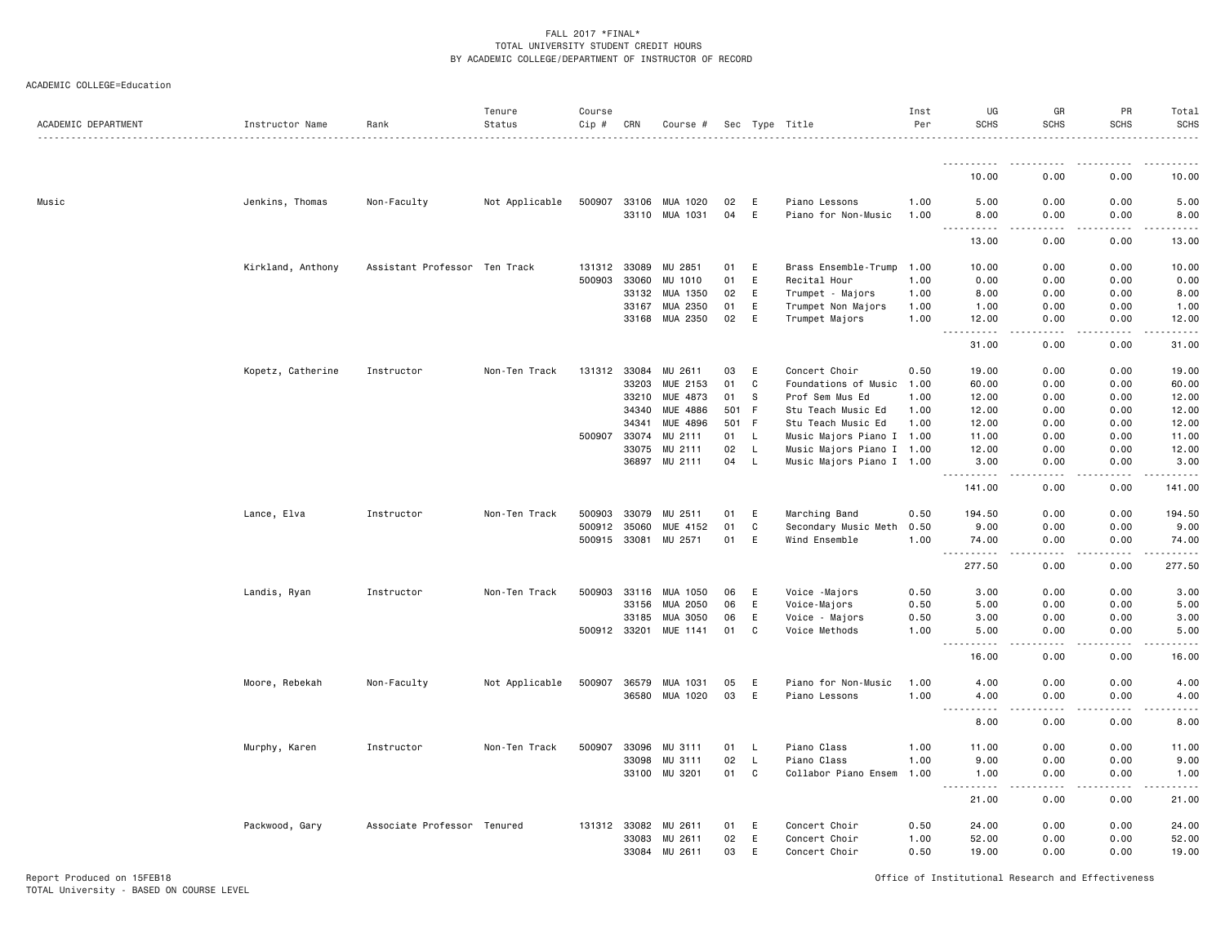|  |  | ACADEMIC COLLEGE=Education |
|--|--|----------------------------|
|--|--|----------------------------|

| ACADEMIC DEPARTMENT | Instructor Name   | Rank                          | Tenure<br>Status | Course<br>$Cip$ # | CRN          | Course #      |     |              | Sec Type Title            | Inst<br>Per | UG<br><b>SCHS</b>                  | GR<br><b>SCHS</b>                   | <b>PR</b><br><b>SCHS</b> | Total<br>SCHS                                                                                                                     |
|---------------------|-------------------|-------------------------------|------------------|-------------------|--------------|---------------|-----|--------------|---------------------------|-------------|------------------------------------|-------------------------------------|--------------------------|-----------------------------------------------------------------------------------------------------------------------------------|
|                     |                   |                               | .                |                   |              |               |     |              |                           |             | .                                  | .<br>-----                          | .                        | .<br>.                                                                                                                            |
|                     |                   |                               |                  |                   |              |               |     |              |                           |             | 10.00                              | 0.00                                | 0.00                     | 10.00                                                                                                                             |
| Music               | Jenkins, Thomas   | Non-Faculty                   | Not Applicable   | 500907            | 33106        | MUA 1020      | 02  | E            | Piano Lessons             | 1.00        | 5.00                               | 0.00                                | 0.00                     | 5.00                                                                                                                              |
|                     |                   |                               |                  |                   | 33110        | MUA 1031      | 04  | E            | Piano for Non-Music       | 1.00        | 8.00                               | 0.00                                | 0.00                     | 8.00                                                                                                                              |
|                     |                   |                               |                  |                   |              |               |     |              |                           |             | $- - - - -$<br>13.00               | .<br>0.00                           | .<br>0.00                | .<br>13.00                                                                                                                        |
|                     | Kirkland, Anthony | Assistant Professor Ten Track |                  | 131312            | 33089        | MU 2851       | 01  | E            | Brass Ensemble-Trump      | 1.00        | 10.00                              | 0.00                                | 0.00                     | 10.00                                                                                                                             |
|                     |                   |                               |                  | 500903            | 33060        | MU 1010       | 01  | E            | Recital Hour              | 1.00        | 0.00                               | 0.00                                | 0.00                     | 0.00                                                                                                                              |
|                     |                   |                               |                  |                   | 33132        | MUA 1350      | 02  | E            | Trumpet - Majors          | 1.00        | 8.00                               | 0.00                                | 0.00                     | 8.00                                                                                                                              |
|                     |                   |                               |                  |                   | 33167        | MUA 2350      | 01  | E            | Trumpet Non Majors        | 1.00        | 1.00                               | 0.00                                | 0.00                     | 1.00                                                                                                                              |
|                     |                   |                               |                  |                   | 33168        | MUA 2350      | 02  | E            | Trumpet Majors            | 1.00        | 12.00<br>.<br>$\sim$ $\sim$ $\sim$ | 0.00<br>$\sim$ $\sim$ $\sim$ $\sim$ | 0.00<br>.                | 12.00<br>$\sim$ $\sim$ $\sim$ $\sim$                                                                                              |
|                     |                   |                               |                  |                   |              |               |     |              |                           |             | 31.00                              | 0.00                                | 0.00                     | 31.00                                                                                                                             |
|                     | Kopetz, Catherine | Instructor                    | Non-Ten Track    | 131312            | 33084        | MU 2611       | 03  | E            | Concert Choir             | 0.50        | 19.00                              | 0.00                                | 0.00                     | 19.00                                                                                                                             |
|                     |                   |                               |                  |                   | 33203        | MUE 2153      | 01  | C            | Foundations of Music      | 1.00        | 60.00                              | 0.00                                | 0.00                     | 60.00                                                                                                                             |
|                     |                   |                               |                  |                   | 33210        | MUE 4873      | 01  | S.           | Prof Sem Mus Ed           | 1.00        | 12.00                              | 0.00                                | 0.00                     | 12.00                                                                                                                             |
|                     |                   |                               |                  |                   | 34340        | MUE 4886      | 501 | -F           | Stu Teach Music Ed        | 1.00        | 12.00                              | 0.00                                | 0.00                     | 12.00                                                                                                                             |
|                     |                   |                               |                  |                   | 34341        | MUE 4896      | 501 | - F          | Stu Teach Music Ed        | 1.00        | 12.00                              | 0.00                                | 0.00                     | 12.00                                                                                                                             |
|                     |                   |                               |                  | 500907            | 33074        | MU 2111       | 01  | L            | Music Majors Piano I 1.00 |             | 11.00                              | 0.00                                | 0.00                     | 11.00                                                                                                                             |
|                     |                   |                               |                  |                   | 33075        | MU 2111       | 02  | $\mathsf{L}$ | Music Majors Piano I 1.00 |             | 12.00                              | 0.00                                | 0.00                     | 12.00                                                                                                                             |
|                     |                   |                               |                  |                   | 36897        | MU 2111       | 04  | L            | Music Majors Piano I 1.00 |             | 3.00<br><u>.</u>                   | 0.00<br>$\sim$ $\sim$ $\sim$        | 0.00<br>.                | 3.00<br>$- - - - - -$                                                                                                             |
|                     |                   |                               |                  |                   |              |               |     |              |                           |             | 141.00                             | 0.00                                | 0.00                     | 141.00                                                                                                                            |
|                     | Lance, Elva       | Instructor                    | Non-Ten Track    | 500903            | 33079        | MU 2511       | 01  | E            | Marching Band             | 0.50        | 194.50                             | 0.00                                | 0.00                     | 194.50                                                                                                                            |
|                     |                   |                               |                  | 500912            | 35060        | MUE 4152      | 01  | C            | Secondary Music Meth      | 0.50        | 9.00                               | 0.00                                | 0.00                     | 9.00                                                                                                                              |
|                     |                   |                               |                  |                   | 500915 33081 | MU 2571       | 01  | E            | Wind Ensemble             | 1.00        | 74.00<br>$\sim$ $\sim$<br>-----    | 0.00<br>.                           | 0.00<br>.                | 74.00<br>.                                                                                                                        |
|                     |                   |                               |                  |                   |              |               |     |              |                           |             | 277.50                             | 0.00                                | 0.00                     | 277.50                                                                                                                            |
|                     | Landis, Ryan      | Instructor                    | Non-Ten Track    |                   | 500903 33116 | MUA 1050      | 06  | E            | Voice -Majors             | 0.50        | 3.00                               | 0.00                                | 0.00                     | 3.00                                                                                                                              |
|                     |                   |                               |                  |                   | 33156        | MUA 2050      | 06  | E            | Voice-Majors              | 0.50        | 5.00                               | 0.00                                | 0.00                     | 5.00                                                                                                                              |
|                     |                   |                               |                  |                   | 33185        | MUA 3050      | 06  | E            | Voice - Majors            | 0.50        | 3.00                               | 0.00                                | 0.00                     | 3.00                                                                                                                              |
|                     |                   |                               |                  |                   | 500912 33201 | MUE 1141      | 01  | C            | Voice Methods             | 1.00        | 5.00<br>$\sim$ $\sim$ $\sim$       | 0.00<br>$- - -$                     | 0.00                     | 5.00                                                                                                                              |
|                     |                   |                               |                  |                   |              |               |     |              |                           |             | 16.00                              | 0.00                                | 0.00                     | 16.00                                                                                                                             |
|                     | Moore, Rebekah    | Non-Faculty                   | Not Applicable   |                   | 500907 36579 | MUA 1031      | 05  | E            | Piano for Non-Music       | 1.00        | 4.00                               | 0.00                                | 0.00                     | 4.00                                                                                                                              |
|                     |                   |                               |                  |                   | 36580        | MUA 1020      | 03  | E            | Piano Lessons             | 1.00        | 4.00                               | 0.00                                | 0.00                     | 4.00                                                                                                                              |
|                     |                   |                               |                  |                   |              |               |     |              |                           |             | .<br>$- - - -$<br>8.00             | .<br>0.00                           | .<br>0.00                | $\frac{1}{2} \left( \frac{1}{2} \right) \left( \frac{1}{2} \right) \left( \frac{1}{2} \right) \left( \frac{1}{2} \right)$<br>8.00 |
|                     |                   | Instructor                    | Non-Ten Track    | 500907            | 33096        | MU 3111       | 01  | L            | Piano Class               | 1.00        | 11.00                              | 0.00                                | 0.00                     | 11.00                                                                                                                             |
|                     | Murphy, Karen     |                               |                  |                   | 33098        | MU 3111       | 02  | L            | Piano Class               | 1.00        | 9.00                               | 0.00                                | 0.00                     | 9.00                                                                                                                              |
|                     |                   |                               |                  |                   |              | 33100 MU 3201 | 01  | C            | Collabor Piano Ensem      | 1.00        | 1.00                               | 0.00                                | 0.00                     | 1.00                                                                                                                              |
|                     |                   |                               |                  |                   |              |               |     |              |                           |             | 21.00                              | 0.00                                | 0.00                     | 21.00                                                                                                                             |
|                     | Packwood, Gary    | Associate Professor Tenured   |                  |                   | 131312 33082 | MU 2611       | 01  | E            | Concert Choir             | 0.50        | 24.00                              | 0.00                                | 0.00                     | 24.00                                                                                                                             |
|                     |                   |                               |                  |                   | 33083        | MU 2611       | 02  | E            | Concert Choir             | 1.00        | 52.00                              | 0.00                                | 0.00                     | 52.00                                                                                                                             |
|                     |                   |                               |                  |                   | 33084        | MU 2611       | 03  | E            | Concert Choir             | 0.50        | 19.00                              | 0.00                                | 0.00                     | 19.00                                                                                                                             |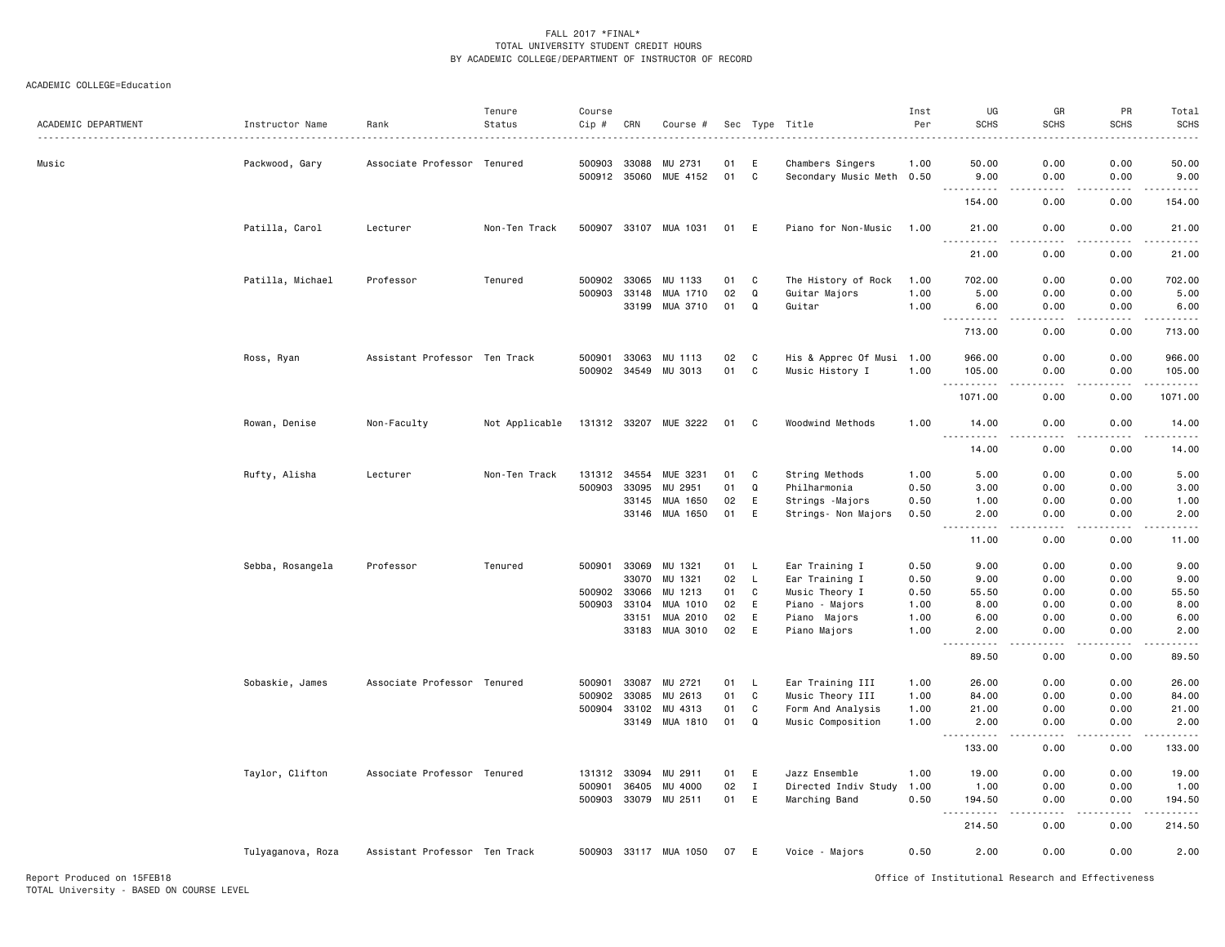ACADEMIC COLLEGE=Education

| ACADEMIC DEPARTMENT | Instructor Name   | Rank                          | Tenure<br>Status | Course<br>Cip # | CRN                   | Course #              |          |                   | Sec Type Title<br>.                           | Inst<br>Per | UG<br><b>SCHS</b>                                                                                                                                                   | GR<br><b>SCHS</b> | PR<br><b>SCHS</b>                                                                                                                                            | Total<br><b>SCHS</b>  |
|---------------------|-------------------|-------------------------------|------------------|-----------------|-----------------------|-----------------------|----------|-------------------|-----------------------------------------------|-------------|---------------------------------------------------------------------------------------------------------------------------------------------------------------------|-------------------|--------------------------------------------------------------------------------------------------------------------------------------------------------------|-----------------------|
| Music               | Packwood, Gary    | Associate Professor Tenured   |                  | 500903          | 33088<br>500912 35060 | MU 2731<br>MUE 4152   | 01<br>01 | E<br>$\mathbf{C}$ | Chambers Singers<br>Secondary Music Meth 0.50 | 1.00        | 50.00<br>9.00                                                                                                                                                       | 0.00<br>0.00      | 0.00<br>0.00                                                                                                                                                 | 50.00<br>9.00         |
|                     |                   |                               |                  |                 |                       |                       |          |                   |                                               |             | 154.00                                                                                                                                                              | 0.00              | 0.00                                                                                                                                                         | 154.00                |
|                     | Patilla, Carol    | Lecturer                      | Non-Ten Track    |                 |                       | 500907 33107 MUA 1031 | 01 E     |                   | Piano for Non-Music                           | 1.00        | 21.00                                                                                                                                                               | 0.00              | 0.00                                                                                                                                                         | 21.00                 |
|                     |                   |                               |                  |                 |                       |                       |          |                   |                                               |             | .<br>.<br>21.00                                                                                                                                                     | .<br>0.00         | -----<br>0.00                                                                                                                                                | .<br>21.00            |
|                     | Patilla, Michael  | Professor                     | Tenured          |                 | 500902 33065          | MU 1133               | 01       | C                 | The History of Rock                           | 1.00        | 702.00                                                                                                                                                              | 0.00              | 0.00                                                                                                                                                         | 702.00                |
|                     |                   |                               |                  | 500903          | 33148                 | MUA 1710              | 02       | Q                 | Guitar Majors                                 | 1.00        | 5.00                                                                                                                                                                | 0.00              | 0.00                                                                                                                                                         | 5.00                  |
|                     |                   |                               |                  |                 | 33199                 | MUA 3710              | 01       | Q                 | Guitar                                        | 1.00        | 6.00<br>.                                                                                                                                                           | 0.00<br>.         | 0.00                                                                                                                                                         | 6.00<br>وعاماته عامات |
|                     |                   |                               |                  |                 |                       |                       |          |                   |                                               |             | 713.00                                                                                                                                                              | 0.00              | 0.00                                                                                                                                                         | 713.00                |
|                     | Ross, Ryan        | Assistant Professor Ten Track |                  | 500901          | 33063                 | MU 1113               | 02       | C                 | His & Apprec Of Musi 1.00                     |             | 966.00                                                                                                                                                              | 0.00              | 0.00                                                                                                                                                         | 966.00                |
|                     |                   |                               |                  |                 |                       | 500902 34549 MU 3013  | 01       | C                 | Music History I                               | 1.00        | 105.00<br><u>.</u>                                                                                                                                                  | 0.00<br>.         | 0.00<br>-----                                                                                                                                                | 105.00<br>.           |
|                     |                   |                               |                  |                 |                       |                       |          |                   |                                               |             | 1071.00                                                                                                                                                             | 0.00              | 0.00                                                                                                                                                         | 1071.00               |
|                     | Rowan, Denise     | Non-Faculty                   | Not Applicable   |                 |                       | 131312 33207 MUE 3222 | 01       | C                 | Woodwind Methods                              | 1.00        | 14.00<br>.                                                                                                                                                          | 0.00<br>د د د د   | 0.00<br>.                                                                                                                                                    | 14.00<br>.            |
|                     |                   |                               |                  |                 |                       |                       |          |                   |                                               |             | 14.00                                                                                                                                                               | 0.00              | 0.00                                                                                                                                                         | 14.00                 |
|                     | Rufty, Alisha     | Lecturer                      | Non-Ten Track    | 131312          | 34554                 | MUE 3231              | 01       | C                 | String Methods                                | 1.00        | 5.00                                                                                                                                                                | 0.00              | 0.00                                                                                                                                                         | 5.00                  |
|                     |                   |                               |                  | 500903          | 33095                 | MU 2951               | 01       | Q                 | Philharmonia                                  | 0.50        | 3.00                                                                                                                                                                | 0.00              | 0.00                                                                                                                                                         | 3.00                  |
|                     |                   |                               |                  |                 | 33145                 | MUA 1650              | 02       | E                 | Strings - Majors                              | 0.50        | 1.00                                                                                                                                                                | 0.00              | 0.00                                                                                                                                                         | 1.00                  |
|                     |                   |                               |                  |                 |                       | 33146 MUA 1650        | 01       | E                 | Strings- Non Majors                           | 0.50        | 2.00<br>$\frac{1}{2} \left( \frac{1}{2} \right) \left( \frac{1}{2} \right) \left( \frac{1}{2} \right) \left( \frac{1}{2} \right) \left( \frac{1}{2} \right)$<br>--- | 0.00<br>.         | 0.00<br>.                                                                                                                                                    | 2.00<br>.             |
|                     |                   |                               |                  |                 |                       |                       |          |                   |                                               |             | 11.00                                                                                                                                                               | 0.00              | 0.00                                                                                                                                                         | 11.00                 |
|                     | Sebba, Rosangela  | Professor                     | Tenured          | 500901          | 33069                 | MU 1321               | 01       | <b>L</b>          | Ear Training I                                | 0.50        | 9.00                                                                                                                                                                | 0.00              | 0.00                                                                                                                                                         | 9.00                  |
|                     |                   |                               |                  |                 | 33070                 | MU 1321               | 02       | L.                | Ear Training I                                | 0.50        | 9.00                                                                                                                                                                | 0.00              | 0.00                                                                                                                                                         | 9.00                  |
|                     |                   |                               |                  | 500902          | 33066                 | MU 1213               | 01       | C                 | Music Theory I                                | 0.50        | 55.50                                                                                                                                                               | 0.00              | 0.00                                                                                                                                                         | 55.50                 |
|                     |                   |                               |                  | 500903          | 33104                 | MUA 1010              | 02       | E                 | Piano - Majors                                | 1.00        | 8.00                                                                                                                                                                | 0.00              | 0.00                                                                                                                                                         | 8.00                  |
|                     |                   |                               |                  |                 | 33151                 | MUA 2010              | 02       | E                 | Piano Majors                                  | 1.00        | 6.00                                                                                                                                                                | 0.00              | 0.00                                                                                                                                                         | 6.00                  |
|                     |                   |                               |                  |                 | 33183                 | MUA 3010              | 02       | E                 | Piano Majors                                  | 1.00        | 2.00<br><u>.</u>                                                                                                                                                    | 0.00              | 0.00                                                                                                                                                         | 2.00                  |
|                     |                   |                               |                  |                 |                       |                       |          |                   |                                               |             | 89.50                                                                                                                                                               | 0.00              | 0.00                                                                                                                                                         | 89.50                 |
|                     | Sobaskie, James   | Associate Professor Tenured   |                  | 500901          | 33087                 | MU 2721               | 01       | L,                | Ear Training III                              | 1.00        | 26.00                                                                                                                                                               | 0.00              | 0.00                                                                                                                                                         | 26.00                 |
|                     |                   |                               |                  | 500902          | 33085                 | MU 2613               | 01       | C                 | Music Theory III                              | 1.00        | 84.00                                                                                                                                                               | 0.00              | 0.00                                                                                                                                                         | 84.00                 |
|                     |                   |                               |                  | 500904          | 33102                 | MU 4313               | 01       | C                 | Form And Analysis                             | 1.00        | 21.00                                                                                                                                                               | 0.00              | 0.00                                                                                                                                                         | 21.00                 |
|                     |                   |                               |                  |                 |                       | 33149 MUA 1810        | 01       | Q                 | Music Composition                             | 1.00        | 2.00<br>.<br>$  -$                                                                                                                                                  | 0.00              | 0.00                                                                                                                                                         | 2.00                  |
|                     |                   |                               |                  |                 |                       |                       |          |                   |                                               |             | 133.00                                                                                                                                                              | 0.00              | 0.00                                                                                                                                                         | 133.00                |
|                     | Taylor, Clifton   | Associate Professor Tenured   |                  |                 | 131312 33094          | MU 2911               | 01       | E                 | Jazz Ensemble                                 | 1.00        | 19.00                                                                                                                                                               | 0.00              | 0.00                                                                                                                                                         | 19.00                 |
|                     |                   |                               |                  | 500901          | 36405                 | MU 4000               | 02       | $\mathbf{I}$      | Directed Indiv Study                          | 1.00        | 1.00                                                                                                                                                                | 0.00              | 0.00                                                                                                                                                         | 1.00                  |
|                     |                   |                               |                  |                 |                       | 500903 33079 MU 2511  | 01       | E                 | Marching Band                                 | 0.50        | 194.50<br>$\sim$ $\sim$ .<br>.                                                                                                                                      | 0.00<br>.         | 0.00<br>$\frac{1}{2} \left( \frac{1}{2} \right) \left( \frac{1}{2} \right) \left( \frac{1}{2} \right) \left( \frac{1}{2} \right) \left( \frac{1}{2} \right)$ | 194.50<br>.           |
|                     |                   |                               |                  |                 |                       |                       |          |                   |                                               |             | 214.50                                                                                                                                                              | 0.00              | 0.00                                                                                                                                                         | 214.50                |
|                     | Tulyaganova, Roza | Assistant Professor Ten Track |                  |                 |                       | 500903 33117 MUA 1050 | 07 E     |                   | Voice - Majors                                | 0.50        | 2.00                                                                                                                                                                | 0.00              | 0.00                                                                                                                                                         | 2.00                  |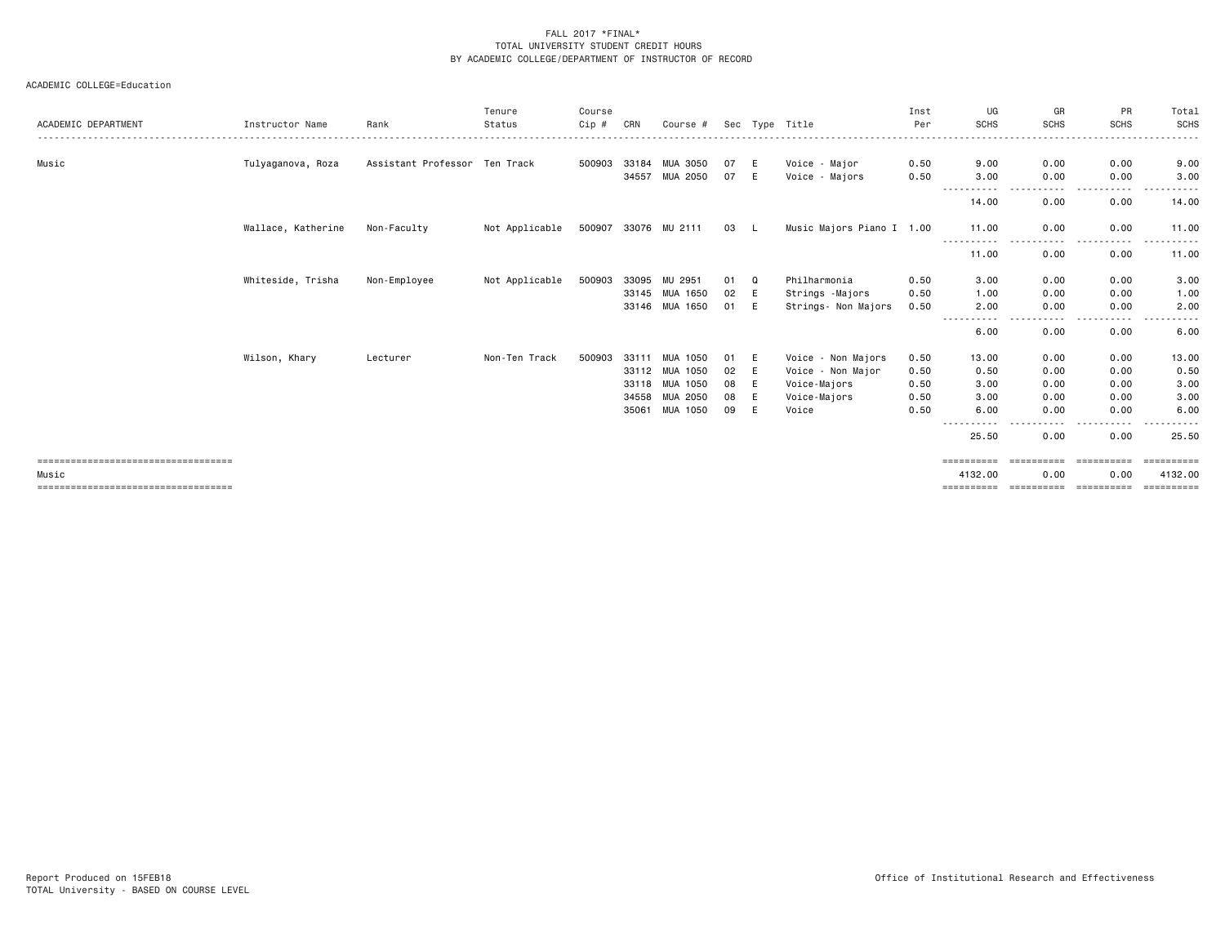# ACADEMIC COLLEGE=Education

| ACADEMIC DEPARTMENT                   | Instructor Name    | Rank                          | Tenure<br>Status | Course<br>Cip # | CRN   | Course #             |      |   | Sec Type Title            | Inst<br>Per | UG<br><b>SCHS</b>   | GR<br><b>SCHS</b> | PR<br><b>SCHS</b> | Total<br><b>SCHS</b> |
|---------------------------------------|--------------------|-------------------------------|------------------|-----------------|-------|----------------------|------|---|---------------------------|-------------|---------------------|-------------------|-------------------|----------------------|
|                                       |                    |                               |                  |                 |       |                      |      |   |                           |             |                     |                   |                   |                      |
| Music                                 | Tulyaganova, Roza  | Assistant Professor Ten Track |                  | 500903          | 33184 | MUA 3050             | 07   | E | Voice - Major             | 0.50        | 9.00                | 0.00              | 0.00              | 9.00                 |
|                                       |                    |                               |                  |                 | 34557 | MUA 2050             | 07   | E | Voice - Majors            | 0.50        | 3,00                | 0.00              | 0.00              | 3.00                 |
|                                       |                    |                               |                  |                 |       |                      |      |   |                           |             | 14.00               | 0.00              | 0.00              | 14.00                |
|                                       | Wallace, Katherine | Non-Faculty                   | Not Applicable   |                 |       | 500907 33076 MU 2111 | 03 L |   | Music Majors Piano I 1.00 |             | 11.00               | 0.00              | 0.00              | 11.00                |
|                                       |                    |                               |                  |                 |       |                      |      |   |                           |             | ----------<br>11.00 | .<br>0.00         | .<br>.<br>0.00    | .<br>11.00           |
|                                       | Whiteside, Trisha  | Non-Employee                  | Not Applicable   | 500903          | 33095 | MU 2951              | 01   | Q | Philharmonia              | 0.50        | 3,00                | 0.00              | 0.00              | 3.00                 |
|                                       |                    |                               |                  |                 |       | 33145 MUA 1650       | 02   | E | Strings -Majors           | 0.50        | 1.00                | 0.00              | 0.00              | 1.00                 |
|                                       |                    |                               |                  |                 |       | 33146 MUA 1650       | 01   | E | Strings- Non Majors       | 0.50        | 2.00                | 0.00              | 0.00<br>----      | 2.00                 |
|                                       |                    |                               |                  |                 |       |                      |      |   |                           |             | 6.00                | 0.00              | 0.00              | 6.00                 |
|                                       | Wilson, Khary      | Lecturer                      | Non-Ten Track    | 500903          | 33111 | MUA 1050             | 01   | E | Voice - Non Majors        | 0.50        | 13.00               | 0.00              | 0.00              | 13.00                |
|                                       |                    |                               |                  |                 |       | 33112 MUA 1050       | 02   | E | Voice - Non Major         | 0.50        | 0.50                | 0.00              | 0.00              | 0.50                 |
|                                       |                    |                               |                  |                 | 33118 | MUA 1050             | 08   | E | Voice-Majors              | 0.50        | 3.00                | 0.00              | 0.00              | 3.00                 |
|                                       |                    |                               |                  |                 | 34558 | MUA 2050             | 08   | E | Voice-Majors              | 0.50        | 3,00                | 0.00              | 0.00              | 3.00                 |
|                                       |                    |                               |                  |                 | 35061 | MUA 1050             | 09   | E | Voice                     | 0.50        | 6.00<br>$  -$       | 0.00              | 0.00              | 6.00                 |
|                                       |                    |                               |                  |                 |       |                      |      |   |                           |             | 25.50               | 0.00              | 0.00              | 25.50                |
| ===================================== |                    |                               |                  |                 |       |                      |      |   |                           |             | ==========          | ==========        | ==========        | ==========           |
| Music                                 |                    |                               |                  |                 |       |                      |      |   |                           |             | 4132.00             | 0.00              | 0.00              | 4132.00              |
| ===================================== |                    |                               |                  |                 |       |                      |      |   |                           |             | ==========          | ==========        | ==========        |                      |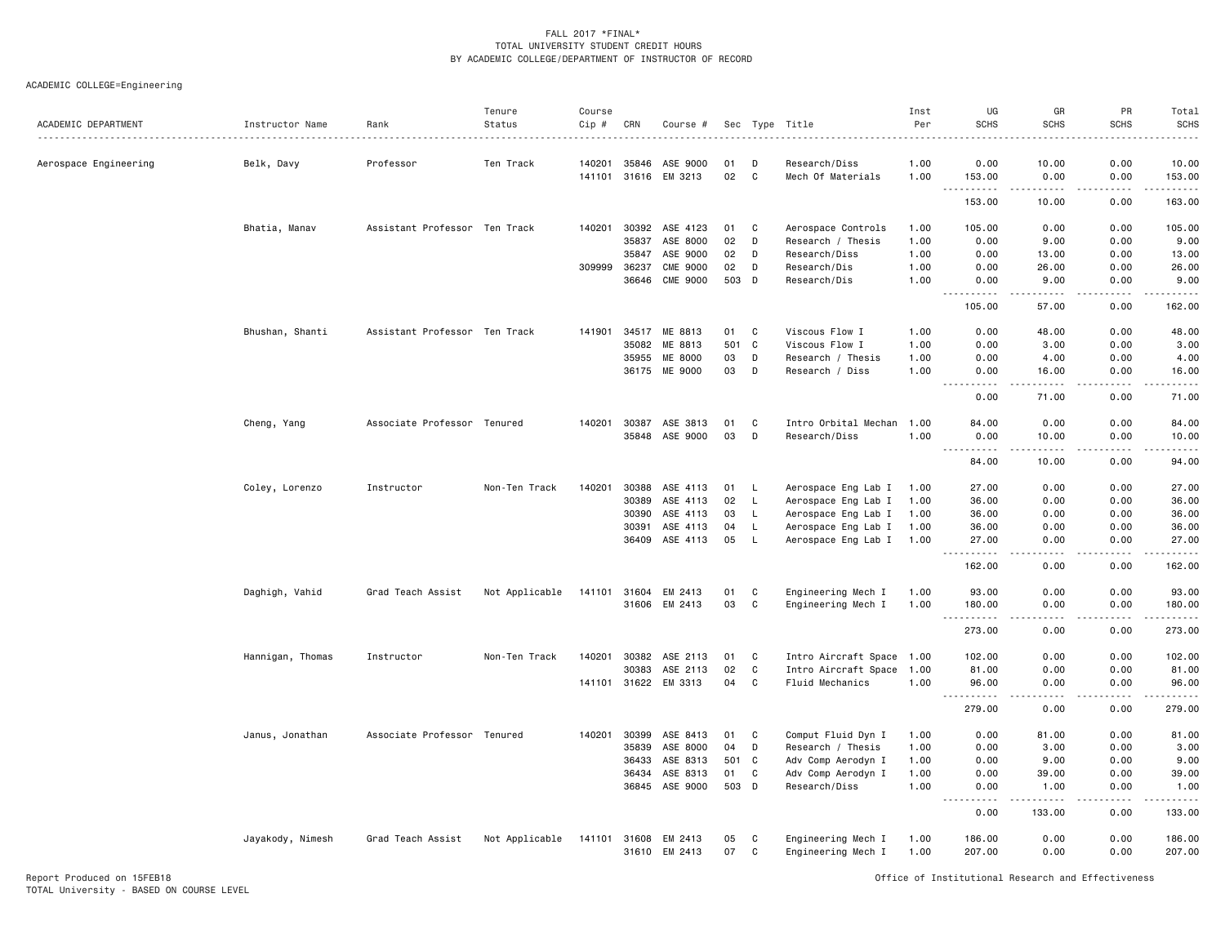| ACADEMIC DEPARTMENT   | Instructor Name  | Rank                          | Tenure<br>Status | Course<br>Cip # | CRN            | Course #                              |          |              | Sec Type Title                                         | Inst<br>Per  | UG<br><b>SCHS</b>                      | GR<br><b>SCHS</b>                                                                                                                                            | PR<br><b>SCHS</b> | Total<br><b>SCHS</b><br>$\frac{1}{2} \left( \frac{1}{2} \right) \left( \frac{1}{2} \right) \left( \frac{1}{2} \right) \left( \frac{1}{2} \right)$              |
|-----------------------|------------------|-------------------------------|------------------|-----------------|----------------|---------------------------------------|----------|--------------|--------------------------------------------------------|--------------|----------------------------------------|--------------------------------------------------------------------------------------------------------------------------------------------------------------|-------------------|----------------------------------------------------------------------------------------------------------------------------------------------------------------|
| Aerospace Engineering | Belk, Davy       | Professor                     | Ten Track        |                 | 140201 35846   | ASE 9000                              | 01       | D            | Research/Diss                                          | 1.00         | 0.00                                   | 10.00                                                                                                                                                        | 0.00              | 10.00                                                                                                                                                          |
|                       |                  |                               |                  |                 |                | 141101 31616 EM 3213                  | 02       | C            | Mech Of Materials                                      | 1.00         | 153.00<br>المتمام والمنا<br>$-$        | 0.00<br>$\frac{1}{2} \left( \frac{1}{2} \right) \left( \frac{1}{2} \right) \left( \frac{1}{2} \right) \left( \frac{1}{2} \right) \left( \frac{1}{2} \right)$ | 0.00<br>.         | 153.00<br>$\frac{1}{2} \left( \frac{1}{2} \right) \left( \frac{1}{2} \right) \left( \frac{1}{2} \right) \left( \frac{1}{2} \right) \left( \frac{1}{2} \right)$ |
|                       |                  |                               |                  |                 |                |                                       |          |              |                                                        |              | 153.00                                 | 10.00                                                                                                                                                        | 0.00              | 163.00                                                                                                                                                         |
|                       | Bhatia, Manav    | Assistant Professor Ten Track |                  | 140201          | 30392          | ASE 4123                              | 01       | C            | Aerospace Controls                                     | 1.00         | 105.00                                 | 0.00                                                                                                                                                         | 0.00              | 105.00                                                                                                                                                         |
|                       |                  |                               |                  |                 | 35837          | ASE 8000                              | 02       | D            | Research / Thesis                                      | 1.00         | 0.00                                   | 9.00                                                                                                                                                         | 0.00              | 9.00                                                                                                                                                           |
|                       |                  |                               |                  |                 | 35847          | ASE 9000                              | 02       | D            | Research/Diss                                          | 1.00         | 0.00                                   | 13.00                                                                                                                                                        | 0.00              | 13.00                                                                                                                                                          |
|                       |                  |                               |                  | 309999          | 36237          | CME 9000                              | 02       | D            | Research/Dis                                           | 1.00         | 0.00                                   | 26.00                                                                                                                                                        | 0.00              | 26.00                                                                                                                                                          |
|                       |                  |                               |                  |                 | 36646          | <b>CME 9000</b>                       | 503      | D            | Research/Dis                                           | 1.00         | 0.00<br>.                              | 9.00<br>$\frac{1}{2} \left( \frac{1}{2} \right) \left( \frac{1}{2} \right) \left( \frac{1}{2} \right) \left( \frac{1}{2} \right) \left( \frac{1}{2} \right)$ | 0.00<br>.         | 9.00<br><u>.</u>                                                                                                                                               |
|                       |                  |                               |                  |                 |                |                                       |          |              |                                                        |              | 105.00                                 | 57.00                                                                                                                                                        | 0.00              | 162.00                                                                                                                                                         |
|                       | Bhushan, Shanti  | Assistant Professor Ten Track |                  | 141901          | 34517          | ME 8813                               | 01       | C            | Viscous Flow I                                         | 1.00         | 0.00                                   | 48.00                                                                                                                                                        | 0.00              | 48.00                                                                                                                                                          |
|                       |                  |                               |                  |                 | 35082          | ME 8813                               | 501      | C            | Viscous Flow I                                         | 1.00         | 0.00                                   | 3.00                                                                                                                                                         | 0.00              | 3.00                                                                                                                                                           |
|                       |                  |                               |                  |                 | 35955          | ME 8000                               | 03       | D            | Research / Thesis                                      | 1.00         | 0.00                                   | 4.00                                                                                                                                                         | 0.00              | 4.00                                                                                                                                                           |
|                       |                  |                               |                  |                 |                | 36175 ME 9000                         | 03       | D            | Research / Diss                                        | 1.00         | 0.00<br>$\sim$ $\sim$ $\sim$<br>.      | 16.00<br>$\frac{1}{2}$                                                                                                                                       | 0.00<br>.         | 16.00<br>.                                                                                                                                                     |
|                       |                  |                               |                  |                 |                |                                       |          |              |                                                        |              | 0.00                                   | 71.00                                                                                                                                                        | 0.00              | 71.00                                                                                                                                                          |
|                       | Cheng, Yang      | Associate Professor Tenured   |                  |                 | 140201 30387   | ASE 3813                              | 01       | C            | Intro Orbital Mechan 1.00                              |              | 84.00                                  | 0.00                                                                                                                                                         | 0.00              | 84.00                                                                                                                                                          |
|                       |                  |                               |                  |                 | 35848          | ASE 9000                              | 03       | D            | Research/Diss                                          | 1.00         | 0.00                                   | 10.00                                                                                                                                                        | 0.00              | 10.00                                                                                                                                                          |
|                       |                  |                               |                  |                 |                |                                       |          |              |                                                        |              | $\sim$ $\sim$ $\sim$<br>-----<br>84.00 | .<br>10.00                                                                                                                                                   | -----<br>0.00     | .<br>94.00                                                                                                                                                     |
|                       | Coley, Lorenzo   | Instructor                    | Non-Ten Track    | 140201          | 30388          | ASE 4113                              | 01       | -L           | Aerospace Eng Lab I                                    | 1.00         | 27.00                                  | 0.00                                                                                                                                                         | 0.00              | 27.00                                                                                                                                                          |
|                       |                  |                               |                  |                 | 30389          | ASE 4113                              | 02       | $\mathsf{L}$ | Aerospace Eng Lab I                                    | 1.00         | 36.00                                  | 0.00                                                                                                                                                         | 0.00              | 36.00                                                                                                                                                          |
|                       |                  |                               |                  |                 | 30390          | ASE 4113                              | 03       | L.           | Aerospace Eng Lab I                                    | 1.00         | 36.00                                  | 0.00                                                                                                                                                         | 0.00              | 36.00                                                                                                                                                          |
|                       |                  |                               |                  |                 | 30391          | ASE 4113                              | 04       | L.           | Aerospace Eng Lab I                                    | 1.00         | 36.00                                  | 0.00                                                                                                                                                         | 0.00              | 36.00                                                                                                                                                          |
|                       |                  |                               |                  |                 | 36409          | ASE 4113                              | 05       | $\mathsf{L}$ | Aerospace Eng Lab I 1.00                               |              | 27.00<br>.                             | 0.00<br>.                                                                                                                                                    | 0.00<br>.         | 27.00<br>.                                                                                                                                                     |
|                       |                  |                               |                  |                 |                |                                       |          |              |                                                        |              | 162.00                                 | 0.00                                                                                                                                                         | 0.00              | 162.00                                                                                                                                                         |
|                       | Daghigh, Vahid   | Grad Teach Assist             | Not Applicable   | 141101          | 31604          | EM 2413                               | 01       | C            | Engineering Mech I                                     | 1.00         | 93.00                                  | 0.00                                                                                                                                                         | 0.00              | 93.00                                                                                                                                                          |
|                       |                  |                               |                  |                 |                | 31606 EM 2413                         | 03       | $\mathtt{C}$ | Engineering Mech I                                     | 1.00         | 180.00                                 | 0.00                                                                                                                                                         | 0.00              | 180.00                                                                                                                                                         |
|                       |                  |                               |                  |                 |                |                                       |          |              |                                                        |              | .<br>$\sim$ $\sim$ $\sim$<br>273.00    | د د د د<br>0.00                                                                                                                                              | 22222<br>0.00     | .<br>273.00                                                                                                                                                    |
|                       |                  |                               |                  |                 |                |                                       |          |              |                                                        |              |                                        |                                                                                                                                                              |                   |                                                                                                                                                                |
|                       | Hannigan, Thomas | Instructor                    | Non-Ten Track    | 140201          | 30382<br>30383 | ASE 2113<br>ASE 2113                  | 01<br>02 | C<br>C       | Intro Aircraft Space 1.00<br>Intro Aircraft Space 1.00 |              | 102.00<br>81.00                        | 0.00<br>0.00                                                                                                                                                 | 0.00<br>0.00      | 102.00<br>81.00                                                                                                                                                |
|                       |                  |                               |                  |                 |                | 141101 31622 EM 3313                  | 04       | C            | Fluid Mechanics                                        | 1.00         | 96.00                                  | 0.00                                                                                                                                                         | 0.00              | 96.00                                                                                                                                                          |
|                       |                  |                               |                  |                 |                |                                       |          |              |                                                        |              | $\sim$ $\sim$ $\sim$<br>.<br>279.00    | $\sim$ $\sim$ $\sim$<br>0.00                                                                                                                                 | .<br>0.00         | <u>.</u><br>279.00                                                                                                                                             |
|                       | Janus, Jonathan  | Associate Professor Tenured   |                  | 140201          | 30399          | ASE 8413                              | 01       | C            | Comput Fluid Dyn I                                     | 1.00         | 0.00                                   | 81.00                                                                                                                                                        | 0.00              | 81.00                                                                                                                                                          |
|                       |                  |                               |                  |                 | 35839          | ASE 8000                              | 04       | D            | Research / Thesis                                      | 1.00         | 0.00                                   | 3.00                                                                                                                                                         | 0.00              | 3.00                                                                                                                                                           |
|                       |                  |                               |                  |                 | 36433          | ASE 8313                              | 501 C    |              | Adv Comp Aerodyn I                                     | 1.00         | 0.00                                   | 9.00                                                                                                                                                         | 0.00              | 9.00                                                                                                                                                           |
|                       |                  |                               |                  |                 | 36434          | ASE 8313                              | 01       | C            | Adv Comp Aerodyn I                                     | 1.00         | 0.00                                   | 39.00                                                                                                                                                        | 0.00              | 39.00                                                                                                                                                          |
|                       |                  |                               |                  |                 | 36845          | ASE 9000                              | 503      | D            | Research/Diss                                          | 1.00         | 0.00<br>.                              | 1.00<br>.                                                                                                                                                    | 0.00<br>.         | 1.00<br>$- - - - -$                                                                                                                                            |
|                       |                  |                               |                  |                 |                |                                       |          |              |                                                        |              | 0.00                                   | 133.00                                                                                                                                                       | 0.00              | 133.00                                                                                                                                                         |
|                       | Jayakody, Nimesh | Grad Teach Assist             | Not Applicable   |                 |                | 141101 31608 EM 2413<br>31610 EM 2413 | 05<br>07 | C<br>C       | Engineering Mech I<br>Engineering Mech I               | 1.00<br>1.00 | 186.00<br>207.00                       | 0.00<br>0.00                                                                                                                                                 | 0.00<br>0.00      | 186.00<br>207.00                                                                                                                                               |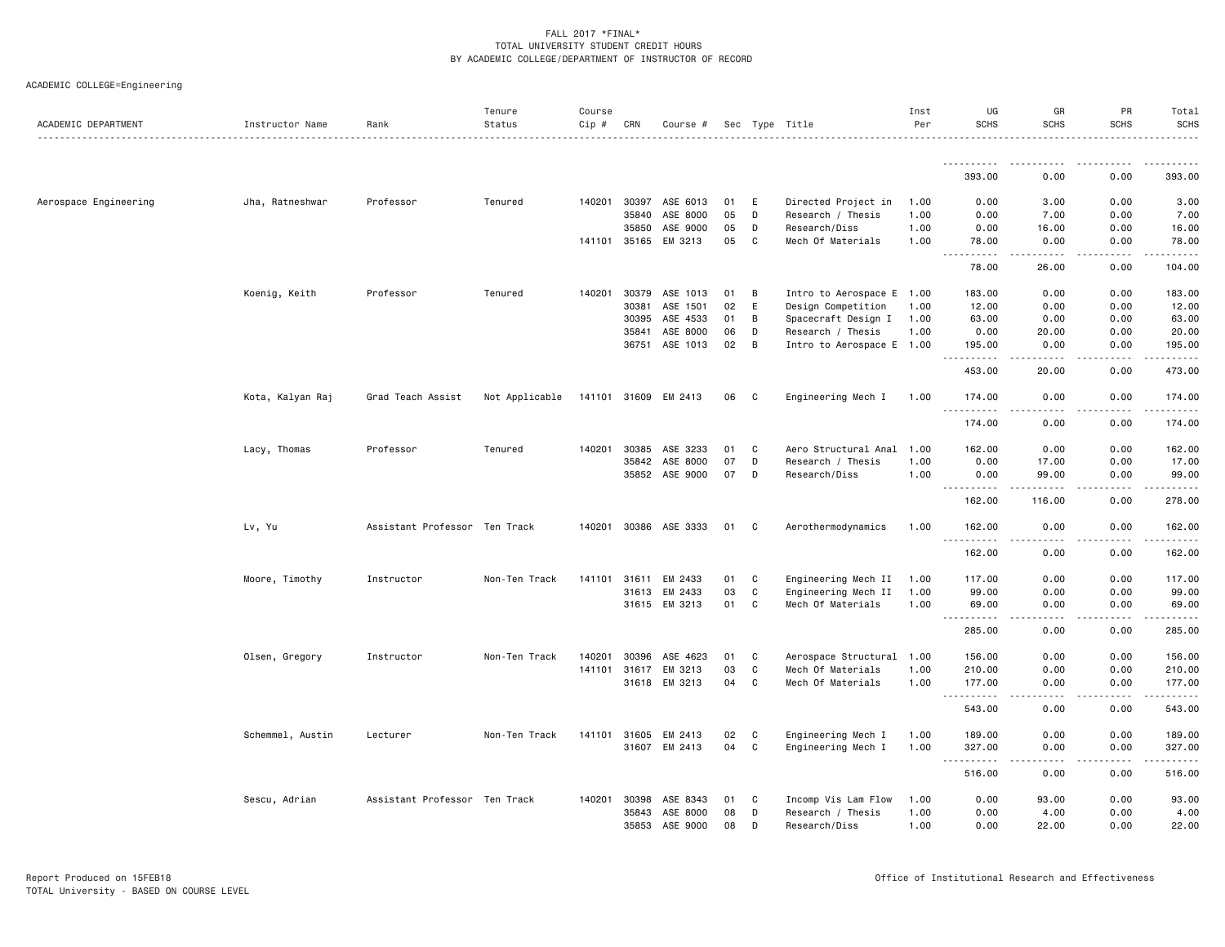| ACADEMIC COLLEGE=Engineering |  |  |  |  |
|------------------------------|--|--|--|--|
|------------------------------|--|--|--|--|

| ACADEMIC DEPARTMENT   | Instructor Name  | Rank                          | Tenure<br>Status | Course<br>$Cip \#$ | CRN          | Course #       |    |              | Sec Type Title            | Inst<br>Per | UG<br><b>SCHS</b>                                 | GR<br><b>SCHS</b>    | PR<br><b>SCHS</b> | Total<br><b>SCHS</b>      |
|-----------------------|------------------|-------------------------------|------------------|--------------------|--------------|----------------|----|--------------|---------------------------|-------------|---------------------------------------------------|----------------------|-------------------|---------------------------|
|                       |                  |                               |                  |                    |              |                |    |              |                           |             |                                                   |                      |                   |                           |
|                       |                  |                               |                  |                    |              |                |    |              |                           |             | 393.00                                            | 0.00                 | 0.00              | 393.00                    |
| Aerospace Engineering | Jha, Ratneshwar  | Professor                     | Tenured          | 140201             | 30397        | ASE 6013       | 01 | E            | Directed Project in       | 1.00        | 0.00                                              | 3.00                 | 0.00              | 3.00                      |
|                       |                  |                               |                  |                    | 35840        | ASE 8000       | 05 | D            | Research / Thesis         | 1.00        | 0.00                                              | 7.00                 | 0.00              | 7.00                      |
|                       |                  |                               |                  |                    | 35850        | ASE 9000       | 05 | D            | Research/Diss             | 1.00        | 0.00                                              | 16.00                | 0.00              | 16.00                     |
|                       |                  |                               |                  | 141101             | 35165        | EM 3213        | 05 | C            | Mech Of Materials         | 1.00        | 78.00<br>$\sim$ $\sim$<br>.                       | 0.00                 | 0.00<br>.         | 78.00                     |
|                       |                  |                               |                  |                    |              |                |    |              |                           |             | 78.00                                             | 26.00                | 0.00              | 104.00                    |
|                       | Koenig, Keith    | Professor                     | Tenured          | 140201             | 30379        | ASE 1013       | 01 | B            | Intro to Aerospace E 1.00 |             | 183.00                                            | 0.00                 | 0.00              | 183.00                    |
|                       |                  |                               |                  |                    | 30381        | ASE 1501       | 02 | Ε            | Design Competition        | 1.00        | 12.00                                             | 0.00                 | 0.00              | 12.00                     |
|                       |                  |                               |                  |                    | 30395        | ASE 4533       | 01 | В            | Spacecraft Design I       | 1.00        | 63.00                                             | 0.00                 | 0.00              | 63.00                     |
|                       |                  |                               |                  |                    | 35841        | ASE 8000       | 06 | D            | Research / Thesis         | 1.00        | 0.00                                              | 20.00                | 0.00              | 20.00                     |
|                       |                  |                               |                  |                    | 36751        | ASE 1013       | 02 | B            | Intro to Aerospace E 1.00 |             | 195.00                                            | 0.00                 | 0.00              | 195.00<br>$\frac{1}{2}$   |
|                       |                  |                               |                  |                    |              |                |    |              |                           |             | 453.00                                            | 20.00                | 0.00              | 473.00                    |
|                       | Kota, Kalyan Raj | Grad Teach Assist             | Not Applicable   |                    | 141101 31609 | EM 2413        | 06 | C            | Engineering Mech I        | 1.00        | 174.00                                            | 0.00                 | 0.00              | 174.00                    |
|                       |                  |                               |                  |                    |              |                |    |              |                           |             | 174.00                                            | 0.00                 | 0.00              | 174.00                    |
|                       | Lacy, Thomas     | Professor                     | Tenured          | 140201             | 30385        | ASE 3233       | 01 | C            | Aero Structural Anal 1.00 |             | 162.00                                            | 0.00                 | 0.00              | 162.00                    |
|                       |                  |                               |                  |                    | 35842        | ASE 8000       | 07 | D            | Research / Thesis         | 1.00        | 0.00                                              | 17.00                | 0.00              | 17.00                     |
|                       |                  |                               |                  |                    |              | 35852 ASE 9000 | 07 | D            | Research/Diss             | 1.00        | 0.00<br>.                                         | 99.00                | 0.00              | 99.00<br>.                |
|                       |                  |                               |                  |                    |              |                |    |              |                           |             | 162.00                                            | 116.00               | 0.00              | 278.00                    |
|                       | Lv, Yu           | Assistant Professor Ten Track |                  | 140201             | 30386        | ASE 3333       | 01 | C            | Aerothermodynamics        | 1.00        | 162.00<br><u>.</u>                                | 0.00                 | 0.00              | 162.00<br>.               |
|                       |                  |                               |                  |                    |              |                |    |              |                           |             | 162.00                                            | 0.00                 | 0.00              | 162.00                    |
|                       | Moore, Timothy   | Instructor                    | Non-Ten Track    | 141101             | 31611        | EM 2433        | 01 | C            | Engineering Mech II       | 1.00        | 117.00                                            | 0.00                 | 0.00              | 117.00                    |
|                       |                  |                               |                  |                    | 31613        | EM 2433        | 03 | C            | Engineering Mech II       | 1.00        | 99.00                                             | 0.00                 | 0.00              | 99.00                     |
|                       |                  |                               |                  |                    |              | 31615 EM 3213  | 01 | C            | Mech Of Materials         | 1.00        | 69.00                                             | 0.00                 | 0.00              | 69.00                     |
|                       |                  |                               |                  |                    |              |                |    |              |                           |             | ----------<br>285.00                              | .<br>0.00            | .<br>0.00         | 285.00                    |
|                       | Olsen, Gregory   | Instructor                    | Non-Ten Track    | 140201             | 30396        | ASE 4623       | 01 | C            | Aerospace Structural 1.00 |             | 156.00                                            | 0.00                 | 0.00              | 156.00                    |
|                       |                  |                               |                  | 141101             | 31617        | EM 3213        | 03 | $\mathtt{C}$ | Mech Of Materials         | 1.00        | 210.00                                            | 0.00                 | 0.00              | 210.00                    |
|                       |                  |                               |                  |                    |              | 31618 EM 3213  | 04 | C            | Mech Of Materials         | 1.00        | 177.00                                            | 0.00                 | 0.00              | 177.00                    |
|                       |                  |                               |                  |                    |              |                |    |              |                           |             | . <b>.</b><br>$- - -$<br>543.00                   | . <u>. .</u><br>0.00 | .<br>0.00         | $- - - - - - -$<br>543.00 |
|                       | Schemmel, Austin | Lecturer                      | Non-Ten Track    | 141101             | 31605        | EM 2413        | 02 | C            | Engineering Mech I        | 1.00        | 189.00                                            | 0.00                 | 0.00              | 189.00                    |
|                       |                  |                               |                  |                    | 31607        | EM 2413        | 04 | C            | Engineering Mech I        | 1.00        | 327.00                                            | 0.00                 | 0.00              | 327.00                    |
|                       |                  |                               |                  |                    |              |                |    |              |                           |             | $- - - - - - -$<br>$\sim$ $\sim$ $\sim$<br>516.00 | $- - - -$<br>0.00    | .<br>0.00         | .<br>516.00               |
|                       | Sescu, Adrian    | Assistant Professor Ten Track |                  | 140201             | 30398        | ASE 8343       | 01 | C            | Incomp Vis Lam Flow       | 1.00        | 0.00                                              | 93.00                | 0.00              | 93.00                     |
|                       |                  |                               |                  |                    | 35843        | ASE 8000       | 08 | D            | Research / Thesis         | 1.00        | 0.00                                              | 4.00                 | 0.00              | 4.00                      |
|                       |                  |                               |                  |                    | 35853        | ASE 9000       | 08 | D            | Research/Diss             | 1.00        | 0.00                                              | 22.00                | 0.00              | 22.00                     |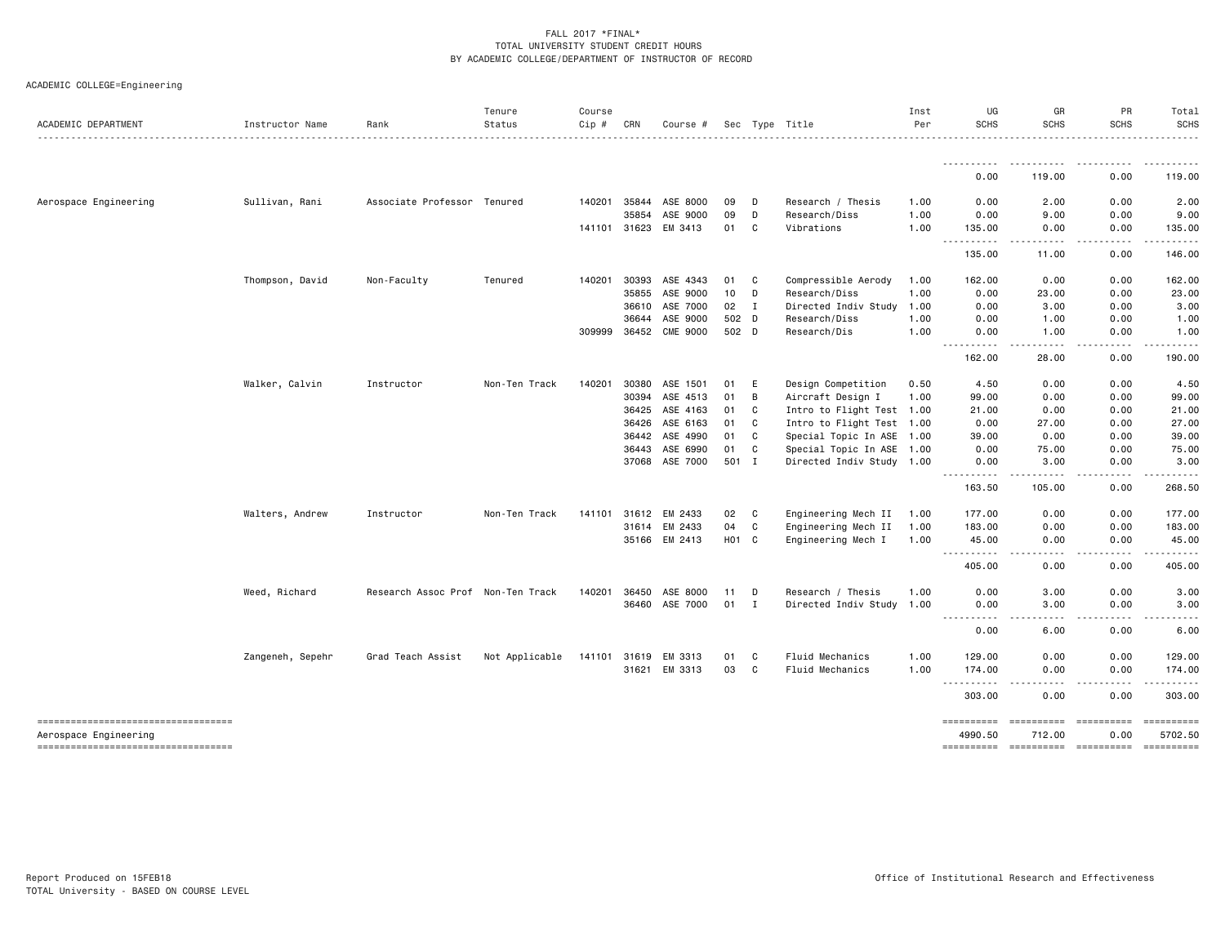| ACADEMIC COLLEGE=Engineering |  |  |  |
|------------------------------|--|--|--|
|                              |  |  |  |

| ACADEMIC DEPARTMENT                                         | Instructor Name  | Rank                              | Tenure<br>Status | Course<br>Cip # | CRN          | Course #        |                   |   | Sec Type Title            | Inst<br>Per | UG<br><b>SCHS</b>                                                                                                                          | GR<br><b>SCHS</b>                 | PR<br><b>SCHS</b>                                                                                                                                                                       | Total<br><b>SCHS</b>  |
|-------------------------------------------------------------|------------------|-----------------------------------|------------------|-----------------|--------------|-----------------|-------------------|---|---------------------------|-------------|--------------------------------------------------------------------------------------------------------------------------------------------|-----------------------------------|-----------------------------------------------------------------------------------------------------------------------------------------------------------------------------------------|-----------------------|
|                                                             |                  |                                   |                  |                 |              |                 |                   |   |                           |             |                                                                                                                                            |                                   |                                                                                                                                                                                         |                       |
|                                                             |                  |                                   |                  |                 |              |                 |                   |   |                           |             | 0.00                                                                                                                                       | 119.00                            | 0.00                                                                                                                                                                                    | 119.00                |
| Aerospace Engineering                                       | Sullivan, Rani   | Associate Professor Tenured       |                  | 140201          | 35844        | ASE 8000        | 09                | D | Research / Thesis         | 1.00        | 0.00                                                                                                                                       | 2.00                              | 0.00                                                                                                                                                                                    | 2.00                  |
|                                                             |                  |                                   |                  |                 | 35854        | ASE 9000        | 09                | D | Research/Diss             | 1.00        | 0.00                                                                                                                                       | 9.00                              | 0.00                                                                                                                                                                                    | 9.00                  |
|                                                             |                  |                                   |                  |                 | 141101 31623 | EM 3413         | 01                | C | Vibrations                | 1.00        | 135.00<br>.                                                                                                                                | 0.00<br>.                         | 0.00<br>.                                                                                                                                                                               | 135.00                |
|                                                             |                  |                                   |                  |                 |              |                 |                   |   |                           |             | 135.00                                                                                                                                     | 11.00                             | 0.00                                                                                                                                                                                    | 146.00                |
|                                                             | Thompson, David  | Non-Faculty                       | Tenured          | 140201          | 30393        | ASE 4343        | 01                | C | Compressible Aerody       | 1.00        | 162.00                                                                                                                                     | 0.00                              | 0.00                                                                                                                                                                                    | 162.00                |
|                                                             |                  |                                   |                  |                 | 35855        | ASE 9000        | 10                | D | Research/Diss             | 1.00        | 0.00                                                                                                                                       | 23.00                             | 0.00                                                                                                                                                                                    | 23.00                 |
|                                                             |                  |                                   |                  |                 | 36610        | ASE 7000        | $02 \quad I$      |   | Directed Indiv Study      | 1.00        | 0.00                                                                                                                                       | 3.00                              | 0.00                                                                                                                                                                                    | 3.00                  |
|                                                             |                  |                                   |                  |                 | 36644        | ASE 9000        | 502 D             |   | Research/Diss             | 1.00        | 0.00                                                                                                                                       | 1.00                              | 0.00                                                                                                                                                                                    | 1.00                  |
|                                                             |                  |                                   |                  |                 | 309999 36452 | <b>CME 9000</b> | 502 D             |   | Research/Dis              | 1.00        | 0.00<br>-----<br>$\frac{1}{2} \left( \frac{1}{2} \right) \left( \frac{1}{2} \right) \left( \frac{1}{2} \right) \left( \frac{1}{2} \right)$ | 1.00<br>.                         | 0.00<br>.                                                                                                                                                                               | 1.00<br>.             |
|                                                             |                  |                                   |                  |                 |              |                 |                   |   |                           |             | 162.00                                                                                                                                     | 28.00                             | 0.00                                                                                                                                                                                    | 190.00                |
|                                                             | Walker, Calvin   | Instructor                        | Non-Ten Track    | 140201          | 30380        | ASE 1501        | 01                | E | Design Competition        | 0.50        | 4.50                                                                                                                                       | 0.00                              | 0.00                                                                                                                                                                                    | 4.50                  |
|                                                             |                  |                                   |                  |                 | 30394        | ASE 4513        | 01                | B | Aircraft Design I         | 1.00        | 99.00                                                                                                                                      | 0.00                              | 0.00                                                                                                                                                                                    | 99.00                 |
|                                                             |                  |                                   |                  |                 | 36425        | ASE 4163        | 01                | C | Intro to Flight Test 1.00 |             | 21.00                                                                                                                                      | 0.00                              | 0.00                                                                                                                                                                                    | 21.00                 |
|                                                             |                  |                                   |                  |                 | 36426        | ASE 6163        | 01                | C | Intro to Flight Test 1.00 |             | 0.00                                                                                                                                       | 27.00                             | 0.00                                                                                                                                                                                    | 27.00                 |
|                                                             |                  |                                   |                  |                 | 36442        | ASE 4990        | 01                | C | Special Topic In ASE 1.00 |             | 39.00                                                                                                                                      | 0.00                              | 0.00                                                                                                                                                                                    | 39.00                 |
|                                                             |                  |                                   |                  |                 | 36443        | ASE 6990        | 01                | C | Special Topic In ASE 1.00 |             | 0.00                                                                                                                                       | 75.00                             | 0.00                                                                                                                                                                                    | 75.00                 |
|                                                             |                  |                                   |                  |                 |              | 37068 ASE 7000  | 501 I             |   | Directed Indiv Study 1.00 |             | 0.00<br><u> - - - - - - - - - -</u>                                                                                                        | 3.00<br>.                         | 0.00<br>.                                                                                                                                                                               | 3.00<br>.             |
|                                                             |                  |                                   |                  |                 |              |                 |                   |   |                           |             | 163.50                                                                                                                                     | 105.00                            | 0.00                                                                                                                                                                                    | 268.50                |
|                                                             | Walters, Andrew  | Instructor                        | Non-Ten Track    |                 | 141101 31612 | EM 2433         | 02                | C | Engineering Mech II 1.00  |             | 177.00                                                                                                                                     | 0.00                              | 0.00                                                                                                                                                                                    | 177.00                |
|                                                             |                  |                                   |                  |                 | 31614        | EM 2433         | 04                | C | Engineering Mech II       | 1.00        | 183.00                                                                                                                                     | 0.00                              | 0.00                                                                                                                                                                                    | 183.00                |
|                                                             |                  |                                   |                  |                 |              | 35166 EM 2413   | H <sub>01</sub> C |   | Engineering Mech I        | 1.00        | 45.00<br>.                                                                                                                                 | 0.00<br>.                         | 0.00<br>$\frac{1}{2} \left( \frac{1}{2} \right) \left( \frac{1}{2} \right) \left( \frac{1}{2} \right) \left( \frac{1}{2} \right) \left( \frac{1}{2} \right) \left( \frac{1}{2} \right)$ | 45.00                 |
|                                                             |                  |                                   |                  |                 |              |                 |                   |   |                           |             | 405.00                                                                                                                                     | 0.00                              | 0.00                                                                                                                                                                                    | 405.00                |
|                                                             | Weed, Richard    | Research Assoc Prof Non-Ten Track |                  | 140201          | 36450        | ASE 8000        | 11                | D | Research / Thesis         | 1.00        | 0.00                                                                                                                                       | 3.00                              | 0.00                                                                                                                                                                                    | 3.00                  |
|                                                             |                  |                                   |                  |                 |              | 36460 ASE 7000  | 01                | I | Directed Indiv Study 1.00 |             | 0.00                                                                                                                                       | 3.00                              | 0.00                                                                                                                                                                                    | 3.00                  |
|                                                             |                  |                                   |                  |                 |              |                 |                   |   |                           |             | $\frac{1}{2}$<br>0.00                                                                                                                      | 6.00                              | 0.00                                                                                                                                                                                    | 6.00                  |
|                                                             | Zangeneh, Sepehr | Grad Teach Assist                 | Not Applicable   | 141101          | 31619        | EM 3313         | 01                | C | Fluid Mechanics           | 1.00        | 129.00                                                                                                                                     | 0.00                              | 0.00                                                                                                                                                                                    | 129.00                |
|                                                             |                  |                                   |                  |                 |              | 31621 EM 3313   | 03                | C | Fluid Mechanics           | 1.00        | 174.00                                                                                                                                     | 0.00                              | 0.00                                                                                                                                                                                    | 174.00                |
|                                                             |                  |                                   |                  |                 |              |                 |                   |   |                           |             | .<br>303.00                                                                                                                                | .<br>0.00                         | $\frac{1}{2}$<br>0.00                                                                                                                                                                   | . <b>.</b><br>303.00  |
| ----------------------------------<br>Aerospace Engineering |                  |                                   |                  |                 |              |                 |                   |   |                           |             | ==========<br>4990.50                                                                                                                      | -----------------------<br>712.00 | 0.00                                                                                                                                                                                    | ==========<br>5702.50 |
| ----------------------------------                          |                  |                                   |                  |                 |              |                 |                   |   |                           |             | ==========                                                                                                                                 | =====================             |                                                                                                                                                                                         | ==========            |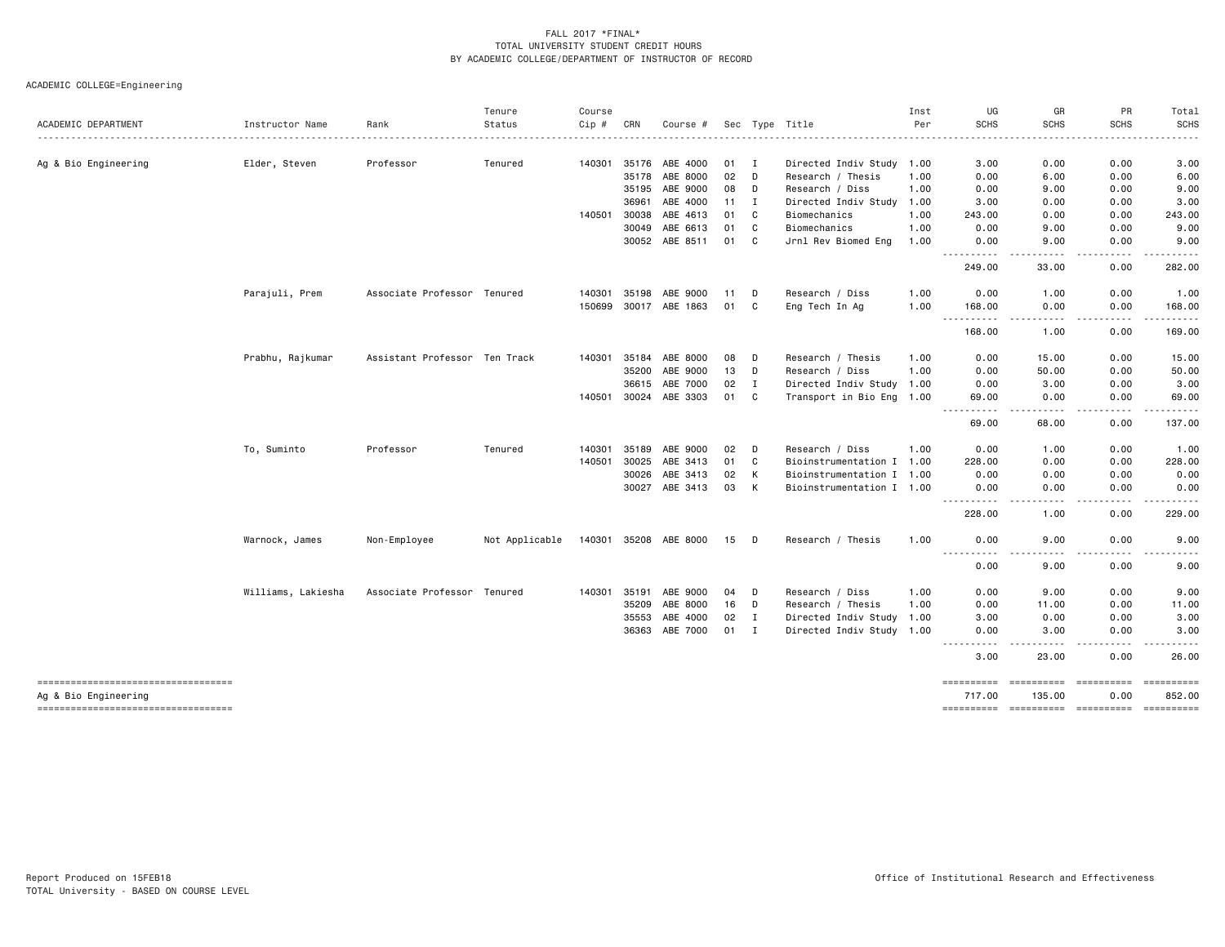| ACADEMIC DEPARTMENT                                         | Instructor Name    | Rank                          | Tenure<br>Status | Course<br>Cip # | CRN   | Course #              |    |                | Sec Type Title            | Inst<br>Per | UG<br><b>SCHS</b>            | GR<br><b>SCHS</b>                                                                                                         | PR<br>SCHS       | Total<br><b>SCHS</b>                                                                                                                |
|-------------------------------------------------------------|--------------------|-------------------------------|------------------|-----------------|-------|-----------------------|----|----------------|---------------------------|-------------|------------------------------|---------------------------------------------------------------------------------------------------------------------------|------------------|-------------------------------------------------------------------------------------------------------------------------------------|
|                                                             |                    |                               |                  |                 |       |                       |    |                |                           |             |                              |                                                                                                                           |                  |                                                                                                                                     |
| Ag & Bio Engineering                                        | Elder, Steven      | Professor                     | Tenured          | 140301          | 35176 | ABE 4000              | 01 | $\blacksquare$ | Directed Indiv Study 1.00 |             | 3.00                         | 0.00                                                                                                                      | 0.00             | 3.00                                                                                                                                |
|                                                             |                    |                               |                  |                 | 35178 | ABE 8000              | 02 | D              | Research / Thesis         | 1.00        | 0.00                         | 6.00                                                                                                                      | 0.00             | 6.00                                                                                                                                |
|                                                             |                    |                               |                  |                 | 35195 | ABE 9000              | 08 | D              | Research / Diss           | 1.00        | 0.00                         | 9.00                                                                                                                      | 0.00             | 9.00                                                                                                                                |
|                                                             |                    |                               |                  |                 | 36961 | ABE 4000              | 11 | I              | Directed Indiv Study      | 1.00        | 3.00                         | 0.00                                                                                                                      | 0.00             | 3.00                                                                                                                                |
|                                                             |                    |                               |                  | 140501          | 30038 | ABE 4613              | 01 | C              | <b>Biomechanics</b>       | 1.00        | 243.00                       | 0.00                                                                                                                      | 0.00             | 243.00                                                                                                                              |
|                                                             |                    |                               |                  |                 | 30049 | ABE 6613              | 01 | C              | <b>Biomechanics</b>       | 1.00        | 0.00                         | 9.00                                                                                                                      | 0.00             | 9.00                                                                                                                                |
|                                                             |                    |                               |                  |                 | 30052 | ABE 8511              | 01 | C              | Jrnl Rev Biomed Eng       | 1.00        | 0.00                         | 9.00                                                                                                                      | 0.00             | 9.00                                                                                                                                |
|                                                             |                    |                               |                  |                 |       |                       |    |                |                           |             | .<br>249.00                  | .<br>33.00                                                                                                                | .<br>0.00        | .<br>282.00                                                                                                                         |
|                                                             | Parajuli, Prem     | Associate Professor Tenured   |                  | 140301          | 35198 | ABE 9000              | 11 | D              | Research / Diss           | 1.00        | 0.00                         | 1.00                                                                                                                      | 0.00             | 1.00                                                                                                                                |
|                                                             |                    |                               |                  | 150699          |       | 30017 ABE 1863        | 01 | C              | Eng Tech In Ag            | 1.00        | 168.00                       | 0.00                                                                                                                      | 0.00             | 168,00                                                                                                                              |
|                                                             |                    |                               |                  |                 |       |                       |    |                |                           |             | $\frac{1}{2}$                | $\frac{1}{2} \left( \frac{1}{2} \right) \left( \frac{1}{2} \right) \left( \frac{1}{2} \right) \left( \frac{1}{2} \right)$ |                  | .                                                                                                                                   |
|                                                             |                    |                               |                  |                 |       |                       |    |                |                           |             | 168.00                       | 1.00                                                                                                                      | 0.00             | 169.00                                                                                                                              |
|                                                             | Prabhu, Rajkumar   | Assistant Professor Ten Track |                  | 140301          | 35184 | ABE 8000              | 08 | D              | Research / Thesis         | 1.00        | 0.00                         | 15.00                                                                                                                     | 0.00             | 15.00                                                                                                                               |
|                                                             |                    |                               |                  |                 | 35200 | ABE 9000              | 13 | D              | Research / Diss           | 1.00        | 0.00                         | 50.00                                                                                                                     | 0.00             | 50.00                                                                                                                               |
|                                                             |                    |                               |                  |                 | 36615 | ABE 7000              | 02 | $\mathbf{I}$   | Directed Indiv Study 1.00 |             | 0.00                         | 3.00                                                                                                                      | 0.00             | 3.00                                                                                                                                |
|                                                             |                    |                               |                  | 140501          | 30024 | ABE 3303              | 01 | C              | Transport in Bio Eng 1.00 |             | 69.00                        | 0.00                                                                                                                      | 0.00             | 69.00                                                                                                                               |
|                                                             |                    |                               |                  |                 |       |                       |    |                |                           |             | <u>.</u><br>69.00            | .<br>68.00                                                                                                                | .<br>0.00        | .<br>137.00                                                                                                                         |
|                                                             | To, Suminto        | Professor                     | Tenured          | 140301          | 35189 | ABE 9000              | 02 | D              | Research / Diss           | 1.00        | 0.00                         | 1.00                                                                                                                      | 0.00             | 1.00                                                                                                                                |
|                                                             |                    |                               |                  | 140501          | 30025 | ABE 3413              | 01 | C              | Bioinstrumentation I 1.00 |             | 228.00                       | 0.00                                                                                                                      | 0.00             | 228.00                                                                                                                              |
|                                                             |                    |                               |                  |                 | 30026 | ABE 3413              | 02 | K              | Bioinstrumentation I 1.00 |             | 0.00                         | 0.00                                                                                                                      | 0.00             | 0.00                                                                                                                                |
|                                                             |                    |                               |                  |                 | 30027 | ABE 3413              | 03 | K              | Bioinstrumentation I 1.00 |             | 0.00                         | 0.00                                                                                                                      | 0.00             | 0.00                                                                                                                                |
|                                                             |                    |                               |                  |                 |       |                       |    |                |                           |             | .<br>228.00                  | .<br>1.00                                                                                                                 | <u>.</u><br>0.00 | $\begin{array}{cccccccccccccc} \bullet & \bullet & \bullet & \bullet & \bullet & \bullet & \bullet & \bullet \end{array}$<br>229.00 |
|                                                             | Warnock, James     | Non-Employee                  | Not Applicable   |                 |       | 140301 35208 ABE 8000 | 15 | $\Box$         | Research / Thesis         | 1.00        | 0.00                         | 9.00                                                                                                                      | 0.00             | 9.00                                                                                                                                |
|                                                             |                    |                               |                  |                 |       |                       |    |                |                           |             | $\frac{1}{2}$<br>0.00        | ----<br>9.00                                                                                                              | 0.00             | 9.00                                                                                                                                |
|                                                             | Williams, Lakiesha | Associate Professor Tenured   |                  | 140301          | 35191 | ABE 9000              | 04 | D              | Research / Diss           | 1.00        | 0.00                         | 9.00                                                                                                                      | 0.00             | 9.00                                                                                                                                |
|                                                             |                    |                               |                  |                 | 35209 | ABE 8000              | 16 | D              | Research / Thesis         | 1.00        | 0.00                         | 11.00                                                                                                                     | 0.00             | 11.00                                                                                                                               |
|                                                             |                    |                               |                  |                 | 35553 | ABE 4000              | 02 | $\mathbf I$    | Directed Indiv Study 1.00 |             | 3.00                         | 0.00                                                                                                                      | 0.00             | 3.00                                                                                                                                |
|                                                             |                    |                               |                  |                 | 36363 | ABE 7000              | 01 | $\mathbf{I}$   | Directed Indiv Study 1.00 |             | 0.00                         | 3.00                                                                                                                      | 0.00             | 3.00                                                                                                                                |
|                                                             |                    |                               |                  |                 |       |                       |    |                |                           |             | $\sim$ $\sim$ $\sim$<br>3.00 | 23.00                                                                                                                     | 0.00             | 26.00                                                                                                                               |
| ======================================                      |                    |                               |                  |                 |       |                       |    |                |                           |             |                              | eccessess                                                                                                                 |                  | ==========                                                                                                                          |
| Ag & Bio Engineering<br>----------------------------------- |                    |                               |                  |                 |       |                       |    |                |                           |             | 717.00                       | 135.00                                                                                                                    | 0.00             | 852,00                                                                                                                              |
|                                                             |                    |                               |                  |                 |       |                       |    |                |                           |             |                              |                                                                                                                           |                  |                                                                                                                                     |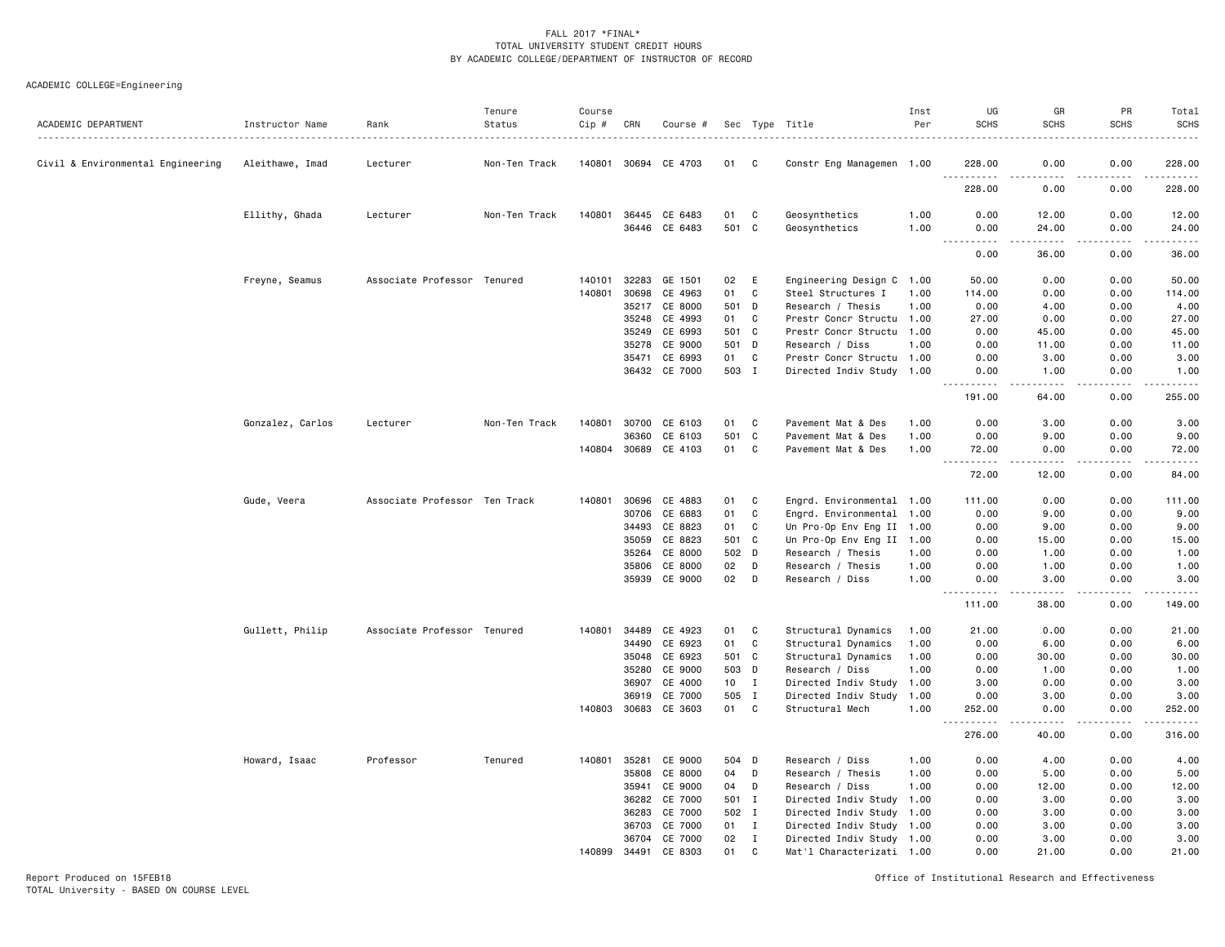| ACADEMIC DEPARTMENT               | Instructor Name  | Rank                          | Tenure<br>Status | Course<br>Cip # | CRN            | Course #             |                 |              | Sec Type Title                          | Inst<br>Per | UG<br><b>SCHS</b>                                                                                                                                         | GR<br><b>SCHS</b>                                                                                                                                             | PR<br><b>SCHS</b>              | Total<br><b>SCHS</b> |
|-----------------------------------|------------------|-------------------------------|------------------|-----------------|----------------|----------------------|-----------------|--------------|-----------------------------------------|-------------|-----------------------------------------------------------------------------------------------------------------------------------------------------------|---------------------------------------------------------------------------------------------------------------------------------------------------------------|--------------------------------|----------------------|
| Civil & Environmental Engineering | Aleithawe, Imad  | Lecturer                      | Non-Ten Track    |                 |                | 140801 30694 CE 4703 | 01              | C            | Constr Eng Managemen 1.00               |             | 228.00                                                                                                                                                    | 0.00                                                                                                                                                          | 0.00<br><u>.</u>               | 228,00               |
|                                   |                  |                               |                  |                 |                |                      |                 |              |                                         |             | .<br>228.00                                                                                                                                               | .<br>0.00                                                                                                                                                     | 0.00                           | .<br>228.00          |
|                                   | Ellithy, Ghada   | Lecturer                      | Non-Ten Track    | 140801          | 36445          | CE 6483              | 01              | C            | Geosynthetics                           | 1.00        | 0.00                                                                                                                                                      | 12.00                                                                                                                                                         | 0.00                           | 12.00                |
|                                   |                  |                               |                  |                 |                | 36446 CE 6483        | 501             | C            | Geosynthetics                           | 1.00        | 0.00<br>.                                                                                                                                                 | 24.00<br>$\frac{1}{2} \left( \frac{1}{2} \right) \left( \frac{1}{2} \right) \left( \frac{1}{2} \right) \left( \frac{1}{2} \right) \left( \frac{1}{2} \right)$ | 0.00<br><b><i><u>.</u></i></b> | 24.00<br>.           |
|                                   |                  |                               |                  |                 |                |                      |                 |              |                                         |             | 0.00                                                                                                                                                      | 36.00                                                                                                                                                         | 0.00                           | 36.00                |
|                                   | Freyne, Seamus   | Associate Professor Tenured   |                  | 140101          | 32283          | GE 1501              | 02              | E            | Engineering Design C 1.00               |             | 50.00                                                                                                                                                     | 0.00                                                                                                                                                          | 0.00                           | 50.00                |
|                                   |                  |                               |                  | 140801          | 30698          | CE 4963              | 01              | C            | Steel Structures I                      | 1.00        | 114.00                                                                                                                                                    | 0.00                                                                                                                                                          | 0.00                           | 114.00               |
|                                   |                  |                               |                  |                 | 35217          | CE 8000              | 501             | D<br>C       | Research / Thesis                       | 1.00        | 0.00                                                                                                                                                      | 4.00                                                                                                                                                          | 0.00                           | 4.00                 |
|                                   |                  |                               |                  |                 | 35248<br>35249 | CE 4993<br>CE 6993   | 01<br>501       | C            | Prestr Concr Structu 1.00               | 1.00        | 27.00                                                                                                                                                     | 0.00                                                                                                                                                          | 0.00                           | 27.00                |
|                                   |                  |                               |                  |                 | 35278          | CE 9000              | 501             | D            | Prestr Concr Structu<br>Research / Diss | 1.00        | 0.00<br>0.00                                                                                                                                              | 45.00<br>11.00                                                                                                                                                | 0.00<br>0.00                   | 45.00<br>11.00       |
|                                   |                  |                               |                  |                 | 35471          | CE 6993              | 01              | C            | Prestr Concr Structu 1.00               |             | 0.00                                                                                                                                                      | 3.00                                                                                                                                                          | 0.00                           | 3.00                 |
|                                   |                  |                               |                  |                 | 36432          | CE 7000              | 503 I           |              | Directed Indiv Study 1.00               |             | 0.00                                                                                                                                                      | 1.00                                                                                                                                                          | 0.00                           | 1.00                 |
|                                   |                  |                               |                  |                 |                |                      |                 |              |                                         |             | $\frac{1}{2} \left( \frac{1}{2} \right) \left( \frac{1}{2} \right) \left( \frac{1}{2} \right) \left( \frac{1}{2} \right) \left( \frac{1}{2} \right)$<br>. | .                                                                                                                                                             | 2.2.2.2.2                      | .                    |
|                                   |                  |                               |                  |                 |                |                      |                 |              |                                         |             | 191.00                                                                                                                                                    | 64.00                                                                                                                                                         | 0.00                           | 255.00               |
|                                   | Gonzalez, Carlos | Lecturer                      | Non-Ten Track    | 140801          | 30700          | CE 6103              | 01              | $\mathbf c$  | Pavement Mat & Des                      | 1.00        | 0.00                                                                                                                                                      | 3.00                                                                                                                                                          | 0.00                           | 3.00                 |
|                                   |                  |                               |                  |                 | 36360          | CE 6103              | 501             | $\mathbf{C}$ | Pavement Mat & Des                      | 1.00        | 0.00                                                                                                                                                      | 9.00                                                                                                                                                          | 0.00                           | 9.00                 |
|                                   |                  |                               |                  |                 | 140804 30689   | CE 4103              | 01              | C            | Pavement Mat & Des                      | 1.00        | 72.00<br>$\omega$ $\omega$ $\omega$ $\omega$                                                                                                              | 0.00                                                                                                                                                          | 0.00                           | 72.00                |
|                                   |                  |                               |                  |                 |                |                      |                 |              |                                         |             | 72.00                                                                                                                                                     | 12.00                                                                                                                                                         | 0.00                           | 84.00                |
|                                   | Gude, Veera      | Associate Professor Ten Track |                  | 140801          |                | 30696 CE 4883        | 01              | C            | Engrd. Environmental 1.00               |             | 111.00                                                                                                                                                    | 0.00                                                                                                                                                          | 0.00                           | 111.00               |
|                                   |                  |                               |                  |                 | 30706          | CE 6883              | 01              | C            | Engrd. Environmental 1.00               |             | 0.00                                                                                                                                                      | 9.00                                                                                                                                                          | 0.00                           | 9.00                 |
|                                   |                  |                               |                  |                 | 34493          | CE 8823              | 01              | C            | Un Pro-Op Env Eng II 1.00               |             | 0.00                                                                                                                                                      | 9.00                                                                                                                                                          | 0.00                           | 9.00                 |
|                                   |                  |                               |                  |                 | 35059          | CE 8823              | 501             | C            | Un Pro-Op Env Eng II 1.00               |             | 0.00                                                                                                                                                      | 15.00                                                                                                                                                         | 0.00                           | 15.00                |
|                                   |                  |                               |                  |                 | 35264          | CE 8000              | 502             | D            | Research / Thesis                       | 1.00        | 0.00                                                                                                                                                      | 1.00                                                                                                                                                          | 0.00                           | 1.00                 |
|                                   |                  |                               |                  |                 | 35806          | CE 8000              | 02              | D            | Research / Thesis                       | 1.00        | 0.00                                                                                                                                                      | 1.00                                                                                                                                                          | 0.00                           | 1.00                 |
|                                   |                  |                               |                  |                 | 35939          | CE 9000              | 02              | D            | Research / Diss                         | 1.00        | 0.00<br>.                                                                                                                                                 | 3.00<br>$\frac{1}{2}$                                                                                                                                         | 0.00<br><u>.</u>               | 3.00<br>.            |
|                                   |                  |                               |                  |                 |                |                      |                 |              |                                         |             | 111.00                                                                                                                                                    | 38.00                                                                                                                                                         | 0.00                           | 149.00               |
|                                   | Gullett, Philip  | Associate Professor Tenured   |                  | 140801          | 34489          | CE 4923              | 01              | C            | Structural Dynamics                     | 1.00        | 21.00                                                                                                                                                     | 0.00                                                                                                                                                          | 0.00                           | 21.00                |
|                                   |                  |                               |                  |                 | 34490          | CE 6923              | 01              | C            | Structural Dynamics                     | 1.00        | 0.00                                                                                                                                                      | 6.00                                                                                                                                                          | 0.00                           | 6.00                 |
|                                   |                  |                               |                  |                 | 35048          | CE 6923              | 501             | C            | Structural Dynamics                     | 1.00        | 0.00                                                                                                                                                      | 30.00                                                                                                                                                         | 0.00                           | 30.00                |
|                                   |                  |                               |                  |                 | 35280          | CE 9000              | 503             | D            | Research / Diss                         | 1.00        | 0.00                                                                                                                                                      | 1.00                                                                                                                                                          | 0.00                           | 1.00                 |
|                                   |                  |                               |                  |                 | 36907          | CE 4000              | 10 <sub>1</sub> | $\mathbf{I}$ | Directed Indiv Study 1.00               |             | 3.00                                                                                                                                                      | 0.00                                                                                                                                                          | 0.00                           | 3.00                 |
|                                   |                  |                               |                  |                 | 36919          | CE 7000              | 505             | $\mathbf{I}$ | Directed Indiv Study 1.00               |             | 0.00                                                                                                                                                      | 3.00                                                                                                                                                          | 0.00                           | 3.00                 |
|                                   |                  |                               |                  |                 | 140803 30683   | CE 3603              | 01              | C            | Structural Mech                         | 1.00        | 252.00<br>$\sim$ $\sim$<br>$\frac{1}{2}$                                                                                                                  | 0.00                                                                                                                                                          | 0.00                           | 252.00               |
|                                   |                  |                               |                  |                 |                |                      |                 |              |                                         |             | 276.00                                                                                                                                                    | 40.00                                                                                                                                                         | 0.00                           | 316.00               |
|                                   | Howard, Isaac    | Professor                     | Tenured          | 140801          | 35281          | CE 9000              | 504 D           |              | Research / Diss                         | 1.00        | 0.00                                                                                                                                                      | 4.00                                                                                                                                                          | 0.00                           | 4.00                 |
|                                   |                  |                               |                  |                 | 35808          | CE 8000              | 04              | D            | Research / Thesis                       | 1.00        | 0.00                                                                                                                                                      | 5.00                                                                                                                                                          | 0.00                           | 5.00                 |
|                                   |                  |                               |                  |                 | 35941          | CE 9000              | 04              | D            | Research / Diss                         | 1.00        | 0.00                                                                                                                                                      | 12.00                                                                                                                                                         | 0.00                           | 12.00                |
|                                   |                  |                               |                  |                 | 36282          | CE 7000              | 501             | $\mathbf{I}$ | Directed Indiv Study 1.00               |             | 0.00                                                                                                                                                      | 3.00                                                                                                                                                          | 0.00                           | 3.00                 |
|                                   |                  |                               |                  |                 | 36283          | CE 7000              | 502             | $\mathbf{I}$ | Directed Indiv Study 1.00               |             | 0.00                                                                                                                                                      | 3.00                                                                                                                                                          | 0.00                           | 3.00                 |
|                                   |                  |                               |                  |                 | 36703          | CE 7000              | 01              | $\mathbf{I}$ | Directed Indiv Study 1.00               |             | 0.00                                                                                                                                                      | 3.00                                                                                                                                                          | 0.00                           | 3.00                 |
|                                   |                  |                               |                  |                 | 36704          | CE 7000              | 02              | $\mathbf{I}$ | Directed Indiv Study 1.00               |             | 0.00                                                                                                                                                      | 3.00                                                                                                                                                          | 0.00                           | 3.00                 |
|                                   |                  |                               |                  | 140899          | 34491          | CE 8303              | 01              | C            | Mat'l Characterizati 1.00               |             | 0.00                                                                                                                                                      | 21.00                                                                                                                                                         | 0.00                           | 21.00                |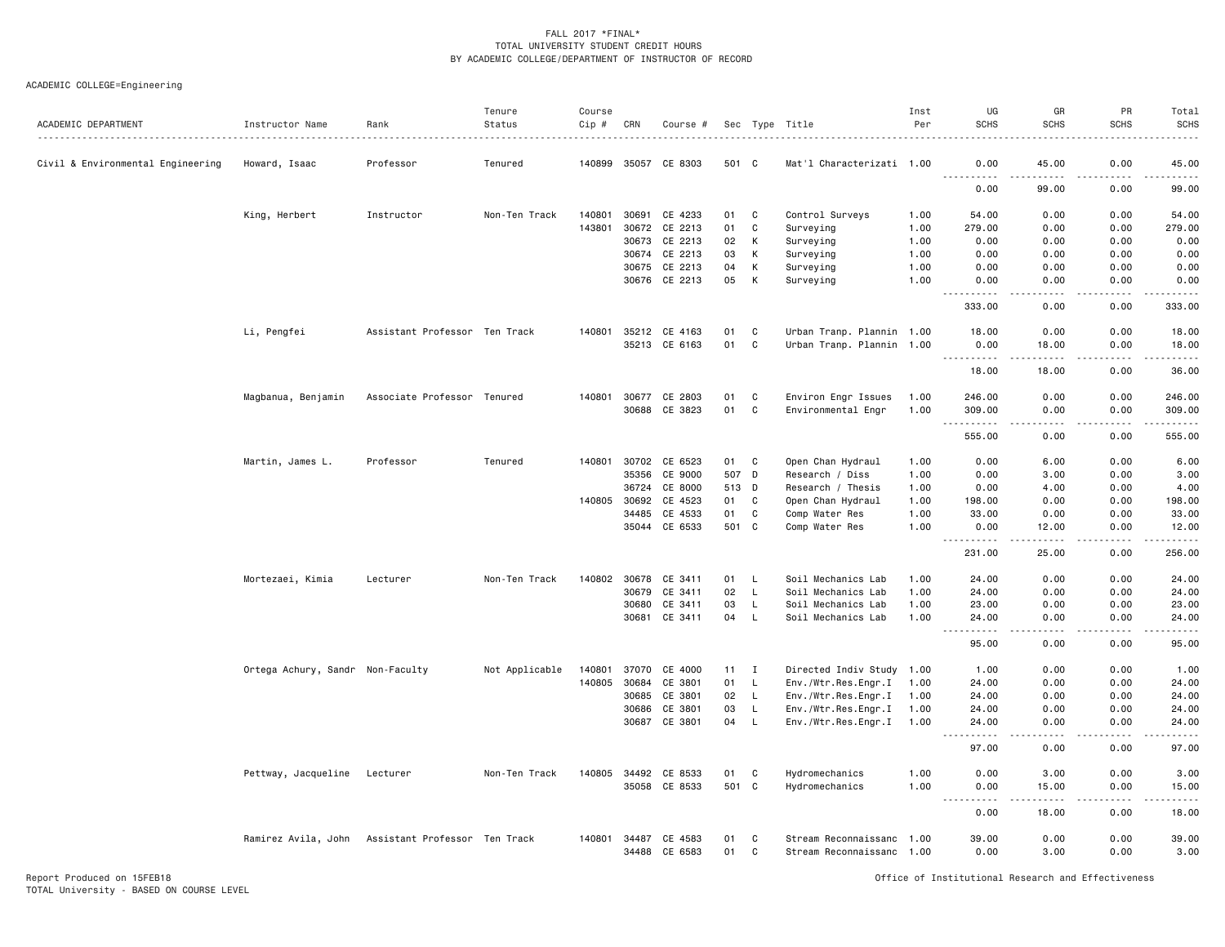| ACADEMIC DEPARTMENT               | Instructor Name                  | Rank                          | Tenure<br>Status | Course<br>Cip # | CRN          | Course #             |       |              | Sec Type Title            | Inst<br>Per | UG<br><b>SCHS</b>                                                                                                                                            | GR<br><b>SCHS</b>                                                                                                                                             | PR<br><b>SCHS</b> | Total<br><b>SCHS</b>                        |
|-----------------------------------|----------------------------------|-------------------------------|------------------|-----------------|--------------|----------------------|-------|--------------|---------------------------|-------------|--------------------------------------------------------------------------------------------------------------------------------------------------------------|---------------------------------------------------------------------------------------------------------------------------------------------------------------|-------------------|---------------------------------------------|
| Civil & Environmental Engineering | Howard, Isaac                    | Professor                     | Tenured          |                 | 140899 35057 | CE 8303              | 501 C |              | Mat'l Characterizati 1.00 |             | 0.00                                                                                                                                                         | 45.00                                                                                                                                                         | 0.00              | 45.00                                       |
|                                   |                                  |                               |                  |                 |              |                      |       |              |                           |             | .<br>0.00                                                                                                                                                    | 99.00                                                                                                                                                         | 0.00              | 99.00                                       |
|                                   | King, Herbert                    | Instructor                    | Non-Ten Track    | 140801          | 30691        | CE 4233              | 01    | C            | Control Surveys           | 1.00        | 54.00                                                                                                                                                        | 0.00                                                                                                                                                          | 0.00              | 54.00                                       |
|                                   |                                  |                               |                  | 143801          | 30672        | CE 2213              | 01    | C            | Surveying                 | 1.00        | 279.00                                                                                                                                                       | 0.00                                                                                                                                                          | 0.00              | 279.00                                      |
|                                   |                                  |                               |                  |                 | 30673        | CE 2213              | 02    | K            | Surveying                 | 1.00        | 0.00                                                                                                                                                         | 0.00                                                                                                                                                          | 0.00              | 0.00                                        |
|                                   |                                  |                               |                  |                 |              | 30674 CE 2213        | 03    | К            | Surveying                 | 1.00        | 0.00                                                                                                                                                         | 0.00                                                                                                                                                          | 0.00              | 0.00                                        |
|                                   |                                  |                               |                  |                 | 30675        | CE 2213              | 04    | К            | Surveying                 | 1.00        | 0.00                                                                                                                                                         | 0.00                                                                                                                                                          | 0.00              | 0.00                                        |
|                                   |                                  |                               |                  |                 |              | 30676 CE 2213        | 05    | К            | Surveying                 | 1.00        | 0.00<br>.                                                                                                                                                    | 0.00<br>.                                                                                                                                                     | 0.00<br>.         | 0.00<br><u>.</u>                            |
|                                   |                                  |                               |                  |                 |              |                      |       |              |                           |             | 333.00                                                                                                                                                       | 0.00                                                                                                                                                          | 0.00              | 333.00                                      |
|                                   | Li, Pengfei                      | Assistant Professor Ten Track |                  | 140801          |              | 35212 CE 4163        | 01    | C            | Urban Tranp. Plannin 1.00 |             | 18.00                                                                                                                                                        | 0.00                                                                                                                                                          | 0.00              | 18.00                                       |
|                                   |                                  |                               |                  |                 |              | 35213 CE 6163        | 01    | C            | Urban Tranp. Plannin 1.00 |             | 0.00<br>$\frac{1}{2} \left( \frac{1}{2} \right) \left( \frac{1}{2} \right) \left( \frac{1}{2} \right) \left( \frac{1}{2} \right) \left( \frac{1}{2} \right)$ | 18.00                                                                                                                                                         | 0.00              | 18.00                                       |
|                                   |                                  |                               |                  |                 |              |                      |       |              |                           |             | 18.00                                                                                                                                                        | 18.00                                                                                                                                                         | 0.00              | 36.00                                       |
|                                   | Magbanua, Benjamin               | Associate Professor Tenured   |                  |                 |              | 140801 30677 CE 2803 | 01    | $\mathtt{C}$ | Environ Engr Issues       | 1.00        | 246.00                                                                                                                                                       | 0.00                                                                                                                                                          | 0.00              | 246.00                                      |
|                                   |                                  |                               |                  |                 |              | 30688 CE 3823        | 01    | $\mathbf c$  | Environmental Engr        | 1.00        | 309.00<br>$\sim$ $\sim$                                                                                                                                      | 0.00<br>$- - -$                                                                                                                                               | 0.00              | 309.00<br>.                                 |
|                                   |                                  |                               |                  |                 |              |                      |       |              |                           |             | 555.00                                                                                                                                                       | 0.00                                                                                                                                                          | 0.00              | 555.00                                      |
|                                   | Martin, James L.                 | Professor                     | Tenured          |                 |              | 140801 30702 CE 6523 | 01 C  |              | Open Chan Hydraul         | 1.00        | 0.00                                                                                                                                                         | 6.00                                                                                                                                                          | 0.00              | 6.00                                        |
|                                   |                                  |                               |                  |                 | 35356        | CE 9000              | 507   | D            | Research / Diss           | 1.00        | 0.00                                                                                                                                                         | 3.00                                                                                                                                                          | 0.00              | 3.00                                        |
|                                   |                                  |                               |                  |                 | 36724        | CE 8000              | 513 D |              | Research / Thesis         | 1.00        | 0.00                                                                                                                                                         | 4.00                                                                                                                                                          | 0.00              | 4.00                                        |
|                                   |                                  |                               |                  | 140805          | 30692        | CE 4523              | 01    | C            | Open Chan Hydraul         | 1.00        | 198.00                                                                                                                                                       | 0.00                                                                                                                                                          | 0.00              | 198.00                                      |
|                                   |                                  |                               |                  |                 | 34485        | CE 4533              | 01    | C            | Comp Water Res            | 1.00        | 33.00                                                                                                                                                        | 0.00                                                                                                                                                          | 0.00              | 33.00                                       |
|                                   |                                  |                               |                  |                 | 35044        | CE 6533              | 501   | C            | Comp Water Res            | 1.00        | 0.00<br>$\sim$ $\sim$ $\sim$<br>المتمام المتحدة                                                                                                              | 12.00                                                                                                                                                         | 0.00              | 12.00                                       |
|                                   |                                  |                               |                  |                 |              |                      |       |              |                           |             | 231.00                                                                                                                                                       | 25.00                                                                                                                                                         | 0.00              | 256.00                                      |
|                                   | Mortezaei, Kimia                 | Lecturer                      | Non-Ten Track    |                 |              | 140802 30678 CE 3411 | 01    | L            | Soil Mechanics Lab        | 1.00        | 24.00                                                                                                                                                        | 0.00                                                                                                                                                          | 0.00              | 24.00                                       |
|                                   |                                  |                               |                  |                 | 30679        | CE 3411              | 02    | $\mathsf{L}$ | Soil Mechanics Lab        | 1.00        | 24.00                                                                                                                                                        | 0.00                                                                                                                                                          | 0.00              | 24.00                                       |
|                                   |                                  |                               |                  |                 | 30680        | CE 3411              | 03    | L            | Soil Mechanics Lab        | 1.00        | 23.00                                                                                                                                                        | 0.00                                                                                                                                                          | 0.00              | 23.00                                       |
|                                   |                                  |                               |                  |                 | 30681        | CE 3411              | 04    | $\mathsf{L}$ | Soil Mechanics Lab        | 1.00        | 24.00                                                                                                                                                        | 0.00<br>.                                                                                                                                                     | 0.00<br>.         | 24.00<br>$\sim$ $\sim$ $\sim$ $\sim$ $\sim$ |
|                                   |                                  |                               |                  |                 |              |                      |       |              |                           |             | 95.00                                                                                                                                                        | 0.00                                                                                                                                                          | 0.00              | 95.00                                       |
|                                   | Ortega Achury, Sandr Non-Faculty |                               | Not Applicable   | 140801          | 37070        | CE 4000              | 11    | I            | Directed Indiv Study 1.00 |             | 1.00                                                                                                                                                         | 0.00                                                                                                                                                          | 0.00              | 1.00                                        |
|                                   |                                  |                               |                  | 140805          | 30684        | CE 3801              | 01    | L            | Env./Wtr.Res.Engr.I       | 1.00        | 24.00                                                                                                                                                        | 0.00                                                                                                                                                          | 0.00              | 24.00                                       |
|                                   |                                  |                               |                  |                 | 30685        | CE 3801              | 02    | $\mathsf{L}$ | Env./Wtr.Res.Engr.I       | 1.00        | 24.00                                                                                                                                                        | 0.00                                                                                                                                                          | 0.00              | 24.00                                       |
|                                   |                                  |                               |                  |                 | 30686        | CE 3801              | 03    | L            | Env./Wtr.Res.Engr.I       | 1.00        | 24.00                                                                                                                                                        | 0.00                                                                                                                                                          | 0.00              | 24.00                                       |
|                                   |                                  |                               |                  |                 |              | 30687 CE 3801        | 04    | $\mathsf{L}$ | Env./Wtr.Res.Engr.I       | 1.00        | 24.00<br>.                                                                                                                                                   | 0.00                                                                                                                                                          | 0.00              | 24.00<br>.                                  |
|                                   |                                  |                               |                  |                 |              |                      |       |              |                           |             | 97.00                                                                                                                                                        | 0.00                                                                                                                                                          | 0.00              | 97.00                                       |
|                                   | Pettway, Jacqueline              | Lecturer                      | Non-Ten Track    |                 | 140805 34492 | CE 8533              | 01    | C            | Hydromechanics            | 1.00        | 0.00                                                                                                                                                         | 3.00                                                                                                                                                          | 0.00              | 3.00                                        |
|                                   |                                  |                               |                  |                 |              | 35058 CE 8533        | 501 C |              | Hydromechanics            | 1.00        | 0.00<br>$  -$<br>.                                                                                                                                           | 15.00<br>$\frac{1}{2} \left( \frac{1}{2} \right) \left( \frac{1}{2} \right) \left( \frac{1}{2} \right) \left( \frac{1}{2} \right) \left( \frac{1}{2} \right)$ | 0.00<br>.         | 15.00<br>.                                  |
|                                   |                                  |                               |                  |                 |              |                      |       |              |                           |             | 0.00                                                                                                                                                         | 18.00                                                                                                                                                         | 0.00              | 18.00                                       |
|                                   | Ramirez Avila, John              | Assistant Professor Ten Track |                  |                 | 140801 34487 | CE 4583              | 01    | C            | Stream Reconnaissanc 1.00 |             | 39.00                                                                                                                                                        | 0.00                                                                                                                                                          | 0.00              | 39.00                                       |
|                                   |                                  |                               |                  |                 |              | 34488 CE 6583        | 01    | C            | Stream Reconnaissanc 1.00 |             | 0.00                                                                                                                                                         | 3.00                                                                                                                                                          | 0.00              | 3.00                                        |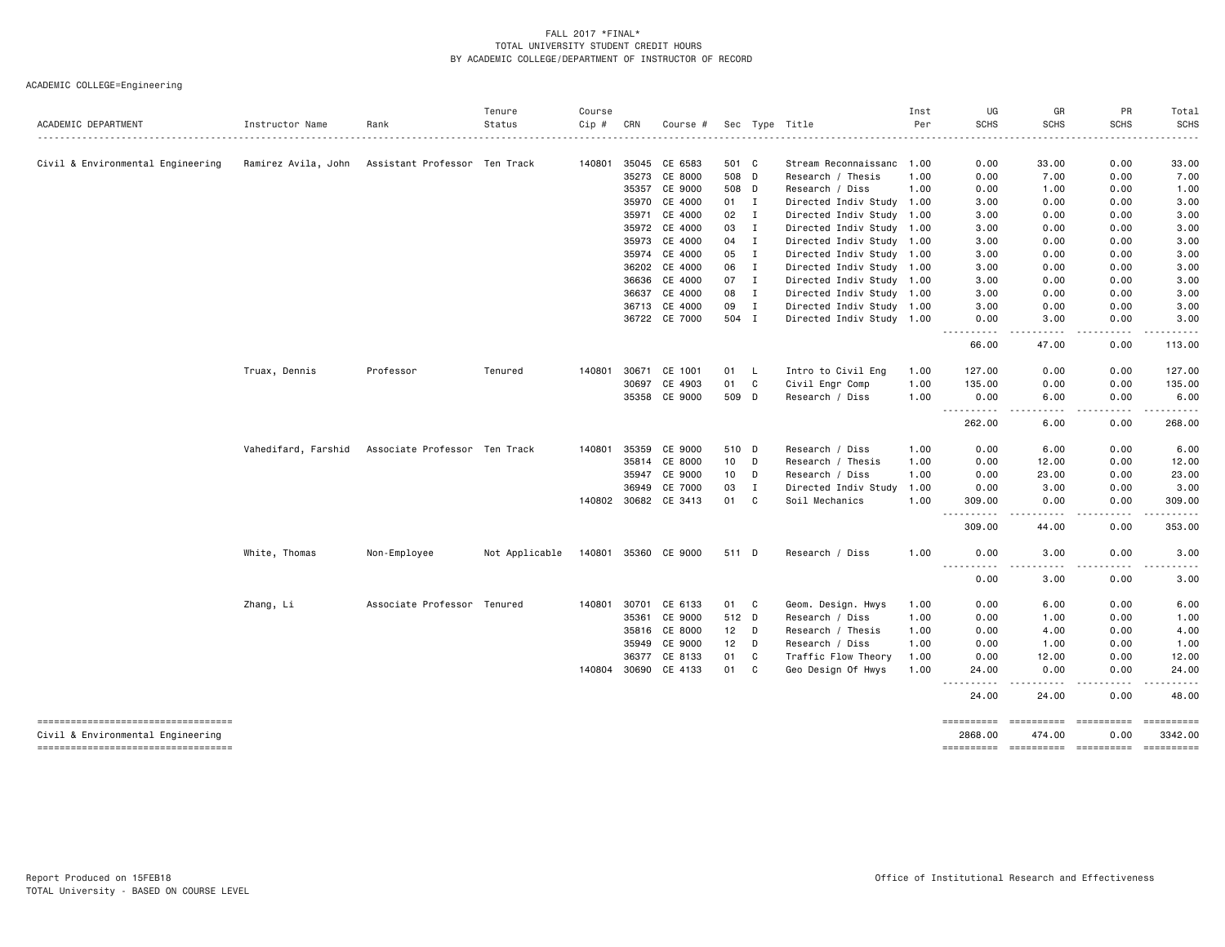| ACADEMIC DEPARTMENT                                                     | Instructor Name     | Rank                          | Tenure<br>Status | Course<br>Cip# | CRN   | Course #             |       |              | Sec Type Title            | Inst<br>Per | UG<br><b>SCHS</b>                                                                                                                                             | GR<br><b>SCHS</b>      | PR<br><b>SCHS</b>  | Total<br><b>SCHS</b>  |
|-------------------------------------------------------------------------|---------------------|-------------------------------|------------------|----------------|-------|----------------------|-------|--------------|---------------------------|-------------|---------------------------------------------------------------------------------------------------------------------------------------------------------------|------------------------|--------------------|-----------------------|
|                                                                         |                     |                               |                  |                |       |                      |       |              |                           |             |                                                                                                                                                               |                        |                    | .                     |
| Civil & Environmental Engineering                                       | Ramirez Avila, John | Assistant Professor Ten Track |                  | 140801         | 35045 | CE 6583              | 501 C |              | Stream Reconnaissanc 1.00 |             | 0.00                                                                                                                                                          | 33.00                  | 0.00               | 33.00                 |
|                                                                         |                     |                               |                  |                | 35273 | CE 8000              | 508 D |              | Research / Thesis         | 1.00        | 0.00                                                                                                                                                          | 7.00                   | 0.00               | 7.00                  |
|                                                                         |                     |                               |                  |                |       | 35357 CE 9000        | 508 D |              | Research / Diss           | 1.00        | 0.00                                                                                                                                                          | 1.00                   | 0.00               | 1.00                  |
|                                                                         |                     |                               |                  |                | 35970 | CE 4000              | 01    | $\mathbf{I}$ | Directed Indiv Study 1.00 |             | 3.00                                                                                                                                                          | 0.00                   | 0.00               | 3.00                  |
|                                                                         |                     |                               |                  |                | 35971 | CE 4000              | 02    | I            | Directed Indiv Study 1.00 |             | 3.00                                                                                                                                                          | 0.00                   | 0.00               | 3.00                  |
|                                                                         |                     |                               |                  |                |       | 35972 CE 4000        | 03    | I            | Directed Indiv Study 1.00 |             | 3.00                                                                                                                                                          | 0.00                   | 0.00               | 3.00                  |
|                                                                         |                     |                               |                  |                | 35973 | CE 4000              | 04    | $\mathbf I$  | Directed Indiv Study 1.00 |             | 3.00                                                                                                                                                          | 0.00                   | 0.00               | 3.00                  |
|                                                                         |                     |                               |                  |                | 35974 | CE 4000              | 05    | $\mathbf{I}$ | Directed Indiv Study 1.00 |             | 3.00                                                                                                                                                          | 0.00                   | 0.00               | 3.00                  |
|                                                                         |                     |                               |                  |                |       | 36202 CE 4000        | 06    | $\mathbf{I}$ | Directed Indiv Study 1.00 |             | 3.00                                                                                                                                                          | 0.00                   | 0.00               | 3.00                  |
|                                                                         |                     |                               |                  |                | 36636 | CE 4000              | 07    | $\mathbf{I}$ | Directed Indiv Study 1.00 |             | 3.00                                                                                                                                                          | 0.00                   | 0.00               | 3.00                  |
|                                                                         |                     |                               |                  |                | 36637 | CE 4000              | 08    | $\mathbf{I}$ | Directed Indiv Study 1.00 |             | 3.00                                                                                                                                                          | 0.00                   | 0.00               | 3.00                  |
|                                                                         |                     |                               |                  |                | 36713 | CE 4000              | 09    | $\mathbf{I}$ | Directed Indiv Study 1.00 |             | 3.00                                                                                                                                                          | 0.00                   | 0.00               | 3.00                  |
|                                                                         |                     |                               |                  |                |       | 36722 CE 7000        | 504 I |              | Directed Indiv Study 1.00 |             | 0.00<br>.                                                                                                                                                     | 3.00<br>.              | 0.00<br>.          | 3.00<br>$\frac{1}{2}$ |
|                                                                         |                     |                               |                  |                |       |                      |       |              |                           |             | 66.00                                                                                                                                                         | 47.00                  | 0.00               | 113.00                |
|                                                                         | Truax, Dennis       | Professor                     | Tenured          | 140801         | 30671 | CE 1001              | 01    | - L          | Intro to Civil Eng        | 1.00        | 127.00                                                                                                                                                        | 0.00                   | 0.00               | 127.00                |
|                                                                         |                     |                               |                  |                | 30697 | CE 4903              | 01    | C            | Civil Engr Comp           | 1.00        | 135.00                                                                                                                                                        | 0.00                   | 0.00               | 135.00                |
|                                                                         |                     |                               |                  |                |       | 35358 CE 9000        | 509 D |              | Research / Diss           | 1.00        | 0.00                                                                                                                                                          | 6.00                   | 0.00               | 6.00                  |
|                                                                         |                     |                               |                  |                |       |                      |       |              |                           |             | <u>.</u><br>262.00                                                                                                                                            | . <u>. .</u><br>6.00   | .<br>0.00          | .<br>268.00           |
|                                                                         | Vahedifard, Farshid | Associate Professor Ten Track |                  | 140801         | 35359 | CE 9000              | 510 D |              | Research / Diss           | 1.00        | 0.00                                                                                                                                                          | 6.00                   | 0.00               | 6.00                  |
|                                                                         |                     |                               |                  |                |       | 35814 CE 8000        | 10    | $\mathsf{D}$ | Research / Thesis         | 1.00        | 0.00                                                                                                                                                          | 12.00                  | 0.00               | 12.00                 |
|                                                                         |                     |                               |                  |                | 35947 | CE 9000              | 10    | D            | Research / Diss           | 1.00        | 0.00                                                                                                                                                          | 23.00                  | 0.00               | 23.00                 |
|                                                                         |                     |                               |                  |                | 36949 | CE 7000              | 03    | Ι.           | Directed Indiv Study      | 1.00        | 0.00                                                                                                                                                          | 3.00                   | 0.00               | 3.00                  |
|                                                                         |                     |                               |                  |                |       | 140802 30682 CE 3413 | 01    | C            | Soil Mechanics            | 1.00        | 309,00                                                                                                                                                        | 0.00                   | 0.00               | 309,00                |
|                                                                         |                     |                               |                  |                |       |                      |       |              |                           |             | $\sim$ $\sim$ $\sim$<br>------<br>309.00                                                                                                                      | 44.00                  | 0.00               | -----<br>353.00       |
|                                                                         | White, Thomas       | Non-Employee                  | Not Applicable   |                |       | 140801 35360 CE 9000 | 511 D |              | Research / Diss           | 1.00        | 0.00                                                                                                                                                          | 3.00                   | 0.00               | 3.00                  |
|                                                                         |                     |                               |                  |                |       |                      |       |              |                           |             | <u>.</u><br>0.00                                                                                                                                              | 3.00                   | 0.00               | 3.00                  |
|                                                                         | Zhang, Li           | Associate Professor Tenured   |                  | 140801         | 30701 | CE 6133              | 01    | $\mathbf{C}$ | Geom. Design. Hwys        | 1.00        | 0.00                                                                                                                                                          | 6.00                   | 0.00               | 6.00                  |
|                                                                         |                     |                               |                  |                | 35361 | CE 9000              | 512 D |              | Research / Diss           | 1.00        | 0.00                                                                                                                                                          | 1.00                   | 0.00               | 1.00                  |
|                                                                         |                     |                               |                  |                | 35816 | CE 8000              | 12    | D            | Research / Thesis         | 1.00        | 0.00                                                                                                                                                          | 4.00                   | 0.00               | 4.00                  |
|                                                                         |                     |                               |                  |                | 35949 | CE 9000              | 12    | D            | Research / Diss           | 1.00        | 0.00                                                                                                                                                          | 1.00                   | 0.00               | 1.00                  |
|                                                                         |                     |                               |                  |                | 36377 | CE 8133              | 01    | C            | Traffic Flow Theory       | 1.00        | 0.00                                                                                                                                                          | 12.00                  | 0.00               | 12.00                 |
|                                                                         |                     |                               |                  |                |       | 140804 30690 CE 4133 | 01    | C            | Geo Design Of Hwys        | 1.00        | 24.00                                                                                                                                                         | 0.00                   | 0.00               | 24.00                 |
|                                                                         |                     |                               |                  |                |       |                      |       |              |                           |             | $\frac{1}{2} \left( \frac{1}{2} \right) \left( \frac{1}{2} \right) \left( \frac{1}{2} \right) \left( \frac{1}{2} \right) \left( \frac{1}{2} \right)$<br>24.00 | $\frac{1}{2}$<br>24.00 | <u>.</u><br>0.00   | .<br>48.00            |
| -----------------------------------                                     |                     |                               |                  |                |       |                      |       |              |                           |             | ==========                                                                                                                                                    | ==========             | ==========         |                       |
| Civil & Environmental Engineering<br>---------------------------------- |                     |                               |                  |                |       |                      |       |              |                           |             | 2868.00                                                                                                                                                       | 474.00                 | 0.00<br>========== | 3342.00               |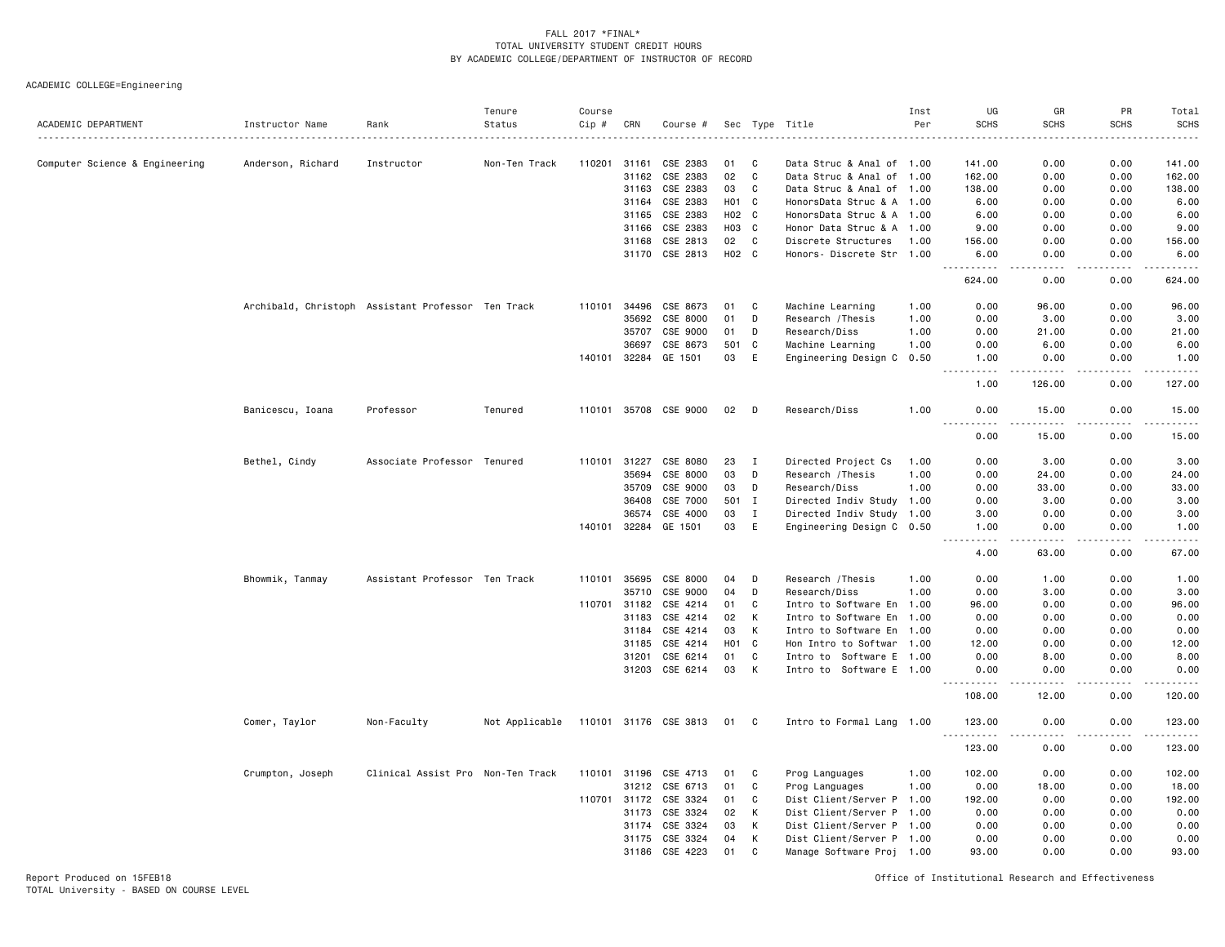ACADEMIC COLLEGE=Engineering

| ACADEMIC DEPARTMENT            | Instructor Name   | Rank                                               | Tenure<br>Status | Course<br>Cip # | CRN   | Course #              |       |                | Sec Type Title            | Inst<br>Per | UG<br><b>SCHS</b>                   | GR<br><b>SCHS</b> | PR<br><b>SCHS</b>     | Total<br><b>SCHS</b>                           |
|--------------------------------|-------------------|----------------------------------------------------|------------------|-----------------|-------|-----------------------|-------|----------------|---------------------------|-------------|-------------------------------------|-------------------|-----------------------|------------------------------------------------|
|                                |                   |                                                    |                  |                 |       |                       |       |                |                           |             |                                     |                   |                       |                                                |
| Computer Science & Engineering | Anderson, Richard | Instructor                                         | Non-Ten Track    | 110201          | 31161 | CSE 2383              | 01    | C              | Data Struc & Anal of 1.00 |             | 141.00                              | 0.00              | 0.00                  | 141.00                                         |
|                                |                   |                                                    |                  |                 | 31162 | CSE 2383              | 02    | C              | Data Struc & Anal of 1.00 |             | 162.00                              | 0.00              | 0.00                  | 162.00                                         |
|                                |                   |                                                    |                  |                 | 31163 | CSE 2383              | 03    | C              | Data Struc & Anal of 1.00 |             | 138.00                              | 0.00              | 0.00                  | 138.00                                         |
|                                |                   |                                                    |                  |                 | 31164 | CSE 2383              | H01 C |                | HonorsData Struc & A 1.00 |             | 6.00                                | 0.00              | 0.00                  | 6.00                                           |
|                                |                   |                                                    |                  |                 | 31165 | CSE 2383              | H02 C |                | HonorsData Struc & A 1.00 |             | 6.00                                | 0.00              | 0.00                  | 6.00                                           |
|                                |                   |                                                    |                  |                 | 31166 | CSE 2383              | H03 C |                | Honor Data Struc & A 1.00 |             | 9.00                                | 0.00              | 0.00                  | 9.00                                           |
|                                |                   |                                                    |                  |                 | 31168 | CSE 2813              | 02    | C              | Discrete Structures       | 1.00        | 156.00                              | 0.00              | 0.00                  | 156.00                                         |
|                                |                   |                                                    |                  |                 |       | 31170 CSE 2813        | H02 C |                | Honors- Discrete Str 1.00 |             | 6.00                                | 0.00              | 0.00                  | 6.00                                           |
|                                |                   |                                                    |                  |                 |       |                       |       |                |                           |             | .<br>624.00                         | .<br>0.00         | .<br>0.00             | .<br>624.00                                    |
|                                |                   | Archibald, Christoph Assistant Professor Ten Track |                  | 110101          | 34496 | CSE 8673              | 01    | C              | Machine Learning          | 1.00        | 0.00                                | 96.00             | 0.00                  | 96.00                                          |
|                                |                   |                                                    |                  |                 | 35692 | CSE 8000              | 01    | D              | Research / Thesis         | 1.00        | 0.00                                | 3.00              | 0.00                  | 3.00                                           |
|                                |                   |                                                    |                  |                 | 35707 | CSE 9000              | 01    | D              | Research/Diss             | 1.00        | 0.00                                | 21.00             | 0.00                  | 21.00                                          |
|                                |                   |                                                    |                  |                 | 36697 | CSE 8673              | 501   | C              | Machine Learning          | 1.00        | 0.00                                | 6.00              | 0.00                  | 6.00                                           |
|                                |                   |                                                    |                  | 140101          | 32284 | GE 1501               | 03    | E              | Engineering Design C 0.50 |             | 1.00                                | 0.00              | 0.00                  | 1.00                                           |
|                                |                   |                                                    |                  |                 |       |                       |       |                |                           |             | $\frac{1}{2}$<br>1.00               | .<br>126.00       | .<br>0.00             | .<br>127.00                                    |
|                                | Banicescu, Ioana  | Professor                                          | Tenured          |                 |       | 110101 35708 CSE 9000 | 02    | $\Box$         | Research/Diss             | 1.00        | 0.00<br>$- - - - -$                 | 15.00<br>.        | 0.00<br><b>.</b>      | 15.00                                          |
|                                |                   |                                                    |                  |                 |       |                       |       |                |                           |             | $\sim$ $\sim$ $\sim$ $\sim$<br>0.00 | 15.00             | 0.00                  | .<br>15.00                                     |
|                                | Bethel, Cindy     | Associate Professor Tenured                        |                  | 110101          | 31227 | CSE 8080              | 23    | $\mathbf{I}$   | Directed Project Cs       | 1.00        | 0.00                                | 3.00              | 0.00                  | 3.00                                           |
|                                |                   |                                                    |                  |                 | 35694 | CSE 8000              | 03    | D              | Research / Thesis         | 1.00        | 0.00                                | 24.00             | 0.00                  | 24.00                                          |
|                                |                   |                                                    |                  |                 | 35709 | CSE 9000              | 03    | D              | Research/Diss             | 1.00        | 0.00                                | 33.00             | 0.00                  | 33.00                                          |
|                                |                   |                                                    |                  |                 | 36408 | CSE 7000              | 501   | $\mathbf{I}$   | Directed Indiv Study 1.00 |             | 0.00                                | 3.00              | 0.00                  | 3.00                                           |
|                                |                   |                                                    |                  |                 | 36574 | CSE 4000              | 03    | $\bf{I}$       | Directed Indiv Study 1.00 |             | 3.00                                | 0.00              | 0.00                  | 3.00                                           |
|                                |                   |                                                    |                  | 140101          | 32284 | GE 1501               | 03    | E              | Engineering Design C 0.50 |             | 1.00                                | 0.00              | 0.00                  | 1.00                                           |
|                                |                   |                                                    |                  |                 |       |                       |       |                |                           |             | 4.00                                | 63.00             | 0.00                  | $\omega$ $\omega$ $\omega$ $\omega$ .<br>67.00 |
|                                | Bhowmik, Tanmay   | Assistant Professor Ten Track                      |                  | 110101          | 35695 | CSE 8000              | 04    | D              | Research / Thesis         | 1.00        | 0.00                                | 1.00              | 0.00                  | 1.00                                           |
|                                |                   |                                                    |                  |                 | 35710 | CSE 9000              | 04    | D              | Research/Diss             | 1.00        | 0.00                                | 3.00              | 0.00                  | 3.00                                           |
|                                |                   |                                                    |                  | 110701          | 31182 | CSE 4214              | 01    | C              | Intro to Software En 1.00 |             | 96.00                               | 0.00              | 0.00                  | 96.00                                          |
|                                |                   |                                                    |                  |                 | 31183 | CSE 4214              | 02    | К              | Intro to Software En 1.00 |             | 0.00                                | 0.00              | 0.00                  | 0.00                                           |
|                                |                   |                                                    |                  |                 | 31184 | CSE 4214              | 03    | K              | Intro to Software En 1.00 |             | 0.00                                | 0.00              | 0.00                  | 0.00                                           |
|                                |                   |                                                    |                  |                 | 31185 | CSE 4214              | H01   | C <sub>1</sub> | Hon Intro to Softwar 1.00 |             | 12.00                               | 0.00              | 0.00                  | 12.00                                          |
|                                |                   |                                                    |                  |                 | 31201 | CSE 6214              | 01    | C              | Intro to Software E 1.00  |             | 0.00                                | 8.00              | 0.00                  | 8.00                                           |
|                                |                   |                                                    |                  |                 | 31203 | CSE 6214              | 03    | K              | Intro to Software E 1.00  |             | 0.00<br>.                           | 0.00<br>.         | 0.00<br>$\frac{1}{2}$ | 0.00<br>.                                      |
|                                |                   |                                                    |                  |                 |       |                       |       |                |                           |             | 108.00                              | 12.00             | 0.00                  | 120.00                                         |
|                                | Comer, Taylor     | Non-Faculty                                        | Not Applicable   |                 |       | 110101 31176 CSE 3813 | 01 C  |                | Intro to Formal Lang 1.00 |             | 123.00                              | 0.00              | 0.00                  | 123.00<br>.                                    |
|                                |                   |                                                    |                  |                 |       |                       |       |                |                           |             | 123.00                              | 0.00              | 0.00                  | 123.00                                         |
|                                | Crumpton, Joseph  | Clinical Assist Pro Non-Ten Track                  |                  | 110101 31196    |       | CSE 4713              | 01    | C              | Prog Languages            | 1.00        | 102.00                              | 0.00              | 0.00                  | 102.00                                         |
|                                |                   |                                                    |                  |                 | 31212 | CSE 6713              | 01    | C              | Prog Languages            | 1.00        | 0.00                                | 18.00             | 0.00                  | 18.00                                          |
|                                |                   |                                                    |                  | 110701          | 31172 | CSE 3324              | 01    | C              | Dist Client/Server P 1.00 |             | 192.00                              | 0.00              | 0.00                  | 192.00                                         |
|                                |                   |                                                    |                  |                 | 31173 | CSE 3324              | 02    | К              | Dist Client/Server P 1.00 |             | 0.00                                | 0.00              | 0.00                  | 0.00                                           |
|                                |                   |                                                    |                  |                 | 31174 | CSE 3324              | 03    | K              | Dist Client/Server P 1.00 |             | 0.00                                | 0.00              | 0.00                  | 0.00                                           |
|                                |                   |                                                    |                  |                 | 31175 | CSE 3324              | 04    | K              | Dist Client/Server P 1.00 |             | 0.00                                | 0.00              | 0.00                  | 0.00                                           |
|                                |                   |                                                    |                  |                 | 31186 | CSE 4223              | 01    | C              | Manage Software Proj 1.00 |             | 93.00                               | 0.00              | 0.00                  | 93.00                                          |

Report Produced on 15FEB18 Office of Institutional Research and Effectiveness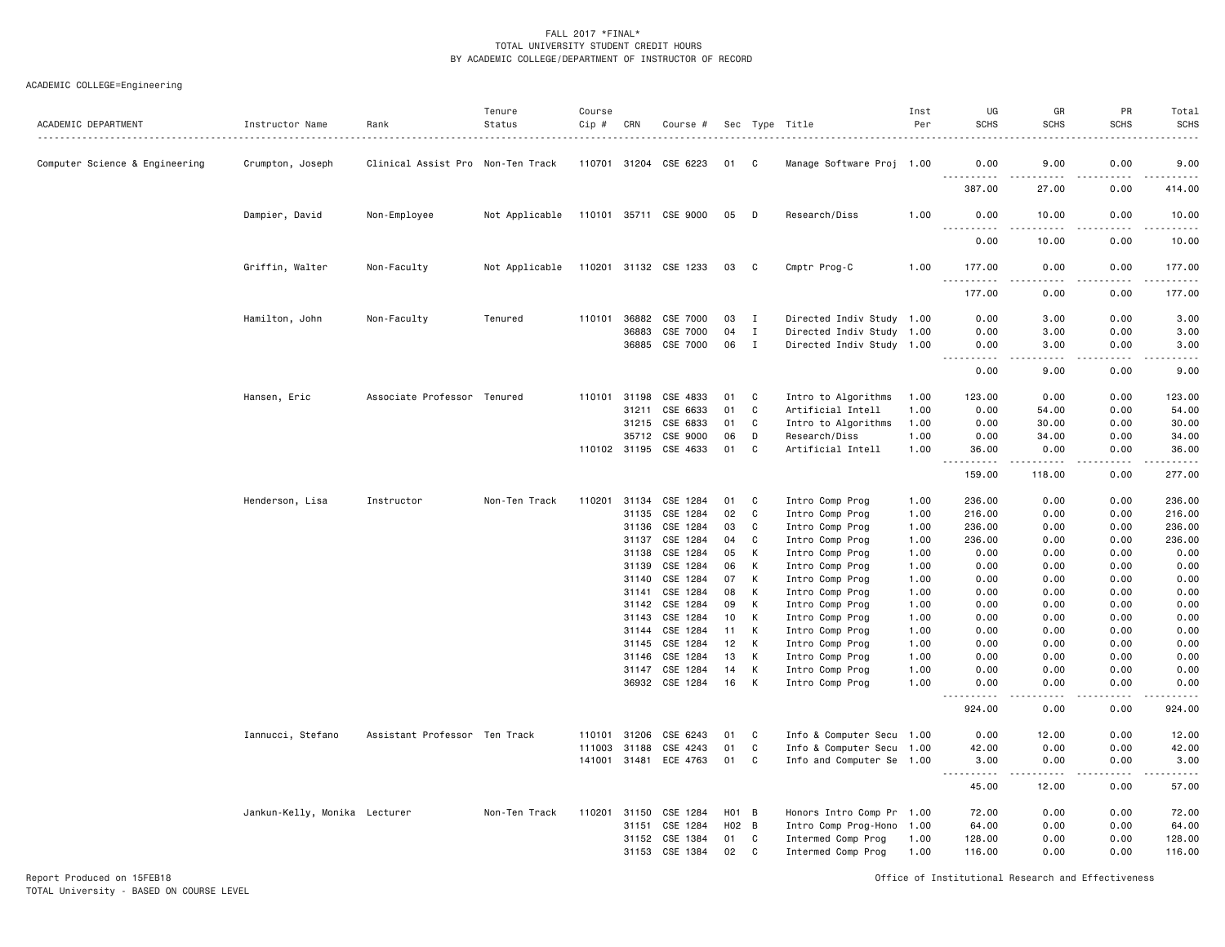| ACADEMIC DEPARTMENT            | Instructor Name               | Rank                              | Tenure<br>Status | Course<br>Cip #  | CRN            | Course #              |          |              | Sec Type Title                                    | Inst<br>Per  | UG<br><b>SCHS</b>                                                                                                                                                                     | GR<br><b>SCHS</b>     | PR<br><b>SCHS</b>     | Total<br><b>SCHS</b> |
|--------------------------------|-------------------------------|-----------------------------------|------------------|------------------|----------------|-----------------------|----------|--------------|---------------------------------------------------|--------------|---------------------------------------------------------------------------------------------------------------------------------------------------------------------------------------|-----------------------|-----------------------|----------------------|
| Computer Science & Engineering | Crumpton, Joseph              | Clinical Assist Pro Non-Ten Track |                  |                  |                | 110701 31204 CSE 6223 | 01       | - C          | Manage Software Proj 1.00                         |              | 0.00                                                                                                                                                                                  | 9.00                  | 0.00                  | 9.00                 |
|                                |                               |                                   |                  |                  |                |                       |          |              |                                                   |              | .<br>387.00                                                                                                                                                                           | 27.00                 | 0.00                  | 414.00               |
|                                | Dampier, David                | Non-Employee                      | Not Applicable   |                  |                | 110101 35711 CSE 9000 | 05       | D            | Research/Diss                                     | 1.00         | 0.00                                                                                                                                                                                  | 10.00                 | 0.00                  | 10.00                |
|                                |                               |                                   |                  |                  |                |                       |          |              |                                                   |              | <u>.</u><br>0.00                                                                                                                                                                      | .<br>10.00            | .<br>0.00             | .<br>10.00           |
|                                | Griffin, Walter               | Non-Faculty                       | Not Applicable   |                  |                | 110201 31132 CSE 1233 | 03       | - C          | Cmptr Prog-C                                      | 1.00         | 177.00<br>$\sim$ $\sim$ $\sim$                                                                                                                                                        | 0.00                  | 0.00                  | 177.00               |
|                                |                               |                                   |                  |                  |                |                       |          |              |                                                   |              | 177.00                                                                                                                                                                                | 0.00                  | 0.00                  | 177.00               |
|                                | Hamilton, John                | Non-Faculty                       | Tenured          |                  |                | 110101 36882 CSE 7000 | 03       | $\mathbf{I}$ | Directed Indiv Study 1.00                         |              | 0.00                                                                                                                                                                                  | 3.00                  | 0.00                  | 3.00                 |
|                                |                               |                                   |                  |                  | 36883          | CSE 7000              | 04       | $\mathbf{I}$ | Directed Indiv Study 1.00                         |              | 0.00                                                                                                                                                                                  | 3.00                  | 0.00                  | 3.00                 |
|                                |                               |                                   |                  |                  | 36885          | CSE 7000              | 06       | I            | Directed Indiv Study 1.00                         |              | 0.00<br><u>.</u>                                                                                                                                                                      | 3.00<br>.             | 0.00                  | 3.00<br>$- - - - -$  |
|                                |                               |                                   |                  |                  |                |                       |          |              |                                                   |              | 0.00                                                                                                                                                                                  | 9.00                  | 0.00                  | 9.00                 |
|                                | Hansen, Eric                  | Associate Professor Tenured       |                  |                  | 110101 31198   | CSE 4833              | 01       | C            | Intro to Algorithms                               | 1.00         | 123.00                                                                                                                                                                                | 0.00                  | 0.00                  | 123.00               |
|                                |                               |                                   |                  |                  | 31211          | CSE 6633              | 01       | C            | Artificial Intell                                 | 1.00         | 0.00                                                                                                                                                                                  | 54.00                 | 0.00                  | 54.00                |
|                                |                               |                                   |                  |                  | 31215          | CSE 6833              | 01       | C            | Intro to Algorithms                               | 1.00         | 0.00                                                                                                                                                                                  | 30.00                 | 0.00                  | 30.00                |
|                                |                               |                                   |                  |                  | 35712          | CSE 9000              | 06       | D            | Research/Diss                                     | 1.00         | 0.00                                                                                                                                                                                  | 34.00                 | 0.00                  | 34.00                |
|                                |                               |                                   |                  |                  | 110102 31195   | CSE 4633              | 01       | C            | Artificial Intell                                 | 1.00         | 36.00<br>$\frac{1}{2} \left( \frac{1}{2} \right) \left( \frac{1}{2} \right) \left( \frac{1}{2} \right) \left( \frac{1}{2} \right) \left( \frac{1}{2} \right)$<br>$\sim$ $\sim$ $\sim$ | 0.00<br>$\frac{1}{2}$ | 0.00<br>$\frac{1}{2}$ | 36.00<br>.           |
|                                |                               |                                   |                  |                  |                |                       |          |              |                                                   |              | 159.00                                                                                                                                                                                | 118.00                | 0.00                  | 277.00               |
|                                | Henderson, Lisa               | Instructor                        | Non-Ten Track    |                  |                | 110201 31134 CSE 1284 | 01       | C            | Intro Comp Prog                                   | 1.00         | 236.00                                                                                                                                                                                | 0.00                  | 0.00                  | 236.00               |
|                                |                               |                                   |                  |                  | 31135          | CSE 1284              | 02       | C            | Intro Comp Prog                                   | 1.00         | 216.00                                                                                                                                                                                | 0.00                  | 0.00                  | 216.00               |
|                                |                               |                                   |                  |                  | 31136          | CSE 1284              | 03       | C            | Intro Comp Prog                                   | 1.00         | 236.00                                                                                                                                                                                | 0.00                  | 0.00                  | 236.00               |
|                                |                               |                                   |                  |                  | 31137          | CSE 1284              | 04       | C            | Intro Comp Prog                                   | 1.00         | 236.00                                                                                                                                                                                | 0.00                  | 0.00                  | 236.00               |
|                                |                               |                                   |                  |                  | 31138          | CSE 1284              | 05       | K            | Intro Comp Prog                                   | 1.00         | 0.00                                                                                                                                                                                  | 0.00                  | 0.00                  | 0.00                 |
|                                |                               |                                   |                  |                  | 31139          | CSE 1284              | 06       | К            | Intro Comp Prog                                   | 1.00         | 0.00                                                                                                                                                                                  | 0.00                  | 0.00                  | 0.00                 |
|                                |                               |                                   |                  |                  | 31140          | CSE 1284              | 07       | К            | Intro Comp Prog                                   | 1.00         | 0.00                                                                                                                                                                                  | 0.00                  | 0.00                  | 0.00                 |
|                                |                               |                                   |                  |                  | 31141          | CSE 1284              | 08       | К            | Intro Comp Prog                                   | 1.00         | 0.00                                                                                                                                                                                  | 0.00                  | 0.00                  | 0.00                 |
|                                |                               |                                   |                  |                  | 31142          | CSE 1284              | 09       | К            | Intro Comp Prog                                   | 1.00         | 0.00                                                                                                                                                                                  | 0.00                  | 0.00                  | 0.00                 |
|                                |                               |                                   |                  |                  | 31143<br>31144 | CSE 1284<br>CSE 1284  | 10<br>11 | к<br>К       | Intro Comp Prog                                   | 1.00         | 0.00<br>0.00                                                                                                                                                                          | 0.00<br>0.00          | 0.00<br>0.00          | 0.00<br>0.00         |
|                                |                               |                                   |                  |                  | 31145          | CSE 1284              | 12       | К            | Intro Comp Prog<br>Intro Comp Prog                | 1.00<br>1.00 | 0.00                                                                                                                                                                                  | 0.00                  | 0.00                  | 0.00                 |
|                                |                               |                                   |                  |                  | 31146          | CSE 1284              | 13       | Κ            | Intro Comp Prog                                   | 1.00         | 0.00                                                                                                                                                                                  | 0.00                  | 0.00                  | 0.00                 |
|                                |                               |                                   |                  |                  | 31147          | CSE 1284              | 14       | Κ            | Intro Comp Prog                                   | 1.00         | 0.00                                                                                                                                                                                  | 0.00                  | 0.00                  | 0.00                 |
|                                |                               |                                   |                  |                  |                | 36932 CSE 1284        | 16       | К            | Intro Comp Prog                                   | 1.00         | 0.00                                                                                                                                                                                  | 0.00                  | 0.00                  | 0.00                 |
|                                |                               |                                   |                  |                  |                |                       |          |              |                                                   |              | 924.00                                                                                                                                                                                | 0.00                  | 0.00                  | 924.00               |
|                                |                               |                                   |                  |                  |                |                       |          |              |                                                   |              |                                                                                                                                                                                       |                       |                       |                      |
|                                | Iannucci, Stefano             | Assistant Professor Ten Track     |                  | 110101<br>111003 | 31206<br>31188 | CSE 6243<br>CSE 4243  | 01<br>01 | C<br>C       | Info & Computer Secu 1.00<br>Info & Computer Secu |              | 0.00<br>42.00                                                                                                                                                                         | 12.00<br>0.00         | 0.00<br>0.00          | 12.00<br>42.00       |
|                                |                               |                                   |                  |                  |                | 141001 31481 ECE 4763 | 01       | C            | Info and Computer Se 1.00                         | 1.00         | 3.00                                                                                                                                                                                  | 0.00                  | 0.00                  | 3.00                 |
|                                |                               |                                   |                  |                  |                |                       |          |              |                                                   |              | .<br>$\frac{1}{2} \left( \frac{1}{2} \right) \left( \frac{1}{2} \right) \left( \frac{1}{2} \right) \left( \frac{1}{2} \right)$                                                        |                       |                       |                      |
|                                |                               |                                   |                  |                  |                |                       |          |              |                                                   |              | 45.00                                                                                                                                                                                 | 12.00                 | 0.00                  | 57.00                |
|                                | Jankun-Kelly, Monika Lecturer |                                   | Non-Ten Track    |                  | 110201 31150   | CSE 1284              | H01      | - B          | Honors Intro Comp Pr 1.00                         |              | 72.00                                                                                                                                                                                 | 0.00                  | 0.00                  | 72.00                |
|                                |                               |                                   |                  |                  | 31151          | CSE 1284              | H02 B    |              | Intro Comp Prog-Hono                              | 1.00         | 64.00                                                                                                                                                                                 | 0.00                  | 0.00                  | 64.00                |
|                                |                               |                                   |                  |                  | 31152          | CSE 1384              | 01       | C            | Intermed Comp Prog                                | 1.00         | 128.00                                                                                                                                                                                | 0.00                  | 0.00                  | 128.00               |
|                                |                               |                                   |                  |                  | 31153          | CSE 1384              | 02       | C            | Intermed Comp Prog                                | 1.00         | 116.00                                                                                                                                                                                | 0.00                  | 0.00                  | 116.00               |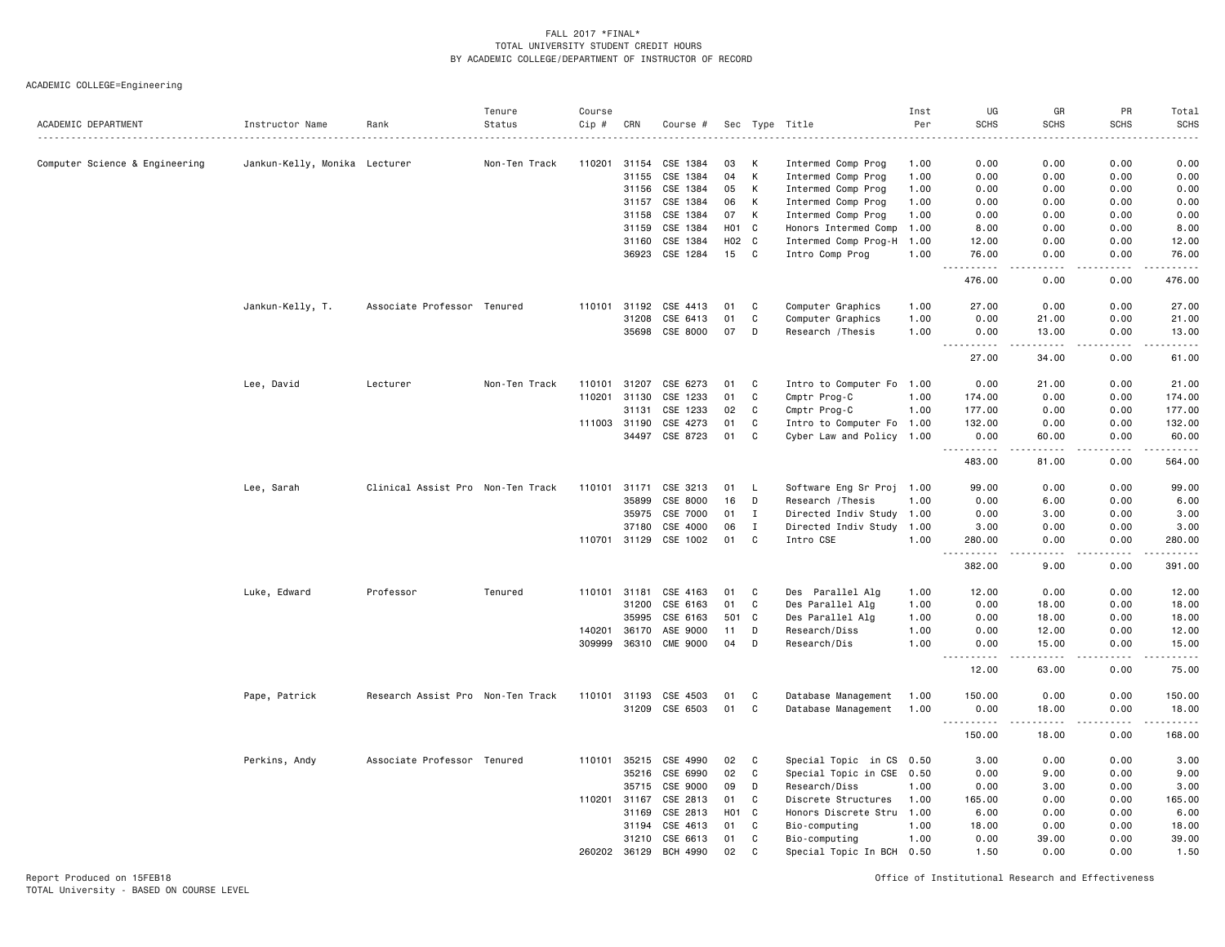| ACADEMIC DEPARTMENT            | Instructor Name               | Rank                              | Tenure<br>Status | Course<br>Cip # | CRN          | Course #       |     |             | Sec Type Title            | Inst<br>Per | UG<br><b>SCHS</b> | GR<br><b>SCHS</b>      | PR<br>SCHS      | Total<br><b>SCHS</b> |
|--------------------------------|-------------------------------|-----------------------------------|------------------|-----------------|--------------|----------------|-----|-------------|---------------------------|-------------|-------------------|------------------------|-----------------|----------------------|
|                                |                               |                                   |                  |                 |              |                |     |             |                           |             |                   |                        |                 |                      |
| Computer Science & Engineering | Jankun-Kelly, Monika Lecturer |                                   | Non-Ten Track    | 110201          | 31154        | CSE 1384       | 03  | К           | Intermed Comp Prog        | 1.00        | 0.00              | 0.00                   | 0.00            | 0.00                 |
|                                |                               |                                   |                  |                 | 31155        | CSE 1384       | 04  | K           | Intermed Comp Prog        | 1.00        | 0.00              | 0.00                   | 0.00            | 0.00                 |
|                                |                               |                                   |                  |                 | 31156        | CSE 1384       | 05  | к           | Intermed Comp Prog        | 1.00        | 0.00              | 0.00                   | 0.00            | 0.00                 |
|                                |                               |                                   |                  |                 | 31157        | CSE 1384       | 06  | к           | Intermed Comp Prog        | 1.00        | 0.00              | 0.00                   | 0.00            | 0.00                 |
|                                |                               |                                   |                  |                 | 31158        | CSE 1384       | 07  | К           | Intermed Comp Prog        | 1.00        | 0.00              | 0.00                   | 0.00            | 0.00                 |
|                                |                               |                                   |                  |                 | 31159        | CSE 1384       | H01 | C           | Honors Intermed Comp      | 1.00        | 8.00              | 0.00                   | 0.00            | 8.00                 |
|                                |                               |                                   |                  |                 | 31160        | CSE 1384       | H02 | C           | Intermed Comp Prog-H      | 1.00        | 12.00             | 0.00                   | 0.00            | 12.00                |
|                                |                               |                                   |                  |                 | 36923        | CSE 1284       | 15  | C           | Intro Comp Prog           | 1.00        | 76.00<br>.        | 0.00<br>بالمحامر       | 0.00<br>بالمحاد | 76.00<br>.           |
|                                |                               |                                   |                  |                 |              |                |     |             |                           |             | 476.00            | 0.00                   | 0.00            | 476.00               |
|                                | Jankun-Kelly, T.              | Associate Professor Tenured       |                  |                 | 110101 31192 | CSE 4413       | 01  | C           | Computer Graphics         | 1.00        | 27.00             | 0.00                   | 0.00            | 27.00                |
|                                |                               |                                   |                  |                 | 31208        | CSE 6413       | 01  | C           | Computer Graphics         | 1.00        | 0.00              | 21.00                  | 0.00            | 21.00                |
|                                |                               |                                   |                  |                 | 35698        | CSE 8000       | 07  | D           | Research / Thesis         | 1.00        | 0.00<br><u>.</u>  | 13.00<br>$\frac{1}{2}$ | 0.00<br>.       | 13.00<br>.           |
|                                |                               |                                   |                  |                 |              |                |     |             |                           |             | 27.00             | 34.00                  | 0.00            | 61.00                |
|                                | Lee, David                    | Lecturer                          | Non-Ten Track    | 110101          | 31207        | CSE 6273       | 01  | C           | Intro to Computer Fo 1.00 |             | 0.00              | 21.00                  | 0.00            | 21.00                |
|                                |                               |                                   |                  | 110201          | 31130        | CSE 1233       | 01  | C           | Cmptr Prog-C              | 1.00        | 174.00            | 0.00                   | 0.00            | 174.00               |
|                                |                               |                                   |                  |                 | 31131        | CSE 1233       | 02  | C           | Cmptr Prog-C              | 1.00        | 177.00            | 0.00                   | 0.00            | 177.00               |
|                                |                               |                                   |                  | 111003 31190    |              | CSE 4273       | 01  | C           | Intro to Computer Fo 1.00 |             | 132.00            | 0.00                   | 0.00            | 132.00               |
|                                |                               |                                   |                  |                 | 34497        | CSE 8723       | 01  | $\mathbf c$ | Cyber Law and Policy 1.00 |             | 0.00              | 60.00                  | 0.00            | 60.00                |
|                                |                               |                                   |                  |                 |              |                |     |             |                           |             | .<br>483.00       | $\frac{1}{2}$<br>81.00 | .<br>0.00       | <u>.</u><br>564.00   |
|                                | Lee, Sarah                    | Clinical Assist Pro Non-Ten Track |                  | 110101          | 31171        | CSE 3213       | 01  | L           | Software Eng Sr Proj 1.00 |             | 99.00             | 0.00                   | 0.00            | 99.00                |
|                                |                               |                                   |                  |                 | 35899        | CSE 8000       | 16  | D           | Research / Thesis         | 1.00        | 0.00              | 6.00                   | 0.00            | 6.00                 |
|                                |                               |                                   |                  |                 | 35975        | CSE 7000       | 01  | $\bf{I}$    | Directed Indiv Study      | 1.00        | 0.00              | 3.00                   | 0.00            | 3.00                 |
|                                |                               |                                   |                  |                 | 37180        | CSE 4000       | 06  | I           | Directed Indiv Study 1.00 |             | 3.00              | 0.00                   | 0.00            | 3.00                 |
|                                |                               |                                   |                  | 110701          | 31129        | CSE 1002       | 01  | <b>C</b>    | Intro CSE                 | 1.00        | 280.00            | 0.00                   | 0.00            | 280.00               |
|                                |                               |                                   |                  |                 |              |                |     |             |                           |             | .                 | .                      | .               | <u>.</u>             |
|                                |                               |                                   |                  |                 |              |                |     |             |                           |             | 382.00            | 9.00                   | 0.00            | 391.00               |
|                                | Luke, Edward                  | Professor                         | Tenured          | 110101          | 31181        | CSE 4163       | 01  | C           | Des Parallel Alg          | 1.00        | 12.00             | 0.00                   | 0.00            | 12.00                |
|                                |                               |                                   |                  |                 | 31200        | CSE 6163       | 01  | C           | Des Parallel Alg          | 1.00        | 0.00              | 18,00                  | 0.00            | 18.00                |
|                                |                               |                                   |                  |                 | 35995        | CSE 6163       | 501 | C           | Des Parallel Alg          | 1.00        | 0.00              | 18.00                  | 0.00            | 18.00                |
|                                |                               |                                   |                  | 140201          | 36170        | ASE 9000       | 11  | D           | Research/Diss             | 1.00        | 0.00              | 12.00                  | 0.00            | 12.00                |
|                                |                               |                                   |                  | 309999          |              | 36310 CME 9000 | 04  | D           | Research/Dis              | 1.00        | 0.00              | 15.00                  | 0.00            | 15.00                |
|                                |                               |                                   |                  |                 |              |                |     |             |                           |             | .<br>12.00        | .<br>63.00             | .<br>0.00       | .<br>75.00           |
|                                | Pape, Patrick                 | Research Assist Pro Non-Ten Track |                  | 110101          | 31193        | CSE 4503       | 01  | C           | Database Management       | 1.00        | 150.00            | 0.00                   | 0.00            | 150.00               |
|                                |                               |                                   |                  |                 | 31209        | CSE 6503       | 01  | C           | Database Management       | 1.00        | 0.00<br><u>.</u>  | 18.00                  | 0.00            | 18.00<br>.           |
|                                |                               |                                   |                  |                 |              |                |     |             |                           |             | 150.00            | 18.00                  | 0.00            | 168.00               |
|                                | Perkins, Andy                 | Associate Professor Tenured       |                  | 110101          | 35215        | CSE 4990       | 02  | C           | Special Topic in CS 0.50  |             | 3.00              | 0.00                   | 0.00            | 3.00                 |
|                                |                               |                                   |                  |                 | 35216        | CSE 6990       | 02  | C           | Special Topic in CSE 0.50 |             | 0.00              | 9.00                   | 0.00            | 9.00                 |
|                                |                               |                                   |                  |                 | 35715        | CSE 9000       | 09  | D           | Research/Diss             | 1.00        | 0.00              | 3.00                   | 0.00            | 3.00                 |
|                                |                               |                                   |                  | 110201          | 31167        | CSE 2813       | 01  | C           | Discrete Structures       | 1.00        | 165.00            | 0.00                   | 0.00            | 165.00               |
|                                |                               |                                   |                  |                 | 31169        | CSE 2813       | H01 | C           | Honors Discrete Stru 1.00 |             | 6.00              | 0.00                   | 0.00            | 6.00                 |
|                                |                               |                                   |                  |                 | 31194        | CSE 4613       | 01  | C           | Bio-computing             | 1.00        | 18.00             | 0.00                   | 0.00            | 18.00                |
|                                |                               |                                   |                  |                 | 31210        | CSE 6613       | 01  | C           | Bio-computing             | 1.00        | 0.00              | 39.00                  | 0.00            | 39.00                |
|                                |                               |                                   |                  |                 | 260202 36129 | BCH 4990       | 02  | C           | Special Topic In BCH 0.50 |             | 1.50              | 0.00                   | 0.00            | 1.50                 |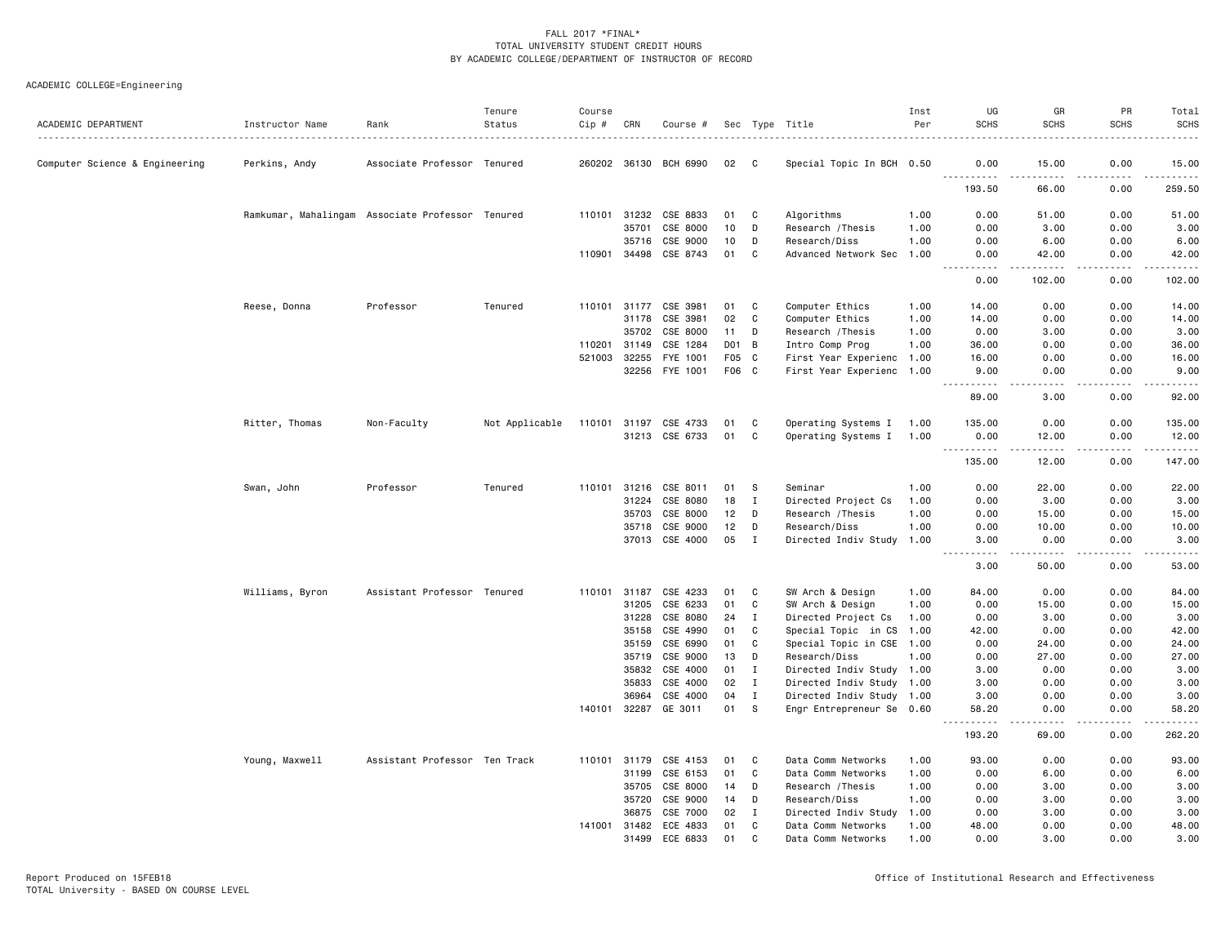| ACADEMIC DEPARTMENT            | Instructor Name                                  | Rank                          | Tenure<br>Status | Course<br>Cip # | CRN          | Course #              |                 |              | Sec Type Title            | Inst<br>Per | UG<br><b>SCHS</b>                                                                                                                 | GR<br><b>SCHS</b>                                                                                                                                            | PR<br><b>SCHS</b> | Total<br><b>SCHS</b>                                                                                                                                                                     |
|--------------------------------|--------------------------------------------------|-------------------------------|------------------|-----------------|--------------|-----------------------|-----------------|--------------|---------------------------|-------------|-----------------------------------------------------------------------------------------------------------------------------------|--------------------------------------------------------------------------------------------------------------------------------------------------------------|-------------------|------------------------------------------------------------------------------------------------------------------------------------------------------------------------------------------|
| Computer Science & Engineering | Perkins, Andy                                    | Associate Professor Tenured   |                  |                 |              | 260202 36130 BCH 6990 | 02              | $\mathbf{C}$ | Special Topic In BCH 0.50 |             | 0.00<br>.                                                                                                                         | 15.00                                                                                                                                                        | 0.00<br>.         | 15.00                                                                                                                                                                                    |
|                                |                                                  |                               |                  |                 |              |                       |                 |              |                           |             | 193.50                                                                                                                            | <u>.</u><br>66.00                                                                                                                                            | 0.00              | .<br>259.50                                                                                                                                                                              |
|                                | Ramkumar, Mahalingam Associate Professor Tenured |                               |                  |                 |              | 110101 31232 CSE 8833 | 01              | C            | Algorithms                | 1.00        | 0.00                                                                                                                              | 51.00                                                                                                                                                        | 0.00              | 51.00                                                                                                                                                                                    |
|                                |                                                  |                               |                  |                 | 35701        | CSE 8000              | 10              | D            | Research / Thesis         | 1.00        | 0.00                                                                                                                              | 3.00                                                                                                                                                         | 0.00              | 3.00                                                                                                                                                                                     |
|                                |                                                  |                               |                  |                 | 35716        | CSE 9000              | 10              | D            | Research/Diss             | 1.00        | 0.00                                                                                                                              | 6.00                                                                                                                                                         | 0.00              | 6.00                                                                                                                                                                                     |
|                                |                                                  |                               |                  |                 |              | 110901 34498 CSE 8743 | 01              | C            | Advanced Network Sec 1.00 |             | 0.00                                                                                                                              | 42.00                                                                                                                                                        | 0.00<br>.         | 42.00<br>.                                                                                                                                                                               |
|                                |                                                  |                               |                  |                 |              |                       |                 |              |                           |             | $\frac{1}{2} \left( \frac{1}{2} \right) \left( \frac{1}{2} \right) \left( \frac{1}{2} \right) \left( \frac{1}{2} \right)$<br>0.00 | -----<br>102.00                                                                                                                                              | 0.00              | 102.00                                                                                                                                                                                   |
|                                | Reese, Donna                                     | Professor                     | Tenured          |                 | 110101 31177 | CSE 3981              | 01              | C            | Computer Ethics           | 1.00        | 14.00                                                                                                                             | 0.00                                                                                                                                                         | 0.00              | 14.00                                                                                                                                                                                    |
|                                |                                                  |                               |                  |                 | 31178        | CSE 3981              | 02              | C            | Computer Ethics           | 1.00        | 14.00                                                                                                                             | 0.00                                                                                                                                                         | 0.00              | 14.00                                                                                                                                                                                    |
|                                |                                                  |                               |                  |                 | 35702        | CSE 8000              | 11              | D            | Research / Thesis         | 1.00        | 0.00                                                                                                                              | 3.00                                                                                                                                                         | 0.00              | 3.00                                                                                                                                                                                     |
|                                |                                                  |                               |                  | 110201          | 31149        | CSE 1284              | D01 B           |              | Intro Comp Prog           | 1.00        | 36.00                                                                                                                             | 0.00                                                                                                                                                         | 0.00              | 36.00                                                                                                                                                                                    |
|                                |                                                  |                               |                  | 521003          | 32255        | FYE 1001              | F <sub>05</sub> | C            | First Year Experienc 1.00 |             | 16.00                                                                                                                             | 0.00                                                                                                                                                         | 0.00              | 16.00                                                                                                                                                                                    |
|                                |                                                  |                               |                  |                 |              | 32256 FYE 1001        | F06 C           |              | First Year Experienc 1.00 |             | 9.00<br>المتمام المتحدة                                                                                                           | 0.00<br>.                                                                                                                                                    | 0.00              | 9.00<br>.                                                                                                                                                                                |
|                                |                                                  |                               |                  |                 |              |                       |                 |              |                           |             | 89.00                                                                                                                             | 3.00                                                                                                                                                         | 0.00              | 92.00                                                                                                                                                                                    |
|                                | Ritter, Thomas                                   | Non-Faculty                   | Not Applicable   | 110101          | 31197        | CSE 4733              | 01              | C            | Operating Systems I       | 1.00        | 135.00                                                                                                                            | 0.00                                                                                                                                                         | 0.00              | 135.00                                                                                                                                                                                   |
|                                |                                                  |                               |                  |                 | 31213        | CSE 6733              | 01              | C            | Operating Systems I       | 1.00        | 0.00                                                                                                                              | 12.00                                                                                                                                                        | 0.00              | 12.00                                                                                                                                                                                    |
|                                |                                                  |                               |                  |                 |              |                       |                 |              |                           |             | .                                                                                                                                 | $\frac{1}{2} \left( \frac{1}{2} \right) \left( \frac{1}{2} \right) \left( \frac{1}{2} \right) \left( \frac{1}{2} \right) \left( \frac{1}{2} \right)$         | .                 | $\frac{1}{2} \left( \frac{1}{2} \right) \left( \frac{1}{2} \right) \left( \frac{1}{2} \right) \left( \frac{1}{2} \right) \left( \frac{1}{2} \right) \left( \frac{1}{2} \right)$          |
|                                |                                                  |                               |                  |                 |              |                       |                 |              |                           |             | 135.00                                                                                                                            | 12.00                                                                                                                                                        | 0.00              | 147.00                                                                                                                                                                                   |
|                                | Swan, John                                       | Professor                     | Tenured          | 110101          | 31216        | CSE 8011              | 01              | S.           | Seminar                   | 1.00        | 0.00                                                                                                                              | 22.00                                                                                                                                                        | 0.00              | 22.00                                                                                                                                                                                    |
|                                |                                                  |                               |                  |                 | 31224        | CSE 8080              | 18              | $\mathbf{I}$ | Directed Project Cs       | 1.00        | 0.00                                                                                                                              | 3.00                                                                                                                                                         | 0.00              | 3.00                                                                                                                                                                                     |
|                                |                                                  |                               |                  |                 | 35703        | CSE 8000              | 12              | D            | Research / Thesis         | 1.00        | 0.00                                                                                                                              | 15.00                                                                                                                                                        | 0.00              | 15.00                                                                                                                                                                                    |
|                                |                                                  |                               |                  |                 | 35718        | CSE 9000              | 12              | D            | Research/Diss             | 1.00        | 0.00                                                                                                                              | 10.00                                                                                                                                                        | 0.00              | 10.00                                                                                                                                                                                    |
|                                |                                                  |                               |                  |                 |              | 37013 CSE 4000        | 05              | I            | Directed Indiv Study      | 1.00        | 3.00<br>.                                                                                                                         | 0.00                                                                                                                                                         | 0.00              | 3.00<br>$\frac{1}{2} \left( \frac{1}{2} \right) \left( \frac{1}{2} \right) \left( \frac{1}{2} \right) \left( \frac{1}{2} \right) \left( \frac{1}{2} \right)$                             |
|                                |                                                  |                               |                  |                 |              |                       |                 |              |                           |             | 3.00                                                                                                                              | 50.00                                                                                                                                                        | 0.00              | 53.00                                                                                                                                                                                    |
|                                | Williams, Byron                                  | Assistant Professor Tenured   |                  |                 | 110101 31187 | CSE 4233              | 01              | C            | SW Arch & Design          | 1.00        | 84.00                                                                                                                             | 0.00                                                                                                                                                         | 0.00              | 84.00                                                                                                                                                                                    |
|                                |                                                  |                               |                  |                 | 31205        | CSE 6233              | 01              | C            | SW Arch & Design          | 1.00        | 0.00                                                                                                                              | 15.00                                                                                                                                                        | 0.00              | 15.00                                                                                                                                                                                    |
|                                |                                                  |                               |                  |                 | 31228        | CSE 8080              | 24              | $\mathbf I$  | Directed Project Cs       | 1.00        | 0.00                                                                                                                              | 3.00                                                                                                                                                         | 0.00              | 3.00                                                                                                                                                                                     |
|                                |                                                  |                               |                  |                 | 35158        | CSE 4990              | 01              | C            | Special Topic in CS 1.00  |             | 42.00                                                                                                                             | 0.00                                                                                                                                                         | 0.00              | 42.00                                                                                                                                                                                    |
|                                |                                                  |                               |                  |                 | 35159        | CSE 6990              | 01              | C            | Special Topic in CSE 1.00 |             | 0.00                                                                                                                              | 24.00                                                                                                                                                        | 0.00              | 24.00                                                                                                                                                                                    |
|                                |                                                  |                               |                  |                 | 35719        | CSE 9000              | 13              | D            | Research/Diss             | 1.00        | 0.00                                                                                                                              | 27.00                                                                                                                                                        | 0.00              | 27.00                                                                                                                                                                                    |
|                                |                                                  |                               |                  |                 | 35832        | CSE 4000              | 01              | $\mathbf I$  | Directed Indiv Study 1.00 |             | 3.00                                                                                                                              | 0.00                                                                                                                                                         | 0.00              | 3.00                                                                                                                                                                                     |
|                                |                                                  |                               |                  |                 | 35833        | CSE 4000              | 02              | $\mathbf{I}$ | Directed Indiv Study 1.00 |             | 3.00                                                                                                                              | 0.00                                                                                                                                                         | 0.00              | 3.00                                                                                                                                                                                     |
|                                |                                                  |                               |                  |                 | 36964        | CSE 4000              | 04              | $\mathbf I$  | Directed Indiv Study      | 1.00        | 3.00                                                                                                                              | 0.00                                                                                                                                                         | 0.00              | 3.00                                                                                                                                                                                     |
|                                |                                                  |                               |                  |                 | 140101 32287 | GE 3011               | 01              | S            | Engr Entrepreneur Se 0.60 |             | 58.20<br>. <b>.</b>                                                                                                               | 0.00<br>$\frac{1}{2} \left( \frac{1}{2} \right) \left( \frac{1}{2} \right) \left( \frac{1}{2} \right) \left( \frac{1}{2} \right) \left( \frac{1}{2} \right)$ | 0.00<br>.         | 58.20<br>$\frac{1}{2} \left( \frac{1}{2} \right) \left( \frac{1}{2} \right) \left( \frac{1}{2} \right) \left( \frac{1}{2} \right) \left( \frac{1}{2} \right) \left( \frac{1}{2} \right)$ |
|                                |                                                  |                               |                  |                 |              |                       |                 |              |                           |             | 193.20                                                                                                                            | 69.00                                                                                                                                                        | 0.00              | 262.20                                                                                                                                                                                   |
|                                | Young, Maxwell                                   | Assistant Professor Ten Track |                  |                 | 110101 31179 | CSE 4153              | 01              | C            | Data Comm Networks        | 1.00        | 93.00                                                                                                                             | 0.00                                                                                                                                                         | 0.00              | 93.00                                                                                                                                                                                    |
|                                |                                                  |                               |                  |                 | 31199        | CSE 6153              | 01              | C            | Data Comm Networks        | 1.00        | 0.00                                                                                                                              | 6.00                                                                                                                                                         | 0.00              | 6.00                                                                                                                                                                                     |
|                                |                                                  |                               |                  |                 | 35705        | CSE 8000              | 14              | D            | Research / Thesis         | 1.00        | 0.00                                                                                                                              | 3.00                                                                                                                                                         | 0.00              | 3.00                                                                                                                                                                                     |
|                                |                                                  |                               |                  |                 | 35720        | CSE 9000              | 14              | D            | Research/Diss             | 1.00        | 0.00                                                                                                                              | 3.00                                                                                                                                                         | 0.00              | 3.00                                                                                                                                                                                     |
|                                |                                                  |                               |                  |                 | 36875        | CSE 7000              | 02              | $\mathbf I$  | Directed Indiv Study      | 1.00        | 0.00                                                                                                                              | 3.00                                                                                                                                                         | 0.00              | 3.00                                                                                                                                                                                     |
|                                |                                                  |                               |                  |                 | 141001 31482 | ECE 4833              | 01              | C            | Data Comm Networks        | 1.00        | 48.00                                                                                                                             | 0.00                                                                                                                                                         | 0.00              | 48.00                                                                                                                                                                                    |
|                                |                                                  |                               |                  |                 | 31499        | ECE 6833              | 01              | C            | Data Comm Networks        | 1.00        | 0.00                                                                                                                              | 3.00                                                                                                                                                         | 0.00              | 3.00                                                                                                                                                                                     |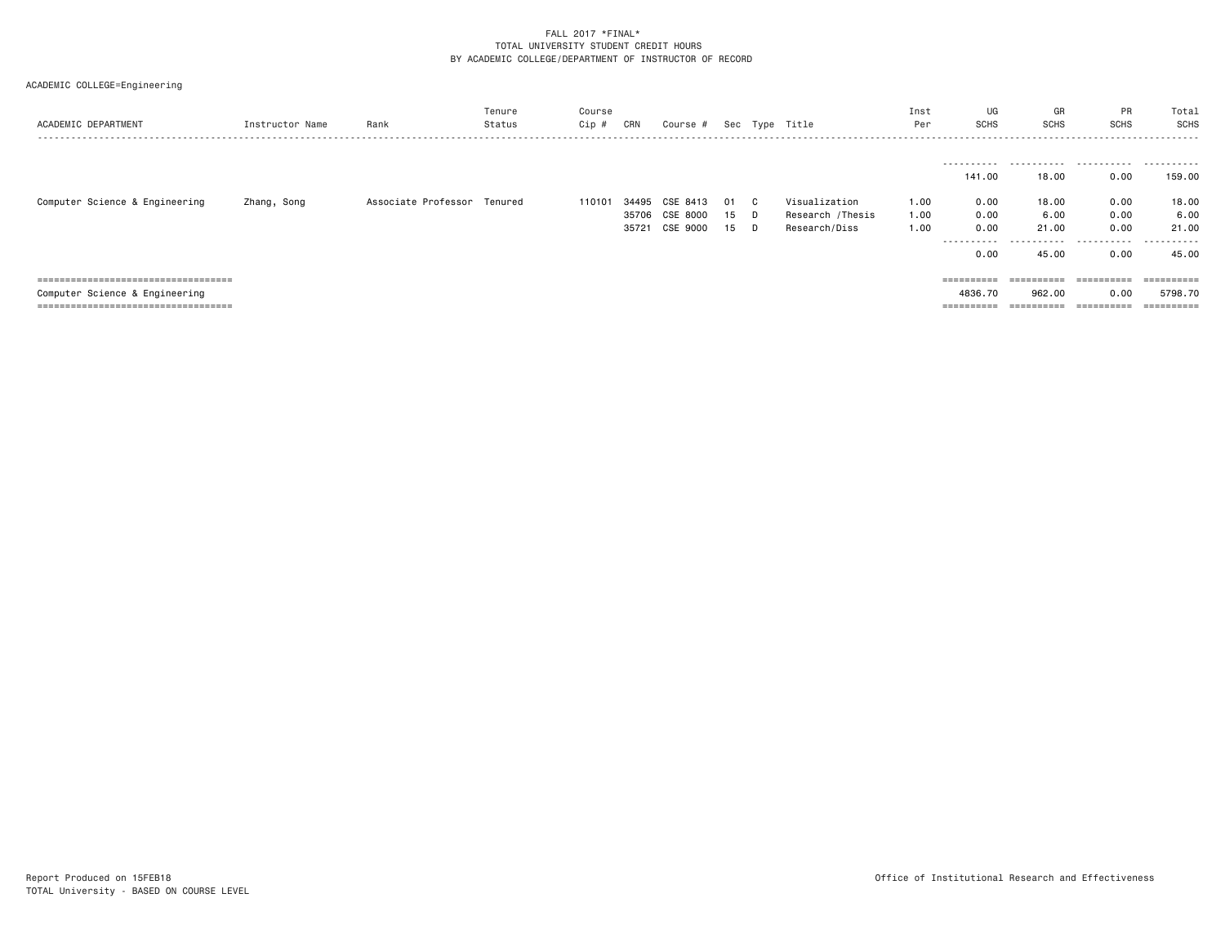| ACADEMIC DEPARTMENT                  | Instructor Name | Rank                        | Tenure<br>Status | Course<br>Cip # | CRN   | Course #       |    |    | Sec Type Title   | Inst<br>Per | UG<br><b>SCHS</b> | GR<br>SCHS | PR<br><b>SCHS</b> | Total<br>SCHS         |
|--------------------------------------|-----------------|-----------------------------|------------------|-----------------|-------|----------------|----|----|------------------|-------------|-------------------|------------|-------------------|-----------------------|
|                                      |                 |                             |                  |                 |       |                |    |    |                  |             |                   |            |                   |                       |
|                                      |                 |                             |                  |                 |       |                |    |    |                  |             | 141.00            | 18,00      | 0.00              | 159.00                |
| Computer Science & Engineering       | Zhang, Song     | Associate Professor Tenured |                  | 110101          |       | 34495 CSE 8413 | 01 | C. | Visualization    | 1.00        | 0.00              | 18,00      | 0.00              | 18.00                 |
|                                      |                 |                             |                  |                 | 35706 | CSE 8000       | 15 | D. | Research /Thesis | 1.00        | 0.00              | 6.00       | 0.00              | 6.00                  |
|                                      |                 |                             |                  |                 | 35721 | CSE 9000       | 15 | D  | Research/Diss    | 1.00        | 0.00              | 21.00      | 0.00              | 21.00                 |
|                                      |                 |                             |                  |                 |       |                |    |    |                  |             | -----------       | .          | .                 | .                     |
|                                      |                 |                             |                  |                 |       |                |    |    |                  |             | 0.00              | 45.00      | 0.00              | 45.00                 |
|                                      |                 |                             |                  |                 |       |                |    |    |                  |             |                   |            |                   |                       |
| ==================================== |                 |                             |                  |                 |       |                |    |    |                  |             |                   | ========== | ==========        | ==========            |
| Computer Science & Engineering       |                 |                             |                  |                 |       |                |    |    |                  |             | 4836.70           | 962,00     | 0.00              | 5798.70               |
| ==================================== |                 |                             |                  |                 |       |                |    |    |                  |             |                   | ========== | ==========        | $=$ = = = = = = = = = |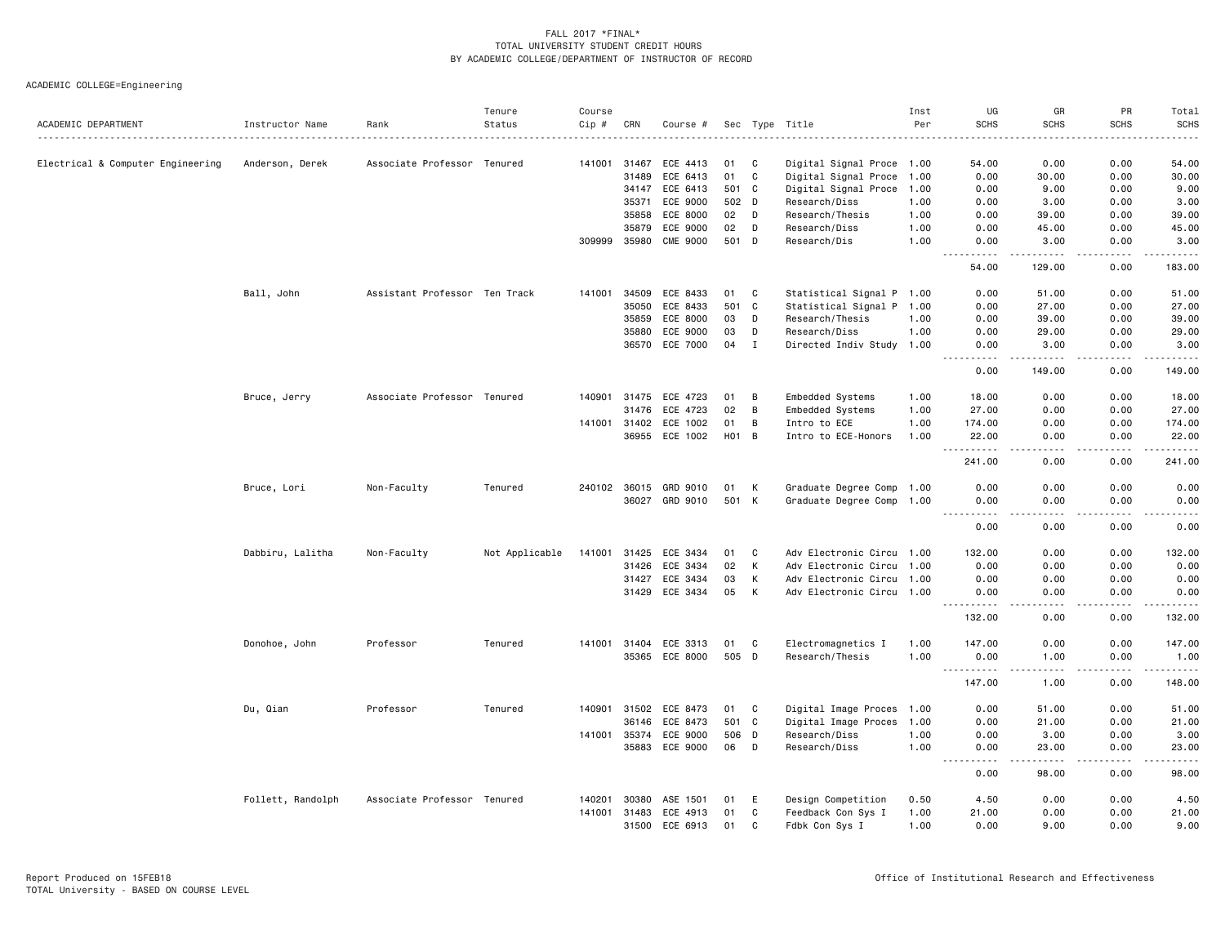| ACADEMIC DEPARTMENT               | Instructor Name   | Rank                          | Tenure<br>Status | Course<br>Cip # | CRN          | Course #              |       |    | Sec Type Title            | Inst<br>Per | UG<br><b>SCHS</b>                                                                                                                                     | GR<br><b>SCHS</b>                                                                                                                                              | PR<br><b>SCHS</b> | Total<br><b>SCHS</b>   |
|-----------------------------------|-------------------|-------------------------------|------------------|-----------------|--------------|-----------------------|-------|----|---------------------------|-------------|-------------------------------------------------------------------------------------------------------------------------------------------------------|----------------------------------------------------------------------------------------------------------------------------------------------------------------|-------------------|------------------------|
| Electrical & Computer Engineering | Anderson, Derek   | Associate Professor Tenured   |                  |                 | 141001 31467 | ECE 4413              | 01    | C. | Digital Signal Proce 1.00 |             | 54.00                                                                                                                                                 | 0.00                                                                                                                                                           | 0.00              | 54.00                  |
|                                   |                   |                               |                  |                 | 31489        | ECE 6413              | 01    | C  | Digital Signal Proce 1.00 |             | 0.00                                                                                                                                                  | 30,00                                                                                                                                                          | 0.00              | 30.00                  |
|                                   |                   |                               |                  |                 | 34147        | ECE 6413              | 501   | C  | Digital Signal Proce 1.00 |             | 0.00                                                                                                                                                  | 9.00                                                                                                                                                           | 0.00              | 9.00                   |
|                                   |                   |                               |                  |                 | 35371        | ECE 9000              | 502 D |    | Research/Diss             | 1.00        | 0.00                                                                                                                                                  | 3.00                                                                                                                                                           | 0.00              | 3.00                   |
|                                   |                   |                               |                  |                 | 35858        | ECE 8000              | 02    | D  | Research/Thesis           | 1.00        | 0.00                                                                                                                                                  | 39.00                                                                                                                                                          | 0.00              | 39.00                  |
|                                   |                   |                               |                  |                 | 35879        | ECE 9000              | 02    | D  | Research/Diss             | 1.00        | 0.00                                                                                                                                                  | 45.00                                                                                                                                                          | 0.00              | 45.00                  |
|                                   |                   |                               |                  | 309999          | 35980        | <b>CME 9000</b>       | 501 D |    | Research/Dis              | 1.00        | 0.00                                                                                                                                                  | 3.00                                                                                                                                                           | 0.00              | 3.00                   |
|                                   |                   |                               |                  |                 |              |                       |       |    |                           |             | $\sim$ $\sim$ .<br>$\frac{1}{2} \left( \frac{1}{2} \right) \left( \frac{1}{2} \right) \left( \frac{1}{2} \right) \left( \frac{1}{2} \right)$<br>54.00 | $\frac{1}{2} \left( \frac{1}{2} \right) \left( \frac{1}{2} \right) \left( \frac{1}{2} \right) \left( \frac{1}{2} \right) \left( \frac{1}{2} \right)$<br>129,00 | .<br>0.00         | .<br>183,00            |
|                                   | Ball, John        | Assistant Professor Ten Track |                  |                 | 141001 34509 | ECE 8433              | 01    | C  | Statistical Signal P 1.00 |             | 0.00                                                                                                                                                  | 51.00                                                                                                                                                          | 0.00              | 51.00                  |
|                                   |                   |                               |                  |                 | 35050        | ECE 8433              | 501   | C  | Statistical Signal P 1.00 |             | 0.00                                                                                                                                                  | 27.00                                                                                                                                                          | 0.00              | 27.00                  |
|                                   |                   |                               |                  |                 | 35859        | ECE 8000              | 03    | D  | Research/Thesis           | 1.00        | 0.00                                                                                                                                                  | 39.00                                                                                                                                                          | 0.00              | 39.00                  |
|                                   |                   |                               |                  |                 | 35880        | ECE 9000              | 03    | D  | Research/Diss             | 1.00        | 0.00                                                                                                                                                  | 29.00                                                                                                                                                          | 0.00              | 29.00                  |
|                                   |                   |                               |                  |                 |              | 36570 ECE 7000        | 04    | Ι. | Directed Indiv Study      | 1.00        | 0.00<br>.                                                                                                                                             | 3.00<br>.                                                                                                                                                      | 0.00              | 3.00<br>.              |
|                                   |                   |                               |                  |                 |              |                       |       |    |                           |             | 0.00                                                                                                                                                  | 149.00                                                                                                                                                         | 0.00              | 149.00                 |
|                                   | Bruce, Jerry      | Associate Professor Tenured   |                  |                 | 140901 31475 | ECE 4723              | 01    | В  | Embedded Systems          | 1.00        | 18.00                                                                                                                                                 | 0.00                                                                                                                                                           | 0.00              | 18.00                  |
|                                   |                   |                               |                  |                 | 31476        | ECE 4723              | 02    | B  | Embedded Systems          | 1.00        | 27.00                                                                                                                                                 | 0.00                                                                                                                                                           | 0.00              | 27.00                  |
|                                   |                   |                               |                  |                 | 141001 31402 | ECE 1002              | 01    | B  | Intro to ECE              | 1.00        | 174.00                                                                                                                                                | 0.00                                                                                                                                                           | 0.00              | 174.00                 |
|                                   |                   |                               |                  |                 |              | 36955 ECE 1002        | H01 B |    | Intro to ECE-Honors       | 1.00        | 22.00<br>$\sim$ $\sim$ $\sim$<br>$- - - - -$                                                                                                          | 0.00<br>$- - - -$                                                                                                                                              | 0.00<br>.         | 22.00<br>.             |
|                                   |                   |                               |                  |                 |              |                       |       |    |                           |             | 241.00                                                                                                                                                | 0.00                                                                                                                                                           | 0.00              | 241.00                 |
|                                   | Bruce, Lori       | Non-Faculty                   | Tenured          |                 |              | 240102 36015 GRD 9010 | 01    | K  | Graduate Degree Comp 1.00 |             | 0.00                                                                                                                                                  | 0.00                                                                                                                                                           | 0.00              | 0.00                   |
|                                   |                   |                               |                  |                 | 36027        | GRD 9010              | 501 K |    | Graduate Degree Comp 1.00 |             | 0.00<br>$\frac{1}{2} \left( \frac{1}{2} \right) \left( \frac{1}{2} \right) \left( \frac{1}{2} \right) \left( \frac{1}{2} \right)$                     | 0.00<br>د د د د                                                                                                                                                | 0.00              | 0.00                   |
|                                   |                   |                               |                  |                 |              |                       |       |    |                           |             | 0.00                                                                                                                                                  | 0.00                                                                                                                                                           | 0.00              | 0.00                   |
|                                   | Dabbiru, Lalitha  | Non-Faculty                   | Not Applicable   |                 | 141001 31425 | ECE 3434              | 01    | C  | Adv Electronic Circu 1.00 |             | 132.00                                                                                                                                                | 0.00                                                                                                                                                           | 0.00              | 132.00                 |
|                                   |                   |                               |                  |                 | 31426        | ECE 3434              | 02    | K  | Adv Electronic Circu 1.00 |             | 0.00                                                                                                                                                  | 0.00                                                                                                                                                           | 0.00              | 0.00                   |
|                                   |                   |                               |                  |                 | 31427        | ECE 3434              | 03    | К  | Adv Electronic Circu 1.00 |             | 0.00                                                                                                                                                  | 0.00                                                                                                                                                           | 0.00              | 0.00                   |
|                                   |                   |                               |                  |                 | 31429        | ECE 3434              | 05    | K  | Adv Electronic Circu 1.00 |             | 0.00<br>.<br>.                                                                                                                                        | 0.00<br>.                                                                                                                                                      | 0.00<br>.         | 0.00<br>.              |
|                                   |                   |                               |                  |                 |              |                       |       |    |                           |             | 132.00                                                                                                                                                | 0.00                                                                                                                                                           | 0.00              | 132.00                 |
|                                   | Donohoe, John     | Professor                     | Tenured          |                 |              | 141001 31404 ECE 3313 | 01    | C  | Electromagnetics I        | 1.00        | 147.00                                                                                                                                                | 0.00                                                                                                                                                           | 0.00              | 147.00                 |
|                                   |                   |                               |                  |                 | 35365        | ECE 8000              | 505   | D  | Research/Thesis           | 1.00        | 0.00                                                                                                                                                  | 1.00                                                                                                                                                           | 0.00              | 1.00<br>.              |
|                                   |                   |                               |                  |                 |              |                       |       |    |                           |             | 147.00                                                                                                                                                | 1.00                                                                                                                                                           | 0.00              | 148.00                 |
|                                   | Du, Qian          | Professor                     | Tenured          |                 | 140901 31502 | ECE 8473              | 01    | C  | Digital Image Proces      | 1.00        | 0.00                                                                                                                                                  | 51.00                                                                                                                                                          | 0.00              | 51.00                  |
|                                   |                   |                               |                  |                 | 36146        | ECE 8473              | 501 C |    | Digital Image Proces      | 1.00        | 0.00                                                                                                                                                  | 21.00                                                                                                                                                          | 0.00              | 21.00                  |
|                                   |                   |                               |                  | 141001          | 35374        | ECE 9000              | 506   | D  | Research/Diss             | 1.00        | 0.00                                                                                                                                                  | 3.00                                                                                                                                                           | 0.00              | 3.00                   |
|                                   |                   |                               |                  |                 |              | 35883 ECE 9000        | 06    | D  | Research/Diss             | 1.00        | 0.00<br>$\sim$ $\sim$ $\sim$<br>.                                                                                                                     | 23.00<br>.                                                                                                                                                     | 0.00              | 23.00<br>$\frac{1}{2}$ |
|                                   |                   |                               |                  |                 |              |                       |       |    |                           |             | 0.00                                                                                                                                                  | 98.00                                                                                                                                                          | 0.00              | 98.00                  |
|                                   | Follett, Randolph | Associate Professor Tenured   |                  | 140201          | 30380        | ASE 1501              | 01    | E  | Design Competition        | 0.50        | 4.50                                                                                                                                                  | 0.00                                                                                                                                                           | 0.00              | 4.50                   |
|                                   |                   |                               |                  | 141001          | 31483        | ECE 4913              | 01    | C  | Feedback Con Sys I        | 1.00        | 21.00                                                                                                                                                 | 0.00                                                                                                                                                           | 0.00              | 21.00                  |
|                                   |                   |                               |                  |                 | 31500        | ECE 6913              | 01    | C  | Fdbk Con Sys I            | 1.00        | 0.00                                                                                                                                                  | 9.00                                                                                                                                                           | 0.00              | 9.00                   |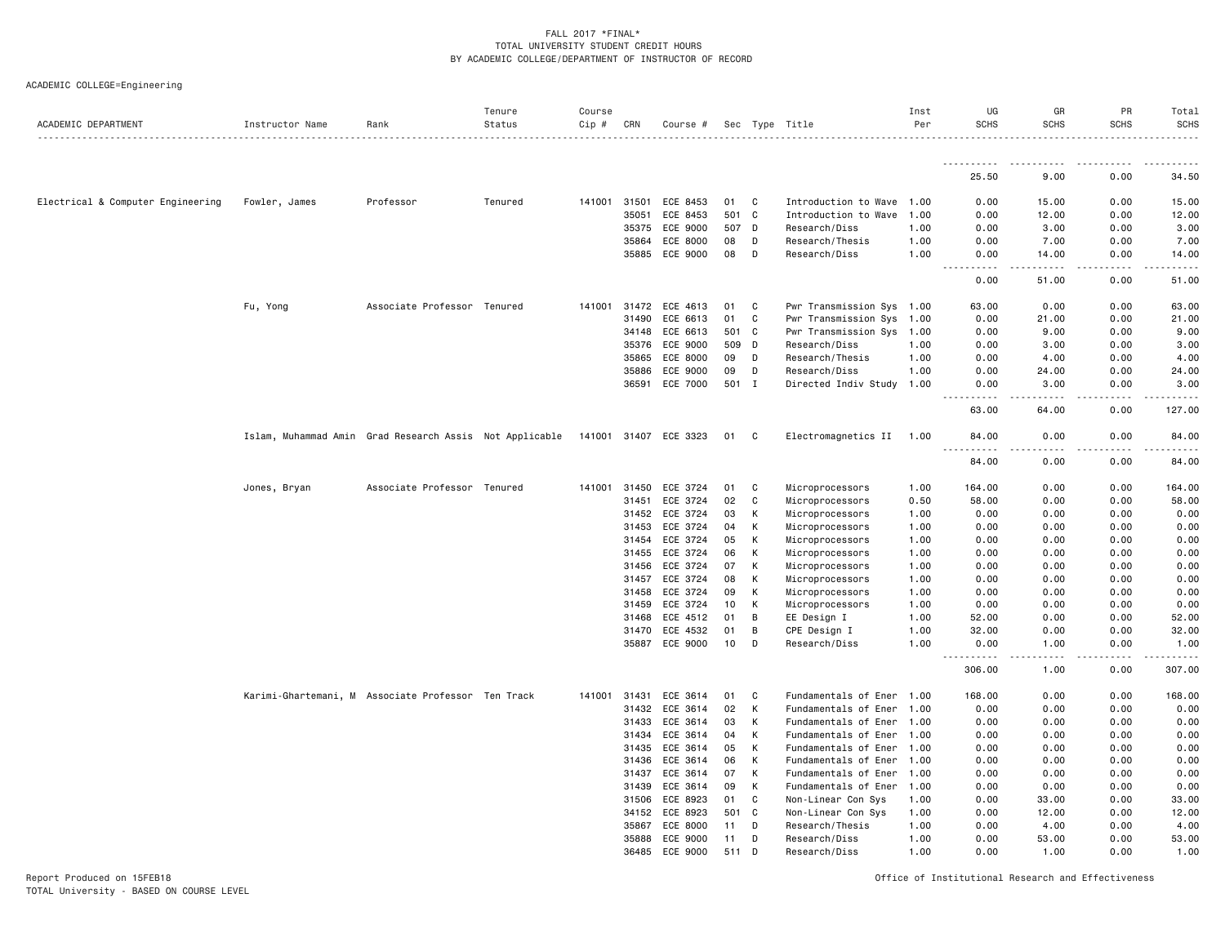| ACADEMIC COLLEGE=Engineering |  |  |  |
|------------------------------|--|--|--|
|------------------------------|--|--|--|

| ACADEMIC DEPARTMENT               | Instructor Name | Rank                                                    | Tenure<br>Status | Course<br>Cip # | CRN   | Course #              |     |              | Sec Type Title            | Inst<br>Per  | UG<br><b>SCHS</b>                   | GR<br><b>SCHS</b>    | PR<br><b>SCHS</b> | Total<br><b>SCHS</b><br><u>.</u> |
|-----------------------------------|-----------------|---------------------------------------------------------|------------------|-----------------|-------|-----------------------|-----|--------------|---------------------------|--------------|-------------------------------------|----------------------|-------------------|----------------------------------|
|                                   |                 |                                                         |                  |                 |       |                       |     |              |                           |              | .                                   |                      |                   |                                  |
|                                   |                 |                                                         |                  |                 |       |                       |     |              |                           |              | 25.50                               | 9.00                 | 0.00              | 34.50                            |
| Electrical & Computer Engineering | Fowler, James   | Professor                                               | Tenured          | 141001          | 31501 | ECE 8453              | 01  | C            | Introduction to Wave 1.00 |              | 0.00                                | 15.00                | 0.00              | 15.00                            |
|                                   |                 |                                                         |                  |                 | 35051 | ECE 8453              | 501 | $\mathbf{C}$ | Introduction to Wave      | 1.00         | 0.00                                | 12.00                | 0.00              | 12.00                            |
|                                   |                 |                                                         |                  |                 | 35375 | ECE 9000              | 507 | $\mathsf{D}$ | Research/Diss             | 1.00         | 0.00                                | 3.00                 | 0.00              | 3.00                             |
|                                   |                 |                                                         |                  |                 | 35864 | ECE 8000              | 08  | D            | Research/Thesis           | 1.00         | 0.00                                | 7.00                 | 0.00              | 7.00                             |
|                                   |                 |                                                         |                  |                 | 35885 | ECE 9000              | 08  | D            | Research/Diss             | 1.00         | 0.00<br>----<br>$\sim$ $\sim$       | 14.00<br>.           | 0.00<br>.         | 14.00<br>.                       |
|                                   |                 |                                                         |                  |                 |       |                       |     |              |                           |              | 0.00                                | 51.00                | 0.00              | 51.00                            |
|                                   | Fu, Yong        | Associate Professor Tenured                             |                  | 141001          | 31472 | ECE 4613              | 01  | C            | Pwr Transmission Sys 1.00 |              | 63.00                               | 0.00                 | 0.00              | 63.00                            |
|                                   |                 |                                                         |                  |                 | 31490 | ECE 6613              | 01  | C            | Pwr Transmission Sys      | 1.00         | 0.00                                | 21.00                | 0.00              | 21.00                            |
|                                   |                 |                                                         |                  |                 | 34148 | ECE 6613              | 501 | $\mathbf{C}$ | Pwr Transmission Sys      | 1.00         | 0.00                                | 9.00                 | 0.00              | 9.00                             |
|                                   |                 |                                                         |                  |                 | 35376 | ECE 9000              | 509 | D            | Research/Diss             | 1.00         | 0.00                                | 3.00                 | 0.00              | 3.00                             |
|                                   |                 |                                                         |                  |                 | 35865 | ECE 8000              | 09  | D            | Research/Thesis           | 1.00         | 0.00                                | 4.00                 | 0.00              | 4.00                             |
|                                   |                 |                                                         |                  |                 | 35886 | ECE 9000              | 09  | D            | Research/Diss             | 1.00         | 0.00                                | 24.00                | 0.00              | 24.00                            |
|                                   |                 |                                                         |                  |                 | 36591 | ECE 7000              | 501 | $\mathbf{I}$ | Directed Indiv Study 1.00 |              | 0.00<br>$\sim$ $\sim$ $\sim$ $\sim$ | 3.00                 | 0.00              | 3.00                             |
|                                   |                 |                                                         |                  |                 |       |                       |     |              |                           |              | 63.00                               | 64.00                | 0.00              | 127.00                           |
|                                   |                 | Islam, Muhammad Amin Grad Research Assis Not Applicable |                  |                 |       | 141001 31407 ECE 3323 | 01  | C.           | Electromagnetics II 1.00  |              | 84.00<br>$- - - - -$                | 0.00<br>. <u>. .</u> | 0.00<br>.         | 84.00<br>.                       |
|                                   |                 |                                                         |                  |                 |       |                       |     |              |                           |              | 84.00                               | 0.00                 | 0.00              | 84.00                            |
|                                   | Jones, Bryan    | Associate Professor Tenured                             |                  | 141001          | 31450 | ECE 3724              | 01  | C            | Microprocessors           | 1.00         | 164.00                              | 0.00                 | 0.00              | 164.00                           |
|                                   |                 |                                                         |                  |                 | 31451 | ECE 3724              | 02  | C            | Microprocessors           | 0.50         | 58.00                               | 0.00                 | 0.00              | 58.00                            |
|                                   |                 |                                                         |                  |                 | 31452 | ECE 3724              | 03  | К            | Microprocessors           | 1.00         | 0.00                                | 0.00                 | 0.00              | 0.00                             |
|                                   |                 |                                                         |                  |                 | 31453 | ECE 3724              | 04  | К            | Microprocessors           | 1.00         | 0.00                                | 0.00                 | 0.00              | 0.00                             |
|                                   |                 |                                                         |                  |                 | 31454 | ECE 3724              | 05  | К            | Microprocessors           | 1.00         | 0.00                                | 0.00                 | 0.00              | 0.00                             |
|                                   |                 |                                                         |                  |                 | 31455 | ECE 3724              | 06  | К            | Microprocessors           | 1.00         | 0.00                                | 0.00                 | 0.00              | 0.00                             |
|                                   |                 |                                                         |                  |                 | 31456 | ECE 3724              | 07  | К            | Microprocessors           | 1.00         | 0.00                                | 0.00                 | 0.00              | 0.00                             |
|                                   |                 |                                                         |                  |                 | 31457 | ECE 3724              | 08  | К            | Microprocessors           | 1.00         | 0.00                                | 0.00                 | 0.00              | 0.00                             |
|                                   |                 |                                                         |                  |                 | 31458 | ECE 3724              | 09  | К            | Microprocessors           | 1.00         | 0.00                                | 0.00                 | 0.00              | 0.00                             |
|                                   |                 |                                                         |                  |                 | 31459 | ECE 3724              | 10  | К            | Microprocessors           | 1.00         | 0.00                                | 0.00                 | 0.00              | 0.00                             |
|                                   |                 |                                                         |                  |                 | 31468 | ECE 4512              | 01  | В            | EE Design I               | 1.00         | 52.00                               | 0.00                 | 0.00              | 52.00                            |
|                                   |                 |                                                         |                  |                 | 31470 | ECE 4532              | 01  | в            | CPE Design I              | 1.00         | 32.00                               | 0.00                 | 0.00              | 32.00                            |
|                                   |                 |                                                         |                  |                 | 35887 | ECE 9000              | 10  | D            | Research/Diss             | 1.00         | 0.00<br>$- - - - - -$<br>$- - -$    | 1.00<br>.            | 0.00<br>.         | 1.00<br>.                        |
|                                   |                 |                                                         |                  |                 |       |                       |     |              |                           |              | 306.00                              | 1.00                 | 0.00              | 307.00                           |
|                                   |                 | Karimi-Ghartemani, M Associate Professor Ten Track      |                  | 141001          | 31431 | ECE 3614              | 01  | C            | Fundamentals of Ener 1.00 |              | 168.00                              | 0.00                 | 0.00              | 168.00                           |
|                                   |                 |                                                         |                  |                 | 31432 | ECE 3614              | 02  | К            | Fundamentals of Ener      | 1.00         | 0.00                                | 0.00                 | 0.00              | 0.00                             |
|                                   |                 |                                                         |                  |                 | 31433 | ECE 3614              | 03  | K            | Fundamentals of Ener      | 1.00         | 0.00                                | 0.00                 | 0.00              | 0.00                             |
|                                   |                 |                                                         |                  |                 | 31434 | ECE 3614              | 04  | к            | Fundamentals of Ener      | 1.00         | 0.00                                | 0.00                 | 0.00              | 0.00                             |
|                                   |                 |                                                         |                  |                 | 31435 | ECE 3614              | 05  | К            | Fundamentals of Ener      | 1.00         | 0.00                                | 0.00                 | 0.00              | 0.00                             |
|                                   |                 |                                                         |                  |                 | 31436 | ECE 3614              | 06  | К            | Fundamentals of Ener      | 1.00         | 0.00                                | 0.00                 | 0.00              | 0.00                             |
|                                   |                 |                                                         |                  |                 | 31437 | ECE 3614              | 07  | К            | Fundamentals of Ener      | 1.00         | 0.00                                | 0.00                 | 0.00              | 0.00                             |
|                                   |                 |                                                         |                  |                 | 31439 | ECE 3614              | 09  | К            | Fundamentals of Ener      | 1.00         | 0.00                                | 0.00                 | 0.00              | 0.00                             |
|                                   |                 |                                                         |                  |                 | 31506 | ECE 8923              | 01  | C            | Non-Linear Con Sys        | 1.00         | 0.00                                | 33.00                | 0.00              | 33.00                            |
|                                   |                 |                                                         |                  |                 | 34152 | ECE 8923              | 501 | C            | Non-Linear Con Sys        | 1.00         | 0.00                                | 12.00                | 0.00              | 12.00                            |
|                                   |                 |                                                         |                  |                 | 35867 | ECE 8000              | 11  | D            | Research/Thesis           | 1.00<br>1.00 | 0.00<br>0.00                        | 4.00<br>53.00        | 0.00<br>0.00      | 4.00<br>53.00                    |
|                                   |                 |                                                         |                  |                 | 35888 | ECE 9000              | 11  | D<br>D       | Research/Diss             | 1.00         | 0.00                                |                      | 0.00              |                                  |
|                                   |                 |                                                         |                  |                 | 36485 | ECE 9000              | 511 |              | Research/Diss             |              |                                     | 1.00                 |                   | 1.00                             |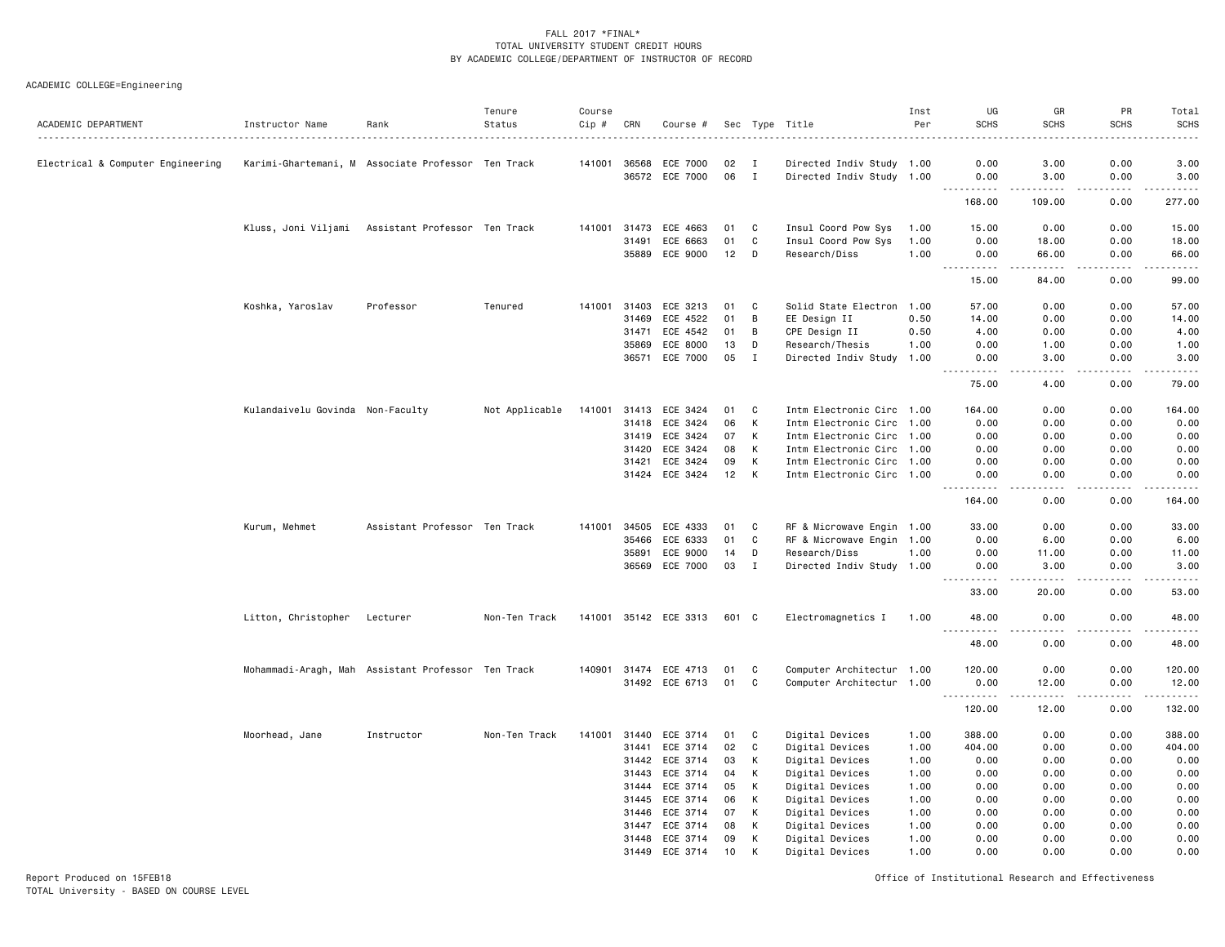| ACADEMIC DEPARTMENT               | Instructor Name                  | Rank                                               | Tenure<br>Status | Course<br>Cip # | CRN          | Course #              |       |              | Sec Type Title            | Inst<br>Per | UG<br><b>SCHS</b>                                                                              | GR<br><b>SCHS</b>                                                                                                                 | PR<br><b>SCHS</b> | Total<br><b>SCHS</b>                                                                                                                                           |
|-----------------------------------|----------------------------------|----------------------------------------------------|------------------|-----------------|--------------|-----------------------|-------|--------------|---------------------------|-------------|------------------------------------------------------------------------------------------------|-----------------------------------------------------------------------------------------------------------------------------------|-------------------|----------------------------------------------------------------------------------------------------------------------------------------------------------------|
| Electrical & Computer Engineering |                                  | Karimi-Ghartemani, M Associate Professor Ten Track |                  | 141001          | 36568        | ECE 7000              | 02    | I            | Directed Indiv Study 1.00 |             | 0.00                                                                                           | 3.00                                                                                                                              | 0.00              | 3.00                                                                                                                                                           |
|                                   |                                  |                                                    |                  |                 |              | 36572 ECE 7000        | 06    | $\mathbf{I}$ | Directed Indiv Study 1.00 |             | 0.00                                                                                           | 3.00                                                                                                                              | 0.00              | 3.00                                                                                                                                                           |
|                                   |                                  |                                                    |                  |                 |              |                       |       |              |                           |             | 168.00                                                                                         | 109.00                                                                                                                            | .<br>0.00         | .<br>277.00                                                                                                                                                    |
|                                   | Kluss, Joni Viljami              | Assistant Professor Ten Track                      |                  |                 | 141001 31473 | ECE 4663              | 01    | C            | Insul Coord Pow Sys       | 1.00        | 15.00                                                                                          | 0.00                                                                                                                              | 0.00              | 15.00                                                                                                                                                          |
|                                   |                                  |                                                    |                  |                 | 31491        | ECE 6663              | 01    | C            | Insul Coord Pow Sys       | 1.00        | 0.00                                                                                           | 18.00                                                                                                                             | 0.00              | 18.00                                                                                                                                                          |
|                                   |                                  |                                                    |                  |                 | 35889        | ECE 9000              | 12    | D            | Research/Diss             | 1.00        | 0.00                                                                                           | 66.00                                                                                                                             | 0.00              | 66.00                                                                                                                                                          |
|                                   |                                  |                                                    |                  |                 |              |                       |       |              |                           |             | .<br>15.00                                                                                     | .<br>84.00                                                                                                                        | .<br>0.00         | .<br>99.00                                                                                                                                                     |
|                                   | Koshka, Yaroslav                 | Professor                                          | Tenured          |                 | 141001 31403 | ECE 3213              | 01    | C            | Solid State Electron 1.00 |             | 57.00                                                                                          | 0.00                                                                                                                              | 0.00              | 57.00                                                                                                                                                          |
|                                   |                                  |                                                    |                  |                 | 31469        | ECE 4522              | 01    | B            | EE Design II              | 0.50        | 14.00                                                                                          | 0.00                                                                                                                              | 0.00              | 14.00                                                                                                                                                          |
|                                   |                                  |                                                    |                  |                 | 31471        | ECE 4542              | 01    | В            | CPE Design II             | 0.50        | 4.00                                                                                           | 0.00                                                                                                                              | 0.00              | 4.00                                                                                                                                                           |
|                                   |                                  |                                                    |                  |                 | 35869        | ECE 8000              | 13    | D            | Research/Thesis           | 1.00        | 0.00                                                                                           | 1.00                                                                                                                              | 0.00              | 1.00                                                                                                                                                           |
|                                   |                                  |                                                    |                  |                 | 36571        | ECE 7000              | 05    | $\mathbf{I}$ | Directed Indiv Study 1.00 |             | 0.00                                                                                           | 3.00                                                                                                                              | 0.00              | 3.00                                                                                                                                                           |
|                                   |                                  |                                                    |                  |                 |              |                       |       |              |                           |             | .<br>75.00                                                                                     | $\frac{1}{2} \left( \frac{1}{2} \right) \left( \frac{1}{2} \right) \left( \frac{1}{2} \right) \left( \frac{1}{2} \right)$<br>4.00 | 0.00              | 79.00                                                                                                                                                          |
|                                   | Kulandaivelu Govinda Non-Faculty |                                                    | Not Applicable   | 141001          |              | 31413 ECE 3424        | 01    | C            | Intm Electronic Circ 1.00 |             | 164.00                                                                                         | 0.00                                                                                                                              | 0.00              | 164.00                                                                                                                                                         |
|                                   |                                  |                                                    |                  |                 | 31418        | ECE 3424              | 06    | K            | Intm Electronic Circ 1.00 |             | 0.00                                                                                           | 0.00                                                                                                                              | 0.00              | 0.00                                                                                                                                                           |
|                                   |                                  |                                                    |                  |                 | 31419        | ECE 3424              | 07    | K            | Intm Electronic Circ 1.00 |             | 0.00                                                                                           | 0.00                                                                                                                              | 0.00              | 0.00                                                                                                                                                           |
|                                   |                                  |                                                    |                  |                 | 31420        | ECE 3424              | 08    | K            | Intm Electronic Circ 1.00 |             | 0.00                                                                                           | 0.00                                                                                                                              | 0.00              | 0.00                                                                                                                                                           |
|                                   |                                  |                                                    |                  |                 |              |                       |       | К            |                           |             |                                                                                                |                                                                                                                                   |                   |                                                                                                                                                                |
|                                   |                                  |                                                    |                  |                 | 31421        | ECE 3424              | 09    | K            | Intm Electronic Circ 1.00 |             | 0.00<br>0.00                                                                                   | 0.00<br>0.00                                                                                                                      | 0.00<br>0.00      | 0.00<br>0.00                                                                                                                                                   |
|                                   |                                  |                                                    |                  |                 | 31424        | ECE 3424              | 12    |              | Intm Electronic Circ 1.00 |             |                                                                                                |                                                                                                                                   |                   | المالما ماليا                                                                                                                                                  |
|                                   |                                  |                                                    |                  |                 |              |                       |       |              |                           |             | 164.00                                                                                         | 0.00                                                                                                                              | 0.00              | 164.00                                                                                                                                                         |
|                                   | Kurum, Mehmet                    | Assistant Professor Ten Track                      |                  | 141001          | 34505        | ECE 4333              | 01    | C            | RF & Microwave Engin 1.00 |             | 33.00                                                                                          | 0.00                                                                                                                              | 0.00              | 33.00                                                                                                                                                          |
|                                   |                                  |                                                    |                  |                 | 35466        | ECE 6333              | 01    | C            | RF & Microwave Engin 1.00 |             | 0.00                                                                                           | 6.00                                                                                                                              | 0.00              | 6.00                                                                                                                                                           |
|                                   |                                  |                                                    |                  |                 | 35891        | ECE 9000              | 14    | D            | Research/Diss             | 1.00        | 0.00                                                                                           | 11.00                                                                                                                             | 0.00              | 11.00                                                                                                                                                          |
|                                   |                                  |                                                    |                  |                 | 36569        | ECE 7000              | 03    | I            | Directed Indiv Study 1.00 |             | 0.00                                                                                           | 3.00                                                                                                                              | 0.00              | 3.00                                                                                                                                                           |
|                                   |                                  |                                                    |                  |                 |              |                       |       |              |                           |             | 33.00                                                                                          | 20.00                                                                                                                             | 0.00              | 53.00                                                                                                                                                          |
|                                   | Litton, Christopher Lecturer     |                                                    | Non-Ten Track    |                 |              | 141001 35142 ECE 3313 | 601 C |              | Electromagnetics I        | 1.00        | 48.00                                                                                          | 0.00                                                                                                                              | 0.00              | 48.00                                                                                                                                                          |
|                                   |                                  |                                                    |                  |                 |              |                       |       |              |                           |             | .<br>48.00                                                                                     | 0.00                                                                                                                              | 0.00              | . <u>.</u> .<br>48.00                                                                                                                                          |
|                                   |                                  | Mohammadi-Aragh, Mah Assistant Professor Ten Track |                  |                 | 140901 31474 | ECE 4713              | 01    | C            | Computer Architectur 1.00 |             | 120.00                                                                                         | 0.00                                                                                                                              | 0.00              | 120.00                                                                                                                                                         |
|                                   |                                  |                                                    |                  |                 |              | 31492 ECE 6713        | 01    | C            | Computer Architectur 1.00 |             | 0.00                                                                                           | 12.00                                                                                                                             | 0.00              | 12.00                                                                                                                                                          |
|                                   |                                  |                                                    |                  |                 |              |                       |       |              |                           |             | $\frac{1}{2} \left( \frac{1}{2} \right) \frac{1}{2} \left( \frac{1}{2} \right)$<br>.<br>120.00 | -----<br>12.00                                                                                                                    | .<br>0.00         | $\frac{1}{2} \left( \frac{1}{2} \right) \left( \frac{1}{2} \right) \left( \frac{1}{2} \right) \left( \frac{1}{2} \right) \left( \frac{1}{2} \right)$<br>132.00 |
|                                   |                                  |                                                    |                  |                 |              |                       |       |              |                           |             |                                                                                                |                                                                                                                                   |                   |                                                                                                                                                                |
|                                   | Moorhead, Jane                   | Instructor                                         | Non-Ten Track    | 141001          | 31440        | ECE 3714              | 01    | C            | Digital Devices           | 1.00        | 388.00                                                                                         | 0.00                                                                                                                              | 0.00              | 388.00                                                                                                                                                         |
|                                   |                                  |                                                    |                  |                 | 31441        | ECE 3714              | 02    | C            | Digital Devices           | 1.00        | 404.00                                                                                         | 0.00                                                                                                                              | 0.00              | 404.00                                                                                                                                                         |
|                                   |                                  |                                                    |                  |                 | 31442        | ECE 3714              | 03    | К            | Digital Devices           | 1.00        | 0.00                                                                                           | 0.00                                                                                                                              | 0.00              | 0.00                                                                                                                                                           |
|                                   |                                  |                                                    |                  |                 | 31443        | ECE 3714              | 04    | к            | Digital Devices           | 1.00        | 0.00                                                                                           | 0.00                                                                                                                              | 0.00              | 0.00                                                                                                                                                           |
|                                   |                                  |                                                    |                  |                 | 31444        | ECE 3714              | 05    | K            | Digital Devices           | 1.00        | 0.00                                                                                           | 0.00                                                                                                                              | 0.00              | 0.00                                                                                                                                                           |
|                                   |                                  |                                                    |                  |                 | 31445        | ECE 3714              | 06    | к            | Digital Devices           | 1.00        | 0.00                                                                                           | 0.00                                                                                                                              | 0.00              | 0.00                                                                                                                                                           |
|                                   |                                  |                                                    |                  |                 | 31446        | ECE 3714              | 07    | K            | Digital Devices           | 1.00        | 0.00                                                                                           | 0.00                                                                                                                              | 0.00              | 0.00                                                                                                                                                           |
|                                   |                                  |                                                    |                  |                 | 31447        | ECE 3714              | 08    | К            | Digital Devices           | 1.00        | 0.00                                                                                           | 0.00                                                                                                                              | 0.00              | 0.00                                                                                                                                                           |
|                                   |                                  |                                                    |                  |                 | 31448        | ECE 3714              | 09    | К            | Digital Devices           | 1.00        | 0.00                                                                                           | 0.00                                                                                                                              | 0.00              | 0.00                                                                                                                                                           |
|                                   |                                  |                                                    |                  |                 | 31449        | ECE 3714              | 10    | K            | Digital Devices           | 1.00        | 0.00                                                                                           | 0.00                                                                                                                              | 0.00              | 0.00                                                                                                                                                           |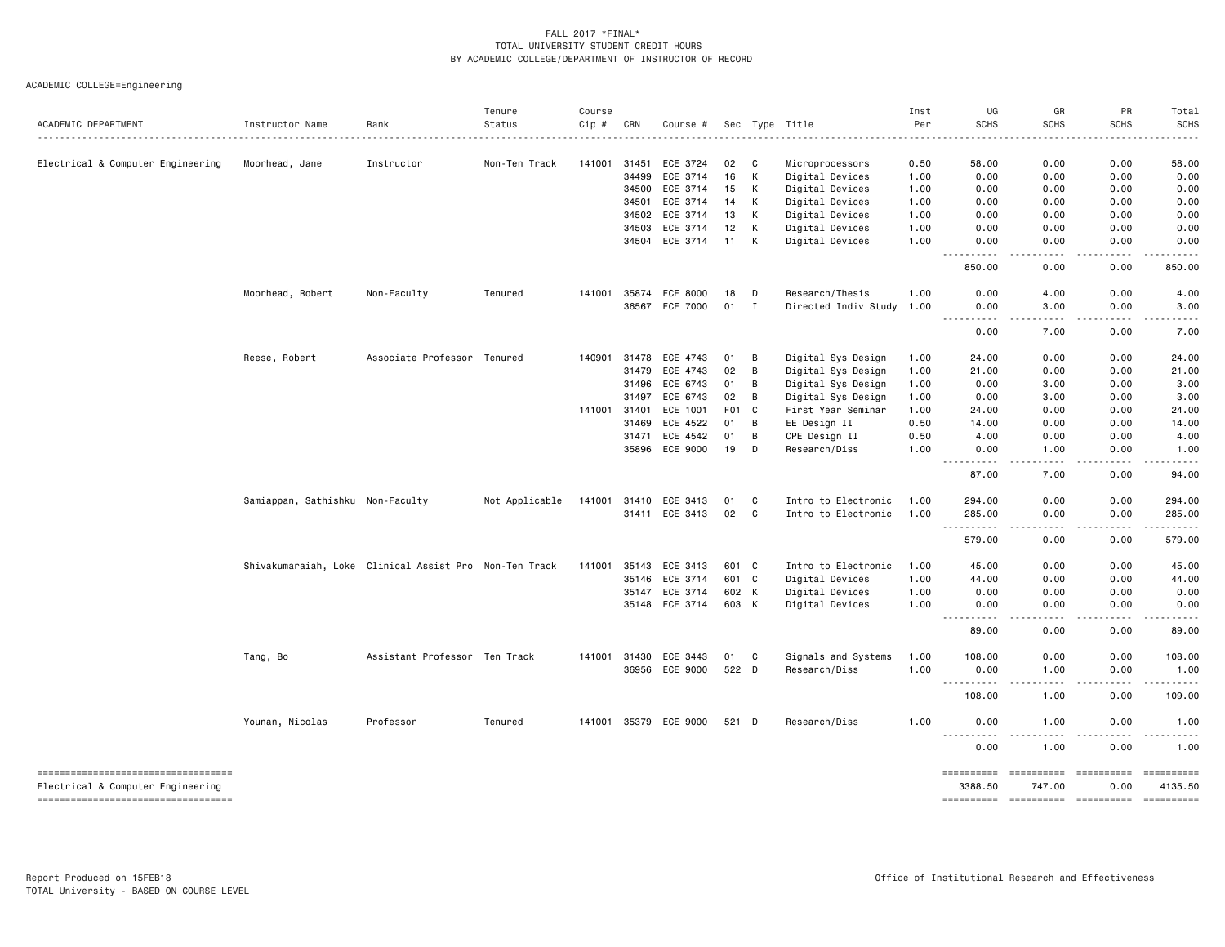| ACADEMIC DEPARTMENT                                                      | Instructor Name                                        | Rank                          | Tenure<br>Status | Course<br>Cip # | CRN          | Course #              |                 |   | Sec Type Title            | Inst<br>Per | UG<br><b>SCHS</b>                                                                                                                      | GR<br><b>SCHS</b>                | PR<br><b>SCHS</b> | Total<br><b>SCHS</b>  |
|--------------------------------------------------------------------------|--------------------------------------------------------|-------------------------------|------------------|-----------------|--------------|-----------------------|-----------------|---|---------------------------|-------------|----------------------------------------------------------------------------------------------------------------------------------------|----------------------------------|-------------------|-----------------------|
|                                                                          |                                                        |                               |                  |                 |              |                       |                 |   |                           |             |                                                                                                                                        |                                  |                   |                       |
| Electrical & Computer Engineering                                        | Moorhead, Jane                                         | Instructor                    | Non-Ten Track    | 141001 31451    |              | ECE 3724              | 02              | C | Microprocessors           | 0.50        | 58.00                                                                                                                                  | 0.00                             | 0.00              | 58.00                 |
|                                                                          |                                                        |                               |                  |                 | 34499        | ECE 3714              | 16              | к | Digital Devices           | 1.00        | 0.00                                                                                                                                   | 0.00                             | 0.00              | 0.00                  |
|                                                                          |                                                        |                               |                  |                 | 34500        | ECE 3714              | 15              | к | Digital Devices           | 1.00        | 0.00                                                                                                                                   | 0.00                             | 0.00              | 0.00                  |
|                                                                          |                                                        |                               |                  |                 | 34501        | ECE 3714              | 14              | К | Digital Devices           | 1.00        | 0.00                                                                                                                                   | 0.00                             | 0.00              | 0.00                  |
|                                                                          |                                                        |                               |                  |                 | 34502        | ECE 3714              | 13              | К | Digital Devices           | 1.00        | 0.00                                                                                                                                   | 0.00                             | 0.00              | 0.00                  |
|                                                                          |                                                        |                               |                  |                 | 34503        | ECE 3714              | 12              | к | Digital Devices           | 1.00        | 0.00                                                                                                                                   | 0.00                             | 0.00              | 0.00                  |
|                                                                          |                                                        |                               |                  |                 | 34504        | ECE 3714              | 11              | К | Digital Devices           | 1.00        | 0.00<br>----                                                                                                                           | 0.00                             | 0.00              | 0.00                  |
|                                                                          |                                                        |                               |                  |                 |              |                       |                 |   |                           |             | 850.00                                                                                                                                 | 0.00                             | 0.00              | 850.00                |
|                                                                          | Moorhead, Robert                                       | Non-Faculty                   | Tenured          |                 | 141001 35874 | ECE 8000              | 18              | D | Research/Thesis           | 1.00        | 0.00                                                                                                                                   | 4.00                             | 0.00              | 4.00                  |
|                                                                          |                                                        |                               |                  |                 | 36567        | ECE 7000              | 01              | Ι | Directed Indiv Study 1.00 |             | 0.00<br><u> - - - - - - - - - -</u>                                                                                                    | 3.00<br>.                        | 0.00<br>.         | 3.00<br>$- - - - -$   |
|                                                                          |                                                        |                               |                  |                 |              |                       |                 |   |                           |             | 0.00                                                                                                                                   | 7.00                             | 0.00              | 7.00                  |
|                                                                          | Reese, Robert                                          | Associate Professor Tenured   |                  | 140901 31478    |              | ECE 4743              | 01              | B | Digital Sys Design        | 1.00        | 24.00                                                                                                                                  | 0.00                             | 0.00              | 24.00                 |
|                                                                          |                                                        |                               |                  |                 | 31479        | ECE 4743              | 02              | B | Digital Sys Design        | 1.00        | 21.00                                                                                                                                  | 0.00                             | 0.00              | 21.00                 |
|                                                                          |                                                        |                               |                  |                 | 31496        | ECE 6743              | 01              | В | Digital Sys Design        | 1.00        | 0.00                                                                                                                                   | 3.00                             | 0.00              | 3.00                  |
|                                                                          |                                                        |                               |                  |                 | 31497        | ECE 6743              | 02              | B | Digital Sys Design        | 1.00        | 0.00                                                                                                                                   | 3.00                             | 0.00              | 3.00                  |
|                                                                          |                                                        |                               |                  | 141001 31401    |              | ECE 1001              | F <sub>01</sub> | C | First Year Seminar        | 1.00        | 24.00                                                                                                                                  | 0.00                             | 0.00              | 24.00                 |
|                                                                          |                                                        |                               |                  |                 | 31469        | ECE 4522              | 01              | B | EE Design II              | 0.50        | 14.00                                                                                                                                  | 0.00                             | 0.00              | 14.00                 |
|                                                                          |                                                        |                               |                  |                 | 31471        | ECE 4542              | 01              | B | CPE Design II             | 0.50        | 4.00                                                                                                                                   | 0.00                             | 0.00              | 4.00                  |
|                                                                          |                                                        |                               |                  |                 | 35896        | ECE 9000              | 19              | D | Research/Diss             | 1.00        | 0.00<br>.<br>$\frac{1}{2} \left( \frac{1}{2} \right) \left( \frac{1}{2} \right) \left( \frac{1}{2} \right) \left( \frac{1}{2} \right)$ | 1.00<br>.                        | 0.00<br>.         | 1.00<br>.             |
|                                                                          |                                                        |                               |                  |                 |              |                       |                 |   |                           |             | 87.00                                                                                                                                  | 7.00                             | 0.00              | 94.00                 |
|                                                                          | Samiappan, Sathishku Non-Faculty                       |                               | Not Applicable   | 141001          | 31410        | ECE 3413              | 01              | C | Intro to Electronic       | 1.00        | 294.00                                                                                                                                 | 0.00                             | 0.00              | 294.00                |
|                                                                          |                                                        |                               |                  |                 |              | 31411 ECE 3413        | 02              | C | Intro to Electronic       | 1.00        | 285.00                                                                                                                                 | 0.00                             | 0.00              | 285.00                |
|                                                                          |                                                        |                               |                  |                 |              |                       |                 |   |                           |             | 1.1.1.1.1<br>$\sim$ $\sim$                                                                                                             | د د د د                          | .                 | .                     |
|                                                                          |                                                        |                               |                  |                 |              |                       |                 |   |                           |             | 579.00                                                                                                                                 | 0.00                             | 0.00              | 579.00                |
|                                                                          | Shivakumaraiah, Loke Clinical Assist Pro Non-Ten Track |                               |                  | 141001 35143    |              | ECE 3413              | 601 C           |   | Intro to Electronic       | 1.00        | 45.00                                                                                                                                  | 0.00                             | 0.00              | 45.00                 |
|                                                                          |                                                        |                               |                  |                 | 35146        | ECE 3714              | 601 C           |   | Digital Devices           | 1.00        | 44.00                                                                                                                                  | 0.00                             | 0.00              | 44.00                 |
|                                                                          |                                                        |                               |                  |                 | 35147        | ECE 3714              | 602 K           |   | Digital Devices           | 1.00        | 0.00                                                                                                                                   | 0.00                             | 0.00              | 0.00                  |
|                                                                          |                                                        |                               |                  |                 |              | 35148 ECE 3714        | 603 K           |   | Digital Devices           | 1.00        | 0.00<br>----------                                                                                                                     | 0.00<br>.                        | 0.00<br>.         | 0.00<br>. <b>.</b> .  |
|                                                                          |                                                        |                               |                  |                 |              |                       |                 |   |                           |             | 89.00                                                                                                                                  | 0.00                             | 0.00              | 89.00                 |
|                                                                          | Tang, Bo                                               | Assistant Professor Ten Track |                  | 141001          | 31430        | ECE 3443              | 01              | C | Signals and Systems       | 1.00        | 108,00                                                                                                                                 | 0.00                             | 0.00              | 108.00                |
|                                                                          |                                                        |                               |                  |                 |              | 36956 ECE 9000        | 522 D           |   | Research/Diss             | 1.00        | 0.00<br><u> - - - - - - - - - -</u>                                                                                                    | 1.00                             | 0.00              | 1.00                  |
|                                                                          |                                                        |                               |                  |                 |              |                       |                 |   |                           |             | 108.00                                                                                                                                 | 1.00                             | 0.00              | 109.00                |
|                                                                          | Younan, Nicolas                                        | Professor                     | Tenured          |                 |              | 141001 35379 ECE 9000 | 521 D           |   | Research/Diss             | 1.00        | 0.00<br>-----<br>-----                                                                                                                 | 1.00<br>$\sim$ $\sim$ $\sim$     | 0.00<br>.         | 1.00<br>.             |
|                                                                          |                                                        |                               |                  |                 |              |                       |                 |   |                           |             | 0.00                                                                                                                                   | 1.00                             | 0.00              | 1.00                  |
| ======================================                                   |                                                        |                               |                  |                 |              |                       |                 |   |                           |             | ==========                                                                                                                             | ==========                       |                   |                       |
| Electrical & Computer Engineering<br>----------------------------------- |                                                        |                               |                  |                 |              |                       |                 |   |                           |             | 3388.50<br>==========                                                                                                                  | 747.00<br>====================== | 0.00              | 4135.50<br>========== |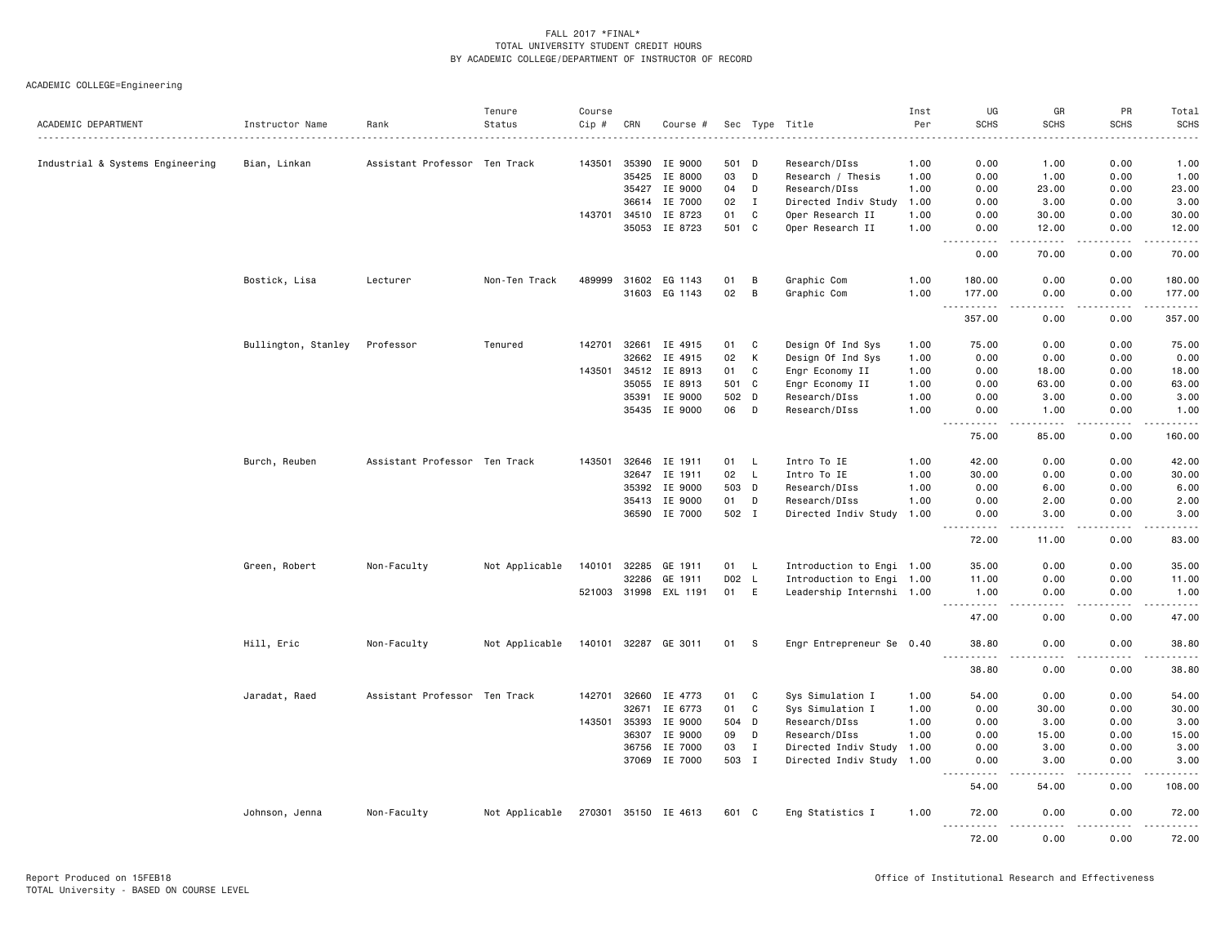| ACADEMIC DEPARTMENT              | Instructor Name     | Rank                          | Tenure<br>Status | Course<br>Cip # | CRN   | Course #              |       |              | Sec Type Title            | Inst<br>Per | UG<br><b>SCHS</b>                     | GR<br><b>SCHS</b>                                                                                                                                            | PR<br><b>SCHS</b>     | Total<br><b>SCHS</b> |
|----------------------------------|---------------------|-------------------------------|------------------|-----------------|-------|-----------------------|-------|--------------|---------------------------|-------------|---------------------------------------|--------------------------------------------------------------------------------------------------------------------------------------------------------------|-----------------------|----------------------|
|                                  |                     |                               |                  |                 |       |                       |       |              |                           |             |                                       |                                                                                                                                                              |                       |                      |
| Industrial & Systems Engineering | Bian, Linkan        | Assistant Professor Ten Track |                  | 143501          | 35390 | IE 9000               |       | 501 D        | Research/DIss             | 1.00        | 0.00                                  | 1.00                                                                                                                                                         | 0.00                  | 1.00                 |
|                                  |                     |                               |                  |                 | 35425 | IE 8000               | 03    | D            | Research / Thesis         | 1.00        | 0.00                                  | 1.00                                                                                                                                                         | 0.00                  | 1.00                 |
|                                  |                     |                               |                  |                 | 35427 | IE 9000               | 04    | D            | Research/DIss             | 1.00        | 0.00                                  | 23.00                                                                                                                                                        | 0.00                  | 23.00                |
|                                  |                     |                               |                  |                 | 36614 | IE 7000               | 02    | $\mathbf I$  | Directed Indiv Study      | 1.00        | 0.00                                  | 3.00                                                                                                                                                         | 0.00                  | 3.00                 |
|                                  |                     |                               |                  | 143701          | 34510 | IE 8723               | 01    | C            | Oper Research II          | 1.00        | 0.00                                  | 30.00                                                                                                                                                        | 0.00                  | 30.00                |
|                                  |                     |                               |                  |                 | 35053 | IE 8723               | 501   | C            | Oper Research II          | 1.00        | 0.00<br>.<br>$\frac{1}{2}$            | 12.00<br>$- - - - -$                                                                                                                                         | 0.00<br>.             | 12.00<br>.           |
|                                  |                     |                               |                  |                 |       |                       |       |              |                           |             | 0.00                                  | 70.00                                                                                                                                                        | 0.00                  | 70.00                |
|                                  | Bostick, Lisa       | Lecturer                      | Non-Ten Track    | 489999          |       | 31602 EG 1143         | 01    | B            | Graphic Com               | 1.00        | 180.00                                | 0.00                                                                                                                                                         | 0.00                  | 180.00               |
|                                  |                     |                               |                  |                 | 31603 | EG 1143               | 02    | B            | Graphic Com               | 1.00        | 177.00<br>$\sim$ $\sim$<br>.          | 0.00<br>$- - - -$                                                                                                                                            | 0.00<br>$\frac{1}{2}$ | 177.00<br><u>.</u>   |
|                                  |                     |                               |                  |                 |       |                       |       |              |                           |             | 357.00                                | 0.00                                                                                                                                                         | 0.00                  | 357.00               |
|                                  | Bullington, Stanley | Professor                     | Tenured          | 142701          | 32661 | IE 4915               | 01    | C            | Design Of Ind Sys         | 1.00        | 75.00                                 | 0.00                                                                                                                                                         | 0.00                  | 75.00                |
|                                  |                     |                               |                  |                 | 32662 | IE 4915               | 02    | К            | Design Of Ind Sys         | 1.00        | 0.00                                  | 0.00                                                                                                                                                         | 0.00                  | 0.00                 |
|                                  |                     |                               |                  | 143501          | 34512 | IE 8913               | 01    | C            | Engr Economy II           | 1.00        | 0.00                                  | 18,00                                                                                                                                                        | 0.00                  | 18.00                |
|                                  |                     |                               |                  |                 | 35055 | IE 8913               | 501   | C            | Engr Economy II           | 1.00        | 0.00                                  | 63.00                                                                                                                                                        | 0.00                  | 63.00                |
|                                  |                     |                               |                  |                 | 35391 | IE 9000               | 502   | D            | Research/DIss             | 1.00        | 0.00                                  | 3.00                                                                                                                                                         | 0.00                  | 3.00                 |
|                                  |                     |                               |                  |                 |       | 35435 IE 9000         | 06    | D            | Research/DIss             | 1.00        | 0.00<br>$\sim$ $\sim$ $\sim$<br>----- | 1.00<br>.                                                                                                                                                    | 0.00<br>-----         | 1.00<br>------       |
|                                  |                     |                               |                  |                 |       |                       |       |              |                           |             | 75.00                                 | 85.00                                                                                                                                                        | 0.00                  | 160.00               |
|                                  | Burch, Reuben       | Assistant Professor Ten Track |                  | 143501          | 32646 | IE 1911               | 01    | L.           | Intro To IE               | 1.00        | 42.00                                 | 0.00                                                                                                                                                         | 0.00                  | 42.00                |
|                                  |                     |                               |                  |                 | 32647 | IE 1911               | 02    | L            | Intro To IE               | 1.00        | 30.00                                 | 0.00                                                                                                                                                         | 0.00                  | 30.00                |
|                                  |                     |                               |                  |                 | 35392 | IE 9000               |       | 503 D        | Research/DIss             | 1.00        | 0.00                                  | 6.00                                                                                                                                                         | 0.00                  | 6.00                 |
|                                  |                     |                               |                  |                 | 35413 | IE 9000               | 01    | D            | Research/DIss             | 1.00        | 0.00                                  | 2.00                                                                                                                                                         | 0.00                  | 2.00                 |
|                                  |                     |                               |                  |                 |       | 36590 IE 7000         | 502 I |              | Directed Indiv Study      | 1.00        | 0.00<br>.                             | 3.00<br>$\frac{1}{2} \left( \frac{1}{2} \right) \left( \frac{1}{2} \right) \left( \frac{1}{2} \right) \left( \frac{1}{2} \right) \left( \frac{1}{2} \right)$ | 0.00<br>.             | 3.00<br>د د د د د    |
|                                  |                     |                               |                  |                 |       |                       |       |              |                           |             | 72.00                                 | 11.00                                                                                                                                                        | 0.00                  | 83.00                |
|                                  | Green, Robert       | Non-Faculty                   | Not Applicable   | 140101          | 32285 | GE 1911               | 01    | L            | Introduction to Engi 1.00 |             | 35.00                                 | 0.00                                                                                                                                                         | 0.00                  | 35.00                |
|                                  |                     |                               |                  |                 | 32286 | GE 1911               | D02   | L            | Introduction to Engi 1.00 |             | 11.00                                 | 0.00                                                                                                                                                         | 0.00                  | 11.00                |
|                                  |                     |                               |                  |                 |       | 521003 31998 EXL 1191 | 01 E  |              | Leadership Internshi 1.00 |             | 1.00<br>.                             | 0.00<br>.                                                                                                                                                    | 0.00<br>-----         | 1.00<br>.            |
|                                  |                     |                               |                  |                 |       |                       |       |              |                           |             | 47.00                                 | 0.00                                                                                                                                                         | 0.00                  | 47.00                |
|                                  | Hill, Eric          | Non-Faculty                   | Not Applicable   |                 |       | 140101 32287 GE 3011  | 01 S  |              | Engr Entrepreneur Se 0.40 |             | 38.80                                 | 0.00                                                                                                                                                         | 0.00                  | 38.80                |
|                                  |                     |                               |                  |                 |       |                       |       |              |                           |             | .<br>38.80                            | $\cdots$<br>0.00                                                                                                                                             | .<br>0.00             | .<br>38.80           |
|                                  | Jaradat, Raed       | Assistant Professor Ten Track |                  | 142701          | 32660 | IE 4773               | 01    | C            | Sys Simulation I          | 1.00        | 54.00                                 | 0.00                                                                                                                                                         | 0.00                  | 54.00                |
|                                  |                     |                               |                  |                 | 32671 | IE 6773               | 01    | C            | Sys Simulation I          | 1.00        | 0.00                                  | 30.00                                                                                                                                                        | 0.00                  | 30.00                |
|                                  |                     |                               |                  | 143501          | 35393 | IE 9000               |       | 504 D        | Research/DIss             | 1.00        | 0.00                                  | 3.00                                                                                                                                                         | 0.00                  | 3.00                 |
|                                  |                     |                               |                  |                 | 36307 | IE 9000               | 09    | D            | Research/DIss             | 1.00        | 0.00                                  | 15.00                                                                                                                                                        | 0.00                  | 15.00                |
|                                  |                     |                               |                  |                 | 36756 | IE 7000               | 03    | $\mathbf{I}$ | Directed Indiv Study      | 1.00        | 0.00                                  | 3.00                                                                                                                                                         | 0.00                  | 3.00                 |
|                                  |                     |                               |                  |                 |       | 37069 IE 7000         | 503 I |              | Directed Indiv Study 1.00 |             | 0.00<br>.<br>$  -$                    | 3.00<br>.                                                                                                                                                    | 0.00<br>-----         | 3.00<br>.            |
|                                  |                     |                               |                  |                 |       |                       |       |              |                           |             | 54.00                                 | 54.00                                                                                                                                                        | 0.00                  | 108.00               |
|                                  | Johnson, Jenna      | Non-Faculty                   | Not Applicable   |                 |       | 270301 35150 IE 4613  |       | 601 C        | Eng Statistics I          | 1.00        | 72.00<br>.                            | 0.00<br>$- - - - -$                                                                                                                                          | 0.00<br>. <b>.</b>    | 72.00<br>.           |
|                                  |                     |                               |                  |                 |       |                       |       |              |                           |             | 72.00                                 | 0.00                                                                                                                                                         | 0.00                  | 72.00                |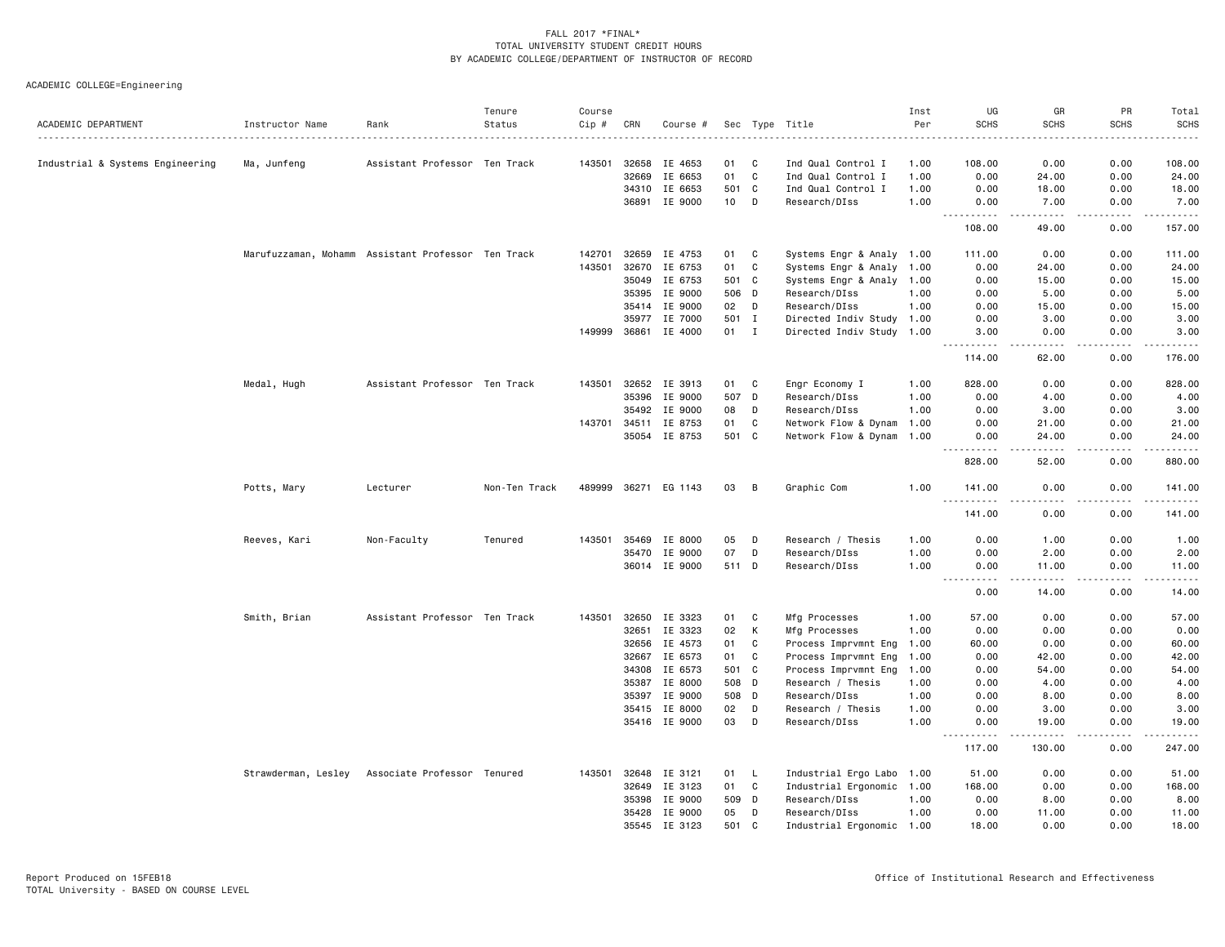| ACADEMIC DEPARTMENT              | Instructor Name                                    | Rank                          | Tenure<br>Status | Course<br>Cip # | CRN   | Course #             |       |              | Sec Type Title            | Inst<br>Per | UG<br><b>SCHS</b>                   | GR<br><b>SCHS</b>                                                                                                                                             | PR<br><b>SCHS</b>                   | Total<br><b>SCHS</b>                                                                                                  |
|----------------------------------|----------------------------------------------------|-------------------------------|------------------|-----------------|-------|----------------------|-------|--------------|---------------------------|-------------|-------------------------------------|---------------------------------------------------------------------------------------------------------------------------------------------------------------|-------------------------------------|-----------------------------------------------------------------------------------------------------------------------|
| Industrial & Systems Engineering | Ma, Junfeng                                        | Assistant Professor Ten Track |                  | 143501          | 32658 | IE 4653              | 01    | C            | Ind Qual Control I        | 1.00        | 108.00                              | 0.00                                                                                                                                                          | 0.00                                | 108.00                                                                                                                |
|                                  |                                                    |                               |                  |                 | 32669 | IE 6653              | 01    | C            | Ind Qual Control I        | 1.00        | 0.00                                | 24.00                                                                                                                                                         | 0.00                                | 24.00                                                                                                                 |
|                                  |                                                    |                               |                  |                 | 34310 | IE 6653              | 501   | $\mathbf{C}$ | Ind Qual Control I        | 1.00        | 0.00                                | 18.00                                                                                                                                                         | 0.00                                | 18.00                                                                                                                 |
|                                  |                                                    |                               |                  |                 | 36891 | IE 9000              | 10    | D            | Research/DIss             | 1.00        | 0.00                                | 7.00                                                                                                                                                          | 0.00                                | 7.00                                                                                                                  |
|                                  |                                                    |                               |                  |                 |       |                      |       |              |                           |             | $\sim$ $\sim$ $\sim$<br>.<br>108.00 | 49.00                                                                                                                                                         | $\sim$ $\sim$ $\sim$ $\sim$<br>0.00 | 157.00                                                                                                                |
|                                  | Marufuzzaman, Mohamm Assistant Professor Ten Track |                               |                  | 142701          | 32659 | IE 4753              | 01    | C            | Systems Engr & Analy 1.00 |             | 111.00                              | 0.00                                                                                                                                                          | 0.00                                | 111.00                                                                                                                |
|                                  |                                                    |                               |                  | 143501          | 32670 | IE 6753              | 01    | C            | Systems Engr & Analy 1.00 |             | 0.00                                | 24.00                                                                                                                                                         | 0.00                                | 24.00                                                                                                                 |
|                                  |                                                    |                               |                  |                 | 35049 | IE 6753              | 501 C |              | Systems Engr & Analy 1.00 |             | 0.00                                | 15.00                                                                                                                                                         | 0.00                                | 15.00                                                                                                                 |
|                                  |                                                    |                               |                  |                 | 35395 | IE 9000              | 506   | D            | Research/DIss             | 1.00        | 0.00                                | 5.00                                                                                                                                                          | 0.00                                | 5.00                                                                                                                  |
|                                  |                                                    |                               |                  |                 | 35414 | IE 9000              | 02    | D            | Research/DIss             | 1.00        | 0.00                                | 15.00                                                                                                                                                         | 0.00                                | 15.00                                                                                                                 |
|                                  |                                                    |                               |                  |                 | 35977 | IE 7000              | 501 I |              | Directed Indiv Study 1.00 |             | 0.00                                | 3.00                                                                                                                                                          | 0.00                                | 3.00                                                                                                                  |
|                                  |                                                    |                               |                  | 149999          | 36861 | IE 4000              | 01    | $\mathbf I$  | Directed Indiv Study 1.00 |             | 3.00                                | 0.00                                                                                                                                                          | 0.00                                | 3.00                                                                                                                  |
|                                  |                                                    |                               |                  |                 |       |                      |       |              |                           |             | <u>.</u><br>114.00                  | $\frac{1}{2} \left( \frac{1}{2} \right) \left( \frac{1}{2} \right) \left( \frac{1}{2} \right) \left( \frac{1}{2} \right) \left( \frac{1}{2} \right)$<br>62.00 | .<br>0.00                           | $\begin{array}{cccccccccc} \bullet & \bullet & \bullet & \bullet & \bullet & \bullet & \bullet \end{array}$<br>176.00 |
|                                  | Medal, Hugh                                        | Assistant Professor Ten Track |                  | 143501          | 32652 | IE 3913              | 01    | C            | Engr Economy I            | 1.00        | 828.00                              | 0.00                                                                                                                                                          | 0.00                                | 828.00                                                                                                                |
|                                  |                                                    |                               |                  |                 | 35396 | IE 9000              | 507 D |              | Research/DIss             | 1.00        | 0.00                                | 4.00                                                                                                                                                          | 0.00                                | 4.00                                                                                                                  |
|                                  |                                                    |                               |                  |                 | 35492 | IE 9000              | 08    | D            | Research/DIss             | 1.00        | 0.00                                | 3.00                                                                                                                                                          | 0.00                                | 3.00                                                                                                                  |
|                                  |                                                    |                               |                  | 143701          | 34511 | IE 8753              | 01    | C            | Network Flow & Dynam 1.00 |             | 0.00                                | 21.00                                                                                                                                                         | 0.00                                | 21.00                                                                                                                 |
|                                  |                                                    |                               |                  |                 |       | 35054 IE 8753        | 501 C |              | Network Flow & Dynam 1.00 |             | 0.00                                | 24.00                                                                                                                                                         | 0.00                                | 24.00                                                                                                                 |
|                                  |                                                    |                               |                  |                 |       |                      |       |              |                           |             | <u>.</u><br>828.00                  | $- - - - -$<br>52.00                                                                                                                                          | .<br>0.00                           | .<br>880.00                                                                                                           |
|                                  | Potts, Mary                                        | Lecturer                      | Non-Ten Track    |                 |       | 489999 36271 EG 1143 | 03    | В            | Graphic Com               | 1.00        | 141.00                              | 0.00                                                                                                                                                          | 0.00                                | 141.00                                                                                                                |
|                                  |                                                    |                               |                  |                 |       |                      |       |              |                           |             | 1.1.1.1.1<br>141.00                 | $\sim$ $\sim$ $\sim$<br>0.00                                                                                                                                  | .<br>0.00                           | وبالانابات<br>141.00                                                                                                  |
|                                  | Reeves, Kari                                       | Non-Faculty                   | Tenured          | 143501          | 35469 | IE 8000              | 05    | D            | Research / Thesis         | 1.00        | 0.00                                | 1.00                                                                                                                                                          | 0.00                                | 1.00                                                                                                                  |
|                                  |                                                    |                               |                  |                 | 35470 | IE 9000              | 07    | D            | Research/DIss             | 1.00        | 0.00                                | 2.00                                                                                                                                                          | 0.00                                | 2.00                                                                                                                  |
|                                  |                                                    |                               |                  |                 |       | 36014 IE 9000        | 511 D |              | Research/DIss             | 1.00        | 0.00                                | 11.00                                                                                                                                                         | 0.00                                | 11.00                                                                                                                 |
|                                  |                                                    |                               |                  |                 |       |                      |       |              |                           |             | $\frac{1}{2}$<br>0.00               | .<br>14.00                                                                                                                                                    | .<br>0.00                           | .<br>14.00                                                                                                            |
|                                  | Smith, Brian                                       | Assistant Professor Ten Track |                  | 143501          | 32650 | IE 3323              | 01    | C            | Mfg Processes             | 1.00        | 57.00                               | 0.00                                                                                                                                                          | 0.00                                | 57.00                                                                                                                 |
|                                  |                                                    |                               |                  |                 | 32651 | IE 3323              | 02    | К            | Mfg Processes             | 1.00        | 0.00                                | 0.00                                                                                                                                                          | 0.00                                | 0.00                                                                                                                  |
|                                  |                                                    |                               |                  |                 |       | 32656 IE 4573        | 01    | C            | Process Imprvmnt Eng      | 1.00        | 60.00                               | 0.00                                                                                                                                                          | 0.00                                | 60.00                                                                                                                 |
|                                  |                                                    |                               |                  |                 | 32667 | IE 6573              | 01    | C            | Process Imprvmnt Eng      | 1.00        | 0.00                                | 42.00                                                                                                                                                         | 0.00                                | 42.00                                                                                                                 |
|                                  |                                                    |                               |                  |                 | 34308 | IE 6573              | 501 C |              | Process Imprvmnt Eng      | 1.00        | 0.00                                | 54.00                                                                                                                                                         | 0.00                                | 54.00                                                                                                                 |
|                                  |                                                    |                               |                  |                 | 35387 | IE 8000              | 508 D |              | Research / Thesis         | 1.00        | 0.00                                | 4.00                                                                                                                                                          | 0.00                                | 4.00                                                                                                                  |
|                                  |                                                    |                               |                  |                 | 35397 | IE 9000              | 508   | D            | Research/DIss             | 1.00        | 0.00                                | 8.00                                                                                                                                                          | 0.00                                | 8.00                                                                                                                  |
|                                  |                                                    |                               |                  |                 | 35415 | IE 8000              | 02    | D            | Research / Thesis         | 1.00        | 0.00                                | 3.00                                                                                                                                                          | 0.00                                | 3.00                                                                                                                  |
|                                  |                                                    |                               |                  |                 |       | 35416 IE 9000        | 03    | D            | Research/DIss             | 1.00        | 0.00<br>.                           | 19.00<br>. <u>.</u> .                                                                                                                                         | 0.00<br><u>.</u>                    | 19.00<br>.                                                                                                            |
|                                  |                                                    |                               |                  |                 |       |                      |       |              |                           |             | 117.00                              | 130.00                                                                                                                                                        | 0.00                                | 247.00                                                                                                                |
|                                  | Strawderman, Lesley                                | Associate Professor Tenured   |                  | 143501          | 32648 | IE 3121              | 01    | $\mathsf{L}$ | Industrial Ergo Labo 1.00 |             | 51.00                               | 0.00                                                                                                                                                          | 0.00                                | 51.00                                                                                                                 |
|                                  |                                                    |                               |                  |                 | 32649 | IE 3123              | 01    | C            | Industrial Ergonomic 1.00 |             | 168.00                              | 0.00                                                                                                                                                          | 0.00                                | 168.00                                                                                                                |
|                                  |                                                    |                               |                  |                 | 35398 | IE 9000              | 509 D |              | Research/DIss             | 1.00        | 0.00                                | 8.00                                                                                                                                                          | 0.00                                | 8.00                                                                                                                  |
|                                  |                                                    |                               |                  |                 | 35428 | IE 9000              | 05    | D            | Research/DIss             | 1.00        | 0.00                                | 11.00                                                                                                                                                         | 0.00                                | 11.00                                                                                                                 |
|                                  |                                                    |                               |                  |                 | 35545 | IE 3123              | 501   | $\mathbf{C}$ | Industrial Ergonomic 1.00 |             | 18.00                               | 0.00                                                                                                                                                          | 0.00                                | 18.00                                                                                                                 |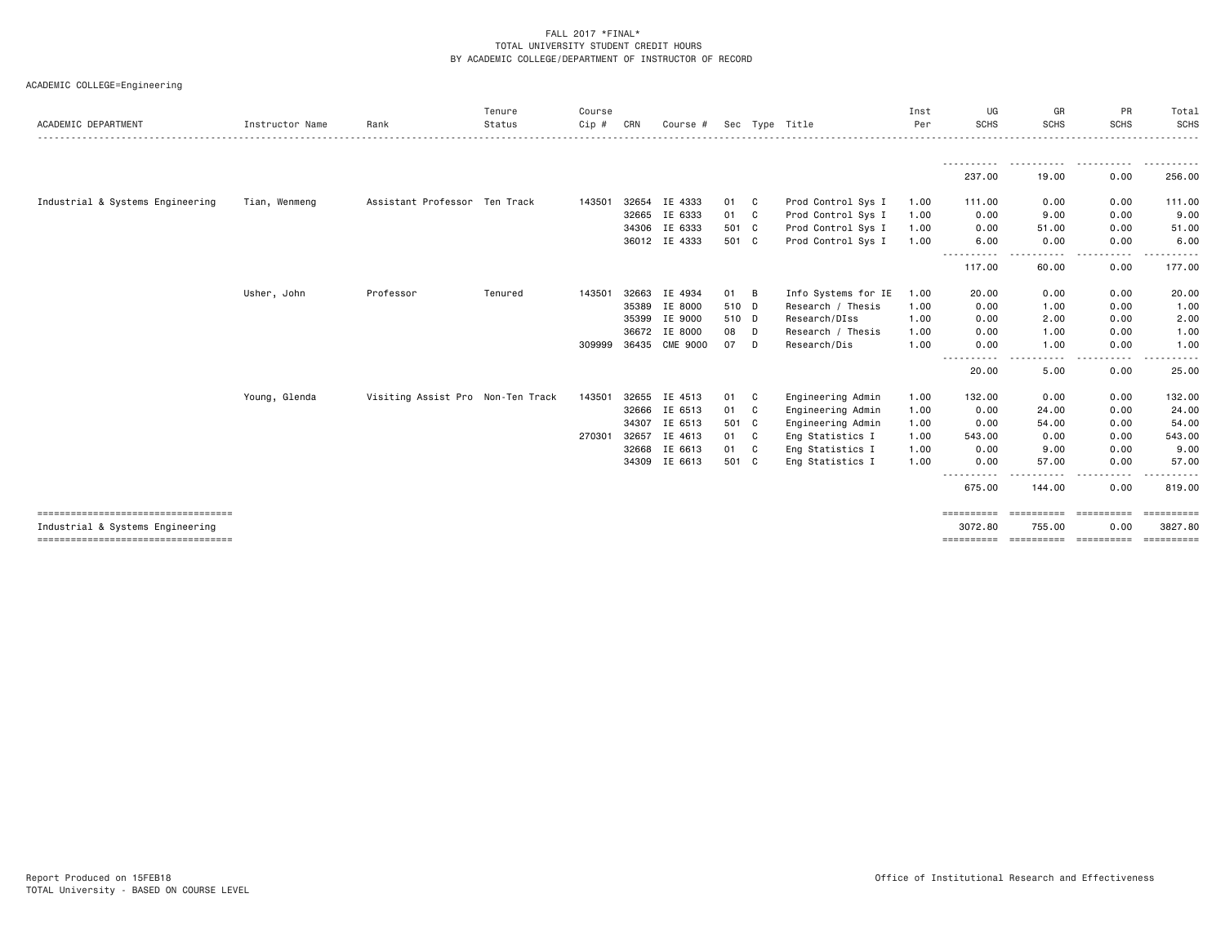|  | ACADEMIC COLLEGE=Engineering |
|--|------------------------------|
|--|------------------------------|

| ACADEMIC DEPARTMENT                                                       | Instructor Name | Rank                              | Tenure<br>Status | Course<br>Cip # | CRN   | Course #      |       |                | Sec Type Title      | Inst<br>Per | UG<br><b>SCHS</b>                                                                                                                            | GR<br><b>SCHS</b>                                                                                                                                                                                                                                                                                                                                                                                                                                                                                                                                                | PR<br><b>SCHS</b> | Total<br>SCHS         |
|---------------------------------------------------------------------------|-----------------|-----------------------------------|------------------|-----------------|-------|---------------|-------|----------------|---------------------|-------------|----------------------------------------------------------------------------------------------------------------------------------------------|------------------------------------------------------------------------------------------------------------------------------------------------------------------------------------------------------------------------------------------------------------------------------------------------------------------------------------------------------------------------------------------------------------------------------------------------------------------------------------------------------------------------------------------------------------------|-------------------|-----------------------|
|                                                                           |                 |                                   |                  |                 |       |               |       |                |                     |             |                                                                                                                                              |                                                                                                                                                                                                                                                                                                                                                                                                                                                                                                                                                                  |                   |                       |
|                                                                           |                 |                                   |                  |                 |       |               |       |                |                     |             | 237.00                                                                                                                                       | 19.00                                                                                                                                                                                                                                                                                                                                                                                                                                                                                                                                                            | 0.00              | 256.00                |
| Industrial & Systems Engineering                                          | Tian, Wenmeng   | Assistant Professor Ten Track     |                  | 143501          | 32654 | IE 4333       | 01    | C              | Prod Control Sys I  | 1.00        | 111.00                                                                                                                                       | 0.00                                                                                                                                                                                                                                                                                                                                                                                                                                                                                                                                                             | 0.00              | 111.00                |
|                                                                           |                 |                                   |                  |                 | 32665 | IE 6333       | 01    | C              | Prod Control Sys I  | 1.00        | 0.00                                                                                                                                         | 9.00                                                                                                                                                                                                                                                                                                                                                                                                                                                                                                                                                             | 0.00              | 9.00                  |
|                                                                           |                 |                                   |                  |                 | 34306 | IE 6333       | 501 C |                | Prod Control Sys I  | 1.00        | 0.00                                                                                                                                         | 51.00                                                                                                                                                                                                                                                                                                                                                                                                                                                                                                                                                            | 0.00              | 51.00                 |
|                                                                           |                 |                                   |                  |                 |       | 36012 IE 4333 | 501 C |                | Prod Control Sys I  | 1.00        | 6.00<br>$\frac{1}{2} \left( \frac{1}{2} \right) \left( \frac{1}{2} \right) \left( \frac{1}{2} \right) \left( \frac{1}{2} \right)$<br>$- - -$ | 0.00                                                                                                                                                                                                                                                                                                                                                                                                                                                                                                                                                             | 0.00              | 6.00                  |
|                                                                           |                 |                                   |                  |                 |       |               |       |                |                     |             | 117.00                                                                                                                                       | 60.00                                                                                                                                                                                                                                                                                                                                                                                                                                                                                                                                                            | 0.00              | 177.00                |
|                                                                           | Usher, John     | Professor                         | Tenured          | 143501          | 32663 | IE 4934       | 01    | $\overline{B}$ | Info Systems for IE | 1.00        | 20.00                                                                                                                                        | 0.00                                                                                                                                                                                                                                                                                                                                                                                                                                                                                                                                                             | 0.00              | 20.00                 |
|                                                                           |                 |                                   |                  |                 | 35389 | IE 8000       | 510 D |                | Research / Thesis   | 1.00        | 0.00                                                                                                                                         | 1.00                                                                                                                                                                                                                                                                                                                                                                                                                                                                                                                                                             | 0.00              | 1.00                  |
|                                                                           |                 |                                   |                  |                 | 35399 | IE 9000       | 510 D |                | Research/DIss       | 1.00        | 0.00                                                                                                                                         | 2.00                                                                                                                                                                                                                                                                                                                                                                                                                                                                                                                                                             | 0.00              | 2.00                  |
|                                                                           |                 |                                   |                  |                 | 36672 | IE 8000       | 08    | D              | Research / Thesis   | 1.00        | 0.00                                                                                                                                         | 1.00                                                                                                                                                                                                                                                                                                                                                                                                                                                                                                                                                             | 0.00              | 1.00                  |
|                                                                           |                 |                                   |                  | 309999          | 36435 | CME 9000      | 07    | D              | Research/Dis        | 1.00        | 0.00                                                                                                                                         | 1.00                                                                                                                                                                                                                                                                                                                                                                                                                                                                                                                                                             | 0.00              | 1.00                  |
|                                                                           |                 |                                   |                  |                 |       |               |       |                |                     |             | 20.00                                                                                                                                        | 5.00                                                                                                                                                                                                                                                                                                                                                                                                                                                                                                                                                             | 0.00              | 25.00                 |
|                                                                           | Young, Glenda   | Visiting Assist Pro Non-Ten Track |                  | 143501          | 32655 | IE 4513       | 01    | C              | Engineering Admin   | 1.00        | 132.00                                                                                                                                       | 0.00                                                                                                                                                                                                                                                                                                                                                                                                                                                                                                                                                             | 0.00              | 132.00                |
|                                                                           |                 |                                   |                  |                 | 32666 | IE 6513       | 01    | C              | Engineering Admin   | 1.00        | 0.00                                                                                                                                         | 24.00                                                                                                                                                                                                                                                                                                                                                                                                                                                                                                                                                            | 0.00              | 24.00                 |
|                                                                           |                 |                                   |                  |                 | 34307 | IE 6513       | 501 C |                | Engineering Admin   | 1.00        | 0.00                                                                                                                                         | 54.00                                                                                                                                                                                                                                                                                                                                                                                                                                                                                                                                                            | 0.00              | 54.00                 |
|                                                                           |                 |                                   |                  | 270301          | 32657 | IE 4613       | 01    | C              | Eng Statistics I    | 1.00        | 543.00                                                                                                                                       | 0.00                                                                                                                                                                                                                                                                                                                                                                                                                                                                                                                                                             | 0.00              | 543.00                |
|                                                                           |                 |                                   |                  |                 | 32668 | IE 6613       | 01    | C              | Eng Statistics I    | 1.00        | 0.00                                                                                                                                         | 9.00                                                                                                                                                                                                                                                                                                                                                                                                                                                                                                                                                             | 0.00              | 9.00                  |
|                                                                           |                 |                                   |                  |                 | 34309 | IE 6613       | 501 C |                | Eng Statistics I    | 1.00        | 0.00                                                                                                                                         | 57.00                                                                                                                                                                                                                                                                                                                                                                                                                                                                                                                                                            | 0.00              | 57.00                 |
|                                                                           |                 |                                   |                  |                 |       |               |       |                |                     |             | 675.00                                                                                                                                       | 144.00                                                                                                                                                                                                                                                                                                                                                                                                                                                                                                                                                           | 0.00              | 819.00                |
| ----------------------------------                                        |                 |                                   |                  |                 |       |               |       |                |                     |             | ==========                                                                                                                                   | $\begin{minipage}{0.03\textwidth} \centering \begin{minipage}{0.03\textwidth} \centering \centering \end{minipage} \begin{minipage}{0.03\textwidth} \centering \centering \end{minipage} \begin{minipage}{0.03\textwidth} \centering \begin{minipage}{0.03\textwidth} \centering \centering \end{minipage} \end{minipage} \begin{minipage}{0.03\textwidth} \centering \begin{minipage}{0.03\textwidth} \centering \centering \end{minipage} \end{minipage} \begin{minipage}{0.03\textwidth} \centering \begin{minipage}{0.03\textwidth} \centering \centering \$ |                   | ==========            |
| Industrial & Systems Engineering<br>===================================== |                 |                                   |                  |                 |       |               |       |                |                     |             | 3072.80<br>==========                                                                                                                        | 755.00<br>=====================                                                                                                                                                                                                                                                                                                                                                                                                                                                                                                                                  | 0.00              | 3827.80<br>========== |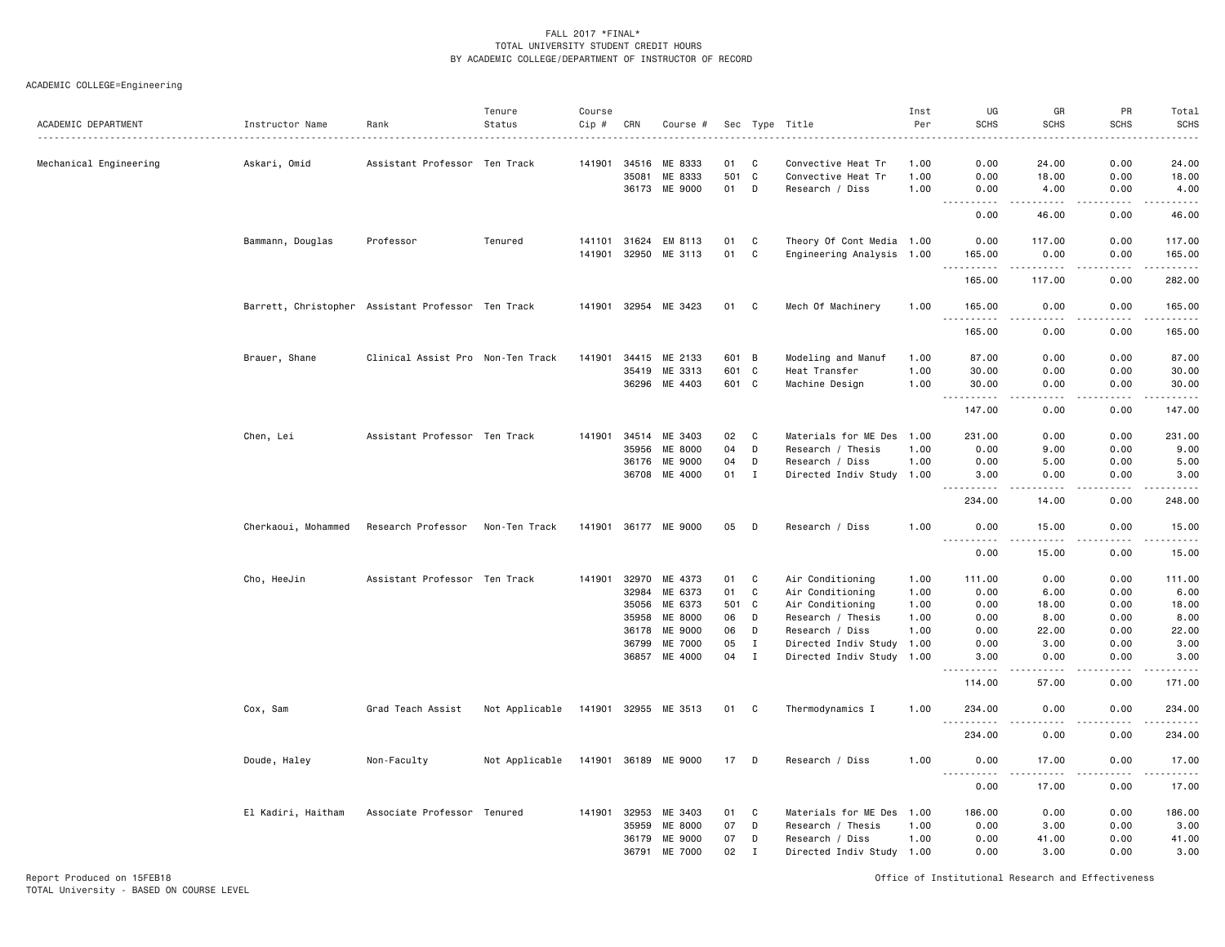| ACADEMIC DEPARTMENT    | Instructor Name                                    | Rank                              | Tenure<br>Status | Course<br>Cip # | CRN          | Course #             |       |              | Sec Type Title            | Inst<br>Per | UG<br><b>SCHS</b>                   | GR<br><b>SCHS</b>                                                                                                                                             | PR<br><b>SCHS</b> | Total<br><b>SCHS</b><br>$\frac{1}{2} \left( \frac{1}{2} \right) \left( \frac{1}{2} \right) \left( \frac{1}{2} \right) \left( \frac{1}{2} \right)$ |
|------------------------|----------------------------------------------------|-----------------------------------|------------------|-----------------|--------------|----------------------|-------|--------------|---------------------------|-------------|-------------------------------------|---------------------------------------------------------------------------------------------------------------------------------------------------------------|-------------------|---------------------------------------------------------------------------------------------------------------------------------------------------|
| Mechanical Engineering | Askari, Omid                                       | Assistant Professor Ten Track     |                  |                 | 141901 34516 | ME 8333              | 01    | C            | Convective Heat Tr        | 1.00        | 0.00                                | 24.00                                                                                                                                                         | 0.00              | 24.00                                                                                                                                             |
|                        |                                                    |                                   |                  |                 | 35081        | ME 8333              | 501   | $\mathbf{C}$ | Convective Heat Tr        | 1.00        | 0.00                                | 18.00                                                                                                                                                         | 0.00              | 18.00                                                                                                                                             |
|                        |                                                    |                                   |                  |                 |              | 36173 ME 9000        | 01    | D            | Research / Diss           | 1.00        | 0.00                                | 4.00                                                                                                                                                          | 0.00              | 4.00<br>.                                                                                                                                         |
|                        |                                                    |                                   |                  |                 |              |                      |       |              |                           |             | <u>.</u><br>0.00                    | $\frac{1}{2} \left( \frac{1}{2} \right) \left( \frac{1}{2} \right) \left( \frac{1}{2} \right) \left( \frac{1}{2} \right) \left( \frac{1}{2} \right)$<br>46.00 | .<br>0.00         | 46.00                                                                                                                                             |
|                        | Bammann, Douglas                                   | Professor                         | Tenured          |                 |              | 141101 31624 EM 8113 | 01    | C            | Theory Of Cont Media 1.00 |             | 0.00                                | 117.00                                                                                                                                                        | 0.00              | 117.00                                                                                                                                            |
|                        |                                                    |                                   |                  |                 |              | 141901 32950 ME 3113 | 01    | C            | Engineering Analysis 1.00 |             | 165.00                              | 0.00                                                                                                                                                          | 0.00              | 165.00                                                                                                                                            |
|                        |                                                    |                                   |                  |                 |              |                      |       |              |                           |             | .<br>$\sim$ $\sim$ $\sim$<br>165.00 | .<br>117.00                                                                                                                                                   | <u>.</u><br>0.00  | .<br>282.00                                                                                                                                       |
|                        | Barrett, Christopher Assistant Professor Ten Track |                                   |                  |                 |              | 141901 32954 ME 3423 | 01    | C            | Mech Of Machinery         | 1.00        | 165.00<br>$\sim$ $\sim$ $\sim$      | 0.00                                                                                                                                                          | 0.00              | 165,00<br>.                                                                                                                                       |
|                        |                                                    |                                   |                  |                 |              |                      |       |              |                           |             | 165.00                              | 0.00                                                                                                                                                          | 0.00              | 165.00                                                                                                                                            |
|                        | Brauer, Shane                                      | Clinical Assist Pro Non-Ten Track |                  |                 |              | 141901 34415 ME 2133 | 601 B |              | Modeling and Manuf        | 1.00        | 87.00                               | 0.00                                                                                                                                                          | 0.00              | 87.00                                                                                                                                             |
|                        |                                                    |                                   |                  |                 | 35419        | ME 3313              | 601 C |              | Heat Transfer             | 1.00        | 30.00                               | 0.00                                                                                                                                                          | 0.00              | 30.00                                                                                                                                             |
|                        |                                                    |                                   |                  |                 | 36296        | ME 4403              | 601 C |              | Machine Design            | 1.00        | 30.00                               | 0.00                                                                                                                                                          | 0.00              | 30.00                                                                                                                                             |
|                        |                                                    |                                   |                  |                 |              |                      |       |              |                           |             | 147.00                              | 0.00                                                                                                                                                          | 0.00              | 147.00                                                                                                                                            |
|                        | Chen, Lei                                          | Assistant Professor Ten Track     |                  |                 |              | 141901 34514 ME 3403 | 02    | C            | Materials for ME Des 1.00 |             | 231.00                              | 0.00                                                                                                                                                          | 0.00              | 231.00                                                                                                                                            |
|                        |                                                    |                                   |                  |                 | 35956        | <b>ME 8000</b>       | 04    | D            | Research / Thesis         | 1.00        | 0.00                                | 9.00                                                                                                                                                          | 0.00              | 9.00                                                                                                                                              |
|                        |                                                    |                                   |                  |                 | 36176        | ME 9000              | 04    | D            | Research / Diss           | 1.00        | 0.00                                | 5.00                                                                                                                                                          | 0.00              | 5.00                                                                                                                                              |
|                        |                                                    |                                   |                  |                 | 36708        | ME 4000              | 01    | Ι.           | Directed Indiv Study 1.00 |             | 3.00<br>.                           | 0.00<br>$   -$                                                                                                                                                | 0.00<br>.         | 3.00<br>.                                                                                                                                         |
|                        |                                                    |                                   |                  |                 |              |                      |       |              |                           |             | 234.00                              | 14.00                                                                                                                                                         | 0.00              | 248,00                                                                                                                                            |
|                        | Cherkaoui, Mohammed                                | Research Professor                | Non-Ten Track    |                 |              | 141901 36177 ME 9000 | 05    | D            | Research / Diss           | 1.00        | 0.00<br><u>.</u>                    | 15.00                                                                                                                                                         | 0.00              | 15.00<br>.                                                                                                                                        |
|                        |                                                    |                                   |                  |                 |              |                      |       |              |                           |             | 0.00                                | 15.00                                                                                                                                                         | 0.00              | 15.00                                                                                                                                             |
|                        | Cho, HeeJin                                        | Assistant Professor Ten Track     |                  |                 |              | 141901 32970 ME 4373 | 01    | C            | Air Conditioning          | 1.00        | 111.00                              | 0.00                                                                                                                                                          | 0.00              | 111.00                                                                                                                                            |
|                        |                                                    |                                   |                  |                 | 32984        | ME 6373              | 01    | C            | Air Conditioning          | 1.00        | 0.00                                | 6.00                                                                                                                                                          | 0.00              | 6.00                                                                                                                                              |
|                        |                                                    |                                   |                  |                 | 35056        | ME 6373              | 501   | $\mathbf{C}$ | Air Conditioning          | 1.00        | 0.00                                | 18,00                                                                                                                                                         | 0.00              | 18.00                                                                                                                                             |
|                        |                                                    |                                   |                  |                 | 35958        | ME 8000              | 06    | D            | Research / Thesis         | 1.00        | 0.00                                | 8.00                                                                                                                                                          | 0.00              | 8.00                                                                                                                                              |
|                        |                                                    |                                   |                  |                 | 36178        | ME 9000              | 06    | D            | Research / Diss           | 1.00        | 0.00                                | 22.00                                                                                                                                                         | 0.00              | 22.00                                                                                                                                             |
|                        |                                                    |                                   |                  |                 | 36799        | ME 7000              | 05    | $\;$ I       | Directed Indiv Study 1.00 |             | 0.00                                | 3.00                                                                                                                                                          | 0.00              | 3.00                                                                                                                                              |
|                        |                                                    |                                   |                  |                 | 36857        | ME 4000              | 04    | $\mathbf{I}$ | Directed Indiv Study      | 1.00        | 3.00<br>$\frac{1}{2}$               | 0.00<br>د د د د                                                                                                                                               | 0.00<br>.         | 3.00<br>.                                                                                                                                         |
|                        |                                                    |                                   |                  |                 |              |                      |       |              |                           |             | 114.00                              | 57.00                                                                                                                                                         | 0.00              | 171.00                                                                                                                                            |
|                        | Cox, Sam                                           | Grad Teach Assist                 | Not Applicable   |                 |              | 141901 32955 ME 3513 | 01    | C.           | Thermodynamics I          | 1.00        | 234.00<br>$\sim$ $\sim$ $\sim$      | 0.00                                                                                                                                                          | 0.00              | 234.00                                                                                                                                            |
|                        |                                                    |                                   |                  |                 |              |                      |       |              |                           |             | 234.00                              | 0.00                                                                                                                                                          | 0.00              | 234.00                                                                                                                                            |
|                        | Doude, Haley                                       | Non-Faculty                       | Not Applicable   |                 |              | 141901 36189 ME 9000 | 17    | D            | Research / Diss           | 1.00        | 0.00<br>.                           | 17.00                                                                                                                                                         | 0.00              | 17.00<br><u>.</u>                                                                                                                                 |
|                        |                                                    |                                   |                  |                 |              |                      |       |              |                           |             | 0.00                                | 17.00                                                                                                                                                         | 0.00              | 17.00                                                                                                                                             |
|                        | El Kadiri, Haitham                                 | Associate Professor Tenured       |                  |                 | 141901 32953 | ME 3403              | 01    | C            | Materials for ME Des      | 1.00        | 186.00                              | 0.00                                                                                                                                                          | 0.00              | 186.00                                                                                                                                            |
|                        |                                                    |                                   |                  |                 | 35959        | ME 8000              | 07    | D            | Research / Thesis         | 1.00        | 0.00                                | 3.00                                                                                                                                                          | 0.00              | 3.00                                                                                                                                              |
|                        |                                                    |                                   |                  |                 | 36179        | ME 9000              | 07    | D            | Research / Diss           | 1.00        | 0.00                                | 41.00                                                                                                                                                         | 0.00              | 41.00                                                                                                                                             |
|                        |                                                    |                                   |                  |                 | 36791        | ME 7000              | 02    | I            | Directed Indiv Study 1.00 |             | 0.00                                | 3.00                                                                                                                                                          | 0.00              | 3.00                                                                                                                                              |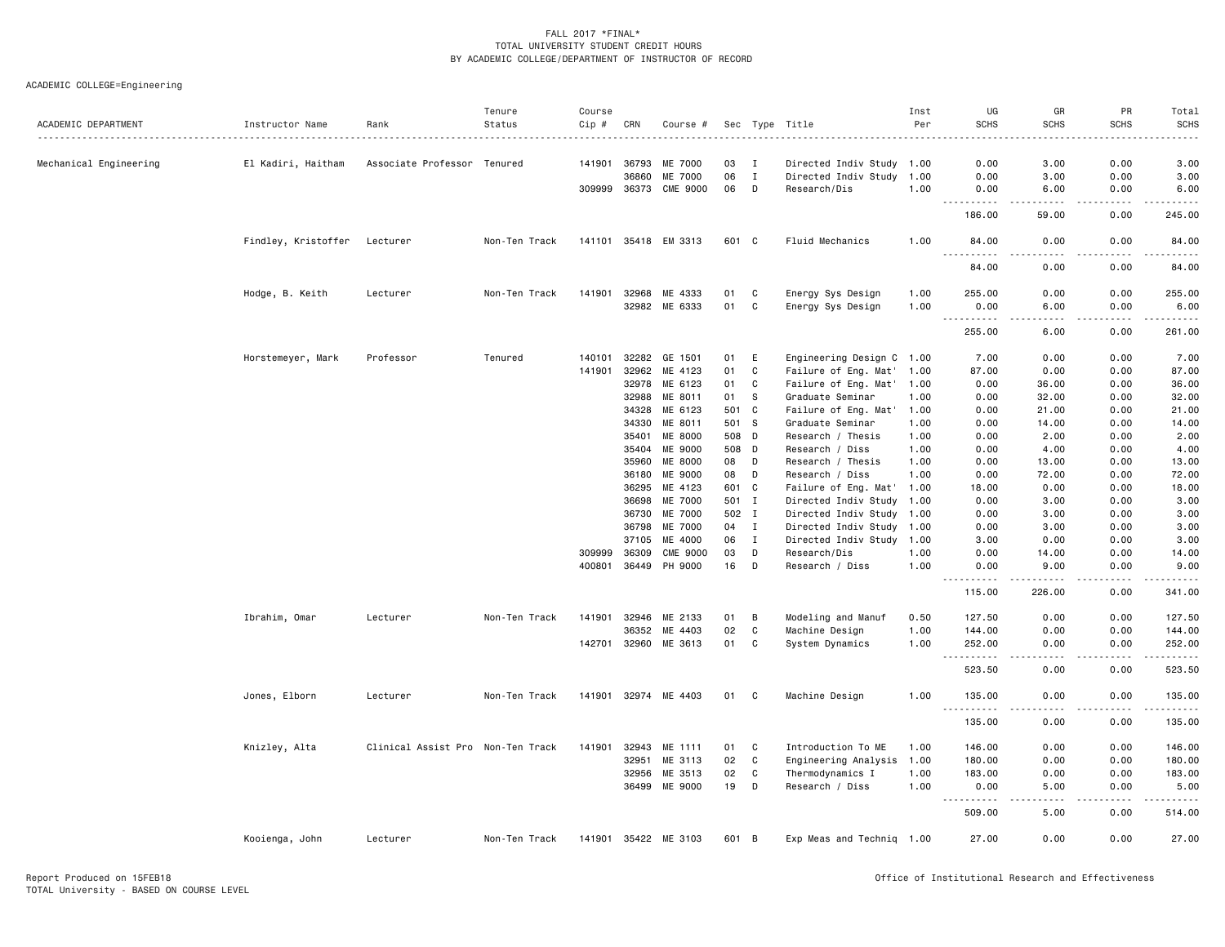| ACADEMIC DEPARTMENT    | Instructor Name     | Rank                              | Tenure<br>Status | Course<br>Cip # | CRN          | Course #             |       |              | Sec Type Title            | Inst<br>Per | UG<br><b>SCHS</b><br>.                                                                                                                                                            | GR<br><b>SCHS</b><br>$- - - - -$    | PR<br><b>SCHS</b> | Total<br><b>SCHS</b><br>. |
|------------------------|---------------------|-----------------------------------|------------------|-----------------|--------------|----------------------|-------|--------------|---------------------------|-------------|-----------------------------------------------------------------------------------------------------------------------------------------------------------------------------------|-------------------------------------|-------------------|---------------------------|
| Mechanical Engineering | El Kadiri, Haitham  | Associate Professor Tenured       |                  |                 | 141901 36793 | ME 7000              | 03    | $\mathbf{I}$ | Directed Indiv Study 1.00 |             | 0.00                                                                                                                                                                              | 3.00                                | 0.00              | 3.00                      |
|                        |                     |                                   |                  |                 | 36860        | ME 7000              | 06    | $\mathbf{I}$ | Directed Indiv Study      | 1.00        | 0.00                                                                                                                                                                              | 3.00                                | 0.00              | 3.00                      |
|                        |                     |                                   |                  |                 | 309999 36373 | CME 9000             | 06    | D            | Research/Dis              | 1.00        | 0.00<br>.<br>$- - -$                                                                                                                                                              | 6.00<br>.                           | 0.00<br>.         | 6.00<br>.                 |
|                        |                     |                                   |                  |                 |              |                      |       |              |                           |             | 186.00                                                                                                                                                                            | 59.00                               | 0.00              | 245.00                    |
|                        | Findley, Kristoffer | Lecturer                          | Non-Ten Track    |                 |              | 141101 35418 EM 3313 | 601 C |              | Fluid Mechanics           | 1.00        | 84.00<br>.                                                                                                                                                                        | 0.00                                | 0.00              | 84.00                     |
|                        |                     |                                   |                  |                 |              |                      |       |              |                           |             | 84.00                                                                                                                                                                             | 0.00                                | 0.00              | 84.00                     |
|                        | Hodge, B. Keith     | Lecturer                          | Non-Ten Track    |                 | 141901 32968 | ME 4333              | 01    | C            | Energy Sys Design         | 1.00        | 255.00                                                                                                                                                                            | 0.00                                | 0.00              | 255.00                    |
|                        |                     |                                   |                  |                 |              | 32982 ME 6333        | 01    | C            | Energy Sys Design         | 1.00        | 0.00                                                                                                                                                                              | 6.00                                | 0.00              | 6.00                      |
|                        |                     |                                   |                  |                 |              |                      |       |              |                           |             | $\sim$ $\sim$ .<br>$\frac{1}{2} \left( \frac{1}{2} \right) \left( \frac{1}{2} \right) \left( \frac{1}{2} \right) \left( \frac{1}{2} \right) \left( \frac{1}{2} \right)$<br>255.00 | $\sim$ $\sim$ $\sim$ $\sim$<br>6.00 | 0.00              | .<br>261.00               |
|                        | Horstemeyer, Mark   | Professor                         | Tenured          | 140101          |              | 32282 GE 1501        | 01    | E            | Engineering Design C 1.00 |             | 7.00                                                                                                                                                                              | 0.00                                | 0.00              | 7.00                      |
|                        |                     |                                   |                  | 141901          | 32962        | ME 4123              | 01    | C            | Failure of Eng. Mat'      | 1.00        | 87.00                                                                                                                                                                             | 0.00                                | 0.00              | 87.00                     |
|                        |                     |                                   |                  |                 | 32978        | ME 6123              | 01    | C            | Failure of Eng. Mat'      | 1.00        | 0.00                                                                                                                                                                              | 36.00                               | 0.00              | 36.00                     |
|                        |                     |                                   |                  |                 | 32988        | ME 8011              | 01    | <sub>S</sub> | Graduate Seminar          | 1.00        | 0.00                                                                                                                                                                              | 32.00                               | 0.00              | 32.00                     |
|                        |                     |                                   |                  |                 | 34328        | ME 6123              | 501   | C            | Failure of Eng. Mat'      | 1.00        | 0.00                                                                                                                                                                              | 21.00                               | 0.00              | 21.00                     |
|                        |                     |                                   |                  |                 | 34330        | ME 8011              | 501   | s.           | Graduate Seminar          | 1.00        | 0.00                                                                                                                                                                              | 14.00                               | 0.00              | 14.00                     |
|                        |                     |                                   |                  |                 | 35401        | <b>ME 8000</b>       | 508   | D            | Research / Thesis         | 1.00        | 0.00                                                                                                                                                                              | 2.00                                | 0.00              | 2.00                      |
|                        |                     |                                   |                  |                 | 35404        | ME 9000              | 508   | D            | Research / Diss           | 1.00        | 0.00                                                                                                                                                                              | 4.00                                | 0.00              | 4.00                      |
|                        |                     |                                   |                  |                 | 35960        | ME 8000              | 08    | D            | Research / Thesis         | 1.00        | 0.00                                                                                                                                                                              | 13.00                               | 0.00              | 13.00                     |
|                        |                     |                                   |                  |                 | 36180        | ME 9000              | 08    | D            | Research / Diss           | 1.00        | 0.00                                                                                                                                                                              | 72.00                               | 0.00              | 72.00                     |
|                        |                     |                                   |                  |                 | 36295        | ME 4123              | 601 C |              | Failure of Eng. Mat'      | 1.00        | 18.00                                                                                                                                                                             | 0.00                                | 0.00              | 18.00                     |
|                        |                     |                                   |                  |                 | 36698        | ME 7000              | 501   | I            | Directed Indiv Study      | 1.00        | 0.00                                                                                                                                                                              | 3.00                                | 0.00              | 3.00                      |
|                        |                     |                                   |                  |                 |              |                      |       | I            |                           |             | 0.00                                                                                                                                                                              |                                     | 0.00              |                           |
|                        |                     |                                   |                  |                 | 36730        | ME 7000              | 502   |              | Directed Indiv Study 1.00 |             |                                                                                                                                                                                   | 3.00                                |                   | 3.00                      |
|                        |                     |                                   |                  |                 | 36798        | ME 7000              | 04    | $\mathbf{I}$ | Directed Indiv Study 1.00 |             | 0.00                                                                                                                                                                              | 3.00                                | 0.00              | 3.00                      |
|                        |                     |                                   |                  |                 | 37105        | ME 4000              | 06    | $\mathbf{I}$ | Directed Indiv Study      | 1.00        | 3.00                                                                                                                                                                              | 0.00                                | 0.00              | 3.00                      |
|                        |                     |                                   |                  | 309999          | 36309        | CME 9000             | 03    | D            | Research/Dis              | 1.00        | 0.00                                                                                                                                                                              | 14.00                               | 0.00              | 14.00                     |
|                        |                     |                                   |                  | 400801          | 36449        | PH 9000              | 16    | D            | Research / Diss           | 1.00        | 0.00<br>$\sim$ $\sim$ .<br>.                                                                                                                                                      | 9.00                                | 0.00              | 9.00<br>.                 |
|                        |                     |                                   |                  |                 |              |                      |       |              |                           |             | 115.00                                                                                                                                                                            | 226.00                              | 0.00              | 341.00                    |
|                        | Ibrahim, Omar       | Lecturer                          | Non-Ten Track    |                 |              | 141901 32946 ME 2133 | 01    | B            | Modeling and Manuf        | 0.50        | 127.50                                                                                                                                                                            | 0.00                                | 0.00              | 127.50                    |
|                        |                     |                                   |                  |                 | 36352        | ME 4403              | 02    | C            | Machine Design            | 1.00        | 144.00                                                                                                                                                                            | 0.00                                | 0.00              | 144.00                    |
|                        |                     |                                   |                  |                 |              | 142701 32960 ME 3613 | 01    | C            | System Dynamics           | 1.00        | 252.00                                                                                                                                                                            | 0.00                                | 0.00              | 252.00                    |
|                        |                     |                                   |                  |                 |              |                      |       |              |                           |             | .<br>523.50                                                                                                                                                                       | . <u>. .</u><br>0.00                | .<br>0.00         | .<br>523.50               |
|                        | Jones, Elborn       | Lecturer                          | Non-Ten Track    |                 |              | 141901 32974 ME 4403 | 01    | C            | Machine Design            | 1.00        | 135.00                                                                                                                                                                            | 0.00                                | 0.00              | 135.00                    |
|                        |                     |                                   |                  |                 |              |                      |       |              |                           |             | 135.00                                                                                                                                                                            | 0.00                                | 0.00              | 135.00                    |
|                        |                     |                                   |                  |                 |              |                      |       |              |                           |             |                                                                                                                                                                                   |                                     |                   |                           |
|                        | Knizley, Alta       | Clinical Assist Pro Non-Ten Track |                  | 141901          | 32943        | ME 1111              | 01    | C            | Introduction To ME        | 1.00        | 146.00                                                                                                                                                                            | 0.00                                | 0.00              | 146.00                    |
|                        |                     |                                   |                  |                 | 32951        | ME 3113              | 02    | C            | Engineering Analysis      | 1.00        | 180.00                                                                                                                                                                            | 0.00                                | 0.00              | 180.00                    |
|                        |                     |                                   |                  |                 | 32956        | ME 3513              | 02    | C            | Thermodynamics I          | 1.00        | 183.00                                                                                                                                                                            | 0.00                                | 0.00              | 183.00                    |
|                        |                     |                                   |                  |                 |              | 36499 ME 9000        | 19    | D            | Research / Diss           | 1.00        | 0.00<br>$\sim$ $\sim$ $\sim$<br><u>.</u>                                                                                                                                          | 5.00<br>. <u>. .</u>                | 0.00<br>.         | 5.00<br>$- - - - -$       |
|                        |                     |                                   |                  |                 |              |                      |       |              |                           |             | 509.00                                                                                                                                                                            | 5.00                                | 0.00              | 514.00                    |
|                        | Kooienga, John      | Lecturer                          | Non-Ten Track    |                 |              | 141901 35422 ME 3103 | 601 B |              | Exp Meas and Techniq 1.00 |             | 27.00                                                                                                                                                                             | 0.00                                | 0.00              | 27,00                     |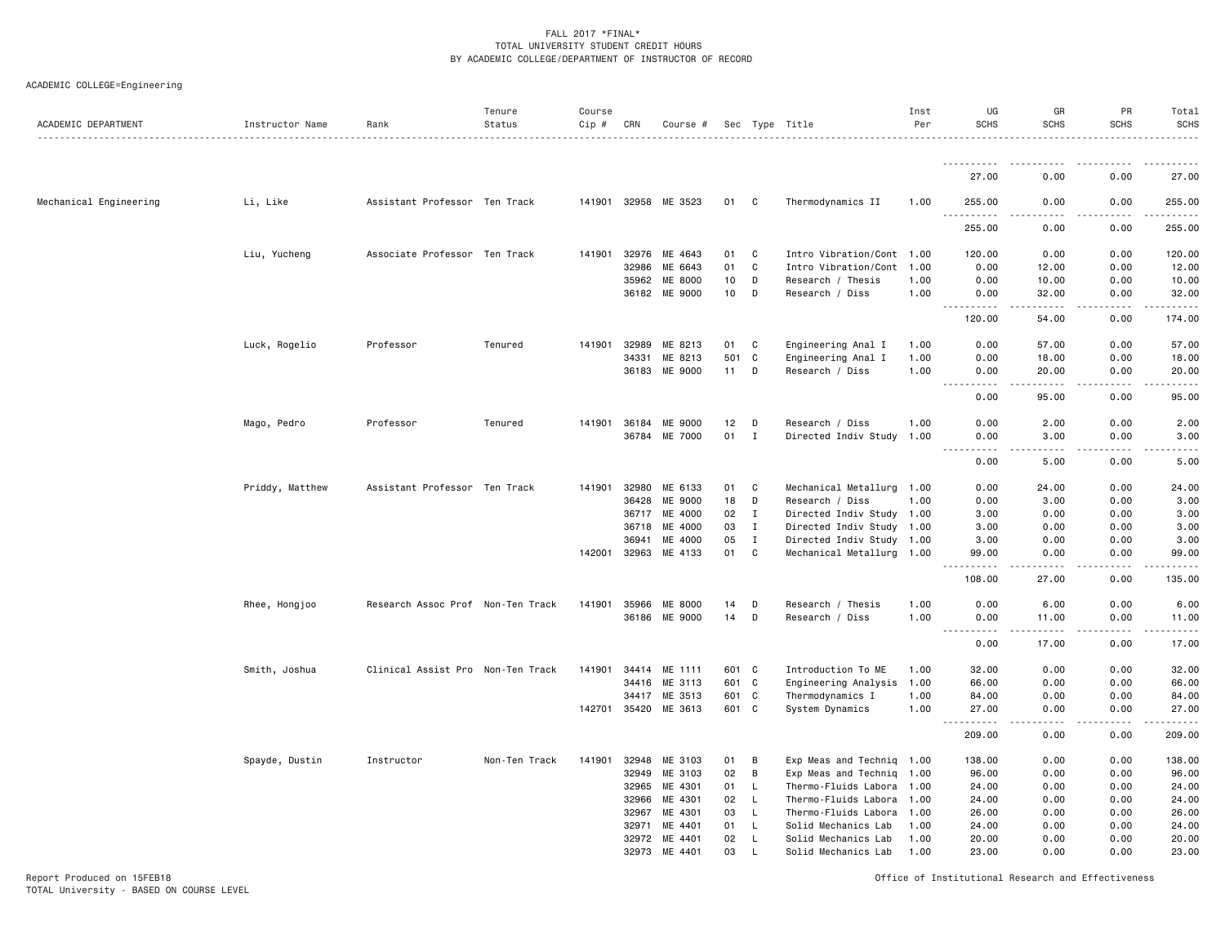| ACADEMIC DEPARTMENT    | Instructor Name | Rank                              | Tenure<br>Status | Course<br>Cip # | CRN   | Course #             |       |              | Sec Type Title            | Inst<br>Per | UG<br><b>SCHS</b>                                                                                                                                                              | GR<br><b>SCHS</b>                                                                                                                                            | PR<br><b>SCHS</b>                                                                                                                                            | Total<br>SCHS |
|------------------------|-----------------|-----------------------------------|------------------|-----------------|-------|----------------------|-------|--------------|---------------------------|-------------|--------------------------------------------------------------------------------------------------------------------------------------------------------------------------------|--------------------------------------------------------------------------------------------------------------------------------------------------------------|--------------------------------------------------------------------------------------------------------------------------------------------------------------|---------------|
|                        |                 |                                   |                  |                 |       |                      |       |              |                           |             |                                                                                                                                                                                |                                                                                                                                                              |                                                                                                                                                              |               |
|                        |                 |                                   |                  |                 |       |                      |       |              |                           |             | 27.00                                                                                                                                                                          | 0.00                                                                                                                                                         | 0.00                                                                                                                                                         | 27.00         |
| Mechanical Engineering | Li, Like        | Assistant Professor Ten Track     |                  |                 |       | 141901 32958 ME 3523 | 01 C  |              | Thermodynamics II         | 1.00        | 255.00<br><u>.</u>                                                                                                                                                             | 0.00                                                                                                                                                         | 0.00                                                                                                                                                         | 255.00<br>.   |
|                        |                 |                                   |                  |                 |       |                      |       |              |                           |             | 255.00                                                                                                                                                                         | 0.00                                                                                                                                                         | 0.00                                                                                                                                                         | 255.00        |
|                        | Liu, Yucheng    | Associate Professor Ten Track     |                  | 141901          | 32976 | ME 4643              | 01    | C            | Intro Vibration/Cont 1.00 |             | 120.00                                                                                                                                                                         | 0.00                                                                                                                                                         | 0.00                                                                                                                                                         | 120.00        |
|                        |                 |                                   |                  |                 | 32986 | ME 6643              | 01    | $\mathbf C$  | Intro Vibration/Cont      | 1.00        | 0.00                                                                                                                                                                           | 12.00                                                                                                                                                        | 0.00                                                                                                                                                         | 12.00         |
|                        |                 |                                   |                  |                 | 35962 | ME 8000              | 10    | D            | Research / Thesis         | 1.00        | 0.00                                                                                                                                                                           | 10.00                                                                                                                                                        | 0.00                                                                                                                                                         | 10.00         |
|                        |                 |                                   |                  |                 |       | 36182 ME 9000        | 10    | D            | Research / Diss           | 1.00        | 0.00<br>.                                                                                                                                                                      | 32.00<br>.                                                                                                                                                   | 0.00<br>$\frac{1}{2} \left( \frac{1}{2} \right) \left( \frac{1}{2} \right) \left( \frac{1}{2} \right) \left( \frac{1}{2} \right) \left( \frac{1}{2} \right)$ | 32.00         |
|                        |                 |                                   |                  |                 |       |                      |       |              |                           |             | 120.00                                                                                                                                                                         | 54.00                                                                                                                                                        | 0.00                                                                                                                                                         | 174.00        |
|                        | Luck, Rogelio   | Professor                         | Tenured          | 141901          | 32989 | ME 8213              | 01    | C            | Engineering Anal I        | 1.00        | 0.00                                                                                                                                                                           | 57.00                                                                                                                                                        | 0.00                                                                                                                                                         | 57.00         |
|                        |                 |                                   |                  |                 | 34331 | ME 8213              | 501 C |              | Engineering Anal I        | 1.00        | 0.00                                                                                                                                                                           | 18.00                                                                                                                                                        | 0.00                                                                                                                                                         | 18.00         |
|                        |                 |                                   |                  |                 | 36183 | ME 9000              | 11    | D            | Research / Diss           | 1.00        | 0.00<br>.                                                                                                                                                                      | 20.00<br><b>.</b>                                                                                                                                            | 0.00<br>.                                                                                                                                                    | 20.00<br>.    |
|                        |                 |                                   |                  |                 |       |                      |       |              |                           |             | 0.00                                                                                                                                                                           | 95.00                                                                                                                                                        | 0.00                                                                                                                                                         | 95.00         |
|                        | Mago, Pedro     | Professor                         | Tenured          | 141901          | 36184 | ME 9000              | 12    | D            | Research / Diss           | 1.00        | 0.00                                                                                                                                                                           | 2.00                                                                                                                                                         | 0.00                                                                                                                                                         | 2.00          |
|                        |                 |                                   |                  |                 |       | 36784 ME 7000        | 01    | $\mathbf{I}$ | Directed Indiv Study 1.00 |             | 0.00<br>.<br>$\sim$ $\sim$ $\sim$ $\sim$                                                                                                                                       | 3.00<br>$\frac{1}{2} \left( \frac{1}{2} \right) \left( \frac{1}{2} \right) \left( \frac{1}{2} \right) \left( \frac{1}{2} \right) \left( \frac{1}{2} \right)$ | 0.00<br>.                                                                                                                                                    | 3.00          |
|                        |                 |                                   |                  |                 |       |                      |       |              |                           |             | 0.00                                                                                                                                                                           | 5.00                                                                                                                                                         | 0.00                                                                                                                                                         | 5.00          |
|                        | Priddy, Matthew | Assistant Professor Ten Track     |                  | 141901          | 32980 | ME 6133              | 01    | C            | Mechanical Metallurg 1.00 |             | 0.00                                                                                                                                                                           | 24.00                                                                                                                                                        | 0.00                                                                                                                                                         | 24.00         |
|                        |                 |                                   |                  |                 | 36428 | ME 9000              | 18    | D            | Research / Diss           | 1.00        | 0.00                                                                                                                                                                           | 3.00                                                                                                                                                         | 0.00                                                                                                                                                         | 3.00          |
|                        |                 |                                   |                  |                 | 36717 | ME 4000              | 02    | $\mathbf{I}$ | Directed Indiv Study 1.00 |             | 3.00                                                                                                                                                                           | 0.00                                                                                                                                                         | 0.00                                                                                                                                                         | 3.00          |
|                        |                 |                                   |                  |                 | 36718 | ME 4000              | 03    | $\mathbf I$  | Directed Indiv Study 1.00 |             | 3.00                                                                                                                                                                           | 0.00                                                                                                                                                         | 0.00                                                                                                                                                         | 3.00          |
|                        |                 |                                   |                  |                 | 36941 | ME 4000              | 05    | $\mathbf{I}$ | Directed Indiv Study 1.00 |             | 3.00                                                                                                                                                                           | 0.00                                                                                                                                                         | 0.00                                                                                                                                                         | 3.00          |
|                        |                 |                                   |                  | 142001          | 32963 | ME 4133              | 01    | C            | Mechanical Metallurg 1.00 |             | 99.00<br>$\frac{1}{2} \left( \frac{1}{2} \right) \left( \frac{1}{2} \right) \left( \frac{1}{2} \right) \left( \frac{1}{2} \right) \left( \frac{1}{2} \right)$<br>$\frac{1}{2}$ | 0.00<br><b>.</b>                                                                                                                                             | 0.00<br>.                                                                                                                                                    | 99.00<br>.    |
|                        |                 |                                   |                  |                 |       |                      |       |              |                           |             | 108.00                                                                                                                                                                         | 27.00                                                                                                                                                        | 0.00                                                                                                                                                         | 135.00        |
|                        | Rhee, Hongjoo   | Research Assoc Prof Non-Ten Track |                  | 141901          | 35966 | ME 8000              | 14    | D            | Research / Thesis         | 1.00        | 0.00                                                                                                                                                                           | 6.00                                                                                                                                                         | 0.00                                                                                                                                                         | 6.00          |
|                        |                 |                                   |                  |                 |       | 36186 ME 9000        | 14    | D            | Research / Diss           | 1.00        | 0.00<br>22222<br>$\frac{1}{2} \left( \frac{1}{2} \right) \left( \frac{1}{2} \right) \left( \frac{1}{2} \right) \left( \frac{1}{2} \right)$                                     | 11.00<br>.                                                                                                                                                   | 0.00<br>.                                                                                                                                                    | 11.00         |
|                        |                 |                                   |                  |                 |       |                      |       |              |                           |             | 0.00                                                                                                                                                                           | 17.00                                                                                                                                                        | 0.00                                                                                                                                                         | 17.00         |
|                        | Smith, Joshua   | Clinical Assist Pro Non-Ten Track |                  | 141901          | 34414 | ME 1111              | 601 C |              | Introduction To ME        | 1.00        | 32.00                                                                                                                                                                          | 0.00                                                                                                                                                         | 0.00                                                                                                                                                         | 32.00         |
|                        |                 |                                   |                  |                 |       | 34416 ME 3113        | 601 C |              | Engineering Analysis      | 1.00        | 66.00                                                                                                                                                                          | 0.00                                                                                                                                                         | 0.00                                                                                                                                                         | 66.00         |
|                        |                 |                                   |                  |                 |       | 34417 ME 3513        | 601 C |              | Thermodynamics I          | 1.00        | 84.00                                                                                                                                                                          | 0.00                                                                                                                                                         | 0.00                                                                                                                                                         | 84.00         |
|                        |                 |                                   |                  | 142701          |       | 35420 ME 3613        | 601 C |              | System Dynamics           | 1.00        | 27.00<br>$- - -$                                                                                                                                                               | 0.00                                                                                                                                                         | 0.00                                                                                                                                                         | 27.00<br>.    |
|                        |                 |                                   |                  |                 |       |                      |       |              |                           |             | 209.00                                                                                                                                                                         | 0.00                                                                                                                                                         | 0.00                                                                                                                                                         | 209.00        |
|                        | Spayde, Dustin  | Instructor                        | Non-Ten Track    | 141901          | 32948 | ME 3103              | 01    | B            | Exp Meas and Techniq 1.00 |             | 138.00                                                                                                                                                                         | 0.00                                                                                                                                                         | 0.00                                                                                                                                                         | 138.00        |
|                        |                 |                                   |                  |                 | 32949 | ME 3103              | 02    | В            | Exp Meas and Techniq      | 1.00        | 96.00                                                                                                                                                                          | 0.00                                                                                                                                                         | 0.00                                                                                                                                                         | 96.00         |
|                        |                 |                                   |                  |                 | 32965 | ME 4301              | 01    | L.           | Thermo-Fluids Labora      | 1.00        | 24.00                                                                                                                                                                          | 0.00                                                                                                                                                         | 0.00                                                                                                                                                         | 24.00         |
|                        |                 |                                   |                  |                 | 32966 | ME 4301              | 02    | L.           | Thermo-Fluids Labora      | 1.00        | 24.00                                                                                                                                                                          | 0.00                                                                                                                                                         | 0.00                                                                                                                                                         | 24.00         |
|                        |                 |                                   |                  |                 | 32967 | ME 4301              | 03    | L.           | Thermo-Fluids Labora      | 1.00        | 26.00                                                                                                                                                                          | 0.00                                                                                                                                                         | 0.00                                                                                                                                                         | 26.00         |
|                        |                 |                                   |                  |                 | 32971 | ME 4401              | 01    | $\mathsf{L}$ | Solid Mechanics Lab       | 1.00        | 24.00                                                                                                                                                                          | 0.00                                                                                                                                                         | 0.00                                                                                                                                                         | 24.00         |
|                        |                 |                                   |                  |                 | 32972 | ME 4401              | 02    | L.           | Solid Mechanics Lab       | 1.00        | 20.00                                                                                                                                                                          | 0.00                                                                                                                                                         | 0.00                                                                                                                                                         | 20.00         |
|                        |                 |                                   |                  |                 | 32973 | ME 4401              | 03    | L            | Solid Mechanics Lab       | 1.00        | 23.00                                                                                                                                                                          | 0.00                                                                                                                                                         | 0.00                                                                                                                                                         | 23.00         |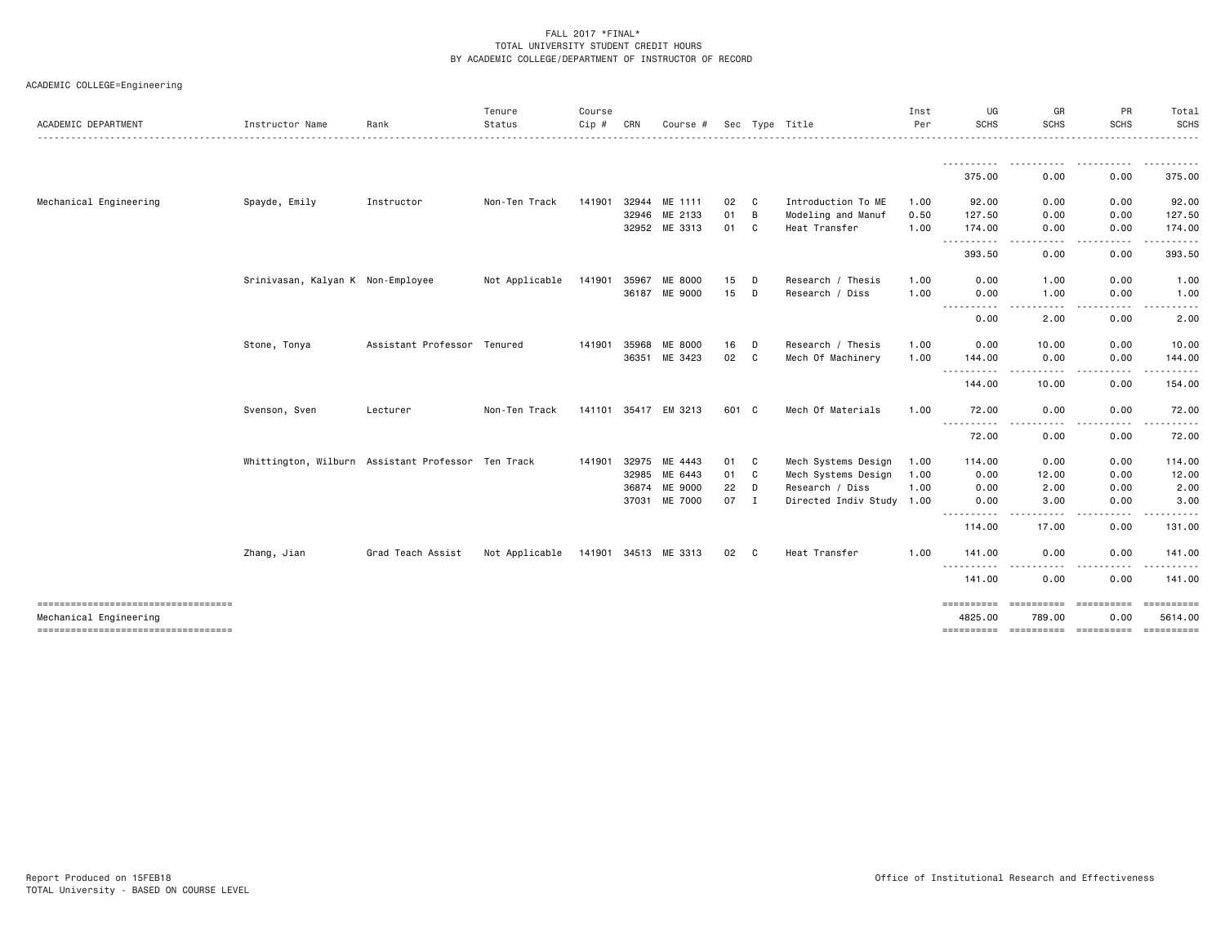| ACADEMIC COLLEGE=Engineering |
|------------------------------|
|                              |

| ACADEMIC DEPARTMENT                                          | Instructor Name                   | Rank                                               | Tenure<br>Status | Course<br>Cip # | CRN          | Course #             |        |   | Sec Type Title            | Inst<br>Per | UG<br><b>SCHS</b>                                                                                                                   | GR<br><b>SCHS</b>            | PR<br><b>SCHS</b>  | Total<br>SCHS         |
|--------------------------------------------------------------|-----------------------------------|----------------------------------------------------|------------------|-----------------|--------------|----------------------|--------|---|---------------------------|-------------|-------------------------------------------------------------------------------------------------------------------------------------|------------------------------|--------------------|-----------------------|
|                                                              |                                   |                                                    |                  |                 |              |                      |        |   |                           |             | 375.00                                                                                                                              | 0.00                         | 0.00               | 375.00                |
|                                                              |                                   |                                                    |                  |                 |              |                      |        |   |                           |             |                                                                                                                                     |                              |                    |                       |
| Mechanical Engineering                                       | Spayde, Emily                     | Instructor                                         | Non-Ten Track    | 141901          | 32944        | ME 1111              | 02     | C | Introduction To ME        | 1.00        | 92.00                                                                                                                               | 0.00                         | 0.00               | 92.00                 |
|                                                              |                                   |                                                    |                  |                 | 32946        | ME 2133              | 01     | B | Modeling and Manuf        | 0.50        | 127.50                                                                                                                              | 0.00                         | 0.00               | 127.50                |
|                                                              |                                   |                                                    |                  |                 |              | 32952 ME 3313        | 01     | C | Heat Transfer             | 1.00        | 174.00<br>$   -$                                                                                                                    | 0.00                         | 0.00               | 174.00                |
|                                                              |                                   |                                                    |                  |                 |              |                      |        |   |                           |             | 393.50                                                                                                                              | 0.00                         | 0.00               | 393.50                |
|                                                              | Srinivasan, Kalyan K Non-Employee |                                                    | Not Applicable   | 141901          | 35967        | ME 8000              | $15$ D |   | Research / Thesis         | 1.00        | 0.00                                                                                                                                | 1.00                         | 0.00               | 1.00                  |
|                                                              |                                   |                                                    |                  |                 |              | 36187 ME 9000        | 15 D   |   | Research / Diss           | 1.00        | 0.00                                                                                                                                | 1.00                         | 0.00               | 1.00                  |
|                                                              |                                   |                                                    |                  |                 |              |                      |        |   |                           |             | $\frac{1}{2} \left( \frac{1}{2} \right) \left( \frac{1}{2} \right) \left( \frac{1}{2} \right) \left( \frac{1}{2} \right)$<br>0.00   | 2.00                         | 0.00               | .<br>2.00             |
|                                                              | Stone, Tonya                      | Assistant Professor Tenured                        |                  | 141901          | 35968        | <b>ME 8000</b>       | 16     | D | Research / Thesis         | 1.00        | 0.00                                                                                                                                | 10.00                        | 0.00               | 10.00                 |
|                                                              |                                   |                                                    |                  |                 | 36351        | ME 3423              | 02 C   |   | Mech Of Machinery         | 1.00        | 144.00                                                                                                                              | 0.00                         | 0.00               | 144.00                |
|                                                              |                                   |                                                    |                  |                 |              |                      |        |   |                           |             | $\frac{1}{2}$<br>144.00                                                                                                             | 10.00                        | 0.00               | 154.00                |
|                                                              | Svenson, Sven                     | Lecturer                                           | Non-Ten Track    |                 |              | 141101 35417 EM 3213 | 601 C  |   | Mech Of Materials         | 1.00        | 72.00                                                                                                                               | 0.00                         | 0.00               | 72.00                 |
|                                                              |                                   |                                                    |                  |                 |              |                      |        |   |                           |             | ----------<br>72.00                                                                                                                 | $\sim$ $\sim$ $\sim$<br>0.00 | 0.00               | 72.00                 |
|                                                              |                                   | Whittington, Wilburn Assistant Professor Ten Track |                  |                 | 141901 32975 | ME 4443              | 01 C   |   | Mech Systems Design       | 1.00        | 114.00                                                                                                                              | 0.00                         | 0.00               | 114.00                |
|                                                              |                                   |                                                    |                  |                 | 32985        | ME 6443              | 01     | C | Mech Systems Design       | 1.00        | 0.00                                                                                                                                | 12.00                        | 0.00               | 12.00                 |
|                                                              |                                   |                                                    |                  |                 | 36874        | ME 9000              | 22     | D | Research / Diss           | 1.00        | 0.00                                                                                                                                | 2.00                         | 0.00               | 2.00                  |
|                                                              |                                   |                                                    |                  |                 | 37031        | ME 7000              | $07$ I |   | Directed Indiv Study 1.00 |             | 0.00                                                                                                                                | 3.00                         | 0.00               | 3.00                  |
|                                                              |                                   |                                                    |                  |                 |              |                      |        |   |                           |             | $\frac{1}{2} \left( \frac{1}{2} \right) \left( \frac{1}{2} \right) \left( \frac{1}{2} \right) \left( \frac{1}{2} \right)$<br>114.00 | 17.00                        | 0.00               | 131.00                |
|                                                              | Zhang, Jian                       | Grad Teach Assist                                  | Not Applicable   |                 |              | 141901 34513 ME 3313 | 02 C   |   | Heat Transfer             | 1.00        | 141.00                                                                                                                              | 0.00                         | 0.00               | 141.00                |
|                                                              |                                   |                                                    |                  |                 |              |                      |        |   |                           |             | ----------<br>141.00                                                                                                                | 0.00                         | 0.00               | .<br>141.00           |
| ----------------------------------<br>Mechanical Engineering |                                   |                                                    |                  |                 |              |                      |        |   |                           |             | ==========<br>4825.00                                                                                                               | ==========<br>789.00         | ==========<br>0.00 | ==========<br>5614.00 |
| ----------------------------------                           |                                   |                                                    |                  |                 |              |                      |        |   |                           |             |                                                                                                                                     |                              |                    |                       |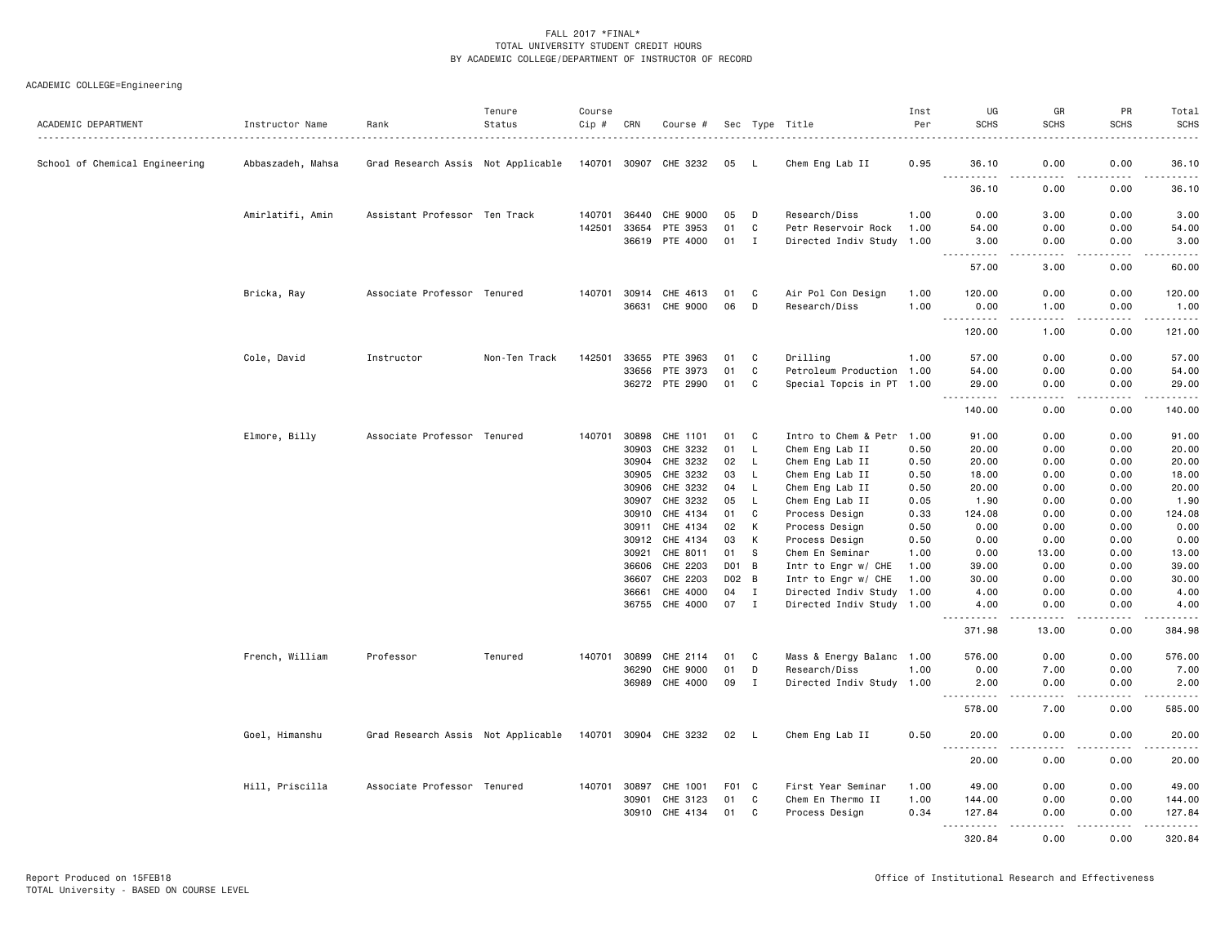| ACADEMIC DEPARTMENT            | Instructor Name   | Rank                               | Tenure<br>Status | Course<br>Cip # | CRN          | Course #              |       |              | Sec Type Title            | Inst<br>Per | UG<br><b>SCHS</b>                                                                                                                                                                       | GR<br><b>SCHS</b>                   | PR<br><b>SCHS</b> | Total<br><b>SCHS</b> |
|--------------------------------|-------------------|------------------------------------|------------------|-----------------|--------------|-----------------------|-------|--------------|---------------------------|-------------|-----------------------------------------------------------------------------------------------------------------------------------------------------------------------------------------|-------------------------------------|-------------------|----------------------|
| School of Chemical Engineering | Abbaszadeh, Mahsa | Grad Research Assis Not Applicable |                  |                 |              | 140701 30907 CHE 3232 | 05    | - L          | Chem Eng Lab II           | 0.95        | 36.10                                                                                                                                                                                   | 0.00                                | 0.00              | 36.10                |
|                                |                   |                                    |                  |                 |              |                       |       |              |                           |             | .,<br>36.10                                                                                                                                                                             | 0.00                                | 0.00              | 36.10                |
|                                | Amirlatifi, Amin  | Assistant Professor Ten Track      |                  | 140701          | 36440        | CHE 9000              | 05    | D            | Research/Diss             | 1.00        | 0.00                                                                                                                                                                                    | 3.00                                | 0.00              | 3.00                 |
|                                |                   |                                    |                  | 142501          | 33654        | PTE 3953              | 01    | C            | Petr Reservoir Rock       | 1.00        | 54.00                                                                                                                                                                                   | 0.00                                | 0.00              | 54.00                |
|                                |                   |                                    |                  |                 |              | 36619 PTE 4000        | 01    | $\mathbf{I}$ | Directed Indiv Study      | 1.00        | 3.00<br>$\sim$ $\sim$ $\sim$<br>.                                                                                                                                                       | 0.00<br>.                           | 0.00<br>.         | 3.00<br>.            |
|                                |                   |                                    |                  |                 |              |                       |       |              |                           |             | 57.00                                                                                                                                                                                   | 3.00                                | 0.00              | 60.00                |
|                                | Bricka, Ray       | Associate Professor Tenured        |                  |                 |              | 140701 30914 CHE 4613 | 01    | C            | Air Pol Con Design        | 1.00        | 120.00                                                                                                                                                                                  | 0.00                                | 0.00              | 120.00               |
|                                |                   |                                    |                  |                 | 36631        | CHE 9000              | 06    | D            | Research/Diss             | 1.00        | 0.00<br>. <b>.</b><br>$- - -$                                                                                                                                                           | 1.00<br>.                           | 0.00<br>.         | 1.00<br>.            |
|                                |                   |                                    |                  |                 |              |                       |       |              |                           |             | 120.00                                                                                                                                                                                  | 1.00                                | 0.00              | 121.00               |
|                                | Cole, David       | Instructor                         | Non-Ten Track    | 142501          |              | 33655 PTE 3963        | 01    | C            | Drilling                  | 1.00        | 57.00                                                                                                                                                                                   | 0.00                                | 0.00              | 57.00                |
|                                |                   |                                    |                  |                 | 33656        | PTE 3973              | 01    | C            | Petroleum Production 1.00 |             | 54.00                                                                                                                                                                                   | 0.00                                | 0.00              | 54.00                |
|                                |                   |                                    |                  |                 |              | 36272 PTE 2990        | 01    | C            | Special Topcis in PT 1.00 |             | 29.00<br>.                                                                                                                                                                              | 0.00<br>.                           | 0.00<br>.         | 29.00<br>.           |
|                                |                   |                                    |                  |                 |              |                       |       |              |                           |             | 140.00                                                                                                                                                                                  | 0.00                                | 0.00              | 140.00               |
|                                | Elmore, Billy     | Associate Professor Tenured        |                  | 140701          | 30898        | CHE 1101              | 01    | C            | Intro to Chem & Petr      | 1.00        | 91.00                                                                                                                                                                                   | 0.00                                | 0.00              | 91.00                |
|                                |                   |                                    |                  |                 | 30903        | CHE 3232              | 01    | L            | Chem Eng Lab II           | 0.50        | 20.00                                                                                                                                                                                   | 0.00                                | 0.00              | 20.00                |
|                                |                   |                                    |                  |                 | 30904        | CHE 3232              | 02    | <b>L</b>     | Chem Eng Lab II           | 0.50        | 20.00                                                                                                                                                                                   | 0.00                                | 0.00              | 20.00                |
|                                |                   |                                    |                  |                 | 30905        | CHE 3232              | 03    | L.           | Chem Eng Lab II           | 0.50        | 18.00                                                                                                                                                                                   | 0.00                                | 0.00              | 18.00                |
|                                |                   |                                    |                  |                 | 30906        | CHE 3232              | 04    | L            | Chem Eng Lab II           | 0.50        | 20.00                                                                                                                                                                                   | 0.00                                | 0.00              | 20.00                |
|                                |                   |                                    |                  |                 | 30907        | CHE 3232              | 05    | $\mathsf{L}$ | Chem Eng Lab II           | 0.05        | 1.90                                                                                                                                                                                    | 0.00                                | 0.00              | 1.90                 |
|                                |                   |                                    |                  |                 | 30910        | CHE 4134              | 01    | C            | Process Design            | 0.33        | 124.08                                                                                                                                                                                  | 0.00                                | 0.00              | 124.08               |
|                                |                   |                                    |                  |                 | 30911        | CHE 4134              | 02    | К            | Process Design            | 0.50        | 0.00                                                                                                                                                                                    | 0.00                                | 0.00              | 0.00                 |
|                                |                   |                                    |                  |                 | 30912        | CHE 4134              | 03    | K            | Process Design            | 0.50        | 0.00                                                                                                                                                                                    | 0.00                                | 0.00              | 0.00                 |
|                                |                   |                                    |                  |                 | 30921        | CHE 8011              | 01    | s.           | Chem En Seminar           | 1.00        | 0.00                                                                                                                                                                                    | 13.00                               | 0.00              | 13.00                |
|                                |                   |                                    |                  |                 | 36606        | CHE 2203              | D01 B |              | Intr to Engr w/ CHE       | 1.00        | 39.00                                                                                                                                                                                   | 0.00                                | 0.00              | 39.00                |
|                                |                   |                                    |                  |                 | 36607        | CHE 2203              | D02 B |              | Intr to Engr w/ CHE       | 1.00        | 30.00                                                                                                                                                                                   | 0.00                                | 0.00              | 30.00                |
|                                |                   |                                    |                  |                 | 36661        | CHE 4000              | 04    | $\mathbf{I}$ | Directed Indiv Study 1.00 |             | 4.00                                                                                                                                                                                    | 0.00                                | 0.00              | 4.00                 |
|                                |                   |                                    |                  |                 |              | 36755 CHE 4000        | 07    | $\mathbf{I}$ | Directed Indiv Study 1.00 |             | 4.00<br>$\frac{1}{2} \left( \frac{1}{2} \right) \left( \frac{1}{2} \right) \left( \frac{1}{2} \right) \left( \frac{1}{2} \right) \left( \frac{1}{2} \right) \left( \frac{1}{2} \right)$ | 0.00<br>.                           | 0.00<br>.         | 4.00<br>.            |
|                                |                   |                                    |                  |                 |              |                       |       |              |                           |             | 371.98                                                                                                                                                                                  | 13.00                               | 0.00              | 384.98               |
|                                | French, William   | Professor                          | Tenured          | 140701          | 30899        | CHE 2114              | 01    | C            | Mass & Energy Balanc 1.00 |             | 576.00                                                                                                                                                                                  | 0.00                                | 0.00              | 576.00               |
|                                |                   |                                    |                  |                 | 36290        | CHE 9000              | 01    | D            | Research/Diss             | 1.00        | 0.00                                                                                                                                                                                    | 7.00                                | 0.00              | 7.00                 |
|                                |                   |                                    |                  |                 | 36989        | CHE 4000              | 09    | $\mathbf{I}$ | Directed Indiv Study 1.00 |             | 2.00<br>-----                                                                                                                                                                           | 0.00<br>$\sim$ $\sim$ $\sim$ $\sim$ | 0.00<br>.         | 2.00<br><b>.</b>     |
|                                |                   |                                    |                  |                 |              |                       |       |              |                           |             | 578.00                                                                                                                                                                                  | 7.00                                | 0.00              | 585.00               |
|                                | Goel, Himanshu    | Grad Research Assis Not Applicable |                  |                 |              | 140701 30904 CHE 3232 | 02    | - L          | Chem Eng Lab II           | 0.50        | 20.00                                                                                                                                                                                   | 0.00                                | 0.00              | 20.00                |
|                                |                   |                                    |                  |                 |              |                       |       |              |                           |             | $ -$<br>20.00                                                                                                                                                                           | 0.00                                | 0.00              | 20.00                |
|                                | Hill, Priscilla   | Associate Professor Tenured        |                  |                 | 140701 30897 | CHE 1001              | F01 C |              | First Year Seminar        | 1.00        | 49.00                                                                                                                                                                                   | 0.00                                | 0.00              | 49.00                |
|                                |                   |                                    |                  |                 | 30901        | CHE 3123              | 01    | C            | Chem En Thermo II         | 1.00        | 144.00                                                                                                                                                                                  | 0.00                                | 0.00              | 144.00               |
|                                |                   |                                    |                  |                 | 30910        | CHE 4134              | 01    | C            | Process Design            | 0.34        | 127.84<br>.                                                                                                                                                                             | 0.00<br>$\frac{1}{2}$               | 0.00              | 127.84<br>.          |
|                                |                   |                                    |                  |                 |              |                       |       |              |                           |             | 320.84                                                                                                                                                                                  | 0.00                                | 0.00              | 320.84               |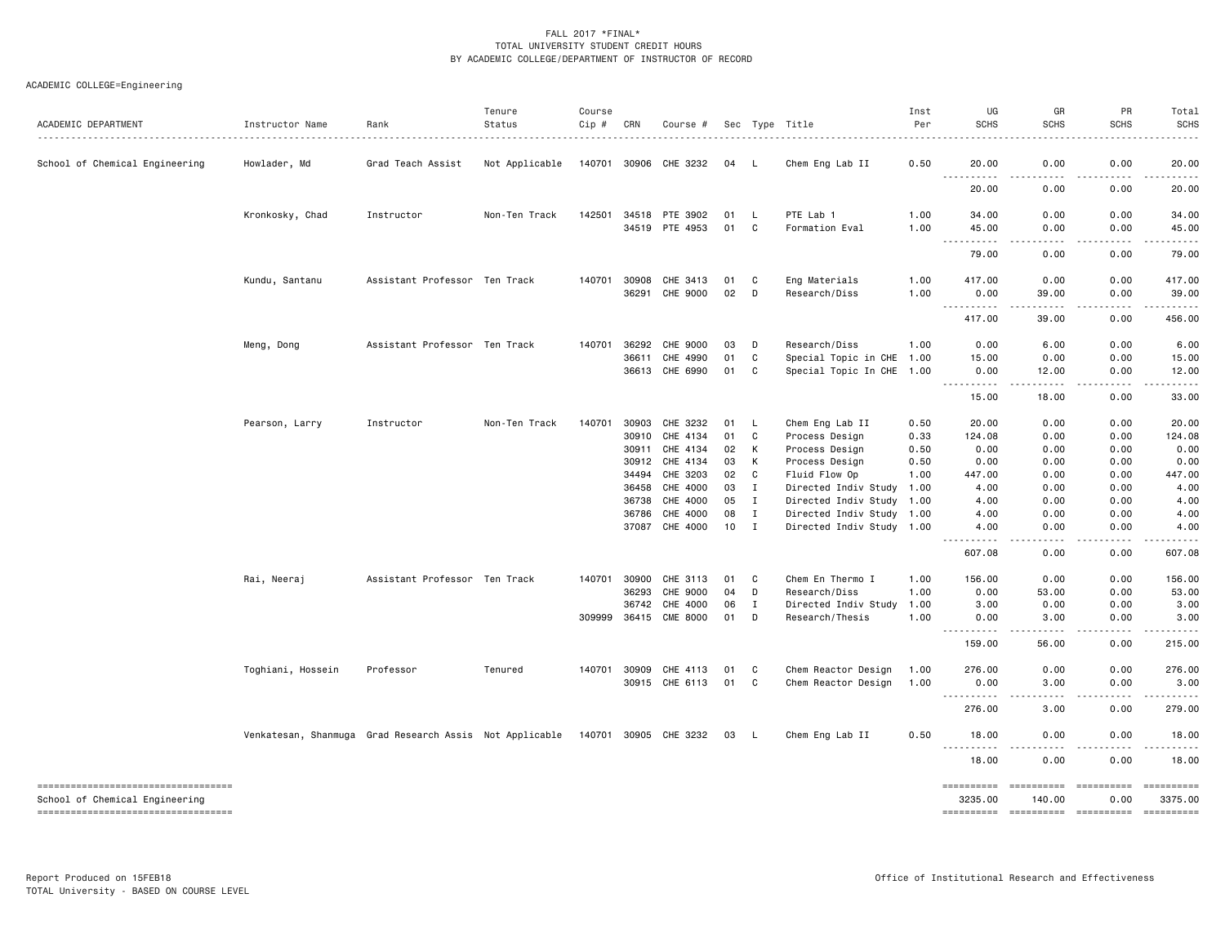| ACADEMIC DEPARTMENT                    | Instructor Name                                                               | Rank                          | Tenure<br>Status | Course<br>Cip # | CRN   | Course #              |      |              | Sec Type Title            | Inst<br>Per | UG<br><b>SCHS</b>          | GR<br>SCHS                   | PR<br><b>SCHS</b> | Total<br><b>SCHS</b> |
|----------------------------------------|-------------------------------------------------------------------------------|-------------------------------|------------------|-----------------|-------|-----------------------|------|--------------|---------------------------|-------------|----------------------------|------------------------------|-------------------|----------------------|
| School of Chemical Engineering         | Howlader, Md                                                                  | Grad Teach Assist             | Not Applicable   |                 |       | 140701 30906 CHE 3232 | 04 L |              | Chem Eng Lab II           | 0.50        | 20.00                      | 0.00                         | 0.00              | 20.00                |
|                                        |                                                                               |                               |                  |                 |       |                       |      |              |                           |             | .<br>20.00                 | .<br>0.00                    | 0.00              | .<br>20.00           |
|                                        | Kronkosky, Chad                                                               | Instructor                    | Non-Ten Track    | 142501          |       | 34518 PTE 3902        | 01   | L.           | PTE Lab 1                 | 1.00        | 34.00                      | 0.00                         | 0.00              | 34.00                |
|                                        |                                                                               |                               |                  |                 |       | 34519 PTE 4953        | 01   | C            | Formation Eval            | 1.00        | 45.00                      | 0.00                         | 0.00              | 45.00                |
|                                        |                                                                               |                               |                  |                 |       |                       |      |              |                           |             | .<br>79.00                 | 0.00                         | 0.00              | 79.00                |
|                                        | Kundu, Santanu                                                                | Assistant Professor Ten Track |                  | 140701          | 30908 | CHE 3413              | 01   | C            | Eng Materials             | 1.00        | 417.00                     | 0.00                         | 0.00              | 417.00               |
|                                        |                                                                               |                               |                  |                 | 36291 | CHE 9000              | 02   | D            | Research/Diss             | 1.00        | 0.00                       | 39.00                        | 0.00              | 39.00                |
|                                        |                                                                               |                               |                  |                 |       |                       |      |              |                           |             | .<br>417.00                | 39.00                        | 0.00              | .<br>456.00          |
|                                        | Meng, Dong                                                                    | Assistant Professor Ten Track |                  | 140701          | 36292 | CHE 9000              | 03   | D            | Research/Diss             | 1.00        | 0.00                       | 6.00                         | 0.00              | 6.00                 |
|                                        |                                                                               |                               |                  |                 | 36611 | CHE 4990              | 01   | C            | Special Topic in CHE 1.00 |             | 15.00                      | 0.00                         | 0.00              | 15.00                |
|                                        |                                                                               |                               |                  |                 | 36613 | CHE 6990              | 01   | C            | Special Topic In CHE 1.00 |             | 0.00                       | 12.00                        | 0.00              | 12.00                |
|                                        |                                                                               |                               |                  |                 |       |                       |      |              |                           |             | <u>.</u><br>15.00          | 18.00                        | 0.00              | 33.00                |
|                                        | Pearson, Larry                                                                | Instructor                    | Non-Ten Track    | 140701          | 30903 | CHE 3232              | 01   | L.           | Chem Eng Lab II           | 0.50        | 20.00                      | 0.00                         | 0.00              | 20.00                |
|                                        |                                                                               |                               |                  |                 | 30910 | CHE 4134              | 01   | C            | Process Design            | 0.33        | 124.08                     | 0.00                         | 0.00              | 124.08               |
|                                        |                                                                               |                               |                  |                 | 30911 | CHE 4134              | 02   | K            | Process Design            | 0.50        | 0.00                       | 0.00                         | 0.00              | 0.00                 |
|                                        |                                                                               |                               |                  |                 | 30912 | CHE 4134              | 03   | K            | Process Design            | 0.50        | 0.00                       | 0.00                         | 0.00              | 0.00                 |
|                                        |                                                                               |                               |                  |                 | 34494 | CHE 3203              | 02   | C            | Fluid Flow Op             | 1.00        | 447.00                     | 0.00                         | 0.00              | 447.00               |
|                                        |                                                                               |                               |                  |                 | 36458 | CHE 4000              | 03   | $\mathbf{I}$ | Directed Indiv Study      | 1.00        | 4.00                       | 0.00                         | 0.00              | 4.00                 |
|                                        |                                                                               |                               |                  |                 | 36738 | CHE 4000              | 05   | $\mathbf{I}$ | Directed Indiv Study      | 1.00        | 4.00                       | 0.00                         | 0.00              | 4.00                 |
|                                        |                                                                               |                               |                  |                 | 36786 | CHE 4000              | 08   | $\mathbf{I}$ | Directed Indiv Study      | 1.00        | 4.00                       | 0.00                         | 0.00              | 4.00                 |
|                                        |                                                                               |                               |                  |                 | 37087 | CHE 4000              | 10   | $\mathbf{I}$ | Directed Indiv Study 1.00 |             | 4.00<br>$\frac{1}{2}$<br>. | 0.00                         | 0.00              | 4.00                 |
|                                        |                                                                               |                               |                  |                 |       |                       |      |              |                           |             | 607.08                     | 0.00                         | 0.00              | 607.08               |
|                                        | Rai, Neeraj                                                                   | Assistant Professor Ten Track |                  | 140701          | 30900 | CHE 3113              | 01   | C            | Chem En Thermo I          | 1.00        | 156.00                     | 0.00                         | 0.00              | 156.00               |
|                                        |                                                                               |                               |                  |                 | 36293 | CHE 9000              | 04   | D            | Research/Diss             | 1.00        | 0.00                       | 53.00                        | 0.00              | 53.00                |
|                                        |                                                                               |                               |                  |                 | 36742 | CHE 4000              | 06   | $\mathbf{I}$ | Directed Indiv Study      | 1.00        | 3.00                       | 0.00                         | 0.00              | 3.00                 |
|                                        |                                                                               |                               |                  | 309999 36415    |       | <b>CME 8000</b>       | 01   | D            | Research/Thesis           | 1.00        | 0.00<br>.                  | 3.00<br>.                    | 0.00<br>.         | 3.00<br>.            |
|                                        |                                                                               |                               |                  |                 |       |                       |      |              |                           |             | 159.00                     | 56.00                        | 0.00              | 215.00               |
|                                        | Toghiani, Hossein                                                             | Professor                     | Tenured          | 140701 30909    |       | CHE 4113              | 01   | C            | Chem Reactor Design       | 1.00        | 276.00                     | 0.00                         | 0.00              | 276.00               |
|                                        |                                                                               |                               |                  |                 |       | 30915 CHE 6113        | 01   | C            | Chem Reactor Design       | 1.00        | 0.00<br>.                  | 3.00<br>.                    | 0.00              | 3.00                 |
|                                        |                                                                               |                               |                  |                 |       |                       |      |              |                           |             | 276.00                     | 3.00                         | -----<br>0.00     | 279.00               |
|                                        | Venkatesan, Shanmuga Grad Research Assis Not Applicable 140701 30905 CHE 3232 |                               |                  |                 |       |                       | 03   | L.           | Chem Eng Lab II           | 0.50        | 18.00                      | 0.00                         | 0.00              | 18.00                |
|                                        |                                                                               |                               |                  |                 |       |                       |      |              |                           |             | .<br>18.00                 | $\sim$ $\sim$ $\sim$<br>0.00 | 0.00              | 18.00                |
| -----------------------------------    |                                                                               |                               |                  |                 |       |                       |      |              |                           |             |                            | ==========                   | ==========        | ==========           |
| School of Chemical Engineering         |                                                                               |                               |                  |                 |       |                       |      |              |                           |             | 3235.00                    | 140.00                       | 0.00              | 3375.00              |
| ====================================== |                                                                               |                               |                  |                 |       |                       |      |              |                           |             | ==========                 | =====================        |                   | ==========           |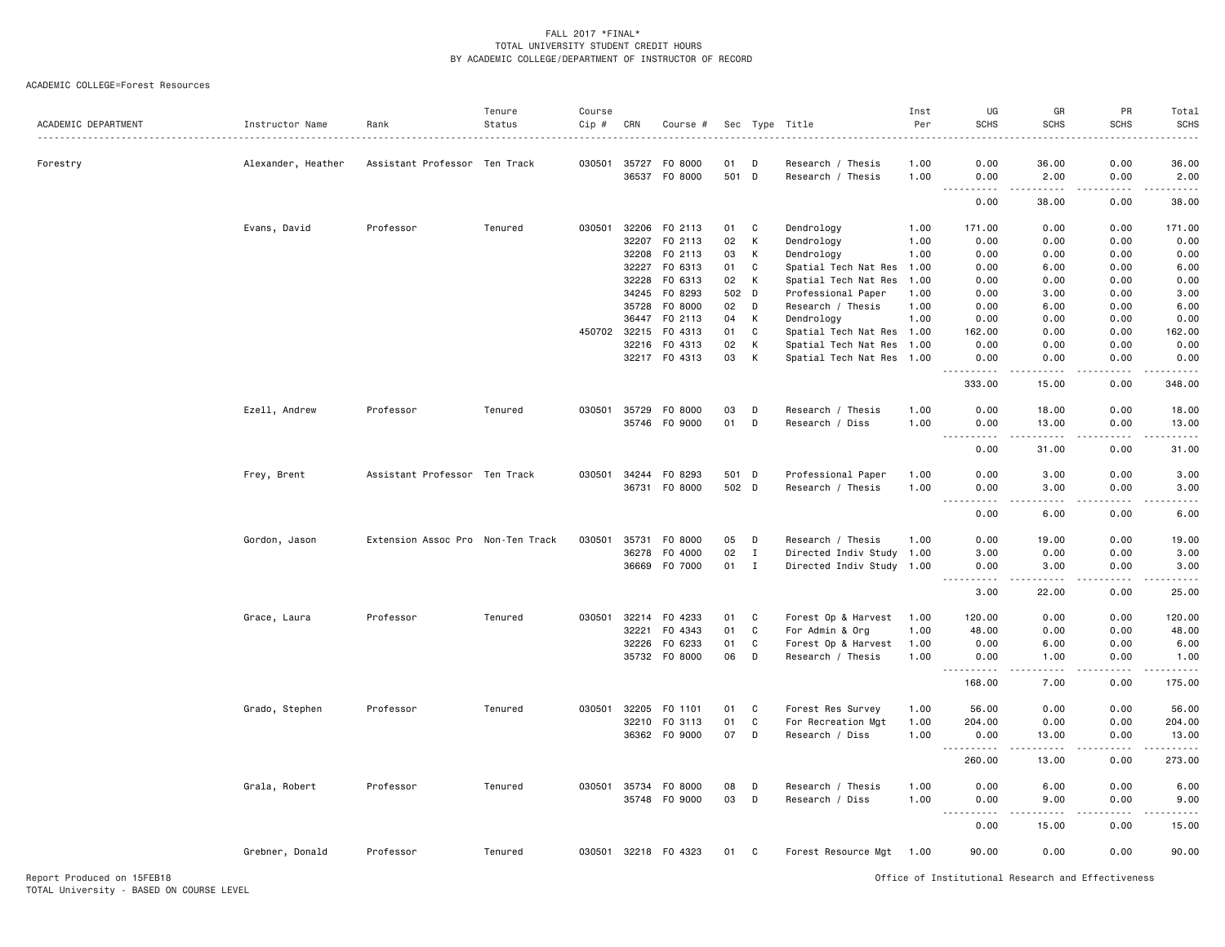| ACADEMIC DEPARTMENT | Instructor Name    | Rank                              | Tenure<br>Status | Course<br>Cip # | CRN          | Course #             |       |              | Sec Type Title            | Inst<br>Per | UG<br><b>SCHS</b><br>.              | GR<br><b>SCHS</b>                                                                                                                                             | PR<br><b>SCHS</b> | Total<br>SCHS                       |
|---------------------|--------------------|-----------------------------------|------------------|-----------------|--------------|----------------------|-------|--------------|---------------------------|-------------|-------------------------------------|---------------------------------------------------------------------------------------------------------------------------------------------------------------|-------------------|-------------------------------------|
| Forestry            | Alexander, Heather | Assistant Professor Ten Track     |                  | 030501          | 35727        | F0 8000              | 01    | D            | Research / Thesis         | 1.00        | 0.00                                | 36.00                                                                                                                                                         | 0.00              | 36.00                               |
|                     |                    |                                   |                  |                 |              | 36537 FO 8000        | 501 D |              | Research / Thesis         | 1.00        | 0.00<br>.<br>.                      | 2.00<br>.                                                                                                                                                     | 0.00<br>22222     | 2.00<br>.                           |
|                     |                    |                                   |                  |                 |              |                      |       |              |                           |             | 0.00                                | 38.00                                                                                                                                                         | 0.00              | 38.00                               |
|                     | Evans, David       | Professor                         | Tenured          | 030501          | 32206        | F0 2113              | 01    | C            | Dendrology                | 1.00        | 171.00                              | 0.00                                                                                                                                                          | 0.00              | 171.00                              |
|                     |                    |                                   |                  |                 | 32207        | F0 2113              | 02    | К            | Dendrology                | 1.00        | 0.00                                | 0.00                                                                                                                                                          | 0.00              | 0.00                                |
|                     |                    |                                   |                  |                 | 32208        | F0 2113              | 03    | К            | Dendrology                | 1.00        | 0.00                                | 0.00                                                                                                                                                          | 0.00              | 0.00                                |
|                     |                    |                                   |                  |                 | 32227        | F0 6313              | 01    | C            | Spatial Tech Nat Res      | 1.00        | 0.00                                | 6.00                                                                                                                                                          | 0.00              | 6.00                                |
|                     |                    |                                   |                  |                 | 32228        | F0 6313              | 02    | К            | Spatial Tech Nat Res      | 1.00        | 0.00                                | 0.00                                                                                                                                                          | 0.00              | 0.00                                |
|                     |                    |                                   |                  |                 | 34245        | F0 8293              | 502   | D            | Professional Paper        | 1.00        | 0.00                                | 3.00                                                                                                                                                          | 0.00              | 3.00                                |
|                     |                    |                                   |                  |                 | 35728        | F0 8000              | 02    | D            | Research / Thesis         | 1.00        | 0.00                                | 6.00                                                                                                                                                          | 0.00              | 6.00                                |
|                     |                    |                                   |                  |                 | 36447        | F0 2113              | 04    | К            | Dendrology                | 1.00        | 0.00                                | 0.00                                                                                                                                                          | 0.00              | 0.00                                |
|                     |                    |                                   |                  |                 | 450702 32215 | F0 4313              | 01    | C            | Spatial Tech Nat Res 1.00 |             | 162.00                              | 0.00                                                                                                                                                          | 0.00              | 162.00                              |
|                     |                    |                                   |                  |                 | 32216        | F0 4313              | 02    | К            | Spatial Tech Nat Res 1.00 |             | 0.00                                | 0.00                                                                                                                                                          | 0.00              | 0.00                                |
|                     |                    |                                   |                  |                 |              | 32217 FO 4313        | 03    | К            | Spatial Tech Nat Res 1.00 |             | 0.00                                | 0.00                                                                                                                                                          | 0.00              | 0.00                                |
|                     |                    |                                   |                  |                 |              |                      |       |              |                           |             | .<br>333.00                         | 15.00                                                                                                                                                         | 0.00              | 348.00                              |
|                     | Ezell, Andrew      | Professor                         | Tenured          |                 | 030501 35729 | F0 8000              | 03    | D            | Research / Thesis         | 1.00        | 0.00                                | 18.00                                                                                                                                                         | 0.00              | 18.00                               |
|                     |                    |                                   |                  |                 |              | 35746 FO 9000        | 01    | D            | Research / Diss           | 1.00        | 0.00                                | 13.00                                                                                                                                                         | 0.00              | 13.00                               |
|                     |                    |                                   |                  |                 |              |                      |       |              |                           |             | . <b>.</b><br>.<br>0.00             | <b>.</b><br>31.00                                                                                                                                             | <b>.</b><br>0.00  | .<br>31.00                          |
|                     | Frey, Brent        | Assistant Professor Ten Track     |                  | 030501          | 34244        | F0 8293              | 501 D |              | Professional Paper        | 1.00        | 0.00                                | 3.00                                                                                                                                                          | 0.00              | 3.00                                |
|                     |                    |                                   |                  |                 | 36731        | F0 8000              | 502 D |              | Research / Thesis         | 1.00        | 0.00                                | 3.00                                                                                                                                                          | 0.00              | 3.00                                |
|                     |                    |                                   |                  |                 |              |                      |       |              |                           |             | .<br>$\sim$ $\sim$ $\sim$<br>0.00   | د د د د<br>6.00                                                                                                                                               | .<br>0.00         | $\sim$ $\sim$ $\sim$ $\sim$<br>6.00 |
|                     |                    |                                   |                  |                 |              |                      |       |              |                           |             |                                     |                                                                                                                                                               |                   |                                     |
|                     | Gordon, Jason      | Extension Assoc Pro Non-Ten Track |                  | 030501          | 35731        | F0 8000              | 05    | D            | Research / Thesis         | 1.00        | 0.00                                | 19.00                                                                                                                                                         | 0.00              | 19.00                               |
|                     |                    |                                   |                  |                 | 36278        | F0 4000              | 02    | Ι.           | Directed Indiv Study      | 1.00        | 3.00                                | 0.00                                                                                                                                                          | 0.00              | 3.00                                |
|                     |                    |                                   |                  |                 | 36669        | F0 7000              | 01    | $\mathbf{I}$ | Directed Indiv Study 1.00 |             | 0.00<br>.                           | 3.00<br>.                                                                                                                                                     | 0.00              | 3.00<br>.                           |
|                     |                    |                                   |                  |                 |              |                      |       |              |                           |             | 3.00                                | 22.00                                                                                                                                                         | 0.00              | 25.00                               |
|                     | Grace, Laura       | Professor                         | Tenured          | 030501          | 32214        | F0 4233              | 01    | C            | Forest Op & Harvest       | 1.00        | 120.00                              | 0.00                                                                                                                                                          | 0.00              | 120.00                              |
|                     |                    |                                   |                  |                 | 32221        | F0 4343              | 01    | $\mathtt{C}$ | For Admin & Org           | 1.00        | 48.00                               | 0.00                                                                                                                                                          | 0.00              | 48.00                               |
|                     |                    |                                   |                  |                 | 32226        | F0 6233              | 01    | C            | Forest Op & Harvest       | 1.00        | 0.00                                | 6.00                                                                                                                                                          | 0.00              | 6.00                                |
|                     |                    |                                   |                  |                 | 35732        | F0 8000              | 06    | D            | Research / Thesis         | 1.00        | 0.00                                | 1.00                                                                                                                                                          | 0.00              | 1.00                                |
|                     |                    |                                   |                  |                 |              |                      |       |              |                           |             | .<br>$- - -$<br>168.00              | 7.00                                                                                                                                                          | 0.00              | $\frac{1}{2}$<br>175.00             |
|                     | Grado, Stephen     | Professor                         | Tenured          | 030501          | 32205        | F0 1101              | 01    | C            | Forest Res Survey         | 1.00        | 56.00                               | 0.00                                                                                                                                                          | 0.00              | 56.00                               |
|                     |                    |                                   |                  |                 | 32210        | F0 3113              | 01    | C            | For Recreation Mgt        | 1.00        | 204.00                              | 0.00                                                                                                                                                          | 0.00              | 204.00                              |
|                     |                    |                                   |                  |                 | 36362        | F0 9000              | 07    | D            | Research / Diss           | 1.00        | 0.00                                | 13.00                                                                                                                                                         | 0.00              | 13.00                               |
|                     |                    |                                   |                  |                 |              |                      |       |              |                           |             | .<br>$\sim$ $\sim$ $\sim$<br>260.00 | $\frac{1}{2} \left( \frac{1}{2} \right) \left( \frac{1}{2} \right) \left( \frac{1}{2} \right) \left( \frac{1}{2} \right) \left( \frac{1}{2} \right)$<br>13.00 | .<br>0.00         | وعاماته عامات<br>273.00             |
|                     |                    |                                   |                  |                 |              |                      |       |              |                           |             |                                     |                                                                                                                                                               |                   |                                     |
|                     | Grala, Robert      | Professor                         | Tenured          | 030501          | 35734        | F0 8000              | 08    | D            | Research / Thesis         | 1.00        | 0.00                                | 6.00                                                                                                                                                          | 0.00              | 6.00                                |
|                     |                    |                                   |                  |                 | 35748        | F0 9000              | 03    | D            | Research / Diss           | 1.00        | 0.00<br><u>.</u>                    | 9.00                                                                                                                                                          | 0.00              | 9.00                                |
|                     |                    |                                   |                  |                 |              |                      |       |              |                           |             | 0.00                                | 15.00                                                                                                                                                         | 0.00              | 15.00                               |
|                     | Grebner, Donald    | Professor                         | Tenured          |                 |              | 030501 32218 F0 4323 | 01    | C            | Forest Resource Mgt 1.00  |             | 90.00                               | 0.00                                                                                                                                                          | 0.00              | 90.00                               |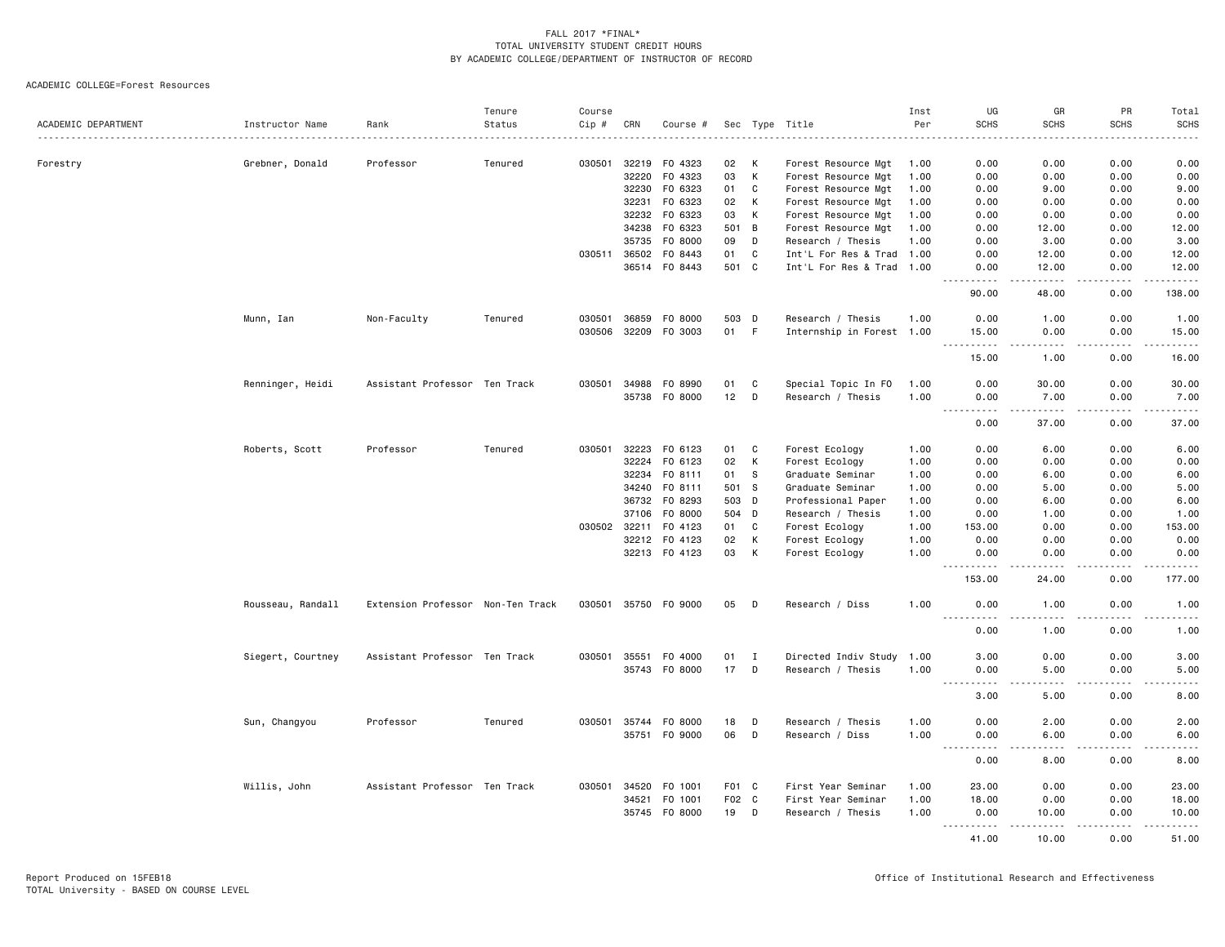| ACADEMIC DEPARTMENT | Instructor Name   | Rank                              | Tenure<br>Status | Course<br>Cip # | CRN   | Course #           |          |                | Sec Type Title                             | Inst<br>Per  | UG<br><b>SCHS</b>                        | GR<br><b>SCHS</b>                                                                                                                                             | PR<br><b>SCHS</b>     | Total<br><b>SCHS</b>                                                                                                                                                                    |
|---------------------|-------------------|-----------------------------------|------------------|-----------------|-------|--------------------|----------|----------------|--------------------------------------------|--------------|------------------------------------------|---------------------------------------------------------------------------------------------------------------------------------------------------------------|-----------------------|-----------------------------------------------------------------------------------------------------------------------------------------------------------------------------------------|
|                     |                   |                                   |                  |                 | 32219 |                    |          |                |                                            |              |                                          |                                                                                                                                                               |                       | 0.00                                                                                                                                                                                    |
| Forestry            | Grebner, Donald   | Professor                         | Tenured          | 030501          | 32220 | F0 4323<br>F0 4323 | 02<br>03 | к<br>K         | Forest Resource Mgt<br>Forest Resource Mgt | 1.00<br>1.00 | 0.00<br>0.00                             | 0.00<br>0.00                                                                                                                                                  | 0.00<br>0.00          | 0.00                                                                                                                                                                                    |
|                     |                   |                                   |                  |                 | 32230 | F0 6323            | 01       | C              | Forest Resource Mgt                        | 1.00         | 0.00                                     | 9.00                                                                                                                                                          | 0.00                  | 9.00                                                                                                                                                                                    |
|                     |                   |                                   |                  |                 | 32231 | F0 6323            | 02       | К              | Forest Resource Mgt                        | 1.00         | 0.00                                     | 0.00                                                                                                                                                          | 0.00                  | 0.00                                                                                                                                                                                    |
|                     |                   |                                   |                  |                 | 32232 | F0 6323            | 03       | K              | Forest Resource Mgt                        | 1.00         | 0.00                                     | 0.00                                                                                                                                                          | 0.00                  | 0.00                                                                                                                                                                                    |
|                     |                   |                                   |                  |                 | 34238 | F0 6323            | 501      | $\overline{B}$ | Forest Resource Mgt                        | 1.00         | 0.00                                     | 12.00                                                                                                                                                         | 0.00                  | 12.00                                                                                                                                                                                   |
|                     |                   |                                   |                  |                 | 35735 | F0 8000            | 09       | D              | Research / Thesis                          | 1.00         | 0.00                                     | 3.00                                                                                                                                                          | 0.00                  | 3.00                                                                                                                                                                                    |
|                     |                   |                                   |                  | 030511          | 36502 | F0 8443            | 01       | C              | Int'L For Res & Trad 1.00                  |              | 0.00                                     | 12.00                                                                                                                                                         | 0.00                  | 12.00                                                                                                                                                                                   |
|                     |                   |                                   |                  |                 | 36514 | F0 8443            | 501      | <b>C</b>       | Int'L For Res & Trad 1.00                  |              | 0.00                                     | 12.00                                                                                                                                                         | 0.00                  | 12.00                                                                                                                                                                                   |
|                     |                   |                                   |                  |                 |       |                    |          |                |                                            |              | $- - - - -$<br>90.00                     | $\frac{1}{2} \left( \frac{1}{2} \right) \left( \frac{1}{2} \right) \left( \frac{1}{2} \right) \left( \frac{1}{2} \right) \left( \frac{1}{2} \right)$<br>48.00 | .<br>0.00             | .<br>138.00                                                                                                                                                                             |
|                     | Munn, Ian         | Non-Faculty                       | Tenured          | 030501          | 36859 | F0 8000            | 503 D    |                | Research / Thesis                          | 1.00         | 0.00                                     | 1.00                                                                                                                                                          | 0.00                  | 1.00                                                                                                                                                                                    |
|                     |                   |                                   |                  | 030506          | 32209 | F0 3003            | 01 F     |                | Internship in Forest 1.00                  |              | 15.00<br>.<br>$\sim$ $\sim$ $\sim$       | 0.00<br>.                                                                                                                                                     | 0.00<br>.             | 15.00<br>.                                                                                                                                                                              |
|                     |                   |                                   |                  |                 |       |                    |          |                |                                            |              | 15.00                                    | 1.00                                                                                                                                                          | 0.00                  | 16.00                                                                                                                                                                                   |
|                     | Renninger, Heidi  | Assistant Professor Ten Track     |                  | 030501          | 34988 | F0 8990            | 01       | C              | Special Topic In FO                        | 1.00         | 0.00                                     | 30.00                                                                                                                                                         | 0.00                  | 30.00                                                                                                                                                                                   |
|                     |                   |                                   |                  |                 | 35738 | F0 8000            | 12       | D              | Research / Thesis                          | 1.00         | 0.00<br>.<br>$\sim$ $\sim$ $\sim$ $\sim$ | 7.00<br>.                                                                                                                                                     | 0.00<br>.             | 7.00<br>.                                                                                                                                                                               |
|                     |                   |                                   |                  |                 |       |                    |          |                |                                            |              | 0.00                                     | 37.00                                                                                                                                                         | 0.00                  | 37.00                                                                                                                                                                                   |
|                     | Roberts, Scott    | Professor                         | Tenured          | 030501          | 32223 | F0 6123            | 01       | C              | Forest Ecology                             | 1.00         | 0.00                                     | 6.00                                                                                                                                                          | 0.00                  | 6.00                                                                                                                                                                                    |
|                     |                   |                                   |                  |                 | 32224 | F0 6123            | 02       | К              | Forest Ecology                             | 1.00         | 0.00                                     | 0.00                                                                                                                                                          | 0.00                  | 0.00                                                                                                                                                                                    |
|                     |                   |                                   |                  |                 | 32234 | FO 8111            | 01       | - S            | Graduate Seminar                           | 1.00         | 0.00                                     | 6.00                                                                                                                                                          | 0.00                  | 6.00                                                                                                                                                                                    |
|                     |                   |                                   |                  |                 | 34240 | F0 8111            | 501      | - S            | Graduate Seminar                           | 1.00         | 0.00                                     | 5.00                                                                                                                                                          | 0.00                  | 5.00                                                                                                                                                                                    |
|                     |                   |                                   |                  |                 | 36732 | F0 8293            | 503 D    |                | Professional Paper                         | 1.00         | 0.00                                     | 6.00                                                                                                                                                          | 0.00                  | 6.00                                                                                                                                                                                    |
|                     |                   |                                   |                  |                 | 37106 | F0 8000            | 504 D    |                | Research / Thesis                          | 1.00         | 0.00                                     | 1.00                                                                                                                                                          | 0.00                  | 1.00                                                                                                                                                                                    |
|                     |                   |                                   |                  | 030502          | 32211 | F0 4123            | 01       | C              | Forest Ecology                             | 1.00         | 153.00                                   | 0.00                                                                                                                                                          | 0.00                  | 153.00                                                                                                                                                                                  |
|                     |                   |                                   |                  |                 | 32212 | F0 4123            | 02       | К              | Forest Ecology                             | 1.00         | 0.00                                     | 0.00                                                                                                                                                          | 0.00                  | 0.00                                                                                                                                                                                    |
|                     |                   |                                   |                  |                 |       | 32213 F0 4123      | 03       | К              | Forest Ecology                             | 1.00         | 0.00<br>.<br>$  -$                       | 0.00<br>.                                                                                                                                                     | 0.00<br>-----         | 0.00<br>$\frac{1}{2} \left( \frac{1}{2} \right) \left( \frac{1}{2} \right) \left( \frac{1}{2} \right) \left( \frac{1}{2} \right) \left( \frac{1}{2} \right) \left( \frac{1}{2} \right)$ |
|                     |                   |                                   |                  |                 |       |                    |          |                |                                            |              | 153.00                                   | 24.00                                                                                                                                                         | 0.00                  | 177.00                                                                                                                                                                                  |
|                     | Rousseau, Randall | Extension Professor Non-Ten Track |                  | 030501          |       | 35750 FO 9000      | 05       | D              | Research / Diss                            | 1.00         | 0.00<br>$- - - - -$                      | 1.00<br>.                                                                                                                                                     | 0.00<br>.             | 1.00<br>$\frac{1}{2}$                                                                                                                                                                   |
|                     |                   |                                   |                  |                 |       |                    |          |                |                                            |              | 0.00                                     | 1.00                                                                                                                                                          | 0.00                  | 1.00                                                                                                                                                                                    |
|                     | Siegert, Courtney | Assistant Professor Ten Track     |                  | 030501          | 35551 | F0 4000            | 01       | I              | Directed Indiv Study                       | 1.00         | 3.00                                     | 0.00                                                                                                                                                          | 0.00                  | 3.00                                                                                                                                                                                    |
|                     |                   |                                   |                  |                 |       | 35743 FO 8000      | 17       | D              | Research / Thesis                          | 1.00         | 0.00                                     | 5.00                                                                                                                                                          | 0.00                  | 5.00                                                                                                                                                                                    |
|                     |                   |                                   |                  |                 |       |                    |          |                |                                            |              | $\sim$ $\sim$ $\sim$<br>.<br>3.00        | .<br>5.00                                                                                                                                                     | .<br>0.00             | .<br>8.00                                                                                                                                                                               |
|                     | Sun, Changyou     | Professor                         | Tenured          | 030501          | 35744 | F0 8000            | 18       | D              | Research / Thesis                          | 1.00         | 0.00                                     | 2.00                                                                                                                                                          | 0.00                  | 2.00                                                                                                                                                                                    |
|                     |                   |                                   |                  |                 | 35751 | F0 9000            | 06       | D              | Research / Diss                            | 1.00         | 0.00                                     | 6.00                                                                                                                                                          | 0.00                  | 6.00                                                                                                                                                                                    |
|                     |                   |                                   |                  |                 |       |                    |          |                |                                            |              | $\sim$ $\sim$ $\sim$<br>0.00             | ----<br>8.00                                                                                                                                                  | $\frac{1}{2}$<br>0.00 | -----<br>8.00                                                                                                                                                                           |
|                     | Willis, John      | Assistant Professor Ten Track     |                  | 030501          | 34520 | F0 1001            | F01 C    |                | First Year Seminar                         | 1.00         | 23.00                                    | 0.00                                                                                                                                                          | 0.00                  | 23.00                                                                                                                                                                                   |
|                     |                   |                                   |                  |                 | 34521 | F0 1001            | F02 C    |                | First Year Seminar                         | 1.00         | 18.00                                    | 0.00                                                                                                                                                          | 0.00                  | 18.00                                                                                                                                                                                   |
|                     |                   |                                   |                  |                 | 35745 | F0 8000            | 19       | D              | Research / Thesis                          | 1.00         | 0.00<br><u>.</u>                         | 10.00<br>.                                                                                                                                                    | 0.00<br>. <b>.</b>    | 10.00<br>.                                                                                                                                                                              |
|                     |                   |                                   |                  |                 |       |                    |          |                |                                            |              | 41.00                                    | 10.00                                                                                                                                                         | 0.00                  | 51.00                                                                                                                                                                                   |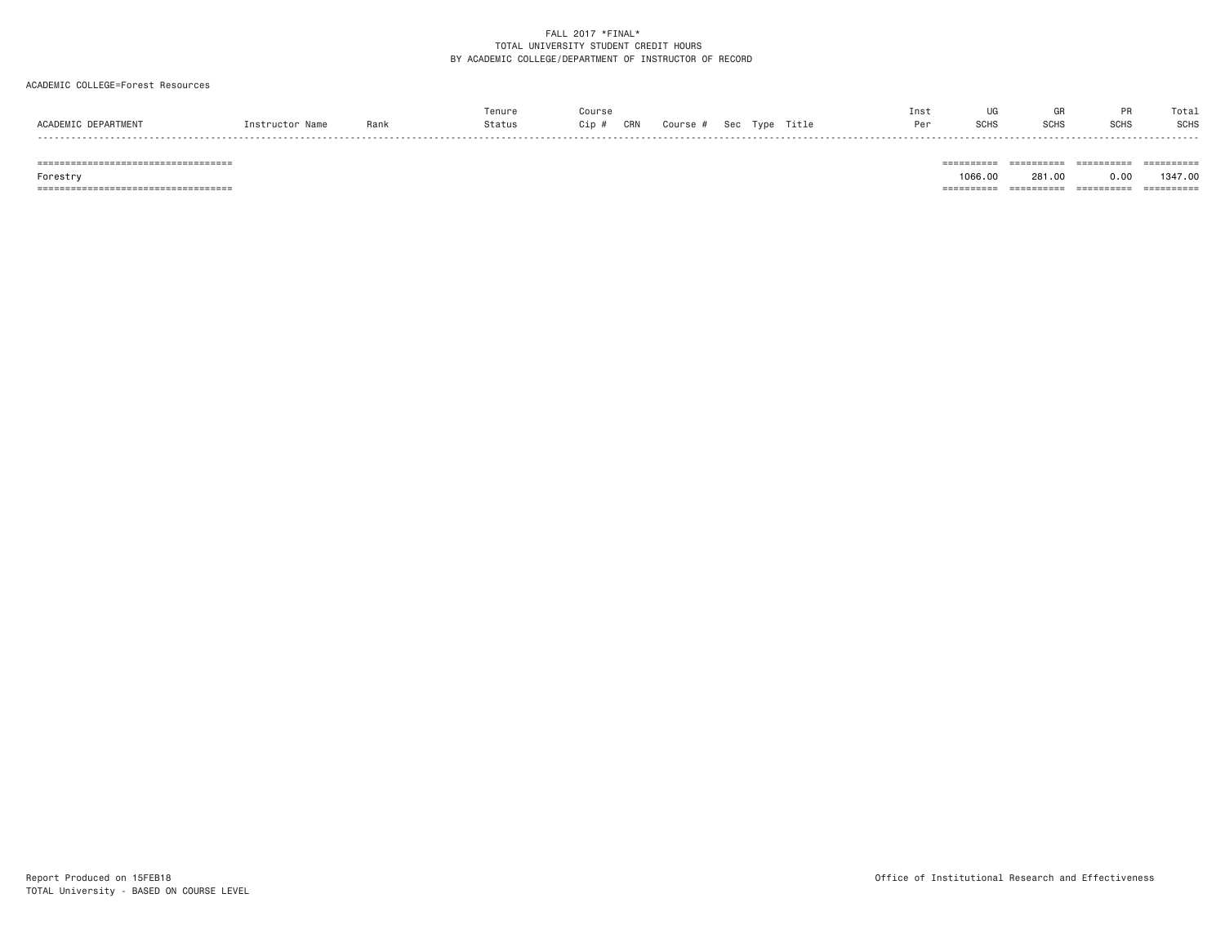#### ACADEMIC COLLEGE=Forest Resources

|                            |      | enur   |                     |                                   | Tusi |    |                      | <b>DD</b>   | Tota        |
|----------------------------|------|--------|---------------------|-----------------------------------|------|----|----------------------|-------------|-------------|
| $A$ $C$ $A$ $D$<br>-PARTME | Rank | Status | CRN<br>$\mathbf{m}$ | `itle<br>ourse:<br>TVDE<br>$\sim$ |      | -- | <b>COLIS</b><br>יווט | <b>SCHS</b> | <b>SCHS</b> |
|                            |      |        |                     |                                   |      |    |                      |             |             |

=================================== ========== ========== ========== ==========

 =================================== ========== ========== ========== ==========Forestry 1066.00 281.00 0.00 1347.00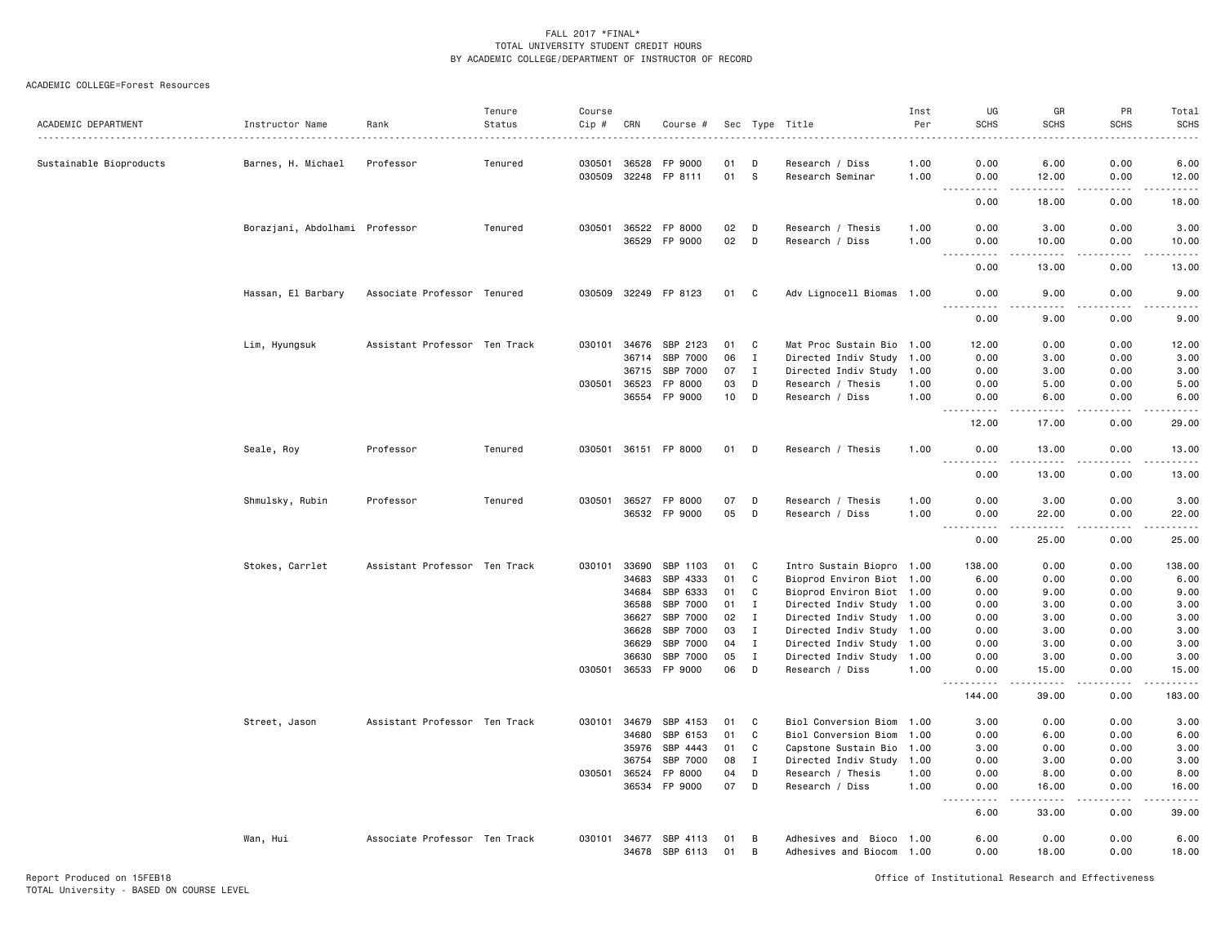ACADEMIC COLLEGE=Forest Resources

|                         |                                |                               | Tenure  | Course       |                |                      |          |                  |                                                       | Inst | UG                                                                                                                                                           | GR                 | PR               | Total              |
|-------------------------|--------------------------------|-------------------------------|---------|--------------|----------------|----------------------|----------|------------------|-------------------------------------------------------|------|--------------------------------------------------------------------------------------------------------------------------------------------------------------|--------------------|------------------|--------------------|
| ACADEMIC DEPARTMENT     | Instructor Name                | Rank                          | Status  | Cip #        | CRN            | Course #             |          |                  | Sec Type Title                                        | Per  | <b>SCHS</b>                                                                                                                                                  | <b>SCHS</b>        | SCHS             | <b>SCHS</b>        |
| Sustainable Bioproducts | Barnes, H. Michael             | Professor                     | Tenured | 030501       | 36528          | FP 9000              | 01       | D                | Research / Diss                                       | 1.00 | 0.00                                                                                                                                                         | 6.00               | 0.00             | 6.00               |
|                         |                                |                               |         | 030509       | 32248          | FP 8111              | 01       | - S              | Research Seminar                                      | 1.00 | 0.00<br>$\frac{1}{2}$<br><b><i><u>.</u></i></b>                                                                                                              | 12.00<br>.         | 0.00<br><u>.</u> | 12.00<br>.         |
|                         |                                |                               |         |              |                |                      |          |                  |                                                       |      | 0.00                                                                                                                                                         | 18.00              | 0.00             | 18.00              |
|                         | Borazjani, Abdolhami Professor |                               | Tenured | 030501       | 36522          | FP 8000              | 02       | D                | Research / Thesis                                     | 1.00 | 0.00                                                                                                                                                         | 3.00               | 0.00             | 3.00               |
|                         |                                |                               |         |              | 36529          | FP 9000              | 02       | D                | Research / Diss                                       | 1.00 | 0.00<br>$\sim$ $\sim$ $\sim$<br>المالم مالك                                                                                                                  | 10.00<br>د د د د د | 0.00<br>.        | 10.00<br>.         |
|                         |                                |                               |         |              |                |                      |          |                  |                                                       |      | 0.00                                                                                                                                                         | 13.00              | 0.00             | 13.00              |
|                         | Hassan, El Barbary             | Associate Professor Tenured   |         |              |                | 030509 32249 FP 8123 | 01       | C                | Adv Lignocell Biomas 1.00                             |      | 0.00<br>.                                                                                                                                                    | 9.00<br>.          | 0.00<br>.        | 9.00<br>.          |
|                         |                                |                               |         |              |                |                      |          |                  |                                                       |      | 0.00                                                                                                                                                         | 9.00               | 0.00             | 9.00               |
|                         | Lim, Hyungsuk                  | Assistant Professor Ten Track |         | 030101       | 34676          | SBP 2123             | 01       | C                | Mat Proc Sustain Bio 1.00                             |      | 12.00                                                                                                                                                        | 0.00               | 0.00             | 12.00              |
|                         |                                |                               |         |              | 36714          | SBP 7000             | 06       | Ι                | Directed Indiv Study 1.00                             |      | 0.00                                                                                                                                                         | 3.00               | 0.00             | 3.00               |
|                         |                                |                               |         |              | 36715          | SBP 7000             | 07       | $\mathbf{I}$     | Directed Indiv Study                                  | 1.00 | 0.00                                                                                                                                                         | 3.00               | 0.00             | 3.00               |
|                         |                                |                               |         | 030501       | 36523          | FP 8000              | 03       | D                | Research / Thesis                                     | 1.00 | 0.00                                                                                                                                                         | 5.00               | 0.00             | 5.00               |
|                         |                                |                               |         |              | 36554          | FP 9000              | 10       | D                | Research / Diss                                       | 1.00 | 0.00<br>.<br>$\frac{1}{2} \left( \frac{1}{2} \right) \left( \frac{1}{2} \right) \left( \frac{1}{2} \right)$                                                  | 6.00<br>.          | 0.00<br>-----    | 6.00<br>.          |
|                         |                                |                               |         |              |                |                      |          |                  |                                                       |      | 12.00                                                                                                                                                        | 17.00              | 0.00             | 29.00              |
|                         | Seale, Roy                     | Professor                     | Tenured | 030501 36151 |                | FP 8000              | 01       | D                | Research / Thesis                                     | 1.00 | 0.00<br>$\frac{1}{2} \left( \frac{1}{2} \right) \left( \frac{1}{2} \right) \left( \frac{1}{2} \right) \left( \frac{1}{2} \right) \left( \frac{1}{2} \right)$ | 13.00              | 0.00             | 13.00<br>د د د د د |
|                         |                                |                               |         |              |                |                      |          |                  |                                                       |      | 0.00                                                                                                                                                         | 13.00              | 0.00             | 13.00              |
|                         | Shmulsky, Rubin                | Professor                     | Tenured | 030501       | 36527          | FP 8000              | 07       | D                | Research / Thesis                                     | 1.00 | 0.00                                                                                                                                                         | 3.00               | 0.00             | 3.00               |
|                         |                                |                               |         |              |                | 36532 FP 9000        | 05       | D                | Research / Diss                                       | 1.00 | 0.00<br>.                                                                                                                                                    | 22.00<br>.         | 0.00<br>-----    | 22.00<br>.         |
|                         |                                |                               |         |              |                |                      |          |                  |                                                       |      | 0.00                                                                                                                                                         | 25.00              | 0.00             | 25.00              |
|                         | Stokes, Carrlet                | Assistant Professor Ten Track |         | 030101       | 33690          | SBP 1103             | 01       | C                | Intro Sustain Biopro 1.00                             |      | 138.00                                                                                                                                                       | 0.00               | 0.00             | 138.00             |
|                         |                                |                               |         |              | 34683          | SBP 4333             | 01       | C                | Bioprod Environ Biot 1.00                             |      | 6.00                                                                                                                                                         | 0.00               | 0.00             | 6.00               |
|                         |                                |                               |         |              | 34684          | SBP 6333             | 01       | C                | Bioprod Environ Biot 1.00                             |      | 0.00                                                                                                                                                         | 9.00               | 0.00             | 9.00               |
|                         |                                |                               |         |              | 36588          | SBP 7000             | 01       | $\mathbf I$      | Directed Indiv Study 1.00                             |      | 0.00                                                                                                                                                         | 3.00               | 0.00             | 3.00               |
|                         |                                |                               |         |              | 36627          | SBP 7000             | 02       | $\mathbf{I}$     | Directed Indiv Study 1.00                             |      | 0.00                                                                                                                                                         | 3.00               | 0.00             | 3.00               |
|                         |                                |                               |         |              | 36628          | SBP 7000             | 03       | $\mathbf I$      | Directed Indiv Study 1.00                             |      | 0.00                                                                                                                                                         | 3.00               | 0.00             | 3.00               |
|                         |                                |                               |         |              | 36629          | SBP 7000             | 04       | $\mathbf{I}$     | Directed Indiv Study 1.00                             |      | 0.00                                                                                                                                                         | 3.00               | 0.00             | 3.00               |
|                         |                                |                               |         | 030501       | 36630<br>36533 | SBP 7000<br>FP 9000  | 05<br>06 | $\mathbf I$<br>D | Directed Indiv Study 1.00<br>Research / Diss          | 1.00 | 0.00<br>0.00                                                                                                                                                 | 3,00<br>15.00      | 0.00<br>0.00     | 3.00<br>15.00      |
|                         |                                |                               |         |              |                |                      |          |                  |                                                       |      | 144.00                                                                                                                                                       | 39.00              | 0.00             | 183.00             |
|                         | Street, Jason                  | Assistant Professor Ten Track |         | 030101       | 34679          | SBP 4153             | 01       | C                | Biol Conversion Biom 1.00                             |      | 3.00                                                                                                                                                         | 0.00               | 0.00             | 3.00               |
|                         |                                |                               |         |              | 34680          | SBP 6153             | 01       | C                | Biol Conversion Biom                                  | 1.00 | 0.00                                                                                                                                                         | 6.00               | 0.00             | 6.00               |
|                         |                                |                               |         |              | 35976          | SBP 4443             | 01       | C                | Capstone Sustain Bio 1.00                             |      | 3.00                                                                                                                                                         | 0.00               | 0.00             | 3.00               |
|                         |                                |                               |         |              | 36754          | SBP 7000             | 08       | $\mathbf I$      | Directed Indiv Study                                  | 1.00 | 0.00                                                                                                                                                         | 3.00               | 0.00             | 3.00               |
|                         |                                |                               |         | 030501       | 36524          | FP 8000              | 04       | D                | Research / Thesis                                     | 1.00 | 0.00                                                                                                                                                         | 8,00               | 0.00             | 8.00               |
|                         |                                |                               |         |              | 36534          | FP 9000              | 07       | D                | Research / Diss                                       | 1.00 | 0.00<br>.                                                                                                                                                    | 16.00<br>.         | 0.00<br>.        | 16.00<br>.         |
|                         |                                |                               |         |              |                |                      |          |                  |                                                       |      | 6.00                                                                                                                                                         | 33.00              | 0.00             | 39.00              |
|                         | Wan, Hui                       | Associate Professor Ten Track |         | 030101 34677 | 34678          | SBP 4113<br>SBP 6113 | 01<br>01 | B<br>В           | Adhesives and Bioco 1.00<br>Adhesives and Biocom 1.00 |      | 6.00<br>0.00                                                                                                                                                 | 0.00<br>18.00      | 0.00<br>0.00     | 6.00<br>18.00      |
|                         |                                |                               |         |              |                |                      |          |                  |                                                       |      |                                                                                                                                                              |                    |                  |                    |

Report Produced on 15FEB18 Office of Institutional Research and Effectiveness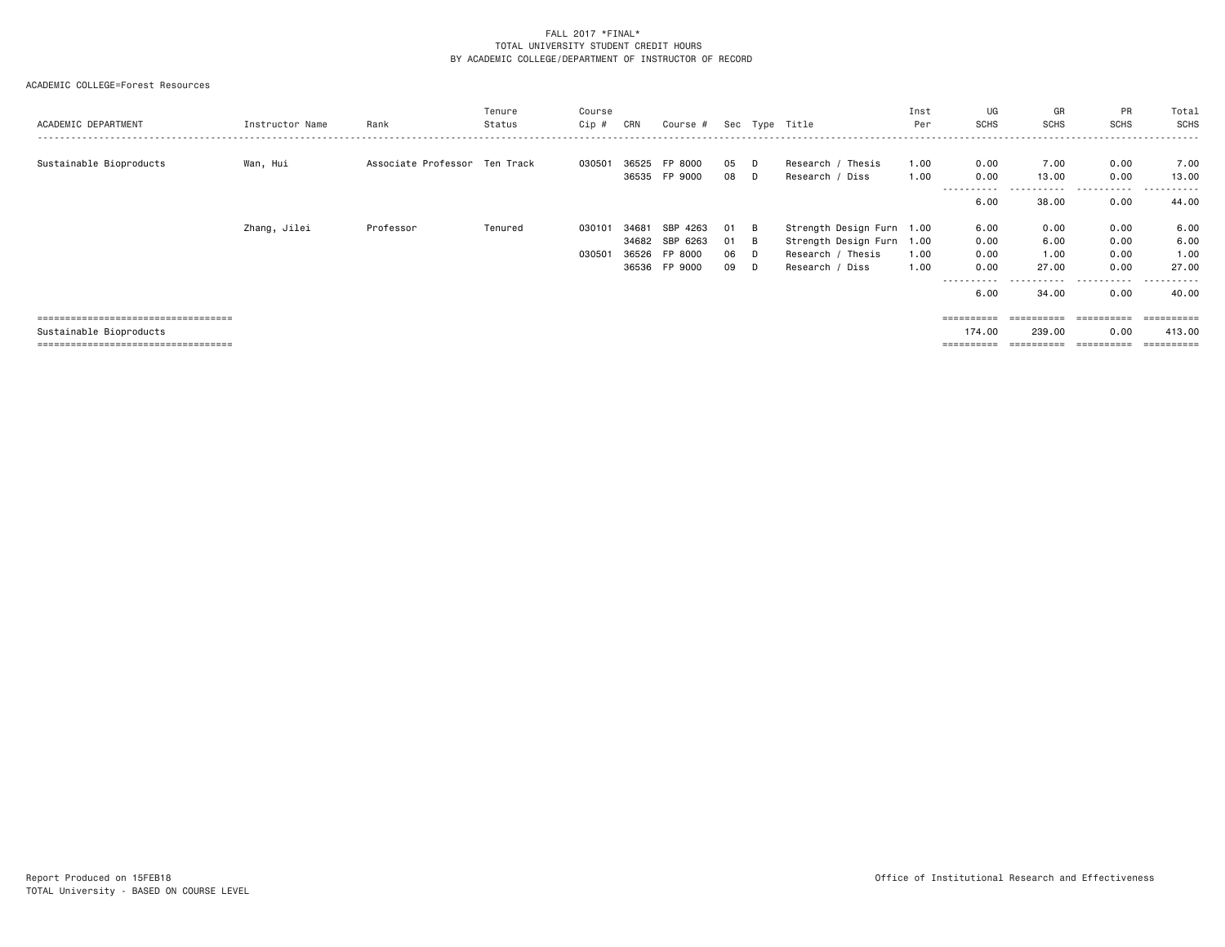| ACADEMIC DEPARTMENT                                              | Instructor Name | Rank                          | Tenure<br>Status | Course<br>$Cip$ # | CRN            | Course #             |          |        | Sec Type Title                                         | Inst<br>Per | UG<br><b>SCHS</b>                   | GR<br><b>SCHS</b>            | PR<br><b>SCHS</b>           | Total<br>SCHS       |
|------------------------------------------------------------------|-----------------|-------------------------------|------------------|-------------------|----------------|----------------------|----------|--------|--------------------------------------------------------|-------------|-------------------------------------|------------------------------|-----------------------------|---------------------|
| Sustainable Bioproducts                                          | Wan, Hui        | Associate Professor Ten Track |                  | 030501            |                | 36525 FP 8000        | 05       | D      | Research / Thesis                                      | 1.00        | 0.00                                | 7.00                         | 0.00                        | 7.00                |
|                                                                  |                 |                               |                  |                   |                | 36535 FP 9000        | 08       | D      | Research / Diss                                        | 1.00        | 0.00<br>- - - - - - - - - -<br>6.00 | 13.00<br>. <u>.</u><br>38.00 | 0.00<br>.<br>------<br>0.00 | 13.00<br>.<br>44.00 |
|                                                                  | Zhang, Jilei    | Professor                     | Tenured          | 030101            | 34681<br>34682 | SBP 4263<br>SBP 6263 | 01<br>01 | B<br>B | Strength Design Furn 1.00<br>Strength Design Furn 1.00 |             | 6.00<br>0.00                        | 0.00<br>6.00                 | 0.00<br>0.00                | 6.00<br>6.00        |
|                                                                  |                 |                               |                  | 030501            | 36526          | FP 8000              | 06       | D      | Research / Thesis                                      | 1.00        | 0.00                                | 1.00                         | 0.00                        | 1.00                |
|                                                                  |                 |                               |                  |                   |                | 36536 FP 9000        | 09       | D      | Research / Diss                                        | 1.00        | 0.00                                | 27.00                        | 0.00<br>$- - - -$<br>------ | 27.00<br>------     |
|                                                                  |                 |                               |                  |                   |                |                      |          |        |                                                        |             | 6.00                                | 34.00                        | 0.00                        | 40.00               |
| =====================================<br>Sustainable Bioproducts |                 |                               |                  |                   |                |                      |          |        |                                                        |             | 174.00                              | ==========<br>239,00         | ==========<br>0.00          | =========<br>413.00 |
| ====================================                             |                 |                               |                  |                   |                |                      |          |        |                                                        |             | ==========                          |                              |                             | =========           |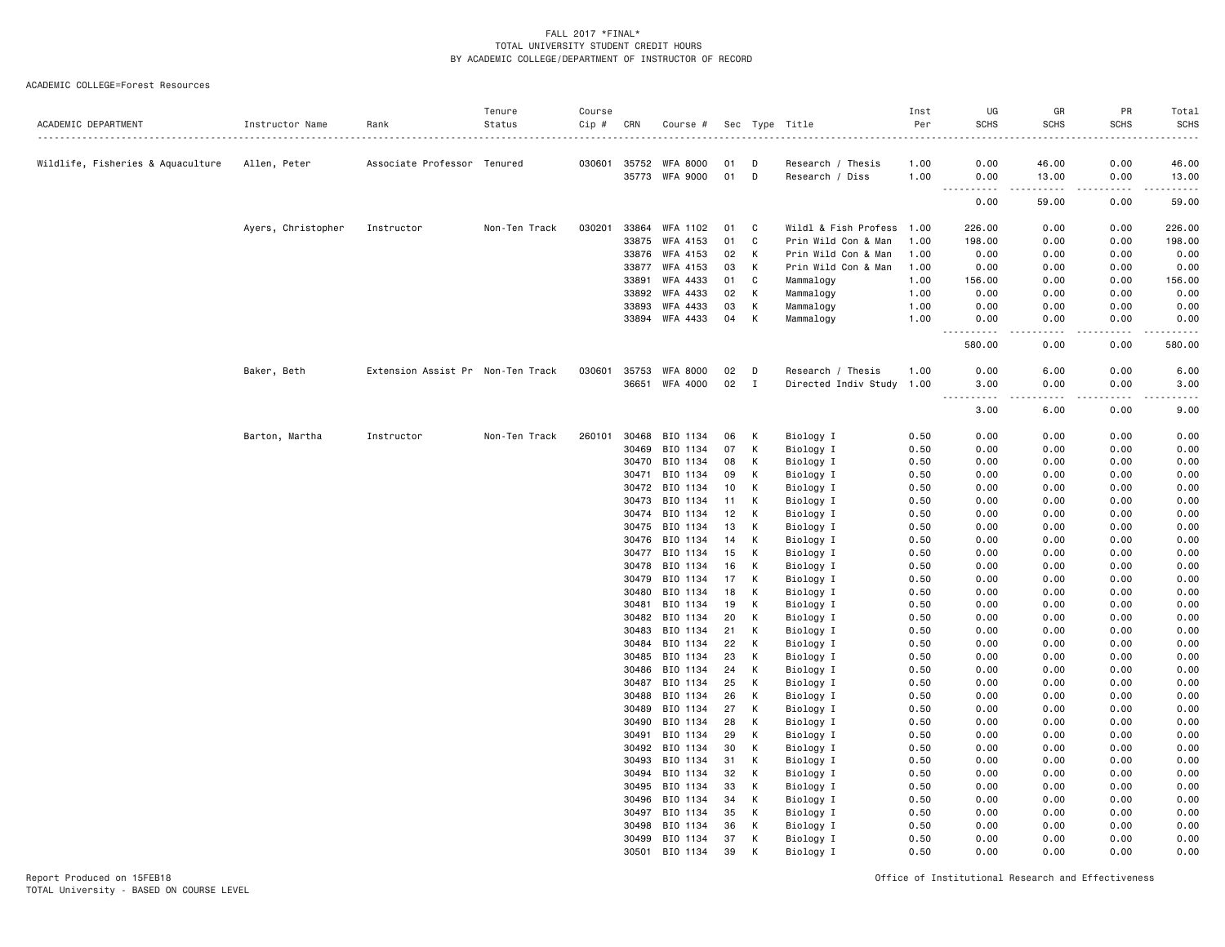| ACADEMIC DEPARTMENT               | Instructor Name    | Rank                              | Tenure<br>Status | Course<br>Cip # | CRN            | Course #             |          |              | Sec Type Title                       | Inst<br>Per  | UG<br><b>SCHS</b>                                                                                                                          | GR<br><b>SCHS</b>  | PR<br><b>SCHS</b> | Total<br><b>SCHS</b> |
|-----------------------------------|--------------------|-----------------------------------|------------------|-----------------|----------------|----------------------|----------|--------------|--------------------------------------|--------------|--------------------------------------------------------------------------------------------------------------------------------------------|--------------------|-------------------|----------------------|
|                                   |                    |                                   |                  |                 |                |                      |          |              |                                      | . <b>.</b>   |                                                                                                                                            |                    |                   |                      |
| Wildlife, Fisheries & Aquaculture | Allen, Peter       | Associate Professor Tenured       |                  | 030601          | 35752<br>35773 | WFA 8000<br>WFA 9000 | 01<br>01 | D<br>D       | Research / Thesis<br>Research / Diss | 1.00<br>1.00 | 0.00<br>0.00                                                                                                                               | 46.00<br>13.00     | 0.00<br>0.00      | 46.00<br>13.00       |
|                                   |                    |                                   |                  |                 |                |                      |          |              |                                      |              | $  -$<br>$\frac{1}{2} \left( \frac{1}{2} \right) \left( \frac{1}{2} \right) \left( \frac{1}{2} \right) \left( \frac{1}{2} \right)$<br>0.00 | د د د د د<br>59.00 | .<br>0.00         | .<br>59.00           |
|                                   |                    |                                   |                  |                 |                |                      |          |              |                                      |              |                                                                                                                                            |                    |                   |                      |
|                                   | Ayers, Christopher | Instructor                        | Non-Ten Track    | 030201          | 33864          | WFA 1102             | 01       | C            | Wildl & Fish Profess 1.00            |              | 226.00                                                                                                                                     | 0.00               | 0.00              | 226.00               |
|                                   |                    |                                   |                  |                 | 33875          | WFA 4153             | 01       | C            | Prin Wild Con & Man                  | 1.00         | 198.00                                                                                                                                     | 0.00               | 0.00              | 198.00               |
|                                   |                    |                                   |                  |                 | 33876          | WFA 4153             | 02       | К<br>K       | Prin Wild Con & Man                  | 1.00         | 0.00                                                                                                                                       | 0.00               | 0.00              | 0.00                 |
|                                   |                    |                                   |                  |                 | 33877<br>33891 | WFA 4153<br>WFA 4433 | 03<br>01 | C            | Prin Wild Con & Man<br>Mammalogy     | 1.00<br>1.00 | 0.00<br>156.00                                                                                                                             | 0.00<br>0.00       | 0.00<br>0.00      | 0.00<br>156.00       |
|                                   |                    |                                   |                  |                 | 33892          | WFA 4433             | 02       | К            | Mammalogy                            | 1.00         | 0.00                                                                                                                                       | 0.00               | 0.00              | 0.00                 |
|                                   |                    |                                   |                  |                 | 33893          | WFA 4433             | 03       | Κ            | Mammalogy                            | 1.00         | 0.00                                                                                                                                       | 0.00               | 0.00              | 0.00                 |
|                                   |                    |                                   |                  |                 |                | 33894 WFA 4433       | 04       | К            | Mammalogy                            | 1.00         | 0.00                                                                                                                                       | 0.00               | 0.00              | 0.00                 |
|                                   |                    |                                   |                  |                 |                |                      |          |              |                                      |              | .                                                                                                                                          | .                  | .                 | .                    |
|                                   |                    |                                   |                  |                 |                |                      |          |              |                                      |              | 580.00                                                                                                                                     | 0.00               | 0.00              | 580.00               |
|                                   | Baker, Beth        | Extension Assist Pr Non-Ten Track |                  | 030601          | 35753          | <b>WFA 8000</b>      | 02       | D            | Research / Thesis                    | 1.00         | 0.00                                                                                                                                       | 6.00               | 0.00              | 6.00                 |
|                                   |                    |                                   |                  |                 | 36651          | WFA 4000             | 02       | $\mathbf{I}$ | Directed Indiv Study                 | 1.00         | 3.00<br>$- - -$<br>$- - - -$                                                                                                               | 0.00               | 0.00              | 3.00                 |
|                                   |                    |                                   |                  |                 |                |                      |          |              |                                      |              | 3.00                                                                                                                                       | 6.00               | 0.00              | 9.00                 |
|                                   | Barton, Martha     | Instructor                        | Non-Ten Track    | 260101          | 30468          | BIO 1134             | 06       | к            | Biology I                            | 0.50         | 0.00                                                                                                                                       | 0.00               | 0.00              | 0.00                 |
|                                   |                    |                                   |                  |                 | 30469          | BIO 1134             | 07       | К            | Biology I                            | 0.50         | 0.00                                                                                                                                       | 0.00               | 0.00              | 0.00                 |
|                                   |                    |                                   |                  |                 | 30470          | BIO 1134             | 08       | Κ            | Biology I                            | 0.50         | 0.00                                                                                                                                       | 0.00               | 0.00              | 0.00                 |
|                                   |                    |                                   |                  |                 | 30471          | BIO 1134             | 09       | К            | Biology I                            | 0.50         | 0.00                                                                                                                                       | 0.00               | 0.00              | 0.00                 |
|                                   |                    |                                   |                  |                 | 30472          | BIO 1134             | 10       | Κ            | Biology I                            | 0.50         | 0.00                                                                                                                                       | 0.00               | 0.00              | 0.00                 |
|                                   |                    |                                   |                  |                 | 30473<br>30474 | BIO 1134<br>BIO 1134 | 11<br>12 | Κ<br>К       | Biology I<br>Biology I               | 0.50<br>0.50 | 0.00<br>0.00                                                                                                                               | 0.00<br>0.00       | 0.00<br>0.00      | 0.00<br>0.00         |
|                                   |                    |                                   |                  |                 | 30475          | BIO 1134             | 13       | К            | Biology I                            | 0.50         | 0.00                                                                                                                                       | 0.00               | 0.00              | 0.00                 |
|                                   |                    |                                   |                  |                 | 30476          | BIO 1134             | 14       | К            | Biology I                            | 0.50         | 0.00                                                                                                                                       | 0.00               | 0.00              | 0.00                 |
|                                   |                    |                                   |                  |                 | 30477          | BIO 1134             | 15       | Κ            | Biology I                            | 0.50         | 0.00                                                                                                                                       | 0.00               | 0.00              | 0.00                 |
|                                   |                    |                                   |                  |                 | 30478          | BIO 1134             | 16       | Κ            | Biology I                            | 0.50         | 0.00                                                                                                                                       | 0.00               | 0.00              | 0.00                 |
|                                   |                    |                                   |                  |                 | 30479          | BIO 1134             | 17       | К            | Biology I                            | 0.50         | 0.00                                                                                                                                       | 0.00               | 0.00              | 0.00                 |
|                                   |                    |                                   |                  |                 | 30480          | BIO 1134             | 18       | К            | Biology I                            | 0.50         | 0.00                                                                                                                                       | 0.00               | 0.00              | 0.00                 |
|                                   |                    |                                   |                  |                 | 30481          | BIO 1134             | 19       | К            | Biology I                            | 0.50         | 0.00                                                                                                                                       | 0.00               | 0.00              | 0.00                 |
|                                   |                    |                                   |                  |                 | 30482          | BIO 1134             | 20       | К            | Biology I                            | 0.50         | 0.00                                                                                                                                       | 0.00               | 0.00              | 0.00                 |
|                                   |                    |                                   |                  |                 | 30483          | BIO 1134             | 21       | Κ            | Biology I                            | 0.50         | 0.00                                                                                                                                       | 0.00               | 0.00              | 0.00                 |
|                                   |                    |                                   |                  |                 | 30484          | BIO 1134             | 22       | К            | Biology I                            | 0.50         | 0.00                                                                                                                                       | 0.00               | 0.00              | 0.00                 |
|                                   |                    |                                   |                  |                 | 30485          | BIO 1134             | 23       | К            | Biology I                            | 0.50         | 0.00                                                                                                                                       | 0.00               | 0.00              | 0.00                 |
|                                   |                    |                                   |                  |                 | 30486          | BIO 1134             | 24       | К            | Biology I                            | 0.50         | 0.00                                                                                                                                       | 0.00               | 0.00              | 0.00                 |
|                                   |                    |                                   |                  |                 | 30487          | BIO 1134             | 25       | Κ            | Biology I                            | 0.50         | 0.00                                                                                                                                       | 0.00               | 0.00              | 0.00                 |
|                                   |                    |                                   |                  |                 | 30488          | BIO 1134             | 26       | к            | Biology I                            | 0.50         | 0.00                                                                                                                                       | 0.00               | 0.00              | 0.00                 |
|                                   |                    |                                   |                  |                 | 30489          | BIO 1134             | 27       | К            | Biology I                            | 0.50         | 0.00                                                                                                                                       | 0.00               | 0.00              | 0.00                 |
|                                   |                    |                                   |                  |                 | 30490          | BIO 1134             | 28       | К            | Biology I                            | 0.50         | 0.00                                                                                                                                       | 0.00               | 0.00              | 0.00                 |
|                                   |                    |                                   |                  |                 | 30491          | BIO 1134             | 29       | Κ            | Biology I                            | 0.50         | 0.00                                                                                                                                       | 0.00               | 0.00              | 0.00                 |
|                                   |                    |                                   |                  |                 | 30492          | BIO 1134             | 30       | Κ            | Biology I                            | 0.50         | 0.00<br>0.00                                                                                                                               | 0.00               | 0.00              | 0.00                 |
|                                   |                    |                                   |                  |                 | 30493<br>30494 | BIO 1134<br>BIO 1134 | 31<br>32 | Κ<br>К       | Biology I<br>Biology I               | 0.50<br>0.50 | 0.00                                                                                                                                       | 0.00<br>0.00       | 0.00<br>0.00      | 0.00<br>0.00         |
|                                   |                    |                                   |                  |                 | 30495          | BIO 1134             | 33       | К            | Biology I                            | 0.50         | 0.00                                                                                                                                       | 0.00               | 0.00              | 0.00                 |
|                                   |                    |                                   |                  |                 | 30496          | BIO 1134             | 34       | Κ            | Biology I                            | 0.50         | 0.00                                                                                                                                       | 0.00               | 0.00              | 0.00                 |
|                                   |                    |                                   |                  |                 | 30497          | BIO 1134             | 35       | К            | Biology I                            | 0.50         | 0.00                                                                                                                                       | 0.00               | 0.00              | 0.00                 |
|                                   |                    |                                   |                  |                 | 30498          | BIO 1134             | 36       | Κ            | Biology I                            | 0.50         | 0.00                                                                                                                                       | 0.00               | 0.00              | 0.00                 |
|                                   |                    |                                   |                  |                 | 30499          | BIO 1134             | 37       | К            | Biology I                            | 0.50         | 0.00                                                                                                                                       | 0.00               | 0.00              | 0.00                 |
|                                   |                    |                                   |                  |                 | 30501          | BIO 1134             | 39       | К            | Biology I                            | 0.50         | 0.00                                                                                                                                       | 0.00               | 0.00              | 0.00                 |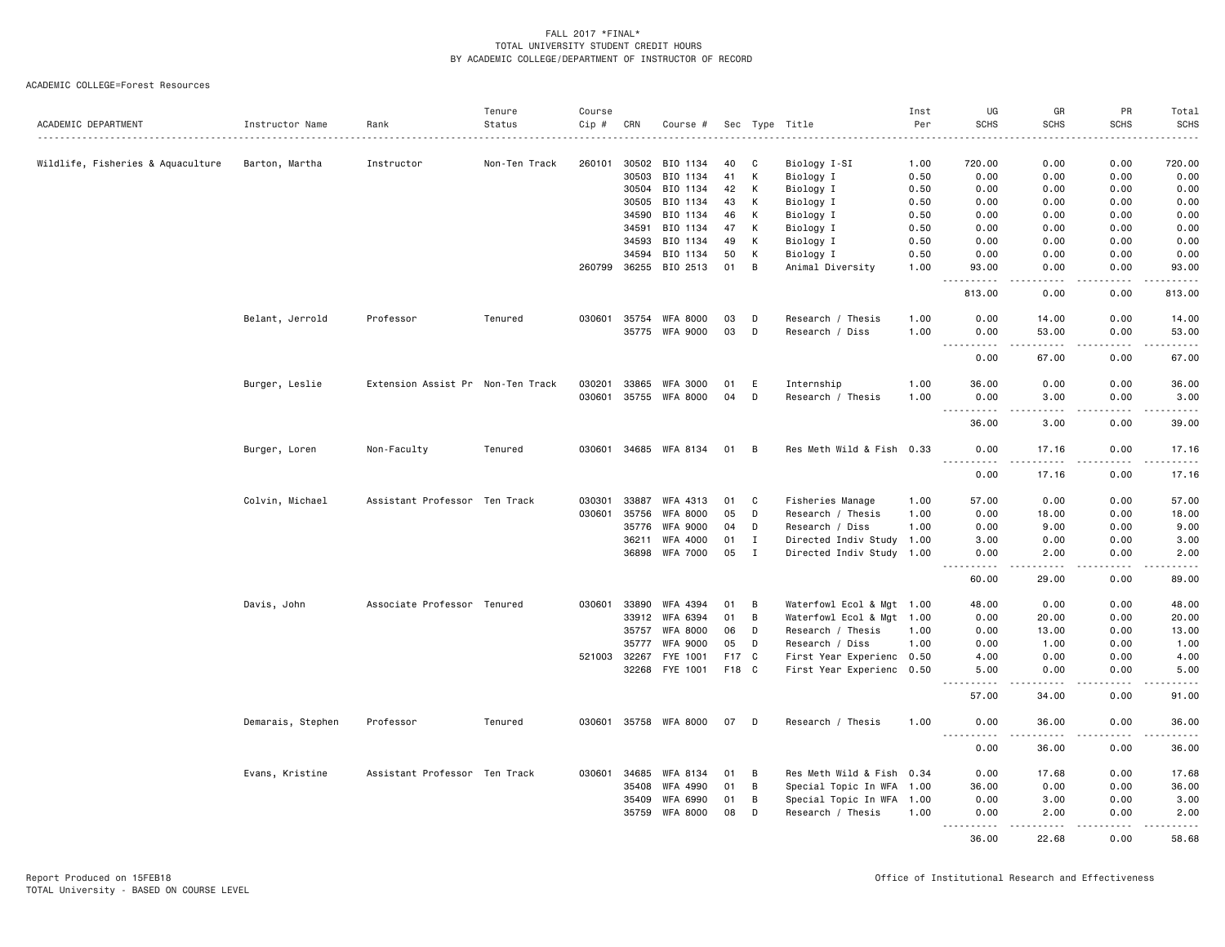| ACADEMIC DEPARTMENT               | Instructor Name   | Rank                              | Tenure<br>Status | Course<br>Cip # | CRN   | Course #              |       |              | Sec Type Title            | Inst<br>Per | UG<br><b>SCHS</b>         | GR<br><b>SCHS</b>                                                                                                                                            | PR<br><b>SCHS</b>     | Total<br><b>SCHS</b>                                                                                                                                         |
|-----------------------------------|-------------------|-----------------------------------|------------------|-----------------|-------|-----------------------|-------|--------------|---------------------------|-------------|---------------------------|--------------------------------------------------------------------------------------------------------------------------------------------------------------|-----------------------|--------------------------------------------------------------------------------------------------------------------------------------------------------------|
|                                   |                   |                                   |                  |                 |       |                       |       |              |                           |             |                           |                                                                                                                                                              |                       |                                                                                                                                                              |
| Wildlife, Fisheries & Aquaculture | Barton, Martha    | Instructor                        | Non-Ten Track    | 260101          | 30502 | BIO 1134              | 40    | C            | Biology I-SI              | 1.00        | 720.00                    | 0.00                                                                                                                                                         | 0.00                  | 720.00                                                                                                                                                       |
|                                   |                   |                                   |                  |                 | 30503 | BIO 1134              | 41    | К            | Biology I                 | 0.50        | 0.00                      | 0.00                                                                                                                                                         | 0.00                  | 0.00                                                                                                                                                         |
|                                   |                   |                                   |                  |                 | 30504 | BIO 1134              | 42    | К            | Biology I                 | 0.50        | 0.00                      | 0.00                                                                                                                                                         | 0.00                  | 0.00                                                                                                                                                         |
|                                   |                   |                                   |                  |                 | 30505 | BIO 1134              | 43    | K            | Biology I                 | 0.50        | 0.00                      | 0.00                                                                                                                                                         | 0.00                  | 0.00                                                                                                                                                         |
|                                   |                   |                                   |                  |                 | 34590 | BIO 1134              | 46    | K            | Biology I                 | 0.50        | 0.00                      | 0.00                                                                                                                                                         | 0.00                  | 0.00                                                                                                                                                         |
|                                   |                   |                                   |                  |                 | 34591 | BIO 1134              | 47    | К            | Biology I                 | 0.50        | 0.00                      | 0.00                                                                                                                                                         | 0.00                  | 0.00                                                                                                                                                         |
|                                   |                   |                                   |                  |                 | 34593 | BIO 1134              | 49    | K            | Biology I                 | 0.50        | 0.00                      | 0.00                                                                                                                                                         | 0.00                  | 0.00                                                                                                                                                         |
|                                   |                   |                                   |                  |                 | 34594 | BIO 1134              | 50    | К            | Biology I                 | 0.50        | 0.00                      | 0.00                                                                                                                                                         | 0.00                  | 0.00                                                                                                                                                         |
|                                   |                   |                                   |                  | 260799          | 36255 | BIO 2513              | 01    | B            | Animal Diversity          | 1.00        | 93.00                     | 0.00                                                                                                                                                         | 0.00                  | 93.00                                                                                                                                                        |
|                                   |                   |                                   |                  |                 |       |                       |       |              |                           |             | .<br>813.00               | .<br>0.00                                                                                                                                                    | .<br>0.00             | .<br>813.00                                                                                                                                                  |
|                                   | Belant, Jerrold   | Professor                         | Tenured          | 030601          | 35754 | <b>WFA 8000</b>       | 03    | D            | Research / Thesis         | 1.00        | 0.00                      | 14.00                                                                                                                                                        | 0.00                  | 14.00                                                                                                                                                        |
|                                   |                   |                                   |                  |                 |       | 35775 WFA 9000        | 03    | D            | Research / Diss           | 1.00        | 0.00                      | 53.00                                                                                                                                                        | 0.00                  | 53.00                                                                                                                                                        |
|                                   |                   |                                   |                  |                 |       |                       |       |              |                           |             | $\sim$ $\sim$ $\sim$<br>. | $\frac{1}{2} \left( \frac{1}{2} \right) \left( \frac{1}{2} \right) \left( \frac{1}{2} \right) \left( \frac{1}{2} \right) \left( \frac{1}{2} \right)$         | .                     | .                                                                                                                                                            |
|                                   |                   |                                   |                  |                 |       |                       |       |              |                           |             | 0.00                      | 67.00                                                                                                                                                        | 0.00                  | 67.00                                                                                                                                                        |
|                                   | Burger, Leslie    | Extension Assist Pr Non-Ten Track |                  | 030201          | 33865 | <b>WFA 3000</b>       | 01    | E            | Internship                | 1.00        | 36.00                     | 0.00                                                                                                                                                         | 0.00                  | 36.00                                                                                                                                                        |
|                                   |                   |                                   |                  | 030601          | 35755 | WFA 8000              | 04    | D            | Research / Thesis         | 1.00        | 0.00<br>$- - - - -$       | 3.00<br>$- - - -$                                                                                                                                            | 0.00<br>$\frac{1}{2}$ | 3.00<br>$\frac{1}{2} \left( \frac{1}{2} \right) \left( \frac{1}{2} \right) \left( \frac{1}{2} \right) \left( \frac{1}{2} \right) \left( \frac{1}{2} \right)$ |
|                                   |                   |                                   |                  |                 |       |                       |       |              |                           |             | 36.00                     | 3.00                                                                                                                                                         | 0.00                  | 39.00                                                                                                                                                        |
|                                   | Burger, Loren     | Non-Faculty                       | Tenured          |                 |       | 030601 34685 WFA 8134 | 01    | B            | Res Meth Wild & Fish 0.33 |             | 0.00                      | 17.16                                                                                                                                                        | 0.00                  | 17.16                                                                                                                                                        |
|                                   |                   |                                   |                  |                 |       |                       |       |              |                           |             | .<br>0.00                 | -----<br>17.16                                                                                                                                               | 0.00                  | .<br>17.16                                                                                                                                                   |
|                                   | Colvin, Michael   | Assistant Professor Ten Track     |                  | 030301          | 33887 | WFA 4313              | 01    | C            | Fisheries Manage          | 1.00        | 57.00                     | 0.00                                                                                                                                                         | 0.00                  | 57.00                                                                                                                                                        |
|                                   |                   |                                   |                  | 030601          | 35756 | WFA 8000              | 05    | D            | Research / Thesis         | 1.00        | 0.00                      | 18.00                                                                                                                                                        | 0.00                  | 18.00                                                                                                                                                        |
|                                   |                   |                                   |                  |                 | 35776 | <b>WFA 9000</b>       | 04    | D            | Research / Diss           | 1.00        | 0.00                      | 9.00                                                                                                                                                         | 0.00                  | 9.00                                                                                                                                                         |
|                                   |                   |                                   |                  |                 | 36211 | <b>WFA 4000</b>       | 01    | $\mathbf I$  | Directed Indiv Study      | 1.00        | 3.00                      | 0.00                                                                                                                                                         | 0.00                  | 3.00                                                                                                                                                         |
|                                   |                   |                                   |                  |                 |       | 36898 WFA 7000        | 05    | $\mathbf{I}$ | Directed Indiv Study 1.00 |             | 0.00                      | 2.00                                                                                                                                                         | 0.00                  | 2.00                                                                                                                                                         |
|                                   |                   |                                   |                  |                 |       |                       |       |              |                           |             | <u>.</u><br>60.00         | .<br>29.00                                                                                                                                                   | .<br>0.00             | .<br>89.00                                                                                                                                                   |
|                                   | Davis, John       | Associate Professor Tenured       |                  | 030601          | 33890 | WFA 4394              | 01    | B            | Waterfowl Ecol & Mgt 1.00 |             | 48.00                     | 0.00                                                                                                                                                         | 0.00                  | 48.00                                                                                                                                                        |
|                                   |                   |                                   |                  |                 | 33912 | WFA 6394              | 01    | B            | Waterfowl Ecol & Mgt 1.00 |             | 0.00                      | 20.00                                                                                                                                                        | 0.00                  | 20.00                                                                                                                                                        |
|                                   |                   |                                   |                  |                 | 35757 | <b>WFA 8000</b>       | 06    | D            | Research / Thesis         | 1.00        | 0.00                      | 13.00                                                                                                                                                        | 0.00                  | 13.00                                                                                                                                                        |
|                                   |                   |                                   |                  |                 | 35777 | <b>WFA 9000</b>       | 05    | D            | Research / Diss           | 1.00        | 0.00                      | 1.00                                                                                                                                                         | 0.00                  | 1.00                                                                                                                                                         |
|                                   |                   |                                   |                  | 521003          | 32267 | FYE 1001              | F17 C |              | First Year Experienc 0.50 |             | 4.00                      | 0.00                                                                                                                                                         | 0.00                  | 4.00                                                                                                                                                         |
|                                   |                   |                                   |                  |                 |       | 32268 FYE 1001        | F18 C |              | First Year Experienc 0.50 |             | 5.00                      | 0.00                                                                                                                                                         | 0.00                  | 5.00                                                                                                                                                         |
|                                   |                   |                                   |                  |                 |       |                       |       |              |                           |             | .                         | .                                                                                                                                                            | $\frac{1}{2}$         | $\frac{1}{2}$                                                                                                                                                |
|                                   |                   |                                   |                  |                 |       |                       |       |              |                           |             | 57.00                     | 34.00                                                                                                                                                        | 0.00                  | 91.00                                                                                                                                                        |
|                                   | Demarais, Stephen | Professor                         | Tenured          |                 |       | 030601 35758 WFA 8000 | 07    | D            | Research / Thesis         | 1.00        | 0.00<br>. <b>.</b>        | 36.00<br>. <u>.</u>                                                                                                                                          | 0.00<br>.             | 36.00<br>.                                                                                                                                                   |
|                                   |                   |                                   |                  |                 |       |                       |       |              |                           |             | 0.00                      | 36.00                                                                                                                                                        | 0.00                  | 36.00                                                                                                                                                        |
|                                   | Evans, Kristine   | Assistant Professor Ten Track     |                  | 030601          | 34685 | WFA 8134              | 01    | B            | Res Meth Wild & Fish 0.34 |             | 0.00                      | 17.68                                                                                                                                                        | 0.00                  | 17.68                                                                                                                                                        |
|                                   |                   |                                   |                  |                 | 35408 | WFA 4990              | 01    | B            | Special Topic In WFA 1.00 |             | 36.00                     | 0.00                                                                                                                                                         | 0.00                  | 36.00                                                                                                                                                        |
|                                   |                   |                                   |                  |                 | 35409 | WFA 6990              | 01    | B            | Special Topic In WFA 1.00 |             | 0.00                      | 3.00                                                                                                                                                         | 0.00                  | 3.00                                                                                                                                                         |
|                                   |                   |                                   |                  |                 | 35759 | <b>WFA 8000</b>       | 08    | D            | Research / Thesis         | 1.00        | 0.00<br>.                 | 2.00<br>$\frac{1}{2} \left( \frac{1}{2} \right) \left( \frac{1}{2} \right) \left( \frac{1}{2} \right) \left( \frac{1}{2} \right) \left( \frac{1}{2} \right)$ | 0.00<br>.             | 2.00<br>.                                                                                                                                                    |
|                                   |                   |                                   |                  |                 |       |                       |       |              |                           |             | 36.00                     | 22.68                                                                                                                                                        | 0.00                  | 58.68                                                                                                                                                        |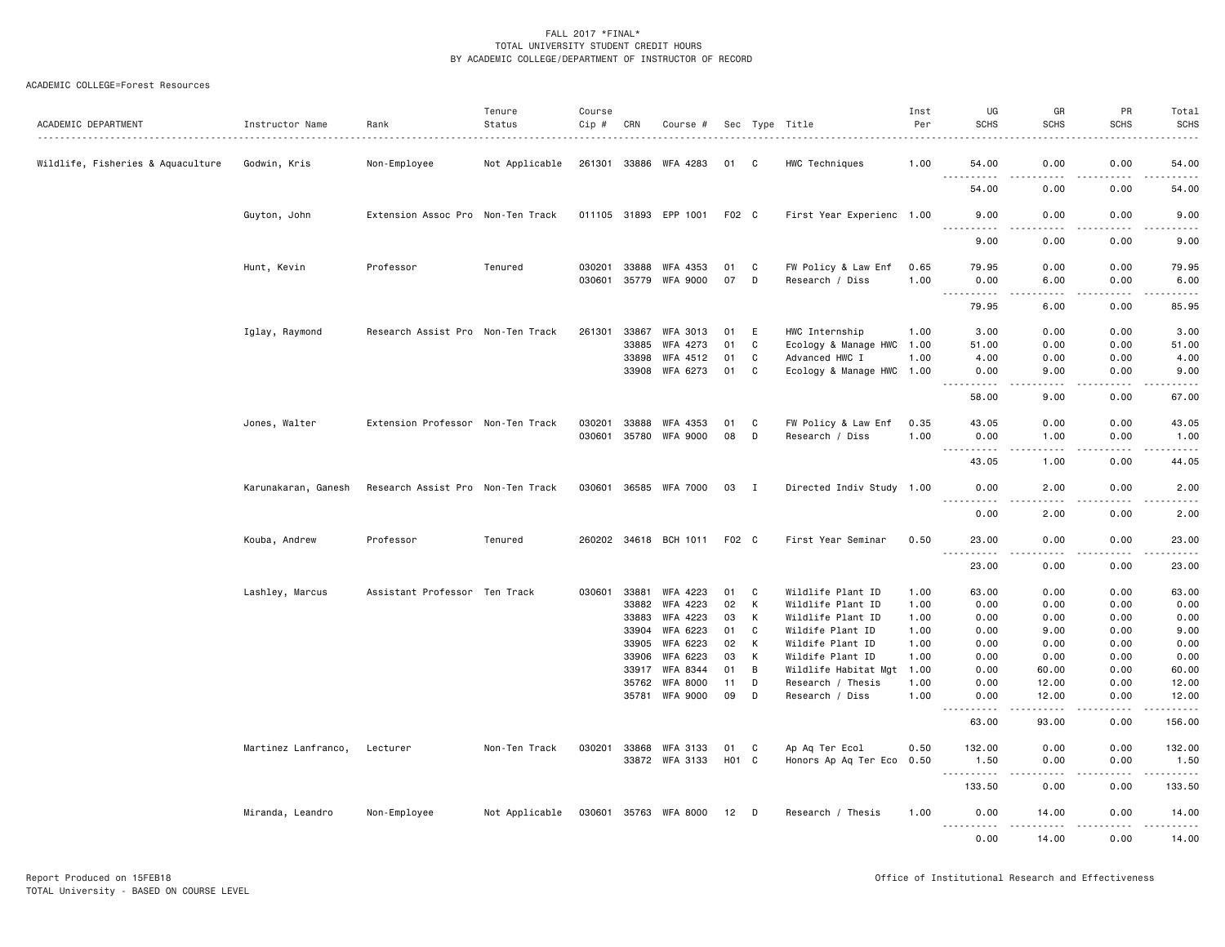### ACADEMIC COLLEGE=Forest Resources

| ACADEMIC DEPARTMENT               | Instructor Name<br>. | Rank                              | Tenure<br>Status | Course<br>Cip # | CRN   | Course #              |       |                | Sec Type Title            | Inst<br>Per | UG<br><b>SCHS</b>                      | GR<br><b>SCHS</b>                                                                                                                 | PR<br>SCHS                                        | Total<br><b>SCHS</b>                                                                                                                                         |
|-----------------------------------|----------------------|-----------------------------------|------------------|-----------------|-------|-----------------------|-------|----------------|---------------------------|-------------|----------------------------------------|-----------------------------------------------------------------------------------------------------------------------------------|---------------------------------------------------|--------------------------------------------------------------------------------------------------------------------------------------------------------------|
| Wildlife, Fisheries & Aquaculture | Godwin, Kris         | Non-Employee                      | Not Applicable   |                 |       | 261301 33886 WFA 4283 | 01    | C              | HWC Techniques            | 1.00        | 54.00                                  | 0.00                                                                                                                              | 0.00                                              | 54.00                                                                                                                                                        |
|                                   |                      |                                   |                  |                 |       |                       |       |                |                           |             | <u>.</u><br>54.00                      | .<br>0.00                                                                                                                         | .<br>0.00                                         | .<br>54.00                                                                                                                                                   |
|                                   | Guyton, John         | Extension Assoc Pro Non-Ten Track |                  |                 |       | 011105 31893 EPP 1001 | F02 C |                | First Year Experienc 1.00 |             | 9.00                                   | 0.00                                                                                                                              | 0.00                                              | 9.00                                                                                                                                                         |
|                                   |                      |                                   |                  |                 |       |                       |       |                |                           |             | 9.00                                   | $\frac{1}{2} \left( \frac{1}{2} \right) \left( \frac{1}{2} \right) \left( \frac{1}{2} \right) \left( \frac{1}{2} \right)$<br>0.00 | 0.00                                              | 9.00                                                                                                                                                         |
|                                   | Hunt, Kevin          | Professor                         | Tenured          | 030201          | 33888 | WFA 4353              | 01    | C              | FW Policy & Law Enf       | 0.65        | 79.95                                  | 0.00                                                                                                                              | 0.00                                              | 79.95                                                                                                                                                        |
|                                   |                      |                                   |                  | 030601          | 35779 | WFA 9000              | 07    | D              | Research / Diss           | 1.00        | 0.00<br>$\sim$ $\sim$ $\sim$<br>------ | 6.00                                                                                                                              | 0.00                                              | 6.00<br>$\frac{1}{2} \left( \frac{1}{2} \right) \left( \frac{1}{2} \right) \left( \frac{1}{2} \right) \left( \frac{1}{2} \right)$                            |
|                                   |                      |                                   |                  |                 |       |                       |       |                |                           |             | 79.95                                  | 6.00                                                                                                                              | 0.00                                              | 85.95                                                                                                                                                        |
|                                   | Iglay, Raymond       | Research Assist Pro Non-Ten Track |                  | 261301          | 33867 | WFA 3013              | 01    | E              | HWC Internship            | 1.00        | 3.00                                   | 0.00                                                                                                                              | 0.00                                              | 3.00                                                                                                                                                         |
|                                   |                      |                                   |                  |                 | 33885 | WFA 4273              | 01    | C              | Ecology & Manage HWC 1.00 |             | 51.00                                  | 0.00                                                                                                                              | 0.00                                              | 51.00                                                                                                                                                        |
|                                   |                      |                                   |                  |                 | 33898 | WFA 4512              | 01    | C              | Advanced HWC I            | 1.00        | 4.00                                   | 0.00                                                                                                                              | 0.00                                              | 4.00                                                                                                                                                         |
|                                   |                      |                                   |                  |                 | 33908 | WFA 6273              | 01    | C              | Ecology & Manage HWC 1.00 |             | 0.00<br>-----                          | 9.00<br>.                                                                                                                         | 0.00                                              | 9.00<br>$\frac{1}{2} \left( \frac{1}{2} \right) \left( \frac{1}{2} \right) \left( \frac{1}{2} \right) \left( \frac{1}{2} \right) \left( \frac{1}{2} \right)$ |
|                                   |                      |                                   |                  |                 |       |                       |       |                |                           |             | 58.00                                  | 9.00                                                                                                                              | 0.00                                              | 67.00                                                                                                                                                        |
|                                   | Jones, Walter        | Extension Professor Non-Ten Track |                  | 030201          | 33888 | WFA 4353              | 01    | C              | FW Policy & Law Enf       | 0.35        | 43.05                                  | 0.00                                                                                                                              | 0.00                                              | 43.05                                                                                                                                                        |
|                                   |                      |                                   |                  | 030601          | 35780 | <b>WFA 9000</b>       | 08    | D              | Research / Diss           | 1.00        | 0.00                                   | 1.00                                                                                                                              | 0.00                                              | 1.00                                                                                                                                                         |
|                                   |                      |                                   |                  |                 |       |                       |       |                |                           |             | .<br>43.05                             | د د د د<br>1.00                                                                                                                   | .<br>0.00                                         | د د د د د<br>44.05                                                                                                                                           |
|                                   | Karunakaran, Ganesh  | Research Assist Pro Non-Ten Track |                  | 030601          |       | 36585 WFA 7000        | 03    | $\blacksquare$ | Directed Indiv Study 1.00 |             | 0.00                                   | 2.00                                                                                                                              | 0.00                                              | 2.00                                                                                                                                                         |
|                                   |                      |                                   |                  |                 |       |                       |       |                |                           |             | .<br>0.00                              | 2.00                                                                                                                              | 0.00                                              | 2.00                                                                                                                                                         |
|                                   | Kouba, Andrew        | Professor                         | Tenured          |                 |       | 260202 34618 BCH 1011 | F02 C |                | First Year Seminar        | 0.50        | 23.00<br><b></b>                       | 0.00<br>-----                                                                                                                     | 0.00<br>.                                         | 23.00<br>.                                                                                                                                                   |
|                                   |                      |                                   |                  |                 |       |                       |       |                |                           |             | 23.00                                  | 0.00                                                                                                                              | 0.00                                              | 23.00                                                                                                                                                        |
|                                   | Lashley, Marcus      | Assistant Professor Ten Track     |                  | 030601          | 33881 | WFA 4223              | 01    | C              | Wildlife Plant ID         | 1.00        | 63.00                                  | 0.00                                                                                                                              | 0.00                                              | 63.00                                                                                                                                                        |
|                                   |                      |                                   |                  |                 | 33882 | WFA 4223              | 02    | К              | Wildlife Plant ID         | 1.00        | 0.00                                   | 0.00                                                                                                                              | 0.00                                              | 0.00                                                                                                                                                         |
|                                   |                      |                                   |                  |                 | 33883 | WFA 4223              | 03    | К              | Wildlife Plant ID         | 1.00        | 0.00                                   | 0.00                                                                                                                              | 0.00                                              | 0.00                                                                                                                                                         |
|                                   |                      |                                   |                  |                 | 33904 | WFA 6223              | 01    | C              | Wildife Plant ID          | 1.00        | 0.00                                   | 9.00                                                                                                                              | 0.00                                              | 9.00                                                                                                                                                         |
|                                   |                      |                                   |                  |                 | 33905 | WFA 6223              | 02    | к              | Wildife Plant ID          | 1.00        | 0.00                                   | 0.00                                                                                                                              | 0.00                                              | 0.00                                                                                                                                                         |
|                                   |                      |                                   |                  |                 | 33906 | WFA 6223              | 03    | К              | Wildife Plant ID          | 1.00        | 0.00                                   | 0.00                                                                                                                              | 0.00                                              | 0.00                                                                                                                                                         |
|                                   |                      |                                   |                  |                 | 33917 | WFA 8344              | 01    | B              | Wildlife Habitat Mgt      | 1.00        | 0.00                                   | 60.00                                                                                                                             | 0.00                                              | 60.00                                                                                                                                                        |
|                                   |                      |                                   |                  |                 | 35762 | <b>WFA 8000</b>       | 11    | D              | Research / Thesis         | 1.00        | 0.00                                   | 12.00                                                                                                                             | 0.00                                              | 12.00                                                                                                                                                        |
|                                   |                      |                                   |                  |                 | 35781 | WFA 9000              | 09    | D              | Research / Diss           | 1.00        | 0.00<br>----------                     | 12.00                                                                                                                             | 0.00                                              | 12.00<br>.                                                                                                                                                   |
|                                   |                      |                                   |                  |                 |       |                       |       |                |                           |             | 63.00                                  | 93.00                                                                                                                             | 0.00                                              | 156.00                                                                                                                                                       |
|                                   | Martinez Lanfranco,  | Lecturer                          | Non-Ten Track    | 030201          | 33868 | WFA 3133              | 01    | C              | Ap Aq Ter Ecol            | 0.50        | 132.00                                 | 0.00                                                                                                                              | 0.00                                              | 132.00                                                                                                                                                       |
|                                   |                      |                                   |                  |                 |       | 33872 WFA 3133        | H01 C |                | Honors Ap Aq Ter Eco 0.50 |             | 1.50<br>----------                     | 0.00<br>.                                                                                                                         | 0.00<br>.                                         | 1.50<br>.                                                                                                                                                    |
|                                   |                      |                                   |                  |                 |       |                       |       |                |                           |             | 133.50                                 | 0.00                                                                                                                              | 0.00                                              | 133.50                                                                                                                                                       |
|                                   | Miranda, Leandro     | Non-Employee                      | Not Applicable   |                 |       | 030601 35763 WFA 8000 | 12    | D D            | Research / Thesis         | 1.00        | 0.00<br>.                              | 14.00<br><u>.</u>                                                                                                                 | 0.00<br><b>.</b> .<br>$\sim$ $\sim$ $\sim$ $\sim$ | 14,00<br>.                                                                                                                                                   |
|                                   |                      |                                   |                  |                 |       |                       |       |                |                           |             | 0.00                                   | 14.00                                                                                                                             | 0.00                                              | 14.00                                                                                                                                                        |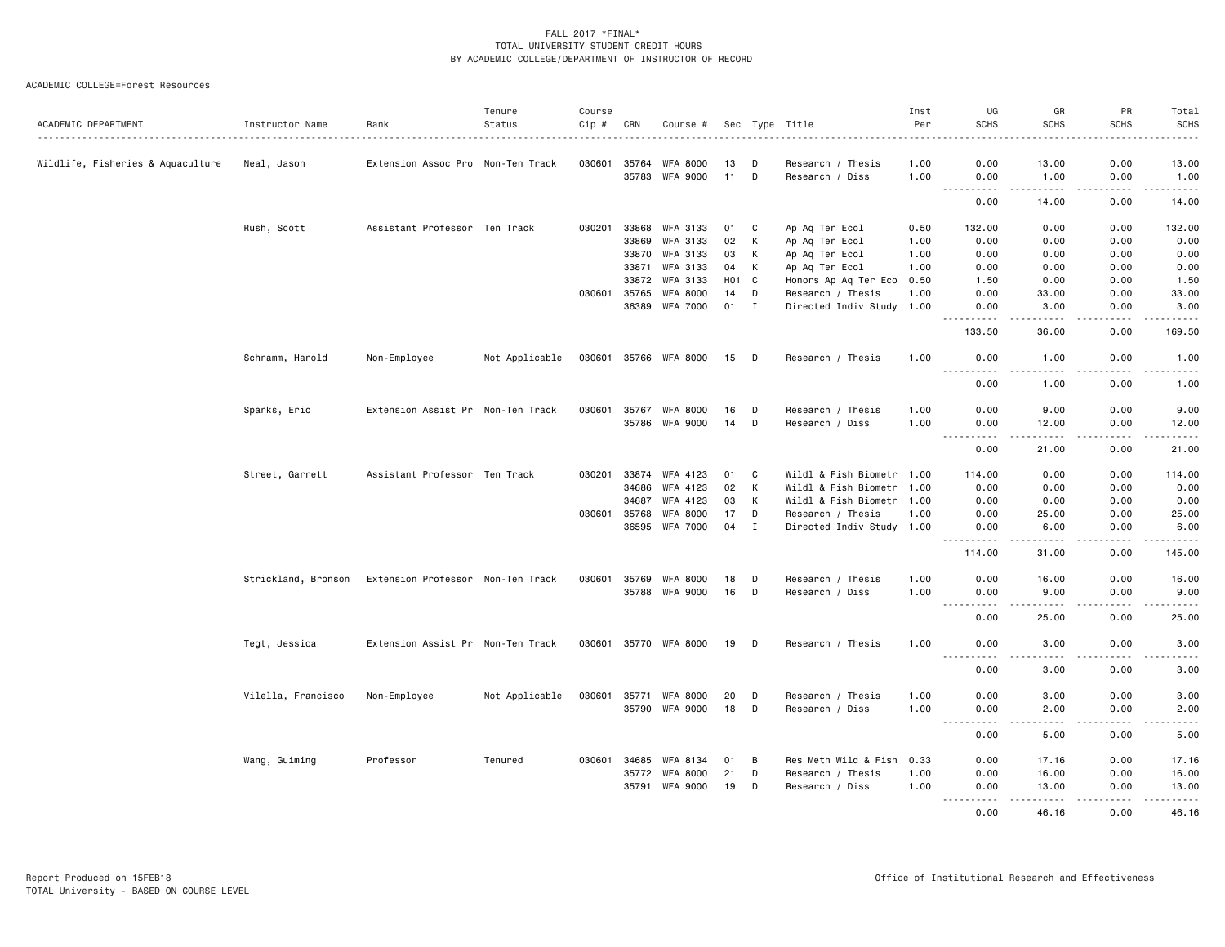ACADEMIC COLLEGE=Forest Resources

| ACADEMIC DEPARTMENT               | Instructor Name     | Rank                              | Tenure<br>Status | Course<br>$Cip$ # | CRN            | Course #                    |          |             | Sec Type Title                       | Inst<br>Per  | UG<br><b>SCHS</b>                   | GR<br><b>SCHS</b>     | PR<br>SCHS                                                                                                                        | Total<br><b>SCHS</b><br>. <u>. .</u>                                                                                                                           |
|-----------------------------------|---------------------|-----------------------------------|------------------|-------------------|----------------|-----------------------------|----------|-------------|--------------------------------------|--------------|-------------------------------------|-----------------------|-----------------------------------------------------------------------------------------------------------------------------------|----------------------------------------------------------------------------------------------------------------------------------------------------------------|
| Wildlife, Fisheries & Aquaculture | Neal, Jason         | Extension Assoc Pro Non-Ten Track |                  | 030601            | 35764<br>35783 | WFA 8000<br><b>WFA 9000</b> | 13<br>11 | D<br>D      | Research / Thesis<br>Research / Diss | 1.00<br>1.00 | 0.00<br>0.00                        | 13.00<br>1.00         | 0.00<br>0.00                                                                                                                      | 13.00<br>1.00                                                                                                                                                  |
|                                   |                     |                                   |                  |                   |                |                             |          |             |                                      |              | 0.00                                | 14.00                 | $\frac{1}{2} \left( \frac{1}{2} \right) \left( \frac{1}{2} \right) \left( \frac{1}{2} \right) \left( \frac{1}{2} \right)$<br>0.00 | .<br>14.00                                                                                                                                                     |
|                                   |                     |                                   |                  |                   |                |                             |          |             |                                      |              |                                     |                       |                                                                                                                                   |                                                                                                                                                                |
|                                   | Rush, Scott         | Assistant Professor Ten Track     |                  | 030201            | 33868          | WFA 3133                    | 01       | C           | Ap Aq Ter Ecol                       | 0.50         | 132.00                              | 0.00                  | 0.00                                                                                                                              | 132.00                                                                                                                                                         |
|                                   |                     |                                   |                  |                   | 33869          | WFA 3133                    | 02       | K           | Ap Aq Ter Ecol                       | 1.00         | 0.00                                | 0.00                  | 0.00                                                                                                                              | 0.00                                                                                                                                                           |
|                                   |                     |                                   |                  |                   | 33870          | WFA 3133                    | 03       | К           | Ap Aq Ter Ecol                       | 1.00         | 0.00                                | 0.00                  | 0.00                                                                                                                              | 0.00                                                                                                                                                           |
|                                   |                     |                                   |                  |                   | 33871          | WFA 3133                    | 04       | K           | Ap Aq Ter Ecol                       | 1.00         | 0.00                                | 0.00                  | 0.00                                                                                                                              | 0.00                                                                                                                                                           |
|                                   |                     |                                   |                  |                   | 33872          | <b>WFA 3133</b>             | H01 C    |             | Honors Ap Aq Ter Eco                 | 0.50         | 1.50                                | 0.00                  | 0.00                                                                                                                              | 1.50                                                                                                                                                           |
|                                   |                     |                                   |                  | 030601            | 35765          | <b>WFA 8000</b>             | 14       | D           | Research / Thesis                    | 1.00         | 0.00                                | 33.00                 | 0.00                                                                                                                              | 33.00                                                                                                                                                          |
|                                   |                     |                                   |                  |                   | 36389          | WFA 7000                    | $01$ I   |             | Directed Indiv Study 1.00            |              | 0.00                                | 3.00                  | 0.00<br>$- - -$                                                                                                                   | 3.00<br>$\omega$ $\omega$ $\omega$ $\omega$ .                                                                                                                  |
|                                   |                     |                                   |                  |                   |                |                             |          |             |                                      |              | 133.50                              | 36.00                 | 0.00                                                                                                                              | 169.50                                                                                                                                                         |
|                                   | Schramm, Harold     | Non-Employee                      | Not Applicable   |                   |                | 030601 35766 WFA 8000       | 15       | <b>D</b>    | Research / Thesis                    | 1.00         | 0.00<br><u>.</u>                    | 1.00<br>.             | 0.00<br>.                                                                                                                         | 1.00<br>.                                                                                                                                                      |
|                                   |                     |                                   |                  |                   |                |                             |          |             |                                      |              | 0.00                                | 1.00                  | 0.00                                                                                                                              | 1.00                                                                                                                                                           |
|                                   | Sparks, Eric        | Extension Assist Pr Non-Ten Track |                  | 030601            | 35767          | <b>WFA 8000</b>             | 16       | D           | Research / Thesis                    | 1.00         | 0.00                                | 9.00                  | 0.00                                                                                                                              | 9.00                                                                                                                                                           |
|                                   |                     |                                   |                  |                   | 35786          | WFA 9000                    | 14       | D           | Research / Diss                      | 1.00         | 0.00                                | 12.00                 | 0.00                                                                                                                              | 12.00                                                                                                                                                          |
|                                   |                     |                                   |                  |                   |                |                             |          |             |                                      |              | .                                   | $- - - - -$           | .                                                                                                                                 | .                                                                                                                                                              |
|                                   |                     |                                   |                  |                   |                |                             |          |             |                                      |              | 0.00                                | 21.00                 | 0.00                                                                                                                              | 21.00                                                                                                                                                          |
|                                   | Street, Garrett     | Assistant Professor Ten Track     |                  | 030201            | 33874          | WFA 4123                    | 01       | C           | Wildl & Fish Biometr 1.00            |              | 114.00                              | 0.00                  | 0.00                                                                                                                              | 114.00                                                                                                                                                         |
|                                   |                     |                                   |                  |                   | 34686          | WFA 4123                    | 02       | K           | Wildl & Fish Biometr 1.00            |              | 0.00                                | 0.00                  | 0.00                                                                                                                              | 0.00                                                                                                                                                           |
|                                   |                     |                                   |                  |                   | 34687          | WFA 4123                    | 03       | K           | Wildl & Fish Biometr 1.00            |              | 0.00                                | 0.00                  | 0.00                                                                                                                              | 0.00                                                                                                                                                           |
|                                   |                     |                                   |                  | 030601            | 35768          | <b>WFA 8000</b>             | 17       | D           | Research / Thesis                    | 1.00         | 0.00                                | 25.00                 | 0.00                                                                                                                              | 25.00                                                                                                                                                          |
|                                   |                     |                                   |                  |                   | 36595          | <b>WFA 7000</b>             | 04       | $\mathbf I$ | Directed Indiv Study 1.00            |              | 0.00                                | 6.00                  | 0.00                                                                                                                              | 6.00                                                                                                                                                           |
|                                   |                     |                                   |                  |                   |                |                             |          |             |                                      |              | $\sim$ $\sim$ $\sim$<br>.<br>114.00 | .<br>31.00            | $\sim$ $\sim$ $\sim$ $\sim$<br>0.00                                                                                               | $\frac{1}{2} \left( \frac{1}{2} \right) \left( \frac{1}{2} \right) \left( \frac{1}{2} \right) \left( \frac{1}{2} \right) \left( \frac{1}{2} \right)$<br>145.00 |
|                                   | Strickland, Bronson | Extension Professor Non-Ten Track |                  | 030601            | 35769          | <b>WFA 8000</b>             | 18       | D           | Research / Thesis                    | 1.00         | 0.00                                | 16.00                 | 0.00                                                                                                                              | 16.00                                                                                                                                                          |
|                                   |                     |                                   |                  |                   | 35788          | WFA 9000                    | 16       | D           | Research / Diss                      | 1.00         | 0.00                                | 9.00                  | 0.00                                                                                                                              | 9.00                                                                                                                                                           |
|                                   |                     |                                   |                  |                   |                |                             |          |             |                                      |              | $\sim 100$<br>المتمالين<br>0.00     | .<br>25.00            | .<br>0.00                                                                                                                         | .<br>25.00                                                                                                                                                     |
|                                   | Tegt, Jessica       | Extension Assist Pr Non-Ten Track |                  |                   |                | 030601 35770 WFA 8000       | 19       | D           | Research / Thesis                    | 1.00         | 0.00                                | 3.00                  | 0.00                                                                                                                              | 3.00                                                                                                                                                           |
|                                   |                     |                                   |                  |                   |                |                             |          |             |                                      |              | $\frac{1}{2}$<br>.<br>0.00          | .<br>3.00             | <u>.</u><br>0.00                                                                                                                  | $\frac{1}{2}$<br>3.00                                                                                                                                          |
|                                   |                     |                                   |                  |                   |                |                             |          |             |                                      |              |                                     |                       |                                                                                                                                   |                                                                                                                                                                |
|                                   | Vilella, Francisco  | Non-Employee                      | Not Applicable   | 030601            | 35771          | <b>WFA 8000</b>             | 20       | D           | Research / Thesis                    | 1.00         | 0.00                                | 3.00                  | 0.00                                                                                                                              | 3.00                                                                                                                                                           |
|                                   |                     |                                   |                  |                   | 35790          | WFA 9000                    | 18       | D           | Research / Diss                      | 1.00         | 0.00<br>$\sim$ $\sim$<br>----       | 2.00<br>$\frac{1}{2}$ | 0.00<br>.                                                                                                                         | 2.00<br>-----                                                                                                                                                  |
|                                   |                     |                                   |                  |                   |                |                             |          |             |                                      |              | 0.00                                | 5.00                  | 0.00                                                                                                                              | 5.00                                                                                                                                                           |
|                                   | Wang, Guiming       | Professor                         | Tenured          | 030601            | 34685          | WFA 8134                    | 01       | в           | Res Meth Wild & Fish                 | 0.33         | 0.00                                | 17.16                 | 0.00                                                                                                                              | 17.16                                                                                                                                                          |
|                                   |                     |                                   |                  |                   | 35772          | <b>WFA 8000</b>             | 21       | D           | Research / Thesis                    | 1.00         | 0.00                                | 16.00                 | 0.00                                                                                                                              | 16.00                                                                                                                                                          |
|                                   |                     |                                   |                  |                   | 35791          | <b>WFA 9000</b>             | 19       | D           | Research / Diss                      | 1.00         | 0.00                                | 13.00                 | 0.00                                                                                                                              | 13.00                                                                                                                                                          |
|                                   |                     |                                   |                  |                   |                |                             |          |             |                                      |              | 0.00                                | 46.16                 | 0.00                                                                                                                              | 46.16                                                                                                                                                          |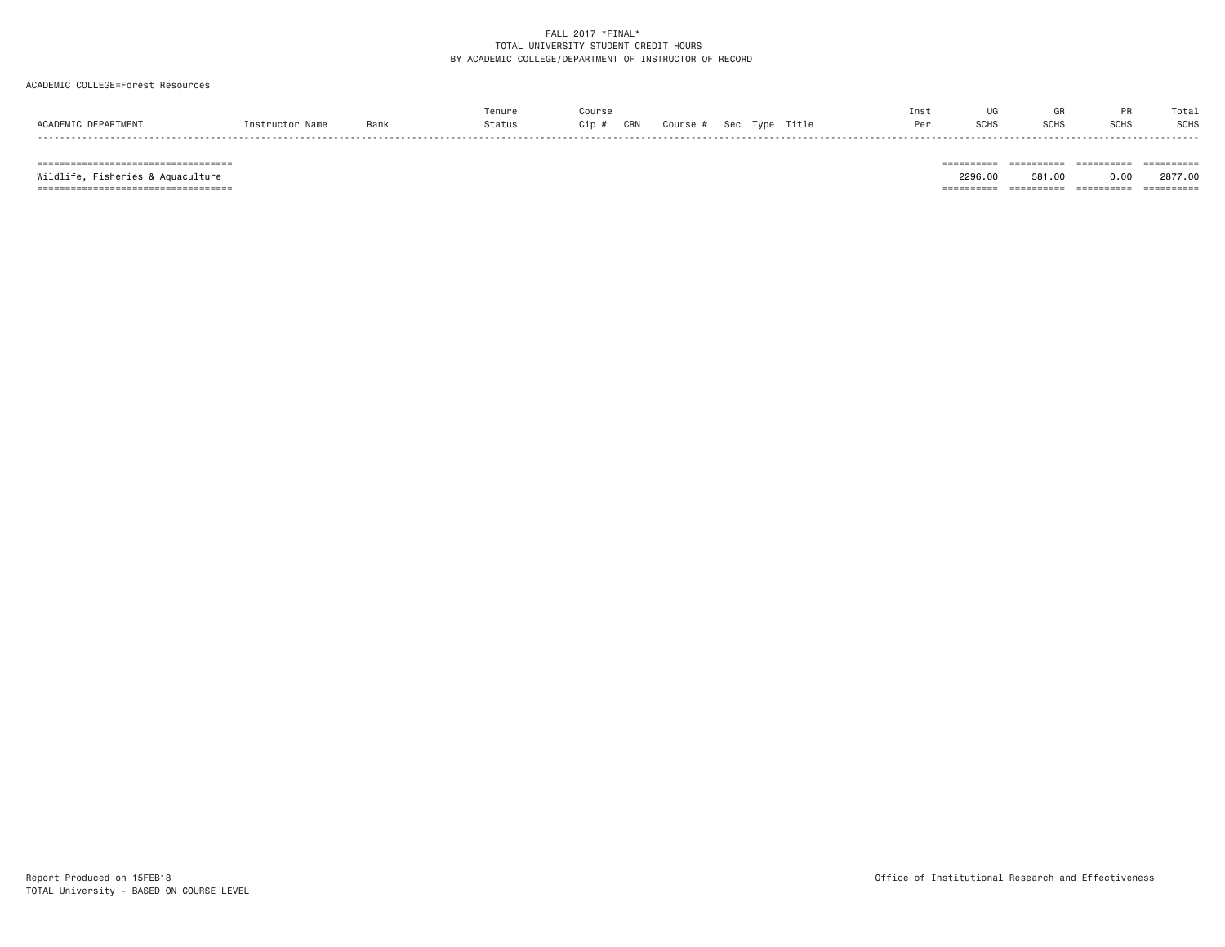#### ACADEMIC COLLEGE=Forest Resources

|                     |                 |      |        | Course          |                         | Inst |             |             |             | Total |
|---------------------|-----------------|------|--------|-----------------|-------------------------|------|-------------|-------------|-------------|-------|
| ACADEMIC DEPARTMENT | Instructor Name | Rank | Status | CRN<br>$C$ ip # | Course # Sec Type Title |      | <b>SCHS</b> | <b>SCHS</b> | <b>SCHS</b> | SCHS  |
|                     |                 |      |        |                 |                         |      |             |             |             |       |

=================================== ========== ========== ========== ==========

 =================================== ========== ========== ========== ==========Wildlife, Fisheries & Aquaculture 2296.00 581.00 0.00 2877.00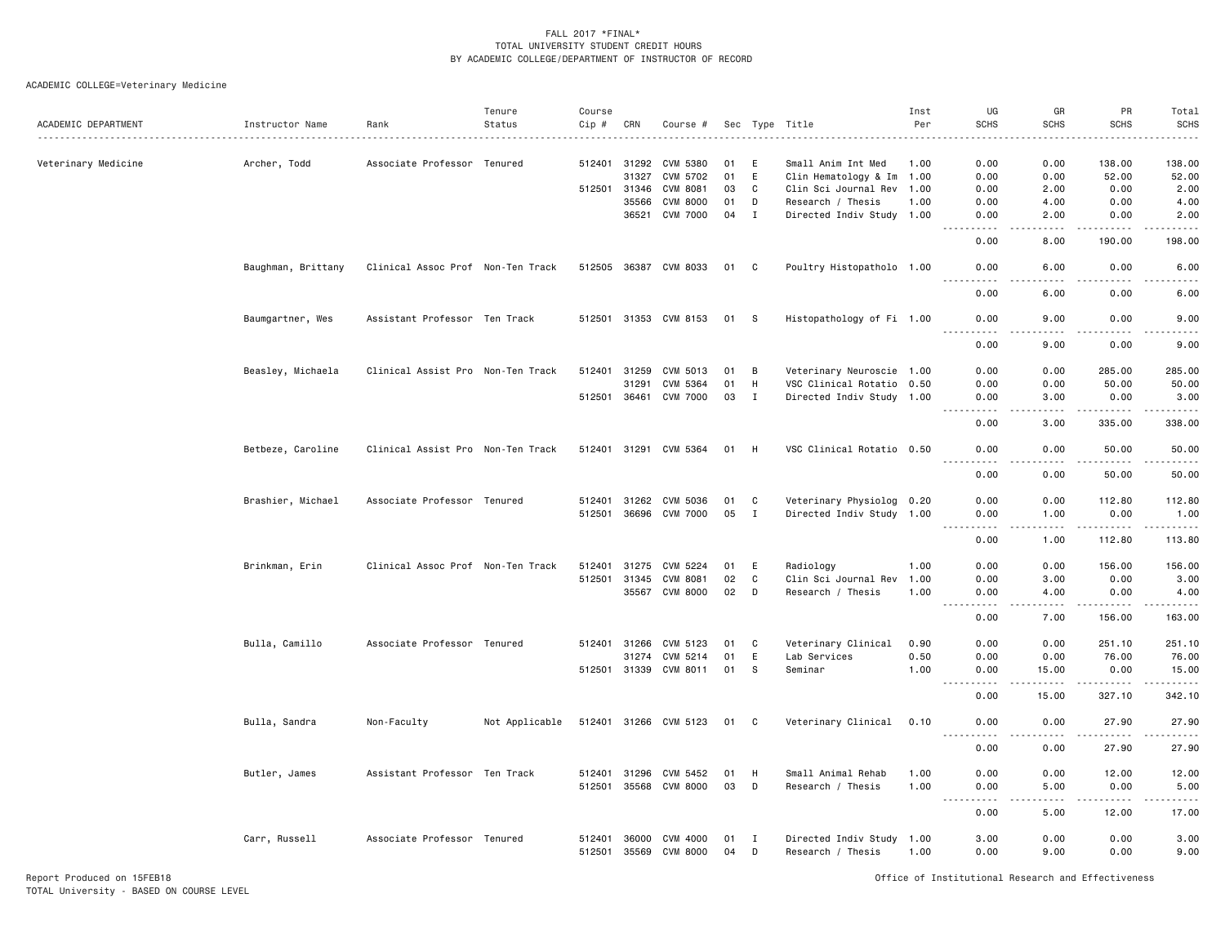| ACADEMIC DEPARTMENT | Instructor Name    | Rank                              | Tenure<br>Status | Course<br>Cip # | CRN          | Course #              | Sec  |              | Type Title                | Inst<br>Per | UG<br><b>SCHS</b>                    | GR<br><b>SCHS</b>    | PR<br><b>SCHS</b>    | Total<br>SCHS                                                                                                                                        |
|---------------------|--------------------|-----------------------------------|------------------|-----------------|--------------|-----------------------|------|--------------|---------------------------|-------------|--------------------------------------|----------------------|----------------------|------------------------------------------------------------------------------------------------------------------------------------------------------|
| Veterinary Medicine | Archer, Todd       | Associate Professor Tenured       |                  | 512401          | 31292        | <b>CVM 5380</b>       | 01   | Ε            | Small Anim Int Med        | 1.00        | 0.00                                 | 0.00                 | 138.00               | 138.00                                                                                                                                               |
|                     |                    |                                   |                  |                 | 31327        | CVM 5702              | 01   | E            | Clin Hematology & Im      | 1.00        | 0.00                                 | 0.00                 | 52.00                | 52.00                                                                                                                                                |
|                     |                    |                                   |                  | 512501 31346    |              | <b>CVM 8081</b>       | 03   | C            | Clin Sci Journal Rev      | 1.00        | 0.00                                 | 2.00                 | 0.00                 | 2.00                                                                                                                                                 |
|                     |                    |                                   |                  |                 | 35566        | <b>CVM 8000</b>       | 01   | D            | Research / Thesis         | 1.00        | 0.00                                 | 4.00                 | 0.00                 | 4.00                                                                                                                                                 |
|                     |                    |                                   |                  |                 | 36521        | <b>CVM 7000</b>       | 04   | $\mathbf{I}$ | Directed Indiv Study 1.00 |             | 0.00<br>$\frac{1}{2}$                | 2.00<br>. <u>. .</u> | 0.00                 | 2.00                                                                                                                                                 |
|                     |                    |                                   |                  |                 |              |                       |      |              |                           |             | 0.00                                 | 8.00                 | 190.00               | 198.00                                                                                                                                               |
|                     | Baughman, Brittany | Clinical Assoc Prof Non-Ten Track |                  |                 |              | 512505 36387 CVM 8033 | 01   | C            | Poultry Histopatholo 1.00 |             | 0.00<br><u>.</u>                     | 6.00                 | 0.00                 | 6.00                                                                                                                                                 |
|                     |                    |                                   |                  |                 |              |                       |      |              |                           |             | 0.00                                 | 6.00                 | 0.00                 | 6.00                                                                                                                                                 |
|                     | Baumgartner, Wes   | Assistant Professor Ten Track     |                  |                 |              | 512501 31353 CVM 8153 | 01 S |              | Histopathology of Fi 1.00 |             | 0.00<br>.                            | 9.00<br>.            | 0.00<br>-----        | 9.00<br>$\frac{1}{2}$                                                                                                                                |
|                     |                    |                                   |                  |                 |              |                       |      |              |                           |             | 0.00                                 | 9.00                 | 0.00                 | 9.00                                                                                                                                                 |
|                     | Beasley, Michaela  | Clinical Assist Pro Non-Ten Track |                  | 512401          | 31259        | CVM 5013              | 01   | в            | Veterinary Neuroscie 1.00 |             | 0.00                                 | 0.00                 | 285.00               | 285.00                                                                                                                                               |
|                     |                    |                                   |                  |                 | 31291        | CVM 5364              | 01   | н            | VSC Clinical Rotatio 0.50 |             | 0.00                                 | 0.00                 | 50.00                | 50.00                                                                                                                                                |
|                     |                    |                                   |                  |                 | 512501 36461 | <b>CVM 7000</b>       | 03   | $\mathbf{I}$ | Directed Indiv Study 1.00 |             | 0.00                                 | 3.00                 | 0.00                 | 3.00                                                                                                                                                 |
|                     |                    |                                   |                  |                 |              |                       |      |              |                           |             | 0.00                                 | 3.00                 | 335.00               | 338.00                                                                                                                                               |
|                     | Betbeze, Caroline  | Clinical Assist Pro Non-Ten Track |                  | 512401 31291    |              | CVM 5364              | 01   | H            | VSC Clinical Rotatio 0.50 |             | 0.00<br><u>.</u>                     | 0.00                 | 50.00                | 50.00                                                                                                                                                |
|                     |                    |                                   |                  |                 |              |                       |      |              |                           |             | 0.00                                 | 0.00                 | 50.00                | 50.00                                                                                                                                                |
|                     | Brashier, Michael  | Associate Professor Tenured       |                  | 512401          | 31262        | CVM 5036              | 01   | C            | Veterinary Physiolog 0.20 |             | 0.00                                 | 0.00                 | 112.80               | 112.80                                                                                                                                               |
|                     |                    |                                   |                  |                 | 512501 36696 | <b>CVM 7000</b>       | 05   | Ι.           | Directed Indiv Study 1.00 |             | 0.00                                 | 1.00                 | 0.00                 | 1.00                                                                                                                                                 |
|                     |                    |                                   |                  |                 |              |                       |      |              |                           |             | $ -$<br>.                            | د د د د              | .                    | $\frac{1}{2} \left( \frac{1}{2} \right) \left( \frac{1}{2} \right) \left( \frac{1}{2} \right) \left( \frac{1}{2} \right) \left( \frac{1}{2} \right)$ |
|                     |                    |                                   |                  |                 |              |                       |      |              |                           |             | 0.00                                 | 1.00                 | 112.80               | 113.80                                                                                                                                               |
|                     | Brinkman, Erin     | Clinical Assoc Prof Non-Ten Track |                  | 512401          | 31275        | CVM 5224              | 01   | E            | Radiology                 | 1.00        | 0.00                                 | 0.00                 | 156.00               | 156.00                                                                                                                                               |
|                     |                    |                                   |                  | 512501          | 31345        | CVM 8081              | 02   | C            | Clin Sci Journal Rev      | 1.00        | 0.00                                 | 3.00                 | 0.00                 | 3.00                                                                                                                                                 |
|                     |                    |                                   |                  |                 | 35567        | <b>CVM 8000</b>       | 02   | D            | Research / Thesis         | 1.00        | 0.00<br>.<br>$\sim$ $\sim$ $\sim$    | 4.00<br>.            | 0.00                 | 4.00<br>.                                                                                                                                            |
|                     |                    |                                   |                  |                 |              |                       |      |              |                           |             | 0.00                                 | 7.00                 | 156.00               | 163.00                                                                                                                                               |
|                     | Bulla, Camillo     | Associate Professor Tenured       |                  | 512401          | 31266        | CVM 5123              | 01   | C            | Veterinary Clinical       | 0.90        | 0.00                                 | 0.00                 | 251.10               | 251.10                                                                                                                                               |
|                     |                    |                                   |                  |                 | 31274        | CVM 5214              | 01   | E            | Lab Services              | 0.50        | 0.00                                 | 0.00                 | 76.00                | 76.00                                                                                                                                                |
|                     |                    |                                   |                  | 512501 31339    |              | CVM 8011              | 01   | s            | Seminar                   | 1.00        | 0.00<br>.                            | 15.00<br>.           | 0.00<br>.            | 15.00<br>.                                                                                                                                           |
|                     |                    |                                   |                  |                 |              |                       |      |              |                           |             | 0.00                                 | 15.00                | 327.10               | 342.10                                                                                                                                               |
|                     | Bulla, Sandra      | Non-Faculty                       | Not Applicable   |                 | 512401 31266 | CVM 5123              | 01   | $\mathbf{C}$ | Veterinary Clinical       | 0.10        | 0.00<br>$\sim$ $\sim$ $\sim$<br>---- | 0.00<br>$- - - -$    | 27.90<br>$- - - - -$ | 27.90<br>.                                                                                                                                           |
|                     |                    |                                   |                  |                 |              |                       |      |              |                           |             | 0.00                                 | 0.00                 | 27.90                | 27.90                                                                                                                                                |
|                     | Butler, James      | Assistant Professor Ten Track     |                  | 512401          | 31296        | CVM 5452              | 01   | H            | Small Animal Rehab        | 1.00        | 0.00                                 | 0.00                 | 12.00                | 12.00                                                                                                                                                |
|                     |                    |                                   |                  | 512501          | 35568        | <b>CVM 8000</b>       | 03   | D            | Research / Thesis         | 1.00        | 0.00                                 | 5.00                 | 0.00                 | 5.00                                                                                                                                                 |
|                     |                    |                                   |                  |                 |              |                       |      |              |                           |             | $-2222$<br><u>.</u><br>0.00          | .<br>5.00            | .<br>12.00           | .<br>17.00                                                                                                                                           |
|                     |                    |                                   |                  |                 |              |                       |      |              |                           |             |                                      |                      |                      |                                                                                                                                                      |
|                     | Carr, Russell      | Associate Professor Tenured       |                  | 512401          | 36000        | CVM 4000              | 01   | $\mathbf{I}$ | Directed Indiv Study 1.00 |             | 3.00                                 | 0.00                 | 0.00                 | 3.00                                                                                                                                                 |
|                     |                    |                                   |                  | 512501          | 35569        | <b>CVM 8000</b>       | 04   | D            | Research / Thesis         | 1.00        | 0.00                                 | 9.00                 | 0.00                 | 9.00                                                                                                                                                 |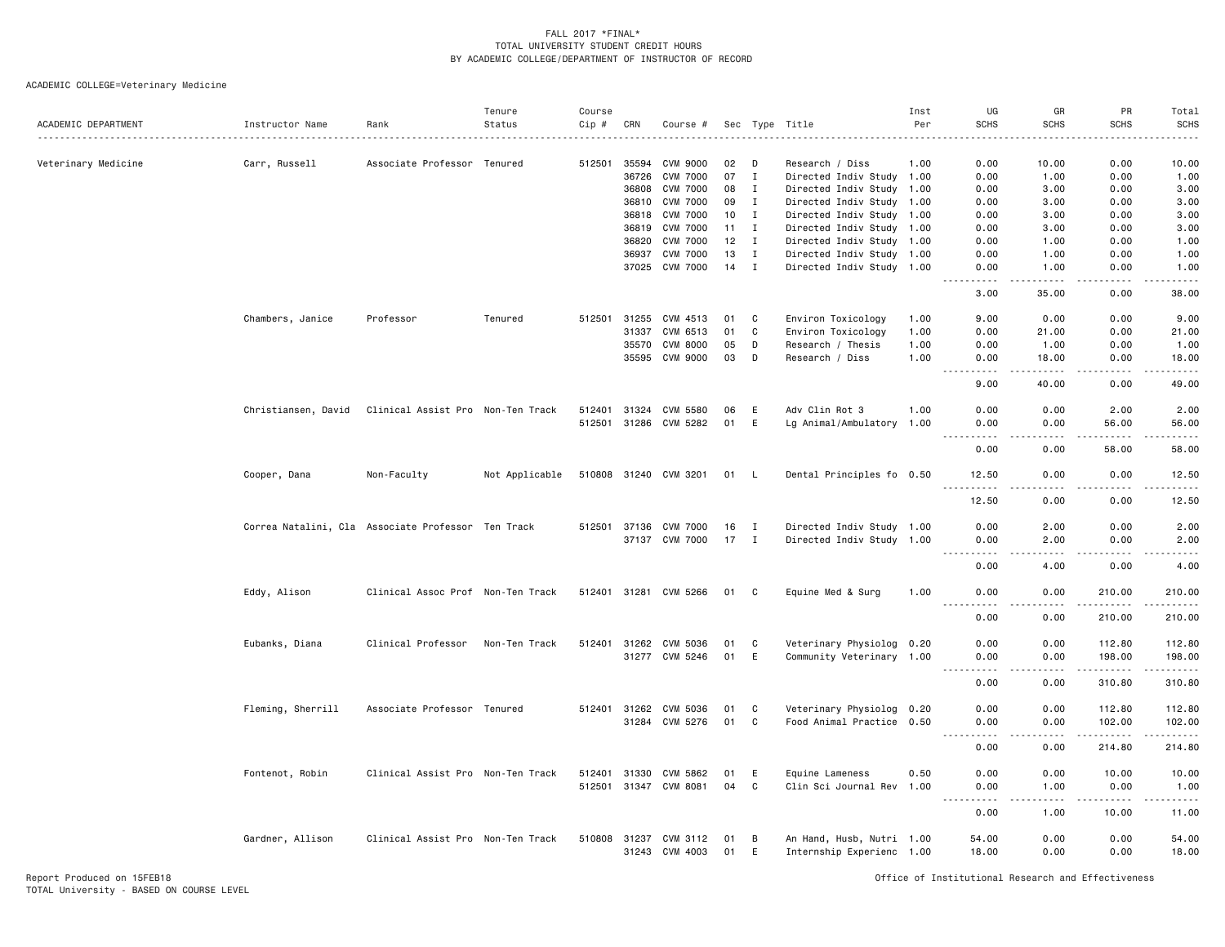ACADEMIC COLLEGE=Veterinary Medicine

| ACADEMIC DEPARTMENT | Instructor Name                                    | Rank                              | Tenure<br>Status | Course<br>Cip # | CRN          | Course #              | Sec  |              | Type Title                | Inst<br>Per | UG<br><b>SCHS</b>     | GR<br><b>SCHS</b>                                                                                                                                             | PR<br><b>SCHS</b>                                                                                                                                             | Total<br><b>SCHS</b> |
|---------------------|----------------------------------------------------|-----------------------------------|------------------|-----------------|--------------|-----------------------|------|--------------|---------------------------|-------------|-----------------------|---------------------------------------------------------------------------------------------------------------------------------------------------------------|---------------------------------------------------------------------------------------------------------------------------------------------------------------|----------------------|
|                     |                                                    |                                   |                  |                 |              |                       |      |              |                           |             |                       |                                                                                                                                                               |                                                                                                                                                               |                      |
| Veterinary Medicine | Carr, Russell                                      | Associate Professor Tenured       |                  | 512501          | 35594        | CVM 9000              | 02   | D            | Research / Diss           | 1.00        | 0.00                  | 10.00                                                                                                                                                         | 0.00                                                                                                                                                          | 10.00                |
|                     |                                                    |                                   |                  |                 | 36726        | <b>CVM 7000</b>       | 07   | I            | Directed Indiv Study 1.00 |             | 0.00                  | 1.00                                                                                                                                                          | 0.00                                                                                                                                                          | 1.00                 |
|                     |                                                    |                                   |                  |                 | 36808        | CVM 7000              | 08   | $\mathbf{I}$ | Directed Indiv Study 1.00 |             | 0.00                  | 3.00                                                                                                                                                          | 0.00                                                                                                                                                          | 3.00                 |
|                     |                                                    |                                   |                  |                 | 36810        | <b>CVM 7000</b>       | 09   | $\mathbf{I}$ | Directed Indiv Study 1.00 |             | 0.00                  | 3.00                                                                                                                                                          | 0.00                                                                                                                                                          | 3.00                 |
|                     |                                                    |                                   |                  |                 | 36818        | <b>CVM 7000</b>       | 10   | I            | Directed Indiv Study 1.00 |             | 0.00                  | 3.00                                                                                                                                                          | 0.00                                                                                                                                                          | 3.00                 |
|                     |                                                    |                                   |                  |                 | 36819        | <b>CVM 7000</b>       | 11   | $\mathbf{I}$ | Directed Indiv Study 1.00 |             | 0.00                  | 3.00                                                                                                                                                          | 0.00                                                                                                                                                          | 3.00                 |
|                     |                                                    |                                   |                  |                 | 36820        | <b>CVM 7000</b>       | 12   | $\mathbf{I}$ | Directed Indiv Study 1.00 |             | 0.00                  | 1.00                                                                                                                                                          | 0.00                                                                                                                                                          | 1.00                 |
|                     |                                                    |                                   |                  |                 | 36937        | <b>CVM 7000</b>       | 13   | $\mathbf{I}$ | Directed Indiv Study 1.00 |             | 0.00                  | 1.00                                                                                                                                                          | 0.00                                                                                                                                                          | 1.00                 |
|                     |                                                    |                                   |                  |                 |              | 37025 CVM 7000        | 14   | $\mathbf{I}$ | Directed Indiv Study 1.00 |             | 0.00                  | 1.00                                                                                                                                                          | 0.00                                                                                                                                                          | 1.00                 |
|                     |                                                    |                                   |                  |                 |              |                       |      |              |                           |             | 22222<br>3.00         | د د د د د<br>35.00                                                                                                                                            | .<br>0.00                                                                                                                                                     | .<br>38.00           |
|                     |                                                    |                                   |                  |                 |              |                       |      |              |                           |             |                       |                                                                                                                                                               |                                                                                                                                                               |                      |
|                     | Chambers, Janice                                   | Professor                         | Tenured          |                 |              | 512501 31255 CVM 4513 | 01   | C            | Environ Toxicology        | 1.00        | 9.00                  | 0.00                                                                                                                                                          | 0.00                                                                                                                                                          | 9.00                 |
|                     |                                                    |                                   |                  |                 | 31337        | CVM 6513              | 01   | C            | Environ Toxicology        | 1.00        | 0.00                  | 21.00                                                                                                                                                         | 0.00                                                                                                                                                          | 21.00                |
|                     |                                                    |                                   |                  |                 | 35570        | <b>CVM 8000</b>       | 05   | D            | Research / Thesis         | 1.00        | 0.00                  | 1.00                                                                                                                                                          | 0.00                                                                                                                                                          | 1.00                 |
|                     |                                                    |                                   |                  |                 | 35595        | CVM 9000              | 03   | D            | Research / Diss           | 1.00        | 0.00<br>الدامات بال   | 18.00<br>$\frac{1}{2} \left( \frac{1}{2} \right) \left( \frac{1}{2} \right) \left( \frac{1}{2} \right) \left( \frac{1}{2} \right) \left( \frac{1}{2} \right)$ | 0.00                                                                                                                                                          | 18.00<br>.           |
|                     |                                                    |                                   |                  |                 |              |                       |      |              |                           |             | 9.00                  | 40.00                                                                                                                                                         | 0.00                                                                                                                                                          | 49.00                |
|                     | Christiansen, David                                | Clinical Assist Pro Non-Ten Track |                  |                 |              | 512401 31324 CVM 5580 | 06   | E            | Adv Clin Rot 3            | 1.00        | 0.00                  | 0.00                                                                                                                                                          | 2.00                                                                                                                                                          | 2.00                 |
|                     |                                                    |                                   |                  |                 |              | 512501 31286 CVM 5282 | 01   | E            | Lg Animal/Ambulatory 1.00 |             | 0.00                  | 0.00                                                                                                                                                          | 56.00                                                                                                                                                         | 56.00                |
|                     |                                                    |                                   |                  |                 |              |                       |      |              |                           |             | $- - - - -$<br>0.00   | .<br>0.00                                                                                                                                                     | $\frac{1}{2} \left( \frac{1}{2} \right) \left( \frac{1}{2} \right) \left( \frac{1}{2} \right) \left( \frac{1}{2} \right) \left( \frac{1}{2} \right)$<br>58.00 | .<br>58.00           |
|                     |                                                    |                                   |                  |                 |              |                       |      |              |                           |             |                       |                                                                                                                                                               |                                                                                                                                                               |                      |
|                     | Cooper, Dana                                       | Non-Faculty                       | Not Applicable   |                 |              | 510808 31240 CVM 3201 | 01 L |              | Dental Principles fo 0.50 |             | 12.50<br>.            | 0.00<br>$\sim$ $\sim$ $\sim$                                                                                                                                  | 0.00<br>.                                                                                                                                                     | 12.50<br>.           |
|                     |                                                    |                                   |                  |                 |              |                       |      |              |                           |             | 12.50                 | 0.00                                                                                                                                                          | 0.00                                                                                                                                                          | 12.50                |
|                     | Correa Natalini, Cla Associate Professor Ten Track |                                   |                  |                 |              | 512501 37136 CVM 7000 | 16   | $\mathbf{I}$ | Directed Indiv Study 1.00 |             | 0.00                  | 2.00                                                                                                                                                          | 0.00                                                                                                                                                          | 2.00                 |
|                     |                                                    |                                   |                  |                 |              | 37137 CVM 7000        | 17   | $\mathbf{I}$ | Directed Indiv Study 1.00 |             | 0.00                  | 2.00                                                                                                                                                          | 0.00                                                                                                                                                          | 2.00                 |
|                     |                                                    |                                   |                  |                 |              |                       |      |              |                           |             | .                     | .                                                                                                                                                             | .                                                                                                                                                             | .                    |
|                     |                                                    |                                   |                  |                 |              |                       |      |              |                           |             | 0.00                  | 4.00                                                                                                                                                          | 0.00                                                                                                                                                          | 4.00                 |
|                     | Eddy, Alison                                       | Clinical Assoc Prof Non-Ten Track |                  |                 |              | 512401 31281 CVM 5266 | 01   | C            | Equine Med & Surg         | 1.00        | 0.00                  | 0.00                                                                                                                                                          | 210.00                                                                                                                                                        | 210.00               |
|                     |                                                    |                                   |                  |                 |              |                       |      |              |                           |             | .<br>0.00             | .<br>0.00                                                                                                                                                     | .<br>210.00                                                                                                                                                   | .<br>210.00          |
|                     |                                                    |                                   |                  |                 |              |                       |      |              |                           |             |                       |                                                                                                                                                               |                                                                                                                                                               |                      |
|                     | Eubanks, Diana                                     | Clinical Professor                | Non-Ten Track    |                 |              | 512401 31262 CVM 5036 | 01   | C            | Veterinary Physiolog 0.20 |             | 0.00                  | 0.00                                                                                                                                                          | 112.80                                                                                                                                                        | 112.80               |
|                     |                                                    |                                   |                  |                 |              | 31277 CVM 5246        | 01   | E            | Community Veterinary 1.00 |             | 0.00<br>$\frac{1}{2}$ | 0.00<br>.                                                                                                                                                     | 198.00<br>.                                                                                                                                                   | 198.00<br>.          |
|                     |                                                    |                                   |                  |                 |              |                       |      |              |                           |             | 0.00                  | 0.00                                                                                                                                                          | 310.80                                                                                                                                                        | 310.80               |
|                     | Fleming, Sherrill                                  | Associate Professor Tenured       |                  |                 |              | 512401 31262 CVM 5036 | 01   | C            | Veterinary Physiolog 0.20 |             | 0.00                  | 0.00                                                                                                                                                          | 112.80                                                                                                                                                        | 112.80               |
|                     |                                                    |                                   |                  |                 |              | 31284 CVM 5276        | 01   | C            | Food Animal Practice 0.50 |             | 0.00                  | 0.00                                                                                                                                                          | 102.00                                                                                                                                                        | 102.00               |
|                     |                                                    |                                   |                  |                 |              |                       |      |              |                           |             |                       |                                                                                                                                                               | . <b>.</b>                                                                                                                                                    | .                    |
|                     |                                                    |                                   |                  |                 |              |                       |      |              |                           |             | 0.00                  | 0.00                                                                                                                                                          | 214.80                                                                                                                                                        | 214.80               |
|                     | Fontenot, Robin                                    | Clinical Assist Pro Non-Ten Track |                  |                 | 512401 31330 | CVM 5862              | 01   | Ε            | Equine Lameness           | 0.50        | 0.00                  | 0.00                                                                                                                                                          | 10.00                                                                                                                                                         | 10.00                |
|                     |                                                    |                                   |                  |                 |              | 512501 31347 CVM 8081 | 04   | C            | Clin Sci Journal Rev 1.00 |             | 0.00                  | 1.00                                                                                                                                                          | 0.00                                                                                                                                                          | 1.00                 |
|                     |                                                    |                                   |                  |                 |              |                       |      |              |                           |             | $\cdots$<br>0.00      | $\sim$ $\sim$ $\sim$ $\sim$<br>1.00                                                                                                                           | -----<br>10.00                                                                                                                                                | .<br>11.00           |
|                     |                                                    |                                   |                  |                 |              |                       |      |              |                           |             |                       |                                                                                                                                                               |                                                                                                                                                               |                      |
|                     | Gardner, Allison                                   | Clinical Assist Pro Non-Ten Track |                  |                 |              | 510808 31237 CVM 3112 | 01   | B            | An Hand, Husb, Nutri 1.00 |             | 54.00                 | 0.00                                                                                                                                                          | 0.00                                                                                                                                                          | 54.00                |
|                     |                                                    |                                   |                  |                 |              | 31243 CVM 4003        | 01   | E            | Internship Experienc 1.00 |             | 18.00                 | 0.00                                                                                                                                                          | 0.00                                                                                                                                                          | 18.00                |

Report Produced on 15FEB18 Office of Institutional Research and Effectiveness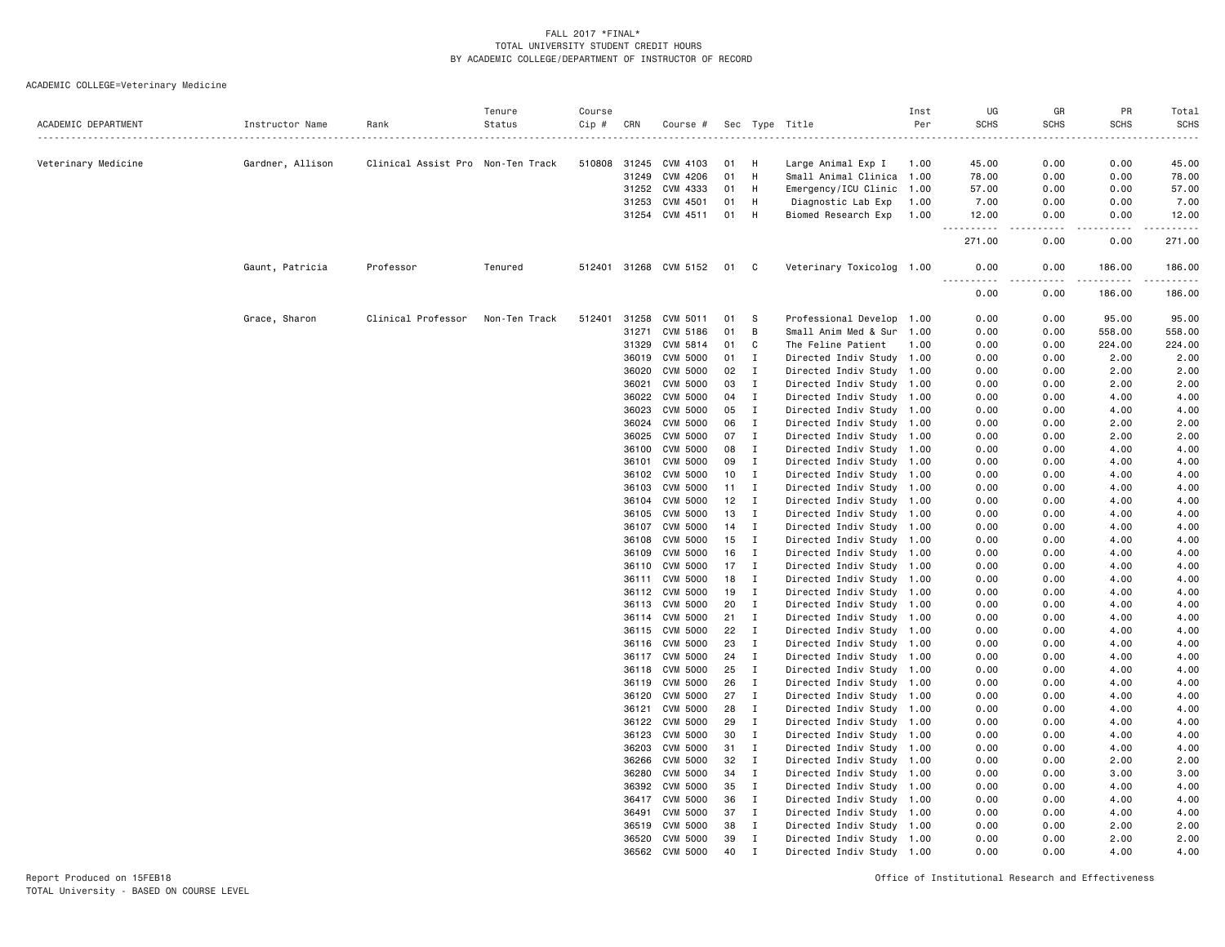| ACADEMIC DEPARTMENT | Instructor Name  | Rank                              | Tenure<br>Status | Course<br>Cip # | CRN            | Course #                           | Sec      |                              | Type Title                                             | Inst<br>Per | UG<br><b>SCHS</b> | GR<br><b>SCHS</b> | PR<br><b>SCHS</b> | Total<br><b>SCHS</b>           |
|---------------------|------------------|-----------------------------------|------------------|-----------------|----------------|------------------------------------|----------|------------------------------|--------------------------------------------------------|-------------|-------------------|-------------------|-------------------|--------------------------------|
|                     |                  |                                   |                  |                 |                |                                    |          |                              |                                                        |             |                   |                   |                   |                                |
| Veterinary Medicine | Gardner, Allison | Clinical Assist Pro Non-Ten Track |                  |                 |                | 510808 31245 CVM 4103              | 01       | Н                            | Large Animal Exp I                                     | 1.00        | 45.00             | 0.00              | 0.00              | 45.00                          |
|                     |                  |                                   |                  |                 | 31249          | CVM 4206                           | 01       | H                            | Small Animal Clinica                                   | 1.00        | 78.00             | 0.00              | 0.00              | 78.00                          |
|                     |                  |                                   |                  |                 | 31252          | CVM 4333                           | 01       | н                            | Emergency/ICU Clinic                                   | 1.00        | 57.00             | 0.00              | 0.00              | 57.00                          |
|                     |                  |                                   |                  |                 | 31253          | CVM 4501                           | 01<br>01 | н<br>н                       | Diagnostic Lab Exp                                     | 1.00        | 7.00              | 0.00              | 0.00              | 7.00                           |
|                     |                  |                                   |                  |                 |                | 31254 CVM 4511                     |          |                              | Biomed Research Exp                                    | 1.00        | 12.00<br>.        | 0.00<br>.         | 0.00<br>-----     | 12.00<br><b><i><u></u></i></b> |
|                     |                  |                                   |                  |                 |                |                                    |          |                              |                                                        |             | 271.00            | 0.00              | 0.00              | 271.00                         |
|                     | Gaunt, Patricia  | Professor                         | Tenured          |                 |                | 512401 31268 CVM 5152              | 01       | - C                          | Veterinary Toxicolog 1.00                              |             | 0.00              | 0.00              | 186.00            | 186.00                         |
|                     |                  |                                   |                  |                 |                |                                    |          |                              |                                                        |             | 0.00              | 0.00              | 186.00            | 186.00                         |
|                     | Grace, Sharon    | Clinical Professor                | Non-Ten Track    | 512401          | 31258          | CVM 5011                           | 01       | S                            | Professional Develop 1.00                              |             | 0.00              | 0.00              | 95.00             | 95.00                          |
|                     |                  |                                   |                  |                 | 31271          | CVM 5186                           | 01       | В                            | Small Anim Med & Sur                                   | 1.00        | 0.00              | 0.00              | 558.00            | 558.00                         |
|                     |                  |                                   |                  |                 | 31329          | CVM 5814                           | 01       | C                            | The Feline Patient                                     | 1.00        | 0.00              | 0.00              | 224.00            | 224.00                         |
|                     |                  |                                   |                  |                 | 36019          | CVM 5000                           | 01       | Ι                            | Directed Indiv Study                                   | 1.00        | 0.00              | 0.00              | 2.00              | 2.00                           |
|                     |                  |                                   |                  |                 | 36020          | <b>CVM 5000</b>                    | 02       | I                            | Directed Indiv Study 1.00                              |             | 0.00              | 0.00              | 2.00              | 2.00                           |
|                     |                  |                                   |                  |                 | 36021          | CVM 5000                           | 03       | Ι.                           | Directed Indiv Study                                   | 1.00        | 0.00              | 0.00              | 2.00              | 2.00                           |
|                     |                  |                                   |                  |                 | 36022          | <b>CVM 5000</b>                    | 04       | I                            | Directed Indiv Study 1.00                              |             | 0.00              | 0.00              | 4.00              | 4.00                           |
|                     |                  |                                   |                  |                 | 36023          | CVM 5000                           | 05       | Ι                            | Directed Indiv Study 1.00                              |             | 0.00              | 0.00              | 4.00              | 4.00                           |
|                     |                  |                                   |                  |                 | 36024<br>36025 | <b>CVM 5000</b><br><b>CVM 5000</b> | 06<br>07 | $\mathbf{I}$<br>I            | Directed Indiv Study 1.00                              |             | 0.00<br>0.00      | 0.00<br>0.00      | 2.00<br>2.00      | 2.00<br>2.00                   |
|                     |                  |                                   |                  |                 | 36100          | CVM 5000                           | 08       | Ι                            | Directed Indiv Study 1.00<br>Directed Indiv Study      | 1.00        | 0.00              | 0.00              | 4.00              | 4.00                           |
|                     |                  |                                   |                  |                 | 36101          | <b>CVM 5000</b>                    | 09       | I                            | Directed Indiv Study 1.00                              |             | 0.00              | 0.00              | 4.00              | 4.00                           |
|                     |                  |                                   |                  |                 | 36102          | CVM 5000                           | 10       | Ι.                           | Directed Indiv Study                                   | 1.00        | 0.00              | 0.00              | 4.00              | 4.00                           |
|                     |                  |                                   |                  |                 | 36103          | CVM 5000                           | 11       | I                            | Directed Indiv Study 1.00                              |             | 0.00              | 0.00              | 4.00              | 4.00                           |
|                     |                  |                                   |                  |                 | 36104          | CVM 5000                           | 12       | $\mathbf I$                  | Directed Indiv Study 1.00                              |             | 0.00              | 0.00              | 4.00              | 4.00                           |
|                     |                  |                                   |                  |                 | 36105          | <b>CVM 5000</b>                    | 13       | I                            | Directed Indiv Study 1.00                              |             | 0.00              | 0.00              | 4.00              | 4.00                           |
|                     |                  |                                   |                  |                 | 36107          | <b>CVM 5000</b>                    | 14       | I                            | Directed Indiv Study 1.00                              |             | 0.00              | 0.00              | 4.00              | 4.00                           |
|                     |                  |                                   |                  |                 | 36108          | <b>CVM 5000</b>                    | 15       | I                            | Directed Indiv Study                                   | 1.00        | 0.00              | 0.00              | 4.00              | 4.00                           |
|                     |                  |                                   |                  |                 | 36109          | CVM 5000                           | 16       | $\mathbf{I}$                 | Directed Indiv Study 1.00                              |             | 0.00              | 0.00              | 4.00              | 4.00                           |
|                     |                  |                                   |                  |                 | 36110          | CVM 5000                           | 17       | Ι.                           | Directed Indiv Study                                   | 1.00        | 0.00              | 0.00              | 4.00              | 4.00                           |
|                     |                  |                                   |                  |                 | 36111          | <b>CVM 5000</b>                    | 18       | $\mathbf I$                  | Directed Indiv Study 1.00                              |             | 0.00              | 0.00              | 4.00              | 4.00                           |
|                     |                  |                                   |                  |                 |                | 36112 CVM 5000                     | 19       | $\mathbf I$                  | Directed Indiv Study 1.00                              |             | 0.00              | 0.00              | 4.00              | 4.00                           |
|                     |                  |                                   |                  |                 | 36113          | <b>CVM 5000</b>                    | 20       | I                            | Directed Indiv Study 1.00                              |             | 0.00              | 0.00              | 4.00              | 4.00                           |
|                     |                  |                                   |                  |                 |                | 36114 CVM 5000                     | 21       | I                            | Directed Indiv Study 1.00                              |             | 0.00              | 0.00              | 4.00              | 4.00                           |
|                     |                  |                                   |                  |                 | 36115          | CVM 5000                           | 22       | I                            | Directed Indiv Study                                   | 1.00        | 0.00              | 0.00              | 4.00              | 4.00                           |
|                     |                  |                                   |                  |                 | 36116          | CVM 5000                           | 23       | $\mathbf{I}$                 | Directed Indiv Study 1.00                              |             | 0.00              | 0.00              | 4.00              | 4.00                           |
|                     |                  |                                   |                  |                 | 36117          | <b>CVM 5000</b>                    | 24       | $\mathbf I$                  | Directed Indiv Study                                   | 1.00        | 0.00              | 0.00              | 4.00              | 4.00                           |
|                     |                  |                                   |                  |                 | 36118          | <b>CVM 5000</b>                    | 25       | $\mathbf I$                  | Directed Indiv Study 1.00                              |             | 0.00<br>0.00      | 0.00              | 4.00              | 4.00<br>4.00                   |
|                     |                  |                                   |                  |                 | 36119<br>36120 | CVM 5000<br><b>CVM 5000</b>        | 26       | I                            | Directed Indiv Study 1.00<br>Directed Indiv Study 1.00 |             |                   | 0.00<br>0.00      | 4.00              | 4.00                           |
|                     |                  |                                   |                  |                 | 36121          | <b>CVM 5000</b>                    | 27<br>28 | $\mathbf{I}$<br>$\mathbf{I}$ | Directed Indiv Study 1.00                              |             | 0.00<br>0.00      | 0.00              | 4.00<br>4.00      | 4.00                           |
|                     |                  |                                   |                  |                 | 36122          | CVM 5000                           | 29       | Ι                            | Directed Indiv Study                                   | 1.00        | 0.00              | 0.00              | 4.00              | 4.00                           |
|                     |                  |                                   |                  |                 | 36123          | <b>CVM 5000</b>                    | 30       | $\mathbf{I}$                 | Directed Indiv Study 1.00                              |             | 0.00              | 0.00              | 4.00              | 4.00                           |
|                     |                  |                                   |                  |                 | 36203          | <b>CVM 5000</b>                    | 31       | Ι.                           | Directed Indiv Study                                   | 1.00        | 0.00              | 0.00              | 4.00              | 4.00                           |
|                     |                  |                                   |                  |                 | 36266          | <b>CVM 5000</b>                    | 32       | $\mathbf I$                  | Directed Indiv Study 1.00                              |             | 0.00              | 0.00              | 2.00              | 2.00                           |
|                     |                  |                                   |                  |                 | 36280          | CVM 5000                           | 34       | Ι.                           | Directed Indiv Study 1.00                              |             | 0.00              | 0.00              | 3.00              | 3.00                           |
|                     |                  |                                   |                  |                 | 36392          | <b>CVM 5000</b>                    | 35       | $\mathbf{I}$                 | Directed Indiv Study 1.00                              |             | 0.00              | 0.00              | 4.00              | 4.00                           |
|                     |                  |                                   |                  |                 | 36417          | CVM 5000                           | 36       | I                            | Directed Indiv Study 1.00                              |             | 0.00              | 0.00              | 4.00              | 4.00                           |
|                     |                  |                                   |                  |                 | 36491          | <b>CVM 5000</b>                    | 37       | Ι                            | Directed Indiv Study                                   | 1.00        | 0.00              | 0.00              | 4.00              | 4.00                           |
|                     |                  |                                   |                  |                 | 36519          | <b>CVM 5000</b>                    | 38       | $\mathbf I$                  | Directed Indiv Study 1.00                              |             | 0.00              | 0.00              | 2.00              | 2.00                           |
|                     |                  |                                   |                  |                 | 36520          | <b>CVM 5000</b>                    | 39       | Ι.                           | Directed Indiv Study 1.00                              |             | 0.00              | 0.00              | 2.00              | 2.00                           |
|                     |                  |                                   |                  |                 | 36562          | CVM 5000                           | 40       | $\mathbf I$                  | Directed Indiv Study 1.00                              |             | 0.00              | 0.00              | 4.00              | 4.00                           |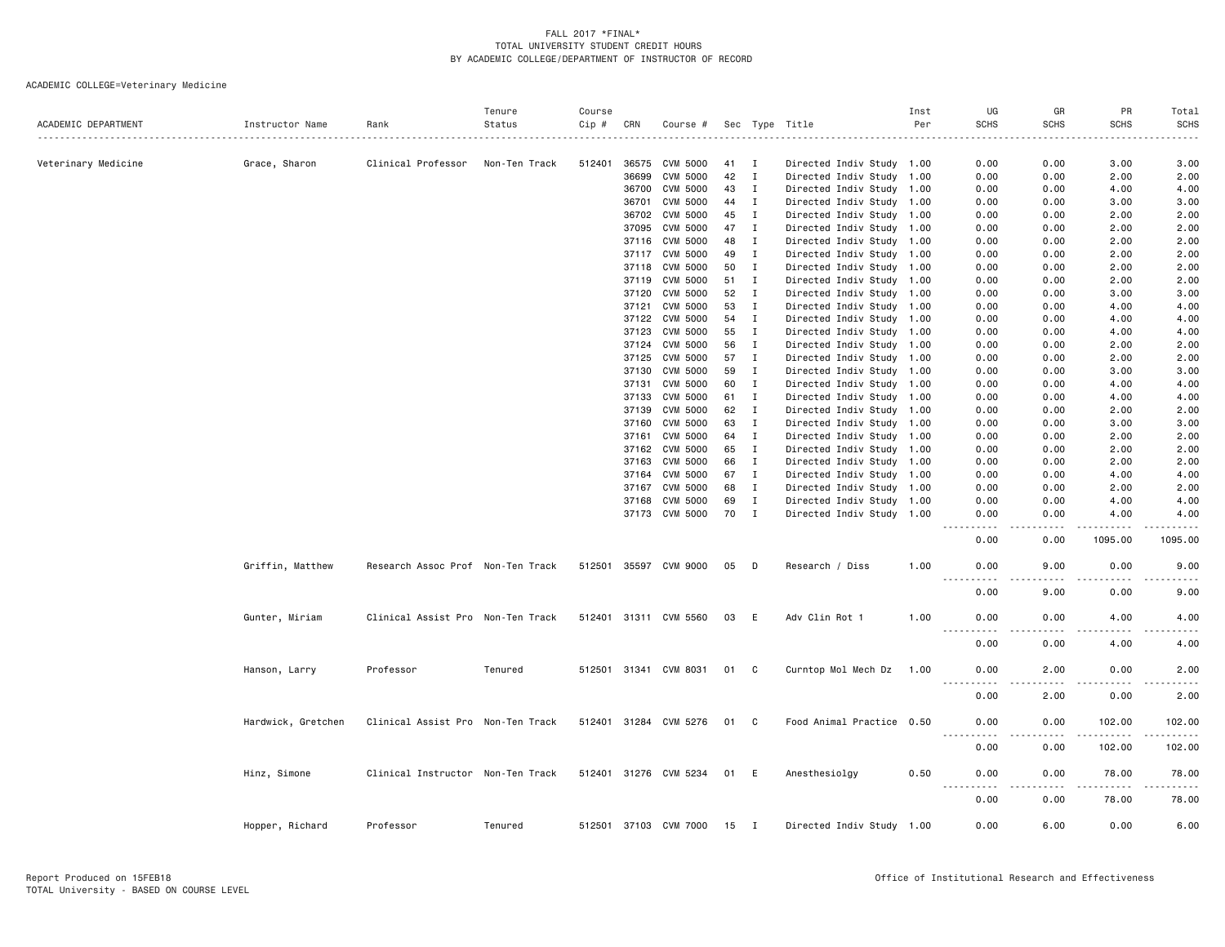| ACADEMIC DEPARTMENT | Instructor Name    | Rank                              | Tenure<br>Status | Course<br>Cip # | CRN   | Course #              |      |              | Sec Type Title            | Inst<br>Per | UG<br><b>SCHS</b>                 | GR<br><b>SCHS</b>            | PR<br><b>SCHS</b> | Total<br><b>SCHS</b> |
|---------------------|--------------------|-----------------------------------|------------------|-----------------|-------|-----------------------|------|--------------|---------------------------|-------------|-----------------------------------|------------------------------|-------------------|----------------------|
| Veterinary Medicine | Grace, Sharon      | Clinical Professor                | Non-Ten Track    | 512401          | 36575 | CVM 5000              | 41   | $\mathbf{I}$ | Directed Indiv Study 1.00 |             | 0.00                              | 0.00                         | 3.00              | 3.00                 |
|                     |                    |                                   |                  |                 | 36699 | CVM 5000              | 42   | $\mathbf{I}$ | Directed Indiv Study 1.00 |             | 0.00                              | 0.00                         | 2.00              | 2.00                 |
|                     |                    |                                   |                  |                 | 36700 | CVM 5000              | 43   | $\bf{I}$     | Directed Indiv Study 1.00 |             | 0.00                              | 0.00                         | 4.00              | 4.00                 |
|                     |                    |                                   |                  |                 | 36701 | <b>CVM 5000</b>       | 44   | $\mathbf{I}$ | Directed Indiv Study 1.00 |             | 0.00                              | 0.00                         | 3.00              | 3.00                 |
|                     |                    |                                   |                  |                 |       | 36702 CVM 5000        | 45   | $\mathbf{I}$ | Directed Indiv Study 1.00 |             | 0.00                              | 0.00                         | 2.00              | 2.00                 |
|                     |                    |                                   |                  |                 | 37095 | CVM 5000              | 47   | $\mathbf{I}$ | Directed Indiv Study 1.00 |             | 0.00                              | 0.00                         | 2.00              | 2.00                 |
|                     |                    |                                   |                  |                 |       | 37116 CVM 5000        | 48   | $\mathbf{I}$ | Directed Indiv Study 1.00 |             | 0.00                              | 0.00                         | 2.00              | 2.00                 |
|                     |                    |                                   |                  |                 | 37117 | CVM 5000              | 49   | $\mathbf{I}$ | Directed Indiv Study 1.00 |             | 0.00                              | 0.00                         | 2.00              | 2.00                 |
|                     |                    |                                   |                  |                 | 37118 | CVM 5000              | 50   | $\bf{I}$     | Directed Indiv Study 1.00 |             | 0.00                              | 0.00                         | 2.00              | 2.00                 |
|                     |                    |                                   |                  |                 | 37119 | CVM 5000              | 51   | $\mathbf{I}$ | Directed Indiv Study 1.00 |             | 0.00                              | 0.00                         | 2.00              | 2.00                 |
|                     |                    |                                   |                  |                 | 37120 | CVM 5000              | 52   | $\mathbf{I}$ | Directed Indiv Study 1.00 |             | 0.00                              | 0.00                         | 3.00              | 3.00                 |
|                     |                    |                                   |                  |                 | 37121 | <b>CVM 5000</b>       | 53   | $\mathbf{I}$ | Directed Indiv Study 1.00 |             | 0.00                              | 0.00                         | 4.00              | 4.00                 |
|                     |                    |                                   |                  |                 | 37122 | <b>CVM 5000</b>       | 54   | $\mathbf I$  | Directed Indiv Study 1.00 |             | 0.00                              | 0.00                         | 4.00              | 4.00                 |
|                     |                    |                                   |                  |                 | 37123 | CVM 5000              | 55   | $\mathbf{I}$ | Directed Indiv Study 1.00 |             | 0.00                              | 0.00                         | 4.00              | 4.00                 |
|                     |                    |                                   |                  |                 | 37124 | <b>CVM 5000</b>       | 56   | $\mathbf{I}$ | Directed Indiv Study 1.00 |             | 0.00                              | 0.00                         | 2.00              | 2.00                 |
|                     |                    |                                   |                  |                 | 37125 | CVM 5000              | 57   | $\mathbf{I}$ | Directed Indiv Study 1.00 |             | 0.00                              | 0.00                         | 2.00              | 2.00                 |
|                     |                    |                                   |                  |                 | 37130 | CVM 5000              | 59   | $\mathbf{I}$ | Directed Indiv Study 1.00 |             | 0.00                              | 0.00                         | 3.00              | 3.00                 |
|                     |                    |                                   |                  |                 | 37131 | CVM 5000              | 60   | $\mathbf{I}$ | Directed Indiv Study 1.00 |             | 0.00                              | 0.00                         | 4.00              | 4.00                 |
|                     |                    |                                   |                  |                 | 37133 | CVM 5000              | 61   | I            | Directed Indiv Study 1.00 |             | 0.00                              | 0.00                         | 4.00              | 4.00                 |
|                     |                    |                                   |                  |                 | 37139 | CVM 5000              | 62   | I            | Directed Indiv Study 1.00 |             | 0.00                              | 0.00                         | 2.00              | 2.00                 |
|                     |                    |                                   |                  |                 | 37160 | CVM 5000              | 63   | $\mathbf{I}$ | Directed Indiv Study 1.00 |             | 0.00                              | 0.00                         | 3.00              | 3.00                 |
|                     |                    |                                   |                  |                 | 37161 | <b>CVM 5000</b>       | 64   | I            | Directed Indiv Study 1.00 |             | 0.00                              | 0.00                         | 2.00              | 2.00                 |
|                     |                    |                                   |                  |                 |       | 37162 CVM 5000        | 65   | $\mathbf{I}$ | Directed Indiv Study 1.00 |             | 0.00                              | 0.00                         | 2.00              | 2.00                 |
|                     |                    |                                   |                  |                 | 37163 | <b>CVM 5000</b>       | 66   | $\mathbf{I}$ | Directed Indiv Study 1.00 |             | 0.00                              | 0.00                         | 2.00              | 2.00                 |
|                     |                    |                                   |                  |                 |       | 37164 CVM 5000        | 67   | I            | Directed Indiv Study 1.00 |             | 0.00                              | 0.00                         | 4.00              | 4.00                 |
|                     |                    |                                   |                  |                 | 37167 | CVM 5000              | 68   | $\mathbf{I}$ | Directed Indiv Study 1.00 |             | 0.00                              | 0.00                         | 2.00              | 2.00                 |
|                     |                    |                                   |                  |                 | 37168 | CVM 5000              | 69   | $\mathbf{I}$ | Directed Indiv Study 1.00 |             | 0.00                              | 0.00                         | 4.00              | 4.00                 |
|                     |                    |                                   |                  |                 |       | 37173 CVM 5000        | 70   | $\mathbf{I}$ | Directed Indiv Study 1.00 |             | 0.00<br>.                         | 0.00                         | 4.00              | 4.00                 |
|                     |                    |                                   |                  |                 |       |                       |      |              |                           |             | 0.00                              | 0.00                         | 1095.00           | 1095.00              |
|                     | Griffin, Matthew   | Research Assoc Prof Non-Ten Track |                  | 512501          |       | 35597 CVM 9000        | 05   | D            | Research / Diss           | 1.00        | 0.00                              | 9.00                         | 0.00              | 9.00                 |
|                     |                    |                                   |                  |                 |       |                       |      |              |                           |             | 0.00                              | 9.00                         | 0.00              | 9.00                 |
|                     | Gunter, Miriam     | Clinical Assist Pro Non-Ten Track |                  |                 |       | 512401 31311 CVM 5560 | 03   | E            | Adv Clin Rot 1            | 1.00        | 0.00<br>.                         | 0.00<br>$\frac{1}{2}$        | 4.00<br>.         | 4.00<br>.            |
|                     |                    |                                   |                  |                 |       |                       |      |              |                           |             | 0.00                              | 0.00                         | 4.00              | 4.00                 |
|                     | Hanson, Larry      | Professor                         | Tenured          |                 |       | 512501 31341 CVM 8031 | 01   | C.           | Curntop Mol Mech Dz       | 1.00        | 0.00<br>.                         | 2.00                         | 0.00              | 2.00                 |
|                     |                    |                                   |                  |                 |       |                       |      |              |                           |             | 0.00                              | 2.00                         | 0.00              | 2.00                 |
|                     | Hardwick, Gretchen | Clinical Assist Pro Non-Ten Track |                  |                 |       | 512401 31284 CVM 5276 | 01   | C            | Food Animal Practice 0.50 |             | 0.00                              | 0.00                         | 102.00            | 102.00<br>.          |
|                     |                    |                                   |                  |                 |       |                       |      |              |                           |             | 0.00                              | 0.00                         | 102.00            | 102.00               |
|                     | Hinz, Simone       | Clinical Instructor Non-Ten Track |                  |                 |       | 512401 31276 CVM 5234 | 01   | E            | Anesthesiolgy             | 0.50        | 0.00<br>$\sim$ $\sim$ $\sim$<br>. | 0.00<br>$\sim$ $\sim$ $\sim$ | 78.00<br>.        | 78.00<br>.           |
|                     |                    |                                   |                  |                 |       |                       |      |              |                           |             | 0.00                              | 0.00                         | 78.00             | 78.00                |
|                     | Hopper, Richard    | Professor                         | Tenured          |                 |       | 512501 37103 CVM 7000 | 15 I |              | Directed Indiv Study 1.00 |             | 0.00                              | 6.00                         | 0.00              | 6.00                 |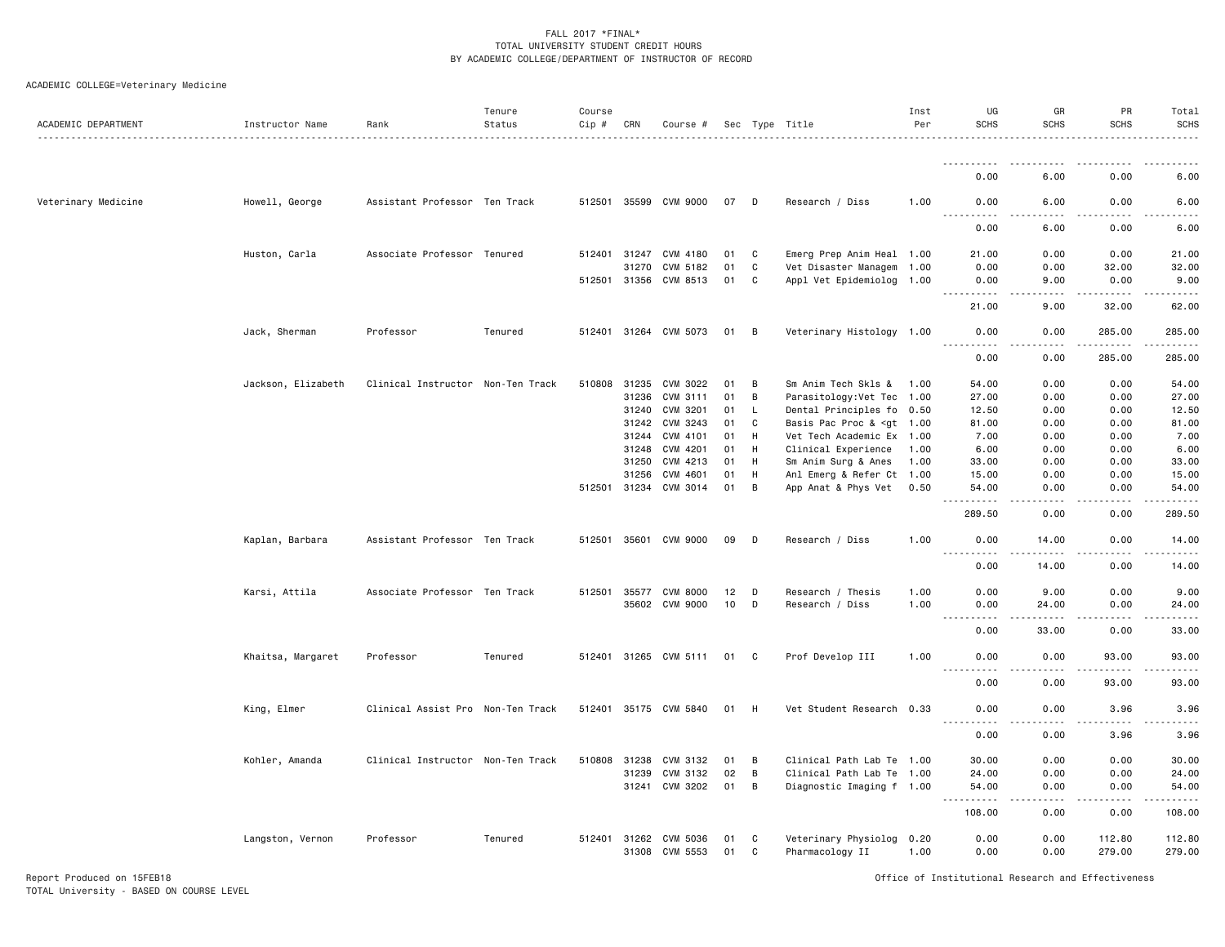| ACADEMIC DEPARTMENT | Instructor Name    | Rank                              | Tenure<br>Status | Course<br>Cip # | CRN          | Course #              |    |             | Sec Type Title                                                                                           | Inst<br>Per | UG<br><b>SCHS</b>                                  | GR<br><b>SCHS</b>    | PR<br><b>SCHS</b>   | Total<br><b>SCHS</b> |
|---------------------|--------------------|-----------------------------------|------------------|-----------------|--------------|-----------------------|----|-------------|----------------------------------------------------------------------------------------------------------|-------------|----------------------------------------------------|----------------------|---------------------|----------------------|
|                     |                    |                                   |                  |                 |              |                       |    |             |                                                                                                          |             |                                                    |                      |                     |                      |
|                     |                    |                                   |                  |                 |              |                       |    |             |                                                                                                          |             | 0.00                                               | 6.00                 | 0.00                | 6.00                 |
| Veterinary Medicine | Howell, George     | Assistant Professor Ten Track     |                  |                 |              | 512501 35599 CVM 9000 | 07 | D           | Research / Diss                                                                                          | 1.00        | 0.00<br><u>.</u>                                   | 6.00                 | 0.00                | 6.00                 |
|                     |                    |                                   |                  |                 |              |                       |    |             |                                                                                                          |             | 0.00                                               | 6.00                 | 0.00                | 6.00                 |
|                     | Huston, Carla      | Associate Professor Tenured       |                  |                 | 512401 31247 | CVM 4180              | 01 | C           | Emerg Prep Anim Heal 1.00                                                                                |             | 21.00                                              | 0.00                 | 0.00                | 21.00                |
|                     |                    |                                   |                  |                 | 31270        | CVM 5182              | 01 | $\mathbb C$ | Vet Disaster Managem 1.00                                                                                |             | 0.00                                               | 0.00                 | 32.00               | 32.00                |
|                     |                    |                                   |                  |                 |              | 512501 31356 CVM 8513 | 01 | C           | Appl Vet Epidemiolog 1.00                                                                                |             | 0.00<br><u>.</u>                                   | 9.00<br>. <u>. .</u> | 0.00<br>$- - - - -$ | 9.00<br>.            |
|                     |                    |                                   |                  |                 |              |                       |    |             |                                                                                                          |             | 21.00                                              | 9.00                 | 32.00               | 62.00                |
|                     | Jack, Sherman      | Professor                         | Tenured          |                 |              | 512401 31264 CVM 5073 | 01 | B           | Veterinary Histology 1.00                                                                                |             | 0.00<br><u>.</u>                                   | 0.00<br>.            | 285.00<br>.         | 285.00<br>.          |
|                     |                    |                                   |                  |                 |              |                       |    |             |                                                                                                          |             | 0.00                                               | 0.00                 | 285.00              | 285.00               |
|                     | Jackson, Elizabeth | Clinical Instructor Non-Ten Track |                  | 510808          | 31235        | CVM 3022              | 01 | B           | Sm Anim Tech Skls & 1.00                                                                                 |             | 54.00                                              | 0.00                 | 0.00                | 54.00                |
|                     |                    |                                   |                  |                 | 31236        | CVM 3111              | 01 | B           | Parasitology: Vet Tec 1.00                                                                               |             | 27.00                                              | 0.00                 | 0.00                | 27.00                |
|                     |                    |                                   |                  |                 | 31240        | CVM 3201              | 01 | L           | Dental Principles fo 0.50                                                                                |             | 12.50                                              | 0.00                 | 0.00                | 12.50                |
|                     |                    |                                   |                  |                 | 31242        | CVM 3243              | 01 | C           | Basis Pac Proc & <gt 1.00<="" td=""><td></td><td>81.00</td><td>0.00</td><td>0.00</td><td>81.00</td></gt> |             | 81.00                                              | 0.00                 | 0.00                | 81.00                |
|                     |                    |                                   |                  |                 | 31244        | CVM 4101              | 01 | н           | Vet Tech Academic Ex 1.00                                                                                |             | 7.00                                               | 0.00                 | 0.00                | 7.00                 |
|                     |                    |                                   |                  |                 | 31248        | CVM 4201              | 01 | н           | Clinical Experience                                                                                      | 1.00        | 6.00                                               | 0.00                 | 0.00                | 6.00                 |
|                     |                    |                                   |                  |                 | 31250        | CVM 4213              | 01 | H           | Sm Anim Surg & Anes                                                                                      | 1.00        | 33.00                                              | 0.00                 | 0.00                | 33.00                |
|                     |                    |                                   |                  |                 | 31256        | CVM 4601              | 01 | H           | Anl Emerg & Refer Ct 1.00                                                                                |             | 15.00                                              | 0.00                 | 0.00                | 15.00                |
|                     |                    |                                   |                  |                 | 512501 31234 | CVM 3014              | 01 | B           | App Anat & Phys Vet 0.50                                                                                 |             | 54.00<br>.                                         | 0.00                 | 0.00                | 54.00                |
|                     |                    |                                   |                  |                 |              |                       |    |             |                                                                                                          |             | 289.50                                             | 0.00                 | 0.00                | 289.50               |
|                     | Kaplan, Barbara    | Assistant Professor Ten Track     |                  |                 |              | 512501 35601 CVM 9000 | 09 | D           | Research / Diss                                                                                          | 1.00        | 0.00<br>$\omega_{\rm c}$ and $\omega_{\rm c}$<br>. | 14.00                | 0.00                | 14.00                |
|                     |                    |                                   |                  |                 |              |                       |    |             |                                                                                                          |             | 0.00                                               | 14.00                | 0.00                | 14.00                |
|                     | Karsi, Attila      | Associate Professor Ten Track     |                  |                 | 512501 35577 | <b>CVM 8000</b>       | 12 | D           | Research / Thesis                                                                                        | 1.00        | 0.00                                               | 9.00                 | 0.00                | 9.00                 |
|                     |                    |                                   |                  |                 |              | 35602 CVM 9000        | 10 | D           | Research / Diss                                                                                          | 1.00        | 0.00                                               | 24.00                | 0.00                | 24.00                |
|                     |                    |                                   |                  |                 |              |                       |    |             |                                                                                                          |             | $  -$<br>.                                         | .                    | .                   | .                    |
|                     |                    |                                   |                  |                 |              |                       |    |             |                                                                                                          |             | 0.00                                               | 33.00                | 0.00                | 33.00                |
|                     | Khaitsa, Margaret  | Professor                         | Tenured          |                 |              | 512401 31265 CVM 5111 | 01 | C           | Prof Develop III                                                                                         | 1.00        | 0.00<br>.                                          | 0.00<br>.            | 93.00<br>.          | 93.00                |
|                     |                    |                                   |                  |                 |              |                       |    |             |                                                                                                          |             | 0.00                                               | 0.00                 | 93.00               | 93.00                |
|                     | King, Elmer        | Clinical Assist Pro Non-Ten Track |                  |                 |              | 512401 35175 CVM 5840 | 01 | H           | Vet Student Research 0.33                                                                                |             | 0.00                                               | 0.00                 | 3.96                | 3.96                 |
|                     |                    |                                   |                  |                 |              |                       |    |             |                                                                                                          |             | .<br>0.00                                          | .<br>0.00            | .<br>3.96           | .<br>3.96            |
|                     | Kohler, Amanda     | Clinical Instructor Non-Ten Track |                  | 510808          | 31238        | CVM 3132              | 01 | B           | Clinical Path Lab Te 1.00                                                                                |             | 30.00                                              | 0.00                 | 0.00                | 30.00                |
|                     |                    |                                   |                  |                 | 31239        | CVM 3132              | 02 | B           | Clinical Path Lab Te 1.00                                                                                |             | 24.00                                              | 0.00                 | 0.00                | 24.00                |
|                     |                    |                                   |                  |                 |              | 31241 CVM 3202        | 01 | B           | Diagnostic Imaging f 1.00                                                                                |             | 54.00<br>.                                         | 0.00                 | 0.00                | 54.00                |
|                     |                    |                                   |                  |                 |              |                       |    |             |                                                                                                          |             | 108.00                                             | 0.00                 | 0.00                | 108.00               |
|                     | Langston, Vernon   | Professor                         | Tenured          |                 | 512401 31262 | CVM 5036              | 01 | C           | Veterinary Physiolog                                                                                     | 0.20        | 0.00                                               | 0.00                 | 112.80              | 112.80               |
|                     |                    |                                   |                  |                 | 31308        | CVM 5553              | 01 | C           | Pharmacology II                                                                                          | 1.00        | 0.00                                               | 0.00                 | 279.00              | 279.00               |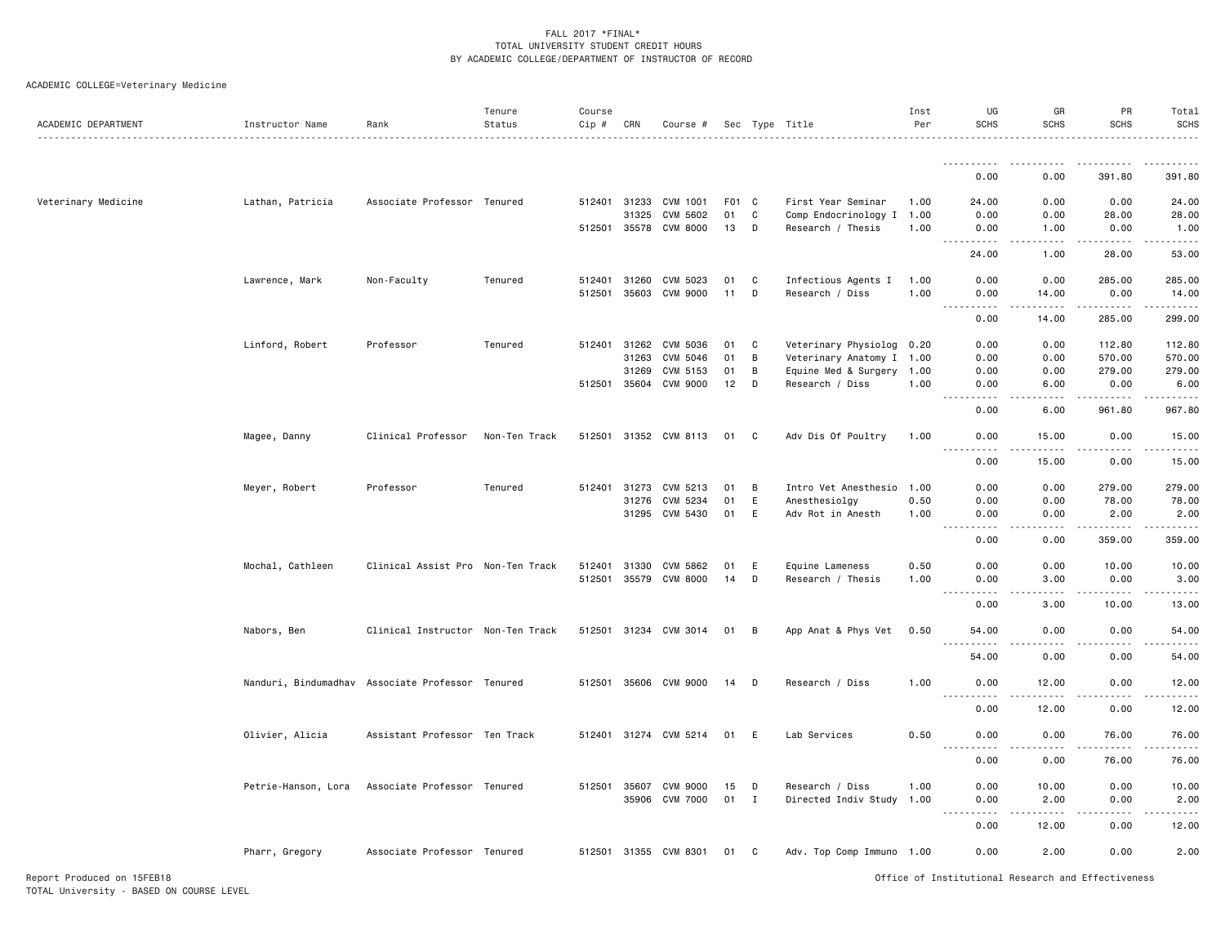| ACADEMIC DEPARTMENT | Instructor Name     | Rank                                             | Tenure<br>Status | Course<br>$Cip \#$ | CRN          | Course #              |       |             | Sec Type Title            | Inst<br>Per | UG<br><b>SCHS</b>                                                                                                                                                                    | GR<br>SCHS | PR<br>SCHS                                                                                                                                                   | Total<br><b>SCHS</b> |
|---------------------|---------------------|--------------------------------------------------|------------------|--------------------|--------------|-----------------------|-------|-------------|---------------------------|-------------|--------------------------------------------------------------------------------------------------------------------------------------------------------------------------------------|------------|--------------------------------------------------------------------------------------------------------------------------------------------------------------|----------------------|
|                     |                     |                                                  |                  |                    |              |                       |       |             |                           |             | <u>.</u>                                                                                                                                                                             |            |                                                                                                                                                              |                      |
|                     |                     |                                                  |                  |                    |              |                       |       |             |                           |             | 0.00                                                                                                                                                                                 | 0.00       | 391.80                                                                                                                                                       | 391.80               |
| Veterinary Medicine | Lathan, Patricia    | Associate Professor Tenured                      |                  |                    | 512401 31233 | CVM 1001              | F01 C |             | First Year Seminar        | 1.00        | 24.00                                                                                                                                                                                | 0.00       | 0.00                                                                                                                                                         | 24.00                |
|                     |                     |                                                  |                  |                    | 31325        | CVM 5602              | 01    | C           | Comp Endocrinology I      | 1.00        | 0.00                                                                                                                                                                                 | 0.00       | 28.00                                                                                                                                                        | 28.00                |
|                     |                     |                                                  |                  |                    |              | 512501 35578 CVM 8000 | 13    | D           | Research / Thesis         | 1.00        | 0.00<br>$\frac{1}{2} \left( \frac{1}{2} \right) \left( \frac{1}{2} \right) \left( \frac{1}{2} \right) \left( \frac{1}{2} \right) \left( \frac{1}{2} \right)$<br>$\sim$ $\sim$ $\sim$ | 1.00<br>.  | 0.00<br>.                                                                                                                                                    | 1.00<br>.            |
|                     |                     |                                                  |                  |                    |              |                       |       |             |                           |             | 24.00                                                                                                                                                                                | 1.00       | 28.00                                                                                                                                                        | 53.00                |
|                     | Lawrence, Mark      | Non-Faculty                                      | Tenured          |                    |              | 512401 31260 CVM 5023 | 01    | C           | Infectious Agents I       | 1.00        | 0.00                                                                                                                                                                                 | 0.00       | 285.00                                                                                                                                                       | 285.00               |
|                     |                     |                                                  |                  |                    | 512501 35603 | <b>CVM 9000</b>       | 11    | D           | Research / Diss           | 1.00        | 0.00<br>$\frac{1}{2} \left( \frac{1}{2} \right) \left( \frac{1}{2} \right) \left( \frac{1}{2} \right) \left( \frac{1}{2} \right) \left( \frac{1}{2} \right)$<br>.                    | 14.00<br>. | 0.00<br>.                                                                                                                                                    | 14.00<br>.           |
|                     |                     |                                                  |                  |                    |              |                       |       |             |                           |             | 0.00                                                                                                                                                                                 | 14.00      | 285.00                                                                                                                                                       | 299.00               |
|                     | Linford, Robert     | Professor                                        | Tenured          |                    | 512401 31262 | CVM 5036              | 01    | C           | Veterinary Physiolog      | 0.20        | 0.00                                                                                                                                                                                 | 0.00       | 112.80                                                                                                                                                       | 112.80               |
|                     |                     |                                                  |                  |                    | 31263        | CVM 5046              | 01    | В           | Veterinary Anatomy I 1.00 |             | 0.00                                                                                                                                                                                 | 0.00       | 570.00                                                                                                                                                       | 570.00               |
|                     |                     |                                                  |                  |                    | 31269        | CVM 5153              | 01    | B           | Equine Med & Surgery 1.00 |             | 0.00                                                                                                                                                                                 | 0.00       | 279.00                                                                                                                                                       | 279.00               |
|                     |                     |                                                  |                  |                    | 512501 35604 | CVM 9000              | 12    | D           | Research / Diss           | 1.00        | 0.00<br>.                                                                                                                                                                            | 6.00<br>.  | 0.00<br>-------                                                                                                                                              | 6.00<br>.            |
|                     |                     |                                                  |                  |                    |              |                       |       |             |                           |             | 0.00                                                                                                                                                                                 | 6.00       | 961.80                                                                                                                                                       | 967.80               |
|                     | Magee, Danny        | Clinical Professor                               | Non-Ten Track    |                    |              | 512501 31352 CVM 8113 | 01    | C           | Adv Dis Of Poultry        | 1.00        | 0.00                                                                                                                                                                                 | 15.00      | 0.00                                                                                                                                                         | 15.00                |
|                     |                     |                                                  |                  |                    |              |                       |       |             |                           |             | $\omega$ $\omega$ $\omega$ $\omega$<br>.<br>0.00                                                                                                                                     | .<br>15.00 | $\frac{1}{2} \left( \frac{1}{2} \right) \left( \frac{1}{2} \right) \left( \frac{1}{2} \right) \left( \frac{1}{2} \right) \left( \frac{1}{2} \right)$<br>0.00 | .<br>15.00           |
|                     | Meyer, Robert       | Professor                                        | Tenured          |                    |              | 512401 31273 CVM 5213 | 01    | В           | Intro Vet Anesthesio      | 1.00        | 0.00                                                                                                                                                                                 | 0.00       | 279.00                                                                                                                                                       | 279.00               |
|                     |                     |                                                  |                  |                    |              | 31276 CVM 5234        | 01    | E           | Anesthesiolgy             | 0.50        | 0.00                                                                                                                                                                                 | 0.00       | 78.00                                                                                                                                                        | 78.00                |
|                     |                     |                                                  |                  |                    |              | 31295 CVM 5430        | 01    | E           | Adv Rot in Anesth         | 1.00        | 0.00                                                                                                                                                                                 | 0.00       | 2.00                                                                                                                                                         | 2.00                 |
|                     |                     |                                                  |                  |                    |              |                       |       |             |                           |             | .<br>0.00                                                                                                                                                                            | .<br>0.00  | .<br>359.00                                                                                                                                                  | .<br>359.00          |
|                     | Mochal, Cathleen    | Clinical Assist Pro Non-Ten Track                |                  |                    |              | 512401 31330 CVM 5862 | 01    | E           | Equine Lameness           | 0.50        | 0.00                                                                                                                                                                                 | 0.00       | 10.00                                                                                                                                                        | 10.00                |
|                     |                     |                                                  |                  |                    |              | 512501 35579 CVM 8000 | 14    | D           | Research / Thesis         | 1.00        | 0.00                                                                                                                                                                                 | 3.00       | 0.00                                                                                                                                                         | 3.00                 |
|                     |                     |                                                  |                  |                    |              |                       |       |             |                           |             | .<br>$\sim$ $\sim$ $\sim$<br>0.00                                                                                                                                                    | .<br>3.00  | .<br>10.00                                                                                                                                                   | .<br>13.00           |
|                     |                     |                                                  |                  |                    |              |                       |       |             |                           |             |                                                                                                                                                                                      |            |                                                                                                                                                              |                      |
|                     | Nabors, Ben         | Clinical Instructor Non-Ten Track                |                  |                    |              | 512501 31234 CVM 3014 | 01    | В           | App Anat & Phys Vet       | 0.50        | 54.00<br>.                                                                                                                                                                           | 0.00<br>.  | 0.00<br>د د د د د                                                                                                                                            | 54.00<br>.           |
|                     |                     |                                                  |                  |                    |              |                       |       |             |                           |             | 54.00                                                                                                                                                                                | 0.00       | 0.00                                                                                                                                                         | 54.00                |
|                     |                     | Nanduri, Bindumadhav Associate Professor Tenured |                  |                    |              | 512501 35606 CVM 9000 | 14 D  |             | Research / Diss           | 1.00        | 0.00<br>.                                                                                                                                                                            | 12.00<br>. | 0.00<br>.                                                                                                                                                    | 12.00<br>د د د د د   |
|                     |                     |                                                  |                  |                    |              |                       |       |             |                           |             | 0.00                                                                                                                                                                                 | 12.00      | 0.00                                                                                                                                                         | 12.00                |
|                     | Olivier, Alicia     | Assistant Professor Ten Track                    |                  |                    |              | 512401 31274 CVM 5214 | 01    | E           | Lab Services              | 0.50        | 0.00                                                                                                                                                                                 | 0.00       | 76.00                                                                                                                                                        | 76.00                |
|                     |                     |                                                  |                  |                    |              |                       |       |             |                           |             | .<br>0.00                                                                                                                                                                            | .<br>0.00  | .<br>76.00                                                                                                                                                   | .<br>76.00           |
|                     | Petrie-Hanson, Lora | Associate Professor Tenured                      |                  |                    | 512501 35607 | <b>CVM 9000</b>       | 15    | D           | Research / Diss           | 1.00        | 0.00                                                                                                                                                                                 | 10.00      | 0.00                                                                                                                                                         | 10.00                |
|                     |                     |                                                  |                  |                    |              | 35906 CVM 7000        | 01    | $\mathbf I$ | Directed Indiv Study      | 1.00        | 0.00                                                                                                                                                                                 | 2.00       | 0.00                                                                                                                                                         | 2.00                 |
|                     |                     |                                                  |                  |                    |              |                       |       |             |                           |             | 0.00                                                                                                                                                                                 | 12.00      | 0.00                                                                                                                                                         | 12.00                |
|                     | Pharr, Gregory      | Associate Professor Tenured                      |                  |                    |              | 512501 31355 CVM 8301 | 01    | C           | Adv. Top Comp Immuno 1.00 |             | 0.00                                                                                                                                                                                 | 2.00       | 0.00                                                                                                                                                         | 2.00                 |
|                     |                     |                                                  |                  |                    |              |                       |       |             |                           |             |                                                                                                                                                                                      |            |                                                                                                                                                              |                      |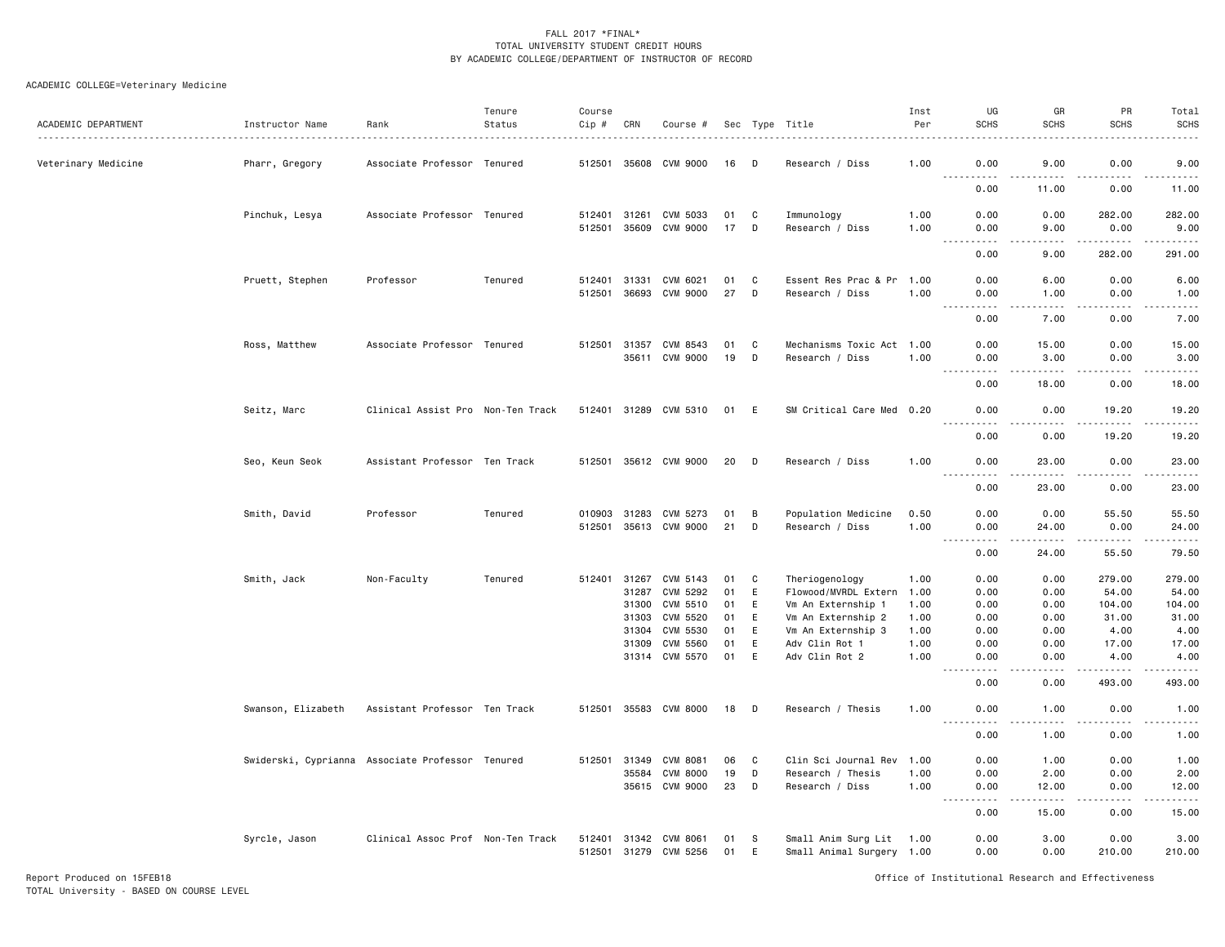| ACADEMIC DEPARTMENT<br>Instructor Name | Rank                                             | Tenure<br>Status | Course<br>Cip #              | CRN   | Course #                                       |          |        | Sec Type Title                                        | Inst<br>Per  | UG<br><b>SCHS</b>                   | GR<br><b>SCHS</b>  | PR<br><b>SCHS</b>   | Total<br><b>SCHS</b><br>.                                                                                                                                    |
|----------------------------------------|--------------------------------------------------|------------------|------------------------------|-------|------------------------------------------------|----------|--------|-------------------------------------------------------|--------------|-------------------------------------|--------------------|---------------------|--------------------------------------------------------------------------------------------------------------------------------------------------------------|
| Veterinary Medicine<br>Pharr, Gregory  | Associate Professor Tenured                      |                  | 512501 35608                 |       | CVM 9000                                       | 16       | D      | Research / Diss                                       | 1.00         | 0.00<br><u> - - - - - - - - - -</u> | 9.00<br>.          | 0.00                | 9.00<br>.                                                                                                                                                    |
|                                        |                                                  |                  |                              |       |                                                |          |        |                                                       |              | 0.00                                | 11.00              | 0.00                | 11.00                                                                                                                                                        |
| Pinchuk, Lesya                         | Associate Professor Tenured                      |                  | 512401 31261                 |       | CVM 5033<br>512501 35609 CVM 9000              | 01<br>17 | C<br>D | Immunology<br>Research / Diss                         | 1.00<br>1.00 | 0.00<br>0.00                        | 0.00<br>9.00       | 282.00<br>0.00      | 282.00<br>9.00                                                                                                                                               |
|                                        |                                                  |                  |                              |       |                                                |          |        |                                                       |              | $- - - - -$<br>$  -$<br>0.00        | .<br>9.00          | .<br>282.00         | .<br>291.00                                                                                                                                                  |
| Pruett, Stephen                        | Professor                                        | Tenured          | 512401 31331<br>512501 36693 |       | CVM 6021<br>CVM 9000                           | 01<br>27 | C<br>D | Essent Res Prac & Pr<br>Research / Diss               | 1.00<br>1.00 | 0.00<br>0.00                        | 6.00<br>1.00       | 0.00<br>0.00        | 6.00<br>1.00                                                                                                                                                 |
|                                        |                                                  |                  |                              |       |                                                |          |        |                                                       |              | 0.00                                | 7.00               | .<br>0.00           | $\frac{1}{2} \left( \frac{1}{2} \right) \left( \frac{1}{2} \right) \left( \frac{1}{2} \right) \left( \frac{1}{2} \right) \left( \frac{1}{2} \right)$<br>7.00 |
| Ross, Matthew                          | Associate Professor Tenured                      |                  |                              |       | 512501 31357 CVM 8543<br>35611 CVM 9000        | 01<br>19 | C<br>D | Mechanisms Toxic Act 1.00<br>Research / Diss          | 1.00         | 0.00<br>0.00                        | 15.00<br>3.00      | 0.00<br>0.00        | 15.00<br>3.00                                                                                                                                                |
|                                        |                                                  |                  |                              |       |                                                |          |        |                                                       |              | $\frac{1}{2}$<br>0.00               | .<br>18.00         | .<br>0.00           | $\frac{1}{2}$<br>18.00                                                                                                                                       |
| Seitz, Marc                            | Clinical Assist Pro Non-Ten Track                |                  |                              |       | 512401 31289 CVM 5310                          | 01 E     |        | SM Critical Care Med 0.20                             |              | 0.00                                | 0.00               | 19.20<br>22222      | 19.20<br>.                                                                                                                                                   |
|                                        |                                                  |                  |                              |       |                                                |          |        |                                                       |              | -----<br>0.00                       | 0.00               | 19.20               | 19.20                                                                                                                                                        |
| Seo, Keun Seok                         | Assistant Professor Ten Track                    |                  |                              |       | 512501 35612 CVM 9000                          | 20       | D      | Research / Diss                                       | 1.00         | 0.00<br>$- - -$<br>.                | 23.00<br>.         | 0.00<br>.           | 23.00<br>.                                                                                                                                                   |
|                                        |                                                  |                  |                              |       |                                                |          |        |                                                       |              | 0.00                                | 23.00              | 0.00                | 23.00                                                                                                                                                        |
| Smith, David                           | Professor                                        | Tenured          | 010903                       | 31283 | CVM 5273                                       | 01       | B      | Population Medicine                                   | 0.50         | 0.00                                | 0.00               | 55.50               | 55.50                                                                                                                                                        |
|                                        |                                                  |                  |                              |       | 512501 35613 CVM 9000                          | 21       | D      | Research / Diss                                       | 1.00         | 0.00                                | 24.00              | 0.00<br>-----       | 24.00<br>.                                                                                                                                                   |
|                                        |                                                  |                  |                              |       |                                                |          |        |                                                       |              | 0.00                                | 24.00              | 55.50               | 79.50                                                                                                                                                        |
| Smith, Jack                            | Non-Faculty                                      | Tenured          | 512401 31267                 |       | CVM 5143                                       | 01       | C      | Theriogenology                                        | 1.00         | 0.00                                | 0.00               | 279.00              | 279.00                                                                                                                                                       |
|                                        |                                                  |                  |                              | 31287 | CVM 5292                                       | 01       | E      | Flowood/MVRDL Extern                                  | 1.00         | 0.00                                | 0.00               | 54.00               | 54.00                                                                                                                                                        |
|                                        |                                                  |                  |                              | 31300 | CVM 5510                                       | 01       | E      | Vm An Externship 1                                    | 1.00         | 0.00                                | 0.00               | 104.00              | 104.00                                                                                                                                                       |
|                                        |                                                  |                  |                              | 31303 | CVM 5520                                       | 01       | E      | Vm An Externship 2                                    | 1.00         | 0.00                                | 0.00               | 31.00               | 31.00                                                                                                                                                        |
|                                        |                                                  |                  |                              | 31304 | CVM 5530                                       | 01       | E      | Vm An Externship 3                                    | 1.00         | 0.00                                | 0.00               | 4.00                | 4.00                                                                                                                                                         |
|                                        |                                                  |                  |                              | 31309 | CVM 5560                                       | 01       | E      | Adv Clin Rot 1                                        | 1.00         | 0.00                                | 0.00               | 17.00               | 17.00                                                                                                                                                        |
|                                        |                                                  |                  |                              |       | 31314 CVM 5570                                 | 01       | E      | Adv Clin Rot 2                                        | 1.00         | 0.00<br>.                           | 0.00<br>.          | 4.00<br>$- - - - -$ | 4.00<br>.                                                                                                                                                    |
|                                        |                                                  |                  |                              |       |                                                |          |        |                                                       |              | 0.00                                | 0.00               | 493.00              | 493.00                                                                                                                                                       |
| Swanson, Elizabeth                     | Assistant Professor Ten Track                    |                  |                              |       | 512501 35583 CVM 8000                          | 18       | D      | Research / Thesis                                     | 1.00         | 0.00                                | 1.00               | 0.00                | 1.00<br>$\frac{1}{2} \left( \frac{1}{2} \right) \left( \frac{1}{2} \right) \left( \frac{1}{2} \right) \left( \frac{1}{2} \right) \left( \frac{1}{2} \right)$ |
|                                        |                                                  |                  |                              |       |                                                |          |        |                                                       |              | 0.00                                | 1.00               | 0.00                | 1.00                                                                                                                                                         |
|                                        | Swiderski, Cyprianna Associate Professor Tenured |                  | 512501 31349                 |       | <b>CVM 8081</b>                                | 06       | C      | Clin Sci Journal Rev                                  | 1.00         | 0.00                                | 1.00               | 0.00                | 1.00                                                                                                                                                         |
|                                        |                                                  |                  |                              | 35584 | <b>CVM 8000</b>                                | 19       | D      | Research / Thesis                                     | 1.00         | 0.00                                | 2.00               | 0.00                | 2.00                                                                                                                                                         |
|                                        |                                                  |                  |                              |       | 35615 CVM 9000                                 | 23       | D      | Research / Diss                                       | 1.00         | 0.00<br>.                           | 12.00<br>د د د د د | 0.00<br>.           | 12.00<br>.                                                                                                                                                   |
|                                        |                                                  |                  |                              |       |                                                |          |        |                                                       |              | 0.00                                | 15.00              | 0.00                | 15.00                                                                                                                                                        |
| Syrcle, Jason                          | Clinical Assoc Prof Non-Ten Track                |                  |                              |       | 512401 31342 CVM 8061<br>512501 31279 CVM 5256 | 01<br>01 | S<br>E | Small Anim Surg Lit 1.00<br>Small Animal Surgery 1.00 |              | 0.00<br>0.00                        | 3.00<br>0.00       | 0.00<br>210.00      | 3.00<br>210.00                                                                                                                                               |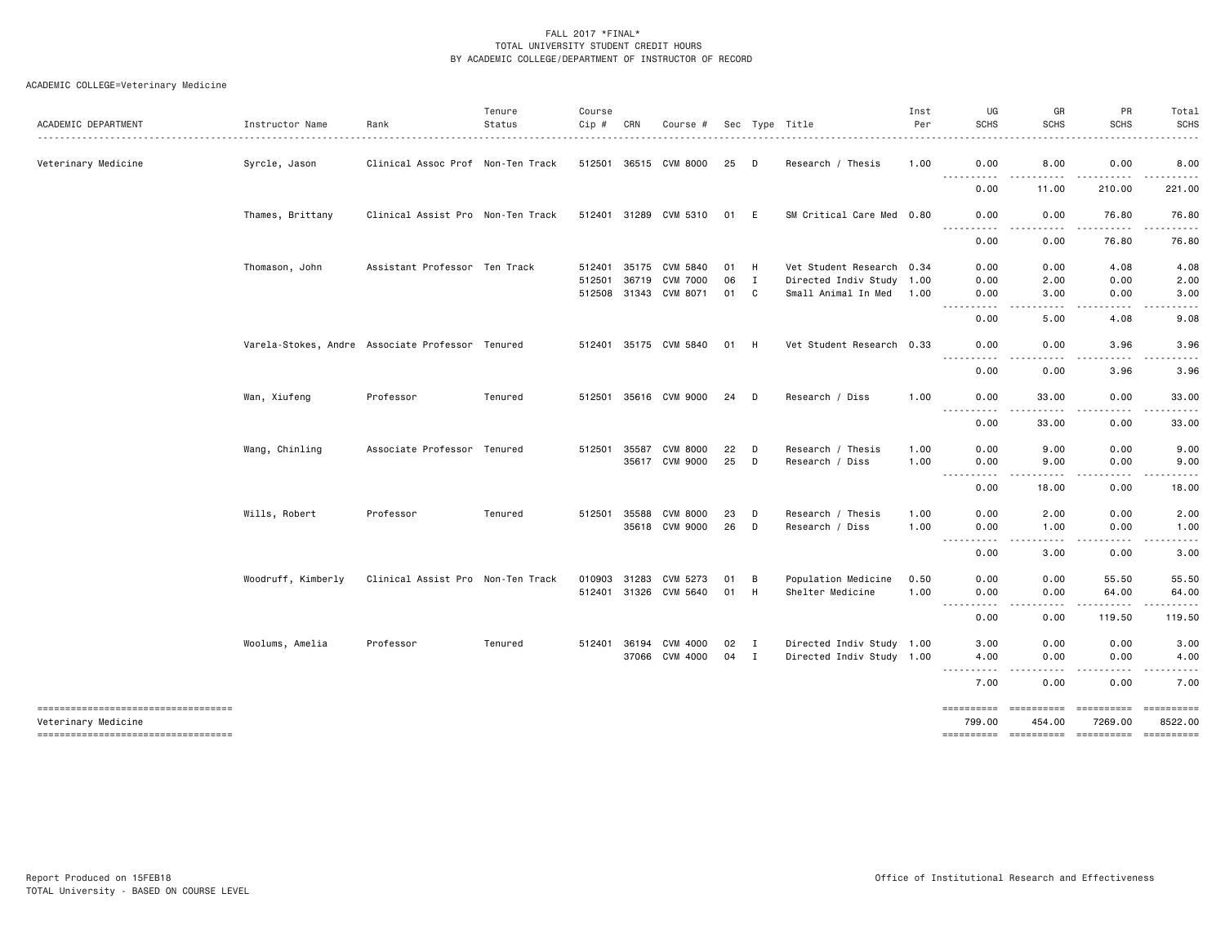| ACADEMIC DEPARTMENT                                       | Instructor Name                                  | Rank                              | Tenure<br>Status | Course<br>Cip # | CRN   | Course #              |    |                | Sec Type Title            | Inst<br>Per | UG<br><b>SCHS</b>                                                                                                                                                 | GR<br><b>SCHS</b>                                                                                                                                                                                                                                                                                                                                                                                                                                                                      | PR<br><b>SCHS</b>           | Total<br><b>SCHS</b> |
|-----------------------------------------------------------|--------------------------------------------------|-----------------------------------|------------------|-----------------|-------|-----------------------|----|----------------|---------------------------|-------------|-------------------------------------------------------------------------------------------------------------------------------------------------------------------|----------------------------------------------------------------------------------------------------------------------------------------------------------------------------------------------------------------------------------------------------------------------------------------------------------------------------------------------------------------------------------------------------------------------------------------------------------------------------------------|-----------------------------|----------------------|
| Veterinary Medicine                                       | Syrcle, Jason                                    | Clinical Assoc Prof Non-Ten Track |                  |                 |       | 512501 36515 CVM 8000 | 25 | D              | Research / Thesis         | 1.00        | 0.00                                                                                                                                                              | 8.00                                                                                                                                                                                                                                                                                                                                                                                                                                                                                   | 0.00                        | 8.00                 |
|                                                           |                                                  |                                   |                  |                 |       |                       |    |                |                           |             | $\frac{1}{2} \left( \frac{1}{2} \right) \left( \frac{1}{2} \right) \left( \frac{1}{2} \right) \left( \frac{1}{2} \right) \left( \frac{1}{2} \right)$<br>.<br>0.00 | .<br>11.00                                                                                                                                                                                                                                                                                                                                                                                                                                                                             | ------<br>210.00            | -------<br>221.00    |
|                                                           | Thames, Brittany                                 | Clinical Assist Pro Non-Ten Track |                  |                 |       | 512401 31289 CVM 5310 | 01 | E              | SM Critical Care Med 0.80 |             | 0.00                                                                                                                                                              | 0.00                                                                                                                                                                                                                                                                                                                                                                                                                                                                                   | 76.80                       | 76.80                |
|                                                           |                                                  |                                   |                  |                 |       |                       |    |                |                           |             | $\frac{1}{2}$<br>0.00                                                                                                                                             | .<br>0.00                                                                                                                                                                                                                                                                                                                                                                                                                                                                              | .<br>76.80                  | .<br>76.80           |
|                                                           | Thomason, John                                   | Assistant Professor Ten Track     |                  | 512401 35175    |       | CVM 5840              | 01 | H              | Vet Student Research 0.34 |             | 0.00                                                                                                                                                              | 0.00                                                                                                                                                                                                                                                                                                                                                                                                                                                                                   | 4.08                        | 4.08                 |
|                                                           |                                                  |                                   |                  | 512501          | 36719 | CVM 7000              | 06 | Ι.             | Directed Indiv Study 1.00 |             | 0.00                                                                                                                                                              | 2.00                                                                                                                                                                                                                                                                                                                                                                                                                                                                                   | 0.00                        | 2.00                 |
|                                                           |                                                  |                                   |                  |                 |       | 512508 31343 CVM 8071 | 01 | C              | Small Animal In Med 1.00  |             | 0.00                                                                                                                                                              | 3.00                                                                                                                                                                                                                                                                                                                                                                                                                                                                                   | 0.00                        | 3.00                 |
|                                                           |                                                  |                                   |                  |                 |       |                       |    |                |                           |             | .<br>$\frac{1}{2} \left( \frac{1}{2} \right) \left( \frac{1}{2} \right) \left( \frac{1}{2} \right) \left( \frac{1}{2} \right)$<br>0.00                            | $- - -$<br>5.00                                                                                                                                                                                                                                                                                                                                                                                                                                                                        | .<br>4.08                   | -----<br>9.08        |
|                                                           | Varela-Stokes, Andre Associate Professor Tenured |                                   |                  |                 |       | 512401 35175 CVM 5840 | 01 | H              | Vet Student Research 0.33 |             | 0.00                                                                                                                                                              | 0.00                                                                                                                                                                                                                                                                                                                                                                                                                                                                                   | 3.96                        | 3.96                 |
|                                                           |                                                  |                                   |                  |                 |       |                       |    |                |                           |             | ----------<br>0.00                                                                                                                                                | د د د د<br>0.00                                                                                                                                                                                                                                                                                                                                                                                                                                                                        | .<br>3.96                   | -----<br>3.96        |
|                                                           | Wan, Xiufeng                                     | Professor                         | Tenured          |                 |       | 512501 35616 CVM 9000 | 24 | D              | Research / Diss           | 1.00        | 0.00                                                                                                                                                              | 33,00<br>.                                                                                                                                                                                                                                                                                                                                                                                                                                                                             | 0.00                        | 33.00                |
|                                                           |                                                  |                                   |                  |                 |       |                       |    |                |                           |             | .<br>0.00                                                                                                                                                         | 33.00                                                                                                                                                                                                                                                                                                                                                                                                                                                                                  | 0.00                        | 33.00                |
|                                                           | Wang, Chinling                                   | Associate Professor Tenured       |                  | 512501          | 35587 | <b>CVM 8000</b>       | 22 | D              | Research / Thesis         | 1.00        | 0.00                                                                                                                                                              | 9.00                                                                                                                                                                                                                                                                                                                                                                                                                                                                                   | 0.00                        | 9.00                 |
|                                                           |                                                  |                                   |                  |                 | 35617 | CVM 9000              | 25 | D              | Research / Diss           | 1.00        | 0.00<br>$\frac{1}{2} \left( \frac{1}{2} \right) \left( \frac{1}{2} \right) \left( \frac{1}{2} \right) \left( \frac{1}{2} \right) \left( \frac{1}{2} \right)$<br>. | 9.00<br>. <u>. .</u>                                                                                                                                                                                                                                                                                                                                                                                                                                                                   | 0.00<br>.                   | 9.00                 |
|                                                           |                                                  |                                   |                  |                 |       |                       |    |                |                           |             | 0.00                                                                                                                                                              | 18.00                                                                                                                                                                                                                                                                                                                                                                                                                                                                                  | 0.00                        | 18.00                |
|                                                           | Wills, Robert                                    | Professor                         | Tenured          | 512501 35588    |       | <b>CVM 8000</b>       | 23 | D              | Research / Thesis         | 1.00        | 0.00                                                                                                                                                              | 2.00                                                                                                                                                                                                                                                                                                                                                                                                                                                                                   | 0.00                        | 2.00                 |
|                                                           |                                                  |                                   |                  |                 | 35618 | CVM 9000              | 26 | D              | Research / Diss           | 1.00        | 0.00                                                                                                                                                              | 1.00                                                                                                                                                                                                                                                                                                                                                                                                                                                                                   | 0.00                        | 1.00                 |
|                                                           |                                                  |                                   |                  |                 |       |                       |    |                |                           |             | .<br>$\frac{1}{2}$<br>0.00                                                                                                                                        | 3.00                                                                                                                                                                                                                                                                                                                                                                                                                                                                                   | 0.00                        | 3.00                 |
|                                                           | Woodruff, Kimberly                               | Clinical Assist Pro Non-Ten Track |                  | 010903          | 31283 | CVM 5273              | 01 | в              | Population Medicine       | 0.50        | 0.00                                                                                                                                                              | 0.00                                                                                                                                                                                                                                                                                                                                                                                                                                                                                   | 55.50                       | 55.50                |
|                                                           |                                                  |                                   |                  |                 |       | 512401 31326 CVM 5640 | 01 | H              | Shelter Medicine          | 1.00        | 0.00<br>$\sim$ $\sim$ $\sim$<br>د د د د                                                                                                                           | 0.00<br>.                                                                                                                                                                                                                                                                                                                                                                                                                                                                              | 64.00<br>.                  | 64.00<br>.           |
|                                                           |                                                  |                                   |                  |                 |       |                       |    |                |                           |             | 0.00                                                                                                                                                              | 0.00                                                                                                                                                                                                                                                                                                                                                                                                                                                                                   | 119.50                      | 119.50               |
|                                                           | Woolums, Amelia                                  | Professor                         | Tenured          |                 |       | 512401 36194 CVM 4000 | 02 | $\blacksquare$ | Directed Indiv Study 1.00 |             | 3.00                                                                                                                                                              | 0.00                                                                                                                                                                                                                                                                                                                                                                                                                                                                                   | 0.00                        | 3.00                 |
|                                                           |                                                  |                                   |                  |                 |       | 37066 CVM 4000        | 04 | $\mathbf{I}$   | Directed Indiv Study 1.00 |             | 4.00<br><u>.</u>                                                                                                                                                  | 0.00<br>.                                                                                                                                                                                                                                                                                                                                                                                                                                                                              | 0.00<br>-----               | 4.00<br>.            |
|                                                           |                                                  |                                   |                  |                 |       |                       |    |                |                           |             | 7.00                                                                                                                                                              | 0.00                                                                                                                                                                                                                                                                                                                                                                                                                                                                                   | 0.00                        | 7.00                 |
| ----------------------------------                        |                                                  |                                   |                  |                 |       |                       |    |                |                           |             | ==========                                                                                                                                                        | $\begin{array}{cccccccccc} \multicolumn{2}{c}{} & \multicolumn{2}{c}{} & \multicolumn{2}{c}{} & \multicolumn{2}{c}{} & \multicolumn{2}{c}{} & \multicolumn{2}{c}{} & \multicolumn{2}{c}{} & \multicolumn{2}{c}{} & \multicolumn{2}{c}{} & \multicolumn{2}{c}{} & \multicolumn{2}{c}{} & \multicolumn{2}{c}{} & \multicolumn{2}{c}{} & \multicolumn{2}{c}{} & \multicolumn{2}{c}{} & \multicolumn{2}{c}{} & \multicolumn{2}{c}{} & \multicolumn{2}{c}{} & \multicolumn{2}{c}{} & \mult$ | ==========                  |                      |
| Veterinary Medicine<br>---------------------------------- |                                                  |                                   |                  |                 |       |                       |    |                |                           |             | 799.00<br>==========                                                                                                                                              | 454.00<br>-----------                                                                                                                                                                                                                                                                                                                                                                                                                                                                  | 7269.00<br><b>Concococo</b> | 8522.00              |